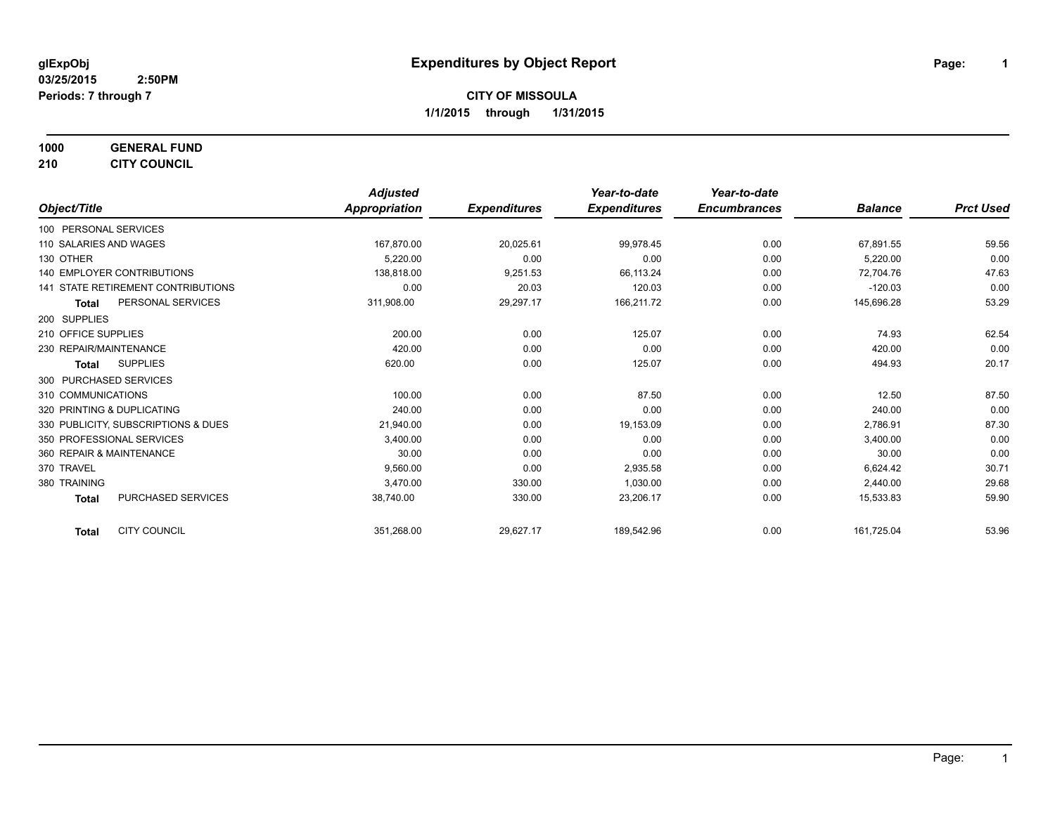# **1000 GENERAL FUND**

**210 CITY COUNCIL**

|                                           | <b>Adjusted</b> |                     | Year-to-date        | Year-to-date        |                |                  |
|-------------------------------------------|-----------------|---------------------|---------------------|---------------------|----------------|------------------|
| Object/Title                              | Appropriation   | <b>Expenditures</b> | <b>Expenditures</b> | <b>Encumbrances</b> | <b>Balance</b> | <b>Prct Used</b> |
| 100 PERSONAL SERVICES                     |                 |                     |                     |                     |                |                  |
| 110 SALARIES AND WAGES                    | 167,870.00      | 20,025.61           | 99,978.45           | 0.00                | 67,891.55      | 59.56            |
| 130 OTHER                                 | 5,220.00        | 0.00                | 0.00                | 0.00                | 5,220.00       | 0.00             |
| 140 EMPLOYER CONTRIBUTIONS                | 138.818.00      | 9,251.53            | 66.113.24           | 0.00                | 72.704.76      | 47.63            |
| 141 STATE RETIREMENT CONTRIBUTIONS        | 0.00            | 20.03               | 120.03              | 0.00                | $-120.03$      | 0.00             |
| PERSONAL SERVICES<br><b>Total</b>         | 311,908.00      | 29,297.17           | 166,211.72          | 0.00                | 145,696.28     | 53.29            |
| 200 SUPPLIES                              |                 |                     |                     |                     |                |                  |
| 210 OFFICE SUPPLIES                       | 200.00          | 0.00                | 125.07              | 0.00                | 74.93          | 62.54            |
| 230 REPAIR/MAINTENANCE                    | 420.00          | 0.00                | 0.00                | 0.00                | 420.00         | 0.00             |
| <b>SUPPLIES</b><br><b>Total</b>           | 620.00          | 0.00                | 125.07              | 0.00                | 494.93         | 20.17            |
| 300 PURCHASED SERVICES                    |                 |                     |                     |                     |                |                  |
| 310 COMMUNICATIONS                        | 100.00          | 0.00                | 87.50               | 0.00                | 12.50          | 87.50            |
| 320 PRINTING & DUPLICATING                | 240.00          | 0.00                | 0.00                | 0.00                | 240.00         | 0.00             |
| 330 PUBLICITY, SUBSCRIPTIONS & DUES       | 21,940.00       | 0.00                | 19,153.09           | 0.00                | 2,786.91       | 87.30            |
| 350 PROFESSIONAL SERVICES                 | 3,400.00        | 0.00                | 0.00                | 0.00                | 3,400.00       | 0.00             |
| 360 REPAIR & MAINTENANCE                  | 30.00           | 0.00                | 0.00                | 0.00                | 30.00          | 0.00             |
| 370 TRAVEL                                | 9,560.00        | 0.00                | 2,935.58            | 0.00                | 6,624.42       | 30.71            |
| 380 TRAINING                              | 3,470.00        | 330.00              | 1,030.00            | 0.00                | 2,440.00       | 29.68            |
| <b>PURCHASED SERVICES</b><br><b>Total</b> | 38,740.00       | 330.00              | 23,206.17           | 0.00                | 15,533.83      | 59.90            |
| <b>CITY COUNCIL</b><br><b>Total</b>       | 351,268.00      | 29,627.17           | 189,542.96          | 0.00                | 161,725.04     | 53.96            |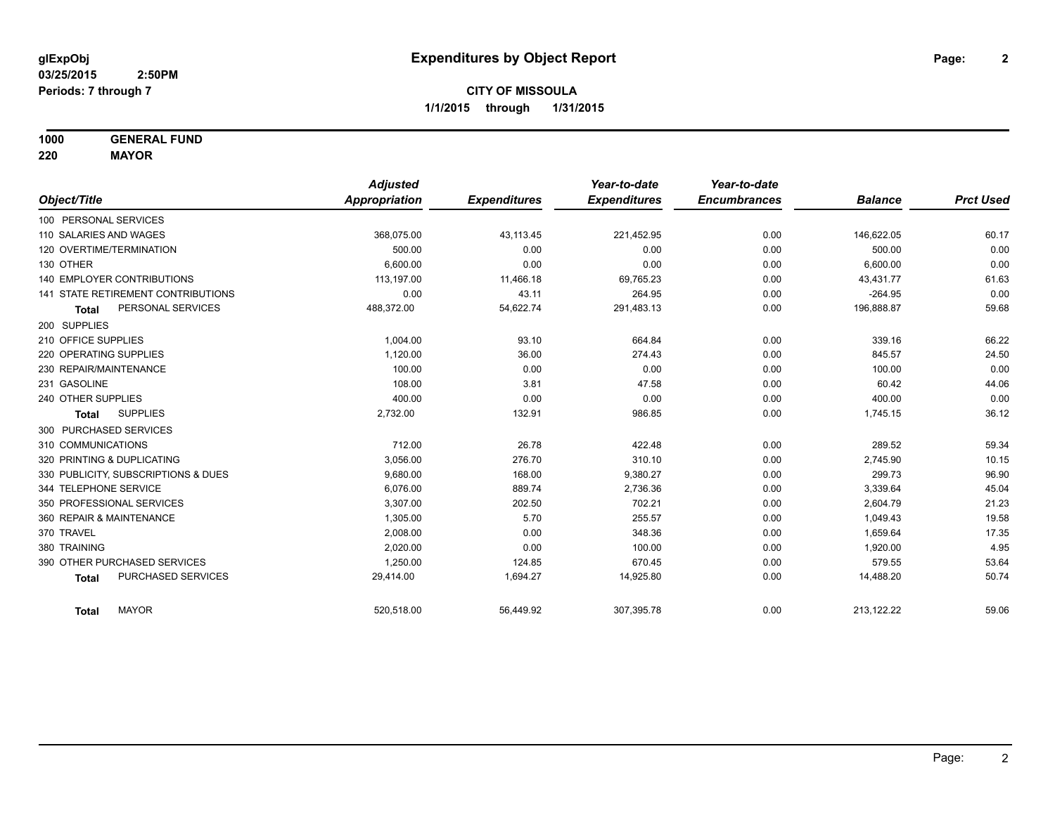**1000 GENERAL FUND**

**220 MAYOR**

|                                     | <b>Adjusted</b> |                     | Year-to-date        | Year-to-date        |                |                  |
|-------------------------------------|-----------------|---------------------|---------------------|---------------------|----------------|------------------|
| Object/Title                        | Appropriation   | <b>Expenditures</b> | <b>Expenditures</b> | <b>Encumbrances</b> | <b>Balance</b> | <b>Prct Used</b> |
| 100 PERSONAL SERVICES               |                 |                     |                     |                     |                |                  |
| 110 SALARIES AND WAGES              | 368,075.00      | 43,113.45           | 221,452.95          | 0.00                | 146,622.05     | 60.17            |
| 120 OVERTIME/TERMINATION            | 500.00          | 0.00                | 0.00                | 0.00                | 500.00         | 0.00             |
| 130 OTHER                           | 6.600.00        | 0.00                | 0.00                | 0.00                | 6,600.00       | 0.00             |
| <b>140 EMPLOYER CONTRIBUTIONS</b>   | 113.197.00      | 11,466.18           | 69,765.23           | 0.00                | 43,431.77      | 61.63            |
| 141 STATE RETIREMENT CONTRIBUTIONS  | 0.00            | 43.11               | 264.95              | 0.00                | $-264.95$      | 0.00             |
| PERSONAL SERVICES<br><b>Total</b>   | 488,372.00      | 54,622.74           | 291,483.13          | 0.00                | 196,888.87     | 59.68            |
| 200 SUPPLIES                        |                 |                     |                     |                     |                |                  |
| 210 OFFICE SUPPLIES                 | 1,004.00        | 93.10               | 664.84              | 0.00                | 339.16         | 66.22            |
| 220 OPERATING SUPPLIES              | 1,120.00        | 36.00               | 274.43              | 0.00                | 845.57         | 24.50            |
| 230 REPAIR/MAINTENANCE              | 100.00          | 0.00                | 0.00                | 0.00                | 100.00         | 0.00             |
| 231 GASOLINE                        | 108.00          | 3.81                | 47.58               | 0.00                | 60.42          | 44.06            |
| 240 OTHER SUPPLIES                  | 400.00          | 0.00                | 0.00                | 0.00                | 400.00         | 0.00             |
| <b>SUPPLIES</b><br><b>Total</b>     | 2,732.00        | 132.91              | 986.85              | 0.00                | 1,745.15       | 36.12            |
| 300 PURCHASED SERVICES              |                 |                     |                     |                     |                |                  |
| 310 COMMUNICATIONS                  | 712.00          | 26.78               | 422.48              | 0.00                | 289.52         | 59.34            |
| 320 PRINTING & DUPLICATING          | 3.056.00        | 276.70              | 310.10              | 0.00                | 2,745.90       | 10.15            |
| 330 PUBLICITY, SUBSCRIPTIONS & DUES | 9,680.00        | 168.00              | 9,380.27            | 0.00                | 299.73         | 96.90            |
| 344 TELEPHONE SERVICE               | 6.076.00        | 889.74              | 2,736.36            | 0.00                | 3,339.64       | 45.04            |
| 350 PROFESSIONAL SERVICES           | 3,307.00        | 202.50              | 702.21              | 0.00                | 2,604.79       | 21.23            |
| 360 REPAIR & MAINTENANCE            | 1,305.00        | 5.70                | 255.57              | 0.00                | 1,049.43       | 19.58            |
| 370 TRAVEL                          | 2,008.00        | 0.00                | 348.36              | 0.00                | 1,659.64       | 17.35            |
| 380 TRAINING                        | 2,020.00        | 0.00                | 100.00              | 0.00                | 1,920.00       | 4.95             |
| 390 OTHER PURCHASED SERVICES        | 1,250.00        | 124.85              | 670.45              | 0.00                | 579.55         | 53.64            |
| PURCHASED SERVICES<br><b>Total</b>  | 29,414.00       | 1,694.27            | 14,925.80           | 0.00                | 14,488.20      | 50.74            |
| <b>MAYOR</b><br><b>Total</b>        | 520,518.00      | 56,449.92           | 307,395.78          | 0.00                | 213,122.22     | 59.06            |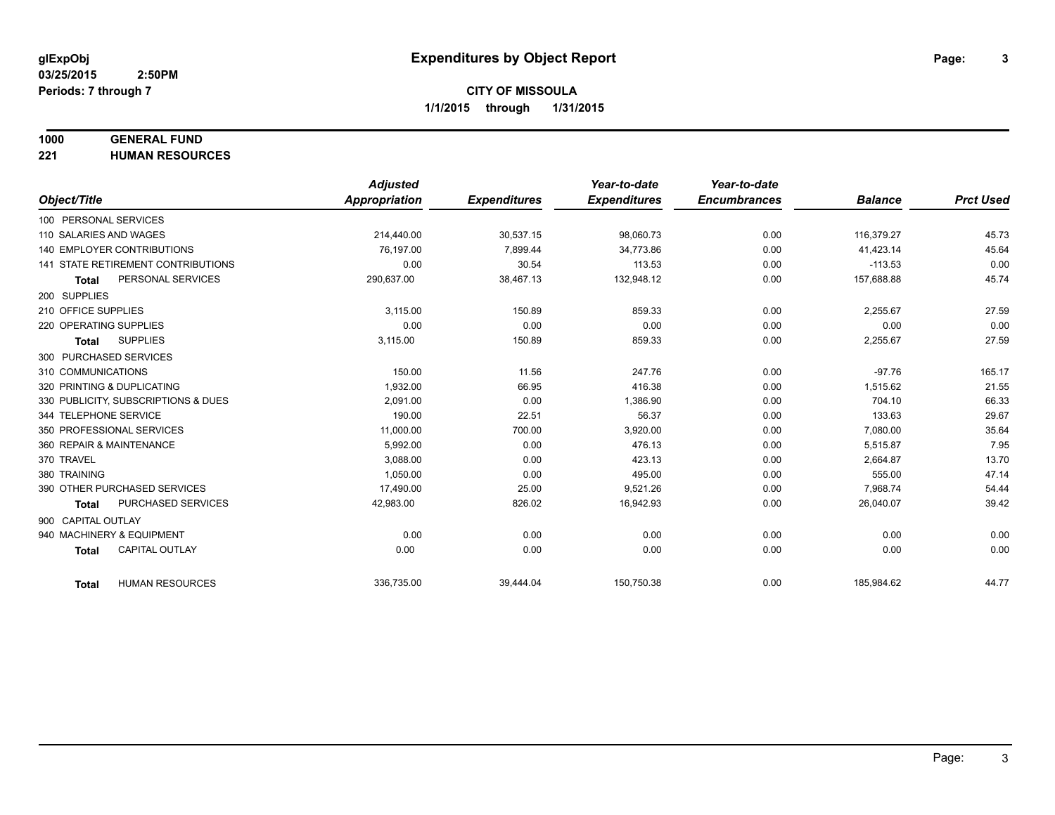## **1000 GENERAL FUND**

**221 HUMAN RESOURCES**

|                                           | <b>Adjusted</b> |                     | Year-to-date        | Year-to-date        |                |                  |
|-------------------------------------------|-----------------|---------------------|---------------------|---------------------|----------------|------------------|
| Object/Title                              | Appropriation   | <b>Expenditures</b> | <b>Expenditures</b> | <b>Encumbrances</b> | <b>Balance</b> | <b>Prct Used</b> |
| 100 PERSONAL SERVICES                     |                 |                     |                     |                     |                |                  |
| 110 SALARIES AND WAGES                    | 214,440.00      | 30,537.15           | 98,060.73           | 0.00                | 116,379.27     | 45.73            |
| 140 EMPLOYER CONTRIBUTIONS                | 76.197.00       | 7,899.44            | 34.773.86           | 0.00                | 41,423.14      | 45.64            |
| 141 STATE RETIREMENT CONTRIBUTIONS        | 0.00            | 30.54               | 113.53              | 0.00                | $-113.53$      | 0.00             |
| PERSONAL SERVICES<br><b>Total</b>         | 290,637.00      | 38,467.13           | 132,948.12          | 0.00                | 157,688.88     | 45.74            |
| 200 SUPPLIES                              |                 |                     |                     |                     |                |                  |
| 210 OFFICE SUPPLIES                       | 3.115.00        | 150.89              | 859.33              | 0.00                | 2,255.67       | 27.59            |
| 220 OPERATING SUPPLIES                    | 0.00            | 0.00                | 0.00                | 0.00                | 0.00           | 0.00             |
| <b>SUPPLIES</b><br><b>Total</b>           | 3,115.00        | 150.89              | 859.33              | 0.00                | 2,255.67       | 27.59            |
| 300 PURCHASED SERVICES                    |                 |                     |                     |                     |                |                  |
| 310 COMMUNICATIONS                        | 150.00          | 11.56               | 247.76              | 0.00                | $-97.76$       | 165.17           |
| 320 PRINTING & DUPLICATING                | 1.932.00        | 66.95               | 416.38              | 0.00                | 1.515.62       | 21.55            |
| 330 PUBLICITY, SUBSCRIPTIONS & DUES       | 2,091.00        | 0.00                | 1,386.90            | 0.00                | 704.10         | 66.33            |
| 344 TELEPHONE SERVICE                     | 190.00          | 22.51               | 56.37               | 0.00                | 133.63         | 29.67            |
| 350 PROFESSIONAL SERVICES                 | 11,000.00       | 700.00              | 3,920.00            | 0.00                | 7,080.00       | 35.64            |
| 360 REPAIR & MAINTENANCE                  | 5,992.00        | 0.00                | 476.13              | 0.00                | 5,515.87       | 7.95             |
| 370 TRAVEL                                | 3.088.00        | 0.00                | 423.13              | 0.00                | 2,664.87       | 13.70            |
| 380 TRAINING                              | 1,050.00        | 0.00                | 495.00              | 0.00                | 555.00         | 47.14            |
| 390 OTHER PURCHASED SERVICES              | 17,490.00       | 25.00               | 9,521.26            | 0.00                | 7,968.74       | 54.44            |
| <b>PURCHASED SERVICES</b><br><b>Total</b> | 42,983.00       | 826.02              | 16,942.93           | 0.00                | 26,040.07      | 39.42            |
| 900 CAPITAL OUTLAY                        |                 |                     |                     |                     |                |                  |
| 940 MACHINERY & EQUIPMENT                 | 0.00            | 0.00                | 0.00                | 0.00                | 0.00           | 0.00             |
| <b>CAPITAL OUTLAY</b><br><b>Total</b>     | 0.00            | 0.00                | 0.00                | 0.00                | 0.00           | 0.00             |
|                                           |                 |                     |                     |                     |                |                  |
| <b>HUMAN RESOURCES</b><br><b>Total</b>    | 336,735.00      | 39,444.04           | 150,750.38          | 0.00                | 185,984.62     | 44.77            |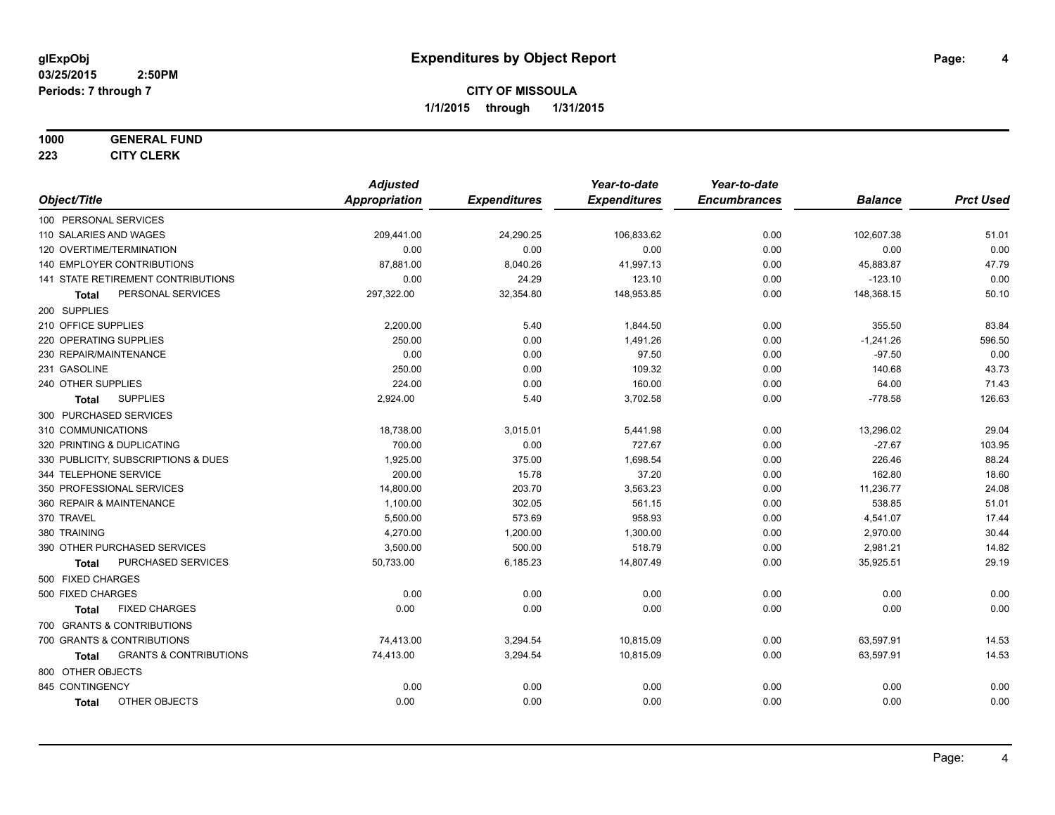#### **1000 GENERAL FUND**

**223 CITY CLERK**

|                                            | <b>Adjusted</b> |                     | Year-to-date        | Year-to-date        |                |                  |
|--------------------------------------------|-----------------|---------------------|---------------------|---------------------|----------------|------------------|
| Object/Title                               | Appropriation   | <b>Expenditures</b> | <b>Expenditures</b> | <b>Encumbrances</b> | <b>Balance</b> | <b>Prct Used</b> |
| 100 PERSONAL SERVICES                      |                 |                     |                     |                     |                |                  |
| 110 SALARIES AND WAGES                     | 209,441.00      | 24,290.25           | 106,833.62          | 0.00                | 102,607.38     | 51.01            |
| 120 OVERTIME/TERMINATION                   | 0.00            | 0.00                | 0.00                | 0.00                | 0.00           | 0.00             |
| 140 EMPLOYER CONTRIBUTIONS                 | 87,881.00       | 8,040.26            | 41,997.13           | 0.00                | 45,883.87      | 47.79            |
| 141 STATE RETIREMENT CONTRIBUTIONS         | 0.00            | 24.29               | 123.10              | 0.00                | $-123.10$      | 0.00             |
| PERSONAL SERVICES<br>Total                 | 297,322.00      | 32,354.80           | 148,953.85          | 0.00                | 148,368.15     | 50.10            |
| 200 SUPPLIES                               |                 |                     |                     |                     |                |                  |
| 210 OFFICE SUPPLIES                        | 2,200.00        | 5.40                | 1,844.50            | 0.00                | 355.50         | 83.84            |
| 220 OPERATING SUPPLIES                     | 250.00          | 0.00                | 1,491.26            | 0.00                | $-1,241.26$    | 596.50           |
| 230 REPAIR/MAINTENANCE                     | 0.00            | 0.00                | 97.50               | 0.00                | $-97.50$       | 0.00             |
| 231 GASOLINE                               | 250.00          | 0.00                | 109.32              | 0.00                | 140.68         | 43.73            |
| 240 OTHER SUPPLIES                         | 224.00          | 0.00                | 160.00              | 0.00                | 64.00          | 71.43            |
| <b>SUPPLIES</b><br><b>Total</b>            | 2,924.00        | 5.40                | 3,702.58            | 0.00                | $-778.58$      | 126.63           |
| 300 PURCHASED SERVICES                     |                 |                     |                     |                     |                |                  |
| 310 COMMUNICATIONS                         | 18,738.00       | 3,015.01            | 5,441.98            | 0.00                | 13,296.02      | 29.04            |
| 320 PRINTING & DUPLICATING                 | 700.00          | 0.00                | 727.67              | 0.00                | $-27.67$       | 103.95           |
| 330 PUBLICITY, SUBSCRIPTIONS & DUES        | 1,925.00        | 375.00              | 1,698.54            | 0.00                | 226.46         | 88.24            |
| 344 TELEPHONE SERVICE                      | 200.00          | 15.78               | 37.20               | 0.00                | 162.80         | 18.60            |
| 350 PROFESSIONAL SERVICES                  | 14,800.00       | 203.70              | 3,563.23            | 0.00                | 11,236.77      | 24.08            |
| 360 REPAIR & MAINTENANCE                   | 1,100.00        | 302.05              | 561.15              | 0.00                | 538.85         | 51.01            |
| 370 TRAVEL                                 | 5,500.00        | 573.69              | 958.93              | 0.00                | 4,541.07       | 17.44            |
| 380 TRAINING                               | 4,270.00        | 1,200.00            | 1,300.00            | 0.00                | 2,970.00       | 30.44            |
| 390 OTHER PURCHASED SERVICES               | 3,500.00        | 500.00              | 518.79              | 0.00                | 2,981.21       | 14.82            |
| PURCHASED SERVICES<br><b>Total</b>         | 50,733.00       | 6,185.23            | 14,807.49           | 0.00                | 35,925.51      | 29.19            |
| 500 FIXED CHARGES                          |                 |                     |                     |                     |                |                  |
| 500 FIXED CHARGES                          | 0.00            | 0.00                | 0.00                | 0.00                | 0.00           | 0.00             |
| <b>FIXED CHARGES</b><br><b>Total</b>       | 0.00            | 0.00                | 0.00                | 0.00                | 0.00           | 0.00             |
| 700 GRANTS & CONTRIBUTIONS                 |                 |                     |                     |                     |                |                  |
| 700 GRANTS & CONTRIBUTIONS                 | 74,413.00       | 3,294.54            | 10,815.09           | 0.00                | 63,597.91      | 14.53            |
| <b>GRANTS &amp; CONTRIBUTIONS</b><br>Total | 74,413.00       | 3,294.54            | 10,815.09           | 0.00                | 63,597.91      | 14.53            |
| 800 OTHER OBJECTS                          |                 |                     |                     |                     |                |                  |
| 845 CONTINGENCY                            | 0.00            | 0.00                | 0.00                | 0.00                | 0.00           | 0.00             |
| OTHER OBJECTS<br><b>Total</b>              | 0.00            | 0.00                | 0.00                | 0.00                | 0.00           | 0.00             |
|                                            |                 |                     |                     |                     |                |                  |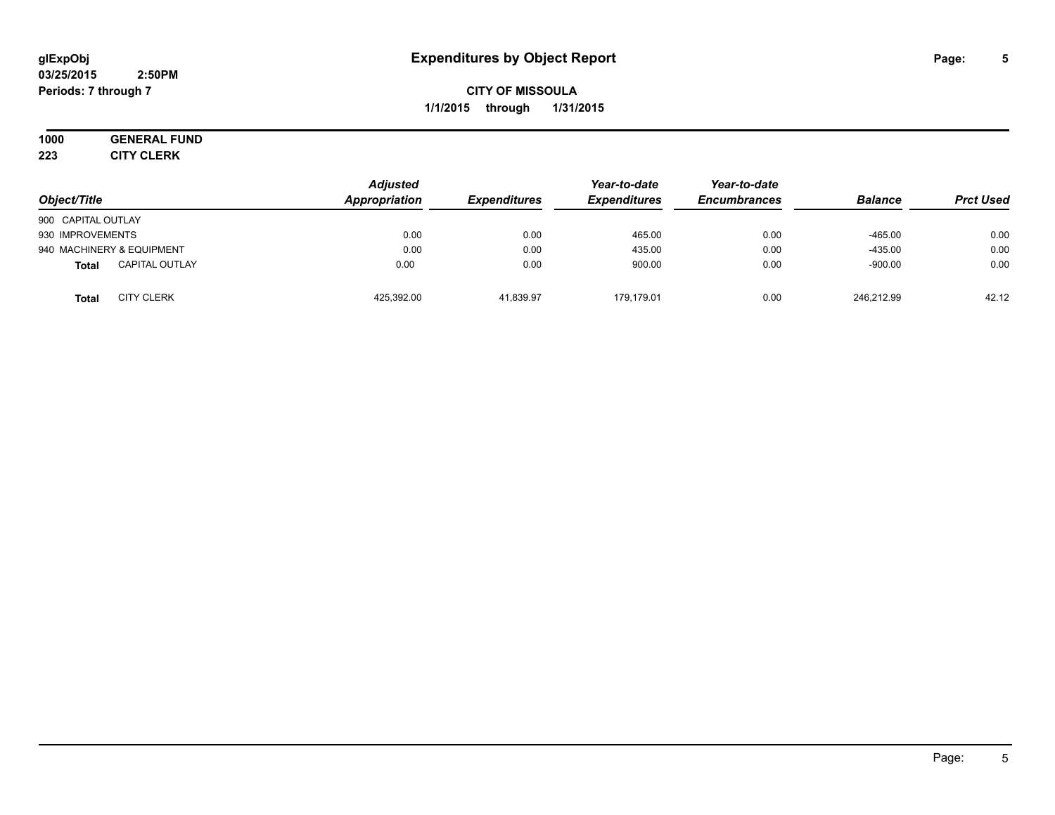#### **03/25/2015 2:50PM Periods: 7 through 7**

## **CITY OF MISSOULA 1/1/2015 through 1/31/2015**

# **1000 GENERAL FUND**

**223 CITY CLERK**

| Object/Title                          | <b>Adjusted</b><br>Appropriation | <b>Expenditures</b> | Year-to-date<br><b>Expenditures</b> | Year-to-date<br><b>Encumbrances</b> | <b>Balance</b> | <b>Prct Used</b> |
|---------------------------------------|----------------------------------|---------------------|-------------------------------------|-------------------------------------|----------------|------------------|
| 900 CAPITAL OUTLAY                    |                                  |                     |                                     |                                     |                |                  |
| 930 IMPROVEMENTS                      | 0.00                             | 0.00                | 465.00                              | 0.00                                | $-465.00$      | 0.00             |
| 940 MACHINERY & EQUIPMENT             | 0.00                             | 0.00                | 435.00                              | 0.00                                | $-435.00$      | 0.00             |
| <b>CAPITAL OUTLAY</b><br><b>Total</b> | 0.00                             | 0.00                | 900.00                              | 0.00                                | $-900.00$      | 0.00             |
| <b>CITY CLERK</b><br><b>Total</b>     | 425,392.00                       | 41,839.97           | 179.179.01                          | 0.00                                | 246.212.99     | 42.12            |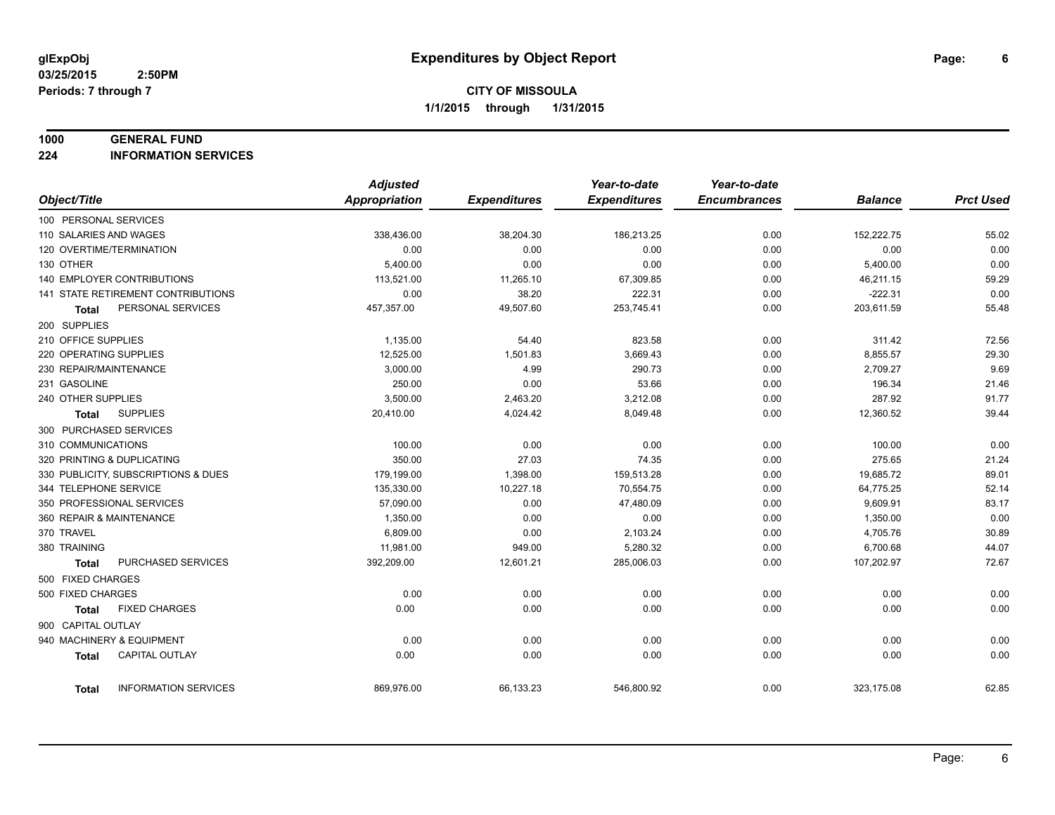#### **1000 GENERAL FUND**

**224 INFORMATION SERVICES**

|                            |                                     | <b>Adjusted</b> |                     | Year-to-date        | Year-to-date        |                |                  |
|----------------------------|-------------------------------------|-----------------|---------------------|---------------------|---------------------|----------------|------------------|
| Object/Title               |                                     | Appropriation   | <b>Expenditures</b> | <b>Expenditures</b> | <b>Encumbrances</b> | <b>Balance</b> | <b>Prct Used</b> |
| 100 PERSONAL SERVICES      |                                     |                 |                     |                     |                     |                |                  |
| 110 SALARIES AND WAGES     |                                     | 338,436.00      | 38,204.30           | 186,213.25          | 0.00                | 152,222.75     | 55.02            |
| 120 OVERTIME/TERMINATION   |                                     | 0.00            | 0.00                | 0.00                | 0.00                | 0.00           | 0.00             |
| 130 OTHER                  |                                     | 5,400.00        | 0.00                | 0.00                | 0.00                | 5,400.00       | 0.00             |
|                            | 140 EMPLOYER CONTRIBUTIONS          | 113,521.00      | 11,265.10           | 67,309.85           | 0.00                | 46,211.15      | 59.29            |
|                            | 141 STATE RETIREMENT CONTRIBUTIONS  | 0.00            | 38.20               | 222.31              | 0.00                | $-222.31$      | 0.00             |
| Total                      | PERSONAL SERVICES                   | 457,357.00      | 49,507.60           | 253,745.41          | 0.00                | 203,611.59     | 55.48            |
| 200 SUPPLIES               |                                     |                 |                     |                     |                     |                |                  |
| 210 OFFICE SUPPLIES        |                                     | 1,135.00        | 54.40               | 823.58              | 0.00                | 311.42         | 72.56            |
| 220 OPERATING SUPPLIES     |                                     | 12,525.00       | 1,501.83            | 3,669.43            | 0.00                | 8,855.57       | 29.30            |
| 230 REPAIR/MAINTENANCE     |                                     | 3,000.00        | 4.99                | 290.73              | 0.00                | 2,709.27       | 9.69             |
| 231 GASOLINE               |                                     | 250.00          | 0.00                | 53.66               | 0.00                | 196.34         | 21.46            |
| 240 OTHER SUPPLIES         |                                     | 3,500.00        | 2,463.20            | 3,212.08            | 0.00                | 287.92         | 91.77            |
| Total                      | <b>SUPPLIES</b>                     | 20,410.00       | 4,024.42            | 8,049.48            | 0.00                | 12,360.52      | 39.44            |
| 300 PURCHASED SERVICES     |                                     |                 |                     |                     |                     |                |                  |
| 310 COMMUNICATIONS         |                                     | 100.00          | 0.00                | 0.00                | 0.00                | 100.00         | 0.00             |
| 320 PRINTING & DUPLICATING |                                     | 350.00          | 27.03               | 74.35               | 0.00                | 275.65         | 21.24            |
|                            | 330 PUBLICITY, SUBSCRIPTIONS & DUES | 179,199.00      | 1,398.00            | 159,513.28          | 0.00                | 19,685.72      | 89.01            |
| 344 TELEPHONE SERVICE      |                                     | 135,330.00      | 10,227.18           | 70,554.75           | 0.00                | 64,775.25      | 52.14            |
| 350 PROFESSIONAL SERVICES  |                                     | 57,090.00       | 0.00                | 47,480.09           | 0.00                | 9,609.91       | 83.17            |
| 360 REPAIR & MAINTENANCE   |                                     | 1,350.00        | 0.00                | 0.00                | 0.00                | 1,350.00       | 0.00             |
| 370 TRAVEL                 |                                     | 6,809.00        | 0.00                | 2,103.24            | 0.00                | 4,705.76       | 30.89            |
| 380 TRAINING               |                                     | 11,981.00       | 949.00              | 5,280.32            | 0.00                | 6,700.68       | 44.07            |
| <b>Total</b>               | PURCHASED SERVICES                  | 392,209.00      | 12,601.21           | 285,006.03          | 0.00                | 107,202.97     | 72.67            |
| 500 FIXED CHARGES          |                                     |                 |                     |                     |                     |                |                  |
| 500 FIXED CHARGES          |                                     | 0.00            | 0.00                | 0.00                | 0.00                | 0.00           | 0.00             |
| Total                      | <b>FIXED CHARGES</b>                | 0.00            | 0.00                | 0.00                | 0.00                | 0.00           | 0.00             |
| 900 CAPITAL OUTLAY         |                                     |                 |                     |                     |                     |                |                  |
| 940 MACHINERY & EQUIPMENT  |                                     | 0.00            | 0.00                | 0.00                | 0.00                | 0.00           | 0.00             |
| <b>Total</b>               | <b>CAPITAL OUTLAY</b>               | 0.00            | 0.00                | 0.00                | 0.00                | 0.00           | 0.00             |
|                            |                                     |                 |                     |                     |                     |                |                  |
| Total                      | <b>INFORMATION SERVICES</b>         | 869,976.00      | 66,133.23           | 546,800.92          | 0.00                | 323,175.08     | 62.85            |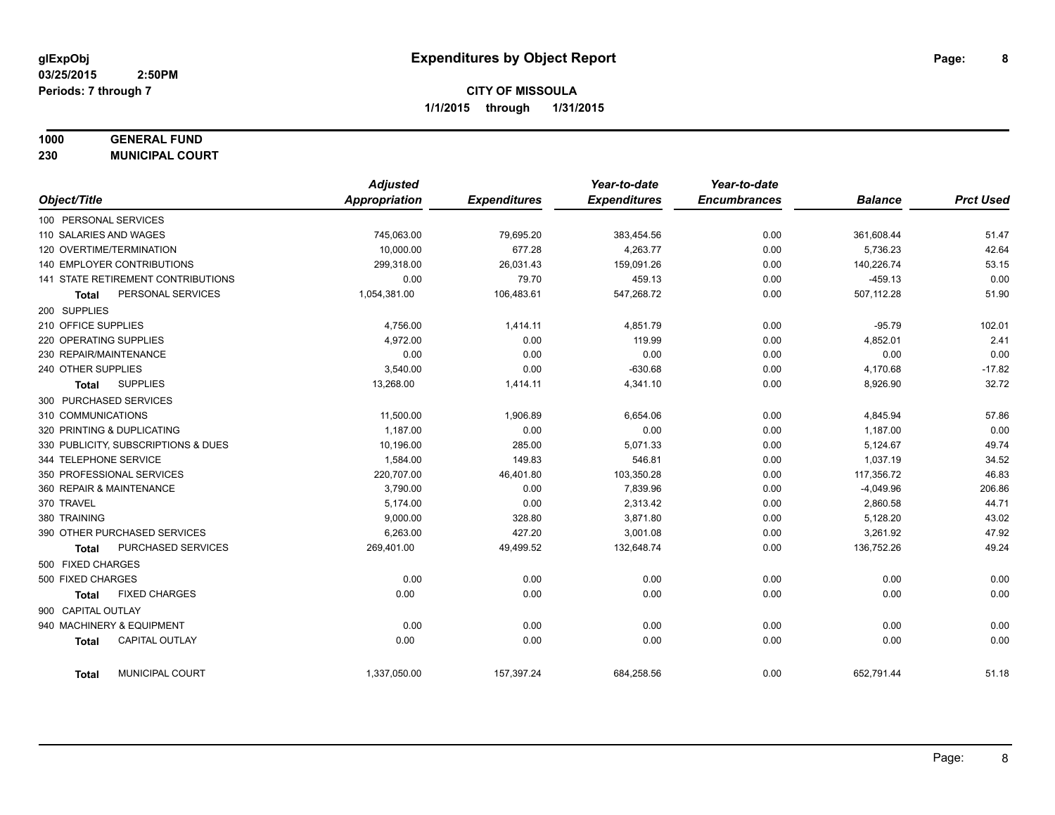## **1000 GENERAL FUND**

**230 MUNICIPAL COURT**

|                                       | <b>Adjusted</b> |                     | Year-to-date        | Year-to-date        |                |                  |
|---------------------------------------|-----------------|---------------------|---------------------|---------------------|----------------|------------------|
| Object/Title                          | Appropriation   | <b>Expenditures</b> | <b>Expenditures</b> | <b>Encumbrances</b> | <b>Balance</b> | <b>Prct Used</b> |
| 100 PERSONAL SERVICES                 |                 |                     |                     |                     |                |                  |
| 110 SALARIES AND WAGES                | 745,063.00      | 79,695.20           | 383,454.56          | 0.00                | 361,608.44     | 51.47            |
| 120 OVERTIME/TERMINATION              | 10.000.00       | 677.28              | 4,263.77            | 0.00                | 5,736.23       | 42.64            |
| 140 EMPLOYER CONTRIBUTIONS            | 299,318.00      | 26,031.43           | 159,091.26          | 0.00                | 140,226.74     | 53.15            |
| 141 STATE RETIREMENT CONTRIBUTIONS    | 0.00            | 79.70               | 459.13              | 0.00                | $-459.13$      | 0.00             |
| PERSONAL SERVICES<br><b>Total</b>     | 1,054,381.00    | 106,483.61          | 547,268.72          | 0.00                | 507,112.28     | 51.90            |
| 200 SUPPLIES                          |                 |                     |                     |                     |                |                  |
| 210 OFFICE SUPPLIES                   | 4,756.00        | 1,414.11            | 4,851.79            | 0.00                | $-95.79$       | 102.01           |
| 220 OPERATING SUPPLIES                | 4,972.00        | 0.00                | 119.99              | 0.00                | 4,852.01       | 2.41             |
| 230 REPAIR/MAINTENANCE                | 0.00            | 0.00                | 0.00                | 0.00                | 0.00           | 0.00             |
| 240 OTHER SUPPLIES                    | 3,540.00        | 0.00                | $-630.68$           | 0.00                | 4,170.68       | $-17.82$         |
| <b>SUPPLIES</b><br>Total              | 13,268.00       | 1,414.11            | 4,341.10            | 0.00                | 8,926.90       | 32.72            |
| 300 PURCHASED SERVICES                |                 |                     |                     |                     |                |                  |
| 310 COMMUNICATIONS                    | 11,500.00       | 1,906.89            | 6,654.06            | 0.00                | 4,845.94       | 57.86            |
| 320 PRINTING & DUPLICATING            | 1,187.00        | 0.00                | 0.00                | 0.00                | 1,187.00       | 0.00             |
| 330 PUBLICITY, SUBSCRIPTIONS & DUES   | 10,196.00       | 285.00              | 5,071.33            | 0.00                | 5,124.67       | 49.74            |
| 344 TELEPHONE SERVICE                 | 1,584.00        | 149.83              | 546.81              | 0.00                | 1,037.19       | 34.52            |
| 350 PROFESSIONAL SERVICES             | 220,707.00      | 46,401.80           | 103,350.28          | 0.00                | 117,356.72     | 46.83            |
| 360 REPAIR & MAINTENANCE              | 3,790.00        | 0.00                | 7,839.96            | 0.00                | $-4,049.96$    | 206.86           |
| 370 TRAVEL                            | 5,174.00        | 0.00                | 2,313.42            | 0.00                | 2,860.58       | 44.71            |
| 380 TRAINING                          | 9,000.00        | 328.80              | 3,871.80            | 0.00                | 5,128.20       | 43.02            |
| 390 OTHER PURCHASED SERVICES          | 6,263.00        | 427.20              | 3,001.08            | 0.00                | 3,261.92       | 47.92            |
| PURCHASED SERVICES<br><b>Total</b>    | 269,401.00      | 49,499.52           | 132,648.74          | 0.00                | 136,752.26     | 49.24            |
| 500 FIXED CHARGES                     |                 |                     |                     |                     |                |                  |
| 500 FIXED CHARGES                     | 0.00            | 0.00                | 0.00                | 0.00                | 0.00           | 0.00             |
| <b>FIXED CHARGES</b><br><b>Total</b>  | 0.00            | 0.00                | 0.00                | 0.00                | 0.00           | 0.00             |
| 900 CAPITAL OUTLAY                    |                 |                     |                     |                     |                |                  |
| 940 MACHINERY & EQUIPMENT             | 0.00            | 0.00                | 0.00                | 0.00                | 0.00           | 0.00             |
| <b>CAPITAL OUTLAY</b><br><b>Total</b> | 0.00            | 0.00                | 0.00                | 0.00                | 0.00           | 0.00             |
| MUNICIPAL COURT<br><b>Total</b>       | 1,337,050.00    | 157,397.24          | 684,258.56          | 0.00                | 652,791.44     | 51.18            |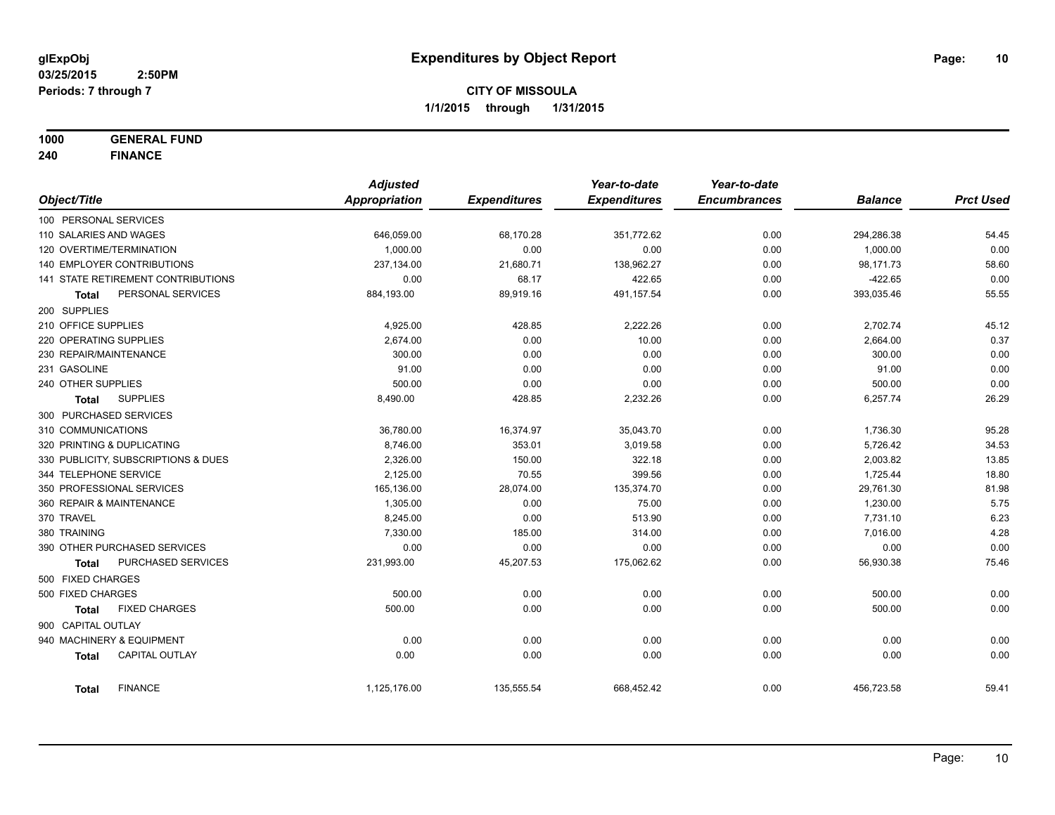**1000 GENERAL FUND**

**240 FINANCE**

|                            |                                     | <b>Adjusted</b> |                     | Year-to-date        | Year-to-date        |                |                  |
|----------------------------|-------------------------------------|-----------------|---------------------|---------------------|---------------------|----------------|------------------|
| Object/Title               |                                     | Appropriation   | <b>Expenditures</b> | <b>Expenditures</b> | <b>Encumbrances</b> | <b>Balance</b> | <b>Prct Used</b> |
| 100 PERSONAL SERVICES      |                                     |                 |                     |                     |                     |                |                  |
| 110 SALARIES AND WAGES     |                                     | 646,059.00      | 68,170.28           | 351,772.62          | 0.00                | 294,286.38     | 54.45            |
| 120 OVERTIME/TERMINATION   |                                     | 1,000.00        | 0.00                | 0.00                | 0.00                | 1,000.00       | 0.00             |
|                            | 140 EMPLOYER CONTRIBUTIONS          | 237,134.00      | 21,680.71           | 138,962.27          | 0.00                | 98,171.73      | 58.60            |
|                            | 141 STATE RETIREMENT CONTRIBUTIONS  | 0.00            | 68.17               | 422.65              | 0.00                | $-422.65$      | 0.00             |
| <b>Total</b>               | PERSONAL SERVICES                   | 884,193.00      | 89,919.16           | 491,157.54          | 0.00                | 393,035.46     | 55.55            |
| 200 SUPPLIES               |                                     |                 |                     |                     |                     |                |                  |
| 210 OFFICE SUPPLIES        |                                     | 4,925.00        | 428.85              | 2,222.26            | 0.00                | 2,702.74       | 45.12            |
| 220 OPERATING SUPPLIES     |                                     | 2,674.00        | 0.00                | 10.00               | 0.00                | 2,664.00       | 0.37             |
| 230 REPAIR/MAINTENANCE     |                                     | 300.00          | 0.00                | 0.00                | 0.00                | 300.00         | 0.00             |
| 231 GASOLINE               |                                     | 91.00           | 0.00                | 0.00                | 0.00                | 91.00          | 0.00             |
| 240 OTHER SUPPLIES         |                                     | 500.00          | 0.00                | 0.00                | 0.00                | 500.00         | 0.00             |
| Total                      | <b>SUPPLIES</b>                     | 8,490.00        | 428.85              | 2,232.26            | 0.00                | 6,257.74       | 26.29            |
| 300 PURCHASED SERVICES     |                                     |                 |                     |                     |                     |                |                  |
| 310 COMMUNICATIONS         |                                     | 36,780.00       | 16,374.97           | 35,043.70           | 0.00                | 1,736.30       | 95.28            |
| 320 PRINTING & DUPLICATING |                                     | 8,746.00        | 353.01              | 3,019.58            | 0.00                | 5,726.42       | 34.53            |
|                            | 330 PUBLICITY, SUBSCRIPTIONS & DUES | 2,326.00        | 150.00              | 322.18              | 0.00                | 2,003.82       | 13.85            |
| 344 TELEPHONE SERVICE      |                                     | 2,125.00        | 70.55               | 399.56              | 0.00                | 1,725.44       | 18.80            |
| 350 PROFESSIONAL SERVICES  |                                     | 165,136.00      | 28,074.00           | 135,374.70          | 0.00                | 29,761.30      | 81.98            |
| 360 REPAIR & MAINTENANCE   |                                     | 1,305.00        | 0.00                | 75.00               | 0.00                | 1,230.00       | 5.75             |
| 370 TRAVEL                 |                                     | 8,245.00        | 0.00                | 513.90              | 0.00                | 7,731.10       | 6.23             |
| 380 TRAINING               |                                     | 7,330.00        | 185.00              | 314.00              | 0.00                | 7,016.00       | 4.28             |
|                            | 390 OTHER PURCHASED SERVICES        | 0.00            | 0.00                | 0.00                | 0.00                | 0.00           | 0.00             |
| <b>Total</b>               | <b>PURCHASED SERVICES</b>           | 231,993.00      | 45,207.53           | 175,062.62          | 0.00                | 56,930.38      | 75.46            |
| 500 FIXED CHARGES          |                                     |                 |                     |                     |                     |                |                  |
| 500 FIXED CHARGES          |                                     | 500.00          | 0.00                | 0.00                | 0.00                | 500.00         | 0.00             |
| <b>Total</b>               | <b>FIXED CHARGES</b>                | 500.00          | 0.00                | 0.00                | 0.00                | 500.00         | 0.00             |
| 900 CAPITAL OUTLAY         |                                     |                 |                     |                     |                     |                |                  |
| 940 MACHINERY & EQUIPMENT  |                                     | 0.00            | 0.00                | 0.00                | 0.00                | 0.00           | 0.00             |
| <b>Total</b>               | CAPITAL OUTLAY                      | 0.00            | 0.00                | 0.00                | 0.00                | 0.00           | 0.00             |
| <b>Total</b>               | <b>FINANCE</b>                      | 1,125,176.00    | 135,555.54          | 668,452.42          | 0.00                | 456,723.58     | 59.41            |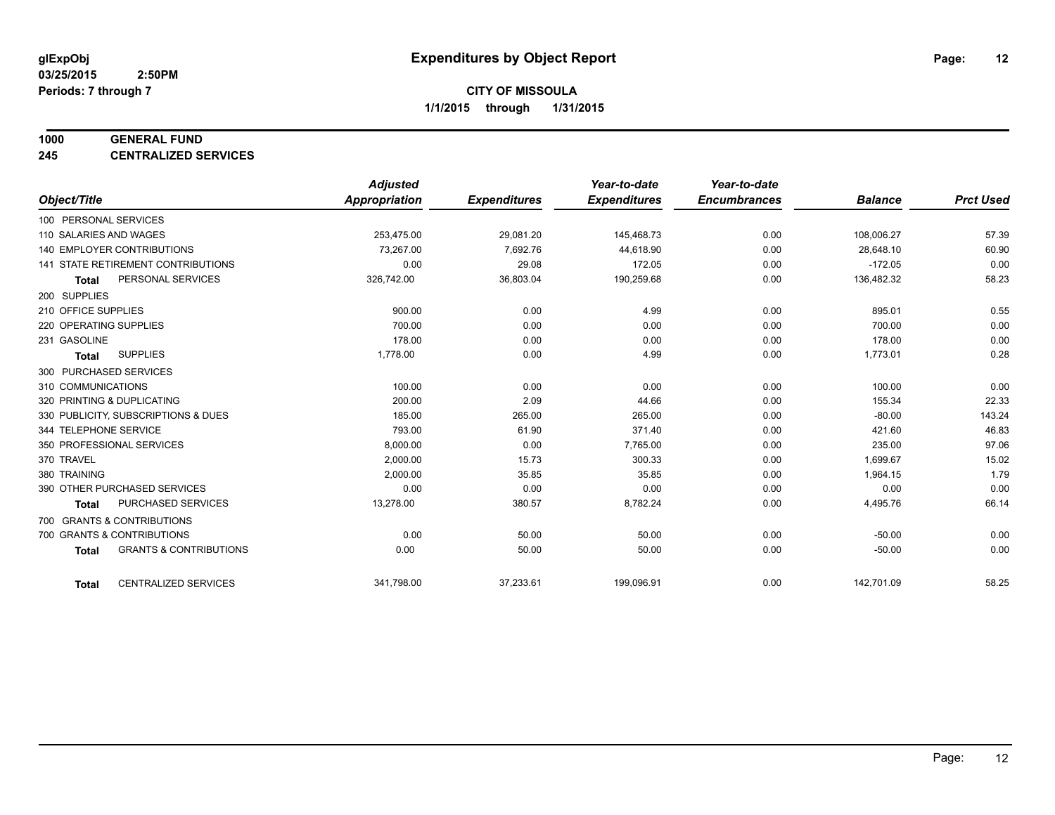#### **1000 GENERAL FUND**

**245 CENTRALIZED SERVICES**

|                            |                                     | <b>Adjusted</b>      |                     | Year-to-date        | Year-to-date        |                |                  |
|----------------------------|-------------------------------------|----------------------|---------------------|---------------------|---------------------|----------------|------------------|
| Object/Title               |                                     | <b>Appropriation</b> | <b>Expenditures</b> | <b>Expenditures</b> | <b>Encumbrances</b> | <b>Balance</b> | <b>Prct Used</b> |
| 100 PERSONAL SERVICES      |                                     |                      |                     |                     |                     |                |                  |
| 110 SALARIES AND WAGES     |                                     | 253,475.00           | 29,081.20           | 145,468.73          | 0.00                | 108,006.27     | 57.39            |
|                            | <b>140 EMPLOYER CONTRIBUTIONS</b>   | 73,267.00            | 7,692.76            | 44,618.90           | 0.00                | 28,648.10      | 60.90            |
|                            | 141 STATE RETIREMENT CONTRIBUTIONS  | 0.00                 | 29.08               | 172.05              | 0.00                | $-172.05$      | 0.00             |
| <b>Total</b>               | PERSONAL SERVICES                   | 326,742.00           | 36,803.04           | 190,259.68          | 0.00                | 136,482.32     | 58.23            |
| 200 SUPPLIES               |                                     |                      |                     |                     |                     |                |                  |
| 210 OFFICE SUPPLIES        |                                     | 900.00               | 0.00                | 4.99                | 0.00                | 895.01         | 0.55             |
| 220 OPERATING SUPPLIES     |                                     | 700.00               | 0.00                | 0.00                | 0.00                | 700.00         | 0.00             |
| 231 GASOLINE               |                                     | 178.00               | 0.00                | 0.00                | 0.00                | 178.00         | 0.00             |
| <b>Total</b>               | <b>SUPPLIES</b>                     | 1,778.00             | 0.00                | 4.99                | 0.00                | 1,773.01       | 0.28             |
| 300 PURCHASED SERVICES     |                                     |                      |                     |                     |                     |                |                  |
| 310 COMMUNICATIONS         |                                     | 100.00               | 0.00                | 0.00                | 0.00                | 100.00         | 0.00             |
| 320 PRINTING & DUPLICATING |                                     | 200.00               | 2.09                | 44.66               | 0.00                | 155.34         | 22.33            |
|                            | 330 PUBLICITY, SUBSCRIPTIONS & DUES | 185.00               | 265.00              | 265.00              | 0.00                | $-80.00$       | 143.24           |
| 344 TELEPHONE SERVICE      |                                     | 793.00               | 61.90               | 371.40              | 0.00                | 421.60         | 46.83            |
| 350 PROFESSIONAL SERVICES  |                                     | 8,000.00             | 0.00                | 7,765.00            | 0.00                | 235.00         | 97.06            |
| 370 TRAVEL                 |                                     | 2,000.00             | 15.73               | 300.33              | 0.00                | 1,699.67       | 15.02            |
| 380 TRAINING               |                                     | 2,000.00             | 35.85               | 35.85               | 0.00                | 1,964.15       | 1.79             |
|                            | 390 OTHER PURCHASED SERVICES        | 0.00                 | 0.00                | 0.00                | 0.00                | 0.00           | 0.00             |
| <b>Total</b>               | <b>PURCHASED SERVICES</b>           | 13,278.00            | 380.57              | 8,782.24            | 0.00                | 4,495.76       | 66.14            |
|                            | 700 GRANTS & CONTRIBUTIONS          |                      |                     |                     |                     |                |                  |
| 700 GRANTS & CONTRIBUTIONS |                                     | 0.00                 | 50.00               | 50.00               | 0.00                | $-50.00$       | 0.00             |
| <b>Total</b>               | <b>GRANTS &amp; CONTRIBUTIONS</b>   | 0.00                 | 50.00               | 50.00               | 0.00                | $-50.00$       | 0.00             |
|                            |                                     |                      |                     |                     |                     |                |                  |
| <b>Total</b>               | <b>CENTRALIZED SERVICES</b>         | 341,798.00           | 37,233.61           | 199,096.91          | 0.00                | 142,701.09     | 58.25            |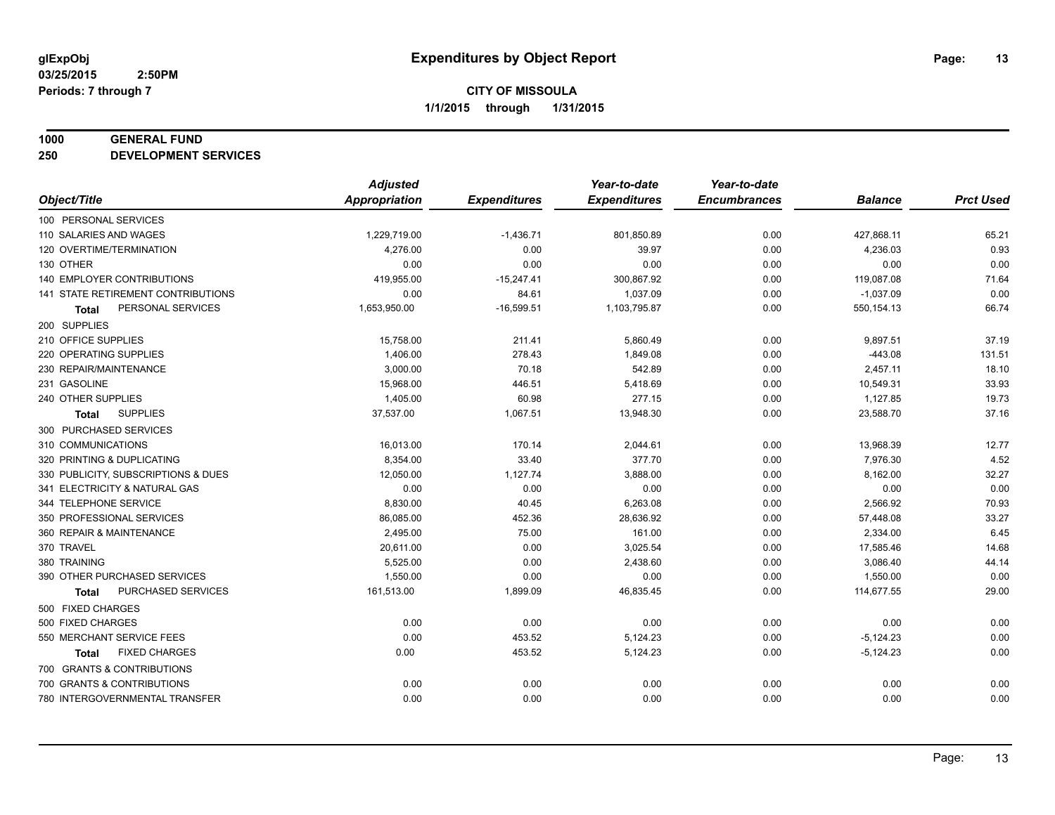#### **1000 GENERAL FUND**

**250 DEVELOPMENT SERVICES**

|                                      | <b>Adjusted</b>      |                     | Year-to-date        | Year-to-date        |                |                  |
|--------------------------------------|----------------------|---------------------|---------------------|---------------------|----------------|------------------|
| Object/Title                         | <b>Appropriation</b> | <b>Expenditures</b> | <b>Expenditures</b> | <b>Encumbrances</b> | <b>Balance</b> | <b>Prct Used</b> |
| 100 PERSONAL SERVICES                |                      |                     |                     |                     |                |                  |
| 110 SALARIES AND WAGES               | 1,229,719.00         | $-1,436.71$         | 801,850.89          | 0.00                | 427,868.11     | 65.21            |
| 120 OVERTIME/TERMINATION             | 4,276.00             | 0.00                | 39.97               | 0.00                | 4,236.03       | 0.93             |
| 130 OTHER                            | 0.00                 | 0.00                | 0.00                | 0.00                | 0.00           | 0.00             |
| 140 EMPLOYER CONTRIBUTIONS           | 419,955.00           | $-15,247.41$        | 300,867.92          | 0.00                | 119,087.08     | 71.64            |
| 141 STATE RETIREMENT CONTRIBUTIONS   | 0.00                 | 84.61               | 1,037.09            | 0.00                | $-1,037.09$    | 0.00             |
| PERSONAL SERVICES<br><b>Total</b>    | 1,653,950.00         | $-16,599.51$        | 1,103,795.87        | 0.00                | 550, 154. 13   | 66.74            |
| 200 SUPPLIES                         |                      |                     |                     |                     |                |                  |
| 210 OFFICE SUPPLIES                  | 15,758.00            | 211.41              | 5,860.49            | 0.00                | 9,897.51       | 37.19            |
| 220 OPERATING SUPPLIES               | 1,406.00             | 278.43              | 1,849.08            | 0.00                | $-443.08$      | 131.51           |
| 230 REPAIR/MAINTENANCE               | 3,000.00             | 70.18               | 542.89              | 0.00                | 2,457.11       | 18.10            |
| 231 GASOLINE                         | 15,968.00            | 446.51              | 5,418.69            | 0.00                | 10,549.31      | 33.93            |
| 240 OTHER SUPPLIES                   | 1,405.00             | 60.98               | 277.15              | 0.00                | 1,127.85       | 19.73            |
| <b>SUPPLIES</b><br><b>Total</b>      | 37,537.00            | 1,067.51            | 13,948.30           | 0.00                | 23,588.70      | 37.16            |
| 300 PURCHASED SERVICES               |                      |                     |                     |                     |                |                  |
| 310 COMMUNICATIONS                   | 16,013.00            | 170.14              | 2,044.61            | 0.00                | 13,968.39      | 12.77            |
| 320 PRINTING & DUPLICATING           | 8,354.00             | 33.40               | 377.70              | 0.00                | 7,976.30       | 4.52             |
| 330 PUBLICITY, SUBSCRIPTIONS & DUES  | 12,050.00            | 1,127.74            | 3,888.00            | 0.00                | 8,162.00       | 32.27            |
| 341 ELECTRICITY & NATURAL GAS        | 0.00                 | 0.00                | 0.00                | 0.00                | 0.00           | 0.00             |
| 344 TELEPHONE SERVICE                | 8,830.00             | 40.45               | 6,263.08            | 0.00                | 2,566.92       | 70.93            |
| 350 PROFESSIONAL SERVICES            | 86,085.00            | 452.36              | 28,636.92           | 0.00                | 57,448.08      | 33.27            |
| 360 REPAIR & MAINTENANCE             | 2,495.00             | 75.00               | 161.00              | 0.00                | 2,334.00       | 6.45             |
| 370 TRAVEL                           | 20,611.00            | 0.00                | 3,025.54            | 0.00                | 17,585.46      | 14.68            |
| 380 TRAINING                         | 5,525.00             | 0.00                | 2,438.60            | 0.00                | 3,086.40       | 44.14            |
| 390 OTHER PURCHASED SERVICES         | 1,550.00             | 0.00                | 0.00                | 0.00                | 1,550.00       | 0.00             |
| PURCHASED SERVICES<br><b>Total</b>   | 161,513.00           | 1,899.09            | 46,835.45           | 0.00                | 114,677.55     | 29.00            |
| 500 FIXED CHARGES                    |                      |                     |                     |                     |                |                  |
| 500 FIXED CHARGES                    | 0.00                 | 0.00                | 0.00                | 0.00                | 0.00           | 0.00             |
| 550 MERCHANT SERVICE FEES            | 0.00                 | 453.52              | 5,124.23            | 0.00                | $-5,124.23$    | 0.00             |
| <b>FIXED CHARGES</b><br><b>Total</b> | 0.00                 | 453.52              | 5,124.23            | 0.00                | $-5,124.23$    | 0.00             |
| 700 GRANTS & CONTRIBUTIONS           |                      |                     |                     |                     |                |                  |
| 700 GRANTS & CONTRIBUTIONS           | 0.00                 | 0.00                | 0.00                | 0.00                | 0.00           | 0.00             |
| 780 INTERGOVERNMENTAL TRANSFER       | 0.00                 | 0.00                | 0.00                | 0.00                | 0.00           | 0.00             |
|                                      |                      |                     |                     |                     |                |                  |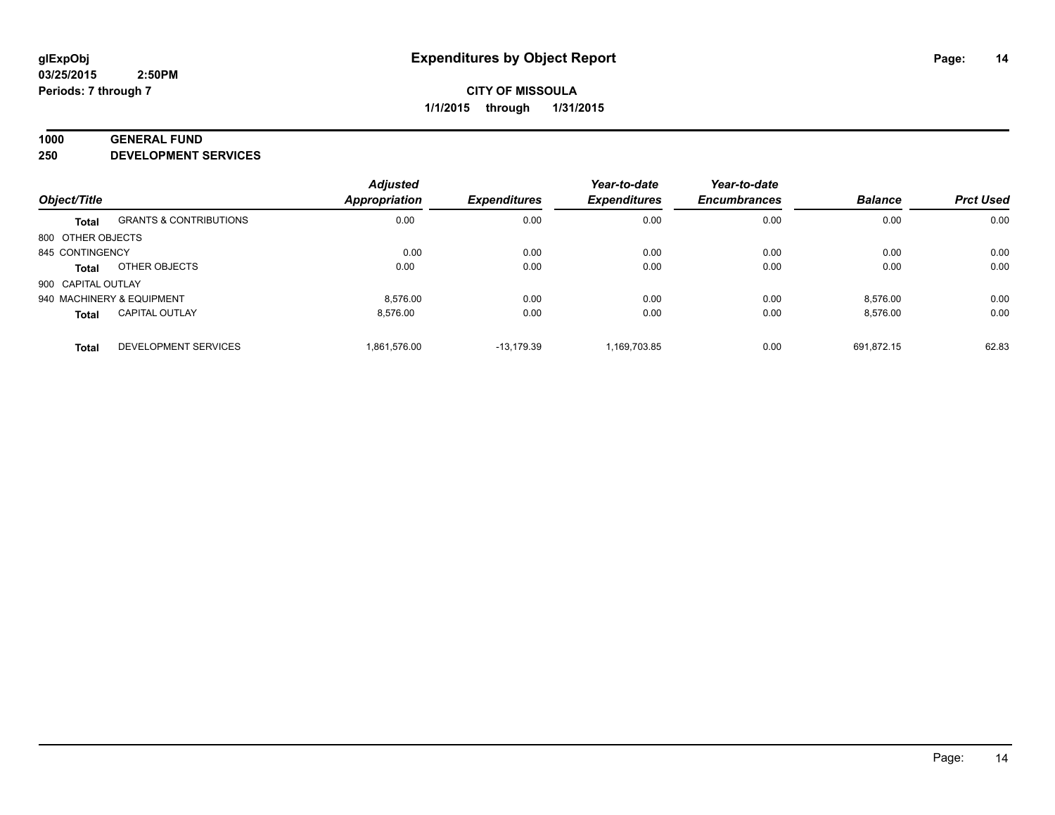#### **1000 GENERAL FUND**

**250 DEVELOPMENT SERVICES**

| Object/Title       |                             | <b>Adjusted</b><br><b>Appropriation</b> | <b>Expenditures</b> | Year-to-date<br><b>Expenditures</b> | Year-to-date<br><b>Encumbrances</b> | <b>Balance</b> | <b>Prct Used</b> |
|--------------------|-----------------------------|-----------------------------------------|---------------------|-------------------------------------|-------------------------------------|----------------|------------------|
|                    |                             |                                         |                     |                                     |                                     |                |                  |
| 800 OTHER OBJECTS  |                             |                                         |                     |                                     |                                     |                |                  |
| 845 CONTINGENCY    |                             | 0.00                                    | 0.00                | 0.00                                | 0.00                                | 0.00           | 0.00             |
| <b>Total</b>       | OTHER OBJECTS               | 0.00                                    | 0.00                | 0.00                                | 0.00                                | 0.00           | 0.00             |
| 900 CAPITAL OUTLAY |                             |                                         |                     |                                     |                                     |                |                  |
|                    | 940 MACHINERY & EQUIPMENT   | 8.576.00                                | 0.00                | 0.00                                | 0.00                                | 8.576.00       | 0.00             |
| <b>Total</b>       | <b>CAPITAL OUTLAY</b>       | 8.576.00                                | 0.00                | 0.00                                | 0.00                                | 8,576.00       | 0.00             |
| <b>Total</b>       | <b>DEVELOPMENT SERVICES</b> | 1.861.576.00                            | $-13.179.39$        | 1.169.703.85                        | 0.00                                | 691.872.15     | 62.83            |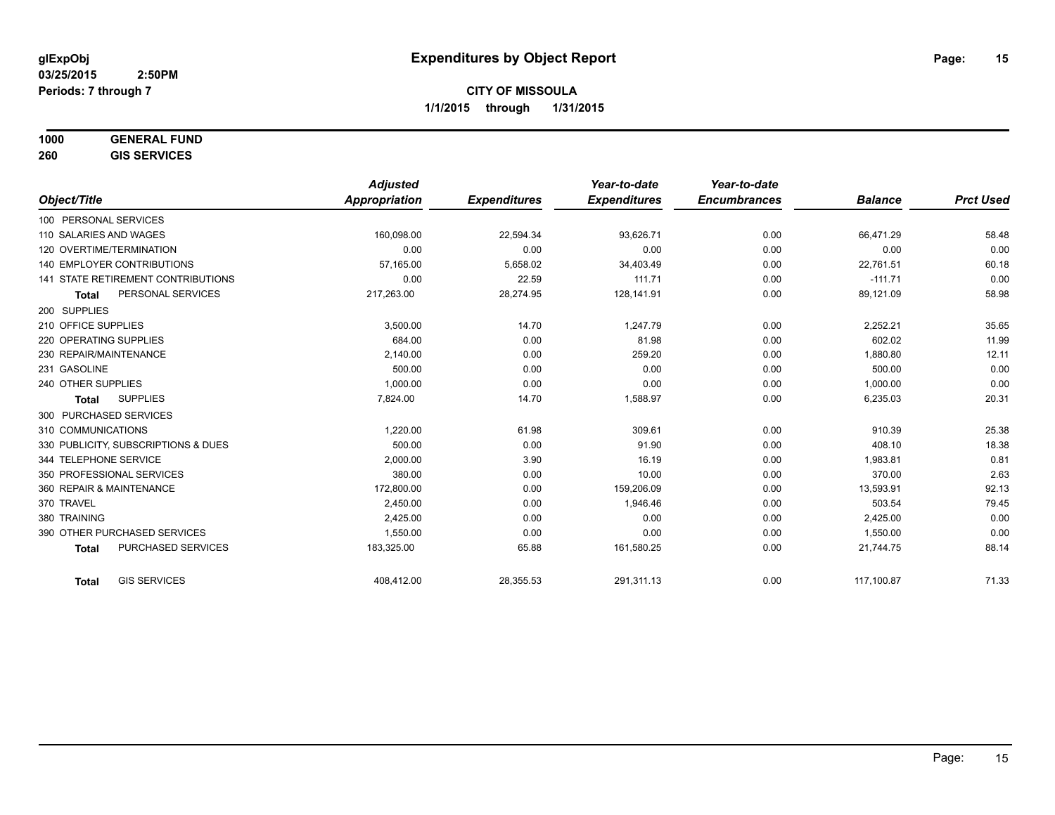# **1000 GENERAL FUND**

**260 GIS SERVICES**

|                                           | <b>Adjusted</b>      |                     | Year-to-date        | Year-to-date        |                |                  |
|-------------------------------------------|----------------------|---------------------|---------------------|---------------------|----------------|------------------|
| Object/Title                              | <b>Appropriation</b> | <b>Expenditures</b> | <b>Expenditures</b> | <b>Encumbrances</b> | <b>Balance</b> | <b>Prct Used</b> |
| 100 PERSONAL SERVICES                     |                      |                     |                     |                     |                |                  |
| 110 SALARIES AND WAGES                    | 160.098.00           | 22,594.34           | 93.626.71           | 0.00                | 66.471.29      | 58.48            |
| 120 OVERTIME/TERMINATION                  | 0.00                 | 0.00                | 0.00                | 0.00                | 0.00           | 0.00             |
| <b>140 EMPLOYER CONTRIBUTIONS</b>         | 57,165.00            | 5,658.02            | 34,403.49           | 0.00                | 22,761.51      | 60.18            |
| <b>141 STATE RETIREMENT CONTRIBUTIONS</b> | 0.00                 | 22.59               | 111.71              | 0.00                | $-111.71$      | 0.00             |
| PERSONAL SERVICES<br><b>Total</b>         | 217,263.00           | 28,274.95           | 128,141.91          | 0.00                | 89,121.09      | 58.98            |
| 200 SUPPLIES                              |                      |                     |                     |                     |                |                  |
| 210 OFFICE SUPPLIES                       | 3,500.00             | 14.70               | 1.247.79            | 0.00                | 2,252.21       | 35.65            |
| 220 OPERATING SUPPLIES                    | 684.00               | 0.00                | 81.98               | 0.00                | 602.02         | 11.99            |
| 230 REPAIR/MAINTENANCE                    | 2,140.00             | 0.00                | 259.20              | 0.00                | 1,880.80       | 12.11            |
| 231 GASOLINE                              | 500.00               | 0.00                | 0.00                | 0.00                | 500.00         | 0.00             |
| 240 OTHER SUPPLIES                        | 1.000.00             | 0.00                | 0.00                | 0.00                | 1,000.00       | 0.00             |
| <b>SUPPLIES</b><br><b>Total</b>           | 7,824.00             | 14.70               | 1,588.97            | 0.00                | 6,235.03       | 20.31            |
| 300 PURCHASED SERVICES                    |                      |                     |                     |                     |                |                  |
| 310 COMMUNICATIONS                        | 1,220.00             | 61.98               | 309.61              | 0.00                | 910.39         | 25.38            |
| 330 PUBLICITY, SUBSCRIPTIONS & DUES       | 500.00               | 0.00                | 91.90               | 0.00                | 408.10         | 18.38            |
| 344 TELEPHONE SERVICE                     | 2,000.00             | 3.90                | 16.19               | 0.00                | 1,983.81       | 0.81             |
| 350 PROFESSIONAL SERVICES                 | 380.00               | 0.00                | 10.00               | 0.00                | 370.00         | 2.63             |
| 360 REPAIR & MAINTENANCE                  | 172,800.00           | 0.00                | 159,206.09          | 0.00                | 13,593.91      | 92.13            |
| 370 TRAVEL                                | 2,450.00             | 0.00                | 1,946.46            | 0.00                | 503.54         | 79.45            |
| 380 TRAINING                              | 2,425.00             | 0.00                | 0.00                | 0.00                | 2,425.00       | 0.00             |
| 390 OTHER PURCHASED SERVICES              | 1,550.00             | 0.00                | 0.00                | 0.00                | 1,550.00       | 0.00             |
| <b>PURCHASED SERVICES</b><br><b>Total</b> | 183,325.00           | 65.88               | 161,580.25          | 0.00                | 21,744.75      | 88.14            |
| <b>GIS SERVICES</b><br><b>Total</b>       | 408,412.00           | 28,355.53           | 291,311.13          | 0.00                | 117,100.87     | 71.33            |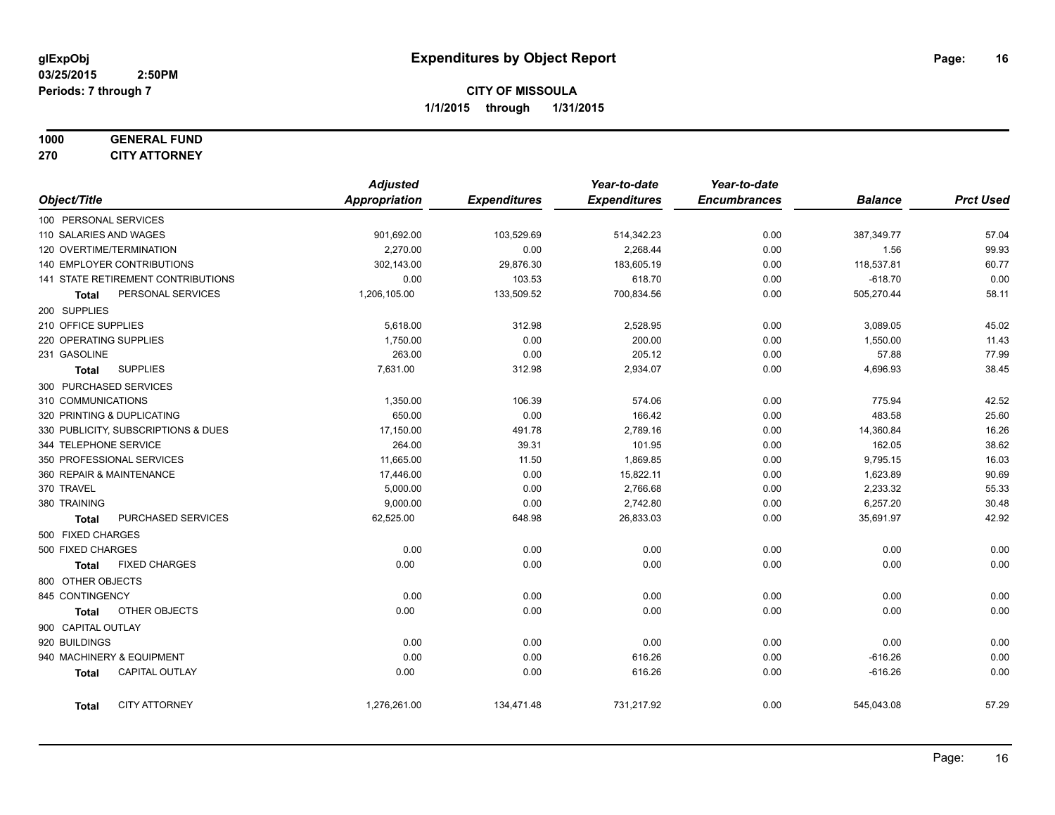# **1000 GENERAL FUND**

**270 CITY ATTORNEY**

|  |                     |                                     | <b>Adjusted</b> |                     | Year-to-date        | Year-to-date        |                |                  |
|--|---------------------|-------------------------------------|-----------------|---------------------|---------------------|---------------------|----------------|------------------|
|  | Object/Title        |                                     | Appropriation   | <b>Expenditures</b> | <b>Expenditures</b> | <b>Encumbrances</b> | <b>Balance</b> | <b>Prct Used</b> |
|  |                     | 100 PERSONAL SERVICES               |                 |                     |                     |                     |                |                  |
|  |                     | 110 SALARIES AND WAGES              | 901,692.00      | 103,529.69          | 514,342.23          | 0.00                | 387,349.77     | 57.04            |
|  |                     | 120 OVERTIME/TERMINATION            | 2,270.00        | 0.00                | 2,268.44            | 0.00                | 1.56           | 99.93            |
|  |                     | 140 EMPLOYER CONTRIBUTIONS          | 302,143.00      | 29,876.30           | 183,605.19          | 0.00                | 118,537.81     | 60.77            |
|  |                     | 141 STATE RETIREMENT CONTRIBUTIONS  | 0.00            | 103.53              | 618.70              | 0.00                | $-618.70$      | 0.00             |
|  | Total               | PERSONAL SERVICES                   | 1,206,105.00    | 133,509.52          | 700,834.56          | 0.00                | 505,270.44     | 58.11            |
|  | 200 SUPPLIES        |                                     |                 |                     |                     |                     |                |                  |
|  | 210 OFFICE SUPPLIES |                                     | 5,618.00        | 312.98              | 2,528.95            | 0.00                | 3,089.05       | 45.02            |
|  |                     | 220 OPERATING SUPPLIES              | 1,750.00        | 0.00                | 200.00              | 0.00                | 1,550.00       | 11.43            |
|  | 231 GASOLINE        |                                     | 263.00          | 0.00                | 205.12              | 0.00                | 57.88          | 77.99            |
|  | <b>Total</b>        | <b>SUPPLIES</b>                     | 7,631.00        | 312.98              | 2,934.07            | 0.00                | 4,696.93       | 38.45            |
|  |                     | 300 PURCHASED SERVICES              |                 |                     |                     |                     |                |                  |
|  | 310 COMMUNICATIONS  |                                     | 1,350.00        | 106.39              | 574.06              | 0.00                | 775.94         | 42.52            |
|  |                     | 320 PRINTING & DUPLICATING          | 650.00          | 0.00                | 166.42              | 0.00                | 483.58         | 25.60            |
|  |                     | 330 PUBLICITY, SUBSCRIPTIONS & DUES | 17,150.00       | 491.78              | 2,789.16            | 0.00                | 14,360.84      | 16.26            |
|  |                     | 344 TELEPHONE SERVICE               | 264.00          | 39.31               | 101.95              | 0.00                | 162.05         | 38.62            |
|  |                     | 350 PROFESSIONAL SERVICES           | 11,665.00       | 11.50               | 1,869.85            | 0.00                | 9,795.15       | 16.03            |
|  |                     | 360 REPAIR & MAINTENANCE            | 17,446.00       | 0.00                | 15,822.11           | 0.00                | 1,623.89       | 90.69            |
|  | 370 TRAVEL          |                                     | 5,000.00        | 0.00                | 2,766.68            | 0.00                | 2,233.32       | 55.33            |
|  | 380 TRAINING        |                                     | 9,000.00        | 0.00                | 2,742.80            | 0.00                | 6,257.20       | 30.48            |
|  | <b>Total</b>        | PURCHASED SERVICES                  | 62,525.00       | 648.98              | 26,833.03           | 0.00                | 35,691.97      | 42.92            |
|  | 500 FIXED CHARGES   |                                     |                 |                     |                     |                     |                |                  |
|  | 500 FIXED CHARGES   |                                     | 0.00            | 0.00                | 0.00                | 0.00                | 0.00           | 0.00             |
|  | <b>Total</b>        | <b>FIXED CHARGES</b>                | 0.00            | 0.00                | 0.00                | 0.00                | 0.00           | 0.00             |
|  | 800 OTHER OBJECTS   |                                     |                 |                     |                     |                     |                |                  |
|  | 845 CONTINGENCY     |                                     | 0.00            | 0.00                | 0.00                | 0.00                | 0.00           | 0.00             |
|  | <b>Total</b>        | OTHER OBJECTS                       | 0.00            | 0.00                | 0.00                | 0.00                | 0.00           | 0.00             |
|  | 900 CAPITAL OUTLAY  |                                     |                 |                     |                     |                     |                |                  |
|  | 920 BUILDINGS       |                                     | 0.00            | 0.00                | 0.00                | 0.00                | 0.00           | 0.00             |
|  |                     | 940 MACHINERY & EQUIPMENT           | 0.00            | 0.00                | 616.26              | 0.00                | $-616.26$      | 0.00             |
|  | <b>Total</b>        | CAPITAL OUTLAY                      | 0.00            | 0.00                | 616.26              | 0.00                | $-616.26$      | 0.00             |
|  | <b>Total</b>        | <b>CITY ATTORNEY</b>                | 1,276,261.00    | 134,471.48          | 731,217.92          | 0.00                | 545,043.08     | 57.29            |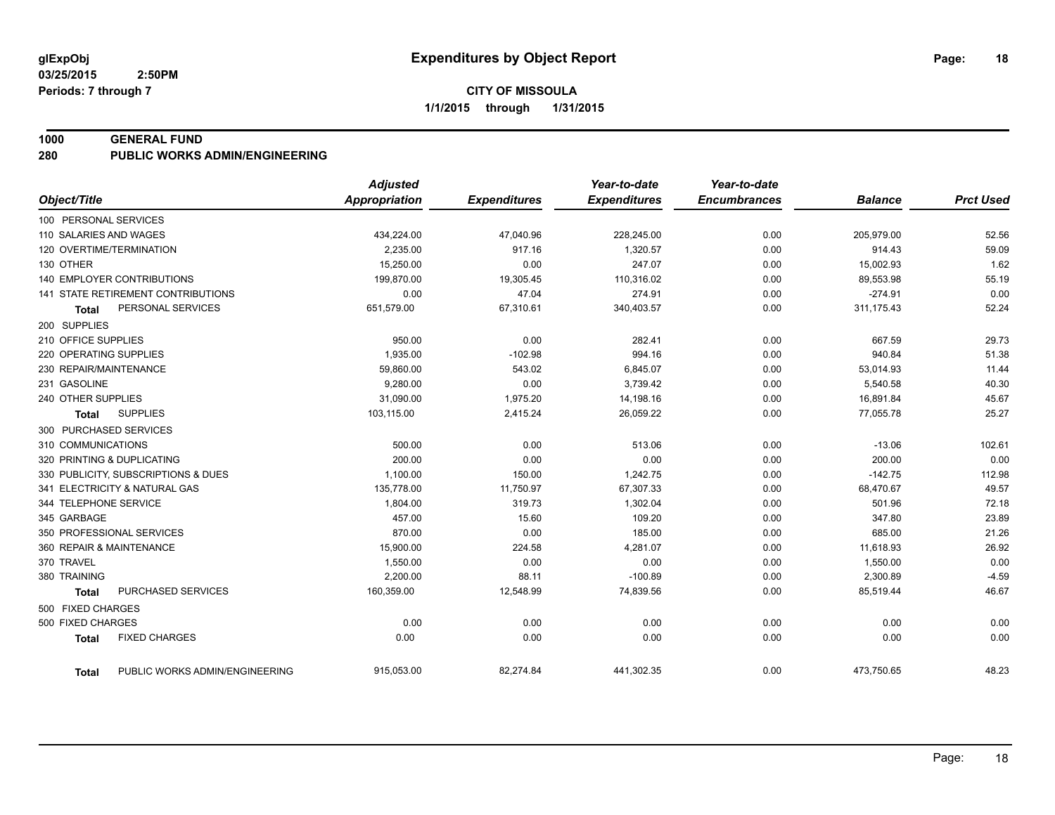#### **1000 GENERAL FUND**

**280 PUBLIC WORKS ADMIN/ENGINEERING**

|                                                | <b>Adjusted</b>      |                     | Year-to-date        | Year-to-date        |                |                  |
|------------------------------------------------|----------------------|---------------------|---------------------|---------------------|----------------|------------------|
| Object/Title                                   | <b>Appropriation</b> | <b>Expenditures</b> | <b>Expenditures</b> | <b>Encumbrances</b> | <b>Balance</b> | <b>Prct Used</b> |
| 100 PERSONAL SERVICES                          |                      |                     |                     |                     |                |                  |
| 110 SALARIES AND WAGES                         | 434,224.00           | 47,040.96           | 228,245.00          | 0.00                | 205,979.00     | 52.56            |
| 120 OVERTIME/TERMINATION                       | 2,235.00             | 917.16              | 1,320.57            | 0.00                | 914.43         | 59.09            |
| 130 OTHER                                      | 15,250.00            | 0.00                | 247.07              | 0.00                | 15,002.93      | 1.62             |
| <b>140 EMPLOYER CONTRIBUTIONS</b>              | 199,870.00           | 19,305.45           | 110,316.02          | 0.00                | 89,553.98      | 55.19            |
| 141 STATE RETIREMENT CONTRIBUTIONS             | 0.00                 | 47.04               | 274.91              | 0.00                | $-274.91$      | 0.00             |
| PERSONAL SERVICES<br><b>Total</b>              | 651,579.00           | 67,310.61           | 340,403.57          | 0.00                | 311.175.43     | 52.24            |
| 200 SUPPLIES                                   |                      |                     |                     |                     |                |                  |
| 210 OFFICE SUPPLIES                            | 950.00               | 0.00                | 282.41              | 0.00                | 667.59         | 29.73            |
| 220 OPERATING SUPPLIES                         | 1,935.00             | $-102.98$           | 994.16              | 0.00                | 940.84         | 51.38            |
| 230 REPAIR/MAINTENANCE                         | 59,860.00            | 543.02              | 6,845.07            | 0.00                | 53,014.93      | 11.44            |
| 231 GASOLINE                                   | 9,280.00             | 0.00                | 3,739.42            | 0.00                | 5,540.58       | 40.30            |
| 240 OTHER SUPPLIES                             | 31,090.00            | 1,975.20            | 14,198.16           | 0.00                | 16,891.84      | 45.67            |
| <b>SUPPLIES</b><br><b>Total</b>                | 103,115.00           | 2,415.24            | 26,059.22           | 0.00                | 77,055.78      | 25.27            |
| 300 PURCHASED SERVICES                         |                      |                     |                     |                     |                |                  |
| 310 COMMUNICATIONS                             | 500.00               | 0.00                | 513.06              | 0.00                | $-13.06$       | 102.61           |
| 320 PRINTING & DUPLICATING                     | 200.00               | 0.00                | 0.00                | 0.00                | 200.00         | 0.00             |
| 330 PUBLICITY, SUBSCRIPTIONS & DUES            | 1,100.00             | 150.00              | 1,242.75            | 0.00                | $-142.75$      | 112.98           |
| 341 ELECTRICITY & NATURAL GAS                  | 135,778.00           | 11,750.97           | 67,307.33           | 0.00                | 68,470.67      | 49.57            |
| 344 TELEPHONE SERVICE                          | 1,804.00             | 319.73              | 1,302.04            | 0.00                | 501.96         | 72.18            |
| 345 GARBAGE                                    | 457.00               | 15.60               | 109.20              | 0.00                | 347.80         | 23.89            |
| 350 PROFESSIONAL SERVICES                      | 870.00               | 0.00                | 185.00              | 0.00                | 685.00         | 21.26            |
| 360 REPAIR & MAINTENANCE                       | 15,900.00            | 224.58              | 4,281.07            | 0.00                | 11,618.93      | 26.92            |
| 370 TRAVEL                                     | 1,550.00             | 0.00                | 0.00                | 0.00                | 1,550.00       | 0.00             |
| 380 TRAINING                                   | 2,200.00             | 88.11               | $-100.89$           | 0.00                | 2,300.89       | $-4.59$          |
| PURCHASED SERVICES<br><b>Total</b>             | 160,359.00           | 12,548.99           | 74,839.56           | 0.00                | 85,519.44      | 46.67            |
| 500 FIXED CHARGES                              |                      |                     |                     |                     |                |                  |
| 500 FIXED CHARGES                              | 0.00                 | 0.00                | 0.00                | 0.00                | 0.00           | 0.00             |
| <b>FIXED CHARGES</b><br><b>Total</b>           | 0.00                 | 0.00                | 0.00                | 0.00                | 0.00           | 0.00             |
| PUBLIC WORKS ADMIN/ENGINEERING<br><b>Total</b> | 915,053.00           | 82,274.84           | 441,302.35          | 0.00                | 473,750.65     | 48.23            |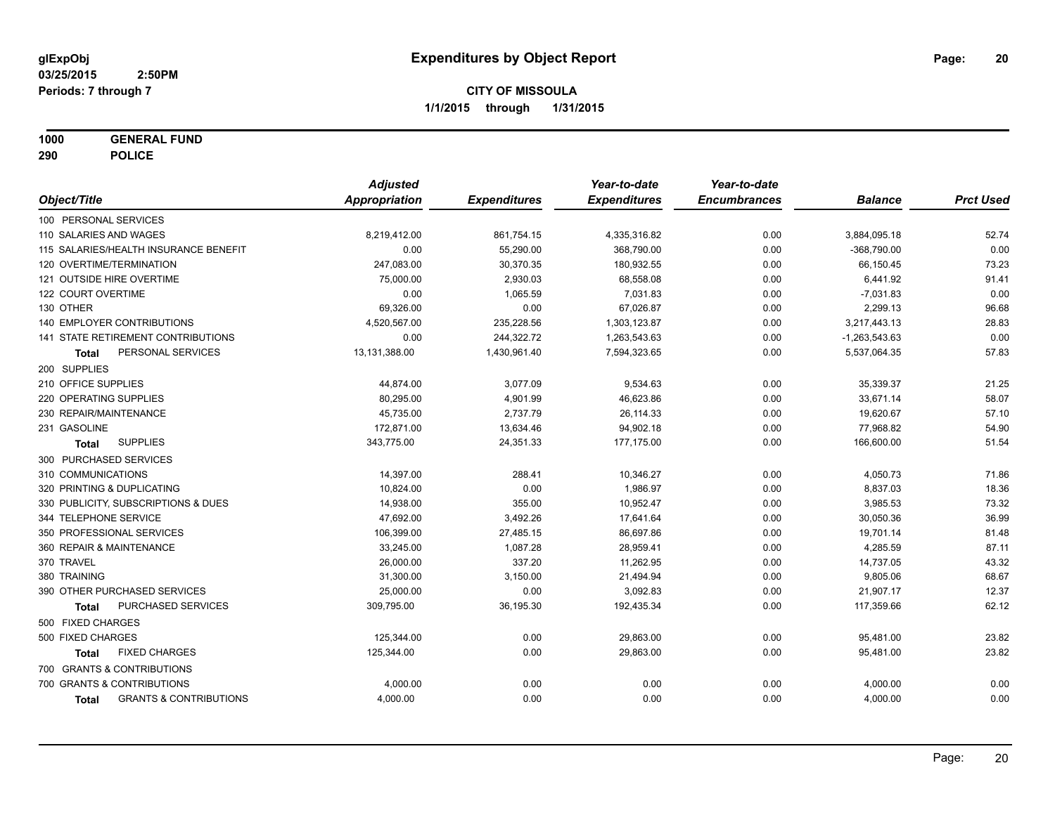**1000 GENERAL FUND**

**290 POLICE**

|                                                   | <b>Adjusted</b>      |                     | Year-to-date        | Year-to-date        |                 |                  |
|---------------------------------------------------|----------------------|---------------------|---------------------|---------------------|-----------------|------------------|
| Object/Title                                      | <b>Appropriation</b> | <b>Expenditures</b> | <b>Expenditures</b> | <b>Encumbrances</b> | <b>Balance</b>  | <b>Prct Used</b> |
| 100 PERSONAL SERVICES                             |                      |                     |                     |                     |                 |                  |
| 110 SALARIES AND WAGES                            | 8,219,412.00         | 861,754.15          | 4,335,316.82        | 0.00                | 3,884,095.18    | 52.74            |
| 115 SALARIES/HEALTH INSURANCE BENEFIT             | 0.00                 | 55,290.00           | 368,790.00          | 0.00                | $-368,790.00$   | 0.00             |
| 120 OVERTIME/TERMINATION                          | 247,083.00           | 30,370.35           | 180,932.55          | 0.00                | 66,150.45       | 73.23            |
| 121 OUTSIDE HIRE OVERTIME                         | 75,000.00            | 2,930.03            | 68,558.08           | 0.00                | 6,441.92        | 91.41            |
| 122 COURT OVERTIME                                | 0.00                 | 1,065.59            | 7,031.83            | 0.00                | $-7,031.83$     | 0.00             |
| 130 OTHER                                         | 69,326.00            | 0.00                | 67,026.87           | 0.00                | 2,299.13        | 96.68            |
| <b>140 EMPLOYER CONTRIBUTIONS</b>                 | 4,520,567.00         | 235,228.56          | 1,303,123.87        | 0.00                | 3,217,443.13    | 28.83            |
| 141 STATE RETIREMENT CONTRIBUTIONS                | 0.00                 | 244,322.72          | 1,263,543.63        | 0.00                | $-1,263,543.63$ | 0.00             |
| PERSONAL SERVICES<br>Total                        | 13,131,388.00        | 1,430,961.40        | 7,594,323.65        | 0.00                | 5,537,064.35    | 57.83            |
| 200 SUPPLIES                                      |                      |                     |                     |                     |                 |                  |
| 210 OFFICE SUPPLIES                               | 44,874.00            | 3,077.09            | 9,534.63            | 0.00                | 35,339.37       | 21.25            |
| 220 OPERATING SUPPLIES                            | 80,295.00            | 4,901.99            | 46,623.86           | 0.00                | 33,671.14       | 58.07            |
| 230 REPAIR/MAINTENANCE                            | 45,735.00            | 2,737.79            | 26,114.33           | 0.00                | 19,620.67       | 57.10            |
| 231 GASOLINE                                      | 172,871.00           | 13,634.46           | 94,902.18           | 0.00                | 77,968.82       | 54.90            |
| <b>SUPPLIES</b><br>Total                          | 343,775.00           | 24,351.33           | 177,175.00          | 0.00                | 166,600.00      | 51.54            |
| 300 PURCHASED SERVICES                            |                      |                     |                     |                     |                 |                  |
| 310 COMMUNICATIONS                                | 14,397.00            | 288.41              | 10,346.27           | 0.00                | 4,050.73        | 71.86            |
| 320 PRINTING & DUPLICATING                        | 10,824.00            | 0.00                | 1,986.97            | 0.00                | 8,837.03        | 18.36            |
| 330 PUBLICITY, SUBSCRIPTIONS & DUES               | 14,938.00            | 355.00              | 10,952.47           | 0.00                | 3,985.53        | 73.32            |
| 344 TELEPHONE SERVICE                             | 47,692.00            | 3,492.26            | 17,641.64           | 0.00                | 30,050.36       | 36.99            |
| 350 PROFESSIONAL SERVICES                         | 106,399.00           | 27,485.15           | 86,697.86           | 0.00                | 19,701.14       | 81.48            |
| 360 REPAIR & MAINTENANCE                          | 33,245.00            | 1,087.28            | 28,959.41           | 0.00                | 4,285.59        | 87.11            |
| 370 TRAVEL                                        | 26,000.00            | 337.20              | 11,262.95           | 0.00                | 14,737.05       | 43.32            |
| 380 TRAINING                                      | 31,300.00            | 3,150.00            | 21,494.94           | 0.00                | 9,805.06        | 68.67            |
| 390 OTHER PURCHASED SERVICES                      | 25,000.00            | 0.00                | 3,092.83            | 0.00                | 21,907.17       | 12.37            |
| PURCHASED SERVICES<br><b>Total</b>                | 309,795.00           | 36,195.30           | 192,435.34          | 0.00                | 117,359.66      | 62.12            |
| 500 FIXED CHARGES                                 |                      |                     |                     |                     |                 |                  |
| 500 FIXED CHARGES                                 | 125,344.00           | 0.00                | 29,863.00           | 0.00                | 95,481.00       | 23.82            |
| <b>FIXED CHARGES</b><br><b>Total</b>              | 125,344.00           | 0.00                | 29,863.00           | 0.00                | 95,481.00       | 23.82            |
| 700 GRANTS & CONTRIBUTIONS                        |                      |                     |                     |                     |                 |                  |
| 700 GRANTS & CONTRIBUTIONS                        | 4,000.00             | 0.00                | 0.00                | 0.00                | 4,000.00        | 0.00             |
| <b>GRANTS &amp; CONTRIBUTIONS</b><br><b>Total</b> | 4,000.00             | 0.00                | 0.00                | 0.00                | 4,000.00        | 0.00             |
|                                                   |                      |                     |                     |                     |                 |                  |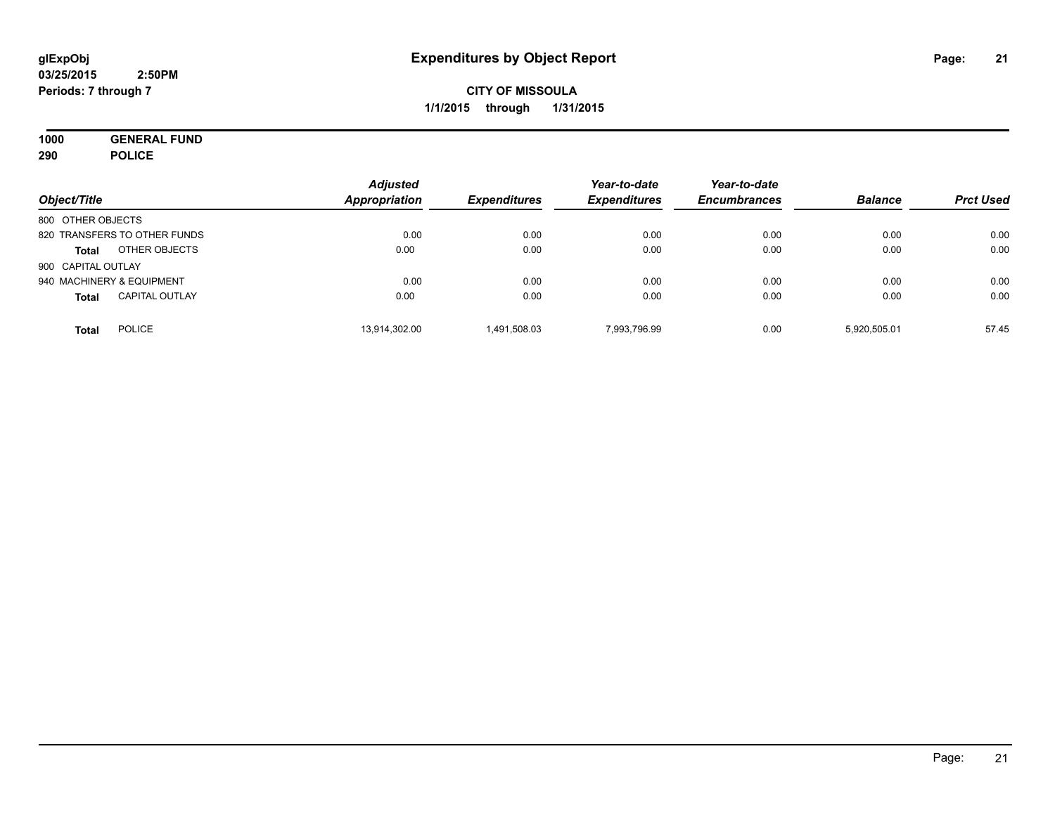**1000 GENERAL FUND 290 POLICE**

| Object/Title                          | <b>Adjusted</b><br><b>Appropriation</b> | <b>Expenditures</b> | Year-to-date<br><b>Expenditures</b> | Year-to-date<br><b>Encumbrances</b> | <b>Balance</b> | <b>Prct Used</b> |
|---------------------------------------|-----------------------------------------|---------------------|-------------------------------------|-------------------------------------|----------------|------------------|
| 800 OTHER OBJECTS                     |                                         |                     |                                     |                                     |                |                  |
| 820 TRANSFERS TO OTHER FUNDS          | 0.00                                    | 0.00                | 0.00                                | 0.00                                | 0.00           | 0.00             |
| OTHER OBJECTS<br><b>Total</b>         | 0.00                                    | 0.00                | 0.00                                | 0.00                                | 0.00           | 0.00             |
| 900 CAPITAL OUTLAY                    |                                         |                     |                                     |                                     |                |                  |
| 940 MACHINERY & EQUIPMENT             | 0.00                                    | 0.00                | 0.00                                | 0.00                                | 0.00           | 0.00             |
| <b>CAPITAL OUTLAY</b><br><b>Total</b> | 0.00                                    | 0.00                | 0.00                                | 0.00                                | 0.00           | 0.00             |
| <b>POLICE</b><br>Total                | 13,914,302.00                           | 1.491.508.03        | 7.993.796.99                        | 0.00                                | 5,920,505.01   | 57.45            |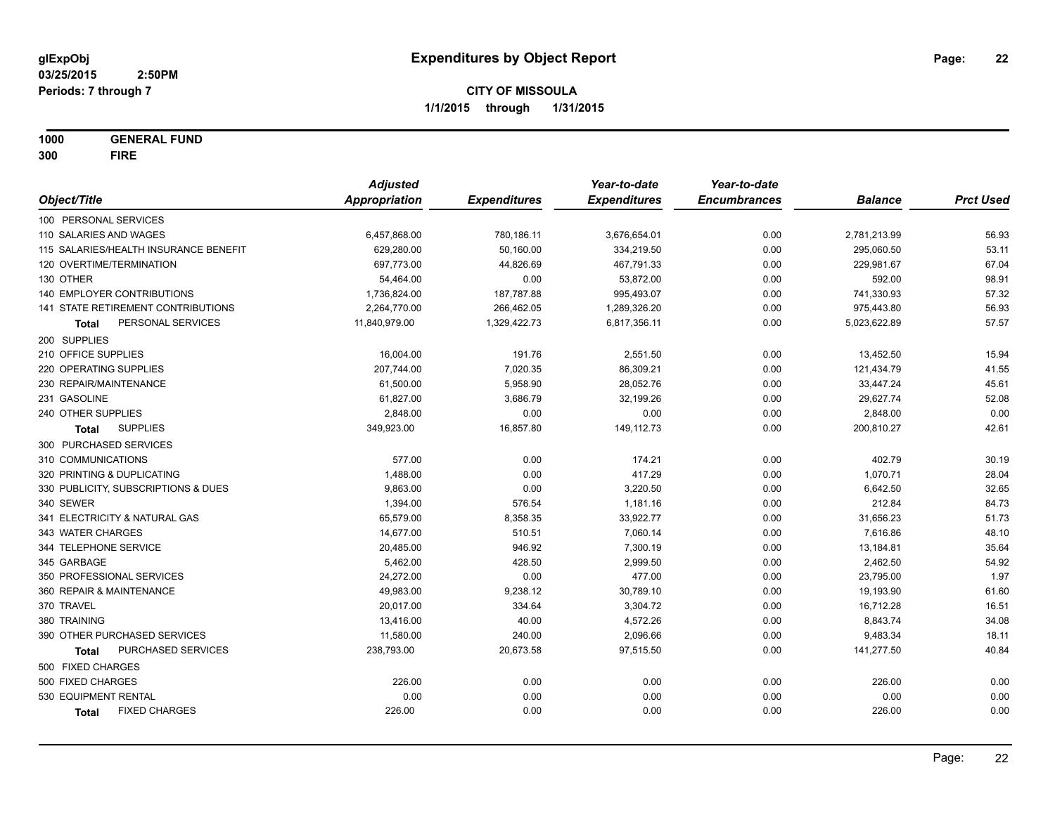**1000 GENERAL FUND**

**300 FIRE**

|                                       | <b>Adjusted</b> |                     | Year-to-date        | Year-to-date        |                |                  |
|---------------------------------------|-----------------|---------------------|---------------------|---------------------|----------------|------------------|
| Object/Title                          | Appropriation   | <b>Expenditures</b> | <b>Expenditures</b> | <b>Encumbrances</b> | <b>Balance</b> | <b>Prct Used</b> |
| 100 PERSONAL SERVICES                 |                 |                     |                     |                     |                |                  |
| 110 SALARIES AND WAGES                | 6,457,868.00    | 780,186.11          | 3,676,654.01        | 0.00                | 2,781,213.99   | 56.93            |
| 115 SALARIES/HEALTH INSURANCE BENEFIT | 629,280.00      | 50,160.00           | 334,219.50          | 0.00                | 295,060.50     | 53.11            |
| 120 OVERTIME/TERMINATION              | 697,773.00      | 44,826.69           | 467,791.33          | 0.00                | 229,981.67     | 67.04            |
| 130 OTHER                             | 54,464.00       | 0.00                | 53,872.00           | 0.00                | 592.00         | 98.91            |
| 140 EMPLOYER CONTRIBUTIONS            | 1,736,824.00    | 187,787.88          | 995,493.07          | 0.00                | 741,330.93     | 57.32            |
| 141 STATE RETIREMENT CONTRIBUTIONS    | 2,264,770.00    | 266,462.05          | 1,289,326.20        | 0.00                | 975,443.80     | 56.93            |
| PERSONAL SERVICES<br>Total            | 11,840,979.00   | 1,329,422.73        | 6,817,356.11        | 0.00                | 5,023,622.89   | 57.57            |
| 200 SUPPLIES                          |                 |                     |                     |                     |                |                  |
| 210 OFFICE SUPPLIES                   | 16,004.00       | 191.76              | 2,551.50            | 0.00                | 13,452.50      | 15.94            |
| 220 OPERATING SUPPLIES                | 207,744.00      | 7,020.35            | 86,309.21           | 0.00                | 121,434.79     | 41.55            |
| 230 REPAIR/MAINTENANCE                | 61,500.00       | 5,958.90            | 28,052.76           | 0.00                | 33,447.24      | 45.61            |
| 231 GASOLINE                          | 61,827.00       | 3,686.79            | 32,199.26           | 0.00                | 29,627.74      | 52.08            |
| 240 OTHER SUPPLIES                    | 2,848.00        | 0.00                | 0.00                | 0.00                | 2,848.00       | 0.00             |
| <b>SUPPLIES</b><br>Total              | 349,923.00      | 16,857.80           | 149,112.73          | 0.00                | 200,810.27     | 42.61            |
| 300 PURCHASED SERVICES                |                 |                     |                     |                     |                |                  |
| 310 COMMUNICATIONS                    | 577.00          | 0.00                | 174.21              | 0.00                | 402.79         | 30.19            |
| 320 PRINTING & DUPLICATING            | 1,488.00        | 0.00                | 417.29              | 0.00                | 1,070.71       | 28.04            |
| 330 PUBLICITY, SUBSCRIPTIONS & DUES   | 9,863.00        | 0.00                | 3,220.50            | 0.00                | 6,642.50       | 32.65            |
| 340 SEWER                             | 1,394.00        | 576.54              | 1,181.16            | 0.00                | 212.84         | 84.73            |
| 341 ELECTRICITY & NATURAL GAS         | 65,579.00       | 8,358.35            | 33,922.77           | 0.00                | 31,656.23      | 51.73            |
| 343 WATER CHARGES                     | 14,677.00       | 510.51              | 7,060.14            | 0.00                | 7,616.86       | 48.10            |
| 344 TELEPHONE SERVICE                 | 20,485.00       | 946.92              | 7,300.19            | 0.00                | 13,184.81      | 35.64            |
| 345 GARBAGE                           | 5,462.00        | 428.50              | 2,999.50            | 0.00                | 2,462.50       | 54.92            |
| 350 PROFESSIONAL SERVICES             | 24,272.00       | 0.00                | 477.00              | 0.00                | 23,795.00      | 1.97             |
| 360 REPAIR & MAINTENANCE              | 49,983.00       | 9,238.12            | 30,789.10           | 0.00                | 19,193.90      | 61.60            |
| 370 TRAVEL                            | 20,017.00       | 334.64              | 3,304.72            | 0.00                | 16,712.28      | 16.51            |
| 380 TRAINING                          | 13,416.00       | 40.00               | 4,572.26            | 0.00                | 8,843.74       | 34.08            |
| 390 OTHER PURCHASED SERVICES          | 11,580.00       | 240.00              | 2,096.66            | 0.00                | 9,483.34       | 18.11            |
| PURCHASED SERVICES<br><b>Total</b>    | 238,793.00      | 20,673.58           | 97,515.50           | 0.00                | 141,277.50     | 40.84            |
| 500 FIXED CHARGES                     |                 |                     |                     |                     |                |                  |
| 500 FIXED CHARGES                     | 226.00          | 0.00                | 0.00                | 0.00                | 226.00         | 0.00             |
| 530 EQUIPMENT RENTAL                  | 0.00            | 0.00                | 0.00                | 0.00                | 0.00           | 0.00             |
| <b>FIXED CHARGES</b><br>Total         | 226.00          | 0.00                | 0.00                | 0.00                | 226.00         | 0.00             |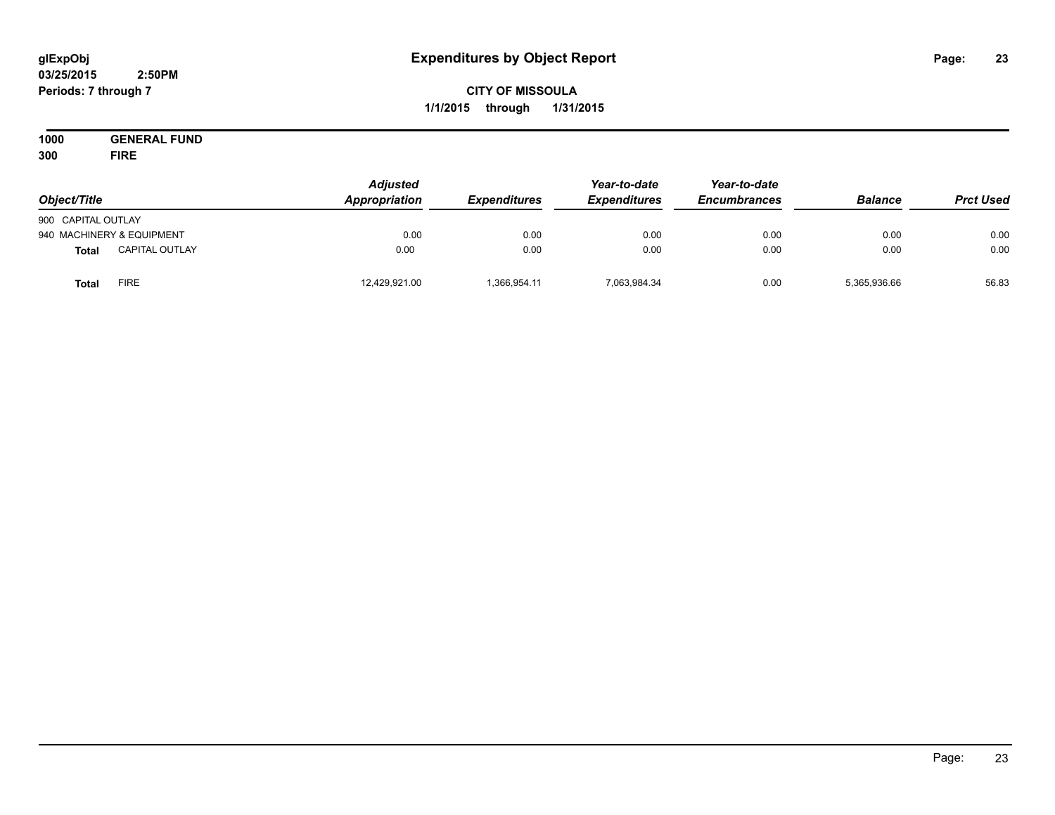#### **03/25/2015 2:50PM Periods: 7 through 7**

## **CITY OF MISSOULA 1/1/2015 through 1/31/2015**

**1000 GENERAL FUND 300 FIRE**

| Object/Title              |                       | Adjusted<br>Appropriation | <b>Expenditures</b> | Year-to-date<br><b>Expenditures</b> | Year-to-date<br><b>Encumbrances</b> | <b>Balance</b> | <b>Prct Used</b> |
|---------------------------|-----------------------|---------------------------|---------------------|-------------------------------------|-------------------------------------|----------------|------------------|
| 900 CAPITAL OUTLAY        |                       |                           |                     |                                     |                                     |                |                  |
| 940 MACHINERY & EQUIPMENT |                       | 0.00                      | 0.00                | 0.00                                | 0.00                                | 0.00           | 0.00             |
| <b>Total</b>              | <b>CAPITAL OUTLAY</b> | 0.00                      | 0.00                | 0.00                                | 0.00                                | 0.00           | 0.00             |
| Total                     | FIRE                  | 12,429,921.00             | 1,366,954.11        | 7,063,984.34                        | 0.00                                | 5,365,936.66   | 56.83            |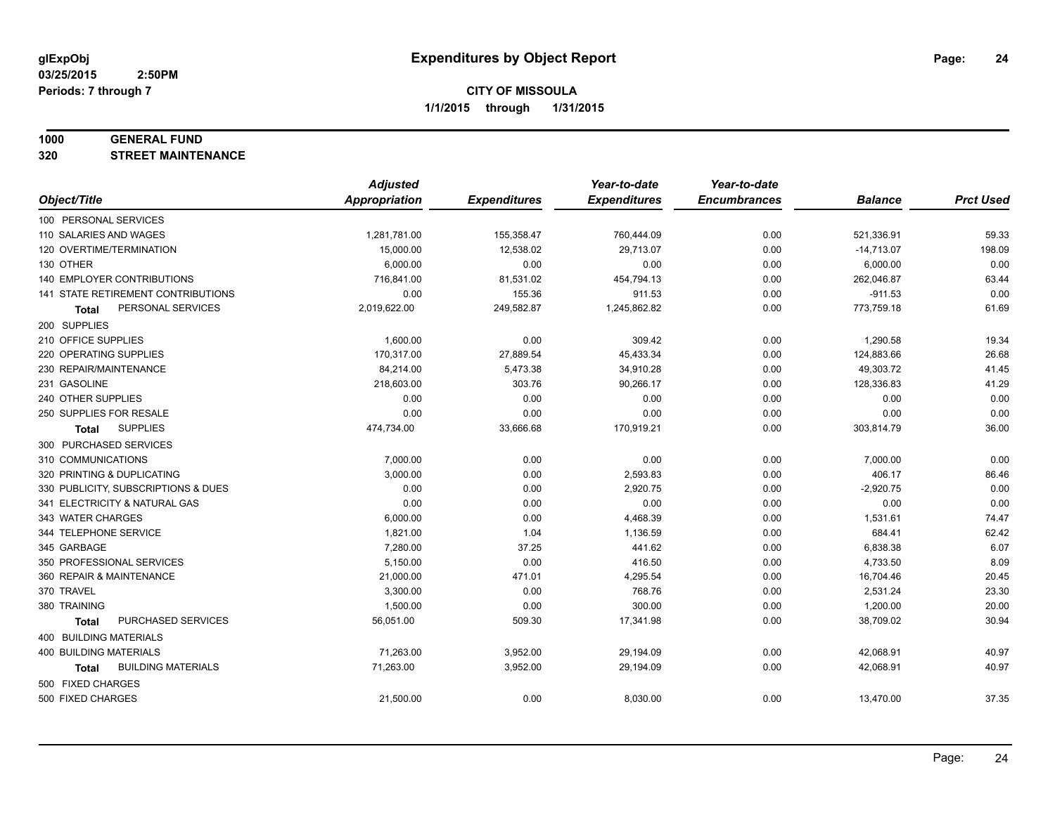#### **1000 GENERAL FUND**

**320 STREET MAINTENANCE**

|                                     | <b>Adjusted</b>      |                     | Year-to-date        | Year-to-date        |                |                  |
|-------------------------------------|----------------------|---------------------|---------------------|---------------------|----------------|------------------|
| Object/Title                        | <b>Appropriation</b> | <b>Expenditures</b> | <b>Expenditures</b> | <b>Encumbrances</b> | <b>Balance</b> | <b>Prct Used</b> |
| 100 PERSONAL SERVICES               |                      |                     |                     |                     |                |                  |
| 110 SALARIES AND WAGES              | 1,281,781.00         | 155,358.47          | 760,444.09          | 0.00                | 521,336.91     | 59.33            |
| 120 OVERTIME/TERMINATION            | 15,000.00            | 12,538.02           | 29,713.07           | 0.00                | $-14,713.07$   | 198.09           |
| 130 OTHER                           | 6,000.00             | 0.00                | 0.00                | 0.00                | 6,000.00       | 0.00             |
| 140 EMPLOYER CONTRIBUTIONS          | 716,841.00           | 81,531.02           | 454,794.13          | 0.00                | 262,046.87     | 63.44            |
| 141 STATE RETIREMENT CONTRIBUTIONS  | 0.00                 | 155.36              | 911.53              | 0.00                | $-911.53$      | 0.00             |
| PERSONAL SERVICES<br>Total          | 2,019,622.00         | 249,582.87          | 1,245,862.82        | 0.00                | 773,759.18     | 61.69            |
| 200 SUPPLIES                        |                      |                     |                     |                     |                |                  |
| 210 OFFICE SUPPLIES                 | 1,600.00             | 0.00                | 309.42              | 0.00                | 1,290.58       | 19.34            |
| 220 OPERATING SUPPLIES              | 170,317.00           | 27,889.54           | 45,433.34           | 0.00                | 124,883.66     | 26.68            |
| 230 REPAIR/MAINTENANCE              | 84,214.00            | 5,473.38            | 34,910.28           | 0.00                | 49,303.72      | 41.45            |
| 231 GASOLINE                        | 218,603.00           | 303.76              | 90,266.17           | 0.00                | 128,336.83     | 41.29            |
| 240 OTHER SUPPLIES                  | 0.00                 | 0.00                | 0.00                | 0.00                | 0.00           | 0.00             |
| 250 SUPPLIES FOR RESALE             | 0.00                 | 0.00                | 0.00                | 0.00                | 0.00           | 0.00             |
| <b>SUPPLIES</b><br>Total            | 474,734.00           | 33,666.68           | 170,919.21          | 0.00                | 303,814.79     | 36.00            |
| 300 PURCHASED SERVICES              |                      |                     |                     |                     |                |                  |
| 310 COMMUNICATIONS                  | 7,000.00             | 0.00                | 0.00                | 0.00                | 7,000.00       | 0.00             |
| 320 PRINTING & DUPLICATING          | 3,000.00             | 0.00                | 2,593.83            | 0.00                | 406.17         | 86.46            |
| 330 PUBLICITY, SUBSCRIPTIONS & DUES | 0.00                 | 0.00                | 2,920.75            | 0.00                | $-2,920.75$    | 0.00             |
| 341 ELECTRICITY & NATURAL GAS       | 0.00                 | 0.00                | 0.00                | 0.00                | 0.00           | 0.00             |
| 343 WATER CHARGES                   | 6,000.00             | 0.00                | 4,468.39            | 0.00                | 1,531.61       | 74.47            |
| 344 TELEPHONE SERVICE               | 1,821.00             | 1.04                | 1,136.59            | 0.00                | 684.41         | 62.42            |
| 345 GARBAGE                         | 7,280.00             | 37.25               | 441.62              | 0.00                | 6,838.38       | 6.07             |
| 350 PROFESSIONAL SERVICES           | 5,150.00             | 0.00                | 416.50              | 0.00                | 4,733.50       | 8.09             |
| 360 REPAIR & MAINTENANCE            | 21,000.00            | 471.01              | 4,295.54            | 0.00                | 16,704.46      | 20.45            |
| 370 TRAVEL                          | 3,300.00             | 0.00                | 768.76              | 0.00                | 2,531.24       | 23.30            |
| 380 TRAINING                        | 1,500.00             | 0.00                | 300.00              | 0.00                | 1,200.00       | 20.00            |
| PURCHASED SERVICES<br><b>Total</b>  | 56,051.00            | 509.30              | 17,341.98           | 0.00                | 38,709.02      | 30.94            |
| 400 BUILDING MATERIALS              |                      |                     |                     |                     |                |                  |
| 400 BUILDING MATERIALS              | 71,263.00            | 3,952.00            | 29,194.09           | 0.00                | 42,068.91      | 40.97            |
| <b>BUILDING MATERIALS</b><br>Total  | 71,263.00            | 3,952.00            | 29,194.09           | 0.00                | 42,068.91      | 40.97            |
| 500 FIXED CHARGES                   |                      |                     |                     |                     |                |                  |
| 500 FIXED CHARGES                   | 21,500.00            | 0.00                | 8,030.00            | 0.00                | 13,470.00      | 37.35            |
|                                     |                      |                     |                     |                     |                |                  |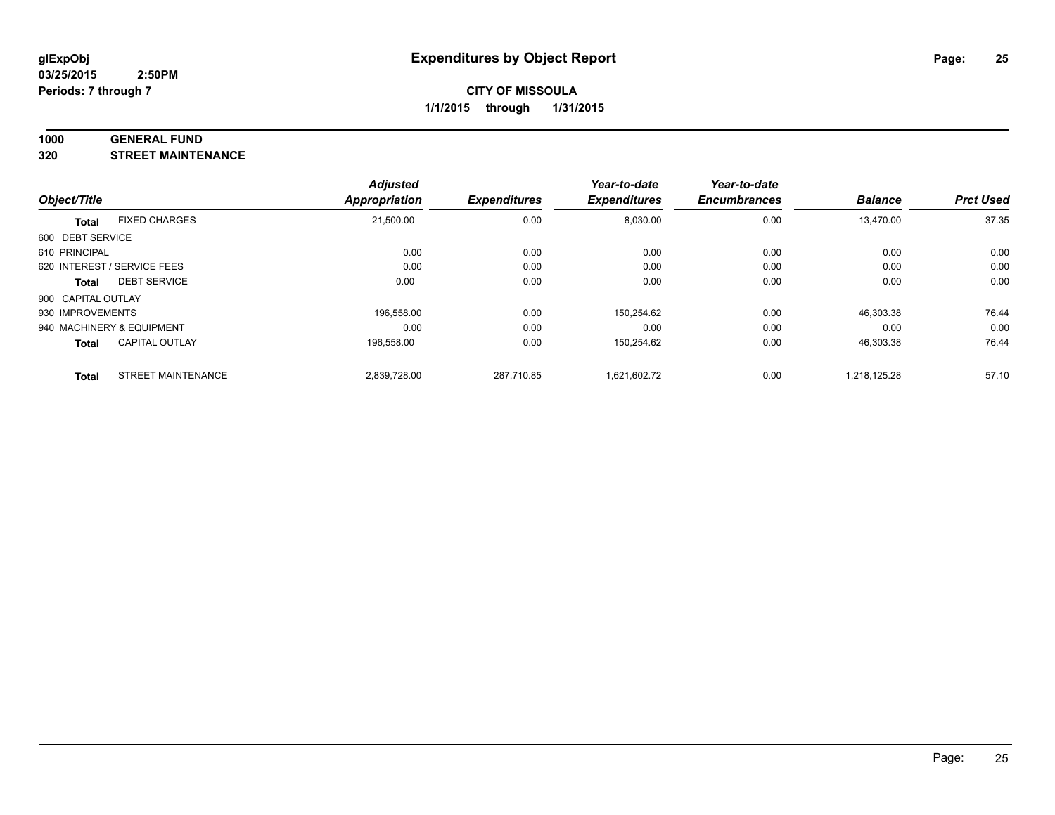#### **1000 GENERAL FUND**

**320 STREET MAINTENANCE**

|                    |                             | <b>Adjusted</b> |                     | Year-to-date        | Year-to-date        |                |                  |
|--------------------|-----------------------------|-----------------|---------------------|---------------------|---------------------|----------------|------------------|
| Object/Title       |                             | Appropriation   | <b>Expenditures</b> | <b>Expenditures</b> | <b>Encumbrances</b> | <b>Balance</b> | <b>Prct Used</b> |
| <b>Total</b>       | <b>FIXED CHARGES</b>        | 21,500.00       | 0.00                | 8,030.00            | 0.00                | 13,470.00      | 37.35            |
| 600 DEBT SERVICE   |                             |                 |                     |                     |                     |                |                  |
| 610 PRINCIPAL      |                             | 0.00            | 0.00                | 0.00                | 0.00                | 0.00           | 0.00             |
|                    | 620 INTEREST / SERVICE FEES | 0.00            | 0.00                | 0.00                | 0.00                | 0.00           | 0.00             |
| Total              | <b>DEBT SERVICE</b>         | 0.00            | 0.00                | 0.00                | 0.00                | 0.00           | 0.00             |
| 900 CAPITAL OUTLAY |                             |                 |                     |                     |                     |                |                  |
| 930 IMPROVEMENTS   |                             | 196.558.00      | 0.00                | 150,254.62          | 0.00                | 46,303.38      | 76.44            |
|                    | 940 MACHINERY & EQUIPMENT   | 0.00            | 0.00                | 0.00                | 0.00                | 0.00           | 0.00             |
| <b>Total</b>       | <b>CAPITAL OUTLAY</b>       | 196,558.00      | 0.00                | 150,254.62          | 0.00                | 46,303.38      | 76.44            |
| <b>Total</b>       | <b>STREET MAINTENANCE</b>   | 2.839.728.00    | 287.710.85          | 1.621.602.72        | 0.00                | 1.218.125.28   | 57.10            |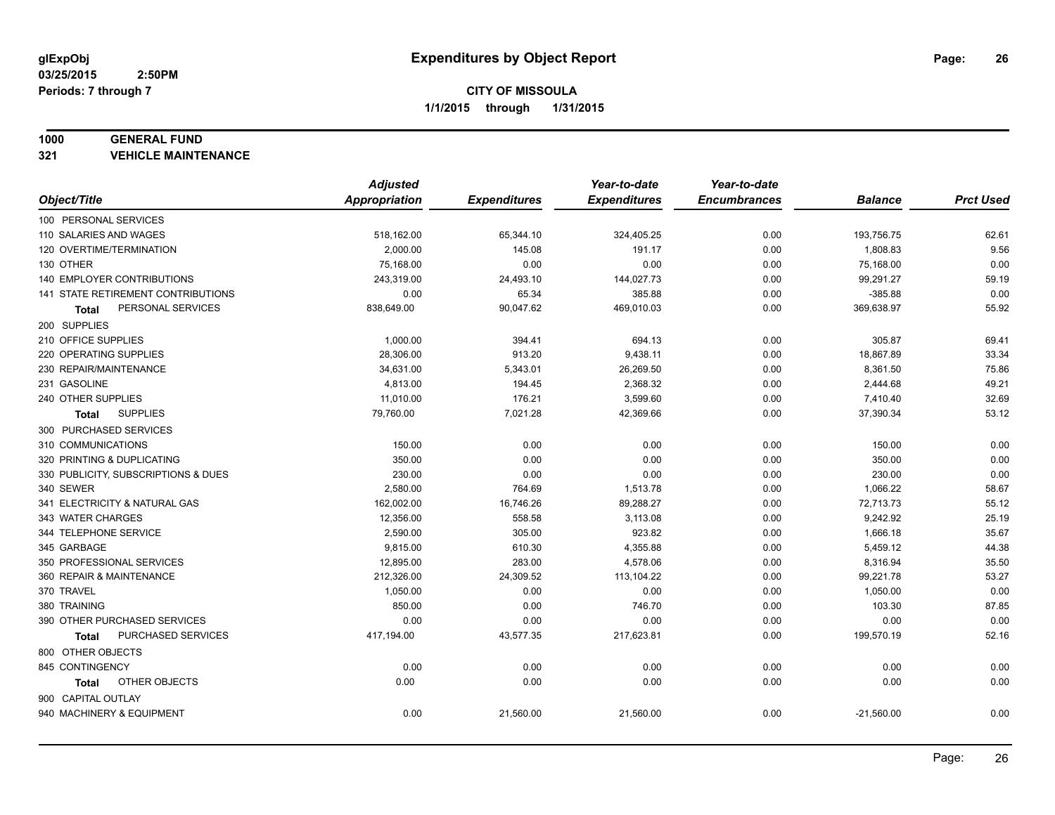#### **1000 GENERAL FUND**

**321 VEHICLE MAINTENANCE**

|                                           | <b>Adjusted</b>      |                     | Year-to-date        | Year-to-date        |                |                  |
|-------------------------------------------|----------------------|---------------------|---------------------|---------------------|----------------|------------------|
| Object/Title                              | <b>Appropriation</b> | <b>Expenditures</b> | <b>Expenditures</b> | <b>Encumbrances</b> | <b>Balance</b> | <b>Prct Used</b> |
| 100 PERSONAL SERVICES                     |                      |                     |                     |                     |                |                  |
| 110 SALARIES AND WAGES                    | 518,162.00           | 65,344.10           | 324,405.25          | 0.00                | 193,756.75     | 62.61            |
| 120 OVERTIME/TERMINATION                  | 2,000.00             | 145.08              | 191.17              | 0.00                | 1,808.83       | 9.56             |
| 130 OTHER                                 | 75,168.00            | 0.00                | 0.00                | 0.00                | 75,168.00      | 0.00             |
| 140 EMPLOYER CONTRIBUTIONS                | 243,319.00           | 24,493.10           | 144,027.73          | 0.00                | 99,291.27      | 59.19            |
| <b>141 STATE RETIREMENT CONTRIBUTIONS</b> | 0.00                 | 65.34               | 385.88              | 0.00                | $-385.88$      | 0.00             |
| PERSONAL SERVICES<br>Total                | 838,649.00           | 90,047.62           | 469,010.03          | 0.00                | 369,638.97     | 55.92            |
| 200 SUPPLIES                              |                      |                     |                     |                     |                |                  |
| 210 OFFICE SUPPLIES                       | 1,000.00             | 394.41              | 694.13              | 0.00                | 305.87         | 69.41            |
| 220 OPERATING SUPPLIES                    | 28,306.00            | 913.20              | 9,438.11            | 0.00                | 18,867.89      | 33.34            |
| 230 REPAIR/MAINTENANCE                    | 34,631.00            | 5,343.01            | 26,269.50           | 0.00                | 8,361.50       | 75.86            |
| 231 GASOLINE                              | 4,813.00             | 194.45              | 2,368.32            | 0.00                | 2,444.68       | 49.21            |
| 240 OTHER SUPPLIES                        | 11,010.00            | 176.21              | 3,599.60            | 0.00                | 7,410.40       | 32.69            |
| <b>SUPPLIES</b><br>Total                  | 79,760.00            | 7,021.28            | 42,369.66           | 0.00                | 37,390.34      | 53.12            |
| 300 PURCHASED SERVICES                    |                      |                     |                     |                     |                |                  |
| 310 COMMUNICATIONS                        | 150.00               | 0.00                | 0.00                | 0.00                | 150.00         | 0.00             |
| 320 PRINTING & DUPLICATING                | 350.00               | 0.00                | 0.00                | 0.00                | 350.00         | 0.00             |
| 330 PUBLICITY, SUBSCRIPTIONS & DUES       | 230.00               | 0.00                | 0.00                | 0.00                | 230.00         | 0.00             |
| 340 SEWER                                 | 2,580.00             | 764.69              | 1,513.78            | 0.00                | 1,066.22       | 58.67            |
| 341 ELECTRICITY & NATURAL GAS             | 162,002.00           | 16,746.26           | 89,288.27           | 0.00                | 72,713.73      | 55.12            |
| 343 WATER CHARGES                         | 12,356.00            | 558.58              | 3,113.08            | 0.00                | 9,242.92       | 25.19            |
| 344 TELEPHONE SERVICE                     | 2,590.00             | 305.00              | 923.82              | 0.00                | 1,666.18       | 35.67            |
| 345 GARBAGE                               | 9,815.00             | 610.30              | 4,355.88            | 0.00                | 5,459.12       | 44.38            |
| 350 PROFESSIONAL SERVICES                 | 12,895.00            | 283.00              | 4,578.06            | 0.00                | 8,316.94       | 35.50            |
| 360 REPAIR & MAINTENANCE                  | 212,326.00           | 24,309.52           | 113,104.22          | 0.00                | 99,221.78      | 53.27            |
| 370 TRAVEL                                | 1,050.00             | 0.00                | 0.00                | 0.00                | 1,050.00       | 0.00             |
| 380 TRAINING                              | 850.00               | 0.00                | 746.70              | 0.00                | 103.30         | 87.85            |
| 390 OTHER PURCHASED SERVICES              | 0.00                 | 0.00                | 0.00                | 0.00                | 0.00           | 0.00             |
| PURCHASED SERVICES<br>Total               | 417,194.00           | 43,577.35           | 217,623.81          | 0.00                | 199,570.19     | 52.16            |
| 800 OTHER OBJECTS                         |                      |                     |                     |                     |                |                  |
| 845 CONTINGENCY                           | 0.00                 | 0.00                | 0.00                | 0.00                | 0.00           | 0.00             |
| OTHER OBJECTS<br><b>Total</b>             | 0.00                 | 0.00                | 0.00                | 0.00                | 0.00           | 0.00             |
| 900 CAPITAL OUTLAY                        |                      |                     |                     |                     |                |                  |
| 940 MACHINERY & EQUIPMENT                 | 0.00                 | 21,560.00           | 21,560.00           | 0.00                | $-21,560.00$   | 0.00             |
|                                           |                      |                     |                     |                     |                |                  |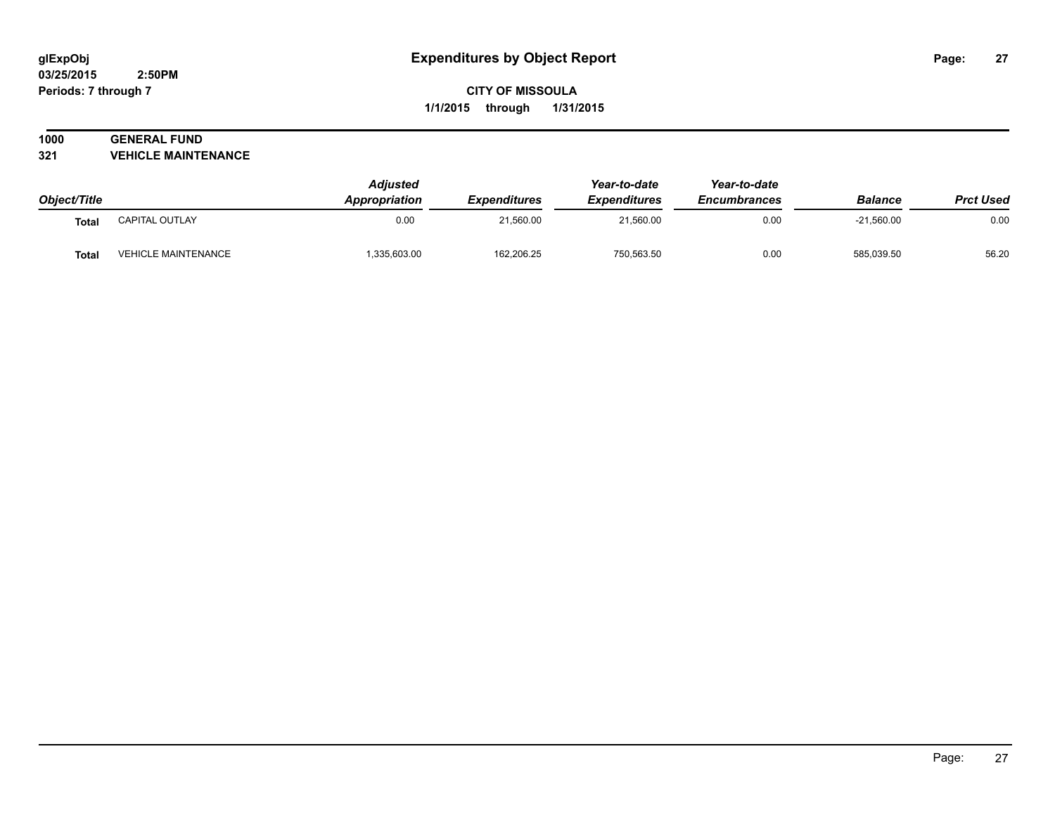## **1000 GENERAL FUND**

**321 VEHICLE MAINTENANCE**

|              |                            | <b>Adjusted</b> |                                         | Year-to-date                     | Year-to-date                | <b>Balance</b><br>$-21,560.00$ | <b>Prct Used</b><br>0.00 |
|--------------|----------------------------|-----------------|-----------------------------------------|----------------------------------|-----------------------------|--------------------------------|--------------------------|
| Object/Title |                            | Appropriation   | <i><b>Expenditures</b></i><br>21.560.00 | <b>Expenditures</b><br>21,560.00 | <b>Encumbrances</b><br>0.00 |                                |                          |
| <b>Total</b> | CAPITAL OUTLAY             | 0.00            |                                         |                                  |                             |                                |                          |
| <b>Total</b> | <b>VEHICLE MAINTENANCE</b> | 1,335,603.00    | 162,206.25                              | 750.563.50                       | 0.00                        | 585.039.50                     | 56.20                    |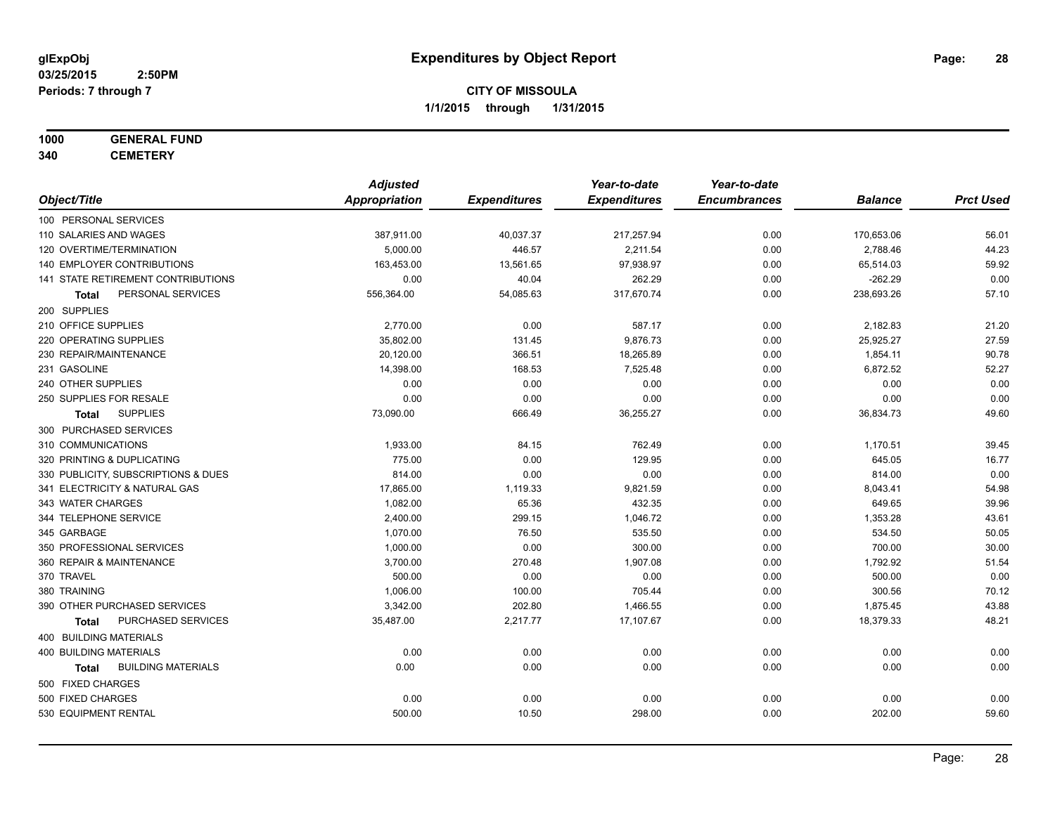## **1000 GENERAL FUND**

**340 CEMETERY**

|                                           | <b>Adjusted</b>      |                     | Year-to-date        | Year-to-date        |                |                  |
|-------------------------------------------|----------------------|---------------------|---------------------|---------------------|----------------|------------------|
| Object/Title                              | <b>Appropriation</b> | <b>Expenditures</b> | <b>Expenditures</b> | <b>Encumbrances</b> | <b>Balance</b> | <b>Prct Used</b> |
| 100 PERSONAL SERVICES                     |                      |                     |                     |                     |                |                  |
| 110 SALARIES AND WAGES                    | 387,911.00           | 40,037.37           | 217,257.94          | 0.00                | 170,653.06     | 56.01            |
| 120 OVERTIME/TERMINATION                  | 5,000.00             | 446.57              | 2,211.54            | 0.00                | 2,788.46       | 44.23            |
| 140 EMPLOYER CONTRIBUTIONS                | 163,453.00           | 13,561.65           | 97,938.97           | 0.00                | 65,514.03      | 59.92            |
| 141 STATE RETIREMENT CONTRIBUTIONS        | 0.00                 | 40.04               | 262.29              | 0.00                | $-262.29$      | 0.00             |
| PERSONAL SERVICES<br>Total                | 556,364.00           | 54,085.63           | 317,670.74          | 0.00                | 238,693.26     | 57.10            |
| 200 SUPPLIES                              |                      |                     |                     |                     |                |                  |
| 210 OFFICE SUPPLIES                       | 2,770.00             | 0.00                | 587.17              | 0.00                | 2,182.83       | 21.20            |
| 220 OPERATING SUPPLIES                    | 35,802.00            | 131.45              | 9,876.73            | 0.00                | 25,925.27      | 27.59            |
| 230 REPAIR/MAINTENANCE                    | 20,120.00            | 366.51              | 18,265.89           | 0.00                | 1,854.11       | 90.78            |
| 231 GASOLINE                              | 14,398.00            | 168.53              | 7,525.48            | 0.00                | 6,872.52       | 52.27            |
| 240 OTHER SUPPLIES                        | 0.00                 | 0.00                | 0.00                | 0.00                | 0.00           | 0.00             |
| 250 SUPPLIES FOR RESALE                   | 0.00                 | 0.00                | 0.00                | 0.00                | 0.00           | 0.00             |
| <b>SUPPLIES</b><br>Total                  | 73,090.00            | 666.49              | 36,255.27           | 0.00                | 36,834.73      | 49.60            |
| 300 PURCHASED SERVICES                    |                      |                     |                     |                     |                |                  |
| 310 COMMUNICATIONS                        | 1,933.00             | 84.15               | 762.49              | 0.00                | 1,170.51       | 39.45            |
| 320 PRINTING & DUPLICATING                | 775.00               | 0.00                | 129.95              | 0.00                | 645.05         | 16.77            |
| 330 PUBLICITY, SUBSCRIPTIONS & DUES       | 814.00               | 0.00                | 0.00                | 0.00                | 814.00         | 0.00             |
| 341 ELECTRICITY & NATURAL GAS             | 17,865.00            | 1,119.33            | 9,821.59            | 0.00                | 8,043.41       | 54.98            |
| 343 WATER CHARGES                         | 1,082.00             | 65.36               | 432.35              | 0.00                | 649.65         | 39.96            |
| 344 TELEPHONE SERVICE                     | 2,400.00             | 299.15              | 1,046.72            | 0.00                | 1,353.28       | 43.61            |
| 345 GARBAGE                               | 1,070.00             | 76.50               | 535.50              | 0.00                | 534.50         | 50.05            |
| 350 PROFESSIONAL SERVICES                 | 1,000.00             | 0.00                | 300.00              | 0.00                | 700.00         | 30.00            |
| 360 REPAIR & MAINTENANCE                  | 3,700.00             | 270.48              | 1,907.08            | 0.00                | 1,792.92       | 51.54            |
| 370 TRAVEL                                | 500.00               | 0.00                | 0.00                | 0.00                | 500.00         | 0.00             |
| 380 TRAINING                              | 1,006.00             | 100.00              | 705.44              | 0.00                | 300.56         | 70.12            |
| 390 OTHER PURCHASED SERVICES              | 3,342.00             | 202.80              | 1,466.55            | 0.00                | 1,875.45       | 43.88            |
| PURCHASED SERVICES<br><b>Total</b>        | 35,487.00            | 2,217.77            | 17,107.67           | 0.00                | 18,379.33      | 48.21            |
| 400 BUILDING MATERIALS                    |                      |                     |                     |                     |                |                  |
| 400 BUILDING MATERIALS                    | 0.00                 | 0.00                | 0.00                | 0.00                | 0.00           | 0.00             |
| <b>BUILDING MATERIALS</b><br><b>Total</b> | 0.00                 | 0.00                | 0.00                | 0.00                | 0.00           | 0.00             |
| 500 FIXED CHARGES                         |                      |                     |                     |                     |                |                  |
| 500 FIXED CHARGES                         | 0.00                 | 0.00                | 0.00                | 0.00                | 0.00           | 0.00             |
| 530 EQUIPMENT RENTAL                      | 500.00               | 10.50               | 298.00              | 0.00                | 202.00         | 59.60            |
|                                           |                      |                     |                     |                     |                |                  |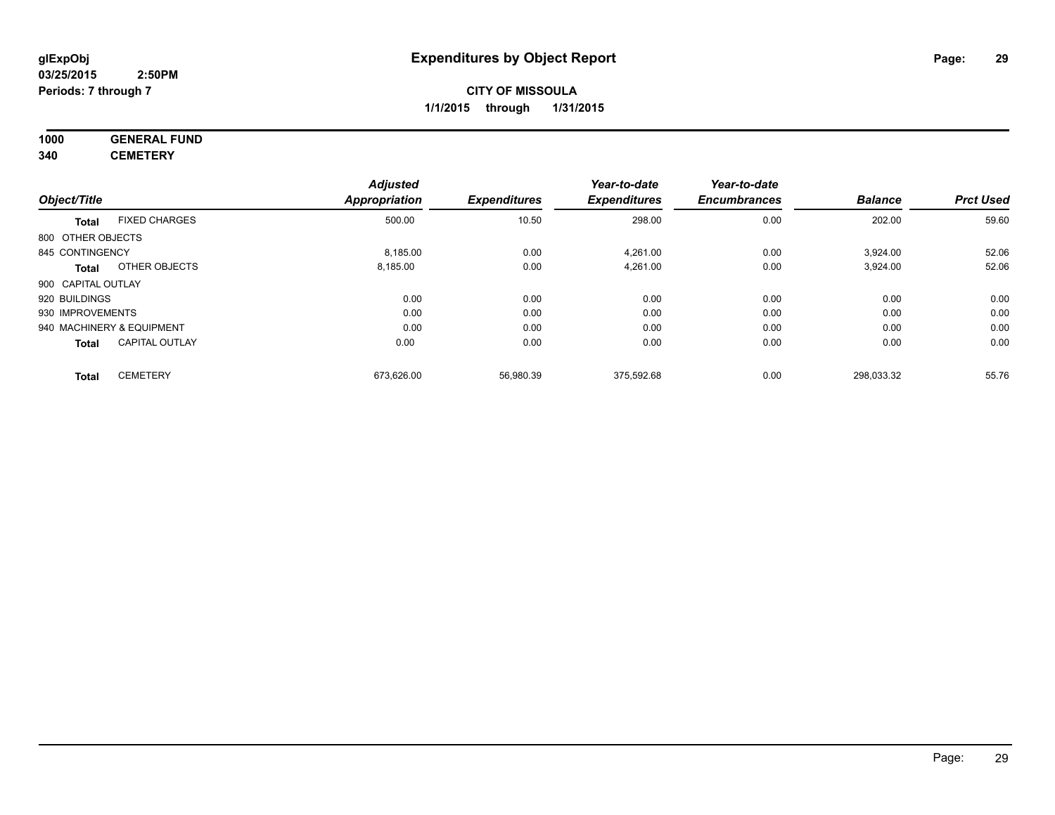## **1000 GENERAL FUND**

**340 CEMETERY**

|                    |                           | <b>Adjusted</b>      |                     | Year-to-date        | Year-to-date        |                |                  |
|--------------------|---------------------------|----------------------|---------------------|---------------------|---------------------|----------------|------------------|
| Object/Title       |                           | <b>Appropriation</b> | <b>Expenditures</b> | <b>Expenditures</b> | <b>Encumbrances</b> | <b>Balance</b> | <b>Prct Used</b> |
| <b>Total</b>       | <b>FIXED CHARGES</b>      | 500.00               | 10.50               | 298.00              | 0.00                | 202.00         | 59.60            |
| 800 OTHER OBJECTS  |                           |                      |                     |                     |                     |                |                  |
| 845 CONTINGENCY    |                           | 8,185.00             | 0.00                | 4,261.00            | 0.00                | 3,924.00       | 52.06            |
| <b>Total</b>       | OTHER OBJECTS             | 8,185.00             | 0.00                | 4,261.00            | 0.00                | 3,924.00       | 52.06            |
| 900 CAPITAL OUTLAY |                           |                      |                     |                     |                     |                |                  |
| 920 BUILDINGS      |                           | 0.00                 | 0.00                | 0.00                | 0.00                | 0.00           | 0.00             |
| 930 IMPROVEMENTS   |                           | 0.00                 | 0.00                | 0.00                | 0.00                | 0.00           | 0.00             |
|                    | 940 MACHINERY & EQUIPMENT | 0.00                 | 0.00                | 0.00                | 0.00                | 0.00           | 0.00             |
| <b>Total</b>       | <b>CAPITAL OUTLAY</b>     | 0.00                 | 0.00                | 0.00                | 0.00                | 0.00           | 0.00             |
| <b>Total</b>       | <b>CEMETERY</b>           | 673,626.00           | 56,980.39           | 375,592.68          | 0.00                | 298,033.32     | 55.76            |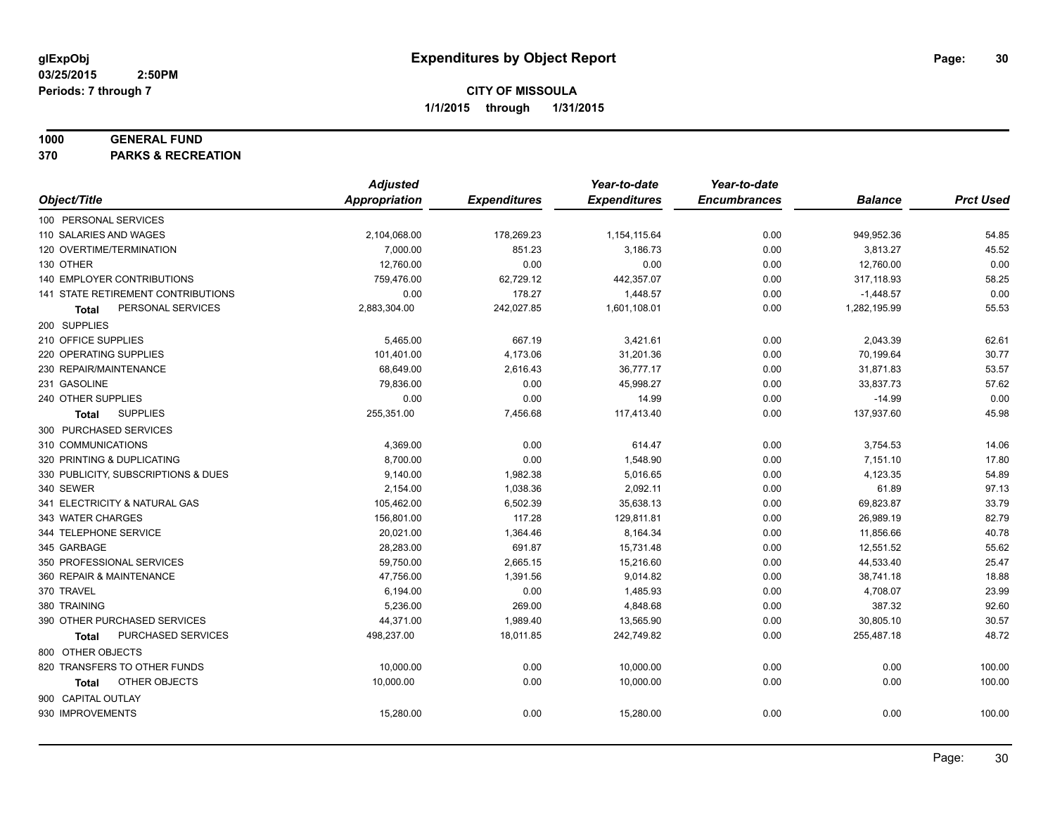#### **1000 GENERAL FUND**

**370 PARKS & RECREATION**

|                                           | <b>Adjusted</b>      |                     | Year-to-date        | Year-to-date        |                |                  |
|-------------------------------------------|----------------------|---------------------|---------------------|---------------------|----------------|------------------|
| Object/Title                              | <b>Appropriation</b> | <b>Expenditures</b> | <b>Expenditures</b> | <b>Encumbrances</b> | <b>Balance</b> | <b>Prct Used</b> |
| 100 PERSONAL SERVICES                     |                      |                     |                     |                     |                |                  |
| 110 SALARIES AND WAGES                    | 2,104,068.00         | 178,269.23          | 1,154,115.64        | 0.00                | 949,952.36     | 54.85            |
| 120 OVERTIME/TERMINATION                  | 7,000.00             | 851.23              | 3,186.73            | 0.00                | 3,813.27       | 45.52            |
| 130 OTHER                                 | 12,760.00            | 0.00                | 0.00                | 0.00                | 12,760.00      | 0.00             |
| 140 EMPLOYER CONTRIBUTIONS                | 759,476.00           | 62,729.12           | 442,357.07          | 0.00                | 317,118.93     | 58.25            |
| <b>141 STATE RETIREMENT CONTRIBUTIONS</b> | 0.00                 | 178.27              | 1,448.57            | 0.00                | $-1,448.57$    | 0.00             |
| PERSONAL SERVICES<br>Total                | 2,883,304.00         | 242,027.85          | 1,601,108.01        | 0.00                | 1,282,195.99   | 55.53            |
| 200 SUPPLIES                              |                      |                     |                     |                     |                |                  |
| 210 OFFICE SUPPLIES                       | 5,465.00             | 667.19              | 3,421.61            | 0.00                | 2,043.39       | 62.61            |
| 220 OPERATING SUPPLIES                    | 101,401.00           | 4,173.06            | 31,201.36           | 0.00                | 70,199.64      | 30.77            |
| 230 REPAIR/MAINTENANCE                    | 68,649.00            | 2,616.43            | 36,777.17           | 0.00                | 31,871.83      | 53.57            |
| 231 GASOLINE                              | 79,836.00            | 0.00                | 45,998.27           | 0.00                | 33,837.73      | 57.62            |
| 240 OTHER SUPPLIES                        | 0.00                 | 0.00                | 14.99               | 0.00                | $-14.99$       | 0.00             |
| <b>SUPPLIES</b><br>Total                  | 255,351.00           | 7,456.68            | 117,413.40          | 0.00                | 137,937.60     | 45.98            |
| 300 PURCHASED SERVICES                    |                      |                     |                     |                     |                |                  |
| 310 COMMUNICATIONS                        | 4,369.00             | 0.00                | 614.47              | 0.00                | 3,754.53       | 14.06            |
| 320 PRINTING & DUPLICATING                | 8,700.00             | 0.00                | 1,548.90            | 0.00                | 7,151.10       | 17.80            |
| 330 PUBLICITY, SUBSCRIPTIONS & DUES       | 9,140.00             | 1,982.38            | 5,016.65            | 0.00                | 4,123.35       | 54.89            |
| 340 SEWER                                 | 2,154.00             | 1,038.36            | 2,092.11            | 0.00                | 61.89          | 97.13            |
| 341 ELECTRICITY & NATURAL GAS             | 105,462.00           | 6,502.39            | 35,638.13           | 0.00                | 69,823.87      | 33.79            |
| 343 WATER CHARGES                         | 156,801.00           | 117.28              | 129,811.81          | 0.00                | 26,989.19      | 82.79            |
| 344 TELEPHONE SERVICE                     | 20,021.00            | 1,364.46            | 8,164.34            | 0.00                | 11,856.66      | 40.78            |
| 345 GARBAGE                               | 28,283.00            | 691.87              | 15,731.48           | 0.00                | 12,551.52      | 55.62            |
| 350 PROFESSIONAL SERVICES                 | 59,750.00            | 2,665.15            | 15,216.60           | 0.00                | 44,533.40      | 25.47            |
| 360 REPAIR & MAINTENANCE                  | 47,756.00            | 1,391.56            | 9,014.82            | 0.00                | 38,741.18      | 18.88            |
| 370 TRAVEL                                | 6,194.00             | 0.00                | 1,485.93            | 0.00                | 4,708.07       | 23.99            |
| 380 TRAINING                              | 5,236.00             | 269.00              | 4,848.68            | 0.00                | 387.32         | 92.60            |
| 390 OTHER PURCHASED SERVICES              | 44,371.00            | 1,989.40            | 13,565.90           | 0.00                | 30,805.10      | 30.57            |
| PURCHASED SERVICES<br><b>Total</b>        | 498,237.00           | 18,011.85           | 242,749.82          | 0.00                | 255,487.18     | 48.72            |
| 800 OTHER OBJECTS                         |                      |                     |                     |                     |                |                  |
| 820 TRANSFERS TO OTHER FUNDS              | 10,000.00            | 0.00                | 10,000.00           | 0.00                | 0.00           | 100.00           |
| OTHER OBJECTS<br>Total                    | 10,000.00            | 0.00                | 10,000.00           | 0.00                | 0.00           | 100.00           |
| 900 CAPITAL OUTLAY                        |                      |                     |                     |                     |                |                  |
| 930 IMPROVEMENTS                          | 15,280.00            | 0.00                | 15,280.00           | 0.00                | 0.00           | 100.00           |
|                                           |                      |                     |                     |                     |                |                  |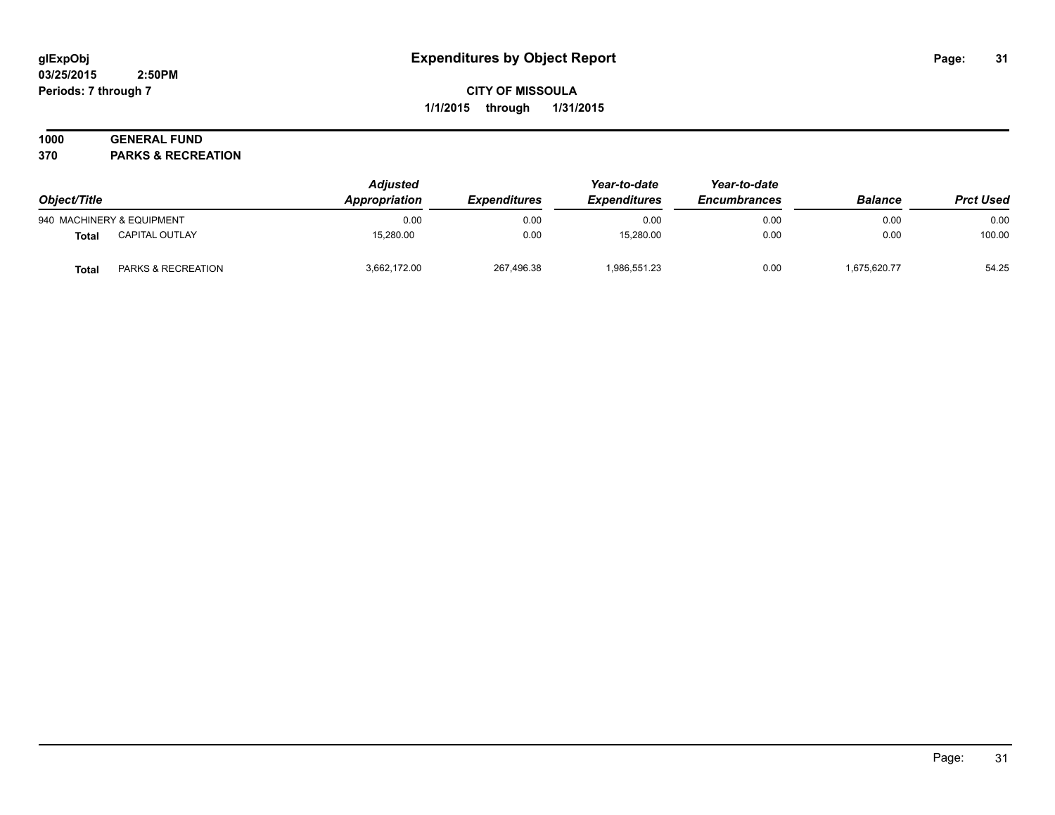#### **03/25/2015 2:50PM Periods: 7 through 7**

## **CITY OF MISSOULA 1/1/2015 through 1/31/2015**

## **1000 GENERAL FUND**

**370 PARKS & RECREATION**

| Object/Title |                           | <b>Adjusted</b><br>Appropriation | <i><b>Expenditures</b></i> | Year-to-date<br><b>Expenditures</b> | Year-to-date<br><b>Encumbrances</b> | <b>Balance</b> | <b>Prct Used</b> |
|--------------|---------------------------|----------------------------------|----------------------------|-------------------------------------|-------------------------------------|----------------|------------------|
|              | 940 MACHINERY & EQUIPMENT | 0.00                             | 0.00                       | 0.00                                | 0.00                                | 0.00           | 0.00             |
| <b>Total</b> | <b>CAPITAL OUTLAY</b>     | 15.280.00                        | 0.00                       | 15.280.00                           | 0.00                                | 0.00           | 100.00           |
| <b>Total</b> | PARKS & RECREATION        | 3,662,172.00                     | 267,496.38                 | 1,986,551.23                        | 0.00                                | 1,675,620.77   | 54.25            |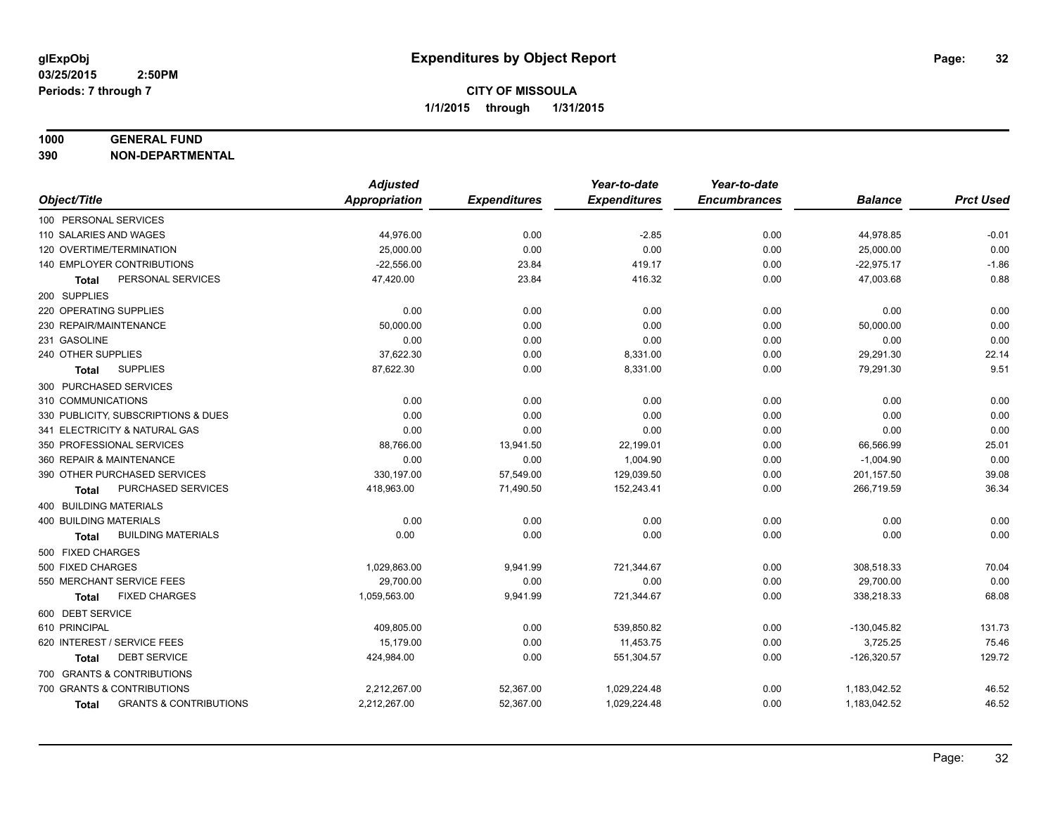#### **1000 GENERAL FUND**

**390 NON-DEPARTMENTAL**

|                                                   | <b>Adjusted</b> |                     | Year-to-date        | Year-to-date        |                |                  |
|---------------------------------------------------|-----------------|---------------------|---------------------|---------------------|----------------|------------------|
| Object/Title                                      | Appropriation   | <b>Expenditures</b> | <b>Expenditures</b> | <b>Encumbrances</b> | <b>Balance</b> | <b>Prct Used</b> |
| 100 PERSONAL SERVICES                             |                 |                     |                     |                     |                |                  |
| 110 SALARIES AND WAGES                            | 44,976.00       | 0.00                | $-2.85$             | 0.00                | 44,978.85      | $-0.01$          |
| 120 OVERTIME/TERMINATION                          | 25,000.00       | 0.00                | 0.00                | 0.00                | 25,000.00      | 0.00             |
| 140 EMPLOYER CONTRIBUTIONS                        | $-22,556.00$    | 23.84               | 419.17              | 0.00                | $-22,975.17$   | $-1.86$          |
| PERSONAL SERVICES<br>Total                        | 47,420.00       | 23.84               | 416.32              | 0.00                | 47,003.68      | 0.88             |
| 200 SUPPLIES                                      |                 |                     |                     |                     |                |                  |
| 220 OPERATING SUPPLIES                            | 0.00            | 0.00                | 0.00                | 0.00                | 0.00           | 0.00             |
| 230 REPAIR/MAINTENANCE                            | 50,000.00       | 0.00                | 0.00                | 0.00                | 50,000.00      | 0.00             |
| 231 GASOLINE                                      | 0.00            | 0.00                | 0.00                | 0.00                | 0.00           | 0.00             |
| 240 OTHER SUPPLIES                                | 37,622.30       | 0.00                | 8,331.00            | 0.00                | 29,291.30      | 22.14            |
| <b>SUPPLIES</b><br>Total                          | 87,622.30       | 0.00                | 8,331.00            | 0.00                | 79,291.30      | 9.51             |
| 300 PURCHASED SERVICES                            |                 |                     |                     |                     |                |                  |
| 310 COMMUNICATIONS                                | 0.00            | 0.00                | 0.00                | 0.00                | 0.00           | 0.00             |
| 330 PUBLICITY, SUBSCRIPTIONS & DUES               | 0.00            | 0.00                | 0.00                | 0.00                | 0.00           | 0.00             |
| 341 ELECTRICITY & NATURAL GAS                     | 0.00            | 0.00                | 0.00                | 0.00                | 0.00           | 0.00             |
| 350 PROFESSIONAL SERVICES                         | 88,766.00       | 13,941.50           | 22,199.01           | 0.00                | 66,566.99      | 25.01            |
| 360 REPAIR & MAINTENANCE                          | 0.00            | 0.00                | 1,004.90            | 0.00                | $-1,004.90$    | 0.00             |
| 390 OTHER PURCHASED SERVICES                      | 330,197.00      | 57,549.00           | 129,039.50          | 0.00                | 201,157.50     | 39.08            |
| PURCHASED SERVICES<br>Total                       | 418,963.00      | 71,490.50           | 152,243.41          | 0.00                | 266,719.59     | 36.34            |
| 400 BUILDING MATERIALS                            |                 |                     |                     |                     |                |                  |
| <b>400 BUILDING MATERIALS</b>                     | 0.00            | 0.00                | 0.00                | 0.00                | 0.00           | 0.00             |
| <b>BUILDING MATERIALS</b><br>Total                | 0.00            | 0.00                | 0.00                | 0.00                | 0.00           | 0.00             |
| 500 FIXED CHARGES                                 |                 |                     |                     |                     |                |                  |
| 500 FIXED CHARGES                                 | 1,029,863.00    | 9,941.99            | 721,344.67          | 0.00                | 308,518.33     | 70.04            |
| 550 MERCHANT SERVICE FEES                         | 29,700.00       | 0.00                | 0.00                | 0.00                | 29,700.00      | 0.00             |
| <b>FIXED CHARGES</b><br><b>Total</b>              | 1,059,563.00    | 9,941.99            | 721,344.67          | 0.00                | 338,218.33     | 68.08            |
| 600 DEBT SERVICE                                  |                 |                     |                     |                     |                |                  |
| 610 PRINCIPAL                                     | 409,805.00      | 0.00                | 539,850.82          | 0.00                | $-130,045.82$  | 131.73           |
| 620 INTEREST / SERVICE FEES                       | 15,179.00       | 0.00                | 11,453.75           | 0.00                | 3,725.25       | 75.46            |
| <b>DEBT SERVICE</b><br><b>Total</b>               | 424.984.00      | 0.00                | 551,304.57          | 0.00                | $-126,320.57$  | 129.72           |
| 700 GRANTS & CONTRIBUTIONS                        |                 |                     |                     |                     |                |                  |
| 700 GRANTS & CONTRIBUTIONS                        | 2,212,267.00    | 52,367.00           | 1,029,224.48        | 0.00                | 1,183,042.52   | 46.52            |
| <b>GRANTS &amp; CONTRIBUTIONS</b><br><b>Total</b> | 2,212,267.00    | 52,367.00           | 1,029,224.48        | 0.00                | 1,183,042.52   | 46.52            |
|                                                   |                 |                     |                     |                     |                |                  |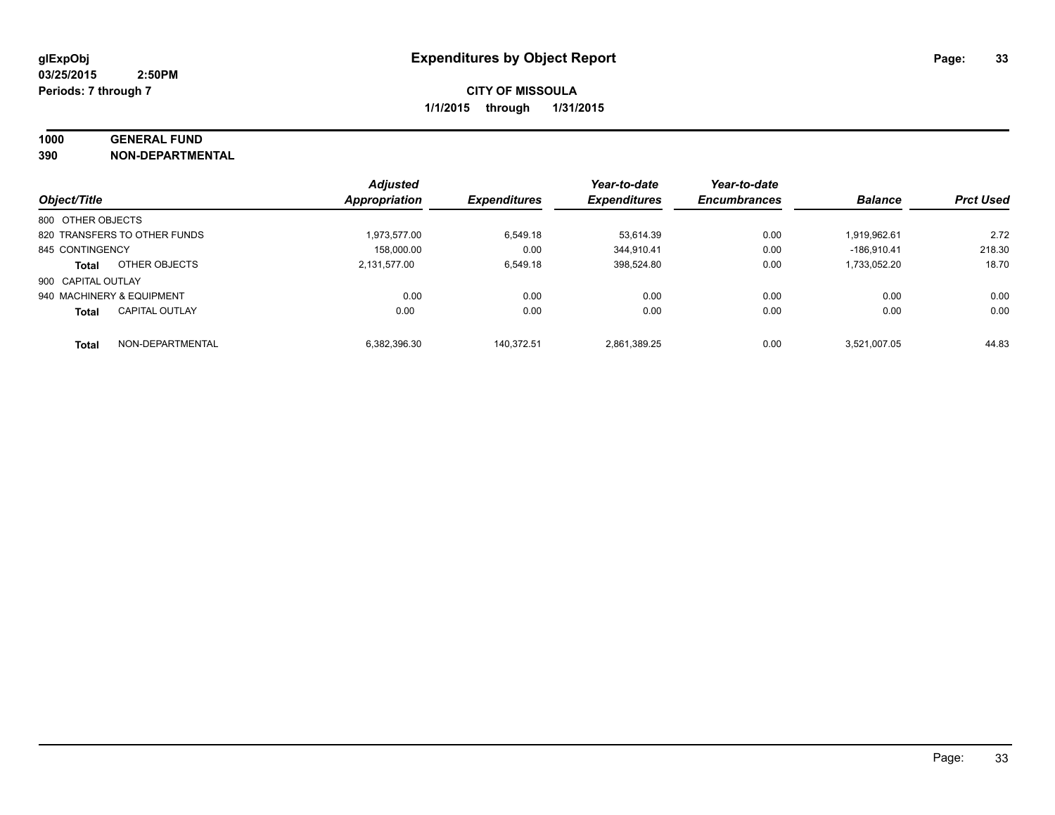# **1000 GENERAL FUND**

**390 NON-DEPARTMENTAL**

|                           |                              | <b>Adjusted</b>      |                     | Year-to-date        | Year-to-date        |                |                  |
|---------------------------|------------------------------|----------------------|---------------------|---------------------|---------------------|----------------|------------------|
| Object/Title              |                              | <b>Appropriation</b> | <b>Expenditures</b> | <b>Expenditures</b> | <b>Encumbrances</b> | <b>Balance</b> | <b>Prct Used</b> |
| 800 OTHER OBJECTS         |                              |                      |                     |                     |                     |                |                  |
|                           | 820 TRANSFERS TO OTHER FUNDS | 1.973.577.00         | 6.549.18            | 53.614.39           | 0.00                | 1.919.962.61   | 2.72             |
| 845 CONTINGENCY           |                              | 158.000.00           | 0.00                | 344.910.41          | 0.00                | $-186.910.41$  | 218.30           |
| <b>Total</b>              | OTHER OBJECTS                | 2.131.577.00         | 6.549.18            | 398.524.80          | 0.00                | 1.733.052.20   | 18.70            |
| 900 CAPITAL OUTLAY        |                              |                      |                     |                     |                     |                |                  |
| 940 MACHINERY & EQUIPMENT |                              | 0.00                 | 0.00                | 0.00                | 0.00                | 0.00           | 0.00             |
| <b>Total</b>              | <b>CAPITAL OUTLAY</b>        | 0.00                 | 0.00                | 0.00                | 0.00                | 0.00           | 0.00             |
| <b>Total</b>              | NON-DEPARTMENTAL             | 6.382.396.30         | 140.372.51          | 2.861.389.25        | 0.00                | 3.521.007.05   | 44.83            |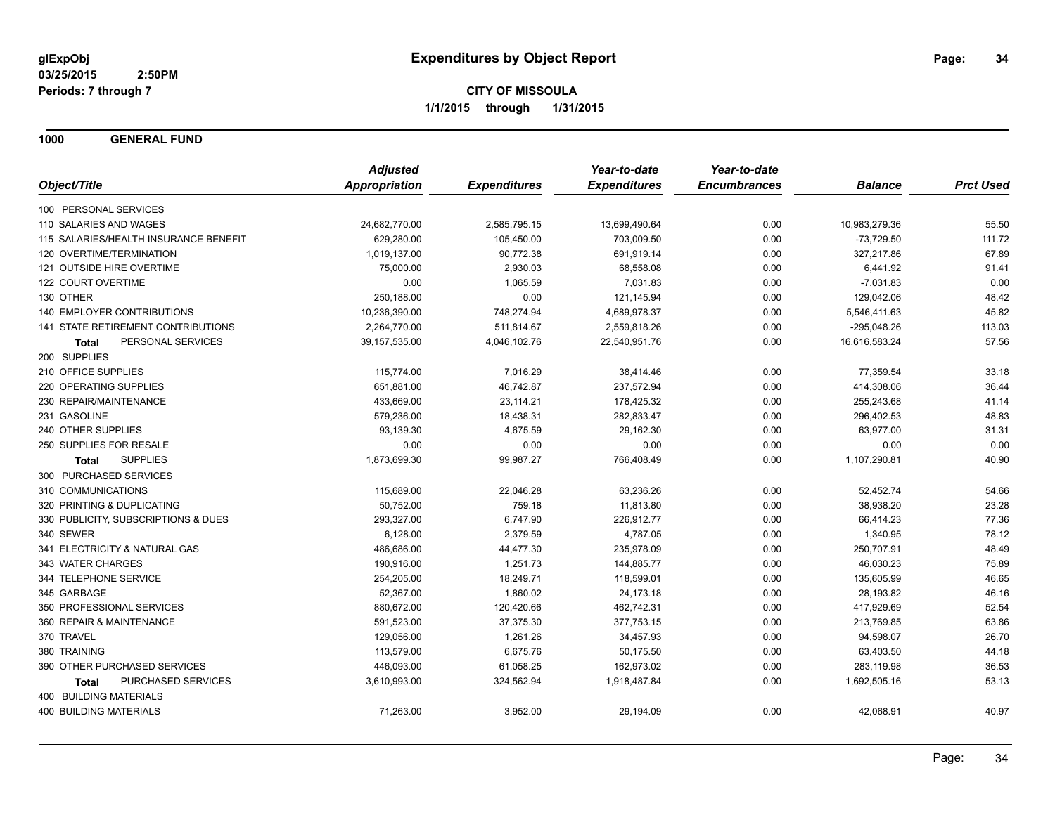**1000 GENERAL FUND**

|                                       | <b>Adjusted</b> |                     | Year-to-date        | Year-to-date        |                |                  |
|---------------------------------------|-----------------|---------------------|---------------------|---------------------|----------------|------------------|
| Object/Title                          | Appropriation   | <b>Expenditures</b> | <b>Expenditures</b> | <b>Encumbrances</b> | <b>Balance</b> | <b>Prct Used</b> |
| 100 PERSONAL SERVICES                 |                 |                     |                     |                     |                |                  |
| 110 SALARIES AND WAGES                | 24,682,770.00   | 2,585,795.15        | 13,699,490.64       | 0.00                | 10,983,279.36  | 55.50            |
| 115 SALARIES/HEALTH INSURANCE BENEFIT | 629,280.00      | 105,450.00          | 703,009.50          | 0.00                | $-73,729.50$   | 111.72           |
| 120 OVERTIME/TERMINATION              | 1,019,137.00    | 90,772.38           | 691,919.14          | 0.00                | 327,217.86     | 67.89            |
| 121 OUTSIDE HIRE OVERTIME             | 75,000.00       | 2,930.03            | 68,558.08           | 0.00                | 6,441.92       | 91.41            |
| 122 COURT OVERTIME                    | 0.00            | 1,065.59            | 7,031.83            | 0.00                | $-7,031.83$    | 0.00             |
| 130 OTHER                             | 250,188.00      | 0.00                | 121,145.94          | 0.00                | 129,042.06     | 48.42            |
| 140 EMPLOYER CONTRIBUTIONS            | 10,236,390.00   | 748,274.94          | 4,689,978.37        | 0.00                | 5,546,411.63   | 45.82            |
| 141 STATE RETIREMENT CONTRIBUTIONS    | 2,264,770.00    | 511,814.67          | 2,559,818.26        | 0.00                | $-295,048.26$  | 113.03           |
| PERSONAL SERVICES<br><b>Total</b>     | 39, 157, 535.00 | 4,046,102.76        | 22,540,951.76       | 0.00                | 16,616,583.24  | 57.56            |
| 200 SUPPLIES                          |                 |                     |                     |                     |                |                  |
| 210 OFFICE SUPPLIES                   | 115,774.00      | 7,016.29            | 38,414.46           | 0.00                | 77,359.54      | 33.18            |
| 220 OPERATING SUPPLIES                | 651,881.00      | 46,742.87           | 237,572.94          | 0.00                | 414,308.06     | 36.44            |
| 230 REPAIR/MAINTENANCE                | 433,669.00      | 23,114.21           | 178,425.32          | 0.00                | 255,243.68     | 41.14            |
| 231 GASOLINE                          | 579,236.00      | 18,438.31           | 282,833.47          | 0.00                | 296,402.53     | 48.83            |
| 240 OTHER SUPPLIES                    | 93,139.30       | 4,675.59            | 29,162.30           | 0.00                | 63,977.00      | 31.31            |
| 250 SUPPLIES FOR RESALE               | 0.00            | 0.00                | 0.00                | 0.00                | 0.00           | 0.00             |
| <b>SUPPLIES</b><br><b>Total</b>       | 1,873,699.30    | 99,987.27           | 766,408.49          | 0.00                | 1,107,290.81   | 40.90            |
| 300 PURCHASED SERVICES                |                 |                     |                     |                     |                |                  |
| 310 COMMUNICATIONS                    | 115,689.00      | 22,046.28           | 63,236.26           | 0.00                | 52,452.74      | 54.66            |
| 320 PRINTING & DUPLICATING            | 50,752.00       | 759.18              | 11,813.80           | 0.00                | 38,938.20      | 23.28            |
| 330 PUBLICITY, SUBSCRIPTIONS & DUES   | 293,327.00      | 6,747.90            | 226,912.77          | 0.00                | 66,414.23      | 77.36            |
| 340 SEWER                             | 6,128.00        | 2,379.59            | 4,787.05            | 0.00                | 1,340.95       | 78.12            |
| 341 ELECTRICITY & NATURAL GAS         | 486,686.00      | 44,477.30           | 235,978.09          | 0.00                | 250,707.91     | 48.49            |
| 343 WATER CHARGES                     | 190,916.00      | 1,251.73            | 144,885.77          | 0.00                | 46,030.23      | 75.89            |
| 344 TELEPHONE SERVICE                 | 254,205.00      | 18,249.71           | 118,599.01          | 0.00                | 135,605.99     | 46.65            |
| 345 GARBAGE                           | 52,367.00       | 1,860.02            | 24,173.18           | 0.00                | 28,193.82      | 46.16            |
| 350 PROFESSIONAL SERVICES             | 880,672.00      | 120,420.66          | 462,742.31          | 0.00                | 417,929.69     | 52.54            |
| 360 REPAIR & MAINTENANCE              | 591,523.00      | 37,375.30           | 377,753.15          | 0.00                | 213,769.85     | 63.86            |
| 370 TRAVEL                            | 129,056.00      | 1,261.26            | 34,457.93           | 0.00                | 94,598.07      | 26.70            |
| 380 TRAINING                          | 113,579.00      | 6,675.76            | 50,175.50           | 0.00                | 63,403.50      | 44.18            |
| 390 OTHER PURCHASED SERVICES          | 446,093.00      | 61,058.25           | 162,973.02          | 0.00                | 283,119.98     | 36.53            |
| PURCHASED SERVICES<br><b>Total</b>    | 3,610,993.00    | 324,562.94          | 1,918,487.84        | 0.00                | 1,692,505.16   | 53.13            |
| 400 BUILDING MATERIALS                |                 |                     |                     |                     |                |                  |
| <b>400 BUILDING MATERIALS</b>         | 71,263.00       | 3,952.00            | 29,194.09           | 0.00                | 42,068.91      | 40.97            |
|                                       |                 |                     |                     |                     |                |                  |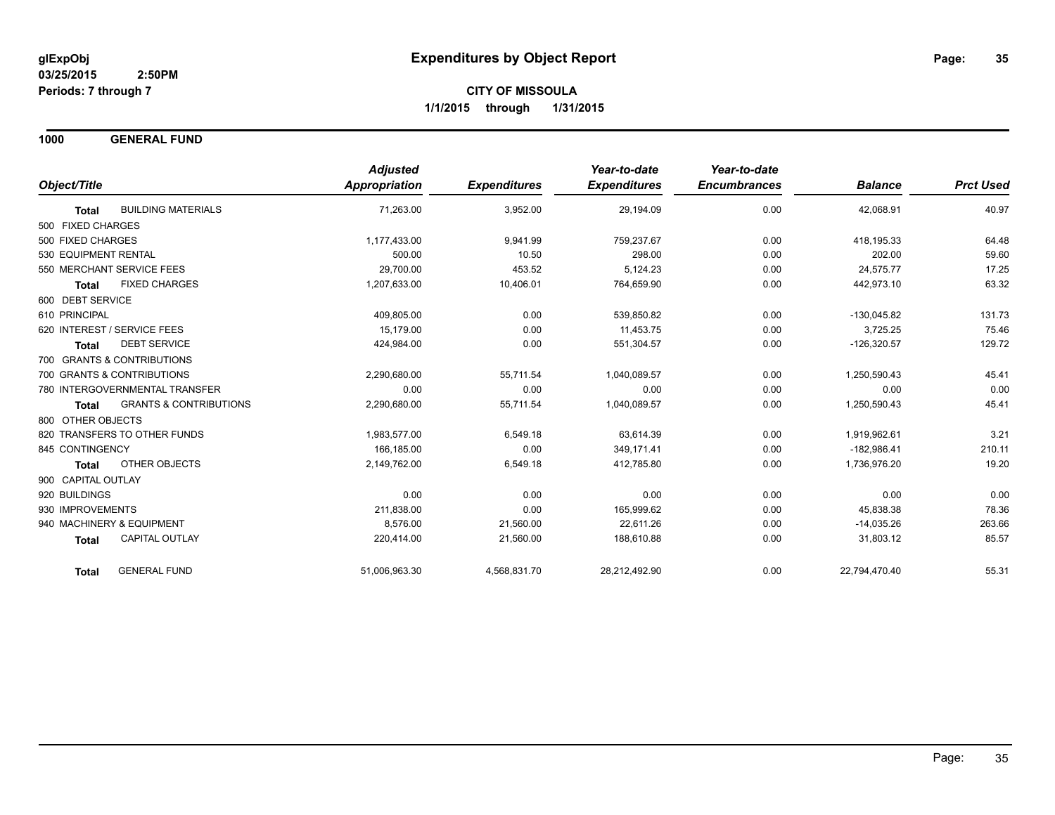**1000 GENERAL FUND**

|                                                   | <b>Adjusted</b>      |                     | Year-to-date        | Year-to-date        |                |                  |
|---------------------------------------------------|----------------------|---------------------|---------------------|---------------------|----------------|------------------|
| Object/Title                                      | <b>Appropriation</b> | <b>Expenditures</b> | <b>Expenditures</b> | <b>Encumbrances</b> | <b>Balance</b> | <b>Prct Used</b> |
| <b>BUILDING MATERIALS</b><br><b>Total</b>         | 71,263.00            | 3,952.00            | 29,194.09           | 0.00                | 42,068.91      | 40.97            |
| 500 FIXED CHARGES                                 |                      |                     |                     |                     |                |                  |
| 500 FIXED CHARGES                                 | 1,177,433.00         | 9,941.99            | 759,237.67          | 0.00                | 418,195.33     | 64.48            |
| 530 EQUIPMENT RENTAL                              | 500.00               | 10.50               | 298.00              | 0.00                | 202.00         | 59.60            |
| 550 MERCHANT SERVICE FEES                         | 29,700.00            | 453.52              | 5,124.23            | 0.00                | 24,575.77      | 17.25            |
| <b>FIXED CHARGES</b><br><b>Total</b>              | 1,207,633.00         | 10,406.01           | 764,659.90          | 0.00                | 442,973.10     | 63.32            |
| 600 DEBT SERVICE                                  |                      |                     |                     |                     |                |                  |
| 610 PRINCIPAL                                     | 409,805.00           | 0.00                | 539,850.82          | 0.00                | $-130.045.82$  | 131.73           |
| 620 INTEREST / SERVICE FEES                       | 15.179.00            | 0.00                | 11,453.75           | 0.00                | 3,725.25       | 75.46            |
| <b>DEBT SERVICE</b><br><b>Total</b>               | 424,984.00           | 0.00                | 551,304.57          | 0.00                | $-126,320.57$  | 129.72           |
| 700 GRANTS & CONTRIBUTIONS                        |                      |                     |                     |                     |                |                  |
| 700 GRANTS & CONTRIBUTIONS                        | 2,290,680.00         | 55,711.54           | 1,040,089.57        | 0.00                | 1,250,590.43   | 45.41            |
| 780 INTERGOVERNMENTAL TRANSFER                    | 0.00                 | 0.00                | 0.00                | 0.00                | 0.00           | 0.00             |
| <b>GRANTS &amp; CONTRIBUTIONS</b><br><b>Total</b> | 2,290,680.00         | 55,711.54           | 1,040,089.57        | 0.00                | 1,250,590.43   | 45.41            |
| 800 OTHER OBJECTS                                 |                      |                     |                     |                     |                |                  |
| 820 TRANSFERS TO OTHER FUNDS                      | 1,983,577.00         | 6,549.18            | 63.614.39           | 0.00                | 1,919,962.61   | 3.21             |
| 845 CONTINGENCY                                   | 166.185.00           | 0.00                | 349.171.41          | 0.00                | $-182.986.41$  | 210.11           |
| OTHER OBJECTS<br>Total                            | 2,149,762.00         | 6,549.18            | 412,785.80          | 0.00                | 1,736,976.20   | 19.20            |
| 900 CAPITAL OUTLAY                                |                      |                     |                     |                     |                |                  |
| 920 BUILDINGS                                     | 0.00                 | 0.00                | 0.00                | 0.00                | 0.00           | 0.00             |
| 930 IMPROVEMENTS                                  | 211,838.00           | 0.00                | 165,999.62          | 0.00                | 45,838.38      | 78.36            |
| 940 MACHINERY & EQUIPMENT                         | 8.576.00             | 21,560.00           | 22.611.26           | 0.00                | $-14,035.26$   | 263.66           |
| <b>CAPITAL OUTLAY</b><br>Total                    | 220,414.00           | 21,560.00           | 188,610.88          | 0.00                | 31,803.12      | 85.57            |
| <b>GENERAL FUND</b><br><b>Total</b>               | 51,006,963.30        | 4,568,831.70        | 28,212,492.90       | 0.00                | 22,794,470.40  | 55.31            |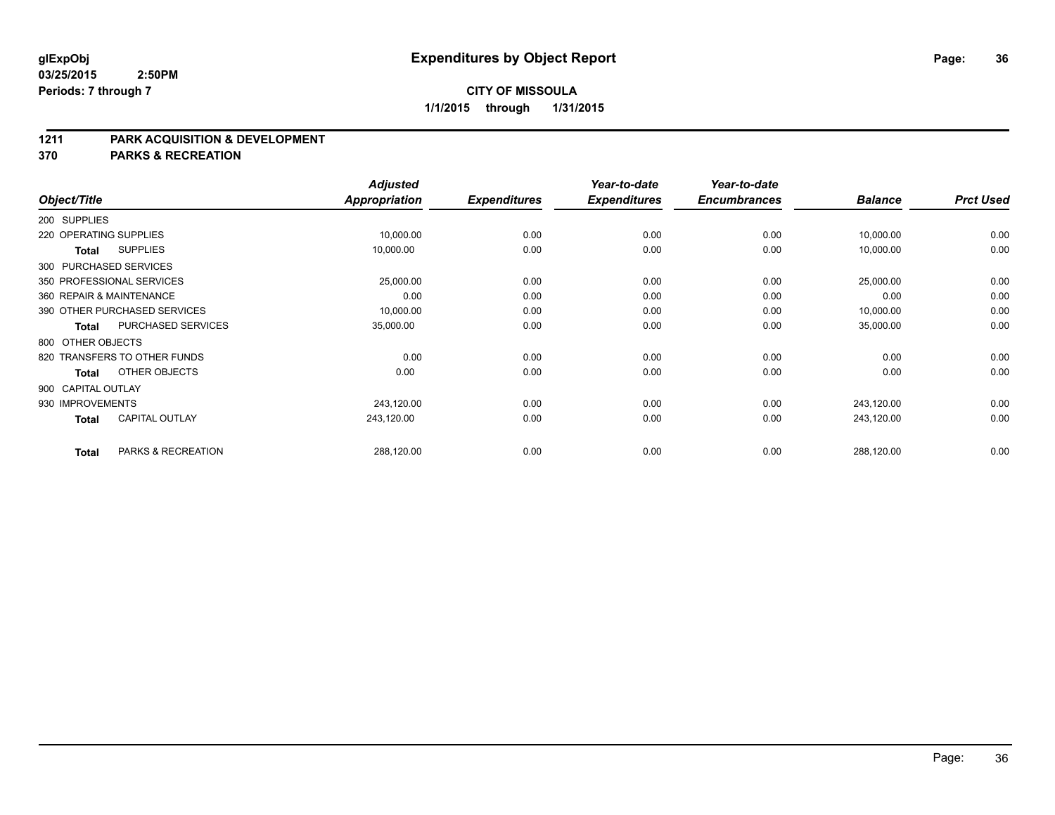#### **1211 PARK ACQUISITION & DEVELOPMENT**

**370 PARKS & RECREATION**

|                    |                              | <b>Adjusted</b> |                     | Year-to-date        | Year-to-date        |                |                  |
|--------------------|------------------------------|-----------------|---------------------|---------------------|---------------------|----------------|------------------|
| Object/Title       |                              | Appropriation   | <b>Expenditures</b> | <b>Expenditures</b> | <b>Encumbrances</b> | <b>Balance</b> | <b>Prct Used</b> |
| 200 SUPPLIES       |                              |                 |                     |                     |                     |                |                  |
|                    | 220 OPERATING SUPPLIES       | 10,000.00       | 0.00                | 0.00                | 0.00                | 10,000.00      | 0.00             |
| Total              | <b>SUPPLIES</b>              | 10,000.00       | 0.00                | 0.00                | 0.00                | 10,000.00      | 0.00             |
|                    | 300 PURCHASED SERVICES       |                 |                     |                     |                     |                |                  |
|                    | 350 PROFESSIONAL SERVICES    | 25,000.00       | 0.00                | 0.00                | 0.00                | 25,000.00      | 0.00             |
|                    | 360 REPAIR & MAINTENANCE     | 0.00            | 0.00                | 0.00                | 0.00                | 0.00           | 0.00             |
|                    | 390 OTHER PURCHASED SERVICES | 10,000.00       | 0.00                | 0.00                | 0.00                | 10,000.00      | 0.00             |
| <b>Total</b>       | PURCHASED SERVICES           | 35,000.00       | 0.00                | 0.00                | 0.00                | 35,000.00      | 0.00             |
| 800 OTHER OBJECTS  |                              |                 |                     |                     |                     |                |                  |
|                    | 820 TRANSFERS TO OTHER FUNDS | 0.00            | 0.00                | 0.00                | 0.00                | 0.00           | 0.00             |
| Total              | OTHER OBJECTS                | 0.00            | 0.00                | 0.00                | 0.00                | 0.00           | 0.00             |
| 900 CAPITAL OUTLAY |                              |                 |                     |                     |                     |                |                  |
| 930 IMPROVEMENTS   |                              | 243,120.00      | 0.00                | 0.00                | 0.00                | 243,120.00     | 0.00             |
| Total              | <b>CAPITAL OUTLAY</b>        | 243,120.00      | 0.00                | 0.00                | 0.00                | 243,120.00     | 0.00             |
| <b>Total</b>       | PARKS & RECREATION           | 288,120.00      | 0.00                | 0.00                | 0.00                | 288,120.00     | 0.00             |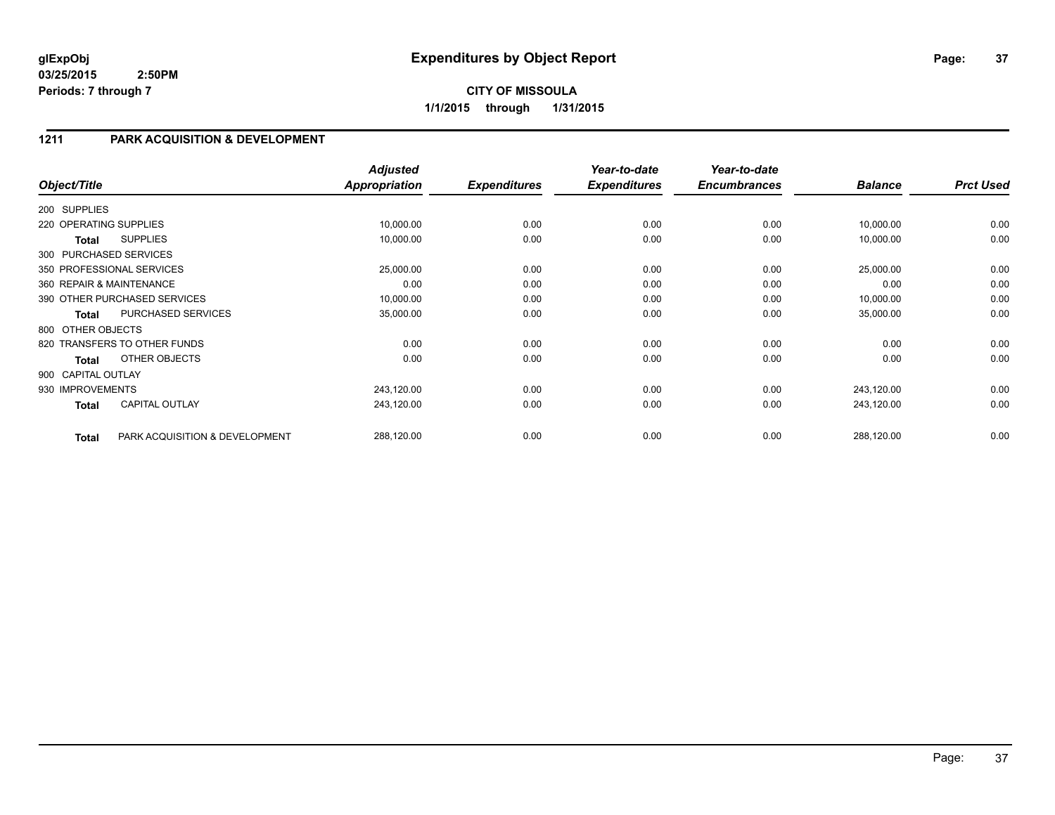**1/1/2015 through 1/31/2015**

### **1211 PARK ACQUISITION & DEVELOPMENT**

| Object/Title           |                                | <b>Adjusted</b><br><b>Appropriation</b> | <b>Expenditures</b> | Year-to-date<br><b>Expenditures</b> | Year-to-date<br><b>Encumbrances</b> | <b>Balance</b> | <b>Prct Used</b> |
|------------------------|--------------------------------|-----------------------------------------|---------------------|-------------------------------------|-------------------------------------|----------------|------------------|
|                        |                                |                                         |                     |                                     |                                     |                |                  |
| 200 SUPPLIES           |                                |                                         |                     |                                     |                                     |                |                  |
| 220 OPERATING SUPPLIES |                                | 10,000.00                               | 0.00                | 0.00                                | 0.00                                | 10,000.00      | 0.00             |
| Total                  | <b>SUPPLIES</b>                | 10,000.00                               | 0.00                | 0.00                                | 0.00                                | 10,000.00      | 0.00             |
| 300 PURCHASED SERVICES |                                |                                         |                     |                                     |                                     |                |                  |
|                        | 350 PROFESSIONAL SERVICES      | 25,000.00                               | 0.00                | 0.00                                | 0.00                                | 25,000.00      | 0.00             |
|                        | 360 REPAIR & MAINTENANCE       | 0.00                                    | 0.00                | 0.00                                | 0.00                                | 0.00           | 0.00             |
|                        | 390 OTHER PURCHASED SERVICES   | 10,000.00                               | 0.00                | 0.00                                | 0.00                                | 10,000.00      | 0.00             |
| <b>Total</b>           | PURCHASED SERVICES             | 35,000.00                               | 0.00                | 0.00                                | 0.00                                | 35,000.00      | 0.00             |
| 800 OTHER OBJECTS      |                                |                                         |                     |                                     |                                     |                |                  |
|                        | 820 TRANSFERS TO OTHER FUNDS   | 0.00                                    | 0.00                | 0.00                                | 0.00                                | 0.00           | 0.00             |
| <b>Total</b>           | OTHER OBJECTS                  | 0.00                                    | 0.00                | 0.00                                | 0.00                                | 0.00           | 0.00             |
| 900 CAPITAL OUTLAY     |                                |                                         |                     |                                     |                                     |                |                  |
| 930 IMPROVEMENTS       |                                | 243,120.00                              | 0.00                | 0.00                                | 0.00                                | 243,120.00     | 0.00             |
| <b>Total</b>           | <b>CAPITAL OUTLAY</b>          | 243,120.00                              | 0.00                | 0.00                                | 0.00                                | 243,120.00     | 0.00             |
| <b>Total</b>           | PARK ACQUISITION & DEVELOPMENT | 288,120.00                              | 0.00                | 0.00                                | 0.00                                | 288,120.00     | 0.00             |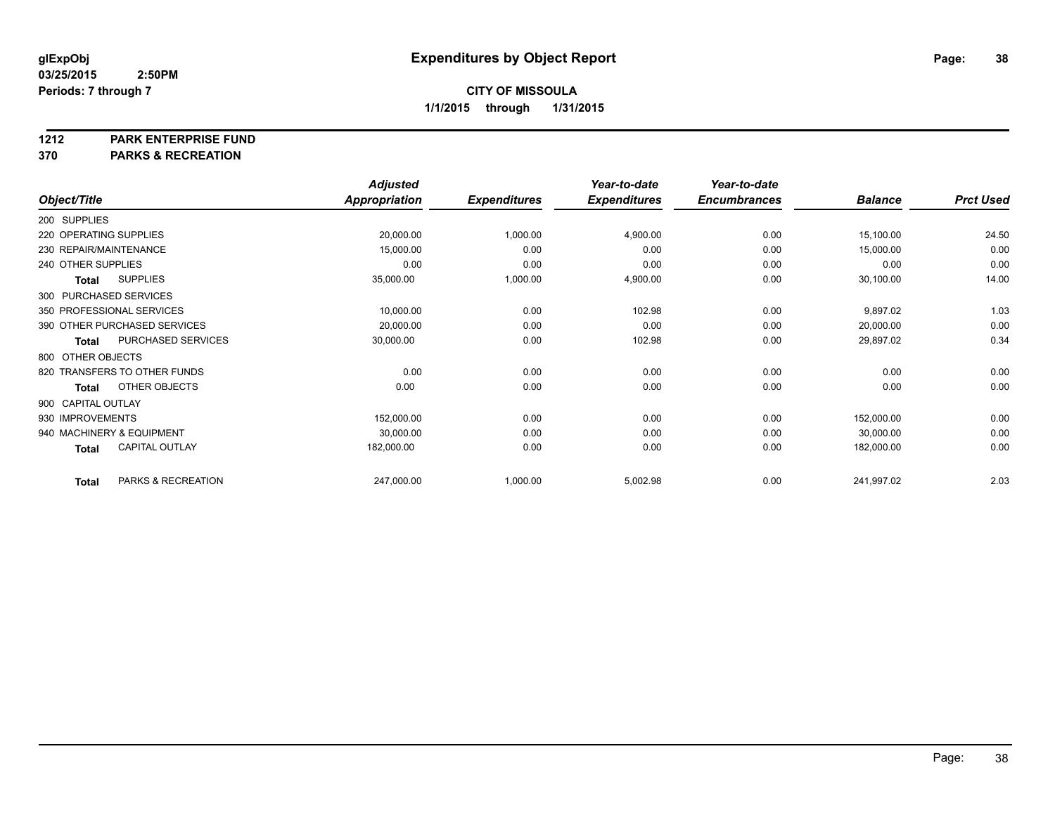#### **1212 PARK ENTERPRISE FUND**

**370 PARKS & RECREATION**

|                        |                              | <b>Adjusted</b>      |                     | Year-to-date        | Year-to-date        |                |                  |
|------------------------|------------------------------|----------------------|---------------------|---------------------|---------------------|----------------|------------------|
| Object/Title           |                              | <b>Appropriation</b> | <b>Expenditures</b> | <b>Expenditures</b> | <b>Encumbrances</b> | <b>Balance</b> | <b>Prct Used</b> |
| 200 SUPPLIES           |                              |                      |                     |                     |                     |                |                  |
| 220 OPERATING SUPPLIES |                              | 20,000.00            | 1,000.00            | 4,900.00            | 0.00                | 15,100.00      | 24.50            |
|                        | 230 REPAIR/MAINTENANCE       | 15,000.00            | 0.00                | 0.00                | 0.00                | 15,000.00      | 0.00             |
| 240 OTHER SUPPLIES     |                              | 0.00                 | 0.00                | 0.00                | 0.00                | 0.00           | 0.00             |
| <b>Total</b>           | <b>SUPPLIES</b>              | 35,000.00            | 1,000.00            | 4,900.00            | 0.00                | 30,100.00      | 14.00            |
|                        | 300 PURCHASED SERVICES       |                      |                     |                     |                     |                |                  |
|                        | 350 PROFESSIONAL SERVICES    | 10,000.00            | 0.00                | 102.98              | 0.00                | 9,897.02       | 1.03             |
|                        | 390 OTHER PURCHASED SERVICES | 20,000.00            | 0.00                | 0.00                | 0.00                | 20,000.00      | 0.00             |
| <b>Total</b>           | PURCHASED SERVICES           | 30,000.00            | 0.00                | 102.98              | 0.00                | 29,897.02      | 0.34             |
| 800 OTHER OBJECTS      |                              |                      |                     |                     |                     |                |                  |
|                        | 820 TRANSFERS TO OTHER FUNDS | 0.00                 | 0.00                | 0.00                | 0.00                | 0.00           | 0.00             |
| <b>Total</b>           | OTHER OBJECTS                | 0.00                 | 0.00                | 0.00                | 0.00                | 0.00           | 0.00             |
| 900 CAPITAL OUTLAY     |                              |                      |                     |                     |                     |                |                  |
| 930 IMPROVEMENTS       |                              | 152,000.00           | 0.00                | 0.00                | 0.00                | 152,000.00     | 0.00             |
|                        | 940 MACHINERY & EQUIPMENT    | 30,000.00            | 0.00                | 0.00                | 0.00                | 30,000.00      | 0.00             |
| <b>Total</b>           | <b>CAPITAL OUTLAY</b>        | 182,000.00           | 0.00                | 0.00                | 0.00                | 182,000.00     | 0.00             |
| <b>Total</b>           | PARKS & RECREATION           | 247,000.00           | 1,000.00            | 5,002.98            | 0.00                | 241,997.02     | 2.03             |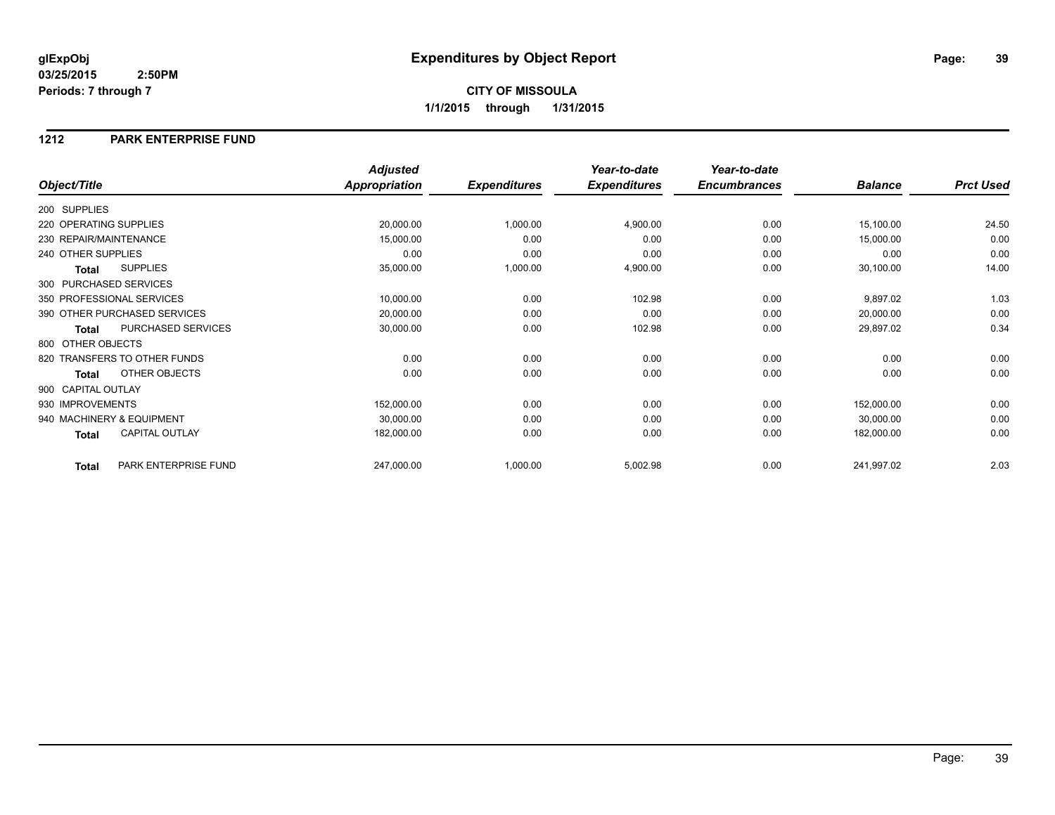#### **1212 PARK ENTERPRISE FUND**

|                                       | <b>Adjusted</b> |                     | Year-to-date        | Year-to-date        |                |                  |
|---------------------------------------|-----------------|---------------------|---------------------|---------------------|----------------|------------------|
| Object/Title                          | Appropriation   | <b>Expenditures</b> | <b>Expenditures</b> | <b>Encumbrances</b> | <b>Balance</b> | <b>Prct Used</b> |
| 200 SUPPLIES                          |                 |                     |                     |                     |                |                  |
| 220 OPERATING SUPPLIES                | 20,000.00       | 1,000.00            | 4,900.00            | 0.00                | 15,100.00      | 24.50            |
| 230 REPAIR/MAINTENANCE                | 15,000.00       | 0.00                | 0.00                | 0.00                | 15,000.00      | 0.00             |
| 240 OTHER SUPPLIES                    | 0.00            | 0.00                | 0.00                | 0.00                | 0.00           | 0.00             |
| <b>SUPPLIES</b><br><b>Total</b>       | 35,000.00       | 1,000.00            | 4,900.00            | 0.00                | 30,100.00      | 14.00            |
| 300 PURCHASED SERVICES                |                 |                     |                     |                     |                |                  |
| 350 PROFESSIONAL SERVICES             | 10,000.00       | 0.00                | 102.98              | 0.00                | 9,897.02       | 1.03             |
| 390 OTHER PURCHASED SERVICES          | 20,000.00       | 0.00                | 0.00                | 0.00                | 20,000.00      | 0.00             |
| PURCHASED SERVICES<br><b>Total</b>    | 30,000.00       | 0.00                | 102.98              | 0.00                | 29,897.02      | 0.34             |
| 800 OTHER OBJECTS                     |                 |                     |                     |                     |                |                  |
| 820 TRANSFERS TO OTHER FUNDS          | 0.00            | 0.00                | 0.00                | 0.00                | 0.00           | 0.00             |
| <b>OTHER OBJECTS</b><br><b>Total</b>  | 0.00            | 0.00                | 0.00                | 0.00                | 0.00           | 0.00             |
| 900 CAPITAL OUTLAY                    |                 |                     |                     |                     |                |                  |
| 930 IMPROVEMENTS                      | 152,000.00      | 0.00                | 0.00                | 0.00                | 152,000.00     | 0.00             |
| 940 MACHINERY & EQUIPMENT             | 30,000.00       | 0.00                | 0.00                | 0.00                | 30,000.00      | 0.00             |
| <b>CAPITAL OUTLAY</b><br><b>Total</b> | 182,000.00      | 0.00                | 0.00                | 0.00                | 182,000.00     | 0.00             |
| PARK ENTERPRISE FUND<br><b>Total</b>  | 247,000.00      | 1,000.00            | 5,002.98            | 0.00                | 241,997.02     | 2.03             |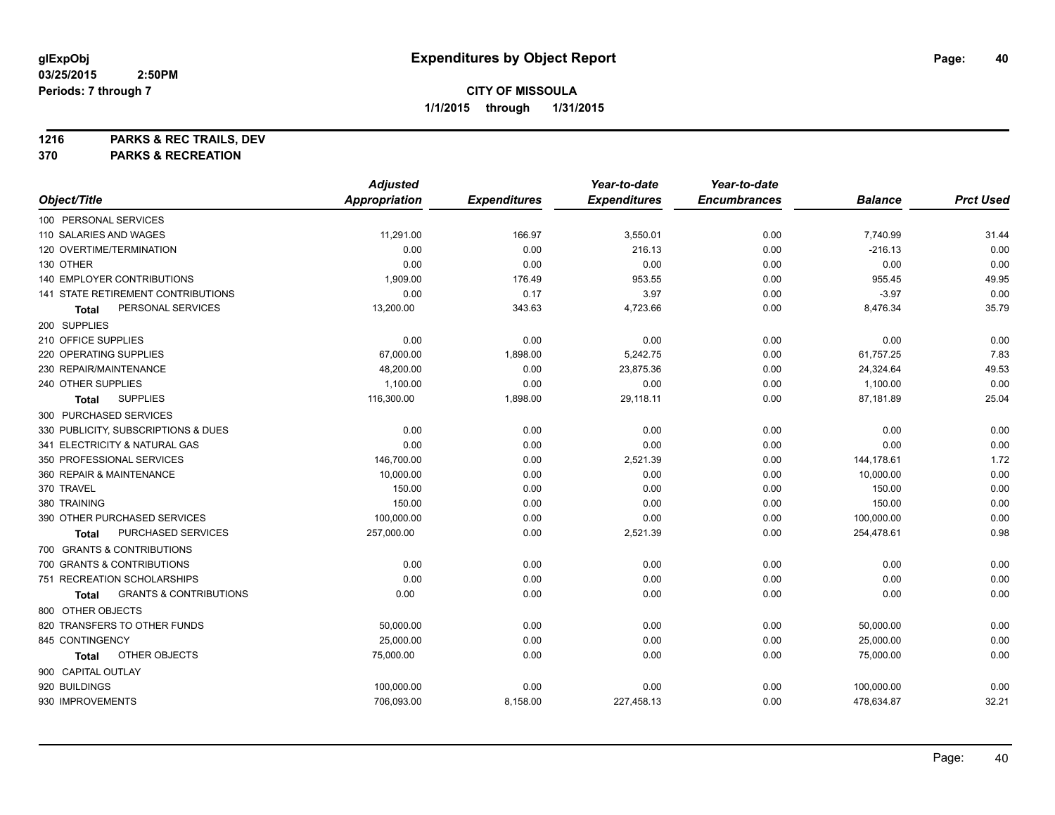**1216 PARKS & REC TRAILS, DEV**

**370 PARKS & RECREATION**

|                                            | <b>Adjusted</b>      |                     | Year-to-date        | Year-to-date        |                |                  |
|--------------------------------------------|----------------------|---------------------|---------------------|---------------------|----------------|------------------|
| Object/Title                               | <b>Appropriation</b> | <b>Expenditures</b> | <b>Expenditures</b> | <b>Encumbrances</b> | <b>Balance</b> | <b>Prct Used</b> |
| 100 PERSONAL SERVICES                      |                      |                     |                     |                     |                |                  |
| 110 SALARIES AND WAGES                     | 11,291.00            | 166.97              | 3,550.01            | 0.00                | 7,740.99       | 31.44            |
| 120 OVERTIME/TERMINATION                   | 0.00                 | 0.00                | 216.13              | 0.00                | $-216.13$      | 0.00             |
| 130 OTHER                                  | 0.00                 | 0.00                | 0.00                | 0.00                | 0.00           | 0.00             |
| 140 EMPLOYER CONTRIBUTIONS                 | 1,909.00             | 176.49              | 953.55              | 0.00                | 955.45         | 49.95            |
| 141 STATE RETIREMENT CONTRIBUTIONS         | 0.00                 | 0.17                | 3.97                | 0.00                | $-3.97$        | 0.00             |
| PERSONAL SERVICES<br>Total                 | 13,200.00            | 343.63              | 4,723.66            | 0.00                | 8,476.34       | 35.79            |
| 200 SUPPLIES                               |                      |                     |                     |                     |                |                  |
| 210 OFFICE SUPPLIES                        | 0.00                 | 0.00                | 0.00                | 0.00                | 0.00           | 0.00             |
| 220 OPERATING SUPPLIES                     | 67,000.00            | 1,898.00            | 5,242.75            | 0.00                | 61,757.25      | 7.83             |
| 230 REPAIR/MAINTENANCE                     | 48,200.00            | 0.00                | 23,875.36           | 0.00                | 24,324.64      | 49.53            |
| 240 OTHER SUPPLIES                         | 1,100.00             | 0.00                | 0.00                | 0.00                | 1,100.00       | 0.00             |
| <b>SUPPLIES</b><br>Total                   | 116,300.00           | 1,898.00            | 29,118.11           | 0.00                | 87,181.89      | 25.04            |
| 300 PURCHASED SERVICES                     |                      |                     |                     |                     |                |                  |
| 330 PUBLICITY, SUBSCRIPTIONS & DUES        | 0.00                 | 0.00                | 0.00                | 0.00                | 0.00           | 0.00             |
| 341 ELECTRICITY & NATURAL GAS              | 0.00                 | 0.00                | 0.00                | 0.00                | 0.00           | 0.00             |
| 350 PROFESSIONAL SERVICES                  | 146,700.00           | 0.00                | 2,521.39            | 0.00                | 144,178.61     | 1.72             |
| 360 REPAIR & MAINTENANCE                   | 10,000.00            | 0.00                | 0.00                | 0.00                | 10,000.00      | 0.00             |
| 370 TRAVEL                                 | 150.00               | 0.00                | 0.00                | 0.00                | 150.00         | 0.00             |
| 380 TRAINING                               | 150.00               | 0.00                | 0.00                | 0.00                | 150.00         | 0.00             |
| 390 OTHER PURCHASED SERVICES               | 100,000.00           | 0.00                | 0.00                | 0.00                | 100,000.00     | 0.00             |
| PURCHASED SERVICES<br>Total                | 257,000.00           | 0.00                | 2,521.39            | 0.00                | 254,478.61     | 0.98             |
| 700 GRANTS & CONTRIBUTIONS                 |                      |                     |                     |                     |                |                  |
| 700 GRANTS & CONTRIBUTIONS                 | 0.00                 | 0.00                | 0.00                | 0.00                | 0.00           | 0.00             |
| 751 RECREATION SCHOLARSHIPS                | 0.00                 | 0.00                | 0.00                | 0.00                | 0.00           | 0.00             |
| <b>GRANTS &amp; CONTRIBUTIONS</b><br>Total | 0.00                 | 0.00                | 0.00                | 0.00                | 0.00           | 0.00             |
| 800 OTHER OBJECTS                          |                      |                     |                     |                     |                |                  |
| 820 TRANSFERS TO OTHER FUNDS               | 50,000.00            | 0.00                | 0.00                | 0.00                | 50,000.00      | 0.00             |
| 845 CONTINGENCY                            | 25,000.00            | 0.00                | 0.00                | 0.00                | 25,000.00      | 0.00             |
| OTHER OBJECTS<br>Total                     | 75,000.00            | 0.00                | 0.00                | 0.00                | 75,000.00      | 0.00             |
| 900 CAPITAL OUTLAY                         |                      |                     |                     |                     |                |                  |
| 920 BUILDINGS                              | 100,000.00           | 0.00                | 0.00                | 0.00                | 100,000.00     | 0.00             |
| 930 IMPROVEMENTS                           | 706,093.00           | 8,158.00            | 227,458.13          | 0.00                | 478,634.87     | 32.21            |
|                                            |                      |                     |                     |                     |                |                  |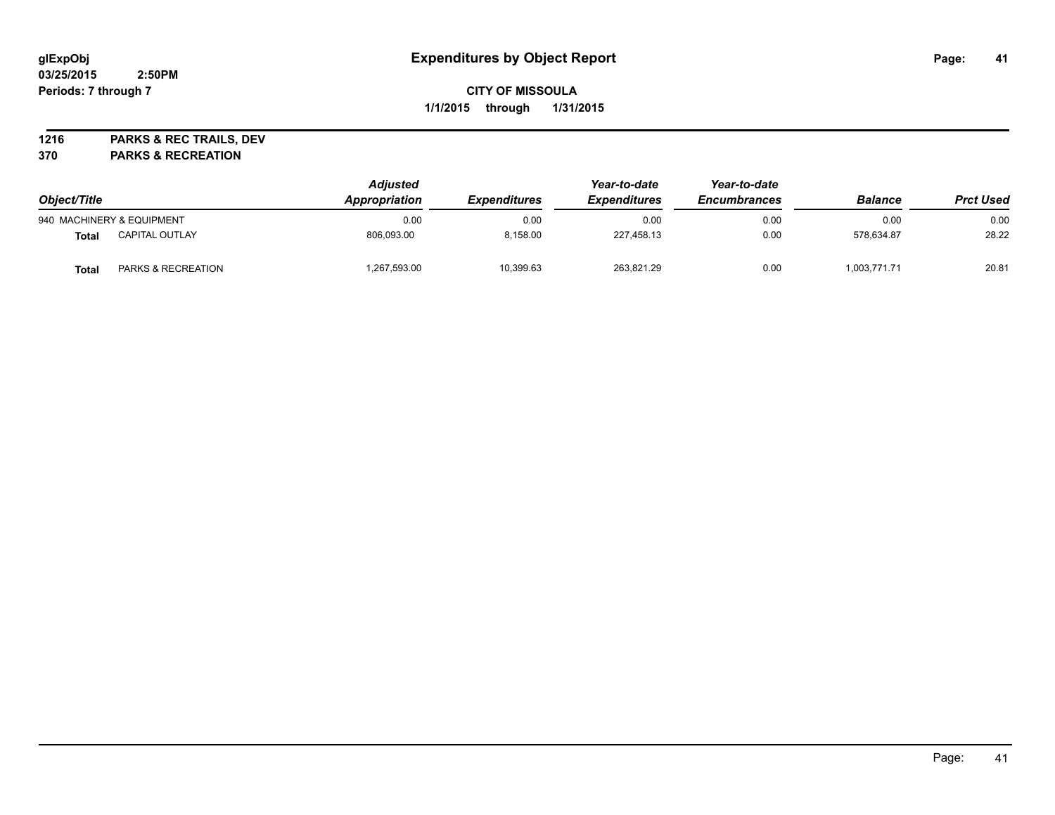**1216 PARKS & REC TRAILS, DEV**

**370 PARKS & RECREATION**

| Object/Title |                           | <b>Adjusted</b><br>Appropriation | <i><b>Expenditures</b></i> | Year-to-date<br><b>Expenditures</b> | Year-to-date<br><b>Encumbrances</b> | <b>Balance</b> | <b>Prct Used</b> |
|--------------|---------------------------|----------------------------------|----------------------------|-------------------------------------|-------------------------------------|----------------|------------------|
|              | 940 MACHINERY & EQUIPMENT | 0.00                             | 0.00                       | 0.00                                | 0.00                                | 0.00           | 0.00             |
| Total        | <b>CAPITAL OUTLAY</b>     | 806.093.00                       | 8.158.00                   | 227,458.13                          | 0.00                                | 578.634.87     | 28.22            |
| Total        | PARKS & RECREATION        | 1,267,593.00                     | 10,399.63                  | 263,821.29                          | 0.00                                | 1,003,771.71   | 20.81            |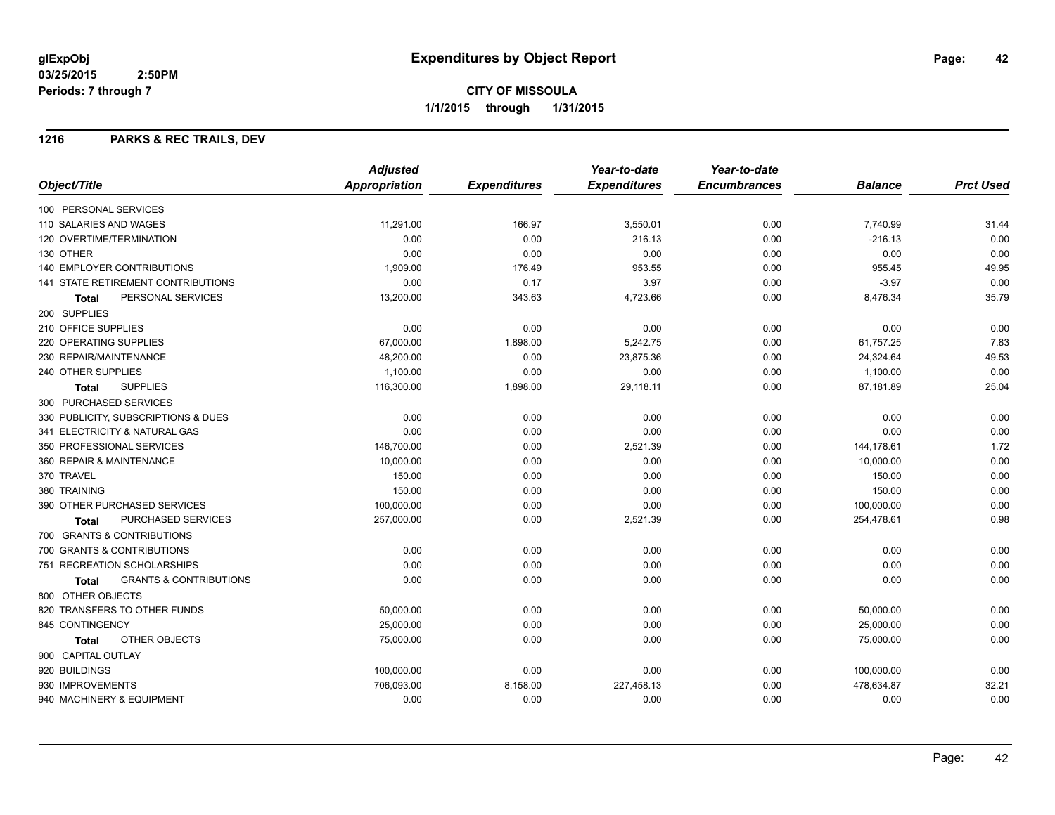#### **1216 PARKS & REC TRAILS, DEV**

|                                                   | <b>Adjusted</b>      |                     | Year-to-date        | Year-to-date        |                |                  |
|---------------------------------------------------|----------------------|---------------------|---------------------|---------------------|----------------|------------------|
| Object/Title                                      | <b>Appropriation</b> | <b>Expenditures</b> | <b>Expenditures</b> | <b>Encumbrances</b> | <b>Balance</b> | <b>Prct Used</b> |
| 100 PERSONAL SERVICES                             |                      |                     |                     |                     |                |                  |
| 110 SALARIES AND WAGES                            | 11,291.00            | 166.97              | 3,550.01            | 0.00                | 7,740.99       | 31.44            |
| 120 OVERTIME/TERMINATION                          | 0.00                 | 0.00                | 216.13              | 0.00                | $-216.13$      | 0.00             |
| 130 OTHER                                         | 0.00                 | 0.00                | 0.00                | 0.00                | 0.00           | 0.00             |
| <b>140 EMPLOYER CONTRIBUTIONS</b>                 | 1,909.00             | 176.49              | 953.55              | 0.00                | 955.45         | 49.95            |
| <b>141 STATE RETIREMENT CONTRIBUTIONS</b>         | 0.00                 | 0.17                | 3.97                | 0.00                | $-3.97$        | 0.00             |
| PERSONAL SERVICES<br><b>Total</b>                 | 13,200.00            | 343.63              | 4,723.66            | 0.00                | 8,476.34       | 35.79            |
| 200 SUPPLIES                                      |                      |                     |                     |                     |                |                  |
| 210 OFFICE SUPPLIES                               | 0.00                 | 0.00                | 0.00                | 0.00                | 0.00           | 0.00             |
| 220 OPERATING SUPPLIES                            | 67,000.00            | 1,898.00            | 5,242.75            | 0.00                | 61,757.25      | 7.83             |
| 230 REPAIR/MAINTENANCE                            | 48,200.00            | 0.00                | 23,875.36           | 0.00                | 24,324.64      | 49.53            |
| 240 OTHER SUPPLIES                                | 1,100.00             | 0.00                | 0.00                | 0.00                | 1,100.00       | 0.00             |
| <b>SUPPLIES</b><br><b>Total</b>                   | 116,300.00           | 1,898.00            | 29,118.11           | 0.00                | 87,181.89      | 25.04            |
| 300 PURCHASED SERVICES                            |                      |                     |                     |                     |                |                  |
| 330 PUBLICITY, SUBSCRIPTIONS & DUES               | 0.00                 | 0.00                | 0.00                | 0.00                | 0.00           | 0.00             |
| 341 ELECTRICITY & NATURAL GAS                     | 0.00                 | 0.00                | 0.00                | 0.00                | 0.00           | 0.00             |
| 350 PROFESSIONAL SERVICES                         | 146,700.00           | 0.00                | 2,521.39            | 0.00                | 144,178.61     | 1.72             |
| 360 REPAIR & MAINTENANCE                          | 10,000.00            | 0.00                | 0.00                | 0.00                | 10,000.00      | 0.00             |
| 370 TRAVEL                                        | 150.00               | 0.00                | 0.00                | 0.00                | 150.00         | 0.00             |
| 380 TRAINING                                      | 150.00               | 0.00                | 0.00                | 0.00                | 150.00         | 0.00             |
| 390 OTHER PURCHASED SERVICES                      | 100,000.00           | 0.00                | 0.00                | 0.00                | 100,000.00     | 0.00             |
| PURCHASED SERVICES<br>Total                       | 257,000.00           | 0.00                | 2,521.39            | 0.00                | 254,478.61     | 0.98             |
| 700 GRANTS & CONTRIBUTIONS                        |                      |                     |                     |                     |                |                  |
| 700 GRANTS & CONTRIBUTIONS                        | 0.00                 | 0.00                | 0.00                | 0.00                | 0.00           | 0.00             |
| 751 RECREATION SCHOLARSHIPS                       | 0.00                 | 0.00                | 0.00                | 0.00                | 0.00           | 0.00             |
| <b>GRANTS &amp; CONTRIBUTIONS</b><br><b>Total</b> | 0.00                 | 0.00                | 0.00                | 0.00                | 0.00           | 0.00             |
| 800 OTHER OBJECTS                                 |                      |                     |                     |                     |                |                  |
| 820 TRANSFERS TO OTHER FUNDS                      | 50,000.00            | 0.00                | 0.00                | 0.00                | 50,000.00      | 0.00             |
| 845 CONTINGENCY                                   | 25,000.00            | 0.00                | 0.00                | 0.00                | 25,000.00      | 0.00             |
| OTHER OBJECTS<br>Total                            | 75,000.00            | 0.00                | 0.00                | 0.00                | 75,000.00      | 0.00             |
| 900 CAPITAL OUTLAY                                |                      |                     |                     |                     |                |                  |
| 920 BUILDINGS                                     | 100,000.00           | 0.00                | 0.00                | 0.00                | 100,000.00     | 0.00             |
| 930 IMPROVEMENTS                                  | 706,093.00           | 8,158.00            | 227,458.13          | 0.00                | 478,634.87     | 32.21            |
| 940 MACHINERY & EQUIPMENT                         | 0.00                 | 0.00                | 0.00                | 0.00                | 0.00           | 0.00             |
|                                                   |                      |                     |                     |                     |                |                  |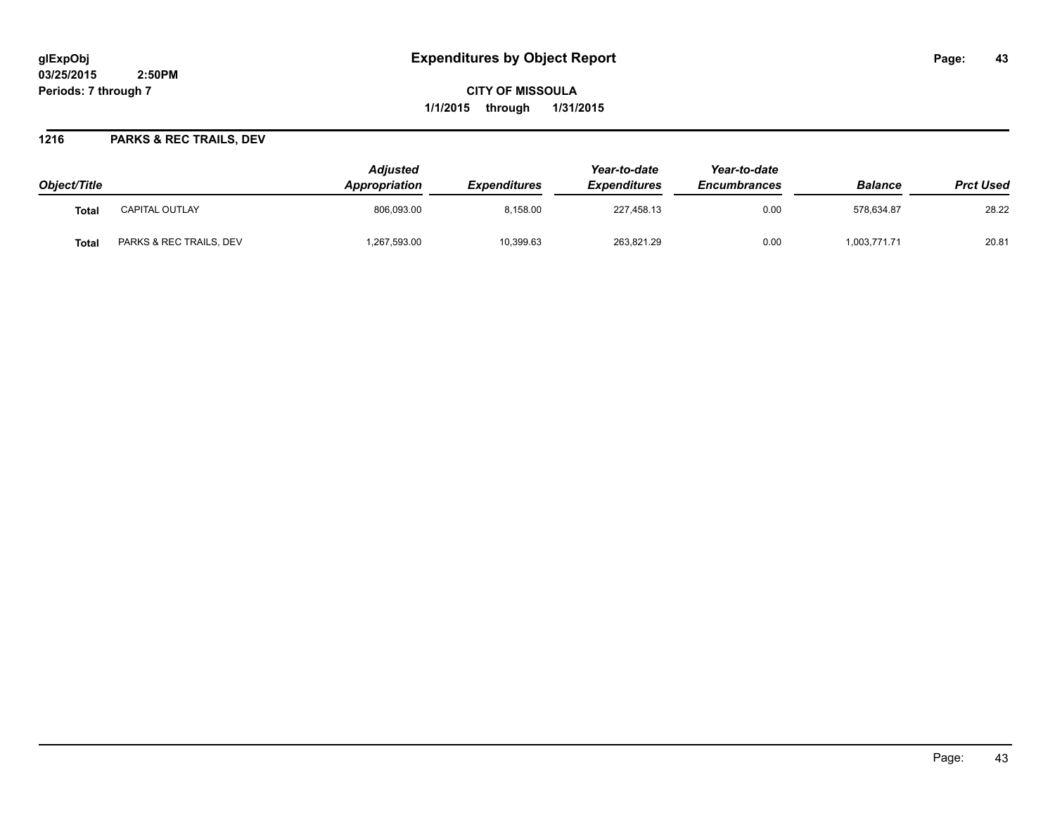**CITY OF MISSOULA 1/1/2015 through 1/31/2015**

#### **1216 PARKS & REC TRAILS, DEV**

| Object/Title |                         | <b>Adiusted</b><br><b>Appropriation</b> | <i><b>Expenditures</b></i> | Year-to-date<br><b>Expenditures</b> | Year-to-date<br><b>Encumbrances</b> | <b>Balance</b> | <b>Prct Used</b> |
|--------------|-------------------------|-----------------------------------------|----------------------------|-------------------------------------|-------------------------------------|----------------|------------------|
| Tota.        | <b>CAPITAL OUTLAY</b>   | 806,093.00                              | 8.158.00                   | 227.458.13                          | 0.00                                | 578.634.87     | 28.22            |
| Tota.        | PARKS & REC TRAILS, DEV | ,267,593.00                             | 10,399.63                  | 263,821.29                          | 0.00                                | 1,003,771.71   | 20.81            |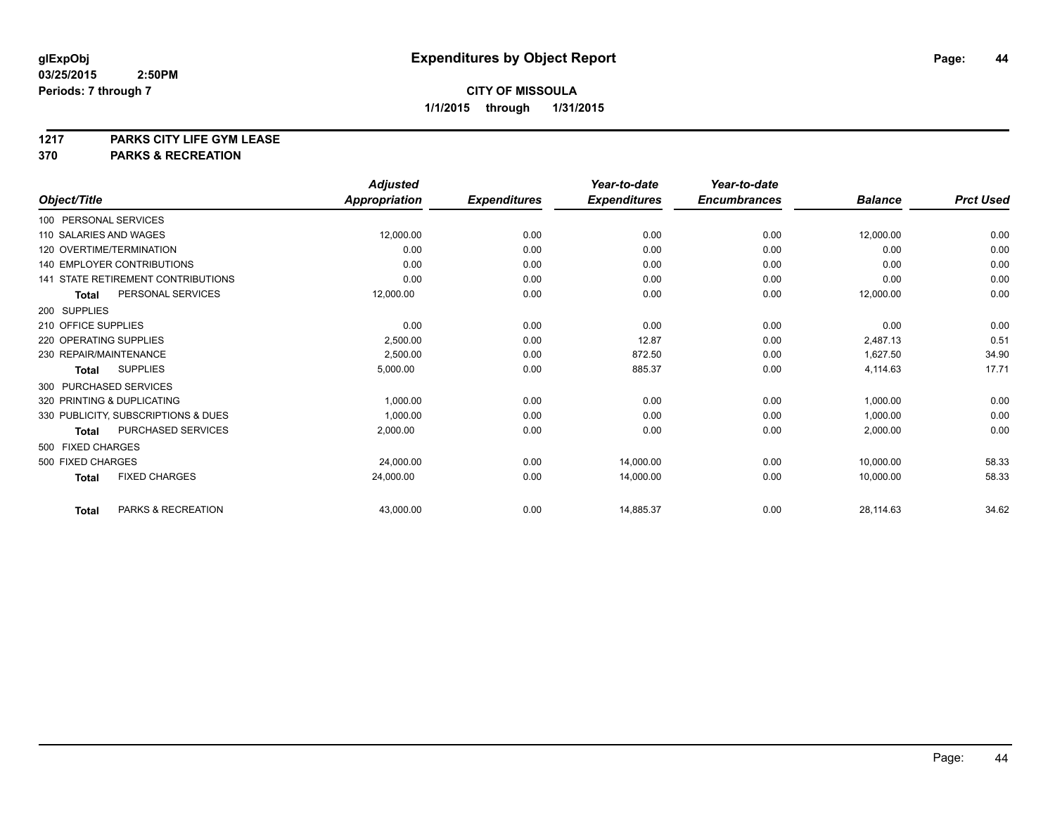# **1217 PARKS CITY LIFE GYM LEASE**

# **370 PARKS & RECREATION**

|                        |                                           | <b>Adjusted</b>      |                     | Year-to-date        | Year-to-date        |                |                  |
|------------------------|-------------------------------------------|----------------------|---------------------|---------------------|---------------------|----------------|------------------|
| Object/Title           |                                           | <b>Appropriation</b> | <b>Expenditures</b> | <b>Expenditures</b> | <b>Encumbrances</b> | <b>Balance</b> | <b>Prct Used</b> |
| 100 PERSONAL SERVICES  |                                           |                      |                     |                     |                     |                |                  |
| 110 SALARIES AND WAGES |                                           | 12,000.00            | 0.00                | 0.00                | 0.00                | 12,000.00      | 0.00             |
|                        | 120 OVERTIME/TERMINATION                  | 0.00                 | 0.00                | 0.00                | 0.00                | 0.00           | 0.00             |
|                        | 140 EMPLOYER CONTRIBUTIONS                | 0.00                 | 0.00                | 0.00                | 0.00                | 0.00           | 0.00             |
|                        | <b>141 STATE RETIREMENT CONTRIBUTIONS</b> | 0.00                 | 0.00                | 0.00                | 0.00                | 0.00           | 0.00             |
| <b>Total</b>           | PERSONAL SERVICES                         | 12,000.00            | 0.00                | 0.00                | 0.00                | 12,000.00      | 0.00             |
| 200 SUPPLIES           |                                           |                      |                     |                     |                     |                |                  |
| 210 OFFICE SUPPLIES    |                                           | 0.00                 | 0.00                | 0.00                | 0.00                | 0.00           | 0.00             |
| 220 OPERATING SUPPLIES |                                           | 2,500.00             | 0.00                | 12.87               | 0.00                | 2,487.13       | 0.51             |
| 230 REPAIR/MAINTENANCE |                                           | 2,500.00             | 0.00                | 872.50              | 0.00                | 1,627.50       | 34.90            |
| <b>Total</b>           | <b>SUPPLIES</b>                           | 5,000.00             | 0.00                | 885.37              | 0.00                | 4,114.63       | 17.71            |
| 300 PURCHASED SERVICES |                                           |                      |                     |                     |                     |                |                  |
|                        | 320 PRINTING & DUPLICATING                | 1,000.00             | 0.00                | 0.00                | 0.00                | 1,000.00       | 0.00             |
|                        | 330 PUBLICITY, SUBSCRIPTIONS & DUES       | 1,000.00             | 0.00                | 0.00                | 0.00                | 1,000.00       | 0.00             |
| <b>Total</b>           | PURCHASED SERVICES                        | 2,000.00             | 0.00                | 0.00                | 0.00                | 2,000.00       | 0.00             |
| 500 FIXED CHARGES      |                                           |                      |                     |                     |                     |                |                  |
| 500 FIXED CHARGES      |                                           | 24,000.00            | 0.00                | 14,000.00           | 0.00                | 10,000.00      | 58.33            |
| <b>Total</b>           | <b>FIXED CHARGES</b>                      | 24.000.00            | 0.00                | 14,000.00           | 0.00                | 10,000.00      | 58.33            |
| <b>Total</b>           | PARKS & RECREATION                        | 43,000.00            | 0.00                | 14,885.37           | 0.00                | 28,114.63      | 34.62            |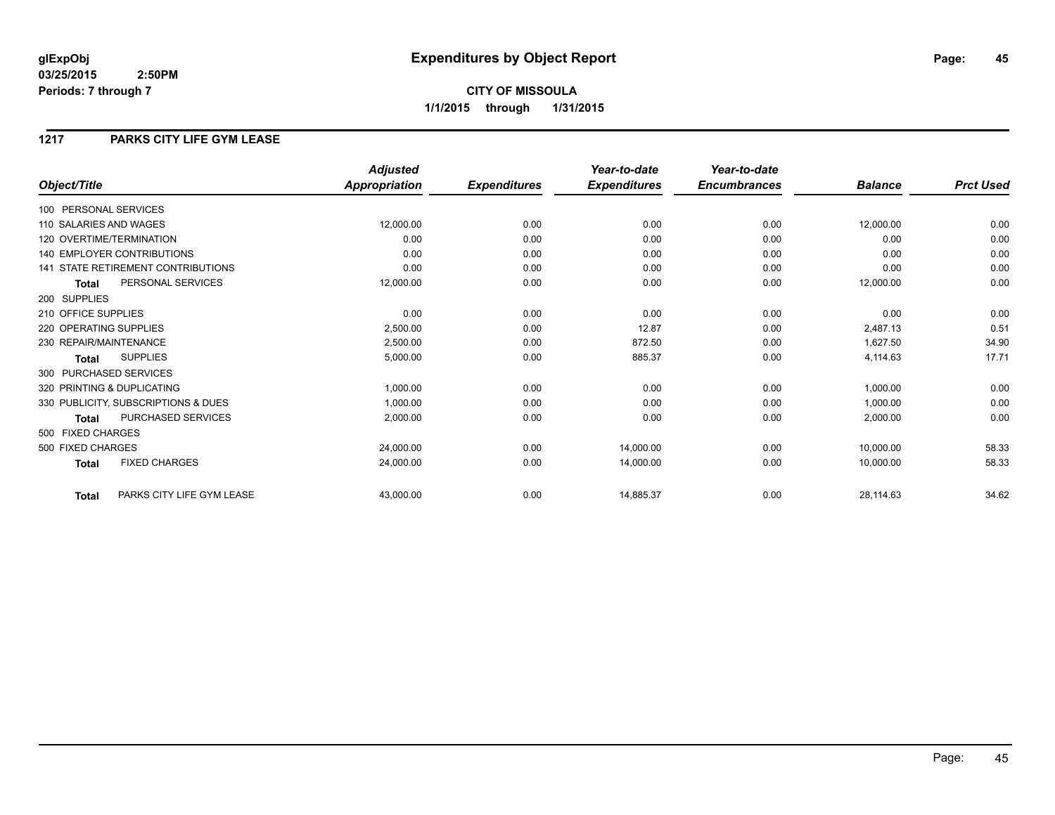**CITY OF MISSOULA 1/1/2015 through 1/31/2015**

#### **1217 PARKS CITY LIFE GYM LEASE**

|                                           | <b>Adjusted</b>      |                     | Year-to-date        | Year-to-date        |                |                  |
|-------------------------------------------|----------------------|---------------------|---------------------|---------------------|----------------|------------------|
| Object/Title                              | <b>Appropriation</b> | <b>Expenditures</b> | <b>Expenditures</b> | <b>Encumbrances</b> | <b>Balance</b> | <b>Prct Used</b> |
| 100 PERSONAL SERVICES                     |                      |                     |                     |                     |                |                  |
| 110 SALARIES AND WAGES                    | 12,000.00            | 0.00                | 0.00                | 0.00                | 12,000.00      | 0.00             |
| 120 OVERTIME/TERMINATION                  | 0.00                 | 0.00                | 0.00                | 0.00                | 0.00           | 0.00             |
| <b>140 EMPLOYER CONTRIBUTIONS</b>         | 0.00                 | 0.00                | 0.00                | 0.00                | 0.00           | 0.00             |
| <b>141 STATE RETIREMENT CONTRIBUTIONS</b> | 0.00                 | 0.00                | 0.00                | 0.00                | 0.00           | 0.00             |
| PERSONAL SERVICES<br><b>Total</b>         | 12,000.00            | 0.00                | 0.00                | 0.00                | 12,000.00      | 0.00             |
| 200 SUPPLIES                              |                      |                     |                     |                     |                |                  |
| 210 OFFICE SUPPLIES                       | 0.00                 | 0.00                | 0.00                | 0.00                | 0.00           | 0.00             |
| 220 OPERATING SUPPLIES                    | 2,500.00             | 0.00                | 12.87               | 0.00                | 2,487.13       | 0.51             |
| 230 REPAIR/MAINTENANCE                    | 2,500.00             | 0.00                | 872.50              | 0.00                | 1,627.50       | 34.90            |
| <b>SUPPLIES</b><br><b>Total</b>           | 5,000.00             | 0.00                | 885.37              | 0.00                | 4,114.63       | 17.71            |
| 300 PURCHASED SERVICES                    |                      |                     |                     |                     |                |                  |
| 320 PRINTING & DUPLICATING                | 1,000.00             | 0.00                | 0.00                | 0.00                | 1,000.00       | 0.00             |
| 330 PUBLICITY, SUBSCRIPTIONS & DUES       | 1,000.00             | 0.00                | 0.00                | 0.00                | 1,000.00       | 0.00             |
| PURCHASED SERVICES<br><b>Total</b>        | 2,000.00             | 0.00                | 0.00                | 0.00                | 2,000.00       | 0.00             |
| 500 FIXED CHARGES                         |                      |                     |                     |                     |                |                  |
| 500 FIXED CHARGES                         | 24,000.00            | 0.00                | 14,000.00           | 0.00                | 10,000.00      | 58.33            |
| <b>FIXED CHARGES</b><br><b>Total</b>      | 24,000.00            | 0.00                | 14,000.00           | 0.00                | 10,000.00      | 58.33            |
| PARKS CITY LIFE GYM LEASE<br><b>Total</b> | 43,000.00            | 0.00                | 14,885.37           | 0.00                | 28,114.63      | 34.62            |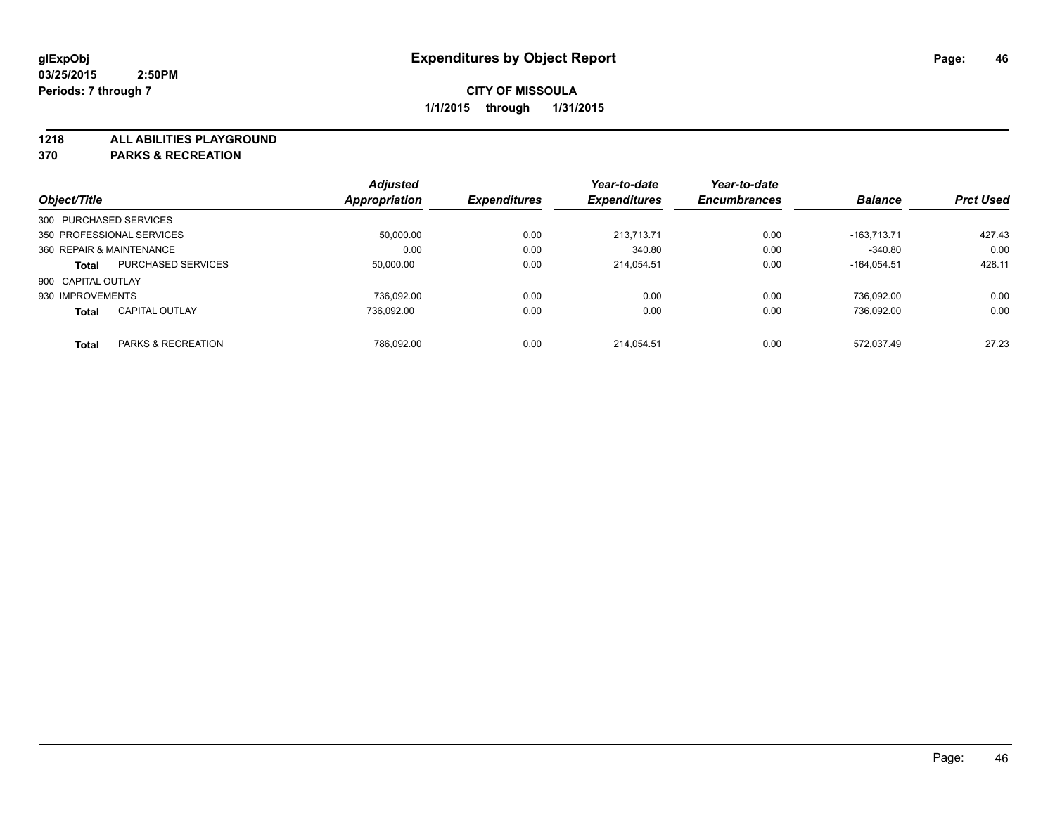**1218 ALL ABILITIES PLAYGROUND**

**370 PARKS & RECREATION**

|                          |                           | <b>Adjusted</b>      |                     | Year-to-date        | Year-to-date        |                |                  |
|--------------------------|---------------------------|----------------------|---------------------|---------------------|---------------------|----------------|------------------|
| Object/Title             |                           | <b>Appropriation</b> | <b>Expenditures</b> | <b>Expenditures</b> | <b>Encumbrances</b> | <b>Balance</b> | <b>Prct Used</b> |
| 300 PURCHASED SERVICES   |                           |                      |                     |                     |                     |                |                  |
|                          | 350 PROFESSIONAL SERVICES | 50.000.00            | 0.00                | 213.713.71          | 0.00                | $-163.713.71$  | 427.43           |
| 360 REPAIR & MAINTENANCE |                           | 0.00                 | 0.00                | 340.80              | 0.00                | $-340.80$      | 0.00             |
| <b>Total</b>             | <b>PURCHASED SERVICES</b> | 50,000.00            | 0.00                | 214.054.51          | 0.00                | $-164.054.51$  | 428.11           |
| 900 CAPITAL OUTLAY       |                           |                      |                     |                     |                     |                |                  |
| 930 IMPROVEMENTS         |                           | 736.092.00           | 0.00                | 0.00                | 0.00                | 736.092.00     | 0.00             |
| <b>Total</b>             | <b>CAPITAL OUTLAY</b>     | 736.092.00           | 0.00                | 0.00                | 0.00                | 736.092.00     | 0.00             |
| <b>Total</b>             | PARKS & RECREATION        | 786.092.00           | 0.00                | 214.054.51          | 0.00                | 572.037.49     | 27.23            |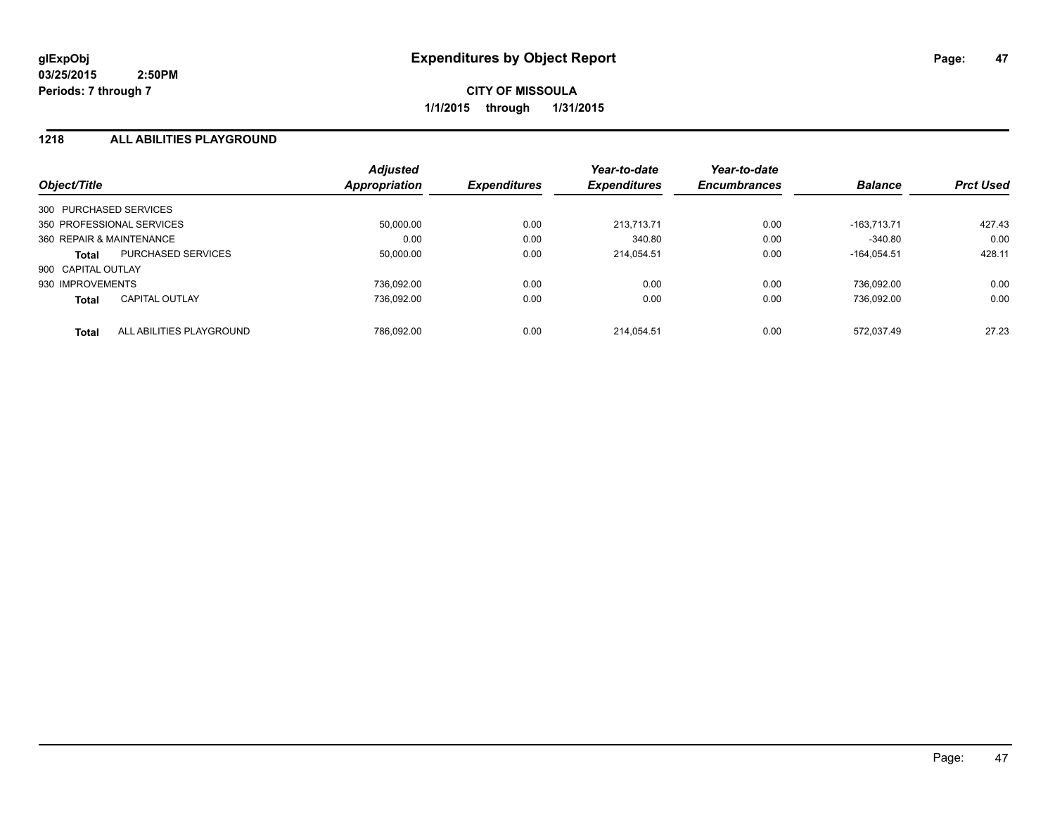#### **1218 ALL ABILITIES PLAYGROUND**

| Object/Title             |                           | <b>Adjusted</b><br>Appropriation | <b>Expenditures</b> | Year-to-date<br><b>Expenditures</b> | Year-to-date<br><b>Encumbrances</b> | <b>Balance</b> | <b>Prct Used</b> |
|--------------------------|---------------------------|----------------------------------|---------------------|-------------------------------------|-------------------------------------|----------------|------------------|
| 300 PURCHASED SERVICES   |                           |                                  |                     |                                     |                                     |                |                  |
|                          | 350 PROFESSIONAL SERVICES | 50,000.00                        | 0.00                | 213.713.71                          | 0.00                                | $-163.713.71$  | 427.43           |
| 360 REPAIR & MAINTENANCE |                           | 0.00                             | 0.00                | 340.80                              | 0.00                                | $-340.80$      | 0.00             |
| <b>Total</b>             | PURCHASED SERVICES        | 50,000.00                        | 0.00                | 214.054.51                          | 0.00                                | $-164.054.51$  | 428.11           |
| 900 CAPITAL OUTLAY       |                           |                                  |                     |                                     |                                     |                |                  |
| 930 IMPROVEMENTS         |                           | 736.092.00                       | 0.00                | 0.00                                | 0.00                                | 736.092.00     | 0.00             |
| <b>Total</b>             | <b>CAPITAL OUTLAY</b>     | 736.092.00                       | 0.00                | 0.00                                | 0.00                                | 736.092.00     | 0.00             |
| <b>Total</b>             | ALL ABILITIES PLAYGROUND  | 786.092.00                       | 0.00                | 214.054.51                          | 0.00                                | 572.037.49     | 27.23            |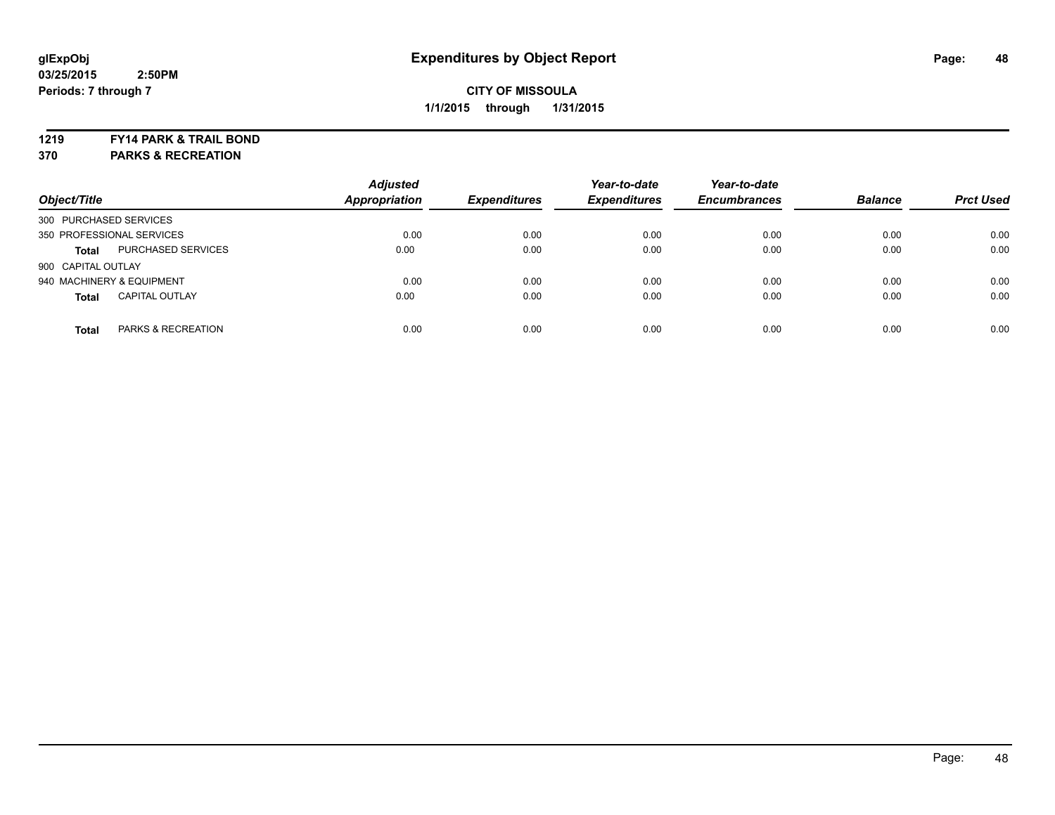#### **1219 FY14 PARK & TRAIL BOND**

**370 PARKS & RECREATION**

| Object/Title              |                       | <b>Adjusted</b><br><b>Appropriation</b> | <b>Expenditures</b> | Year-to-date<br><b>Expenditures</b> | Year-to-date<br><b>Encumbrances</b> | <b>Balance</b> | <b>Prct Used</b> |
|---------------------------|-----------------------|-----------------------------------------|---------------------|-------------------------------------|-------------------------------------|----------------|------------------|
| 300 PURCHASED SERVICES    |                       |                                         |                     |                                     |                                     |                |                  |
| 350 PROFESSIONAL SERVICES |                       | 0.00                                    | 0.00                | 0.00                                | 0.00                                | 0.00           | 0.00             |
| <b>Total</b>              | PURCHASED SERVICES    | 0.00                                    | 0.00                | 0.00                                | 0.00                                | 0.00           | 0.00             |
| 900 CAPITAL OUTLAY        |                       |                                         |                     |                                     |                                     |                |                  |
| 940 MACHINERY & EQUIPMENT |                       | 0.00                                    | 0.00                | 0.00                                | 0.00                                | 0.00           | 0.00             |
| <b>Total</b>              | <b>CAPITAL OUTLAY</b> | 0.00                                    | 0.00                | 0.00                                | 0.00                                | 0.00           | 0.00             |
| <b>Total</b>              | PARKS & RECREATION    | 0.00                                    | 0.00                | 0.00                                | 0.00                                | 0.00           | 0.00             |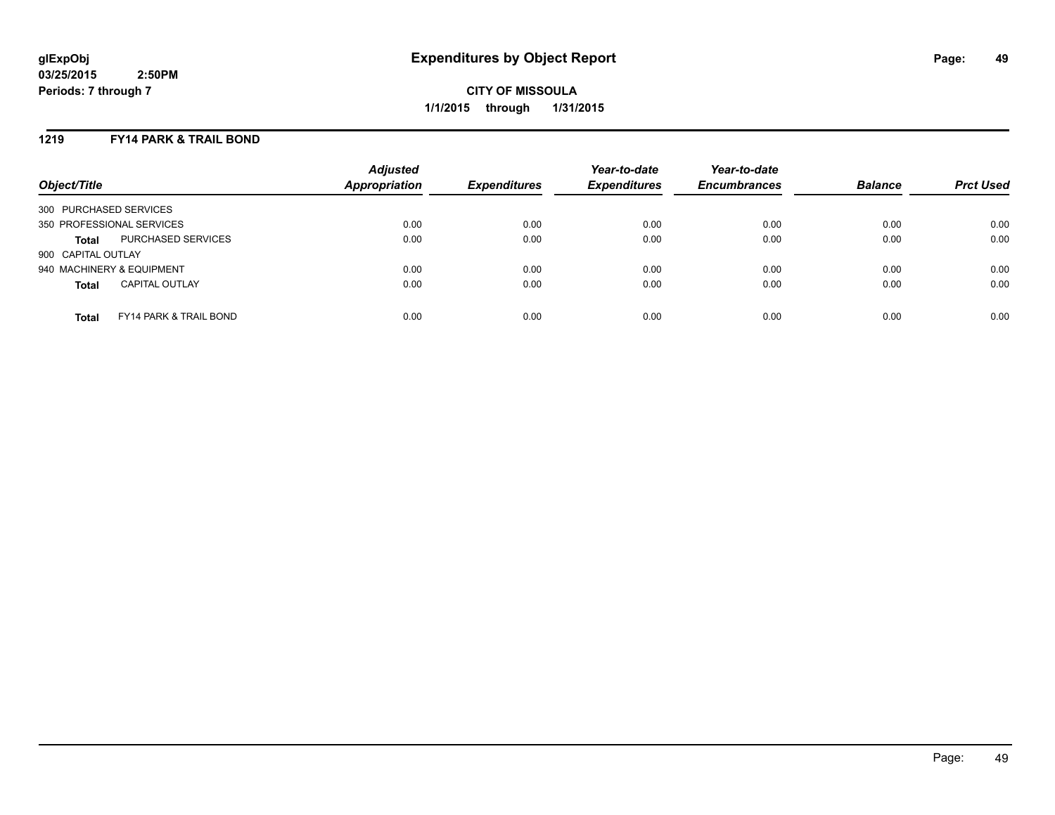#### **1219 FY14 PARK & TRAIL BOND**

| Object/Title              |                                   | <b>Adjusted</b><br><b>Appropriation</b> | <b>Expenditures</b> | Year-to-date<br><b>Expenditures</b> | Year-to-date<br><b>Encumbrances</b> | <b>Balance</b> | <b>Prct Used</b> |
|---------------------------|-----------------------------------|-----------------------------------------|---------------------|-------------------------------------|-------------------------------------|----------------|------------------|
| 300 PURCHASED SERVICES    |                                   |                                         |                     |                                     |                                     |                |                  |
| 350 PROFESSIONAL SERVICES |                                   | 0.00                                    | 0.00                | 0.00                                | 0.00                                | 0.00           | 0.00             |
| <b>Total</b>              | PURCHASED SERVICES                | 0.00                                    | 0.00                | 0.00                                | 0.00                                | 0.00           | 0.00             |
| 900 CAPITAL OUTLAY        |                                   |                                         |                     |                                     |                                     |                |                  |
| 940 MACHINERY & EQUIPMENT |                                   | 0.00                                    | 0.00                | 0.00                                | 0.00                                | 0.00           | 0.00             |
| <b>Total</b>              | <b>CAPITAL OUTLAY</b>             | 0.00                                    | 0.00                | 0.00                                | 0.00                                | 0.00           | 0.00             |
| <b>Total</b>              | <b>FY14 PARK &amp; TRAIL BOND</b> | 0.00                                    | 0.00                | 0.00                                | 0.00                                | 0.00           | 0.00             |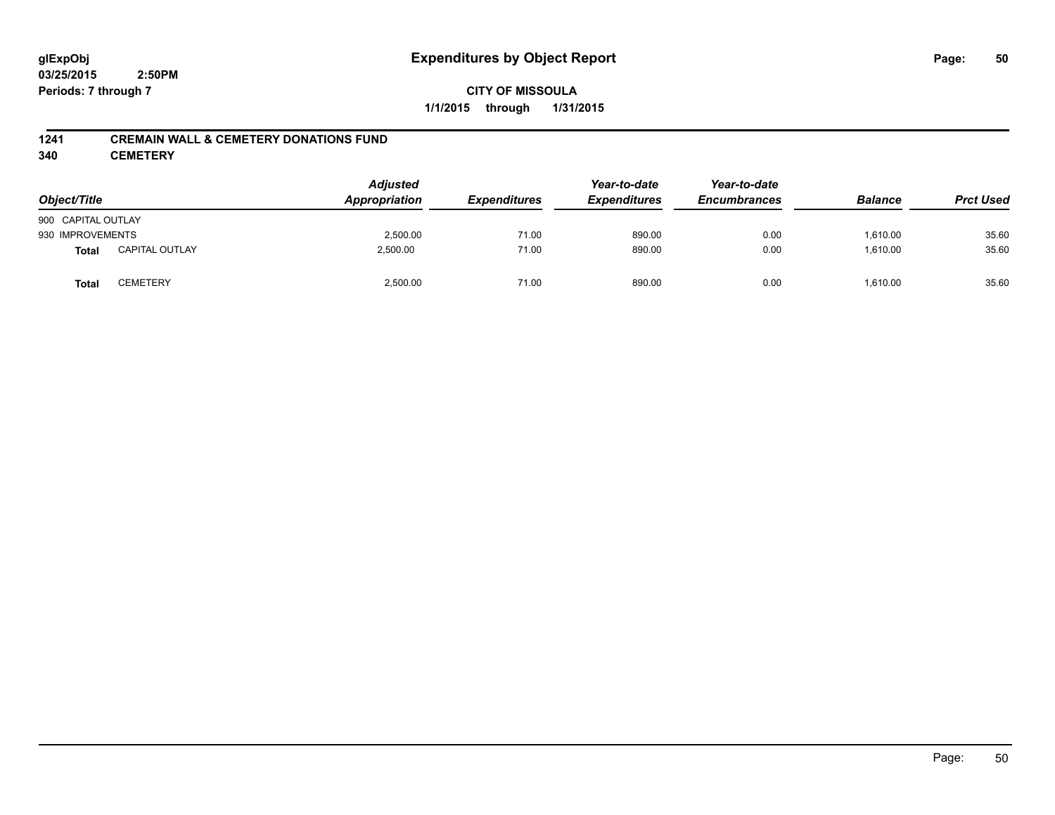#### **1241 CREMAIN WALL & CEMETERY DONATIONS FUND**

**340 CEMETERY**

| Object/Title       |                       | <b>Adjusted</b><br>Appropriation | <b>Expenditures</b> | Year-to-date<br><b>Expenditures</b> | Year-to-date<br><b>Encumbrances</b> | <b>Balance</b> | <b>Prct Used</b> |
|--------------------|-----------------------|----------------------------------|---------------------|-------------------------------------|-------------------------------------|----------------|------------------|
| 900 CAPITAL OUTLAY |                       |                                  |                     |                                     |                                     |                |                  |
| 930 IMPROVEMENTS   |                       | 2,500.00                         | 71.00               | 890.00                              | 0.00                                | 1.610.00       | 35.60            |
| <b>Total</b>       | <b>CAPITAL OUTLAY</b> | 2,500.00                         | 71.00               | 890.00                              | 0.00                                | 1,610.00       | 35.60            |
| <b>Total</b>       | CEMETERY              | 2,500.00                         | 71.00               | 890.00                              | 0.00                                | 1,610.00       | 35.60            |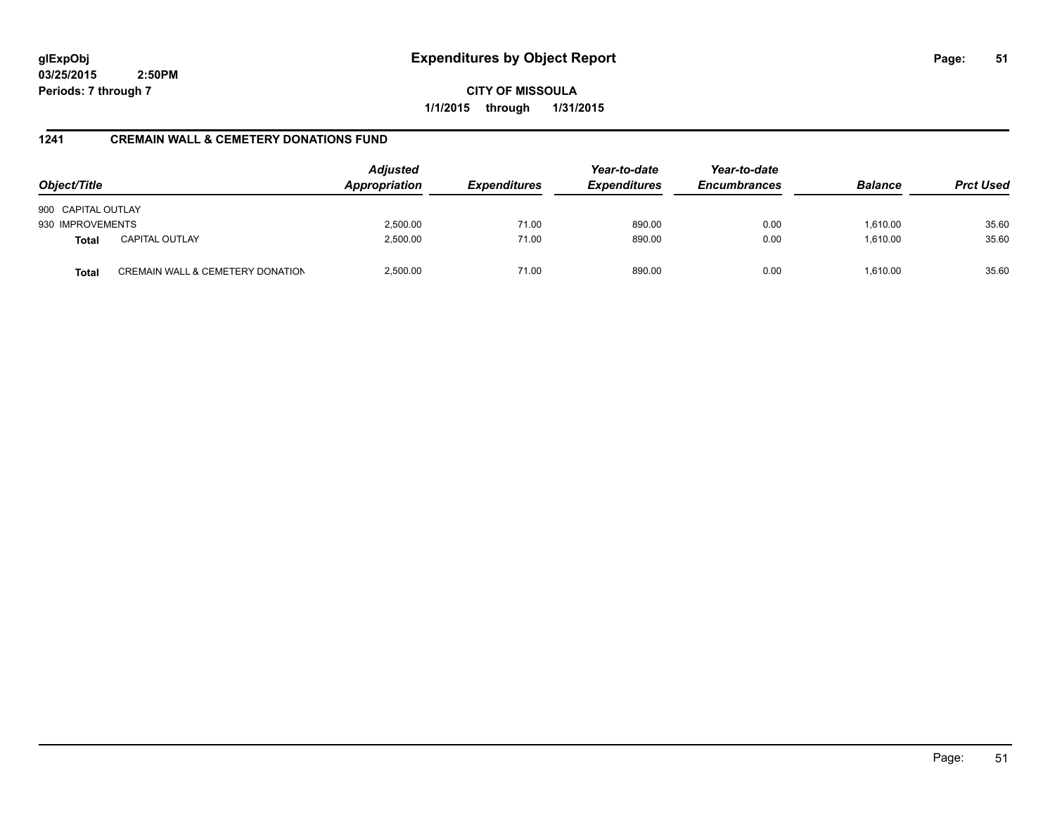**CITY OF MISSOULA 1/1/2015 through 1/31/2015**

### **1241 CREMAIN WALL & CEMETERY DONATIONS FUND**

| Object/Title       |                                  | <b>Adjusted</b><br>Appropriation | <b>Expenditures</b> | Year-to-date<br><b>Expenditures</b> | Year-to-date<br><b>Encumbrances</b> | <b>Balance</b> | <b>Prct Used</b> |
|--------------------|----------------------------------|----------------------------------|---------------------|-------------------------------------|-------------------------------------|----------------|------------------|
| 900 CAPITAL OUTLAY |                                  |                                  |                     |                                     |                                     |                |                  |
| 930 IMPROVEMENTS   |                                  | 2,500.00                         | 71.00               | 890.00                              | 0.00                                | 1,610.00       | 35.60            |
| <b>Total</b>       | <b>CAPITAL OUTLAY</b>            | 2,500.00                         | 71.00               | 890.00                              | 0.00                                | 1,610.00       | 35.60            |
| <b>Total</b>       | CREMAIN WALL & CEMETERY DONATION | 2.500.00                         | 71.00               | 890.00                              | 0.00                                | 1.610.00       | 35.60            |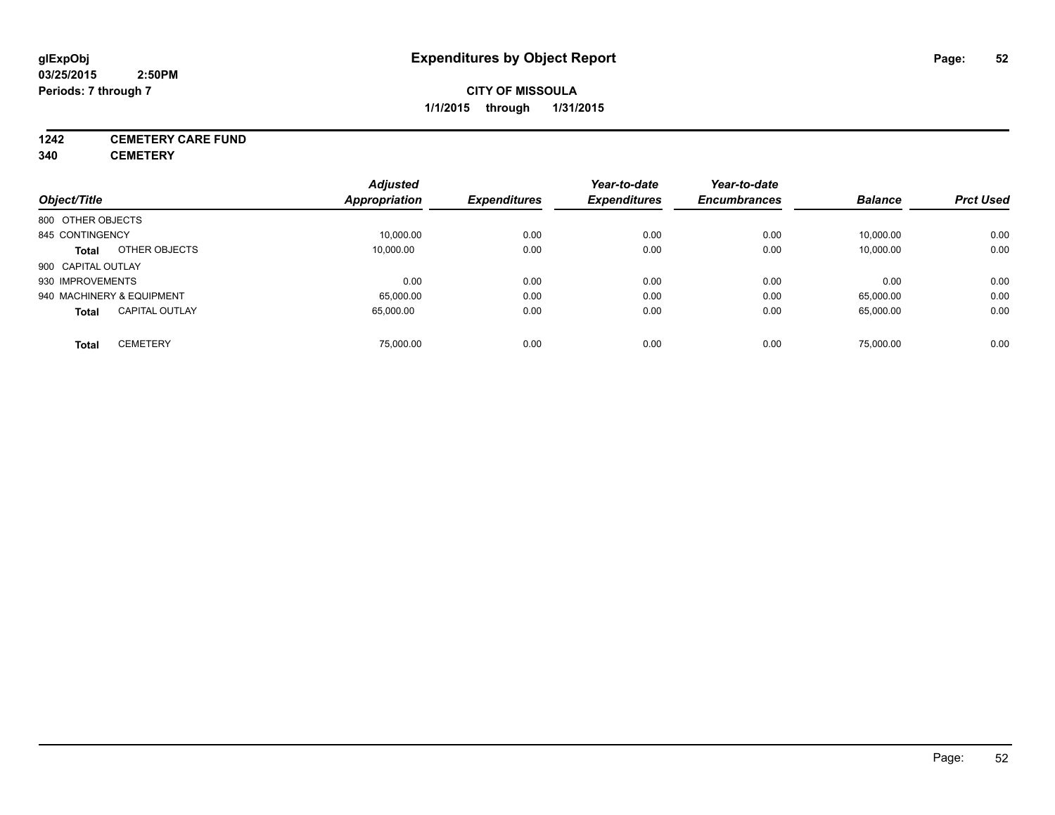# **1242 CEMETERY CARE FUND**

**340 CEMETERY**

|                                       | <b>Adjusted</b> |                     | Year-to-date        | Year-to-date        |                |                  |
|---------------------------------------|-----------------|---------------------|---------------------|---------------------|----------------|------------------|
| Object/Title                          | Appropriation   | <b>Expenditures</b> | <b>Expenditures</b> | <b>Encumbrances</b> | <b>Balance</b> | <b>Prct Used</b> |
| 800 OTHER OBJECTS                     |                 |                     |                     |                     |                |                  |
| 845 CONTINGENCY                       | 10,000.00       | 0.00                | 0.00                | 0.00                | 10,000.00      | 0.00             |
| OTHER OBJECTS<br><b>Total</b>         | 10.000.00       | 0.00                | 0.00                | 0.00                | 10,000.00      | 0.00             |
| 900 CAPITAL OUTLAY                    |                 |                     |                     |                     |                |                  |
| 930 IMPROVEMENTS                      | 0.00            | 0.00                | 0.00                | 0.00                | 0.00           | 0.00             |
| 940 MACHINERY & EQUIPMENT             | 65,000.00       | 0.00                | 0.00                | 0.00                | 65,000.00      | 0.00             |
| <b>CAPITAL OUTLAY</b><br><b>Total</b> | 65.000.00       | 0.00                | 0.00                | 0.00                | 65,000.00      | 0.00             |
| <b>CEMETERY</b><br>Total              | 75.000.00       | 0.00                | 0.00                | 0.00                | 75.000.00      | 0.00             |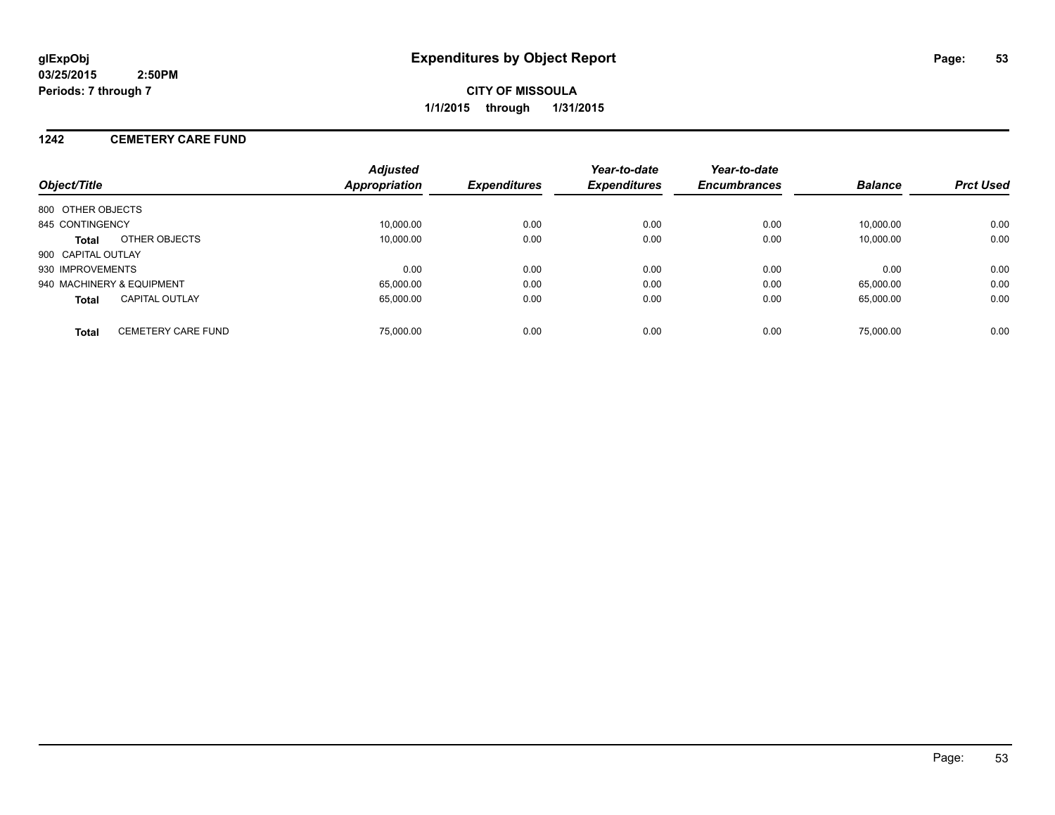#### **1242 CEMETERY CARE FUND**

| Object/Title                              | <b>Adjusted</b><br>Appropriation | <b>Expenditures</b> | Year-to-date<br><b>Expenditures</b> | Year-to-date<br><b>Encumbrances</b> | <b>Balance</b> | <b>Prct Used</b> |
|-------------------------------------------|----------------------------------|---------------------|-------------------------------------|-------------------------------------|----------------|------------------|
| 800 OTHER OBJECTS                         |                                  |                     |                                     |                                     |                |                  |
| 845 CONTINGENCY                           | 10,000.00                        | 0.00                | 0.00                                | 0.00                                | 10.000.00      | 0.00             |
| OTHER OBJECTS<br><b>Total</b>             | 10,000.00                        | 0.00                | 0.00                                | 0.00                                | 10,000.00      | 0.00             |
| 900 CAPITAL OUTLAY                        |                                  |                     |                                     |                                     |                |                  |
| 930 IMPROVEMENTS                          | 0.00                             | 0.00                | 0.00                                | 0.00                                | 0.00           | 0.00             |
| 940 MACHINERY & EQUIPMENT                 | 65,000.00                        | 0.00                | 0.00                                | 0.00                                | 65.000.00      | 0.00             |
| CAPITAL OUTLAY<br><b>Total</b>            | 65.000.00                        | 0.00                | 0.00                                | 0.00                                | 65,000.00      | 0.00             |
| <b>CEMETERY CARE FUND</b><br><b>Total</b> | 75,000.00                        | 0.00                | 0.00                                | 0.00                                | 75,000.00      | 0.00             |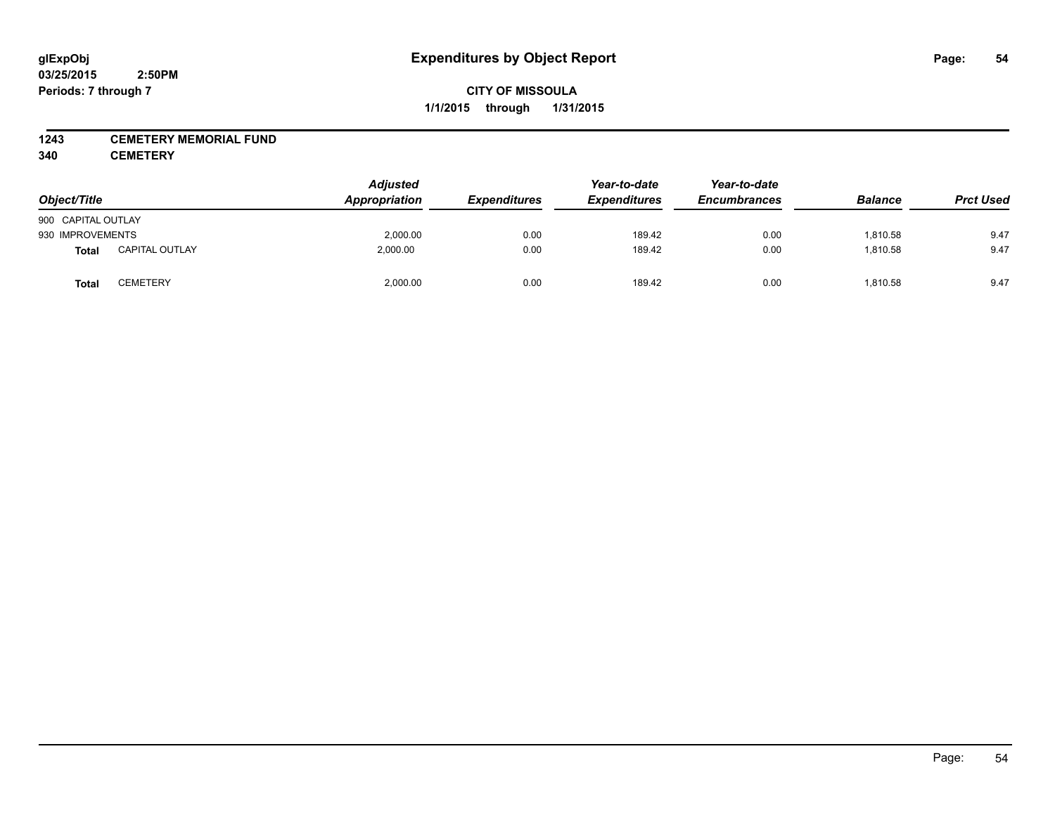#### **1243 CEMETERY MEMORIAL FUND**

**340 CEMETERY**

| Object/Title       |                       | <b>Adjusted</b><br>Appropriation | <b>Expenditures</b> | Year-to-date<br><b>Expenditures</b> | Year-to-date<br><b>Encumbrances</b> | <b>Balance</b> | <b>Prct Used</b> |
|--------------------|-----------------------|----------------------------------|---------------------|-------------------------------------|-------------------------------------|----------------|------------------|
| 900 CAPITAL OUTLAY |                       |                                  |                     |                                     |                                     |                |                  |
| 930 IMPROVEMENTS   |                       | 2,000.00                         | 0.00                | 189.42                              | 0.00                                | 1,810.58       | 9.47             |
| Total              | <b>CAPITAL OUTLAY</b> | 2,000.00                         | 0.00                | 189.42                              | 0.00                                | 1,810.58       | 9.47             |
| <b>Total</b>       | <b>CEMETERY</b>       | 2,000.00                         | 0.00                | 189.42                              | 0.00                                | 1,810.58       | 9.47             |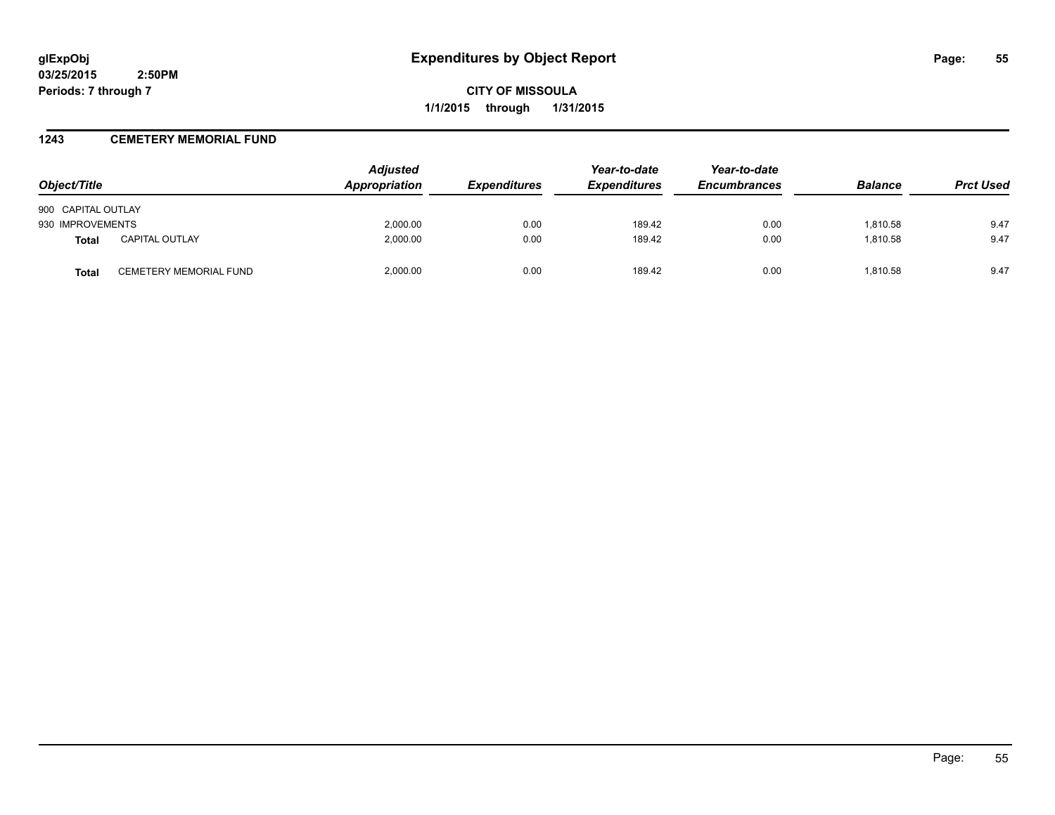**CITY OF MISSOULA 1/1/2015 through 1/31/2015**

#### **1243 CEMETERY MEMORIAL FUND**

| Object/Title       |                        | <b>Adjusted</b><br><b>Appropriation</b> | <b>Expenditures</b> | Year-to-date<br><b>Expenditures</b> | Year-to-date<br><b>Encumbrances</b> | <b>Balance</b> | <b>Prct Used</b> |
|--------------------|------------------------|-----------------------------------------|---------------------|-------------------------------------|-------------------------------------|----------------|------------------|
| 900 CAPITAL OUTLAY |                        |                                         |                     |                                     |                                     |                |                  |
| 930 IMPROVEMENTS   |                        | 2,000.00                                | 0.00                | 189.42                              | 0.00                                | 1.810.58       | 9.47             |
| <b>Total</b>       | <b>CAPITAL OUTLAY</b>  | 2,000.00                                | 0.00                | 189.42                              | 0.00                                | 1,810.58       | 9.47             |
| Total              | CEMETERY MEMORIAL FUND | 2.000.00                                | 0.00                | 189.42                              | 0.00                                | 1.810.58       | 9.47             |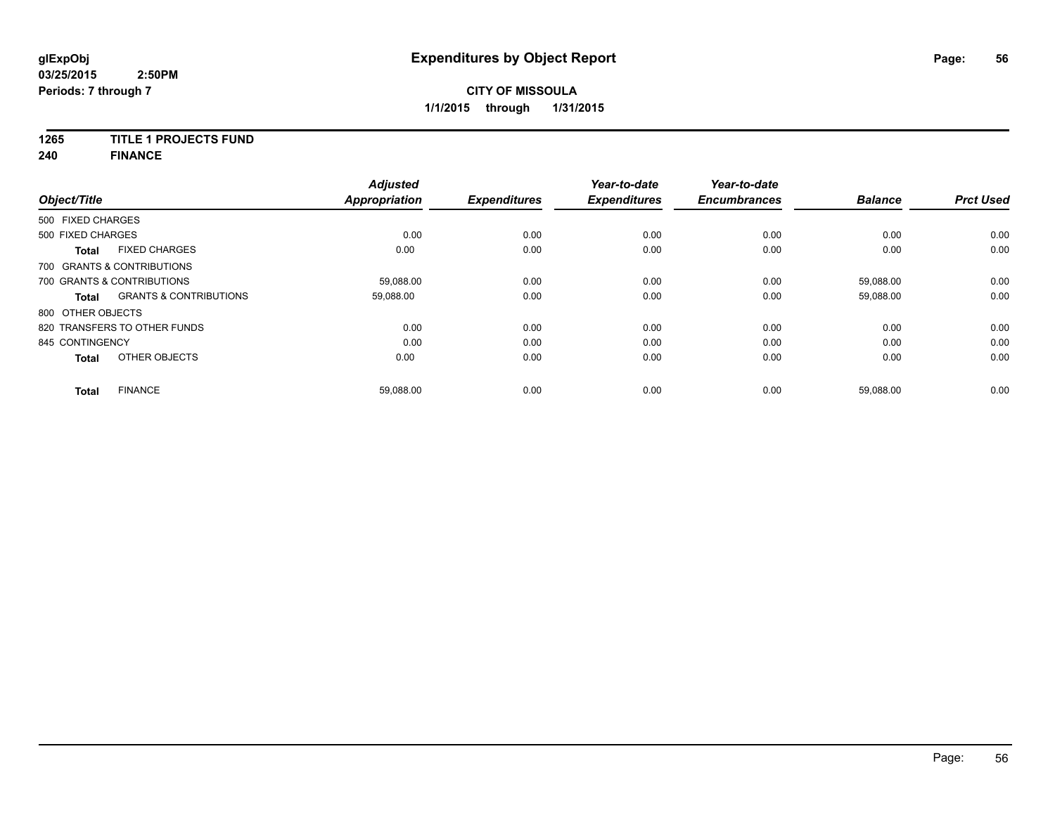### **1265 TITLE 1 PROJECTS FUND**

**240 FINANCE**

| Object/Title      |                                   | <b>Adjusted</b><br><b>Appropriation</b> | <b>Expenditures</b> | Year-to-date<br><b>Expenditures</b> | Year-to-date<br><b>Encumbrances</b> | <b>Balance</b> | <b>Prct Used</b> |
|-------------------|-----------------------------------|-----------------------------------------|---------------------|-------------------------------------|-------------------------------------|----------------|------------------|
| 500 FIXED CHARGES |                                   |                                         |                     |                                     |                                     |                |                  |
| 500 FIXED CHARGES |                                   | 0.00                                    | 0.00                | 0.00                                | 0.00                                | 0.00           | 0.00             |
| <b>Total</b>      | <b>FIXED CHARGES</b>              | 0.00                                    | 0.00                | 0.00                                | 0.00                                | 0.00           | 0.00             |
|                   | 700 GRANTS & CONTRIBUTIONS        |                                         |                     |                                     |                                     |                |                  |
|                   | 700 GRANTS & CONTRIBUTIONS        | 59,088.00                               | 0.00                | 0.00                                | 0.00                                | 59,088.00      | 0.00             |
| <b>Total</b>      | <b>GRANTS &amp; CONTRIBUTIONS</b> | 59,088.00                               | 0.00                | 0.00                                | 0.00                                | 59,088.00      | 0.00             |
| 800 OTHER OBJECTS |                                   |                                         |                     |                                     |                                     |                |                  |
|                   | 820 TRANSFERS TO OTHER FUNDS      | 0.00                                    | 0.00                | 0.00                                | 0.00                                | 0.00           | 0.00             |
| 845 CONTINGENCY   |                                   | 0.00                                    | 0.00                | 0.00                                | 0.00                                | 0.00           | 0.00             |
| <b>Total</b>      | OTHER OBJECTS                     | 0.00                                    | 0.00                | 0.00                                | 0.00                                | 0.00           | 0.00             |
| Total             | <b>FINANCE</b>                    | 59,088.00                               | 0.00                | 0.00                                | 0.00                                | 59,088.00      | 0.00             |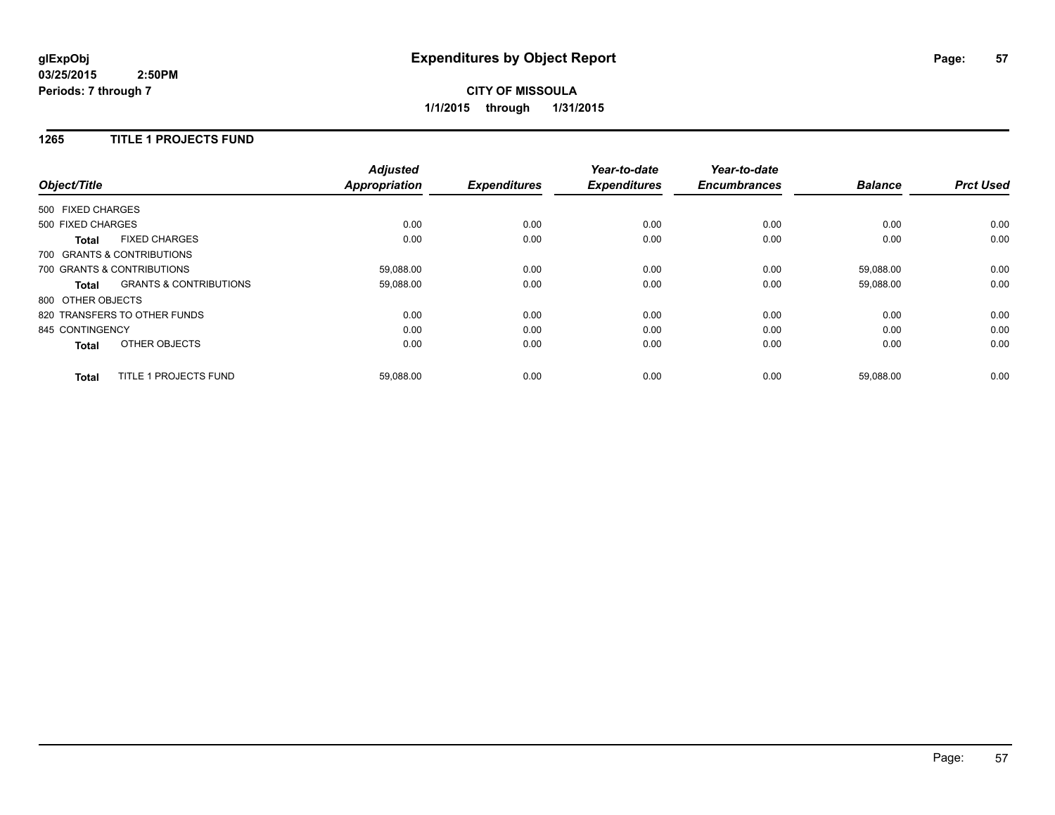#### **1265 TITLE 1 PROJECTS FUND**

| Object/Title      |                                   | <b>Adjusted</b><br><b>Appropriation</b> | <b>Expenditures</b> | Year-to-date<br><b>Expenditures</b> | Year-to-date<br><b>Encumbrances</b> | <b>Balance</b> | <b>Prct Used</b> |
|-------------------|-----------------------------------|-----------------------------------------|---------------------|-------------------------------------|-------------------------------------|----------------|------------------|
| 500 FIXED CHARGES |                                   |                                         |                     |                                     |                                     |                |                  |
|                   |                                   |                                         |                     |                                     |                                     |                |                  |
| 500 FIXED CHARGES |                                   | 0.00                                    | 0.00                | 0.00                                | 0.00                                | 0.00           | 0.00             |
| <b>Total</b>      | <b>FIXED CHARGES</b>              | 0.00                                    | 0.00                | 0.00                                | 0.00                                | 0.00           | 0.00             |
|                   | 700 GRANTS & CONTRIBUTIONS        |                                         |                     |                                     |                                     |                |                  |
|                   | 700 GRANTS & CONTRIBUTIONS        | 59,088.00                               | 0.00                | 0.00                                | 0.00                                | 59,088.00      | 0.00             |
| Total             | <b>GRANTS &amp; CONTRIBUTIONS</b> | 59,088.00                               | 0.00                | 0.00                                | 0.00                                | 59,088.00      | 0.00             |
| 800 OTHER OBJECTS |                                   |                                         |                     |                                     |                                     |                |                  |
|                   | 820 TRANSFERS TO OTHER FUNDS      | 0.00                                    | 0.00                | 0.00                                | 0.00                                | 0.00           | 0.00             |
| 845 CONTINGENCY   |                                   | 0.00                                    | 0.00                | 0.00                                | 0.00                                | 0.00           | 0.00             |
| Total             | OTHER OBJECTS                     | 0.00                                    | 0.00                | 0.00                                | 0.00                                | 0.00           | 0.00             |
| <b>Total</b>      | <b>TITLE 1 PROJECTS FUND</b>      | 59,088.00                               | 0.00                | 0.00                                | 0.00                                | 59.088.00      | 0.00             |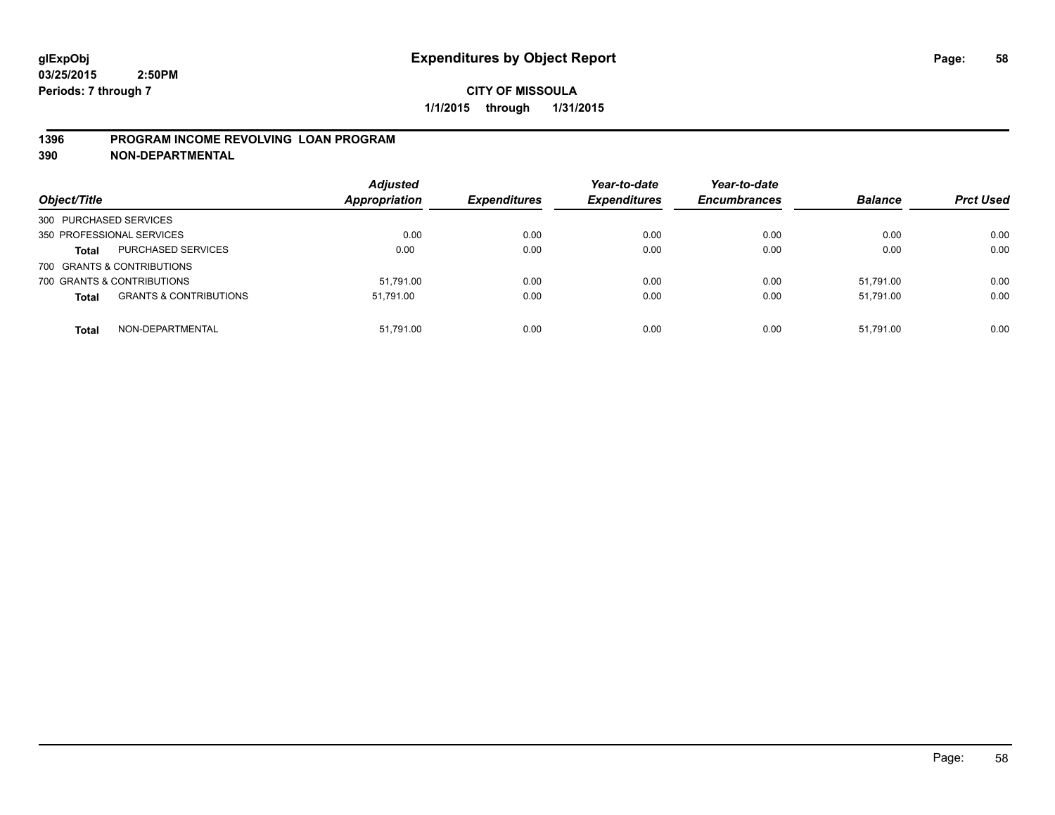#### **1396 PROGRAM INCOME REVOLVING LOAN PROGRAM**

**390 NON-DEPARTMENTAL**

| Object/Title           |                                   | <b>Adjusted</b><br><b>Appropriation</b> | <b>Expenditures</b> | Year-to-date<br><b>Expenditures</b> | Year-to-date<br><b>Encumbrances</b> | <b>Balance</b> | <b>Prct Used</b> |
|------------------------|-----------------------------------|-----------------------------------------|---------------------|-------------------------------------|-------------------------------------|----------------|------------------|
| 300 PURCHASED SERVICES |                                   |                                         |                     |                                     |                                     |                |                  |
|                        | 350 PROFESSIONAL SERVICES         | 0.00                                    | 0.00                | 0.00                                | 0.00                                | 0.00           | 0.00             |
| <b>Total</b>           | PURCHASED SERVICES                | 0.00                                    | 0.00                | 0.00                                | 0.00                                | 0.00           | 0.00             |
|                        | 700 GRANTS & CONTRIBUTIONS        |                                         |                     |                                     |                                     |                |                  |
|                        | 700 GRANTS & CONTRIBUTIONS        | 51.791.00                               | 0.00                | 0.00                                | 0.00                                | 51.791.00      | 0.00             |
| <b>Total</b>           | <b>GRANTS &amp; CONTRIBUTIONS</b> | 51.791.00                               | 0.00                | 0.00                                | 0.00                                | 51.791.00      | 0.00             |
| <b>Total</b>           | NON-DEPARTMENTAL                  | 51.791.00                               | 0.00                | 0.00                                | 0.00                                | 51.791.00      | 0.00             |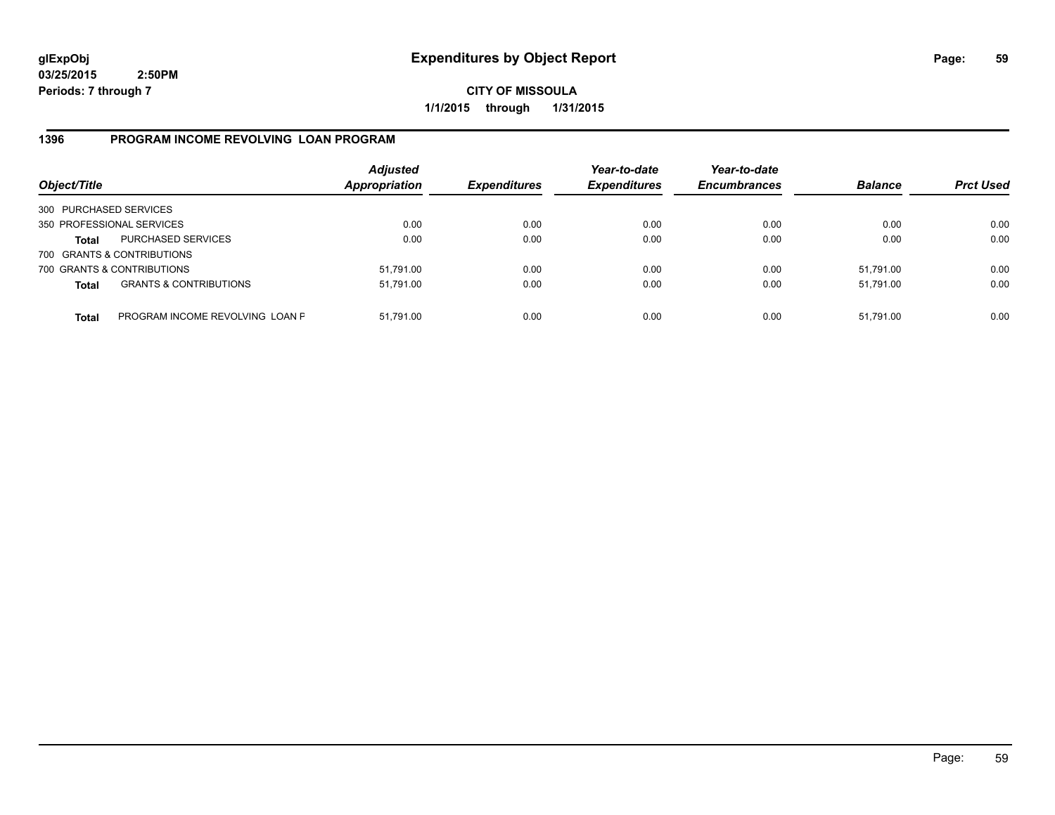**CITY OF MISSOULA 1/1/2015 through 1/31/2015**

### **1396 PROGRAM INCOME REVOLVING LOAN PROGRAM**

| Object/Title           |                                   | <b>Adjusted</b><br><b>Appropriation</b> | <b>Expenditures</b> | Year-to-date<br><b>Expenditures</b> | Year-to-date<br><b>Encumbrances</b> | <b>Balance</b> | <b>Prct Used</b> |
|------------------------|-----------------------------------|-----------------------------------------|---------------------|-------------------------------------|-------------------------------------|----------------|------------------|
| 300 PURCHASED SERVICES |                                   |                                         |                     |                                     |                                     |                |                  |
|                        | 350 PROFESSIONAL SERVICES         | 0.00                                    | 0.00                | 0.00                                | 0.00                                | 0.00           | 0.00             |
| Total                  | PURCHASED SERVICES                | 0.00                                    | 0.00                | 0.00                                | 0.00                                | 0.00           | 0.00             |
|                        | 700 GRANTS & CONTRIBUTIONS        |                                         |                     |                                     |                                     |                |                  |
|                        | 700 GRANTS & CONTRIBUTIONS        | 51,791.00                               | 0.00                | 0.00                                | 0.00                                | 51.791.00      | 0.00             |
| <b>Total</b>           | <b>GRANTS &amp; CONTRIBUTIONS</b> | 51,791.00                               | 0.00                | 0.00                                | 0.00                                | 51.791.00      | 0.00             |
| <b>Total</b>           | PROGRAM INCOME REVOLVING LOAN P   | 51,791.00                               | 0.00                | 0.00                                | 0.00                                | 51,791.00      | 0.00             |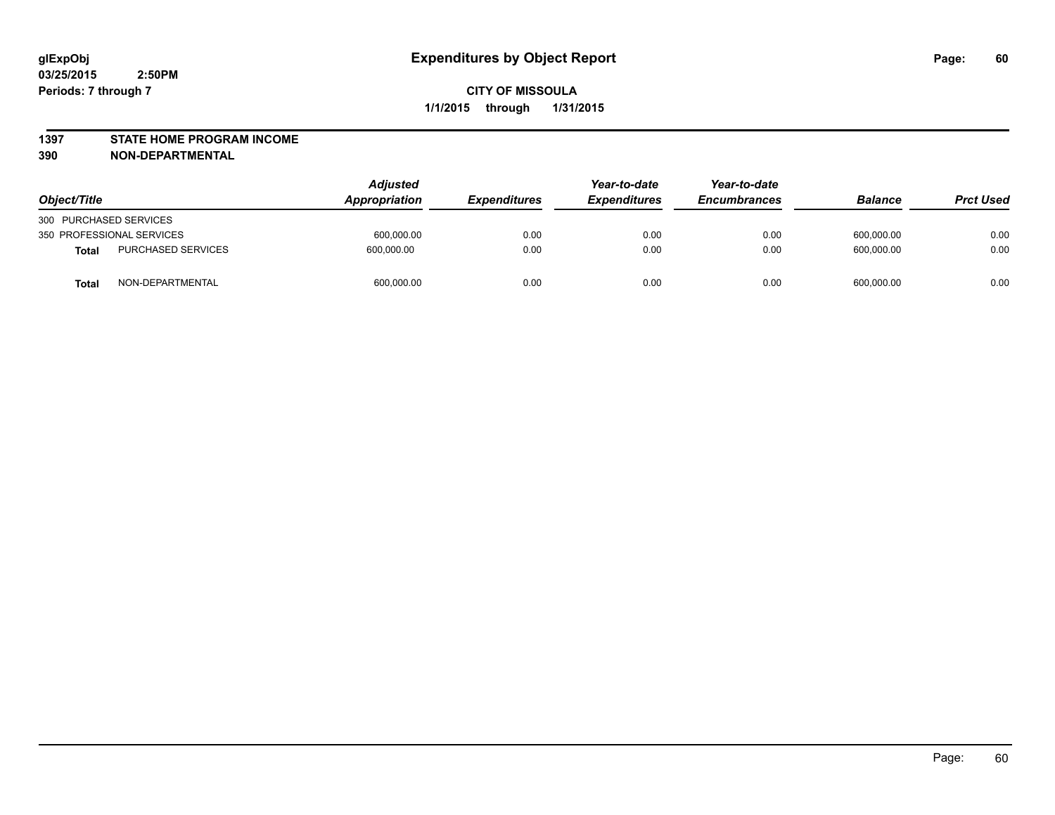#### **1397 STATE HOME PROGRAM INCOME**

**390 NON-DEPARTMENTAL**

|                                           | <b>Adjusted</b> | Year-to-date        | Year-to-date        |                     |                |                  |
|-------------------------------------------|-----------------|---------------------|---------------------|---------------------|----------------|------------------|
| Object/Title                              | Appropriation   | <b>Expenditures</b> | <b>Expenditures</b> | <b>Encumbrances</b> | <b>Balance</b> | <b>Prct Used</b> |
| 300 PURCHASED SERVICES                    |                 |                     |                     |                     |                |                  |
| 350 PROFESSIONAL SERVICES                 | 600,000.00      | 0.00                | 0.00                | 0.00                | 600.000.00     | 0.00             |
| <b>PURCHASED SERVICES</b><br><b>Total</b> | 600.000.00      | 0.00                | 0.00                | 0.00                | 600,000.00     | 0.00             |
| NON-DEPARTMENTAL<br><b>Total</b>          | 600,000.00      | 0.00                | 0.00                | 0.00                | 600,000.00     | 0.00             |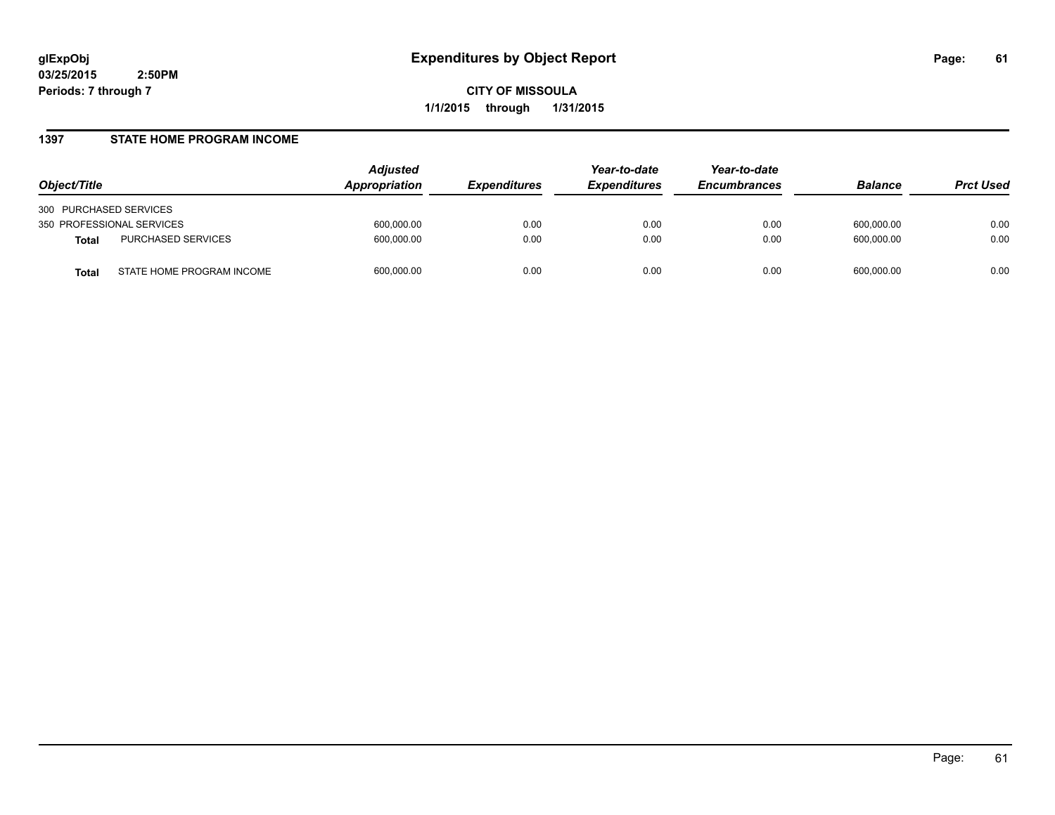**CITY OF MISSOULA 1/1/2015 through 1/31/2015**

#### **1397 STATE HOME PROGRAM INCOME**

| Object/Title                              | <b>Adjusted</b><br>Appropriation | <b>Expenditures</b> | Year-to-date<br><b>Expenditures</b> | Year-to-date<br><b>Encumbrances</b> | <b>Balance</b> | <b>Prct Used</b> |
|-------------------------------------------|----------------------------------|---------------------|-------------------------------------|-------------------------------------|----------------|------------------|
| 300 PURCHASED SERVICES                    |                                  |                     |                                     |                                     |                |                  |
| 350 PROFESSIONAL SERVICES                 | 600,000.00                       | 0.00                | 0.00                                | 0.00                                | 600.000.00     | 0.00             |
| PURCHASED SERVICES<br><b>Total</b>        | 600,000.00                       | 0.00                | 0.00                                | 0.00                                | 600.000.00     | 0.00             |
| STATE HOME PROGRAM INCOME<br><b>Total</b> | 600,000.00                       | 0.00                | 0.00                                | 0.00                                | 600.000.00     | 0.00             |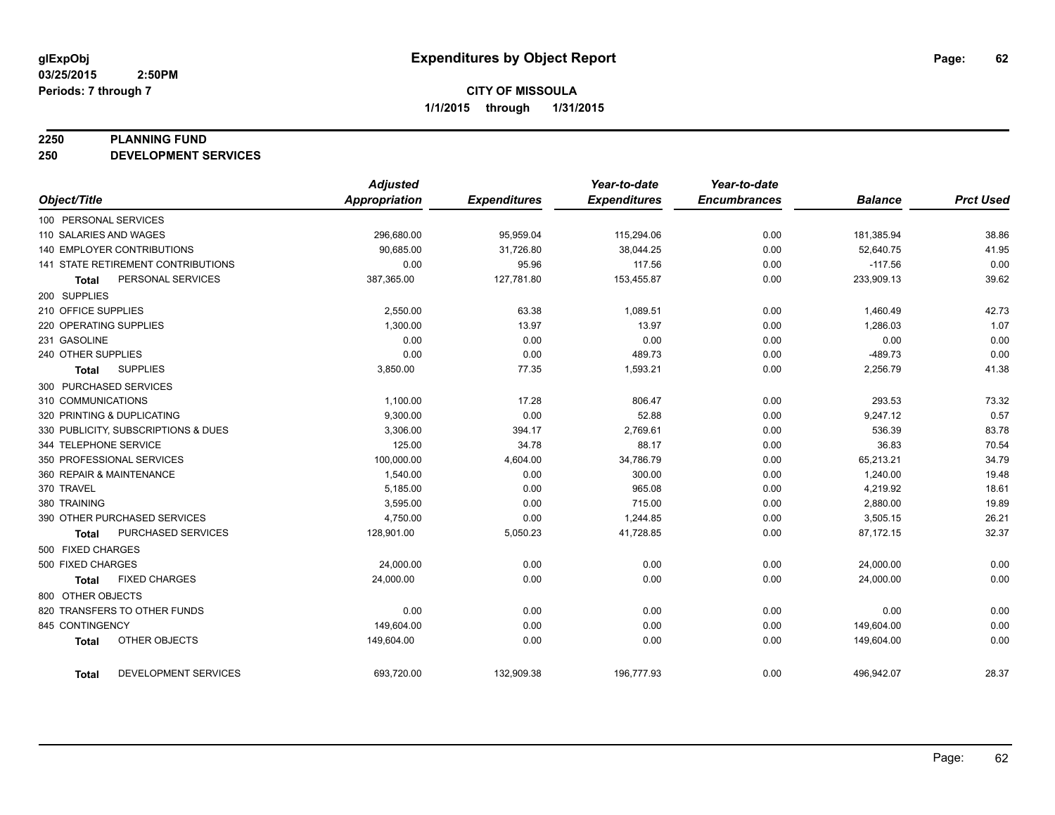#### **2250 PLANNING FUND**

**250 DEVELOPMENT SERVICES**

|                                             | <b>Adjusted</b> |                     | Year-to-date        | Year-to-date        |                |                  |
|---------------------------------------------|-----------------|---------------------|---------------------|---------------------|----------------|------------------|
| Object/Title                                | Appropriation   | <b>Expenditures</b> | <b>Expenditures</b> | <b>Encumbrances</b> | <b>Balance</b> | <b>Prct Used</b> |
| 100 PERSONAL SERVICES                       |                 |                     |                     |                     |                |                  |
| 110 SALARIES AND WAGES                      | 296,680.00      | 95,959.04           | 115,294.06          | 0.00                | 181,385.94     | 38.86            |
| <b>140 EMPLOYER CONTRIBUTIONS</b>           | 90,685.00       | 31,726.80           | 38,044.25           | 0.00                | 52,640.75      | 41.95            |
| 141 STATE RETIREMENT CONTRIBUTIONS          | 0.00            | 95.96               | 117.56              | 0.00                | $-117.56$      | 0.00             |
| PERSONAL SERVICES<br><b>Total</b>           | 387,365.00      | 127,781.80          | 153,455.87          | 0.00                | 233,909.13     | 39.62            |
| 200 SUPPLIES                                |                 |                     |                     |                     |                |                  |
| 210 OFFICE SUPPLIES                         | 2,550.00        | 63.38               | 1,089.51            | 0.00                | 1,460.49       | 42.73            |
| 220 OPERATING SUPPLIES                      | 1,300.00        | 13.97               | 13.97               | 0.00                | 1,286.03       | 1.07             |
| 231 GASOLINE                                | 0.00            | 0.00                | 0.00                | 0.00                | 0.00           | 0.00             |
| 240 OTHER SUPPLIES                          | 0.00            | 0.00                | 489.73              | 0.00                | $-489.73$      | 0.00             |
| <b>SUPPLIES</b><br><b>Total</b>             | 3,850.00        | 77.35               | 1,593.21            | 0.00                | 2,256.79       | 41.38            |
| 300 PURCHASED SERVICES                      |                 |                     |                     |                     |                |                  |
| 310 COMMUNICATIONS                          | 1,100.00        | 17.28               | 806.47              | 0.00                | 293.53         | 73.32            |
| 320 PRINTING & DUPLICATING                  | 9,300.00        | 0.00                | 52.88               | 0.00                | 9,247.12       | 0.57             |
| 330 PUBLICITY, SUBSCRIPTIONS & DUES         | 3,306.00        | 394.17              | 2,769.61            | 0.00                | 536.39         | 83.78            |
| 344 TELEPHONE SERVICE                       | 125.00          | 34.78               | 88.17               | 0.00                | 36.83          | 70.54            |
| 350 PROFESSIONAL SERVICES                   | 100,000.00      | 4,604.00            | 34,786.79           | 0.00                | 65,213.21      | 34.79            |
| 360 REPAIR & MAINTENANCE                    | 1,540.00        | 0.00                | 300.00              | 0.00                | 1,240.00       | 19.48            |
| 370 TRAVEL                                  | 5,185.00        | 0.00                | 965.08              | 0.00                | 4,219.92       | 18.61            |
| 380 TRAINING                                | 3,595.00        | 0.00                | 715.00              | 0.00                | 2,880.00       | 19.89            |
| 390 OTHER PURCHASED SERVICES                | 4,750.00        | 0.00                | 1,244.85            | 0.00                | 3,505.15       | 26.21            |
| <b>PURCHASED SERVICES</b><br><b>Total</b>   | 128,901.00      | 5,050.23            | 41,728.85           | 0.00                | 87,172.15      | 32.37            |
| 500 FIXED CHARGES                           |                 |                     |                     |                     |                |                  |
| 500 FIXED CHARGES                           | 24,000.00       | 0.00                | 0.00                | 0.00                | 24,000.00      | 0.00             |
| <b>FIXED CHARGES</b><br><b>Total</b>        | 24,000.00       | 0.00                | 0.00                | 0.00                | 24,000.00      | 0.00             |
| 800 OTHER OBJECTS                           |                 |                     |                     |                     |                |                  |
| 820 TRANSFERS TO OTHER FUNDS                | 0.00            | 0.00                | 0.00                | 0.00                | 0.00           | 0.00             |
| 845 CONTINGENCY                             | 149,604.00      | 0.00                | 0.00                | 0.00                | 149,604.00     | 0.00             |
| OTHER OBJECTS<br><b>Total</b>               | 149,604.00      | 0.00                | 0.00                | 0.00                | 149,604.00     | 0.00             |
| <b>DEVELOPMENT SERVICES</b><br><b>Total</b> | 693,720.00      | 132,909.38          | 196,777.93          | 0.00                | 496,942.07     | 28.37            |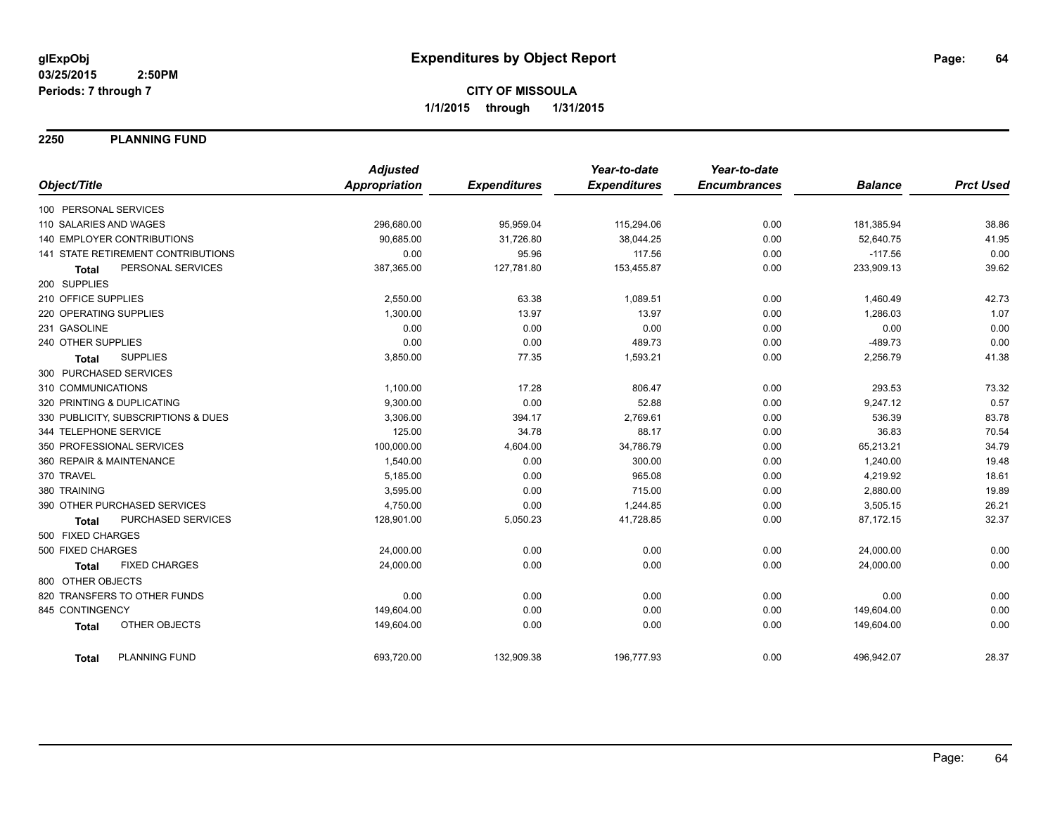**2250 PLANNING FUND**

|                                      | <b>Adjusted</b>      |                     | Year-to-date        | Year-to-date        |                |                  |
|--------------------------------------|----------------------|---------------------|---------------------|---------------------|----------------|------------------|
| Object/Title                         | <b>Appropriation</b> | <b>Expenditures</b> | <b>Expenditures</b> | <b>Encumbrances</b> | <b>Balance</b> | <b>Prct Used</b> |
| 100 PERSONAL SERVICES                |                      |                     |                     |                     |                |                  |
| 110 SALARIES AND WAGES               | 296,680.00           | 95,959.04           | 115,294.06          | 0.00                | 181,385.94     | 38.86            |
| <b>140 EMPLOYER CONTRIBUTIONS</b>    | 90,685.00            | 31,726.80           | 38,044.25           | 0.00                | 52,640.75      | 41.95            |
| 141 STATE RETIREMENT CONTRIBUTIONS   | 0.00                 | 95.96               | 117.56              | 0.00                | $-117.56$      | 0.00             |
| PERSONAL SERVICES<br><b>Total</b>    | 387,365.00           | 127,781.80          | 153,455.87          | 0.00                | 233,909.13     | 39.62            |
| 200 SUPPLIES                         |                      |                     |                     |                     |                |                  |
| 210 OFFICE SUPPLIES                  | 2,550.00             | 63.38               | 1,089.51            | 0.00                | 1,460.49       | 42.73            |
| 220 OPERATING SUPPLIES               | 1,300.00             | 13.97               | 13.97               | 0.00                | 1,286.03       | 1.07             |
| 231 GASOLINE                         | 0.00                 | 0.00                | 0.00                | 0.00                | 0.00           | 0.00             |
| 240 OTHER SUPPLIES                   | 0.00                 | 0.00                | 489.73              | 0.00                | $-489.73$      | 0.00             |
| <b>SUPPLIES</b><br><b>Total</b>      | 3,850.00             | 77.35               | 1,593.21            | 0.00                | 2,256.79       | 41.38            |
| 300 PURCHASED SERVICES               |                      |                     |                     |                     |                |                  |
| 310 COMMUNICATIONS                   | 1,100.00             | 17.28               | 806.47              | 0.00                | 293.53         | 73.32            |
| 320 PRINTING & DUPLICATING           | 9,300.00             | 0.00                | 52.88               | 0.00                | 9,247.12       | 0.57             |
| 330 PUBLICITY, SUBSCRIPTIONS & DUES  | 3,306.00             | 394.17              | 2,769.61            | 0.00                | 536.39         | 83.78            |
| 344 TELEPHONE SERVICE                | 125.00               | 34.78               | 88.17               | 0.00                | 36.83          | 70.54            |
| 350 PROFESSIONAL SERVICES            | 100,000.00           | 4,604.00            | 34,786.79           | 0.00                | 65,213.21      | 34.79            |
| 360 REPAIR & MAINTENANCE             | 1,540.00             | 0.00                | 300.00              | 0.00                | 1,240.00       | 19.48            |
| 370 TRAVEL                           | 5,185.00             | 0.00                | 965.08              | 0.00                | 4,219.92       | 18.61            |
| 380 TRAINING                         | 3,595.00             | 0.00                | 715.00              | 0.00                | 2,880.00       | 19.89            |
| 390 OTHER PURCHASED SERVICES         | 4,750.00             | 0.00                | 1,244.85            | 0.00                | 3,505.15       | 26.21            |
| PURCHASED SERVICES<br><b>Total</b>   | 128,901.00           | 5,050.23            | 41,728.85           | 0.00                | 87,172.15      | 32.37            |
| 500 FIXED CHARGES                    |                      |                     |                     |                     |                |                  |
| 500 FIXED CHARGES                    | 24,000.00            | 0.00                | 0.00                | 0.00                | 24,000.00      | 0.00             |
| <b>FIXED CHARGES</b><br><b>Total</b> | 24,000.00            | 0.00                | 0.00                | 0.00                | 24,000.00      | 0.00             |
| 800 OTHER OBJECTS                    |                      |                     |                     |                     |                |                  |
| 820 TRANSFERS TO OTHER FUNDS         | 0.00                 | 0.00                | 0.00                | 0.00                | 0.00           | 0.00             |
| 845 CONTINGENCY                      | 149,604.00           | 0.00                | 0.00                | 0.00                | 149,604.00     | 0.00             |
| OTHER OBJECTS<br><b>Total</b>        | 149,604.00           | 0.00                | 0.00                | 0.00                | 149,604.00     | 0.00             |
| <b>PLANNING FUND</b><br><b>Total</b> | 693,720.00           | 132,909.38          | 196,777.93          | 0.00                | 496,942.07     | 28.37            |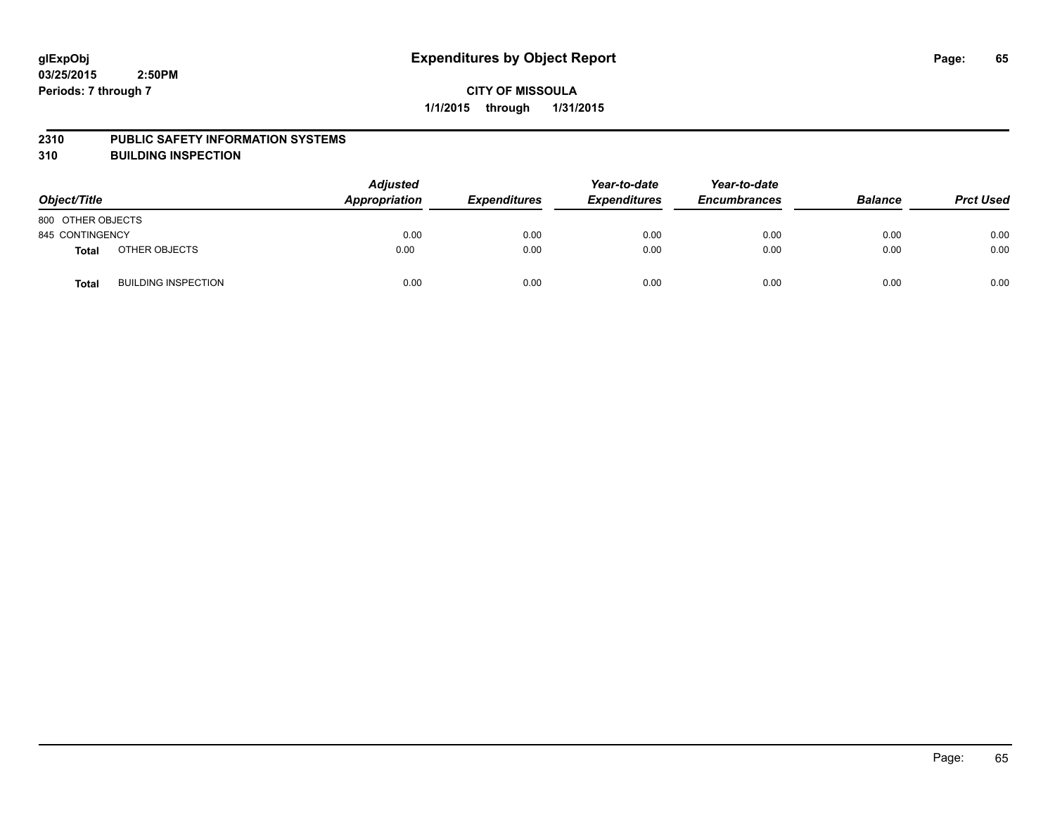#### **2310 PUBLIC SAFETY INFORMATION SYSTEMS**

**310 BUILDING INSPECTION**

| Object/Title      |                            | <b>Adjusted</b><br><b>Appropriation</b> | <b>Expenditures</b> | Year-to-date<br><b>Expenditures</b> | Year-to-date<br><b>Encumbrances</b> | <b>Balance</b> | <b>Prct Used</b> |
|-------------------|----------------------------|-----------------------------------------|---------------------|-------------------------------------|-------------------------------------|----------------|------------------|
| 800 OTHER OBJECTS |                            |                                         |                     |                                     |                                     |                |                  |
| 845 CONTINGENCY   |                            | 0.00                                    | 0.00                | 0.00                                | 0.00                                | 0.00           | 0.00             |
| Total             | OTHER OBJECTS              | 0.00                                    | 0.00                | 0.00                                | 0.00                                | 0.00           | 0.00             |
| Total             | <b>BUILDING INSPECTION</b> | 0.00                                    | 0.00                | 0.00                                | 0.00                                | 0.00           | 0.00             |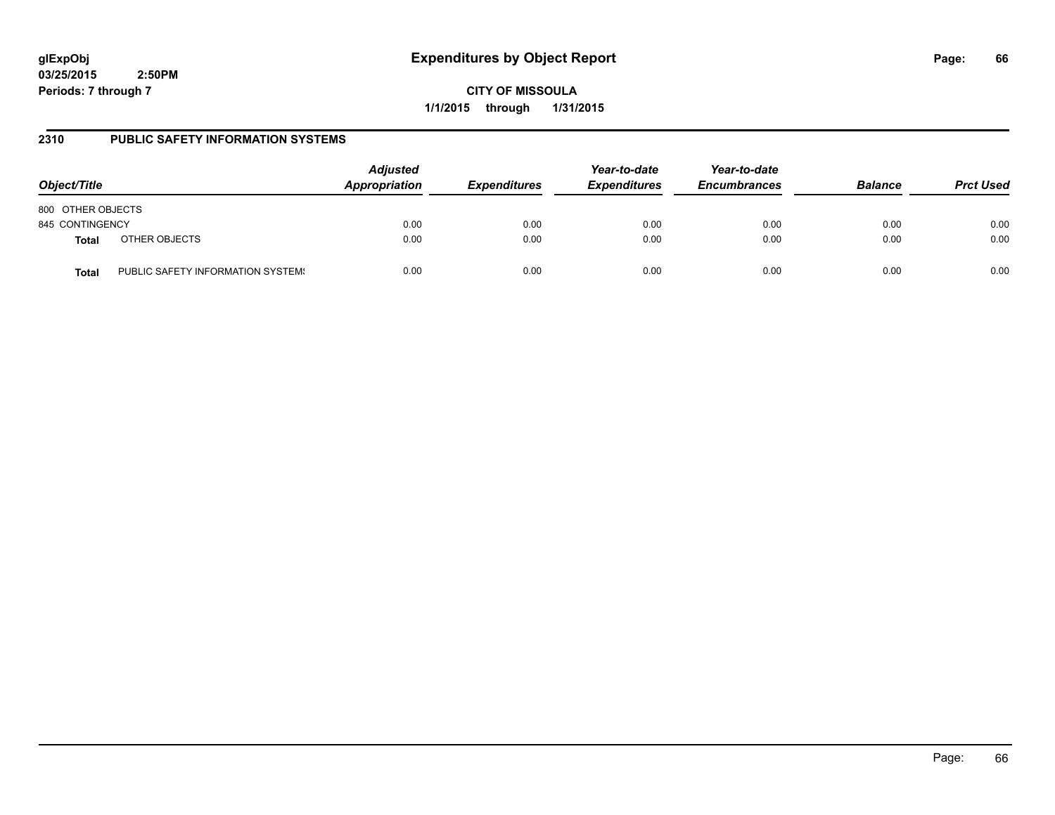**CITY OF MISSOULA 1/1/2015 through 1/31/2015**

### **2310 PUBLIC SAFETY INFORMATION SYSTEMS**

| Object/Title      |                                   | <b>Adjusted</b><br>Appropriation | <b>Expenditures</b> | Year-to-date<br><b>Expenditures</b> | Year-to-date<br><b>Encumbrances</b> | <b>Balance</b> | <b>Prct Used</b> |
|-------------------|-----------------------------------|----------------------------------|---------------------|-------------------------------------|-------------------------------------|----------------|------------------|
| 800 OTHER OBJECTS |                                   |                                  |                     |                                     |                                     |                |                  |
| 845 CONTINGENCY   |                                   | 0.00                             | 0.00                | 0.00                                | 0.00                                | 0.00           | 0.00             |
| <b>Total</b>      | OTHER OBJECTS                     | 0.00                             | 0.00                | 0.00                                | 0.00                                | 0.00           | 0.00             |
| Total             | PUBLIC SAFETY INFORMATION SYSTEM! | 0.00                             | 0.00                | 0.00                                | 0.00                                | 0.00           | 0.00             |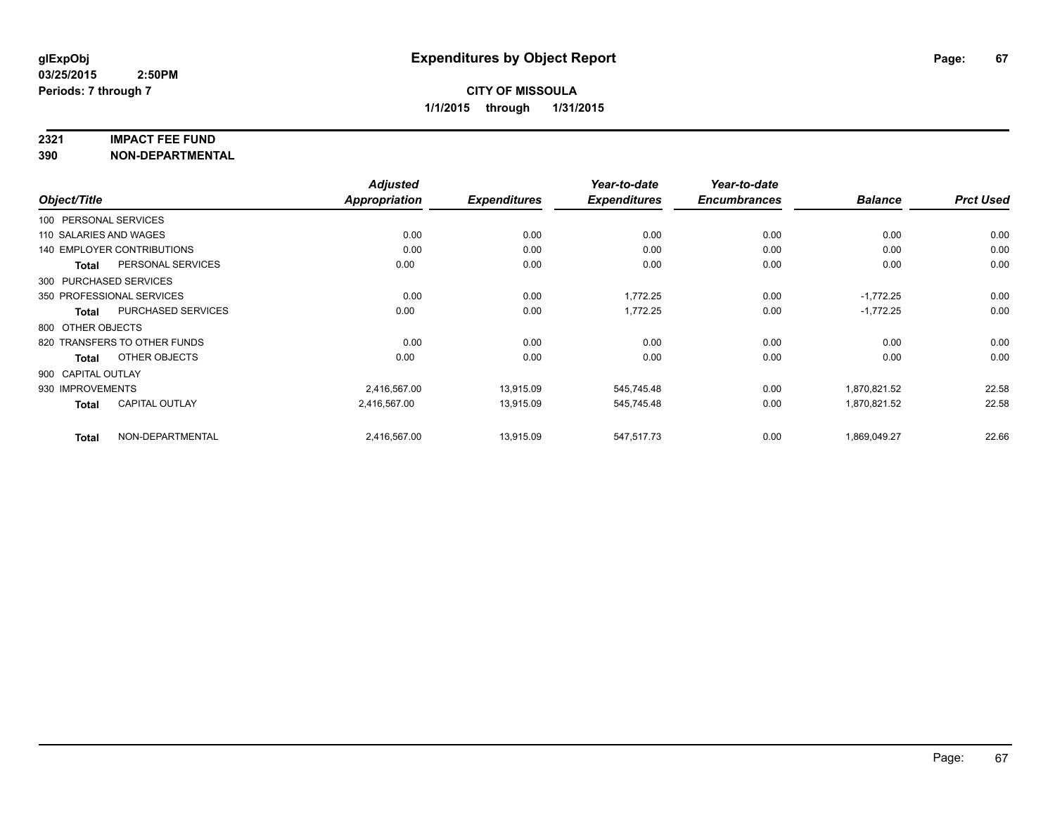#### **2321 IMPACT FEE FUND**

**390 NON-DEPARTMENTAL**

|                        |                                   | <b>Adjusted</b> |                     | Year-to-date        | Year-to-date        |                |                  |
|------------------------|-----------------------------------|-----------------|---------------------|---------------------|---------------------|----------------|------------------|
| Object/Title           |                                   | Appropriation   | <b>Expenditures</b> | <b>Expenditures</b> | <b>Encumbrances</b> | <b>Balance</b> | <b>Prct Used</b> |
| 100 PERSONAL SERVICES  |                                   |                 |                     |                     |                     |                |                  |
| 110 SALARIES AND WAGES |                                   | 0.00            | 0.00                | 0.00                | 0.00                | 0.00           | 0.00             |
|                        | <b>140 EMPLOYER CONTRIBUTIONS</b> | 0.00            | 0.00                | 0.00                | 0.00                | 0.00           | 0.00             |
| <b>Total</b>           | PERSONAL SERVICES                 | 0.00            | 0.00                | 0.00                | 0.00                | 0.00           | 0.00             |
|                        | 300 PURCHASED SERVICES            |                 |                     |                     |                     |                |                  |
|                        | 350 PROFESSIONAL SERVICES         | 0.00            | 0.00                | 1,772.25            | 0.00                | $-1,772.25$    | 0.00             |
| Total                  | <b>PURCHASED SERVICES</b>         | 0.00            | 0.00                | 1,772.25            | 0.00                | $-1,772.25$    | 0.00             |
| 800 OTHER OBJECTS      |                                   |                 |                     |                     |                     |                |                  |
|                        | 820 TRANSFERS TO OTHER FUNDS      | 0.00            | 0.00                | 0.00                | 0.00                | 0.00           | 0.00             |
| <b>Total</b>           | OTHER OBJECTS                     | 0.00            | 0.00                | 0.00                | 0.00                | 0.00           | 0.00             |
| 900 CAPITAL OUTLAY     |                                   |                 |                     |                     |                     |                |                  |
| 930 IMPROVEMENTS       |                                   | 2,416,567.00    | 13,915.09           | 545,745.48          | 0.00                | 1,870,821.52   | 22.58            |
| <b>Total</b>           | <b>CAPITAL OUTLAY</b>             | 2.416.567.00    | 13,915.09           | 545,745.48          | 0.00                | 1,870,821.52   | 22.58            |
| <b>Total</b>           | NON-DEPARTMENTAL                  | 2,416,567.00    | 13,915.09           | 547,517.73          | 0.00                | 1,869,049.27   | 22.66            |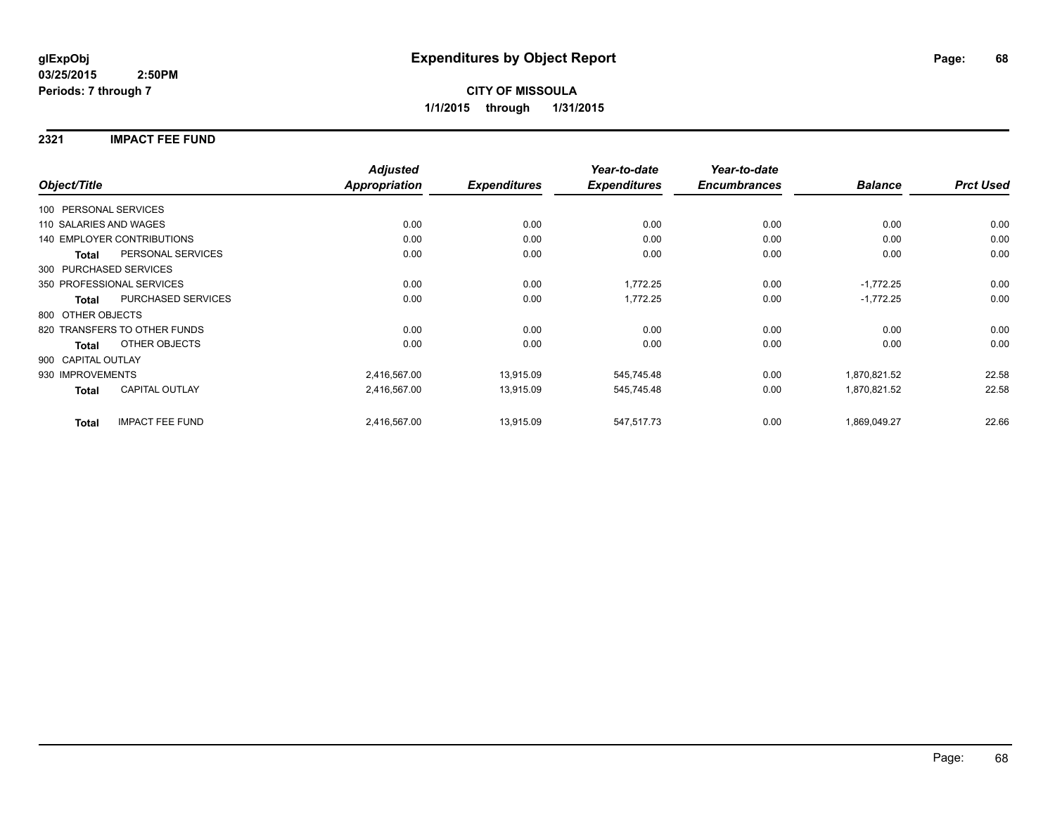#### **2321 IMPACT FEE FUND**

|                        |                                   | <b>Adjusted</b>      |                     | Year-to-date        | Year-to-date        |                |                  |
|------------------------|-----------------------------------|----------------------|---------------------|---------------------|---------------------|----------------|------------------|
| Object/Title           |                                   | <b>Appropriation</b> | <b>Expenditures</b> | <b>Expenditures</b> | <b>Encumbrances</b> | <b>Balance</b> | <b>Prct Used</b> |
| 100 PERSONAL SERVICES  |                                   |                      |                     |                     |                     |                |                  |
| 110 SALARIES AND WAGES |                                   | 0.00                 | 0.00                | 0.00                | 0.00                | 0.00           | 0.00             |
|                        | <b>140 EMPLOYER CONTRIBUTIONS</b> | 0.00                 | 0.00                | 0.00                | 0.00                | 0.00           | 0.00             |
| <b>Total</b>           | PERSONAL SERVICES                 | 0.00                 | 0.00                | 0.00                | 0.00                | 0.00           | 0.00             |
|                        | 300 PURCHASED SERVICES            |                      |                     |                     |                     |                |                  |
|                        | 350 PROFESSIONAL SERVICES         | 0.00                 | 0.00                | 1,772.25            | 0.00                | $-1,772.25$    | 0.00             |
| <b>Total</b>           | PURCHASED SERVICES                | 0.00                 | 0.00                | 1,772.25            | 0.00                | $-1,772.25$    | 0.00             |
| 800 OTHER OBJECTS      |                                   |                      |                     |                     |                     |                |                  |
|                        | 820 TRANSFERS TO OTHER FUNDS      | 0.00                 | 0.00                | 0.00                | 0.00                | 0.00           | 0.00             |
| <b>Total</b>           | OTHER OBJECTS                     | 0.00                 | 0.00                | 0.00                | 0.00                | 0.00           | 0.00             |
| 900 CAPITAL OUTLAY     |                                   |                      |                     |                     |                     |                |                  |
| 930 IMPROVEMENTS       |                                   | 2,416,567.00         | 13,915.09           | 545,745.48          | 0.00                | 1,870,821.52   | 22.58            |
| <b>Total</b>           | <b>CAPITAL OUTLAY</b>             | 2,416,567.00         | 13,915.09           | 545,745.48          | 0.00                | 1,870,821.52   | 22.58            |
| <b>Total</b>           | <b>IMPACT FEE FUND</b>            | 2,416,567.00         | 13,915.09           | 547,517.73          | 0.00                | 1,869,049.27   | 22.66            |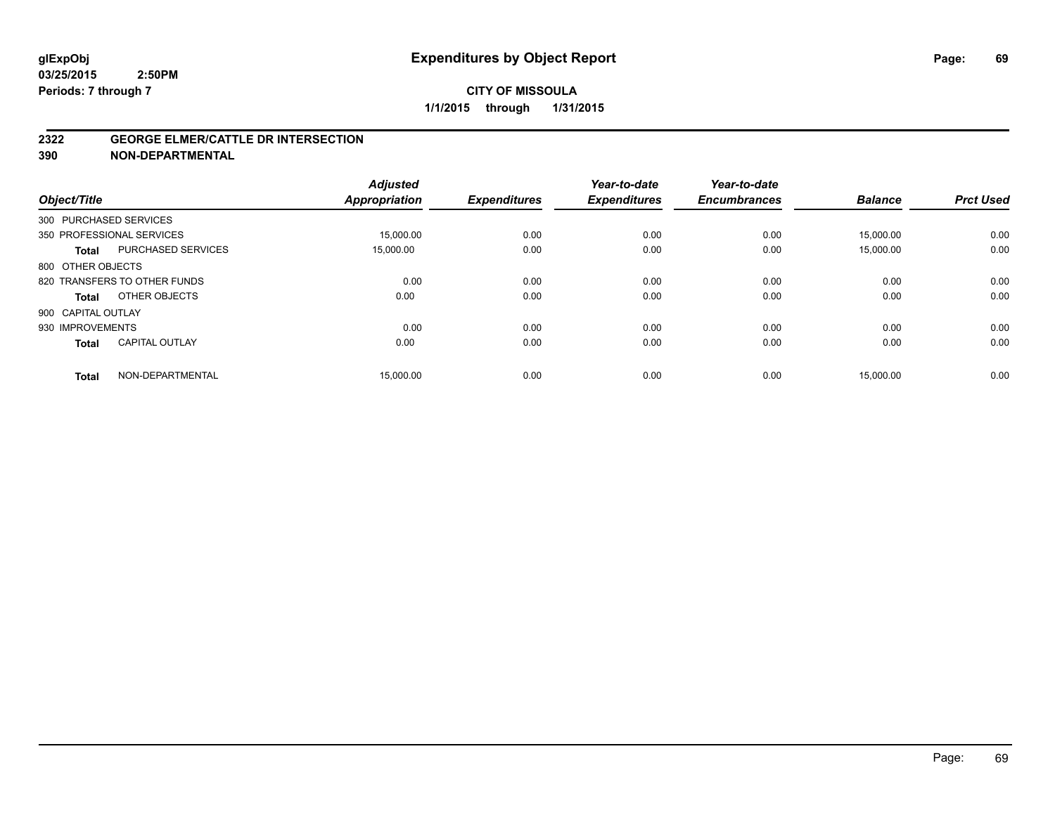#### **2322 GEORGE ELMER/CATTLE DR INTERSECTION**

**390 NON-DEPARTMENTAL**

| Object/Title           |                              | <b>Adjusted</b><br><b>Appropriation</b> | <b>Expenditures</b> | Year-to-date<br><b>Expenditures</b> | Year-to-date<br><b>Encumbrances</b> | <b>Balance</b> | <b>Prct Used</b> |
|------------------------|------------------------------|-----------------------------------------|---------------------|-------------------------------------|-------------------------------------|----------------|------------------|
| 300 PURCHASED SERVICES |                              |                                         |                     |                                     |                                     |                |                  |
|                        | 350 PROFESSIONAL SERVICES    | 15,000.00                               | 0.00                | 0.00                                | 0.00                                | 15,000.00      | 0.00             |
| <b>Total</b>           | <b>PURCHASED SERVICES</b>    | 15.000.00                               | 0.00                | 0.00                                | 0.00                                | 15,000.00      | 0.00             |
| 800 OTHER OBJECTS      |                              |                                         |                     |                                     |                                     |                |                  |
|                        | 820 TRANSFERS TO OTHER FUNDS | 0.00                                    | 0.00                | 0.00                                | 0.00                                | 0.00           | 0.00             |
| Total                  | OTHER OBJECTS                | 0.00                                    | 0.00                | 0.00                                | 0.00                                | 0.00           | 0.00             |
| 900 CAPITAL OUTLAY     |                              |                                         |                     |                                     |                                     |                |                  |
| 930 IMPROVEMENTS       |                              | 0.00                                    | 0.00                | 0.00                                | 0.00                                | 0.00           | 0.00             |
| <b>Total</b>           | <b>CAPITAL OUTLAY</b>        | 0.00                                    | 0.00                | 0.00                                | 0.00                                | 0.00           | 0.00             |
| <b>Total</b>           | NON-DEPARTMENTAL             | 15,000.00                               | 0.00                | 0.00                                | 0.00                                | 15,000.00      | 0.00             |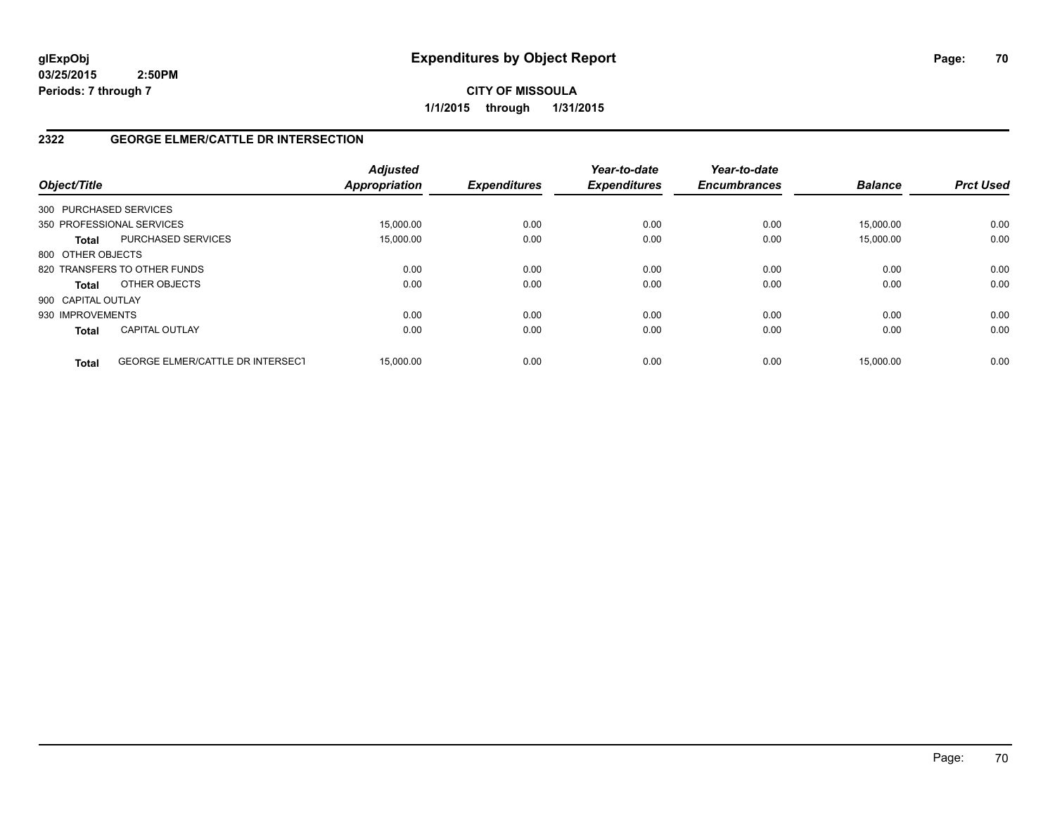**CITY OF MISSOULA 1/1/2015 through 1/31/2015**

# **2322 GEORGE ELMER/CATTLE DR INTERSECTION**

| Object/Title       |                                         | <b>Adjusted</b><br><b>Appropriation</b> | <b>Expenditures</b> | Year-to-date<br><b>Expenditures</b> | Year-to-date<br><b>Encumbrances</b> | <b>Balance</b> | <b>Prct Used</b> |
|--------------------|-----------------------------------------|-----------------------------------------|---------------------|-------------------------------------|-------------------------------------|----------------|------------------|
|                    | 300 PURCHASED SERVICES                  |                                         |                     |                                     |                                     |                |                  |
|                    | 350 PROFESSIONAL SERVICES               | 15.000.00                               | 0.00                | 0.00                                | 0.00                                | 15.000.00      | 0.00             |
| <b>Total</b>       | <b>PURCHASED SERVICES</b>               | 15,000.00                               | 0.00                | 0.00                                | 0.00                                | 15,000.00      | 0.00             |
| 800 OTHER OBJECTS  |                                         |                                         |                     |                                     |                                     |                |                  |
|                    | 820 TRANSFERS TO OTHER FUNDS            | 0.00                                    | 0.00                | 0.00                                | 0.00                                | 0.00           | 0.00             |
| <b>Total</b>       | OTHER OBJECTS                           | 0.00                                    | 0.00                | 0.00                                | 0.00                                | 0.00           | 0.00             |
| 900 CAPITAL OUTLAY |                                         |                                         |                     |                                     |                                     |                |                  |
| 930 IMPROVEMENTS   |                                         | 0.00                                    | 0.00                | 0.00                                | 0.00                                | 0.00           | 0.00             |
| <b>Total</b>       | <b>CAPITAL OUTLAY</b>                   | 0.00                                    | 0.00                | 0.00                                | 0.00                                | 0.00           | 0.00             |
| <b>Total</b>       | <b>GEORGE ELMER/CATTLE DR INTERSECT</b> | 15.000.00                               | 0.00                | 0.00                                | 0.00                                | 15.000.00      | 0.00             |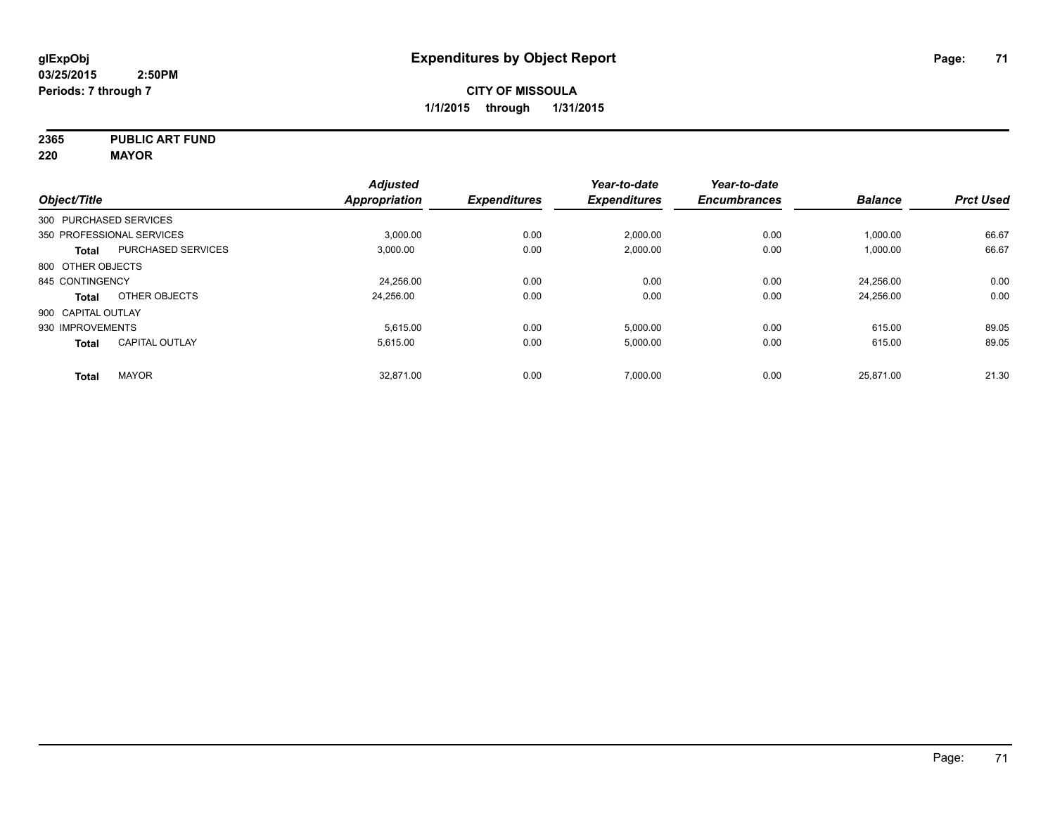**2365 PUBLIC ART FUND**

**220 MAYOR**

|                        |                           | <b>Adjusted</b> |                     | Year-to-date        | Year-to-date        |                |                  |
|------------------------|---------------------------|-----------------|---------------------|---------------------|---------------------|----------------|------------------|
| Object/Title           |                           | Appropriation   | <b>Expenditures</b> | <b>Expenditures</b> | <b>Encumbrances</b> | <b>Balance</b> | <b>Prct Used</b> |
| 300 PURCHASED SERVICES |                           |                 |                     |                     |                     |                |                  |
|                        | 350 PROFESSIONAL SERVICES | 3,000.00        | 0.00                | 2,000.00            | 0.00                | 1,000.00       | 66.67            |
| <b>Total</b>           | <b>PURCHASED SERVICES</b> | 3,000.00        | 0.00                | 2,000.00            | 0.00                | 1,000.00       | 66.67            |
| 800 OTHER OBJECTS      |                           |                 |                     |                     |                     |                |                  |
| 845 CONTINGENCY        |                           | 24.256.00       | 0.00                | 0.00                | 0.00                | 24.256.00      | 0.00             |
| Total                  | OTHER OBJECTS             | 24,256.00       | 0.00                | 0.00                | 0.00                | 24,256.00      | 0.00             |
| 900 CAPITAL OUTLAY     |                           |                 |                     |                     |                     |                |                  |
| 930 IMPROVEMENTS       |                           | 5.615.00        | 0.00                | 5,000.00            | 0.00                | 615.00         | 89.05            |
| <b>Total</b>           | <b>CAPITAL OUTLAY</b>     | 5.615.00        | 0.00                | 5,000.00            | 0.00                | 615.00         | 89.05            |
| <b>Total</b>           | <b>MAYOR</b>              | 32.871.00       | 0.00                | 7,000.00            | 0.00                | 25,871.00      | 21.30            |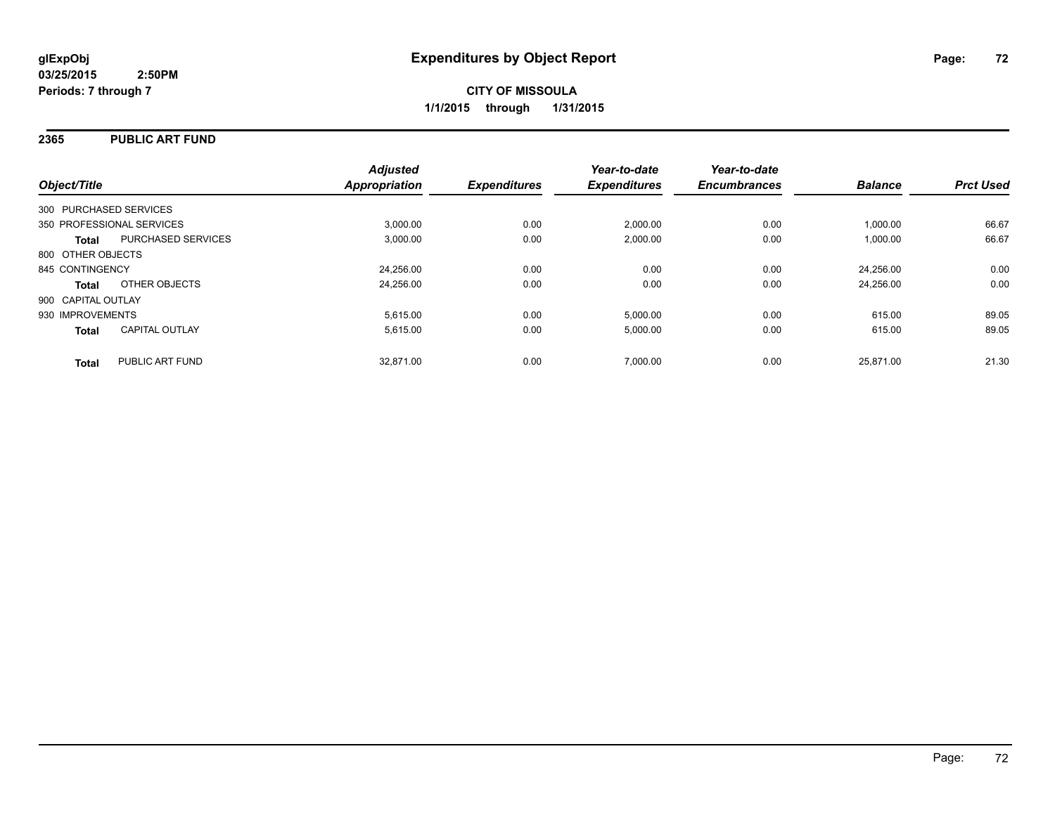#### **2365 PUBLIC ART FUND**

| Object/Title                              | <b>Adjusted</b><br>Appropriation | <b>Expenditures</b> | Year-to-date<br><b>Expenditures</b> | Year-to-date<br><b>Encumbrances</b> | <b>Balance</b> | <b>Prct Used</b> |
|-------------------------------------------|----------------------------------|---------------------|-------------------------------------|-------------------------------------|----------------|------------------|
| 300 PURCHASED SERVICES                    |                                  |                     |                                     |                                     |                |                  |
| 350 PROFESSIONAL SERVICES                 | 3,000.00                         | 0.00                | 2,000.00                            | 0.00                                | 1,000.00       | 66.67            |
| <b>PURCHASED SERVICES</b><br><b>Total</b> | 3.000.00                         | 0.00                | 2.000.00                            | 0.00                                | 1.000.00       | 66.67            |
| 800 OTHER OBJECTS                         |                                  |                     |                                     |                                     |                |                  |
| 845 CONTINGENCY                           | 24,256.00                        | 0.00                | 0.00                                | 0.00                                | 24.256.00      | 0.00             |
| OTHER OBJECTS<br><b>Total</b>             | 24,256.00                        | 0.00                | 0.00                                | 0.00                                | 24.256.00      | 0.00             |
| 900 CAPITAL OUTLAY                        |                                  |                     |                                     |                                     |                |                  |
| 930 IMPROVEMENTS                          | 5.615.00                         | 0.00                | 5,000.00                            | 0.00                                | 615.00         | 89.05            |
| <b>CAPITAL OUTLAY</b><br><b>Total</b>     | 5,615.00                         | 0.00                | 5,000.00                            | 0.00                                | 615.00         | 89.05            |
| PUBLIC ART FUND<br><b>Total</b>           | 32.871.00                        | 0.00                | 7.000.00                            | 0.00                                | 25.871.00      | 21.30            |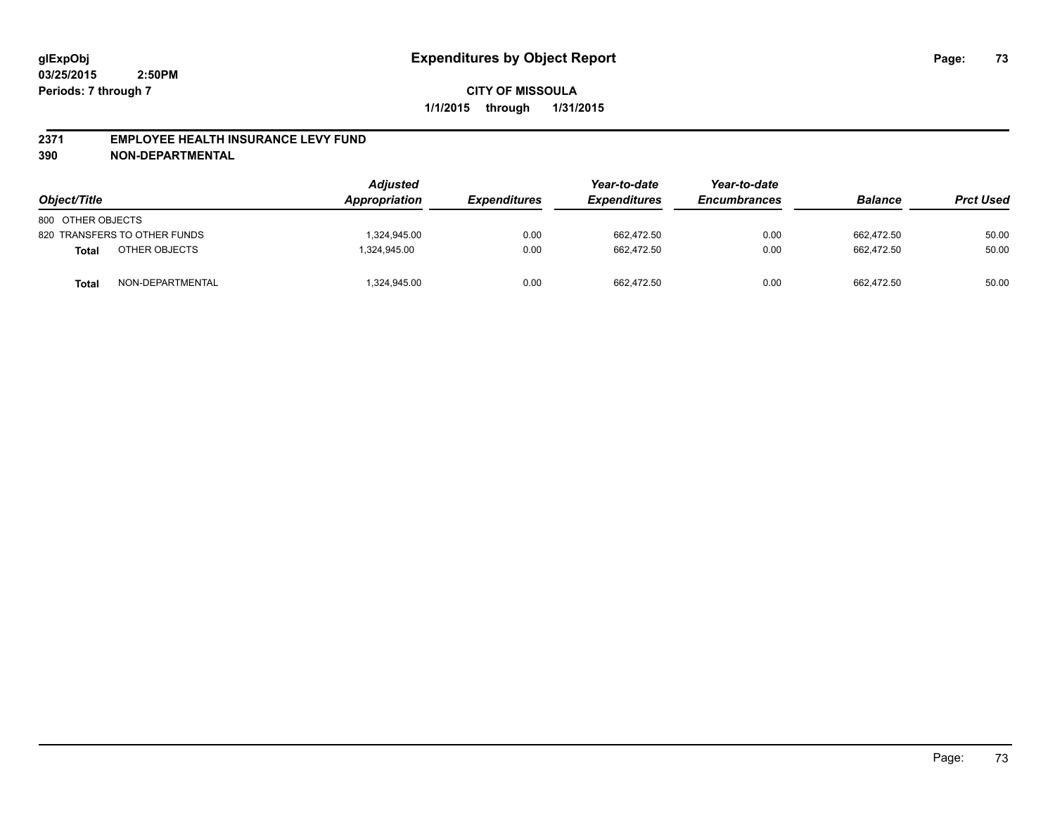#### **2371 EMPLOYEE HEALTH INSURANCE LEVY FUND**

**390 NON-DEPARTMENTAL**

| Object/Title      |                              | <b>Adjusted</b><br>Appropriation | <b>Expenditures</b> | Year-to-date<br><b>Expenditures</b> | Year-to-date<br><b>Encumbrances</b> | <b>Balance</b> | <b>Prct Used</b> |
|-------------------|------------------------------|----------------------------------|---------------------|-------------------------------------|-------------------------------------|----------------|------------------|
| 800 OTHER OBJECTS |                              |                                  |                     |                                     |                                     |                |                  |
|                   | 820 TRANSFERS TO OTHER FUNDS | .324.945.00                      | 0.00                | 662.472.50                          | 0.00                                | 662.472.50     | 50.00            |
| <b>Total</b>      | OTHER OBJECTS                | 1,324,945.00                     | 0.00                | 662.472.50                          | 0.00                                | 662.472.50     | 50.00            |
| Total             | NON-DEPARTMENTAL             | ,324,945.00                      | 0.00                | 662,472.50                          | 0.00                                | 662,472.50     | 50.00            |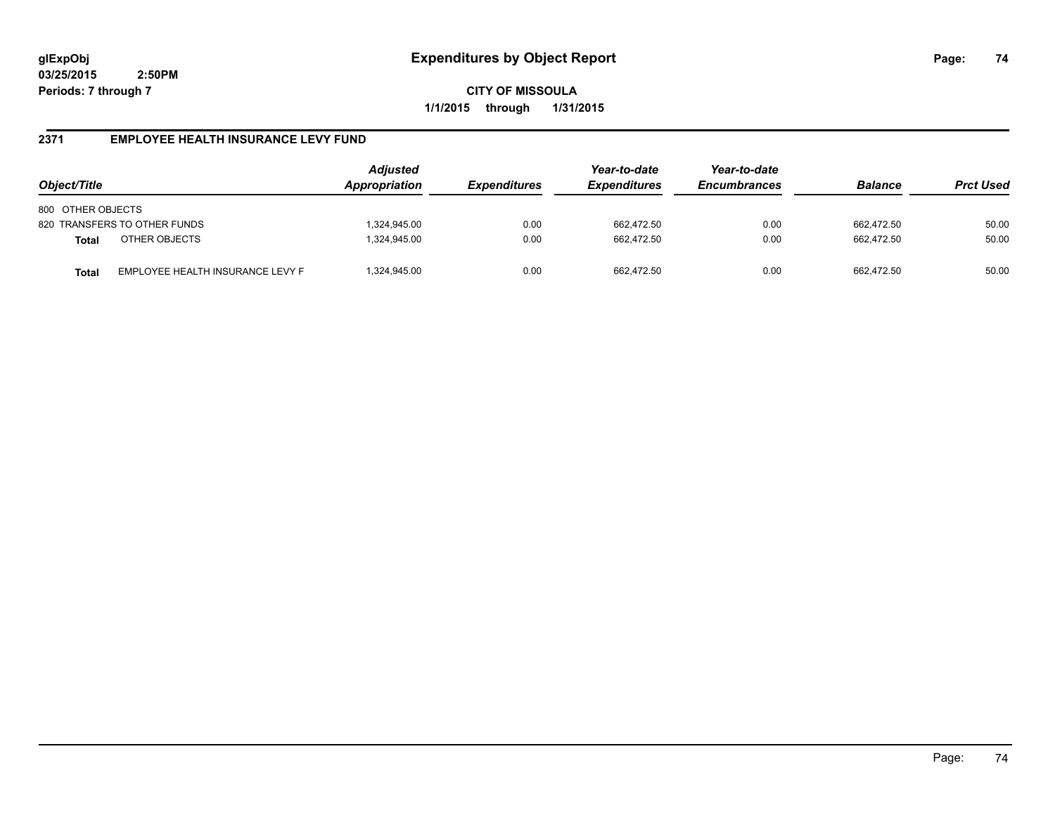**CITY OF MISSOULA 1/1/2015 through 1/31/2015**

# **2371 EMPLOYEE HEALTH INSURANCE LEVY FUND**

| Object/Title                 |                                  | <b>Adjusted</b><br>Appropriation | <i><b>Expenditures</b></i> | Year-to-date<br><b>Expenditures</b> | Year-to-date<br><b>Encumbrances</b> | <b>Balance</b> | <b>Prct Used</b> |
|------------------------------|----------------------------------|----------------------------------|----------------------------|-------------------------------------|-------------------------------------|----------------|------------------|
| 800 OTHER OBJECTS            |                                  |                                  |                            |                                     |                                     |                |                  |
| 820 TRANSFERS TO OTHER FUNDS |                                  | ,324,945.00                      | 0.00                       | 662,472.50                          | 0.00                                | 662.472.50     | 50.00            |
| <b>Total</b>                 | OTHER OBJECTS                    | 324,945.00                       | 0.00                       | 662.472.50                          | 0.00                                | 662.472.50     | 50.00            |
| <b>Total</b>                 | EMPLOYEE HEALTH INSURANCE LEVY F | ,324,945.00                      | 0.00                       | 662.472.50                          | 0.00                                | 662.472.50     | 50.00            |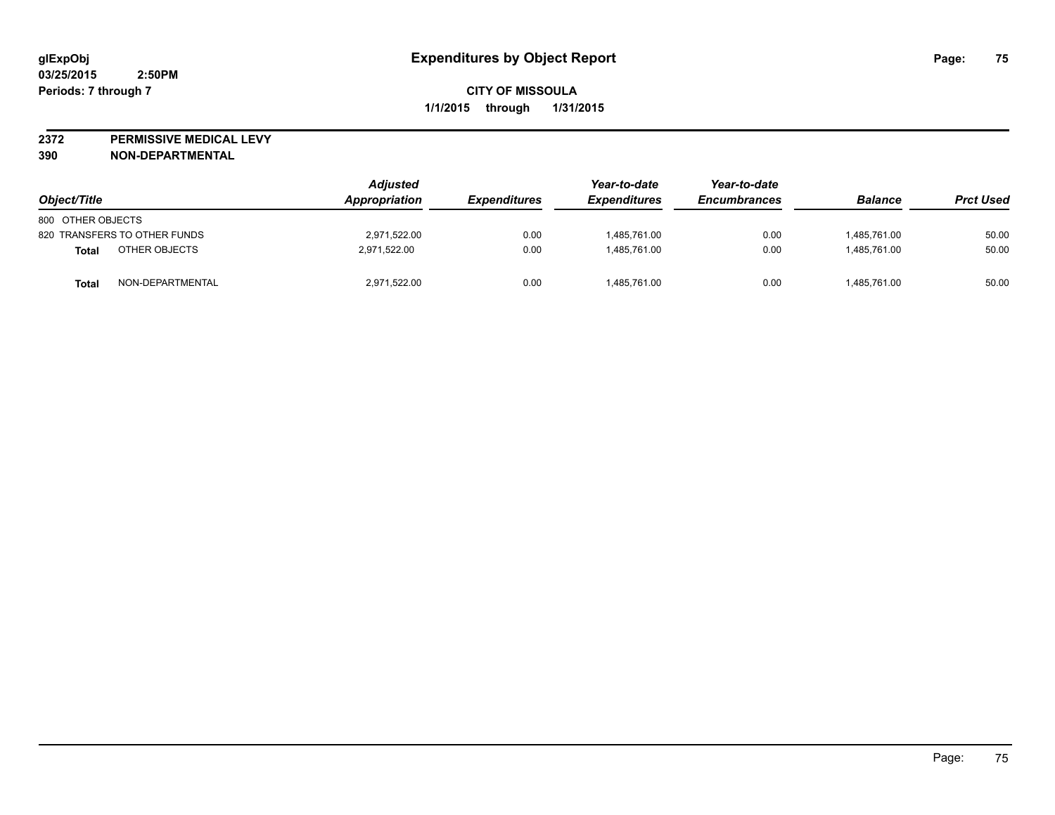**2372 PERMISSIVE MEDICAL LEVY**

**390 NON-DEPARTMENTAL**

| Object/Title                 | <b>Adjusted</b><br>Appropriation | <b>Expenditures</b> | Year-to-date<br><b>Expenditures</b> | Year-to-date<br><b>Encumbrances</b> | <b>Balance</b> | <b>Prct Used</b> |
|------------------------------|----------------------------------|---------------------|-------------------------------------|-------------------------------------|----------------|------------------|
| 800 OTHER OBJECTS            |                                  |                     |                                     |                                     |                |                  |
| 820 TRANSFERS TO OTHER FUNDS | 2,971,522.00                     | 0.00                | 1,485,761.00                        | 0.00                                | 1,485,761.00   | 50.00            |
| OTHER OBJECTS<br>Total       | 2.971.522.00                     | 0.00                | 1,485,761.00                        | 0.00                                | 1.485.761.00   | 50.00            |
| NON-DEPARTMENTAL<br>Total    | 2,971,522.00                     | 0.00                | 1,485,761.00                        | 0.00                                | 1,485,761.00   | 50.00            |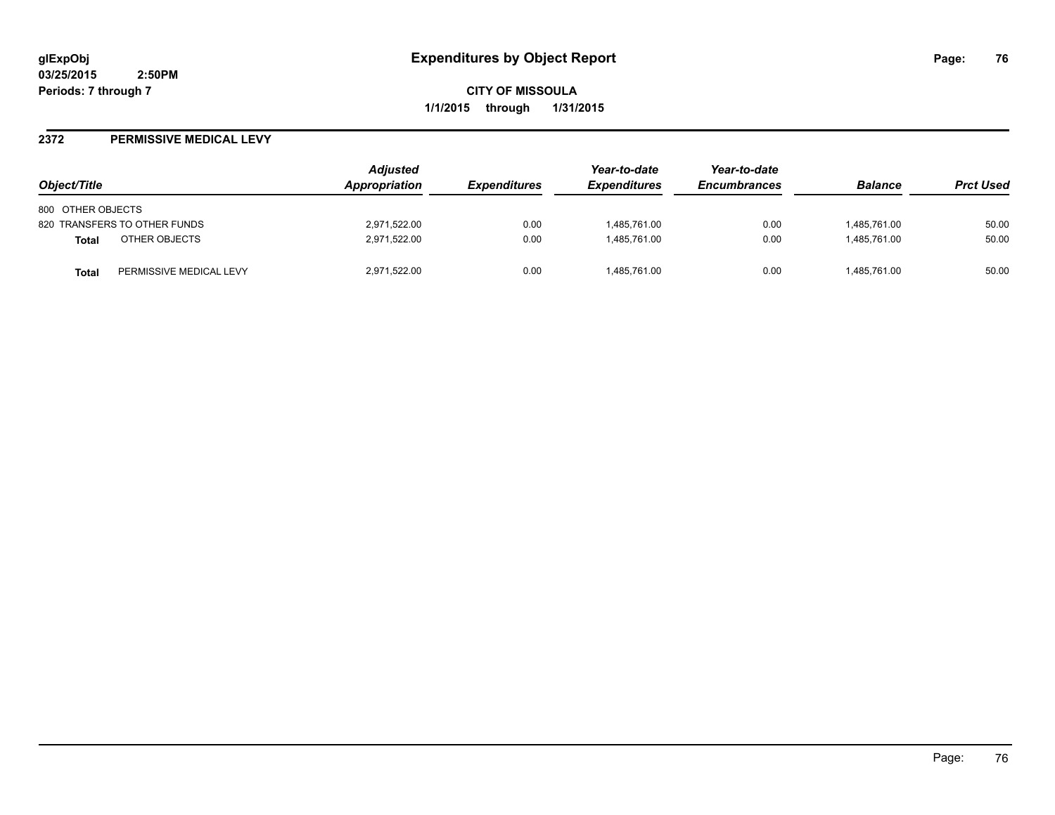**CITY OF MISSOULA 1/1/2015 through 1/31/2015**

#### **2372 PERMISSIVE MEDICAL LEVY**

| Object/Title                            | Adjusted<br>Appropriation | <i><b>Expenditures</b></i> | Year-to-date<br><b>Expenditures</b> | Year-to-date<br><b>Encumbrances</b> | <b>Balance</b> | <b>Prct Used</b> |
|-----------------------------------------|---------------------------|----------------------------|-------------------------------------|-------------------------------------|----------------|------------------|
| 800 OTHER OBJECTS                       |                           |                            |                                     |                                     |                |                  |
| 820 TRANSFERS TO OTHER FUNDS            | 2,971,522.00              | 0.00                       | 1,485,761.00                        | 0.00                                | 1,485,761.00   | 50.00            |
| OTHER OBJECTS<br><b>Total</b>           | 2,971,522.00              | 0.00                       | 1.485.761.00                        | 0.00                                | 1.485.761.00   | 50.00            |
| PERMISSIVE MEDICAL LEVY<br><b>Total</b> | 2,971,522.00              | 0.00                       | 1,485,761.00                        | 0.00                                | 1,485,761.00   | 50.00            |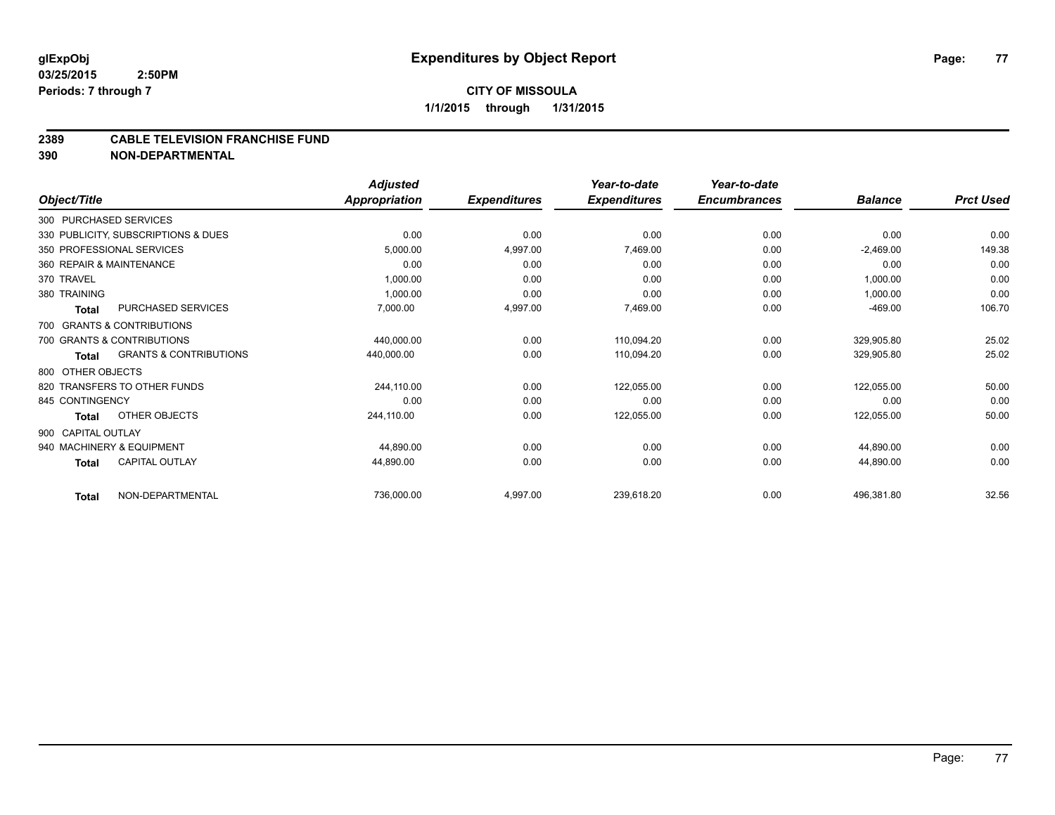#### **2389 CABLE TELEVISION FRANCHISE FUND**

**390 NON-DEPARTMENTAL**

|                          |                                     | <b>Adjusted</b>      |                     | Year-to-date        | Year-to-date        |                |                  |
|--------------------------|-------------------------------------|----------------------|---------------------|---------------------|---------------------|----------------|------------------|
| Object/Title             |                                     | <b>Appropriation</b> | <b>Expenditures</b> | <b>Expenditures</b> | <b>Encumbrances</b> | <b>Balance</b> | <b>Prct Used</b> |
| 300 PURCHASED SERVICES   |                                     |                      |                     |                     |                     |                |                  |
|                          | 330 PUBLICITY, SUBSCRIPTIONS & DUES | 0.00                 | 0.00                | 0.00                | 0.00                | 0.00           | 0.00             |
|                          | 350 PROFESSIONAL SERVICES           | 5,000.00             | 4,997.00            | 7,469.00            | 0.00                | $-2,469.00$    | 149.38           |
| 360 REPAIR & MAINTENANCE |                                     | 0.00                 | 0.00                | 0.00                | 0.00                | 0.00           | 0.00             |
| 370 TRAVEL               |                                     | 1,000.00             | 0.00                | 0.00                | 0.00                | 1,000.00       | 0.00             |
| 380 TRAINING             |                                     | 1,000.00             | 0.00                | 0.00                | 0.00                | 1,000.00       | 0.00             |
| <b>Total</b>             | PURCHASED SERVICES                  | 7,000.00             | 4,997.00            | 7,469.00            | 0.00                | $-469.00$      | 106.70           |
|                          | 700 GRANTS & CONTRIBUTIONS          |                      |                     |                     |                     |                |                  |
|                          | 700 GRANTS & CONTRIBUTIONS          | 440,000.00           | 0.00                | 110,094.20          | 0.00                | 329,905.80     | 25.02            |
| <b>Total</b>             | <b>GRANTS &amp; CONTRIBUTIONS</b>   | 440,000.00           | 0.00                | 110,094.20          | 0.00                | 329,905.80     | 25.02            |
| 800 OTHER OBJECTS        |                                     |                      |                     |                     |                     |                |                  |
|                          | 820 TRANSFERS TO OTHER FUNDS        | 244,110.00           | 0.00                | 122,055.00          | 0.00                | 122,055.00     | 50.00            |
| 845 CONTINGENCY          |                                     | 0.00                 | 0.00                | 0.00                | 0.00                | 0.00           | 0.00             |
| <b>Total</b>             | OTHER OBJECTS                       | 244,110.00           | 0.00                | 122,055.00          | 0.00                | 122,055.00     | 50.00            |
| 900 CAPITAL OUTLAY       |                                     |                      |                     |                     |                     |                |                  |
|                          | 940 MACHINERY & EQUIPMENT           | 44,890.00            | 0.00                | 0.00                | 0.00                | 44,890.00      | 0.00             |
| <b>Total</b>             | <b>CAPITAL OUTLAY</b>               | 44,890.00            | 0.00                | 0.00                | 0.00                | 44,890.00      | 0.00             |
| <b>Total</b>             | NON-DEPARTMENTAL                    | 736,000.00           | 4,997.00            | 239,618.20          | 0.00                | 496,381.80     | 32.56            |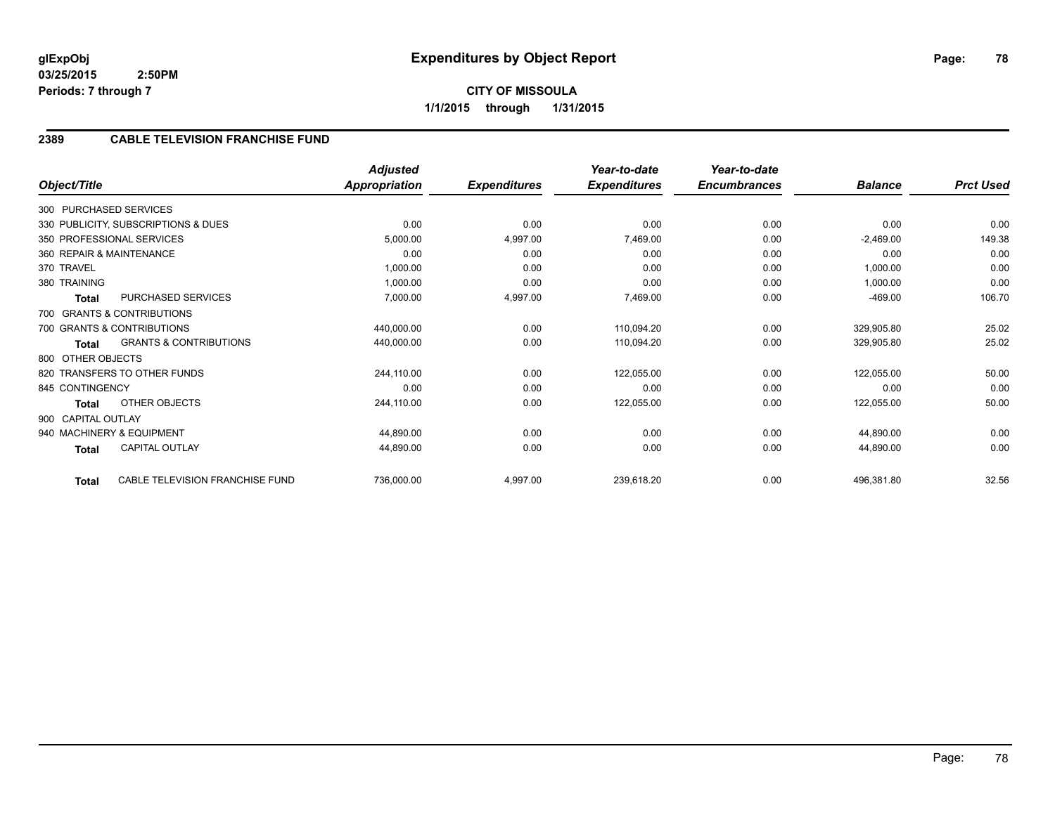# **2389 CABLE TELEVISION FRANCHISE FUND**

| Object/Title       |                                     | <b>Adjusted</b><br><b>Appropriation</b> | <b>Expenditures</b> | Year-to-date<br><b>Expenditures</b> | Year-to-date<br><b>Encumbrances</b> | <b>Balance</b> | <b>Prct Used</b> |
|--------------------|-------------------------------------|-----------------------------------------|---------------------|-------------------------------------|-------------------------------------|----------------|------------------|
|                    |                                     |                                         |                     |                                     |                                     |                |                  |
|                    | 300 PURCHASED SERVICES              |                                         |                     |                                     |                                     |                |                  |
|                    | 330 PUBLICITY, SUBSCRIPTIONS & DUES | 0.00                                    | 0.00                | 0.00                                | 0.00                                | 0.00           | 0.00             |
|                    | 350 PROFESSIONAL SERVICES           | 5,000.00                                | 4,997.00            | 7,469.00                            | 0.00                                | $-2,469.00$    | 149.38           |
|                    | 360 REPAIR & MAINTENANCE            | 0.00                                    | 0.00                | 0.00                                | 0.00                                | 0.00           | 0.00             |
| 370 TRAVEL         |                                     | 1,000.00                                | 0.00                | 0.00                                | 0.00                                | 1,000.00       | 0.00             |
| 380 TRAINING       |                                     | 1,000.00                                | 0.00                | 0.00                                | 0.00                                | 1,000.00       | 0.00             |
| Total              | PURCHASED SERVICES                  | 7,000.00                                | 4,997.00            | 7,469.00                            | 0.00                                | $-469.00$      | 106.70           |
|                    | 700 GRANTS & CONTRIBUTIONS          |                                         |                     |                                     |                                     |                |                  |
|                    | 700 GRANTS & CONTRIBUTIONS          | 440,000.00                              | 0.00                | 110,094.20                          | 0.00                                | 329,905.80     | 25.02            |
| Total              | <b>GRANTS &amp; CONTRIBUTIONS</b>   | 440,000.00                              | 0.00                | 110,094.20                          | 0.00                                | 329,905.80     | 25.02            |
| 800 OTHER OBJECTS  |                                     |                                         |                     |                                     |                                     |                |                  |
|                    | 820 TRANSFERS TO OTHER FUNDS        | 244,110.00                              | 0.00                | 122,055.00                          | 0.00                                | 122,055.00     | 50.00            |
| 845 CONTINGENCY    |                                     | 0.00                                    | 0.00                | 0.00                                | 0.00                                | 0.00           | 0.00             |
| Total              | OTHER OBJECTS                       | 244,110.00                              | 0.00                | 122,055.00                          | 0.00                                | 122,055.00     | 50.00            |
| 900 CAPITAL OUTLAY |                                     |                                         |                     |                                     |                                     |                |                  |
|                    | 940 MACHINERY & EQUIPMENT           | 44,890.00                               | 0.00                | 0.00                                | 0.00                                | 44,890.00      | 0.00             |
| Total              | <b>CAPITAL OUTLAY</b>               | 44,890.00                               | 0.00                | 0.00                                | 0.00                                | 44,890.00      | 0.00             |
| <b>Total</b>       | CABLE TELEVISION FRANCHISE FUND     | 736,000.00                              | 4,997.00            | 239,618.20                          | 0.00                                | 496,381.80     | 32.56            |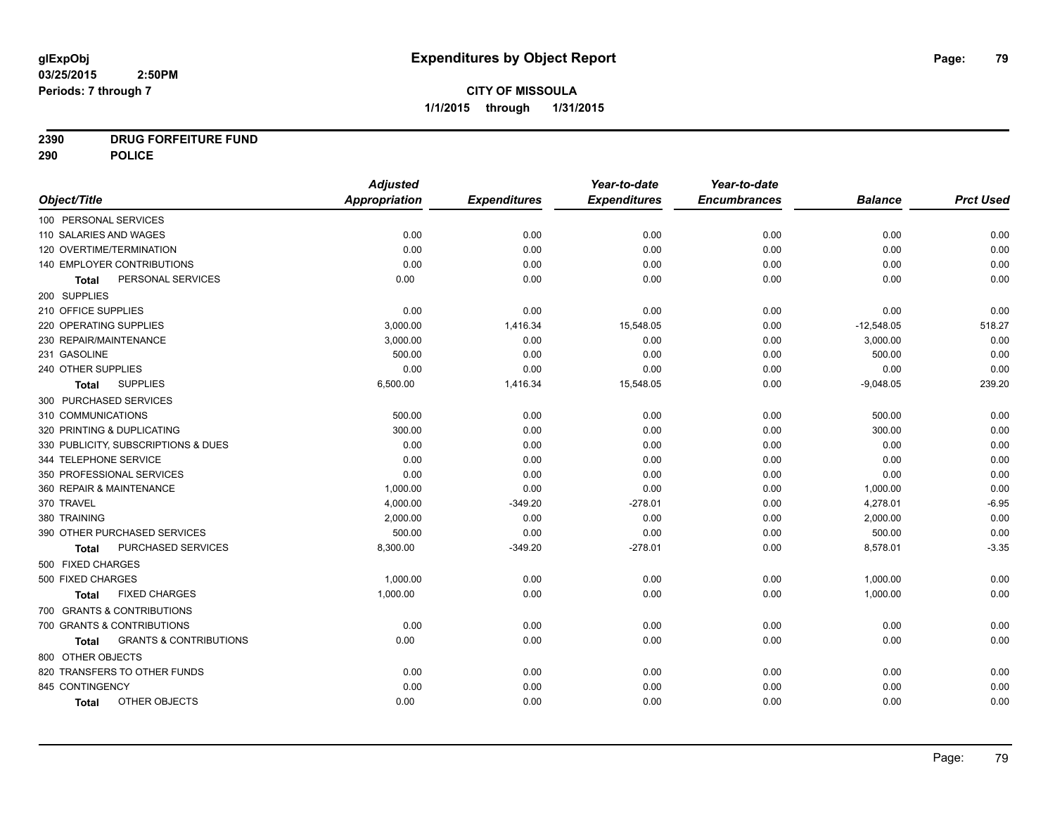# **2390 DRUG FORFEITURE FUND**

**290 POLICE**

|                                            | <b>Adjusted</b> |                     | Year-to-date        | Year-to-date        |                |                  |
|--------------------------------------------|-----------------|---------------------|---------------------|---------------------|----------------|------------------|
| Object/Title                               | Appropriation   | <b>Expenditures</b> | <b>Expenditures</b> | <b>Encumbrances</b> | <b>Balance</b> | <b>Prct Used</b> |
| 100 PERSONAL SERVICES                      |                 |                     |                     |                     |                |                  |
| 110 SALARIES AND WAGES                     | 0.00            | 0.00                | 0.00                | 0.00                | 0.00           | 0.00             |
| 120 OVERTIME/TERMINATION                   | 0.00            | 0.00                | 0.00                | 0.00                | 0.00           | 0.00             |
| 140 EMPLOYER CONTRIBUTIONS                 | 0.00            | 0.00                | 0.00                | 0.00                | 0.00           | 0.00             |
| PERSONAL SERVICES<br><b>Total</b>          | 0.00            | 0.00                | 0.00                | 0.00                | 0.00           | 0.00             |
| 200 SUPPLIES                               |                 |                     |                     |                     |                |                  |
| 210 OFFICE SUPPLIES                        | 0.00            | 0.00                | 0.00                | 0.00                | 0.00           | 0.00             |
| 220 OPERATING SUPPLIES                     | 3,000.00        | 1,416.34            | 15,548.05           | 0.00                | $-12,548.05$   | 518.27           |
| 230 REPAIR/MAINTENANCE                     | 3,000.00        | 0.00                | 0.00                | 0.00                | 3,000.00       | 0.00             |
| 231 GASOLINE                               | 500.00          | 0.00                | 0.00                | 0.00                | 500.00         | 0.00             |
| 240 OTHER SUPPLIES                         | 0.00            | 0.00                | 0.00                | 0.00                | 0.00           | 0.00             |
| <b>SUPPLIES</b><br><b>Total</b>            | 6,500.00        | 1,416.34            | 15,548.05           | 0.00                | $-9,048.05$    | 239.20           |
| 300 PURCHASED SERVICES                     |                 |                     |                     |                     |                |                  |
| 310 COMMUNICATIONS                         | 500.00          | 0.00                | 0.00                | 0.00                | 500.00         | 0.00             |
| 320 PRINTING & DUPLICATING                 | 300.00          | 0.00                | 0.00                | 0.00                | 300.00         | 0.00             |
| 330 PUBLICITY, SUBSCRIPTIONS & DUES        | 0.00            | 0.00                | 0.00                | 0.00                | 0.00           | 0.00             |
| 344 TELEPHONE SERVICE                      | 0.00            | 0.00                | 0.00                | 0.00                | 0.00           | 0.00             |
| 350 PROFESSIONAL SERVICES                  | 0.00            | 0.00                | 0.00                | 0.00                | 0.00           | 0.00             |
| 360 REPAIR & MAINTENANCE                   | 1,000.00        | 0.00                | 0.00                | 0.00                | 1,000.00       | 0.00             |
| 370 TRAVEL                                 | 4,000.00        | $-349.20$           | $-278.01$           | 0.00                | 4,278.01       | $-6.95$          |
| 380 TRAINING                               | 2,000.00        | 0.00                | 0.00                | 0.00                | 2,000.00       | 0.00             |
| 390 OTHER PURCHASED SERVICES               | 500.00          | 0.00                | 0.00                | 0.00                | 500.00         | 0.00             |
| PURCHASED SERVICES<br><b>Total</b>         | 8,300.00        | $-349.20$           | $-278.01$           | 0.00                | 8,578.01       | $-3.35$          |
| 500 FIXED CHARGES                          |                 |                     |                     |                     |                |                  |
| 500 FIXED CHARGES                          | 1,000.00        | 0.00                | 0.00                | 0.00                | 1,000.00       | 0.00             |
| <b>FIXED CHARGES</b><br>Total              | 1,000.00        | 0.00                | 0.00                | 0.00                | 1,000.00       | 0.00             |
| 700 GRANTS & CONTRIBUTIONS                 |                 |                     |                     |                     |                |                  |
| 700 GRANTS & CONTRIBUTIONS                 | 0.00            | 0.00                | 0.00                | 0.00                | 0.00           | 0.00             |
| <b>GRANTS &amp; CONTRIBUTIONS</b><br>Total | 0.00            | 0.00                | 0.00                | 0.00                | 0.00           | 0.00             |
| 800 OTHER OBJECTS                          |                 |                     |                     |                     |                |                  |
| 820 TRANSFERS TO OTHER FUNDS               | 0.00            | 0.00                | 0.00                | 0.00                | 0.00           | 0.00             |
| 845 CONTINGENCY                            | 0.00            | 0.00                | 0.00                | 0.00                | 0.00           | 0.00             |
| OTHER OBJECTS<br><b>Total</b>              | 0.00            | 0.00                | 0.00                | 0.00                | 0.00           | 0.00             |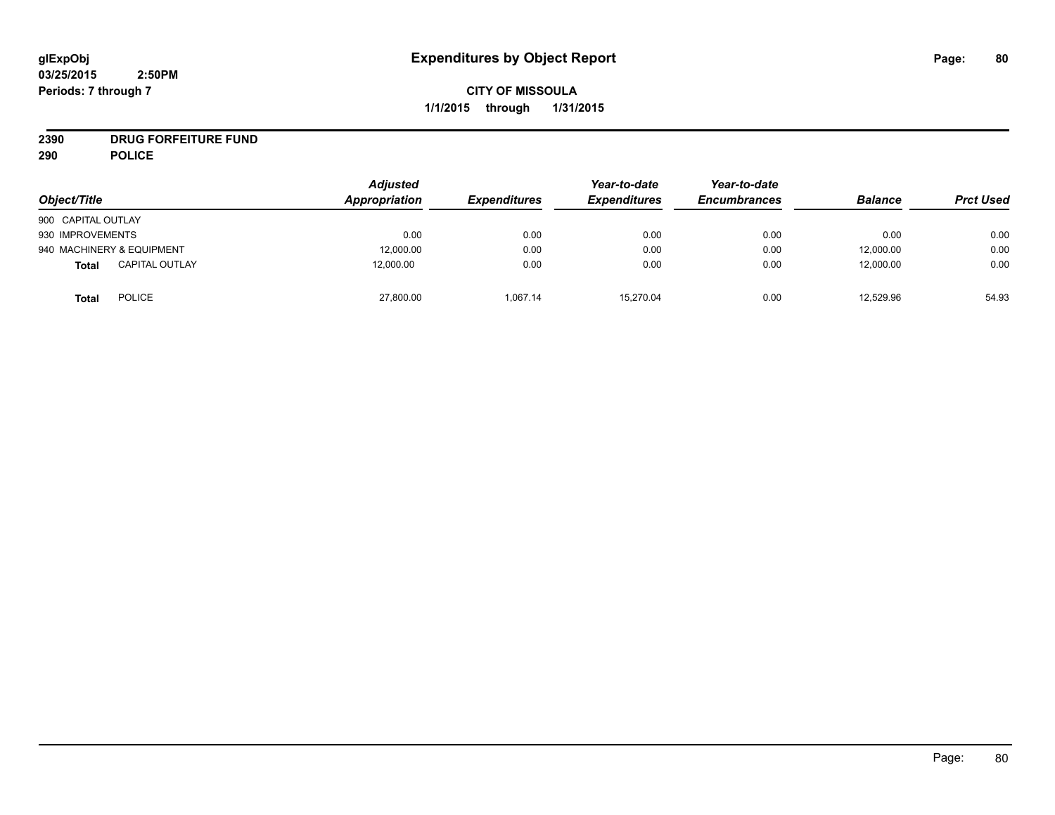**2390 DRUG FORFEITURE FUND**

**290 POLICE**

| Object/Title                          | <b>Adjusted</b><br>Appropriation | <i><b>Expenditures</b></i> | Year-to-date<br><b>Expenditures</b> | Year-to-date<br><b>Encumbrances</b> | <b>Balance</b> | <b>Prct Used</b> |
|---------------------------------------|----------------------------------|----------------------------|-------------------------------------|-------------------------------------|----------------|------------------|
| 900 CAPITAL OUTLAY                    |                                  |                            |                                     |                                     |                |                  |
| 930 IMPROVEMENTS                      | 0.00                             | 0.00                       | 0.00                                | 0.00                                | 0.00           | 0.00             |
| 940 MACHINERY & EQUIPMENT             | 12,000.00                        | 0.00                       | 0.00                                | 0.00                                | 12,000.00      | 0.00             |
| <b>CAPITAL OUTLAY</b><br><b>Total</b> | 12,000.00                        | 0.00                       | 0.00                                | 0.00                                | 12,000.00      | 0.00             |
| POLICE<br><b>Total</b>                | 27,800.00                        | 1.067.14                   | 15.270.04                           | 0.00                                | 12,529.96      | 54.93            |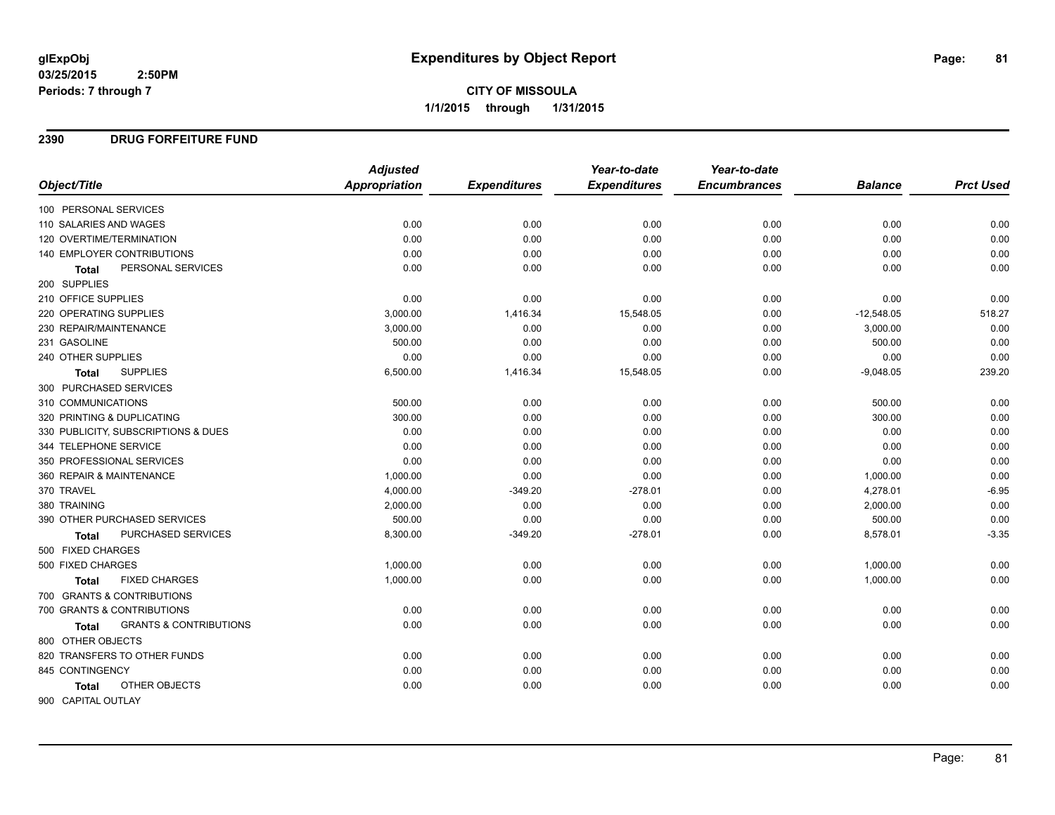**1/1/2015 through 1/31/2015**

#### **2390 DRUG FORFEITURE FUND**

|                                            | <b>Adjusted</b>      |                     | Year-to-date        | Year-to-date        |                |                  |
|--------------------------------------------|----------------------|---------------------|---------------------|---------------------|----------------|------------------|
| Object/Title                               | <b>Appropriation</b> | <b>Expenditures</b> | <b>Expenditures</b> | <b>Encumbrances</b> | <b>Balance</b> | <b>Prct Used</b> |
| 100 PERSONAL SERVICES                      |                      |                     |                     |                     |                |                  |
| 110 SALARIES AND WAGES                     | 0.00                 | 0.00                | 0.00                | 0.00                | 0.00           | 0.00             |
| 120 OVERTIME/TERMINATION                   | 0.00                 | 0.00                | 0.00                | 0.00                | 0.00           | 0.00             |
| 140 EMPLOYER CONTRIBUTIONS                 | 0.00                 | 0.00                | 0.00                | 0.00                | 0.00           | 0.00             |
| PERSONAL SERVICES<br><b>Total</b>          | 0.00                 | 0.00                | 0.00                | 0.00                | 0.00           | 0.00             |
| 200 SUPPLIES                               |                      |                     |                     |                     |                |                  |
| 210 OFFICE SUPPLIES                        | 0.00                 | 0.00                | 0.00                | 0.00                | 0.00           | 0.00             |
| 220 OPERATING SUPPLIES                     | 3,000.00             | 1,416.34            | 15,548.05           | 0.00                | $-12,548.05$   | 518.27           |
| 230 REPAIR/MAINTENANCE                     | 3,000.00             | 0.00                | 0.00                | 0.00                | 3,000.00       | 0.00             |
| 231 GASOLINE                               | 500.00               | 0.00                | 0.00                | 0.00                | 500.00         | 0.00             |
| 240 OTHER SUPPLIES                         | 0.00                 | 0.00                | 0.00                | 0.00                | 0.00           | 0.00             |
| <b>SUPPLIES</b><br><b>Total</b>            | 6,500.00             | 1,416.34            | 15,548.05           | 0.00                | $-9,048.05$    | 239.20           |
| 300 PURCHASED SERVICES                     |                      |                     |                     |                     |                |                  |
| 310 COMMUNICATIONS                         | 500.00               | 0.00                | 0.00                | 0.00                | 500.00         | 0.00             |
| 320 PRINTING & DUPLICATING                 | 300.00               | 0.00                | 0.00                | 0.00                | 300.00         | 0.00             |
| 330 PUBLICITY, SUBSCRIPTIONS & DUES        | 0.00                 | 0.00                | 0.00                | 0.00                | 0.00           | 0.00             |
| 344 TELEPHONE SERVICE                      | 0.00                 | 0.00                | 0.00                | 0.00                | 0.00           | 0.00             |
| 350 PROFESSIONAL SERVICES                  | 0.00                 | 0.00                | 0.00                | 0.00                | 0.00           | 0.00             |
| 360 REPAIR & MAINTENANCE                   | 1,000.00             | 0.00                | 0.00                | 0.00                | 1,000.00       | 0.00             |
| 370 TRAVEL                                 | 4,000.00             | $-349.20$           | $-278.01$           | 0.00                | 4,278.01       | $-6.95$          |
| 380 TRAINING                               | 2,000.00             | 0.00                | 0.00                | 0.00                | 2,000.00       | 0.00             |
| 390 OTHER PURCHASED SERVICES               | 500.00               | 0.00                | 0.00                | 0.00                | 500.00         | 0.00             |
| <b>PURCHASED SERVICES</b><br><b>Total</b>  | 8,300.00             | $-349.20$           | $-278.01$           | 0.00                | 8,578.01       | $-3.35$          |
| 500 FIXED CHARGES                          |                      |                     |                     |                     |                |                  |
| 500 FIXED CHARGES                          | 1,000.00             | 0.00                | 0.00                | 0.00                | 1,000.00       | 0.00             |
| <b>FIXED CHARGES</b><br>Total              | 1,000.00             | 0.00                | 0.00                | 0.00                | 1,000.00       | 0.00             |
| 700 GRANTS & CONTRIBUTIONS                 |                      |                     |                     |                     |                |                  |
| 700 GRANTS & CONTRIBUTIONS                 | 0.00                 | 0.00                | 0.00                | 0.00                | 0.00           | 0.00             |
| <b>GRANTS &amp; CONTRIBUTIONS</b><br>Total | 0.00                 | 0.00                | 0.00                | 0.00                | 0.00           | 0.00             |
| 800 OTHER OBJECTS                          |                      |                     |                     |                     |                |                  |
| 820 TRANSFERS TO OTHER FUNDS               | 0.00                 | 0.00                | 0.00                | 0.00                | 0.00           | 0.00             |
| 845 CONTINGENCY                            | 0.00                 | 0.00                | 0.00                | 0.00                | 0.00           | 0.00             |
| OTHER OBJECTS<br><b>Total</b>              | 0.00                 | 0.00                | 0.00                | 0.00                | 0.00           | 0.00             |
| 900 CAPITAL OUTLAY                         |                      |                     |                     |                     |                |                  |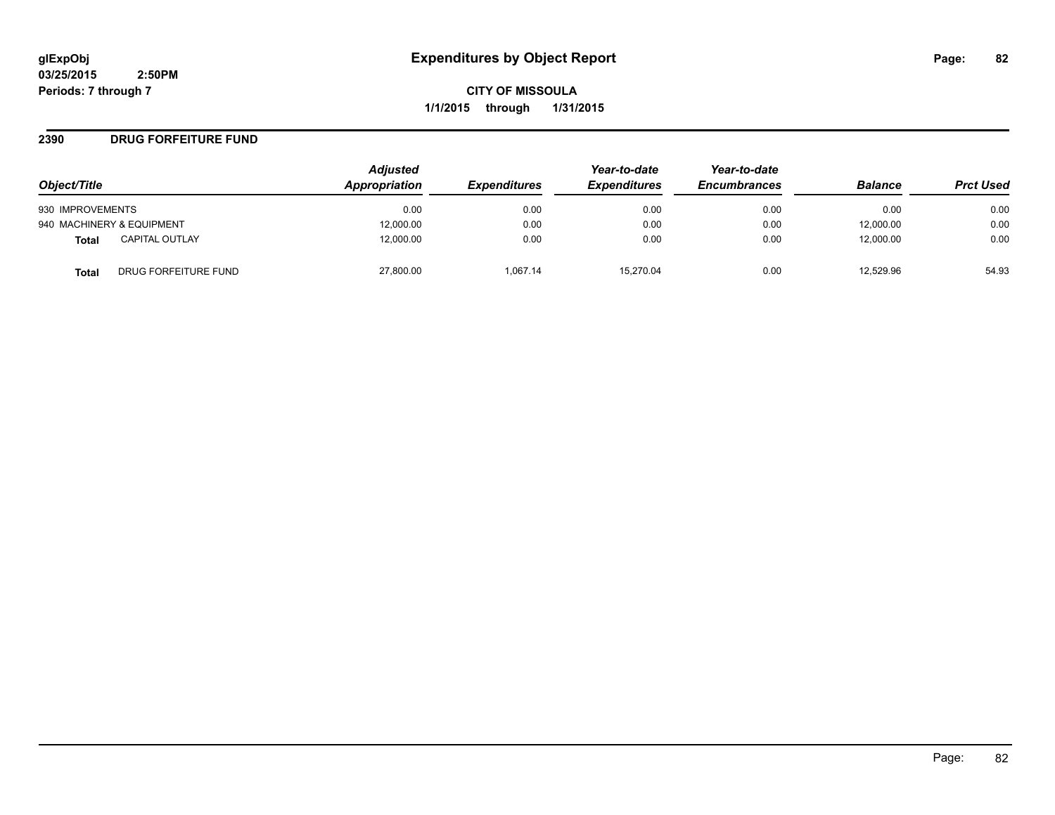**CITY OF MISSOULA 1/1/2015 through 1/31/2015**

#### **2390 DRUG FORFEITURE FUND**

|                                      | <b>Adjusted</b><br>Appropriation |                     | Year-to-date        | Year-to-date<br><b>Encumbrances</b> | <b>Balance</b> |                  |
|--------------------------------------|----------------------------------|---------------------|---------------------|-------------------------------------|----------------|------------------|
| Object/Title                         |                                  | <b>Expenditures</b> | <b>Expenditures</b> |                                     |                | <b>Prct Used</b> |
| 930 IMPROVEMENTS                     | 0.00                             | 0.00                | 0.00                | 0.00                                | 0.00           | 0.00             |
| 940 MACHINERY & EQUIPMENT            | 12,000.00                        | 0.00                | 0.00                | 0.00                                | 12,000.00      | 0.00             |
| <b>CAPITAL OUTLAY</b><br>Total       | 12,000.00                        | 0.00                | 0.00                | 0.00                                | 12,000.00      | 0.00             |
| DRUG FORFEITURE FUND<br><b>Total</b> | 27,800.00                        | 1.067.14            | 15.270.04           | 0.00                                | 12.529.96      | 54.93            |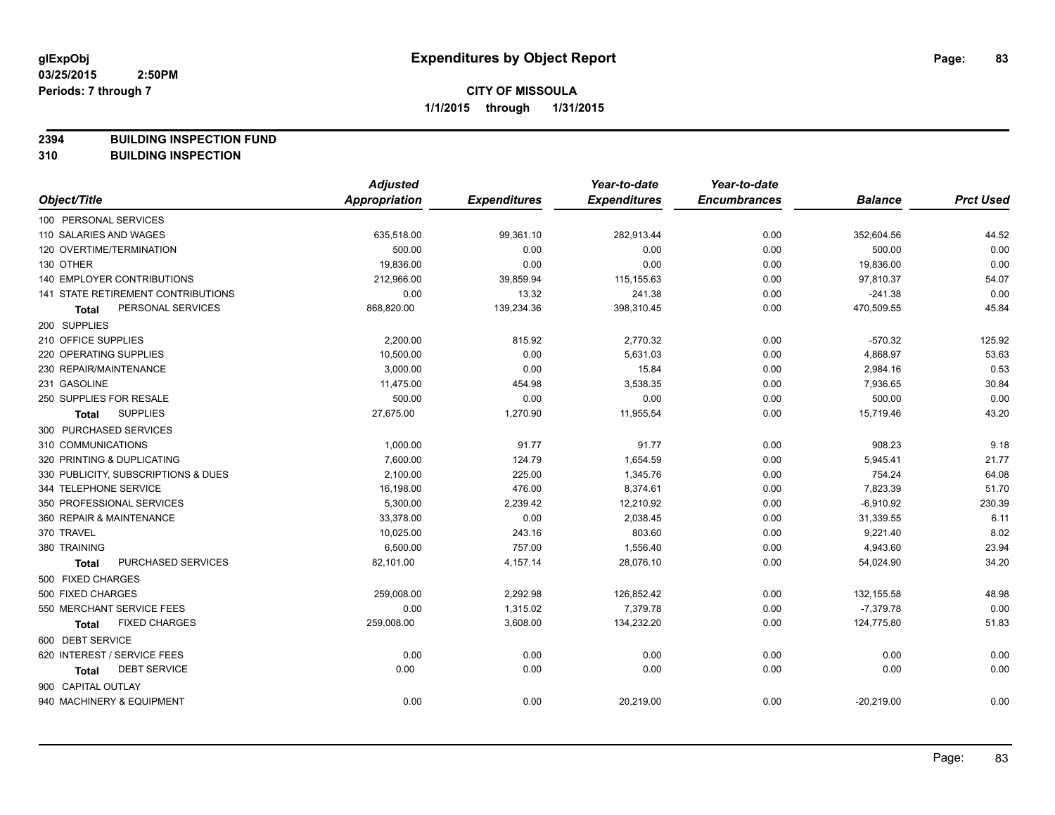**2394 BUILDING INSPECTION FUND**

**310 BUILDING INSPECTION**

|                                           | <b>Adjusted</b>      |                     | Year-to-date        | Year-to-date        |                |                  |
|-------------------------------------------|----------------------|---------------------|---------------------|---------------------|----------------|------------------|
| Object/Title                              | <b>Appropriation</b> | <b>Expenditures</b> | <b>Expenditures</b> | <b>Encumbrances</b> | <b>Balance</b> | <b>Prct Used</b> |
| 100 PERSONAL SERVICES                     |                      |                     |                     |                     |                |                  |
| 110 SALARIES AND WAGES                    | 635,518.00           | 99,361.10           | 282,913.44          | 0.00                | 352,604.56     | 44.52            |
| 120 OVERTIME/TERMINATION                  | 500.00               | 0.00                | 0.00                | 0.00                | 500.00         | 0.00             |
| 130 OTHER                                 | 19,836.00            | 0.00                | 0.00                | 0.00                | 19,836.00      | 0.00             |
| 140 EMPLOYER CONTRIBUTIONS                | 212,966.00           | 39,859.94           | 115,155.63          | 0.00                | 97,810.37      | 54.07            |
| <b>141 STATE RETIREMENT CONTRIBUTIONS</b> | 0.00                 | 13.32               | 241.38              | 0.00                | $-241.38$      | 0.00             |
| PERSONAL SERVICES<br>Total                | 868,820.00           | 139,234.36          | 398,310.45          | 0.00                | 470,509.55     | 45.84            |
| 200 SUPPLIES                              |                      |                     |                     |                     |                |                  |
| 210 OFFICE SUPPLIES                       | 2,200.00             | 815.92              | 2,770.32            | 0.00                | $-570.32$      | 125.92           |
| 220 OPERATING SUPPLIES                    | 10,500.00            | 0.00                | 5,631.03            | 0.00                | 4,868.97       | 53.63            |
| 230 REPAIR/MAINTENANCE                    | 3,000.00             | 0.00                | 15.84               | 0.00                | 2,984.16       | 0.53             |
| 231 GASOLINE                              | 11,475.00            | 454.98              | 3,538.35            | 0.00                | 7,936.65       | 30.84            |
| 250 SUPPLIES FOR RESALE                   | 500.00               | 0.00                | 0.00                | 0.00                | 500.00         | 0.00             |
| <b>SUPPLIES</b><br>Total                  | 27,675.00            | 1,270.90            | 11,955.54           | 0.00                | 15,719.46      | 43.20            |
| 300 PURCHASED SERVICES                    |                      |                     |                     |                     |                |                  |
| 310 COMMUNICATIONS                        | 1,000.00             | 91.77               | 91.77               | 0.00                | 908.23         | 9.18             |
| 320 PRINTING & DUPLICATING                | 7,600.00             | 124.79              | 1,654.59            | 0.00                | 5,945.41       | 21.77            |
| 330 PUBLICITY, SUBSCRIPTIONS & DUES       | 2,100.00             | 225.00              | 1,345.76            | 0.00                | 754.24         | 64.08            |
| 344 TELEPHONE SERVICE                     | 16,198.00            | 476.00              | 8,374.61            | 0.00                | 7,823.39       | 51.70            |
| 350 PROFESSIONAL SERVICES                 | 5,300.00             | 2,239.42            | 12,210.92           | 0.00                | $-6,910.92$    | 230.39           |
| 360 REPAIR & MAINTENANCE                  | 33,378.00            | 0.00                | 2,038.45            | 0.00                | 31,339.55      | 6.11             |
| 370 TRAVEL                                | 10,025.00            | 243.16              | 803.60              | 0.00                | 9,221.40       | 8.02             |
| 380 TRAINING                              | 6,500.00             | 757.00              | 1,556.40            | 0.00                | 4,943.60       | 23.94            |
| PURCHASED SERVICES<br><b>Total</b>        | 82,101.00            | 4,157.14            | 28,076.10           | 0.00                | 54,024.90      | 34.20            |
| 500 FIXED CHARGES                         |                      |                     |                     |                     |                |                  |
| 500 FIXED CHARGES                         | 259,008.00           | 2,292.98            | 126,852.42          | 0.00                | 132, 155.58    | 48.98            |
| 550 MERCHANT SERVICE FEES                 | 0.00                 | 1,315.02            | 7,379.78            | 0.00                | $-7,379.78$    | 0.00             |
| <b>FIXED CHARGES</b><br><b>Total</b>      | 259,008.00           | 3,608.00            | 134,232.20          | 0.00                | 124,775.80     | 51.83            |
| 600 DEBT SERVICE                          |                      |                     |                     |                     |                |                  |
| 620 INTEREST / SERVICE FEES               | 0.00                 | 0.00                | 0.00                | 0.00                | 0.00           | 0.00             |
| <b>DEBT SERVICE</b><br><b>Total</b>       | 0.00                 | 0.00                | 0.00                | 0.00                | 0.00           | 0.00             |
| 900 CAPITAL OUTLAY                        |                      |                     |                     |                     |                |                  |
| 940 MACHINERY & EQUIPMENT                 | 0.00                 | 0.00                | 20,219.00           | 0.00                | $-20,219.00$   | 0.00             |
|                                           |                      |                     |                     |                     |                |                  |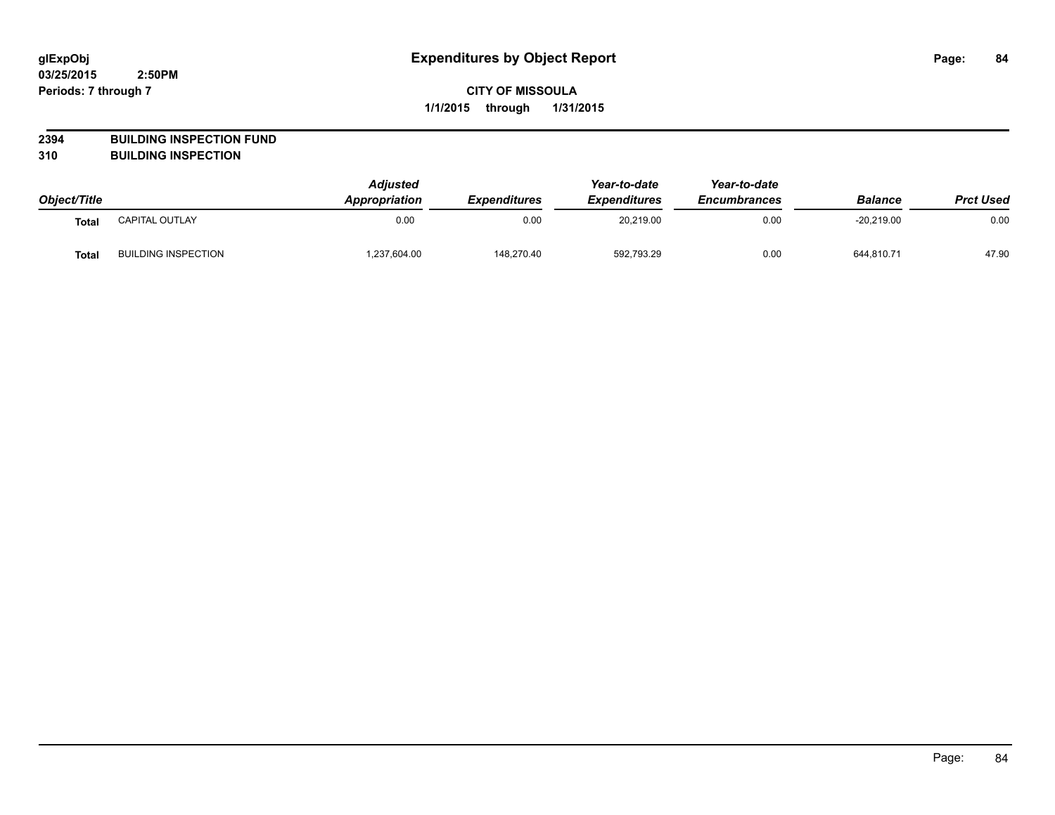# **2394 BUILDING INSPECTION FUND**

**310 BUILDING INSPECTION**

|              |                            | <b>Adjusted</b>      |                            | Year-to-date<br><b>Expenditures</b> | Year-to-date<br><b>Encumbrances</b> |                | <b>Prct Used</b> |
|--------------|----------------------------|----------------------|----------------------------|-------------------------------------|-------------------------------------|----------------|------------------|
| Object/Title |                            | <b>Appropriation</b> | <i><b>Expenditures</b></i> |                                     |                                     | <b>Balance</b> |                  |
| Tota.        | CAPITAL OUTLAY             | 0.00                 | 0.00                       | 20,219.00                           | 0.00                                | $-20,219.00$   | 0.00             |
| <b>Total</b> | <b>BUILDING INSPECTION</b> | .237,604.00          | 148.270.40                 | 592,793.29                          | 0.00                                | 644,810.71     | 47.90            |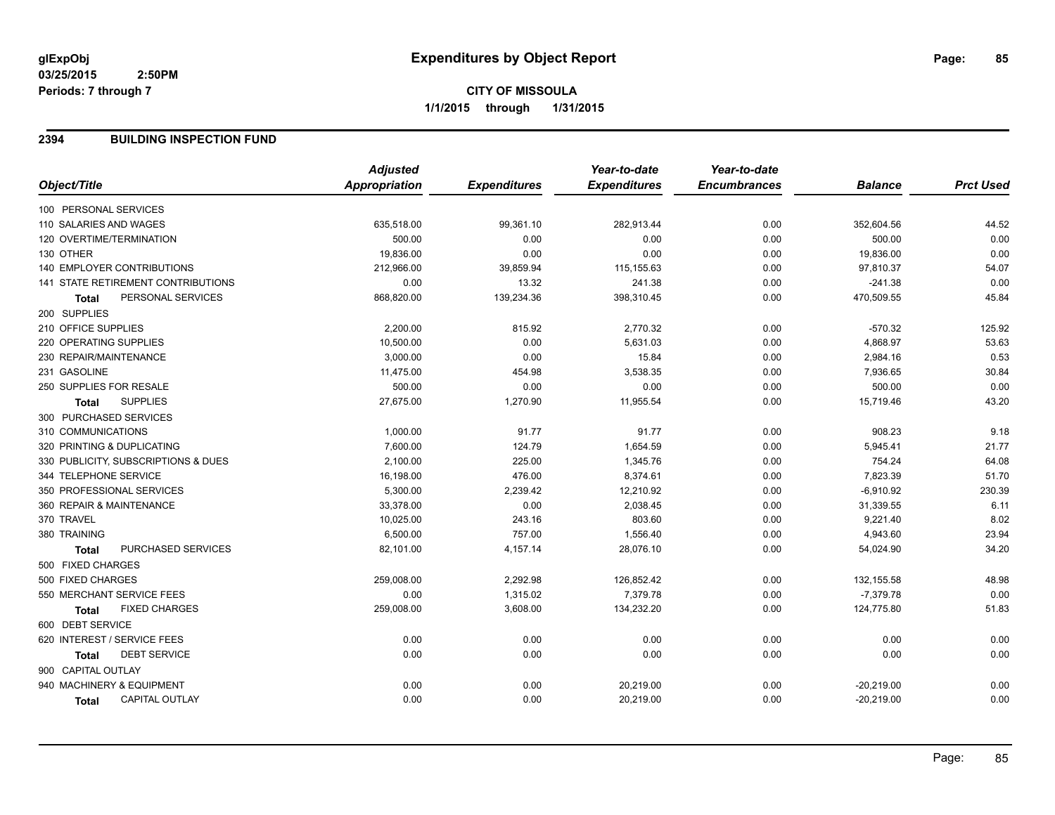#### **2394 BUILDING INSPECTION FUND**

|                                           | <b>Adjusted</b> |                     | Year-to-date        | Year-to-date        |                |                  |
|-------------------------------------------|-----------------|---------------------|---------------------|---------------------|----------------|------------------|
| Object/Title                              | Appropriation   | <b>Expenditures</b> | <b>Expenditures</b> | <b>Encumbrances</b> | <b>Balance</b> | <b>Prct Used</b> |
| 100 PERSONAL SERVICES                     |                 |                     |                     |                     |                |                  |
| 110 SALARIES AND WAGES                    | 635,518.00      | 99,361.10           | 282,913.44          | 0.00                | 352,604.56     | 44.52            |
| 120 OVERTIME/TERMINATION                  | 500.00          | 0.00                | 0.00                | 0.00                | 500.00         | 0.00             |
| 130 OTHER                                 | 19,836.00       | 0.00                | 0.00                | 0.00                | 19,836.00      | 0.00             |
| 140 EMPLOYER CONTRIBUTIONS                | 212,966.00      | 39,859.94           | 115, 155.63         | 0.00                | 97,810.37      | 54.07            |
| <b>141 STATE RETIREMENT CONTRIBUTIONS</b> | 0.00            | 13.32               | 241.38              | 0.00                | $-241.38$      | 0.00             |
| PERSONAL SERVICES<br>Total                | 868,820.00      | 139,234.36          | 398,310.45          | 0.00                | 470,509.55     | 45.84            |
| 200 SUPPLIES                              |                 |                     |                     |                     |                |                  |
| 210 OFFICE SUPPLIES                       | 2,200.00        | 815.92              | 2,770.32            | 0.00                | $-570.32$      | 125.92           |
| 220 OPERATING SUPPLIES                    | 10,500.00       | 0.00                | 5,631.03            | 0.00                | 4,868.97       | 53.63            |
| 230 REPAIR/MAINTENANCE                    | 3,000.00        | 0.00                | 15.84               | 0.00                | 2,984.16       | 0.53             |
| 231 GASOLINE                              | 11,475.00       | 454.98              | 3,538.35            | 0.00                | 7,936.65       | 30.84            |
| 250 SUPPLIES FOR RESALE                   | 500.00          | 0.00                | 0.00                | 0.00                | 500.00         | 0.00             |
| <b>SUPPLIES</b><br><b>Total</b>           | 27,675.00       | 1,270.90            | 11,955.54           | 0.00                | 15,719.46      | 43.20            |
| 300 PURCHASED SERVICES                    |                 |                     |                     |                     |                |                  |
| 310 COMMUNICATIONS                        | 1,000.00        | 91.77               | 91.77               | 0.00                | 908.23         | 9.18             |
| 320 PRINTING & DUPLICATING                | 7,600.00        | 124.79              | 1,654.59            | 0.00                | 5,945.41       | 21.77            |
| 330 PUBLICITY, SUBSCRIPTIONS & DUES       | 2,100.00        | 225.00              | 1,345.76            | 0.00                | 754.24         | 64.08            |
| 344 TELEPHONE SERVICE                     | 16,198.00       | 476.00              | 8,374.61            | 0.00                | 7,823.39       | 51.70            |
| 350 PROFESSIONAL SERVICES                 | 5,300.00        | 2,239.42            | 12,210.92           | 0.00                | $-6,910.92$    | 230.39           |
| 360 REPAIR & MAINTENANCE                  | 33,378.00       | 0.00                | 2,038.45            | 0.00                | 31,339.55      | 6.11             |
| 370 TRAVEL                                | 10,025.00       | 243.16              | 803.60              | 0.00                | 9,221.40       | 8.02             |
| 380 TRAINING                              | 6,500.00        | 757.00              | 1,556.40            | 0.00                | 4,943.60       | 23.94            |
| PURCHASED SERVICES<br><b>Total</b>        | 82,101.00       | 4,157.14            | 28,076.10           | 0.00                | 54,024.90      | 34.20            |
| 500 FIXED CHARGES                         |                 |                     |                     |                     |                |                  |
| 500 FIXED CHARGES                         | 259,008.00      | 2,292.98            | 126,852.42          | 0.00                | 132, 155.58    | 48.98            |
| 550 MERCHANT SERVICE FEES                 | 0.00            | 1,315.02            | 7,379.78            | 0.00                | $-7,379.78$    | 0.00             |
| <b>FIXED CHARGES</b><br>Total             | 259,008.00      | 3,608.00            | 134,232.20          | 0.00                | 124,775.80     | 51.83            |
| 600 DEBT SERVICE                          |                 |                     |                     |                     |                |                  |
| 620 INTEREST / SERVICE FEES               | 0.00            | 0.00                | 0.00                | 0.00                | 0.00           | 0.00             |
| <b>DEBT SERVICE</b><br><b>Total</b>       | 0.00            | 0.00                | 0.00                | 0.00                | 0.00           | 0.00             |
| 900 CAPITAL OUTLAY                        |                 |                     |                     |                     |                |                  |
| 940 MACHINERY & EQUIPMENT                 | 0.00            | 0.00                | 20,219.00           | 0.00                | $-20,219.00$   | 0.00             |
| <b>CAPITAL OUTLAY</b><br>Total            | 0.00            | 0.00                | 20,219.00           | 0.00                | $-20,219.00$   | 0.00             |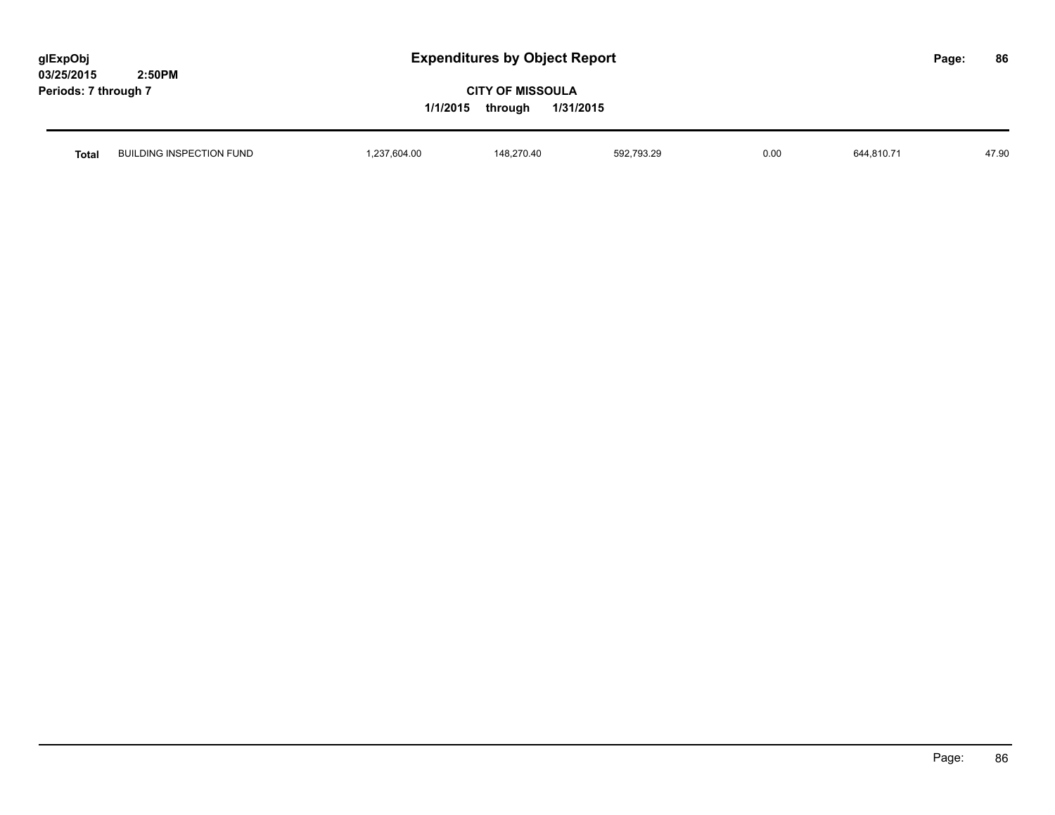| glExpObj             |        |
|----------------------|--------|
| 03/25/2015           | 2:50PM |
| Periods: 7 through 7 |        |

| Total | <b>BUILDING INSPECTION FUND</b> | 237,604.00 | 48.270.40<br>. ∡.148 | 592,793.29 | 0.00 | $044,010.7$ . | 170c<br>77. JU |
|-------|---------------------------------|------------|----------------------|------------|------|---------------|----------------|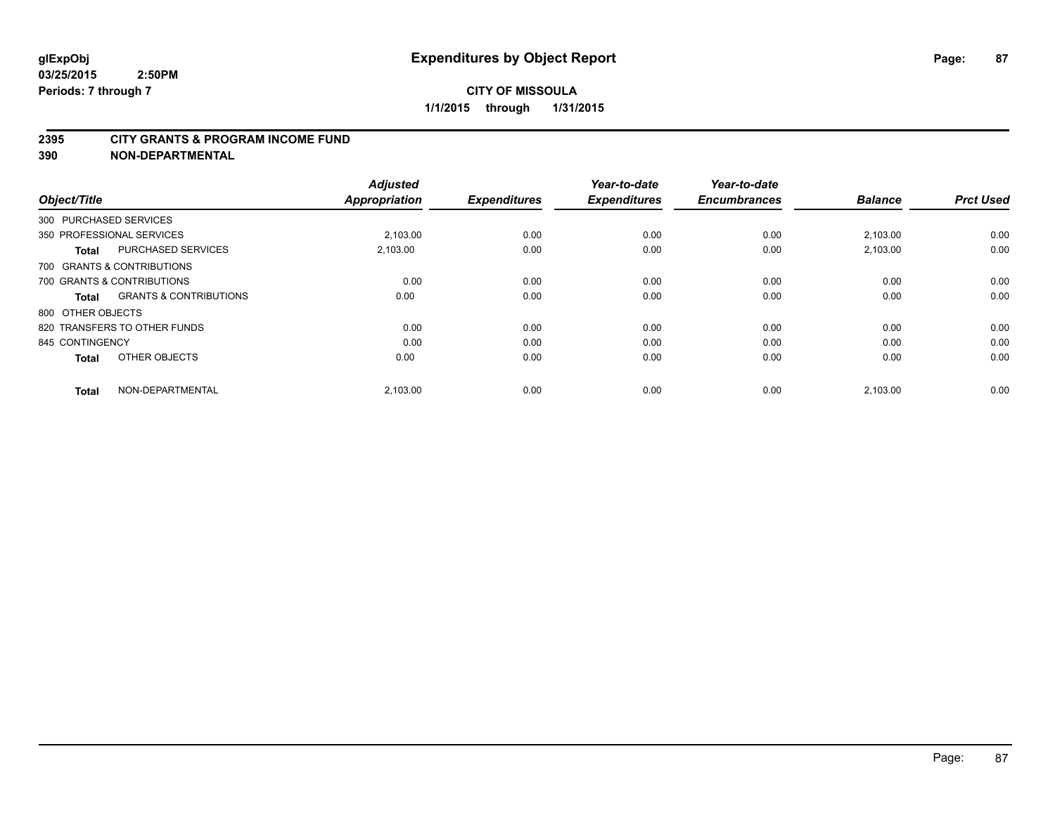#### **2395 CITY GRANTS & PROGRAM INCOME FUND**

**390 NON-DEPARTMENTAL**

| Object/Title           |                                   | <b>Adjusted</b><br><b>Appropriation</b> | <b>Expenditures</b> | Year-to-date<br><b>Expenditures</b> | Year-to-date<br><b>Encumbrances</b> | <b>Balance</b> | <b>Prct Used</b> |
|------------------------|-----------------------------------|-----------------------------------------|---------------------|-------------------------------------|-------------------------------------|----------------|------------------|
| 300 PURCHASED SERVICES |                                   |                                         |                     |                                     |                                     |                |                  |
|                        | 350 PROFESSIONAL SERVICES         | 2.103.00                                | 0.00                | 0.00                                | 0.00                                | 2,103.00       | 0.00             |
| <b>Total</b>           | <b>PURCHASED SERVICES</b>         | 2,103.00                                | 0.00                | 0.00                                | 0.00                                | 2,103.00       | 0.00             |
|                        | 700 GRANTS & CONTRIBUTIONS        |                                         |                     |                                     |                                     |                |                  |
|                        | 700 GRANTS & CONTRIBUTIONS        | 0.00                                    | 0.00                | 0.00                                | 0.00                                | 0.00           | 0.00             |
| <b>Total</b>           | <b>GRANTS &amp; CONTRIBUTIONS</b> | 0.00                                    | 0.00                | 0.00                                | 0.00                                | 0.00           | 0.00             |
| 800 OTHER OBJECTS      |                                   |                                         |                     |                                     |                                     |                |                  |
|                        | 820 TRANSFERS TO OTHER FUNDS      | 0.00                                    | 0.00                | 0.00                                | 0.00                                | 0.00           | 0.00             |
| 845 CONTINGENCY        |                                   | 0.00                                    | 0.00                | 0.00                                | 0.00                                | 0.00           | 0.00             |
| <b>Total</b>           | OTHER OBJECTS                     | 0.00                                    | 0.00                | 0.00                                | 0.00                                | 0.00           | 0.00             |
| <b>Total</b>           | NON-DEPARTMENTAL                  | 2,103.00                                | 0.00                | 0.00                                | 0.00                                | 2,103.00       | 0.00             |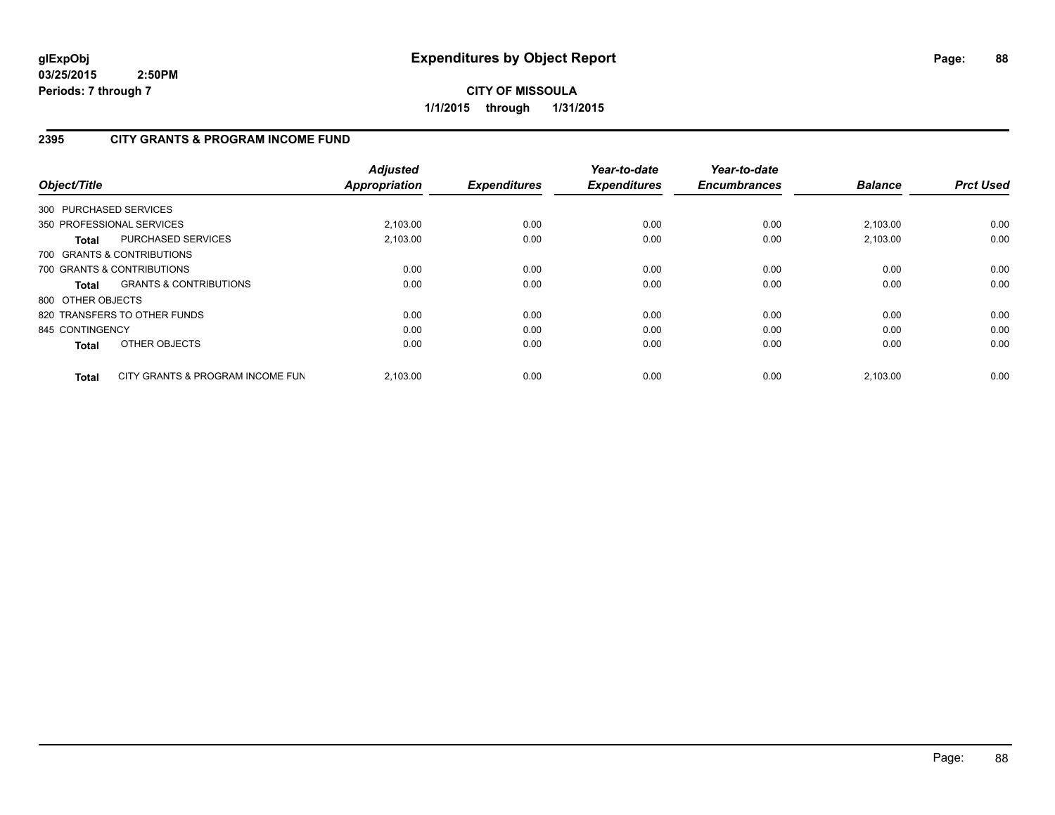**CITY OF MISSOULA 1/1/2015 through 1/31/2015**

# **2395 CITY GRANTS & PROGRAM INCOME FUND**

| Object/Title      |                                   | <b>Adjusted</b><br><b>Appropriation</b> | <b>Expenditures</b> | Year-to-date<br><b>Expenditures</b> | Year-to-date<br><b>Encumbrances</b> | <b>Balance</b> | <b>Prct Used</b> |
|-------------------|-----------------------------------|-----------------------------------------|---------------------|-------------------------------------|-------------------------------------|----------------|------------------|
|                   | 300 PURCHASED SERVICES            |                                         |                     |                                     |                                     |                |                  |
|                   | 350 PROFESSIONAL SERVICES         | 2,103.00                                | 0.00                | 0.00                                | 0.00                                | 2,103.00       | 0.00             |
| Total             | PURCHASED SERVICES                | 2.103.00                                | 0.00                | 0.00                                | 0.00                                | 2,103.00       | 0.00             |
|                   | 700 GRANTS & CONTRIBUTIONS        |                                         |                     |                                     |                                     |                |                  |
|                   | 700 GRANTS & CONTRIBUTIONS        | 0.00                                    | 0.00                | 0.00                                | 0.00                                | 0.00           | 0.00             |
| Total             | <b>GRANTS &amp; CONTRIBUTIONS</b> | 0.00                                    | 0.00                | 0.00                                | 0.00                                | 0.00           | 0.00             |
| 800 OTHER OBJECTS |                                   |                                         |                     |                                     |                                     |                |                  |
|                   | 820 TRANSFERS TO OTHER FUNDS      | 0.00                                    | 0.00                | 0.00                                | 0.00                                | 0.00           | 0.00             |
| 845 CONTINGENCY   |                                   | 0.00                                    | 0.00                | 0.00                                | 0.00                                | 0.00           | 0.00             |
| <b>Total</b>      | OTHER OBJECTS                     | 0.00                                    | 0.00                | 0.00                                | 0.00                                | 0.00           | 0.00             |
| Total             | CITY GRANTS & PROGRAM INCOME FUN  | 2.103.00                                | 0.00                | 0.00                                | 0.00                                | 2.103.00       | 0.00             |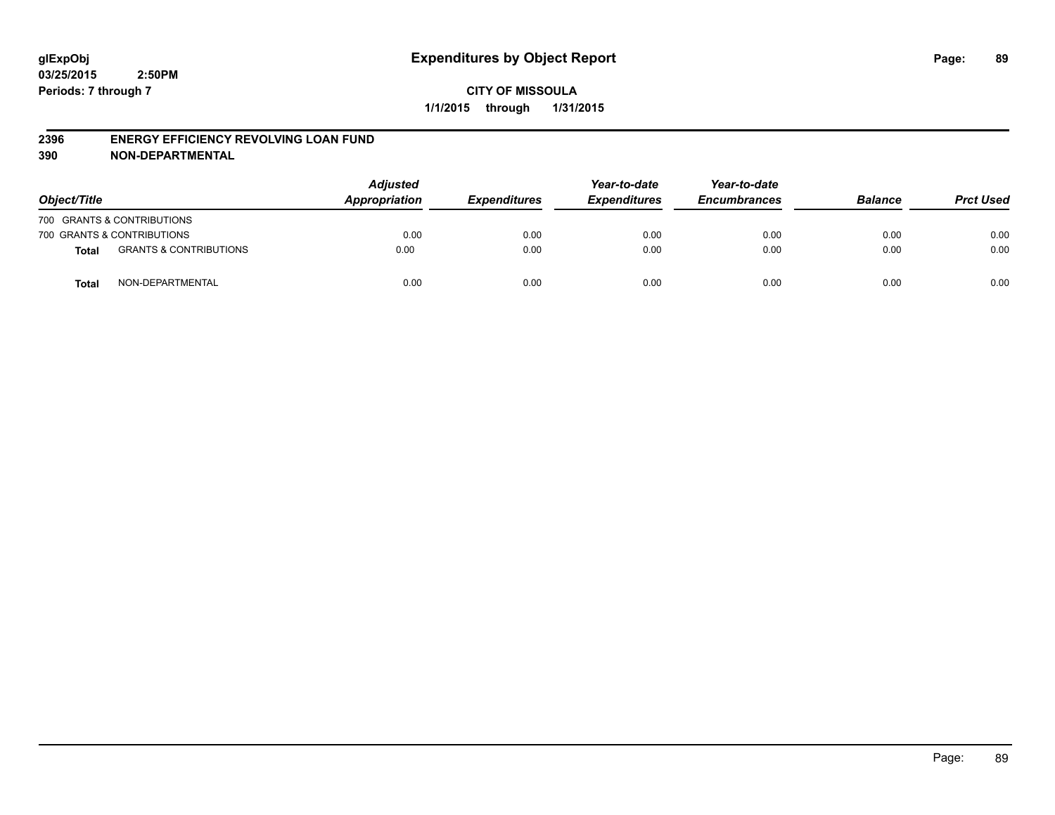#### **2396 ENERGY EFFICIENCY REVOLVING LOAN FUND**

**390 NON-DEPARTMENTAL**

| Object/Title |                                   | <b>Adjusted</b><br>Appropriation | <b>Expenditures</b> | Year-to-date<br><b>Expenditures</b> | Year-to-date<br><b>Encumbrances</b> | <b>Balance</b> | <b>Prct Used</b> |
|--------------|-----------------------------------|----------------------------------|---------------------|-------------------------------------|-------------------------------------|----------------|------------------|
|              | 700 GRANTS & CONTRIBUTIONS        |                                  |                     |                                     |                                     |                |                  |
|              | 700 GRANTS & CONTRIBUTIONS        | 0.00                             | 0.00                | 0.00                                | 0.00                                | 0.00           | 0.00             |
| <b>Total</b> | <b>GRANTS &amp; CONTRIBUTIONS</b> | 0.00                             | 0.00                | 0.00                                | 0.00                                | 0.00           | 0.00             |
| <b>Total</b> | NON-DEPARTMENTAL                  | 0.00                             | 0.00                | 0.00                                | 0.00                                | 0.00           | 0.00             |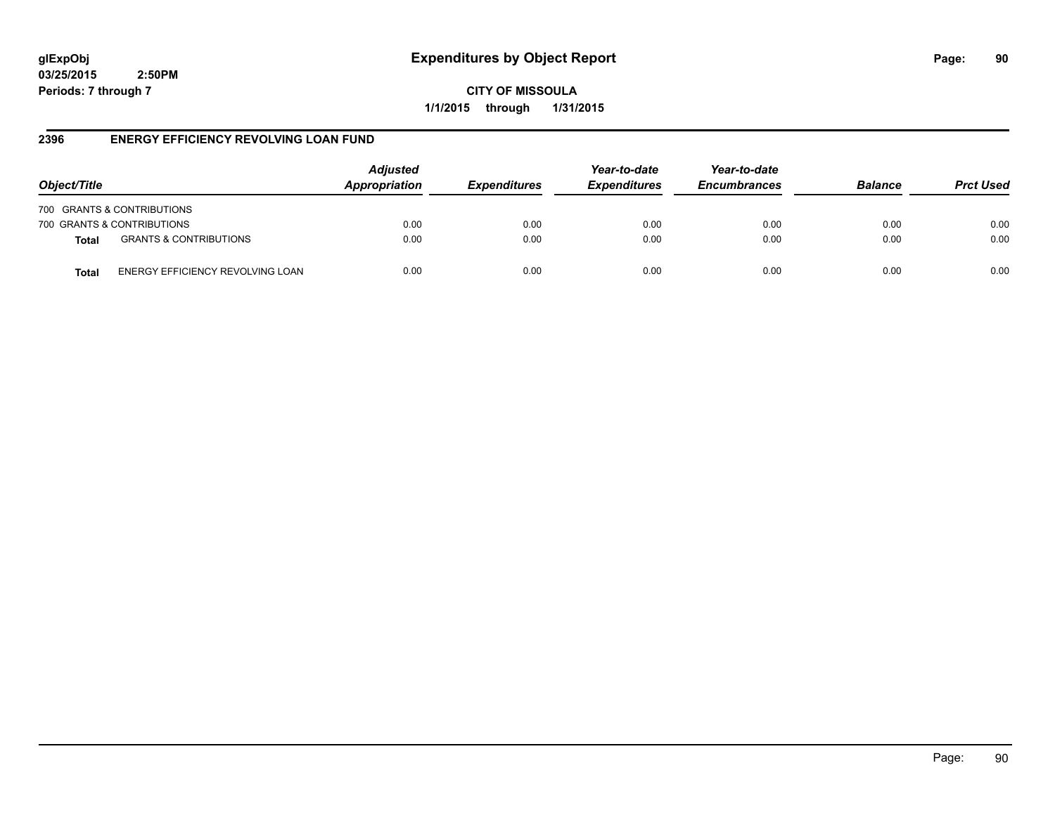**CITY OF MISSOULA 1/1/2015 through 1/31/2015**

# **2396 ENERGY EFFICIENCY REVOLVING LOAN FUND**

| Object/Title               |                                   | <b>Adjusted</b><br>Appropriation | <b>Expenditures</b> | Year-to-date<br><b>Expenditures</b> | Year-to-date<br><b>Encumbrances</b> | <b>Balance</b> | <b>Prct Used</b> |
|----------------------------|-----------------------------------|----------------------------------|---------------------|-------------------------------------|-------------------------------------|----------------|------------------|
| 700 GRANTS & CONTRIBUTIONS |                                   |                                  |                     |                                     |                                     |                |                  |
| 700 GRANTS & CONTRIBUTIONS |                                   | 0.00                             | 0.00                | 0.00                                | 0.00                                | 0.00           | 0.00             |
| <b>Total</b>               | <b>GRANTS &amp; CONTRIBUTIONS</b> | 0.00                             | 0.00                | 0.00                                | 0.00                                | 0.00           | 0.00             |
| Total                      | ENERGY EFFICIENCY REVOLVING LOAN  | 0.00                             | 0.00                | 0.00                                | 0.00                                | 0.00           | 0.00             |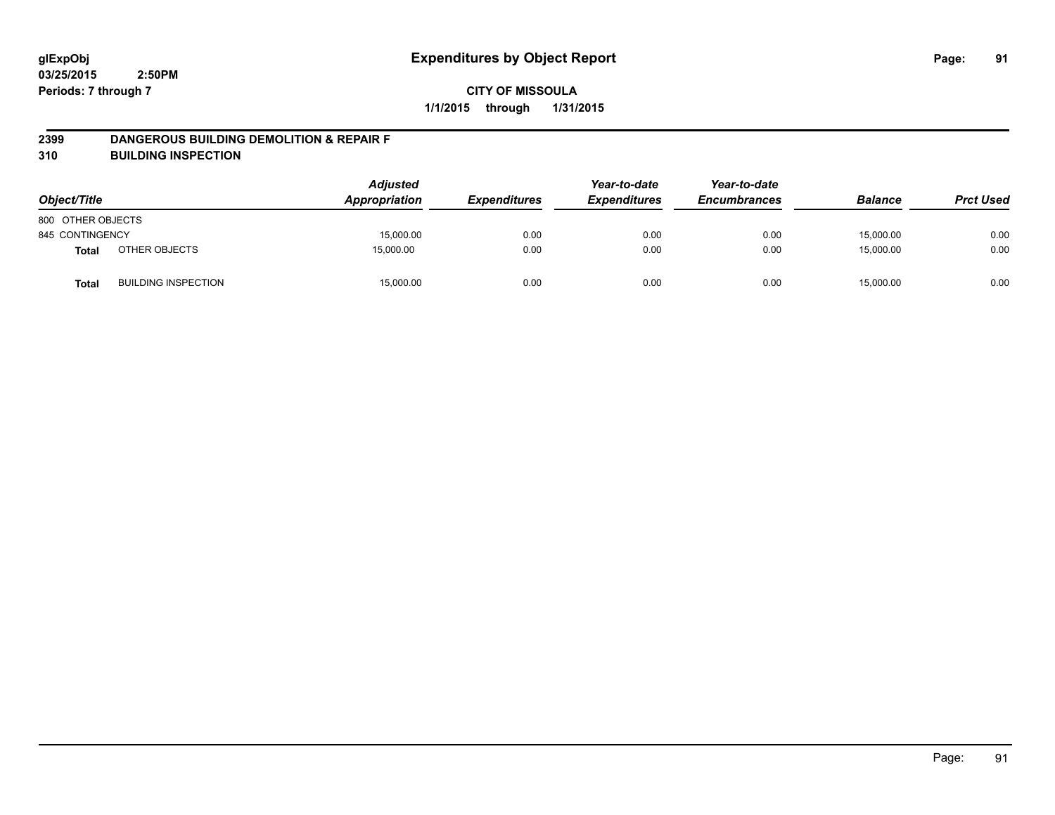#### **2399 DANGEROUS BUILDING DEMOLITION & REPAIR F**

**310 BUILDING INSPECTION**

| Object/Title      |                            | <b>Adjusted</b><br>Appropriation | <b>Expenditures</b> | Year-to-date<br><b>Expenditures</b> | Year-to-date<br><b>Encumbrances</b> | <b>Balance</b> | <b>Prct Used</b> |
|-------------------|----------------------------|----------------------------------|---------------------|-------------------------------------|-------------------------------------|----------------|------------------|
| 800 OTHER OBJECTS |                            |                                  |                     |                                     |                                     |                |                  |
| 845 CONTINGENCY   |                            | 15,000.00                        | 0.00                | 0.00                                | 0.00                                | 15,000.00      | 0.00             |
| <b>Total</b>      | OTHER OBJECTS              | 15,000.00                        | 0.00                | 0.00                                | 0.00                                | 15,000.00      | 0.00             |
| <b>Total</b>      | <b>BUILDING INSPECTION</b> | 15,000.00                        | 0.00                | 0.00                                | 0.00                                | 15,000.00      | 0.00             |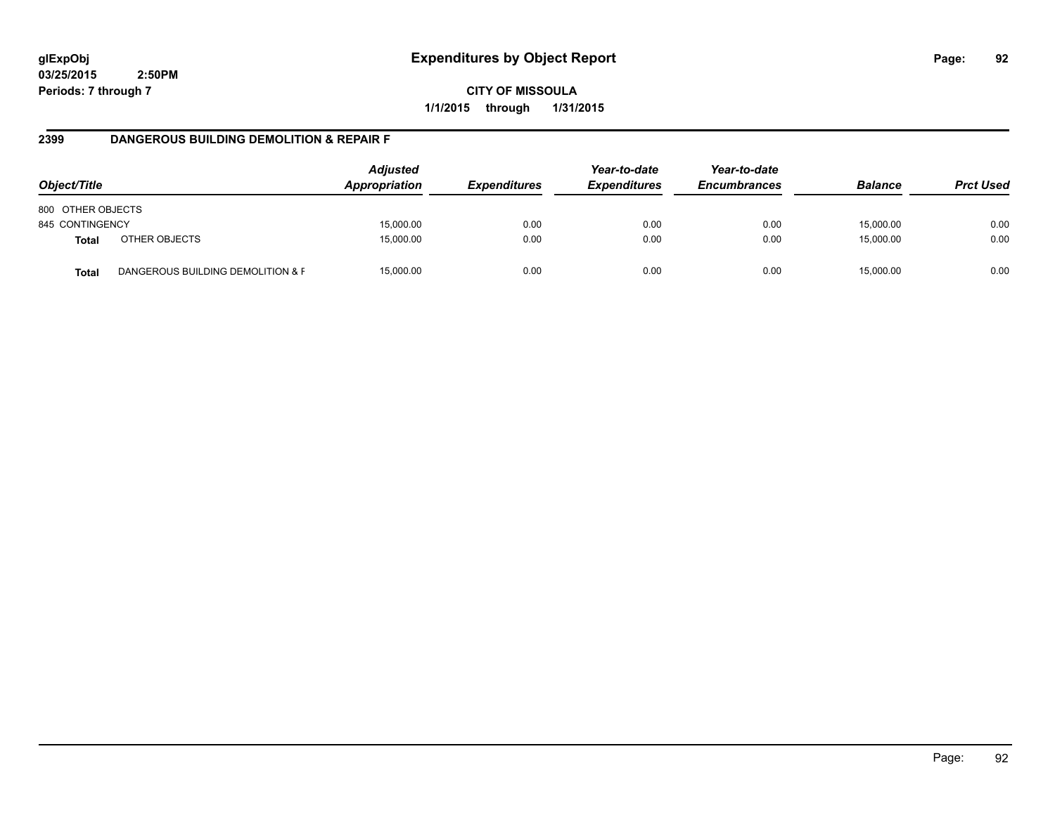**CITY OF MISSOULA 1/1/2015 through 1/31/2015**

# **2399 DANGEROUS BUILDING DEMOLITION & REPAIR F**

| Object/Title      |                                   | <b>Adjusted</b><br>Appropriation | <i><b>Expenditures</b></i> | Year-to-date<br><b>Expenditures</b> | Year-to-date<br><b>Encumbrances</b> | <b>Balance</b> | <b>Prct Used</b> |
|-------------------|-----------------------------------|----------------------------------|----------------------------|-------------------------------------|-------------------------------------|----------------|------------------|
| 800 OTHER OBJECTS |                                   |                                  |                            |                                     |                                     |                |                  |
| 845 CONTINGENCY   |                                   | 15,000.00                        | 0.00                       | 0.00                                | 0.00                                | 15,000.00      | 0.00             |
| <b>Total</b>      | OTHER OBJECTS                     | 15,000.00                        | 0.00                       | 0.00                                | 0.00                                | 15,000.00      | 0.00             |
| <b>Total</b>      | DANGEROUS BUILDING DEMOLITION & F | 15,000.00                        | 0.00                       | 0.00                                | 0.00                                | 15.000.00      | 0.00             |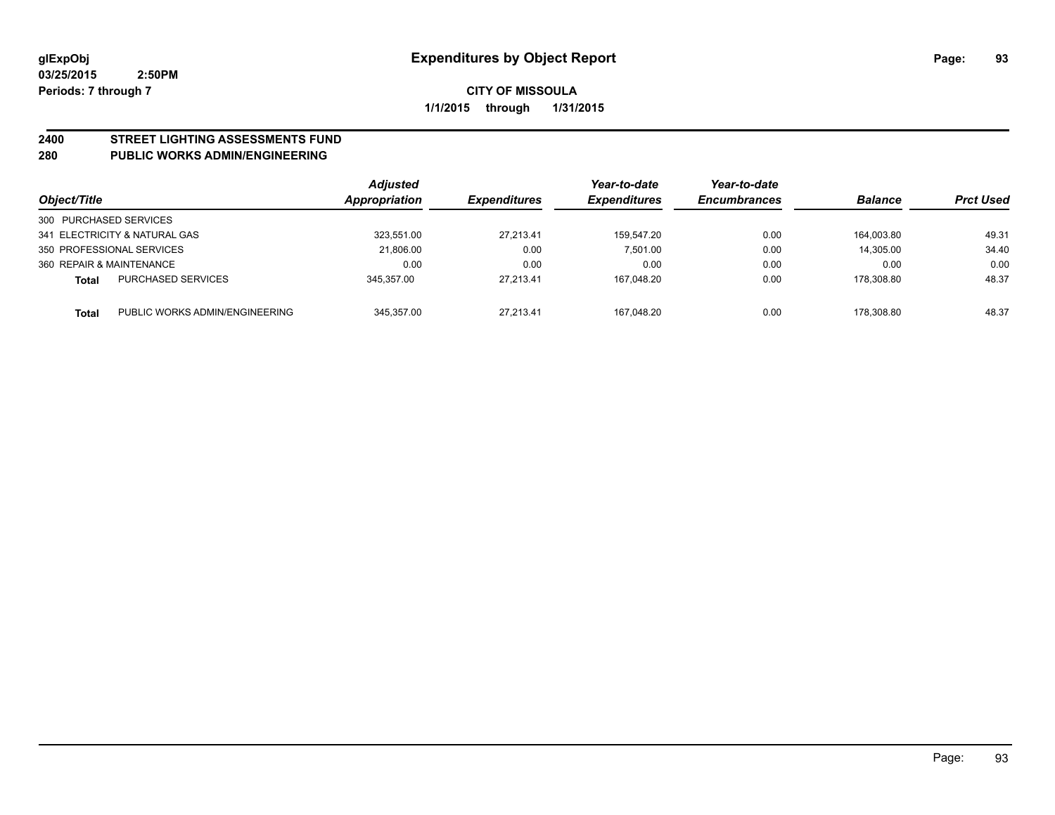# **2400 STREET LIGHTING ASSESSMENTS FUND**

### **280 PUBLIC WORKS ADMIN/ENGINEERING**

| Object/Title                            | <b>Adjusted</b><br><b>Appropriation</b> | <i><b>Expenditures</b></i> | Year-to-date<br><b>Expenditures</b> | Year-to-date<br><b>Encumbrances</b> | <b>Balance</b> | <b>Prct Used</b> |
|-----------------------------------------|-----------------------------------------|----------------------------|-------------------------------------|-------------------------------------|----------------|------------------|
| 300 PURCHASED SERVICES                  |                                         |                            |                                     |                                     |                |                  |
| 341 ELECTRICITY & NATURAL GAS           | 323.551.00                              | 27,213.41                  | 159.547.20                          | 0.00                                | 164.003.80     | 49.31            |
| 350 PROFESSIONAL SERVICES               | 21,806.00                               | 0.00                       | 7.501.00                            | 0.00                                | 14,305.00      | 34.40            |
| 360 REPAIR & MAINTENANCE                | 0.00                                    | 0.00                       | 0.00                                | 0.00                                | 0.00           | 0.00             |
| <b>PURCHASED SERVICES</b><br>Total      | 345.357.00                              | 27,213.41                  | 167,048.20                          | 0.00                                | 178.308.80     | 48.37            |
| PUBLIC WORKS ADMIN/ENGINEERING<br>Total | 345.357.00                              | 27.213.41                  | 167.048.20                          | 0.00                                | 178.308.80     | 48.37            |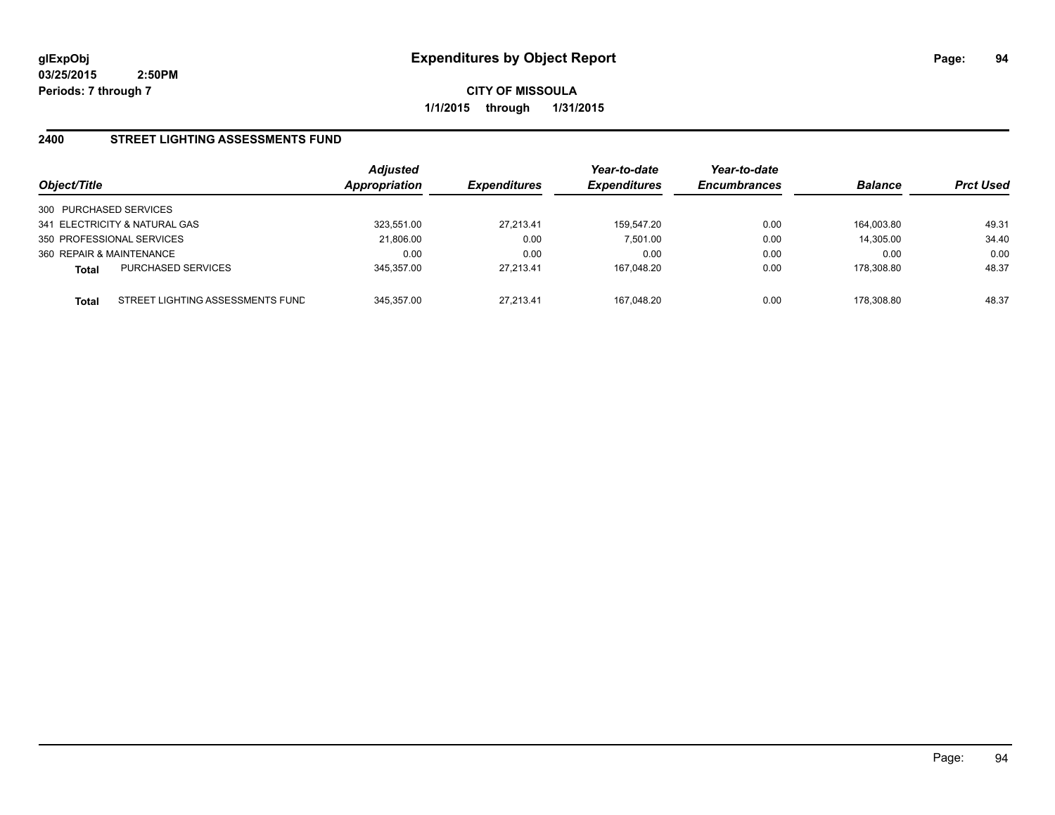**CITY OF MISSOULA 1/1/2015 through 1/31/2015**

## **2400 STREET LIGHTING ASSESSMENTS FUND**

| Object/Title                                     | <b>Adjusted</b><br>Appropriation | <b>Expenditures</b> | Year-to-date<br><b>Expenditures</b> | Year-to-date<br><b>Encumbrances</b> | <b>Balance</b> | <b>Prct Used</b> |
|--------------------------------------------------|----------------------------------|---------------------|-------------------------------------|-------------------------------------|----------------|------------------|
| 300 PURCHASED SERVICES                           |                                  |                     |                                     |                                     |                |                  |
| 341 ELECTRICITY & NATURAL GAS                    | 323.551.00                       | 27,213.41           | 159.547.20                          | 0.00                                | 164.003.80     | 49.31            |
| 350 PROFESSIONAL SERVICES                        | 21,806.00                        | 0.00                | 7.501.00                            | 0.00                                | 14.305.00      | 34.40            |
| 360 REPAIR & MAINTENANCE                         | 0.00                             | 0.00                | 0.00                                | 0.00                                | 0.00           | 0.00             |
| <b>PURCHASED SERVICES</b><br><b>Total</b>        | 345.357.00                       | 27.213.41           | 167.048.20                          | 0.00                                | 178.308.80     | 48.37            |
| STREET LIGHTING ASSESSMENTS FUND<br><b>Total</b> | 345.357.00                       | 27.213.41           | 167.048.20                          | 0.00                                | 178.308.80     | 48.37            |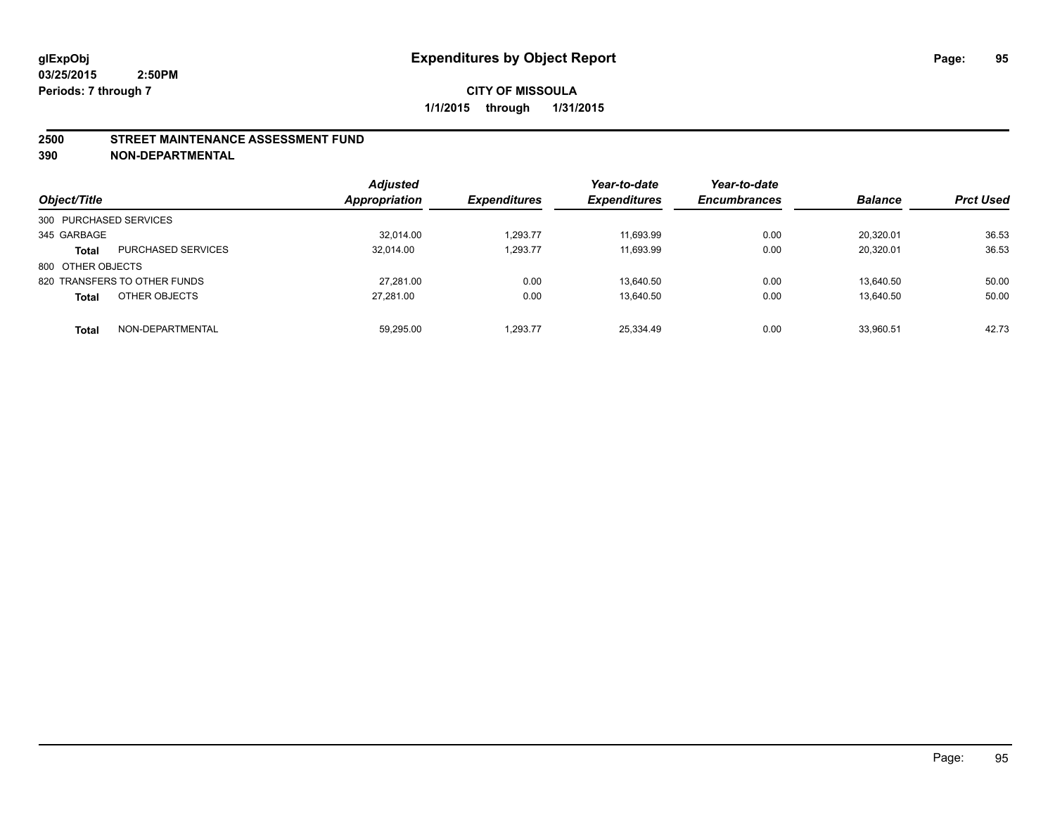#### **2500 STREET MAINTENANCE ASSESSMENT FUND**

**390 NON-DEPARTMENTAL**

| Object/Title           |                              | <b>Adjusted</b><br><b>Appropriation</b> | <b>Expenditures</b> | Year-to-date<br><b>Expenditures</b> | Year-to-date<br><b>Encumbrances</b> | <b>Balance</b> | <b>Prct Used</b> |
|------------------------|------------------------------|-----------------------------------------|---------------------|-------------------------------------|-------------------------------------|----------------|------------------|
| 300 PURCHASED SERVICES |                              |                                         |                     |                                     |                                     |                |                  |
| 345 GARBAGE            |                              | 32.014.00                               | 1.293.77            | 11.693.99                           | 0.00                                | 20.320.01      | 36.53            |
| <b>Total</b>           | <b>PURCHASED SERVICES</b>    | 32.014.00                               | 1,293.77            | 11,693.99                           | 0.00                                | 20,320.01      | 36.53            |
| 800 OTHER OBJECTS      |                              |                                         |                     |                                     |                                     |                |                  |
|                        | 820 TRANSFERS TO OTHER FUNDS | 27.281.00                               | 0.00                | 13.640.50                           | 0.00                                | 13.640.50      | 50.00            |
| <b>Total</b>           | OTHER OBJECTS                | 27.281.00                               | 0.00                | 13.640.50                           | 0.00                                | 13.640.50      | 50.00            |
| <b>Total</b>           | NON-DEPARTMENTAL             | 59.295.00                               | 1.293.77            | 25.334.49                           | 0.00                                | 33.960.51      | 42.73            |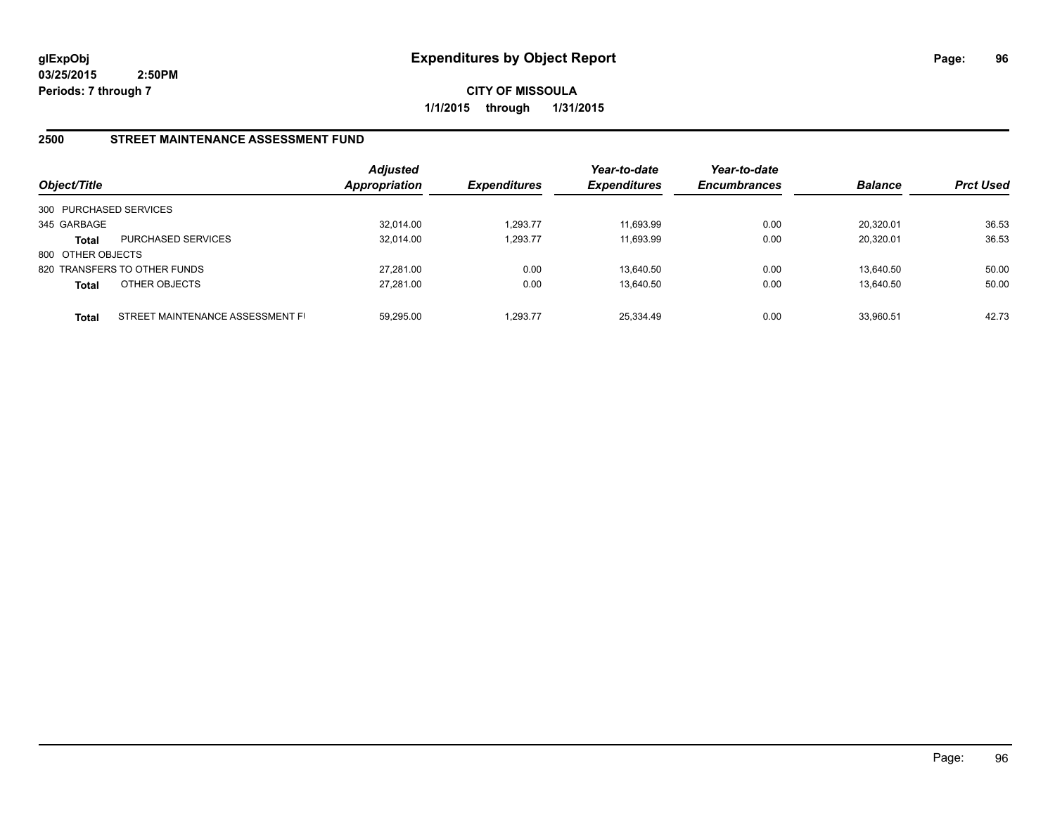**CITY OF MISSOULA 1/1/2015 through 1/31/2015**

# **2500 STREET MAINTENANCE ASSESSMENT FUND**

| Object/Title           |                                  | <b>Adjusted</b><br>Appropriation | <b>Expenditures</b> | Year-to-date<br><b>Expenditures</b> | Year-to-date<br><b>Encumbrances</b> | <b>Balance</b> | <b>Prct Used</b> |
|------------------------|----------------------------------|----------------------------------|---------------------|-------------------------------------|-------------------------------------|----------------|------------------|
| 300 PURCHASED SERVICES |                                  |                                  |                     |                                     |                                     |                |                  |
| 345 GARBAGE            |                                  | 32,014.00                        | 1.293.77            | 11,693.99                           | 0.00                                | 20,320.01      | 36.53            |
| Total                  | <b>PURCHASED SERVICES</b>        | 32.014.00                        | 1,293.77            | 11.693.99                           | 0.00                                | 20.320.01      | 36.53            |
| 800 OTHER OBJECTS      |                                  |                                  |                     |                                     |                                     |                |                  |
|                        | 820 TRANSFERS TO OTHER FUNDS     | 27.281.00                        | 0.00                | 13.640.50                           | 0.00                                | 13.640.50      | 50.00            |
| Total                  | OTHER OBJECTS                    | 27.281.00                        | 0.00                | 13,640.50                           | 0.00                                | 13,640.50      | 50.00            |
| <b>Total</b>           | STREET MAINTENANCE ASSESSMENT FI | 59.295.00                        | 1.293.77            | 25,334.49                           | 0.00                                | 33.960.51      | 42.73            |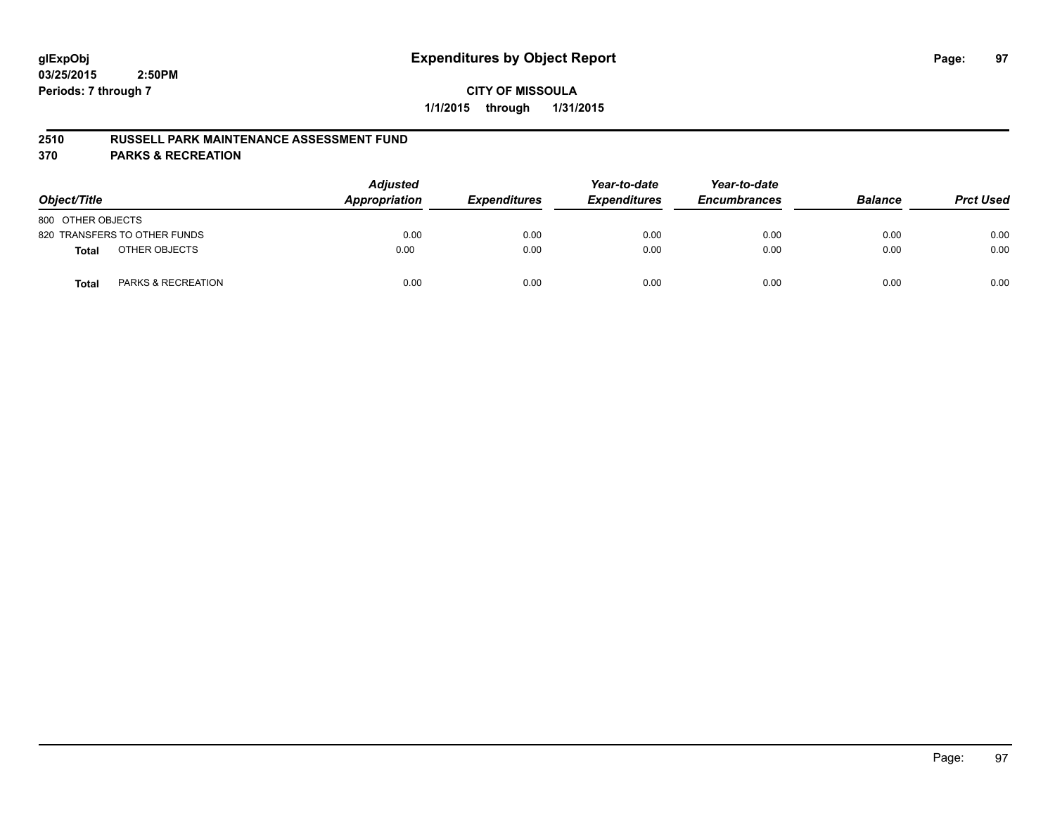# **CITY OF MISSOULA 1/1/2015 through 1/31/2015**

#### **2510 RUSSELL PARK MAINTENANCE ASSESSMENT FUND**

**370 PARKS & RECREATION**

| Object/Title                                  | <b>Adjusted</b><br>Appropriation | <b>Expenditures</b> | Year-to-date<br><b>Expenditures</b> | Year-to-date<br><b>Encumbrances</b> | <b>Balance</b> | <b>Prct Used</b> |
|-----------------------------------------------|----------------------------------|---------------------|-------------------------------------|-------------------------------------|----------------|------------------|
| 800 OTHER OBJECTS                             |                                  |                     |                                     |                                     |                |                  |
| 820 TRANSFERS TO OTHER FUNDS                  | 0.00                             | 0.00                | 0.00                                | 0.00                                | 0.00           | 0.00             |
| OTHER OBJECTS<br><b>Total</b>                 | 0.00                             | 0.00                | 0.00                                | 0.00                                | 0.00           | 0.00             |
| <b>PARKS &amp; RECREATION</b><br><b>Total</b> | 0.00                             | 0.00                | 0.00                                | 0.00                                | 0.00           | 0.00             |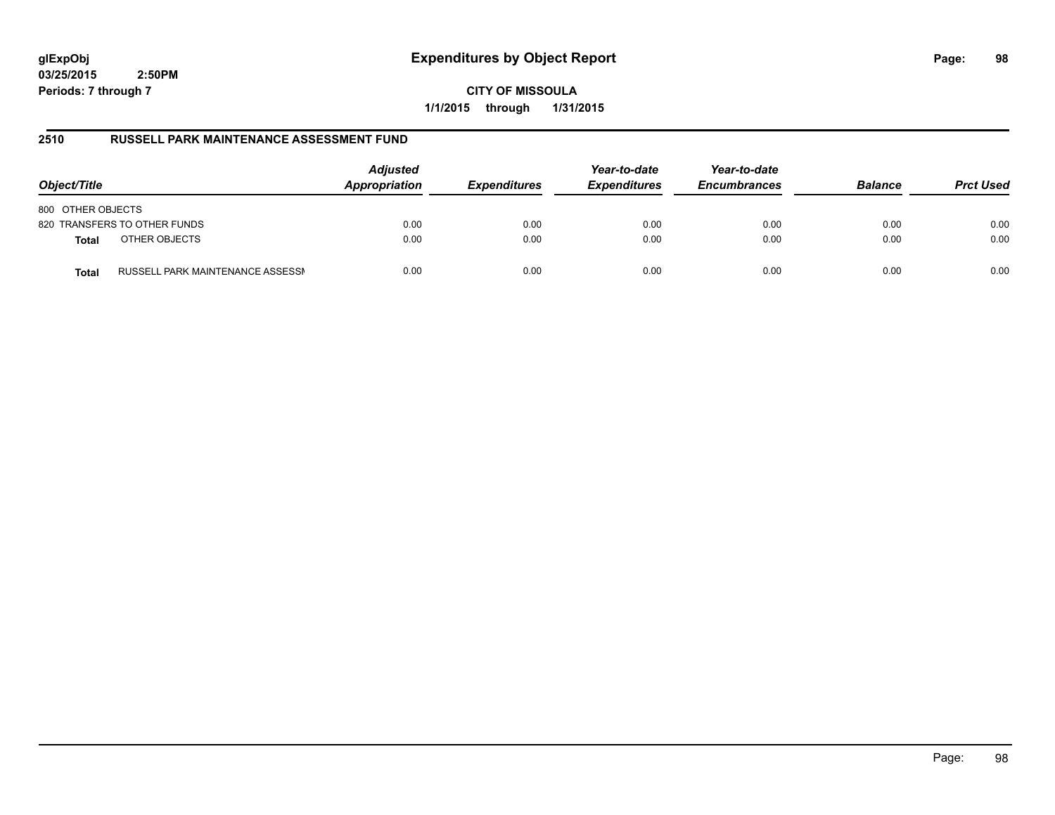# **glExpObj Expenditures by Object Report Page: 98**

**03/25/2015 2:50PM Periods: 7 through 7**

**CITY OF MISSOULA 1/1/2015 through 1/31/2015**

# **2510 RUSSELL PARK MAINTENANCE ASSESSMENT FUND**

| Object/Title                                     | <b>Adjusted</b><br>Appropriation | <b>Expenditures</b> | Year-to-date<br><b>Expenditures</b> | Year-to-date<br><b>Encumbrances</b> | <b>Balance</b> | <b>Prct Used</b> |
|--------------------------------------------------|----------------------------------|---------------------|-------------------------------------|-------------------------------------|----------------|------------------|
| 800 OTHER OBJECTS                                |                                  |                     |                                     |                                     |                |                  |
| 820 TRANSFERS TO OTHER FUNDS                     | 0.00                             | 0.00                | 0.00                                | 0.00                                | 0.00           | 0.00             |
| OTHER OBJECTS<br><b>Total</b>                    | 0.00                             | 0.00                | 0.00                                | 0.00                                | 0.00           | 0.00             |
| RUSSELL PARK MAINTENANCE ASSESSN<br><b>Total</b> | 0.00                             | 0.00                | 0.00                                | 0.00                                | 0.00           | 0.00             |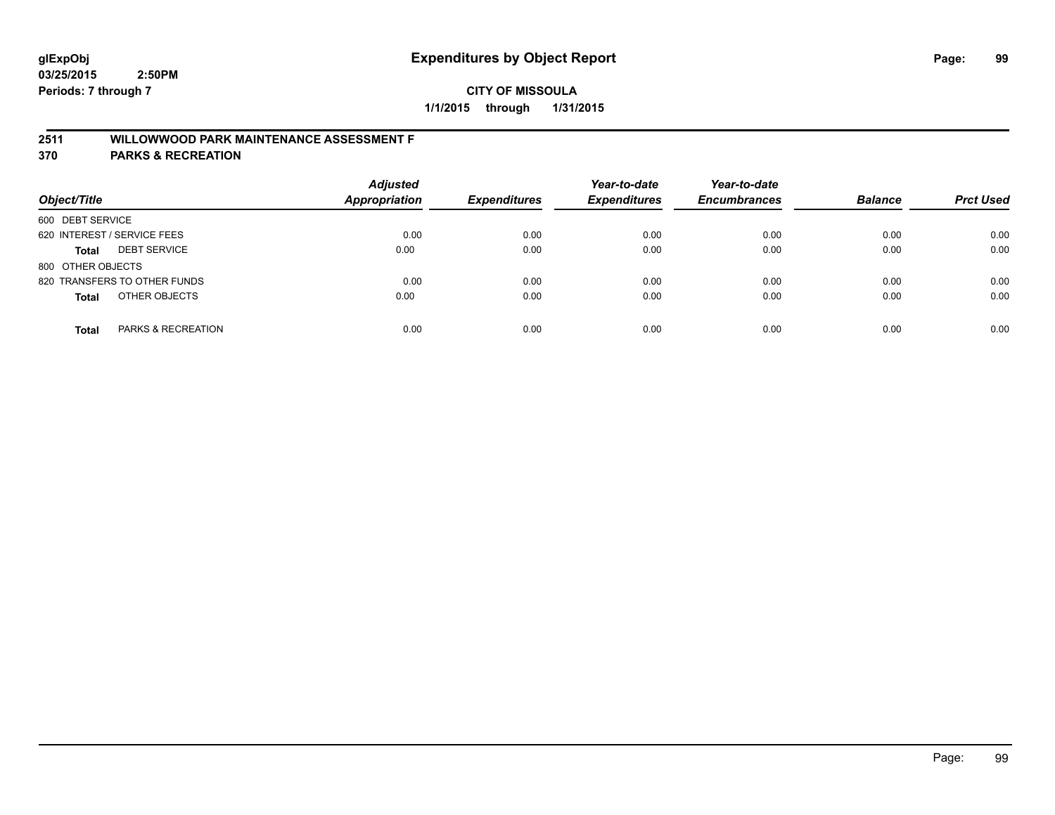# **CITY OF MISSOULA 1/1/2015 through 1/31/2015**

# **2511 WILLOWWOOD PARK MAINTENANCE ASSESSMENT F**

**370 PARKS & RECREATION**

| Object/Title                        | <b>Adjusted</b><br>Appropriation | <b>Expenditures</b> | Year-to-date<br><b>Expenditures</b> | Year-to-date<br><b>Encumbrances</b> | <b>Balance</b> | <b>Prct Used</b> |
|-------------------------------------|----------------------------------|---------------------|-------------------------------------|-------------------------------------|----------------|------------------|
| 600 DEBT SERVICE                    |                                  |                     |                                     |                                     |                |                  |
| 620 INTEREST / SERVICE FEES         | 0.00                             | 0.00                | 0.00                                | 0.00                                | 0.00           | 0.00             |
| <b>DEBT SERVICE</b><br><b>Total</b> | 0.00                             | 0.00                | 0.00                                | 0.00                                | 0.00           | 0.00             |
| 800 OTHER OBJECTS                   |                                  |                     |                                     |                                     |                |                  |
| 820 TRANSFERS TO OTHER FUNDS        | 0.00                             | 0.00                | 0.00                                | 0.00                                | 0.00           | 0.00             |
| OTHER OBJECTS<br><b>Total</b>       | 0.00                             | 0.00                | 0.00                                | 0.00                                | 0.00           | 0.00             |
| PARKS & RECREATION<br><b>Total</b>  | 0.00                             | 0.00                | 0.00                                | 0.00                                | 0.00           | 0.00             |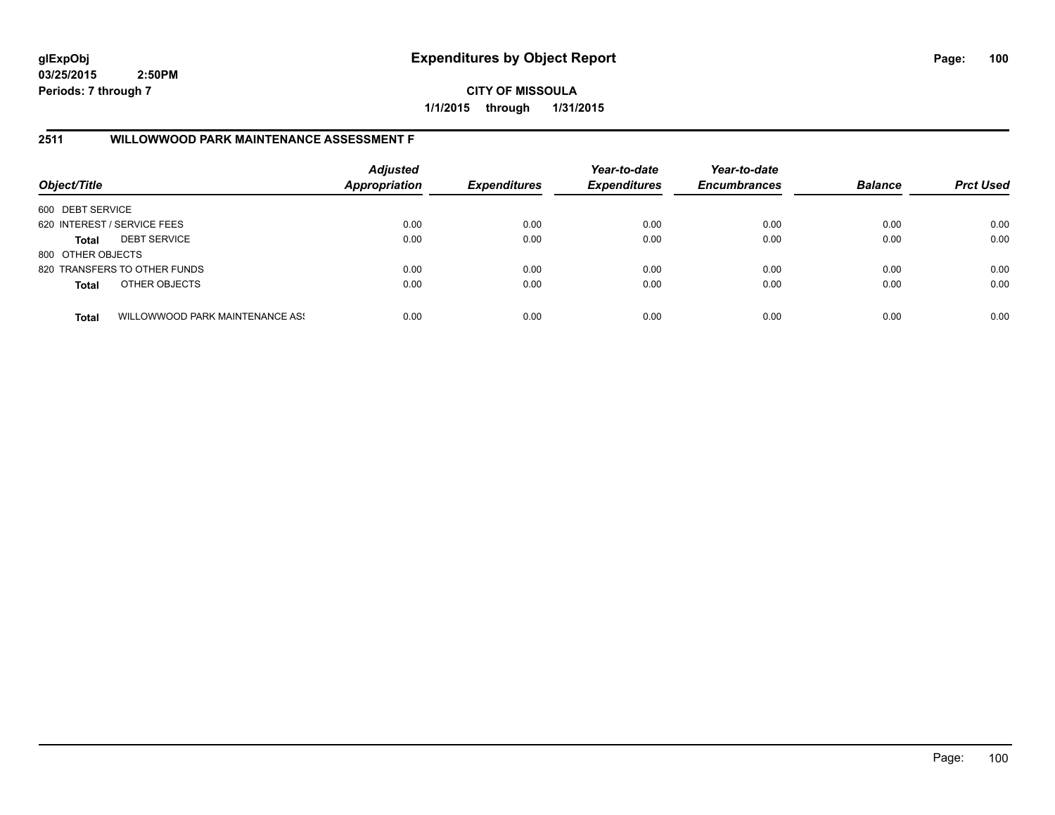**CITY OF MISSOULA 1/1/2015 through 1/31/2015**

# **2511 WILLOWWOOD PARK MAINTENANCE ASSESSMENT F**

| Object/Title                |                                 | <b>Adjusted</b><br><b>Appropriation</b> | <b>Expenditures</b> | Year-to-date<br><b>Expenditures</b> | Year-to-date<br><b>Encumbrances</b> | <b>Balance</b> | <b>Prct Used</b> |
|-----------------------------|---------------------------------|-----------------------------------------|---------------------|-------------------------------------|-------------------------------------|----------------|------------------|
| 600 DEBT SERVICE            |                                 |                                         |                     |                                     |                                     |                |                  |
| 620 INTEREST / SERVICE FEES |                                 | 0.00                                    | 0.00                | 0.00                                | 0.00                                | 0.00           | 0.00             |
| Total                       | <b>DEBT SERVICE</b>             | 0.00                                    | 0.00                | 0.00                                | 0.00                                | 0.00           | 0.00             |
| 800 OTHER OBJECTS           |                                 |                                         |                     |                                     |                                     |                |                  |
|                             | 820 TRANSFERS TO OTHER FUNDS    | 0.00                                    | 0.00                | 0.00                                | 0.00                                | 0.00           | 0.00             |
| <b>Total</b>                | OTHER OBJECTS                   | 0.00                                    | 0.00                | 0.00                                | 0.00                                | 0.00           | 0.00             |
| <b>Total</b>                | WILLOWWOOD PARK MAINTENANCE ASS | 0.00                                    | 0.00                | 0.00                                | 0.00                                | 0.00           | 0.00             |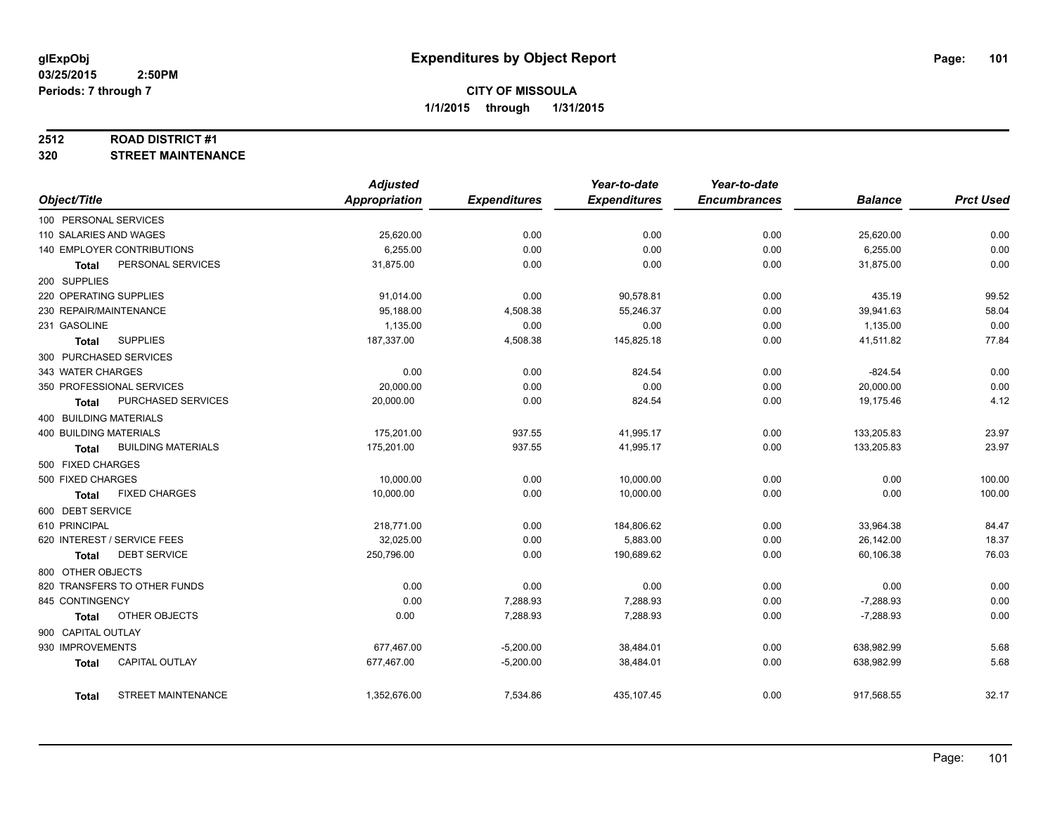#### **2512 ROAD DISTRICT #1**

**320 STREET MAINTENANCE**

|                                       | <b>Adjusted</b>      |                     | Year-to-date        | Year-to-date        |                |                  |
|---------------------------------------|----------------------|---------------------|---------------------|---------------------|----------------|------------------|
| Object/Title                          | <b>Appropriation</b> | <b>Expenditures</b> | <b>Expenditures</b> | <b>Encumbrances</b> | <b>Balance</b> | <b>Prct Used</b> |
| 100 PERSONAL SERVICES                 |                      |                     |                     |                     |                |                  |
| 110 SALARIES AND WAGES                | 25,620.00            | 0.00                | 0.00                | 0.00                | 25,620.00      | 0.00             |
| 140 EMPLOYER CONTRIBUTIONS            | 6,255.00             | 0.00                | 0.00                | 0.00                | 6,255.00       | 0.00             |
| PERSONAL SERVICES<br><b>Total</b>     | 31,875.00            | 0.00                | 0.00                | 0.00                | 31,875.00      | 0.00             |
| 200 SUPPLIES                          |                      |                     |                     |                     |                |                  |
| 220 OPERATING SUPPLIES                | 91,014.00            | 0.00                | 90,578.81           | 0.00                | 435.19         | 99.52            |
| 230 REPAIR/MAINTENANCE                | 95,188.00            | 4,508.38            | 55,246.37           | 0.00                | 39,941.63      | 58.04            |
| 231 GASOLINE                          | 1,135.00             | 0.00                | 0.00                | 0.00                | 1,135.00       | 0.00             |
| <b>SUPPLIES</b><br><b>Total</b>       | 187,337.00           | 4,508.38            | 145,825.18          | 0.00                | 41,511.82      | 77.84            |
| 300 PURCHASED SERVICES                |                      |                     |                     |                     |                |                  |
| 343 WATER CHARGES                     | 0.00                 | 0.00                | 824.54              | 0.00                | $-824.54$      | 0.00             |
| 350 PROFESSIONAL SERVICES             | 20,000.00            | 0.00                | 0.00                | 0.00                | 20,000.00      | 0.00             |
| PURCHASED SERVICES<br><b>Total</b>    | 20,000.00            | 0.00                | 824.54              | 0.00                | 19,175.46      | 4.12             |
| 400 BUILDING MATERIALS                |                      |                     |                     |                     |                |                  |
| 400 BUILDING MATERIALS                | 175,201.00           | 937.55              | 41,995.17           | 0.00                | 133,205.83     | 23.97            |
| <b>BUILDING MATERIALS</b><br>Total    | 175,201.00           | 937.55              | 41,995.17           | 0.00                | 133,205.83     | 23.97            |
| 500 FIXED CHARGES                     |                      |                     |                     |                     |                |                  |
| 500 FIXED CHARGES                     | 10,000.00            | 0.00                | 10,000.00           | 0.00                | 0.00           | 100.00           |
| <b>FIXED CHARGES</b><br><b>Total</b>  | 10,000.00            | 0.00                | 10,000.00           | 0.00                | 0.00           | 100.00           |
| 600 DEBT SERVICE                      |                      |                     |                     |                     |                |                  |
| 610 PRINCIPAL                         | 218,771.00           | 0.00                | 184,806.62          | 0.00                | 33,964.38      | 84.47            |
| 620 INTEREST / SERVICE FEES           | 32,025.00            | 0.00                | 5,883.00            | 0.00                | 26,142.00      | 18.37            |
| <b>DEBT SERVICE</b><br><b>Total</b>   | 250,796.00           | 0.00                | 190,689.62          | 0.00                | 60,106.38      | 76.03            |
| 800 OTHER OBJECTS                     |                      |                     |                     |                     |                |                  |
| 820 TRANSFERS TO OTHER FUNDS          | 0.00                 | 0.00                | 0.00                | 0.00                | 0.00           | 0.00             |
| 845 CONTINGENCY                       | 0.00                 | 7,288.93            | 7,288.93            | 0.00                | $-7,288.93$    | 0.00             |
| OTHER OBJECTS<br><b>Total</b>         | 0.00                 | 7,288.93            | 7,288.93            | 0.00                | $-7,288.93$    | 0.00             |
| 900 CAPITAL OUTLAY                    |                      |                     |                     |                     |                |                  |
| 930 IMPROVEMENTS                      | 677,467.00           | $-5,200.00$         | 38,484.01           | 0.00                | 638,982.99     | 5.68             |
| <b>CAPITAL OUTLAY</b><br><b>Total</b> | 677,467.00           | $-5,200.00$         | 38,484.01           | 0.00                | 638,982.99     | 5.68             |
|                                       |                      |                     |                     |                     |                |                  |
| <b>STREET MAINTENANCE</b><br>Total    | 1,352,676.00         | 7,534.86            | 435,107.45          | 0.00                | 917,568.55     | 32.17            |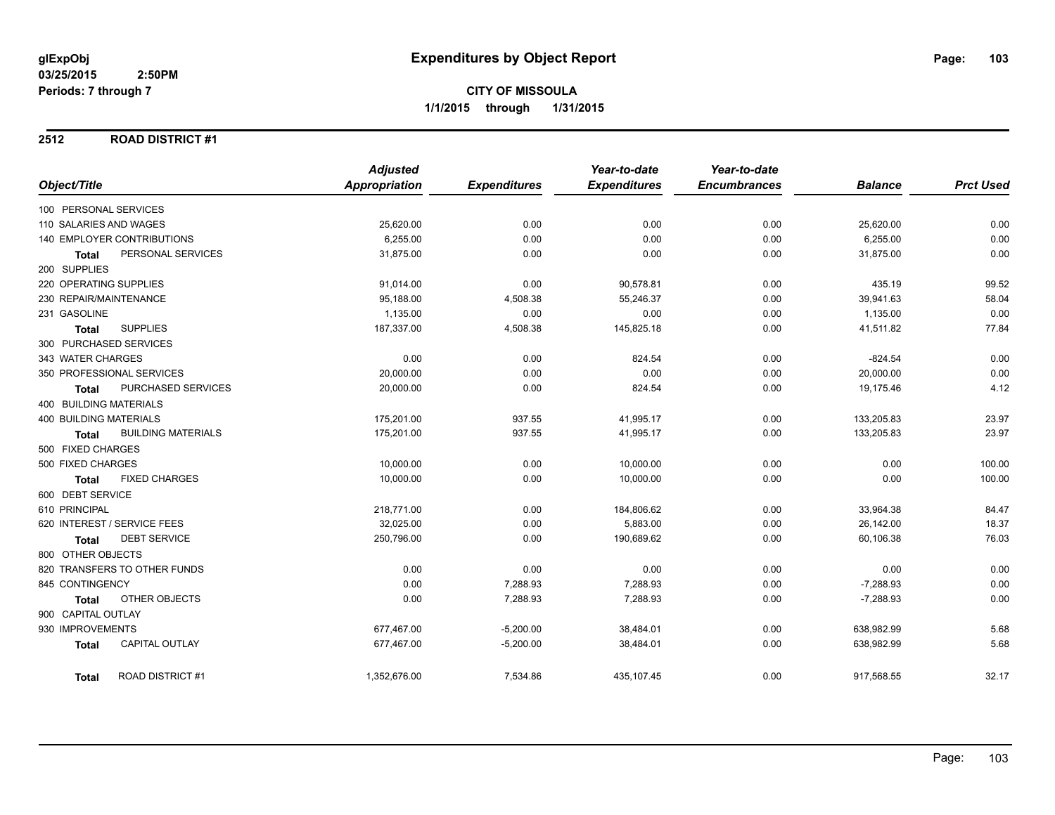#### **2512 ROAD DISTRICT #1**

|                                           | <b>Adjusted</b>      |                     | Year-to-date        | Year-to-date        |                |                  |
|-------------------------------------------|----------------------|---------------------|---------------------|---------------------|----------------|------------------|
| Object/Title                              | <b>Appropriation</b> | <b>Expenditures</b> | <b>Expenditures</b> | <b>Encumbrances</b> | <b>Balance</b> | <b>Prct Used</b> |
| 100 PERSONAL SERVICES                     |                      |                     |                     |                     |                |                  |
| 110 SALARIES AND WAGES                    | 25,620.00            | 0.00                | 0.00                | 0.00                | 25,620.00      | 0.00             |
| 140 EMPLOYER CONTRIBUTIONS                | 6,255.00             | 0.00                | 0.00                | 0.00                | 6,255.00       | 0.00             |
| PERSONAL SERVICES<br><b>Total</b>         | 31,875.00            | 0.00                | 0.00                | 0.00                | 31,875.00      | 0.00             |
| 200 SUPPLIES                              |                      |                     |                     |                     |                |                  |
| 220 OPERATING SUPPLIES                    | 91,014.00            | 0.00                | 90,578.81           | 0.00                | 435.19         | 99.52            |
| 230 REPAIR/MAINTENANCE                    | 95,188.00            | 4,508.38            | 55,246.37           | 0.00                | 39,941.63      | 58.04            |
| 231 GASOLINE                              | 1,135.00             | 0.00                | 0.00                | 0.00                | 1,135.00       | 0.00             |
| <b>SUPPLIES</b><br>Total                  | 187,337.00           | 4,508.38            | 145,825.18          | 0.00                | 41,511.82      | 77.84            |
| 300 PURCHASED SERVICES                    |                      |                     |                     |                     |                |                  |
| 343 WATER CHARGES                         | 0.00                 | 0.00                | 824.54              | 0.00                | $-824.54$      | 0.00             |
| 350 PROFESSIONAL SERVICES                 | 20,000.00            | 0.00                | 0.00                | 0.00                | 20,000.00      | 0.00             |
| PURCHASED SERVICES<br>Total               | 20,000.00            | 0.00                | 824.54              | 0.00                | 19,175.46      | 4.12             |
| 400 BUILDING MATERIALS                    |                      |                     |                     |                     |                |                  |
| <b>400 BUILDING MATERIALS</b>             | 175,201.00           | 937.55              | 41,995.17           | 0.00                | 133,205.83     | 23.97            |
| <b>BUILDING MATERIALS</b><br><b>Total</b> | 175,201.00           | 937.55              | 41,995.17           | 0.00                | 133,205.83     | 23.97            |
| 500 FIXED CHARGES                         |                      |                     |                     |                     |                |                  |
| 500 FIXED CHARGES                         | 10,000.00            | 0.00                | 10,000.00           | 0.00                | 0.00           | 100.00           |
| <b>FIXED CHARGES</b><br><b>Total</b>      | 10,000.00            | 0.00                | 10,000.00           | 0.00                | 0.00           | 100.00           |
| 600 DEBT SERVICE                          |                      |                     |                     |                     |                |                  |
| 610 PRINCIPAL                             | 218,771.00           | 0.00                | 184,806.62          | 0.00                | 33,964.38      | 84.47            |
| 620 INTEREST / SERVICE FEES               | 32,025.00            | 0.00                | 5,883.00            | 0.00                | 26,142.00      | 18.37            |
| <b>DEBT SERVICE</b><br>Total              | 250,796.00           | 0.00                | 190,689.62          | 0.00                | 60,106.38      | 76.03            |
| 800 OTHER OBJECTS                         |                      |                     |                     |                     |                |                  |
| 820 TRANSFERS TO OTHER FUNDS              | 0.00                 | 0.00                | 0.00                | 0.00                | 0.00           | 0.00             |
| 845 CONTINGENCY                           | 0.00                 | 7,288.93            | 7,288.93            | 0.00                | $-7,288.93$    | 0.00             |
| OTHER OBJECTS<br>Total                    | 0.00                 | 7,288.93            | 7,288.93            | 0.00                | $-7,288.93$    | 0.00             |
| 900 CAPITAL OUTLAY                        |                      |                     |                     |                     |                |                  |
| 930 IMPROVEMENTS                          | 677,467.00           | $-5,200.00$         | 38,484.01           | 0.00                | 638,982.99     | 5.68             |
| <b>CAPITAL OUTLAY</b><br><b>Total</b>     | 677,467.00           | $-5,200.00$         | 38,484.01           | 0.00                | 638,982.99     | 5.68             |
| <b>ROAD DISTRICT#1</b><br><b>Total</b>    | 1,352,676.00         | 7,534.86            | 435,107.45          | 0.00                | 917,568.55     | 32.17            |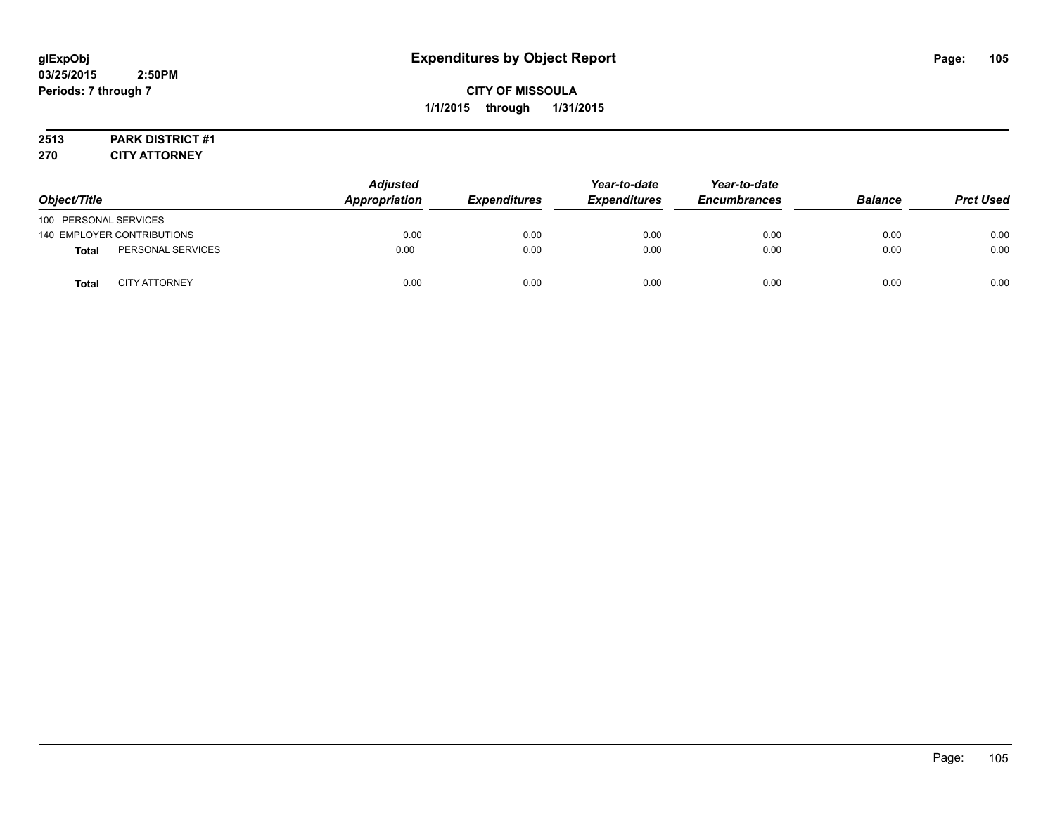# **2513 PARK DISTRICT #1**

**270 CITY ATTORNEY**

| Object/Title          |                            | <b>Adjusted</b><br>Appropriation | <b>Expenditures</b> | Year-to-date<br><b>Expenditures</b> | Year-to-date<br><b>Encumbrances</b> | <b>Balance</b> | <b>Prct Used</b> |
|-----------------------|----------------------------|----------------------------------|---------------------|-------------------------------------|-------------------------------------|----------------|------------------|
| 100 PERSONAL SERVICES |                            |                                  |                     |                                     |                                     |                |                  |
|                       | 140 EMPLOYER CONTRIBUTIONS | 0.00                             | 0.00                | 0.00                                | 0.00                                | 0.00           | 0.00             |
| <b>Total</b>          | PERSONAL SERVICES          | 0.00                             | 0.00                | 0.00                                | 0.00                                | 0.00           | 0.00             |
| <b>Total</b>          | <b>CITY ATTORNEY</b>       | 0.00                             | 0.00                | 0.00                                | 0.00                                | 0.00           | 0.00             |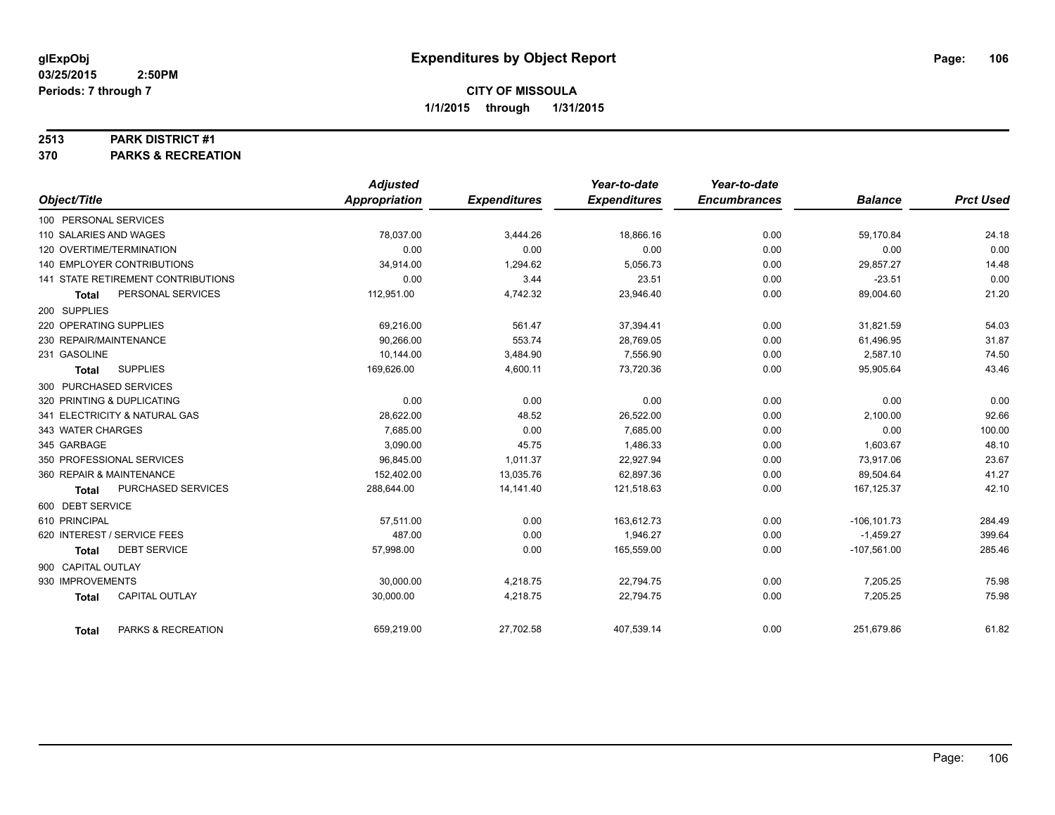#### **2513 PARK DISTRICT #1**

**370 PARKS & RECREATION**

|                                     |                    | <b>Adjusted</b> |                     | Year-to-date        | Year-to-date        |                |                  |
|-------------------------------------|--------------------|-----------------|---------------------|---------------------|---------------------|----------------|------------------|
| Object/Title                        |                    | Appropriation   | <b>Expenditures</b> | <b>Expenditures</b> | <b>Encumbrances</b> | <b>Balance</b> | <b>Prct Used</b> |
| 100 PERSONAL SERVICES               |                    |                 |                     |                     |                     |                |                  |
| 110 SALARIES AND WAGES              |                    | 78,037.00       | 3,444.26            | 18,866.16           | 0.00                | 59,170.84      | 24.18            |
| 120 OVERTIME/TERMINATION            |                    | 0.00            | 0.00                | 0.00                | 0.00                | 0.00           | 0.00             |
| <b>140 EMPLOYER CONTRIBUTIONS</b>   |                    | 34,914.00       | 1,294.62            | 5,056.73            | 0.00                | 29,857.27      | 14.48            |
| 141 STATE RETIREMENT CONTRIBUTIONS  |                    | 0.00            | 3.44                | 23.51               | 0.00                | $-23.51$       | 0.00             |
| PERSONAL SERVICES<br>Total          |                    | 112,951.00      | 4,742.32            | 23,946.40           | 0.00                | 89,004.60      | 21.20            |
| 200 SUPPLIES                        |                    |                 |                     |                     |                     |                |                  |
| 220 OPERATING SUPPLIES              |                    | 69,216.00       | 561.47              | 37,394.41           | 0.00                | 31,821.59      | 54.03            |
| 230 REPAIR/MAINTENANCE              |                    | 90,266.00       | 553.74              | 28,769.05           | 0.00                | 61,496.95      | 31.87            |
| 231 GASOLINE                        |                    | 10,144.00       | 3,484.90            | 7,556.90            | 0.00                | 2,587.10       | 74.50            |
| <b>SUPPLIES</b><br><b>Total</b>     |                    | 169,626.00      | 4,600.11            | 73,720.36           | 0.00                | 95,905.64      | 43.46            |
| 300 PURCHASED SERVICES              |                    |                 |                     |                     |                     |                |                  |
| 320 PRINTING & DUPLICATING          |                    | 0.00            | 0.00                | 0.00                | 0.00                | 0.00           | 0.00             |
| 341 ELECTRICITY & NATURAL GAS       |                    | 28,622.00       | 48.52               | 26,522.00           | 0.00                | 2,100.00       | 92.66            |
| 343 WATER CHARGES                   |                    | 7,685.00        | 0.00                | 7,685.00            | 0.00                | 0.00           | 100.00           |
| 345 GARBAGE                         |                    | 3,090.00        | 45.75               | 1,486.33            | 0.00                | 1,603.67       | 48.10            |
| 350 PROFESSIONAL SERVICES           |                    | 96,845.00       | 1,011.37            | 22,927.94           | 0.00                | 73,917.06      | 23.67            |
| 360 REPAIR & MAINTENANCE            |                    | 152,402.00      | 13,035.76           | 62,897.36           | 0.00                | 89,504.64      | 41.27            |
| Total                               | PURCHASED SERVICES | 288,644.00      | 14,141.40           | 121,518.63          | 0.00                | 167, 125.37    | 42.10            |
| 600 DEBT SERVICE                    |                    |                 |                     |                     |                     |                |                  |
| 610 PRINCIPAL                       |                    | 57,511.00       | 0.00                | 163,612.73          | 0.00                | $-106, 101.73$ | 284.49           |
| 620 INTEREST / SERVICE FEES         |                    | 487.00          | 0.00                | 1,946.27            | 0.00                | $-1,459.27$    | 399.64           |
| <b>DEBT SERVICE</b><br><b>Total</b> |                    | 57.998.00       | 0.00                | 165,559.00          | 0.00                | $-107,561.00$  | 285.46           |
| 900 CAPITAL OUTLAY                  |                    |                 |                     |                     |                     |                |                  |
| 930 IMPROVEMENTS                    |                    | 30,000.00       | 4,218.75            | 22,794.75           | 0.00                | 7,205.25       | 75.98            |
| CAPITAL OUTLAY<br><b>Total</b>      |                    | 30,000.00       | 4,218.75            | 22,794.75           | 0.00                | 7,205.25       | 75.98            |
| <b>Total</b>                        | PARKS & RECREATION | 659,219.00      | 27,702.58           | 407,539.14          | 0.00                | 251,679.86     | 61.82            |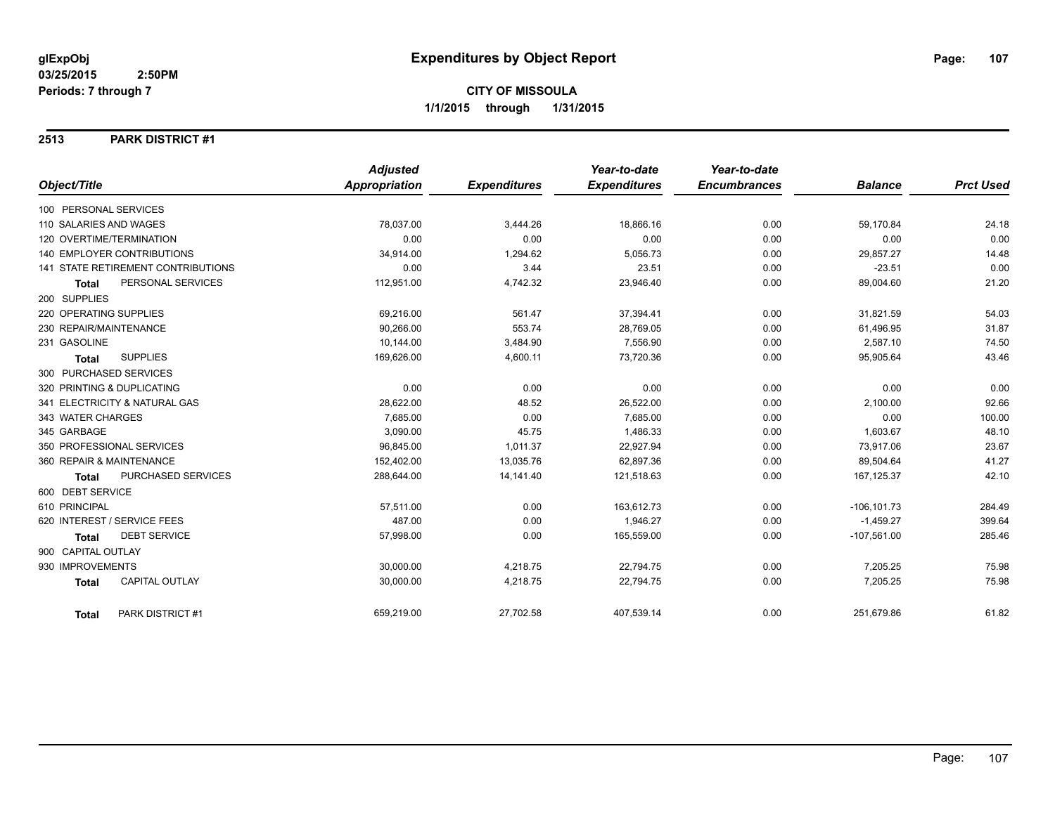#### **2513 PARK DISTRICT #1**

|                                       | <b>Adjusted</b>      |                     | Year-to-date        | Year-to-date        |                |                  |
|---------------------------------------|----------------------|---------------------|---------------------|---------------------|----------------|------------------|
| Object/Title                          | <b>Appropriation</b> | <b>Expenditures</b> | <b>Expenditures</b> | <b>Encumbrances</b> | <b>Balance</b> | <b>Prct Used</b> |
| 100 PERSONAL SERVICES                 |                      |                     |                     |                     |                |                  |
| 110 SALARIES AND WAGES                | 78,037.00            | 3,444.26            | 18,866.16           | 0.00                | 59,170.84      | 24.18            |
| 120 OVERTIME/TERMINATION              | 0.00                 | 0.00                | 0.00                | 0.00                | 0.00           | 0.00             |
| 140 EMPLOYER CONTRIBUTIONS            | 34,914.00            | 1,294.62            | 5,056.73            | 0.00                | 29,857.27      | 14.48            |
| 141 STATE RETIREMENT CONTRIBUTIONS    | 0.00                 | 3.44                | 23.51               | 0.00                | $-23.51$       | 0.00             |
| PERSONAL SERVICES<br><b>Total</b>     | 112,951.00           | 4,742.32            | 23,946.40           | 0.00                | 89,004.60      | 21.20            |
| 200 SUPPLIES                          |                      |                     |                     |                     |                |                  |
| 220 OPERATING SUPPLIES                | 69,216.00            | 561.47              | 37,394.41           | 0.00                | 31,821.59      | 54.03            |
| 230 REPAIR/MAINTENANCE                | 90,266.00            | 553.74              | 28,769.05           | 0.00                | 61,496.95      | 31.87            |
| 231 GASOLINE                          | 10,144.00            | 3,484.90            | 7,556.90            | 0.00                | 2,587.10       | 74.50            |
| <b>SUPPLIES</b><br><b>Total</b>       | 169,626.00           | 4,600.11            | 73,720.36           | 0.00                | 95,905.64      | 43.46            |
| 300 PURCHASED SERVICES                |                      |                     |                     |                     |                |                  |
| 320 PRINTING & DUPLICATING            | 0.00                 | 0.00                | 0.00                | 0.00                | 0.00           | 0.00             |
| 341 ELECTRICITY & NATURAL GAS         | 28,622.00            | 48.52               | 26,522.00           | 0.00                | 2,100.00       | 92.66            |
| 343 WATER CHARGES                     | 7.685.00             | 0.00                | 7.685.00            | 0.00                | 0.00           | 100.00           |
| 345 GARBAGE                           | 3,090.00             | 45.75               | 1,486.33            | 0.00                | 1,603.67       | 48.10            |
| 350 PROFESSIONAL SERVICES             | 96,845.00            | 1,011.37            | 22,927.94           | 0.00                | 73,917.06      | 23.67            |
| 360 REPAIR & MAINTENANCE              | 152,402.00           | 13,035.76           | 62,897.36           | 0.00                | 89,504.64      | 41.27            |
| PURCHASED SERVICES<br>Total           | 288,644.00           | 14,141.40           | 121,518.63          | 0.00                | 167, 125.37    | 42.10            |
| 600 DEBT SERVICE                      |                      |                     |                     |                     |                |                  |
| 610 PRINCIPAL                         | 57,511.00            | 0.00                | 163,612.73          | 0.00                | $-106, 101.73$ | 284.49           |
| 620 INTEREST / SERVICE FEES           | 487.00               | 0.00                | 1,946.27            | 0.00                | $-1,459.27$    | 399.64           |
| <b>DEBT SERVICE</b><br><b>Total</b>   | 57,998.00            | 0.00                | 165,559.00          | 0.00                | $-107,561.00$  | 285.46           |
| 900 CAPITAL OUTLAY                    |                      |                     |                     |                     |                |                  |
| 930 IMPROVEMENTS                      | 30,000.00            | 4,218.75            | 22,794.75           | 0.00                | 7,205.25       | 75.98            |
| <b>CAPITAL OUTLAY</b><br><b>Total</b> | 30,000.00            | 4,218.75            | 22,794.75           | 0.00                | 7,205.25       | 75.98            |
| PARK DISTRICT #1<br><b>Total</b>      | 659,219.00           | 27,702.58           | 407,539.14          | 0.00                | 251,679.86     | 61.82            |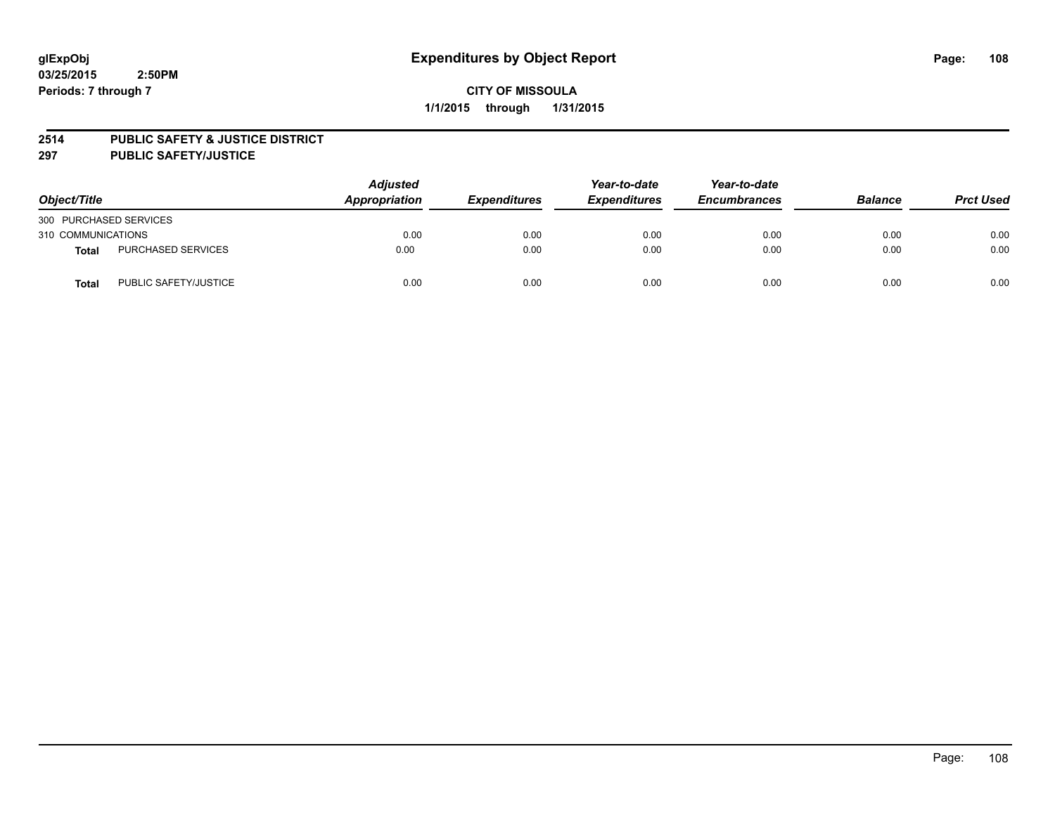#### **2514 PUBLIC SAFETY & JUSTICE DISTRICT**

**297 PUBLIC SAFETY/JUSTICE**

| Object/Title           |                       | <b>Adjusted</b><br>Appropriation | <b>Expenditures</b> | Year-to-date<br><b>Expenditures</b> | Year-to-date<br><b>Encumbrances</b> | <b>Balance</b> | <b>Prct Used</b> |
|------------------------|-----------------------|----------------------------------|---------------------|-------------------------------------|-------------------------------------|----------------|------------------|
| 300 PURCHASED SERVICES |                       |                                  |                     |                                     |                                     |                |                  |
| 310 COMMUNICATIONS     |                       | 0.00                             | 0.00                | 0.00                                | 0.00                                | 0.00           | 0.00             |
| Total                  | PURCHASED SERVICES    | 0.00                             | 0.00                | 0.00                                | 0.00                                | 0.00           | 0.00             |
| Total                  | PUBLIC SAFETY/JUSTICE | 0.00                             | 0.00                | 0.00                                | 0.00                                | 0.00           | 0.00             |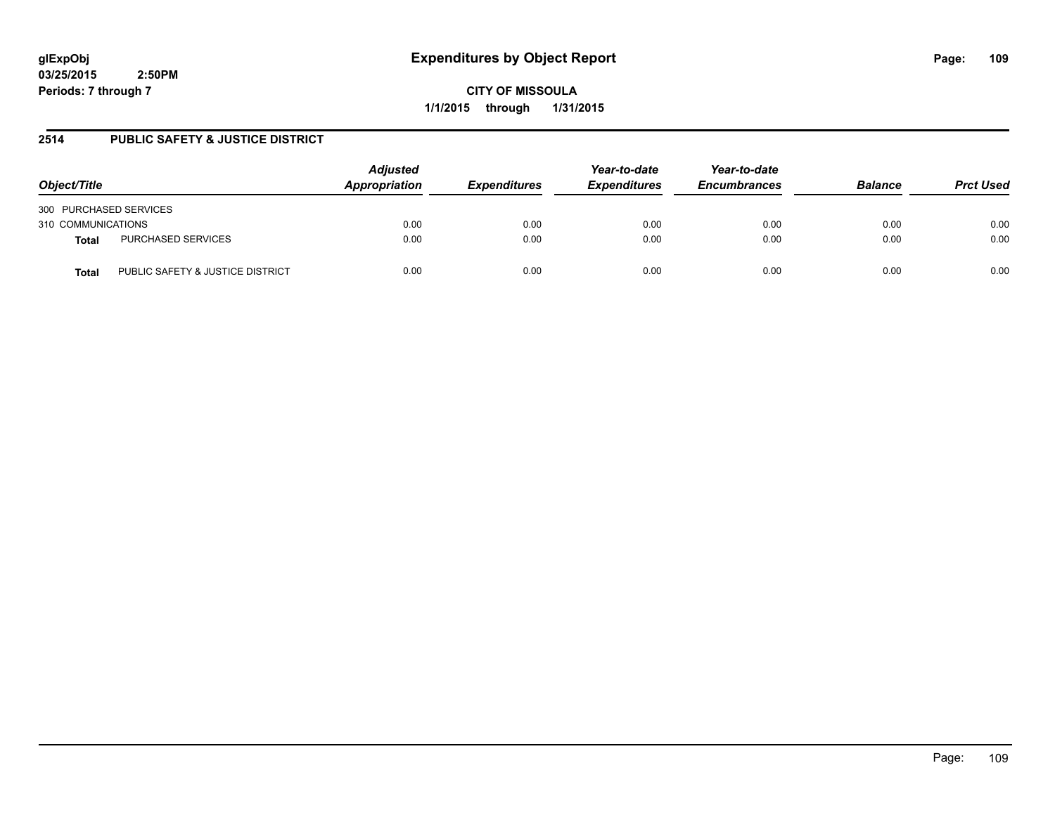**03/25/2015 2:50PM Periods: 7 through 7**

**CITY OF MISSOULA 1/1/2015 through 1/31/2015**

# **2514 PUBLIC SAFETY & JUSTICE DISTRICT**

| Object/Title           |                                  | <b>Adjusted</b><br>Appropriation | <b>Expenditures</b> | Year-to-date<br><b>Expenditures</b> | Year-to-date<br><b>Encumbrances</b> | <b>Balance</b> | <b>Prct Used</b> |
|------------------------|----------------------------------|----------------------------------|---------------------|-------------------------------------|-------------------------------------|----------------|------------------|
| 300 PURCHASED SERVICES |                                  |                                  |                     |                                     |                                     |                |                  |
| 310 COMMUNICATIONS     |                                  | 0.00                             | 0.00                | 0.00                                | 0.00                                | 0.00           | 0.00             |
| <b>Total</b>           | PURCHASED SERVICES               | 0.00                             | 0.00                | 0.00                                | 0.00                                | 0.00           | 0.00             |
| <b>Total</b>           | PUBLIC SAFETY & JUSTICE DISTRICT | 0.00                             | 0.00                | 0.00                                | 0.00                                | 0.00           | 0.00             |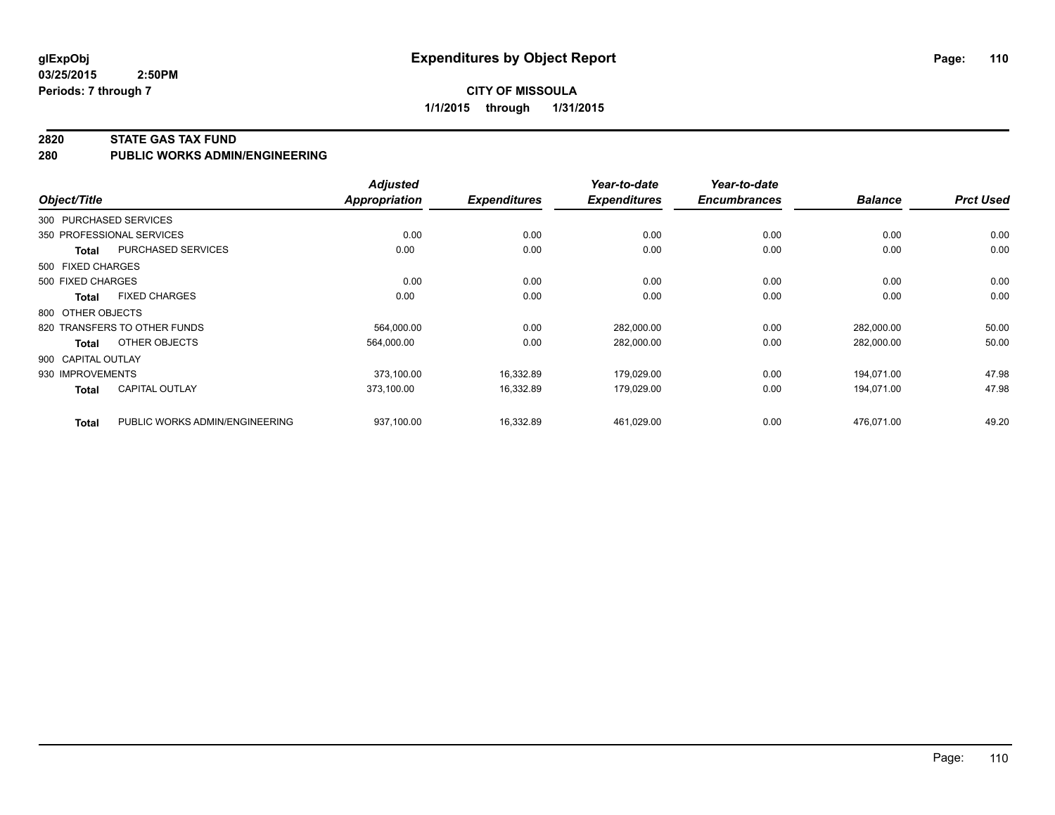**03/25/2015 2:50PM Periods: 7 through 7**

#### **2820 STATE GAS TAX FUND**

**280 PUBLIC WORKS ADMIN/ENGINEERING**

| Object/Title       |                                | <b>Adjusted</b><br><b>Appropriation</b> | <b>Expenditures</b> | Year-to-date<br><b>Expenditures</b> | Year-to-date<br><b>Encumbrances</b> | <b>Balance</b> | <b>Prct Used</b> |
|--------------------|--------------------------------|-----------------------------------------|---------------------|-------------------------------------|-------------------------------------|----------------|------------------|
|                    | 300 PURCHASED SERVICES         |                                         |                     |                                     |                                     |                |                  |
|                    | 350 PROFESSIONAL SERVICES      | 0.00                                    | 0.00                | 0.00                                | 0.00                                | 0.00           | 0.00             |
| <b>Total</b>       | PURCHASED SERVICES             | 0.00                                    | 0.00                | 0.00                                | 0.00                                | 0.00           | 0.00             |
| 500 FIXED CHARGES  |                                |                                         |                     |                                     |                                     |                |                  |
| 500 FIXED CHARGES  |                                | 0.00                                    | 0.00                | 0.00                                | 0.00                                | 0.00           | 0.00             |
| Total              | <b>FIXED CHARGES</b>           | 0.00                                    | 0.00                | 0.00                                | 0.00                                | 0.00           | 0.00             |
| 800 OTHER OBJECTS  |                                |                                         |                     |                                     |                                     |                |                  |
|                    | 820 TRANSFERS TO OTHER FUNDS   | 564,000.00                              | 0.00                | 282,000.00                          | 0.00                                | 282,000.00     | 50.00            |
| Total              | OTHER OBJECTS                  | 564,000.00                              | 0.00                | 282,000.00                          | 0.00                                | 282,000.00     | 50.00            |
| 900 CAPITAL OUTLAY |                                |                                         |                     |                                     |                                     |                |                  |
| 930 IMPROVEMENTS   |                                | 373.100.00                              | 16,332.89           | 179.029.00                          | 0.00                                | 194.071.00     | 47.98            |
| <b>Total</b>       | <b>CAPITAL OUTLAY</b>          | 373,100.00                              | 16,332.89           | 179.029.00                          | 0.00                                | 194,071.00     | 47.98            |
| <b>Total</b>       | PUBLIC WORKS ADMIN/ENGINEERING | 937,100.00                              | 16,332.89           | 461,029.00                          | 0.00                                | 476,071.00     | 49.20            |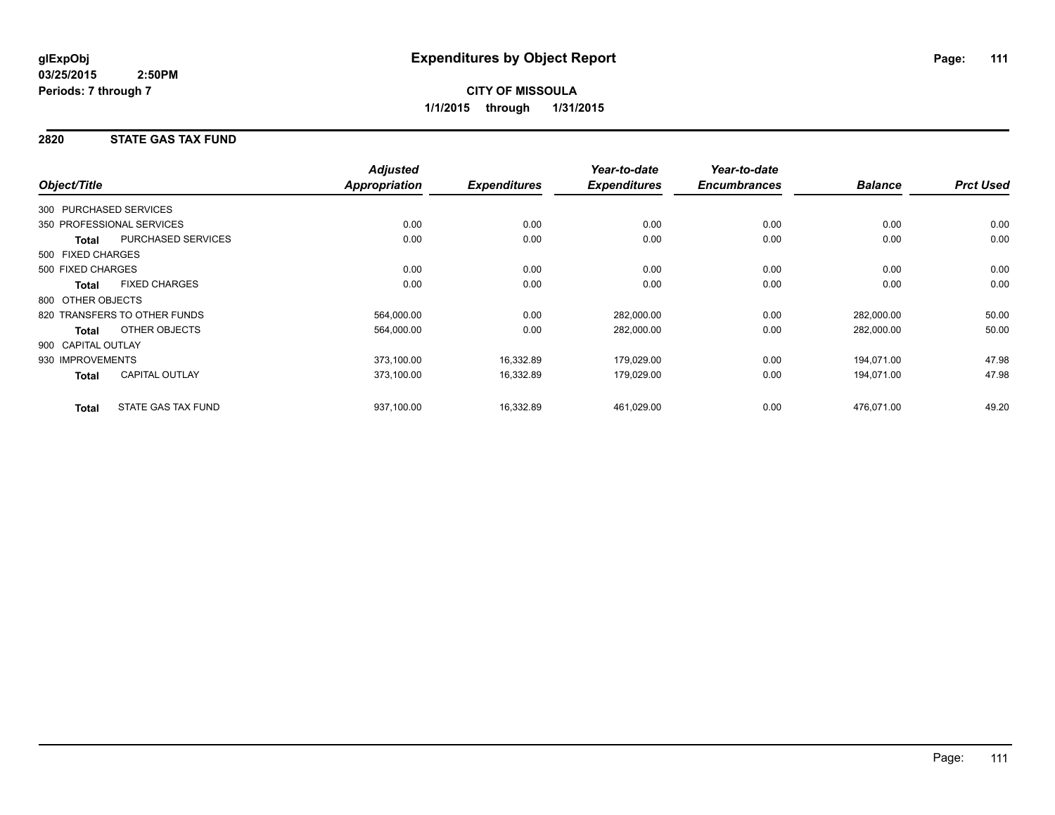### **2820 STATE GAS TAX FUND**

|                        |                              | <b>Adjusted</b>      |                     | Year-to-date        | Year-to-date        |                |                  |
|------------------------|------------------------------|----------------------|---------------------|---------------------|---------------------|----------------|------------------|
| Object/Title           |                              | <b>Appropriation</b> | <b>Expenditures</b> | <b>Expenditures</b> | <b>Encumbrances</b> | <b>Balance</b> | <b>Prct Used</b> |
| 300 PURCHASED SERVICES |                              |                      |                     |                     |                     |                |                  |
|                        | 350 PROFESSIONAL SERVICES    | 0.00                 | 0.00                | 0.00                | 0.00                | 0.00           | 0.00             |
| <b>Total</b>           | PURCHASED SERVICES           | 0.00                 | 0.00                | 0.00                | 0.00                | 0.00           | 0.00             |
| 500 FIXED CHARGES      |                              |                      |                     |                     |                     |                |                  |
| 500 FIXED CHARGES      |                              | 0.00                 | 0.00                | 0.00                | 0.00                | 0.00           | 0.00             |
| <b>Total</b>           | <b>FIXED CHARGES</b>         | 0.00                 | 0.00                | 0.00                | 0.00                | 0.00           | 0.00             |
| 800 OTHER OBJECTS      |                              |                      |                     |                     |                     |                |                  |
|                        | 820 TRANSFERS TO OTHER FUNDS | 564,000.00           | 0.00                | 282,000.00          | 0.00                | 282,000.00     | 50.00            |
| Total                  | OTHER OBJECTS                | 564,000.00           | 0.00                | 282,000.00          | 0.00                | 282,000.00     | 50.00            |
| 900 CAPITAL OUTLAY     |                              |                      |                     |                     |                     |                |                  |
| 930 IMPROVEMENTS       |                              | 373,100.00           | 16,332.89           | 179,029.00          | 0.00                | 194,071.00     | 47.98            |
| Total                  | <b>CAPITAL OUTLAY</b>        | 373,100.00           | 16,332.89           | 179,029.00          | 0.00                | 194,071.00     | 47.98            |
| <b>Total</b>           | STATE GAS TAX FUND           | 937,100.00           | 16,332.89           | 461,029.00          | 0.00                | 476,071.00     | 49.20            |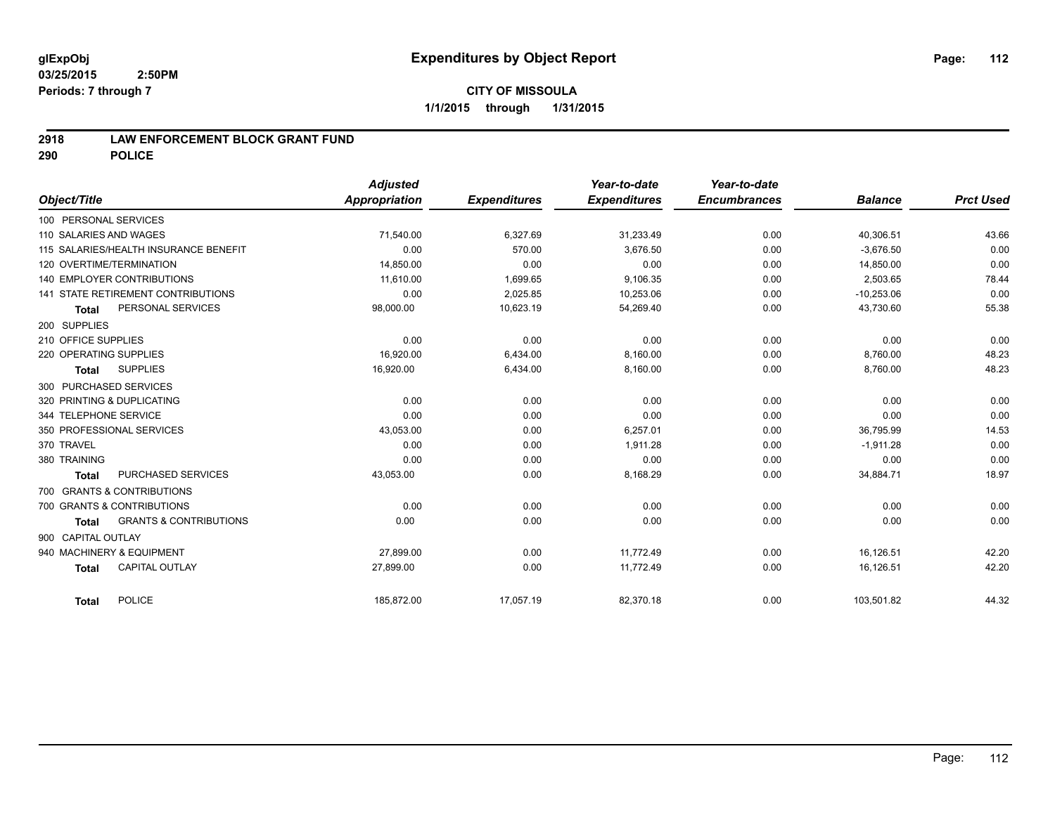### **2918 LAW ENFORCEMENT BLOCK GRANT FUND**

**290 POLICE**

|                                            | <b>Adjusted</b> |                     | Year-to-date        | Year-to-date        |                |                  |
|--------------------------------------------|-----------------|---------------------|---------------------|---------------------|----------------|------------------|
| Object/Title                               | Appropriation   | <b>Expenditures</b> | <b>Expenditures</b> | <b>Encumbrances</b> | <b>Balance</b> | <b>Prct Used</b> |
| 100 PERSONAL SERVICES                      |                 |                     |                     |                     |                |                  |
| 110 SALARIES AND WAGES                     | 71,540.00       | 6,327.69            | 31,233.49           | 0.00                | 40,306.51      | 43.66            |
| 115 SALARIES/HEALTH INSURANCE BENEFIT      | 0.00            | 570.00              | 3,676.50            | 0.00                | $-3,676.50$    | 0.00             |
| 120 OVERTIME/TERMINATION                   | 14,850.00       | 0.00                | 0.00                | 0.00                | 14,850.00      | 0.00             |
| <b>140 EMPLOYER CONTRIBUTIONS</b>          | 11,610.00       | 1,699.65            | 9,106.35            | 0.00                | 2,503.65       | 78.44            |
| 141 STATE RETIREMENT CONTRIBUTIONS         | 0.00            | 2,025.85            | 10,253.06           | 0.00                | $-10,253.06$   | 0.00             |
| PERSONAL SERVICES<br><b>Total</b>          | 98,000.00       | 10,623.19           | 54,269.40           | 0.00                | 43,730.60      | 55.38            |
| 200 SUPPLIES                               |                 |                     |                     |                     |                |                  |
| 210 OFFICE SUPPLIES                        | 0.00            | 0.00                | 0.00                | 0.00                | 0.00           | 0.00             |
| 220 OPERATING SUPPLIES                     | 16.920.00       | 6,434.00            | 8,160.00            | 0.00                | 8,760.00       | 48.23            |
| <b>SUPPLIES</b><br><b>Total</b>            | 16,920.00       | 6,434.00            | 8,160.00            | 0.00                | 8,760.00       | 48.23            |
| 300 PURCHASED SERVICES                     |                 |                     |                     |                     |                |                  |
| 320 PRINTING & DUPLICATING                 | 0.00            | 0.00                | 0.00                | 0.00                | 0.00           | 0.00             |
| 344 TELEPHONE SERVICE                      | 0.00            | 0.00                | 0.00                | 0.00                | 0.00           | 0.00             |
| 350 PROFESSIONAL SERVICES                  | 43,053.00       | 0.00                | 6,257.01            | 0.00                | 36,795.99      | 14.53            |
| 370 TRAVEL                                 | 0.00            | 0.00                | 1,911.28            | 0.00                | $-1,911.28$    | 0.00             |
| 380 TRAINING                               | 0.00            | 0.00                | 0.00                | 0.00                | 0.00           | 0.00             |
| PURCHASED SERVICES<br>Total                | 43,053.00       | 0.00                | 8,168.29            | 0.00                | 34,884.71      | 18.97            |
| 700 GRANTS & CONTRIBUTIONS                 |                 |                     |                     |                     |                |                  |
| 700 GRANTS & CONTRIBUTIONS                 | 0.00            | 0.00                | 0.00                | 0.00                | 0.00           | 0.00             |
| <b>GRANTS &amp; CONTRIBUTIONS</b><br>Total | 0.00            | 0.00                | 0.00                | 0.00                | 0.00           | 0.00             |
| 900 CAPITAL OUTLAY                         |                 |                     |                     |                     |                |                  |
| 940 MACHINERY & EQUIPMENT                  | 27,899.00       | 0.00                | 11,772.49           | 0.00                | 16,126.51      | 42.20            |
| CAPITAL OUTLAY<br><b>Total</b>             | 27,899.00       | 0.00                | 11,772.49           | 0.00                | 16,126.51      | 42.20            |
| POLICE<br>Total                            | 185,872.00      | 17,057.19           | 82,370.18           | 0.00                | 103,501.82     | 44.32            |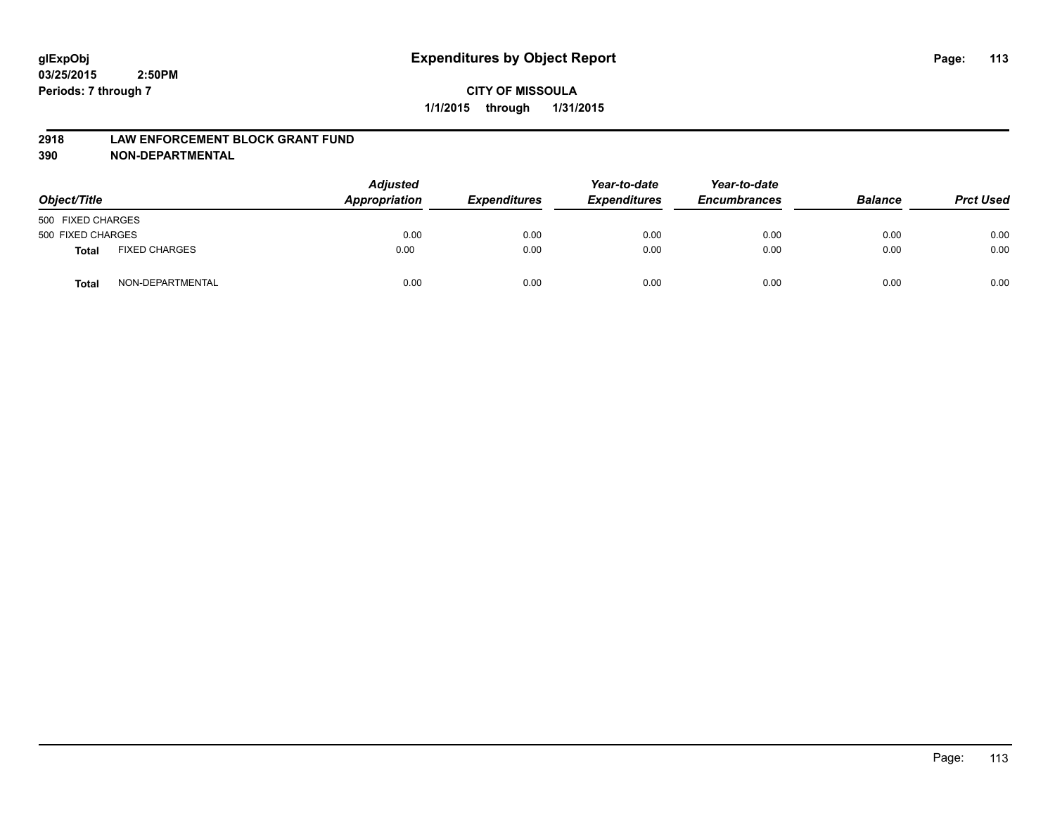#### **2918 LAW ENFORCEMENT BLOCK GRANT FUND**

**390 NON-DEPARTMENTAL**

| Object/Title      |                      | <b>Adjusted</b><br>Appropriation | <b>Expenditures</b> | Year-to-date<br><b>Expenditures</b> | Year-to-date<br><b>Encumbrances</b> | <b>Balance</b> | <b>Prct Used</b> |
|-------------------|----------------------|----------------------------------|---------------------|-------------------------------------|-------------------------------------|----------------|------------------|
| 500 FIXED CHARGES |                      |                                  |                     |                                     |                                     |                |                  |
| 500 FIXED CHARGES |                      | 0.00                             | 0.00                | 0.00                                | 0.00                                | 0.00           | 0.00             |
| <b>Total</b>      | <b>FIXED CHARGES</b> | 0.00                             | 0.00                | 0.00                                | 0.00                                | 0.00           | 0.00             |
| Total             | NON-DEPARTMENTAL     | 0.00                             | 0.00                | 0.00                                | 0.00                                | 0.00           | 0.00             |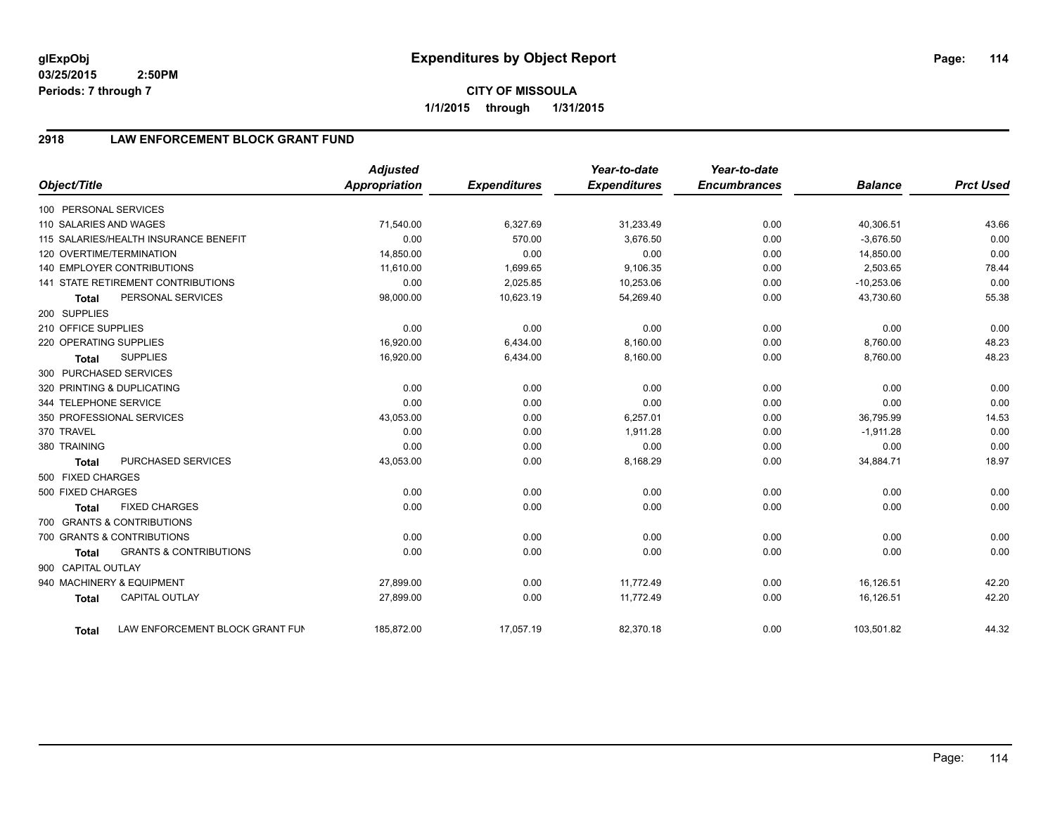**03/25/2015 2:50PM Periods: 7 through 7**

# **2918 LAW ENFORCEMENT BLOCK GRANT FUND**

| Object/Title           |                                           | <b>Adjusted</b><br><b>Appropriation</b> | <b>Expenditures</b> | Year-to-date<br><b>Expenditures</b> | Year-to-date<br><b>Encumbrances</b> | <b>Balance</b> | <b>Prct Used</b> |
|------------------------|-------------------------------------------|-----------------------------------------|---------------------|-------------------------------------|-------------------------------------|----------------|------------------|
| 100 PERSONAL SERVICES  |                                           |                                         |                     |                                     |                                     |                |                  |
| 110 SALARIES AND WAGES |                                           | 71,540.00                               | 6,327.69            | 31,233.49                           | 0.00                                | 40,306.51      | 43.66            |
|                        | 115 SALARIES/HEALTH INSURANCE BENEFIT     | 0.00                                    | 570.00              | 3,676.50                            | 0.00                                | $-3,676.50$    | 0.00             |
|                        | 120 OVERTIME/TERMINATION                  | 14,850.00                               | 0.00                | 0.00                                | 0.00                                | 14,850.00      | 0.00             |
|                        | 140 EMPLOYER CONTRIBUTIONS                | 11,610.00                               | 1,699.65            | 9,106.35                            | 0.00                                | 2,503.65       | 78.44            |
|                        | <b>141 STATE RETIREMENT CONTRIBUTIONS</b> | 0.00                                    | 2,025.85            | 10,253.06                           | 0.00                                | $-10,253.06$   | 0.00             |
| <b>Total</b>           | PERSONAL SERVICES                         | 98,000.00                               | 10,623.19           | 54,269.40                           | 0.00                                | 43,730.60      | 55.38            |
| 200 SUPPLIES           |                                           |                                         |                     |                                     |                                     |                |                  |
| 210 OFFICE SUPPLIES    |                                           | 0.00                                    | 0.00                | 0.00                                | 0.00                                | 0.00           | 0.00             |
| 220 OPERATING SUPPLIES |                                           | 16,920.00                               | 6,434.00            | 8,160.00                            | 0.00                                | 8,760.00       | 48.23            |
| <b>Total</b>           | <b>SUPPLIES</b>                           | 16,920.00                               | 6,434.00            | 8,160.00                            | 0.00                                | 8,760.00       | 48.23            |
| 300 PURCHASED SERVICES |                                           |                                         |                     |                                     |                                     |                |                  |
|                        | 320 PRINTING & DUPLICATING                | 0.00                                    | 0.00                | 0.00                                | 0.00                                | 0.00           | 0.00             |
| 344 TELEPHONE SERVICE  |                                           | 0.00                                    | 0.00                | 0.00                                | 0.00                                | 0.00           | 0.00             |
|                        | 350 PROFESSIONAL SERVICES                 | 43,053.00                               | 0.00                | 6,257.01                            | 0.00                                | 36,795.99      | 14.53            |
| 370 TRAVEL             |                                           | 0.00                                    | 0.00                | 1,911.28                            | 0.00                                | $-1,911.28$    | 0.00             |
| 380 TRAINING           |                                           | 0.00                                    | 0.00                | 0.00                                | 0.00                                | 0.00           | 0.00             |
| <b>Total</b>           | PURCHASED SERVICES                        | 43,053.00                               | 0.00                | 8,168.29                            | 0.00                                | 34,884.71      | 18.97            |
| 500 FIXED CHARGES      |                                           |                                         |                     |                                     |                                     |                |                  |
| 500 FIXED CHARGES      |                                           | 0.00                                    | 0.00                | 0.00                                | 0.00                                | 0.00           | 0.00             |
| <b>Total</b>           | <b>FIXED CHARGES</b>                      | 0.00                                    | 0.00                | 0.00                                | 0.00                                | 0.00           | 0.00             |
|                        | 700 GRANTS & CONTRIBUTIONS                |                                         |                     |                                     |                                     |                |                  |
|                        | 700 GRANTS & CONTRIBUTIONS                | 0.00                                    | 0.00                | 0.00                                | 0.00                                | 0.00           | 0.00             |
| <b>Total</b>           | <b>GRANTS &amp; CONTRIBUTIONS</b>         | 0.00                                    | 0.00                | 0.00                                | 0.00                                | 0.00           | 0.00             |
| 900 CAPITAL OUTLAY     |                                           |                                         |                     |                                     |                                     |                |                  |
|                        | 940 MACHINERY & EQUIPMENT                 | 27,899.00                               | 0.00                | 11,772.49                           | 0.00                                | 16,126.51      | 42.20            |
| <b>Total</b>           | CAPITAL OUTLAY                            | 27,899.00                               | 0.00                | 11,772.49                           | 0.00                                | 16,126.51      | 42.20            |
| <b>Total</b>           | LAW ENFORCEMENT BLOCK GRANT FUN           | 185,872.00                              | 17,057.19           | 82,370.18                           | 0.00                                | 103,501.82     | 44.32            |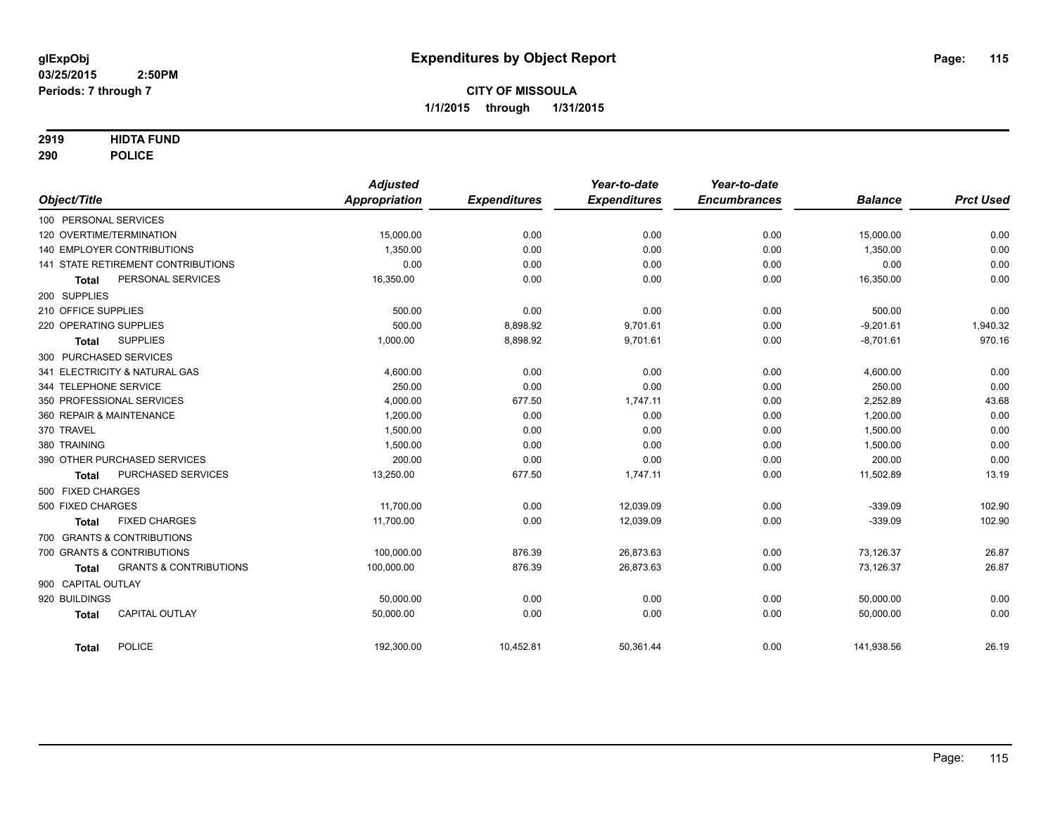### **2919 HIDTA FUND**

**290 POLICE**

|                        |                                           | <b>Adjusted</b><br><b>Appropriation</b> |                     | Year-to-date        | Year-to-date<br><b>Encumbrances</b> | <b>Balance</b> | <b>Prct Used</b> |
|------------------------|-------------------------------------------|-----------------------------------------|---------------------|---------------------|-------------------------------------|----------------|------------------|
| Object/Title           |                                           |                                         | <b>Expenditures</b> | <b>Expenditures</b> |                                     |                |                  |
| 100 PERSONAL SERVICES  |                                           |                                         |                     |                     |                                     |                |                  |
|                        | 120 OVERTIME/TERMINATION                  | 15,000.00                               | 0.00                | 0.00                | 0.00                                | 15,000.00      | 0.00             |
|                        | 140 EMPLOYER CONTRIBUTIONS                | 1,350.00                                | 0.00                | 0.00                | 0.00                                | 1,350.00       | 0.00             |
|                        | <b>141 STATE RETIREMENT CONTRIBUTIONS</b> | 0.00                                    | 0.00                | 0.00                | 0.00                                | 0.00           | 0.00             |
| Total                  | PERSONAL SERVICES                         | 16,350.00                               | 0.00                | 0.00                | 0.00                                | 16,350.00      | 0.00             |
| 200 SUPPLIES           |                                           |                                         |                     |                     |                                     |                |                  |
| 210 OFFICE SUPPLIES    |                                           | 500.00                                  | 0.00                | 0.00                | 0.00                                | 500.00         | 0.00             |
| 220 OPERATING SUPPLIES |                                           | 500.00                                  | 8,898.92            | 9,701.61            | 0.00                                | $-9,201.61$    | 1,940.32         |
| <b>Total</b>           | <b>SUPPLIES</b>                           | 1,000.00                                | 8,898.92            | 9,701.61            | 0.00                                | $-8,701.61$    | 970.16           |
|                        | 300 PURCHASED SERVICES                    |                                         |                     |                     |                                     |                |                  |
|                        | 341 ELECTRICITY & NATURAL GAS             | 4,600.00                                | 0.00                | 0.00                | 0.00                                | 4,600.00       | 0.00             |
| 344 TELEPHONE SERVICE  |                                           | 250.00                                  | 0.00                | 0.00                | 0.00                                | 250.00         | 0.00             |
|                        | 350 PROFESSIONAL SERVICES                 | 4,000.00                                | 677.50              | 1,747.11            | 0.00                                | 2,252.89       | 43.68            |
|                        | 360 REPAIR & MAINTENANCE                  | 1,200.00                                | 0.00                | 0.00                | 0.00                                | 1,200.00       | 0.00             |
| 370 TRAVEL             |                                           | 1,500.00                                | 0.00                | 0.00                | 0.00                                | 1,500.00       | 0.00             |
| 380 TRAINING           |                                           | 1,500.00                                | 0.00                | 0.00                | 0.00                                | 1,500.00       | 0.00             |
|                        | 390 OTHER PURCHASED SERVICES              | 200.00                                  | 0.00                | 0.00                | 0.00                                | 200.00         | 0.00             |
| <b>Total</b>           | PURCHASED SERVICES                        | 13,250.00                               | 677.50              | 1,747.11            | 0.00                                | 11,502.89      | 13.19            |
| 500 FIXED CHARGES      |                                           |                                         |                     |                     |                                     |                |                  |
| 500 FIXED CHARGES      |                                           | 11.700.00                               | 0.00                | 12.039.09           | 0.00                                | $-339.09$      | 102.90           |
| <b>Total</b>           | <b>FIXED CHARGES</b>                      | 11,700.00                               | 0.00                | 12,039.09           | 0.00                                | $-339.09$      | 102.90           |
|                        | 700 GRANTS & CONTRIBUTIONS                |                                         |                     |                     |                                     |                |                  |
|                        | 700 GRANTS & CONTRIBUTIONS                | 100.000.00                              | 876.39              | 26,873.63           | 0.00                                | 73,126.37      | 26.87            |
| <b>Total</b>           | <b>GRANTS &amp; CONTRIBUTIONS</b>         | 100,000.00                              | 876.39              | 26,873.63           | 0.00                                | 73,126.37      | 26.87            |
| 900 CAPITAL OUTLAY     |                                           |                                         |                     |                     |                                     |                |                  |
| 920 BUILDINGS          |                                           | 50,000.00                               | 0.00                | 0.00                | 0.00                                | 50,000.00      | 0.00             |
| <b>Total</b>           | <b>CAPITAL OUTLAY</b>                     | 50,000.00                               | 0.00                | 0.00                | 0.00                                | 50,000.00      | 0.00             |
|                        |                                           |                                         |                     |                     |                                     |                |                  |
| <b>Total</b>           | <b>POLICE</b>                             | 192,300.00                              | 10,452.81           | 50,361.44           | 0.00                                | 141,938.56     | 26.19            |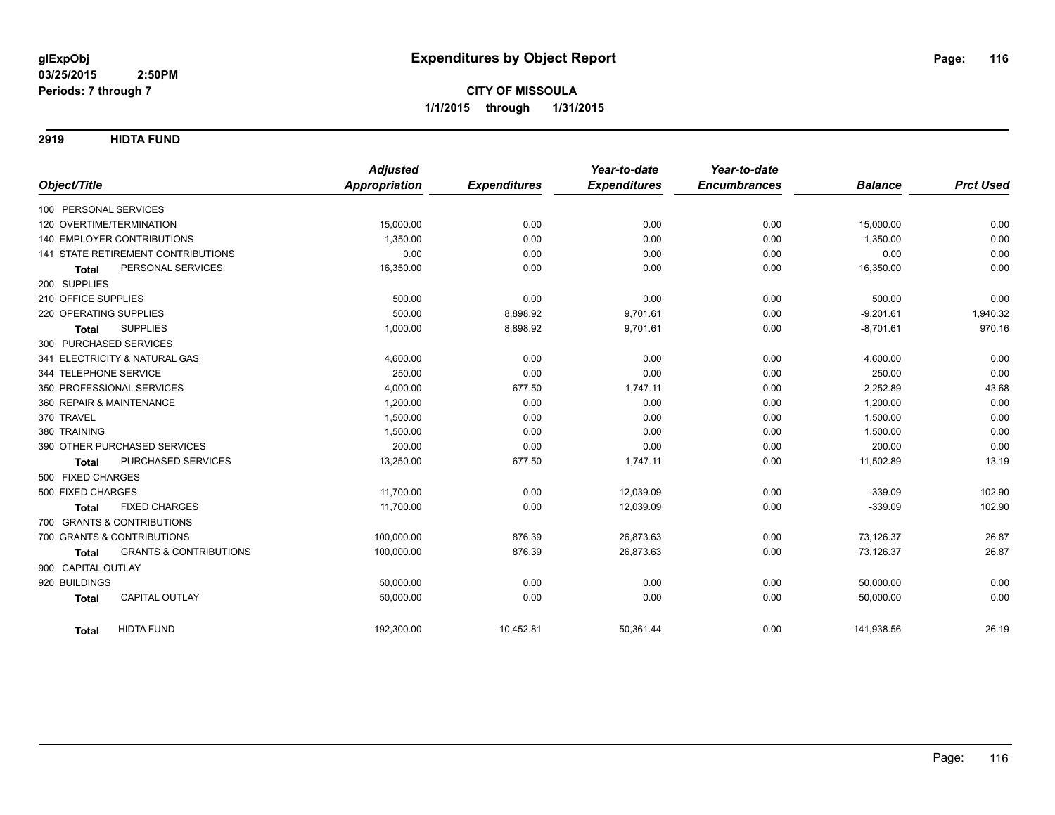**2919 HIDTA FUND**

|                                                   | <b>Adjusted</b>      |                     | Year-to-date        | Year-to-date<br><b>Encumbrances</b> |                |                  |
|---------------------------------------------------|----------------------|---------------------|---------------------|-------------------------------------|----------------|------------------|
| Object/Title                                      | <b>Appropriation</b> | <b>Expenditures</b> | <b>Expenditures</b> |                                     | <b>Balance</b> | <b>Prct Used</b> |
| 100 PERSONAL SERVICES                             |                      |                     |                     |                                     |                |                  |
| 120 OVERTIME/TERMINATION                          | 15,000.00            | 0.00                | 0.00                | 0.00                                | 15,000.00      | 0.00             |
| 140 EMPLOYER CONTRIBUTIONS                        | 1,350.00             | 0.00                | 0.00                | 0.00                                | 1,350.00       | 0.00             |
| <b>141 STATE RETIREMENT CONTRIBUTIONS</b>         | 0.00                 | 0.00                | 0.00                | 0.00                                | 0.00           | 0.00             |
| PERSONAL SERVICES<br><b>Total</b>                 | 16,350.00            | 0.00                | 0.00                | 0.00                                | 16,350.00      | 0.00             |
| 200 SUPPLIES                                      |                      |                     |                     |                                     |                |                  |
| 210 OFFICE SUPPLIES                               | 500.00               | 0.00                | 0.00                | 0.00                                | 500.00         | 0.00             |
| 220 OPERATING SUPPLIES                            | 500.00               | 8,898.92            | 9,701.61            | 0.00                                | $-9,201.61$    | 1,940.32         |
| <b>SUPPLIES</b><br><b>Total</b>                   | 1,000.00             | 8,898.92            | 9,701.61            | 0.00                                | $-8,701.61$    | 970.16           |
| 300 PURCHASED SERVICES                            |                      |                     |                     |                                     |                |                  |
| 341 ELECTRICITY & NATURAL GAS                     | 4,600.00             | 0.00                | 0.00                | 0.00                                | 4,600.00       | 0.00             |
| 344 TELEPHONE SERVICE                             | 250.00               | 0.00                | 0.00                | 0.00                                | 250.00         | 0.00             |
| 350 PROFESSIONAL SERVICES                         | 4,000.00             | 677.50              | 1,747.11            | 0.00                                | 2,252.89       | 43.68            |
| 360 REPAIR & MAINTENANCE                          | 1,200.00             | 0.00                | 0.00                | 0.00                                | 1,200.00       | 0.00             |
| 370 TRAVEL                                        | 1,500.00             | 0.00                | 0.00                | 0.00                                | 1,500.00       | 0.00             |
| 380 TRAINING                                      | 1,500.00             | 0.00                | 0.00                | 0.00                                | 1,500.00       | 0.00             |
| 390 OTHER PURCHASED SERVICES                      | 200.00               | 0.00                | 0.00                | 0.00                                | 200.00         | 0.00             |
| PURCHASED SERVICES<br><b>Total</b>                | 13,250.00            | 677.50              | 1,747.11            | 0.00                                | 11,502.89      | 13.19            |
| 500 FIXED CHARGES                                 |                      |                     |                     |                                     |                |                  |
| 500 FIXED CHARGES                                 | 11,700.00            | 0.00                | 12,039.09           | 0.00                                | $-339.09$      | 102.90           |
| <b>FIXED CHARGES</b><br><b>Total</b>              | 11,700.00            | 0.00                | 12,039.09           | 0.00                                | $-339.09$      | 102.90           |
| 700 GRANTS & CONTRIBUTIONS                        |                      |                     |                     |                                     |                |                  |
| 700 GRANTS & CONTRIBUTIONS                        | 100,000.00           | 876.39              | 26,873.63           | 0.00                                | 73,126.37      | 26.87            |
| <b>GRANTS &amp; CONTRIBUTIONS</b><br><b>Total</b> | 100,000.00           | 876.39              | 26,873.63           | 0.00                                | 73,126.37      | 26.87            |
| 900 CAPITAL OUTLAY                                |                      |                     |                     |                                     |                |                  |
| 920 BUILDINGS                                     | 50,000.00            | 0.00                | 0.00                | 0.00                                | 50,000.00      | 0.00             |
| CAPITAL OUTLAY<br><b>Total</b>                    | 50,000.00            | 0.00                | 0.00                | 0.00                                | 50,000.00      | 0.00             |
|                                                   |                      |                     |                     |                                     |                |                  |
| <b>HIDTA FUND</b><br><b>Total</b>                 | 192,300.00           | 10,452.81           | 50,361.44           | 0.00                                | 141,938.56     | 26.19            |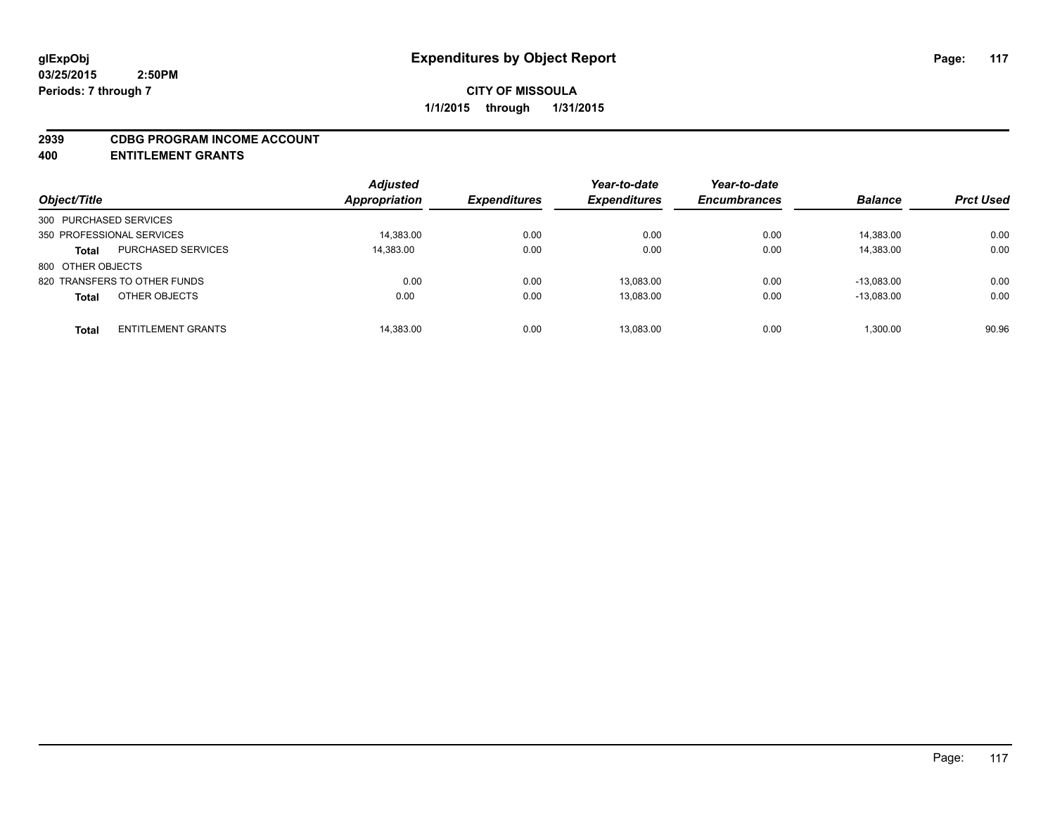#### **2939 CDBG PROGRAM INCOME ACCOUNT**

**400 ENTITLEMENT GRANTS**

| Object/Title                              | <b>Adjusted</b><br><b>Appropriation</b> |           | <b>Expenditures</b> | Year-to-date<br><b>Expenditures</b> | Year-to-date<br><b>Encumbrances</b> | <b>Balance</b> | <b>Prct Used</b> |
|-------------------------------------------|-----------------------------------------|-----------|---------------------|-------------------------------------|-------------------------------------|----------------|------------------|
| 300 PURCHASED SERVICES                    |                                         |           |                     |                                     |                                     |                |                  |
| 350 PROFESSIONAL SERVICES                 |                                         | 14,383.00 | 0.00                | 0.00                                | 0.00                                | 14,383.00      | 0.00             |
| <b>PURCHASED SERVICES</b><br><b>Total</b> | 14,383.00                               |           | 0.00                | 0.00                                | 0.00                                | 14,383.00      | 0.00             |
| 800 OTHER OBJECTS                         |                                         |           |                     |                                     |                                     |                |                  |
| 820 TRANSFERS TO OTHER FUNDS              |                                         | 0.00      | 0.00                | 13.083.00                           | 0.00                                | $-13.083.00$   | 0.00             |
| OTHER OBJECTS<br><b>Total</b>             |                                         | 0.00      | 0.00                | 13,083.00                           | 0.00                                | $-13.083.00$   | 0.00             |
| <b>ENTITLEMENT GRANTS</b><br><b>Total</b> |                                         | 14,383.00 | 0.00                | 13.083.00                           | 0.00                                | 1.300.00       | 90.96            |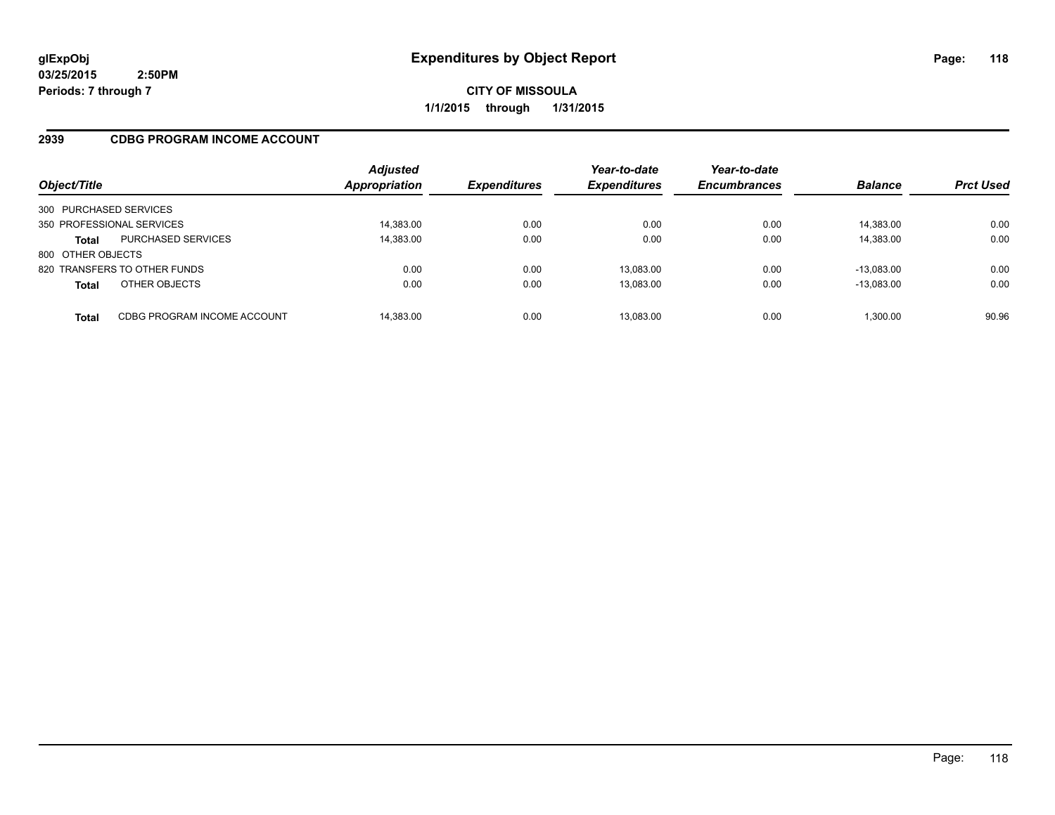**03/25/2015 2:50PM Periods: 7 through 7**

**CITY OF MISSOULA 1/1/2015 through 1/31/2015**

### **2939 CDBG PROGRAM INCOME ACCOUNT**

| Object/Title              |                              | <b>Adjusted</b><br><b>Appropriation</b> | <b>Expenditures</b> | Year-to-date<br><b>Expenditures</b> | Year-to-date<br><b>Encumbrances</b> | <b>Balance</b> | <b>Prct Used</b> |
|---------------------------|------------------------------|-----------------------------------------|---------------------|-------------------------------------|-------------------------------------|----------------|------------------|
| 300 PURCHASED SERVICES    |                              |                                         |                     |                                     |                                     |                |                  |
| 350 PROFESSIONAL SERVICES |                              | 14,383.00                               | 0.00                | 0.00                                | 0.00                                | 14,383.00      | 0.00             |
| <b>Total</b>              | <b>PURCHASED SERVICES</b>    | 14,383.00                               | 0.00                | 0.00                                | 0.00                                | 14,383.00      | 0.00             |
| 800 OTHER OBJECTS         |                              |                                         |                     |                                     |                                     |                |                  |
|                           | 820 TRANSFERS TO OTHER FUNDS | 0.00                                    | 0.00                | 13.083.00                           | 0.00                                | $-13.083.00$   | 0.00             |
| <b>Total</b>              | OTHER OBJECTS                | 0.00                                    | 0.00                | 13,083.00                           | 0.00                                | $-13,083.00$   | 0.00             |
| Total                     | CDBG PROGRAM INCOME ACCOUNT  | 14,383.00                               | 0.00                | 13.083.00                           | 0.00                                | 1,300.00       | 90.96            |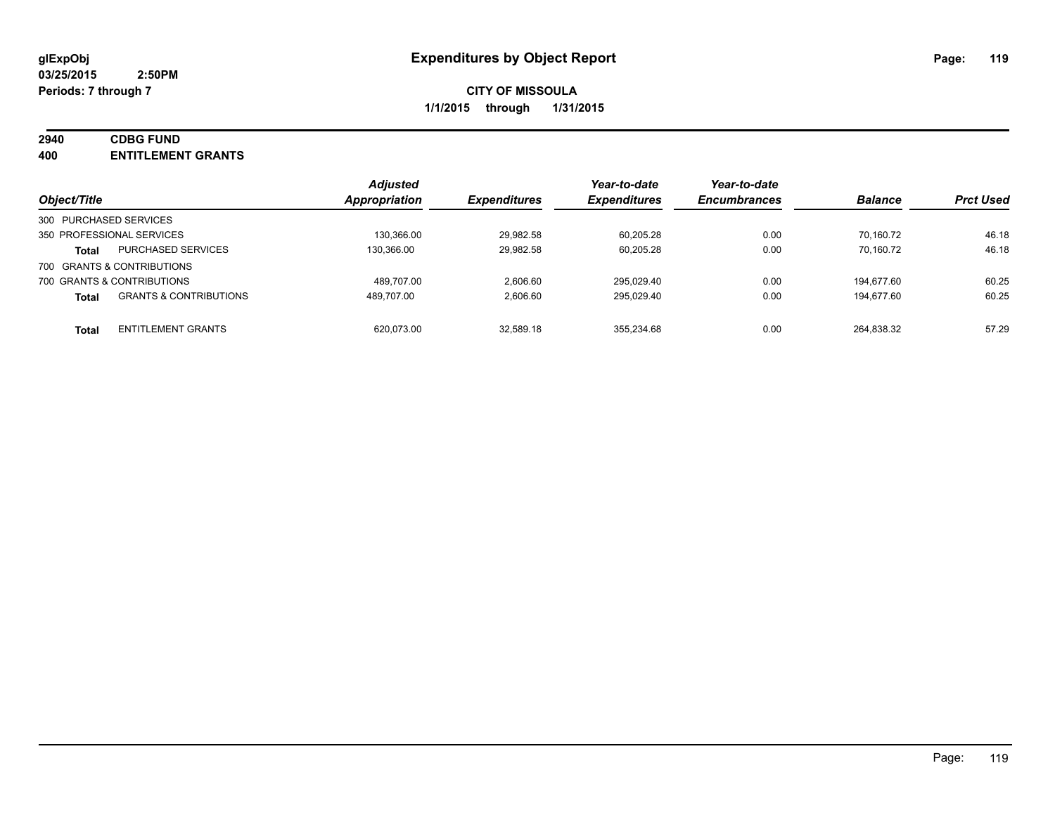### **2940 CDBG FUND**

**400 ENTITLEMENT GRANTS**

| Object/Title                                      | <b>Adjusted</b><br><b>Appropriation</b> | <b>Expenditures</b> | Year-to-date<br><b>Expenditures</b> | Year-to-date<br><b>Encumbrances</b> | <b>Balance</b> | <b>Prct Used</b> |
|---------------------------------------------------|-----------------------------------------|---------------------|-------------------------------------|-------------------------------------|----------------|------------------|
| 300 PURCHASED SERVICES                            |                                         |                     |                                     |                                     |                |                  |
| 350 PROFESSIONAL SERVICES                         | 130,366.00                              | 29,982.58           | 60.205.28                           | 0.00                                | 70.160.72      | 46.18            |
| PURCHASED SERVICES<br><b>Total</b>                | 130,366.00                              | 29,982.58           | 60,205.28                           | 0.00                                | 70.160.72      | 46.18            |
| 700 GRANTS & CONTRIBUTIONS                        |                                         |                     |                                     |                                     |                |                  |
| 700 GRANTS & CONTRIBUTIONS                        | 489.707.00                              | 2.606.60            | 295.029.40                          | 0.00                                | 194.677.60     | 60.25            |
| <b>GRANTS &amp; CONTRIBUTIONS</b><br><b>Total</b> | 489.707.00                              | 2,606.60            | 295,029.40                          | 0.00                                | 194.677.60     | 60.25            |
|                                                   |                                         |                     |                                     |                                     |                |                  |
| <b>ENTITLEMENT GRANTS</b><br><b>Total</b>         | 620.073.00                              | 32,589.18           | 355,234.68                          | 0.00                                | 264.838.32     | 57.29            |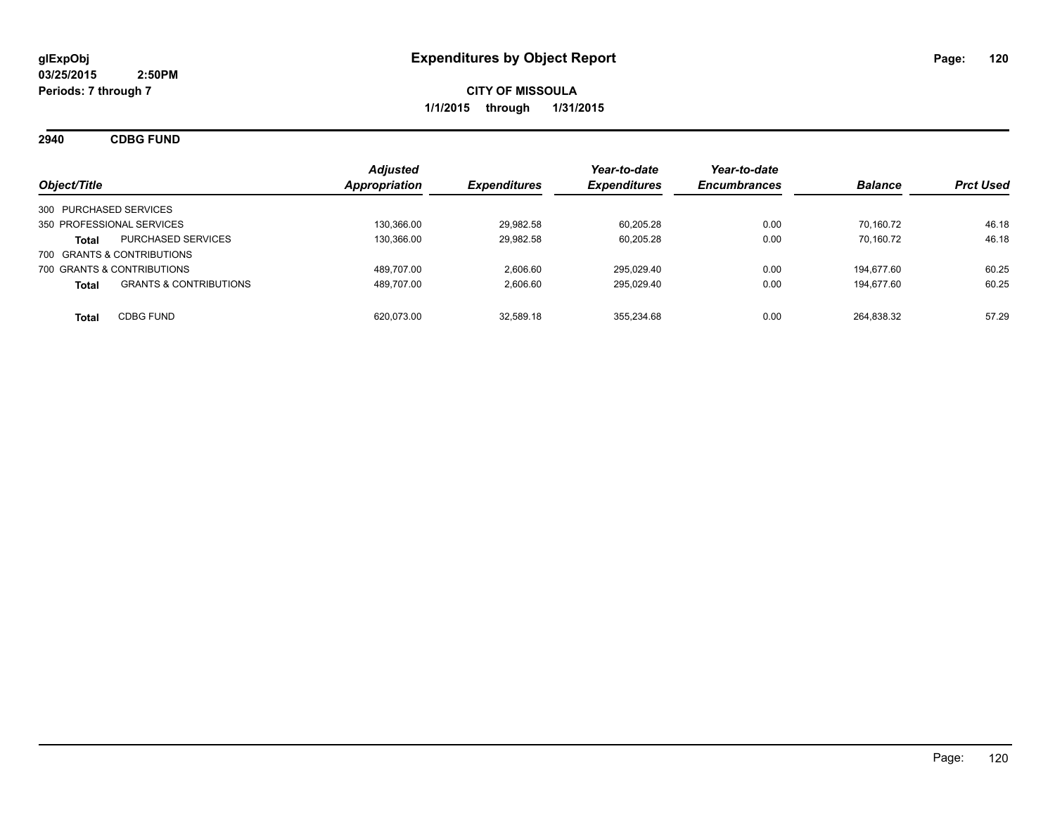**2940 CDBG FUND**

| Object/Title               |                                   | <b>Adjusted</b><br><b>Appropriation</b> | <b>Expenditures</b> | Year-to-date<br><b>Expenditures</b> | Year-to-date<br><b>Encumbrances</b> | <b>Balance</b> | <b>Prct Used</b> |
|----------------------------|-----------------------------------|-----------------------------------------|---------------------|-------------------------------------|-------------------------------------|----------------|------------------|
| 300 PURCHASED SERVICES     |                                   |                                         |                     |                                     |                                     |                |                  |
| 350 PROFESSIONAL SERVICES  |                                   | 130.366.00                              | 29.982.58           | 60.205.28                           | 0.00                                | 70.160.72      | 46.18            |
| Total                      | <b>PURCHASED SERVICES</b>         | 130.366.00                              | 29.982.58           | 60,205.28                           | 0.00                                | 70.160.72      | 46.18            |
| 700 GRANTS & CONTRIBUTIONS |                                   |                                         |                     |                                     |                                     |                |                  |
| 700 GRANTS & CONTRIBUTIONS |                                   | 489.707.00                              | 2.606.60            | 295.029.40                          | 0.00                                | 194.677.60     | 60.25            |
| <b>Total</b>               | <b>GRANTS &amp; CONTRIBUTIONS</b> | 489.707.00                              | 2.606.60            | 295.029.40                          | 0.00                                | 194.677.60     | 60.25            |
| Total                      | <b>CDBG FUND</b>                  | 620.073.00                              | 32.589.18           | 355.234.68                          | 0.00                                | 264.838.32     | 57.29            |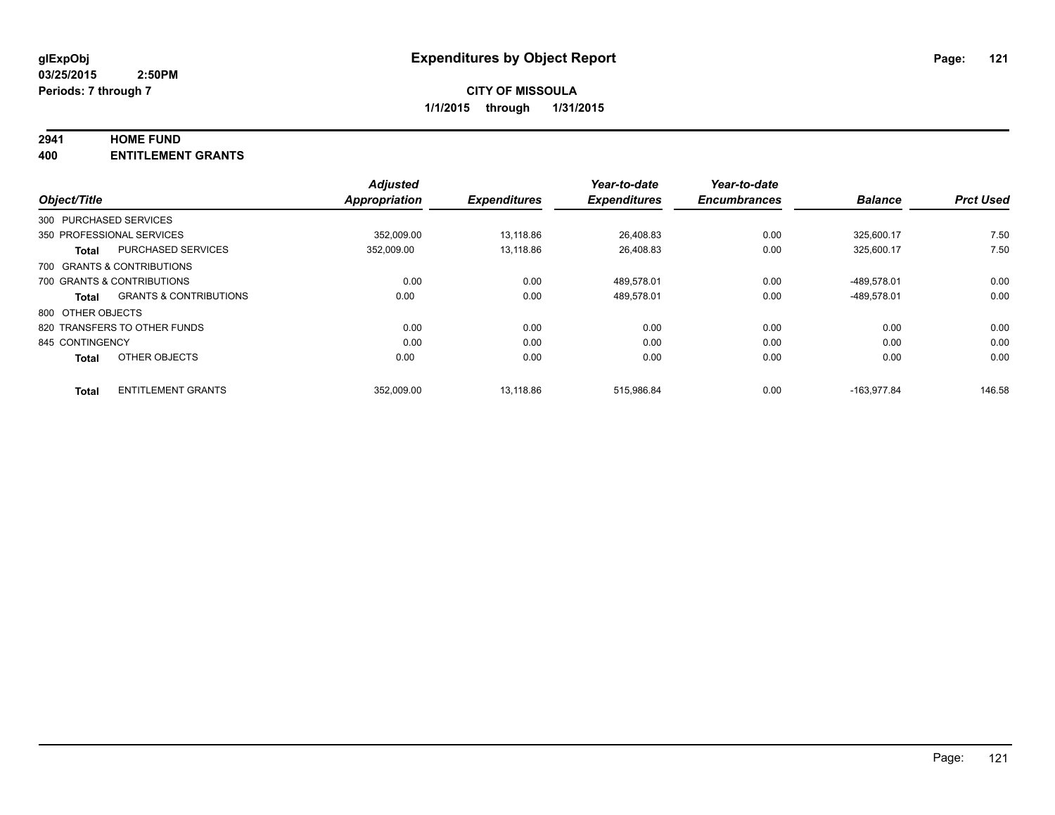#### **2941 HOME FUND**

**400 ENTITLEMENT GRANTS**

|                              |                                   | <b>Adjusted</b>      |                     | Year-to-date        | Year-to-date        |                |                  |
|------------------------------|-----------------------------------|----------------------|---------------------|---------------------|---------------------|----------------|------------------|
| Object/Title                 |                                   | <b>Appropriation</b> | <b>Expenditures</b> | <b>Expenditures</b> | <b>Encumbrances</b> | <b>Balance</b> | <b>Prct Used</b> |
| 300 PURCHASED SERVICES       |                                   |                      |                     |                     |                     |                |                  |
| 350 PROFESSIONAL SERVICES    |                                   | 352.009.00           | 13.118.86           | 26.408.83           | 0.00                | 325.600.17     | 7.50             |
| Total                        | <b>PURCHASED SERVICES</b>         | 352.009.00           | 13.118.86           | 26.408.83           | 0.00                | 325.600.17     | 7.50             |
| 700 GRANTS & CONTRIBUTIONS   |                                   |                      |                     |                     |                     |                |                  |
| 700 GRANTS & CONTRIBUTIONS   |                                   | 0.00                 | 0.00                | 489,578.01          | 0.00                | -489,578.01    | 0.00             |
| Total                        | <b>GRANTS &amp; CONTRIBUTIONS</b> | 0.00                 | 0.00                | 489.578.01          | 0.00                | -489.578.01    | 0.00             |
| 800 OTHER OBJECTS            |                                   |                      |                     |                     |                     |                |                  |
| 820 TRANSFERS TO OTHER FUNDS |                                   | 0.00                 | 0.00                | 0.00                | 0.00                | 0.00           | 0.00             |
| 845 CONTINGENCY              |                                   | 0.00                 | 0.00                | 0.00                | 0.00                | 0.00           | 0.00             |
| <b>Total</b>                 | OTHER OBJECTS                     | 0.00                 | 0.00                | 0.00                | 0.00                | 0.00           | 0.00             |
| <b>Total</b>                 | <b>ENTITLEMENT GRANTS</b>         | 352.009.00           | 13.118.86           | 515.986.84          | 0.00                | -163.977.84    | 146.58           |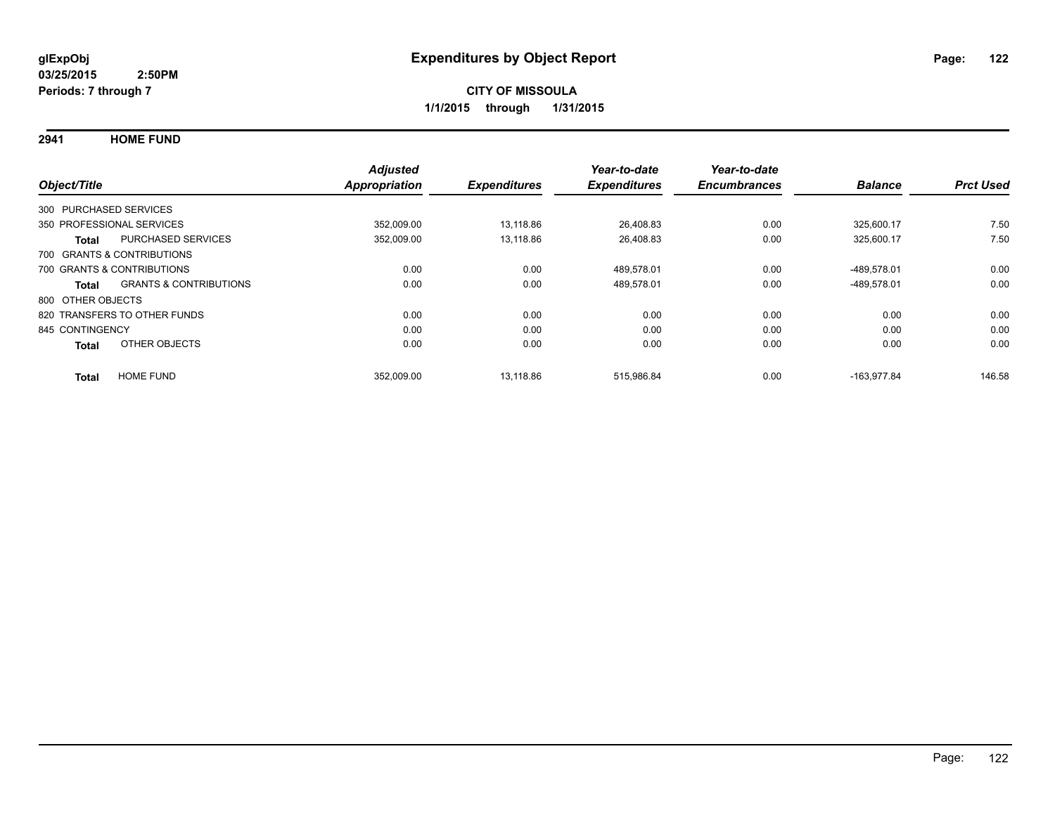**2941 HOME FUND**

|                   |                                   | <b>Adjusted</b>      |                     | Year-to-date        | Year-to-date        |                |                  |
|-------------------|-----------------------------------|----------------------|---------------------|---------------------|---------------------|----------------|------------------|
| Object/Title      |                                   | <b>Appropriation</b> | <b>Expenditures</b> | <b>Expenditures</b> | <b>Encumbrances</b> | <b>Balance</b> | <b>Prct Used</b> |
|                   | 300 PURCHASED SERVICES            |                      |                     |                     |                     |                |                  |
|                   | 350 PROFESSIONAL SERVICES         | 352,009.00           | 13,118.86           | 26,408.83           | 0.00                | 325,600.17     | 7.50             |
| <b>Total</b>      | <b>PURCHASED SERVICES</b>         | 352,009.00           | 13,118.86           | 26,408.83           | 0.00                | 325,600.17     | 7.50             |
|                   | 700 GRANTS & CONTRIBUTIONS        |                      |                     |                     |                     |                |                  |
|                   | 700 GRANTS & CONTRIBUTIONS        | 0.00                 | 0.00                | 489.578.01          | 0.00                | -489.578.01    | 0.00             |
| Total             | <b>GRANTS &amp; CONTRIBUTIONS</b> | 0.00                 | 0.00                | 489,578.01          | 0.00                | -489,578.01    | 0.00             |
| 800 OTHER OBJECTS |                                   |                      |                     |                     |                     |                |                  |
|                   | 820 TRANSFERS TO OTHER FUNDS      | 0.00                 | 0.00                | 0.00                | 0.00                | 0.00           | 0.00             |
| 845 CONTINGENCY   |                                   | 0.00                 | 0.00                | 0.00                | 0.00                | 0.00           | 0.00             |
| <b>Total</b>      | OTHER OBJECTS                     | 0.00                 | 0.00                | 0.00                | 0.00                | 0.00           | 0.00             |
| <b>Total</b>      | <b>HOME FUND</b>                  | 352,009.00           | 13.118.86           | 515.986.84          | 0.00                | $-163.977.84$  | 146.58           |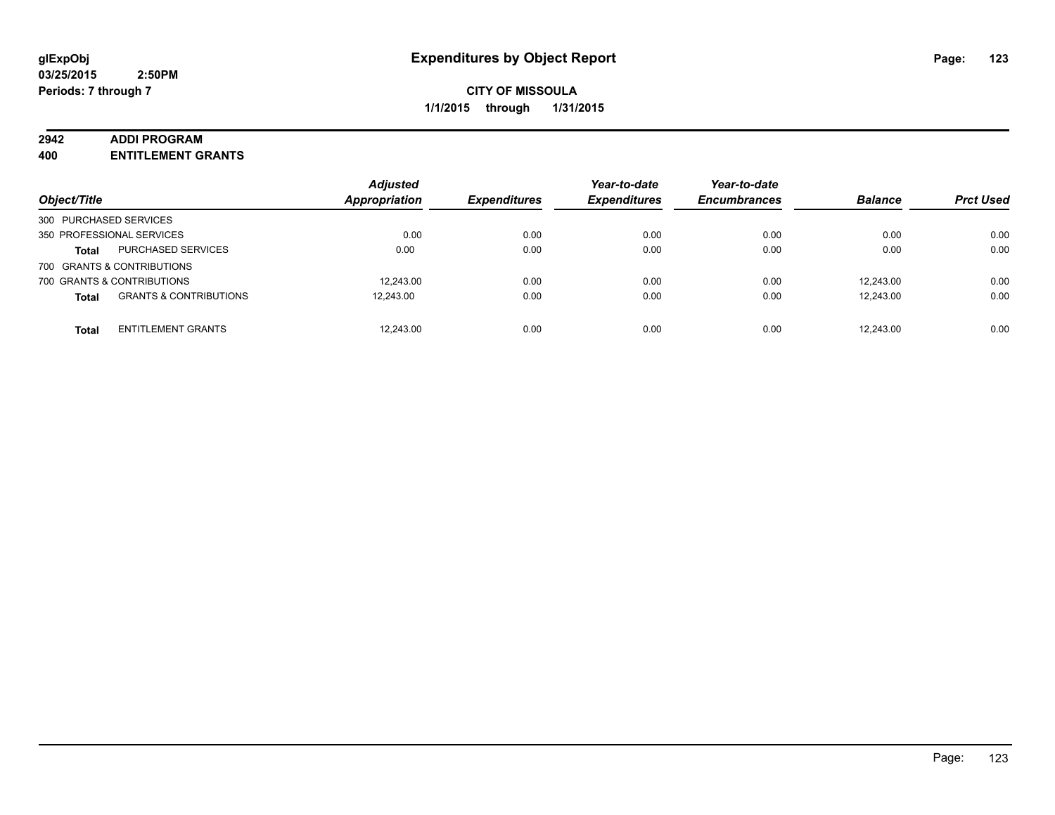#### **2942 ADDI PROGRAM**

**400 ENTITLEMENT GRANTS**

| Object/Title               |                                   | <b>Adjusted</b><br><b>Appropriation</b> | <b>Expenditures</b> | Year-to-date<br><b>Expenditures</b> | Year-to-date<br><b>Encumbrances</b> | <b>Balance</b> | <b>Prct Used</b> |
|----------------------------|-----------------------------------|-----------------------------------------|---------------------|-------------------------------------|-------------------------------------|----------------|------------------|
| 300 PURCHASED SERVICES     |                                   |                                         |                     |                                     |                                     |                |                  |
| 350 PROFESSIONAL SERVICES  |                                   | 0.00                                    | 0.00                | 0.00                                | 0.00                                | 0.00           | 0.00             |
| <b>Total</b>               | <b>PURCHASED SERVICES</b>         | 0.00                                    | 0.00                | 0.00                                | 0.00                                | 0.00           | 0.00             |
| 700 GRANTS & CONTRIBUTIONS |                                   |                                         |                     |                                     |                                     |                |                  |
| 700 GRANTS & CONTRIBUTIONS |                                   | 12.243.00                               | 0.00                | 0.00                                | 0.00                                | 12.243.00      | 0.00             |
| <b>Total</b>               | <b>GRANTS &amp; CONTRIBUTIONS</b> | 12.243.00                               | 0.00                | 0.00                                | 0.00                                | 12.243.00      | 0.00             |
| <b>Total</b>               | <b>ENTITLEMENT GRANTS</b>         | 12,243.00                               | 0.00                | 0.00                                | 0.00                                | 12.243.00      | 0.00             |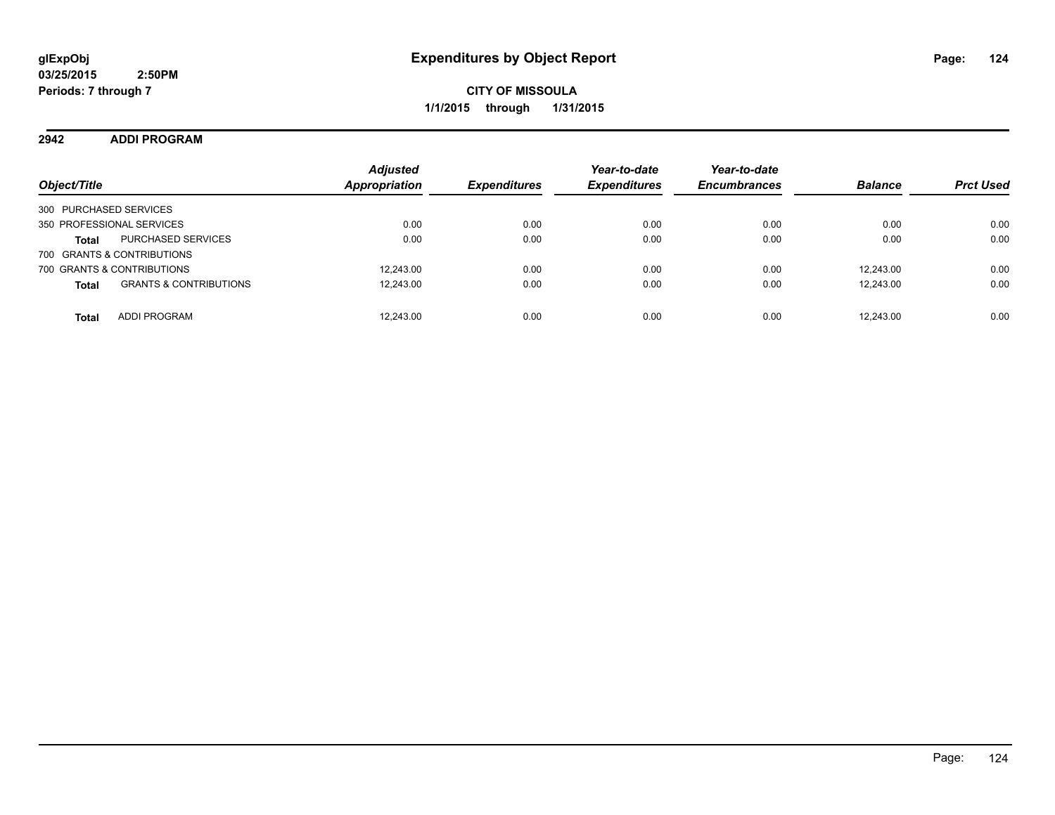**2942 ADDI PROGRAM**

| Object/Title                                      | <b>Adjusted</b><br><b>Appropriation</b> | <i><b>Expenditures</b></i> | Year-to-date<br><b>Expenditures</b> | Year-to-date<br><b>Encumbrances</b> | <b>Balance</b> | <b>Prct Used</b> |
|---------------------------------------------------|-----------------------------------------|----------------------------|-------------------------------------|-------------------------------------|----------------|------------------|
| 300 PURCHASED SERVICES                            |                                         |                            |                                     |                                     |                |                  |
| 350 PROFESSIONAL SERVICES                         | 0.00                                    | 0.00                       | 0.00                                | 0.00                                | 0.00           | 0.00             |
| <b>PURCHASED SERVICES</b><br><b>Total</b>         | 0.00                                    | 0.00                       | 0.00                                | 0.00                                | 0.00           | 0.00             |
| 700 GRANTS & CONTRIBUTIONS                        |                                         |                            |                                     |                                     |                |                  |
| 700 GRANTS & CONTRIBUTIONS                        | 12,243.00                               | 0.00                       | 0.00                                | 0.00                                | 12.243.00      | 0.00             |
| <b>GRANTS &amp; CONTRIBUTIONS</b><br><b>Total</b> | 12,243.00                               | 0.00                       | 0.00                                | 0.00                                | 12,243.00      | 0.00             |
| <b>ADDI PROGRAM</b><br><b>Total</b>               | 12.243.00                               | 0.00                       | 0.00                                | 0.00                                | 12.243.00      | 0.00             |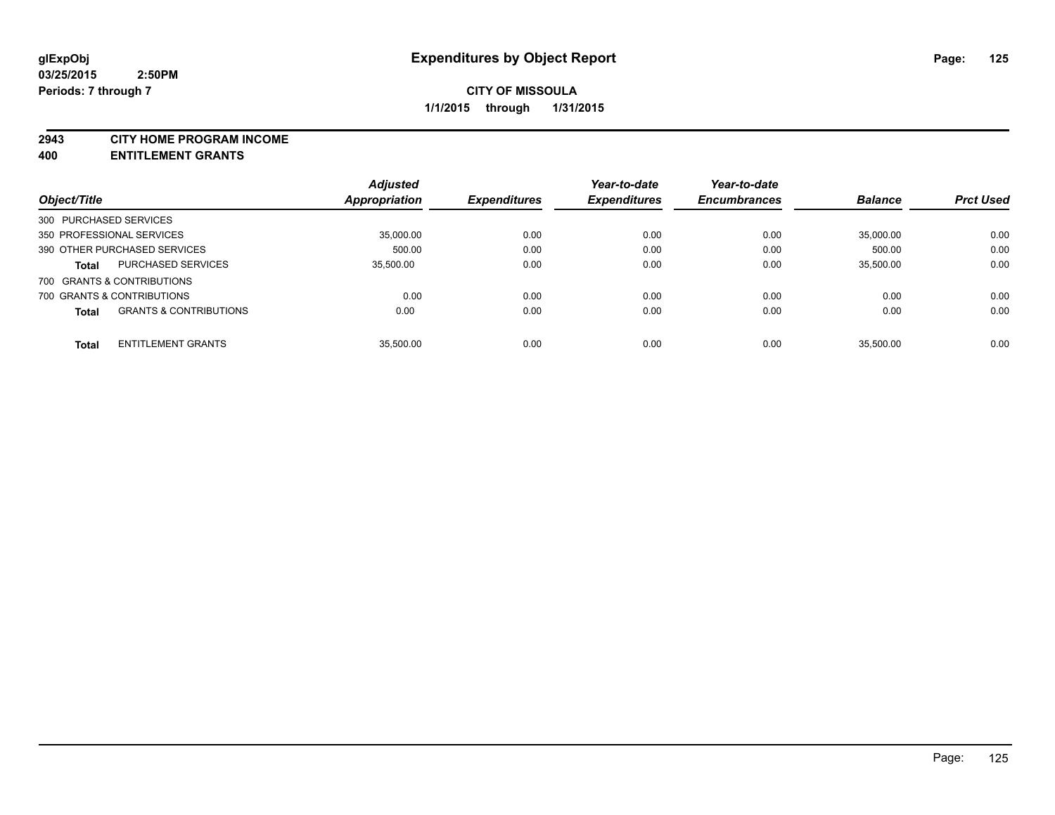#### **2943 CITY HOME PROGRAM INCOME**

**400 ENTITLEMENT GRANTS**

|                        |                                   | <b>Adjusted</b> |                     | Year-to-date        | Year-to-date        |                |                  |
|------------------------|-----------------------------------|-----------------|---------------------|---------------------|---------------------|----------------|------------------|
| Object/Title           |                                   | Appropriation   | <b>Expenditures</b> | <b>Expenditures</b> | <b>Encumbrances</b> | <b>Balance</b> | <b>Prct Used</b> |
| 300 PURCHASED SERVICES |                                   |                 |                     |                     |                     |                |                  |
|                        | 350 PROFESSIONAL SERVICES         | 35.000.00       | 0.00                | 0.00                | 0.00                | 35.000.00      | 0.00             |
|                        | 390 OTHER PURCHASED SERVICES      | 500.00          | 0.00                | 0.00                | 0.00                | 500.00         | 0.00             |
| <b>Total</b>           | <b>PURCHASED SERVICES</b>         | 35.500.00       | 0.00                | 0.00                | 0.00                | 35.500.00      | 0.00             |
|                        | 700 GRANTS & CONTRIBUTIONS        |                 |                     |                     |                     |                |                  |
|                        | 700 GRANTS & CONTRIBUTIONS        | 0.00            | 0.00                | 0.00                | 0.00                | 0.00           | 0.00             |
| <b>Total</b>           | <b>GRANTS &amp; CONTRIBUTIONS</b> | 0.00            | 0.00                | 0.00                | 0.00                | 0.00           | 0.00             |
| <b>Total</b>           | <b>ENTITLEMENT GRANTS</b>         | 35.500.00       | 0.00                | 0.00                | 0.00                | 35.500.00      | 0.00             |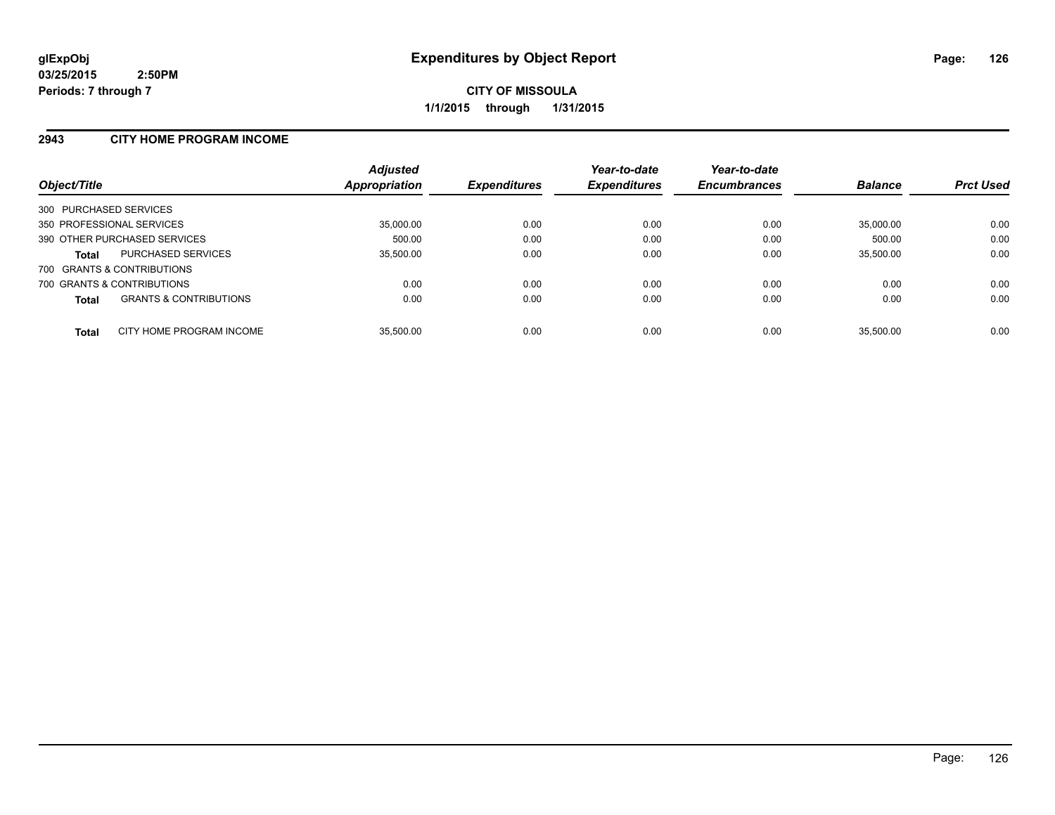#### **2943 CITY HOME PROGRAM INCOME**

| Object/Title                                      | <b>Adjusted</b><br>Appropriation | <b>Expenditures</b> | Year-to-date<br><b>Expenditures</b> | Year-to-date<br><b>Encumbrances</b> | <b>Balance</b> | <b>Prct Used</b> |
|---------------------------------------------------|----------------------------------|---------------------|-------------------------------------|-------------------------------------|----------------|------------------|
| 300 PURCHASED SERVICES                            |                                  |                     |                                     |                                     |                |                  |
| 350 PROFESSIONAL SERVICES                         | 35,000.00                        | 0.00                | 0.00                                | 0.00                                | 35.000.00      | 0.00             |
| 390 OTHER PURCHASED SERVICES                      | 500.00                           | 0.00                | 0.00                                | 0.00                                | 500.00         | 0.00             |
| <b>PURCHASED SERVICES</b><br><b>Total</b>         | 35,500.00                        | 0.00                | 0.00                                | 0.00                                | 35,500.00      | 0.00             |
| 700 GRANTS & CONTRIBUTIONS                        |                                  |                     |                                     |                                     |                |                  |
| 700 GRANTS & CONTRIBUTIONS                        | 0.00                             | 0.00                | 0.00                                | 0.00                                | 0.00           | 0.00             |
| <b>GRANTS &amp; CONTRIBUTIONS</b><br><b>Total</b> | 0.00                             | 0.00                | 0.00                                | 0.00                                | 0.00           | 0.00             |
| CITY HOME PROGRAM INCOME<br><b>Total</b>          | 35.500.00                        | 0.00                | 0.00                                | 0.00                                | 35.500.00      | 0.00             |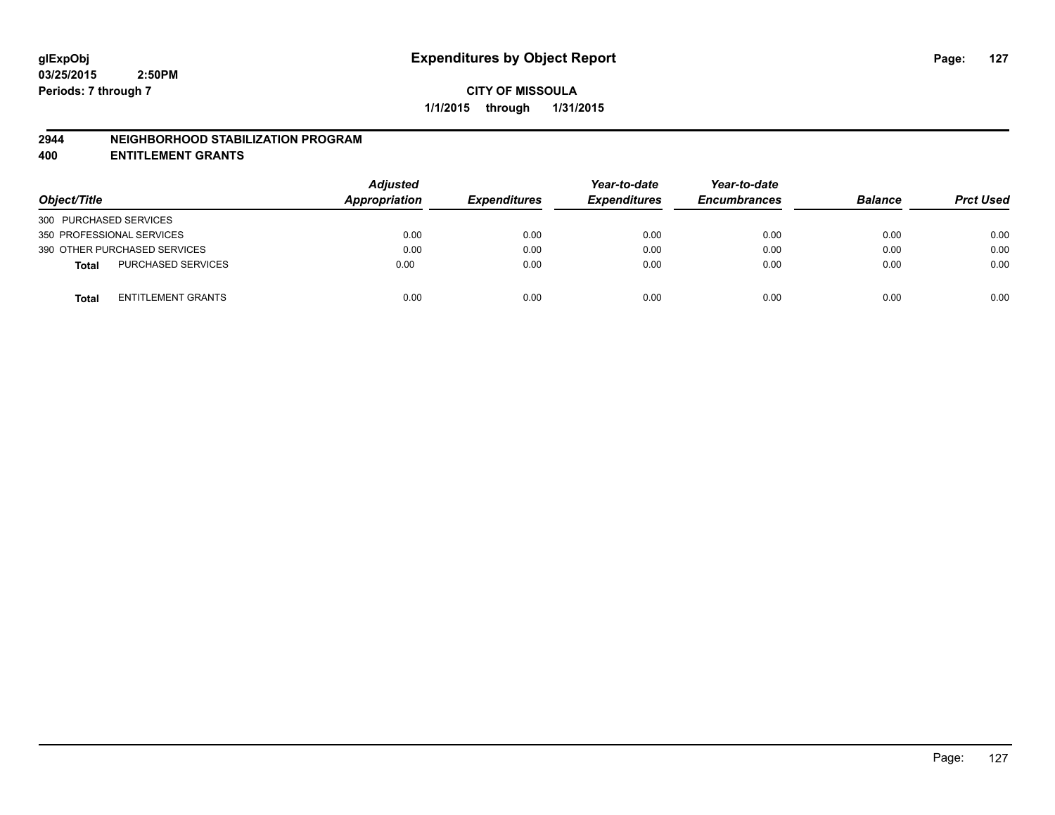#### **2944 NEIGHBORHOOD STABILIZATION PROGRAM**

**400 ENTITLEMENT GRANTS**

| Object/Title                              | <b>Adjusted</b><br>Appropriation | <b>Expenditures</b> | Year-to-date<br><b>Expenditures</b> | Year-to-date<br><b>Encumbrances</b> | <b>Balance</b> | <b>Prct Used</b> |
|-------------------------------------------|----------------------------------|---------------------|-------------------------------------|-------------------------------------|----------------|------------------|
| 300 PURCHASED SERVICES                    |                                  |                     |                                     |                                     |                |                  |
| 350 PROFESSIONAL SERVICES                 | 0.00                             | 0.00                | 0.00                                | 0.00                                | 0.00           | 0.00             |
| 390 OTHER PURCHASED SERVICES              | 0.00                             | 0.00                | 0.00                                | 0.00                                | 0.00           | 0.00             |
| <b>PURCHASED SERVICES</b><br><b>Total</b> | 0.00                             | 0.00                | 0.00                                | 0.00                                | 0.00           | 0.00             |
| ENTITLEMENT GRANTS<br><b>Total</b>        | 0.00                             | 0.00                | 0.00                                | 0.00                                | 0.00           | 0.00             |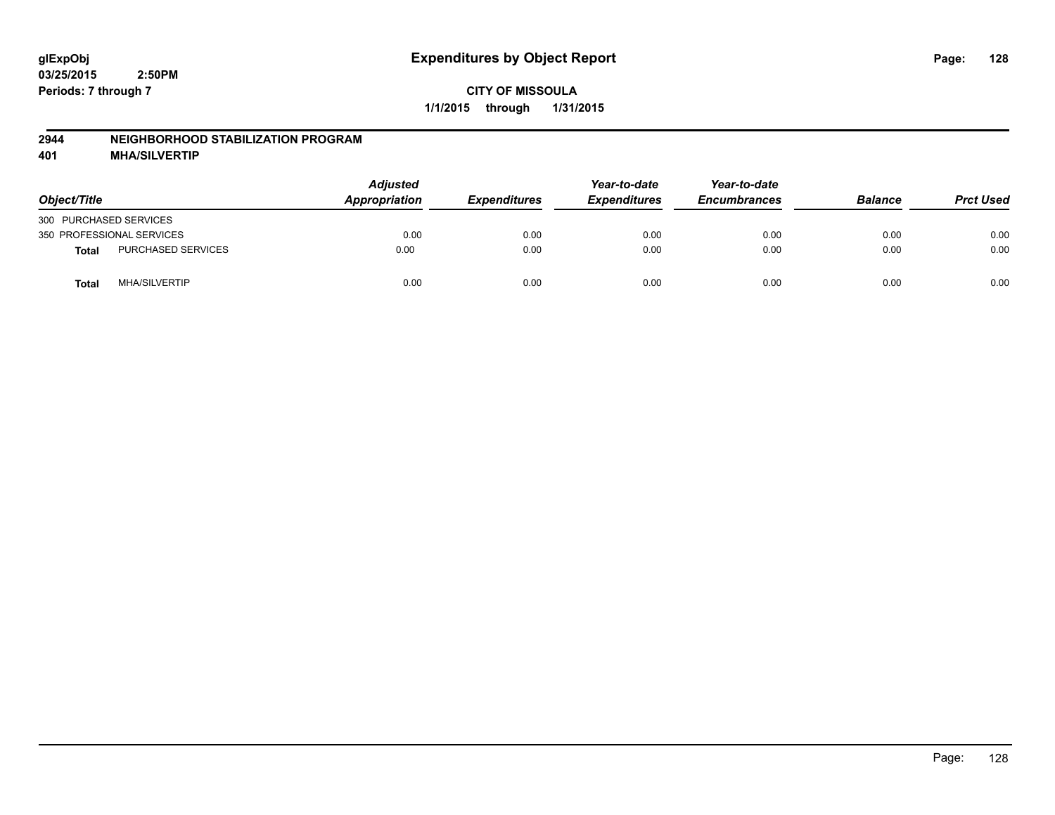#### **2944 NEIGHBORHOOD STABILIZATION PROGRAM**

**401 MHA/SILVERTIP**

| Object/Title              |                      | <b>Adjusted</b><br>Appropriation | <b>Expenditures</b> | Year-to-date<br><b>Expenditures</b> | Year-to-date<br><b>Encumbrances</b> | <b>Balance</b> | <b>Prct Used</b> |
|---------------------------|----------------------|----------------------------------|---------------------|-------------------------------------|-------------------------------------|----------------|------------------|
| 300 PURCHASED SERVICES    |                      |                                  |                     |                                     |                                     |                |                  |
| 350 PROFESSIONAL SERVICES |                      | 0.00                             | 0.00                | 0.00                                | 0.00                                | 0.00           | 0.00             |
| <b>Total</b>              | PURCHASED SERVICES   | 0.00                             | 0.00                | 0.00                                | 0.00                                | 0.00           | 0.00             |
| Total                     | <b>MHA/SILVERTIP</b> | 0.00                             | 0.00                | 0.00                                | 0.00                                | 0.00           | 0.00             |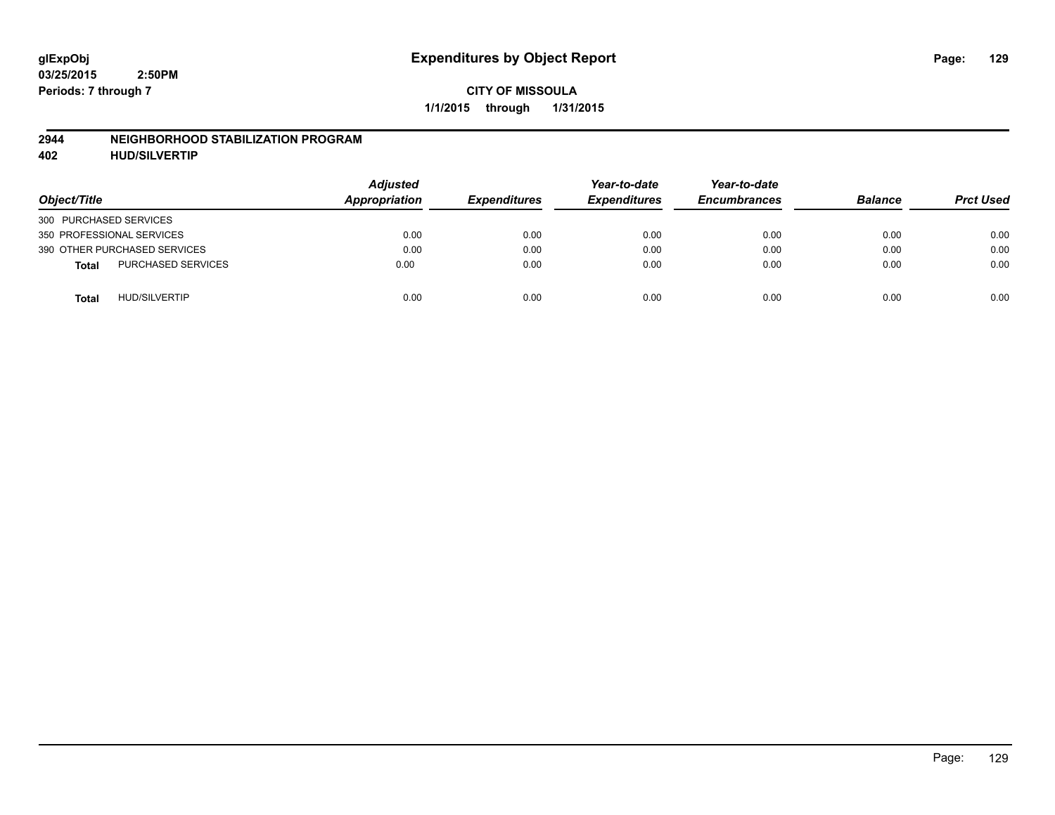#### **2944 NEIGHBORHOOD STABILIZATION PROGRAM**

**402 HUD/SILVERTIP**

| Object/Title                              | <b>Adjusted</b><br>Appropriation | <b>Expenditures</b> | Year-to-date<br><b>Expenditures</b> | Year-to-date<br><b>Encumbrances</b> | <b>Balance</b> | <b>Prct Used</b> |
|-------------------------------------------|----------------------------------|---------------------|-------------------------------------|-------------------------------------|----------------|------------------|
| 300 PURCHASED SERVICES                    |                                  |                     |                                     |                                     |                |                  |
| 350 PROFESSIONAL SERVICES                 | 0.00                             | 0.00                | 0.00                                | 0.00                                | 0.00           | 0.00             |
| 390 OTHER PURCHASED SERVICES              | 0.00                             | 0.00                | 0.00                                | 0.00                                | 0.00           | 0.00             |
| <b>PURCHASED SERVICES</b><br><b>Total</b> | 0.00                             | 0.00                | 0.00                                | 0.00                                | 0.00           | 0.00             |
| <b>HUD/SILVERTIP</b><br><b>Total</b>      | 0.00                             | 0.00                | 0.00                                | 0.00                                | 0.00           | 0.00             |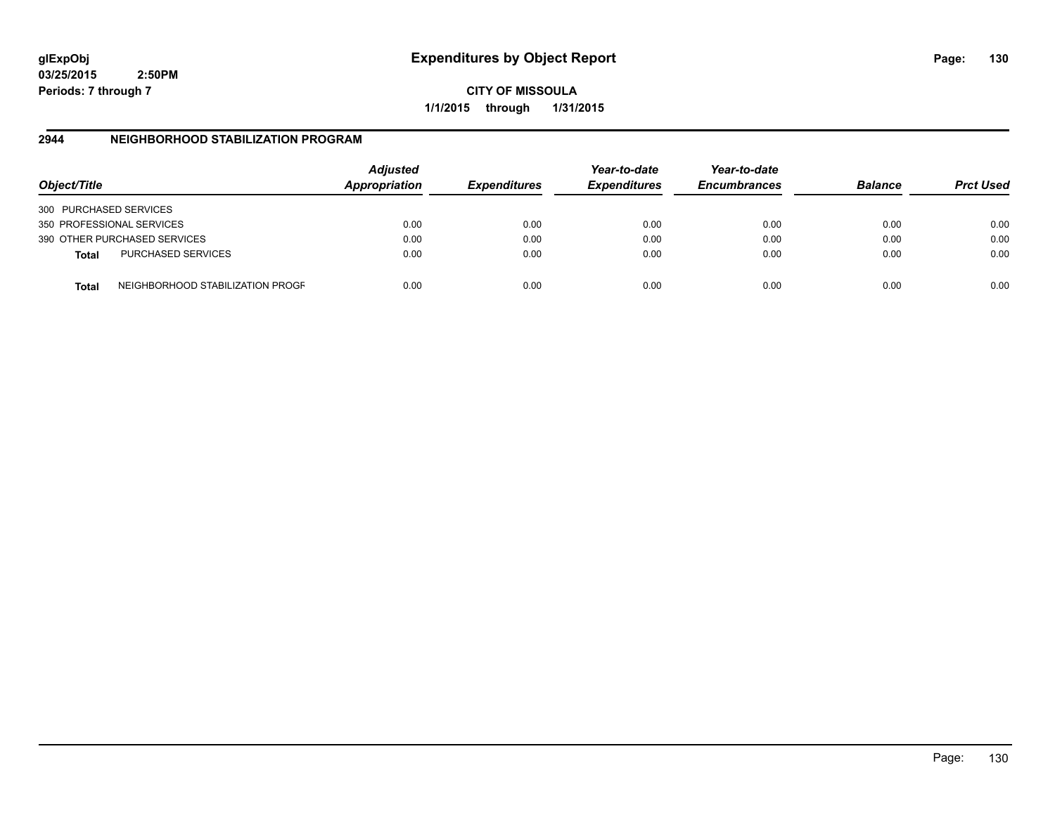**03/25/2015 2:50PM Periods: 7 through 7**

**CITY OF MISSOULA 1/1/2015 through 1/31/2015**

### **2944 NEIGHBORHOOD STABILIZATION PROGRAM**

| Object/Title           |                                  | <b>Adjusted</b><br>Appropriation | <b>Expenditures</b> | Year-to-date<br><b>Expenditures</b> | Year-to-date<br><b>Encumbrances</b> | <b>Balance</b> | <b>Prct Used</b> |
|------------------------|----------------------------------|----------------------------------|---------------------|-------------------------------------|-------------------------------------|----------------|------------------|
| 300 PURCHASED SERVICES |                                  |                                  |                     |                                     |                                     |                |                  |
|                        | 350 PROFESSIONAL SERVICES        | 0.00                             | 0.00                | 0.00                                | 0.00                                | 0.00           | 0.00             |
|                        | 390 OTHER PURCHASED SERVICES     | 0.00                             | 0.00                | 0.00                                | 0.00                                | 0.00           | 0.00             |
| <b>Total</b>           | <b>PURCHASED SERVICES</b>        | 0.00                             | 0.00                | 0.00                                | 0.00                                | 0.00           | 0.00             |
| Total                  | NEIGHBORHOOD STABILIZATION PROGF | 0.00                             | 0.00                | 0.00                                | 0.00                                | 0.00           | 0.00             |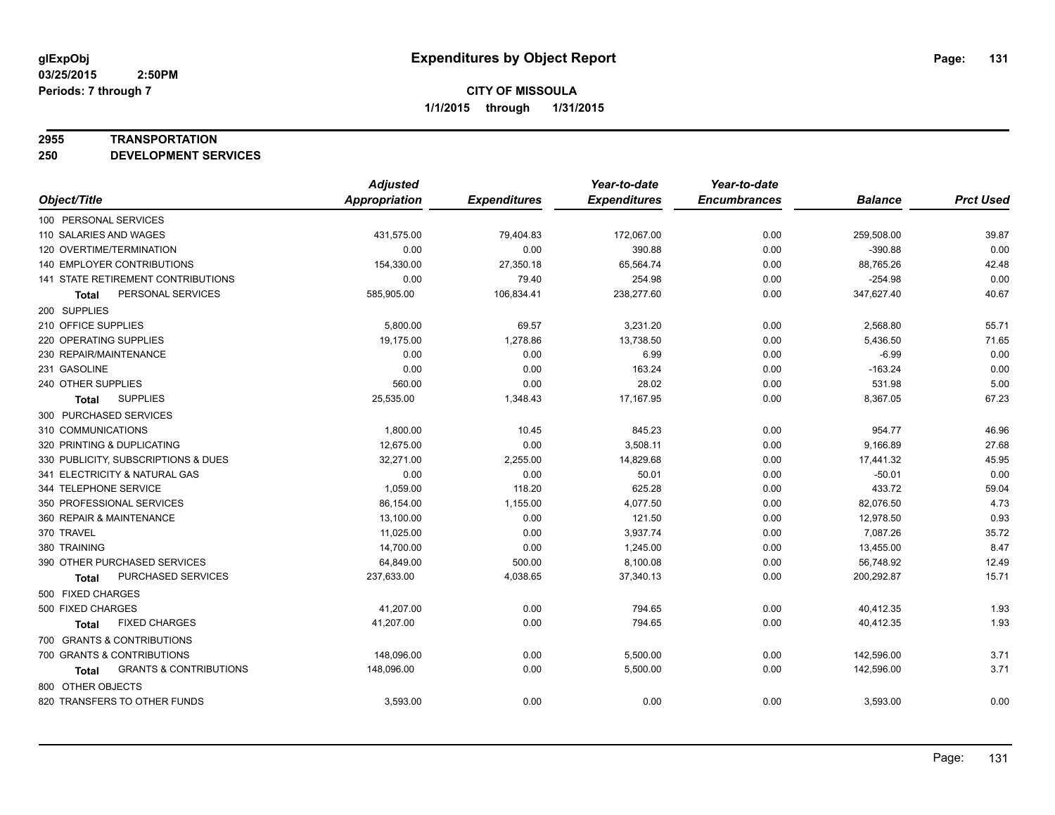#### **2955 TRANSPORTATION**

**250 DEVELOPMENT SERVICES**

|                                                   | <b>Adjusted</b>      |                     | Year-to-date        | Year-to-date        |                |                  |
|---------------------------------------------------|----------------------|---------------------|---------------------|---------------------|----------------|------------------|
| Object/Title                                      | <b>Appropriation</b> | <b>Expenditures</b> | <b>Expenditures</b> | <b>Encumbrances</b> | <b>Balance</b> | <b>Prct Used</b> |
| 100 PERSONAL SERVICES                             |                      |                     |                     |                     |                |                  |
| 110 SALARIES AND WAGES                            | 431,575.00           | 79,404.83           | 172,067.00          | 0.00                | 259,508.00     | 39.87            |
| 120 OVERTIME/TERMINATION                          | 0.00                 | 0.00                | 390.88              | 0.00                | $-390.88$      | 0.00             |
| 140 EMPLOYER CONTRIBUTIONS                        | 154,330.00           | 27,350.18           | 65,564.74           | 0.00                | 88,765.26      | 42.48            |
| 141 STATE RETIREMENT CONTRIBUTIONS                | 0.00                 | 79.40               | 254.98              | 0.00                | $-254.98$      | 0.00             |
| PERSONAL SERVICES<br><b>Total</b>                 | 585,905.00           | 106,834.41          | 238,277.60          | 0.00                | 347,627.40     | 40.67            |
| 200 SUPPLIES                                      |                      |                     |                     |                     |                |                  |
| 210 OFFICE SUPPLIES                               | 5,800.00             | 69.57               | 3,231.20            | 0.00                | 2,568.80       | 55.71            |
| 220 OPERATING SUPPLIES                            | 19,175.00            | 1,278.86            | 13,738.50           | 0.00                | 5,436.50       | 71.65            |
| 230 REPAIR/MAINTENANCE                            | 0.00                 | 0.00                | 6.99                | 0.00                | $-6.99$        | 0.00             |
| 231 GASOLINE                                      | 0.00                 | 0.00                | 163.24              | 0.00                | $-163.24$      | 0.00             |
| 240 OTHER SUPPLIES                                | 560.00               | 0.00                | 28.02               | 0.00                | 531.98         | 5.00             |
| <b>SUPPLIES</b><br><b>Total</b>                   | 25,535.00            | 1,348.43            | 17,167.95           | 0.00                | 8,367.05       | 67.23            |
| 300 PURCHASED SERVICES                            |                      |                     |                     |                     |                |                  |
| 310 COMMUNICATIONS                                | 1,800.00             | 10.45               | 845.23              | 0.00                | 954.77         | 46.96            |
| 320 PRINTING & DUPLICATING                        | 12,675.00            | 0.00                | 3,508.11            | 0.00                | 9,166.89       | 27.68            |
| 330 PUBLICITY, SUBSCRIPTIONS & DUES               | 32,271.00            | 2,255.00            | 14,829.68           | 0.00                | 17,441.32      | 45.95            |
| 341 ELECTRICITY & NATURAL GAS                     | 0.00                 | 0.00                | 50.01               | 0.00                | $-50.01$       | 0.00             |
| 344 TELEPHONE SERVICE                             | 1.059.00             | 118.20              | 625.28              | 0.00                | 433.72         | 59.04            |
| 350 PROFESSIONAL SERVICES                         | 86,154.00            | 1,155.00            | 4,077.50            | 0.00                | 82,076.50      | 4.73             |
| 360 REPAIR & MAINTENANCE                          | 13,100.00            | 0.00                | 121.50              | 0.00                | 12,978.50      | 0.93             |
| 370 TRAVEL                                        | 11,025.00            | 0.00                | 3,937.74            | 0.00                | 7.087.26       | 35.72            |
| 380 TRAINING                                      | 14,700.00            | 0.00                | 1,245.00            | 0.00                | 13,455.00      | 8.47             |
| 390 OTHER PURCHASED SERVICES                      | 64,849.00            | 500.00              | 8,100.08            | 0.00                | 56,748.92      | 12.49            |
| PURCHASED SERVICES<br>Total                       | 237,633.00           | 4,038.65            | 37,340.13           | 0.00                | 200,292.87     | 15.71            |
| 500 FIXED CHARGES                                 |                      |                     |                     |                     |                |                  |
| 500 FIXED CHARGES                                 | 41,207.00            | 0.00                | 794.65              | 0.00                | 40,412.35      | 1.93             |
| <b>FIXED CHARGES</b><br><b>Total</b>              | 41,207.00            | 0.00                | 794.65              | 0.00                | 40,412.35      | 1.93             |
| 700 GRANTS & CONTRIBUTIONS                        |                      |                     |                     |                     |                |                  |
| 700 GRANTS & CONTRIBUTIONS                        | 148,096.00           | 0.00                | 5,500.00            | 0.00                | 142,596.00     | 3.71             |
| <b>GRANTS &amp; CONTRIBUTIONS</b><br><b>Total</b> | 148,096.00           | 0.00                | 5,500.00            | 0.00                | 142,596.00     | 3.71             |
| 800 OTHER OBJECTS                                 |                      |                     |                     |                     |                |                  |
| 820 TRANSFERS TO OTHER FUNDS                      | 3,593.00             | 0.00                | 0.00                | 0.00                | 3,593.00       | 0.00             |
|                                                   |                      |                     |                     |                     |                |                  |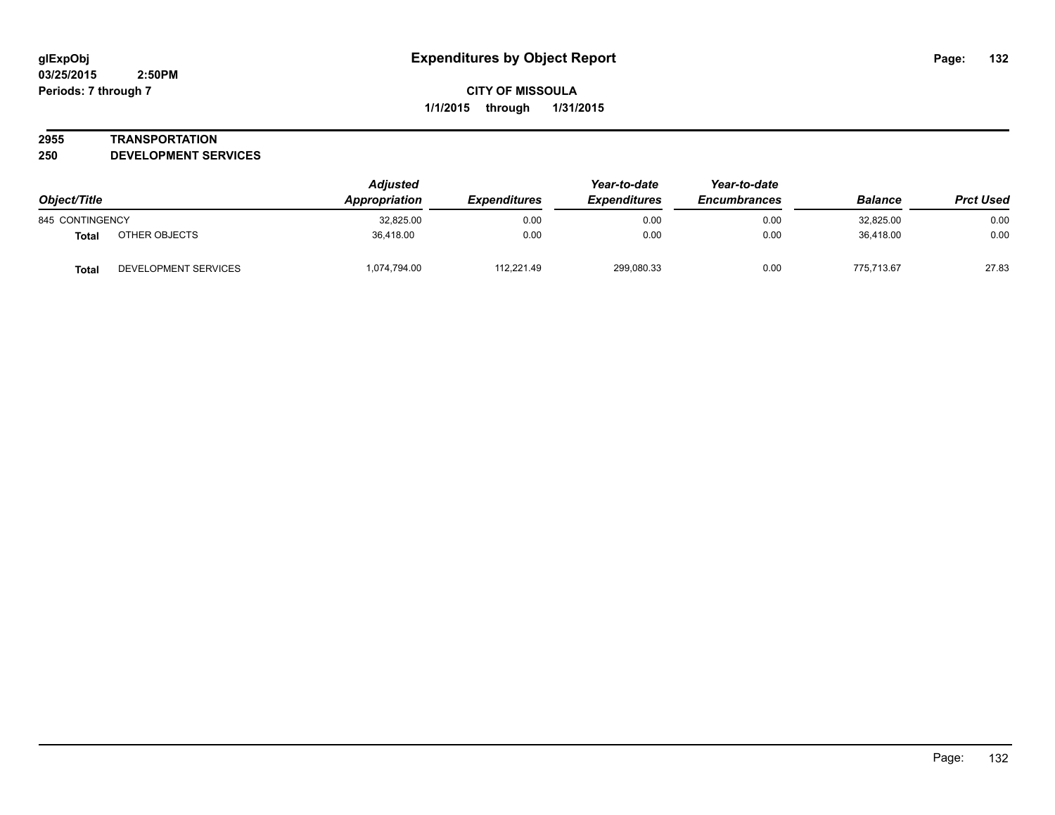#### **2955 TRANSPORTATION**

**250 DEVELOPMENT SERVICES**

| Object/Title    |                      | <b>Adjusted</b><br>Appropriation | <b>Expenditures</b> | Year-to-date<br><b>Expenditures</b> | Year-to-date<br><b>Encumbrances</b> | <b>Balance</b> | <b>Prct Used</b> |
|-----------------|----------------------|----------------------------------|---------------------|-------------------------------------|-------------------------------------|----------------|------------------|
| 845 CONTINGENCY |                      | 32,825.00                        | 0.00                | 0.00                                | 0.00                                | 32,825.00      | 0.00             |
| Total           | OTHER OBJECTS        | 36.418.00                        | 0.00                | 0.00                                | 0.00                                | 36.418.00      | 0.00             |
| <b>Total</b>    | DEVELOPMENT SERVICES | 1,074,794.00                     | 112.221.49          | 299,080.33                          | 0.00                                | 775.713.67     | 27.83            |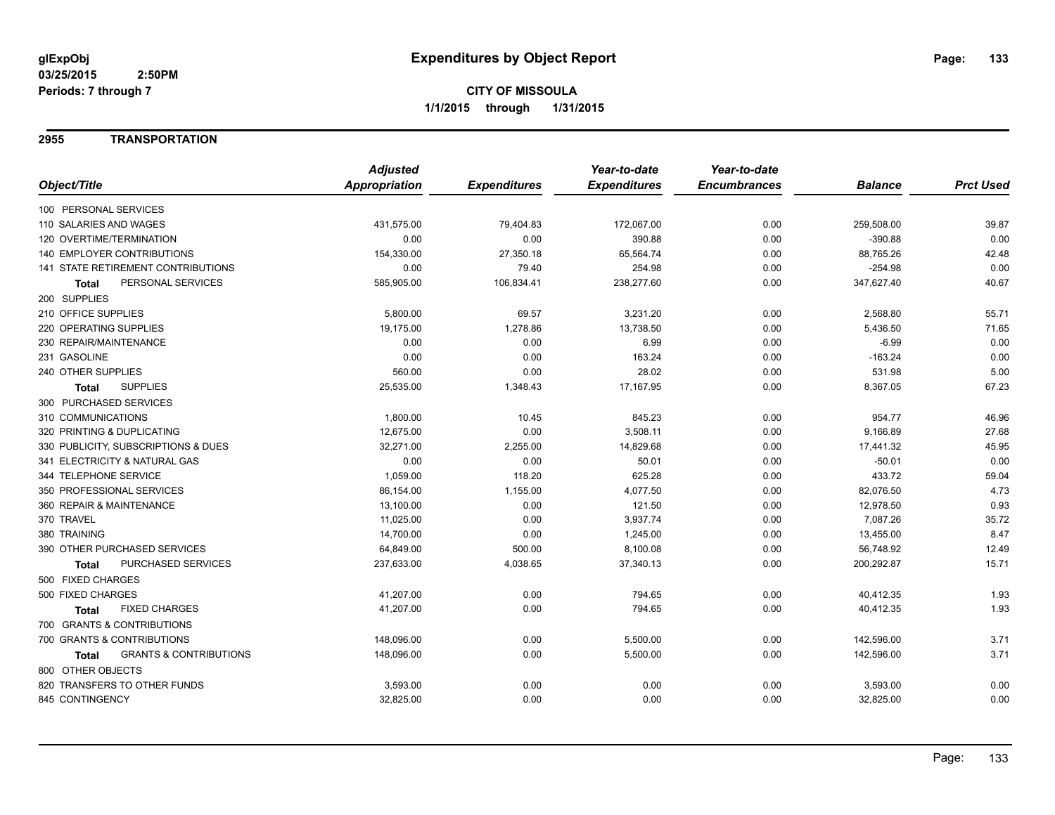### **2955 TRANSPORTATION**

|                                                   | <b>Adjusted</b> |                     | Year-to-date        | Year-to-date        |                |                  |
|---------------------------------------------------|-----------------|---------------------|---------------------|---------------------|----------------|------------------|
| Object/Title                                      | Appropriation   | <b>Expenditures</b> | <b>Expenditures</b> | <b>Encumbrances</b> | <b>Balance</b> | <b>Prct Used</b> |
| 100 PERSONAL SERVICES                             |                 |                     |                     |                     |                |                  |
| 110 SALARIES AND WAGES                            | 431,575.00      | 79,404.83           | 172,067.00          | 0.00                | 259,508.00     | 39.87            |
| 120 OVERTIME/TERMINATION                          | 0.00            | 0.00                | 390.88              | 0.00                | $-390.88$      | 0.00             |
| 140 EMPLOYER CONTRIBUTIONS                        | 154,330.00      | 27,350.18           | 65,564.74           | 0.00                | 88,765.26      | 42.48            |
| <b>141 STATE RETIREMENT CONTRIBUTIONS</b>         | 0.00            | 79.40               | 254.98              | 0.00                | $-254.98$      | 0.00             |
| PERSONAL SERVICES<br>Total                        | 585,905.00      | 106,834.41          | 238,277.60          | 0.00                | 347,627.40     | 40.67            |
| 200 SUPPLIES                                      |                 |                     |                     |                     |                |                  |
| 210 OFFICE SUPPLIES                               | 5,800.00        | 69.57               | 3,231.20            | 0.00                | 2,568.80       | 55.71            |
| 220 OPERATING SUPPLIES                            | 19,175.00       | 1,278.86            | 13,738.50           | 0.00                | 5,436.50       | 71.65            |
| 230 REPAIR/MAINTENANCE                            | 0.00            | 0.00                | 6.99                | 0.00                | $-6.99$        | 0.00             |
| 231 GASOLINE                                      | 0.00            | 0.00                | 163.24              | 0.00                | $-163.24$      | 0.00             |
| 240 OTHER SUPPLIES                                | 560.00          | 0.00                | 28.02               | 0.00                | 531.98         | 5.00             |
| <b>SUPPLIES</b><br><b>Total</b>                   | 25,535.00       | 1,348.43            | 17,167.95           | 0.00                | 8,367.05       | 67.23            |
| 300 PURCHASED SERVICES                            |                 |                     |                     |                     |                |                  |
| 310 COMMUNICATIONS                                | 1,800.00        | 10.45               | 845.23              | 0.00                | 954.77         | 46.96            |
| 320 PRINTING & DUPLICATING                        | 12,675.00       | 0.00                | 3,508.11            | 0.00                | 9,166.89       | 27.68            |
| 330 PUBLICITY, SUBSCRIPTIONS & DUES               | 32,271.00       | 2,255.00            | 14,829.68           | 0.00                | 17,441.32      | 45.95            |
| 341 ELECTRICITY & NATURAL GAS                     | 0.00            | 0.00                | 50.01               | 0.00                | $-50.01$       | 0.00             |
| 344 TELEPHONE SERVICE                             | 1,059.00        | 118.20              | 625.28              | 0.00                | 433.72         | 59.04            |
| 350 PROFESSIONAL SERVICES                         | 86,154.00       | 1,155.00            | 4,077.50            | 0.00                | 82,076.50      | 4.73             |
| 360 REPAIR & MAINTENANCE                          | 13,100.00       | 0.00                | 121.50              | 0.00                | 12,978.50      | 0.93             |
| 370 TRAVEL                                        | 11,025.00       | 0.00                | 3,937.74            | 0.00                | 7,087.26       | 35.72            |
| 380 TRAINING                                      | 14,700.00       | 0.00                | 1,245.00            | 0.00                | 13,455.00      | 8.47             |
| 390 OTHER PURCHASED SERVICES                      | 64,849.00       | 500.00              | 8,100.08            | 0.00                | 56,748.92      | 12.49            |
| PURCHASED SERVICES<br><b>Total</b>                | 237,633.00      | 4,038.65            | 37,340.13           | 0.00                | 200,292.87     | 15.71            |
| 500 FIXED CHARGES                                 |                 |                     |                     |                     |                |                  |
| 500 FIXED CHARGES                                 | 41,207.00       | 0.00                | 794.65              | 0.00                | 40,412.35      | 1.93             |
| <b>FIXED CHARGES</b><br><b>Total</b>              | 41,207.00       | 0.00                | 794.65              | 0.00                | 40,412.35      | 1.93             |
| 700 GRANTS & CONTRIBUTIONS                        |                 |                     |                     |                     |                |                  |
| 700 GRANTS & CONTRIBUTIONS                        | 148,096.00      | 0.00                | 5,500.00            | 0.00                | 142,596.00     | 3.71             |
| <b>GRANTS &amp; CONTRIBUTIONS</b><br><b>Total</b> | 148,096.00      | 0.00                | 5,500.00            | 0.00                | 142,596.00     | 3.71             |
| 800 OTHER OBJECTS                                 |                 |                     |                     |                     |                |                  |
| 820 TRANSFERS TO OTHER FUNDS                      | 3,593.00        | 0.00                | 0.00                | 0.00                | 3,593.00       | 0.00             |
| 845 CONTINGENCY                                   | 32,825.00       | 0.00                | 0.00                | 0.00                | 32,825.00      | 0.00             |
|                                                   |                 |                     |                     |                     |                |                  |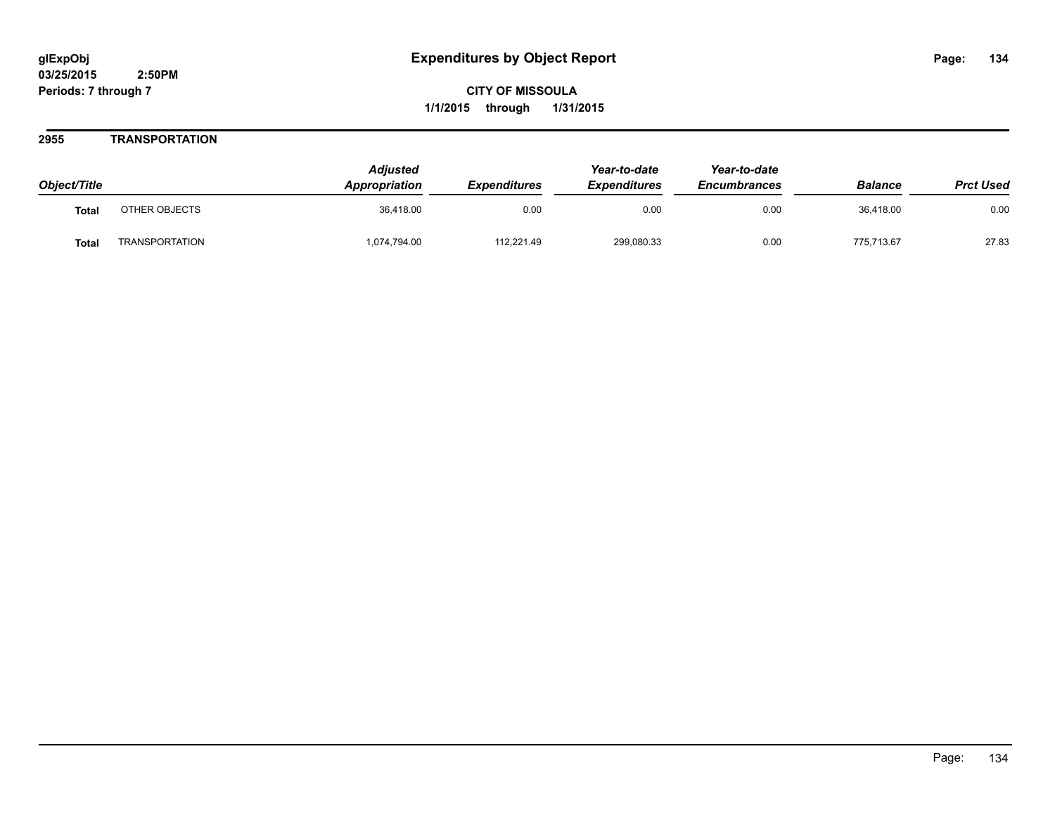### **2955 TRANSPORTATION**

| Object/Title |                       | <b>Adjusted</b><br><b>Appropriation</b> | <b>Expenditures</b> | Year-to-date<br><b>Expenditures</b> | Year-to-date<br><b>Encumbrances</b> | <b>Balance</b> | <b>Prct Used</b> |
|--------------|-----------------------|-----------------------------------------|---------------------|-------------------------------------|-------------------------------------|----------------|------------------|
| <b>Total</b> | OTHER OBJECTS         | 36.418.00                               | 0.00                | 0.00                                | 0.00                                | 36.418.00      | 0.00             |
| <b>Total</b> | <b>TRANSPORTATION</b> | 1,074,794.00                            | 112,221.49          | 299,080.33                          | 0.00                                | 775.713.67     | 27.83            |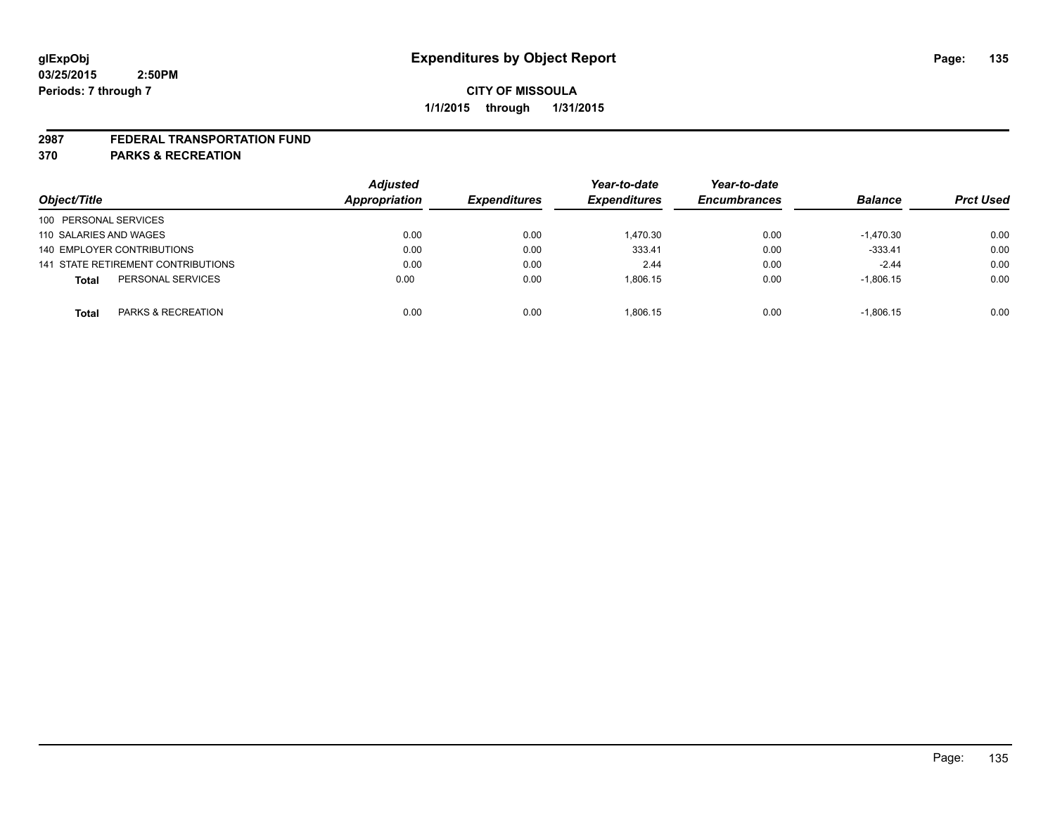#### **2987 FEDERAL TRANSPORTATION FUND**

**370 PARKS & RECREATION**

|                                    | <b>Adjusted</b> |                     | Year-to-date        | Year-to-date        |                |                  |
|------------------------------------|-----------------|---------------------|---------------------|---------------------|----------------|------------------|
| Object/Title                       | Appropriation   | <b>Expenditures</b> | <b>Expenditures</b> | <b>Encumbrances</b> | <b>Balance</b> | <b>Prct Used</b> |
| 100 PERSONAL SERVICES              |                 |                     |                     |                     |                |                  |
| 110 SALARIES AND WAGES             | 0.00            | 0.00                | 1.470.30            | 0.00                | $-1.470.30$    | 0.00             |
| 140 EMPLOYER CONTRIBUTIONS         | 0.00            | 0.00                | 333.41              | 0.00                | $-333.41$      | 0.00             |
| 141 STATE RETIREMENT CONTRIBUTIONS | 0.00            | 0.00                | 2.44                | 0.00                | $-2.44$        | 0.00             |
| PERSONAL SERVICES<br><b>Total</b>  | 0.00            | 0.00                | 1.806.15            | 0.00                | $-1,806.15$    | 0.00             |
| PARKS & RECREATION<br><b>Total</b> | 0.00            | 0.00                | 1.806.15            | 0.00                | $-1.806.15$    | 0.00             |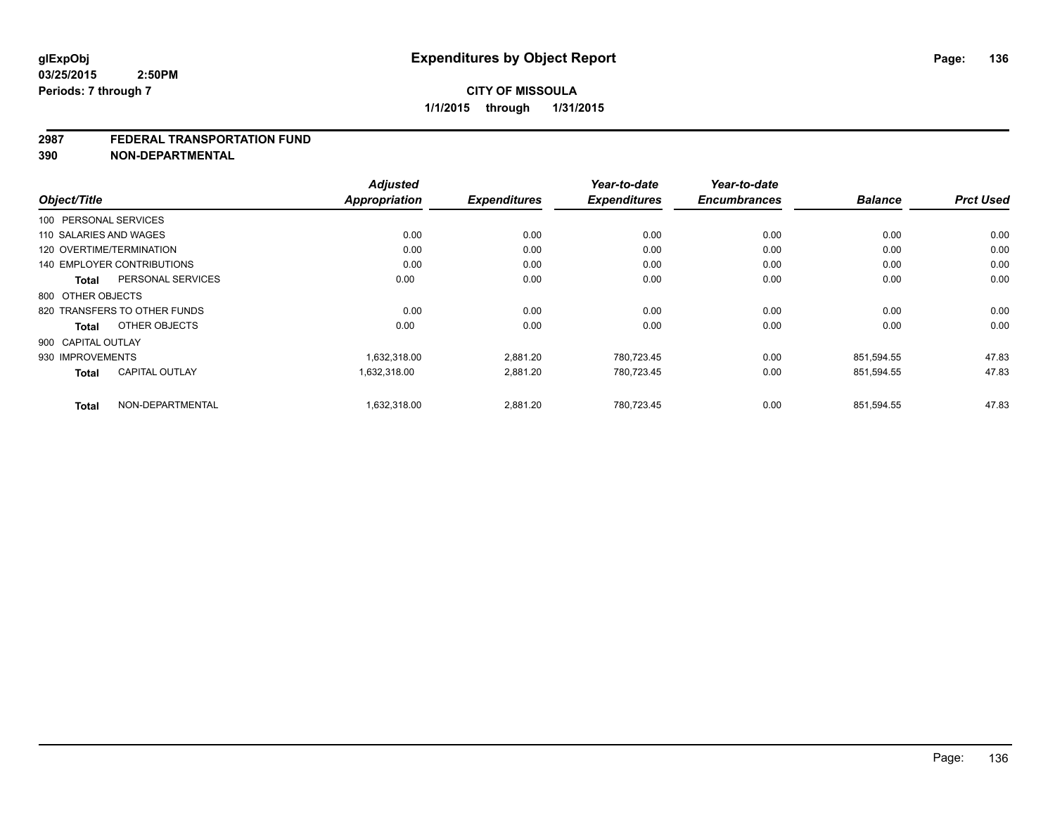#### **2987 FEDERAL TRANSPORTATION FUND**

**390 NON-DEPARTMENTAL**

|                                       | <b>Adjusted</b>      |                     | Year-to-date        | Year-to-date<br><b>Encumbrances</b> | <b>Balance</b> | <b>Prct Used</b> |
|---------------------------------------|----------------------|---------------------|---------------------|-------------------------------------|----------------|------------------|
| Object/Title                          | <b>Appropriation</b> | <b>Expenditures</b> | <b>Expenditures</b> |                                     |                |                  |
| 100 PERSONAL SERVICES                 |                      |                     |                     |                                     |                |                  |
| 110 SALARIES AND WAGES                | 0.00                 | 0.00                | 0.00                | 0.00                                | 0.00           | 0.00             |
| 120 OVERTIME/TERMINATION              | 0.00                 | 0.00                | 0.00                | 0.00                                | 0.00           | 0.00             |
| <b>140 EMPLOYER CONTRIBUTIONS</b>     | 0.00                 | 0.00                | 0.00                | 0.00                                | 0.00           | 0.00             |
| PERSONAL SERVICES<br><b>Total</b>     | 0.00                 | 0.00                | 0.00                | 0.00                                | 0.00           | 0.00             |
| 800 OTHER OBJECTS                     |                      |                     |                     |                                     |                |                  |
| 820 TRANSFERS TO OTHER FUNDS          | 0.00                 | 0.00                | 0.00                | 0.00                                | 0.00           | 0.00             |
| OTHER OBJECTS<br><b>Total</b>         | 0.00                 | 0.00                | 0.00                | 0.00                                | 0.00           | 0.00             |
| 900 CAPITAL OUTLAY                    |                      |                     |                     |                                     |                |                  |
| 930 IMPROVEMENTS                      | 1,632,318.00         | 2,881.20            | 780,723.45          | 0.00                                | 851,594.55     | 47.83            |
| <b>CAPITAL OUTLAY</b><br><b>Total</b> | 1,632,318.00         | 2,881.20            | 780,723.45          | 0.00                                | 851,594.55     | 47.83            |
| NON-DEPARTMENTAL<br><b>Total</b>      | 1,632,318.00         | 2,881.20            | 780,723.45          | 0.00                                | 851,594.55     | 47.83            |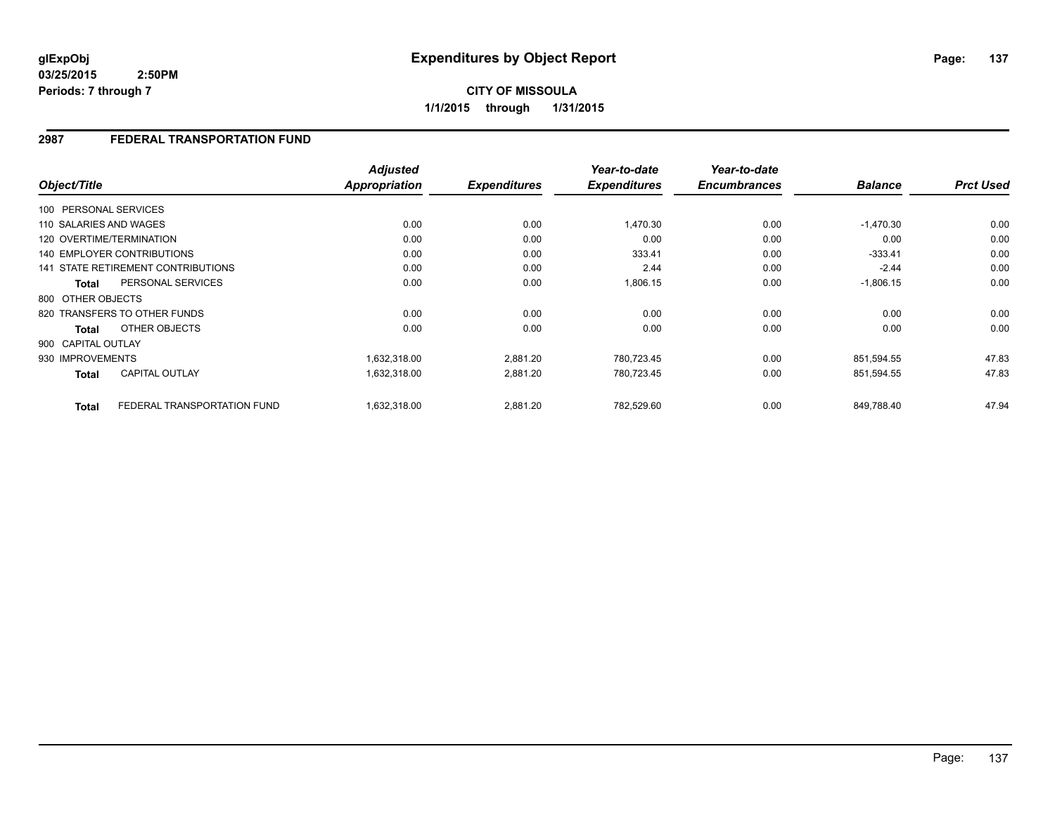**03/25/2015 2:50PM Periods: 7 through 7**

# **CITY OF MISSOULA 1/1/2015 through 1/31/2015**

### **2987 FEDERAL TRANSPORTATION FUND**

|                                             | <b>Adjusted</b> |                     | Year-to-date        | Year-to-date        |                |                  |
|---------------------------------------------|-----------------|---------------------|---------------------|---------------------|----------------|------------------|
| Object/Title                                | Appropriation   | <b>Expenditures</b> | <b>Expenditures</b> | <b>Encumbrances</b> | <b>Balance</b> | <b>Prct Used</b> |
| 100 PERSONAL SERVICES                       |                 |                     |                     |                     |                |                  |
| 110 SALARIES AND WAGES                      | 0.00            | 0.00                | 1,470.30            | 0.00                | $-1,470.30$    | 0.00             |
| 120 OVERTIME/TERMINATION                    | 0.00            | 0.00                | 0.00                | 0.00                | 0.00           | 0.00             |
| 140 EMPLOYER CONTRIBUTIONS                  | 0.00            | 0.00                | 333.41              | 0.00                | $-333.41$      | 0.00             |
| <b>141 STATE RETIREMENT CONTRIBUTIONS</b>   | 0.00            | 0.00                | 2.44                | 0.00                | $-2.44$        | 0.00             |
| PERSONAL SERVICES<br><b>Total</b>           | 0.00            | 0.00                | 1,806.15            | 0.00                | $-1,806.15$    | 0.00             |
| 800 OTHER OBJECTS                           |                 |                     |                     |                     |                |                  |
| 820 TRANSFERS TO OTHER FUNDS                | 0.00            | 0.00                | 0.00                | 0.00                | 0.00           | 0.00             |
| OTHER OBJECTS<br><b>Total</b>               | 0.00            | 0.00                | 0.00                | 0.00                | 0.00           | 0.00             |
| 900 CAPITAL OUTLAY                          |                 |                     |                     |                     |                |                  |
| 930 IMPROVEMENTS                            | 1,632,318.00    | 2,881.20            | 780,723.45          | 0.00                | 851,594.55     | 47.83            |
| <b>CAPITAL OUTLAY</b><br><b>Total</b>       | 1,632,318.00    | 2,881.20            | 780,723.45          | 0.00                | 851,594.55     | 47.83            |
| FEDERAL TRANSPORTATION FUND<br><b>Total</b> | 1,632,318.00    | 2,881.20            | 782,529.60          | 0.00                | 849,788.40     | 47.94            |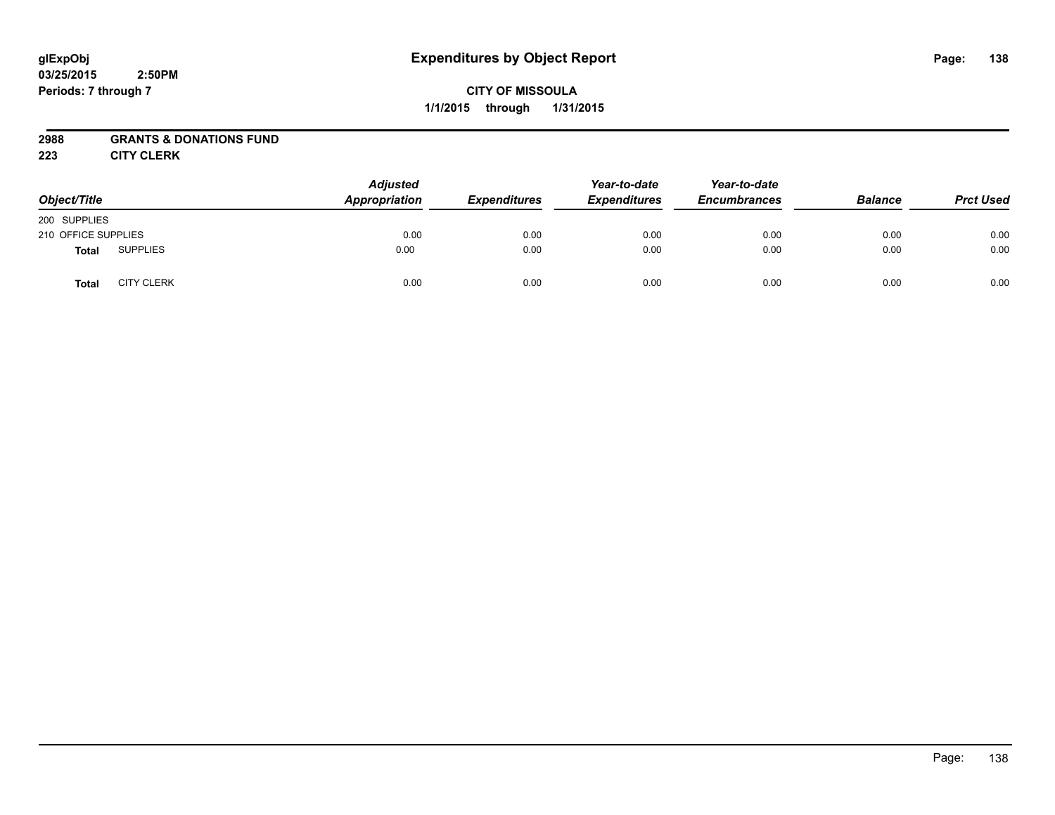#### **03/25/2015 2:50PM Periods: 7 through 7**

# **CITY OF MISSOULA 1/1/2015 through 1/31/2015**

## **2988 GRANTS & DONATIONS FUND**

**223 CITY CLERK**

| Object/Title        |                   | <b>Adjusted</b><br>Appropriation | <b>Expenditures</b> | Year-to-date<br><b>Expenditures</b> | Year-to-date<br><b>Encumbrances</b> | <b>Balance</b> | <b>Prct Used</b> |
|---------------------|-------------------|----------------------------------|---------------------|-------------------------------------|-------------------------------------|----------------|------------------|
| 200 SUPPLIES        |                   |                                  |                     |                                     |                                     |                |                  |
| 210 OFFICE SUPPLIES |                   | 0.00                             | 0.00                | 0.00                                | 0.00                                | 0.00           | 0.00             |
| <b>Total</b>        | <b>SUPPLIES</b>   | 0.00                             | 0.00                | 0.00                                | 0.00                                | 0.00           | 0.00             |
| <b>Total</b>        | <b>CITY CLERK</b> | 0.00                             | 0.00                | 0.00                                | 0.00                                | 0.00           | 0.00             |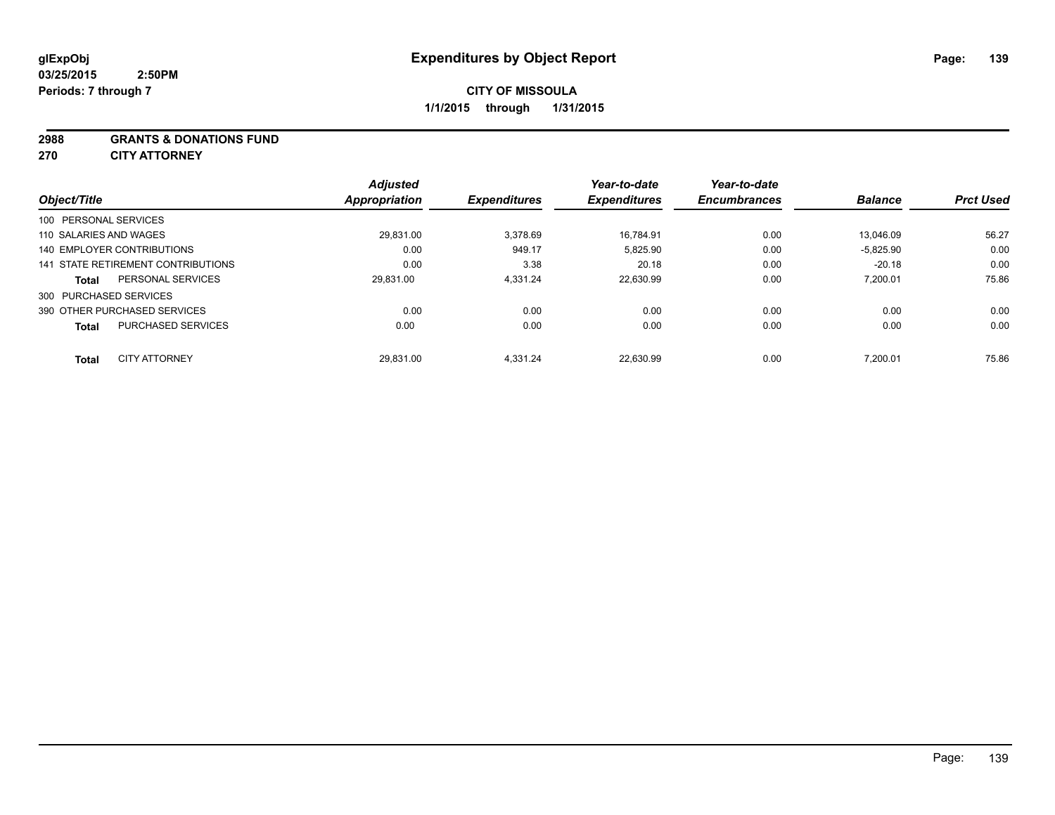#### **2988 GRANTS & DONATIONS FUND**

**270 CITY ATTORNEY**

| Object/Title                              | <b>Adjusted</b><br>Appropriation | <b>Expenditures</b> | Year-to-date<br><b>Expenditures</b> | Year-to-date<br><b>Encumbrances</b> | <b>Balance</b> | <b>Prct Used</b> |
|-------------------------------------------|----------------------------------|---------------------|-------------------------------------|-------------------------------------|----------------|------------------|
| 100 PERSONAL SERVICES                     |                                  |                     |                                     |                                     |                |                  |
| 110 SALARIES AND WAGES                    | 29.831.00                        | 3.378.69            | 16.784.91                           | 0.00                                | 13.046.09      | 56.27            |
| 140 EMPLOYER CONTRIBUTIONS                | 0.00                             | 949.17              | 5,825.90                            | 0.00                                | $-5,825.90$    | 0.00             |
| 141 STATE RETIREMENT CONTRIBUTIONS        | 0.00                             | 3.38                | 20.18                               | 0.00                                | $-20.18$       | 0.00             |
| PERSONAL SERVICES<br><b>Total</b>         | 29.831.00                        | 4.331.24            | 22.630.99                           | 0.00                                | 7.200.01       | 75.86            |
| 300 PURCHASED SERVICES                    |                                  |                     |                                     |                                     |                |                  |
| 390 OTHER PURCHASED SERVICES              | 0.00                             | 0.00                | 0.00                                | 0.00                                | 0.00           | 0.00             |
| <b>PURCHASED SERVICES</b><br><b>Total</b> | 0.00                             | 0.00                | 0.00                                | 0.00                                | 0.00           | 0.00             |
|                                           |                                  |                     |                                     |                                     |                |                  |
| <b>CITY ATTORNEY</b><br><b>Total</b>      | 29.831.00                        | 4.331.24            | 22.630.99                           | 0.00                                | 7.200.01       | 75.86            |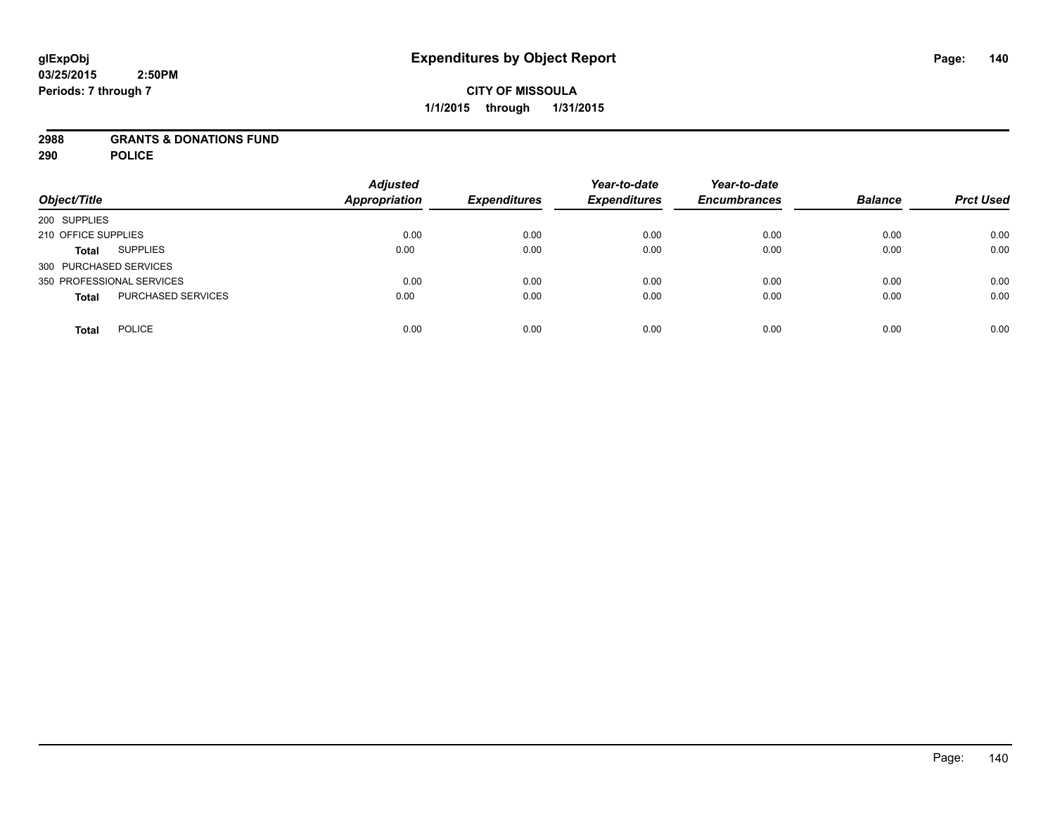### **2988 GRANTS & DONATIONS FUND**

**290 POLICE**

| Object/Title                              | <b>Adjusted</b><br><b>Appropriation</b> | <b>Expenditures</b> | Year-to-date<br><b>Expenditures</b> | Year-to-date<br><b>Encumbrances</b> | <b>Balance</b> | <b>Prct Used</b> |
|-------------------------------------------|-----------------------------------------|---------------------|-------------------------------------|-------------------------------------|----------------|------------------|
| 200 SUPPLIES                              |                                         |                     |                                     |                                     |                |                  |
| 210 OFFICE SUPPLIES                       | 0.00                                    | 0.00                | 0.00                                | 0.00                                | 0.00           | 0.00             |
| <b>SUPPLIES</b><br><b>Total</b>           | 0.00                                    | 0.00                | 0.00                                | 0.00                                | 0.00           | 0.00             |
| 300 PURCHASED SERVICES                    |                                         |                     |                                     |                                     |                |                  |
| 350 PROFESSIONAL SERVICES                 | 0.00                                    | 0.00                | 0.00                                | 0.00                                | 0.00           | 0.00             |
| <b>PURCHASED SERVICES</b><br><b>Total</b> | 0.00                                    | 0.00                | 0.00                                | 0.00                                | 0.00           | 0.00             |
| <b>POLICE</b><br>Total                    | 0.00                                    | 0.00                | 0.00                                | 0.00                                | 0.00           | 0.00             |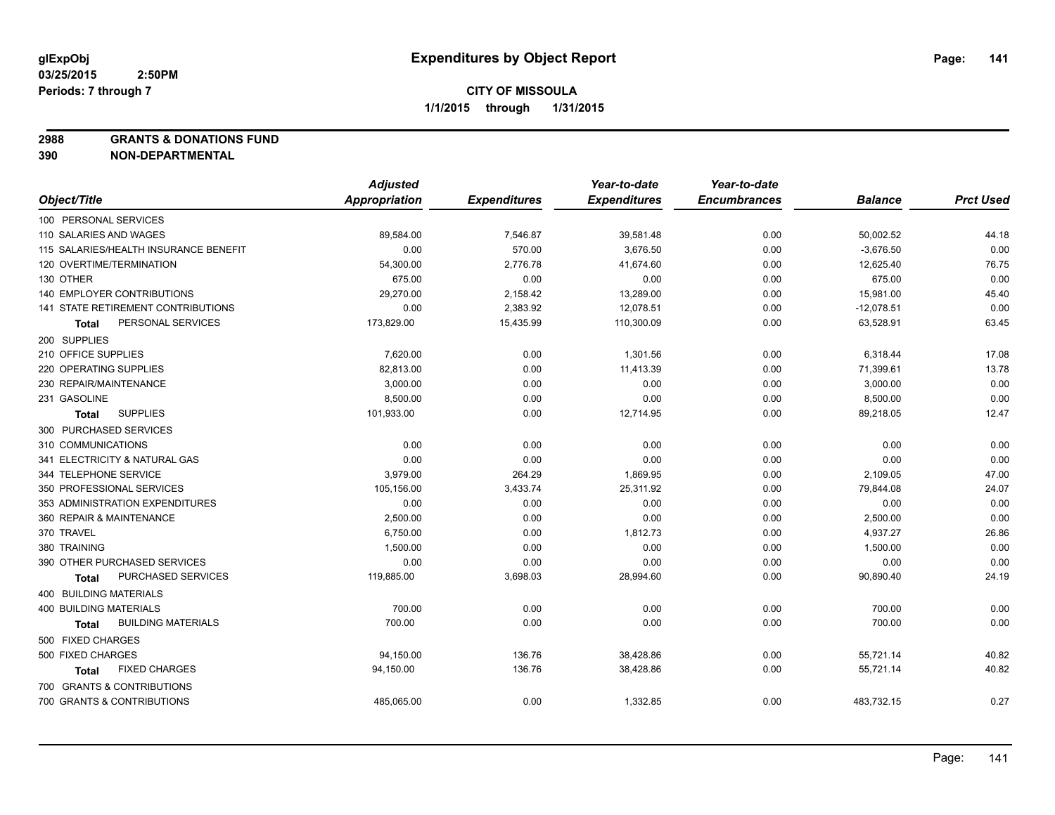**2988 GRANTS & DONATIONS FUND**

**390 NON-DEPARTMENTAL**

|                                           | <b>Adjusted</b>      |                     | Year-to-date        | Year-to-date        |                |                  |
|-------------------------------------------|----------------------|---------------------|---------------------|---------------------|----------------|------------------|
| Object/Title                              | <b>Appropriation</b> | <b>Expenditures</b> | <b>Expenditures</b> | <b>Encumbrances</b> | <b>Balance</b> | <b>Prct Used</b> |
| 100 PERSONAL SERVICES                     |                      |                     |                     |                     |                |                  |
| 110 SALARIES AND WAGES                    | 89,584.00            | 7,546.87            | 39,581.48           | 0.00                | 50,002.52      | 44.18            |
| 115 SALARIES/HEALTH INSURANCE BENEFIT     | 0.00                 | 570.00              | 3,676.50            | 0.00                | $-3,676.50$    | 0.00             |
| 120 OVERTIME/TERMINATION                  | 54,300.00            | 2,776.78            | 41,674.60           | 0.00                | 12,625.40      | 76.75            |
| 130 OTHER                                 | 675.00               | 0.00                | 0.00                | 0.00                | 675.00         | 0.00             |
| <b>140 EMPLOYER CONTRIBUTIONS</b>         | 29,270.00            | 2,158.42            | 13,289.00           | 0.00                | 15,981.00      | 45.40            |
| <b>141 STATE RETIREMENT CONTRIBUTIONS</b> | 0.00                 | 2,383.92            | 12,078.51           | 0.00                | $-12,078.51$   | 0.00             |
| PERSONAL SERVICES<br><b>Total</b>         | 173,829.00           | 15,435.99           | 110,300.09          | 0.00                | 63,528.91      | 63.45            |
| 200 SUPPLIES                              |                      |                     |                     |                     |                |                  |
| 210 OFFICE SUPPLIES                       | 7,620.00             | 0.00                | 1,301.56            | 0.00                | 6,318.44       | 17.08            |
| 220 OPERATING SUPPLIES                    | 82,813.00            | 0.00                | 11,413.39           | 0.00                | 71,399.61      | 13.78            |
| 230 REPAIR/MAINTENANCE                    | 3,000.00             | 0.00                | 0.00                | 0.00                | 3,000.00       | 0.00             |
| 231 GASOLINE                              | 8,500.00             | 0.00                | 0.00                | 0.00                | 8,500.00       | 0.00             |
| <b>SUPPLIES</b><br><b>Total</b>           | 101,933.00           | 0.00                | 12,714.95           | 0.00                | 89,218.05      | 12.47            |
| 300 PURCHASED SERVICES                    |                      |                     |                     |                     |                |                  |
| 310 COMMUNICATIONS                        | 0.00                 | 0.00                | 0.00                | 0.00                | 0.00           | 0.00             |
| 341 ELECTRICITY & NATURAL GAS             | 0.00                 | 0.00                | 0.00                | 0.00                | 0.00           | 0.00             |
| 344 TELEPHONE SERVICE                     | 3,979.00             | 264.29              | 1,869.95            | 0.00                | 2,109.05       | 47.00            |
| 350 PROFESSIONAL SERVICES                 | 105,156.00           | 3,433.74            | 25,311.92           | 0.00                | 79,844.08      | 24.07            |
| 353 ADMINISTRATION EXPENDITURES           | 0.00                 | 0.00                | 0.00                | 0.00                | 0.00           | 0.00             |
| 360 REPAIR & MAINTENANCE                  | 2,500.00             | 0.00                | 0.00                | 0.00                | 2,500.00       | 0.00             |
| 370 TRAVEL                                | 6,750.00             | 0.00                | 1,812.73            | 0.00                | 4,937.27       | 26.86            |
| 380 TRAINING                              | 1,500.00             | 0.00                | 0.00                | 0.00                | 1,500.00       | 0.00             |
| 390 OTHER PURCHASED SERVICES              | 0.00                 | 0.00                | 0.00                | 0.00                | 0.00           | 0.00             |
| PURCHASED SERVICES<br><b>Total</b>        | 119,885.00           | 3,698.03            | 28,994.60           | 0.00                | 90,890.40      | 24.19            |
| 400 BUILDING MATERIALS                    |                      |                     |                     |                     |                |                  |
| 400 BUILDING MATERIALS                    | 700.00               | 0.00                | 0.00                | 0.00                | 700.00         | 0.00             |
| <b>BUILDING MATERIALS</b><br><b>Total</b> | 700.00               | 0.00                | 0.00                | 0.00                | 700.00         | 0.00             |
| 500 FIXED CHARGES                         |                      |                     |                     |                     |                |                  |
| 500 FIXED CHARGES                         | 94,150.00            | 136.76              | 38,428.86           | 0.00                | 55,721.14      | 40.82            |
| <b>FIXED CHARGES</b><br>Total             | 94,150.00            | 136.76              | 38,428.86           | 0.00                | 55,721.14      | 40.82            |
| 700 GRANTS & CONTRIBUTIONS                |                      |                     |                     |                     |                |                  |
| 700 GRANTS & CONTRIBUTIONS                | 485,065.00           | 0.00                | 1,332.85            | 0.00                | 483,732.15     | 0.27             |
|                                           |                      |                     |                     |                     |                |                  |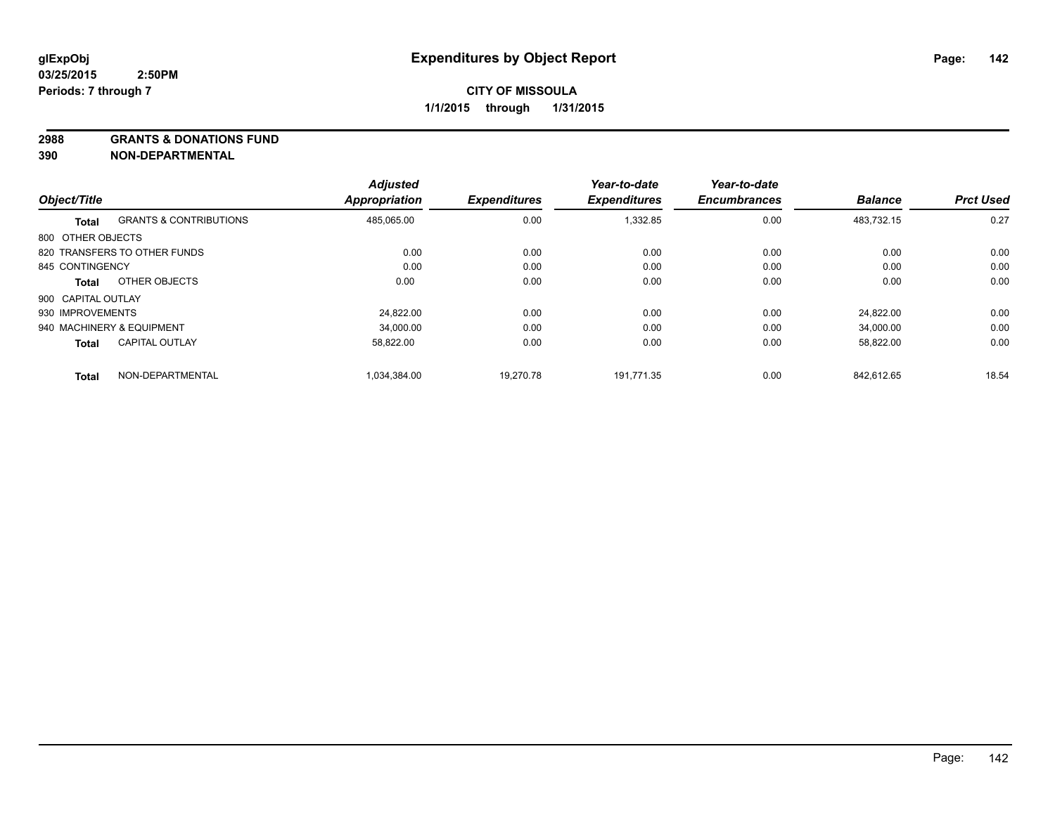**2988 GRANTS & DONATIONS FUND**

**390 NON-DEPARTMENTAL**

|                    |                                   | <b>Adjusted</b>      |                     | Year-to-date        | Year-to-date        |                |                  |
|--------------------|-----------------------------------|----------------------|---------------------|---------------------|---------------------|----------------|------------------|
| Object/Title       |                                   | <b>Appropriation</b> | <b>Expenditures</b> | <b>Expenditures</b> | <b>Encumbrances</b> | <b>Balance</b> | <b>Prct Used</b> |
| <b>Total</b>       | <b>GRANTS &amp; CONTRIBUTIONS</b> | 485,065.00           | 0.00                | 1,332.85            | 0.00                | 483,732.15     | 0.27             |
| 800 OTHER OBJECTS  |                                   |                      |                     |                     |                     |                |                  |
|                    | 820 TRANSFERS TO OTHER FUNDS      | 0.00                 | 0.00                | 0.00                | 0.00                | 0.00           | 0.00             |
| 845 CONTINGENCY    |                                   | 0.00                 | 0.00                | 0.00                | 0.00                | 0.00           | 0.00             |
| Total              | OTHER OBJECTS                     | 0.00                 | 0.00                | 0.00                | 0.00                | 0.00           | 0.00             |
| 900 CAPITAL OUTLAY |                                   |                      |                     |                     |                     |                |                  |
| 930 IMPROVEMENTS   |                                   | 24.822.00            | 0.00                | 0.00                | 0.00                | 24.822.00      | 0.00             |
|                    | 940 MACHINERY & EQUIPMENT         | 34.000.00            | 0.00                | 0.00                | 0.00                | 34,000.00      | 0.00             |
| <b>Total</b>       | <b>CAPITAL OUTLAY</b>             | 58,822.00            | 0.00                | 0.00                | 0.00                | 58,822.00      | 0.00             |
| <b>Total</b>       | NON-DEPARTMENTAL                  | 1.034.384.00         | 19.270.78           | 191.771.35          | 0.00                | 842.612.65     | 18.54            |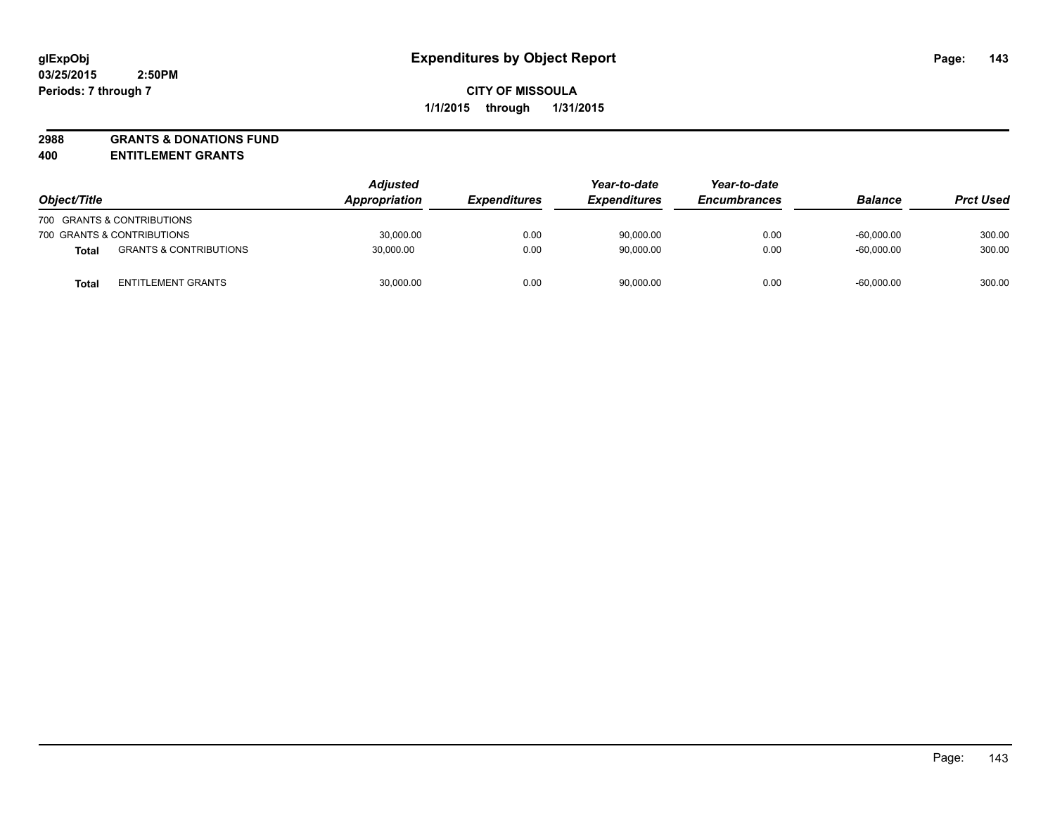# **2988 GRANTS & DONATIONS FUND**

**400 ENTITLEMENT GRANTS**

| Object/Title |                                   | <b>Adjusted</b><br>Appropriation | <b>Expenditures</b> | Year-to-date<br><b>Expenditures</b> | Year-to-date<br><b>Encumbrances</b> | <b>Balance</b> | <b>Prct Used</b> |
|--------------|-----------------------------------|----------------------------------|---------------------|-------------------------------------|-------------------------------------|----------------|------------------|
|              | 700 GRANTS & CONTRIBUTIONS        |                                  |                     |                                     |                                     |                |                  |
|              | 700 GRANTS & CONTRIBUTIONS        | 30,000.00                        | 0.00                | 90,000.00                           | 0.00                                | $-60.000.00$   | 300.00           |
| <b>Total</b> | <b>GRANTS &amp; CONTRIBUTIONS</b> | 30,000.00                        | 0.00                | 90,000.00                           | 0.00                                | $-60.000.00$   | 300.00           |
| <b>Total</b> | <b>ENTITLEMENT GRANTS</b>         | 30,000.00                        | 0.00                | 90,000.00                           | 0.00                                | $-60,000.00$   | 300.00           |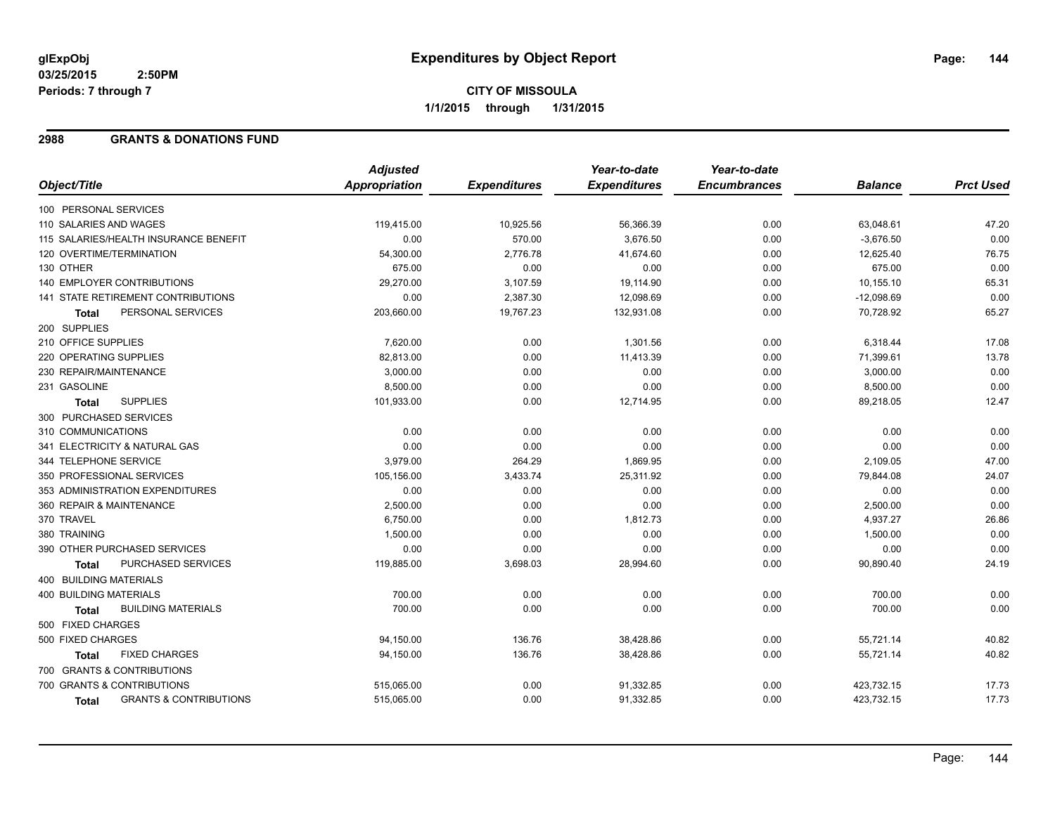### **2988 GRANTS & DONATIONS FUND**

|                                            | <b>Adjusted</b> |                     | Year-to-date        | Year-to-date        |                |                  |
|--------------------------------------------|-----------------|---------------------|---------------------|---------------------|----------------|------------------|
| Object/Title                               | Appropriation   | <b>Expenditures</b> | <b>Expenditures</b> | <b>Encumbrances</b> | <b>Balance</b> | <b>Prct Used</b> |
| 100 PERSONAL SERVICES                      |                 |                     |                     |                     |                |                  |
| 110 SALARIES AND WAGES                     | 119,415.00      | 10,925.56           | 56,366.39           | 0.00                | 63,048.61      | 47.20            |
| 115 SALARIES/HEALTH INSURANCE BENEFIT      | 0.00            | 570.00              | 3,676.50            | 0.00                | $-3,676.50$    | 0.00             |
| 120 OVERTIME/TERMINATION                   | 54,300.00       | 2,776.78            | 41,674.60           | 0.00                | 12,625.40      | 76.75            |
| 130 OTHER                                  | 675.00          | 0.00                | 0.00                | 0.00                | 675.00         | 0.00             |
| <b>140 EMPLOYER CONTRIBUTIONS</b>          | 29,270.00       | 3,107.59            | 19,114.90           | 0.00                | 10,155.10      | 65.31            |
| 141 STATE RETIREMENT CONTRIBUTIONS         | 0.00            | 2,387.30            | 12,098.69           | 0.00                | $-12,098.69$   | 0.00             |
| PERSONAL SERVICES<br><b>Total</b>          | 203,660.00      | 19,767.23           | 132,931.08          | 0.00                | 70,728.92      | 65.27            |
| 200 SUPPLIES                               |                 |                     |                     |                     |                |                  |
| 210 OFFICE SUPPLIES                        | 7,620.00        | 0.00                | 1,301.56            | 0.00                | 6,318.44       | 17.08            |
| 220 OPERATING SUPPLIES                     | 82,813.00       | 0.00                | 11,413.39           | 0.00                | 71,399.61      | 13.78            |
| 230 REPAIR/MAINTENANCE                     | 3,000.00        | 0.00                | 0.00                | 0.00                | 3,000.00       | 0.00             |
| 231 GASOLINE                               | 8,500.00        | 0.00                | 0.00                | 0.00                | 8,500.00       | 0.00             |
| <b>SUPPLIES</b><br><b>Total</b>            | 101,933.00      | 0.00                | 12,714.95           | 0.00                | 89,218.05      | 12.47            |
| 300 PURCHASED SERVICES                     |                 |                     |                     |                     |                |                  |
| 310 COMMUNICATIONS                         | 0.00            | 0.00                | 0.00                | 0.00                | 0.00           | 0.00             |
| 341 ELECTRICITY & NATURAL GAS              | 0.00            | 0.00                | 0.00                | 0.00                | 0.00           | 0.00             |
| 344 TELEPHONE SERVICE                      | 3,979.00        | 264.29              | 1,869.95            | 0.00                | 2,109.05       | 47.00            |
| 350 PROFESSIONAL SERVICES                  | 105,156.00      | 3,433.74            | 25,311.92           | 0.00                | 79,844.08      | 24.07            |
| 353 ADMINISTRATION EXPENDITURES            | 0.00            | 0.00                | 0.00                | 0.00                | 0.00           | 0.00             |
| 360 REPAIR & MAINTENANCE                   | 2,500.00        | 0.00                | 0.00                | 0.00                | 2,500.00       | 0.00             |
| 370 TRAVEL                                 | 6,750.00        | 0.00                | 1,812.73            | 0.00                | 4,937.27       | 26.86            |
| 380 TRAINING                               | 1,500.00        | 0.00                | 0.00                | 0.00                | 1,500.00       | 0.00             |
| 390 OTHER PURCHASED SERVICES               | 0.00            | 0.00                | 0.00                | 0.00                | 0.00           | 0.00             |
| <b>PURCHASED SERVICES</b><br><b>Total</b>  | 119,885.00      | 3,698.03            | 28,994.60           | 0.00                | 90,890.40      | 24.19            |
| 400 BUILDING MATERIALS                     |                 |                     |                     |                     |                |                  |
| <b>400 BUILDING MATERIALS</b>              | 700.00          | 0.00                | 0.00                | 0.00                | 700.00         | 0.00             |
| <b>BUILDING MATERIALS</b><br>Total         | 700.00          | 0.00                | 0.00                | 0.00                | 700.00         | 0.00             |
| 500 FIXED CHARGES                          |                 |                     |                     |                     |                |                  |
| 500 FIXED CHARGES                          | 94,150.00       | 136.76              | 38,428.86           | 0.00                | 55,721.14      | 40.82            |
| <b>FIXED CHARGES</b><br>Total              | 94,150.00       | 136.76              | 38,428.86           | 0.00                | 55,721.14      | 40.82            |
| 700 GRANTS & CONTRIBUTIONS                 |                 |                     |                     |                     |                |                  |
| 700 GRANTS & CONTRIBUTIONS                 | 515,065.00      | 0.00                | 91,332.85           | 0.00                | 423,732.15     | 17.73            |
| <b>GRANTS &amp; CONTRIBUTIONS</b><br>Total | 515,065.00      | 0.00                | 91,332.85           | 0.00                | 423,732.15     | 17.73            |
|                                            |                 |                     |                     |                     |                |                  |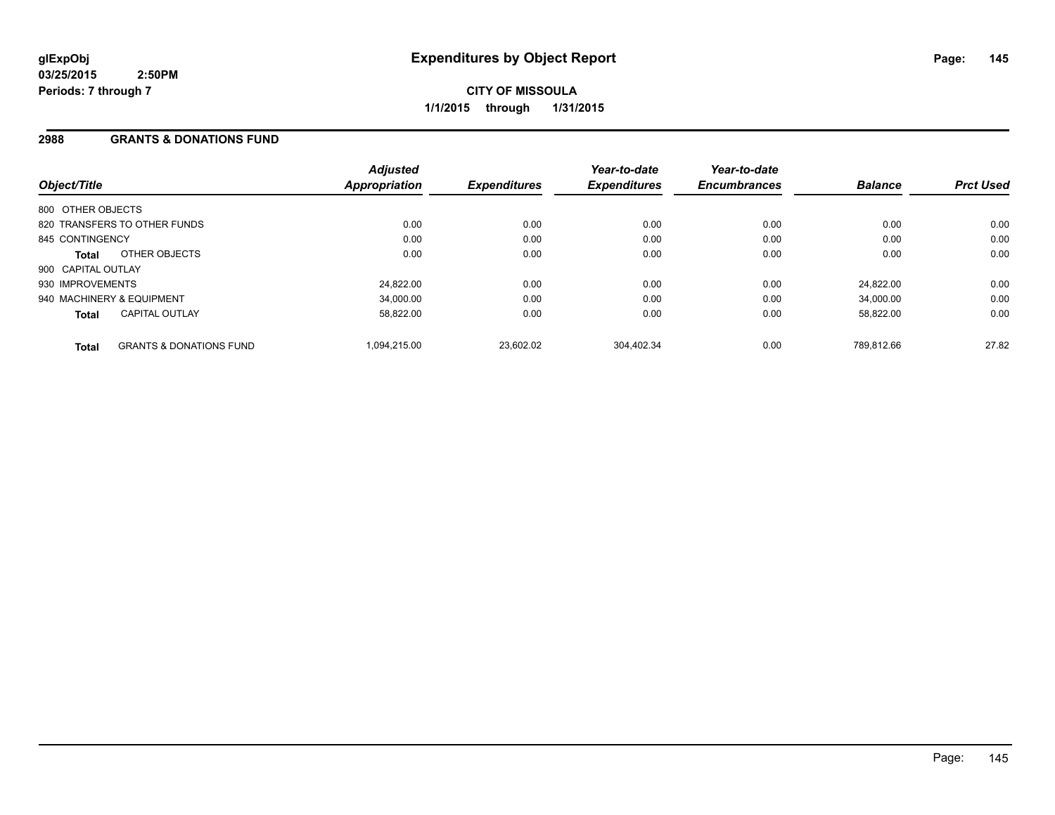**CITY OF MISSOULA 1/1/2015 through 1/31/2015**

## **2988 GRANTS & DONATIONS FUND**

| Object/Title              |                                    | <b>Adjusted</b><br>Appropriation | <b>Expenditures</b> | Year-to-date<br><b>Expenditures</b> | Year-to-date<br><b>Encumbrances</b> | <b>Balance</b> | <b>Prct Used</b> |
|---------------------------|------------------------------------|----------------------------------|---------------------|-------------------------------------|-------------------------------------|----------------|------------------|
| 800 OTHER OBJECTS         |                                    |                                  |                     |                                     |                                     |                |                  |
|                           | 820 TRANSFERS TO OTHER FUNDS       | 0.00                             | 0.00                | 0.00                                | 0.00                                | 0.00           | 0.00             |
| 845 CONTINGENCY           |                                    | 0.00                             | 0.00                | 0.00                                | 0.00                                | 0.00           | 0.00             |
| Total                     | OTHER OBJECTS                      | 0.00                             | 0.00                | 0.00                                | 0.00                                | 0.00           | 0.00             |
| 900 CAPITAL OUTLAY        |                                    |                                  |                     |                                     |                                     |                |                  |
| 930 IMPROVEMENTS          |                                    | 24,822.00                        | 0.00                | 0.00                                | 0.00                                | 24.822.00      | 0.00             |
| 940 MACHINERY & EQUIPMENT |                                    | 34.000.00                        | 0.00                | 0.00                                | 0.00                                | 34.000.00      | 0.00             |
| <b>Total</b>              | <b>CAPITAL OUTLAY</b>              | 58.822.00                        | 0.00                | 0.00                                | 0.00                                | 58.822.00      | 0.00             |
| <b>Total</b>              | <b>GRANTS &amp; DONATIONS FUND</b> | 1.094.215.00                     | 23.602.02           | 304.402.34                          | 0.00                                | 789.812.66     | 27.82            |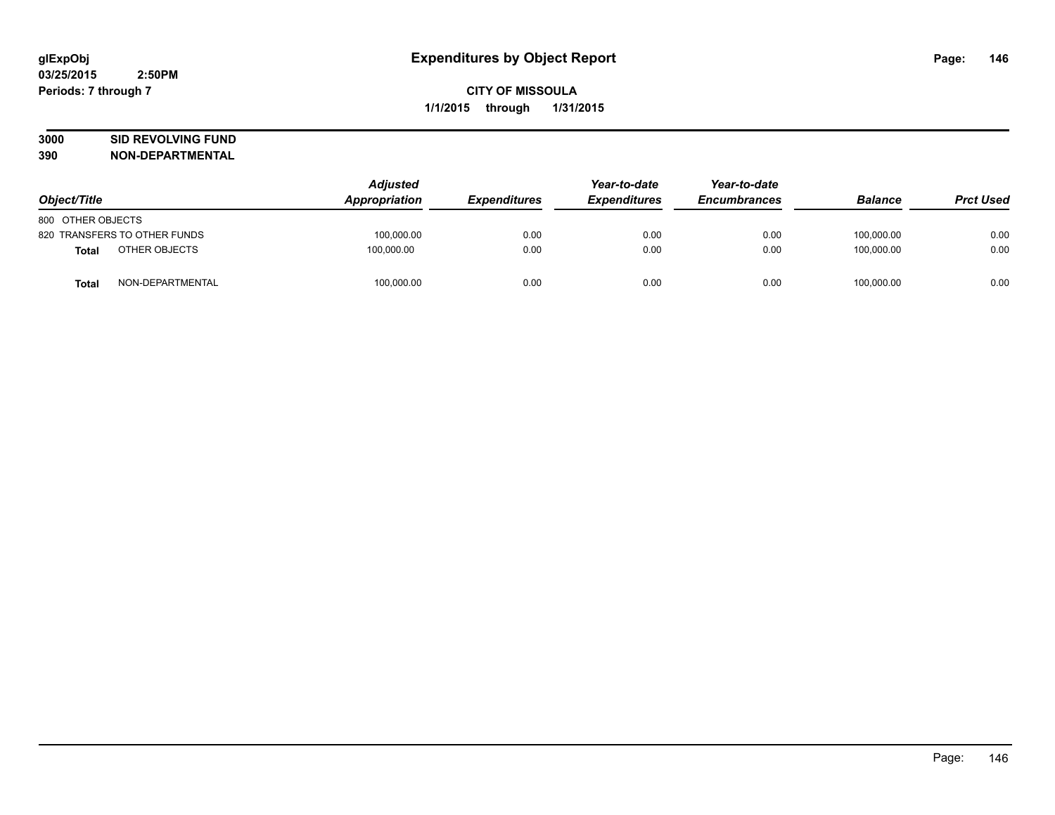# **3000 SID REVOLVING FUND**

|                   |                              | <b>Adjusted</b> |                     | Year-to-date        | Year-to-date        |                |                  |
|-------------------|------------------------------|-----------------|---------------------|---------------------|---------------------|----------------|------------------|
| Object/Title      |                              | Appropriation   | <b>Expenditures</b> | <b>Expenditures</b> | <b>Encumbrances</b> | <b>Balance</b> | <b>Prct Used</b> |
| 800 OTHER OBJECTS |                              |                 |                     |                     |                     |                |                  |
|                   | 820 TRANSFERS TO OTHER FUNDS | 100.000.00      | 0.00                | 0.00                | 0.00                | 100.000.00     | 0.00             |
| Total             | OTHER OBJECTS                | 100,000.00      | 0.00                | 0.00                | 0.00                | 100,000.00     | 0.00             |
| <b>Total</b>      | NON-DEPARTMENTAL             | 100,000.00      | 0.00                | 0.00                | 0.00                | 100,000.00     | 0.00             |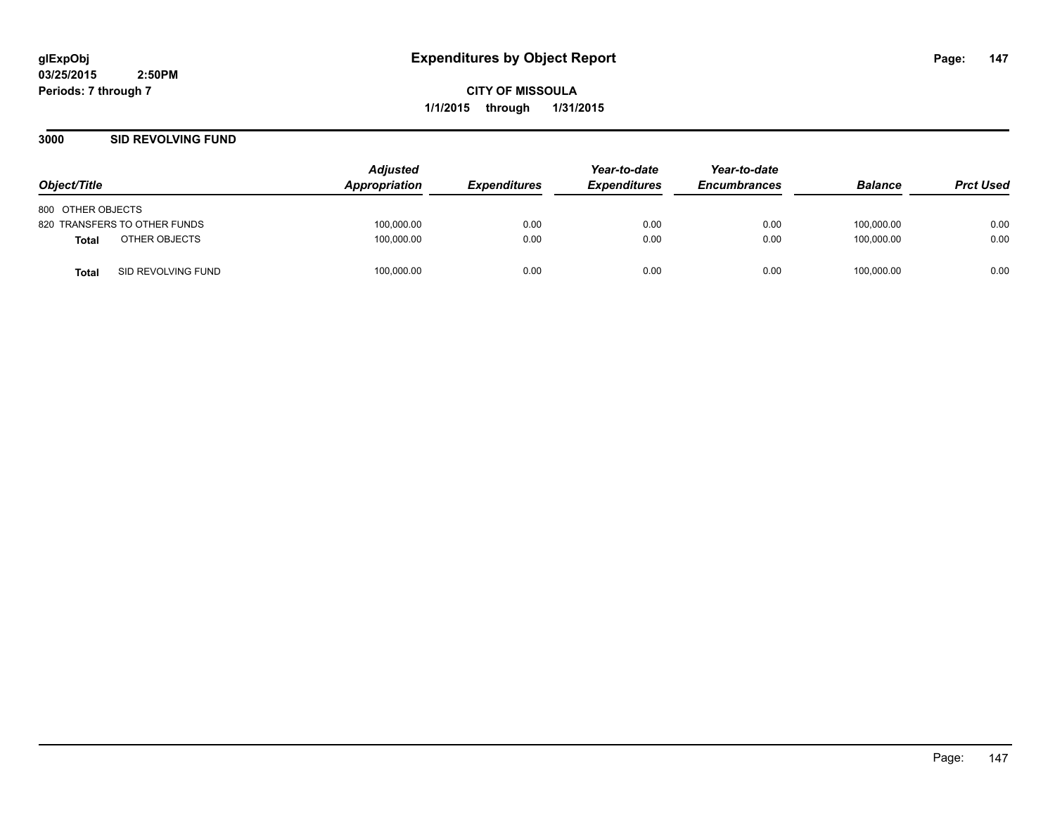**CITY OF MISSOULA 1/1/2015 through 1/31/2015**

## **3000 SID REVOLVING FUND**

| Object/Title                       | <b>Adjusted</b><br>Appropriation | <i><b>Expenditures</b></i> | Year-to-date<br><b>Expenditures</b> | Year-to-date<br><b>Encumbrances</b> | <b>Balance</b> | <b>Prct Used</b> |
|------------------------------------|----------------------------------|----------------------------|-------------------------------------|-------------------------------------|----------------|------------------|
| 800 OTHER OBJECTS                  |                                  |                            |                                     |                                     |                |                  |
| 820 TRANSFERS TO OTHER FUNDS       | 100,000.00                       | 0.00                       | 0.00                                | 0.00                                | 100,000.00     | 0.00             |
| OTHER OBJECTS<br>Total             | 100,000.00                       | 0.00                       | 0.00                                | 0.00                                | 100.000.00     | 0.00             |
| SID REVOLVING FUND<br><b>Total</b> | 100,000.00                       | 0.00                       | 0.00                                | 0.00                                | 100,000.00     | 0.00             |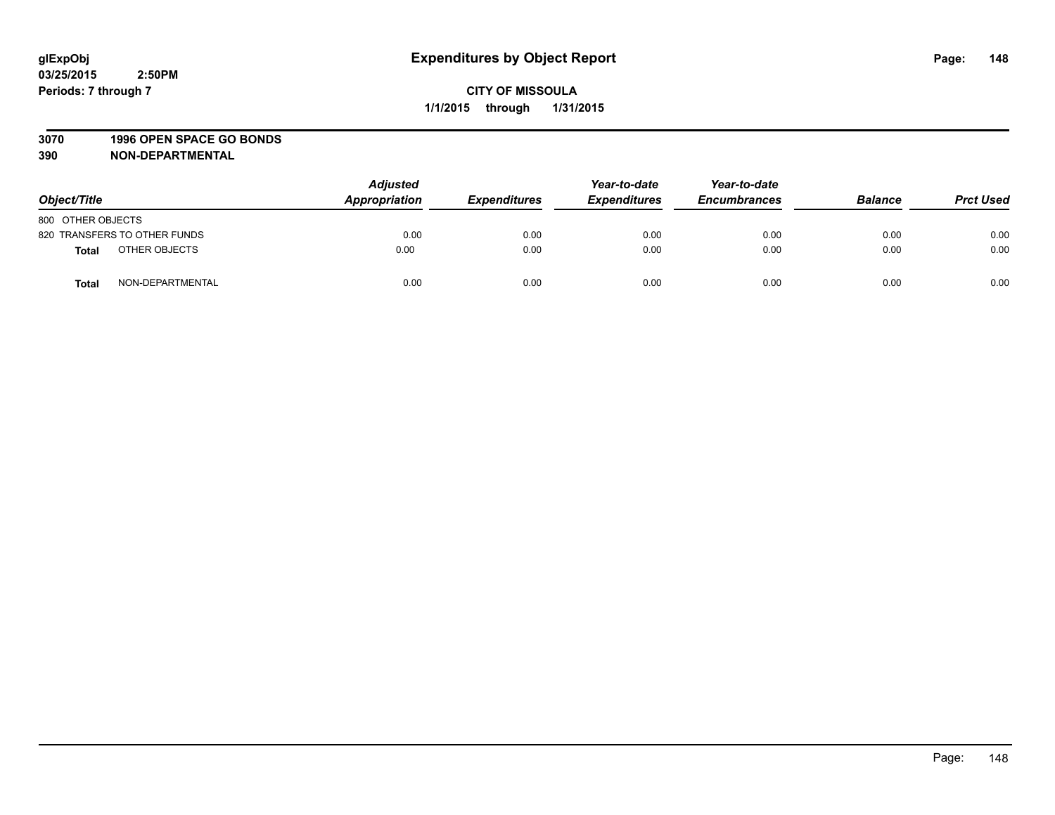## **3070 1996 OPEN SPACE GO BONDS**

| Object/Title                 | <b>Adjusted</b><br>Appropriation | <b>Expenditures</b> | Year-to-date<br><b>Expenditures</b> | Year-to-date<br><b>Encumbrances</b> | <b>Balance</b> | <b>Prct Used</b> |
|------------------------------|----------------------------------|---------------------|-------------------------------------|-------------------------------------|----------------|------------------|
| 800 OTHER OBJECTS            |                                  |                     |                                     |                                     |                |                  |
| 820 TRANSFERS TO OTHER FUNDS | 0.00                             | 0.00                | 0.00                                | 0.00                                | 0.00           | 0.00             |
| OTHER OBJECTS<br>Total       | 0.00                             | 0.00                | 0.00                                | 0.00                                | 0.00           | 0.00             |
| NON-DEPARTMENTAL<br>Total    | 0.00                             | 0.00                | 0.00                                | 0.00                                | 0.00           | 0.00             |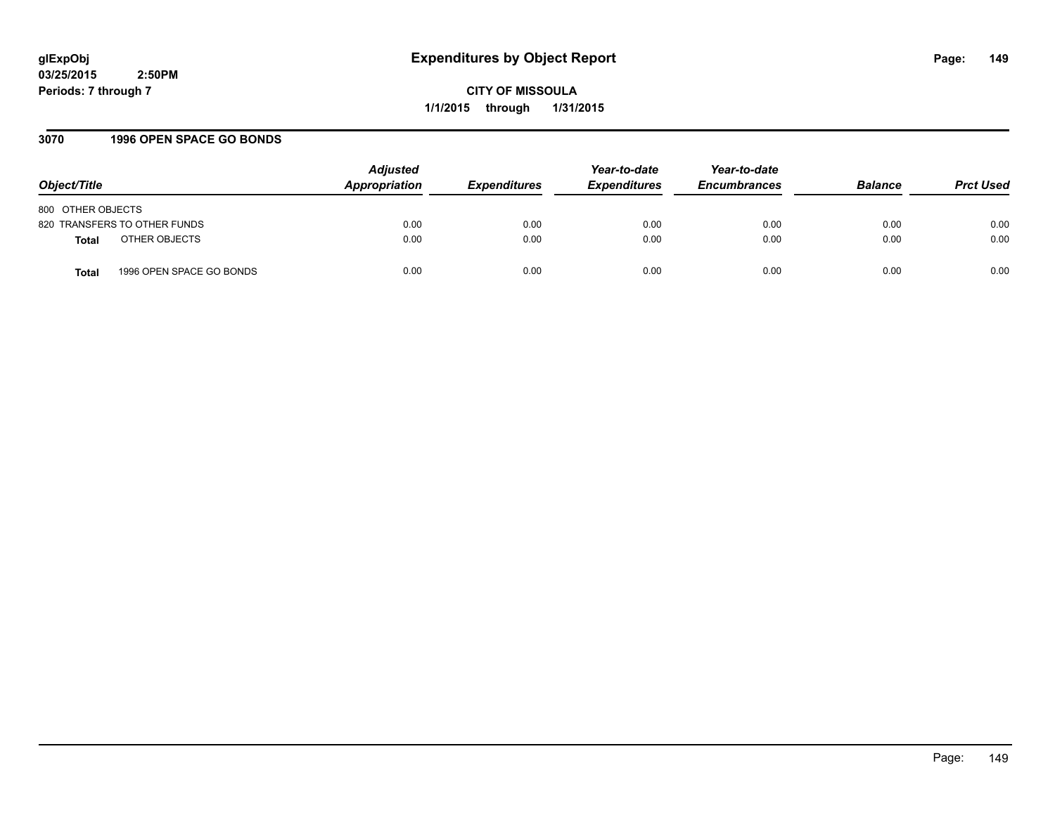**CITY OF MISSOULA 1/1/2015 through 1/31/2015**

## **3070 1996 OPEN SPACE GO BONDS**

| Object/Title                      | <b>Adjusted</b><br>Appropriation | <b>Expenditures</b> | Year-to-date<br><b>Expenditures</b> | Year-to-date<br><b>Encumbrances</b> | <b>Balance</b> | <b>Prct Used</b> |
|-----------------------------------|----------------------------------|---------------------|-------------------------------------|-------------------------------------|----------------|------------------|
| 800 OTHER OBJECTS                 |                                  |                     |                                     |                                     |                |                  |
| 820 TRANSFERS TO OTHER FUNDS      | 0.00                             | 0.00                | 0.00                                | 0.00                                | 0.00           | 0.00             |
| OTHER OBJECTS<br><b>Total</b>     | 0.00                             | 0.00                | 0.00                                | 0.00                                | 0.00           | 0.00             |
| 1996 OPEN SPACE GO BONDS<br>Total | 0.00                             | 0.00                | 0.00                                | 0.00                                | 0.00           | 0.00             |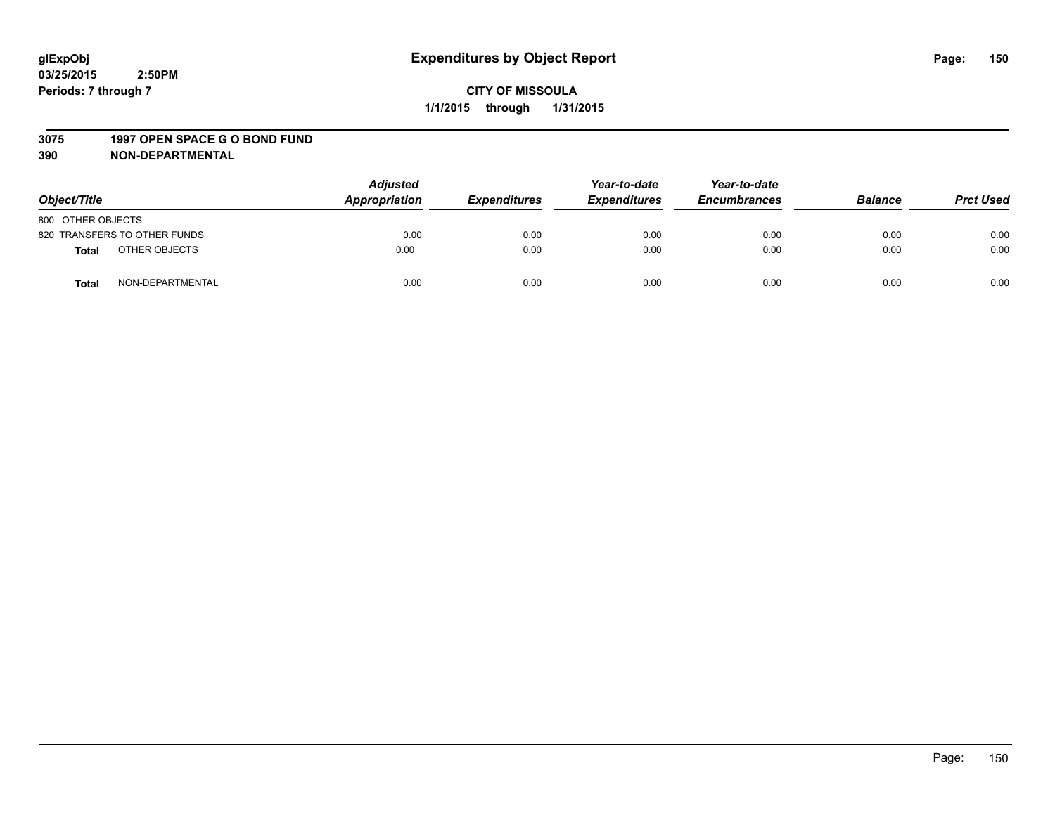#### **3075 1997 OPEN SPACE G O BOND FUND**

| Object/Title      |                              | <b>Adjusted</b><br>Appropriation | <b>Expenditures</b> | Year-to-date<br><b>Expenditures</b> | Year-to-date<br><b>Encumbrances</b> | <b>Balance</b> | <b>Prct Used</b> |
|-------------------|------------------------------|----------------------------------|---------------------|-------------------------------------|-------------------------------------|----------------|------------------|
| 800 OTHER OBJECTS |                              |                                  |                     |                                     |                                     |                |                  |
|                   | 820 TRANSFERS TO OTHER FUNDS | 0.00                             | 0.00                | 0.00                                | 0.00                                | 0.00           | 0.00             |
| <b>Total</b>      | OTHER OBJECTS                | 0.00                             | 0.00                | 0.00                                | 0.00                                | 0.00           | 0.00             |
| <b>Total</b>      | NON-DEPARTMENTAL             | 0.00                             | 0.00                | 0.00                                | 0.00                                | 0.00           | 0.00             |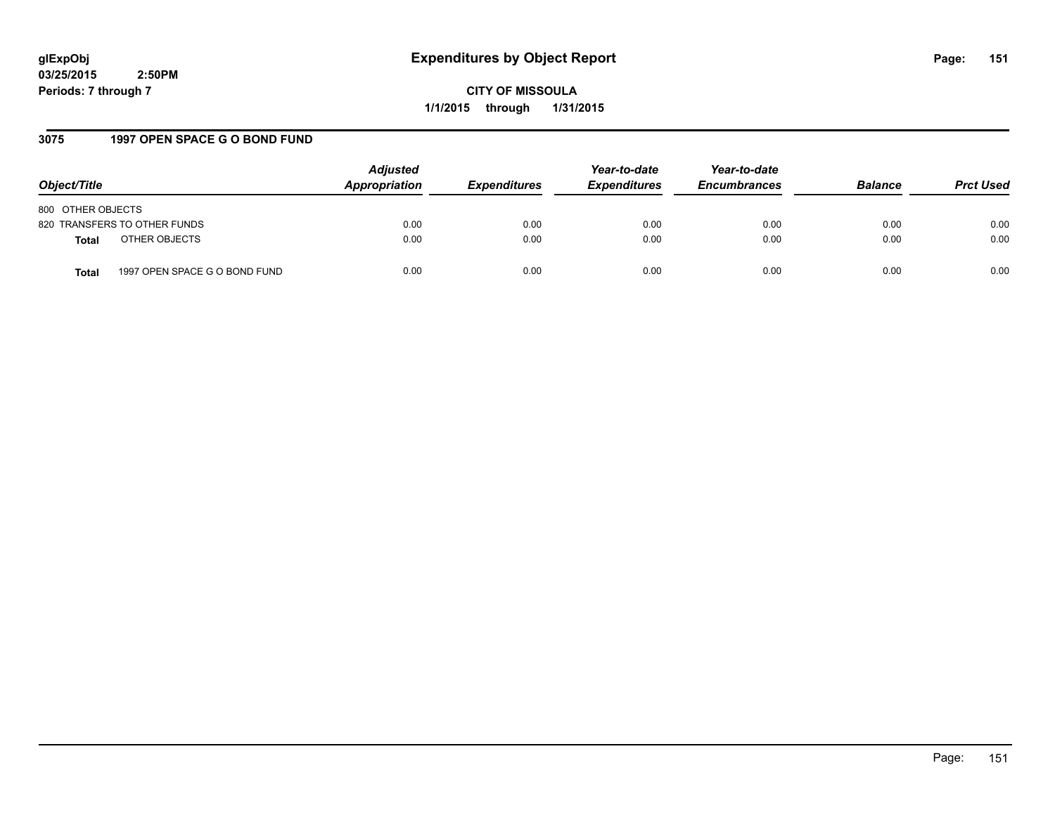**CITY OF MISSOULA 1/1/2015 through 1/31/2015**

# **3075 1997 OPEN SPACE G O BOND FUND**

| Object/Title                                  | <b>Adjusted</b><br>Appropriation | <b>Expenditures</b> | Year-to-date<br><b>Expenditures</b> | Year-to-date<br><b>Encumbrances</b> | <b>Balance</b> | <b>Prct Used</b> |
|-----------------------------------------------|----------------------------------|---------------------|-------------------------------------|-------------------------------------|----------------|------------------|
| 800 OTHER OBJECTS                             |                                  |                     |                                     |                                     |                |                  |
| 820 TRANSFERS TO OTHER FUNDS                  | 0.00                             | 0.00                | 0.00                                | 0.00                                | 0.00           | 0.00             |
| OTHER OBJECTS<br><b>Total</b>                 | 0.00                             | 0.00                | 0.00                                | 0.00                                | 0.00           | 0.00             |
| 1997 OPEN SPACE G O BOND FUND<br><b>Total</b> | 0.00                             | 0.00                | 0.00                                | 0.00                                | 0.00           | 0.00             |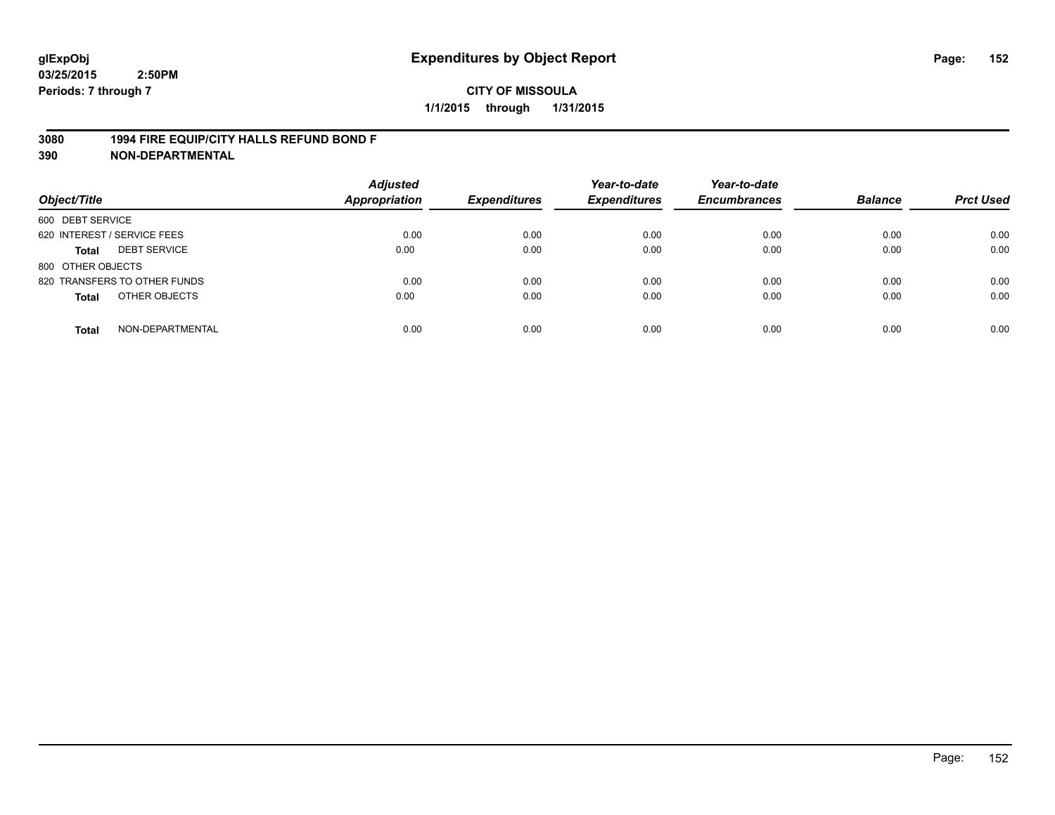## **3080 1994 FIRE EQUIP/CITY HALLS REFUND BOND F**

| Object/Title                     | <b>Adjusted</b><br><b>Appropriation</b> | <b>Expenditures</b> | Year-to-date<br><b>Expenditures</b> | Year-to-date<br><b>Encumbrances</b> | <b>Balance</b> | <b>Prct Used</b> |
|----------------------------------|-----------------------------------------|---------------------|-------------------------------------|-------------------------------------|----------------|------------------|
| 600 DEBT SERVICE                 |                                         |                     |                                     |                                     |                |                  |
| 620 INTEREST / SERVICE FEES      | 0.00                                    | 0.00                | 0.00                                | 0.00                                | 0.00           | 0.00             |
| <b>DEBT SERVICE</b><br>Total     | 0.00                                    | 0.00                | 0.00                                | 0.00                                | 0.00           | 0.00             |
| 800 OTHER OBJECTS                |                                         |                     |                                     |                                     |                |                  |
| 820 TRANSFERS TO OTHER FUNDS     | 0.00                                    | 0.00                | 0.00                                | 0.00                                | 0.00           | 0.00             |
| OTHER OBJECTS<br><b>Total</b>    | 0.00                                    | 0.00                | 0.00                                | 0.00                                | 0.00           | 0.00             |
| NON-DEPARTMENTAL<br><b>Total</b> | 0.00                                    | 0.00                | 0.00                                | 0.00                                | 0.00           | 0.00             |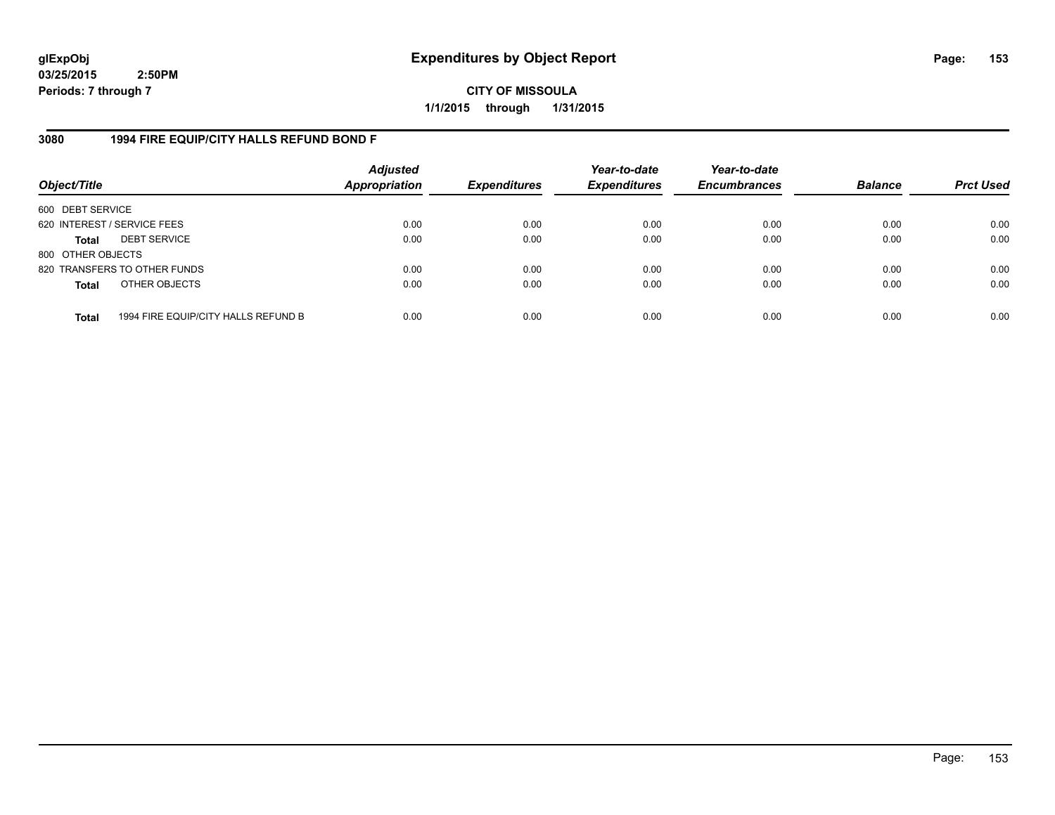**CITY OF MISSOULA 1/1/2015 through 1/31/2015**

## **3080 1994 FIRE EQUIP/CITY HALLS REFUND BOND F**

| Object/Title                |                                     | <b>Adjusted</b><br><b>Appropriation</b> | <b>Expenditures</b> | Year-to-date<br><b>Expenditures</b> | Year-to-date<br><b>Encumbrances</b> | <b>Balance</b> | <b>Prct Used</b> |
|-----------------------------|-------------------------------------|-----------------------------------------|---------------------|-------------------------------------|-------------------------------------|----------------|------------------|
| 600 DEBT SERVICE            |                                     |                                         |                     |                                     |                                     |                |                  |
| 620 INTEREST / SERVICE FEES |                                     | 0.00                                    | 0.00                | 0.00                                | 0.00                                | 0.00           | 0.00             |
| <b>Total</b>                | <b>DEBT SERVICE</b>                 | 0.00                                    | 0.00                | 0.00                                | 0.00                                | 0.00           | 0.00             |
| 800 OTHER OBJECTS           |                                     |                                         |                     |                                     |                                     |                |                  |
|                             | 820 TRANSFERS TO OTHER FUNDS        | 0.00                                    | 0.00                | 0.00                                | 0.00                                | 0.00           | 0.00             |
| <b>Total</b>                | OTHER OBJECTS                       | 0.00                                    | 0.00                | 0.00                                | 0.00                                | 0.00           | 0.00             |
| <b>Total</b>                | 1994 FIRE EQUIP/CITY HALLS REFUND B | 0.00                                    | 0.00                | 0.00                                | 0.00                                | 0.00           | 0.00             |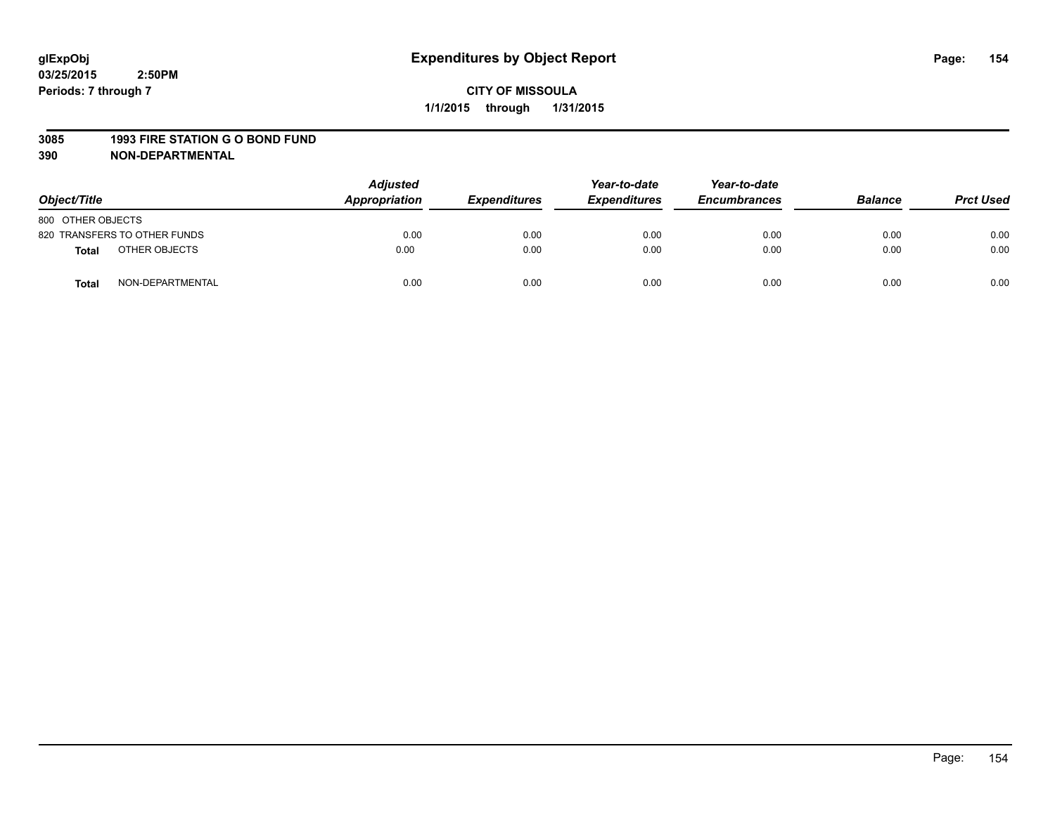#### **3085 1993 FIRE STATION G O BOND FUND**

| Object/Title      |                              | <b>Adjusted</b><br><b>Appropriation</b> | <b>Expenditures</b> | Year-to-date<br><b>Expenditures</b> | Year-to-date<br><b>Encumbrances</b> | <b>Balance</b> | <b>Prct Used</b> |
|-------------------|------------------------------|-----------------------------------------|---------------------|-------------------------------------|-------------------------------------|----------------|------------------|
| 800 OTHER OBJECTS |                              |                                         |                     |                                     |                                     |                |                  |
|                   | 820 TRANSFERS TO OTHER FUNDS | 0.00                                    | 0.00                | 0.00                                | 0.00                                | 0.00           | 0.00             |
| Total             | OTHER OBJECTS                | 0.00                                    | 0.00                | 0.00                                | 0.00                                | 0.00           | 0.00             |
| <b>Total</b>      | NON-DEPARTMENTAL             | 0.00                                    | 0.00                | 0.00                                | 0.00                                | 0.00           | 0.00             |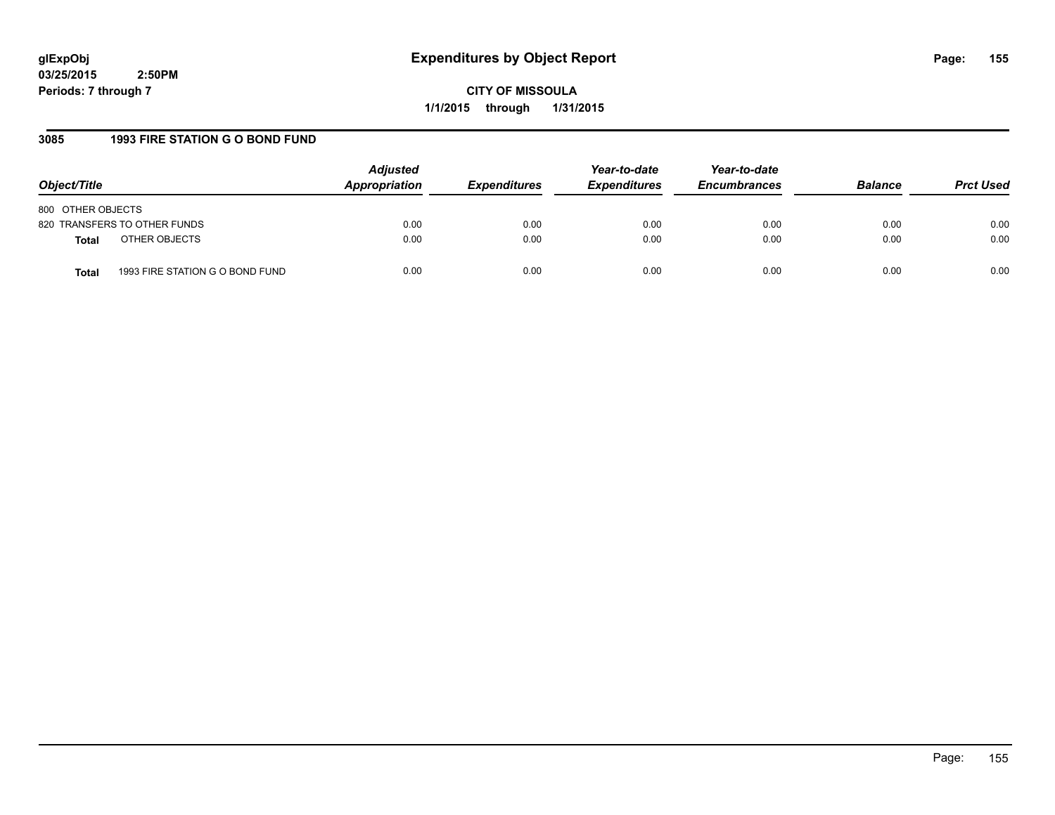**CITY OF MISSOULA 1/1/2015 through 1/31/2015**

# **3085 1993 FIRE STATION G O BOND FUND**

| Object/Title                             | <b>Adjusted</b><br>Appropriation | <i><b>Expenditures</b></i> | Year-to-date<br><b>Expenditures</b> | Year-to-date<br><b>Encumbrances</b> | <b>Balance</b> | <b>Prct Used</b> |
|------------------------------------------|----------------------------------|----------------------------|-------------------------------------|-------------------------------------|----------------|------------------|
| 800 OTHER OBJECTS                        |                                  |                            |                                     |                                     |                |                  |
| 820 TRANSFERS TO OTHER FUNDS             | 0.00                             | 0.00                       | 0.00                                | 0.00                                | 0.00           | 0.00             |
| OTHER OBJECTS<br><b>Total</b>            | 0.00                             | 0.00                       | 0.00                                | 0.00                                | 0.00           | 0.00             |
| 1993 FIRE STATION G O BOND FUND<br>Total | 0.00                             | 0.00                       | 0.00                                | 0.00                                | 0.00           | 0.00             |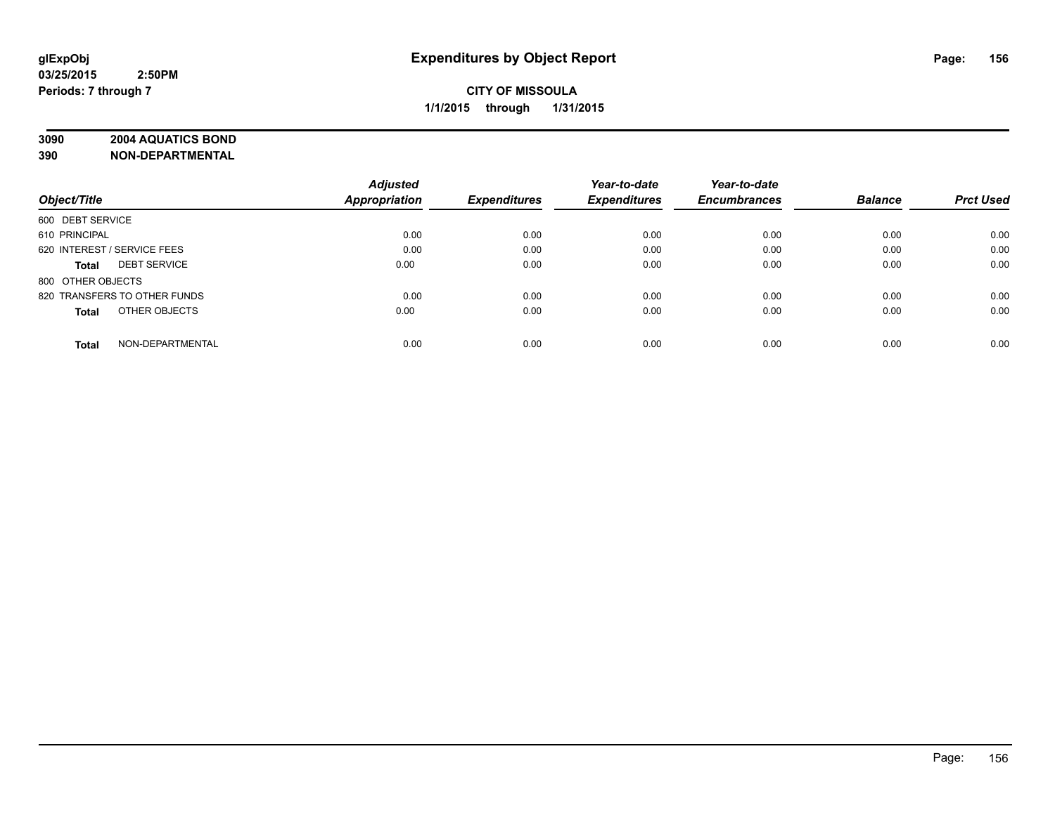# **3090 2004 AQUATICS BOND**

|                                     | <b>Adjusted</b>      |                     | Year-to-date        | Year-to-date        |                |                  |
|-------------------------------------|----------------------|---------------------|---------------------|---------------------|----------------|------------------|
| Object/Title                        | <b>Appropriation</b> | <b>Expenditures</b> | <b>Expenditures</b> | <b>Encumbrances</b> | <b>Balance</b> | <b>Prct Used</b> |
| 600 DEBT SERVICE                    |                      |                     |                     |                     |                |                  |
| 610 PRINCIPAL                       | 0.00                 | 0.00                | 0.00                | 0.00                | 0.00           | 0.00             |
| 620 INTEREST / SERVICE FEES         | 0.00                 | 0.00                | 0.00                | 0.00                | 0.00           | 0.00             |
| <b>DEBT SERVICE</b><br><b>Total</b> | 0.00                 | 0.00                | 0.00                | 0.00                | 0.00           | 0.00             |
| 800 OTHER OBJECTS                   |                      |                     |                     |                     |                |                  |
| 820 TRANSFERS TO OTHER FUNDS        | 0.00                 | 0.00                | 0.00                | 0.00                | 0.00           | 0.00             |
| OTHER OBJECTS<br><b>Total</b>       | 0.00                 | 0.00                | 0.00                | 0.00                | 0.00           | 0.00             |
| NON-DEPARTMENTAL<br><b>Total</b>    | 0.00                 | 0.00                | 0.00                | 0.00                | 0.00           | 0.00             |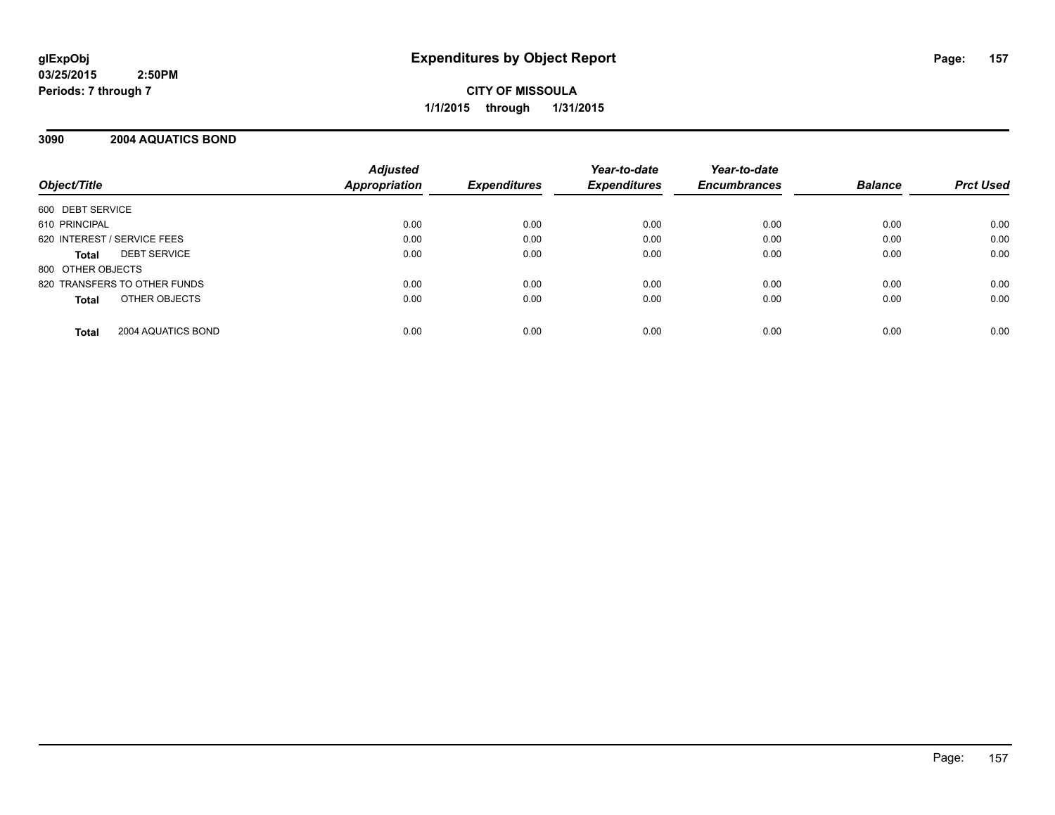**CITY OF MISSOULA 1/1/2015 through 1/31/2015**

## **3090 2004 AQUATICS BOND**

| Object/Title                       | <b>Adjusted</b><br><b>Appropriation</b> | <b>Expenditures</b> | Year-to-date<br><b>Expenditures</b> | Year-to-date<br><b>Encumbrances</b> | <b>Balance</b> | <b>Prct Used</b> |
|------------------------------------|-----------------------------------------|---------------------|-------------------------------------|-------------------------------------|----------------|------------------|
|                                    |                                         |                     |                                     |                                     |                |                  |
| 600 DEBT SERVICE                   |                                         |                     |                                     |                                     |                |                  |
| 610 PRINCIPAL                      | 0.00                                    | 0.00                | 0.00                                | 0.00                                | 0.00           | 0.00             |
| 620 INTEREST / SERVICE FEES        | 0.00                                    | 0.00                | 0.00                                | 0.00                                | 0.00           | 0.00             |
| <b>DEBT SERVICE</b><br>Total       | 0.00                                    | 0.00                | 0.00                                | 0.00                                | 0.00           | 0.00             |
| 800 OTHER OBJECTS                  |                                         |                     |                                     |                                     |                |                  |
| 820 TRANSFERS TO OTHER FUNDS       | 0.00                                    | 0.00                | 0.00                                | 0.00                                | 0.00           | 0.00             |
| OTHER OBJECTS<br><b>Total</b>      | 0.00                                    | 0.00                | 0.00                                | 0.00                                | 0.00           | 0.00             |
| 2004 AQUATICS BOND<br><b>Total</b> | 0.00                                    | 0.00                | 0.00                                | 0.00                                | 0.00           | 0.00             |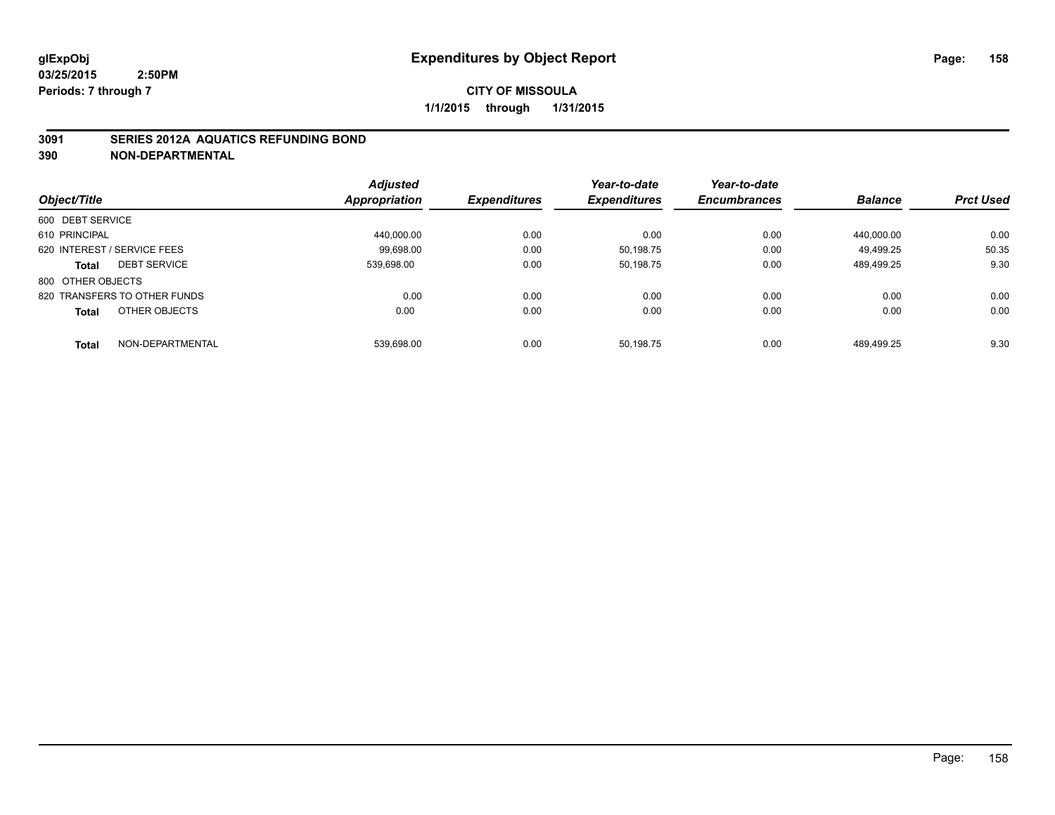# **CITY OF MISSOULA 1/1/2015 through 1/31/2015**

## **3091 SERIES 2012A AQUATICS REFUNDING BOND**

|                                  | <b>Adjusted</b>      |                     | Year-to-date        | Year-to-date        |                |                  |
|----------------------------------|----------------------|---------------------|---------------------|---------------------|----------------|------------------|
| Object/Title                     | <b>Appropriation</b> | <b>Expenditures</b> | <b>Expenditures</b> | <b>Encumbrances</b> | <b>Balance</b> | <b>Prct Used</b> |
| 600 DEBT SERVICE                 |                      |                     |                     |                     |                |                  |
| 610 PRINCIPAL                    | 440.000.00           | 0.00                | 0.00                | 0.00                | 440.000.00     | 0.00             |
| 620 INTEREST / SERVICE FEES      | 99.698.00            | 0.00                | 50.198.75           | 0.00                | 49.499.25      | 50.35            |
| <b>DEBT SERVICE</b><br>Total     | 539.698.00           | 0.00                | 50.198.75           | 0.00                | 489.499.25     | 9.30             |
| 800 OTHER OBJECTS                |                      |                     |                     |                     |                |                  |
| 820 TRANSFERS TO OTHER FUNDS     | 0.00                 | 0.00                | 0.00                | 0.00                | 0.00           | 0.00             |
| OTHER OBJECTS<br><b>Total</b>    | 0.00                 | 0.00                | 0.00                | 0.00                | 0.00           | 0.00             |
| NON-DEPARTMENTAL<br><b>Total</b> | 539.698.00           | 0.00                | 50.198.75           | 0.00                | 489.499.25     | 9.30             |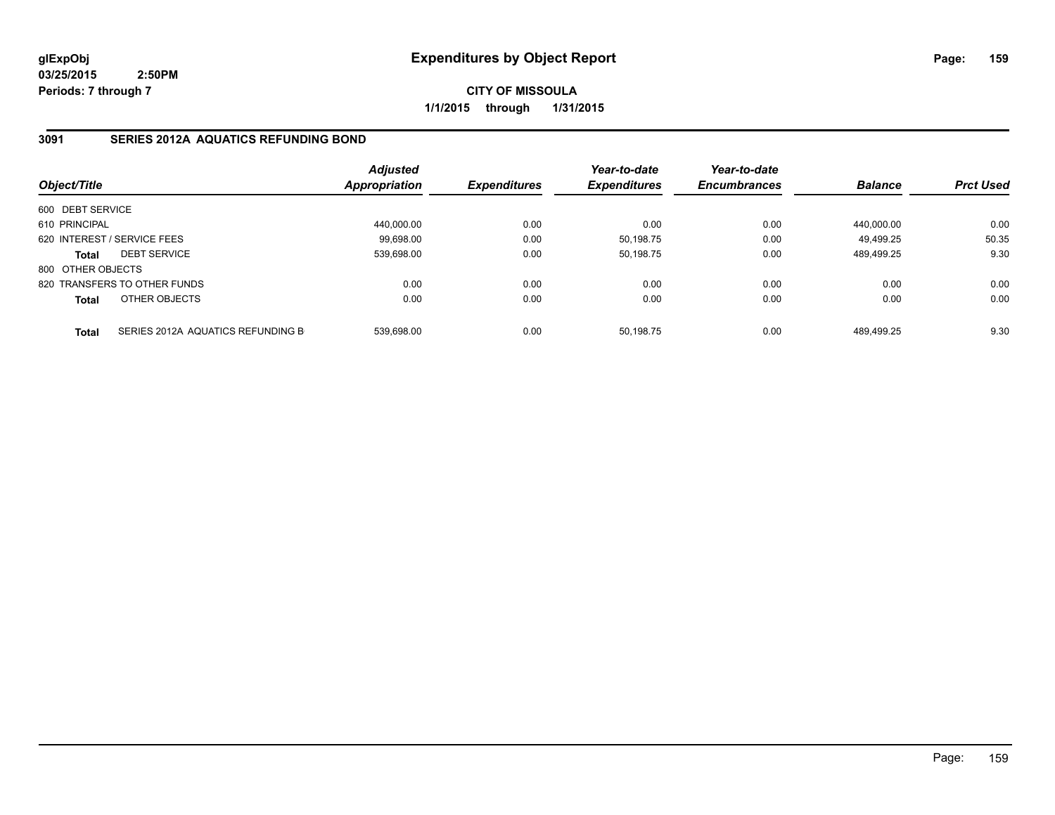**CITY OF MISSOULA 1/1/2015 through 1/31/2015**

# **3091 SERIES 2012A AQUATICS REFUNDING BOND**

| Object/Title      |                                   | <b>Adjusted</b><br>Appropriation | <b>Expenditures</b> | Year-to-date<br><b>Expenditures</b> | Year-to-date<br><b>Encumbrances</b> | <b>Balance</b> | <b>Prct Used</b> |
|-------------------|-----------------------------------|----------------------------------|---------------------|-------------------------------------|-------------------------------------|----------------|------------------|
| 600 DEBT SERVICE  |                                   |                                  |                     |                                     |                                     |                |                  |
| 610 PRINCIPAL     |                                   | 440.000.00                       | 0.00                | 0.00                                | 0.00                                | 440.000.00     | 0.00             |
|                   | 620 INTEREST / SERVICE FEES       | 99.698.00                        | 0.00                | 50,198.75                           | 0.00                                | 49.499.25      | 50.35            |
| <b>Total</b>      | <b>DEBT SERVICE</b>               | 539.698.00                       | 0.00                | 50.198.75                           | 0.00                                | 489.499.25     | 9.30             |
| 800 OTHER OBJECTS |                                   |                                  |                     |                                     |                                     |                |                  |
|                   | 820 TRANSFERS TO OTHER FUNDS      | 0.00                             | 0.00                | 0.00                                | 0.00                                | 0.00           | 0.00             |
| <b>Total</b>      | OTHER OBJECTS                     | 0.00                             | 0.00                | 0.00                                | 0.00                                | 0.00           | 0.00             |
| <b>Total</b>      | SERIES 2012A AQUATICS REFUNDING B | 539.698.00                       | 0.00                | 50.198.75                           | 0.00                                | 489.499.25     | 9.30             |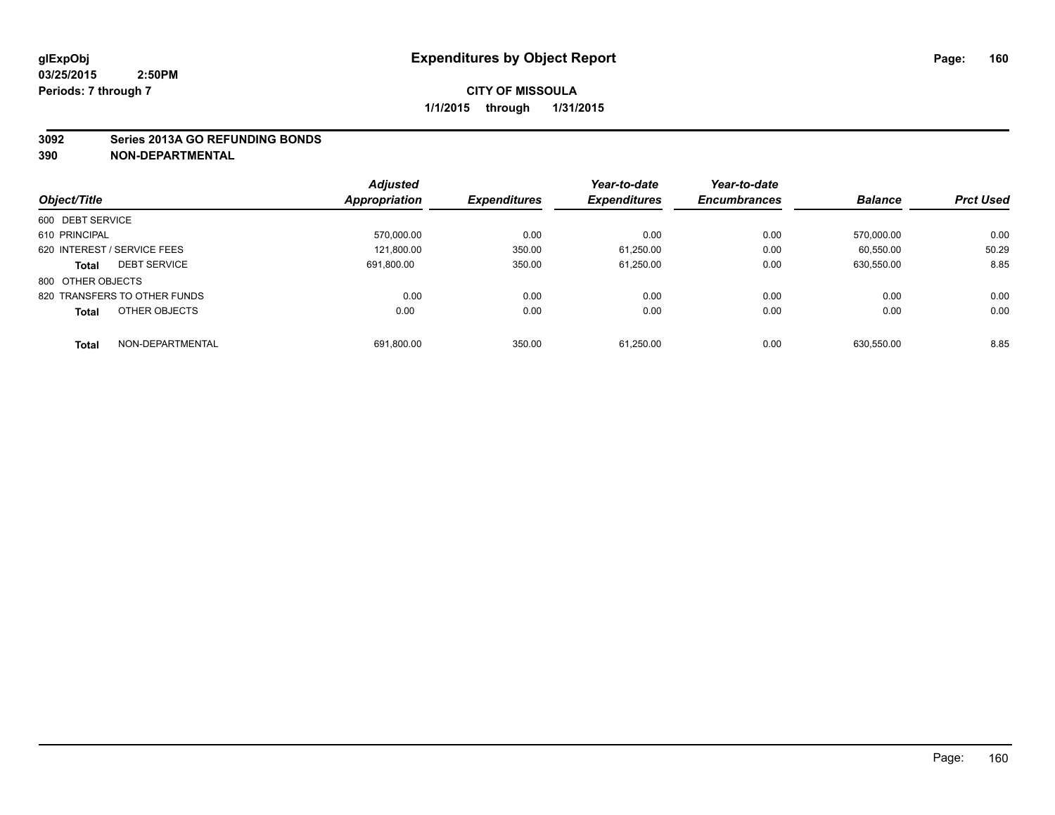#### **3092 Series 2013A GO REFUNDING BONDS**

|                                     | <b>Adjusted</b>      |                     | Year-to-date        | Year-to-date        |                |                  |
|-------------------------------------|----------------------|---------------------|---------------------|---------------------|----------------|------------------|
| Object/Title                        | <b>Appropriation</b> | <b>Expenditures</b> | <b>Expenditures</b> | <b>Encumbrances</b> | <b>Balance</b> | <b>Prct Used</b> |
| 600 DEBT SERVICE                    |                      |                     |                     |                     |                |                  |
| 610 PRINCIPAL                       | 570.000.00           | 0.00                | 0.00                | 0.00                | 570.000.00     | 0.00             |
| 620 INTEREST / SERVICE FEES         | 121.800.00           | 350.00              | 61.250.00           | 0.00                | 60.550.00      | 50.29            |
| <b>DEBT SERVICE</b><br><b>Total</b> | 691.800.00           | 350.00              | 61,250.00           | 0.00                | 630.550.00     | 8.85             |
| 800 OTHER OBJECTS                   |                      |                     |                     |                     |                |                  |
| 820 TRANSFERS TO OTHER FUNDS        | 0.00                 | 0.00                | 0.00                | 0.00                | 0.00           | 0.00             |
| OTHER OBJECTS<br><b>Total</b>       | 0.00                 | 0.00                | 0.00                | 0.00                | 0.00           | 0.00             |
| NON-DEPARTMENTAL<br><b>Total</b>    | 691,800.00           | 350.00              | 61.250.00           | 0.00                | 630.550.00     | 8.85             |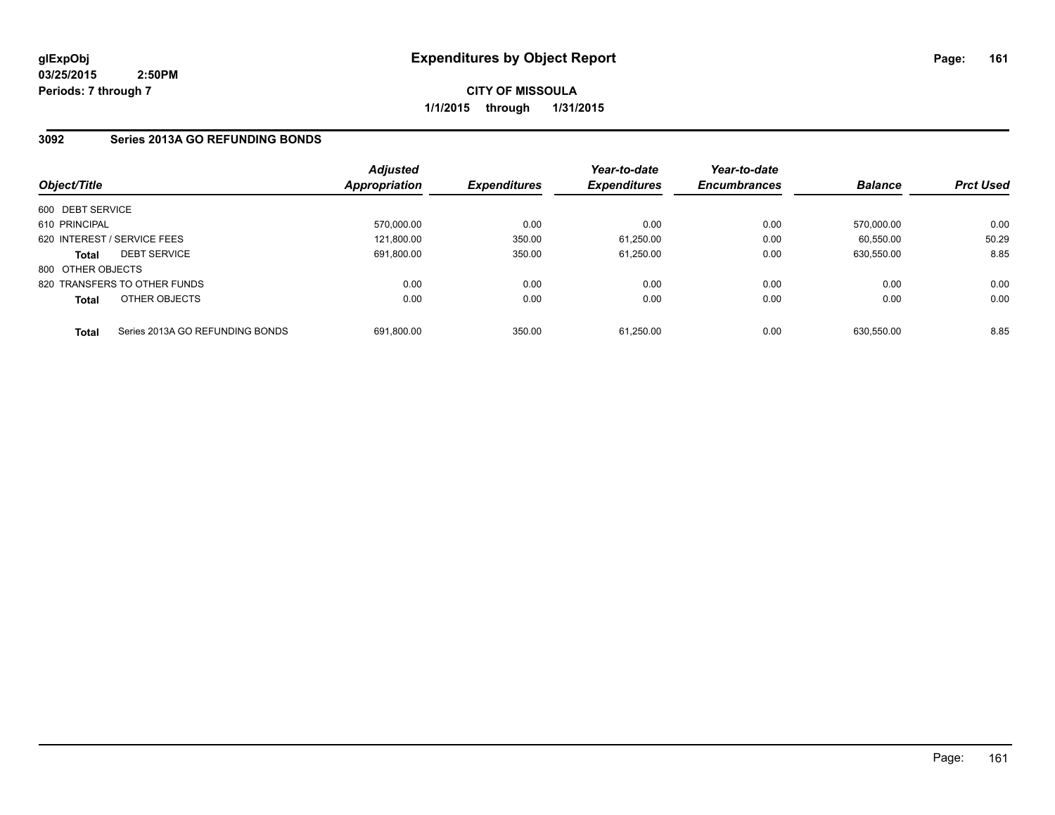**CITY OF MISSOULA 1/1/2015 through 1/31/2015**

# **3092 Series 2013A GO REFUNDING BONDS**

| Object/Title                |                                 | <b>Adjusted</b><br>Appropriation | <b>Expenditures</b> | Year-to-date<br><b>Expenditures</b> | Year-to-date<br><b>Encumbrances</b> | <b>Balance</b> | <b>Prct Used</b> |
|-----------------------------|---------------------------------|----------------------------------|---------------------|-------------------------------------|-------------------------------------|----------------|------------------|
| 600 DEBT SERVICE            |                                 |                                  |                     |                                     |                                     |                |                  |
| 610 PRINCIPAL               |                                 | 570,000.00                       | 0.00                | 0.00                                | 0.00                                | 570.000.00     | 0.00             |
| 620 INTEREST / SERVICE FEES |                                 | 121.800.00                       | 350.00              | 61,250.00                           | 0.00                                | 60.550.00      | 50.29            |
| <b>Total</b>                | <b>DEBT SERVICE</b>             | 691,800.00                       | 350.00              | 61,250.00                           | 0.00                                | 630.550.00     | 8.85             |
| 800 OTHER OBJECTS           |                                 |                                  |                     |                                     |                                     |                |                  |
|                             | 820 TRANSFERS TO OTHER FUNDS    | 0.00                             | 0.00                | 0.00                                | 0.00                                | 0.00           | 0.00             |
| <b>Total</b>                | OTHER OBJECTS                   | 0.00                             | 0.00                | 0.00                                | 0.00                                | 0.00           | 0.00             |
| <b>Total</b>                | Series 2013A GO REFUNDING BONDS | 691.800.00                       | 350.00              | 61.250.00                           | 0.00                                | 630.550.00     | 8.85             |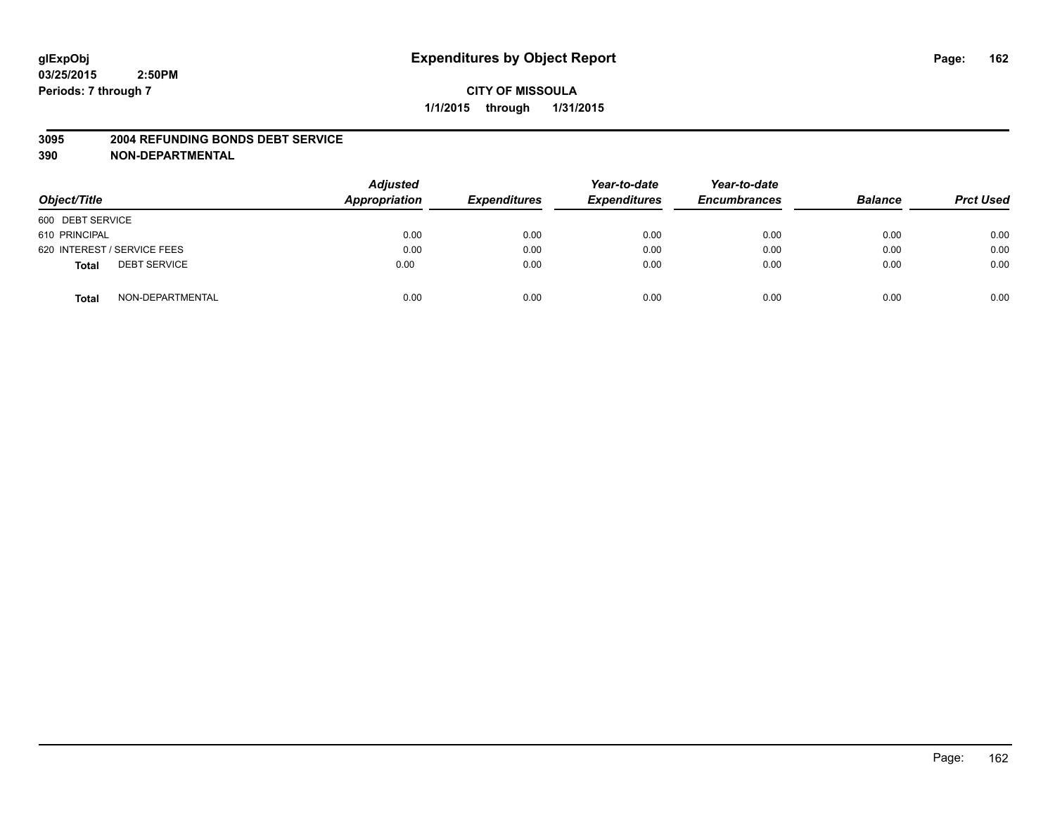#### **3095 2004 REFUNDING BONDS DEBT SERVICE**

| Object/Title                        | <b>Adjusted</b><br>Appropriation | <b>Expenditures</b> | Year-to-date<br><b>Expenditures</b> | Year-to-date<br><b>Encumbrances</b> | <b>Balance</b> | <b>Prct Used</b> |
|-------------------------------------|----------------------------------|---------------------|-------------------------------------|-------------------------------------|----------------|------------------|
| 600 DEBT SERVICE                    |                                  |                     |                                     |                                     |                |                  |
| 610 PRINCIPAL                       | 0.00                             | 0.00                | 0.00                                | 0.00                                | 0.00           | 0.00             |
| 620 INTEREST / SERVICE FEES         | 0.00                             | 0.00                | 0.00                                | 0.00                                | 0.00           | 0.00             |
| <b>DEBT SERVICE</b><br><b>Total</b> | 0.00                             | 0.00                | 0.00                                | 0.00                                | 0.00           | 0.00             |
| NON-DEPARTMENTAL<br><b>Total</b>    | 0.00                             | 0.00                | 0.00                                | 0.00                                | 0.00           | 0.00             |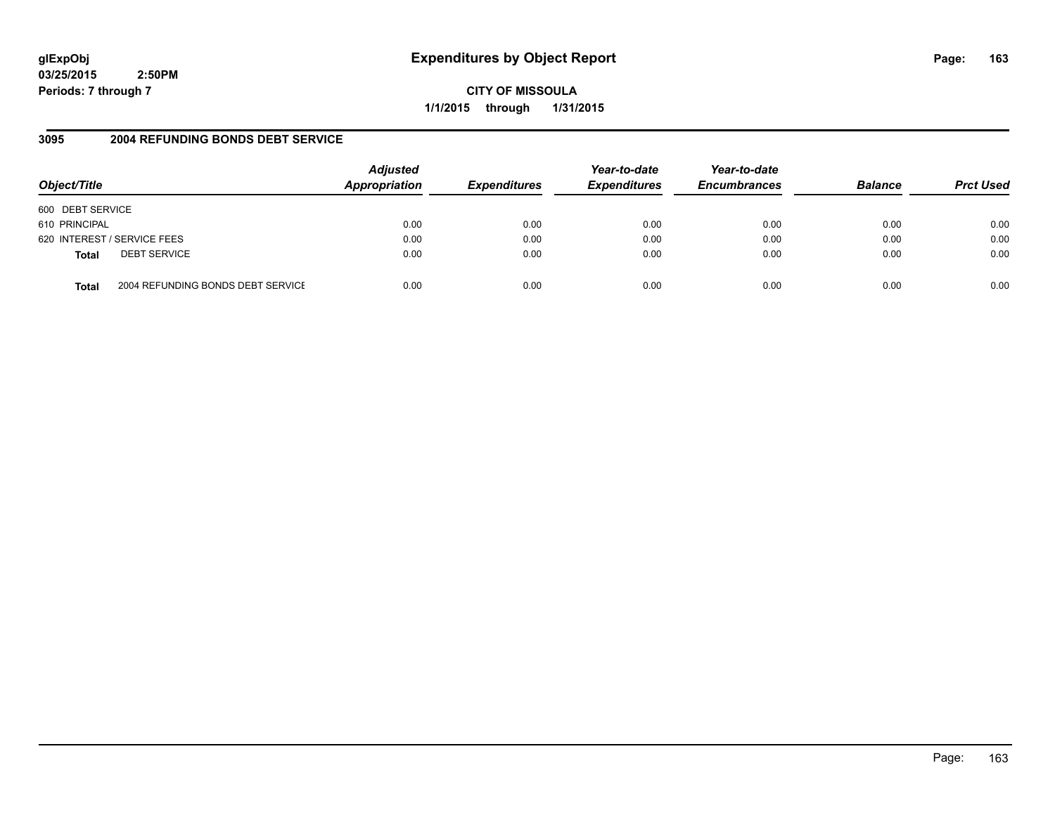# **glExpObj Expenditures by Object Report Page: 163**

**03/25/2015 2:50PM Periods: 7 through 7**

**CITY OF MISSOULA 1/1/2015 through 1/31/2015**

# **3095 2004 REFUNDING BONDS DEBT SERVICE**

| Object/Title                                      | <b>Adjusted</b><br>Appropriation | <b>Expenditures</b> | Year-to-date<br><b>Expenditures</b> | Year-to-date<br><b>Encumbrances</b> | <b>Balance</b> | <b>Prct Used</b> |
|---------------------------------------------------|----------------------------------|---------------------|-------------------------------------|-------------------------------------|----------------|------------------|
| 600 DEBT SERVICE                                  |                                  |                     |                                     |                                     |                |                  |
| 610 PRINCIPAL                                     | 0.00                             | 0.00                | 0.00                                | 0.00                                | 0.00           | 0.00             |
| 620 INTEREST / SERVICE FEES                       | 0.00                             | 0.00                | 0.00                                | 0.00                                | 0.00           | 0.00             |
| <b>DEBT SERVICE</b><br><b>Total</b>               | 0.00                             | 0.00                | 0.00                                | 0.00                                | 0.00           | 0.00             |
| 2004 REFUNDING BONDS DEBT SERVICE<br><b>Total</b> | 0.00                             | 0.00                | 0.00                                | 0.00                                | 0.00           | 0.00             |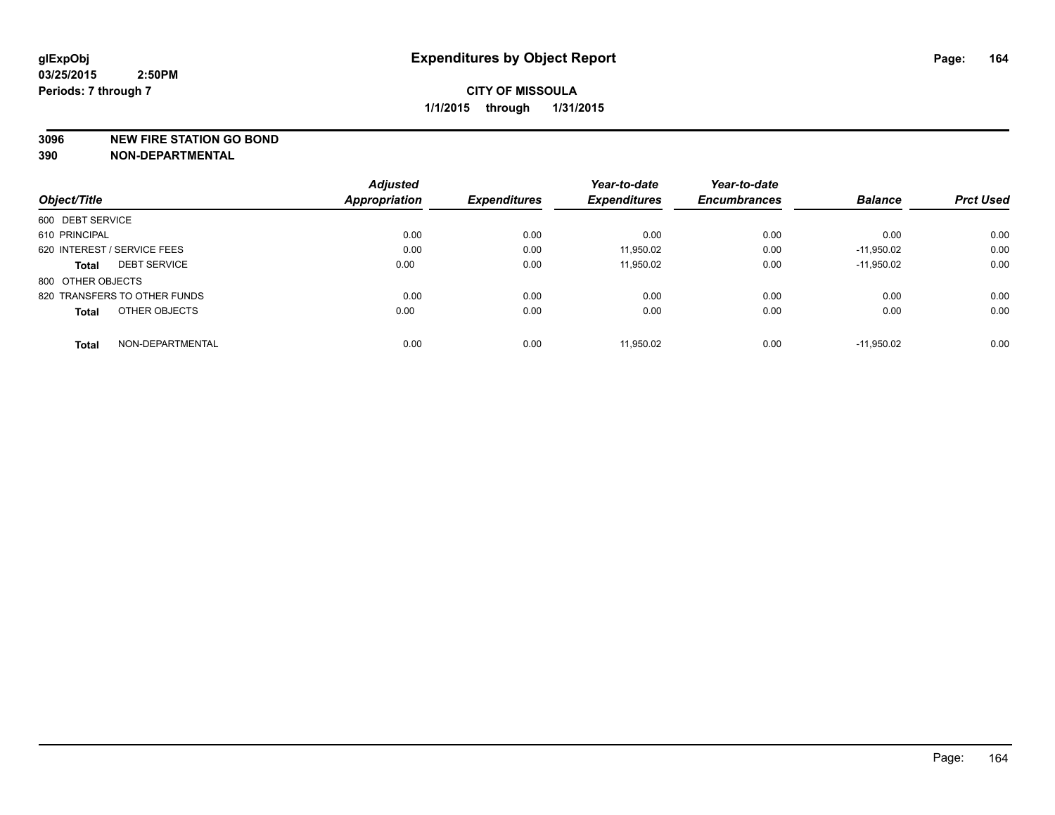#### **3096 NEW FIRE STATION GO BOND**

|                                     | <b>Adjusted</b>      |                     | Year-to-date        | Year-to-date        |                |                  |
|-------------------------------------|----------------------|---------------------|---------------------|---------------------|----------------|------------------|
| Object/Title                        | <b>Appropriation</b> | <b>Expenditures</b> | <b>Expenditures</b> | <b>Encumbrances</b> | <b>Balance</b> | <b>Prct Used</b> |
| 600 DEBT SERVICE                    |                      |                     |                     |                     |                |                  |
| 610 PRINCIPAL                       | 0.00                 | 0.00                | 0.00                | 0.00                | 0.00           | 0.00             |
| 620 INTEREST / SERVICE FEES         | 0.00                 | 0.00                | 11.950.02           | 0.00                | $-11.950.02$   | 0.00             |
| <b>DEBT SERVICE</b><br><b>Total</b> | 0.00                 | 0.00                | 11,950.02           | 0.00                | $-11,950.02$   | 0.00             |
| 800 OTHER OBJECTS                   |                      |                     |                     |                     |                |                  |
| 820 TRANSFERS TO OTHER FUNDS        | 0.00                 | 0.00                | 0.00                | 0.00                | 0.00           | 0.00             |
| OTHER OBJECTS<br><b>Total</b>       | 0.00                 | 0.00                | 0.00                | 0.00                | 0.00           | 0.00             |
| NON-DEPARTMENTAL<br><b>Total</b>    | 0.00                 | 0.00                | 11.950.02           | 0.00                | $-11.950.02$   | 0.00             |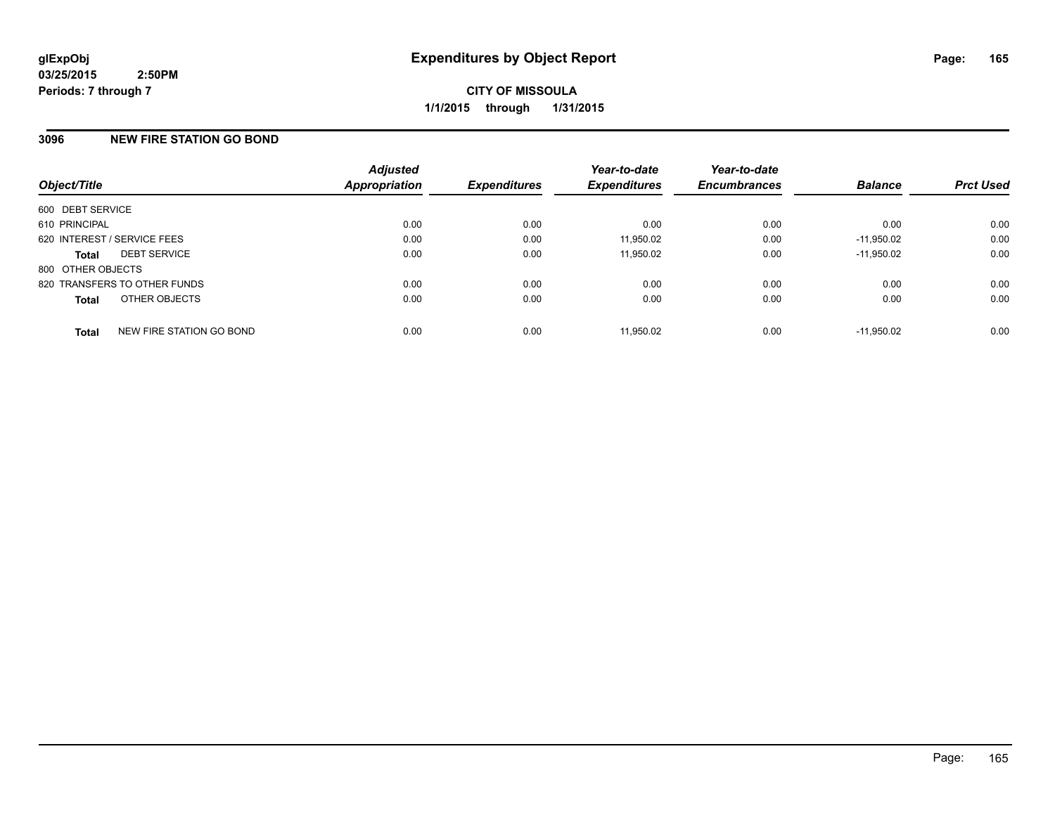## **3096 NEW FIRE STATION GO BOND**

| Object/Title                             | <b>Adjusted</b><br><b>Appropriation</b> | <b>Expenditures</b> | Year-to-date<br><b>Expenditures</b> | Year-to-date<br><b>Encumbrances</b> | <b>Balance</b> | <b>Prct Used</b> |
|------------------------------------------|-----------------------------------------|---------------------|-------------------------------------|-------------------------------------|----------------|------------------|
| 600 DEBT SERVICE                         |                                         |                     |                                     |                                     |                |                  |
| 610 PRINCIPAL                            | 0.00                                    | 0.00                | 0.00                                | 0.00                                | 0.00           | 0.00             |
| 620 INTEREST / SERVICE FEES              | 0.00                                    | 0.00                | 11,950.02                           | 0.00                                | $-11.950.02$   | 0.00             |
| <b>DEBT SERVICE</b><br><b>Total</b>      | 0.00                                    | 0.00                | 11,950.02                           | 0.00                                | $-11.950.02$   | 0.00             |
| 800 OTHER OBJECTS                        |                                         |                     |                                     |                                     |                |                  |
| 820 TRANSFERS TO OTHER FUNDS             | 0.00                                    | 0.00                | 0.00                                | 0.00                                | 0.00           | 0.00             |
| OTHER OBJECTS<br><b>Total</b>            | 0.00                                    | 0.00                | 0.00                                | 0.00                                | 0.00           | 0.00             |
| NEW FIRE STATION GO BOND<br><b>Total</b> | 0.00                                    | 0.00                | 11.950.02                           | 0.00                                | $-11.950.02$   | 0.00             |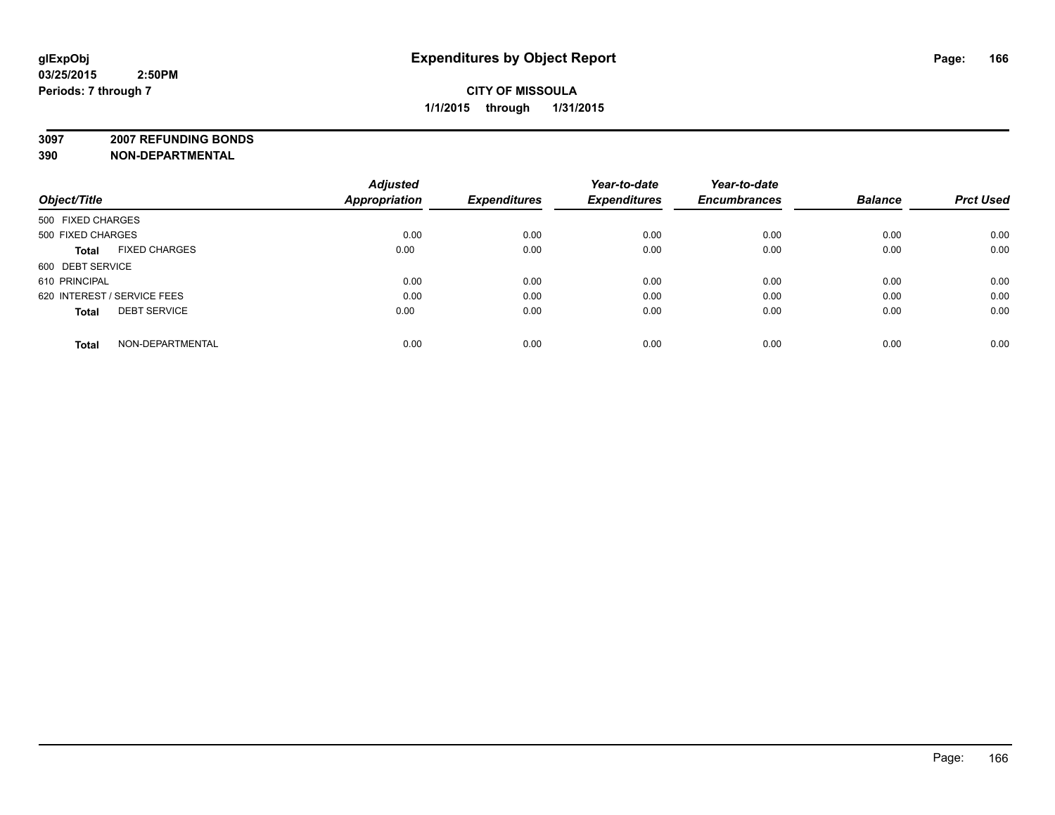**3097 2007 REFUNDING BONDS**

|                                      | <b>Adjusted</b>      |                     | Year-to-date        | Year-to-date        |                |                  |
|--------------------------------------|----------------------|---------------------|---------------------|---------------------|----------------|------------------|
| Object/Title                         | <b>Appropriation</b> | <b>Expenditures</b> | <b>Expenditures</b> | <b>Encumbrances</b> | <b>Balance</b> | <b>Prct Used</b> |
| 500 FIXED CHARGES                    |                      |                     |                     |                     |                |                  |
| 500 FIXED CHARGES                    | 0.00                 | 0.00                | 0.00                | 0.00                | 0.00           | 0.00             |
| <b>FIXED CHARGES</b><br><b>Total</b> | 0.00                 | 0.00                | 0.00                | 0.00                | 0.00           | 0.00             |
| 600 DEBT SERVICE                     |                      |                     |                     |                     |                |                  |
| 610 PRINCIPAL                        | 0.00                 | 0.00                | 0.00                | 0.00                | 0.00           | 0.00             |
| 620 INTEREST / SERVICE FEES          | 0.00                 | 0.00                | 0.00                | 0.00                | 0.00           | 0.00             |
| <b>DEBT SERVICE</b><br><b>Total</b>  | 0.00                 | 0.00                | 0.00                | 0.00                | 0.00           | 0.00             |
| NON-DEPARTMENTAL<br><b>Total</b>     | 0.00                 | 0.00                | 0.00                | 0.00                | 0.00           | 0.00             |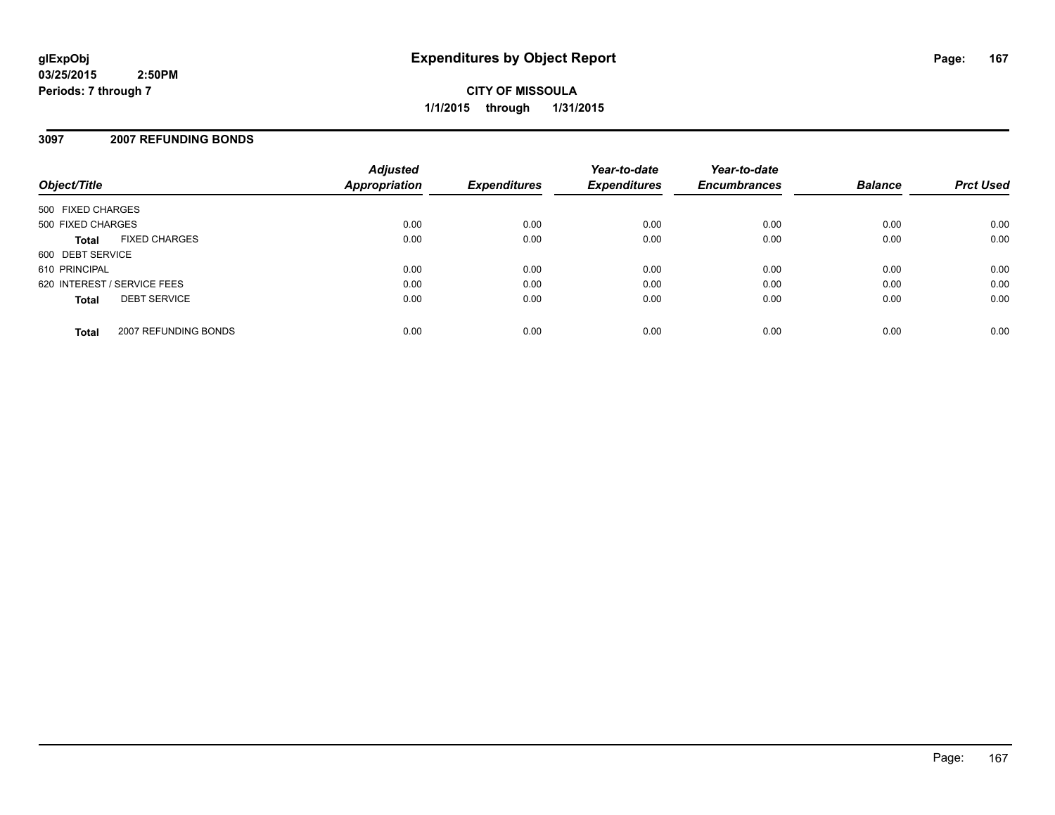**CITY OF MISSOULA 1/1/2015 through 1/31/2015**

## **3097 2007 REFUNDING BONDS**

| Object/Title                         | <b>Adjusted</b><br>Appropriation | <b>Expenditures</b> | Year-to-date<br><b>Expenditures</b> | Year-to-date<br><b>Encumbrances</b> | <b>Balance</b> | <b>Prct Used</b> |
|--------------------------------------|----------------------------------|---------------------|-------------------------------------|-------------------------------------|----------------|------------------|
| 500 FIXED CHARGES                    |                                  |                     |                                     |                                     |                |                  |
| 500 FIXED CHARGES                    | 0.00                             | 0.00                | 0.00                                | 0.00                                | 0.00           | 0.00             |
| <b>FIXED CHARGES</b><br><b>Total</b> | 0.00                             | 0.00                | 0.00                                | 0.00                                | 0.00           | 0.00             |
| 600 DEBT SERVICE                     |                                  |                     |                                     |                                     |                |                  |
| 610 PRINCIPAL                        | 0.00                             | 0.00                | 0.00                                | 0.00                                | 0.00           | 0.00             |
| 620 INTEREST / SERVICE FEES          | 0.00                             | 0.00                | 0.00                                | 0.00                                | 0.00           | 0.00             |
| <b>DEBT SERVICE</b><br><b>Total</b>  | 0.00                             | 0.00                | 0.00                                | 0.00                                | 0.00           | 0.00             |
| 2007 REFUNDING BONDS<br><b>Total</b> | 0.00                             | 0.00                | 0.00                                | 0.00                                | 0.00           | 0.00             |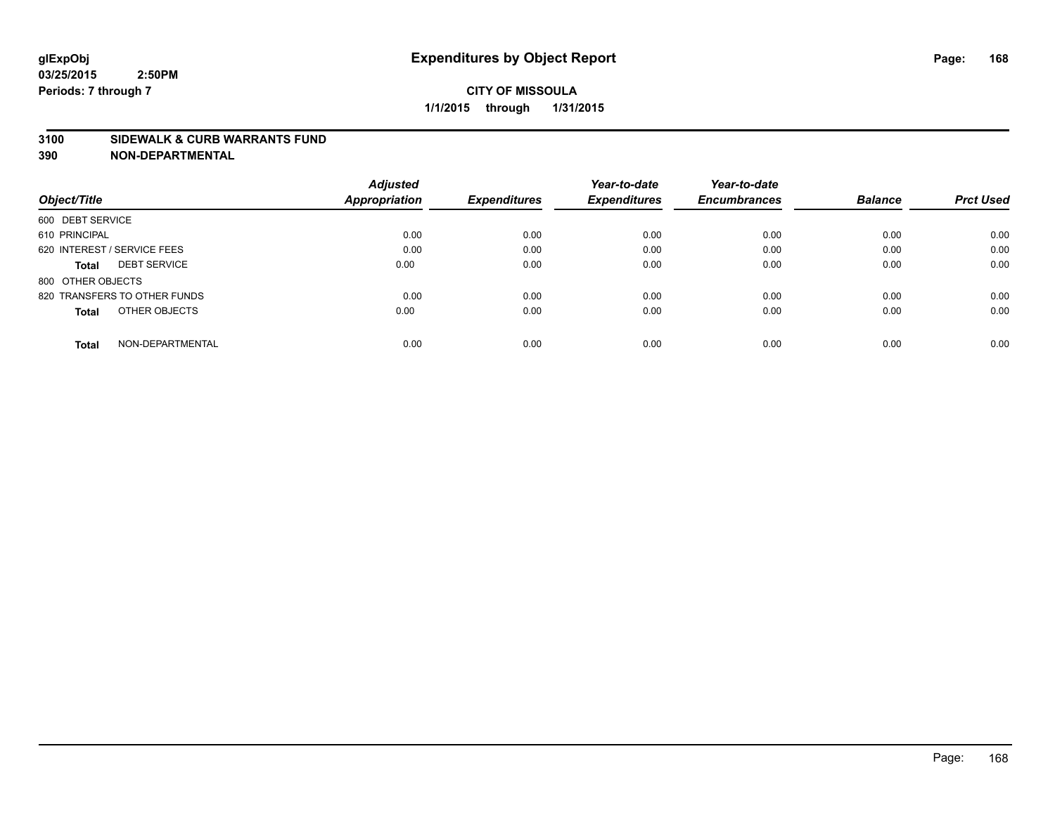#### **3100 SIDEWALK & CURB WARRANTS FUND**

|                                     | <b>Adjusted</b>      |                     | Year-to-date        | Year-to-date        |                |                  |
|-------------------------------------|----------------------|---------------------|---------------------|---------------------|----------------|------------------|
| Object/Title                        | <b>Appropriation</b> | <b>Expenditures</b> | <b>Expenditures</b> | <b>Encumbrances</b> | <b>Balance</b> | <b>Prct Used</b> |
| 600 DEBT SERVICE                    |                      |                     |                     |                     |                |                  |
| 610 PRINCIPAL                       | 0.00                 | 0.00                | 0.00                | 0.00                | 0.00           | 0.00             |
| 620 INTEREST / SERVICE FEES         | 0.00                 | 0.00                | 0.00                | 0.00                | 0.00           | 0.00             |
| <b>DEBT SERVICE</b><br><b>Total</b> | 0.00                 | 0.00                | 0.00                | 0.00                | 0.00           | 0.00             |
| 800 OTHER OBJECTS                   |                      |                     |                     |                     |                |                  |
| 820 TRANSFERS TO OTHER FUNDS        | 0.00                 | 0.00                | 0.00                | 0.00                | 0.00           | 0.00             |
| OTHER OBJECTS<br><b>Total</b>       | 0.00                 | 0.00                | 0.00                | 0.00                | 0.00           | 0.00             |
| NON-DEPARTMENTAL<br>Total           | 0.00                 | 0.00                | 0.00                | 0.00                | 0.00           | 0.00             |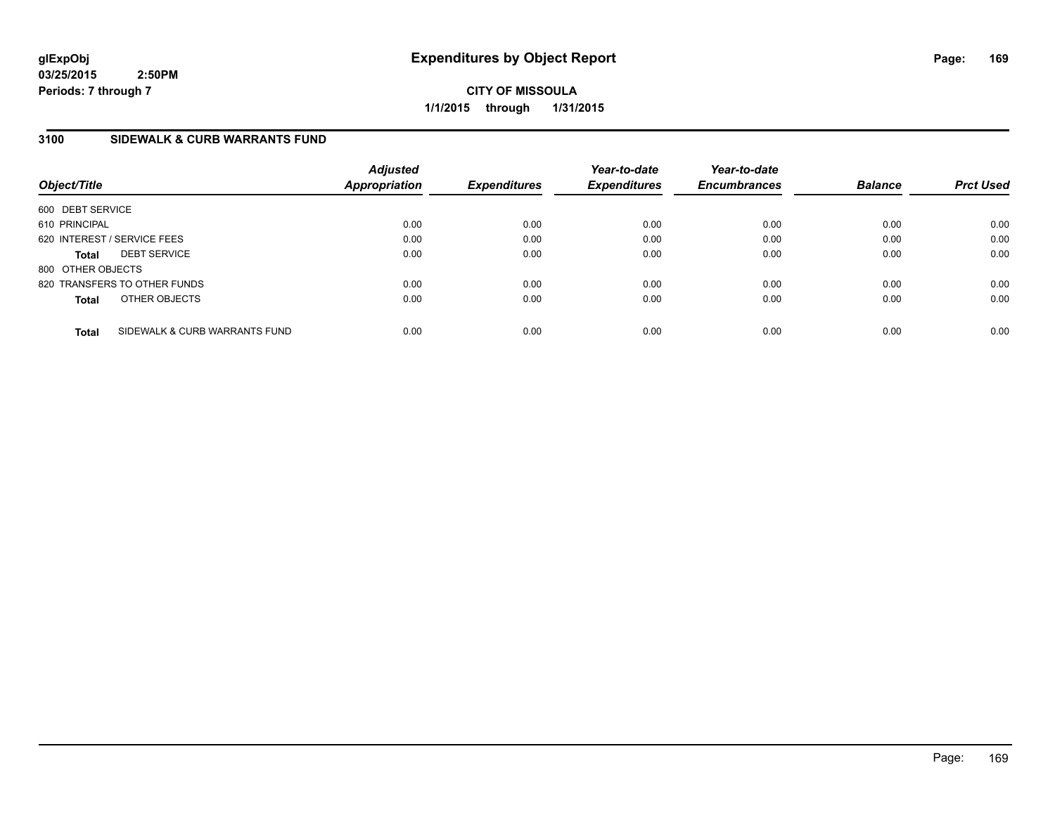**CITY OF MISSOULA 1/1/2015 through 1/31/2015**

# **3100 SIDEWALK & CURB WARRANTS FUND**

| Object/Title      |                               | <b>Adjusted</b><br>Appropriation | <b>Expenditures</b> | Year-to-date<br><b>Expenditures</b> | Year-to-date<br><b>Encumbrances</b> | <b>Balance</b> | <b>Prct Used</b> |
|-------------------|-------------------------------|----------------------------------|---------------------|-------------------------------------|-------------------------------------|----------------|------------------|
| 600 DEBT SERVICE  |                               |                                  |                     |                                     |                                     |                |                  |
| 610 PRINCIPAL     |                               | 0.00                             | 0.00                | 0.00                                | 0.00                                | 0.00           | 0.00             |
|                   | 620 INTEREST / SERVICE FEES   | 0.00                             | 0.00                | 0.00                                | 0.00                                | 0.00           | 0.00             |
| <b>Total</b>      | <b>DEBT SERVICE</b>           | 0.00                             | 0.00                | 0.00                                | 0.00                                | 0.00           | 0.00             |
| 800 OTHER OBJECTS |                               |                                  |                     |                                     |                                     |                |                  |
|                   | 820 TRANSFERS TO OTHER FUNDS  | 0.00                             | 0.00                | 0.00                                | 0.00                                | 0.00           | 0.00             |
| <b>Total</b>      | OTHER OBJECTS                 | 0.00                             | 0.00                | 0.00                                | 0.00                                | 0.00           | 0.00             |
| <b>Total</b>      | SIDEWALK & CURB WARRANTS FUND | 0.00                             | 0.00                | 0.00                                | 0.00                                | 0.00           | 0.00             |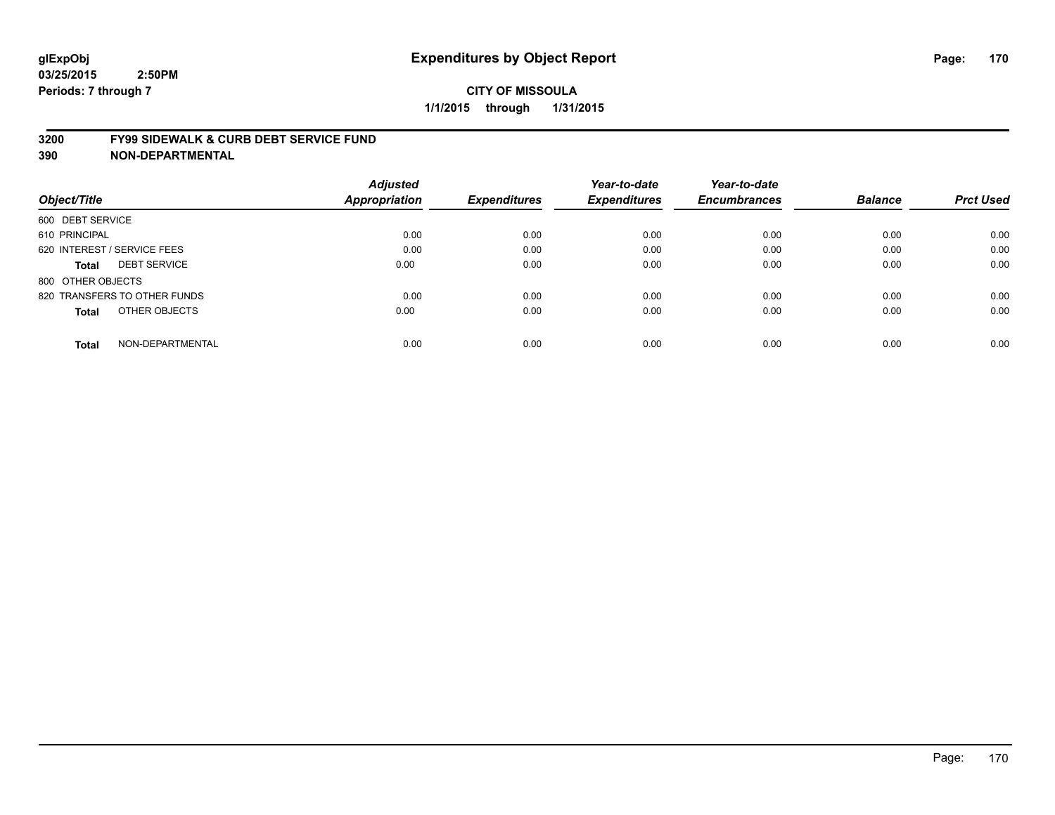#### **3200 FY99 SIDEWALK & CURB DEBT SERVICE FUND**

| Object/Title                        | <b>Adjusted</b><br><b>Appropriation</b> | <b>Expenditures</b> | Year-to-date<br><b>Expenditures</b> | Year-to-date<br><b>Encumbrances</b> | <b>Balance</b> | <b>Prct Used</b> |
|-------------------------------------|-----------------------------------------|---------------------|-------------------------------------|-------------------------------------|----------------|------------------|
|                                     |                                         |                     |                                     |                                     |                |                  |
| 600 DEBT SERVICE                    |                                         |                     |                                     |                                     |                |                  |
| 610 PRINCIPAL                       | 0.00                                    | 0.00                | 0.00                                | 0.00                                | 0.00           | 0.00             |
| 620 INTEREST / SERVICE FEES         | 0.00                                    | 0.00                | 0.00                                | 0.00                                | 0.00           | 0.00             |
| <b>DEBT SERVICE</b><br><b>Total</b> | 0.00                                    | 0.00                | 0.00                                | 0.00                                | 0.00           | 0.00             |
| 800 OTHER OBJECTS                   |                                         |                     |                                     |                                     |                |                  |
| 820 TRANSFERS TO OTHER FUNDS        | 0.00                                    | 0.00                | 0.00                                | 0.00                                | 0.00           | 0.00             |
| OTHER OBJECTS<br><b>Total</b>       | 0.00                                    | 0.00                | 0.00                                | 0.00                                | 0.00           | 0.00             |
| NON-DEPARTMENTAL<br><b>Total</b>    | 0.00                                    | 0.00                | 0.00                                | 0.00                                | 0.00           | 0.00             |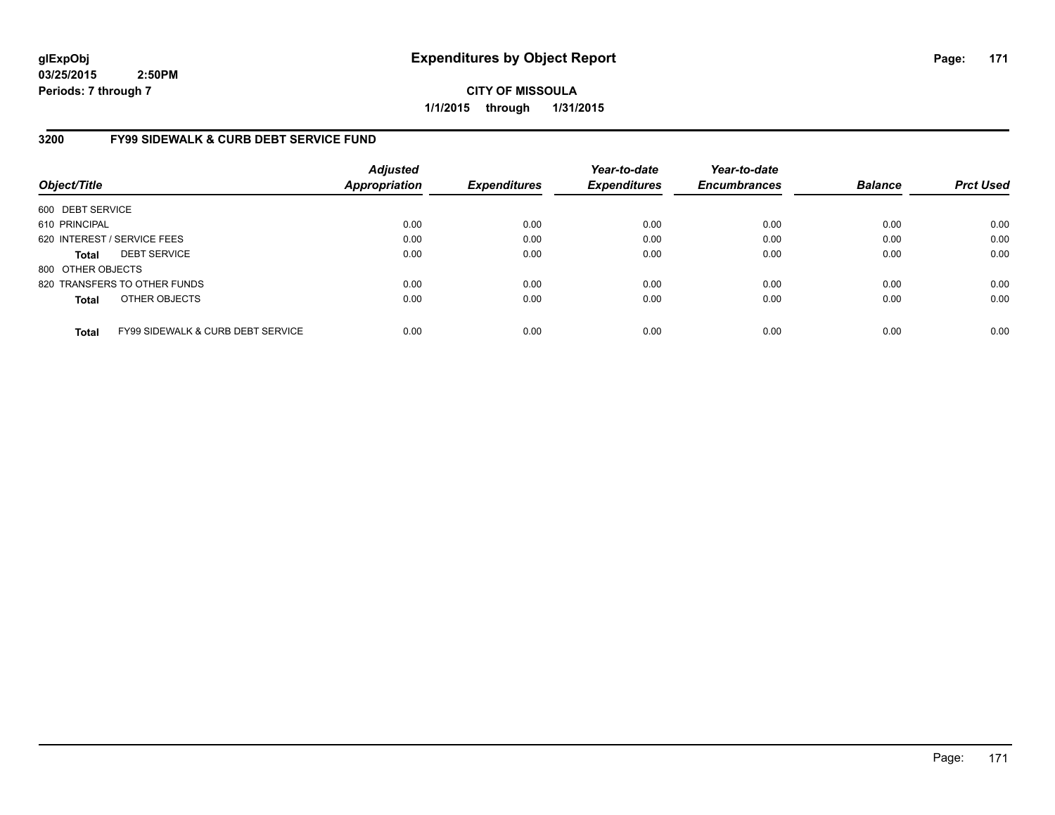**CITY OF MISSOULA 1/1/2015 through 1/31/2015**

# **3200 FY99 SIDEWALK & CURB DEBT SERVICE FUND**

| Object/Title      |                                              | <b>Adjusted</b><br><b>Appropriation</b> | <b>Expenditures</b> | Year-to-date<br><b>Expenditures</b> | Year-to-date<br><b>Encumbrances</b> | <b>Balance</b> | <b>Prct Used</b> |
|-------------------|----------------------------------------------|-----------------------------------------|---------------------|-------------------------------------|-------------------------------------|----------------|------------------|
| 600 DEBT SERVICE  |                                              |                                         |                     |                                     |                                     |                |                  |
| 610 PRINCIPAL     |                                              | 0.00                                    | 0.00                | 0.00                                | 0.00                                | 0.00           | 0.00             |
|                   | 620 INTEREST / SERVICE FEES                  | 0.00                                    | 0.00                | 0.00                                | 0.00                                | 0.00           | 0.00             |
| <b>Total</b>      | <b>DEBT SERVICE</b>                          | 0.00                                    | 0.00                | 0.00                                | 0.00                                | 0.00           | 0.00             |
| 800 OTHER OBJECTS |                                              |                                         |                     |                                     |                                     |                |                  |
|                   | 820 TRANSFERS TO OTHER FUNDS                 | 0.00                                    | 0.00                | 0.00                                | 0.00                                | 0.00           | 0.00             |
| <b>Total</b>      | OTHER OBJECTS                                | 0.00                                    | 0.00                | 0.00                                | 0.00                                | 0.00           | 0.00             |
| <b>Total</b>      | <b>FY99 SIDEWALK &amp; CURB DEBT SERVICE</b> | 0.00                                    | 0.00                | 0.00                                | 0.00                                | 0.00           | 0.00             |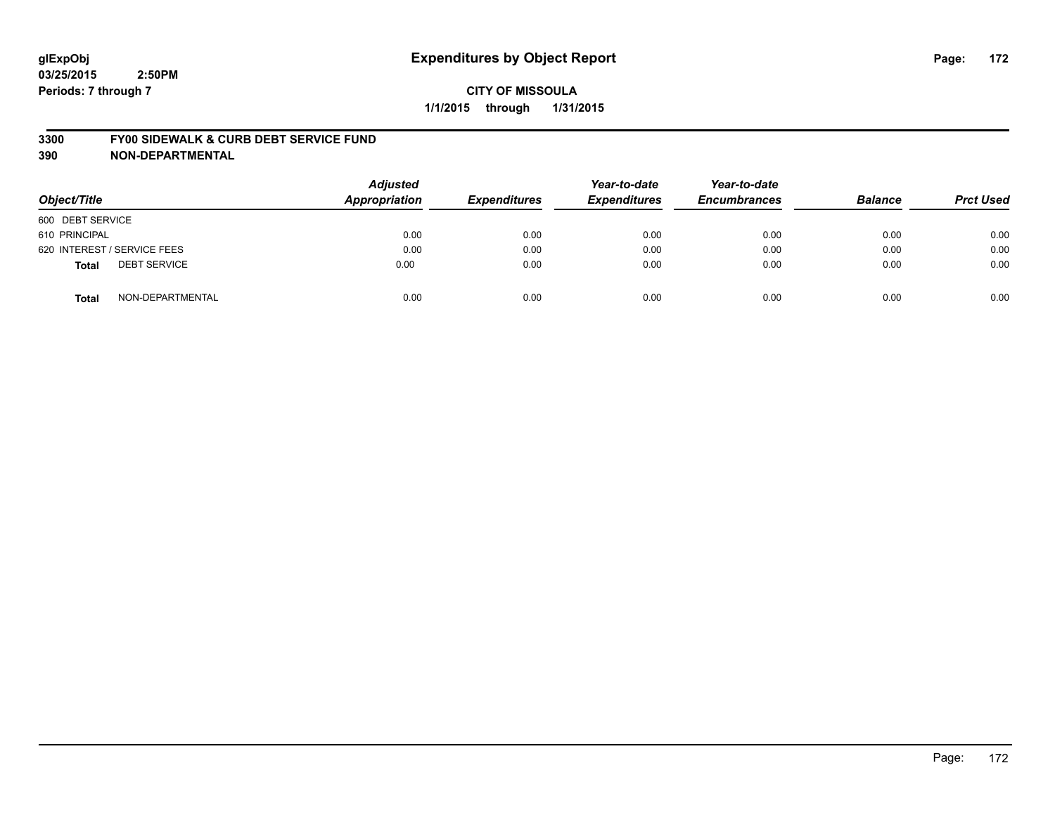#### **3300 FY00 SIDEWALK & CURB DEBT SERVICE FUND**

| Object/Title                        | <b>Adjusted</b><br><b>Appropriation</b> | <b>Expenditures</b> | Year-to-date<br><b>Expenditures</b> | Year-to-date<br><b>Encumbrances</b> | <b>Balance</b> | <b>Prct Used</b> |
|-------------------------------------|-----------------------------------------|---------------------|-------------------------------------|-------------------------------------|----------------|------------------|
| 600 DEBT SERVICE                    |                                         |                     |                                     |                                     |                |                  |
| 610 PRINCIPAL                       | 0.00                                    | 0.00                | 0.00                                | 0.00                                | 0.00           | 0.00             |
| 620 INTEREST / SERVICE FEES         | 0.00                                    | 0.00                | 0.00                                | 0.00                                | 0.00           | 0.00             |
| <b>DEBT SERVICE</b><br><b>Total</b> | 0.00                                    | 0.00                | 0.00                                | 0.00                                | 0.00           | 0.00             |
| NON-DEPARTMENTAL<br><b>Total</b>    | 0.00                                    | 0.00                | 0.00                                | 0.00                                | 0.00           | 0.00             |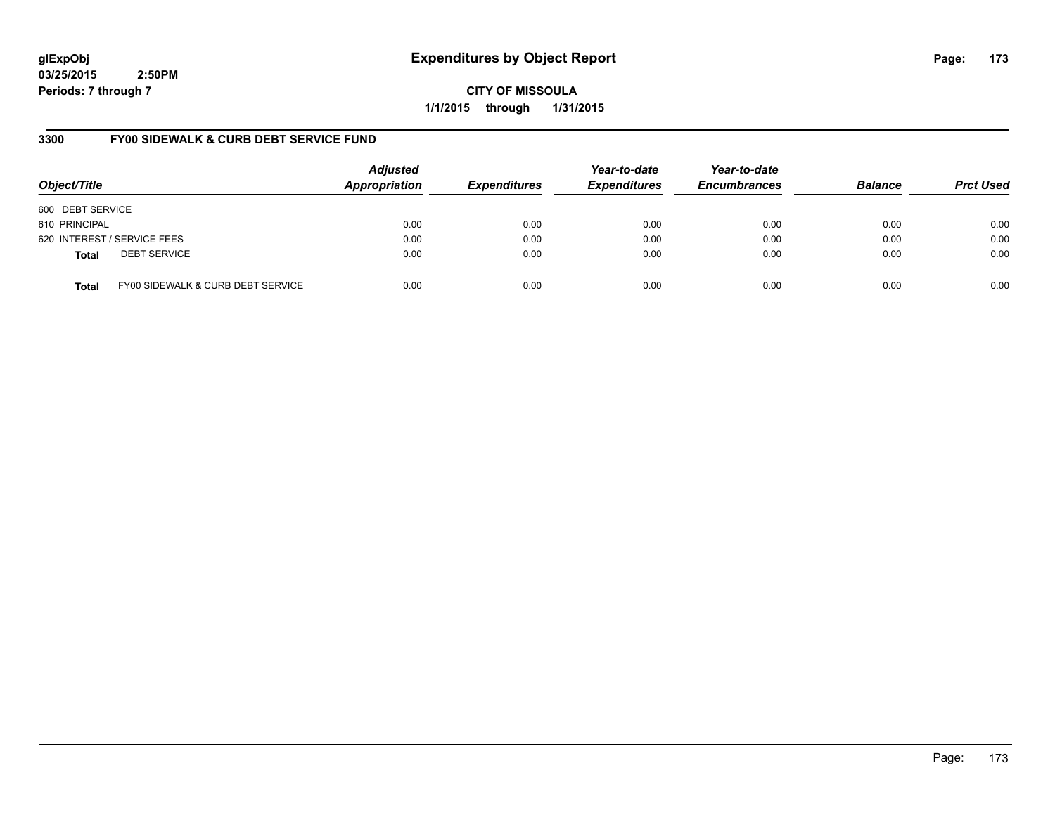**CITY OF MISSOULA 1/1/2015 through 1/31/2015**

# **3300 FY00 SIDEWALK & CURB DEBT SERVICE FUND**

| Object/Title     |                                   | <b>Adjusted</b><br>Appropriation | <b>Expenditures</b> | Year-to-date<br><b>Expenditures</b> | Year-to-date<br><b>Encumbrances</b> | <b>Balance</b> | <b>Prct Used</b> |
|------------------|-----------------------------------|----------------------------------|---------------------|-------------------------------------|-------------------------------------|----------------|------------------|
| 600 DEBT SERVICE |                                   |                                  |                     |                                     |                                     |                |                  |
| 610 PRINCIPAL    |                                   | 0.00                             | 0.00                | 0.00                                | 0.00                                | 0.00           | 0.00             |
|                  | 620 INTEREST / SERVICE FEES       | 0.00                             | 0.00                | 0.00                                | 0.00                                | 0.00           | 0.00             |
| <b>Total</b>     | <b>DEBT SERVICE</b>               | 0.00                             | 0.00                | 0.00                                | 0.00                                | 0.00           | 0.00             |
| <b>Total</b>     | FY00 SIDEWALK & CURB DEBT SERVICE | 0.00                             | 0.00                | 0.00                                | 0.00                                | 0.00           | 0.00             |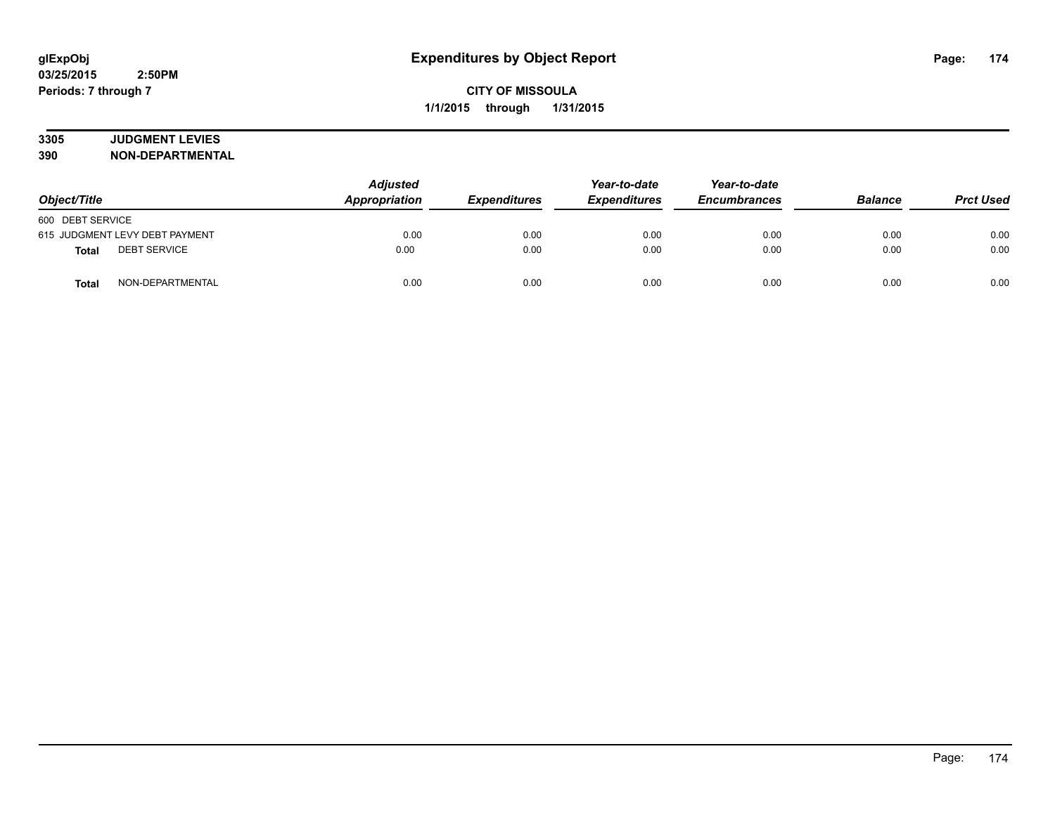# **3305 JUDGMENT LEVIES**

| Object/Title                        | <b>Adjusted</b><br>Appropriation<br><b>Expenditures</b> |      | Year-to-date<br><b>Expenditures</b> | Year-to-date<br><b>Encumbrances</b> | <b>Balance</b> | <b>Prct Used</b> |
|-------------------------------------|---------------------------------------------------------|------|-------------------------------------|-------------------------------------|----------------|------------------|
| 600 DEBT SERVICE                    |                                                         |      |                                     |                                     |                |                  |
| 615 JUDGMENT LEVY DEBT PAYMENT      | 0.00                                                    | 0.00 | 0.00                                | 0.00                                | 0.00           | 0.00             |
| <b>DEBT SERVICE</b><br><b>Total</b> | 0.00                                                    | 0.00 | 0.00                                | 0.00                                | 0.00           | 0.00             |
| NON-DEPARTMENTAL<br><b>Total</b>    | 0.00                                                    | 0.00 | 0.00                                | 0.00                                | 0.00           | 0.00             |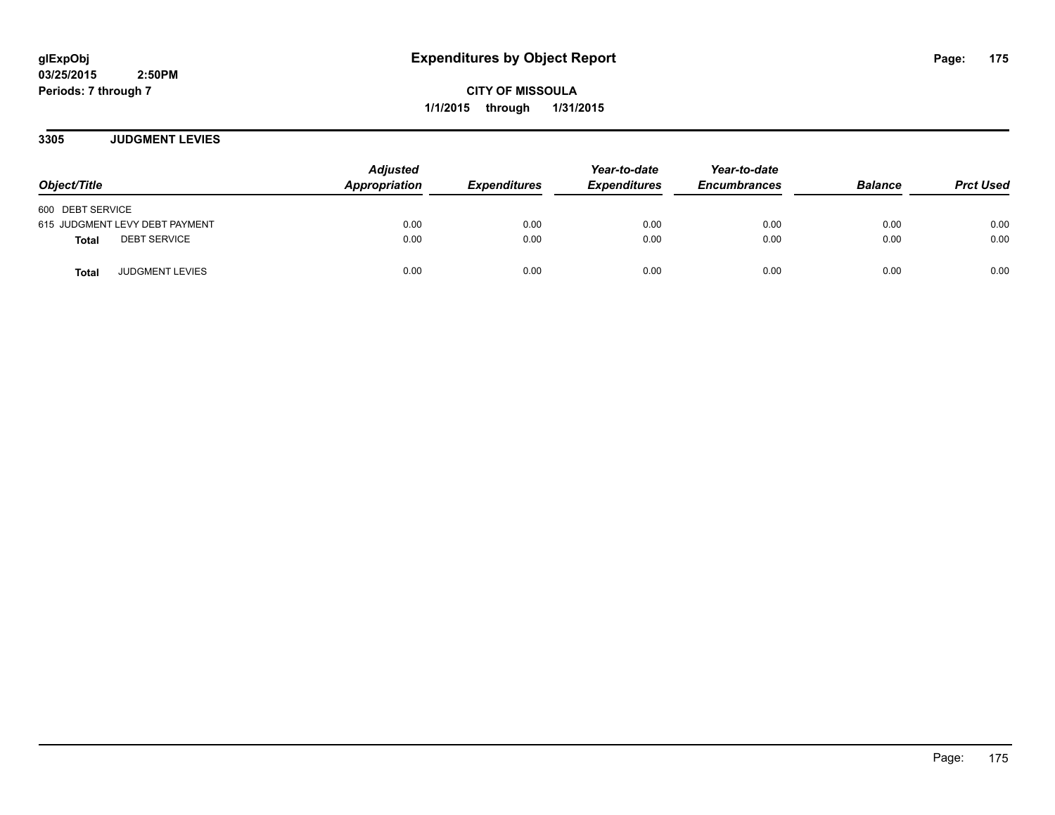**CITY OF MISSOULA 1/1/2015 through 1/31/2015**

**3305 JUDGMENT LEVIES**

| Object/Title                           | <b>Adjusted</b><br>Appropriation | <b>Expenditures</b> | Year-to-date<br><b>Expenditures</b> | Year-to-date<br><b>Encumbrances</b> | <b>Balance</b> | <b>Prct Used</b> |
|----------------------------------------|----------------------------------|---------------------|-------------------------------------|-------------------------------------|----------------|------------------|
| 600 DEBT SERVICE                       |                                  |                     |                                     |                                     |                |                  |
| 615 JUDGMENT LEVY DEBT PAYMENT         | 0.00                             | 0.00                | 0.00                                | 0.00                                | 0.00           | 0.00             |
| <b>DEBT SERVICE</b><br><b>Total</b>    | 0.00                             | 0.00                | 0.00                                | 0.00                                | 0.00           | 0.00             |
| <b>JUDGMENT LEVIES</b><br><b>Total</b> | 0.00                             | 0.00                | 0.00                                | 0.00                                | 0.00           | 0.00             |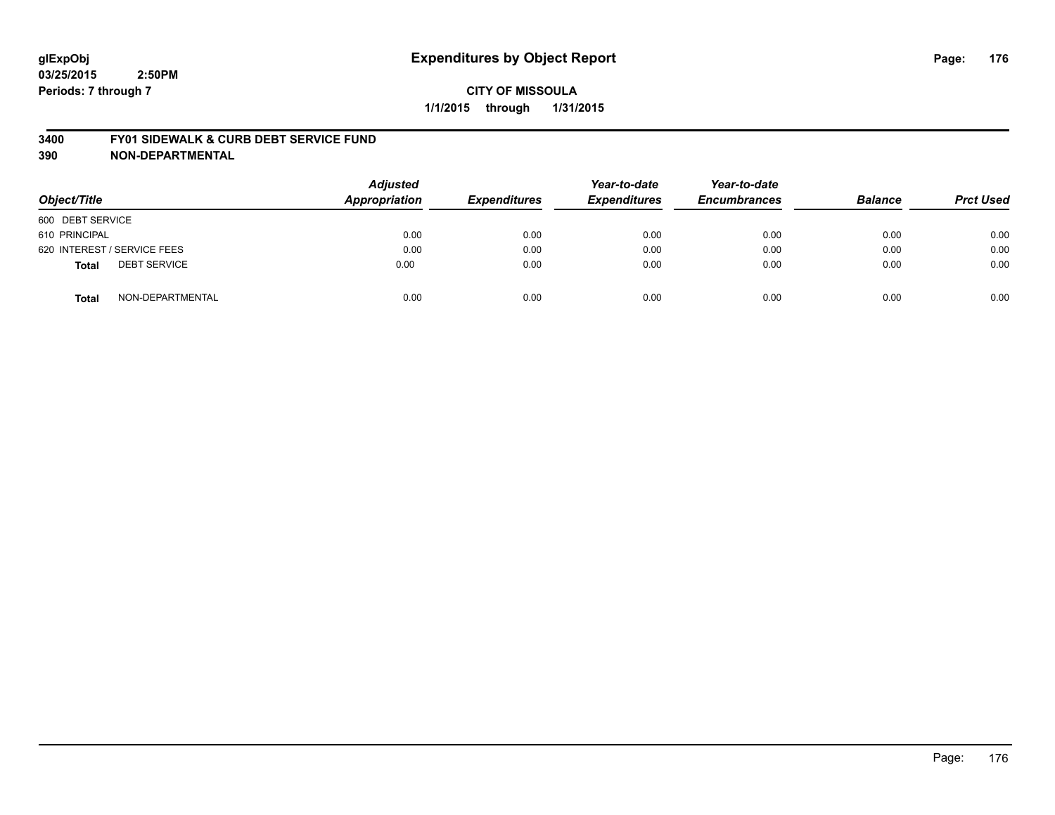#### **3400 FY01 SIDEWALK & CURB DEBT SERVICE FUND**

| Object/Title                        | <b>Adjusted</b><br><b>Appropriation</b> | <b>Expenditures</b> | Year-to-date<br><b>Expenditures</b> | Year-to-date<br><b>Encumbrances</b> | <b>Balance</b> | <b>Prct Used</b> |
|-------------------------------------|-----------------------------------------|---------------------|-------------------------------------|-------------------------------------|----------------|------------------|
| 600 DEBT SERVICE                    |                                         |                     |                                     |                                     |                |                  |
| 610 PRINCIPAL                       | 0.00                                    | 0.00                | 0.00                                | 0.00                                | 0.00           | 0.00             |
| 620 INTEREST / SERVICE FEES         | 0.00                                    | 0.00                | 0.00                                | 0.00                                | 0.00           | 0.00             |
| <b>DEBT SERVICE</b><br><b>Total</b> | 0.00                                    | 0.00                | 0.00                                | 0.00                                | 0.00           | 0.00             |
| NON-DEPARTMENTAL<br><b>Total</b>    | 0.00                                    | 0.00                | 0.00                                | 0.00                                | 0.00           | 0.00             |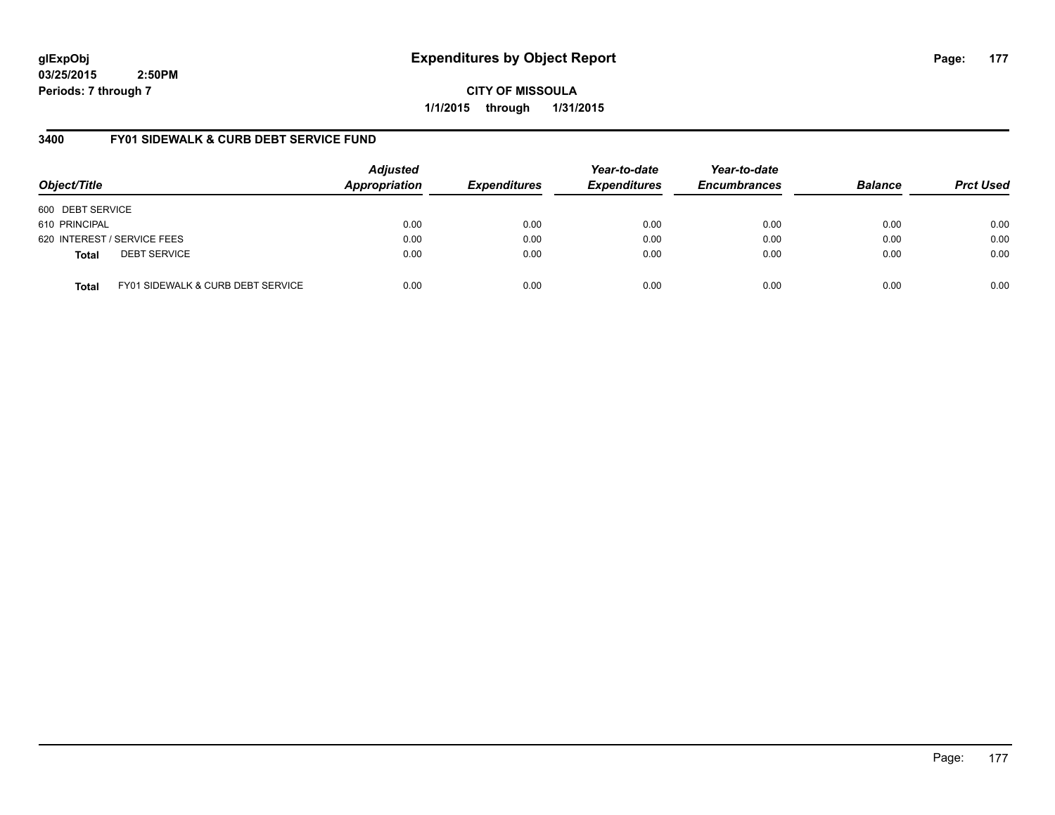**CITY OF MISSOULA 1/1/2015 through 1/31/2015**

# **3400 FY01 SIDEWALK & CURB DEBT SERVICE FUND**

| Object/Title     |                                              | <b>Adjusted</b><br>Appropriation | <b>Expenditures</b> | Year-to-date<br><b>Expenditures</b> | Year-to-date<br><b>Encumbrances</b> | <b>Balance</b> | <b>Prct Used</b> |
|------------------|----------------------------------------------|----------------------------------|---------------------|-------------------------------------|-------------------------------------|----------------|------------------|
| 600 DEBT SERVICE |                                              |                                  |                     |                                     |                                     |                |                  |
| 610 PRINCIPAL    |                                              | 0.00                             | 0.00                | 0.00                                | 0.00                                | 0.00           | 0.00             |
|                  | 620 INTEREST / SERVICE FEES                  | 0.00                             | 0.00                | 0.00                                | 0.00                                | 0.00           | 0.00             |
| <b>Total</b>     | <b>DEBT SERVICE</b>                          | 0.00                             | 0.00                | 0.00                                | 0.00                                | 0.00           | 0.00             |
| <b>Total</b>     | <b>FY01 SIDEWALK &amp; CURB DEBT SERVICE</b> | 0.00                             | 0.00                | 0.00                                | 0.00                                | 0.00           | 0.00             |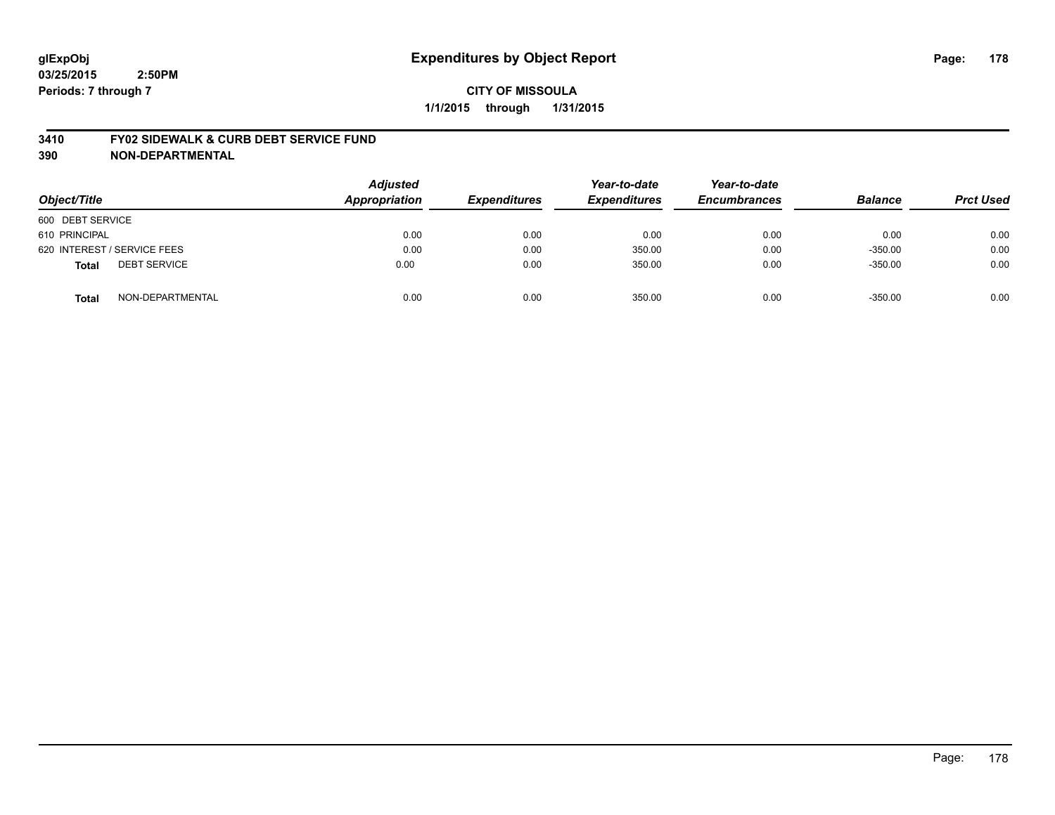#### **3410 FY02 SIDEWALK & CURB DEBT SERVICE FUND**

| Object/Title                        | <b>Adjusted</b><br><b>Appropriation</b> | <b>Expenditures</b> | Year-to-date<br><b>Expenditures</b> | Year-to-date<br><b>Encumbrances</b> | <b>Balance</b> | <b>Prct Used</b> |
|-------------------------------------|-----------------------------------------|---------------------|-------------------------------------|-------------------------------------|----------------|------------------|
| 600 DEBT SERVICE                    |                                         |                     |                                     |                                     |                |                  |
| 610 PRINCIPAL                       | 0.00                                    | 0.00                | 0.00                                | 0.00                                | 0.00           | 0.00             |
| 620 INTEREST / SERVICE FEES         | 0.00                                    | 0.00                | 350.00                              | 0.00                                | $-350.00$      | 0.00             |
| <b>DEBT SERVICE</b><br><b>Total</b> | 0.00                                    | 0.00                | 350.00                              | 0.00                                | $-350.00$      | 0.00             |
| NON-DEPARTMENTAL<br><b>Total</b>    | 0.00                                    | 0.00                | 350.00                              | 0.00                                | $-350.00$      | 0.00             |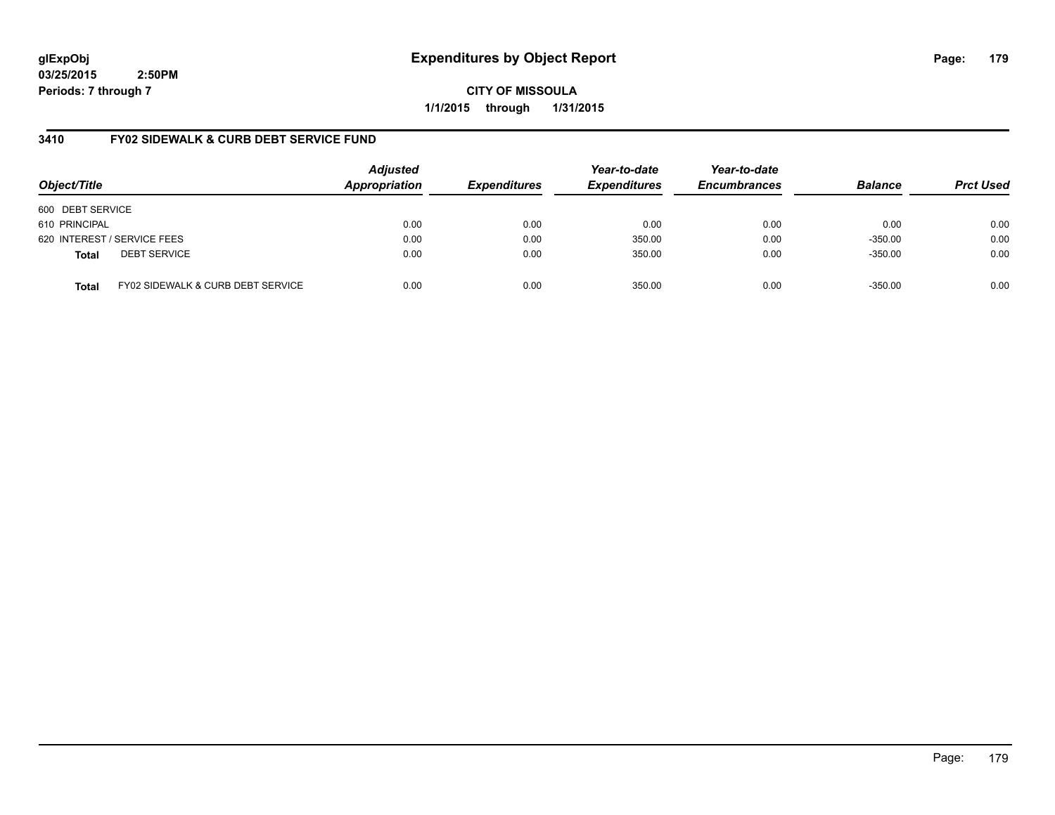**CITY OF MISSOULA 1/1/2015 through 1/31/2015**

# **3410 FY02 SIDEWALK & CURB DEBT SERVICE FUND**

| Object/Title     |                                   | <b>Adjusted</b><br>Appropriation | <b>Expenditures</b> | Year-to-date<br><b>Expenditures</b> | Year-to-date<br><b>Encumbrances</b> | <b>Balance</b> | <b>Prct Used</b> |
|------------------|-----------------------------------|----------------------------------|---------------------|-------------------------------------|-------------------------------------|----------------|------------------|
| 600 DEBT SERVICE |                                   |                                  |                     |                                     |                                     |                |                  |
| 610 PRINCIPAL    |                                   | 0.00                             | 0.00                | 0.00                                | 0.00                                | 0.00           | 0.00             |
|                  | 620 INTEREST / SERVICE FEES       | 0.00                             | 0.00                | 350.00                              | 0.00                                | $-350.00$      | 0.00             |
| <b>Total</b>     | <b>DEBT SERVICE</b>               | 0.00                             | 0.00                | 350.00                              | 0.00                                | $-350.00$      | 0.00             |
| <b>Total</b>     | FY02 SIDEWALK & CURB DEBT SERVICE | 0.00                             | 0.00                | 350.00                              | 0.00                                | $-350.00$      | 0.00             |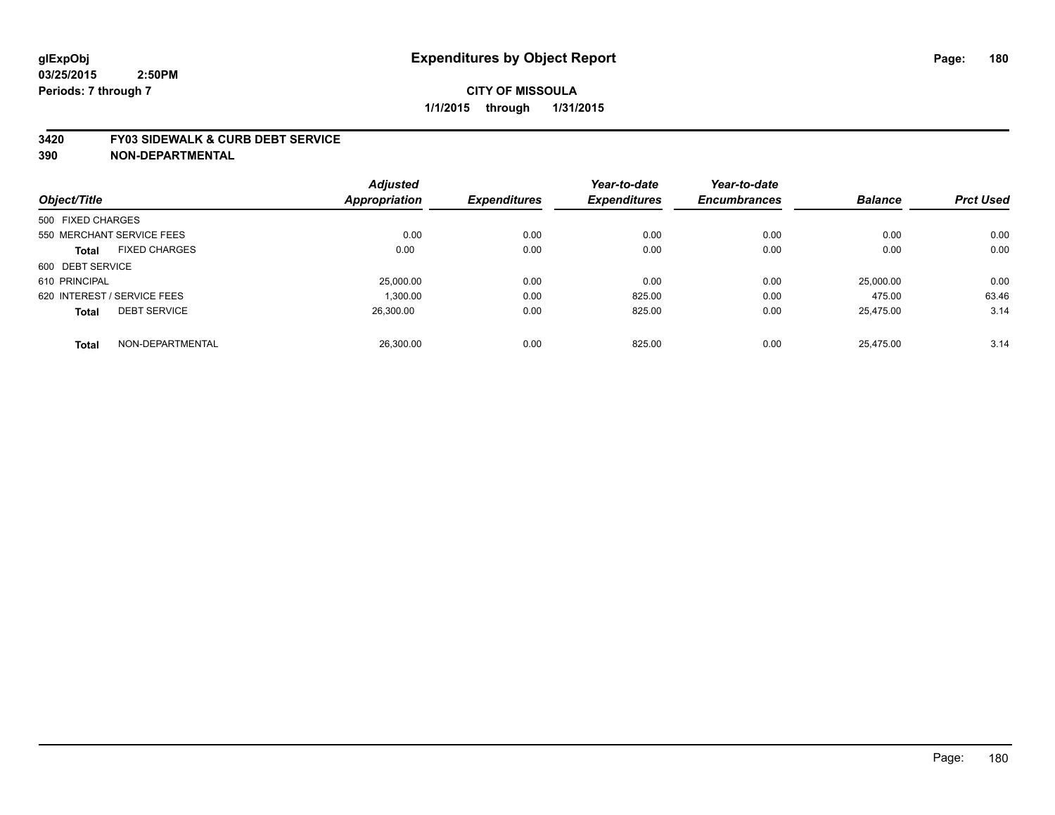#### **3420 FY03 SIDEWALK & CURB DEBT SERVICE**

|                             |                           | <b>Adjusted</b>      |                     | Year-to-date        | Year-to-date        |                |                  |
|-----------------------------|---------------------------|----------------------|---------------------|---------------------|---------------------|----------------|------------------|
| Object/Title                |                           | <b>Appropriation</b> | <b>Expenditures</b> | <b>Expenditures</b> | <b>Encumbrances</b> | <b>Balance</b> | <b>Prct Used</b> |
| 500 FIXED CHARGES           |                           |                      |                     |                     |                     |                |                  |
|                             | 550 MERCHANT SERVICE FEES | 0.00                 | 0.00                | 0.00                | 0.00                | 0.00           | 0.00             |
| <b>Total</b>                | <b>FIXED CHARGES</b>      | 0.00                 | 0.00                | 0.00                | 0.00                | 0.00           | 0.00             |
| 600 DEBT SERVICE            |                           |                      |                     |                     |                     |                |                  |
| 610 PRINCIPAL               |                           | 25,000.00            | 0.00                | 0.00                | 0.00                | 25,000.00      | 0.00             |
| 620 INTEREST / SERVICE FEES |                           | 1.300.00             | 0.00                | 825.00              | 0.00                | 475.00         | 63.46            |
| <b>Total</b>                | <b>DEBT SERVICE</b>       | 26.300.00            | 0.00                | 825.00              | 0.00                | 25.475.00      | 3.14             |
| <b>Total</b>                | NON-DEPARTMENTAL          | 26.300.00            | 0.00                | 825.00              | 0.00                | 25.475.00      | 3.14             |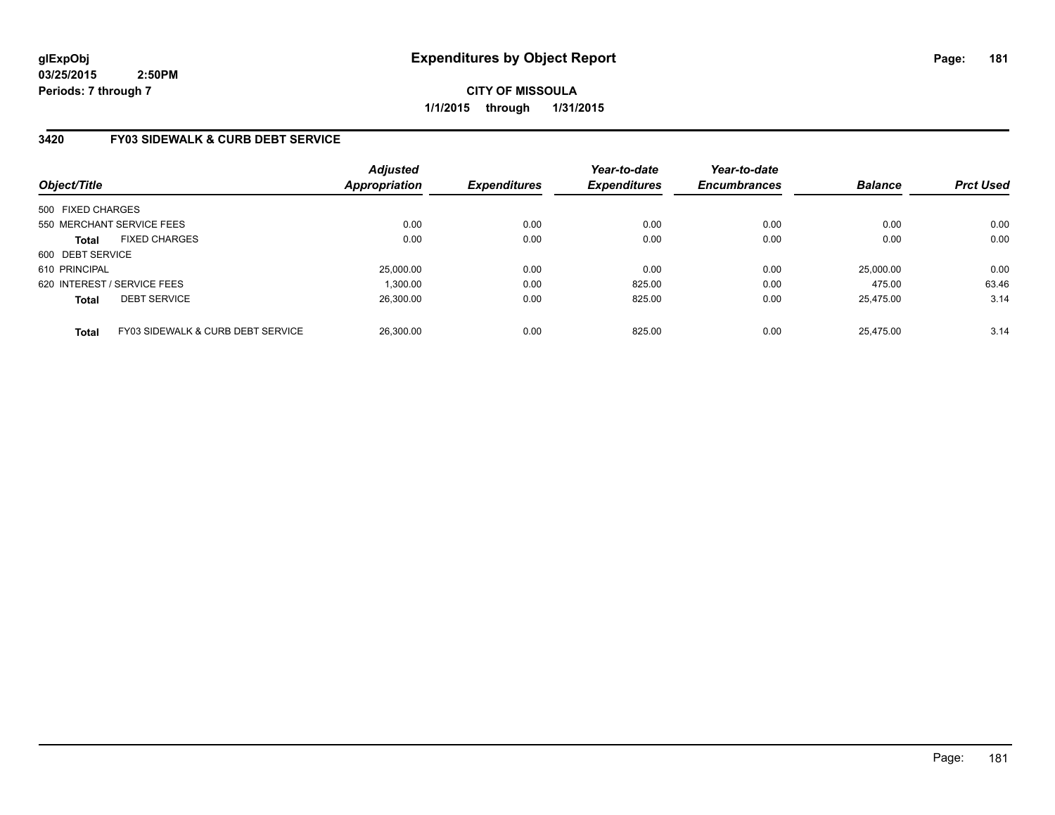# **CITY OF MISSOULA 1/1/2015 through 1/31/2015**

## **3420 FY03 SIDEWALK & CURB DEBT SERVICE**

| Object/Title      |                                              | <b>Adjusted</b><br><b>Appropriation</b> | <b>Expenditures</b> | Year-to-date<br><b>Expenditures</b> | Year-to-date<br><b>Encumbrances</b> | <b>Balance</b> | <b>Prct Used</b> |
|-------------------|----------------------------------------------|-----------------------------------------|---------------------|-------------------------------------|-------------------------------------|----------------|------------------|
| 500 FIXED CHARGES |                                              |                                         |                     |                                     |                                     |                |                  |
|                   | 550 MERCHANT SERVICE FEES                    | 0.00                                    | 0.00                | 0.00                                | 0.00                                | 0.00           | 0.00             |
| <b>Total</b>      | <b>FIXED CHARGES</b>                         | 0.00                                    | 0.00                | 0.00                                | 0.00                                | 0.00           | 0.00             |
| 600 DEBT SERVICE  |                                              |                                         |                     |                                     |                                     |                |                  |
| 610 PRINCIPAL     |                                              | 25.000.00                               | 0.00                | 0.00                                | 0.00                                | 25.000.00      | 0.00             |
|                   | 620 INTEREST / SERVICE FEES                  | 1.300.00                                | 0.00                | 825.00                              | 0.00                                | 475.00         | 63.46            |
| <b>Total</b>      | <b>DEBT SERVICE</b>                          | 26.300.00                               | 0.00                | 825.00                              | 0.00                                | 25.475.00      | 3.14             |
| <b>Total</b>      | <b>FY03 SIDEWALK &amp; CURB DEBT SERVICE</b> | 26,300.00                               | 0.00                | 825.00                              | 0.00                                | 25.475.00      | 3.14             |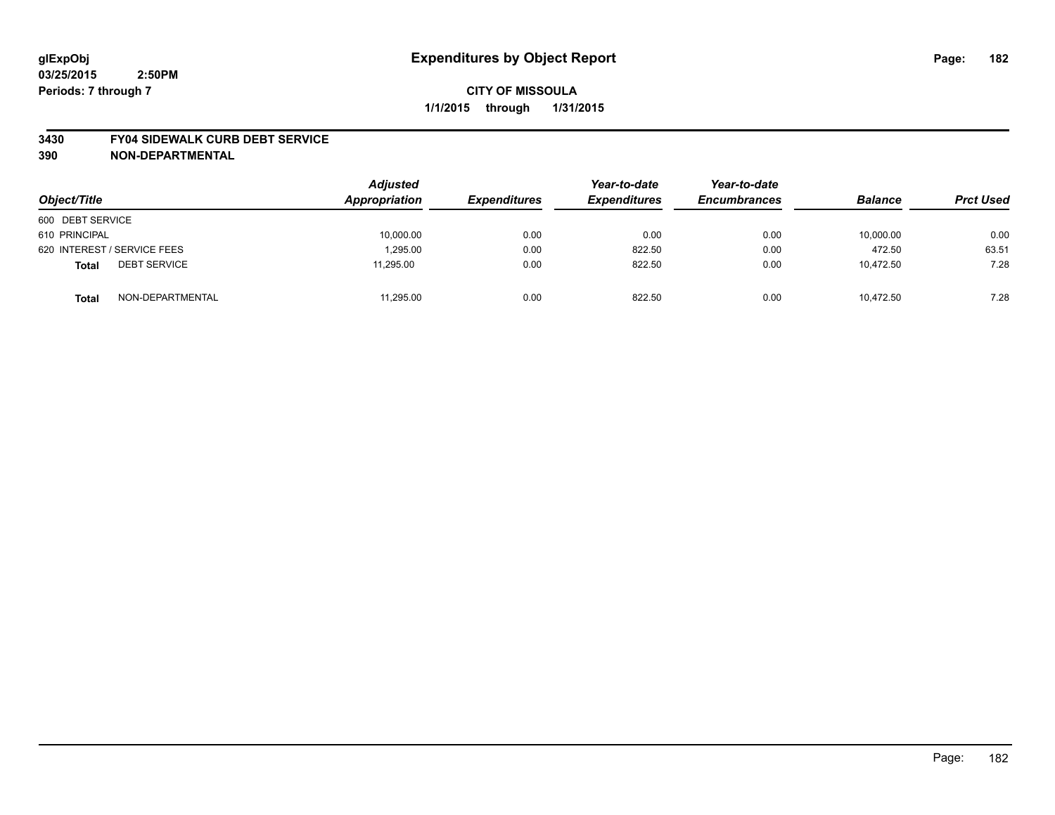## **CITY OF MISSOULA 1/1/2015 through 1/31/2015**

#### **3430 FY04 SIDEWALK CURB DEBT SERVICE**

| Object/Title                        | <b>Adjusted</b><br>Appropriation | <b>Expenditures</b> | Year-to-date<br><b>Expenditures</b> | Year-to-date<br><b>Encumbrances</b> | <b>Balance</b> | <b>Prct Used</b> |
|-------------------------------------|----------------------------------|---------------------|-------------------------------------|-------------------------------------|----------------|------------------|
| 600 DEBT SERVICE                    |                                  |                     |                                     |                                     |                |                  |
| 610 PRINCIPAL                       | 10,000.00                        | 0.00                | 0.00                                | 0.00                                | 10,000.00      | 0.00             |
| 620 INTEREST / SERVICE FEES         | 1.295.00                         | 0.00                | 822.50                              | 0.00                                | 472.50         | 63.51            |
| <b>DEBT SERVICE</b><br><b>Total</b> | 11,295.00                        | 0.00                | 822.50                              | 0.00                                | 10,472.50      | 7.28             |
| NON-DEPARTMENTAL<br><b>Total</b>    | 11,295.00                        | 0.00                | 822.50                              | 0.00                                | 10.472.50      | 7.28             |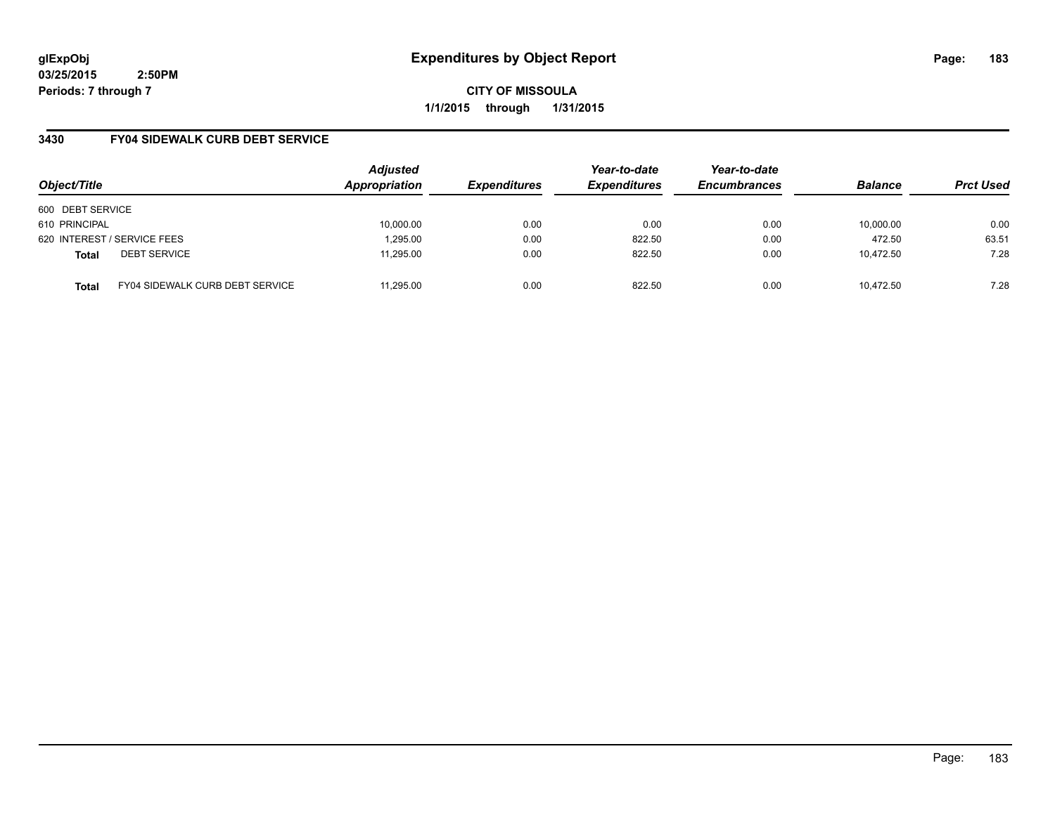**CITY OF MISSOULA 1/1/2015 through 1/31/2015**

## **3430 FY04 SIDEWALK CURB DEBT SERVICE**

| Object/Title     |                                        | <b>Adjusted</b><br>Appropriation | <b>Expenditures</b> | Year-to-date<br><b>Expenditures</b> | Year-to-date<br><b>Encumbrances</b> | <b>Balance</b> | <b>Prct Used</b> |
|------------------|----------------------------------------|----------------------------------|---------------------|-------------------------------------|-------------------------------------|----------------|------------------|
| 600 DEBT SERVICE |                                        |                                  |                     |                                     |                                     |                |                  |
| 610 PRINCIPAL    |                                        | 10,000.00                        | 0.00                | 0.00                                | 0.00                                | 10,000.00      | 0.00             |
|                  | 620 INTEREST / SERVICE FEES            | 1,295.00                         | 0.00                | 822.50                              | 0.00                                | 472.50         | 63.51            |
| <b>Total</b>     | <b>DEBT SERVICE</b>                    | 11.295.00                        | 0.00                | 822.50                              | 0.00                                | 10.472.50      | 7.28             |
| <b>Total</b>     | <b>FY04 SIDEWALK CURB DEBT SERVICE</b> | 11.295.00                        | 0.00                | 822.50                              | 0.00                                | 10.472.50      | 7.28             |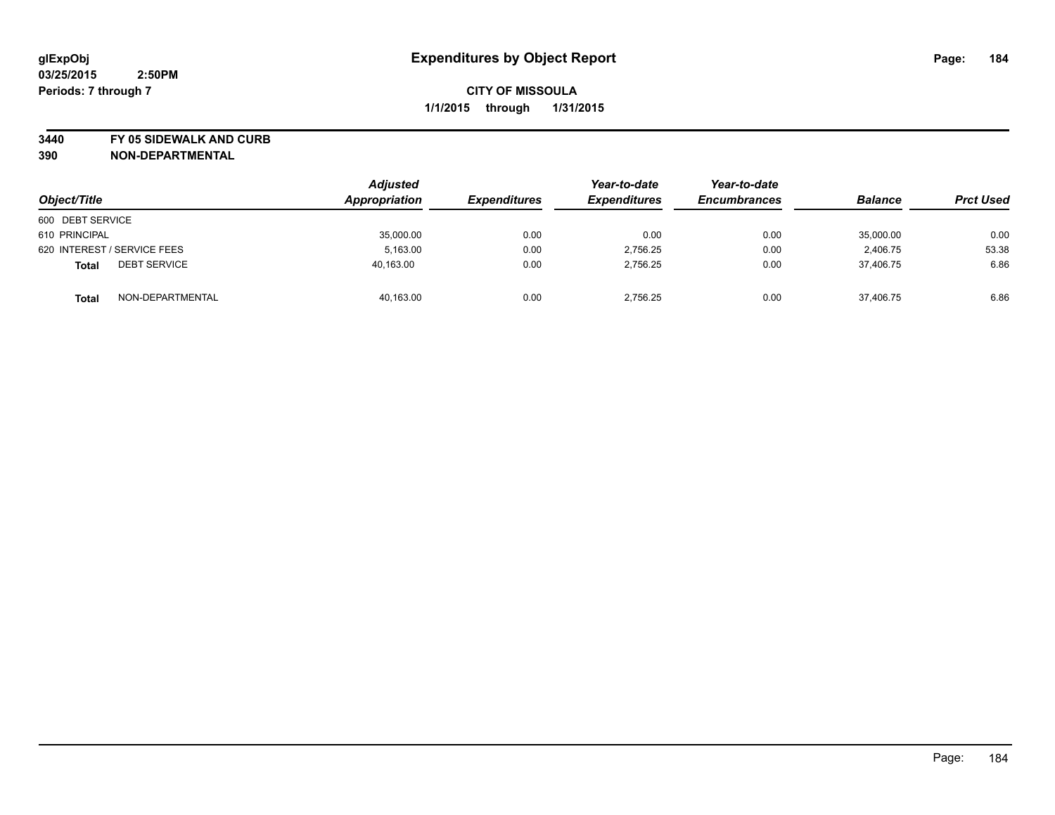**3440 FY 05 SIDEWALK AND CURB**

| Object/Title                        | <b>Adjusted</b><br><b>Appropriation</b> | <i><b>Expenditures</b></i> | Year-to-date<br><b>Expenditures</b> | Year-to-date<br><b>Encumbrances</b> | <b>Balance</b> | <b>Prct Used</b> |
|-------------------------------------|-----------------------------------------|----------------------------|-------------------------------------|-------------------------------------|----------------|------------------|
| 600 DEBT SERVICE                    |                                         |                            |                                     |                                     |                |                  |
| 610 PRINCIPAL                       | 35,000.00                               | 0.00                       | 0.00                                | 0.00                                | 35,000.00      | 0.00             |
| 620 INTEREST / SERVICE FEES         | 5.163.00                                | 0.00                       | 2.756.25                            | 0.00                                | 2.406.75       | 53.38            |
| <b>DEBT SERVICE</b><br><b>Total</b> | 40.163.00                               | 0.00                       | 2.756.25                            | 0.00                                | 37.406.75      | 6.86             |
| NON-DEPARTMENTAL<br><b>Total</b>    | 40,163.00                               | 0.00                       | 2.756.25                            | 0.00                                | 37,406.75      | 6.86             |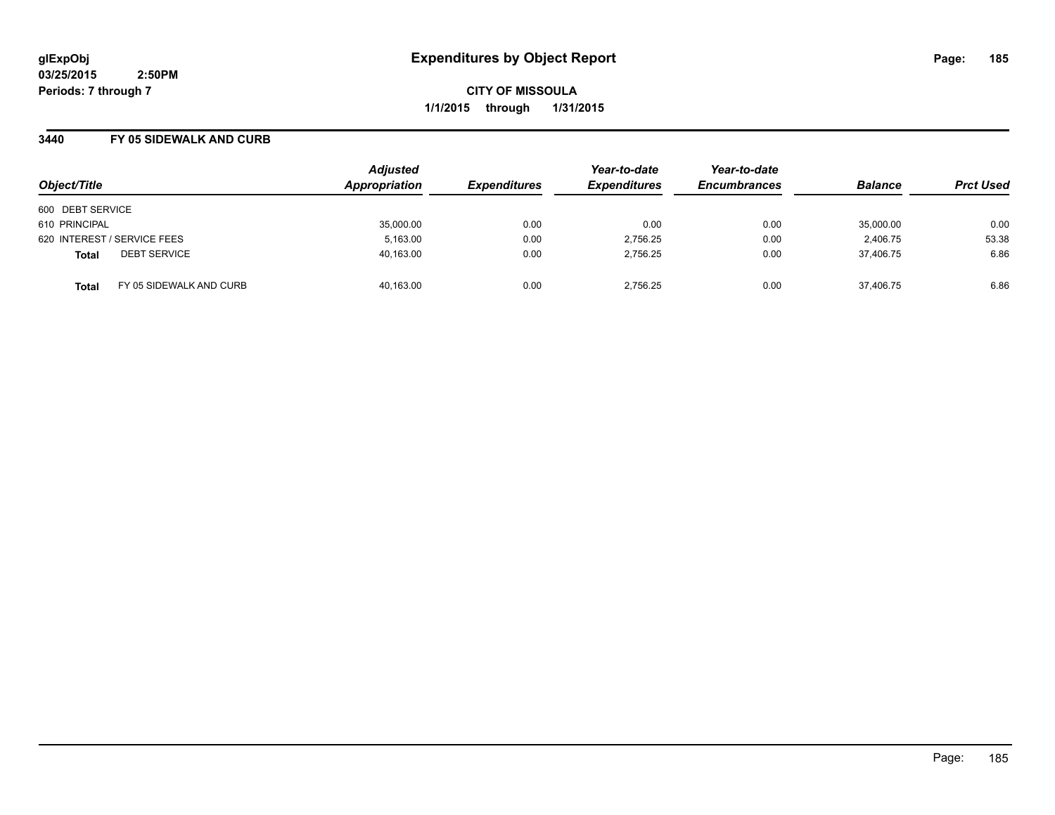**CITY OF MISSOULA 1/1/2015 through 1/31/2015**

#### **3440 FY 05 SIDEWALK AND CURB**

| Object/Title                            | <b>Adjusted</b><br>Appropriation | <b>Expenditures</b> | Year-to-date<br><b>Expenditures</b> | Year-to-date<br><b>Encumbrances</b> | <b>Balance</b> | <b>Prct Used</b> |
|-----------------------------------------|----------------------------------|---------------------|-------------------------------------|-------------------------------------|----------------|------------------|
| 600 DEBT SERVICE                        |                                  |                     |                                     |                                     |                |                  |
| 610 PRINCIPAL                           | 35,000.00                        | 0.00                | 0.00                                | 0.00                                | 35,000.00      | 0.00             |
| 620 INTEREST / SERVICE FEES             | 5,163.00                         | 0.00                | 2,756.25                            | 0.00                                | 2,406.75       | 53.38            |
| <b>DEBT SERVICE</b><br><b>Total</b>     | 40,163.00                        | 0.00                | 2,756.25                            | 0.00                                | 37.406.75      | 6.86             |
| FY 05 SIDEWALK AND CURB<br><b>Total</b> | 40,163.00                        | 0.00                | 2.756.25                            | 0.00                                | 37.406.75      | 6.86             |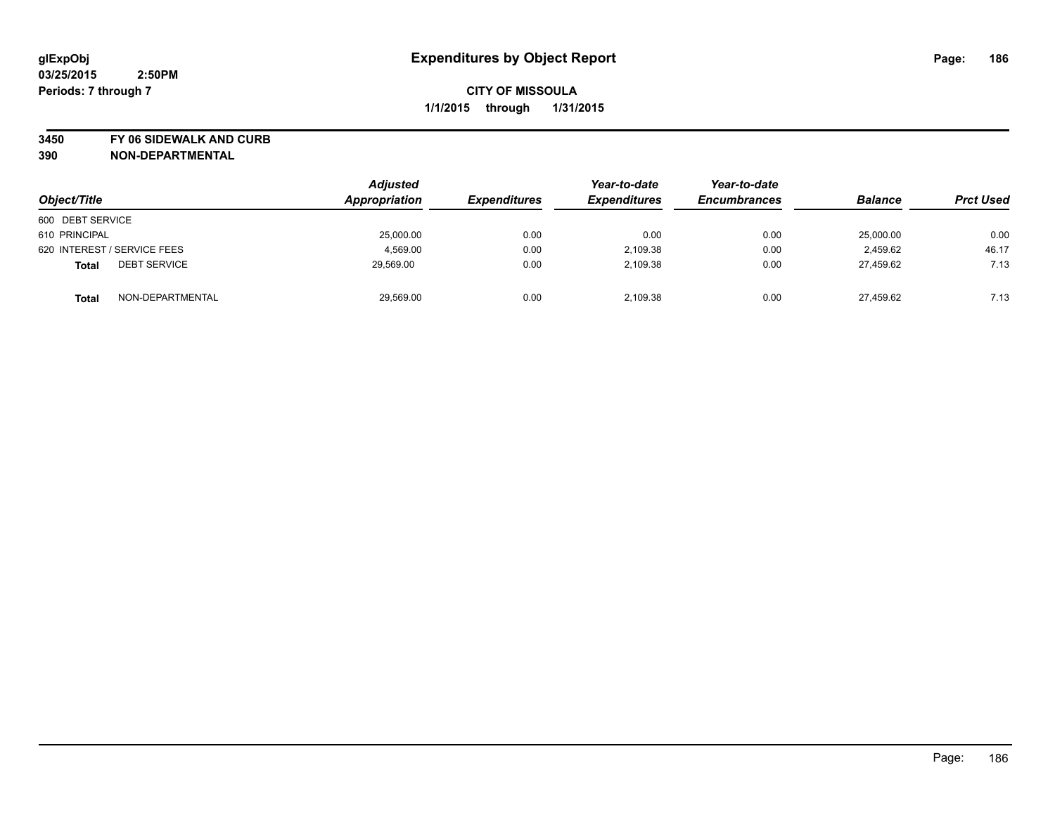**3450 FY 06 SIDEWALK AND CURB**

| Object/Title                        | <b>Adjusted</b><br>Appropriation | <i><b>Expenditures</b></i> | Year-to-date<br><b>Expenditures</b> | Year-to-date<br><b>Encumbrances</b> | <b>Balance</b> | <b>Prct Used</b> |
|-------------------------------------|----------------------------------|----------------------------|-------------------------------------|-------------------------------------|----------------|------------------|
| 600 DEBT SERVICE                    |                                  |                            |                                     |                                     |                |                  |
| 610 PRINCIPAL                       | 25,000.00                        | 0.00                       | 0.00                                | 0.00                                | 25,000.00      | 0.00             |
| 620 INTEREST / SERVICE FEES         | 4,569.00                         | 0.00                       | 2,109.38                            | 0.00                                | 2.459.62       | 46.17            |
| <b>DEBT SERVICE</b><br><b>Total</b> | 29,569.00                        | 0.00                       | 2,109.38                            | 0.00                                | 27.459.62      | 7.13             |
| NON-DEPARTMENTAL<br><b>Total</b>    | 29,569.00                        | 0.00                       | 2,109.38                            | 0.00                                | 27.459.62      | 7.13             |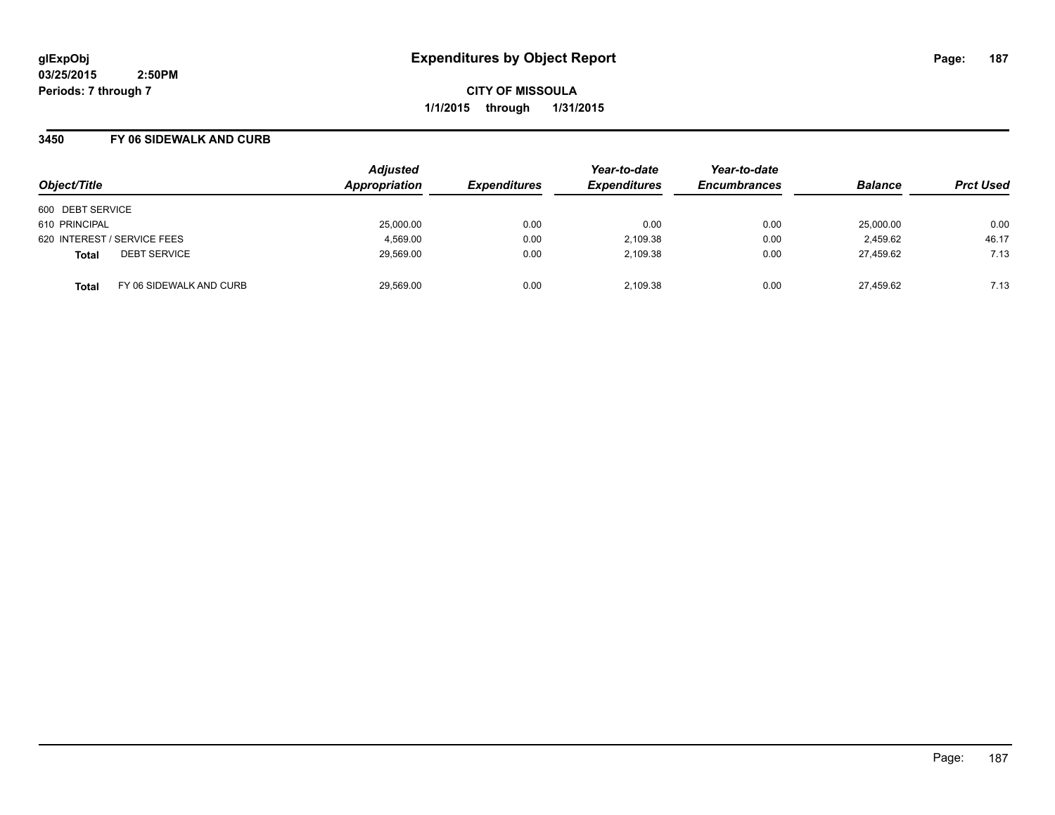**CITY OF MISSOULA 1/1/2015 through 1/31/2015**

### **3450 FY 06 SIDEWALK AND CURB**

| Object/Title     |                             | <b>Adjusted</b><br>Appropriation | <b>Expenditures</b> | Year-to-date<br><b>Expenditures</b> | Year-to-date<br><b>Encumbrances</b> | <b>Balance</b> | <b>Prct Used</b> |
|------------------|-----------------------------|----------------------------------|---------------------|-------------------------------------|-------------------------------------|----------------|------------------|
| 600 DEBT SERVICE |                             |                                  |                     |                                     |                                     |                |                  |
| 610 PRINCIPAL    |                             | 25,000.00                        | 0.00                | 0.00                                | 0.00                                | 25,000.00      | 0.00             |
|                  | 620 INTEREST / SERVICE FEES | 4,569.00                         | 0.00                | 2,109.38                            | 0.00                                | 2,459.62       | 46.17            |
| <b>Total</b>     | <b>DEBT SERVICE</b>         | 29,569.00                        | 0.00                | 2.109.38                            | 0.00                                | 27.459.62      | 7.13             |
| <b>Total</b>     | FY 06 SIDEWALK AND CURB     | 29,569.00                        | 0.00                | 2.109.38                            | 0.00                                | 27,459.62      | 7.13             |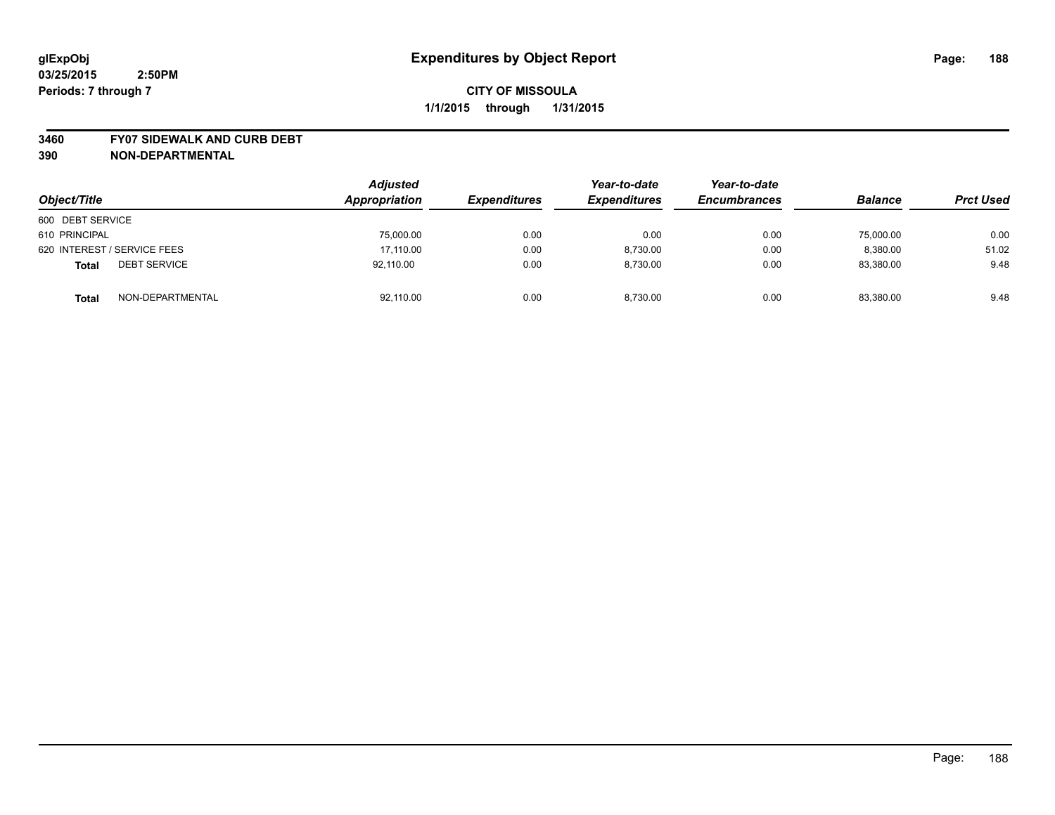#### **3460 FY07 SIDEWALK AND CURB DEBT**

| Object/Title                        | <b>Adjusted</b><br>Appropriation | <b>Expenditures</b> | Year-to-date<br><b>Expenditures</b> | Year-to-date<br><b>Encumbrances</b> | <b>Balance</b> | <b>Prct Used</b> |
|-------------------------------------|----------------------------------|---------------------|-------------------------------------|-------------------------------------|----------------|------------------|
| 600 DEBT SERVICE                    |                                  |                     |                                     |                                     |                |                  |
| 610 PRINCIPAL                       | 75,000.00                        | 0.00                | 0.00                                | 0.00                                | 75,000.00      | 0.00             |
| 620 INTEREST / SERVICE FEES         | 17,110.00                        | 0.00                | 8.730.00                            | 0.00                                | 8,380.00       | 51.02            |
| <b>DEBT SERVICE</b><br><b>Total</b> | 92.110.00                        | 0.00                | 8.730.00                            | 0.00                                | 83.380.00      | 9.48             |
| NON-DEPARTMENTAL<br><b>Total</b>    | 92,110.00                        | 0.00                | 8,730.00                            | 0.00                                | 83,380.00      | 9.48             |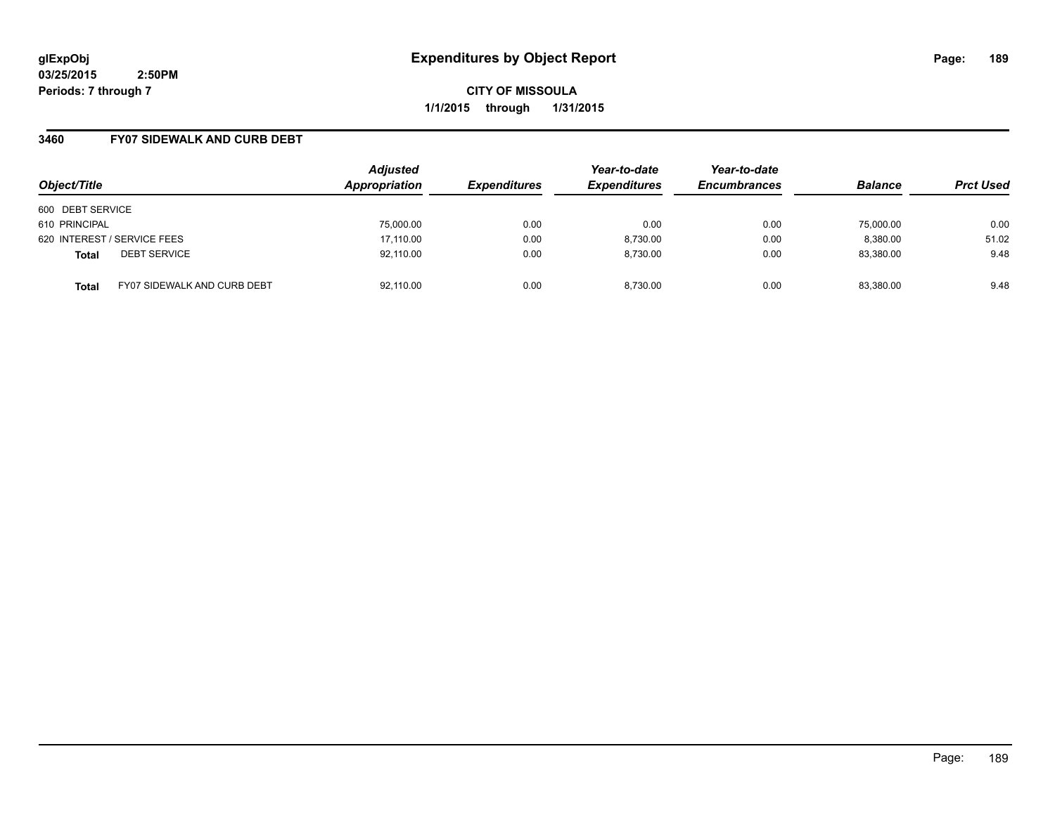**CITY OF MISSOULA 1/1/2015 through 1/31/2015**

### **3460 FY07 SIDEWALK AND CURB DEBT**

| Object/Title                                       | <b>Adjusted</b><br>Appropriation | <b>Expenditures</b> | Year-to-date<br><b>Expenditures</b> | Year-to-date<br><b>Encumbrances</b> | <b>Balance</b> | <b>Prct Used</b> |
|----------------------------------------------------|----------------------------------|---------------------|-------------------------------------|-------------------------------------|----------------|------------------|
| 600 DEBT SERVICE                                   |                                  |                     |                                     |                                     |                |                  |
| 610 PRINCIPAL                                      | 75,000.00                        | 0.00                | 0.00                                | 0.00                                | 75,000.00      | 0.00             |
| 620 INTEREST / SERVICE FEES                        | 17,110.00                        | 0.00                | 8,730.00                            | 0.00                                | 8,380.00       | 51.02            |
| <b>DEBT SERVICE</b><br><b>Total</b>                | 92,110.00                        | 0.00                | 8.730.00                            | 0.00                                | 83,380.00      | 9.48             |
| <b>FY07 SIDEWALK AND CURB DEBT</b><br><b>Total</b> | 92,110.00                        | 0.00                | 8.730.00                            | 0.00                                | 83,380.00      | 9.48             |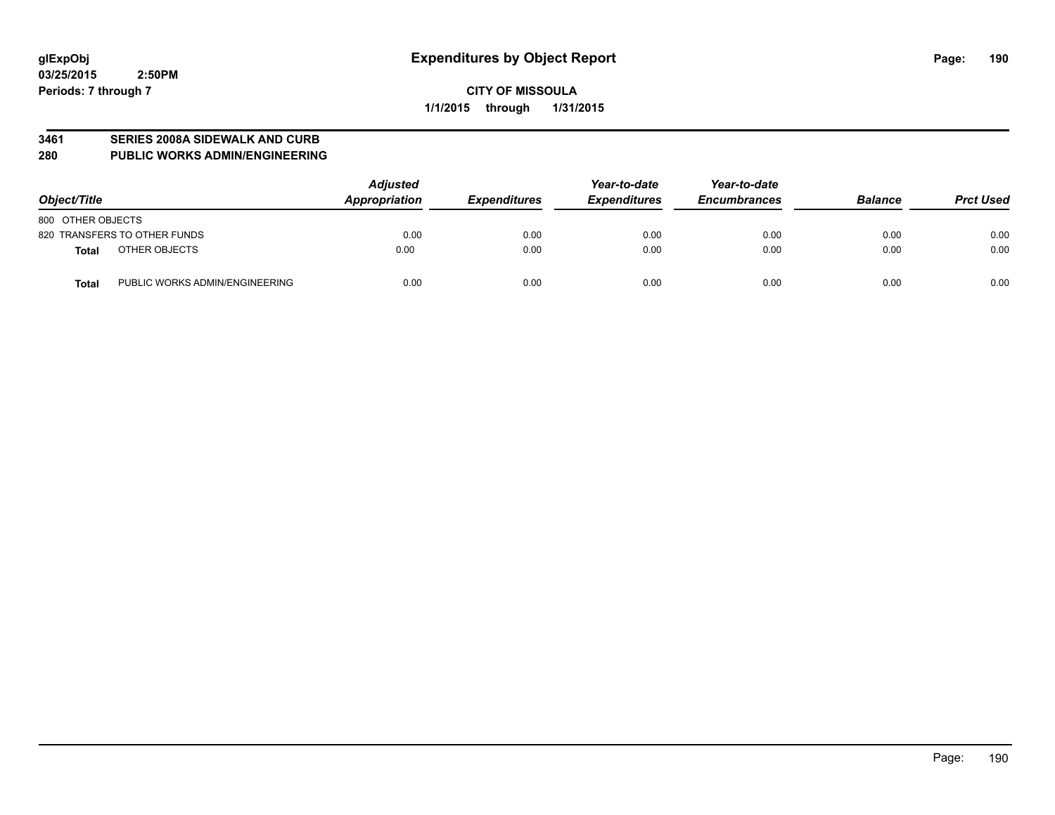#### **3461 SERIES 2008A SIDEWALK AND CURB**

#### **280 PUBLIC WORKS ADMIN/ENGINEERING**

| Object/Title                            | <b>Adjusted</b><br>Appropriation | <b>Expenditures</b> | Year-to-date<br><b>Expenditures</b> | Year-to-date<br><b>Encumbrances</b> | <b>Balance</b> | <b>Prct Used</b> |
|-----------------------------------------|----------------------------------|---------------------|-------------------------------------|-------------------------------------|----------------|------------------|
| 800 OTHER OBJECTS                       |                                  |                     |                                     |                                     |                |                  |
| 820 TRANSFERS TO OTHER FUNDS            | 0.00                             | 0.00                | 0.00                                | 0.00                                | 0.00           | 0.00             |
| OTHER OBJECTS<br>Total                  | 0.00                             | 0.00                | 0.00                                | 0.00                                | 0.00           | 0.00             |
| PUBLIC WORKS ADMIN/ENGINEERING<br>Total | 0.00                             | 0.00                | 0.00                                | 0.00                                | 0.00           | 0.00             |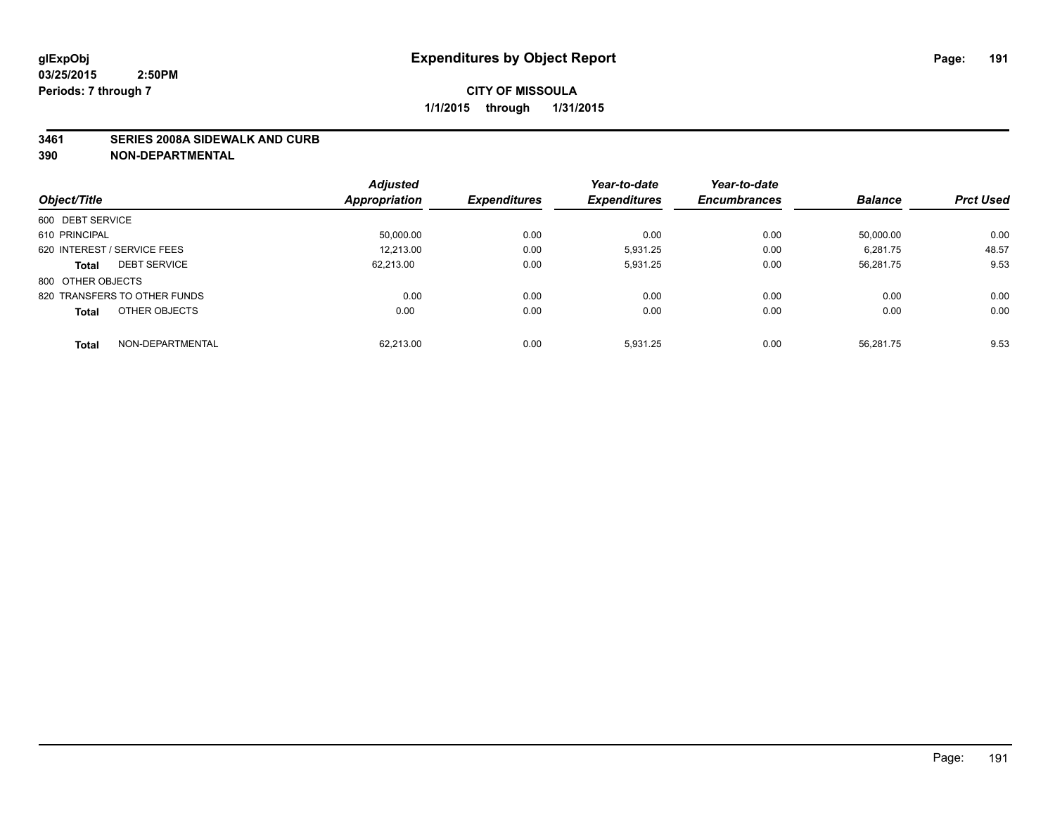#### **3461 SERIES 2008A SIDEWALK AND CURB**

|                                     | <b>Adjusted</b> |                     | Year-to-date        | Year-to-date        |                |                  |
|-------------------------------------|-----------------|---------------------|---------------------|---------------------|----------------|------------------|
| Object/Title                        | Appropriation   | <b>Expenditures</b> | <b>Expenditures</b> | <b>Encumbrances</b> | <b>Balance</b> | <b>Prct Used</b> |
| 600 DEBT SERVICE                    |                 |                     |                     |                     |                |                  |
| 610 PRINCIPAL                       | 50,000.00       | 0.00                | 0.00                | 0.00                | 50.000.00      | 0.00             |
| 620 INTEREST / SERVICE FEES         | 12.213.00       | 0.00                | 5.931.25            | 0.00                | 6,281.75       | 48.57            |
| <b>DEBT SERVICE</b><br><b>Total</b> | 62.213.00       | 0.00                | 5,931.25            | 0.00                | 56,281.75      | 9.53             |
| 800 OTHER OBJECTS                   |                 |                     |                     |                     |                |                  |
| 820 TRANSFERS TO OTHER FUNDS        | 0.00            | 0.00                | 0.00                | 0.00                | 0.00           | 0.00             |
| OTHER OBJECTS<br><b>Total</b>       | 0.00            | 0.00                | 0.00                | 0.00                | 0.00           | 0.00             |
| NON-DEPARTMENTAL<br><b>Total</b>    | 62.213.00       | 0.00                | 5,931.25            | 0.00                | 56.281.75      | 9.53             |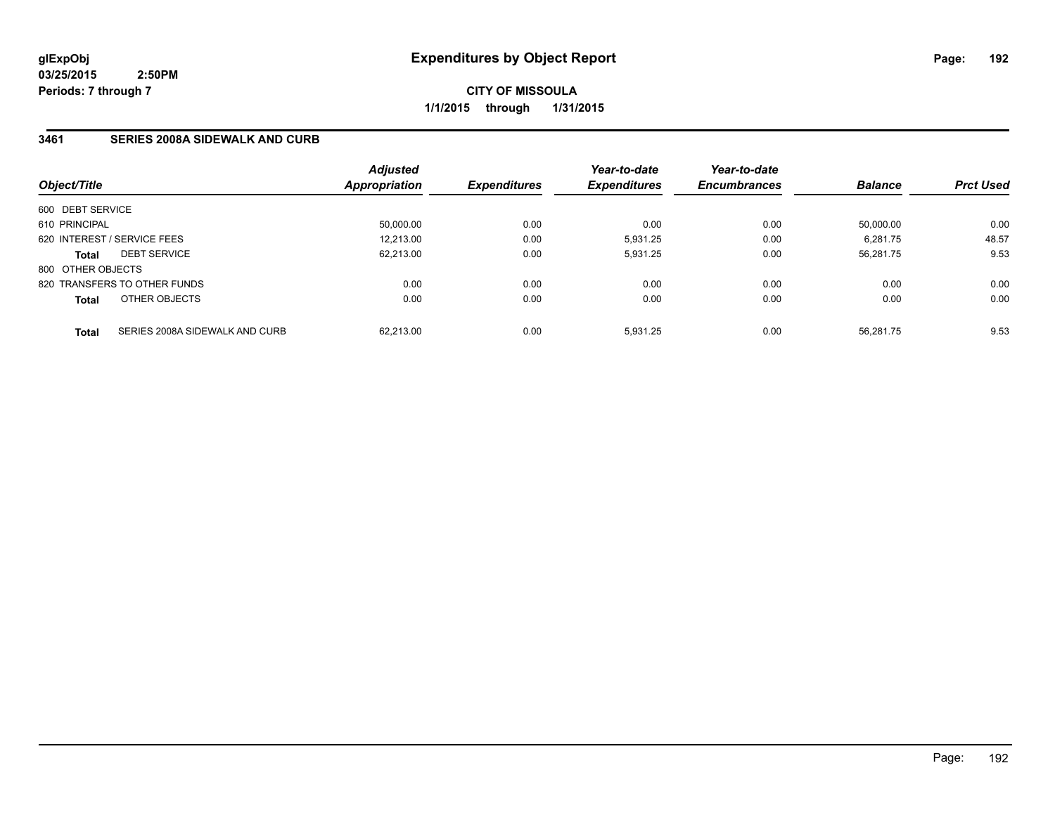**CITY OF MISSOULA 1/1/2015 through 1/31/2015**

## **3461 SERIES 2008A SIDEWALK AND CURB**

|                   |                                | <b>Adjusted</b> |                            | Year-to-date        | Year-to-date        |                |                  |
|-------------------|--------------------------------|-----------------|----------------------------|---------------------|---------------------|----------------|------------------|
| Object/Title      |                                | Appropriation   | <i><b>Expenditures</b></i> | <b>Expenditures</b> | <b>Encumbrances</b> | <b>Balance</b> | <b>Prct Used</b> |
| 600 DEBT SERVICE  |                                |                 |                            |                     |                     |                |                  |
| 610 PRINCIPAL     |                                | 50,000.00       | 0.00                       | 0.00                | 0.00                | 50.000.00      | 0.00             |
|                   | 620 INTEREST / SERVICE FEES    | 12.213.00       | 0.00                       | 5.931.25            | 0.00                | 6.281.75       | 48.57            |
| <b>Total</b>      | <b>DEBT SERVICE</b>            | 62,213.00       | 0.00                       | 5,931.25            | 0.00                | 56,281.75      | 9.53             |
| 800 OTHER OBJECTS |                                |                 |                            |                     |                     |                |                  |
|                   | 820 TRANSFERS TO OTHER FUNDS   | 0.00            | 0.00                       | 0.00                | 0.00                | 0.00           | 0.00             |
| <b>Total</b>      | OTHER OBJECTS                  | 0.00            | 0.00                       | 0.00                | 0.00                | 0.00           | 0.00             |
| <b>Total</b>      | SERIES 2008A SIDEWALK AND CURB | 62.213.00       | 0.00                       | 5.931.25            | 0.00                | 56.281.75      | 9.53             |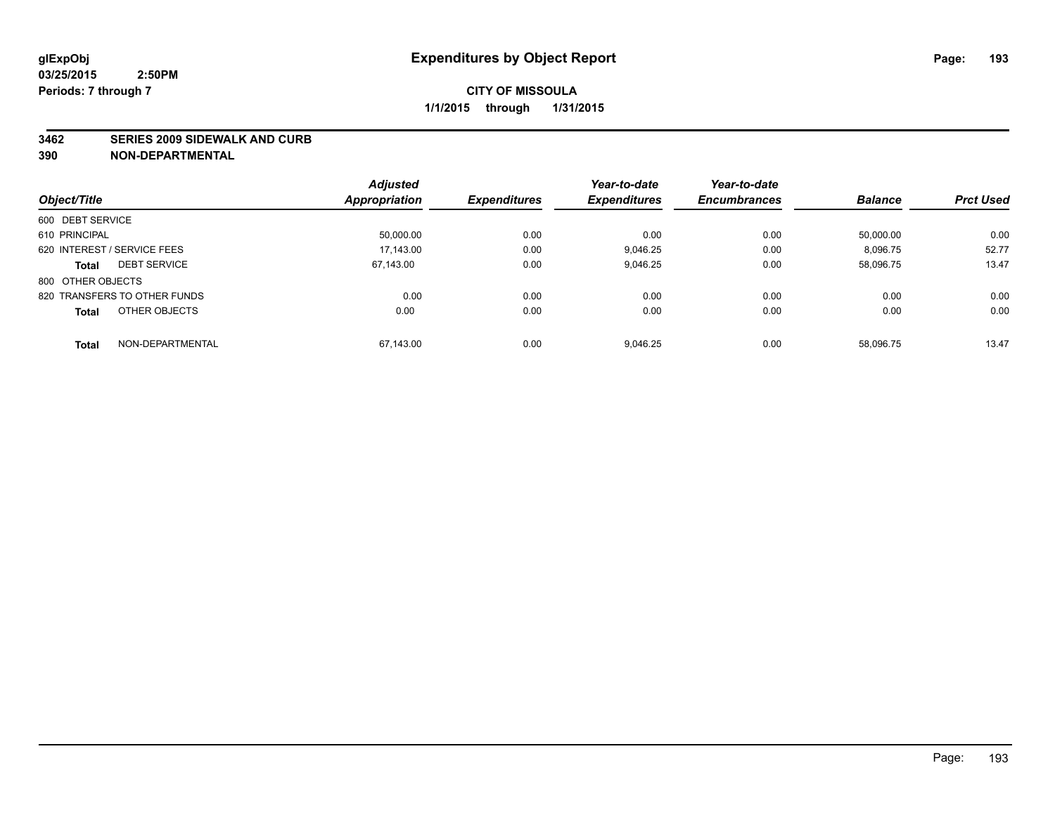#### **3462 SERIES 2009 SIDEWALK AND CURB**

|                                     | <b>Adjusted</b>      |                     | Year-to-date        | Year-to-date        |                |                  |
|-------------------------------------|----------------------|---------------------|---------------------|---------------------|----------------|------------------|
| Object/Title                        | <b>Appropriation</b> | <b>Expenditures</b> | <b>Expenditures</b> | <b>Encumbrances</b> | <b>Balance</b> | <b>Prct Used</b> |
| 600 DEBT SERVICE                    |                      |                     |                     |                     |                |                  |
| 610 PRINCIPAL                       | 50,000.00            | 0.00                | 0.00                | 0.00                | 50.000.00      | 0.00             |
| 620 INTEREST / SERVICE FEES         | 17.143.00            | 0.00                | 9.046.25            | 0.00                | 8,096.75       | 52.77            |
| <b>DEBT SERVICE</b><br><b>Total</b> | 67.143.00            | 0.00                | 9,046.25            | 0.00                | 58,096.75      | 13.47            |
| 800 OTHER OBJECTS                   |                      |                     |                     |                     |                |                  |
| 820 TRANSFERS TO OTHER FUNDS        | 0.00                 | 0.00                | 0.00                | 0.00                | 0.00           | 0.00             |
| OTHER OBJECTS<br><b>Total</b>       | 0.00                 | 0.00                | 0.00                | 0.00                | 0.00           | 0.00             |
| NON-DEPARTMENTAL<br>Total           | 67,143.00            | 0.00                | 9,046.25            | 0.00                | 58.096.75      | 13.47            |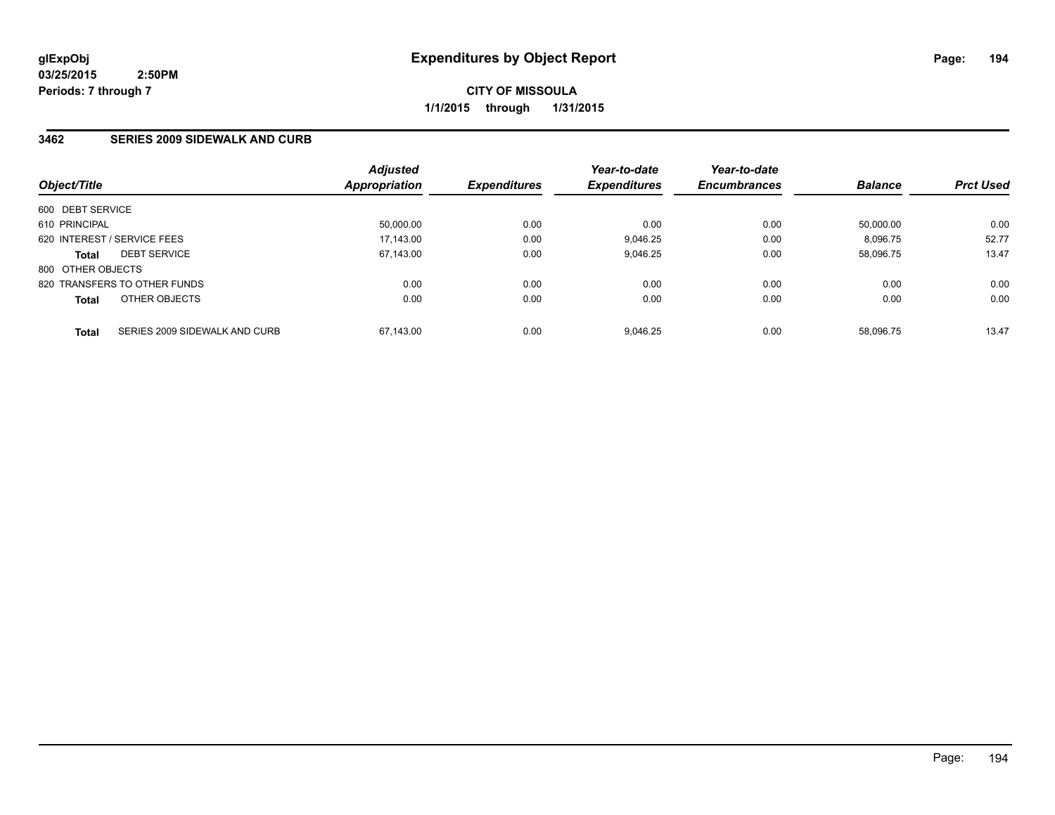**CITY OF MISSOULA 1/1/2015 through 1/31/2015**

### **3462 SERIES 2009 SIDEWALK AND CURB**

|                   |                               | <b>Adjusted</b>      |                     | Year-to-date        | Year-to-date        |                |                  |
|-------------------|-------------------------------|----------------------|---------------------|---------------------|---------------------|----------------|------------------|
| Object/Title      |                               | <b>Appropriation</b> | <b>Expenditures</b> | <b>Expenditures</b> | <b>Encumbrances</b> | <b>Balance</b> | <b>Prct Used</b> |
| 600 DEBT SERVICE  |                               |                      |                     |                     |                     |                |                  |
| 610 PRINCIPAL     |                               | 50,000.00            | 0.00                | 0.00                | 0.00                | 50.000.00      | 0.00             |
|                   | 620 INTEREST / SERVICE FEES   | 17,143.00            | 0.00                | 9.046.25            | 0.00                | 8.096.75       | 52.77            |
| <b>Total</b>      | <b>DEBT SERVICE</b>           | 67,143.00            | 0.00                | 9,046.25            | 0.00                | 58.096.75      | 13.47            |
| 800 OTHER OBJECTS |                               |                      |                     |                     |                     |                |                  |
|                   | 820 TRANSFERS TO OTHER FUNDS  | 0.00                 | 0.00                | 0.00                | 0.00                | 0.00           | 0.00             |
| <b>Total</b>      | OTHER OBJECTS                 | 0.00                 | 0.00                | 0.00                | 0.00                | 0.00           | 0.00             |
| <b>Total</b>      | SERIES 2009 SIDEWALK AND CURB | 67.143.00            | 0.00                | 9.046.25            | 0.00                | 58.096.75      | 13.47            |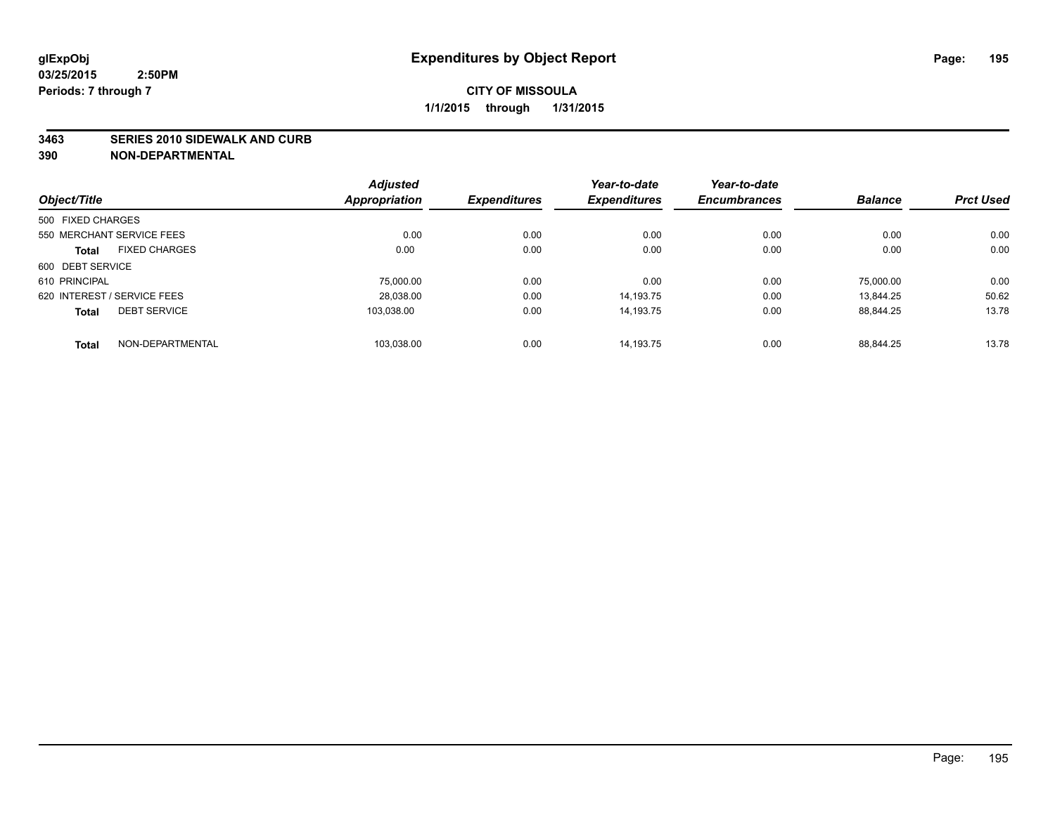### **3463 SERIES 2010 SIDEWALK AND CURB**

|                                      | <b>Adjusted</b>      |                     | Year-to-date        | Year-to-date        |                |                  |
|--------------------------------------|----------------------|---------------------|---------------------|---------------------|----------------|------------------|
| Object/Title                         | <b>Appropriation</b> | <b>Expenditures</b> | <b>Expenditures</b> | <b>Encumbrances</b> | <b>Balance</b> | <b>Prct Used</b> |
| 500 FIXED CHARGES                    |                      |                     |                     |                     |                |                  |
| 550 MERCHANT SERVICE FEES            | 0.00                 | 0.00                | 0.00                | 0.00                | 0.00           | 0.00             |
| <b>FIXED CHARGES</b><br><b>Total</b> | 0.00                 | 0.00                | 0.00                | 0.00                | 0.00           | 0.00             |
| 600 DEBT SERVICE                     |                      |                     |                     |                     |                |                  |
| 610 PRINCIPAL                        | 75.000.00            | 0.00                | 0.00                | 0.00                | 75.000.00      | 0.00             |
| 620 INTEREST / SERVICE FEES          | 28,038.00            | 0.00                | 14.193.75           | 0.00                | 13.844.25      | 50.62            |
| <b>DEBT SERVICE</b><br><b>Total</b>  | 103.038.00           | 0.00                | 14.193.75           | 0.00                | 88.844.25      | 13.78            |
| NON-DEPARTMENTAL<br><b>Total</b>     | 103,038.00           | 0.00                | 14.193.75           | 0.00                | 88.844.25      | 13.78            |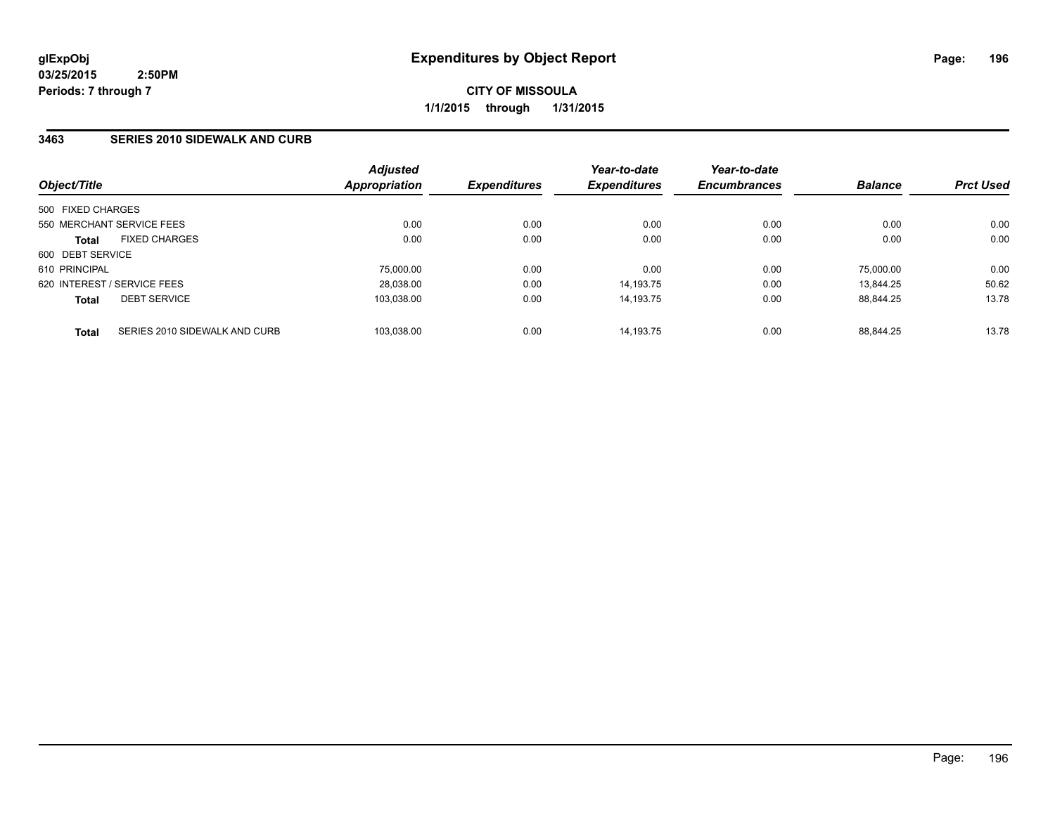**CITY OF MISSOULA 1/1/2015 through 1/31/2015**

### **3463 SERIES 2010 SIDEWALK AND CURB**

| Object/Title                                  | <b>Adjusted</b><br>Appropriation | <b>Expenditures</b> | Year-to-date<br><b>Expenditures</b> | Year-to-date<br><b>Encumbrances</b> | <b>Balance</b> | <b>Prct Used</b> |
|-----------------------------------------------|----------------------------------|---------------------|-------------------------------------|-------------------------------------|----------------|------------------|
| 500 FIXED CHARGES                             |                                  |                     |                                     |                                     |                |                  |
| 550 MERCHANT SERVICE FEES                     | 0.00                             | 0.00                | 0.00                                | 0.00                                | 0.00           | 0.00             |
| <b>FIXED CHARGES</b><br><b>Total</b>          | 0.00                             | 0.00                | 0.00                                | 0.00                                | 0.00           | 0.00             |
| 600 DEBT SERVICE                              |                                  |                     |                                     |                                     |                |                  |
| 610 PRINCIPAL                                 | 75.000.00                        | 0.00                | 0.00                                | 0.00                                | 75.000.00      | 0.00             |
| 620 INTEREST / SERVICE FEES                   | 28,038.00                        | 0.00                | 14.193.75                           | 0.00                                | 13.844.25      | 50.62            |
| <b>DEBT SERVICE</b><br><b>Total</b>           | 103.038.00                       | 0.00                | 14.193.75                           | 0.00                                | 88.844.25      | 13.78            |
| SERIES 2010 SIDEWALK AND CURB<br><b>Total</b> | 103.038.00                       | 0.00                | 14.193.75                           | 0.00                                | 88.844.25      | 13.78            |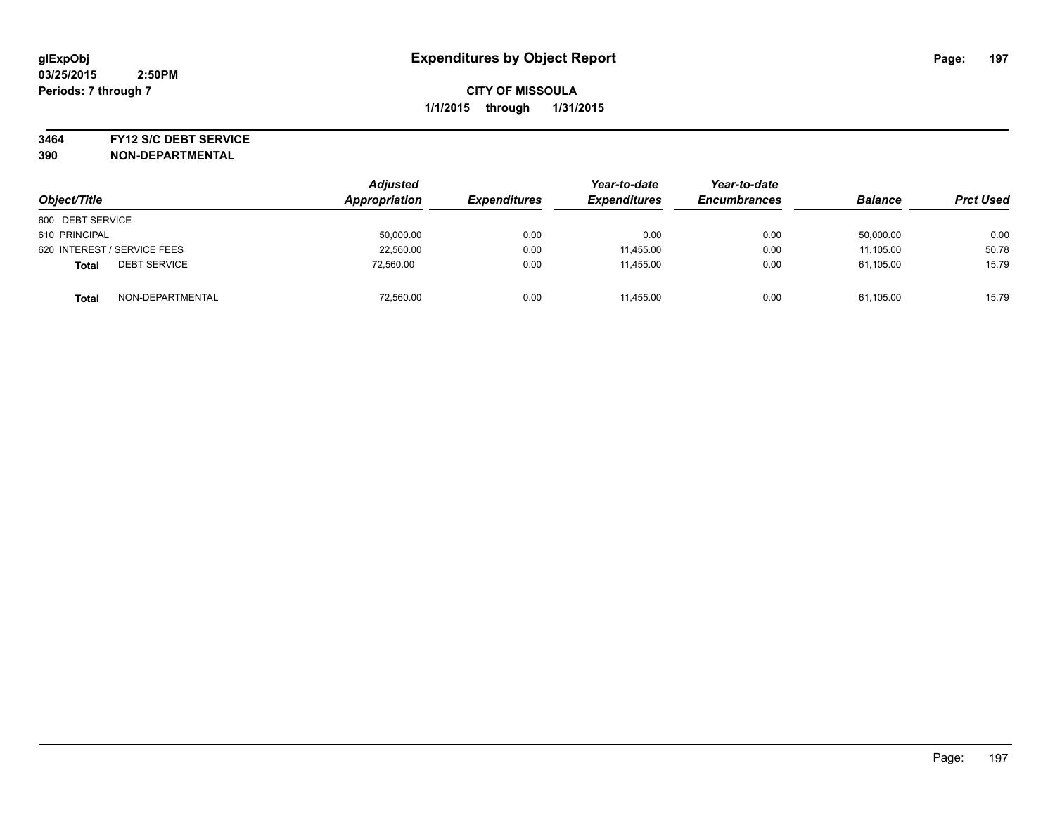#### **3464 FY12 S/C DEBT SERVICE**

| Object/Title                        | <b>Adjusted</b><br>Appropriation | <b>Expenditures</b> | Year-to-date<br><b>Expenditures</b> | Year-to-date<br><b>Encumbrances</b> | <b>Balance</b> | <b>Prct Used</b> |
|-------------------------------------|----------------------------------|---------------------|-------------------------------------|-------------------------------------|----------------|------------------|
| 600 DEBT SERVICE                    |                                  |                     |                                     |                                     |                |                  |
| 610 PRINCIPAL                       | 50,000.00                        | 0.00                | 0.00                                | 0.00                                | 50,000.00      | 0.00             |
| 620 INTEREST / SERVICE FEES         | 22,560.00                        | 0.00                | 11,455.00                           | 0.00                                | 11,105.00      | 50.78            |
| <b>DEBT SERVICE</b><br><b>Total</b> | 72,560.00                        | 0.00                | 11.455.00                           | 0.00                                | 61,105.00      | 15.79            |
| NON-DEPARTMENTAL<br>Total           | 72,560.00                        | 0.00                | 11,455.00                           | 0.00                                | 61,105.00      | 15.79            |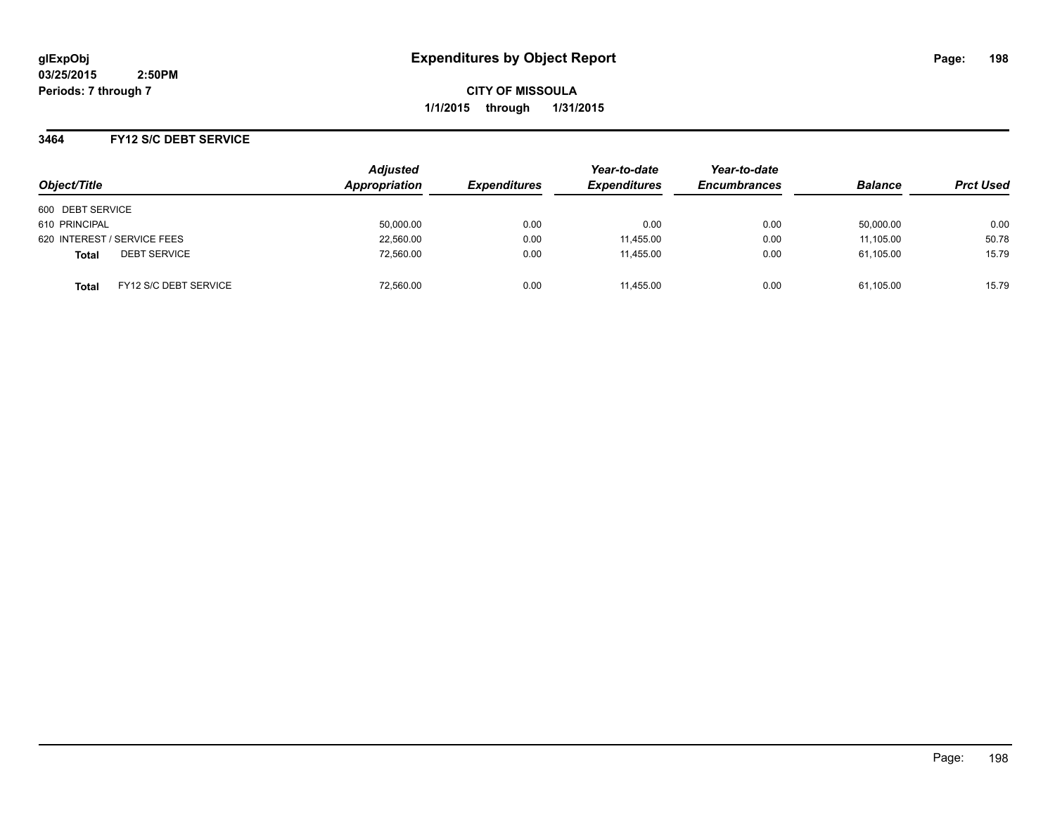**CITY OF MISSOULA 1/1/2015 through 1/31/2015**

### **3464 FY12 S/C DEBT SERVICE**

| Object/Title                                 | <b>Adjusted</b><br>Appropriation | <b>Expenditures</b> | Year-to-date<br><b>Expenditures</b> | Year-to-date<br><b>Encumbrances</b> | <b>Balance</b> | <b>Prct Used</b> |
|----------------------------------------------|----------------------------------|---------------------|-------------------------------------|-------------------------------------|----------------|------------------|
| 600 DEBT SERVICE                             |                                  |                     |                                     |                                     |                |                  |
| 610 PRINCIPAL                                | 50,000.00                        | 0.00                | 0.00                                | 0.00                                | 50,000.00      | 0.00             |
| 620 INTEREST / SERVICE FEES                  | 22,560.00                        | 0.00                | 11,455.00                           | 0.00                                | 11,105.00      | 50.78            |
| <b>DEBT SERVICE</b><br><b>Total</b>          | 72.560.00                        | 0.00                | 11.455.00                           | 0.00                                | 61.105.00      | 15.79            |
| <b>FY12 S/C DEBT SERVICE</b><br><b>Total</b> | 72.560.00                        | 0.00                | 11.455.00                           | 0.00                                | 61.105.00      | 15.79            |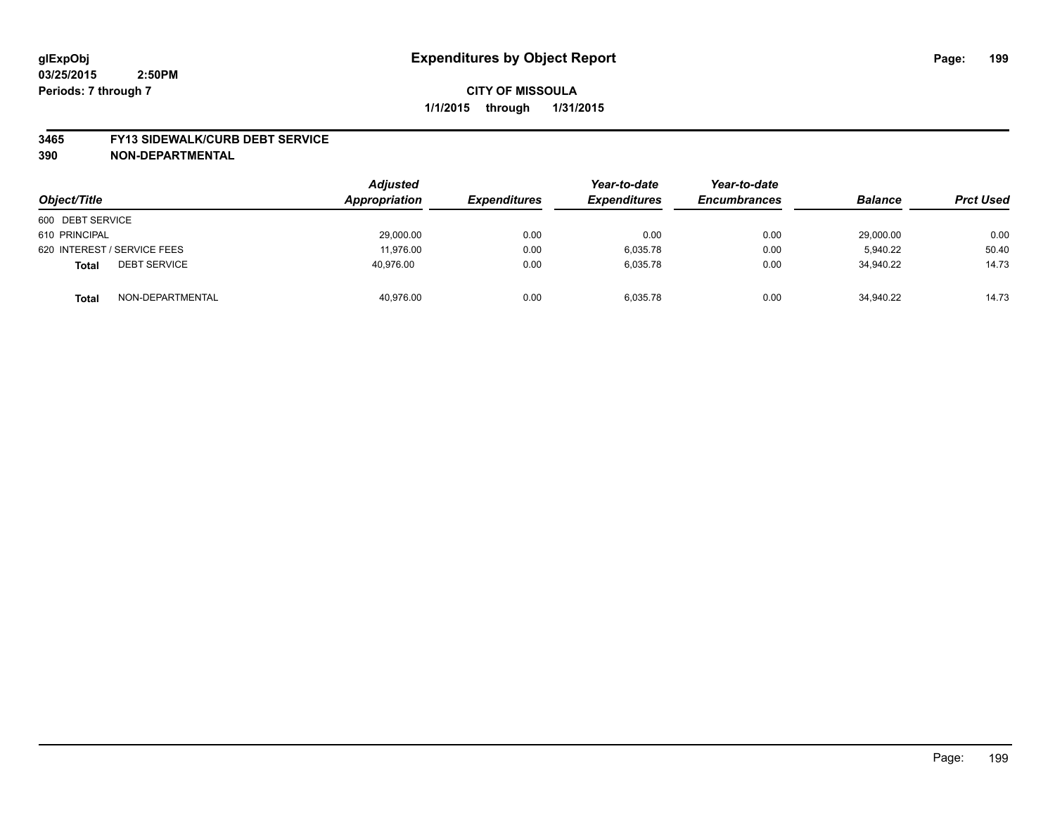#### **3465 FY13 SIDEWALK/CURB DEBT SERVICE**

| Object/Title                        | <b>Adjusted</b><br>Appropriation | <b>Expenditures</b> | Year-to-date<br><b>Expenditures</b> | Year-to-date<br><b>Encumbrances</b> | <b>Balance</b> | <b>Prct Used</b> |
|-------------------------------------|----------------------------------|---------------------|-------------------------------------|-------------------------------------|----------------|------------------|
| 600 DEBT SERVICE                    |                                  |                     |                                     |                                     |                |                  |
| 610 PRINCIPAL                       | 29,000.00                        | 0.00                | 0.00                                | 0.00                                | 29.000.00      | 0.00             |
| 620 INTEREST / SERVICE FEES         | 11.976.00                        | 0.00                | 6.035.78                            | 0.00                                | 5.940.22       | 50.40            |
| <b>DEBT SERVICE</b><br><b>Total</b> | 40,976.00                        | 0.00                | 6,035.78                            | 0.00                                | 34,940.22      | 14.73            |
| NON-DEPARTMENTAL<br><b>Total</b>    | 40,976.00                        | 0.00                | 6,035.78                            | 0.00                                | 34,940.22      | 14.73            |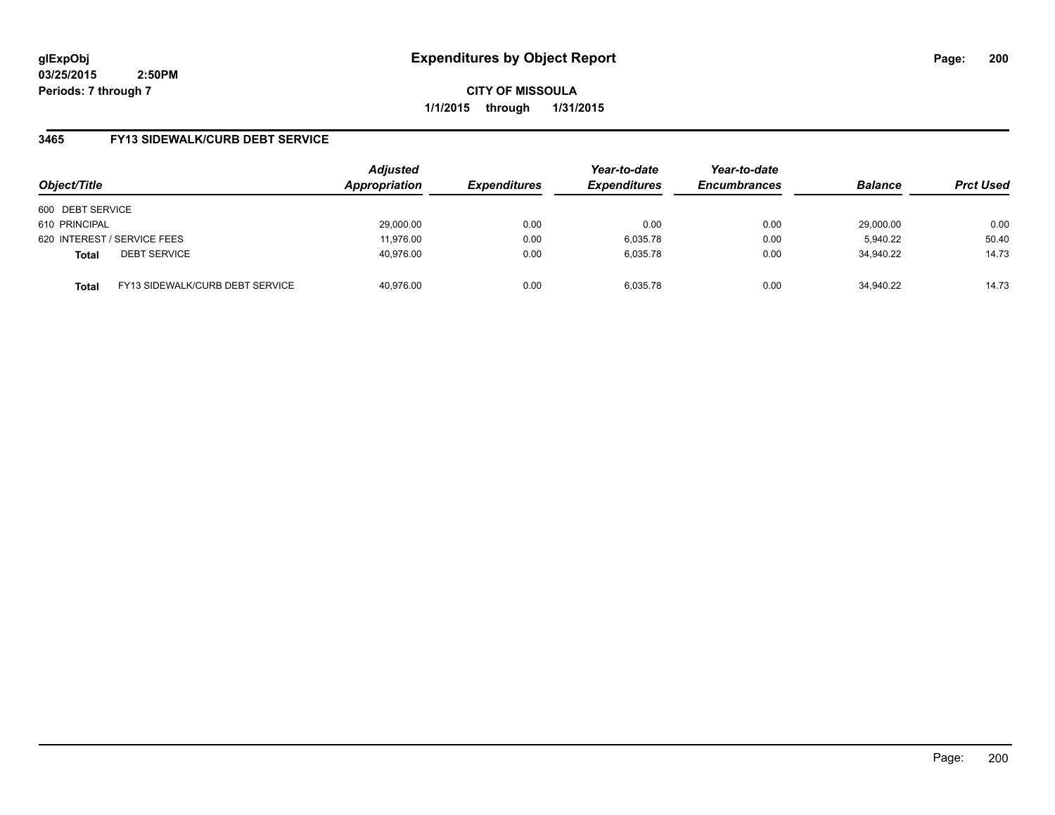**CITY OF MISSOULA 1/1/2015 through 1/31/2015**

## **3465 FY13 SIDEWALK/CURB DEBT SERVICE**

| Object/Title     |                                 | <b>Adjusted</b><br>Appropriation | <b>Expenditures</b> | Year-to-date<br><b>Expenditures</b> | Year-to-date<br><b>Encumbrances</b> | <b>Balance</b> | <b>Prct Used</b> |
|------------------|---------------------------------|----------------------------------|---------------------|-------------------------------------|-------------------------------------|----------------|------------------|
| 600 DEBT SERVICE |                                 |                                  |                     |                                     |                                     |                |                  |
| 610 PRINCIPAL    |                                 | 29,000.00                        | 0.00                | 0.00                                | 0.00                                | 29.000.00      | 0.00             |
|                  | 620 INTEREST / SERVICE FEES     | 11.976.00                        | 0.00                | 6,035.78                            | 0.00                                | 5,940.22       | 50.40            |
| <b>Total</b>     | <b>DEBT SERVICE</b>             | 40,976.00                        | 0.00                | 6.035.78                            | 0.00                                | 34.940.22      | 14.73            |
| <b>Total</b>     | FY13 SIDEWALK/CURB DEBT SERVICE | 40.976.00                        | 0.00                | 6.035.78                            | 0.00                                | 34.940.22      | 14.73            |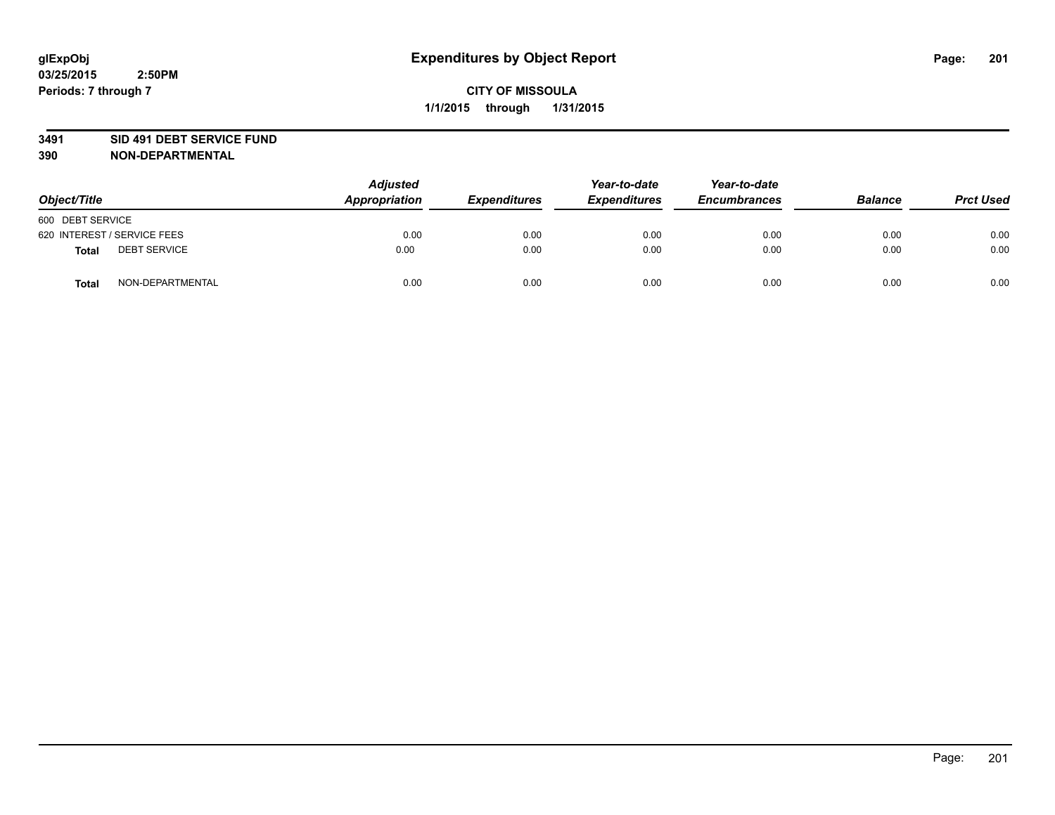#### **3491 SID 491 DEBT SERVICE FUND**

| Object/Title                 | <b>Adjusted</b><br>Appropriation | <b>Expenditures</b> | Year-to-date<br><b>Expenditures</b> | Year-to-date<br><b>Encumbrances</b> | <b>Balance</b> | <b>Prct Used</b> |
|------------------------------|----------------------------------|---------------------|-------------------------------------|-------------------------------------|----------------|------------------|
| 600 DEBT SERVICE             |                                  |                     |                                     |                                     |                |                  |
| 620 INTEREST / SERVICE FEES  | 0.00                             | 0.00                | 0.00                                | 0.00                                | 0.00           | 0.00             |
| <b>DEBT SERVICE</b><br>Total | 0.00                             | 0.00                | 0.00                                | 0.00                                | 0.00           | 0.00             |
| NON-DEPARTMENTAL<br>Total    | 0.00                             | 0.00                | 0.00                                | 0.00                                | 0.00           | 0.00             |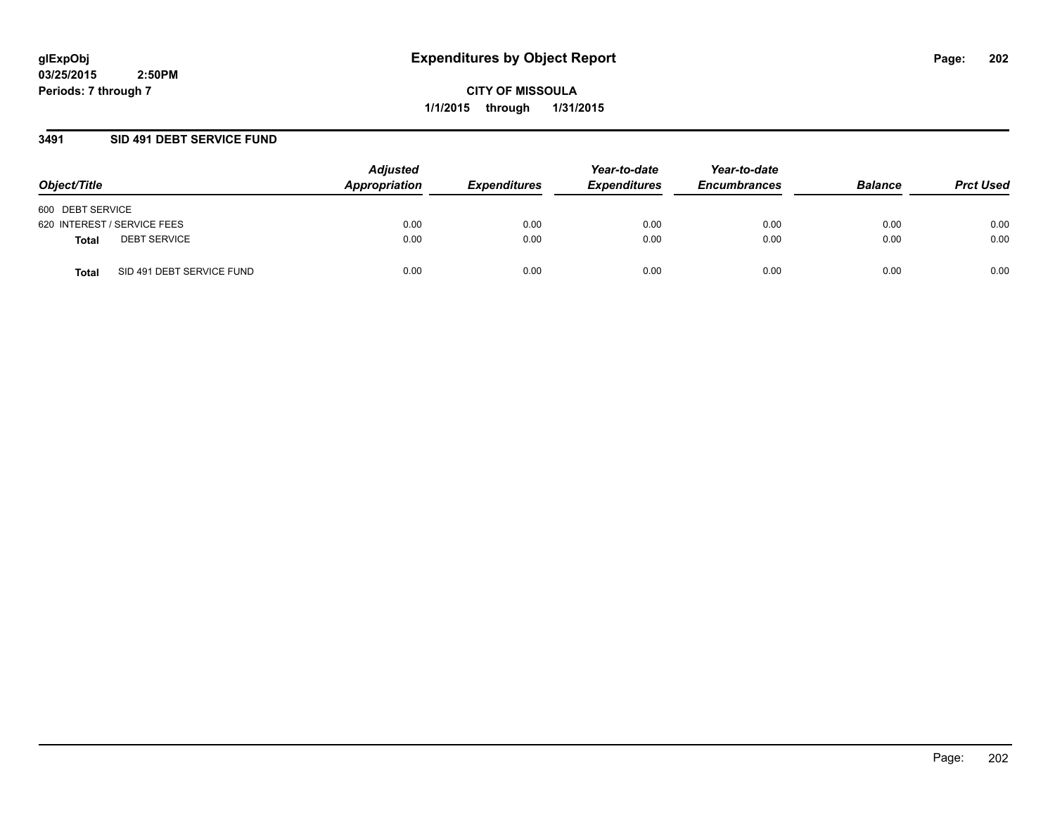**CITY OF MISSOULA 1/1/2015 through 1/31/2015**

### **3491 SID 491 DEBT SERVICE FUND**

| Object/Title                       | <b>Adjusted</b><br>Appropriation | <b>Expenditures</b> | Year-to-date<br><b>Expenditures</b> | Year-to-date<br><b>Encumbrances</b> | <b>Balance</b> | <b>Prct Used</b> |
|------------------------------------|----------------------------------|---------------------|-------------------------------------|-------------------------------------|----------------|------------------|
| 600 DEBT SERVICE                   |                                  |                     |                                     |                                     |                |                  |
| 620 INTEREST / SERVICE FEES        | 0.00                             | 0.00                | 0.00                                | 0.00                                | 0.00           | 0.00             |
| <b>DEBT SERVICE</b><br>Total       | 0.00                             | 0.00                | 0.00                                | 0.00                                | 0.00           | 0.00             |
| SID 491 DEBT SERVICE FUND<br>Total | 0.00                             | 0.00                | 0.00                                | 0.00                                | 0.00           | 0.00             |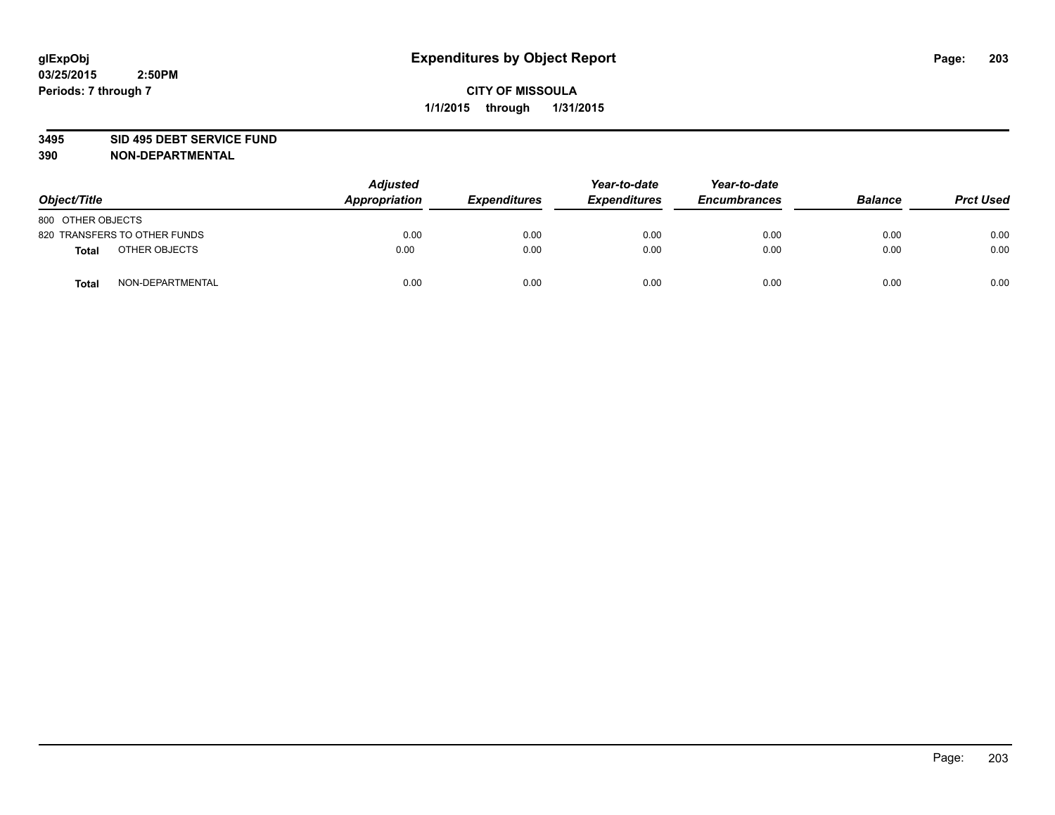#### **3495 SID 495 DEBT SERVICE FUND**

| Object/Title                     | <b>Adjusted</b><br><b>Appropriation</b> | <b>Expenditures</b> | Year-to-date<br><b>Expenditures</b> | Year-to-date<br><b>Encumbrances</b> | <b>Balance</b> | <b>Prct Used</b> |
|----------------------------------|-----------------------------------------|---------------------|-------------------------------------|-------------------------------------|----------------|------------------|
| 800 OTHER OBJECTS                |                                         |                     |                                     |                                     |                |                  |
| 820 TRANSFERS TO OTHER FUNDS     | 0.00                                    | 0.00                | 0.00                                | 0.00                                | 0.00           | 0.00             |
| OTHER OBJECTS<br><b>Total</b>    | 0.00                                    | 0.00                | 0.00                                | 0.00                                | 0.00           | 0.00             |
| NON-DEPARTMENTAL<br><b>Total</b> | 0.00                                    | 0.00                | 0.00                                | 0.00                                | 0.00           | 0.00             |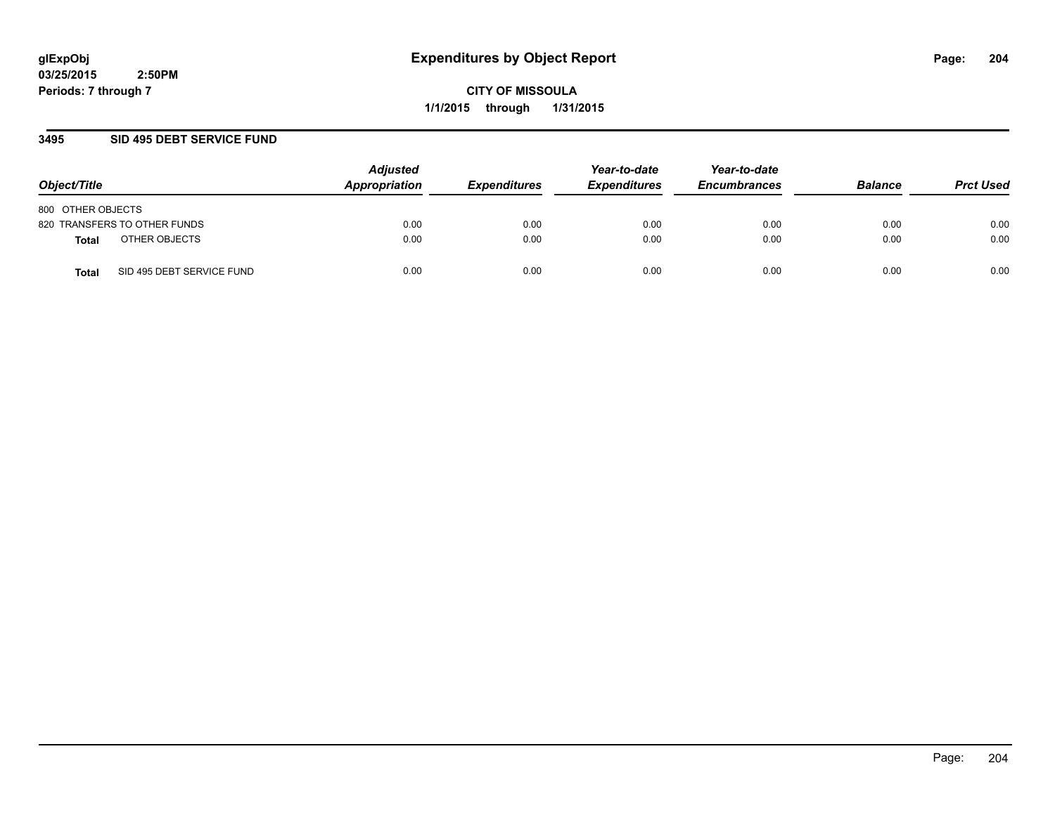**CITY OF MISSOULA 1/1/2015 through 1/31/2015**

### **3495 SID 495 DEBT SERVICE FUND**

| Object/Title                       | <b>Adjusted</b><br>Appropriation | <b>Expenditures</b> | Year-to-date<br><b>Expenditures</b> | Year-to-date<br><b>Encumbrances</b> | <b>Balance</b> | <b>Prct Used</b> |
|------------------------------------|----------------------------------|---------------------|-------------------------------------|-------------------------------------|----------------|------------------|
| 800 OTHER OBJECTS                  |                                  |                     |                                     |                                     |                |                  |
| 820 TRANSFERS TO OTHER FUNDS       | 0.00                             | 0.00                | 0.00                                | 0.00                                | 0.00           | 0.00             |
| OTHER OBJECTS<br>Total             | 0.00                             | 0.00                | 0.00                                | 0.00                                | 0.00           | 0.00             |
| SID 495 DEBT SERVICE FUND<br>Total | 0.00                             | 0.00                | 0.00                                | 0.00                                | 0.00           | 0.00             |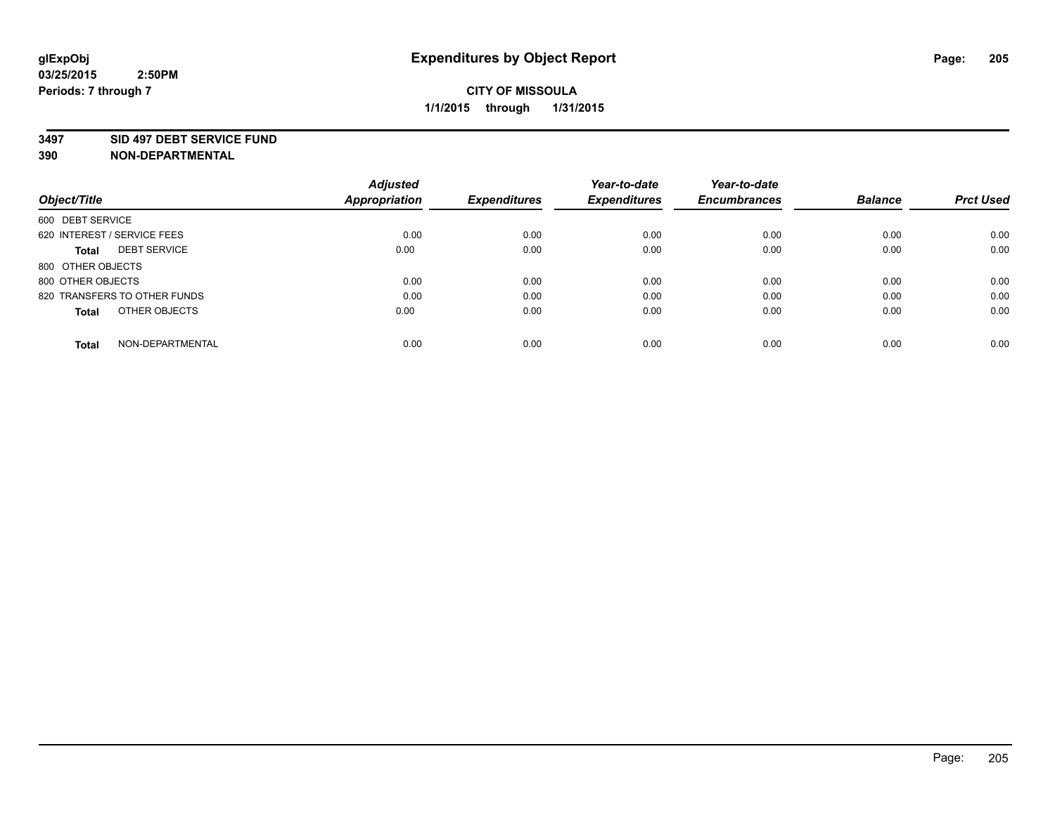#### **3497 SID 497 DEBT SERVICE FUND**

|                                     | <b>Adjusted</b>      |                     | Year-to-date        | Year-to-date        |                |                  |
|-------------------------------------|----------------------|---------------------|---------------------|---------------------|----------------|------------------|
| Object/Title                        | <b>Appropriation</b> | <b>Expenditures</b> | <b>Expenditures</b> | <b>Encumbrances</b> | <b>Balance</b> | <b>Prct Used</b> |
| 600 DEBT SERVICE                    |                      |                     |                     |                     |                |                  |
| 620 INTEREST / SERVICE FEES         | 0.00                 | 0.00                | 0.00                | 0.00                | 0.00           | 0.00             |
| <b>DEBT SERVICE</b><br><b>Total</b> | 0.00                 | 0.00                | 0.00                | 0.00                | 0.00           | 0.00             |
| 800 OTHER OBJECTS                   |                      |                     |                     |                     |                |                  |
| 800 OTHER OBJECTS                   | 0.00                 | 0.00                | 0.00                | 0.00                | 0.00           | 0.00             |
| 820 TRANSFERS TO OTHER FUNDS        | 0.00                 | 0.00                | 0.00                | 0.00                | 0.00           | 0.00             |
| OTHER OBJECTS<br><b>Total</b>       | 0.00                 | 0.00                | 0.00                | 0.00                | 0.00           | 0.00             |
| NON-DEPARTMENTAL<br>Total           | 0.00                 | 0.00                | 0.00                | 0.00                | 0.00           | 0.00             |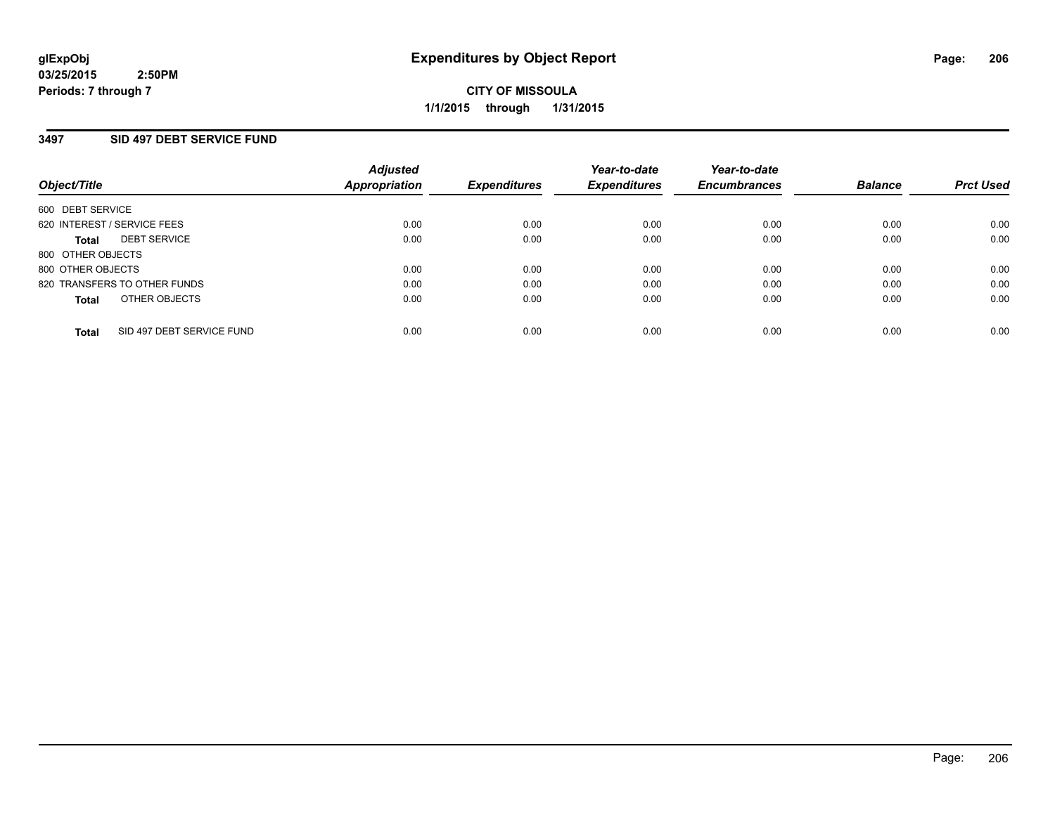### **3497 SID 497 DEBT SERVICE FUND**

| Object/Title                              | <b>Adjusted</b><br><b>Appropriation</b> | <b>Expenditures</b> | Year-to-date<br><b>Expenditures</b> | Year-to-date<br><b>Encumbrances</b> | <b>Balance</b> | <b>Prct Used</b> |
|-------------------------------------------|-----------------------------------------|---------------------|-------------------------------------|-------------------------------------|----------------|------------------|
| 600 DEBT SERVICE                          |                                         |                     |                                     |                                     |                |                  |
| 620 INTEREST / SERVICE FEES               | 0.00                                    | 0.00                | 0.00                                | 0.00                                | 0.00           | 0.00             |
| <b>DEBT SERVICE</b><br>Total              | 0.00                                    | 0.00                | 0.00                                | 0.00                                | 0.00           | 0.00             |
| 800 OTHER OBJECTS                         |                                         |                     |                                     |                                     |                |                  |
| 800 OTHER OBJECTS                         | 0.00                                    | 0.00                | 0.00                                | 0.00                                | 0.00           | 0.00             |
| 820 TRANSFERS TO OTHER FUNDS              | 0.00                                    | 0.00                | 0.00                                | 0.00                                | 0.00           | 0.00             |
| OTHER OBJECTS<br><b>Total</b>             | 0.00                                    | 0.00                | 0.00                                | 0.00                                | 0.00           | 0.00             |
| SID 497 DEBT SERVICE FUND<br><b>Total</b> | 0.00                                    | 0.00                | 0.00                                | 0.00                                | 0.00           | 0.00             |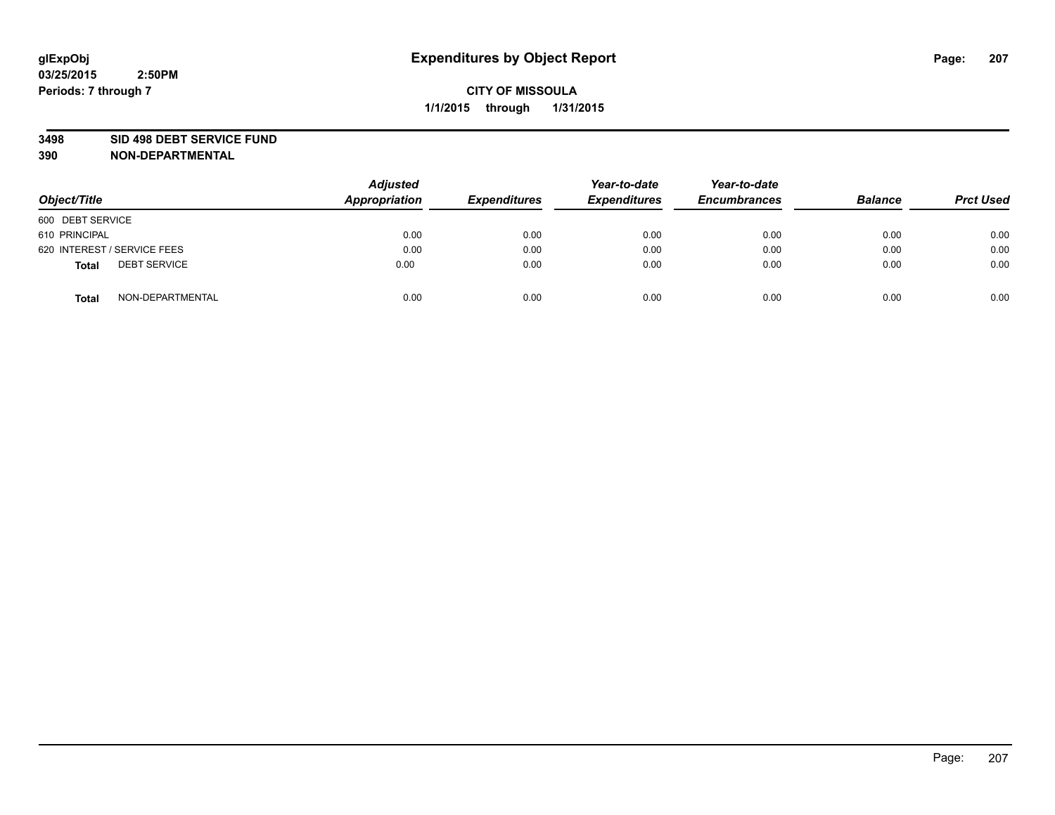#### **3498 SID 498 DEBT SERVICE FUND**

| Object/Title                        | <b>Adjusted</b><br>Appropriation | <b>Expenditures</b> | Year-to-date<br><b>Expenditures</b> | Year-to-date<br><b>Encumbrances</b> | <b>Balance</b> | <b>Prct Used</b> |
|-------------------------------------|----------------------------------|---------------------|-------------------------------------|-------------------------------------|----------------|------------------|
| 600 DEBT SERVICE                    |                                  |                     |                                     |                                     |                |                  |
| 610 PRINCIPAL                       | 0.00                             | 0.00                | 0.00                                | 0.00                                | 0.00           | 0.00             |
| 620 INTEREST / SERVICE FEES         | 0.00                             | 0.00                | 0.00                                | 0.00                                | 0.00           | 0.00             |
| <b>DEBT SERVICE</b><br><b>Total</b> | 0.00                             | 0.00                | 0.00                                | 0.00                                | 0.00           | 0.00             |
| NON-DEPARTMENTAL<br><b>Total</b>    | 0.00                             | 0.00                | 0.00                                | 0.00                                | 0.00           | 0.00             |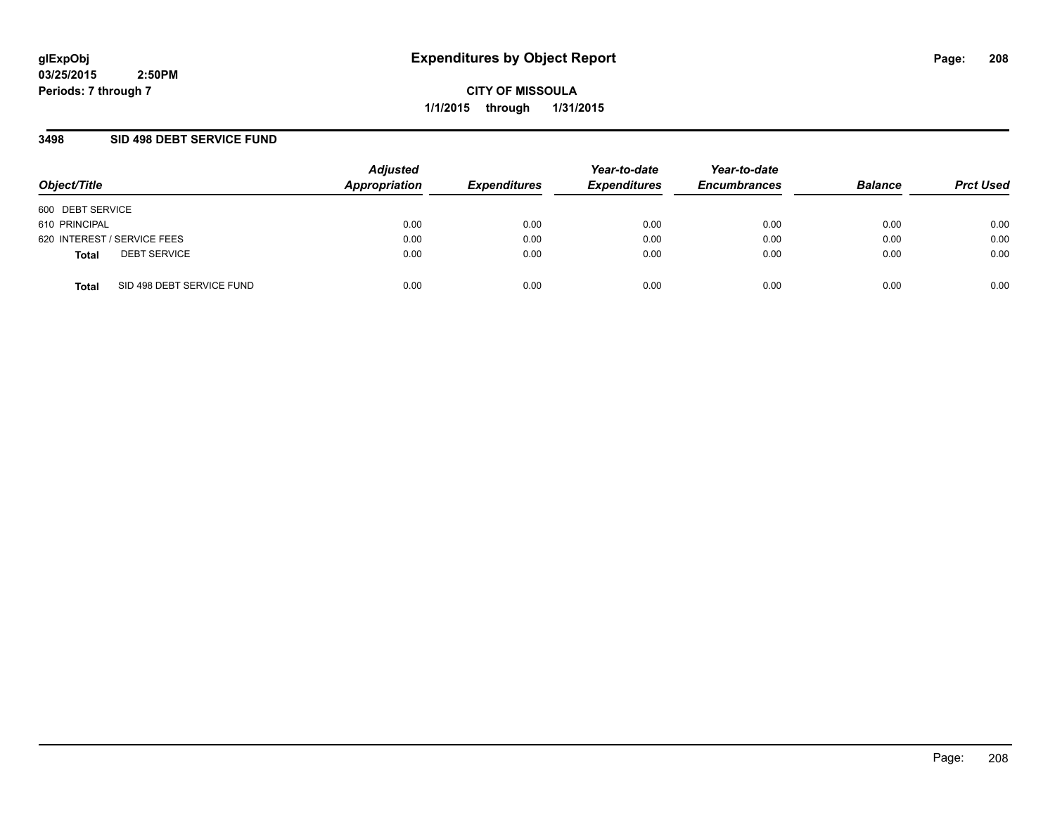**CITY OF MISSOULA 1/1/2015 through 1/31/2015**

### **3498 SID 498 DEBT SERVICE FUND**

| Object/Title                              | <b>Adjusted</b><br>Appropriation | <b>Expenditures</b> | Year-to-date<br><b>Expenditures</b> | Year-to-date<br><b>Encumbrances</b> | <b>Balance</b> | <b>Prct Used</b> |
|-------------------------------------------|----------------------------------|---------------------|-------------------------------------|-------------------------------------|----------------|------------------|
| 600 DEBT SERVICE                          |                                  |                     |                                     |                                     |                |                  |
| 610 PRINCIPAL                             | 0.00                             | 0.00                | 0.00                                | 0.00                                | 0.00           | 0.00             |
| 620 INTEREST / SERVICE FEES               | 0.00                             | 0.00                | 0.00                                | 0.00                                | 0.00           | 0.00             |
| <b>DEBT SERVICE</b><br><b>Total</b>       | 0.00                             | 0.00                | 0.00                                | 0.00                                | 0.00           | 0.00             |
| SID 498 DEBT SERVICE FUND<br><b>Total</b> | 0.00                             | 0.00                | 0.00                                | 0.00                                | 0.00           | 0.00             |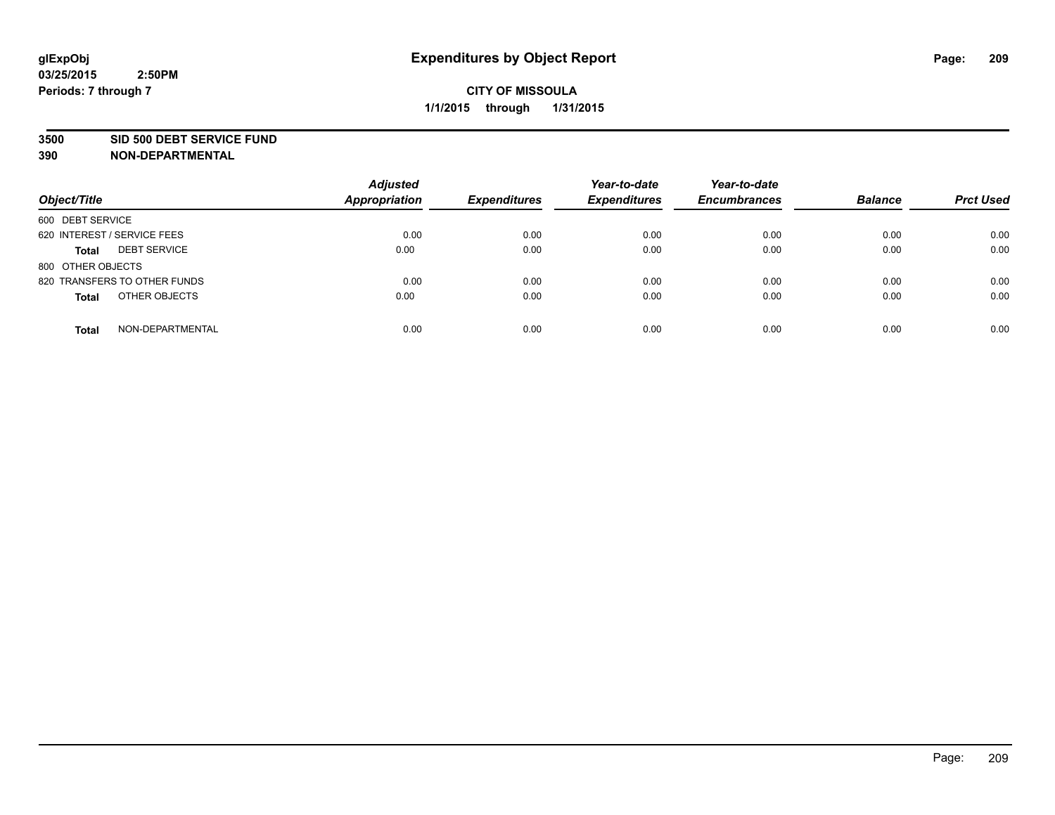#### **3500 SID 500 DEBT SERVICE FUND**

| Object/Title                        | <b>Adjusted</b><br><b>Appropriation</b> | <b>Expenditures</b> | Year-to-date<br><b>Expenditures</b> | Year-to-date<br><b>Encumbrances</b> | <b>Balance</b> | <b>Prct Used</b> |
|-------------------------------------|-----------------------------------------|---------------------|-------------------------------------|-------------------------------------|----------------|------------------|
| 600 DEBT SERVICE                    |                                         |                     |                                     |                                     |                |                  |
| 620 INTEREST / SERVICE FEES         | 0.00                                    | 0.00                | 0.00                                | 0.00                                | 0.00           | 0.00             |
| <b>DEBT SERVICE</b><br><b>Total</b> | 0.00                                    | 0.00                | 0.00                                | 0.00                                | 0.00           | 0.00             |
| 800 OTHER OBJECTS                   |                                         |                     |                                     |                                     |                |                  |
| 820 TRANSFERS TO OTHER FUNDS        | 0.00                                    | 0.00                | 0.00                                | 0.00                                | 0.00           | 0.00             |
| OTHER OBJECTS<br><b>Total</b>       | 0.00                                    | 0.00                | 0.00                                | 0.00                                | 0.00           | 0.00             |
| NON-DEPARTMENTAL<br><b>Total</b>    | 0.00                                    | 0.00                | 0.00                                | 0.00                                | 0.00           | 0.00             |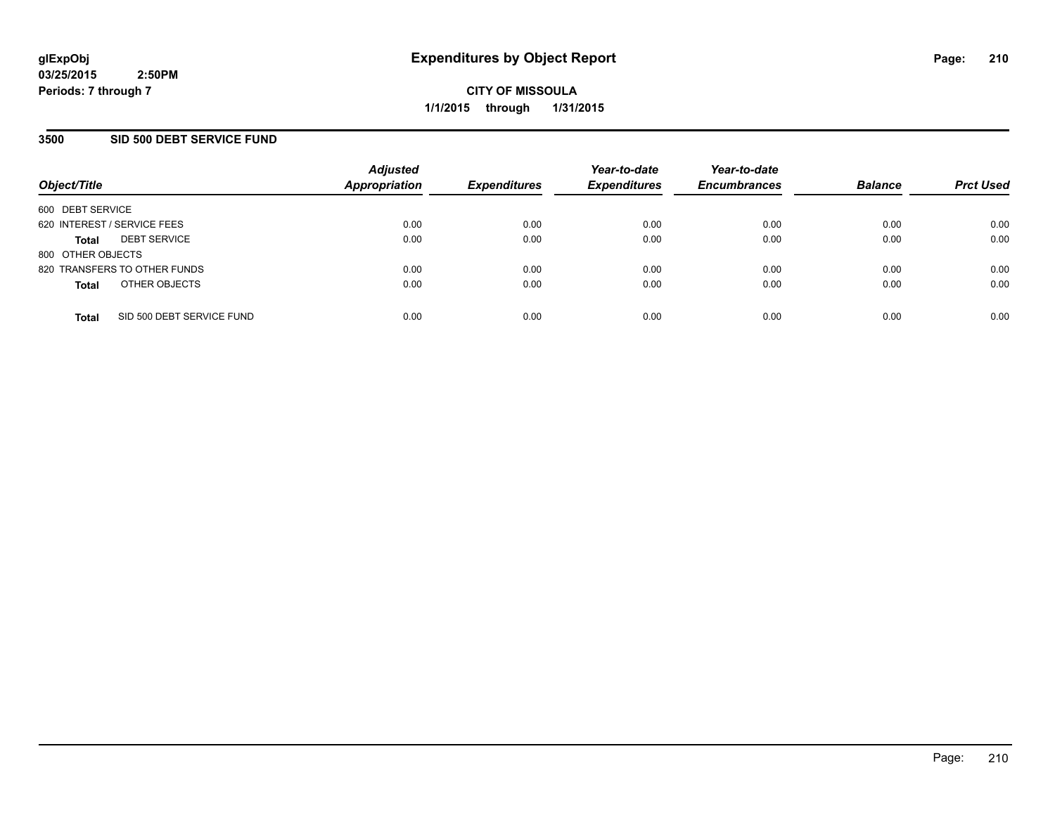### **3500 SID 500 DEBT SERVICE FUND**

| Object/Title                |                              | <b>Adjusted</b><br><b>Appropriation</b> | <b>Expenditures</b> | Year-to-date<br><b>Expenditures</b> | Year-to-date<br><b>Encumbrances</b> | <b>Balance</b> | <b>Prct Used</b> |
|-----------------------------|------------------------------|-----------------------------------------|---------------------|-------------------------------------|-------------------------------------|----------------|------------------|
| 600 DEBT SERVICE            |                              |                                         |                     |                                     |                                     |                |                  |
| 620 INTEREST / SERVICE FEES |                              | 0.00                                    | 0.00                | 0.00                                | 0.00                                | 0.00           | 0.00             |
| <b>Total</b>                | <b>DEBT SERVICE</b>          | 0.00                                    | 0.00                | 0.00                                | 0.00                                | 0.00           | 0.00             |
| 800 OTHER OBJECTS           |                              |                                         |                     |                                     |                                     |                |                  |
|                             | 820 TRANSFERS TO OTHER FUNDS | 0.00                                    | 0.00                | 0.00                                | 0.00                                | 0.00           | 0.00             |
| <b>Total</b>                | OTHER OBJECTS                | 0.00                                    | 0.00                | 0.00                                | 0.00                                | 0.00           | 0.00             |
| <b>Total</b>                | SID 500 DEBT SERVICE FUND    | 0.00                                    | 0.00                | 0.00                                | 0.00                                | 0.00           | 0.00             |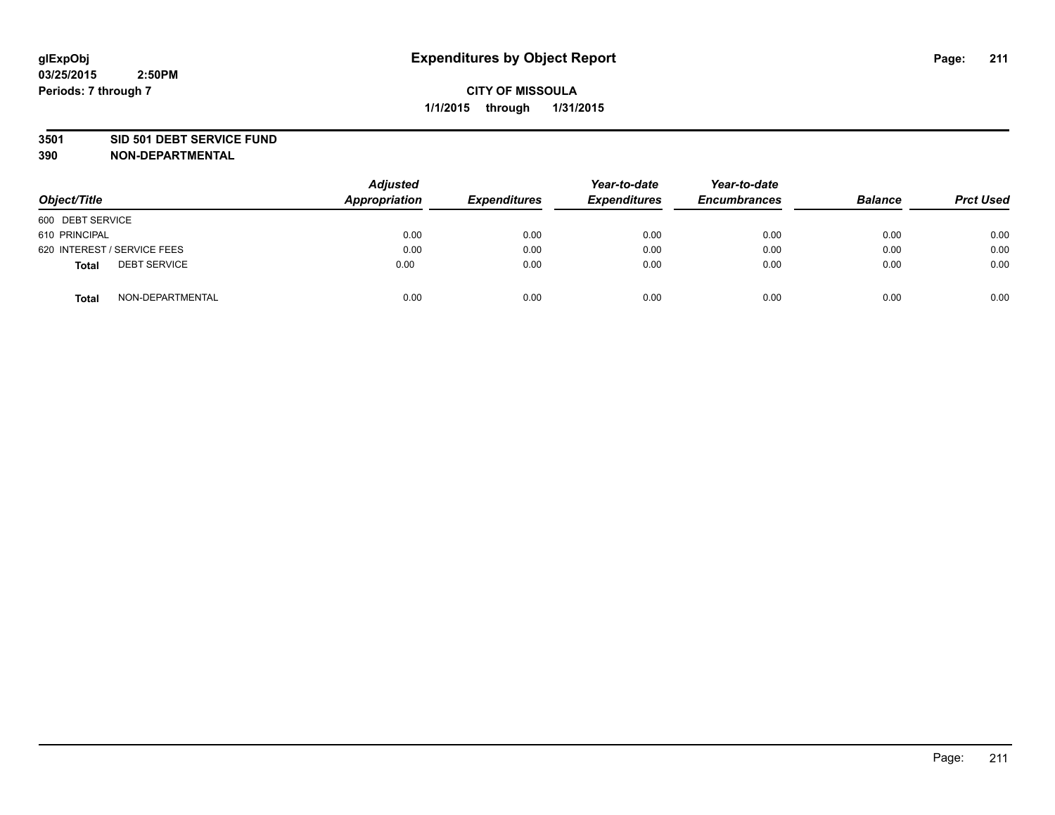#### **3501 SID 501 DEBT SERVICE FUND**

| Object/Title                 | <b>Adjusted</b><br><b>Appropriation</b> | <b>Expenditures</b> | Year-to-date<br><b>Expenditures</b> | Year-to-date<br><b>Encumbrances</b> | <b>Balance</b> | <b>Prct Used</b> |
|------------------------------|-----------------------------------------|---------------------|-------------------------------------|-------------------------------------|----------------|------------------|
| 600 DEBT SERVICE             |                                         |                     |                                     |                                     |                |                  |
| 610 PRINCIPAL                | 0.00                                    | 0.00                | 0.00                                | 0.00                                | 0.00           | 0.00             |
| 620 INTEREST / SERVICE FEES  | 0.00                                    | 0.00                | 0.00                                | 0.00                                | 0.00           | 0.00             |
| <b>DEBT SERVICE</b><br>Total | 0.00                                    | 0.00                | 0.00                                | 0.00                                | 0.00           | 0.00             |
| NON-DEPARTMENTAL<br>Total    | 0.00                                    | 0.00                | 0.00                                | 0.00                                | 0.00           | 0.00             |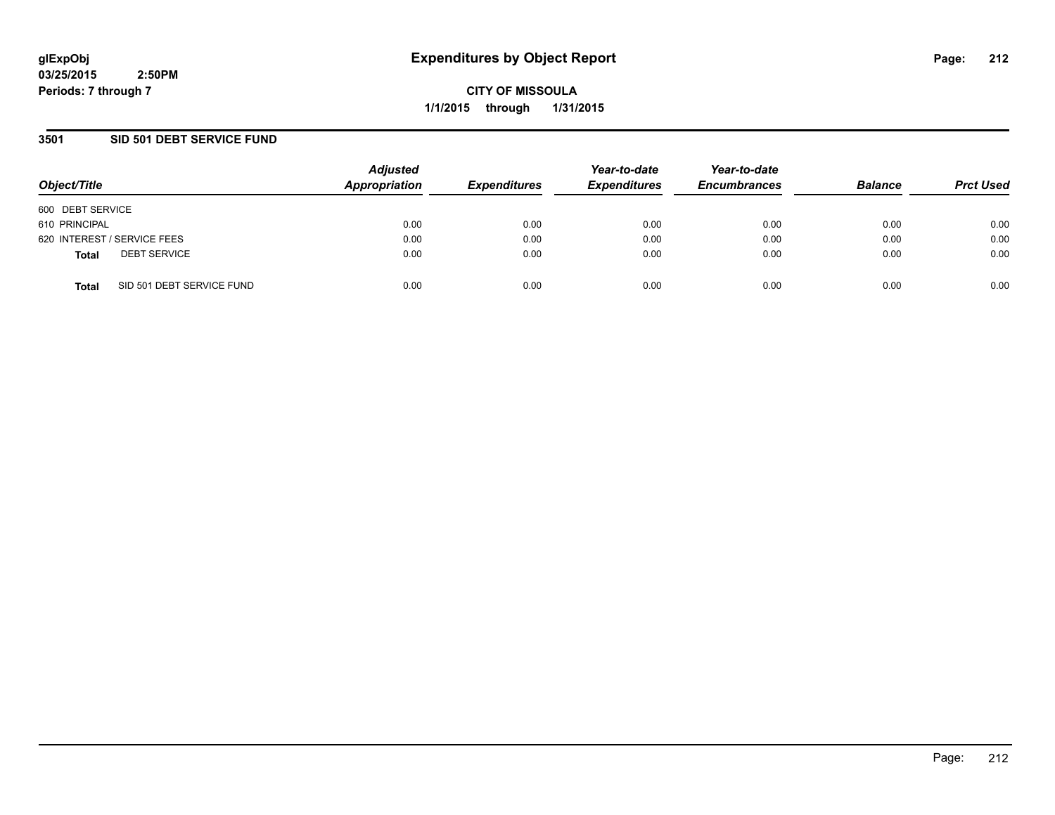**CITY OF MISSOULA 1/1/2015 through 1/31/2015**

### **3501 SID 501 DEBT SERVICE FUND**

| Object/Title                              | <b>Adjusted</b><br>Appropriation | <b>Expenditures</b> | Year-to-date<br><b>Expenditures</b> | Year-to-date<br><b>Encumbrances</b> | <b>Balance</b> | <b>Prct Used</b> |
|-------------------------------------------|----------------------------------|---------------------|-------------------------------------|-------------------------------------|----------------|------------------|
| 600 DEBT SERVICE                          |                                  |                     |                                     |                                     |                |                  |
| 610 PRINCIPAL                             | 0.00                             | 0.00                | 0.00                                | 0.00                                | 0.00           | 0.00             |
| 620 INTEREST / SERVICE FEES               | 0.00                             | 0.00                | 0.00                                | 0.00                                | 0.00           | 0.00             |
| <b>DEBT SERVICE</b><br><b>Total</b>       | 0.00                             | 0.00                | 0.00                                | 0.00                                | 0.00           | 0.00             |
| SID 501 DEBT SERVICE FUND<br><b>Total</b> | 0.00                             | 0.00                | 0.00                                | 0.00                                | 0.00           | 0.00             |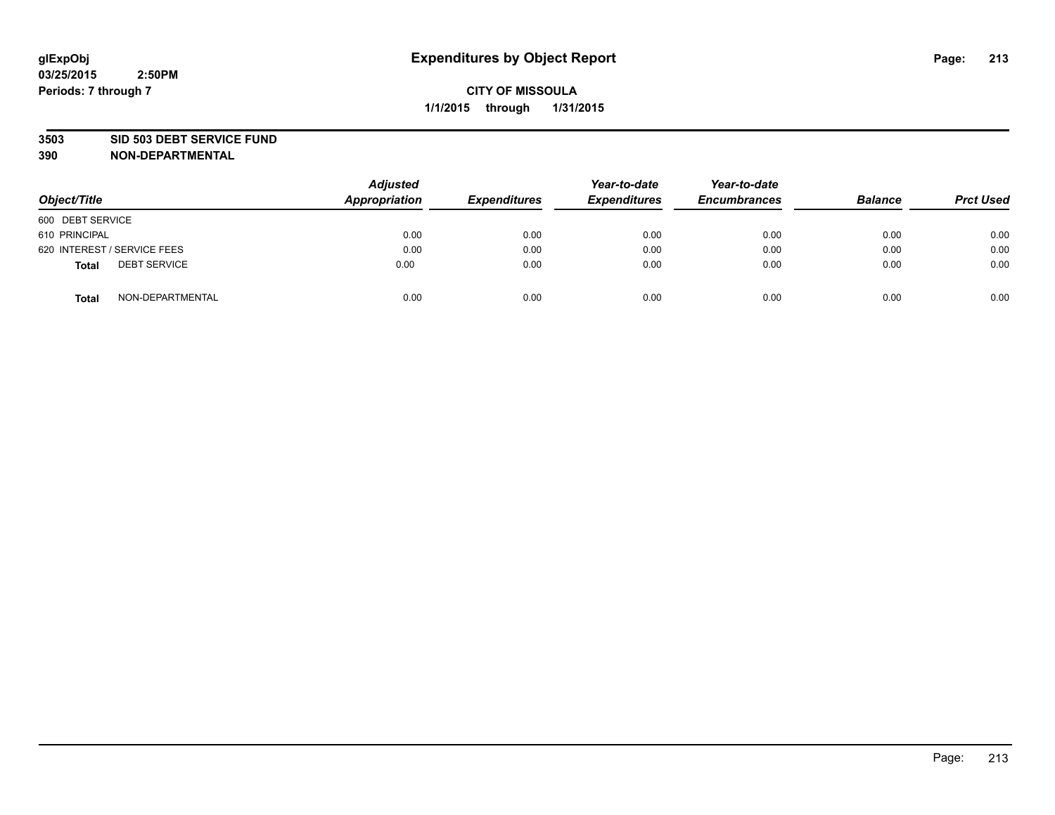#### **3503 SID 503 DEBT SERVICE FUND**

| Object/Title                 | <b>Adjusted</b><br><b>Appropriation</b> | <b>Expenditures</b> | Year-to-date<br><b>Expenditures</b> | Year-to-date<br><b>Encumbrances</b> | <b>Balance</b> | <b>Prct Used</b> |
|------------------------------|-----------------------------------------|---------------------|-------------------------------------|-------------------------------------|----------------|------------------|
| 600 DEBT SERVICE             |                                         |                     |                                     |                                     |                |                  |
| 610 PRINCIPAL                | 0.00                                    | 0.00                | 0.00                                | 0.00                                | 0.00           | 0.00             |
| 620 INTEREST / SERVICE FEES  | 0.00                                    | 0.00                | 0.00                                | 0.00                                | 0.00           | 0.00             |
| <b>DEBT SERVICE</b><br>Total | 0.00                                    | 0.00                | 0.00                                | 0.00                                | 0.00           | 0.00             |
| NON-DEPARTMENTAL<br>Total    | 0.00                                    | 0.00                | 0.00                                | 0.00                                | 0.00           | 0.00             |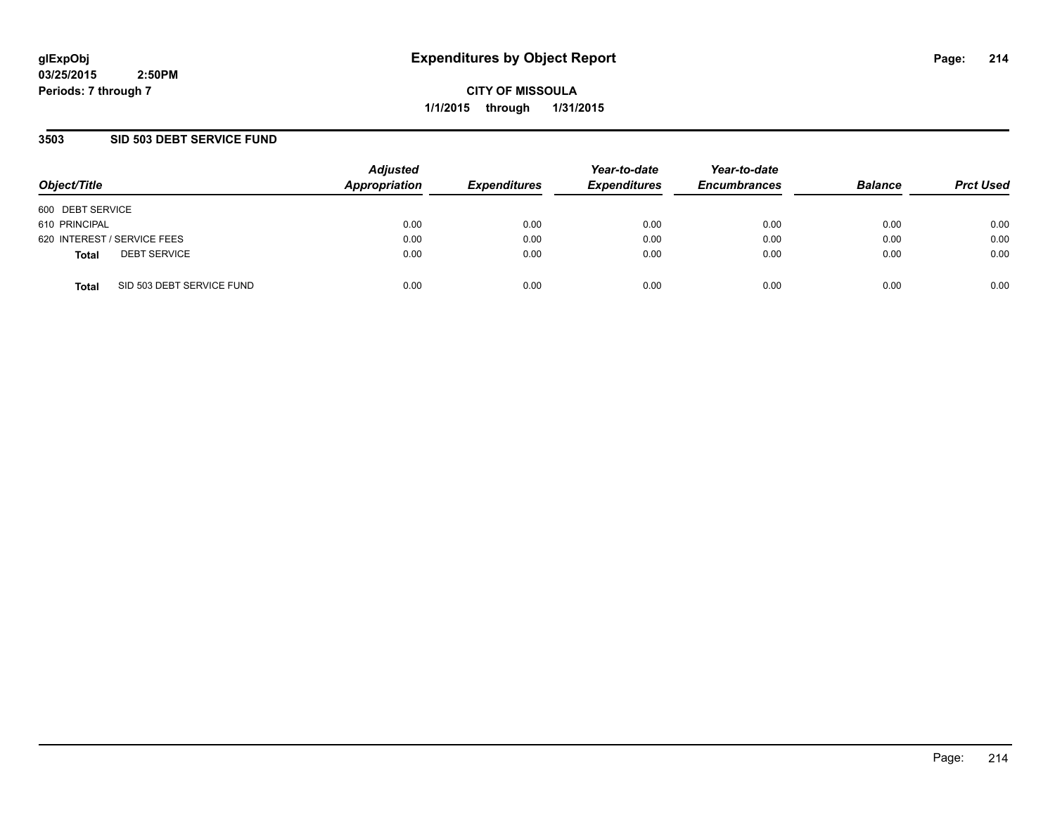**CITY OF MISSOULA 1/1/2015 through 1/31/2015**

### **3503 SID 503 DEBT SERVICE FUND**

| Object/Title                              | <b>Adjusted</b><br>Appropriation | <b>Expenditures</b> | Year-to-date<br><b>Expenditures</b> | Year-to-date<br><b>Encumbrances</b> | <b>Balance</b> | <b>Prct Used</b> |
|-------------------------------------------|----------------------------------|---------------------|-------------------------------------|-------------------------------------|----------------|------------------|
| 600 DEBT SERVICE                          |                                  |                     |                                     |                                     |                |                  |
| 610 PRINCIPAL                             | 0.00                             | 0.00                | 0.00                                | 0.00                                | 0.00           | 0.00             |
| 620 INTEREST / SERVICE FEES               | 0.00                             | 0.00                | 0.00                                | 0.00                                | 0.00           | 0.00             |
| <b>DEBT SERVICE</b><br><b>Total</b>       | 0.00                             | 0.00                | 0.00                                | 0.00                                | 0.00           | 0.00             |
| SID 503 DEBT SERVICE FUND<br><b>Total</b> | 0.00                             | 0.00                | 0.00                                | 0.00                                | 0.00           | 0.00             |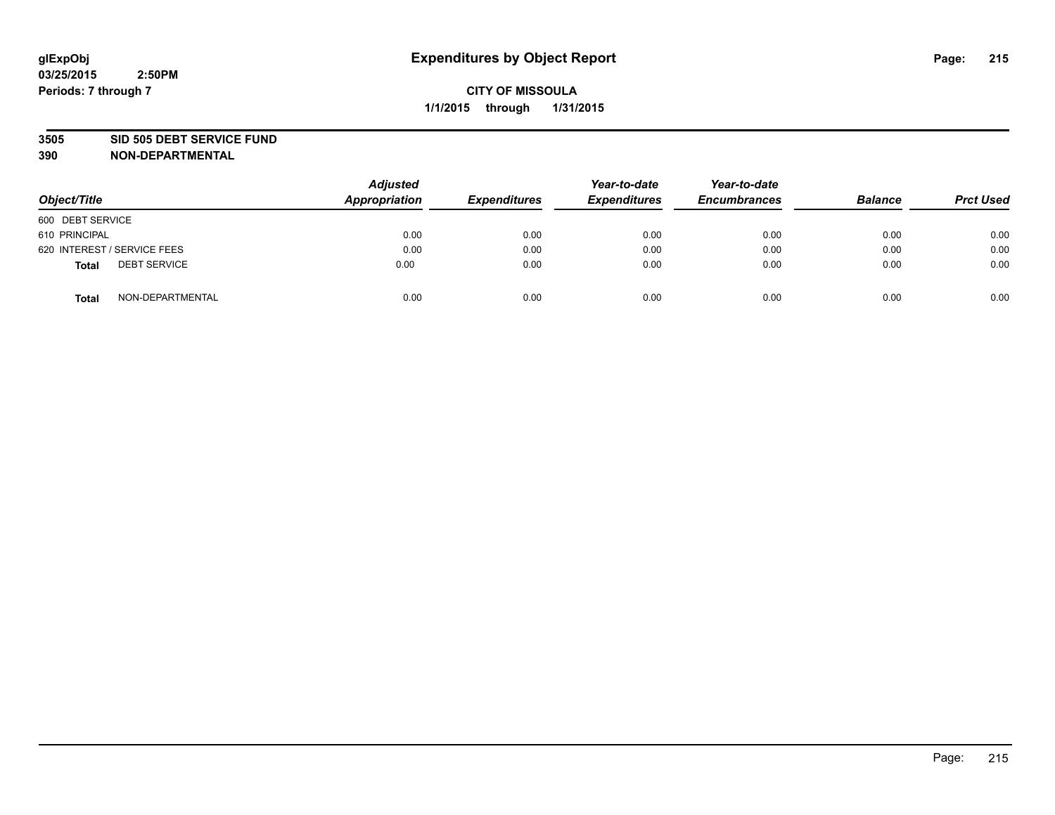#### **3505 SID 505 DEBT SERVICE FUND**

| Object/Title                        | <b>Adjusted</b><br>Appropriation | <b>Expenditures</b> | Year-to-date<br><b>Expenditures</b> | Year-to-date<br><b>Encumbrances</b> | <b>Balance</b> | <b>Prct Used</b> |
|-------------------------------------|----------------------------------|---------------------|-------------------------------------|-------------------------------------|----------------|------------------|
| 600 DEBT SERVICE                    |                                  |                     |                                     |                                     |                |                  |
| 610 PRINCIPAL                       | 0.00                             | 0.00                | 0.00                                | 0.00                                | 0.00           | 0.00             |
| 620 INTEREST / SERVICE FEES         | 0.00                             | 0.00                | 0.00                                | 0.00                                | 0.00           | 0.00             |
| <b>DEBT SERVICE</b><br><b>Total</b> | 0.00                             | 0.00                | 0.00                                | 0.00                                | 0.00           | 0.00             |
| NON-DEPARTMENTAL<br><b>Total</b>    | 0.00                             | 0.00                | 0.00                                | 0.00                                | 0.00           | 0.00             |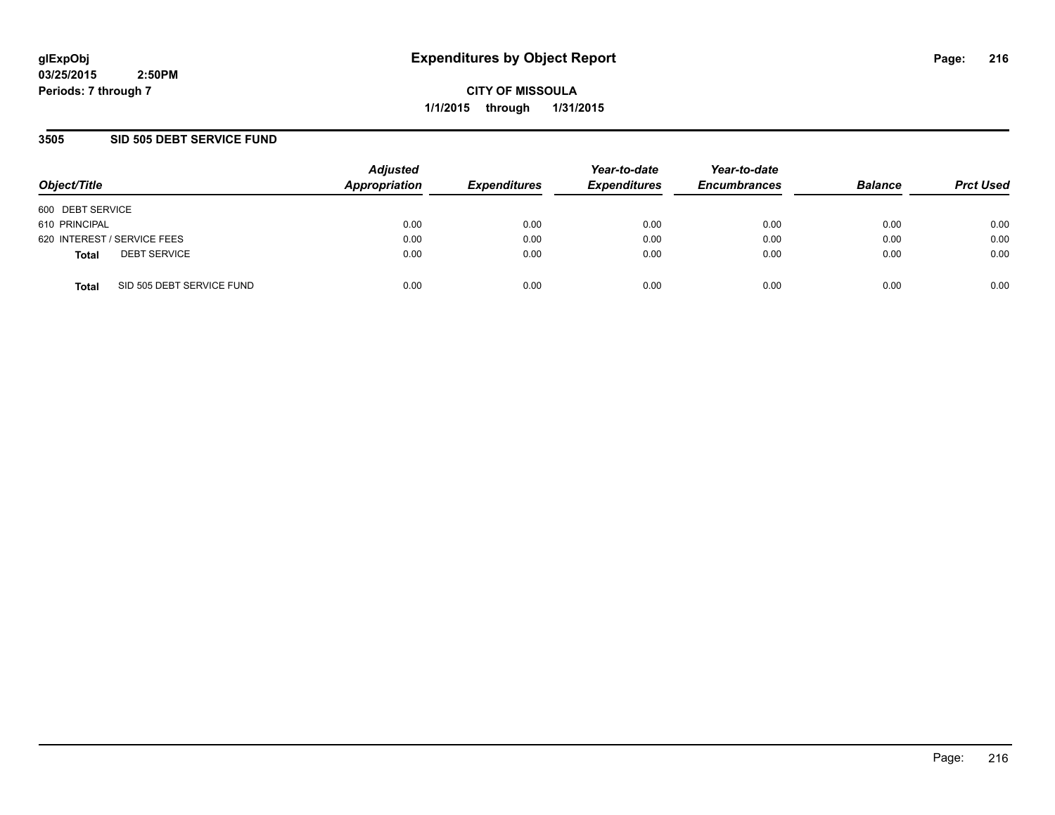**CITY OF MISSOULA 1/1/2015 through 1/31/2015**

### **3505 SID 505 DEBT SERVICE FUND**

| Object/Title                              | <b>Adjusted</b><br>Appropriation | <b>Expenditures</b> | Year-to-date<br><b>Expenditures</b> | Year-to-date<br><b>Encumbrances</b> | <b>Balance</b> | <b>Prct Used</b> |
|-------------------------------------------|----------------------------------|---------------------|-------------------------------------|-------------------------------------|----------------|------------------|
| 600 DEBT SERVICE                          |                                  |                     |                                     |                                     |                |                  |
| 610 PRINCIPAL                             | 0.00                             | 0.00                | 0.00                                | 0.00                                | 0.00           | 0.00             |
| 620 INTEREST / SERVICE FEES               | 0.00                             | 0.00                | 0.00                                | 0.00                                | 0.00           | 0.00             |
| <b>DEBT SERVICE</b><br><b>Total</b>       | 0.00                             | 0.00                | 0.00                                | 0.00                                | 0.00           | 0.00             |
| SID 505 DEBT SERVICE FUND<br><b>Total</b> | 0.00                             | 0.00                | 0.00                                | 0.00                                | 0.00           | 0.00             |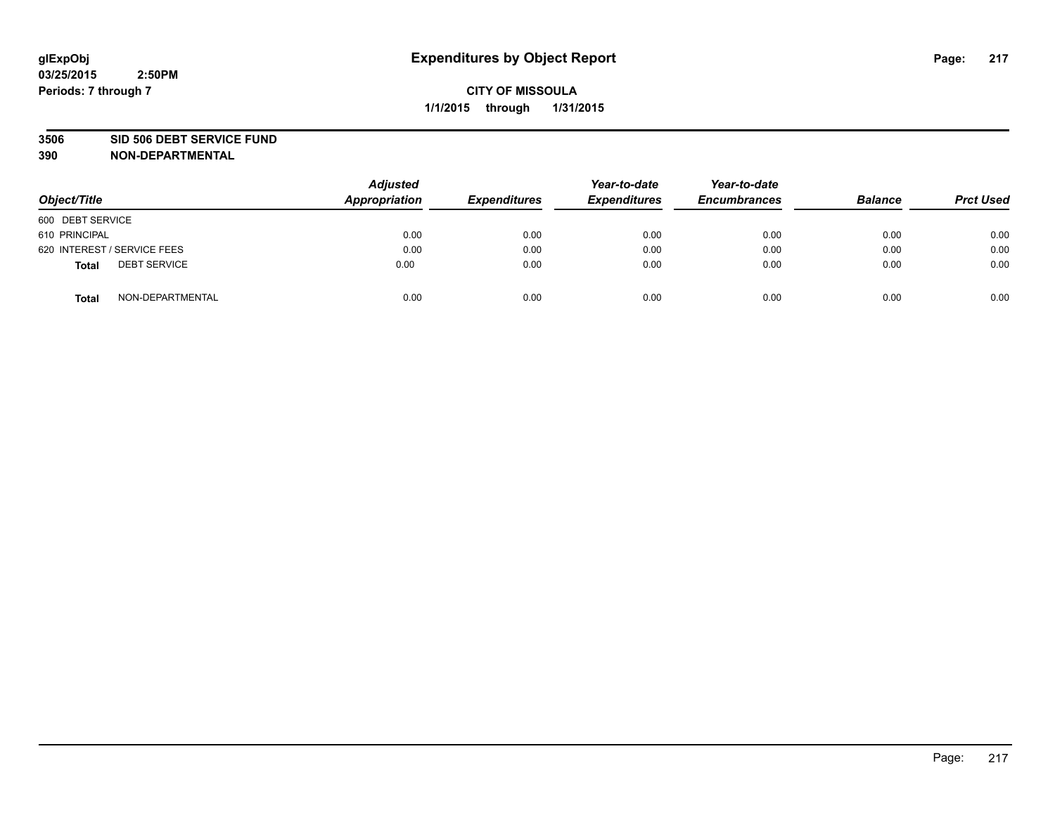#### **3506 SID 506 DEBT SERVICE FUND**

| Object/Title                        | <b>Adjusted</b><br><b>Appropriation</b> | <b>Expenditures</b> | Year-to-date<br><b>Expenditures</b> | Year-to-date<br><b>Encumbrances</b> | <b>Balance</b> | <b>Prct Used</b> |
|-------------------------------------|-----------------------------------------|---------------------|-------------------------------------|-------------------------------------|----------------|------------------|
| 600 DEBT SERVICE                    |                                         |                     |                                     |                                     |                |                  |
| 610 PRINCIPAL                       | 0.00                                    | 0.00                | 0.00                                | 0.00                                | 0.00           | 0.00             |
| 620 INTEREST / SERVICE FEES         | 0.00                                    | 0.00                | 0.00                                | 0.00                                | 0.00           | 0.00             |
| <b>DEBT SERVICE</b><br><b>Total</b> | 0.00                                    | 0.00                | 0.00                                | 0.00                                | 0.00           | 0.00             |
| NON-DEPARTMENTAL<br><b>Total</b>    | 0.00                                    | 0.00                | 0.00                                | 0.00                                | 0.00           | 0.00             |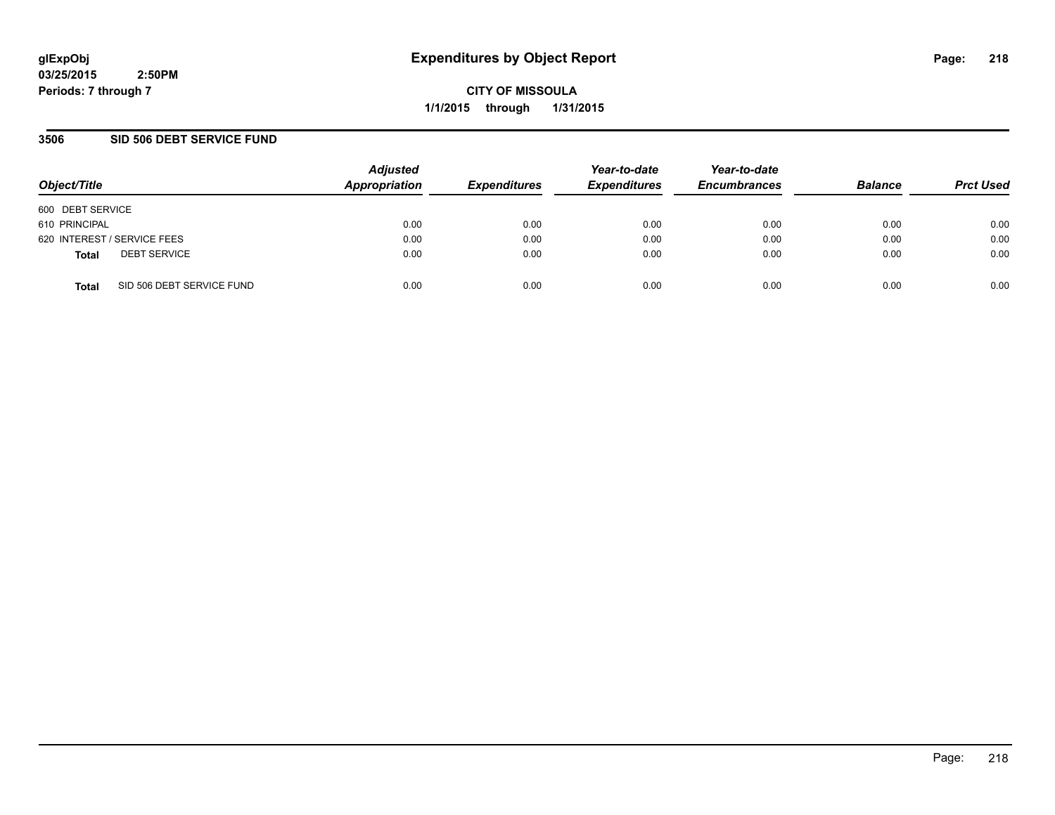**CITY OF MISSOULA 1/1/2015 through 1/31/2015**

### **3506 SID 506 DEBT SERVICE FUND**

| Object/Title                              | <b>Adjusted</b><br>Appropriation | <b>Expenditures</b> | Year-to-date<br><b>Expenditures</b> | Year-to-date<br><b>Encumbrances</b> | <b>Balance</b> | <b>Prct Used</b> |
|-------------------------------------------|----------------------------------|---------------------|-------------------------------------|-------------------------------------|----------------|------------------|
| 600 DEBT SERVICE                          |                                  |                     |                                     |                                     |                |                  |
| 610 PRINCIPAL                             | 0.00                             | 0.00                | 0.00                                | 0.00                                | 0.00           | 0.00             |
| 620 INTEREST / SERVICE FEES               | 0.00                             | 0.00                | 0.00                                | 0.00                                | 0.00           | 0.00             |
| <b>DEBT SERVICE</b><br><b>Total</b>       | 0.00                             | 0.00                | 0.00                                | 0.00                                | 0.00           | 0.00             |
| SID 506 DEBT SERVICE FUND<br><b>Total</b> | 0.00                             | 0.00                | 0.00                                | 0.00                                | 0.00           | 0.00             |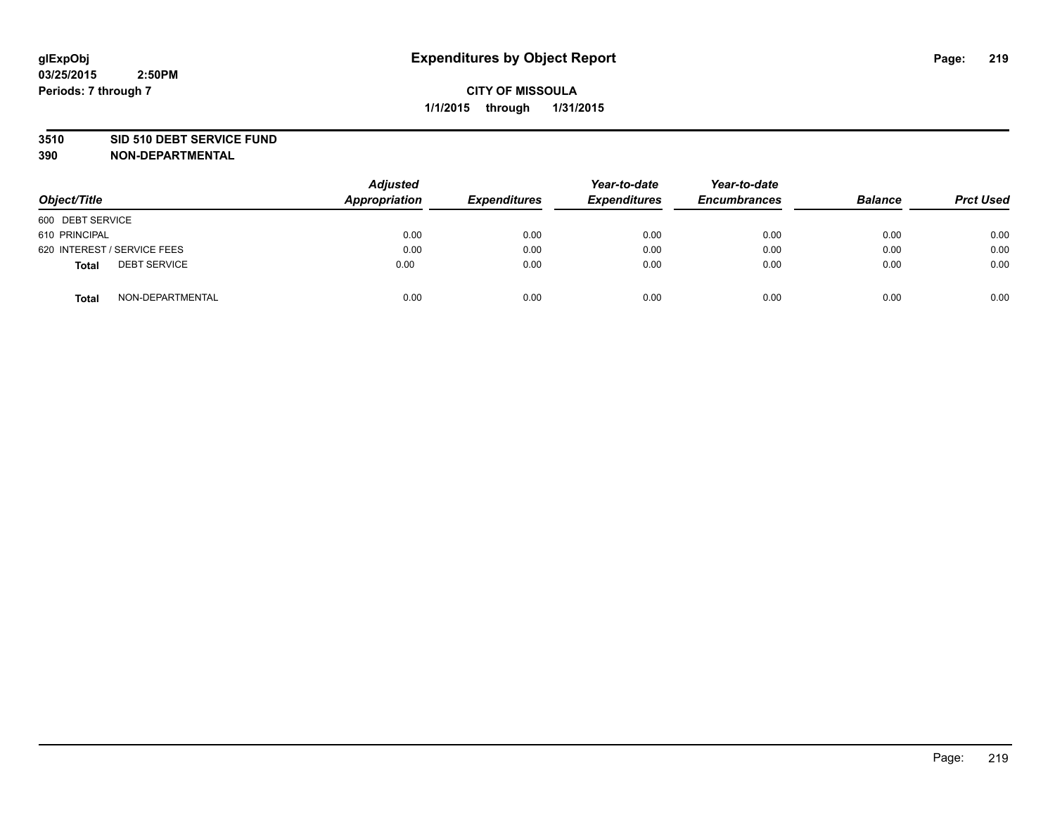#### **3510 SID 510 DEBT SERVICE FUND**

| Object/Title                        | <b>Adjusted</b><br>Appropriation | <b>Expenditures</b> | Year-to-date<br><b>Expenditures</b> | Year-to-date<br><b>Encumbrances</b> | <b>Balance</b> | <b>Prct Used</b> |
|-------------------------------------|----------------------------------|---------------------|-------------------------------------|-------------------------------------|----------------|------------------|
| 600 DEBT SERVICE                    |                                  |                     |                                     |                                     |                |                  |
| 610 PRINCIPAL                       | 0.00                             | 0.00                | 0.00                                | 0.00                                | 0.00           | 0.00             |
| 620 INTEREST / SERVICE FEES         | 0.00                             | 0.00                | 0.00                                | 0.00                                | 0.00           | 0.00             |
| <b>DEBT SERVICE</b><br><b>Total</b> | 0.00                             | 0.00                | 0.00                                | 0.00                                | 0.00           | 0.00             |
| NON-DEPARTMENTAL<br><b>Total</b>    | 0.00                             | 0.00                | 0.00                                | 0.00                                | 0.00           | 0.00             |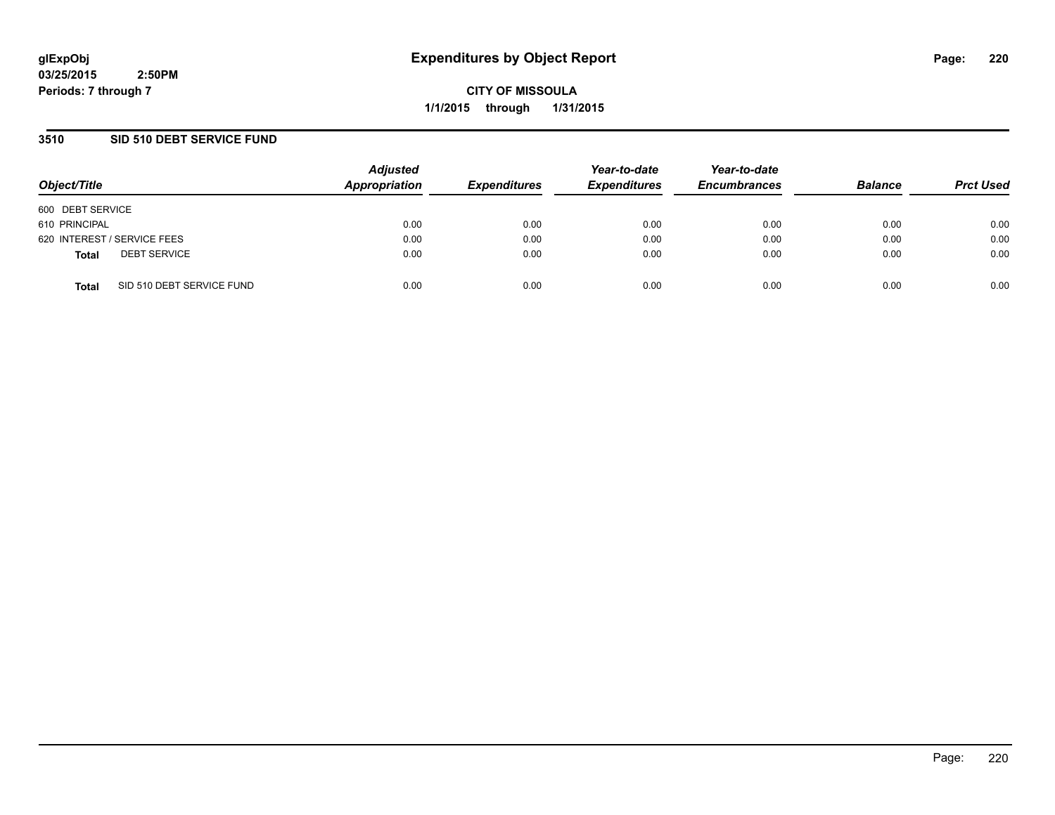**CITY OF MISSOULA 1/1/2015 through 1/31/2015**

### **3510 SID 510 DEBT SERVICE FUND**

| Object/Title                              | <b>Adjusted</b><br>Appropriation | <b>Expenditures</b> | Year-to-date<br><b>Expenditures</b> | Year-to-date<br><b>Encumbrances</b> | <b>Balance</b> | <b>Prct Used</b> |
|-------------------------------------------|----------------------------------|---------------------|-------------------------------------|-------------------------------------|----------------|------------------|
| 600 DEBT SERVICE                          |                                  |                     |                                     |                                     |                |                  |
| 610 PRINCIPAL                             | 0.00                             | 0.00                | 0.00                                | 0.00                                | 0.00           | 0.00             |
| 620 INTEREST / SERVICE FEES               | 0.00                             | 0.00                | 0.00                                | 0.00                                | 0.00           | 0.00             |
| <b>DEBT SERVICE</b><br><b>Total</b>       | 0.00                             | 0.00                | 0.00                                | 0.00                                | 0.00           | 0.00             |
| SID 510 DEBT SERVICE FUND<br><b>Total</b> | 0.00                             | 0.00                | 0.00                                | 0.00                                | 0.00           | 0.00             |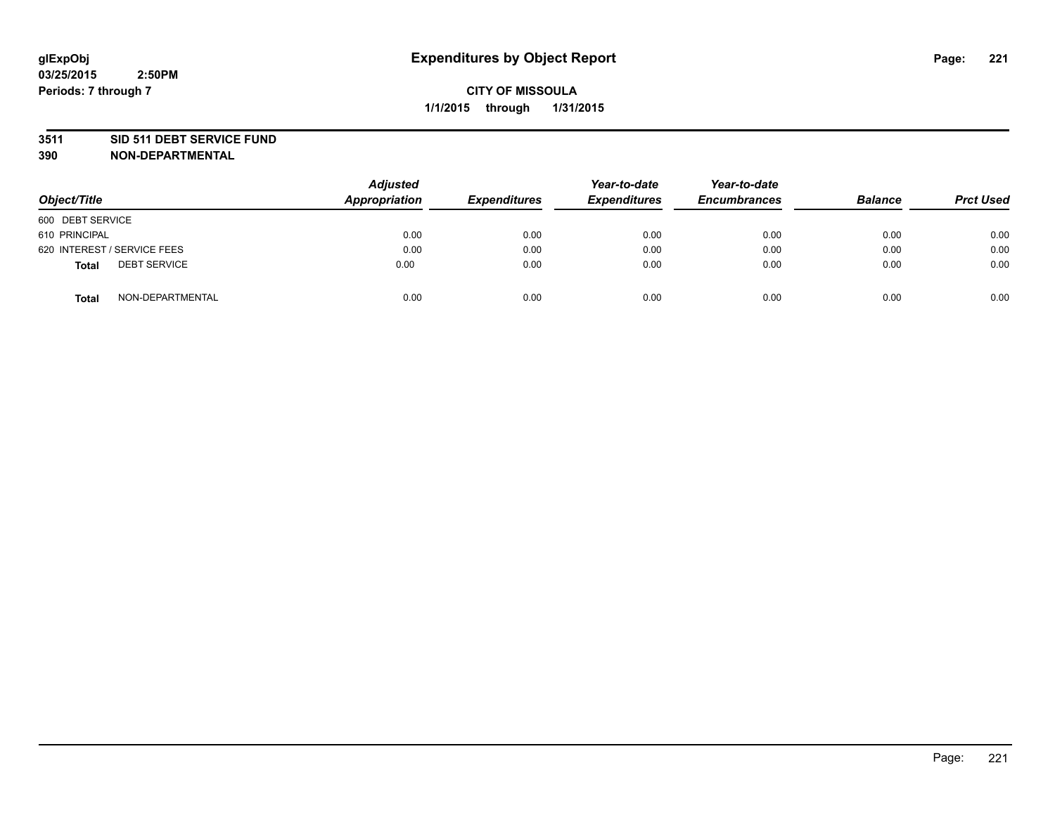#### **3511 SID 511 DEBT SERVICE FUND**

| Object/Title                        | <b>Adjusted</b><br>Appropriation | <b>Expenditures</b> | Year-to-date<br><b>Expenditures</b> | Year-to-date<br><b>Encumbrances</b> | <b>Balance</b> | <b>Prct Used</b> |
|-------------------------------------|----------------------------------|---------------------|-------------------------------------|-------------------------------------|----------------|------------------|
| 600 DEBT SERVICE                    |                                  |                     |                                     |                                     |                |                  |
| 610 PRINCIPAL                       | 0.00                             | 0.00                | 0.00                                | 0.00                                | 0.00           | 0.00             |
| 620 INTEREST / SERVICE FEES         | 0.00                             | 0.00                | 0.00                                | 0.00                                | 0.00           | 0.00             |
| <b>DEBT SERVICE</b><br><b>Total</b> | 0.00                             | 0.00                | 0.00                                | 0.00                                | 0.00           | 0.00             |
| NON-DEPARTMENTAL<br><b>Total</b>    | 0.00                             | 0.00                | 0.00                                | 0.00                                | 0.00           | 0.00             |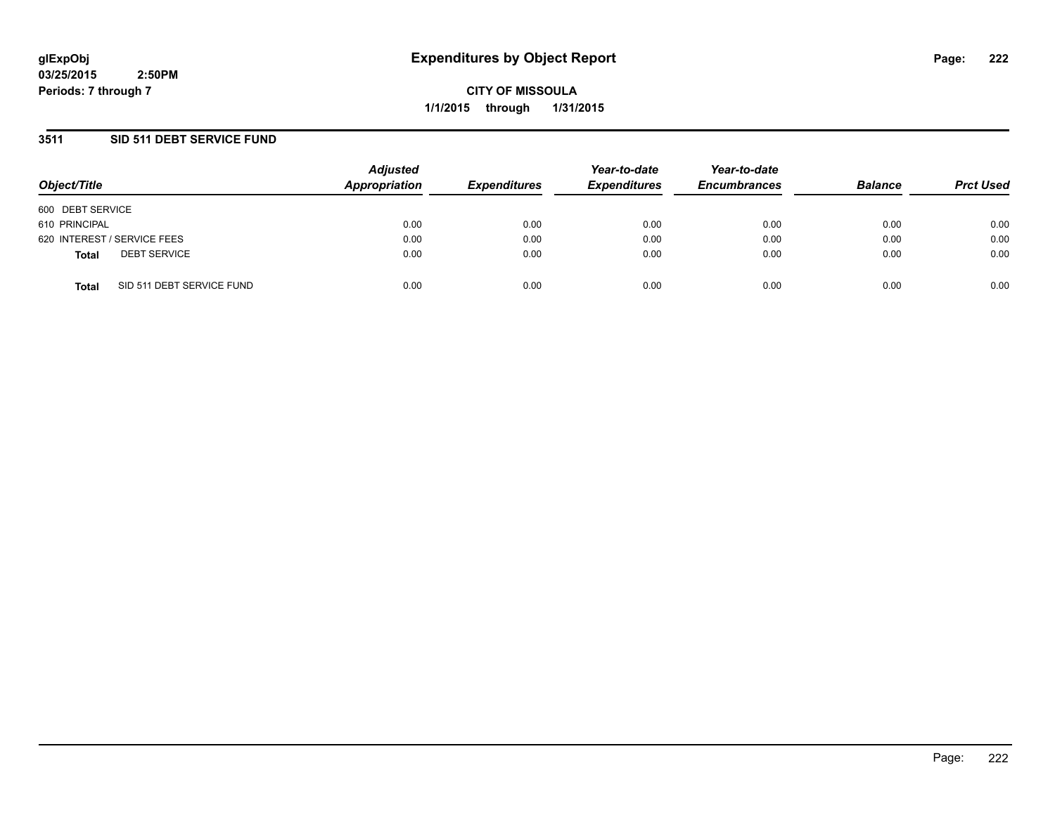**CITY OF MISSOULA 1/1/2015 through 1/31/2015**

### **3511 SID 511 DEBT SERVICE FUND**

| Object/Title                              | <b>Adjusted</b><br>Appropriation | <b>Expenditures</b> | Year-to-date<br><b>Expenditures</b> | Year-to-date<br><b>Encumbrances</b> | <b>Balance</b> | <b>Prct Used</b> |
|-------------------------------------------|----------------------------------|---------------------|-------------------------------------|-------------------------------------|----------------|------------------|
| 600 DEBT SERVICE                          |                                  |                     |                                     |                                     |                |                  |
| 610 PRINCIPAL                             | 0.00                             | 0.00                | 0.00                                | 0.00                                | 0.00           | 0.00             |
| 620 INTEREST / SERVICE FEES               | 0.00                             | 0.00                | 0.00                                | 0.00                                | 0.00           | 0.00             |
| <b>DEBT SERVICE</b><br><b>Total</b>       | 0.00                             | 0.00                | 0.00                                | 0.00                                | 0.00           | 0.00             |
| SID 511 DEBT SERVICE FUND<br><b>Total</b> | 0.00                             | 0.00                | 0.00                                | 0.00                                | 0.00           | 0.00             |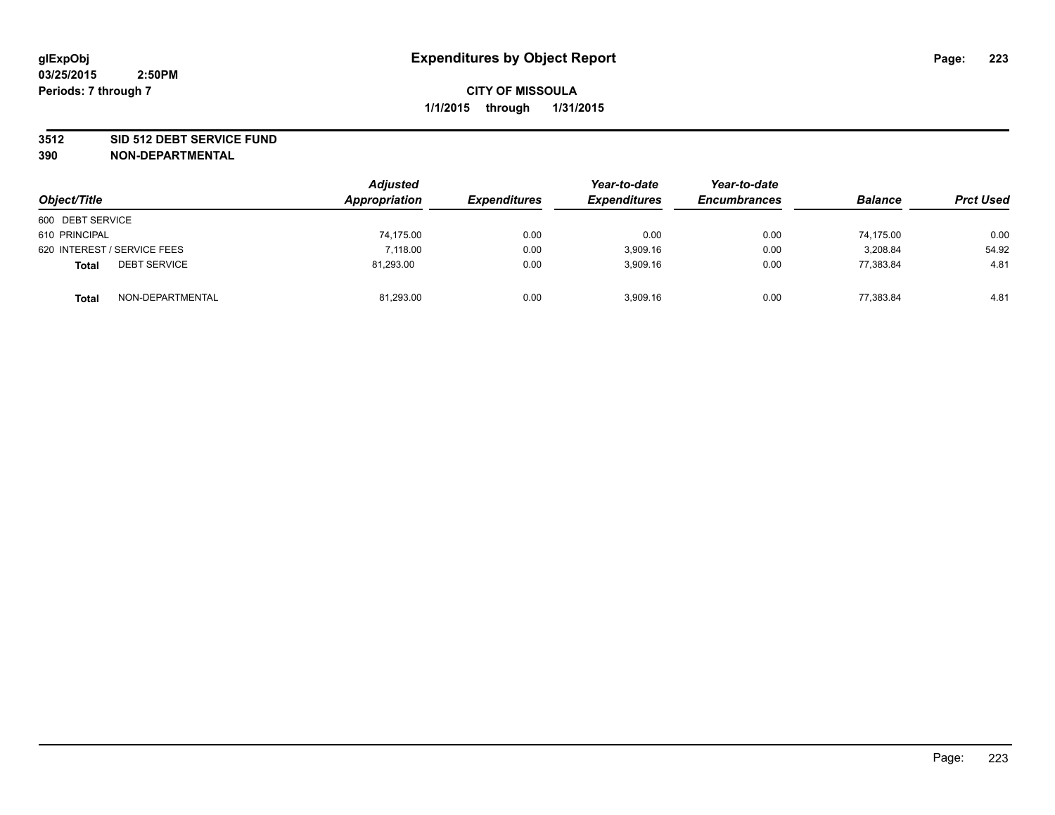#### **3512 SID 512 DEBT SERVICE FUND**

| Object/Title                        | <b>Adjusted</b><br>Appropriation | <b>Expenditures</b> | Year-to-date<br><b>Expenditures</b> | Year-to-date<br><b>Encumbrances</b> | <b>Balance</b> | <b>Prct Used</b> |
|-------------------------------------|----------------------------------|---------------------|-------------------------------------|-------------------------------------|----------------|------------------|
| 600 DEBT SERVICE                    |                                  |                     |                                     |                                     |                |                  |
| 610 PRINCIPAL                       | 74,175.00                        | 0.00                | 0.00                                | 0.00                                | 74.175.00      | 0.00             |
| 620 INTEREST / SERVICE FEES         | 7.118.00                         | 0.00                | 3.909.16                            | 0.00                                | 3.208.84       | 54.92            |
| <b>DEBT SERVICE</b><br><b>Total</b> | 81,293.00                        | 0.00                | 3,909.16                            | 0.00                                | 77,383.84      | 4.81             |
| NON-DEPARTMENTAL<br><b>Total</b>    | 81,293.00                        | 0.00                | 3.909.16                            | 0.00                                | 77,383.84      | 4.81             |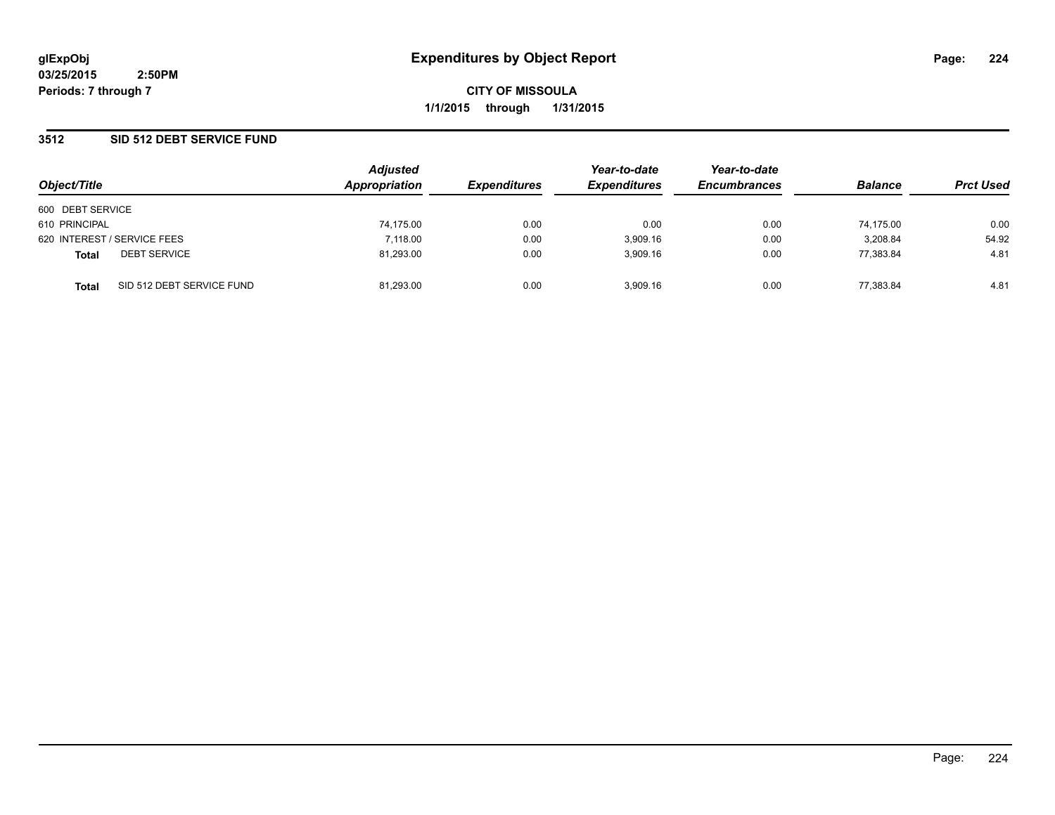**CITY OF MISSOULA 1/1/2015 through 1/31/2015**

### **3512 SID 512 DEBT SERVICE FUND**

| Object/Title     |                             | <b>Adjusted</b><br>Appropriation | <b>Expenditures</b> | Year-to-date<br><b>Expenditures</b> | Year-to-date<br><b>Encumbrances</b> | <b>Balance</b> | <b>Prct Used</b> |
|------------------|-----------------------------|----------------------------------|---------------------|-------------------------------------|-------------------------------------|----------------|------------------|
|                  |                             |                                  |                     |                                     |                                     |                |                  |
| 600 DEBT SERVICE |                             |                                  |                     |                                     |                                     |                |                  |
| 610 PRINCIPAL    |                             | 74,175.00                        | 0.00                | 0.00                                | 0.00                                | 74,175.00      | 0.00             |
|                  | 620 INTEREST / SERVICE FEES | 7.118.00                         | 0.00                | 3,909.16                            | 0.00                                | 3.208.84       | 54.92            |
| <b>Total</b>     | <b>DEBT SERVICE</b>         | 81,293.00                        | 0.00                | 3.909.16                            | 0.00                                | 77.383.84      | 4.81             |
| <b>Total</b>     | SID 512 DEBT SERVICE FUND   | 81.293.00                        | 0.00                | 3.909.16                            | 0.00                                | 77.383.84      | 4.81             |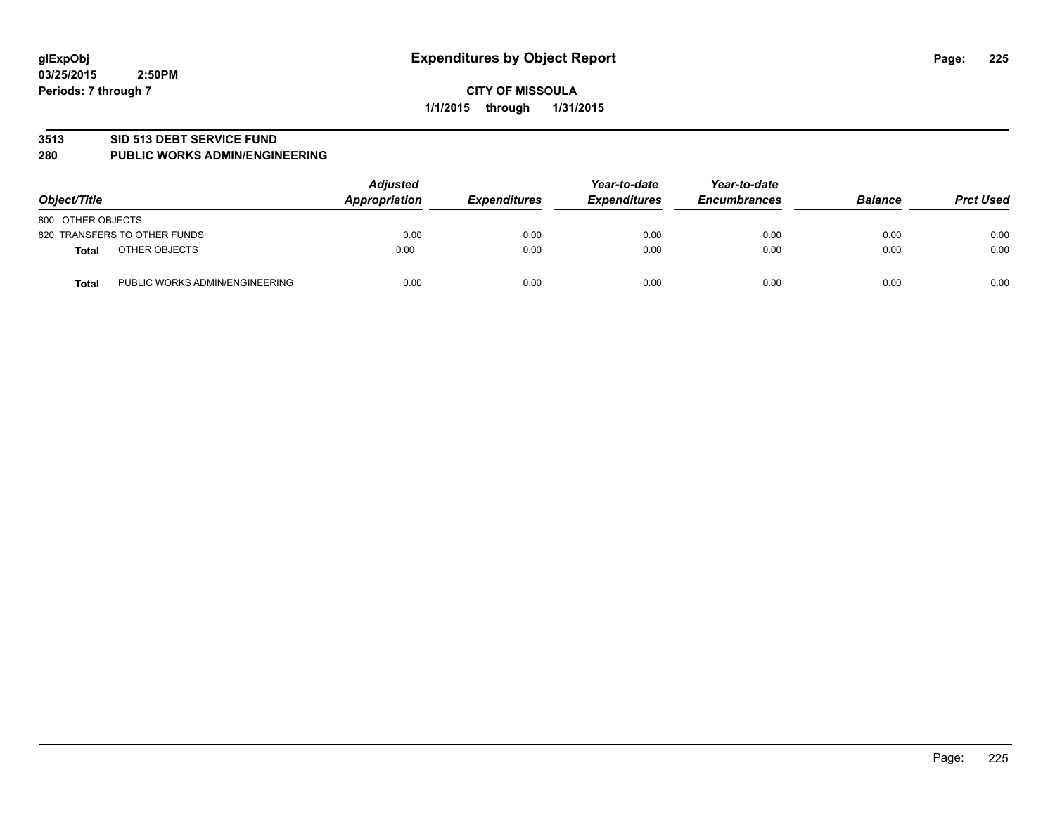#### **3513 SID 513 DEBT SERVICE FUND**

#### **280 PUBLIC WORKS ADMIN/ENGINEERING**

| Object/Title                                   | <b>Adjusted</b><br><b>Appropriation</b> | <b>Expenditures</b> | Year-to-date<br><b>Expenditures</b> | Year-to-date<br><b>Encumbrances</b> | <b>Balance</b> | <b>Prct Used</b> |
|------------------------------------------------|-----------------------------------------|---------------------|-------------------------------------|-------------------------------------|----------------|------------------|
| 800 OTHER OBJECTS                              |                                         |                     |                                     |                                     |                |                  |
| 820 TRANSFERS TO OTHER FUNDS                   | 0.00                                    | 0.00                | 0.00                                | 0.00                                | 0.00           | 0.00             |
| OTHER OBJECTS<br><b>Total</b>                  | 0.00                                    | 0.00                | 0.00                                | 0.00                                | 0.00           | 0.00             |
| PUBLIC WORKS ADMIN/ENGINEERING<br><b>Total</b> | 0.00                                    | 0.00                | 0.00                                | 0.00                                | 0.00           | 0.00             |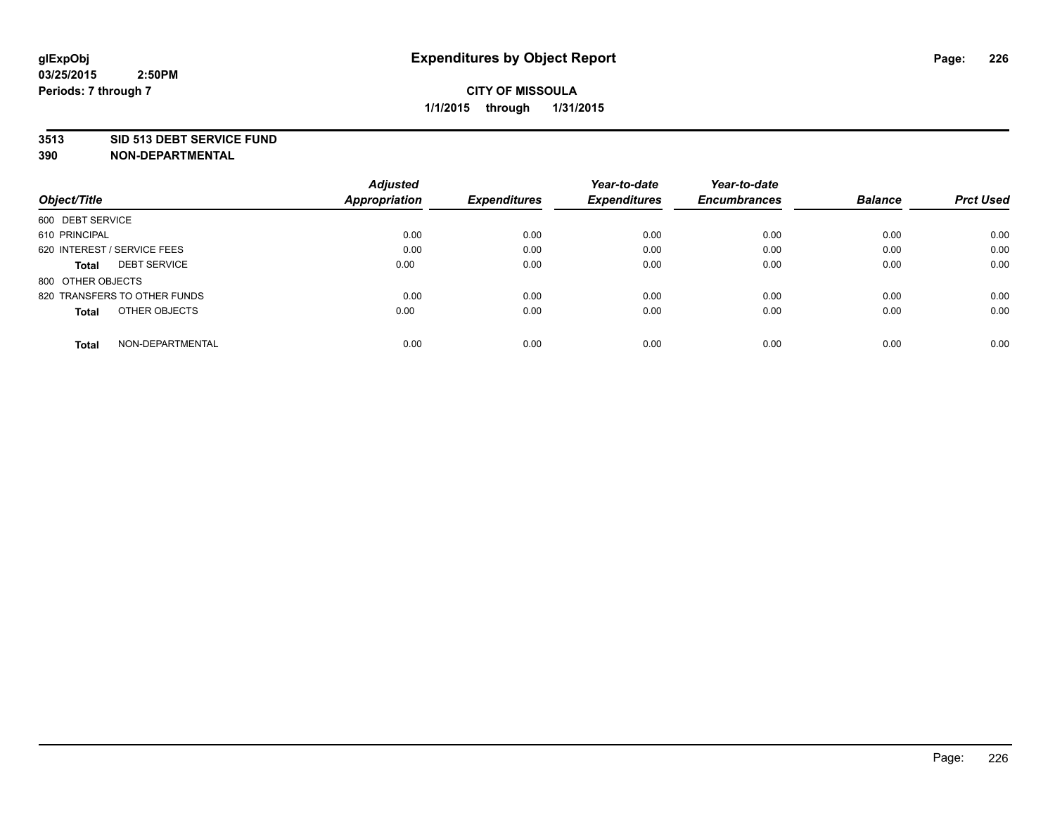#### **3513 SID 513 DEBT SERVICE FUND**

|                                     | <b>Adjusted</b> |                     | Year-to-date        | Year-to-date        |                |                  |
|-------------------------------------|-----------------|---------------------|---------------------|---------------------|----------------|------------------|
| Object/Title                        | Appropriation   | <b>Expenditures</b> | <b>Expenditures</b> | <b>Encumbrances</b> | <b>Balance</b> | <b>Prct Used</b> |
| 600 DEBT SERVICE                    |                 |                     |                     |                     |                |                  |
| 610 PRINCIPAL                       | 0.00            | 0.00                | 0.00                | 0.00                | 0.00           | 0.00             |
| 620 INTEREST / SERVICE FEES         | 0.00            | 0.00                | 0.00                | 0.00                | 0.00           | 0.00             |
| <b>DEBT SERVICE</b><br><b>Total</b> | 0.00            | 0.00                | 0.00                | 0.00                | 0.00           | 0.00             |
| 800 OTHER OBJECTS                   |                 |                     |                     |                     |                |                  |
| 820 TRANSFERS TO OTHER FUNDS        | 0.00            | 0.00                | 0.00                | 0.00                | 0.00           | 0.00             |
| OTHER OBJECTS<br><b>Total</b>       | 0.00            | 0.00                | 0.00                | 0.00                | 0.00           | 0.00             |
| NON-DEPARTMENTAL<br>Total           | 0.00            | 0.00                | 0.00                | 0.00                | 0.00           | 0.00             |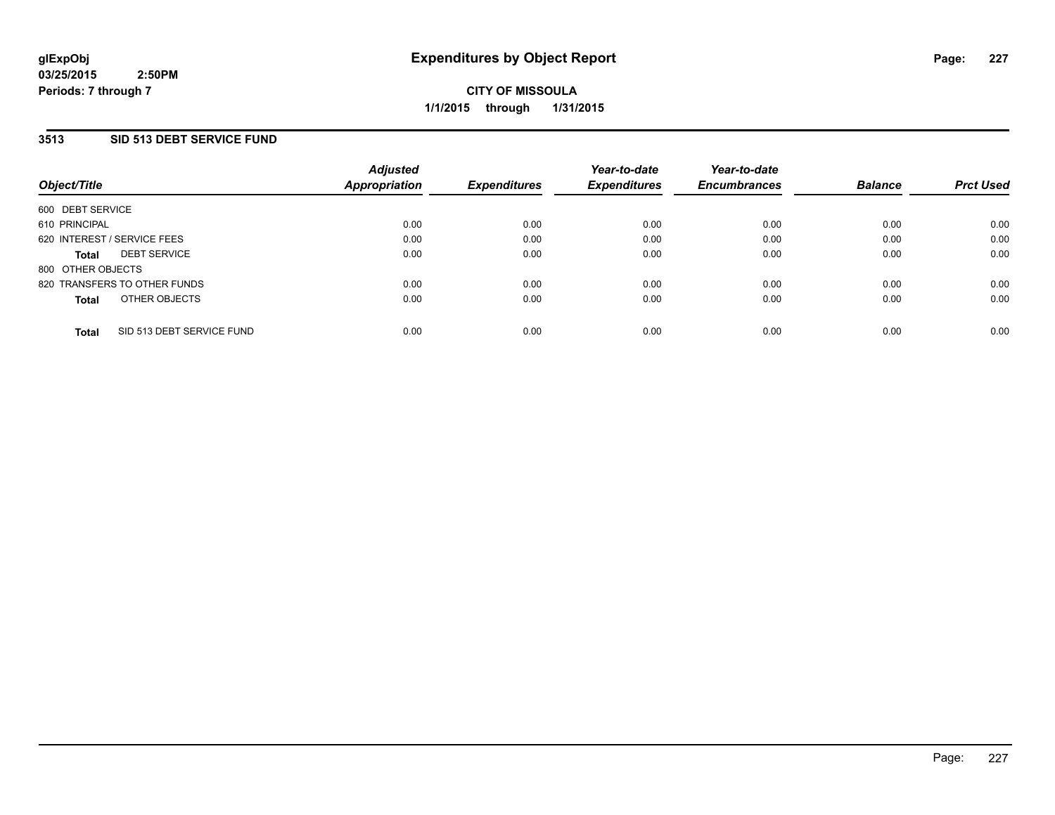### **3513 SID 513 DEBT SERVICE FUND**

| Object/Title      |                              | <b>Adjusted</b><br>Appropriation | <b>Expenditures</b> | Year-to-date<br><b>Expenditures</b> | Year-to-date<br><b>Encumbrances</b> | <b>Balance</b> | <b>Prct Used</b> |
|-------------------|------------------------------|----------------------------------|---------------------|-------------------------------------|-------------------------------------|----------------|------------------|
| 600 DEBT SERVICE  |                              |                                  |                     |                                     |                                     |                |                  |
| 610 PRINCIPAL     |                              | 0.00                             | 0.00                | 0.00                                | 0.00                                | 0.00           | 0.00             |
|                   | 620 INTEREST / SERVICE FEES  | 0.00                             | 0.00                | 0.00                                | 0.00                                | 0.00           | 0.00             |
| <b>Total</b>      | <b>DEBT SERVICE</b>          | 0.00                             | 0.00                | 0.00                                | 0.00                                | 0.00           | 0.00             |
| 800 OTHER OBJECTS |                              |                                  |                     |                                     |                                     |                |                  |
|                   | 820 TRANSFERS TO OTHER FUNDS | 0.00                             | 0.00                | 0.00                                | 0.00                                | 0.00           | 0.00             |
| <b>Total</b>      | OTHER OBJECTS                | 0.00                             | 0.00                | 0.00                                | 0.00                                | 0.00           | 0.00             |
|                   |                              |                                  |                     |                                     |                                     |                |                  |
| <b>Total</b>      | SID 513 DEBT SERVICE FUND    | 0.00                             | 0.00                | 0.00                                | 0.00                                | 0.00           | 0.00             |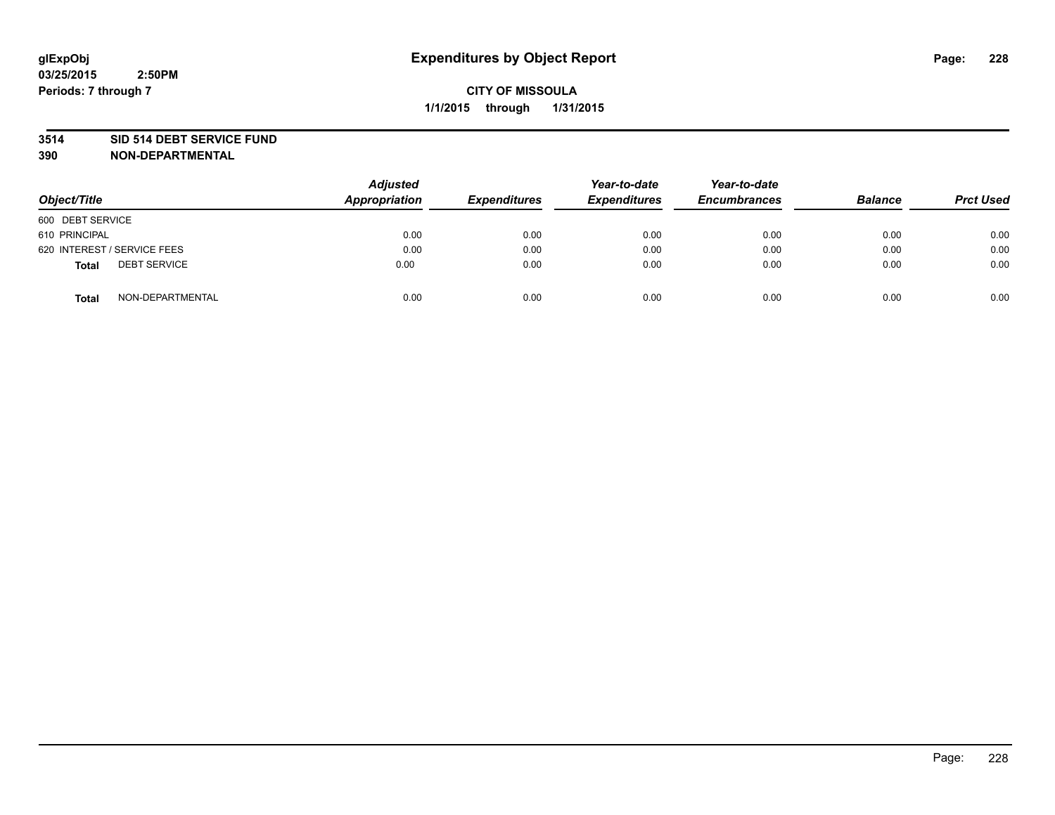#### **3514 SID 514 DEBT SERVICE FUND**

| Object/Title                        | <b>Adjusted</b><br>Appropriation | <b>Expenditures</b> | Year-to-date<br><b>Expenditures</b> | Year-to-date<br><b>Encumbrances</b> | <b>Balance</b> | <b>Prct Used</b> |
|-------------------------------------|----------------------------------|---------------------|-------------------------------------|-------------------------------------|----------------|------------------|
| 600 DEBT SERVICE                    |                                  |                     |                                     |                                     |                |                  |
| 610 PRINCIPAL                       | 0.00                             | 0.00                | 0.00                                | 0.00                                | 0.00           | 0.00             |
| 620 INTEREST / SERVICE FEES         | 0.00                             | 0.00                | 0.00                                | 0.00                                | 0.00           | 0.00             |
| <b>DEBT SERVICE</b><br><b>Total</b> | 0.00                             | 0.00                | 0.00                                | 0.00                                | 0.00           | 0.00             |
| NON-DEPARTMENTAL<br><b>Total</b>    | 0.00                             | 0.00                | 0.00                                | 0.00                                | 0.00           | 0.00             |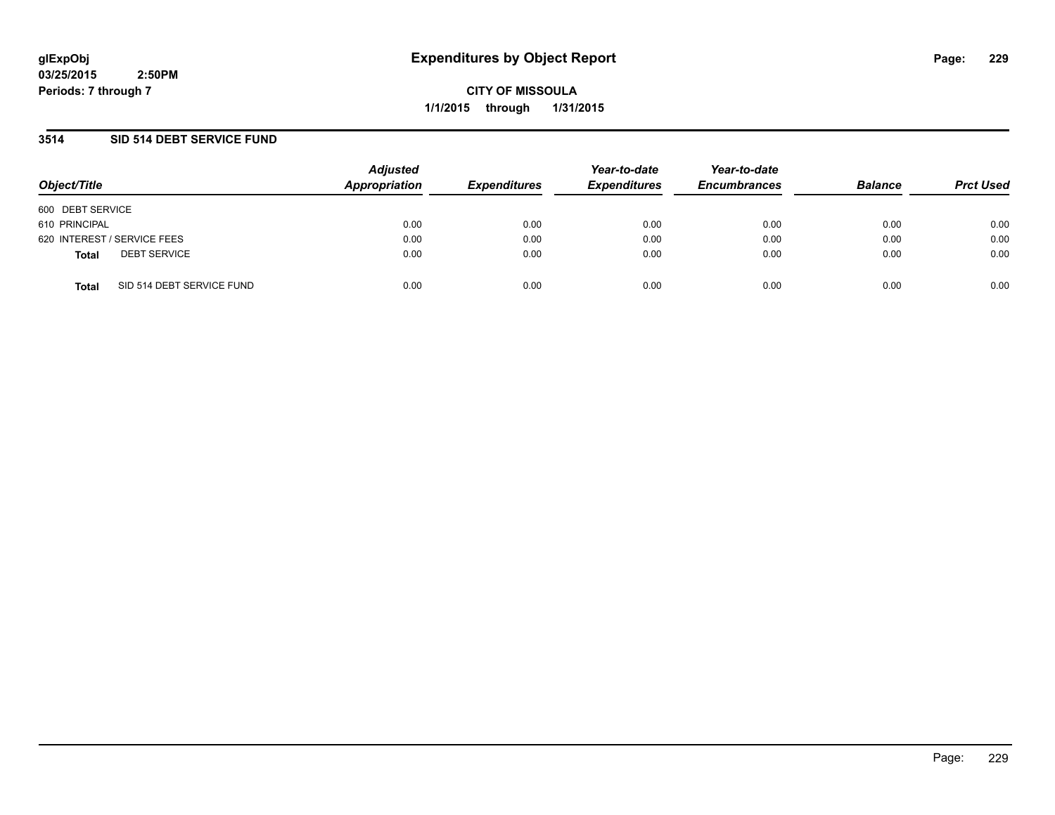**CITY OF MISSOULA 1/1/2015 through 1/31/2015**

### **3514 SID 514 DEBT SERVICE FUND**

| Object/Title                              | <b>Adjusted</b><br>Appropriation | <b>Expenditures</b> | Year-to-date<br><b>Expenditures</b> | Year-to-date<br><b>Encumbrances</b> | <b>Balance</b> | <b>Prct Used</b> |
|-------------------------------------------|----------------------------------|---------------------|-------------------------------------|-------------------------------------|----------------|------------------|
| 600 DEBT SERVICE                          |                                  |                     |                                     |                                     |                |                  |
| 610 PRINCIPAL                             | 0.00                             | 0.00                | 0.00                                | 0.00                                | 0.00           | 0.00             |
| 620 INTEREST / SERVICE FEES               | 0.00                             | 0.00                | 0.00                                | 0.00                                | 0.00           | 0.00             |
| <b>DEBT SERVICE</b><br><b>Total</b>       | 0.00                             | 0.00                | 0.00                                | 0.00                                | 0.00           | 0.00             |
| SID 514 DEBT SERVICE FUND<br><b>Total</b> | 0.00                             | 0.00                | 0.00                                | 0.00                                | 0.00           | 0.00             |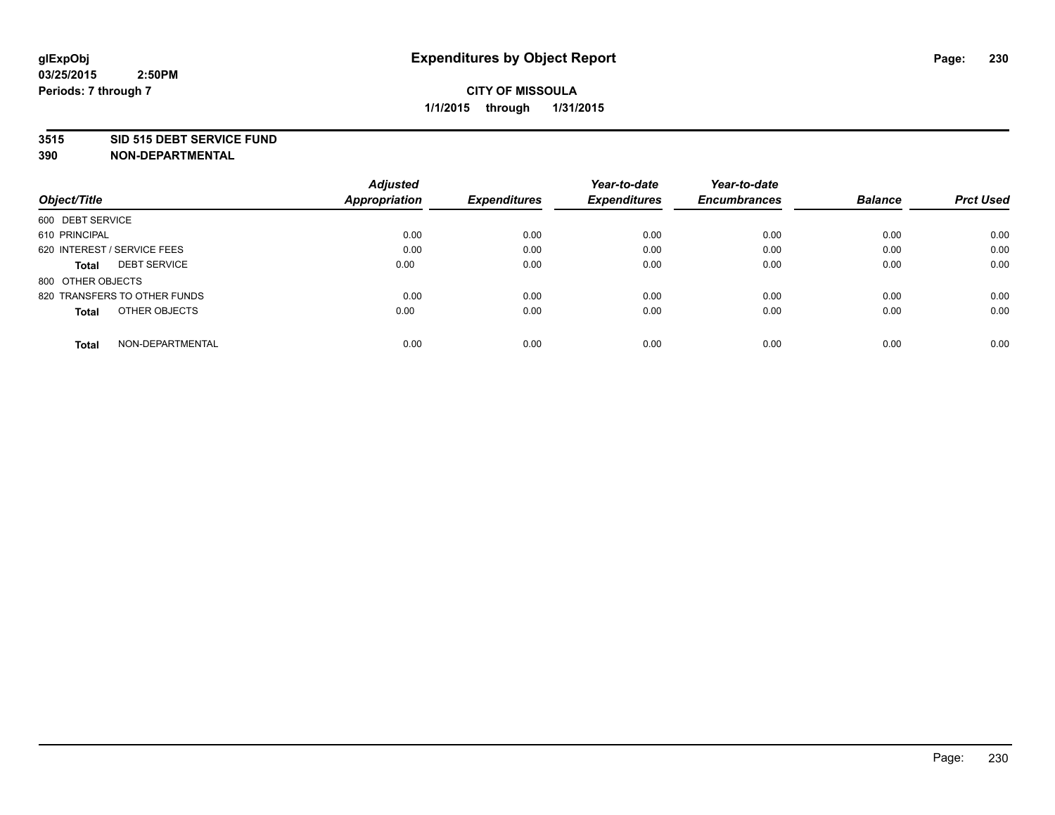#### **3515 SID 515 DEBT SERVICE FUND**

|                                     | <b>Adjusted</b>      |                     | Year-to-date        | Year-to-date        |                |                  |
|-------------------------------------|----------------------|---------------------|---------------------|---------------------|----------------|------------------|
| Object/Title                        | <b>Appropriation</b> | <b>Expenditures</b> | <b>Expenditures</b> | <b>Encumbrances</b> | <b>Balance</b> | <b>Prct Used</b> |
| 600 DEBT SERVICE                    |                      |                     |                     |                     |                |                  |
| 610 PRINCIPAL                       | 0.00                 | 0.00                | 0.00                | 0.00                | 0.00           | 0.00             |
| 620 INTEREST / SERVICE FEES         | 0.00                 | 0.00                | 0.00                | 0.00                | 0.00           | 0.00             |
| <b>DEBT SERVICE</b><br><b>Total</b> | 0.00                 | 0.00                | 0.00                | 0.00                | 0.00           | 0.00             |
| 800 OTHER OBJECTS                   |                      |                     |                     |                     |                |                  |
| 820 TRANSFERS TO OTHER FUNDS        | 0.00                 | 0.00                | 0.00                | 0.00                | 0.00           | 0.00             |
| OTHER OBJECTS<br><b>Total</b>       | 0.00                 | 0.00                | 0.00                | 0.00                | 0.00           | 0.00             |
| NON-DEPARTMENTAL<br>Total           | 0.00                 | 0.00                | 0.00                | 0.00                | 0.00           | 0.00             |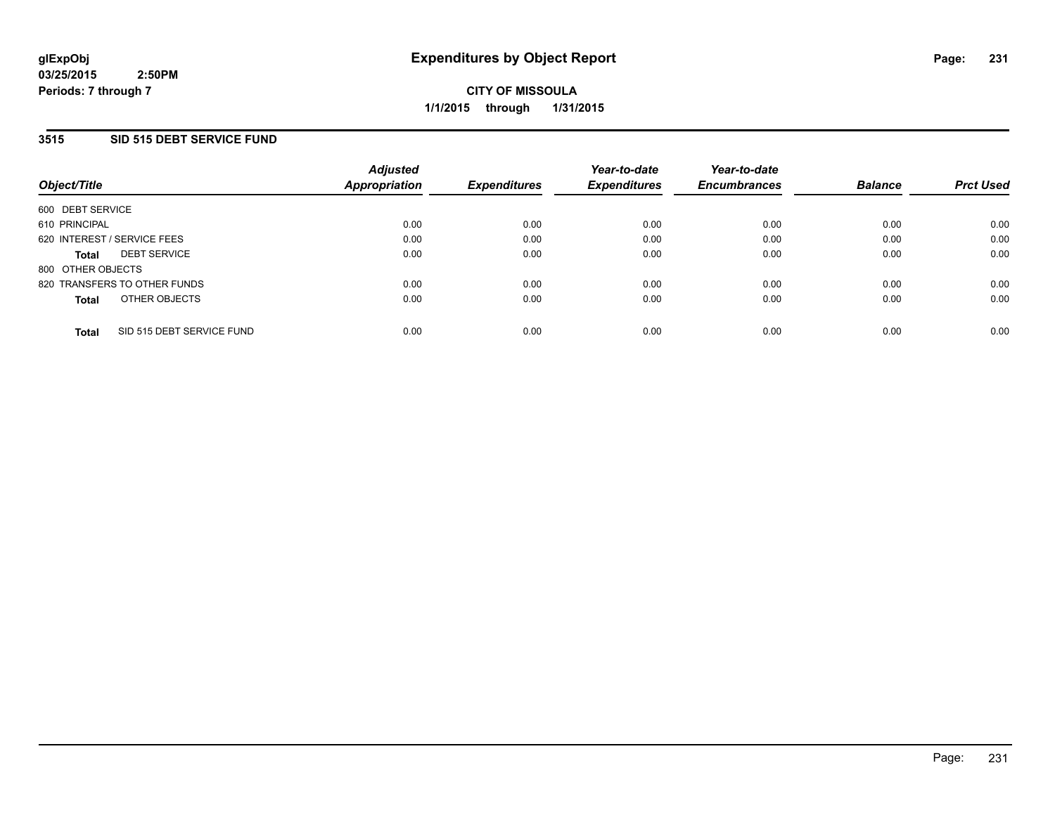### **3515 SID 515 DEBT SERVICE FUND**

| Object/Title                              | <b>Adjusted</b><br>Appropriation | <b>Expenditures</b> | Year-to-date<br><b>Expenditures</b> | Year-to-date<br><b>Encumbrances</b> | <b>Balance</b> | <b>Prct Used</b> |
|-------------------------------------------|----------------------------------|---------------------|-------------------------------------|-------------------------------------|----------------|------------------|
| 600 DEBT SERVICE                          |                                  |                     |                                     |                                     |                |                  |
| 610 PRINCIPAL                             | 0.00                             | 0.00                | 0.00                                | 0.00                                | 0.00           | 0.00             |
| 620 INTEREST / SERVICE FEES               | 0.00                             | 0.00                | 0.00                                | 0.00                                | 0.00           | 0.00             |
| <b>DEBT SERVICE</b><br><b>Total</b>       | 0.00                             | 0.00                | 0.00                                | 0.00                                | 0.00           | 0.00             |
| 800 OTHER OBJECTS                         |                                  |                     |                                     |                                     |                |                  |
| 820 TRANSFERS TO OTHER FUNDS              | 0.00                             | 0.00                | 0.00                                | 0.00                                | 0.00           | 0.00             |
| OTHER OBJECTS<br><b>Total</b>             | 0.00                             | 0.00                | 0.00                                | 0.00                                | 0.00           | 0.00             |
| SID 515 DEBT SERVICE FUND<br><b>Total</b> | 0.00                             | 0.00                | 0.00                                | 0.00                                | 0.00           | 0.00             |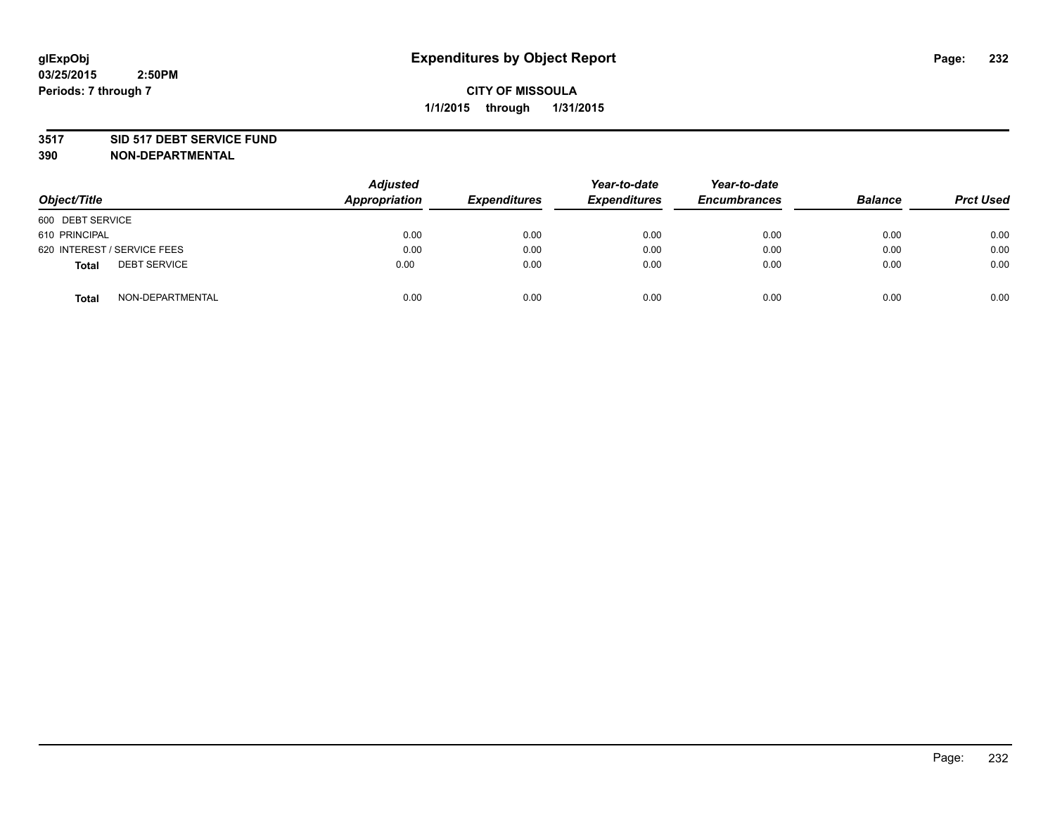#### **3517 SID 517 DEBT SERVICE FUND**

| Object/Title                        | <b>Adjusted</b><br>Appropriation | <b>Expenditures</b> | Year-to-date<br><b>Expenditures</b> | Year-to-date<br><b>Encumbrances</b> | <b>Balance</b> | <b>Prct Used</b> |
|-------------------------------------|----------------------------------|---------------------|-------------------------------------|-------------------------------------|----------------|------------------|
|                                     |                                  |                     |                                     |                                     |                |                  |
| 600 DEBT SERVICE                    |                                  |                     |                                     |                                     |                |                  |
| 610 PRINCIPAL                       | 0.00                             | 0.00                | 0.00                                | 0.00                                | 0.00           | 0.00             |
| 620 INTEREST / SERVICE FEES         | 0.00                             | 0.00                | 0.00                                | 0.00                                | 0.00           | 0.00             |
| <b>DEBT SERVICE</b><br><b>Total</b> | 0.00                             | 0.00                | 0.00                                | 0.00                                | 0.00           | 0.00             |
| NON-DEPARTMENTAL<br>Total           | 0.00                             | 0.00                | 0.00                                | 0.00                                | 0.00           | 0.00             |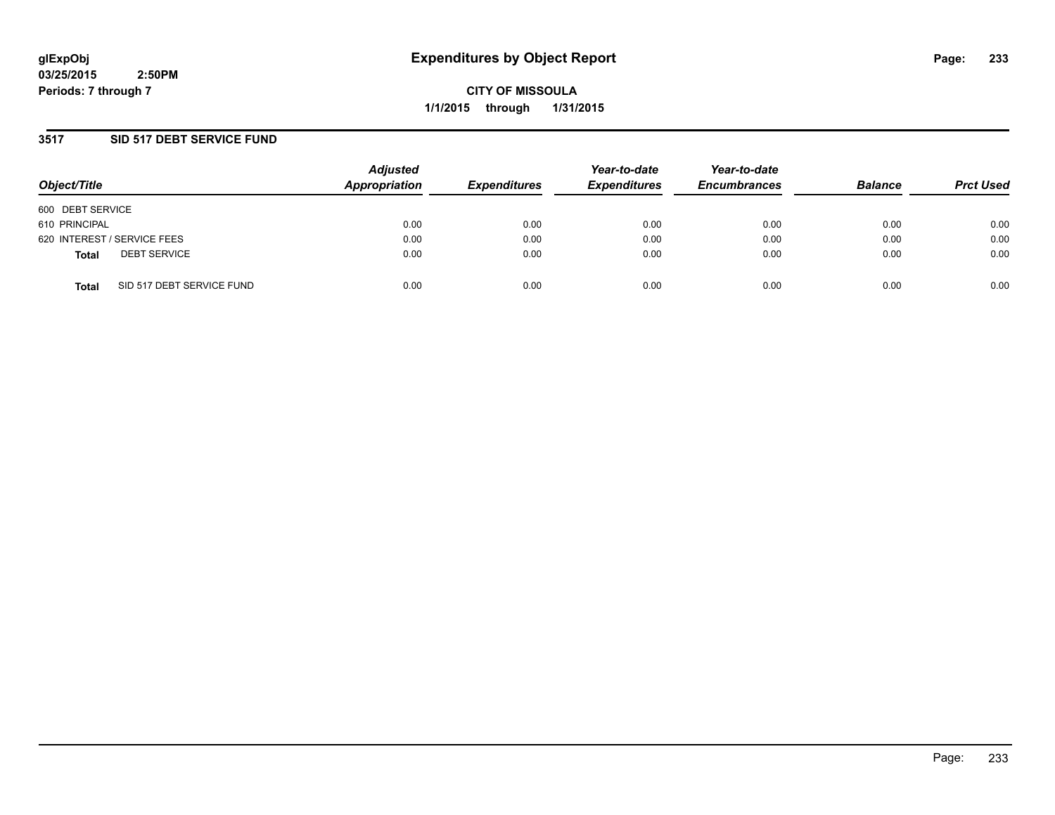**CITY OF MISSOULA 1/1/2015 through 1/31/2015**

### **3517 SID 517 DEBT SERVICE FUND**

| Object/Title                              | <b>Adjusted</b><br>Appropriation | <b>Expenditures</b> | Year-to-date<br><b>Expenditures</b> | Year-to-date<br><b>Encumbrances</b> | <b>Balance</b> | <b>Prct Used</b> |
|-------------------------------------------|----------------------------------|---------------------|-------------------------------------|-------------------------------------|----------------|------------------|
| 600 DEBT SERVICE                          |                                  |                     |                                     |                                     |                |                  |
| 610 PRINCIPAL                             | 0.00                             | 0.00                | 0.00                                | 0.00                                | 0.00           | 0.00             |
| 620 INTEREST / SERVICE FEES               | 0.00                             | 0.00                | 0.00                                | 0.00                                | 0.00           | 0.00             |
| <b>DEBT SERVICE</b><br><b>Total</b>       | 0.00                             | 0.00                | 0.00                                | 0.00                                | 0.00           | 0.00             |
| SID 517 DEBT SERVICE FUND<br><b>Total</b> | 0.00                             | 0.00                | 0.00                                | 0.00                                | 0.00           | 0.00             |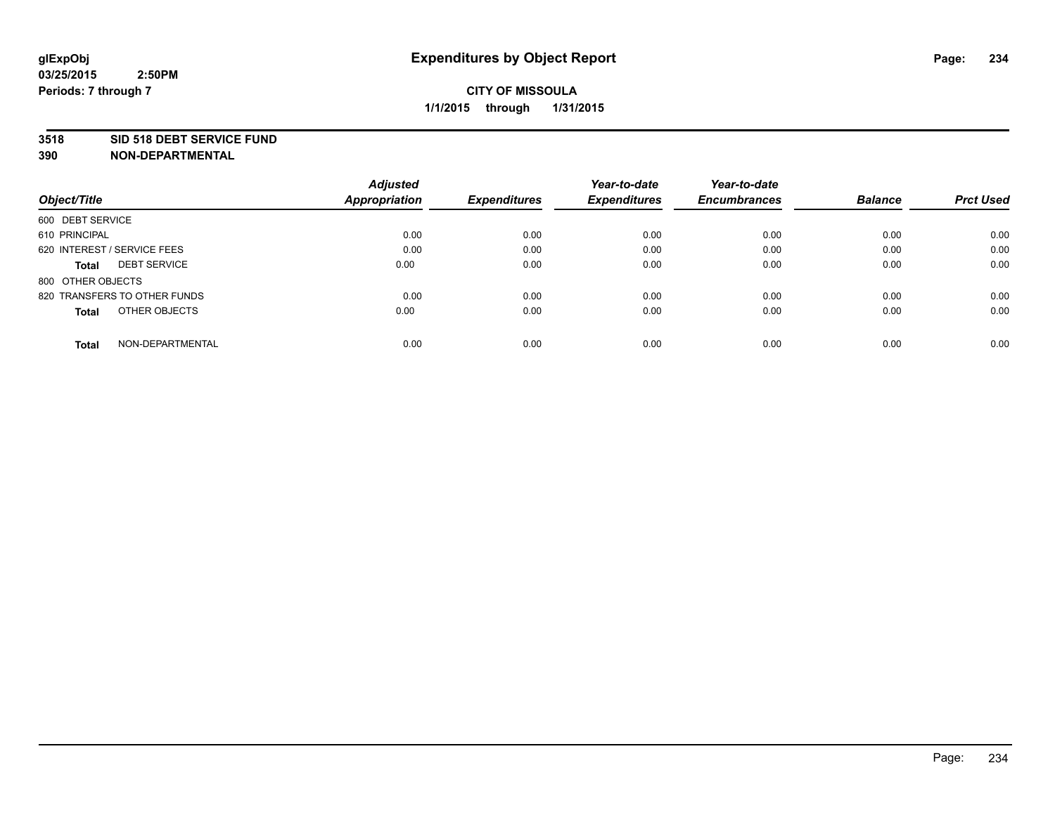#### **3518 SID 518 DEBT SERVICE FUND**

|                                     | <b>Adjusted</b> |                     | Year-to-date        | Year-to-date        |                |                  |
|-------------------------------------|-----------------|---------------------|---------------------|---------------------|----------------|------------------|
| Object/Title                        | Appropriation   | <b>Expenditures</b> | <b>Expenditures</b> | <b>Encumbrances</b> | <b>Balance</b> | <b>Prct Used</b> |
| 600 DEBT SERVICE                    |                 |                     |                     |                     |                |                  |
| 610 PRINCIPAL                       | 0.00            | 0.00                | 0.00                | 0.00                | 0.00           | 0.00             |
| 620 INTEREST / SERVICE FEES         | 0.00            | 0.00                | 0.00                | 0.00                | 0.00           | 0.00             |
| <b>DEBT SERVICE</b><br><b>Total</b> | 0.00            | 0.00                | 0.00                | 0.00                | 0.00           | 0.00             |
| 800 OTHER OBJECTS                   |                 |                     |                     |                     |                |                  |
| 820 TRANSFERS TO OTHER FUNDS        | 0.00            | 0.00                | 0.00                | 0.00                | 0.00           | 0.00             |
| OTHER OBJECTS<br><b>Total</b>       | 0.00            | 0.00                | 0.00                | 0.00                | 0.00           | 0.00             |
| NON-DEPARTMENTAL<br>Total           | 0.00            | 0.00                | 0.00                | 0.00                | 0.00           | 0.00             |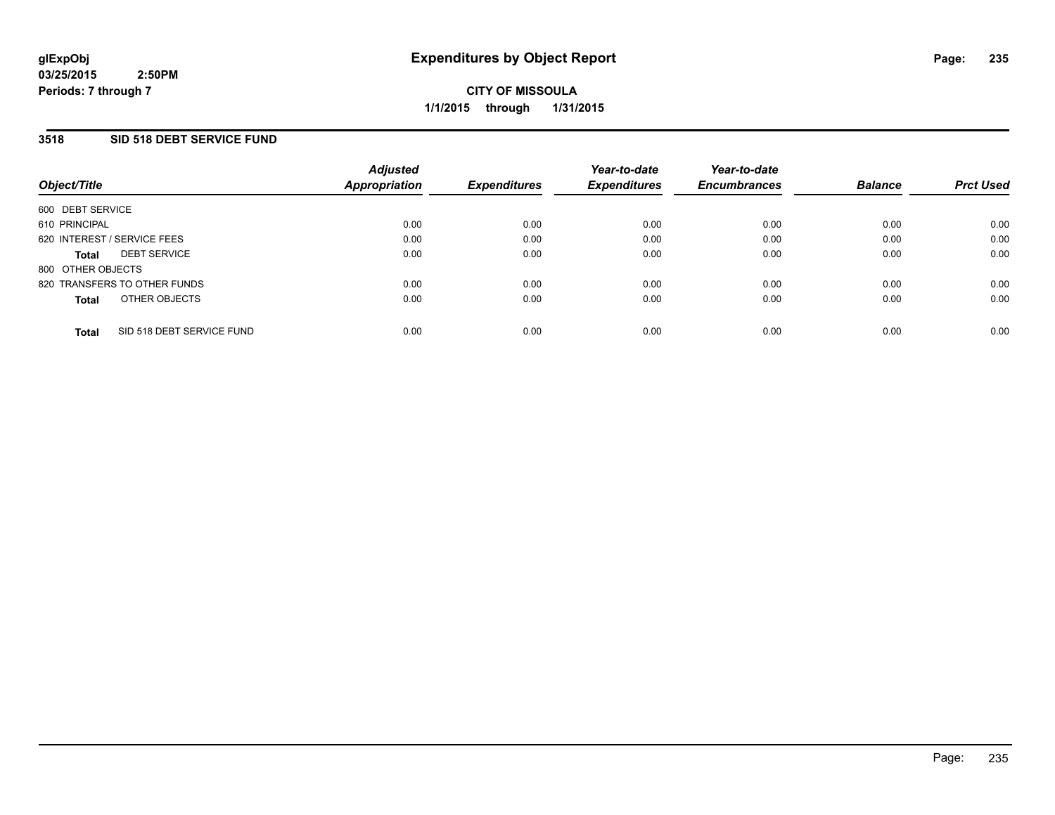### **3518 SID 518 DEBT SERVICE FUND**

| Object/Title                        |                           | <b>Adjusted</b><br>Appropriation | <b>Expenditures</b> | Year-to-date<br><b>Expenditures</b> | Year-to-date<br><b>Encumbrances</b> | <b>Balance</b> | <b>Prct Used</b> |
|-------------------------------------|---------------------------|----------------------------------|---------------------|-------------------------------------|-------------------------------------|----------------|------------------|
| 600 DEBT SERVICE                    |                           |                                  |                     |                                     |                                     |                |                  |
| 610 PRINCIPAL                       |                           | 0.00                             | 0.00                | 0.00                                | 0.00                                | 0.00           | 0.00             |
| 620 INTEREST / SERVICE FEES         |                           | 0.00                             | 0.00                | 0.00                                | 0.00                                | 0.00           | 0.00             |
| <b>DEBT SERVICE</b><br><b>Total</b> |                           | 0.00                             | 0.00                | 0.00                                | 0.00                                | 0.00           | 0.00             |
| 800 OTHER OBJECTS                   |                           |                                  |                     |                                     |                                     |                |                  |
| 820 TRANSFERS TO OTHER FUNDS        |                           | 0.00                             | 0.00                | 0.00                                | 0.00                                | 0.00           | 0.00             |
| <b>Total</b>                        | OTHER OBJECTS             | 0.00                             | 0.00                | 0.00                                | 0.00                                | 0.00           | 0.00             |
| <b>Total</b>                        | SID 518 DEBT SERVICE FUND | 0.00                             | 0.00                | 0.00                                | 0.00                                | 0.00           | 0.00             |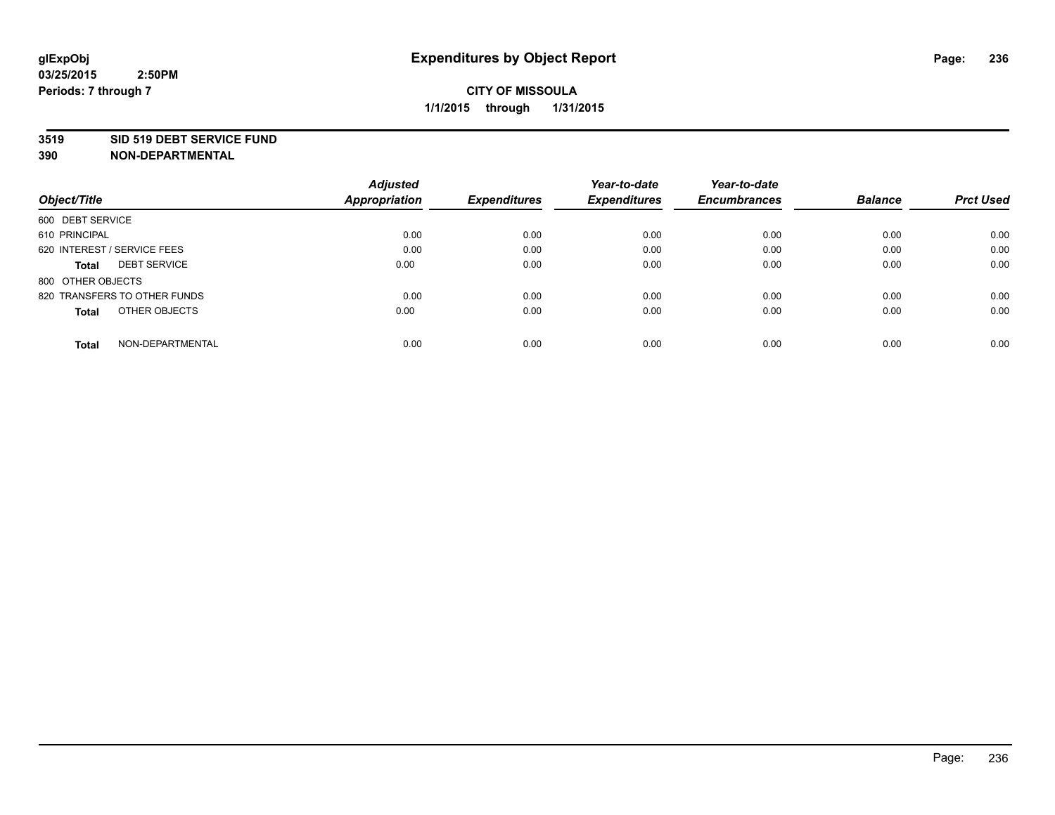#### **3519 SID 519 DEBT SERVICE FUND**

|                                     | <b>Adjusted</b>      |                     | Year-to-date        | Year-to-date        |                |                  |
|-------------------------------------|----------------------|---------------------|---------------------|---------------------|----------------|------------------|
| Object/Title                        | <b>Appropriation</b> | <b>Expenditures</b> | <b>Expenditures</b> | <b>Encumbrances</b> | <b>Balance</b> | <b>Prct Used</b> |
| 600 DEBT SERVICE                    |                      |                     |                     |                     |                |                  |
| 610 PRINCIPAL                       | 0.00                 | 0.00                | 0.00                | 0.00                | 0.00           | 0.00             |
| 620 INTEREST / SERVICE FEES         | 0.00                 | 0.00                | 0.00                | 0.00                | 0.00           | 0.00             |
| <b>DEBT SERVICE</b><br><b>Total</b> | 0.00                 | 0.00                | 0.00                | 0.00                | 0.00           | 0.00             |
| 800 OTHER OBJECTS                   |                      |                     |                     |                     |                |                  |
| 820 TRANSFERS TO OTHER FUNDS        | 0.00                 | 0.00                | 0.00                | 0.00                | 0.00           | 0.00             |
| OTHER OBJECTS<br><b>Total</b>       | 0.00                 | 0.00                | 0.00                | 0.00                | 0.00           | 0.00             |
| NON-DEPARTMENTAL<br>Total           | 0.00                 | 0.00                | 0.00                | 0.00                | 0.00           | 0.00             |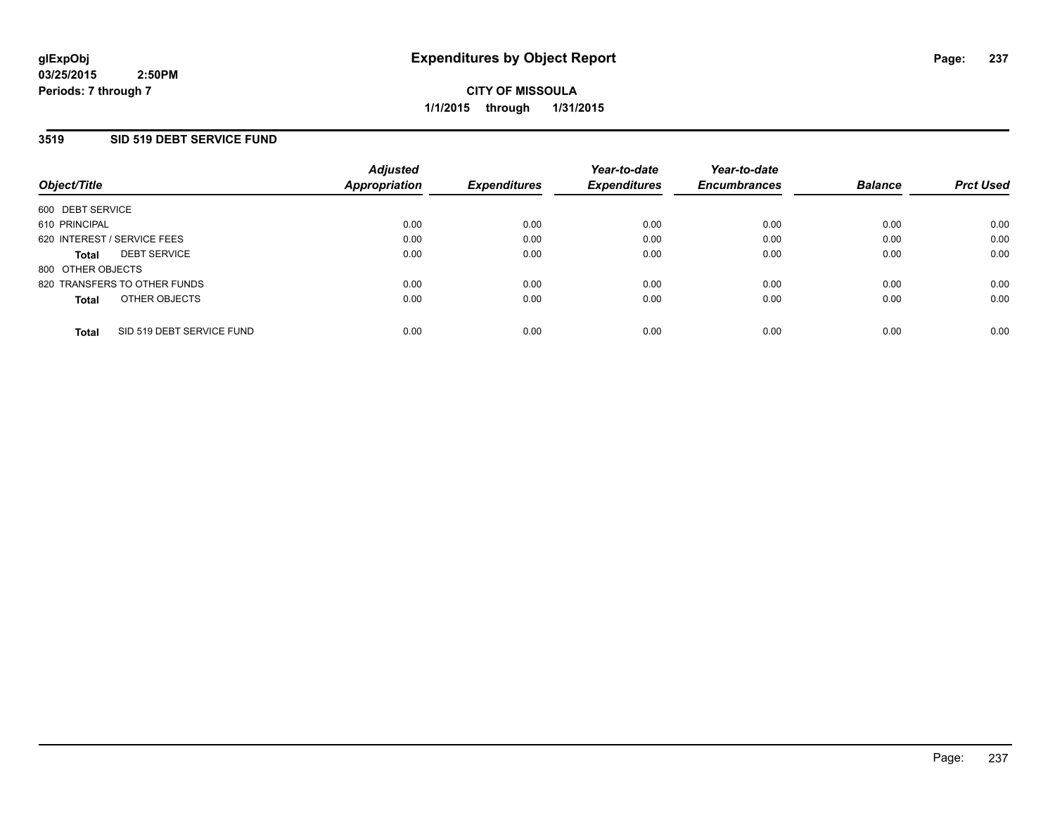### **3519 SID 519 DEBT SERVICE FUND**

| Object/Title                |                              | <b>Adjusted</b><br>Appropriation | <b>Expenditures</b> | Year-to-date<br><b>Expenditures</b> | Year-to-date<br><b>Encumbrances</b> | <b>Balance</b> | <b>Prct Used</b> |
|-----------------------------|------------------------------|----------------------------------|---------------------|-------------------------------------|-------------------------------------|----------------|------------------|
| 600 DEBT SERVICE            |                              |                                  |                     |                                     |                                     |                |                  |
| 610 PRINCIPAL               |                              | 0.00                             | 0.00                | 0.00                                | 0.00                                | 0.00           | 0.00             |
| 620 INTEREST / SERVICE FEES |                              | 0.00                             | 0.00                | 0.00                                | 0.00                                | 0.00           | 0.00             |
| <b>Total</b>                | <b>DEBT SERVICE</b>          | 0.00                             | 0.00                | 0.00                                | 0.00                                | 0.00           | 0.00             |
| 800 OTHER OBJECTS           |                              |                                  |                     |                                     |                                     |                |                  |
|                             | 820 TRANSFERS TO OTHER FUNDS | 0.00                             | 0.00                | 0.00                                | 0.00                                | 0.00           | 0.00             |
| <b>Total</b>                | OTHER OBJECTS                | 0.00                             | 0.00                | 0.00                                | 0.00                                | 0.00           | 0.00             |
| <b>Total</b>                | SID 519 DEBT SERVICE FUND    | 0.00                             | 0.00                | 0.00                                | 0.00                                | 0.00           | 0.00             |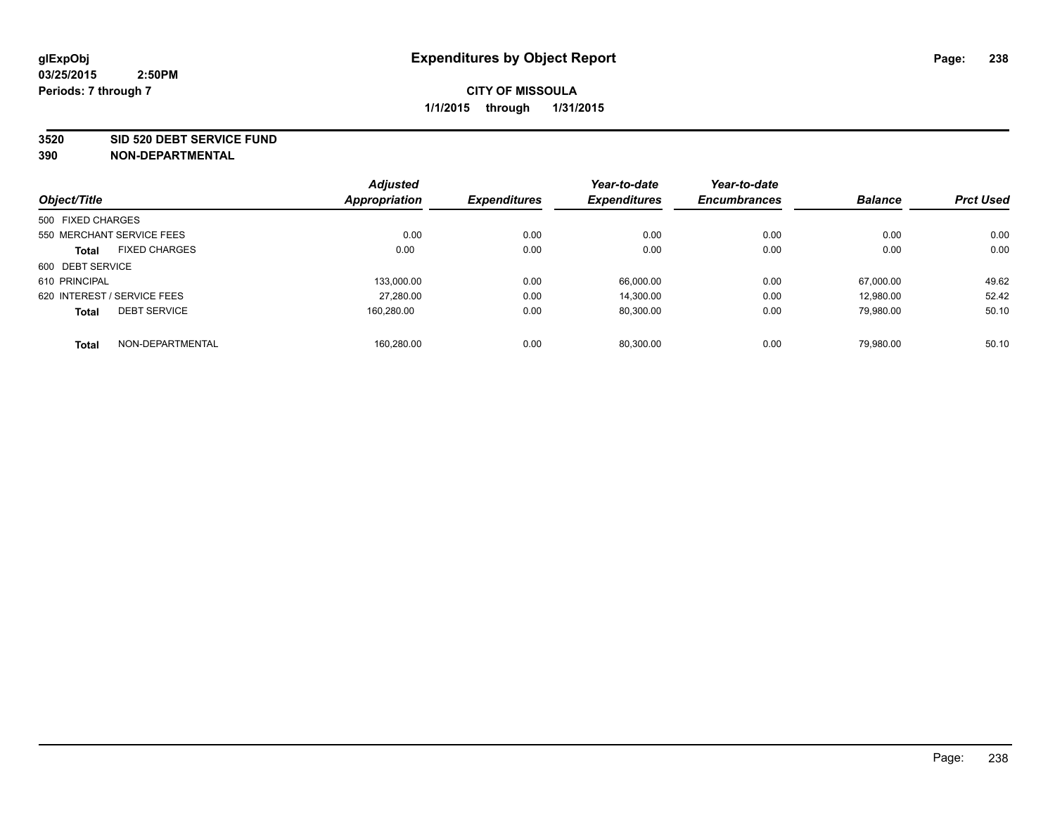#### **3520 SID 520 DEBT SERVICE FUND**

|                                      | <b>Adjusted</b> |                     | Year-to-date        | Year-to-date        |                |                  |
|--------------------------------------|-----------------|---------------------|---------------------|---------------------|----------------|------------------|
| Object/Title                         | Appropriation   | <b>Expenditures</b> | <b>Expenditures</b> | <b>Encumbrances</b> | <b>Balance</b> | <b>Prct Used</b> |
| 500 FIXED CHARGES                    |                 |                     |                     |                     |                |                  |
| 550 MERCHANT SERVICE FEES            | 0.00            | 0.00                | 0.00                | 0.00                | 0.00           | 0.00             |
| <b>FIXED CHARGES</b><br><b>Total</b> | 0.00            | 0.00                | 0.00                | 0.00                | 0.00           | 0.00             |
| 600 DEBT SERVICE                     |                 |                     |                     |                     |                |                  |
| 610 PRINCIPAL                        | 133.000.00      | 0.00                | 66.000.00           | 0.00                | 67.000.00      | 49.62            |
| 620 INTEREST / SERVICE FEES          | 27,280.00       | 0.00                | 14,300.00           | 0.00                | 12.980.00      | 52.42            |
| <b>DEBT SERVICE</b><br><b>Total</b>  | 160.280.00      | 0.00                | 80,300.00           | 0.00                | 79,980.00      | 50.10            |
| NON-DEPARTMENTAL<br><b>Total</b>     | 160,280.00      | 0.00                | 80.300.00           | 0.00                | 79.980.00      | 50.10            |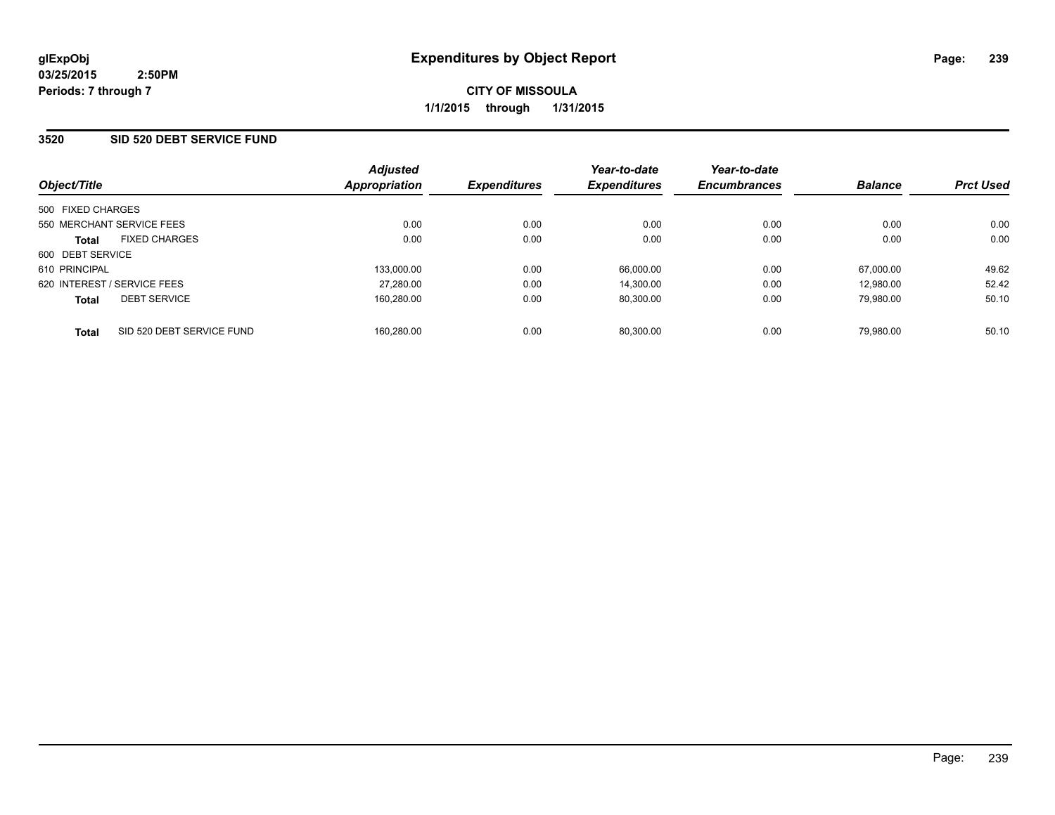### **3520 SID 520 DEBT SERVICE FUND**

| Object/Title                              | <b>Adjusted</b><br><b>Appropriation</b> | <b>Expenditures</b> | Year-to-date<br><b>Expenditures</b> | Year-to-date<br><b>Encumbrances</b> | <b>Balance</b> | <b>Prct Used</b> |
|-------------------------------------------|-----------------------------------------|---------------------|-------------------------------------|-------------------------------------|----------------|------------------|
| 500 FIXED CHARGES                         |                                         |                     |                                     |                                     |                |                  |
| 550 MERCHANT SERVICE FEES                 | 0.00                                    | 0.00                | 0.00                                | 0.00                                | 0.00           | 0.00             |
| <b>FIXED CHARGES</b><br><b>Total</b>      | 0.00                                    | 0.00                | 0.00                                | 0.00                                | 0.00           | 0.00             |
| 600 DEBT SERVICE                          |                                         |                     |                                     |                                     |                |                  |
| 610 PRINCIPAL                             | 133,000.00                              | 0.00                | 66.000.00                           | 0.00                                | 67.000.00      | 49.62            |
| 620 INTEREST / SERVICE FEES               | 27,280.00                               | 0.00                | 14.300.00                           | 0.00                                | 12.980.00      | 52.42            |
| <b>DEBT SERVICE</b><br><b>Total</b>       | 160.280.00                              | 0.00                | 80.300.00                           | 0.00                                | 79.980.00      | 50.10            |
| SID 520 DEBT SERVICE FUND<br><b>Total</b> | 160.280.00                              | 0.00                | 80.300.00                           | 0.00                                | 79.980.00      | 50.10            |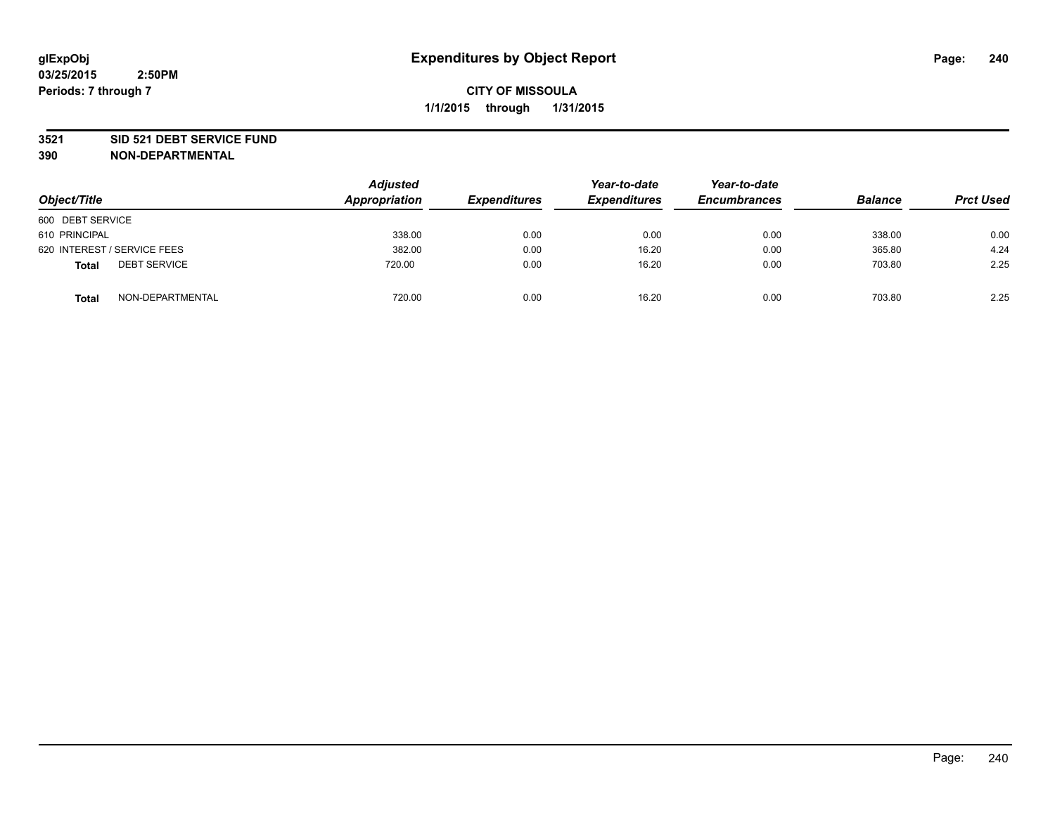#### **3521 SID 521 DEBT SERVICE FUND**

| Object/Title                        | <b>Adjusted</b><br>Appropriation | <b>Expenditures</b> | Year-to-date<br><b>Expenditures</b> | Year-to-date<br><b>Encumbrances</b> | <b>Balance</b> | <b>Prct Used</b> |
|-------------------------------------|----------------------------------|---------------------|-------------------------------------|-------------------------------------|----------------|------------------|
| 600 DEBT SERVICE                    |                                  |                     |                                     |                                     |                |                  |
| 610 PRINCIPAL                       | 338.00                           | 0.00                | 0.00                                | 0.00                                | 338.00         | 0.00             |
| 620 INTEREST / SERVICE FEES         | 382.00                           | 0.00                | 16.20                               | 0.00                                | 365.80         | 4.24             |
| <b>DEBT SERVICE</b><br><b>Total</b> | 720.00                           | 0.00                | 16.20                               | 0.00                                | 703.80         | 2.25             |
| NON-DEPARTMENTAL<br><b>Total</b>    | 720.00                           | 0.00                | 16.20                               | 0.00                                | 703.80         | 2.25             |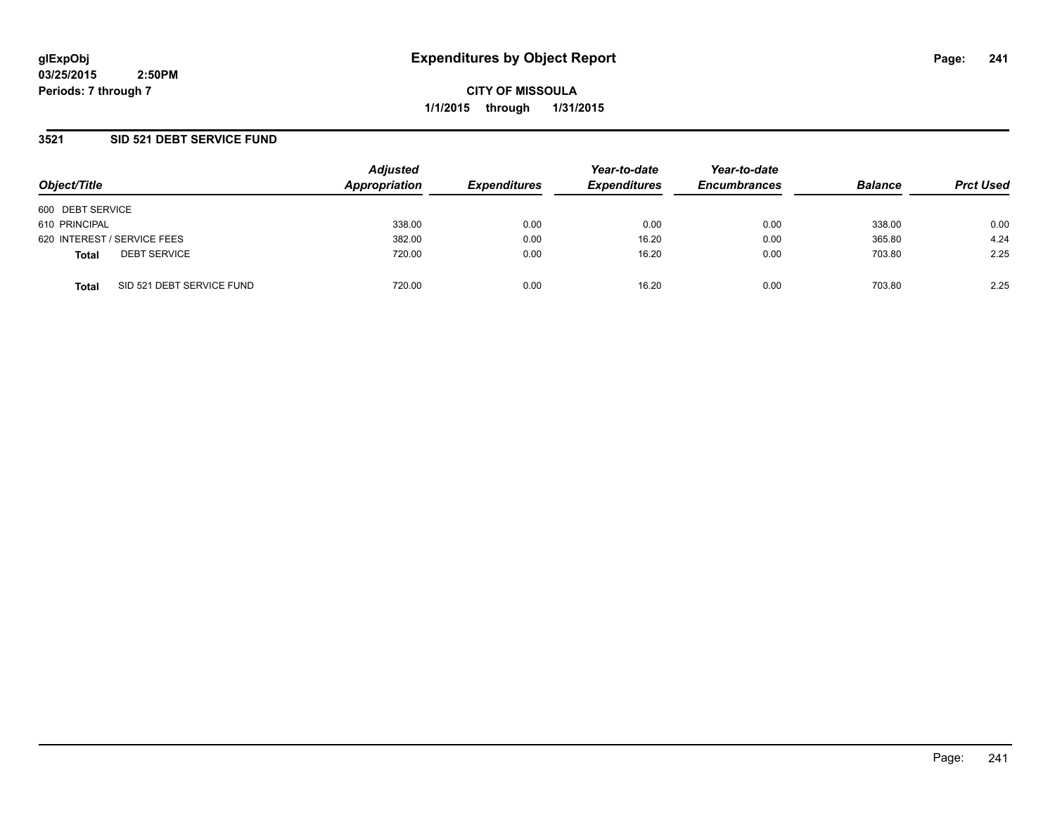**CITY OF MISSOULA 1/1/2015 through 1/31/2015**

### **3521 SID 521 DEBT SERVICE FUND**

| Object/Title                              | <b>Adjusted</b><br>Appropriation | <b>Expenditures</b> | Year-to-date<br><b>Expenditures</b> | Year-to-date<br><b>Encumbrances</b> | <b>Balance</b> | <b>Prct Used</b> |
|-------------------------------------------|----------------------------------|---------------------|-------------------------------------|-------------------------------------|----------------|------------------|
| 600 DEBT SERVICE                          |                                  |                     |                                     |                                     |                |                  |
| 610 PRINCIPAL                             | 338.00                           | 0.00                | 0.00                                | 0.00                                | 338.00         | 0.00             |
| 620 INTEREST / SERVICE FEES               | 382.00                           | 0.00                | 16.20                               | 0.00                                | 365.80         | 4.24             |
| <b>DEBT SERVICE</b><br><b>Total</b>       | 720.00                           | 0.00                | 16.20                               | 0.00                                | 703.80         | 2.25             |
| SID 521 DEBT SERVICE FUND<br><b>Total</b> | 720.00                           | 0.00                | 16.20                               | 0.00                                | 703.80         | 2.25             |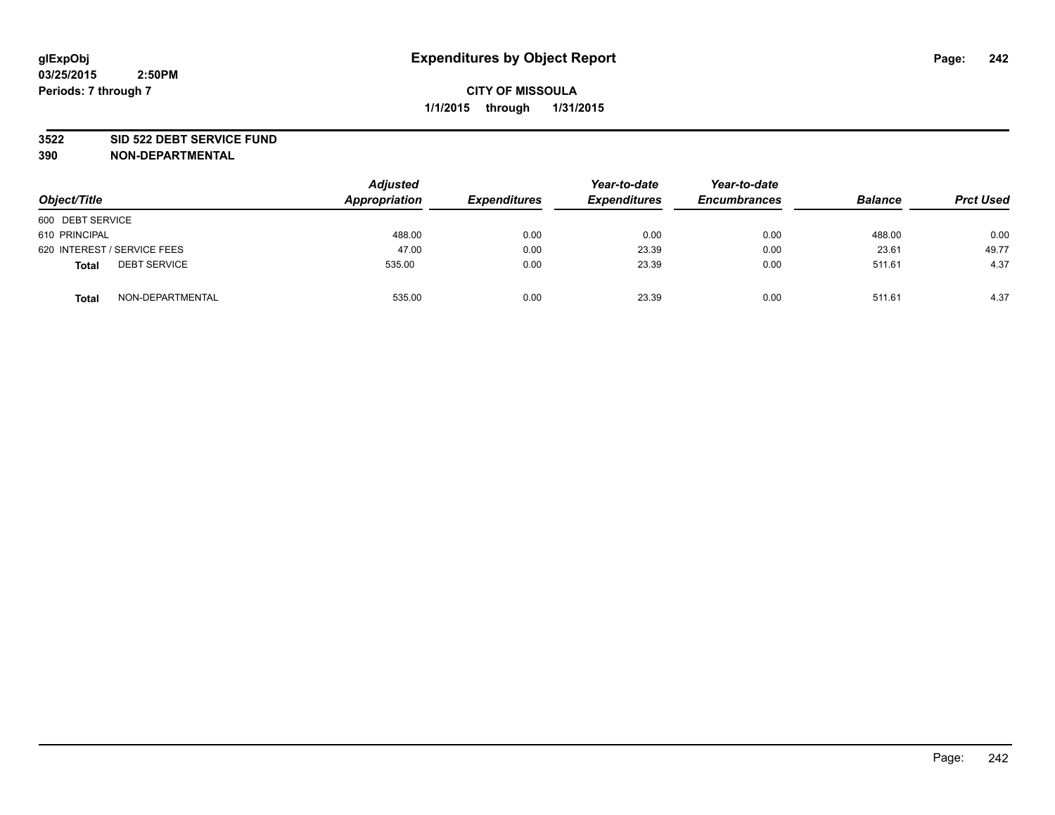#### **3522 SID 522 DEBT SERVICE FUND**

| Object/Title                        | <b>Adjusted</b><br>Appropriation | <b>Expenditures</b> | Year-to-date<br><b>Expenditures</b> | Year-to-date<br><b>Encumbrances</b> | <b>Balance</b> | <b>Prct Used</b> |
|-------------------------------------|----------------------------------|---------------------|-------------------------------------|-------------------------------------|----------------|------------------|
| 600 DEBT SERVICE                    |                                  |                     |                                     |                                     |                |                  |
| 610 PRINCIPAL                       | 488.00                           | 0.00                | 0.00                                | 0.00                                | 488.00         | 0.00             |
| 620 INTEREST / SERVICE FEES         | 47.00                            | 0.00                | 23.39                               | 0.00                                | 23.61          | 49.77            |
| <b>DEBT SERVICE</b><br><b>Total</b> | 535.00                           | 0.00                | 23.39                               | 0.00                                | 511.61         | 4.37             |
| NON-DEPARTMENTAL<br><b>Total</b>    | 535.00                           | 0.00                | 23.39                               | 0.00                                | 511.61         | 4.37             |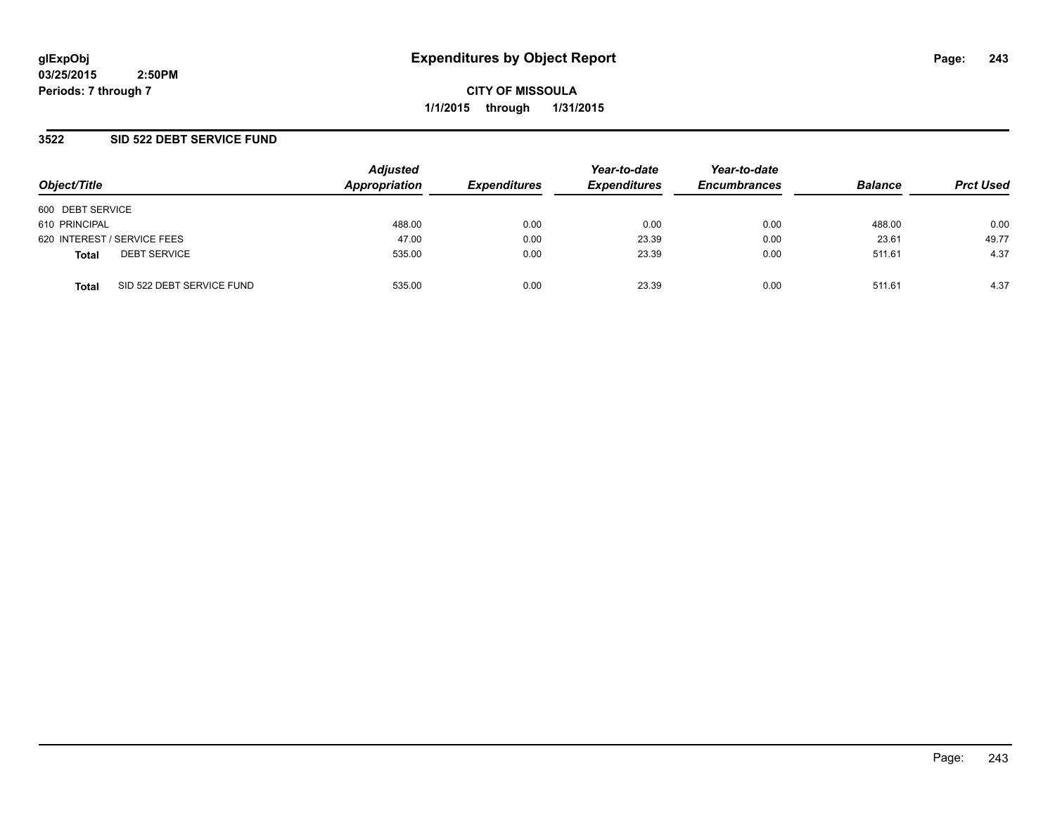**CITY OF MISSOULA 1/1/2015 through 1/31/2015**

### **3522 SID 522 DEBT SERVICE FUND**

| Object/Title                              | <b>Adjusted</b><br>Appropriation | <b>Expenditures</b> | Year-to-date<br><b>Expenditures</b> | Year-to-date<br><b>Encumbrances</b> | <b>Balance</b> | <b>Prct Used</b> |
|-------------------------------------------|----------------------------------|---------------------|-------------------------------------|-------------------------------------|----------------|------------------|
|                                           |                                  |                     |                                     |                                     |                |                  |
| 600 DEBT SERVICE                          |                                  |                     |                                     |                                     |                |                  |
| 610 PRINCIPAL                             | 488.00                           | 0.00                | 0.00                                | 0.00                                | 488.00         | 0.00             |
| 620 INTEREST / SERVICE FEES               | 47.00                            | 0.00                | 23.39                               | 0.00                                | 23.61          | 49.77            |
| <b>DEBT SERVICE</b><br><b>Total</b>       | 535.00                           | 0.00                | 23.39                               | 0.00                                | 511.61         | 4.37             |
| SID 522 DEBT SERVICE FUND<br><b>Total</b> | 535.00                           | 0.00                | 23.39                               | 0.00                                | 511.61         | 4.37             |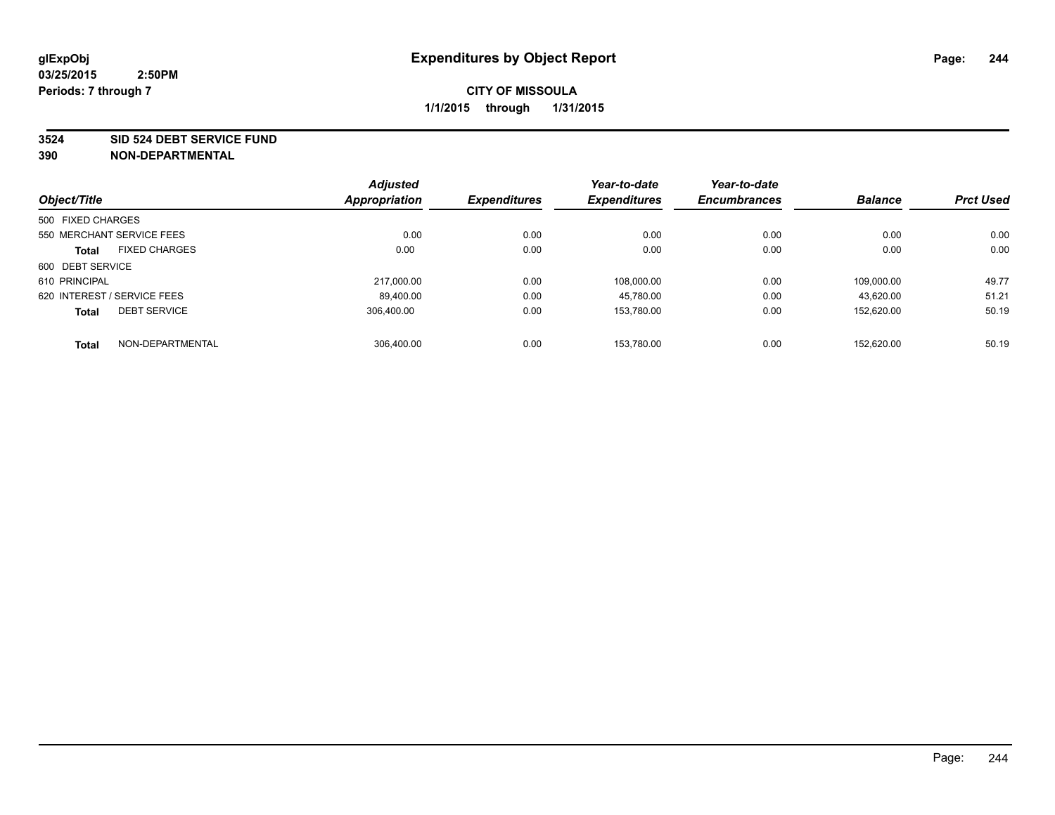#### **3524 SID 524 DEBT SERVICE FUND**

| Object/Title                |                           | <b>Adjusted</b><br>Appropriation | <b>Expenditures</b> | Year-to-date<br><b>Expenditures</b> | Year-to-date<br><b>Encumbrances</b> | <b>Balance</b> | <b>Prct Used</b> |
|-----------------------------|---------------------------|----------------------------------|---------------------|-------------------------------------|-------------------------------------|----------------|------------------|
|                             |                           |                                  |                     |                                     |                                     |                |                  |
| 500 FIXED CHARGES           |                           |                                  |                     |                                     |                                     |                |                  |
|                             | 550 MERCHANT SERVICE FEES | 0.00                             | 0.00                | 0.00                                | 0.00                                | 0.00           | 0.00             |
| <b>Total</b>                | <b>FIXED CHARGES</b>      | 0.00                             | 0.00                | 0.00                                | 0.00                                | 0.00           | 0.00             |
| 600 DEBT SERVICE            |                           |                                  |                     |                                     |                                     |                |                  |
| 610 PRINCIPAL               |                           | 217.000.00                       | 0.00                | 108.000.00                          | 0.00                                | 109.000.00     | 49.77            |
| 620 INTEREST / SERVICE FEES |                           | 89,400.00                        | 0.00                | 45,780.00                           | 0.00                                | 43.620.00      | 51.21            |
| <b>Total</b>                | <b>DEBT SERVICE</b>       | 306.400.00                       | 0.00                | 153.780.00                          | 0.00                                | 152.620.00     | 50.19            |
| <b>Total</b>                | NON-DEPARTMENTAL          | 306.400.00                       | 0.00                | 153.780.00                          | 0.00                                | 152.620.00     | 50.19            |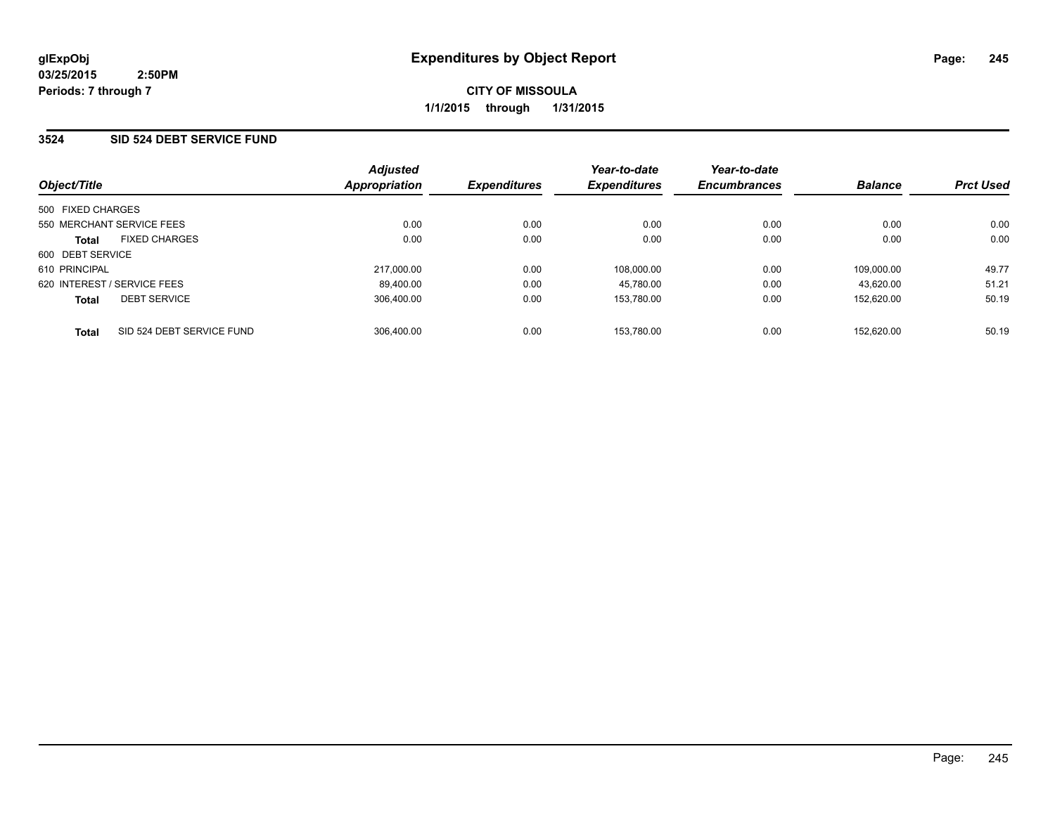### **3524 SID 524 DEBT SERVICE FUND**

| Object/Title                              | <b>Adjusted</b><br><b>Appropriation</b> | <b>Expenditures</b> | Year-to-date<br><b>Expenditures</b> | Year-to-date<br><b>Encumbrances</b> | <b>Balance</b> | <b>Prct Used</b> |
|-------------------------------------------|-----------------------------------------|---------------------|-------------------------------------|-------------------------------------|----------------|------------------|
| 500 FIXED CHARGES                         |                                         |                     |                                     |                                     |                |                  |
| 550 MERCHANT SERVICE FEES                 | 0.00                                    | 0.00                | 0.00                                | 0.00                                | 0.00           | 0.00             |
| <b>FIXED CHARGES</b><br><b>Total</b>      | 0.00                                    | 0.00                | 0.00                                | 0.00                                | 0.00           | 0.00             |
| 600 DEBT SERVICE                          |                                         |                     |                                     |                                     |                |                  |
| 610 PRINCIPAL                             | 217.000.00                              | 0.00                | 108.000.00                          | 0.00                                | 109.000.00     | 49.77            |
| 620 INTEREST / SERVICE FEES               | 89.400.00                               | 0.00                | 45.780.00                           | 0.00                                | 43.620.00      | 51.21            |
| <b>DEBT SERVICE</b><br><b>Total</b>       | 306.400.00                              | 0.00                | 153.780.00                          | 0.00                                | 152.620.00     | 50.19            |
| SID 524 DEBT SERVICE FUND<br><b>Total</b> | 306.400.00                              | 0.00                | 153.780.00                          | 0.00                                | 152.620.00     | 50.19            |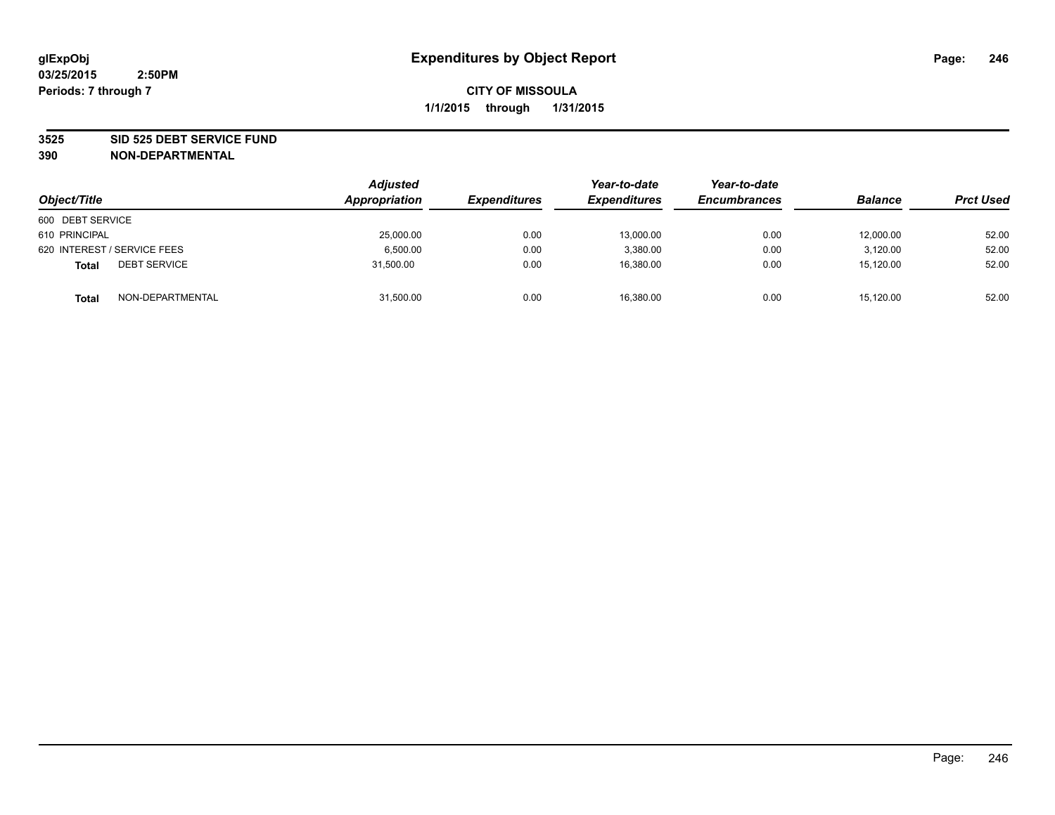#### **3525 SID 525 DEBT SERVICE FUND**

| Object/Title                        | <b>Adjusted</b><br>Appropriation | <b>Expenditures</b> | Year-to-date<br><b>Expenditures</b> | Year-to-date<br><b>Encumbrances</b> | <b>Balance</b> | <b>Prct Used</b> |
|-------------------------------------|----------------------------------|---------------------|-------------------------------------|-------------------------------------|----------------|------------------|
| 600 DEBT SERVICE                    |                                  |                     |                                     |                                     |                |                  |
| 610 PRINCIPAL                       | 25,000.00                        | 0.00                | 13,000.00                           | 0.00                                | 12,000.00      | 52.00            |
| 620 INTEREST / SERVICE FEES         | 6.500.00                         | 0.00                | 3.380.00                            | 0.00                                | 3.120.00       | 52.00            |
| <b>DEBT SERVICE</b><br><b>Total</b> | 31.500.00                        | 0.00                | 16.380.00                           | 0.00                                | 15.120.00      | 52.00            |
| NON-DEPARTMENTAL<br><b>Total</b>    | 31,500.00                        | 0.00                | 16,380.00                           | 0.00                                | 15,120.00      | 52.00            |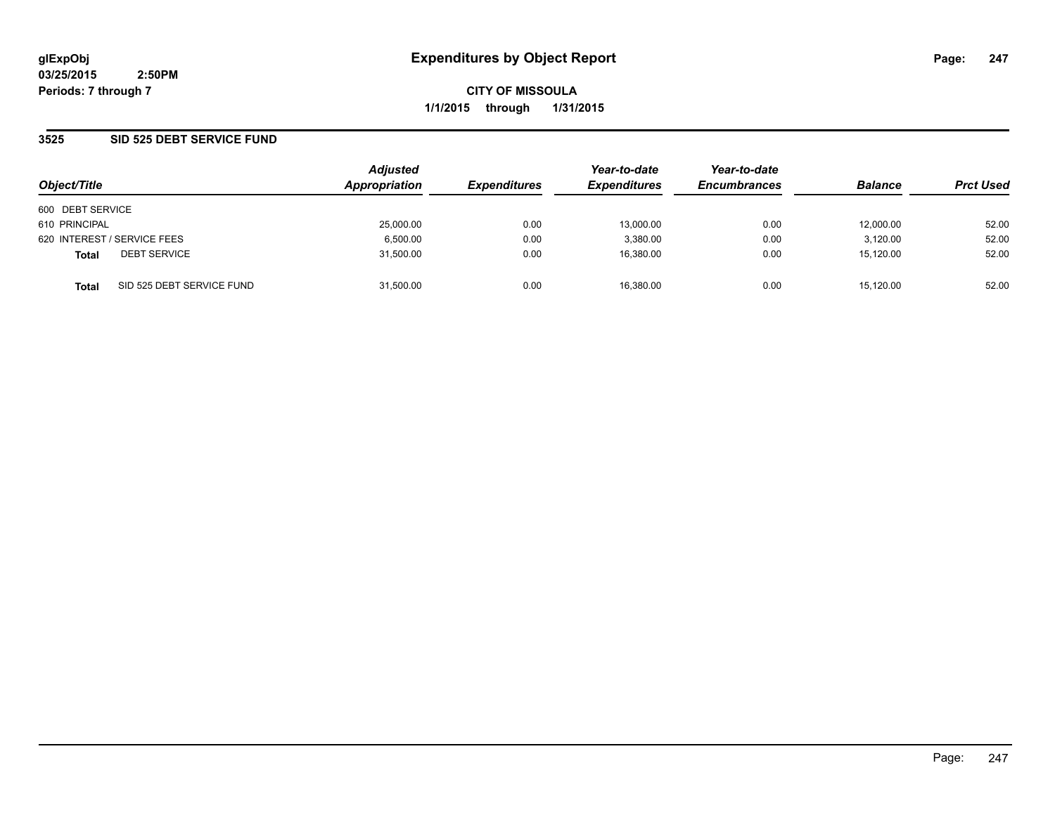**CITY OF MISSOULA 1/1/2015 through 1/31/2015**

### **3525 SID 525 DEBT SERVICE FUND**

| Object/Title                |                           | <b>Adjusted</b> |                     | Year-to-date        | Year-to-date        |                |                  |
|-----------------------------|---------------------------|-----------------|---------------------|---------------------|---------------------|----------------|------------------|
|                             |                           | Appropriation   | <b>Expenditures</b> | <b>Expenditures</b> | <b>Encumbrances</b> | <b>Balance</b> | <b>Prct Used</b> |
| 600 DEBT SERVICE            |                           |                 |                     |                     |                     |                |                  |
| 610 PRINCIPAL               |                           | 25,000.00       | 0.00                | 13.000.00           | 0.00                | 12.000.00      | 52.00            |
| 620 INTEREST / SERVICE FEES |                           | 6.500.00        | 0.00                | 3.380.00            | 0.00                | 3.120.00       | 52.00            |
| <b>Total</b>                | <b>DEBT SERVICE</b>       | 31,500.00       | 0.00                | 16.380.00           | 0.00                | 15,120.00      | 52.00            |
| <b>Total</b>                | SID 525 DEBT SERVICE FUND | 31.500.00       | 0.00                | 16.380.00           | 0.00                | 15.120.00      | 52.00            |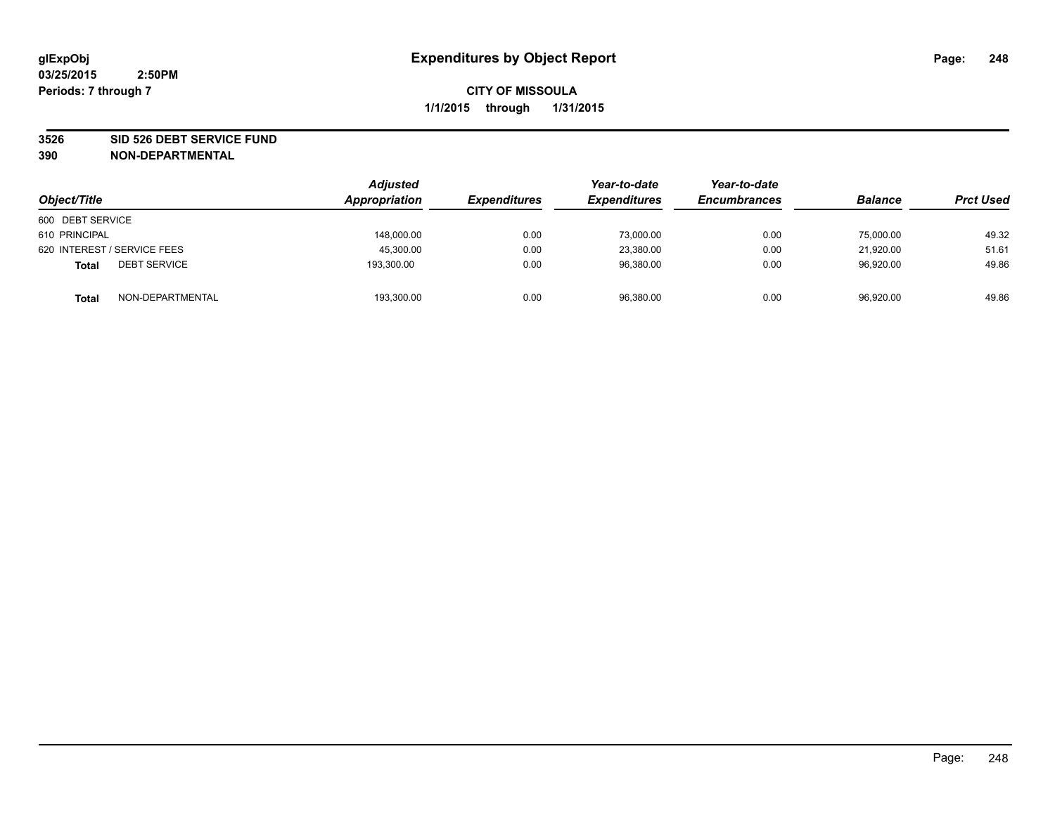#### **3526 SID 526 DEBT SERVICE FUND**

| Object/Title                        | Adjusted<br>Appropriation | <b>Expenditures</b> | Year-to-date<br><b>Expenditures</b> | Year-to-date<br><b>Encumbrances</b> | <b>Balance</b> | <b>Prct Used</b> |
|-------------------------------------|---------------------------|---------------------|-------------------------------------|-------------------------------------|----------------|------------------|
| 600 DEBT SERVICE                    |                           |                     |                                     |                                     |                |                  |
| 610 PRINCIPAL                       | 148,000.00                | 0.00                | 73,000.00                           | 0.00                                | 75,000.00      | 49.32            |
| 620 INTEREST / SERVICE FEES         | 45,300.00                 | 0.00                | 23,380.00                           | 0.00                                | 21.920.00      | 51.61            |
| <b>DEBT SERVICE</b><br><b>Total</b> | 193,300.00                | 0.00                | 96.380.00                           | 0.00                                | 96.920.00      | 49.86            |
| NON-DEPARTMENTAL<br><b>Total</b>    | 193,300.00                | 0.00                | 96,380.00                           | 0.00                                | 96,920.00      | 49.86            |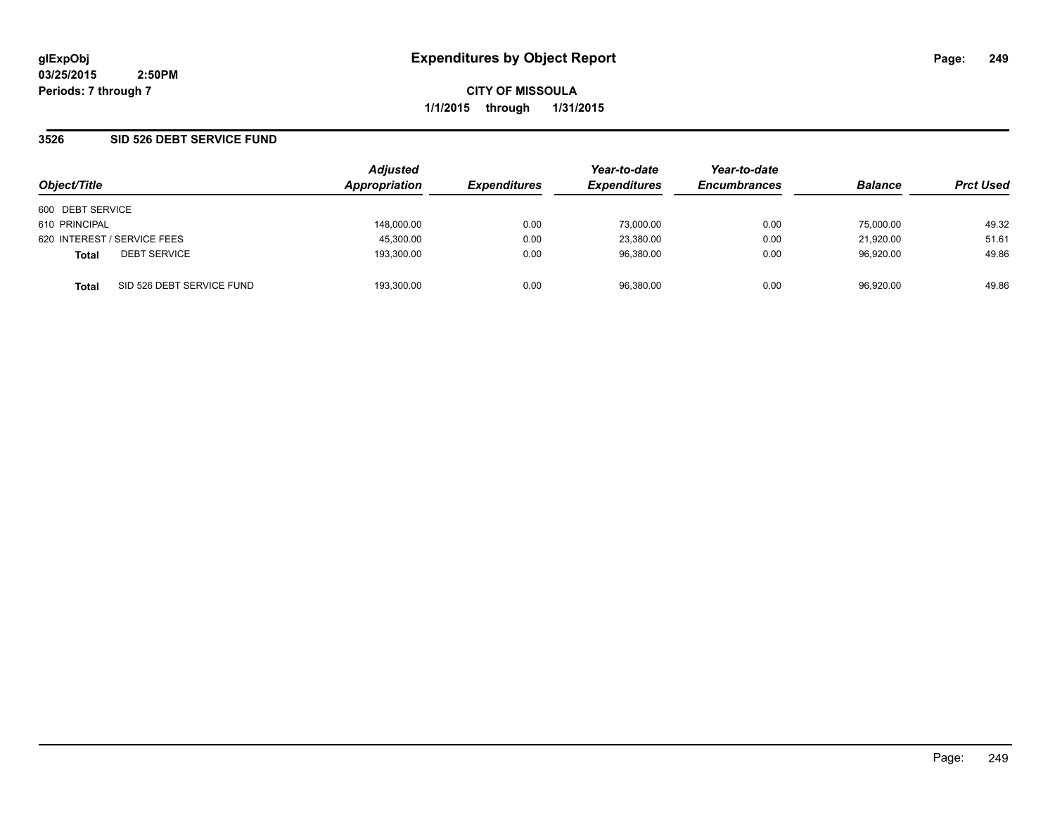**CITY OF MISSOULA 1/1/2015 through 1/31/2015**

### **3526 SID 526 DEBT SERVICE FUND**

| Object/Title                |                           | <b>Adjusted</b> |                     | Year-to-date        | Year-to-date        |                | <b>Prct Used</b> |
|-----------------------------|---------------------------|-----------------|---------------------|---------------------|---------------------|----------------|------------------|
|                             |                           | Appropriation   | <b>Expenditures</b> | <b>Expenditures</b> | <b>Encumbrances</b> | <b>Balance</b> |                  |
| 600 DEBT SERVICE            |                           |                 |                     |                     |                     |                |                  |
| 610 PRINCIPAL               |                           | 148,000.00      | 0.00                | 73,000.00           | 0.00                | 75,000.00      | 49.32            |
| 620 INTEREST / SERVICE FEES |                           | 45,300.00       | 0.00                | 23,380.00           | 0.00                | 21.920.00      | 51.61            |
| <b>Total</b>                | <b>DEBT SERVICE</b>       | 193.300.00      | 0.00                | 96.380.00           | 0.00                | 96.920.00      | 49.86            |
| <b>Total</b>                | SID 526 DEBT SERVICE FUND | 193.300.00      | 0.00                | 96.380.00           | 0.00                | 96.920.00      | 49.86            |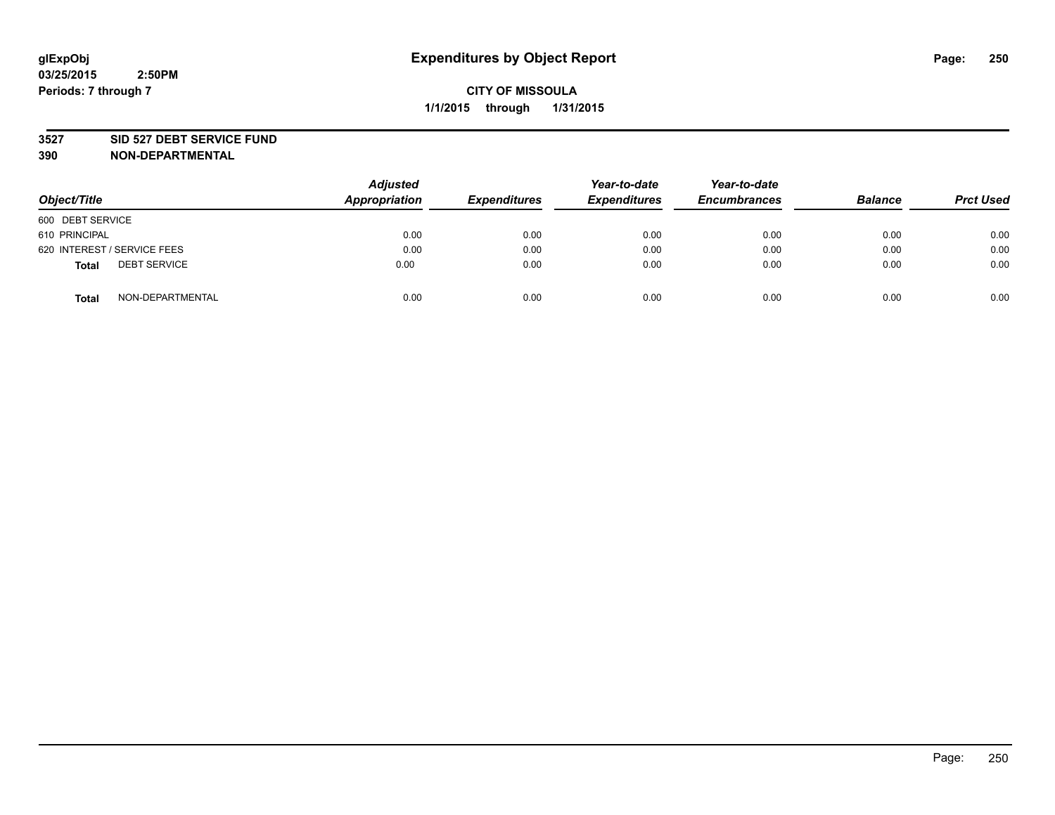#### **3527 SID 527 DEBT SERVICE FUND**

| Object/Title                 | <b>Adjusted</b><br><b>Appropriation</b> | <b>Expenditures</b> | Year-to-date<br><b>Expenditures</b> | Year-to-date<br><b>Encumbrances</b> | <b>Balance</b> | <b>Prct Used</b> |
|------------------------------|-----------------------------------------|---------------------|-------------------------------------|-------------------------------------|----------------|------------------|
| 600 DEBT SERVICE             |                                         |                     |                                     |                                     |                |                  |
| 610 PRINCIPAL                | 0.00                                    | 0.00                | 0.00                                | 0.00                                | 0.00           | 0.00             |
| 620 INTEREST / SERVICE FEES  | 0.00                                    | 0.00                | 0.00                                | 0.00                                | 0.00           | 0.00             |
| <b>DEBT SERVICE</b><br>Total | 0.00                                    | 0.00                | 0.00                                | 0.00                                | 0.00           | 0.00             |
| NON-DEPARTMENTAL<br>Total    | 0.00                                    | 0.00                | 0.00                                | 0.00                                | 0.00           | 0.00             |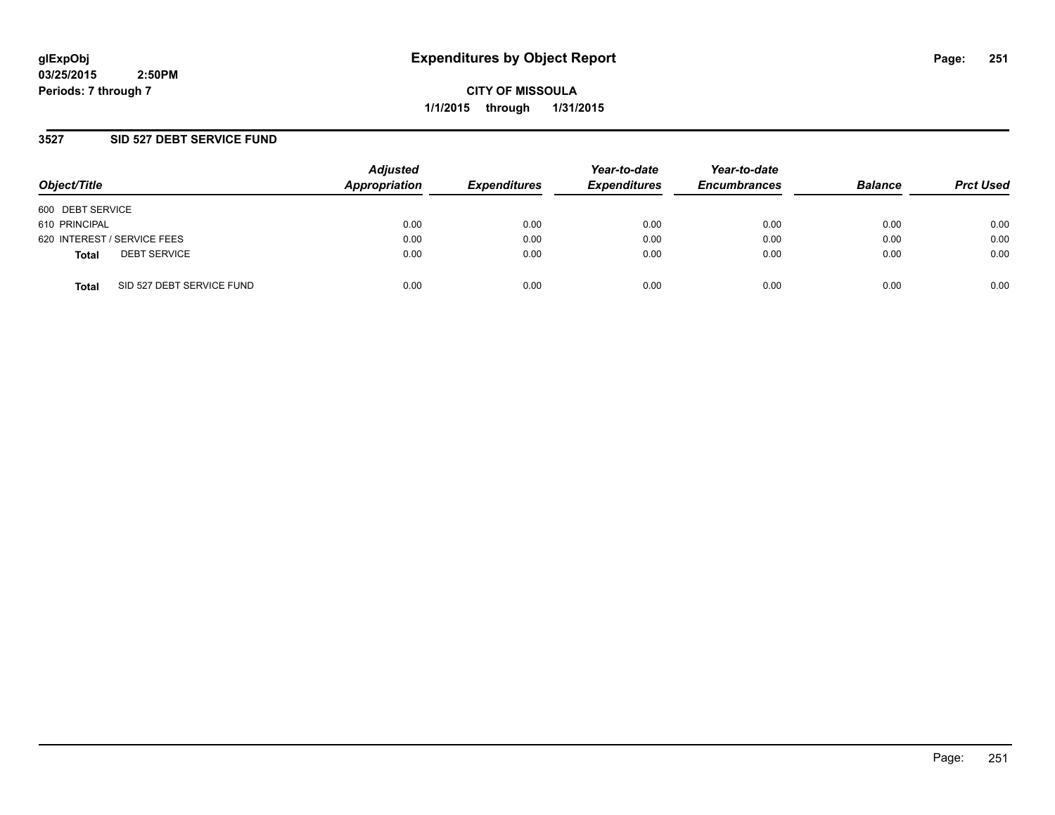**CITY OF MISSOULA 1/1/2015 through 1/31/2015**

### **3527 SID 527 DEBT SERVICE FUND**

| Object/Title                              | <b>Adjusted</b><br>Appropriation | <b>Expenditures</b> | Year-to-date<br><b>Expenditures</b> | Year-to-date<br><b>Encumbrances</b> | <b>Balance</b> | <b>Prct Used</b> |
|-------------------------------------------|----------------------------------|---------------------|-------------------------------------|-------------------------------------|----------------|------------------|
| 600 DEBT SERVICE                          |                                  |                     |                                     |                                     |                |                  |
| 610 PRINCIPAL                             | 0.00                             | 0.00                | 0.00                                | 0.00                                | 0.00           | 0.00             |
| 620 INTEREST / SERVICE FEES               | 0.00                             | 0.00                | 0.00                                | 0.00                                | 0.00           | 0.00             |
| <b>DEBT SERVICE</b><br><b>Total</b>       | 0.00                             | 0.00                | 0.00                                | 0.00                                | 0.00           | 0.00             |
| SID 527 DEBT SERVICE FUND<br><b>Total</b> | 0.00                             | 0.00                | 0.00                                | 0.00                                | 0.00           | 0.00             |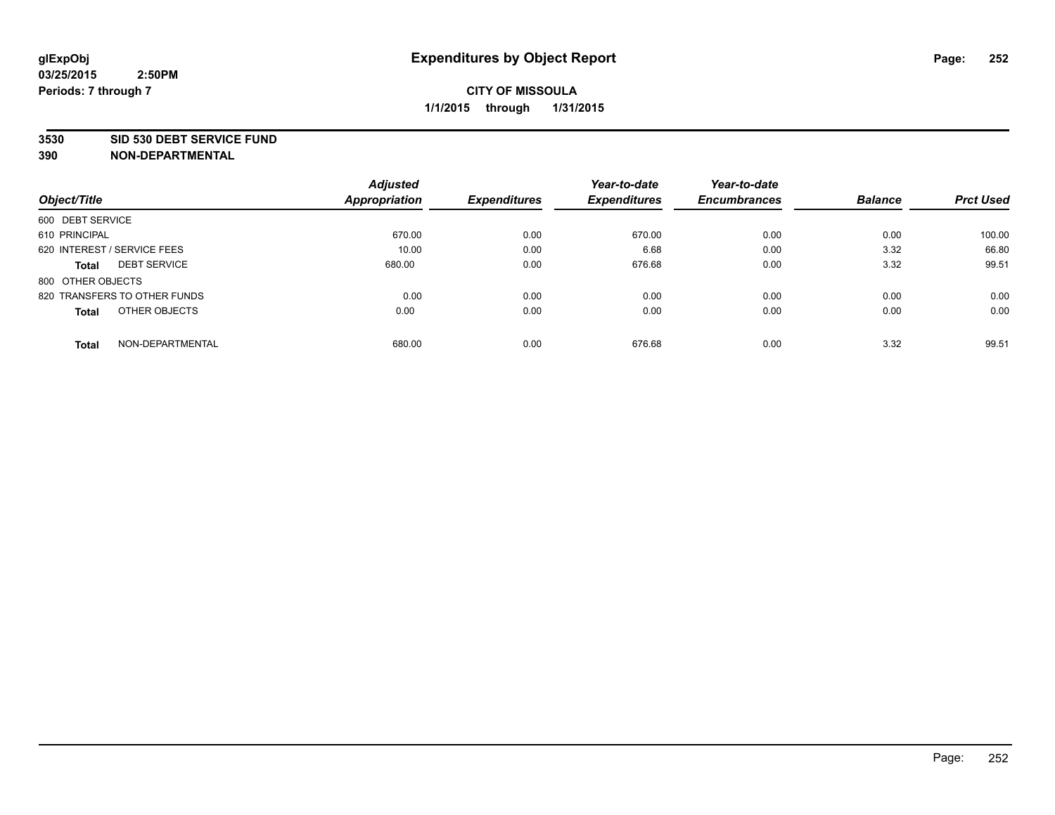#### **3530 SID 530 DEBT SERVICE FUND**

|                                     | <b>Adjusted</b> |                     | Year-to-date        | Year-to-date        |                |                  |
|-------------------------------------|-----------------|---------------------|---------------------|---------------------|----------------|------------------|
| Object/Title                        | Appropriation   | <b>Expenditures</b> | <b>Expenditures</b> | <b>Encumbrances</b> | <b>Balance</b> | <b>Prct Used</b> |
| 600 DEBT SERVICE                    |                 |                     |                     |                     |                |                  |
| 610 PRINCIPAL                       | 670.00          | 0.00                | 670.00              | 0.00                | 0.00           | 100.00           |
| 620 INTEREST / SERVICE FEES         | 10.00           | 0.00                | 6.68                | 0.00                | 3.32           | 66.80            |
| <b>DEBT SERVICE</b><br><b>Total</b> | 680.00          | 0.00                | 676.68              | 0.00                | 3.32           | 99.51            |
| 800 OTHER OBJECTS                   |                 |                     |                     |                     |                |                  |
| 820 TRANSFERS TO OTHER FUNDS        | 0.00            | 0.00                | 0.00                | 0.00                | 0.00           | 0.00             |
| OTHER OBJECTS<br><b>Total</b>       | 0.00            | 0.00                | 0.00                | 0.00                | 0.00           | 0.00             |
| NON-DEPARTMENTAL<br><b>Total</b>    | 680.00          | 0.00                | 676.68              | 0.00                | 3.32           | 99.51            |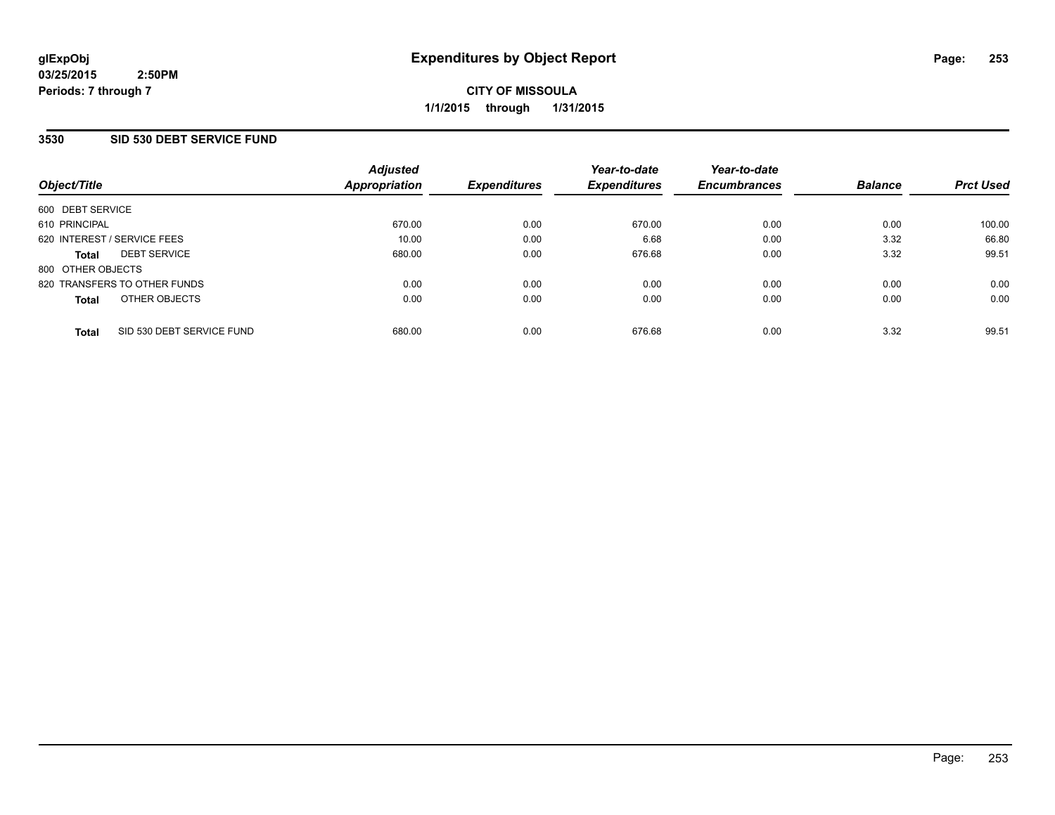# **CITY OF MISSOULA 1/1/2015 through 1/31/2015**

## **3530 SID 530 DEBT SERVICE FUND**

| Object/Title                 |                           | <b>Adjusted</b><br>Appropriation | <b>Expenditures</b> | Year-to-date<br><b>Expenditures</b> | Year-to-date<br><b>Encumbrances</b> | <b>Balance</b> | <b>Prct Used</b> |
|------------------------------|---------------------------|----------------------------------|---------------------|-------------------------------------|-------------------------------------|----------------|------------------|
|                              |                           |                                  |                     |                                     |                                     |                |                  |
| 600 DEBT SERVICE             |                           |                                  |                     |                                     |                                     |                |                  |
| 610 PRINCIPAL                |                           | 670.00                           | 0.00                | 670.00                              | 0.00                                | 0.00           | 100.00           |
| 620 INTEREST / SERVICE FEES  |                           | 10.00                            | 0.00                | 6.68                                | 0.00                                | 3.32           | 66.80            |
| <b>Total</b>                 | <b>DEBT SERVICE</b>       | 680.00                           | 0.00                | 676.68                              | 0.00                                | 3.32           | 99.51            |
| 800 OTHER OBJECTS            |                           |                                  |                     |                                     |                                     |                |                  |
| 820 TRANSFERS TO OTHER FUNDS |                           | 0.00                             | 0.00                | 0.00                                | 0.00                                | 0.00           | 0.00             |
| <b>Total</b>                 | OTHER OBJECTS             | 0.00                             | 0.00                | 0.00                                | 0.00                                | 0.00           | 0.00             |
| <b>Total</b>                 | SID 530 DEBT SERVICE FUND | 680.00                           | 0.00                | 676.68                              | 0.00                                | 3.32           | 99.51            |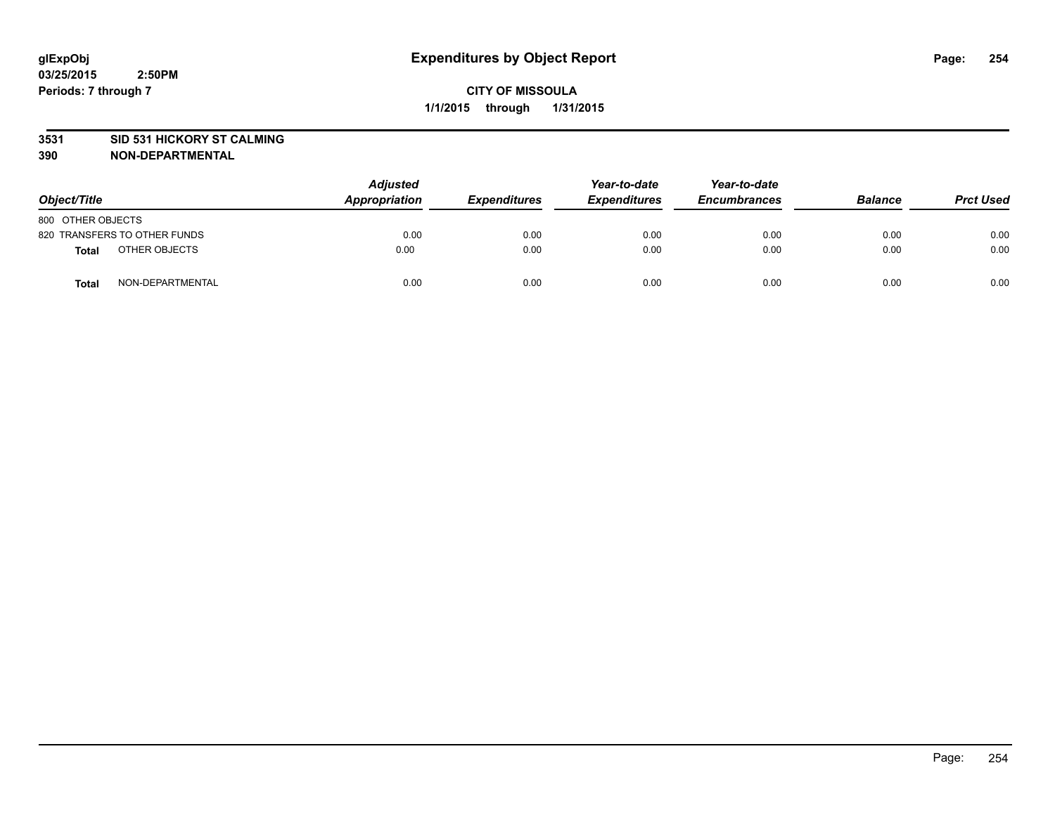### **3531 SID 531 HICKORY ST CALMING**

| Object/Title                 |                  | <b>Adjusted</b><br>Appropriation | <b>Expenditures</b> | Year-to-date<br><b>Expenditures</b> | Year-to-date<br><b>Encumbrances</b> | <b>Balance</b> | <b>Prct Used</b> |
|------------------------------|------------------|----------------------------------|---------------------|-------------------------------------|-------------------------------------|----------------|------------------|
| 800 OTHER OBJECTS            |                  |                                  |                     |                                     |                                     |                |                  |
| 820 TRANSFERS TO OTHER FUNDS |                  | 0.00                             | 0.00                | 0.00                                | 0.00                                | 0.00           | 0.00             |
| <b>Total</b>                 | OTHER OBJECTS    | 0.00                             | 0.00                | 0.00                                | 0.00                                | 0.00           | 0.00             |
| <b>Total</b>                 | NON-DEPARTMENTAL | 0.00                             | 0.00                | 0.00                                | 0.00                                | 0.00           | 0.00             |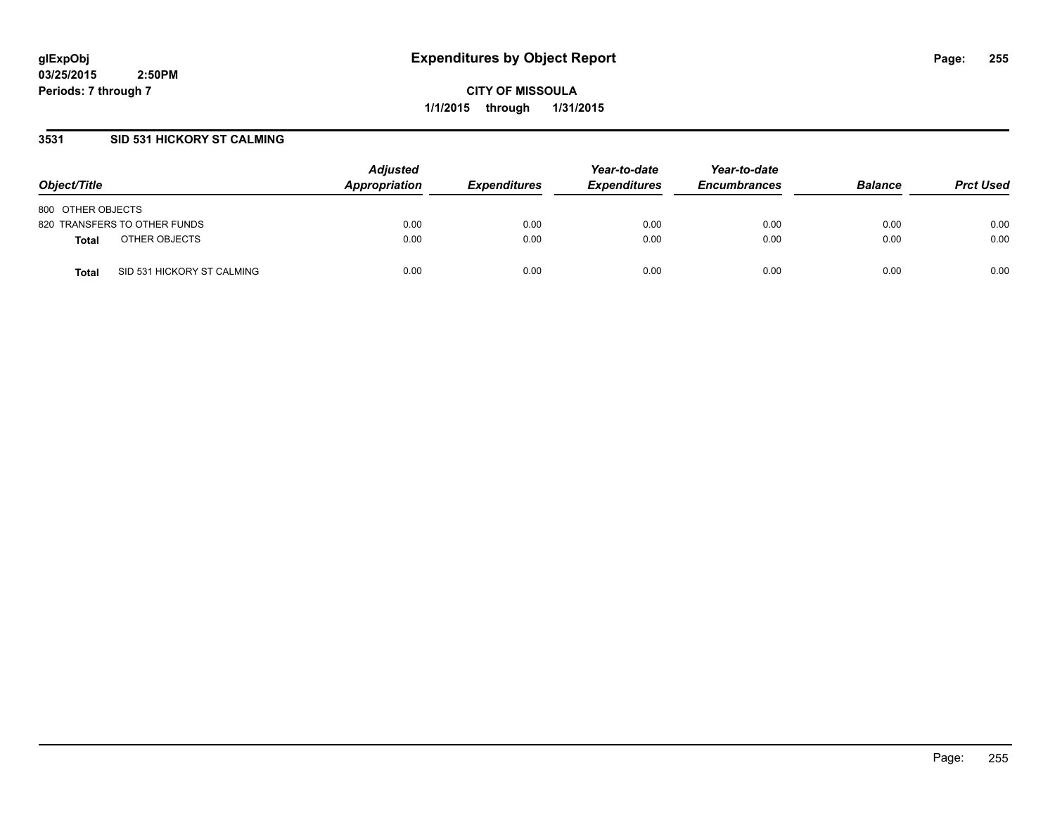**CITY OF MISSOULA 1/1/2015 through 1/31/2015**

## **3531 SID 531 HICKORY ST CALMING**

| Object/Title                               | <b>Adjusted</b><br>Appropriation | <i><b>Expenditures</b></i> | Year-to-date<br><b>Expenditures</b> | Year-to-date<br><b>Encumbrances</b> | <b>Balance</b> | <b>Prct Used</b> |
|--------------------------------------------|----------------------------------|----------------------------|-------------------------------------|-------------------------------------|----------------|------------------|
| 800 OTHER OBJECTS                          |                                  |                            |                                     |                                     |                |                  |
| 820 TRANSFERS TO OTHER FUNDS               | 0.00                             | 0.00                       | 0.00                                | 0.00                                | 0.00           | 0.00             |
| OTHER OBJECTS<br><b>Total</b>              | 0.00                             | 0.00                       | 0.00                                | 0.00                                | 0.00           | 0.00             |
| SID 531 HICKORY ST CALMING<br><b>Total</b> | 0.00                             | 0.00                       | 0.00                                | 0.00                                | 0.00           | 0.00             |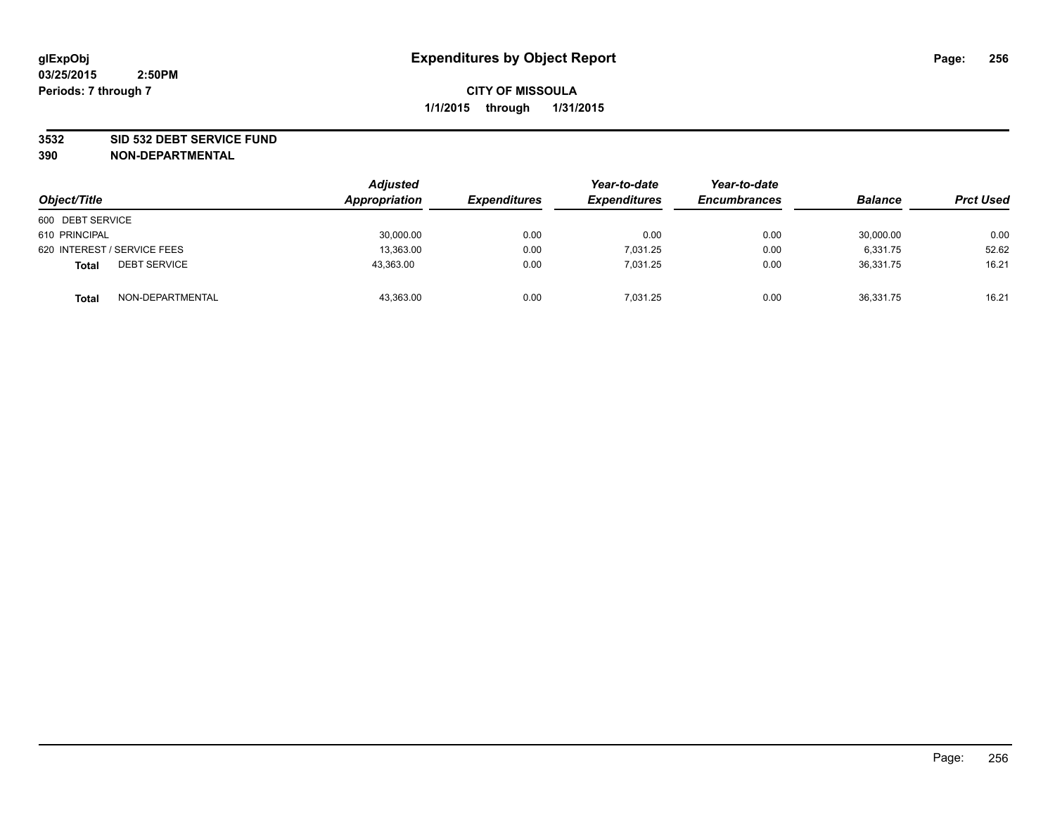### **3532 SID 532 DEBT SERVICE FUND**

| Object/Title                        | <b>Adjusted</b><br>Appropriation | <i><b>Expenditures</b></i> | Year-to-date<br><b>Expenditures</b> | Year-to-date<br><b>Encumbrances</b> | <b>Balance</b> | <b>Prct Used</b> |
|-------------------------------------|----------------------------------|----------------------------|-------------------------------------|-------------------------------------|----------------|------------------|
| 600 DEBT SERVICE                    |                                  |                            |                                     |                                     |                |                  |
| 610 PRINCIPAL                       | 30,000.00                        | 0.00                       | 0.00                                | 0.00                                | 30,000.00      | 0.00             |
| 620 INTEREST / SERVICE FEES         | 13,363.00                        | 0.00                       | 7.031.25                            | 0.00                                | 6,331.75       | 52.62            |
| <b>DEBT SERVICE</b><br><b>Total</b> | 43,363.00                        | 0.00                       | 7.031.25                            | 0.00                                | 36,331.75      | 16.21            |
| NON-DEPARTMENTAL<br><b>Total</b>    | 43,363.00                        | 0.00                       | 7.031.25                            | 0.00                                | 36.331.75      | 16.21            |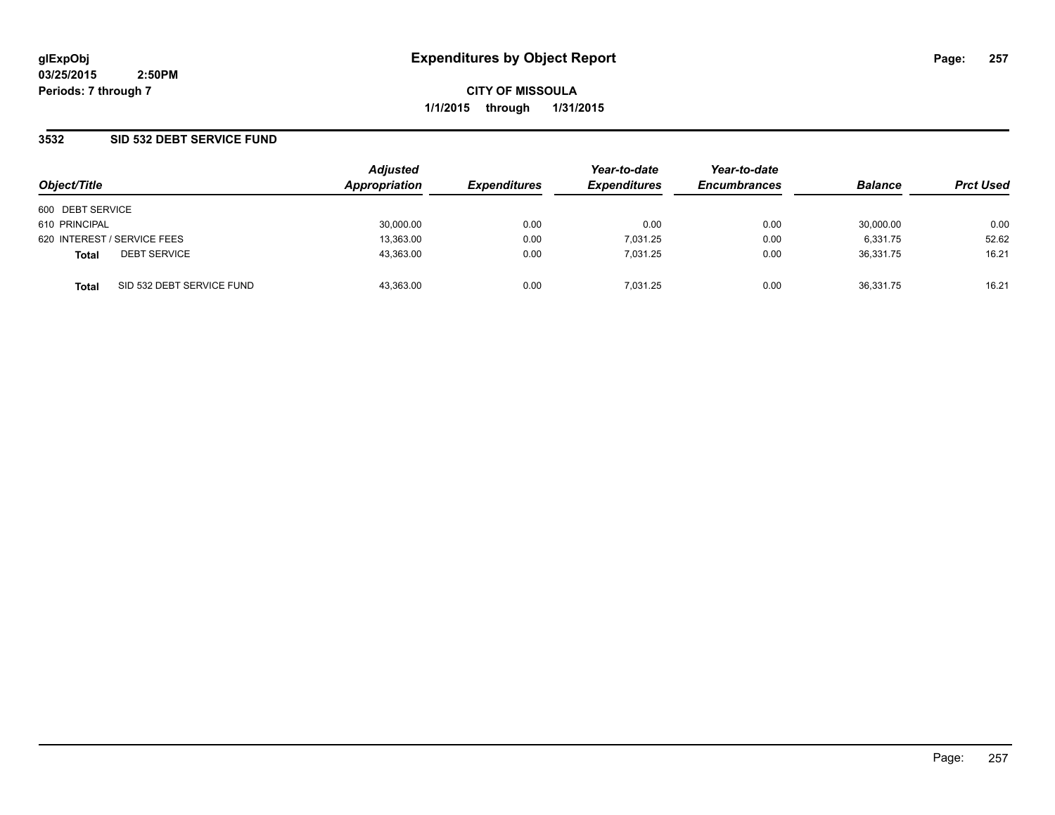**CITY OF MISSOULA 1/1/2015 through 1/31/2015**

### **3532 SID 532 DEBT SERVICE FUND**

| Object/Title     |                             | <b>Adjusted</b><br><b>Appropriation</b> | <b>Expenditures</b> | Year-to-date<br><b>Expenditures</b> | Year-to-date<br><b>Encumbrances</b> | <b>Balance</b> | <b>Prct Used</b> |
|------------------|-----------------------------|-----------------------------------------|---------------------|-------------------------------------|-------------------------------------|----------------|------------------|
| 600 DEBT SERVICE |                             |                                         |                     |                                     |                                     |                |                  |
| 610 PRINCIPAL    |                             | 30,000.00                               | 0.00                | 0.00                                | 0.00                                | 30,000.00      | 0.00             |
|                  | 620 INTEREST / SERVICE FEES | 13,363.00                               | 0.00                | 7.031.25                            | 0.00                                | 6.331.75       | 52.62            |
| <b>Total</b>     | <b>DEBT SERVICE</b>         | 43.363.00                               | 0.00                | 7.031.25                            | 0.00                                | 36.331.75      | 16.21            |
| <b>Total</b>     | SID 532 DEBT SERVICE FUND   | 43.363.00                               | 0.00                | 7.031.25                            | 0.00                                | 36.331.75      | 16.21            |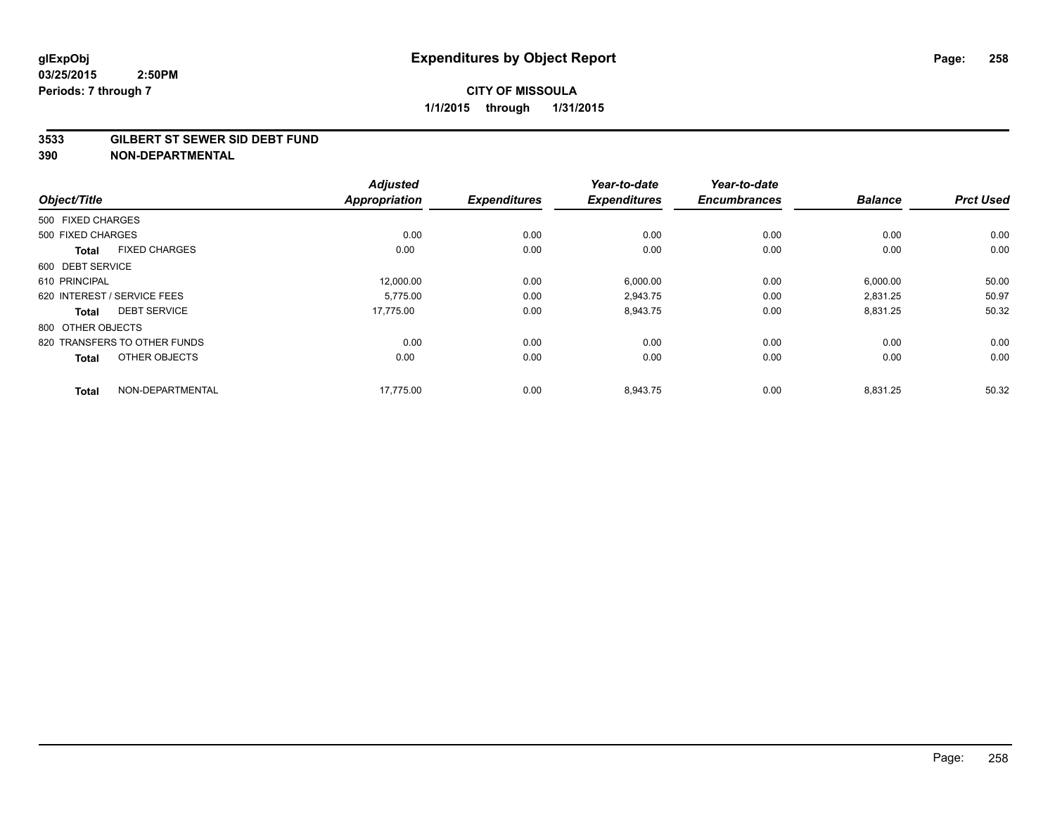#### **3533 GILBERT ST SEWER SID DEBT FUND**

|                             |                              | <b>Adjusted</b>      |                     | Year-to-date        | Year-to-date        |                |                  |
|-----------------------------|------------------------------|----------------------|---------------------|---------------------|---------------------|----------------|------------------|
| Object/Title                |                              | <b>Appropriation</b> | <b>Expenditures</b> | <b>Expenditures</b> | <b>Encumbrances</b> | <b>Balance</b> | <b>Prct Used</b> |
| 500 FIXED CHARGES           |                              |                      |                     |                     |                     |                |                  |
| 500 FIXED CHARGES           |                              | 0.00                 | 0.00                | 0.00                | 0.00                | 0.00           | 0.00             |
| <b>Total</b>                | <b>FIXED CHARGES</b>         | 0.00                 | 0.00                | 0.00                | 0.00                | 0.00           | 0.00             |
| 600 DEBT SERVICE            |                              |                      |                     |                     |                     |                |                  |
| 610 PRINCIPAL               |                              | 12,000.00            | 0.00                | 6,000.00            | 0.00                | 6,000.00       | 50.00            |
| 620 INTEREST / SERVICE FEES |                              | 5.775.00             | 0.00                | 2.943.75            | 0.00                | 2.831.25       | 50.97            |
| <b>Total</b>                | <b>DEBT SERVICE</b>          | 17,775.00            | 0.00                | 8,943.75            | 0.00                | 8,831.25       | 50.32            |
| 800 OTHER OBJECTS           |                              |                      |                     |                     |                     |                |                  |
|                             | 820 TRANSFERS TO OTHER FUNDS | 0.00                 | 0.00                | 0.00                | 0.00                | 0.00           | 0.00             |
| <b>Total</b>                | OTHER OBJECTS                | 0.00                 | 0.00                | 0.00                | 0.00                | 0.00           | 0.00             |
| <b>Total</b>                | NON-DEPARTMENTAL             | 17,775.00            | 0.00                | 8,943.75            | 0.00                | 8,831.25       | 50.32            |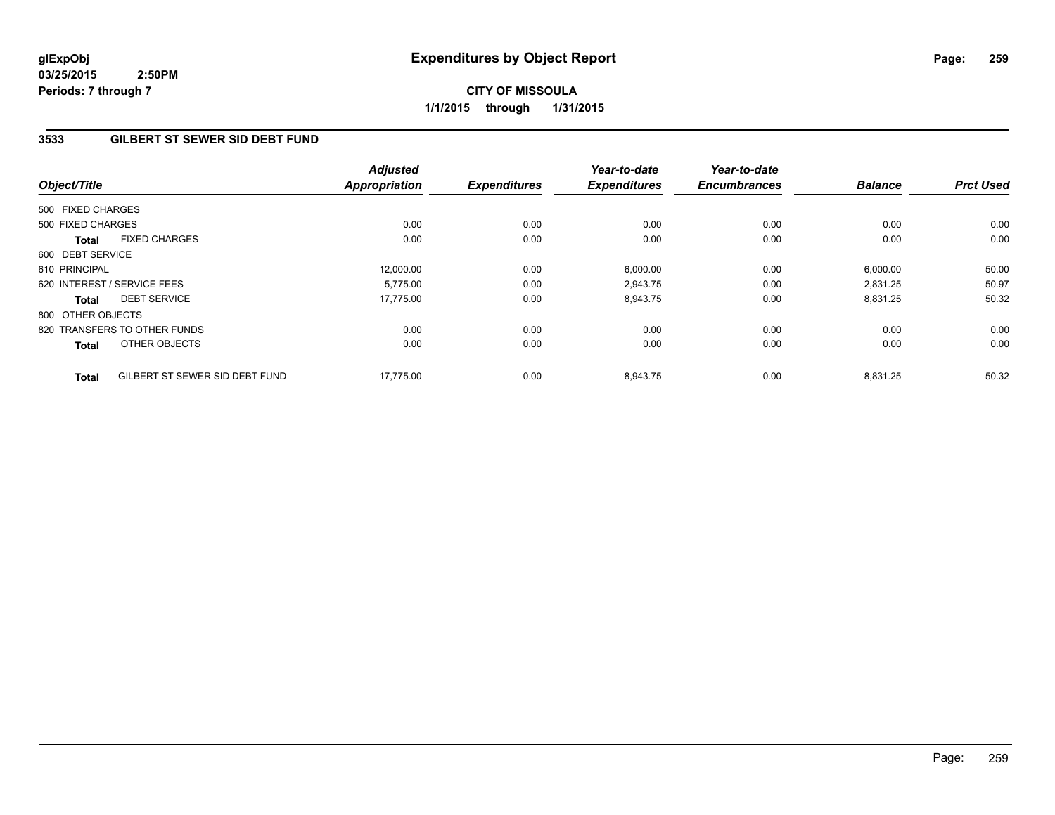## **3533 GILBERT ST SEWER SID DEBT FUND**

| Object/Title      |                                | <b>Adjusted</b><br><b>Appropriation</b> | <b>Expenditures</b> | Year-to-date<br><b>Expenditures</b> | Year-to-date<br><b>Encumbrances</b> | <b>Balance</b> | <b>Prct Used</b> |
|-------------------|--------------------------------|-----------------------------------------|---------------------|-------------------------------------|-------------------------------------|----------------|------------------|
|                   |                                |                                         |                     |                                     |                                     |                |                  |
| 500 FIXED CHARGES |                                |                                         |                     |                                     |                                     |                |                  |
| 500 FIXED CHARGES |                                | 0.00                                    | 0.00                | 0.00                                | 0.00                                | 0.00           | 0.00             |
| <b>Total</b>      | <b>FIXED CHARGES</b>           | 0.00                                    | 0.00                | 0.00                                | 0.00                                | 0.00           | 0.00             |
| 600 DEBT SERVICE  |                                |                                         |                     |                                     |                                     |                |                  |
| 610 PRINCIPAL     |                                | 12,000.00                               | 0.00                | 6,000.00                            | 0.00                                | 6,000.00       | 50.00            |
|                   | 620 INTEREST / SERVICE FEES    | 5.775.00                                | 0.00                | 2,943.75                            | 0.00                                | 2,831.25       | 50.97            |
| Total             | <b>DEBT SERVICE</b>            | 17.775.00                               | 0.00                | 8,943.75                            | 0.00                                | 8,831.25       | 50.32            |
| 800 OTHER OBJECTS |                                |                                         |                     |                                     |                                     |                |                  |
|                   | 820 TRANSFERS TO OTHER FUNDS   | 0.00                                    | 0.00                | 0.00                                | 0.00                                | 0.00           | 0.00             |
| <b>Total</b>      | OTHER OBJECTS                  | 0.00                                    | 0.00                | 0.00                                | 0.00                                | 0.00           | 0.00             |
| <b>Total</b>      | GILBERT ST SEWER SID DEBT FUND | 17,775.00                               | 0.00                | 8,943.75                            | 0.00                                | 8,831.25       | 50.32            |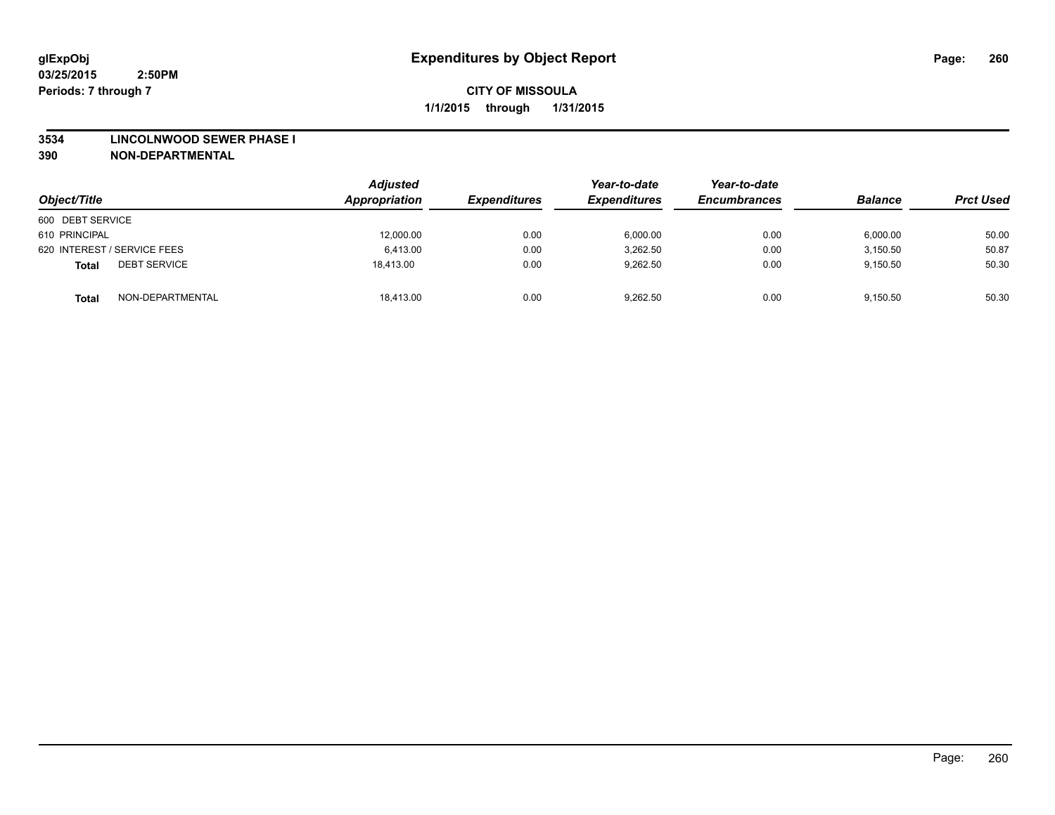#### **3534 LINCOLNWOOD SEWER PHASE I**

| Object/Title                        | Adjusted<br>Appropriation | <b>Expenditures</b> | Year-to-date<br><b>Expenditures</b> | Year-to-date<br><b>Encumbrances</b> | <b>Balance</b> | <b>Prct Used</b> |
|-------------------------------------|---------------------------|---------------------|-------------------------------------|-------------------------------------|----------------|------------------|
| 600 DEBT SERVICE                    |                           |                     |                                     |                                     |                |                  |
| 610 PRINCIPAL                       | 12,000.00                 | 0.00                | 6,000.00                            | 0.00                                | 6,000.00       | 50.00            |
| 620 INTEREST / SERVICE FEES         | 6.413.00                  | 0.00                | 3,262.50                            | 0.00                                | 3.150.50       | 50.87            |
| <b>DEBT SERVICE</b><br><b>Total</b> | 18.413.00                 | 0.00                | 9.262.50                            | 0.00                                | 9.150.50       | 50.30            |
| NON-DEPARTMENTAL<br><b>Total</b>    | 18,413.00                 | 0.00                | 9,262.50                            | 0.00                                | 9.150.50       | 50.30            |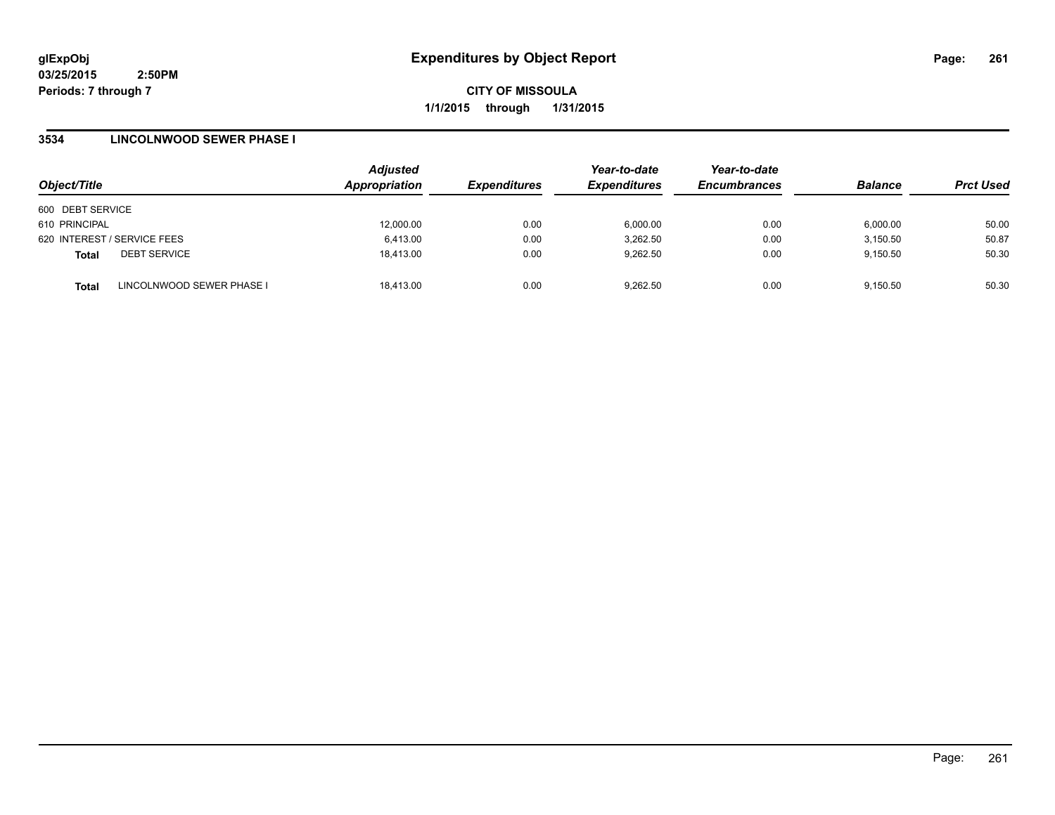**CITY OF MISSOULA 1/1/2015 through 1/31/2015**

## **3534 LINCOLNWOOD SEWER PHASE I**

|                                           | <b>Adjusted</b> |                     | Year-to-date        | Year-to-date        |                |                  |
|-------------------------------------------|-----------------|---------------------|---------------------|---------------------|----------------|------------------|
| Object/Title                              | Appropriation   | <b>Expenditures</b> | <b>Expenditures</b> | <b>Encumbrances</b> | <b>Balance</b> | <b>Prct Used</b> |
| 600 DEBT SERVICE                          |                 |                     |                     |                     |                |                  |
| 610 PRINCIPAL                             | 12,000.00       | 0.00                | 6,000.00            | 0.00                | 6,000.00       | 50.00            |
| 620 INTEREST / SERVICE FEES               | 6,413.00        | 0.00                | 3.262.50            | 0.00                | 3,150.50       | 50.87            |
| <b>DEBT SERVICE</b><br><b>Total</b>       | 18.413.00       | 0.00                | 9,262.50            | 0.00                | 9,150.50       | 50.30            |
| LINCOLNWOOD SEWER PHASE I<br><b>Total</b> | 18.413.00       | 0.00                | 9.262.50            | 0.00                | 9.150.50       | 50.30            |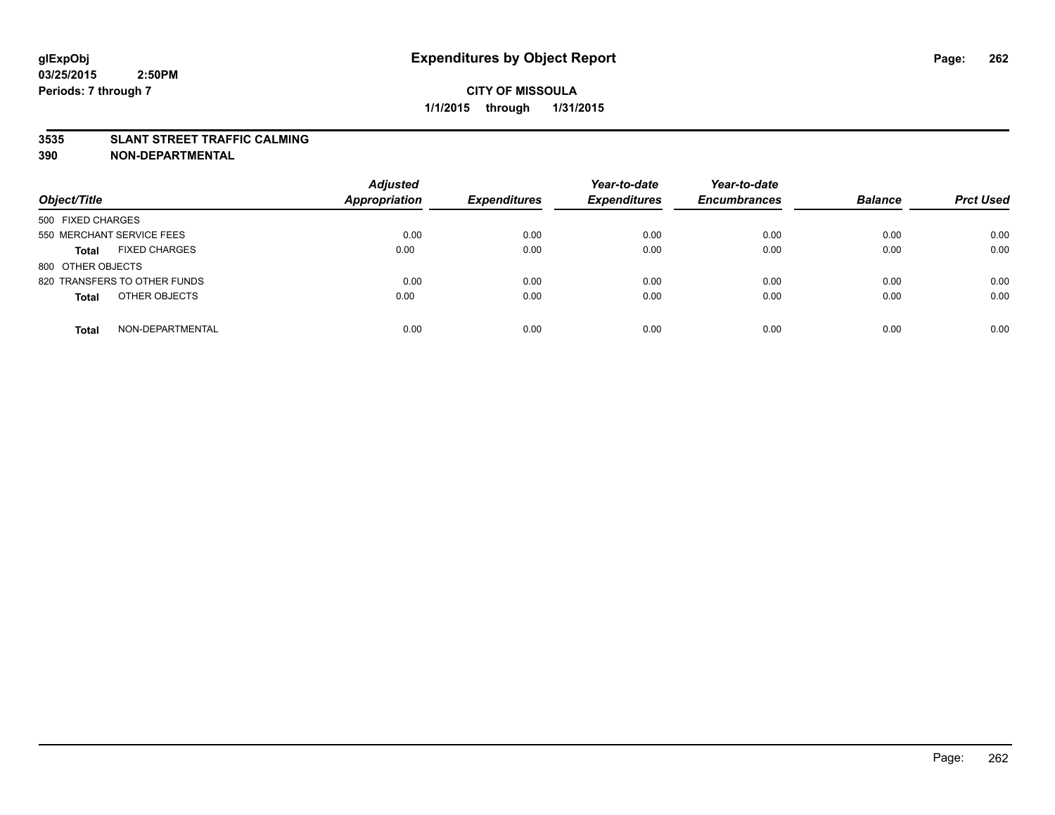### **3535 SLANT STREET TRAFFIC CALMING**

| Object/Title                         | <b>Adjusted</b><br><b>Appropriation</b> | <b>Expenditures</b> | Year-to-date<br><b>Expenditures</b> | Year-to-date<br><b>Encumbrances</b> | <b>Balance</b> | <b>Prct Used</b> |
|--------------------------------------|-----------------------------------------|---------------------|-------------------------------------|-------------------------------------|----------------|------------------|
| 500 FIXED CHARGES                    |                                         |                     |                                     |                                     |                |                  |
| 550 MERCHANT SERVICE FEES            | 0.00                                    | 0.00                | 0.00                                | 0.00                                | 0.00           | 0.00             |
| <b>FIXED CHARGES</b><br><b>Total</b> | 0.00                                    | 0.00                | 0.00                                | 0.00                                | 0.00           | 0.00             |
| 800 OTHER OBJECTS                    |                                         |                     |                                     |                                     |                |                  |
| 820 TRANSFERS TO OTHER FUNDS         | 0.00                                    | 0.00                | 0.00                                | 0.00                                | 0.00           | 0.00             |
| OTHER OBJECTS<br><b>Total</b>        | 0.00                                    | 0.00                | 0.00                                | 0.00                                | 0.00           | 0.00             |
| NON-DEPARTMENTAL<br><b>Total</b>     | 0.00                                    | 0.00                | 0.00                                | 0.00                                | 0.00           | 0.00             |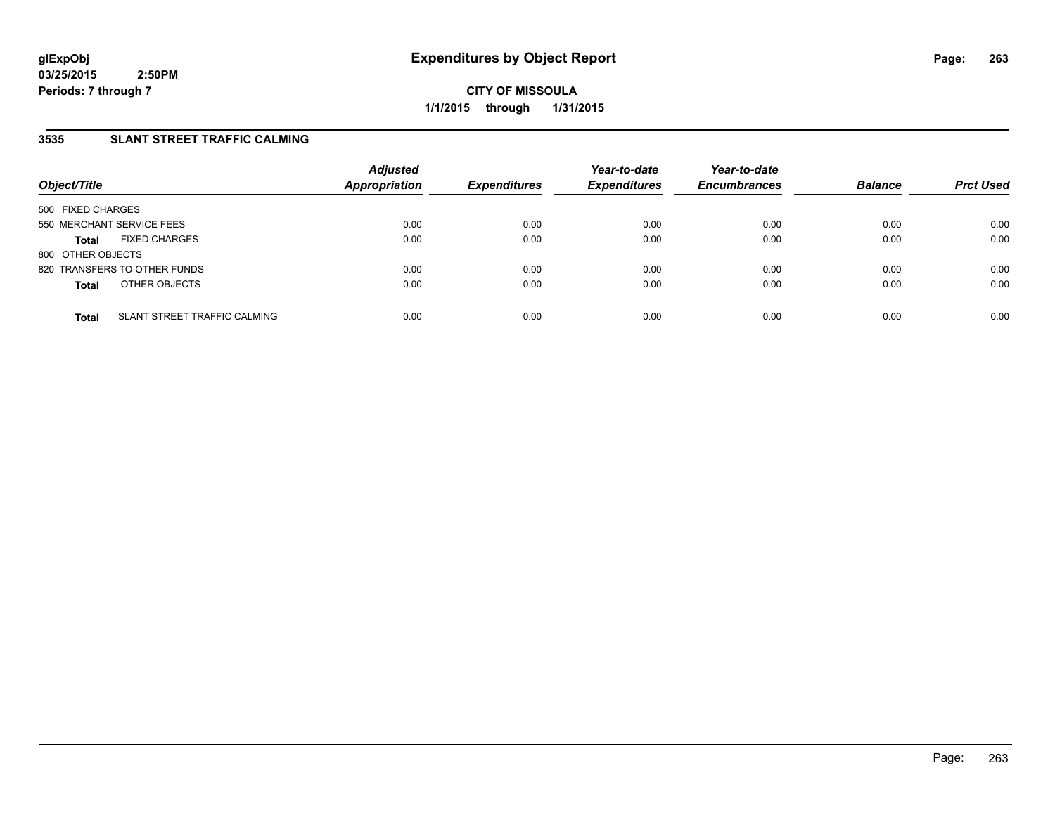## **3535 SLANT STREET TRAFFIC CALMING**

| Object/Title                                 | <b>Adjusted</b><br><b>Appropriation</b> | <b>Expenditures</b> | Year-to-date<br><b>Expenditures</b> | Year-to-date<br><b>Encumbrances</b> | <b>Balance</b> | <b>Prct Used</b> |
|----------------------------------------------|-----------------------------------------|---------------------|-------------------------------------|-------------------------------------|----------------|------------------|
| 500 FIXED CHARGES                            |                                         |                     |                                     |                                     |                |                  |
| 550 MERCHANT SERVICE FEES                    | 0.00                                    | 0.00                | 0.00                                | 0.00                                | 0.00           | 0.00             |
| <b>FIXED CHARGES</b><br><b>Total</b>         | 0.00                                    | 0.00                | 0.00                                | 0.00                                | 0.00           | 0.00             |
| 800 OTHER OBJECTS                            |                                         |                     |                                     |                                     |                |                  |
| 820 TRANSFERS TO OTHER FUNDS                 | 0.00                                    | 0.00                | 0.00                                | 0.00                                | 0.00           | 0.00             |
| OTHER OBJECTS<br><b>Total</b>                | 0.00                                    | 0.00                | 0.00                                | 0.00                                | 0.00           | 0.00             |
| SLANT STREET TRAFFIC CALMING<br><b>Total</b> | 0.00                                    | 0.00                | 0.00                                | 0.00                                | 0.00           | 0.00             |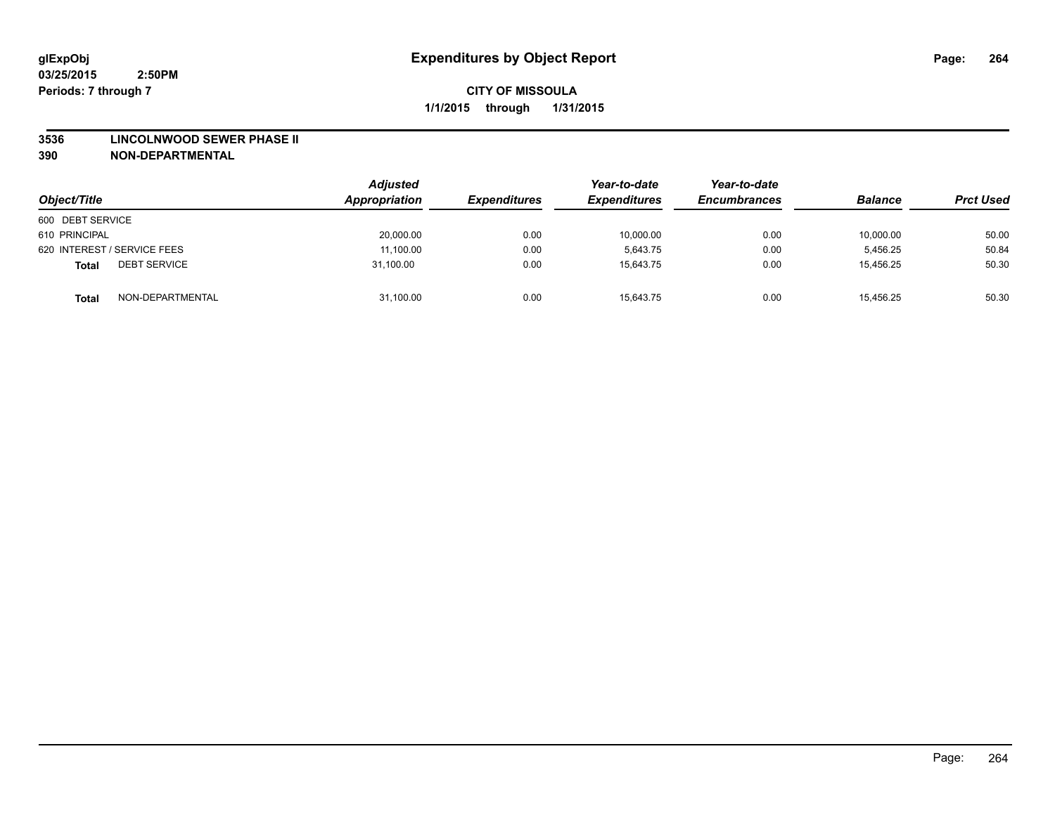#### **3536 LINCOLNWOOD SEWER PHASE II**

| Object/Title                        | Adjusted<br>Appropriation | <b>Expenditures</b> | Year-to-date<br><b>Expenditures</b> | Year-to-date<br><b>Encumbrances</b> | <b>Balance</b> | <b>Prct Used</b> |
|-------------------------------------|---------------------------|---------------------|-------------------------------------|-------------------------------------|----------------|------------------|
| 600 DEBT SERVICE                    |                           |                     |                                     |                                     |                |                  |
| 610 PRINCIPAL                       | 20,000.00                 | 0.00                | 10,000.00                           | 0.00                                | 10,000.00      | 50.00            |
| 620 INTEREST / SERVICE FEES         | 11,100.00                 | 0.00                | 5.643.75                            | 0.00                                | 5.456.25       | 50.84            |
| <b>DEBT SERVICE</b><br><b>Total</b> | 31.100.00                 | 0.00                | 15.643.75                           | 0.00                                | 15.456.25      | 50.30            |
| NON-DEPARTMENTAL<br><b>Total</b>    | 31,100.00                 | 0.00                | 15,643.75                           | 0.00                                | 15,456.25      | 50.30            |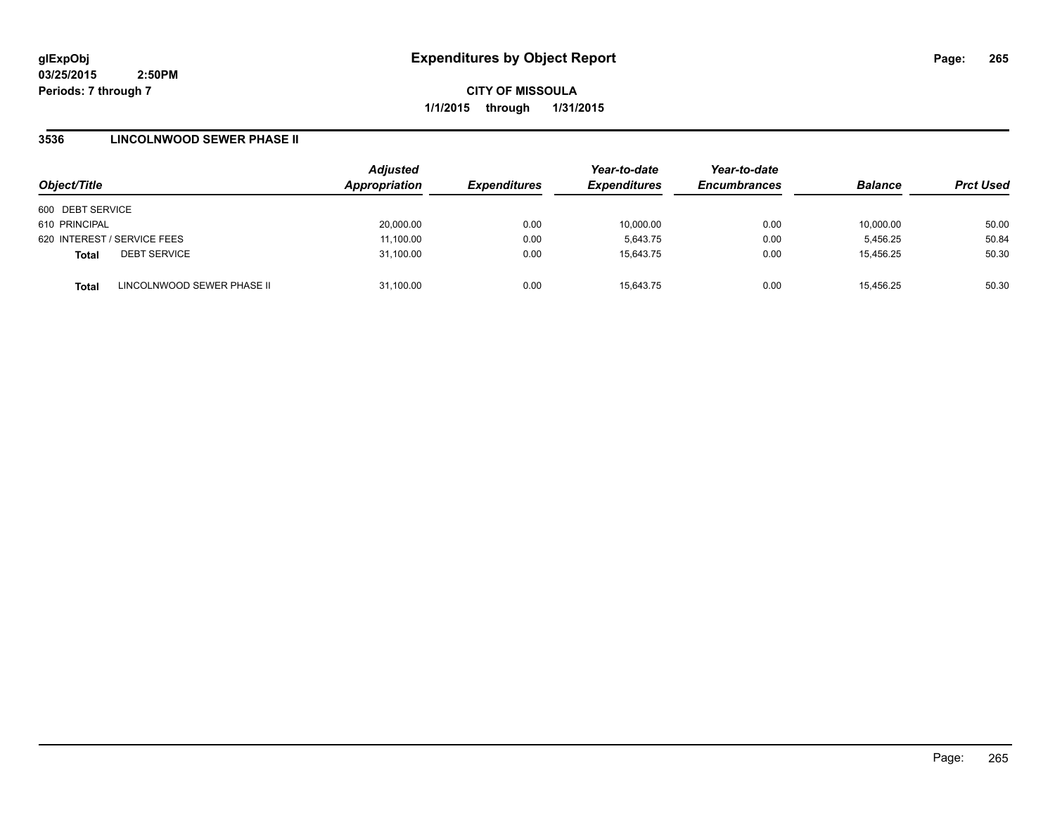**CITY OF MISSOULA 1/1/2015 through 1/31/2015**

## **3536 LINCOLNWOOD SEWER PHASE II**

| Object/Title                        |                            | <b>Adjusted</b> | <b>Expenditures</b> | Year-to-date        | Year-to-date<br><b>Encumbrances</b> |                |                  |
|-------------------------------------|----------------------------|-----------------|---------------------|---------------------|-------------------------------------|----------------|------------------|
|                                     |                            | Appropriation   |                     | <b>Expenditures</b> |                                     | <b>Balance</b> | <b>Prct Used</b> |
| 600 DEBT SERVICE                    |                            |                 |                     |                     |                                     |                |                  |
| 610 PRINCIPAL                       |                            | 20,000.00       | 0.00                | 10,000.00           | 0.00                                | 10,000.00      | 50.00            |
| 620 INTEREST / SERVICE FEES         |                            | 11.100.00       | 0.00                | 5.643.75            | 0.00                                | 5.456.25       | 50.84            |
| <b>DEBT SERVICE</b><br><b>Total</b> |                            | 31,100.00       | 0.00                | 15.643.75           | 0.00                                | 15.456.25      | 50.30            |
| <b>Total</b>                        | LINCOLNWOOD SEWER PHASE II | 31.100.00       | 0.00                | 15.643.75           | 0.00                                | 15.456.25      | 50.30            |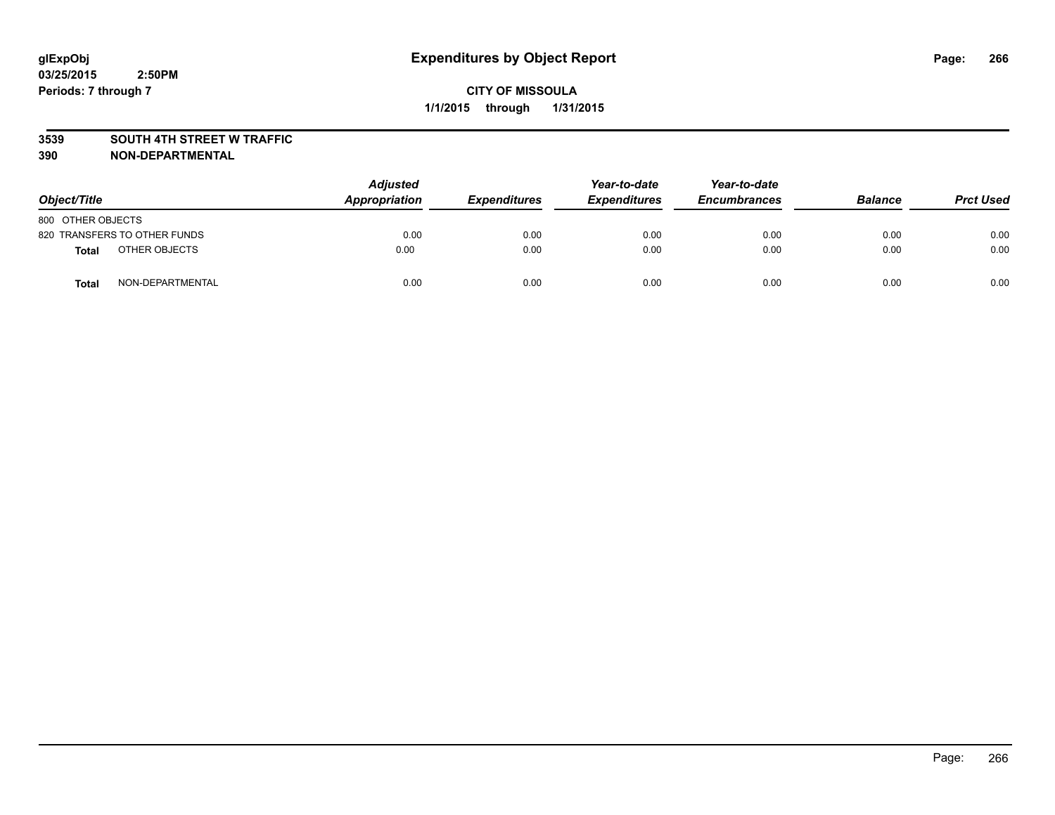### **3539 SOUTH 4TH STREET W TRAFFIC**

| Object/Title                 | <b>Adjusted</b><br>Appropriation | <b>Expenditures</b> | Year-to-date<br><b>Expenditures</b> | Year-to-date<br><b>Encumbrances</b> | <b>Balance</b> | <b>Prct Used</b> |
|------------------------------|----------------------------------|---------------------|-------------------------------------|-------------------------------------|----------------|------------------|
| 800 OTHER OBJECTS            |                                  |                     |                                     |                                     |                |                  |
| 820 TRANSFERS TO OTHER FUNDS | 0.00                             | 0.00                | 0.00                                | 0.00                                | 0.00           | 0.00             |
| OTHER OBJECTS<br>Total       | 0.00                             | 0.00                | 0.00                                | 0.00                                | 0.00           | 0.00             |
| NON-DEPARTMENTAL<br>Total    | 0.00                             | 0.00                | 0.00                                | 0.00                                | 0.00           | 0.00             |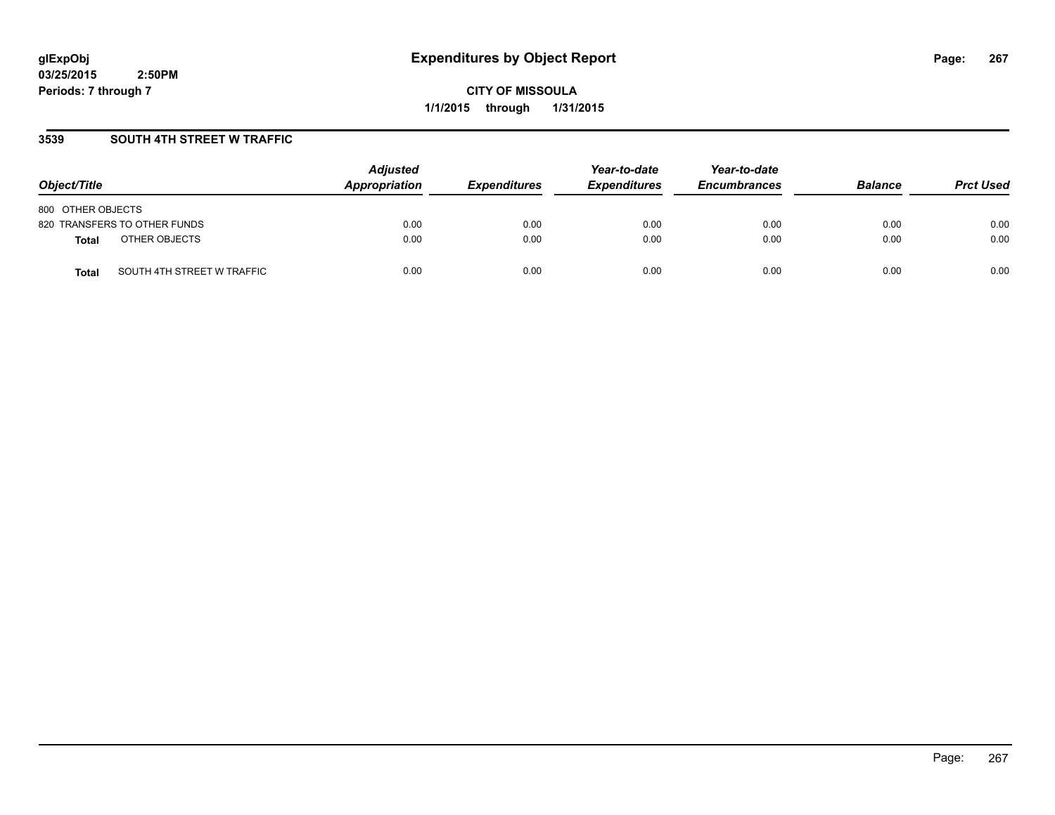**CITY OF MISSOULA 1/1/2015 through 1/31/2015**

## **3539 SOUTH 4TH STREET W TRAFFIC**

| Object/Title                               | <b>Adjusted</b><br>Appropriation | <b>Expenditures</b> | Year-to-date<br><b>Expenditures</b> | Year-to-date<br><b>Encumbrances</b> | <b>Balance</b> | <b>Prct Used</b> |
|--------------------------------------------|----------------------------------|---------------------|-------------------------------------|-------------------------------------|----------------|------------------|
| 800 OTHER OBJECTS                          |                                  |                     |                                     |                                     |                |                  |
| 820 TRANSFERS TO OTHER FUNDS               | 0.00                             | 0.00                | 0.00                                | 0.00                                | 0.00           | 0.00             |
| OTHER OBJECTS<br><b>Total</b>              | 0.00                             | 0.00                | 0.00                                | 0.00                                | 0.00           | 0.00             |
| SOUTH 4TH STREET W TRAFFIC<br><b>Total</b> | 0.00                             | 0.00                | 0.00                                | 0.00                                | 0.00           | 0.00             |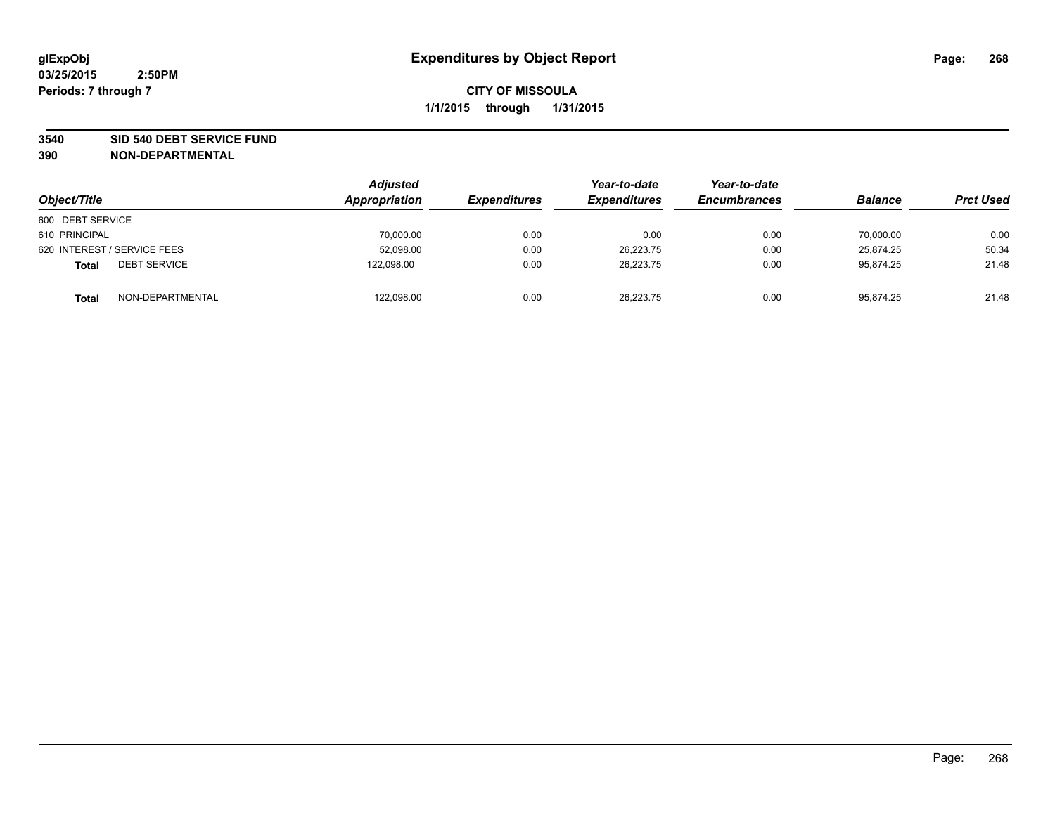### **3540 SID 540 DEBT SERVICE FUND**

| Object/Title                        | <b>Adjusted</b><br>Appropriation | <b>Expenditures</b> | Year-to-date<br><b>Expenditures</b> | Year-to-date<br><b>Encumbrances</b> | <b>Balance</b> | <b>Prct Used</b> |
|-------------------------------------|----------------------------------|---------------------|-------------------------------------|-------------------------------------|----------------|------------------|
| 600 DEBT SERVICE                    |                                  |                     |                                     |                                     |                |                  |
| 610 PRINCIPAL                       | 70,000.00                        | 0.00                | 0.00                                | 0.00                                | 70.000.00      | 0.00             |
| 620 INTEREST / SERVICE FEES         | 52,098.00                        | 0.00                | 26,223.75                           | 0.00                                | 25.874.25      | 50.34            |
| <b>DEBT SERVICE</b><br><b>Total</b> | 122,098.00                       | 0.00                | 26.223.75                           | 0.00                                | 95.874.25      | 21.48            |
| NON-DEPARTMENTAL<br><b>Total</b>    | 122,098.00                       | 0.00                | 26,223.75                           | 0.00                                | 95,874.25      | 21.48            |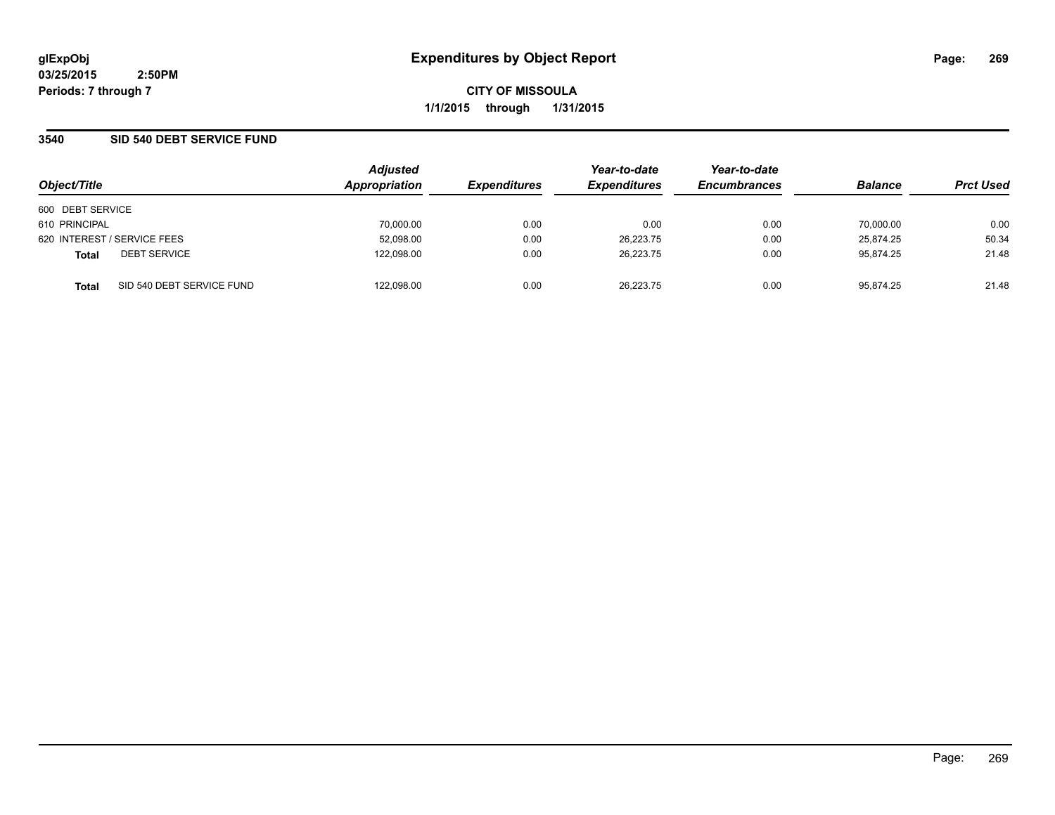**CITY OF MISSOULA 1/1/2015 through 1/31/2015**

### **3540 SID 540 DEBT SERVICE FUND**

| Object/Title                |                           | <b>Adjusted</b> |                     | Year-to-date        | Year-to-date        | <b>Balance</b> |                  |
|-----------------------------|---------------------------|-----------------|---------------------|---------------------|---------------------|----------------|------------------|
|                             |                           | Appropriation   | <b>Expenditures</b> | <b>Expenditures</b> | <b>Encumbrances</b> |                | <b>Prct Used</b> |
| 600 DEBT SERVICE            |                           |                 |                     |                     |                     |                |                  |
| 610 PRINCIPAL               |                           | 70,000.00       | 0.00                | 0.00                | 0.00                | 70,000.00      | 0.00             |
| 620 INTEREST / SERVICE FEES |                           | 52,098.00       | 0.00                | 26.223.75           | 0.00                | 25.874.25      | 50.34            |
| <b>Total</b>                | <b>DEBT SERVICE</b>       | 122,098.00      | 0.00                | 26.223.75           | 0.00                | 95.874.25      | 21.48            |
| <b>Total</b>                | SID 540 DEBT SERVICE FUND | 122.098.00      | 0.00                | 26.223.75           | 0.00                | 95.874.25      | 21.48            |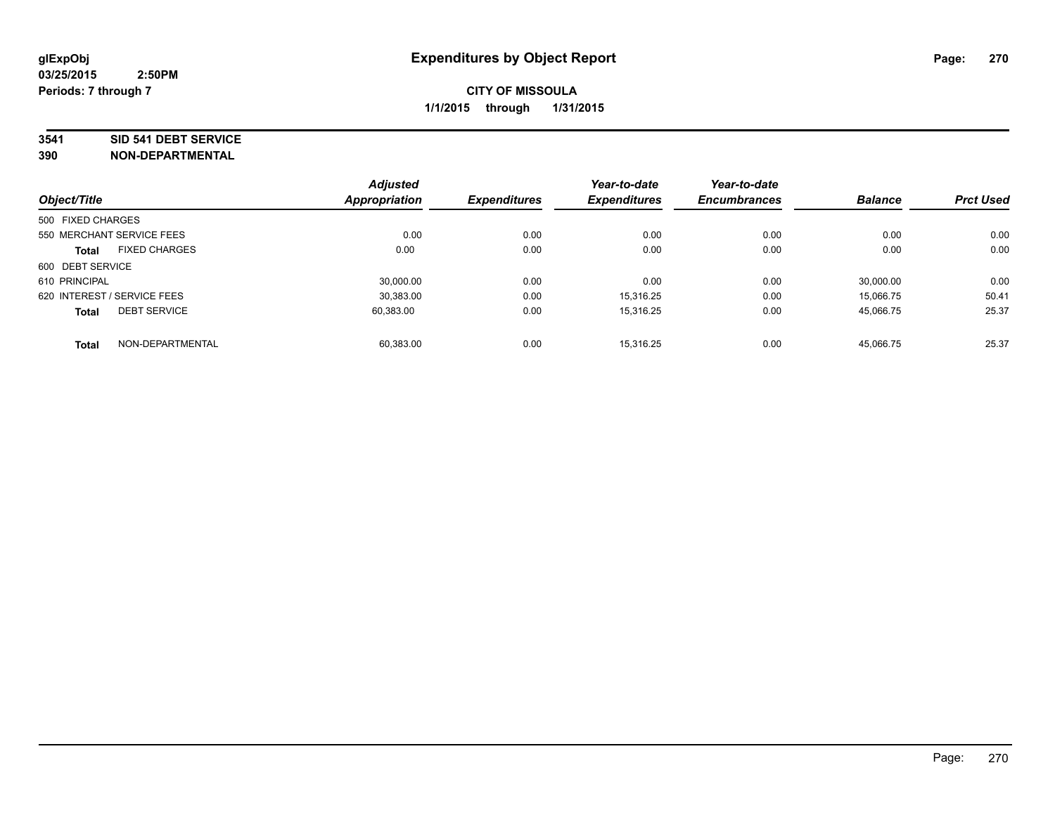#### **3541 SID 541 DEBT SERVICE**

|                             |                           | <b>Adjusted</b>      |                     | Year-to-date        | Year-to-date        |                |                  |
|-----------------------------|---------------------------|----------------------|---------------------|---------------------|---------------------|----------------|------------------|
| Object/Title                |                           | <b>Appropriation</b> | <b>Expenditures</b> | <b>Expenditures</b> | <b>Encumbrances</b> | <b>Balance</b> | <b>Prct Used</b> |
| 500 FIXED CHARGES           |                           |                      |                     |                     |                     |                |                  |
|                             | 550 MERCHANT SERVICE FEES | 0.00                 | 0.00                | 0.00                | 0.00                | 0.00           | 0.00             |
| <b>Total</b>                | <b>FIXED CHARGES</b>      | 0.00                 | 0.00                | 0.00                | 0.00                | 0.00           | 0.00             |
| 600 DEBT SERVICE            |                           |                      |                     |                     |                     |                |                  |
| 610 PRINCIPAL               |                           | 30.000.00            | 0.00                | 0.00                | 0.00                | 30.000.00      | 0.00             |
| 620 INTEREST / SERVICE FEES |                           | 30,383.00            | 0.00                | 15.316.25           | 0.00                | 15.066.75      | 50.41            |
| <b>Total</b>                | <b>DEBT SERVICE</b>       | 60.383.00            | 0.00                | 15.316.25           | 0.00                | 45.066.75      | 25.37            |
| <b>Total</b>                | NON-DEPARTMENTAL          | 60.383.00            | 0.00                | 15.316.25           | 0.00                | 45,066.75      | 25.37            |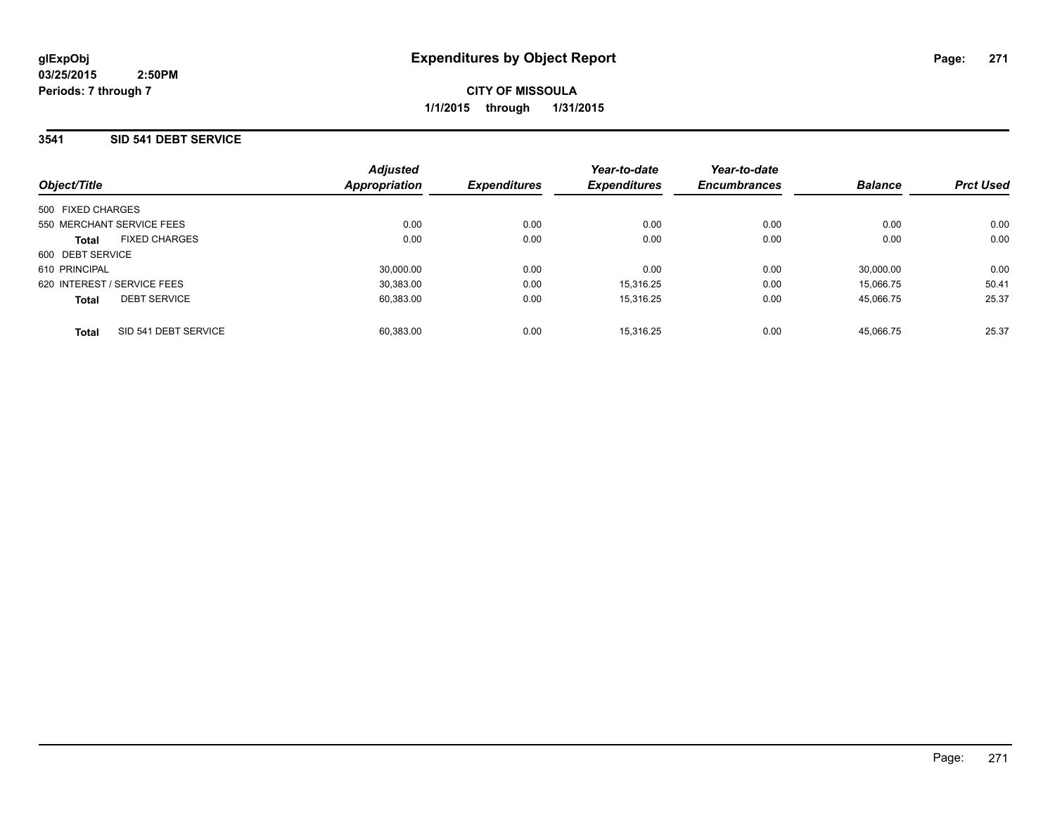### **3541 SID 541 DEBT SERVICE**

|                             |                      | <b>Adjusted</b> |                     | Year-to-date        | Year-to-date        |                |                  |
|-----------------------------|----------------------|-----------------|---------------------|---------------------|---------------------|----------------|------------------|
| Object/Title                |                      | Appropriation   | <b>Expenditures</b> | <b>Expenditures</b> | <b>Encumbrances</b> | <b>Balance</b> | <b>Prct Used</b> |
| 500 FIXED CHARGES           |                      |                 |                     |                     |                     |                |                  |
| 550 MERCHANT SERVICE FEES   |                      | 0.00            | 0.00                | 0.00                | 0.00                | 0.00           | 0.00             |
| <b>Total</b>                | <b>FIXED CHARGES</b> | 0.00            | 0.00                | 0.00                | 0.00                | 0.00           | 0.00             |
| 600 DEBT SERVICE            |                      |                 |                     |                     |                     |                |                  |
| 610 PRINCIPAL               |                      | 30,000.00       | 0.00                | 0.00                | 0.00                | 30.000.00      | 0.00             |
| 620 INTEREST / SERVICE FEES |                      | 30.383.00       | 0.00                | 15.316.25           | 0.00                | 15.066.75      | 50.41            |
| <b>Total</b>                | <b>DEBT SERVICE</b>  | 60,383.00       | 0.00                | 15.316.25           | 0.00                | 45.066.75      | 25.37            |
| <b>Total</b>                | SID 541 DEBT SERVICE | 60.383.00       | 0.00                | 15.316.25           | 0.00                | 45.066.75      | 25.37            |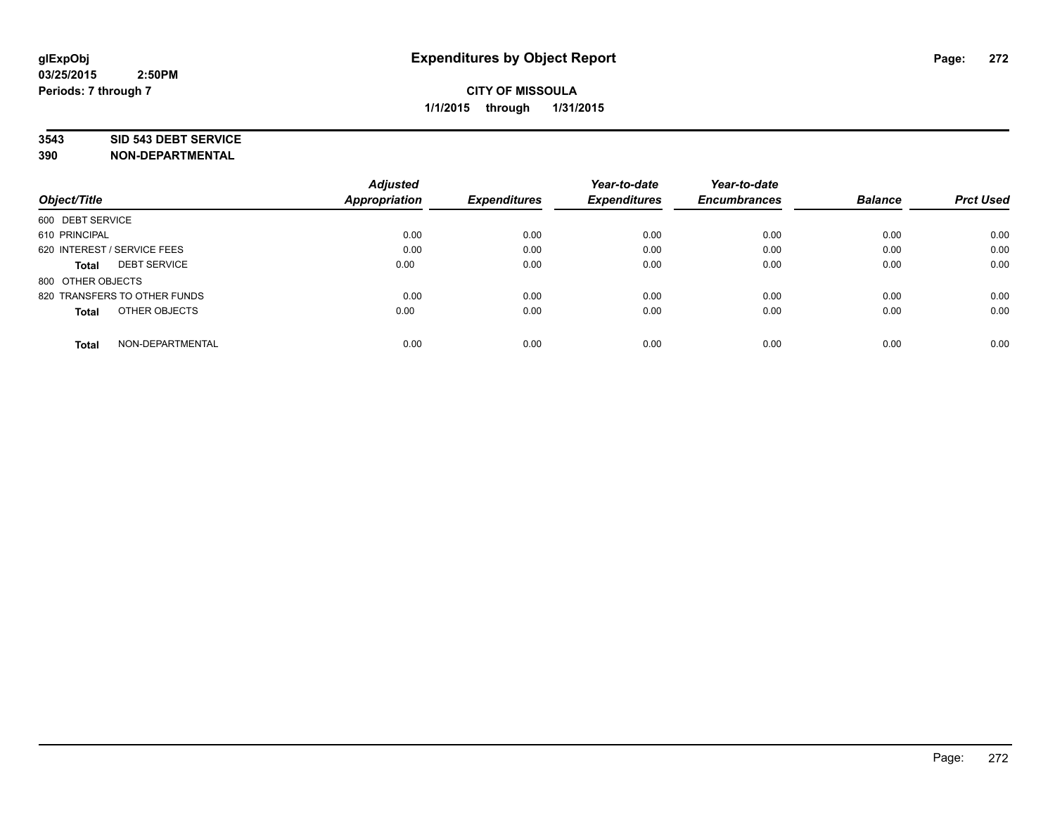### **3543 SID 543 DEBT SERVICE**

| Object/Title                        | <b>Adjusted</b><br><b>Appropriation</b> | <b>Expenditures</b> | Year-to-date<br><b>Expenditures</b> | Year-to-date<br><b>Encumbrances</b> | <b>Balance</b> | <b>Prct Used</b> |
|-------------------------------------|-----------------------------------------|---------------------|-------------------------------------|-------------------------------------|----------------|------------------|
|                                     |                                         |                     |                                     |                                     |                |                  |
| 600 DEBT SERVICE                    |                                         |                     |                                     |                                     |                |                  |
| 610 PRINCIPAL                       | 0.00                                    | 0.00                | 0.00                                | 0.00                                | 0.00           | 0.00             |
| 620 INTEREST / SERVICE FEES         | 0.00                                    | 0.00                | 0.00                                | 0.00                                | 0.00           | 0.00             |
| <b>DEBT SERVICE</b><br><b>Total</b> | 0.00                                    | 0.00                | 0.00                                | 0.00                                | 0.00           | 0.00             |
| 800 OTHER OBJECTS                   |                                         |                     |                                     |                                     |                |                  |
| 820 TRANSFERS TO OTHER FUNDS        | 0.00                                    | 0.00                | 0.00                                | 0.00                                | 0.00           | 0.00             |
| OTHER OBJECTS<br><b>Total</b>       | 0.00                                    | 0.00                | 0.00                                | 0.00                                | 0.00           | 0.00             |
| NON-DEPARTMENTAL<br><b>Total</b>    | 0.00                                    | 0.00                | 0.00                                | 0.00                                | 0.00           | 0.00             |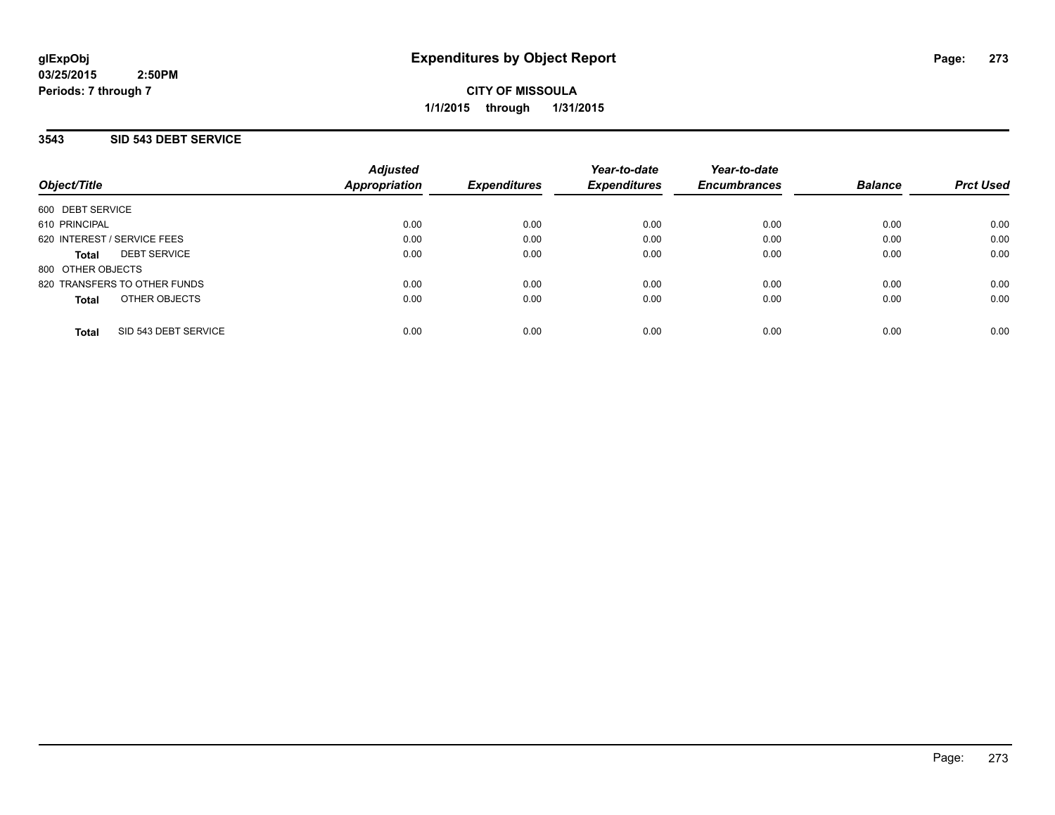**CITY OF MISSOULA 1/1/2015 through 1/31/2015**

### **3543 SID 543 DEBT SERVICE**

| Object/Title                         | <b>Adjusted</b><br><b>Appropriation</b> | <b>Expenditures</b> | Year-to-date<br><b>Expenditures</b> | Year-to-date<br><b>Encumbrances</b> | <b>Balance</b> | <b>Prct Used</b> |
|--------------------------------------|-----------------------------------------|---------------------|-------------------------------------|-------------------------------------|----------------|------------------|
| 600 DEBT SERVICE                     |                                         |                     |                                     |                                     |                |                  |
| 610 PRINCIPAL                        | 0.00                                    | 0.00                | 0.00                                | 0.00                                | 0.00           | 0.00             |
| 620 INTEREST / SERVICE FEES          | 0.00                                    | 0.00                | 0.00                                | 0.00                                | 0.00           | 0.00             |
| <b>DEBT SERVICE</b><br><b>Total</b>  | 0.00                                    | 0.00                | 0.00                                | 0.00                                | 0.00           | 0.00             |
| 800 OTHER OBJECTS                    |                                         |                     |                                     |                                     |                |                  |
| 820 TRANSFERS TO OTHER FUNDS         | 0.00                                    | 0.00                | 0.00                                | 0.00                                | 0.00           | 0.00             |
| OTHER OBJECTS<br><b>Total</b>        | 0.00                                    | 0.00                | 0.00                                | 0.00                                | 0.00           | 0.00             |
| SID 543 DEBT SERVICE<br><b>Total</b> | 0.00                                    | 0.00                | 0.00                                | 0.00                                | 0.00           | 0.00             |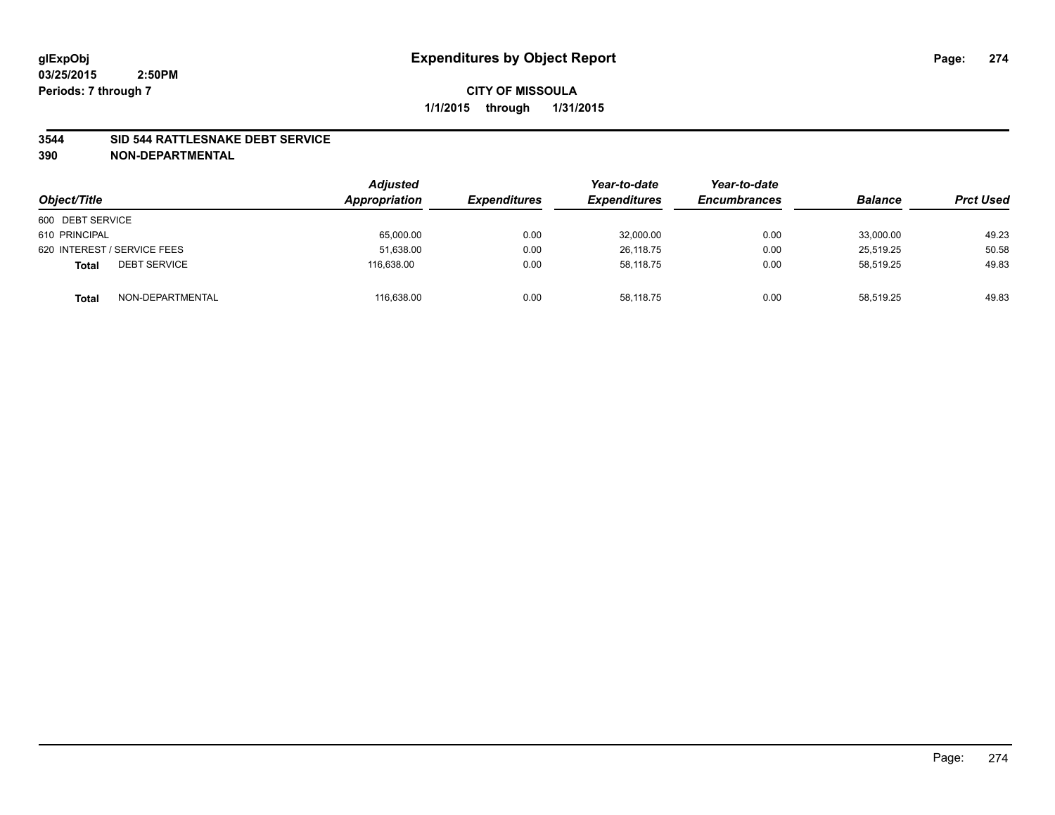### **3544 SID 544 RATTLESNAKE DEBT SERVICE**

| Object/Title                        | <b>Adjusted</b><br>Appropriation | <b>Expenditures</b> | Year-to-date<br><b>Expenditures</b> | Year-to-date<br><b>Encumbrances</b> | <b>Balance</b> | <b>Prct Used</b> |
|-------------------------------------|----------------------------------|---------------------|-------------------------------------|-------------------------------------|----------------|------------------|
| 600 DEBT SERVICE                    |                                  |                     |                                     |                                     |                |                  |
| 610 PRINCIPAL                       | 65,000.00                        | 0.00                | 32,000.00                           | 0.00                                | 33.000.00      | 49.23            |
| 620 INTEREST / SERVICE FEES         | 51,638.00                        | 0.00                | 26.118.75                           | 0.00                                | 25.519.25      | 50.58            |
| <b>DEBT SERVICE</b><br><b>Total</b> | 116.638.00                       | 0.00                | 58,118.75                           | 0.00                                | 58,519.25      | 49.83            |
| NON-DEPARTMENTAL<br><b>Total</b>    | 116,638.00                       | 0.00                | 58,118.75                           | 0.00                                | 58,519.25      | 49.83            |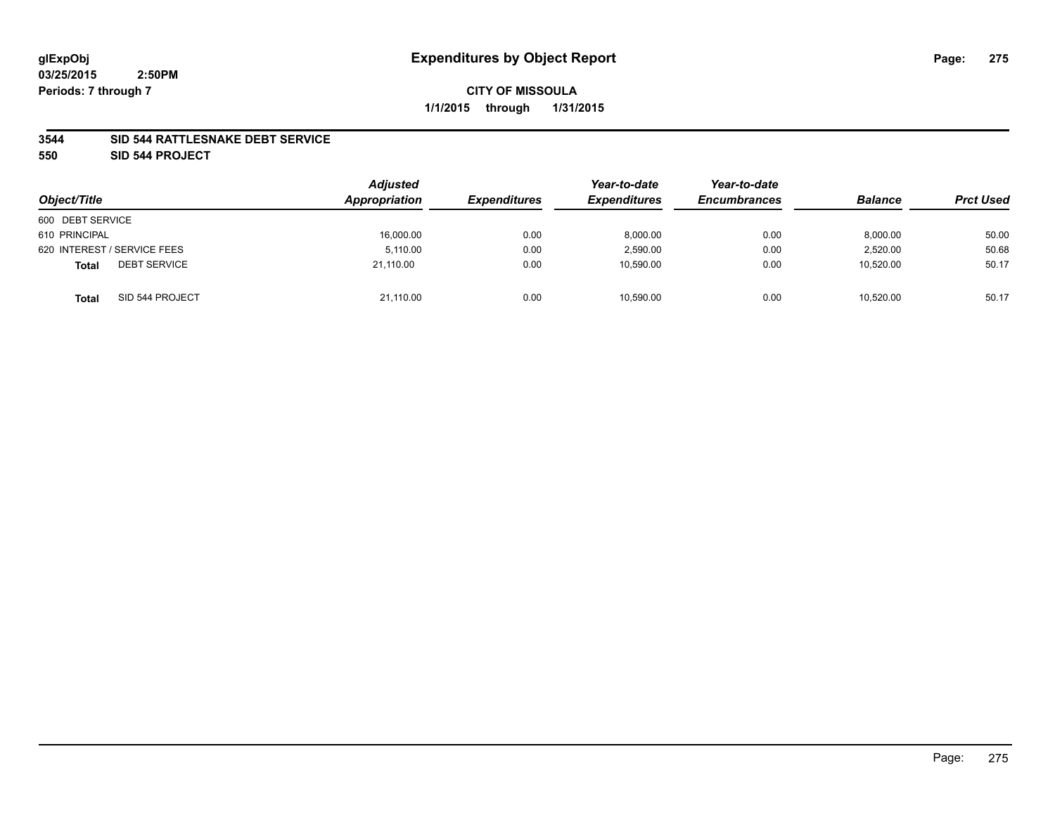### **3544 SID 544 RATTLESNAKE DEBT SERVICE**

**550 SID 544 PROJECT**

| Object/Title                        | <b>Adjusted</b><br>Appropriation | <i><b>Expenditures</b></i> | Year-to-date<br><b>Expenditures</b> | Year-to-date<br><b>Encumbrances</b> | <b>Balance</b> | <b>Prct Used</b> |
|-------------------------------------|----------------------------------|----------------------------|-------------------------------------|-------------------------------------|----------------|------------------|
| 600 DEBT SERVICE                    |                                  |                            |                                     |                                     |                |                  |
| 610 PRINCIPAL                       | 16,000.00                        | 0.00                       | 8,000.00                            | 0.00                                | 8,000.00       | 50.00            |
| 620 INTEREST / SERVICE FEES         | 5.110.00                         | 0.00                       | 2,590.00                            | 0.00                                | 2,520.00       | 50.68            |
| <b>DEBT SERVICE</b><br><b>Total</b> | 21.110.00                        | 0.00                       | 10,590.00                           | 0.00                                | 10,520.00      | 50.17            |
| SID 544 PROJECT<br><b>Total</b>     | 21,110.00                        | 0.00                       | 10,590.00                           | 0.00                                | 10.520.00      | 50.17            |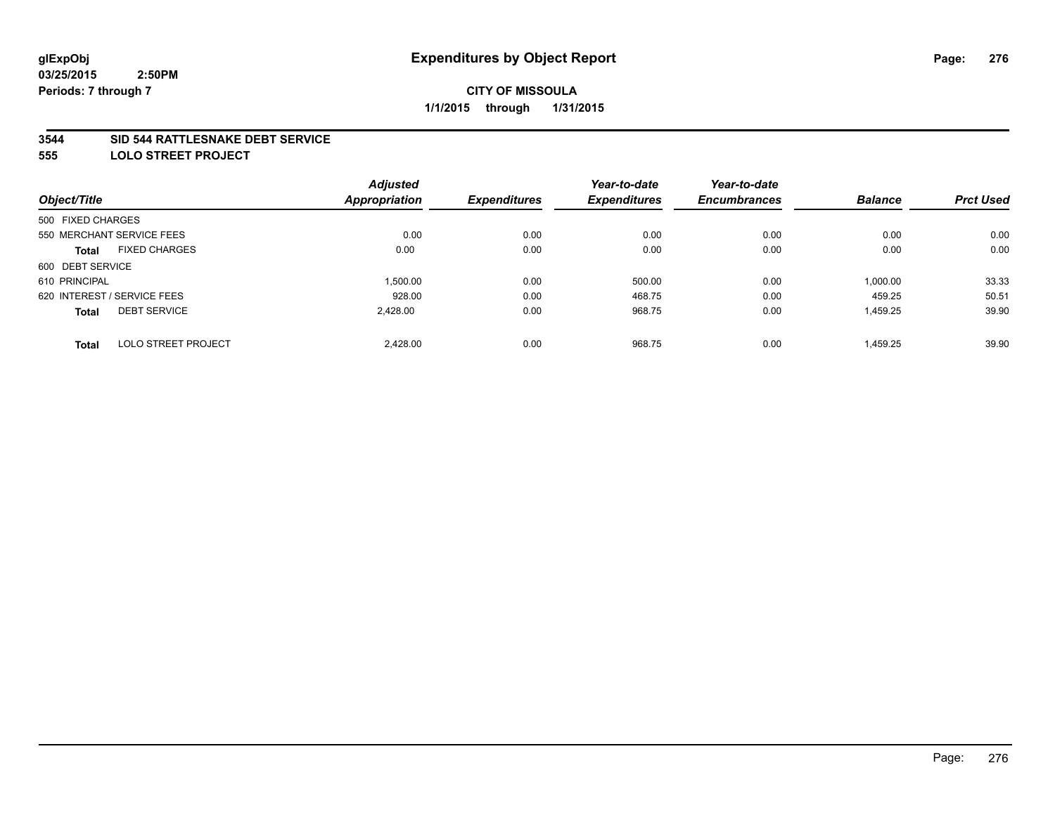### **3544 SID 544 RATTLESNAKE DEBT SERVICE**

**555 LOLO STREET PROJECT**

|                                            | <b>Adjusted</b> |                     | Year-to-date        | Year-to-date        |                |                  |
|--------------------------------------------|-----------------|---------------------|---------------------|---------------------|----------------|------------------|
| Object/Title                               | Appropriation   | <b>Expenditures</b> | <b>Expenditures</b> | <b>Encumbrances</b> | <b>Balance</b> | <b>Prct Used</b> |
| 500 FIXED CHARGES                          |                 |                     |                     |                     |                |                  |
| 550 MERCHANT SERVICE FEES                  | 0.00            | 0.00                | 0.00                | 0.00                | 0.00           | 0.00             |
| <b>FIXED CHARGES</b><br><b>Total</b>       | 0.00            | 0.00                | 0.00                | 0.00                | 0.00           | 0.00             |
| 600 DEBT SERVICE                           |                 |                     |                     |                     |                |                  |
| 610 PRINCIPAL                              | 1,500.00        | 0.00                | 500.00              | 0.00                | 1,000.00       | 33.33            |
| 620 INTEREST / SERVICE FEES                | 928.00          | 0.00                | 468.75              | 0.00                | 459.25         | 50.51            |
| <b>DEBT SERVICE</b><br><b>Total</b>        | 2,428.00        | 0.00                | 968.75              | 0.00                | 1,459.25       | 39.90            |
| <b>LOLO STREET PROJECT</b><br><b>Total</b> | 2.428.00        | 0.00                | 968.75              | 0.00                | 1.459.25       | 39.90            |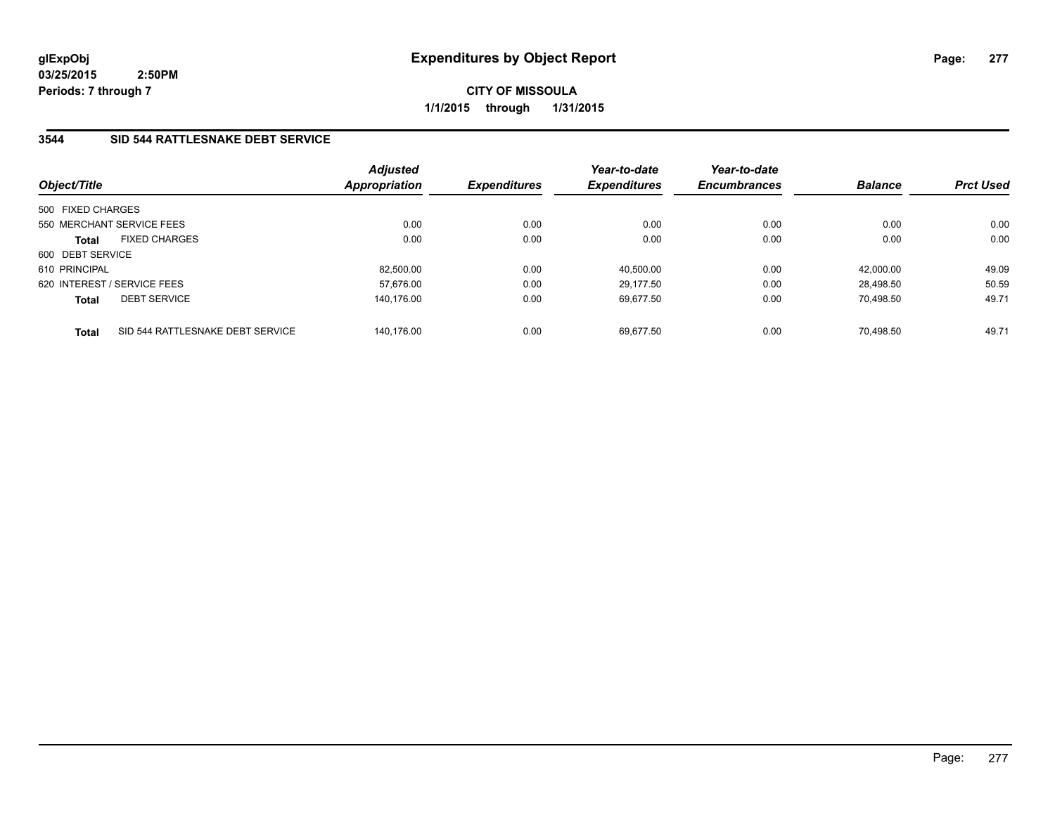**CITY OF MISSOULA 1/1/2015 through 1/31/2015**

## **3544 SID 544 RATTLESNAKE DEBT SERVICE**

| Object/Title                                     | <b>Adjusted</b><br><b>Appropriation</b> | <b>Expenditures</b> | Year-to-date<br><b>Expenditures</b> | Year-to-date<br><b>Encumbrances</b> | <b>Balance</b> | <b>Prct Used</b> |
|--------------------------------------------------|-----------------------------------------|---------------------|-------------------------------------|-------------------------------------|----------------|------------------|
| 500 FIXED CHARGES                                |                                         |                     |                                     |                                     |                |                  |
| 550 MERCHANT SERVICE FEES                        | 0.00                                    | 0.00                | 0.00                                | 0.00                                | 0.00           | 0.00             |
| <b>FIXED CHARGES</b><br><b>Total</b>             | 0.00                                    | 0.00                | 0.00                                | 0.00                                | 0.00           | 0.00             |
| 600 DEBT SERVICE                                 |                                         |                     |                                     |                                     |                |                  |
| 610 PRINCIPAL                                    | 82,500.00                               | 0.00                | 40.500.00                           | 0.00                                | 42.000.00      | 49.09            |
| 620 INTEREST / SERVICE FEES                      | 57,676.00                               | 0.00                | 29.177.50                           | 0.00                                | 28.498.50      | 50.59            |
| <b>DEBT SERVICE</b><br><b>Total</b>              | 140.176.00                              | 0.00                | 69.677.50                           | 0.00                                | 70.498.50      | 49.71            |
| SID 544 RATTLESNAKE DEBT SERVICE<br><b>Total</b> | 140.176.00                              | 0.00                | 69.677.50                           | 0.00                                | 70.498.50      | 49.71            |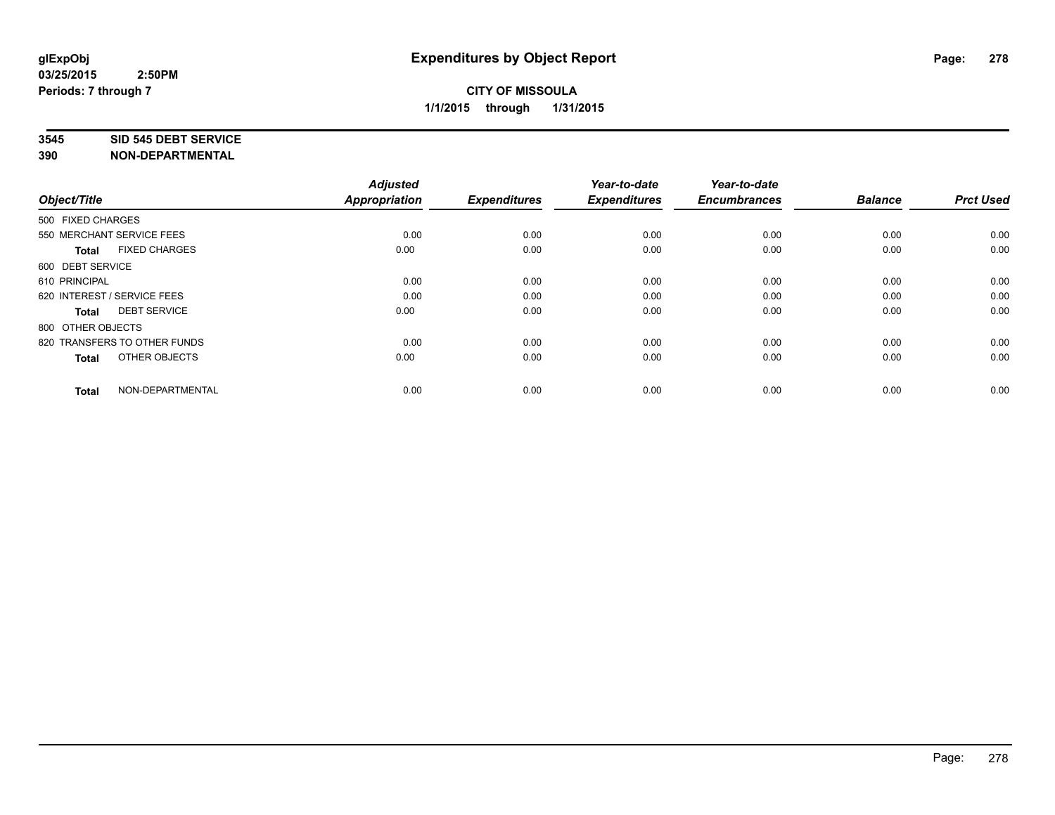#### **3545 SID 545 DEBT SERVICE**

| Object/Title                         | <b>Adjusted</b><br><b>Appropriation</b> | <b>Expenditures</b> | Year-to-date<br><b>Expenditures</b> | Year-to-date<br><b>Encumbrances</b> | <b>Balance</b> | <b>Prct Used</b> |
|--------------------------------------|-----------------------------------------|---------------------|-------------------------------------|-------------------------------------|----------------|------------------|
| 500 FIXED CHARGES                    |                                         |                     |                                     |                                     |                |                  |
| 550 MERCHANT SERVICE FEES            | 0.00                                    | 0.00                | 0.00                                | 0.00                                | 0.00           | 0.00             |
| <b>FIXED CHARGES</b><br><b>Total</b> | 0.00                                    | 0.00                | 0.00                                | 0.00                                | 0.00           | 0.00             |
| 600 DEBT SERVICE                     |                                         |                     |                                     |                                     |                |                  |
| 610 PRINCIPAL                        | 0.00                                    | 0.00                | 0.00                                | 0.00                                | 0.00           | 0.00             |
| 620 INTEREST / SERVICE FEES          | 0.00                                    | 0.00                | 0.00                                | 0.00                                | 0.00           | 0.00             |
| <b>DEBT SERVICE</b><br><b>Total</b>  | 0.00                                    | 0.00                | 0.00                                | 0.00                                | 0.00           | 0.00             |
| 800 OTHER OBJECTS                    |                                         |                     |                                     |                                     |                |                  |
| 820 TRANSFERS TO OTHER FUNDS         | 0.00                                    | 0.00                | 0.00                                | 0.00                                | 0.00           | 0.00             |
| OTHER OBJECTS<br><b>Total</b>        | 0.00                                    | 0.00                | 0.00                                | 0.00                                | 0.00           | 0.00             |
|                                      |                                         |                     |                                     |                                     |                |                  |
| NON-DEPARTMENTAL<br><b>Total</b>     | 0.00                                    | 0.00                | 0.00                                | 0.00                                | 0.00           | 0.00             |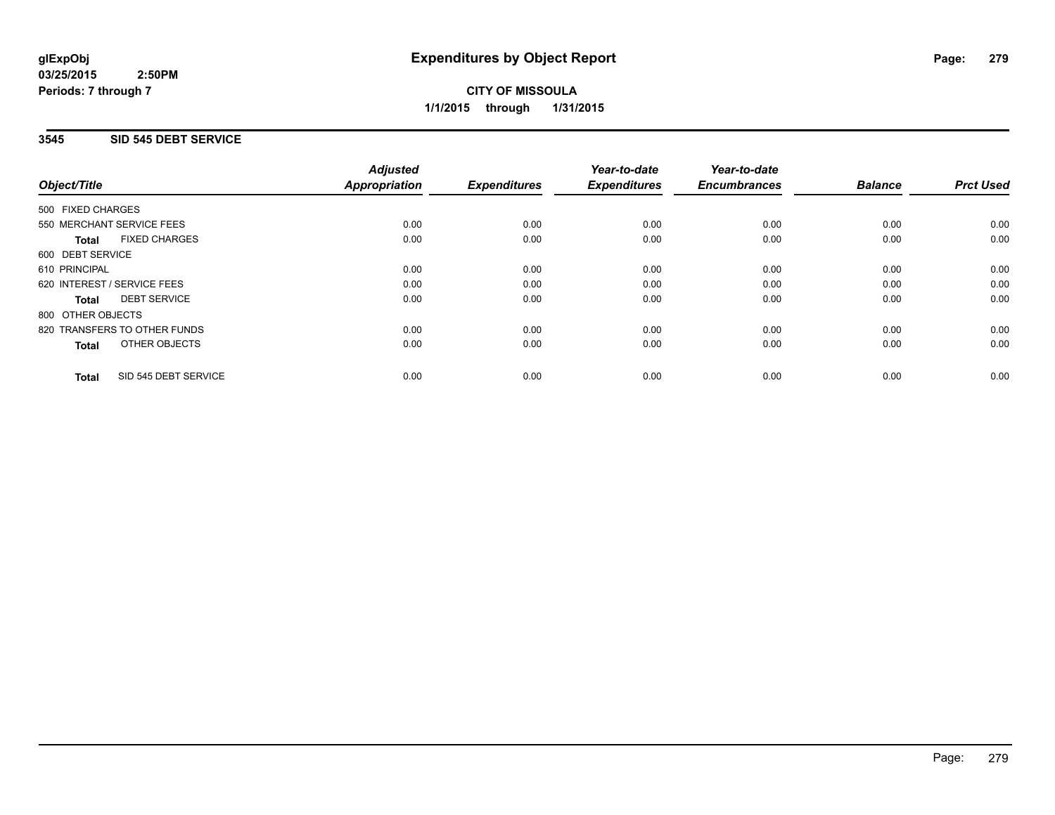**CITY OF MISSOULA 1/1/2015 through 1/31/2015**

### **3545 SID 545 DEBT SERVICE**

|                                      | <b>Adjusted</b>      |                     | Year-to-date        | Year-to-date        |                |                  |
|--------------------------------------|----------------------|---------------------|---------------------|---------------------|----------------|------------------|
| Object/Title                         | <b>Appropriation</b> | <b>Expenditures</b> | <b>Expenditures</b> | <b>Encumbrances</b> | <b>Balance</b> | <b>Prct Used</b> |
| 500 FIXED CHARGES                    |                      |                     |                     |                     |                |                  |
| 550 MERCHANT SERVICE FEES            | 0.00                 | 0.00                | 0.00                | 0.00                | 0.00           | 0.00             |
| <b>FIXED CHARGES</b><br><b>Total</b> | 0.00                 | 0.00                | 0.00                | 0.00                | 0.00           | 0.00             |
| 600 DEBT SERVICE                     |                      |                     |                     |                     |                |                  |
| 610 PRINCIPAL                        | 0.00                 | 0.00                | 0.00                | 0.00                | 0.00           | 0.00             |
| 620 INTEREST / SERVICE FEES          | 0.00                 | 0.00                | 0.00                | 0.00                | 0.00           | 0.00             |
| <b>DEBT SERVICE</b><br><b>Total</b>  | 0.00                 | 0.00                | 0.00                | 0.00                | 0.00           | 0.00             |
| 800 OTHER OBJECTS                    |                      |                     |                     |                     |                |                  |
| 820 TRANSFERS TO OTHER FUNDS         | 0.00                 | 0.00                | 0.00                | 0.00                | 0.00           | 0.00             |
| OTHER OBJECTS<br><b>Total</b>        | 0.00                 | 0.00                | 0.00                | 0.00                | 0.00           | 0.00             |
| SID 545 DEBT SERVICE<br><b>Total</b> | 0.00                 | 0.00                | 0.00                | 0.00                | 0.00           | 0.00             |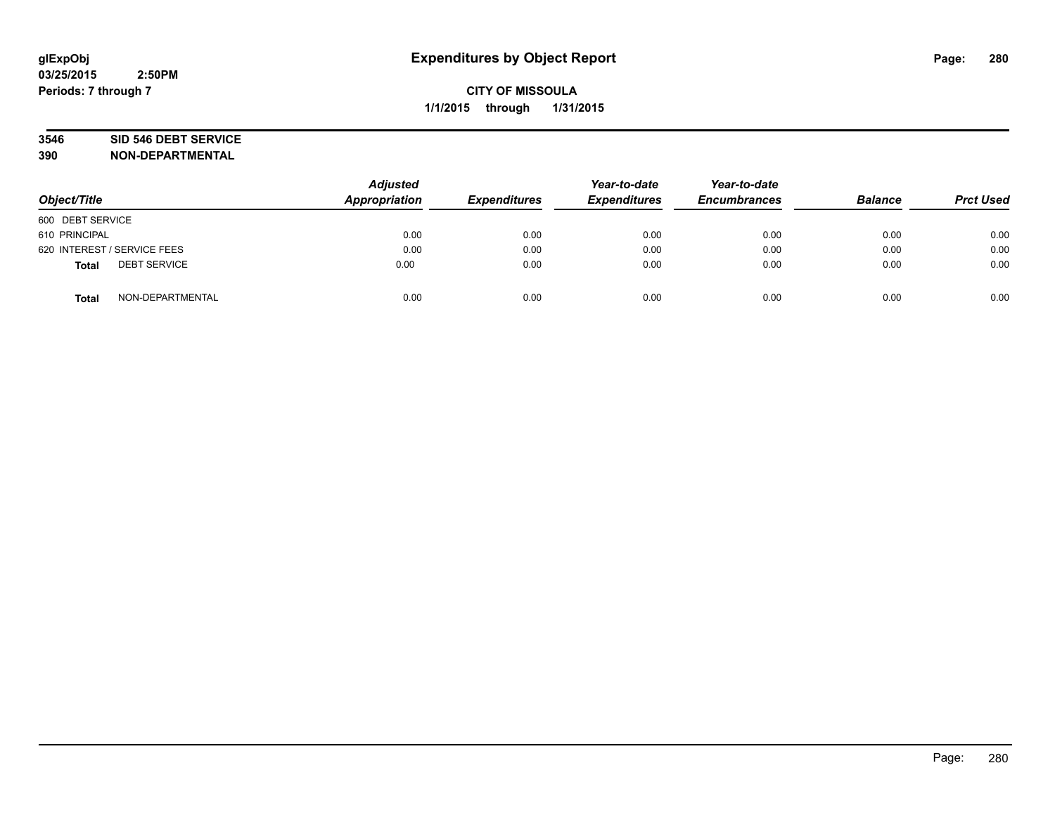# **3546 SID 546 DEBT SERVICE**

| Object/Title                        | <b>Adjusted</b><br><b>Appropriation</b> | <b>Expenditures</b> | Year-to-date<br><b>Expenditures</b> | Year-to-date<br><b>Encumbrances</b> | <b>Balance</b> | <b>Prct Used</b> |
|-------------------------------------|-----------------------------------------|---------------------|-------------------------------------|-------------------------------------|----------------|------------------|
| 600 DEBT SERVICE                    |                                         |                     |                                     |                                     |                |                  |
| 610 PRINCIPAL                       | 0.00                                    | 0.00                | 0.00                                | 0.00                                | 0.00           | 0.00             |
| 620 INTEREST / SERVICE FEES         | 0.00                                    | 0.00                | 0.00                                | 0.00                                | 0.00           | 0.00             |
| <b>DEBT SERVICE</b><br><b>Total</b> | 0.00                                    | 0.00                | 0.00                                | 0.00                                | 0.00           | 0.00             |
| NON-DEPARTMENTAL<br><b>Total</b>    | 0.00                                    | 0.00                | 0.00                                | 0.00                                | 0.00           | 0.00             |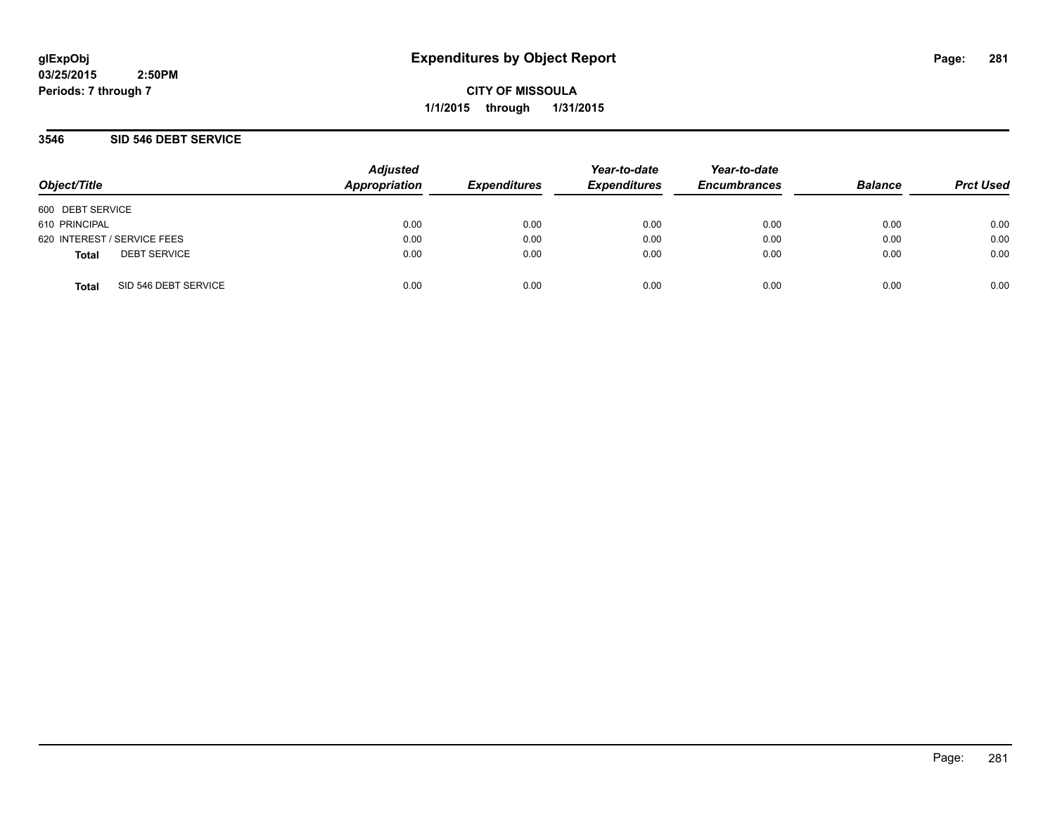**CITY OF MISSOULA 1/1/2015 through 1/31/2015**

### **3546 SID 546 DEBT SERVICE**

| Object/Title     |                             | <b>Adjusted</b><br>Appropriation | <b>Expenditures</b> | Year-to-date<br><b>Expenditures</b> | Year-to-date<br><b>Encumbrances</b> | <b>Balance</b> | <b>Prct Used</b> |
|------------------|-----------------------------|----------------------------------|---------------------|-------------------------------------|-------------------------------------|----------------|------------------|
| 600 DEBT SERVICE |                             |                                  |                     |                                     |                                     |                |                  |
| 610 PRINCIPAL    |                             | 0.00                             | 0.00                | 0.00                                | 0.00                                | 0.00           | 0.00             |
|                  | 620 INTEREST / SERVICE FEES | 0.00                             | 0.00                | 0.00                                | 0.00                                | 0.00           | 0.00             |
| <b>Total</b>     | <b>DEBT SERVICE</b>         | 0.00                             | 0.00                | 0.00                                | 0.00                                | 0.00           | 0.00             |
| <b>Total</b>     | SID 546 DEBT SERVICE        | 0.00                             | 0.00                | 0.00                                | 0.00                                | 0.00           | 0.00             |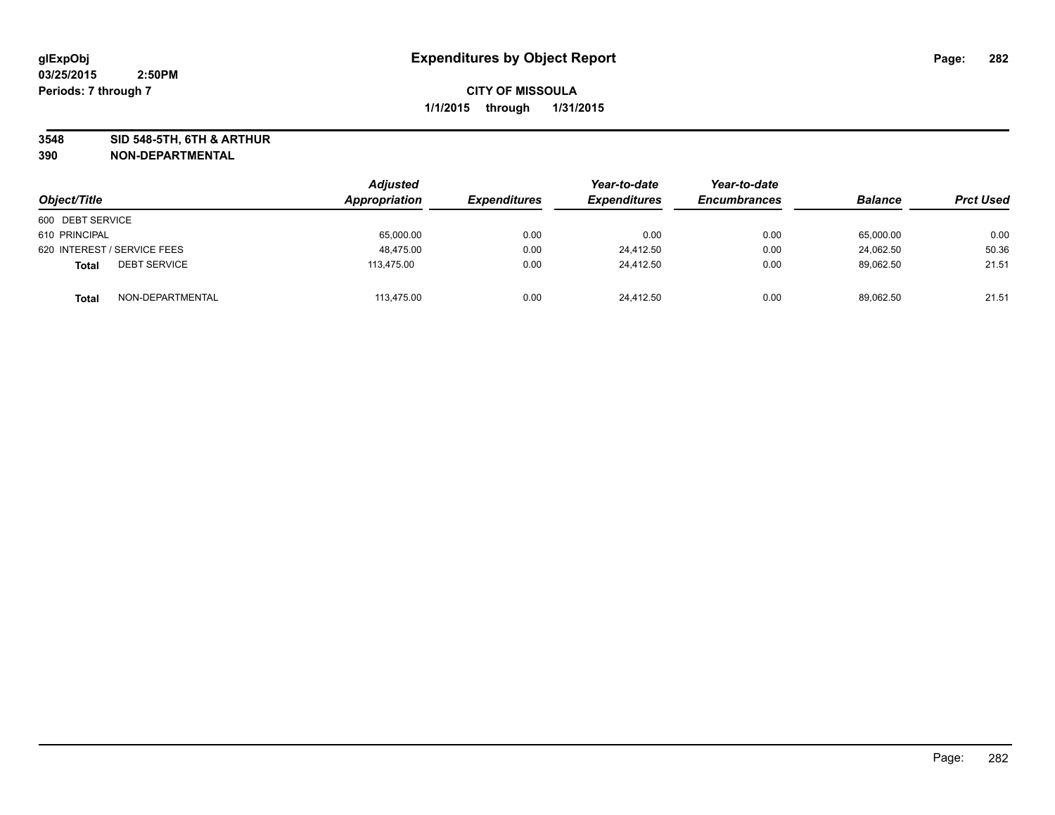**3548 SID 548-5TH, 6TH & ARTHUR**

| Object/Title                        | <b>Adjusted</b><br>Appropriation | <b>Expenditures</b> | Year-to-date<br><b>Expenditures</b> | Year-to-date<br><b>Encumbrances</b> | <b>Balance</b> | <b>Prct Used</b> |
|-------------------------------------|----------------------------------|---------------------|-------------------------------------|-------------------------------------|----------------|------------------|
| 600 DEBT SERVICE                    |                                  |                     |                                     |                                     |                |                  |
| 610 PRINCIPAL                       | 65,000.00                        | 0.00                | 0.00                                | 0.00                                | 65,000.00      | 0.00             |
| 620 INTEREST / SERVICE FEES         | 48,475.00                        | 0.00                | 24,412.50                           | 0.00                                | 24,062.50      | 50.36            |
| <b>DEBT SERVICE</b><br><b>Total</b> | 113.475.00                       | 0.00                | 24.412.50                           | 0.00                                | 89,062.50      | 21.51            |
| NON-DEPARTMENTAL<br><b>Total</b>    | 113.475.00                       | 0.00                | 24.412.50                           | 0.00                                | 89,062.50      | 21.51            |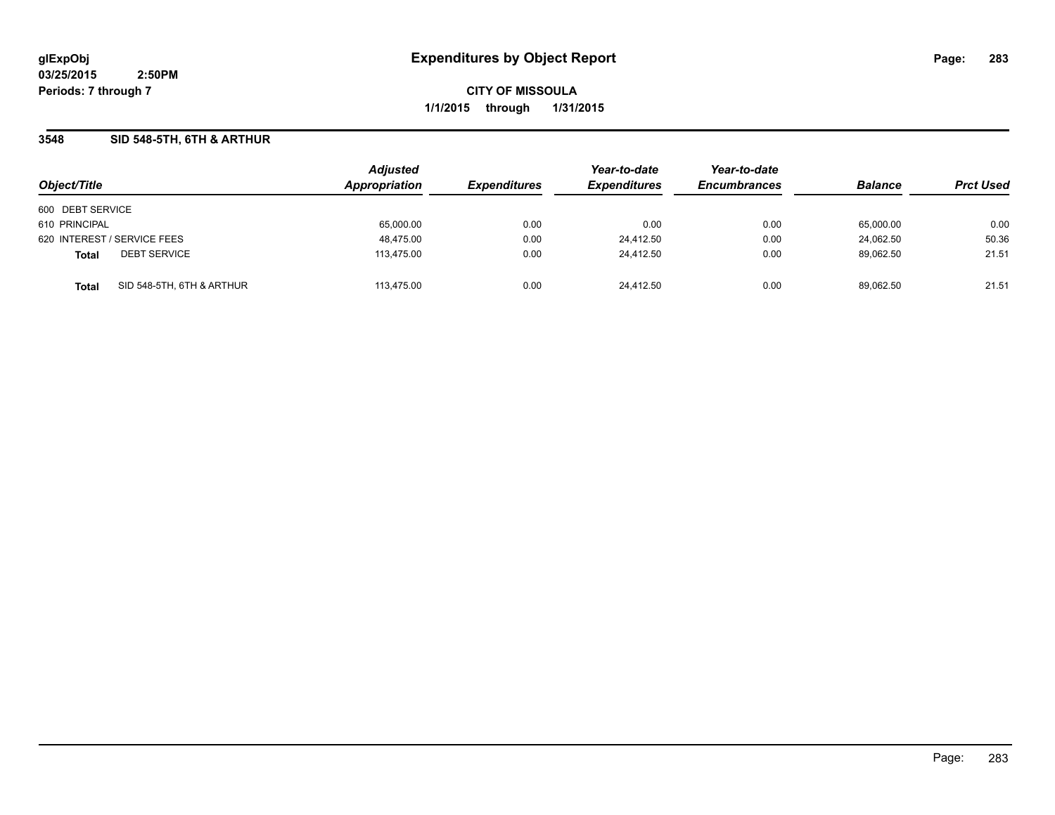**CITY OF MISSOULA 1/1/2015 through 1/31/2015**

### **3548 SID 548-5TH, 6TH & ARTHUR**

|                                           | <b>Adjusted</b> |                     | Year-to-date        | Year-to-date        | <b>Balance</b> |                  |
|-------------------------------------------|-----------------|---------------------|---------------------|---------------------|----------------|------------------|
| Object/Title                              | Appropriation   | <b>Expenditures</b> | <b>Expenditures</b> | <b>Encumbrances</b> |                | <b>Prct Used</b> |
| 600 DEBT SERVICE                          |                 |                     |                     |                     |                |                  |
| 610 PRINCIPAL                             | 65,000.00       | 0.00                | 0.00                | 0.00                | 65,000.00      | 0.00             |
| 620 INTEREST / SERVICE FEES               | 48,475.00       | 0.00                | 24.412.50           | 0.00                | 24.062.50      | 50.36            |
| <b>DEBT SERVICE</b><br><b>Total</b>       | 113,475.00      | 0.00                | 24.412.50           | 0.00                | 89.062.50      | 21.51            |
| SID 548-5TH, 6TH & ARTHUR<br><b>Total</b> | 113.475.00      | 0.00                | 24.412.50           | 0.00                | 89.062.50      | 21.51            |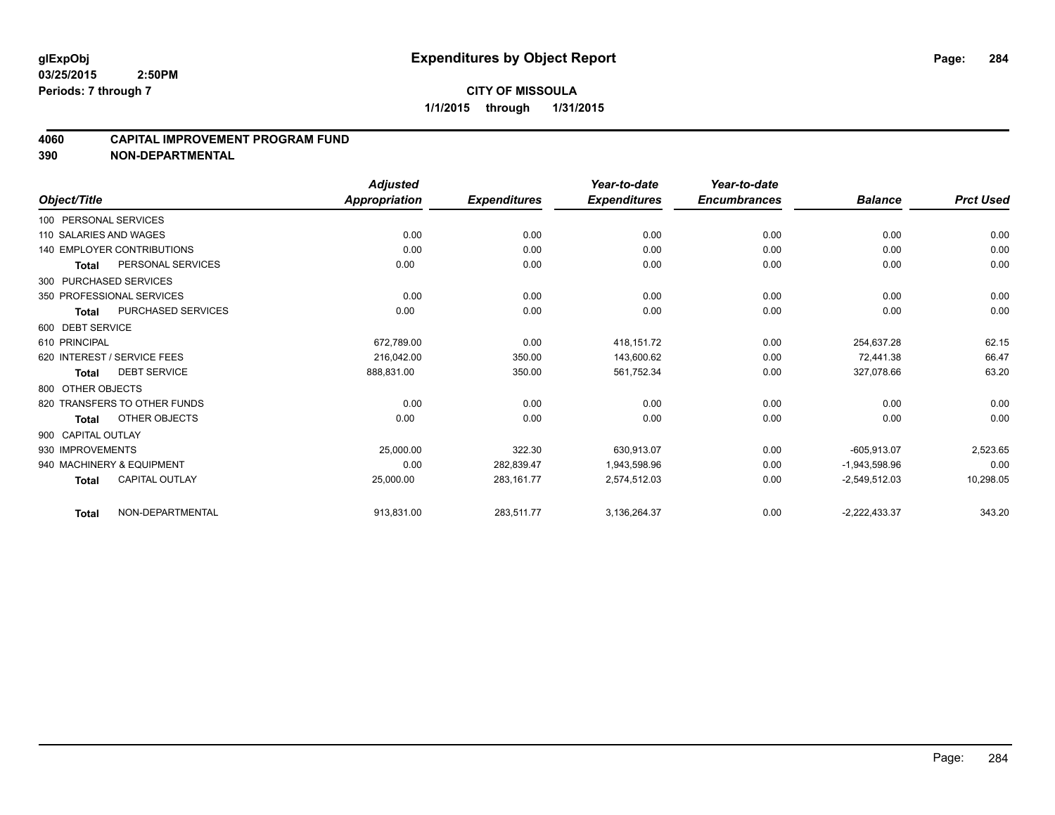### **4060 CAPITAL IMPROVEMENT PROGRAM FUND**

|                             |                                   | <b>Adjusted</b>      |                     | Year-to-date        | Year-to-date        |                 |                  |
|-----------------------------|-----------------------------------|----------------------|---------------------|---------------------|---------------------|-----------------|------------------|
| Object/Title                |                                   | <b>Appropriation</b> | <b>Expenditures</b> | <b>Expenditures</b> | <b>Encumbrances</b> | <b>Balance</b>  | <b>Prct Used</b> |
| 100 PERSONAL SERVICES       |                                   |                      |                     |                     |                     |                 |                  |
| 110 SALARIES AND WAGES      |                                   | 0.00                 | 0.00                | 0.00                | 0.00                | 0.00            | 0.00             |
|                             | <b>140 EMPLOYER CONTRIBUTIONS</b> | 0.00                 | 0.00                | 0.00                | 0.00                | 0.00            | 0.00             |
| <b>Total</b>                | PERSONAL SERVICES                 | 0.00                 | 0.00                | 0.00                | 0.00                | 0.00            | 0.00             |
| 300 PURCHASED SERVICES      |                                   |                      |                     |                     |                     |                 |                  |
| 350 PROFESSIONAL SERVICES   |                                   | 0.00                 | 0.00                | 0.00                | 0.00                | 0.00            | 0.00             |
| Total                       | <b>PURCHASED SERVICES</b>         | 0.00                 | 0.00                | 0.00                | 0.00                | 0.00            | 0.00             |
| 600 DEBT SERVICE            |                                   |                      |                     |                     |                     |                 |                  |
| 610 PRINCIPAL               |                                   | 672,789.00           | 0.00                | 418,151.72          | 0.00                | 254,637.28      | 62.15            |
| 620 INTEREST / SERVICE FEES |                                   | 216,042.00           | 350.00              | 143,600.62          | 0.00                | 72.441.38       | 66.47            |
| Total                       | <b>DEBT SERVICE</b>               | 888,831.00           | 350.00              | 561,752.34          | 0.00                | 327,078.66      | 63.20            |
| 800 OTHER OBJECTS           |                                   |                      |                     |                     |                     |                 |                  |
|                             | 820 TRANSFERS TO OTHER FUNDS      | 0.00                 | 0.00                | 0.00                | 0.00                | 0.00            | 0.00             |
| Total                       | <b>OTHER OBJECTS</b>              | 0.00                 | 0.00                | 0.00                | 0.00                | 0.00            | 0.00             |
| 900 CAPITAL OUTLAY          |                                   |                      |                     |                     |                     |                 |                  |
| 930 IMPROVEMENTS            |                                   | 25,000.00            | 322.30              | 630,913.07          | 0.00                | $-605,913.07$   | 2,523.65         |
| 940 MACHINERY & EQUIPMENT   |                                   | 0.00                 | 282,839.47          | 1,943,598.96        | 0.00                | $-1,943,598.96$ | 0.00             |
| <b>Total</b>                | <b>CAPITAL OUTLAY</b>             | 25,000.00            | 283,161.77          | 2,574,512.03        | 0.00                | $-2,549,512.03$ | 10,298.05        |
| <b>Total</b>                | NON-DEPARTMENTAL                  | 913,831.00           | 283,511.77          | 3,136,264.37        | 0.00                | $-2,222,433.37$ | 343.20           |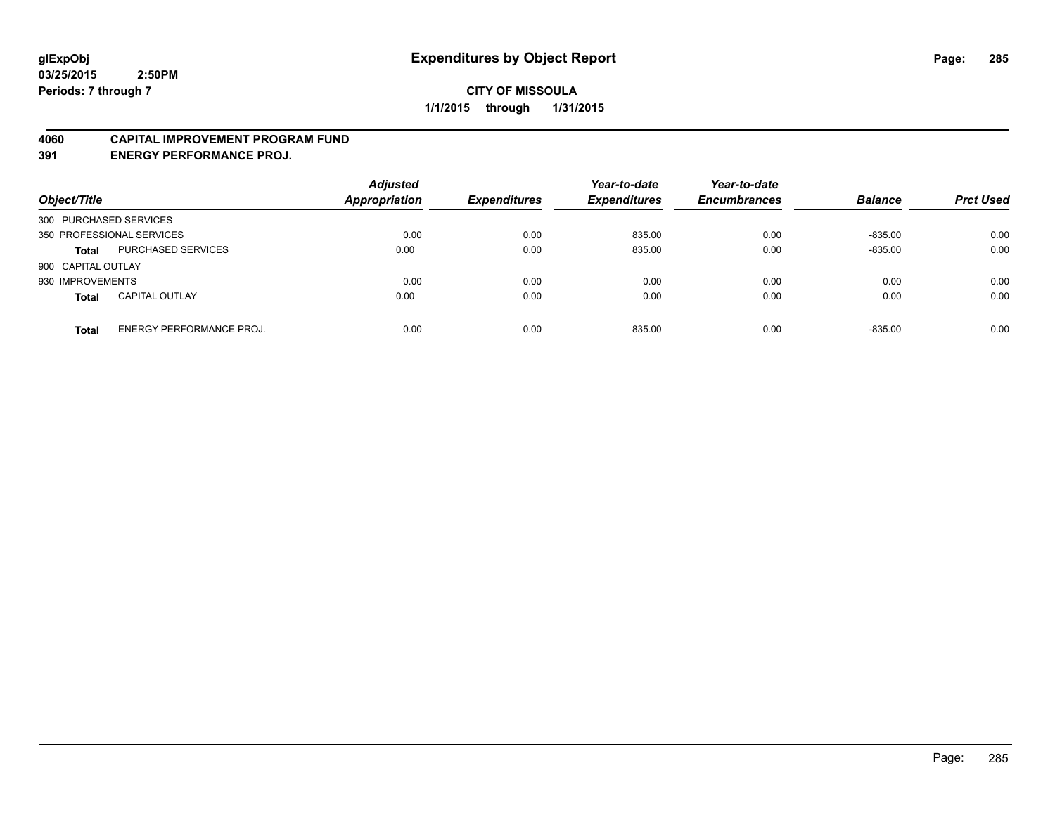### **4060 CAPITAL IMPROVEMENT PROGRAM FUND**

**391 ENERGY PERFORMANCE PROJ.**

| Object/Title                             | <b>Adjusted</b><br><b>Appropriation</b> | <b>Expenditures</b> | Year-to-date<br><b>Expenditures</b> | Year-to-date<br><b>Encumbrances</b> | <b>Balance</b> | <b>Prct Used</b> |
|------------------------------------------|-----------------------------------------|---------------------|-------------------------------------|-------------------------------------|----------------|------------------|
| 300 PURCHASED SERVICES                   |                                         |                     |                                     |                                     |                |                  |
| 350 PROFESSIONAL SERVICES                | 0.00                                    | 0.00                | 835.00                              | 0.00                                | $-835.00$      | 0.00             |
| PURCHASED SERVICES<br><b>Total</b>       | 0.00                                    | 0.00                | 835.00                              | 0.00                                | $-835.00$      | 0.00             |
| 900 CAPITAL OUTLAY                       |                                         |                     |                                     |                                     |                |                  |
| 930 IMPROVEMENTS                         | 0.00                                    | 0.00                | 0.00                                | 0.00                                | 0.00           | 0.00             |
| <b>CAPITAL OUTLAY</b><br><b>Total</b>    | 0.00                                    | 0.00                | 0.00                                | 0.00                                | 0.00           | 0.00             |
| ENERGY PERFORMANCE PROJ.<br><b>Total</b> | 0.00                                    | 0.00                | 835.00                              | 0.00                                | $-835.00$      | 0.00             |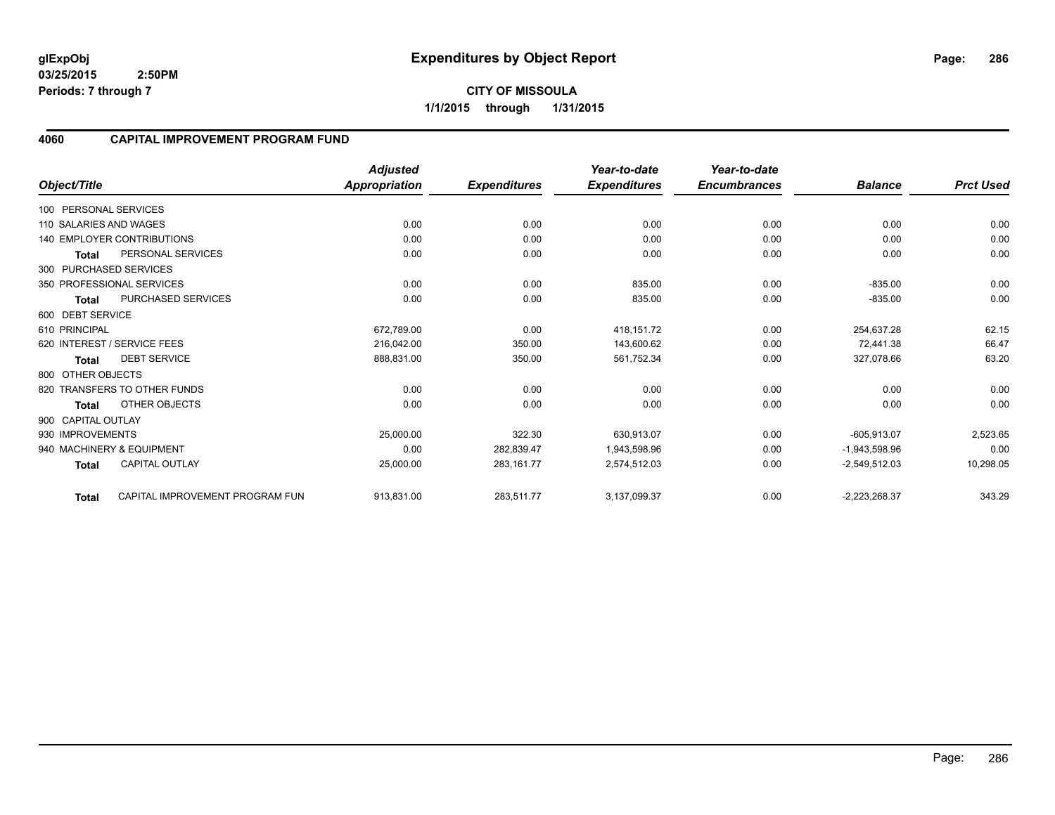**CITY OF MISSOULA 1/1/2015 through 1/31/2015**

### **4060 CAPITAL IMPROVEMENT PROGRAM FUND**

|                        |                                   | <b>Adjusted</b>      |                     | Year-to-date        | Year-to-date        |                 |                  |
|------------------------|-----------------------------------|----------------------|---------------------|---------------------|---------------------|-----------------|------------------|
| Object/Title           |                                   | <b>Appropriation</b> | <b>Expenditures</b> | <b>Expenditures</b> | <b>Encumbrances</b> | <b>Balance</b>  | <b>Prct Used</b> |
| 100 PERSONAL SERVICES  |                                   |                      |                     |                     |                     |                 |                  |
| 110 SALARIES AND WAGES |                                   | 0.00                 | 0.00                | 0.00                | 0.00                | 0.00            | 0.00             |
|                        | <b>140 EMPLOYER CONTRIBUTIONS</b> | 0.00                 | 0.00                | 0.00                | 0.00                | 0.00            | 0.00             |
| <b>Total</b>           | PERSONAL SERVICES                 | 0.00                 | 0.00                | 0.00                | 0.00                | 0.00            | 0.00             |
|                        | 300 PURCHASED SERVICES            |                      |                     |                     |                     |                 |                  |
|                        | 350 PROFESSIONAL SERVICES         | 0.00                 | 0.00                | 835.00              | 0.00                | $-835.00$       | 0.00             |
| Total                  | PURCHASED SERVICES                | 0.00                 | 0.00                | 835.00              | 0.00                | $-835.00$       | 0.00             |
| 600 DEBT SERVICE       |                                   |                      |                     |                     |                     |                 |                  |
| 610 PRINCIPAL          |                                   | 672,789.00           | 0.00                | 418,151.72          | 0.00                | 254,637.28      | 62.15            |
|                        | 620 INTEREST / SERVICE FEES       | 216,042.00           | 350.00              | 143,600.62          | 0.00                | 72,441.38       | 66.47            |
| <b>Total</b>           | <b>DEBT SERVICE</b>               | 888,831.00           | 350.00              | 561,752.34          | 0.00                | 327,078.66      | 63.20            |
| 800 OTHER OBJECTS      |                                   |                      |                     |                     |                     |                 |                  |
|                        | 820 TRANSFERS TO OTHER FUNDS      | 0.00                 | 0.00                | 0.00                | 0.00                | 0.00            | 0.00             |
| <b>Total</b>           | OTHER OBJECTS                     | 0.00                 | 0.00                | 0.00                | 0.00                | 0.00            | 0.00             |
| 900 CAPITAL OUTLAY     |                                   |                      |                     |                     |                     |                 |                  |
| 930 IMPROVEMENTS       |                                   | 25,000.00            | 322.30              | 630,913.07          | 0.00                | $-605,913.07$   | 2,523.65         |
|                        | 940 MACHINERY & EQUIPMENT         | 0.00                 | 282,839.47          | 1,943,598.96        | 0.00                | $-1,943,598.96$ | 0.00             |
| <b>Total</b>           | <b>CAPITAL OUTLAY</b>             | 25,000.00            | 283, 161.77         | 2,574,512.03        | 0.00                | $-2,549,512.03$ | 10,298.05        |
| <b>Total</b>           | CAPITAL IMPROVEMENT PROGRAM FUN   | 913,831.00           | 283,511.77          | 3,137,099.37        | 0.00                | $-2,223,268.37$ | 343.29           |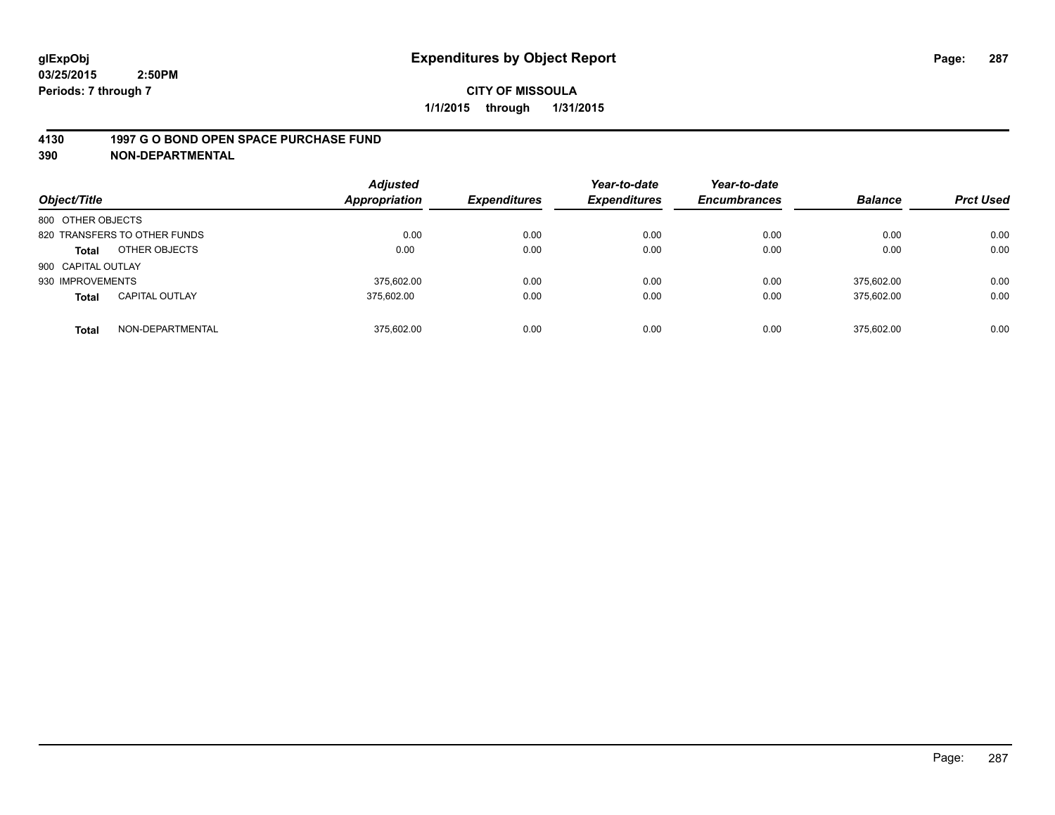### **4130 1997 G O BOND OPEN SPACE PURCHASE FUND**

| Object/Title       |                              | <b>Adjusted</b><br><b>Appropriation</b> | <b>Expenditures</b> | Year-to-date<br><b>Expenditures</b> | Year-to-date<br><b>Encumbrances</b> | <b>Balance</b> | <b>Prct Used</b> |
|--------------------|------------------------------|-----------------------------------------|---------------------|-------------------------------------|-------------------------------------|----------------|------------------|
| 800 OTHER OBJECTS  |                              |                                         |                     |                                     |                                     |                |                  |
|                    | 820 TRANSFERS TO OTHER FUNDS | 0.00                                    | 0.00                | 0.00                                | 0.00                                | 0.00           | 0.00             |
| <b>Total</b>       | OTHER OBJECTS                | 0.00                                    | 0.00                | 0.00                                | 0.00                                | 0.00           | 0.00             |
| 900 CAPITAL OUTLAY |                              |                                         |                     |                                     |                                     |                |                  |
| 930 IMPROVEMENTS   |                              | 375.602.00                              | 0.00                | 0.00                                | 0.00                                | 375.602.00     | 0.00             |
| <b>Total</b>       | <b>CAPITAL OUTLAY</b>        | 375.602.00                              | 0.00                | 0.00                                | 0.00                                | 375,602.00     | 0.00             |
| <b>Total</b>       | NON-DEPARTMENTAL             | 375.602.00                              | 0.00                | 0.00                                | 0.00                                | 375.602.00     | 0.00             |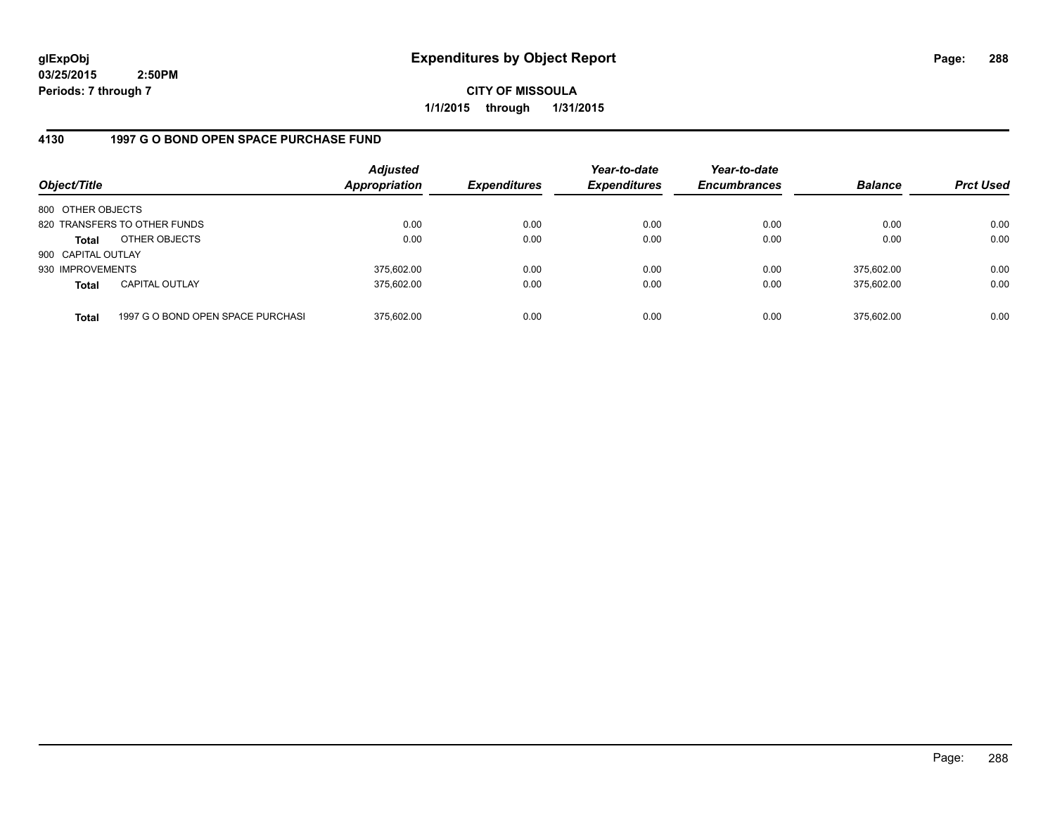**CITY OF MISSOULA 1/1/2015 through 1/31/2015**

## **4130 1997 G O BOND OPEN SPACE PURCHASE FUND**

| Object/Title       |                                   | <b>Adjusted</b><br><b>Appropriation</b> | <b>Expenditures</b> | Year-to-date<br><b>Expenditures</b> | Year-to-date<br><b>Encumbrances</b> | <b>Balance</b> | <b>Prct Used</b> |
|--------------------|-----------------------------------|-----------------------------------------|---------------------|-------------------------------------|-------------------------------------|----------------|------------------|
| 800 OTHER OBJECTS  |                                   |                                         |                     |                                     |                                     |                |                  |
|                    | 820 TRANSFERS TO OTHER FUNDS      | 0.00                                    | 0.00                | 0.00                                | 0.00                                | 0.00           | 0.00             |
| Total              | OTHER OBJECTS                     | 0.00                                    | 0.00                | 0.00                                | 0.00                                | 0.00           | 0.00             |
| 900 CAPITAL OUTLAY |                                   |                                         |                     |                                     |                                     |                |                  |
| 930 IMPROVEMENTS   |                                   | 375,602.00                              | 0.00                | 0.00                                | 0.00                                | 375.602.00     | 0.00             |
| <b>Total</b>       | <b>CAPITAL OUTLAY</b>             | 375.602.00                              | 0.00                | 0.00                                | 0.00                                | 375.602.00     | 0.00             |
| <b>Total</b>       | 1997 G O BOND OPEN SPACE PURCHASI | 375.602.00                              | 0.00                | 0.00                                | 0.00                                | 375,602.00     | 0.00             |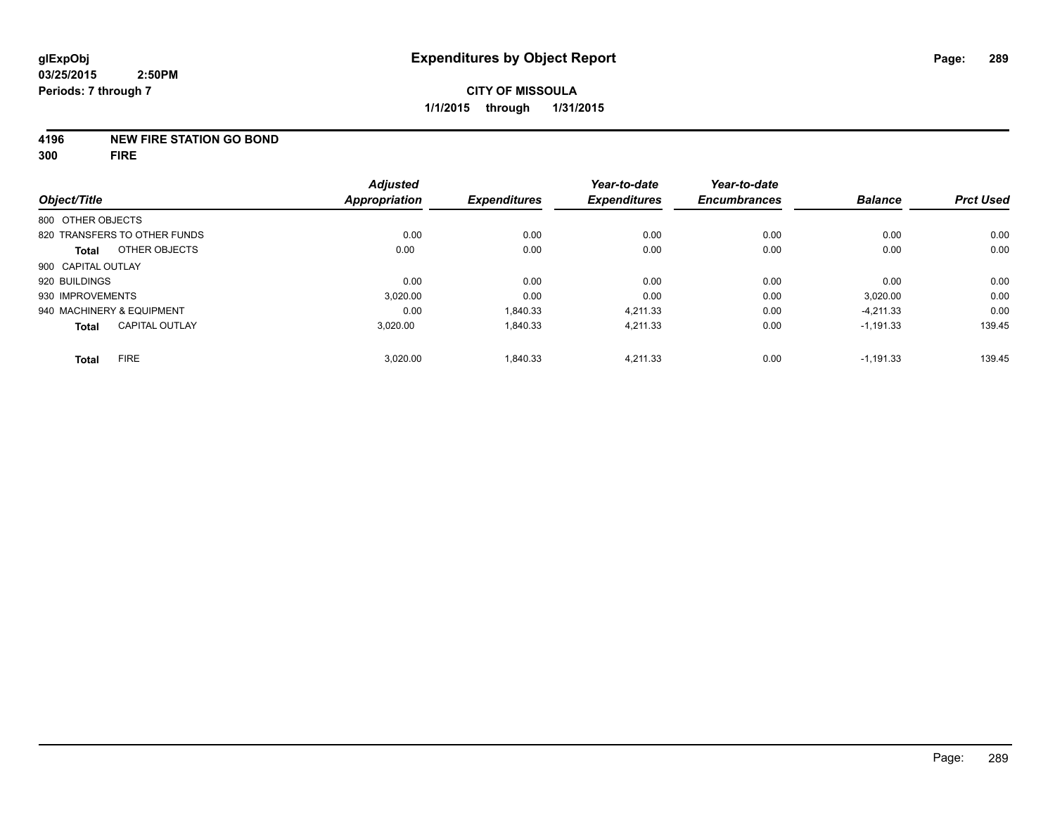#### **4196 NEW FIRE STATION GO BOND**

**300 FIRE**

| Object/Title                          | <b>Adjusted</b><br><b>Appropriation</b> | <b>Expenditures</b> | Year-to-date<br><b>Expenditures</b> | Year-to-date<br><b>Encumbrances</b> | <b>Balance</b> | <b>Prct Used</b> |
|---------------------------------------|-----------------------------------------|---------------------|-------------------------------------|-------------------------------------|----------------|------------------|
| 800 OTHER OBJECTS                     |                                         |                     |                                     |                                     |                |                  |
| 820 TRANSFERS TO OTHER FUNDS          | 0.00                                    | 0.00                | 0.00                                | 0.00                                | 0.00           | 0.00             |
| OTHER OBJECTS<br><b>Total</b>         | 0.00                                    | 0.00                | 0.00                                | 0.00                                | 0.00           | 0.00             |
| 900 CAPITAL OUTLAY                    |                                         |                     |                                     |                                     |                |                  |
| 920 BUILDINGS                         | 0.00                                    | 0.00                | 0.00                                | 0.00                                | 0.00           | 0.00             |
| 930 IMPROVEMENTS                      | 3.020.00                                | 0.00                | 0.00                                | 0.00                                | 3,020.00       | 0.00             |
| 940 MACHINERY & EQUIPMENT             | 0.00                                    | 1,840.33            | 4,211.33                            | 0.00                                | $-4,211.33$    | 0.00             |
| <b>CAPITAL OUTLAY</b><br><b>Total</b> | 3,020.00                                | 1,840.33            | 4,211.33                            | 0.00                                | $-1,191.33$    | 139.45           |
| <b>FIRE</b><br><b>Total</b>           | 3,020.00                                | 1,840.33            | 4,211.33                            | 0.00                                | $-1,191.33$    | 139.45           |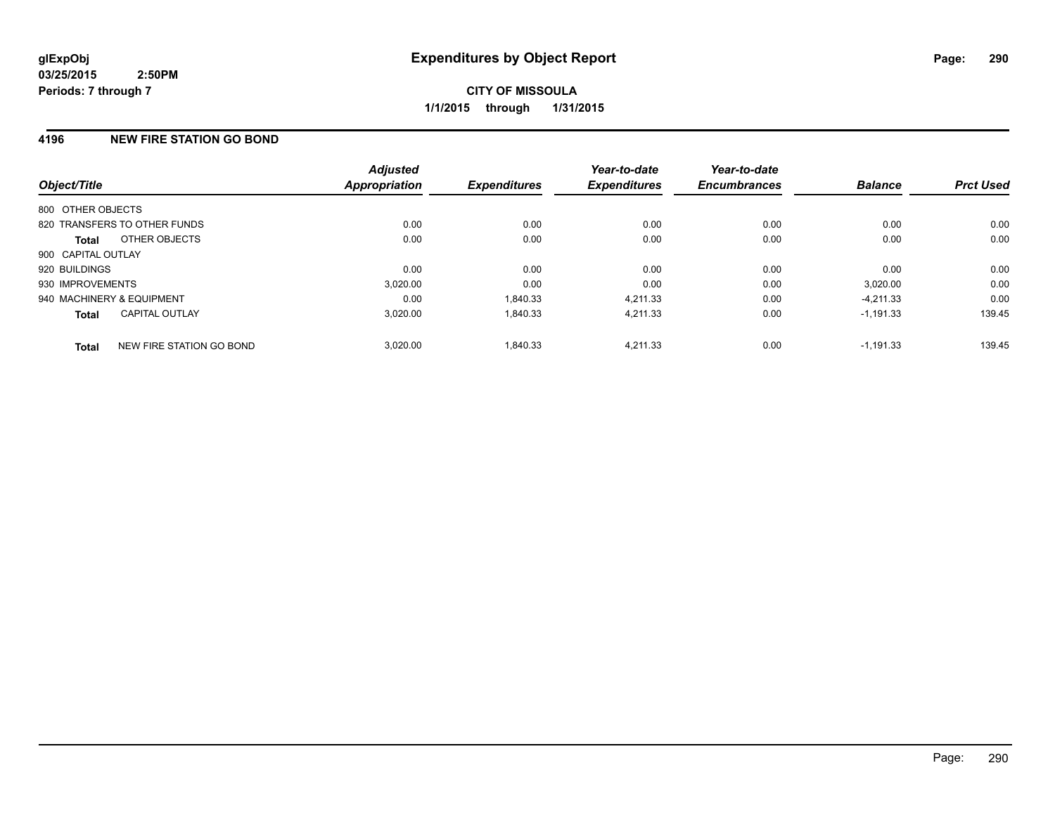## **4196 NEW FIRE STATION GO BOND**

| Object/Title              |                              | <b>Adjusted</b><br><b>Appropriation</b> | <b>Expenditures</b> | Year-to-date<br><b>Expenditures</b> | Year-to-date<br><b>Encumbrances</b> | <b>Balance</b> | <b>Prct Used</b> |
|---------------------------|------------------------------|-----------------------------------------|---------------------|-------------------------------------|-------------------------------------|----------------|------------------|
| 800 OTHER OBJECTS         |                              |                                         |                     |                                     |                                     |                |                  |
|                           | 820 TRANSFERS TO OTHER FUNDS | 0.00                                    | 0.00                | 0.00                                | 0.00                                | 0.00           | 0.00             |
| Total                     | OTHER OBJECTS                | 0.00                                    | 0.00                | 0.00                                | 0.00                                | 0.00           | 0.00             |
| 900 CAPITAL OUTLAY        |                              |                                         |                     |                                     |                                     |                |                  |
| 920 BUILDINGS             |                              | 0.00                                    | 0.00                | 0.00                                | 0.00                                | 0.00           | 0.00             |
| 930 IMPROVEMENTS          |                              | 3,020.00                                | 0.00                | 0.00                                | 0.00                                | 3,020.00       | 0.00             |
| 940 MACHINERY & EQUIPMENT |                              | 0.00                                    | 1,840.33            | 4.211.33                            | 0.00                                | $-4.211.33$    | 0.00             |
| <b>Total</b>              | <b>CAPITAL OUTLAY</b>        | 3.020.00                                | 1,840.33            | 4.211.33                            | 0.00                                | $-1.191.33$    | 139.45           |
| <b>Total</b>              | NEW FIRE STATION GO BOND     | 3.020.00                                | 1,840.33            | 4.211.33                            | 0.00                                | $-1.191.33$    | 139.45           |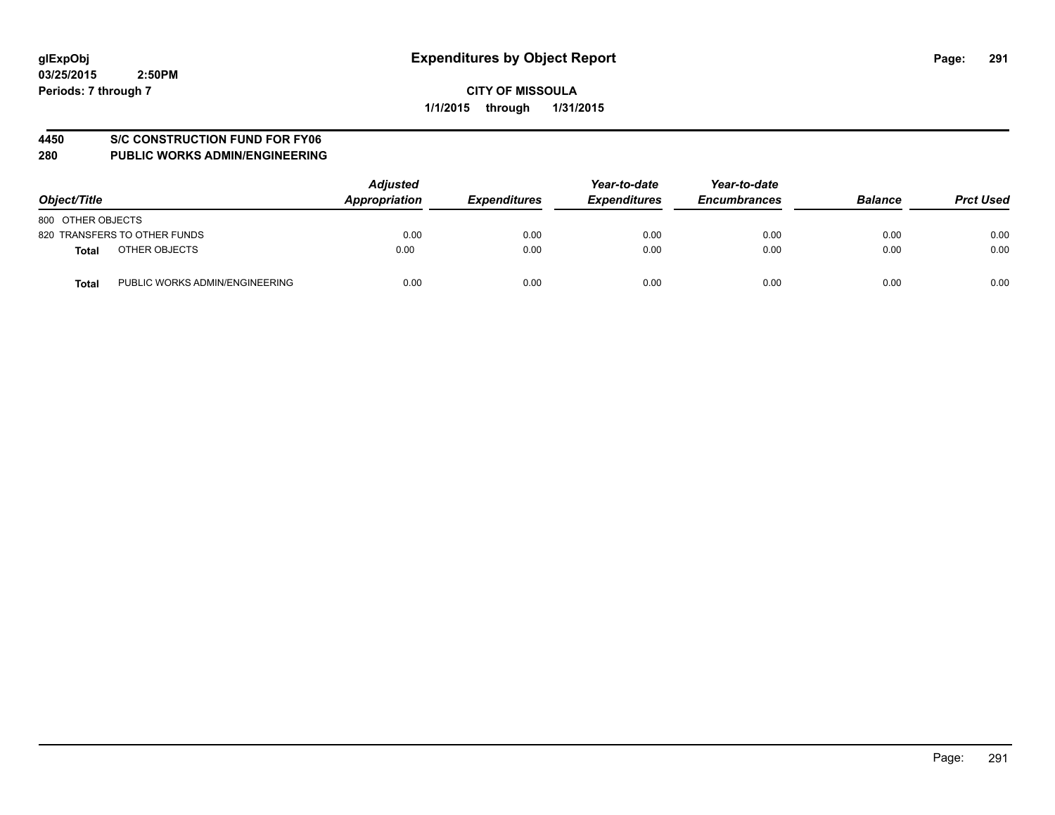#### **4450 S/C CONSTRUCTION FUND FOR FY06**

| Object/Title                                   | <b>Adjusted</b><br>Appropriation | <b>Expenditures</b> | Year-to-date<br><b>Expenditures</b> | Year-to-date<br><b>Encumbrances</b> | <b>Balance</b> | <b>Prct Used</b> |
|------------------------------------------------|----------------------------------|---------------------|-------------------------------------|-------------------------------------|----------------|------------------|
| 800 OTHER OBJECTS                              |                                  |                     |                                     |                                     |                |                  |
| 820 TRANSFERS TO OTHER FUNDS                   | 0.00                             | 0.00                | 0.00                                | 0.00                                | 0.00           | 0.00             |
| OTHER OBJECTS<br><b>Total</b>                  | 0.00                             | 0.00                | 0.00                                | 0.00                                | 0.00           | 0.00             |
| PUBLIC WORKS ADMIN/ENGINEERING<br><b>Total</b> | 0.00                             | 0.00                | 0.00                                | 0.00                                | 0.00           | 0.00             |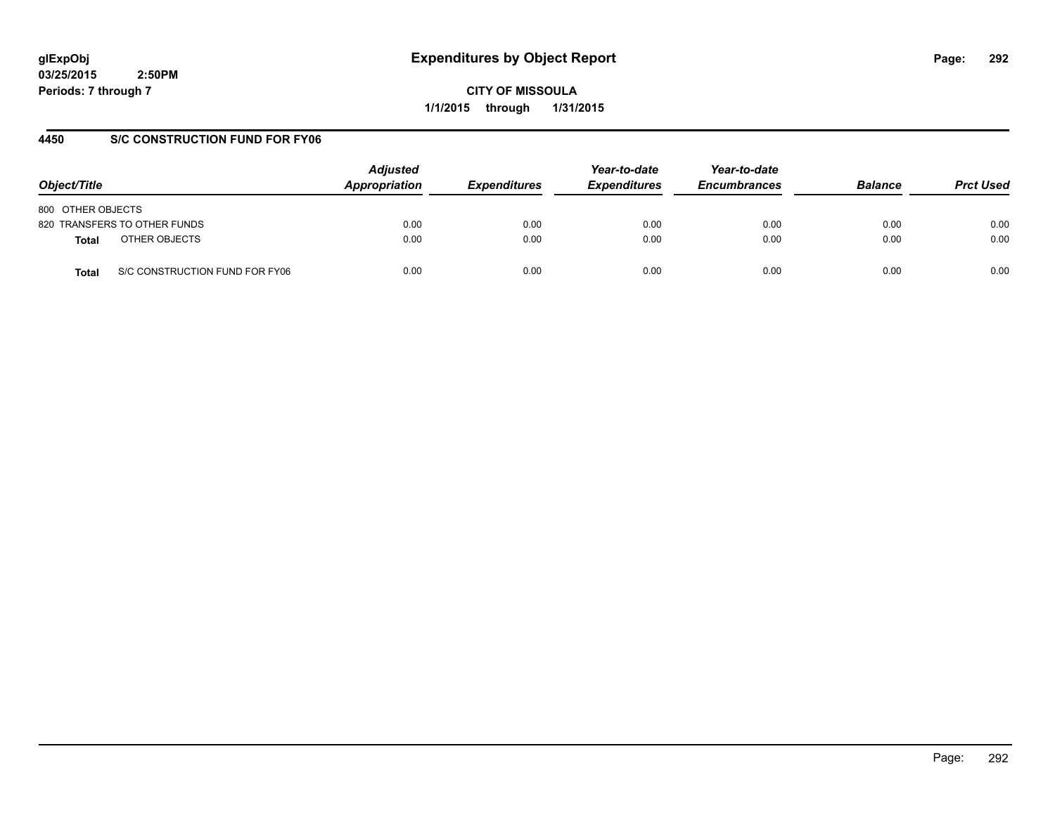**CITY OF MISSOULA 1/1/2015 through 1/31/2015**

## **4450 S/C CONSTRUCTION FUND FOR FY06**

| Object/Title                            | <b>Adjusted</b><br>Appropriation | <b>Expenditures</b> | Year-to-date<br><b>Expenditures</b> | Year-to-date<br><b>Encumbrances</b> | <b>Balance</b> | <b>Prct Used</b> |
|-----------------------------------------|----------------------------------|---------------------|-------------------------------------|-------------------------------------|----------------|------------------|
| 800 OTHER OBJECTS                       |                                  |                     |                                     |                                     |                |                  |
| 820 TRANSFERS TO OTHER FUNDS            | 0.00                             | 0.00                | 0.00                                | 0.00                                | 0.00           | 0.00             |
| OTHER OBJECTS<br><b>Total</b>           | 0.00                             | 0.00                | 0.00                                | 0.00                                | 0.00           | 0.00             |
| S/C CONSTRUCTION FUND FOR FY06<br>Total | 0.00                             | 0.00                | 0.00                                | 0.00                                | 0.00           | 0.00             |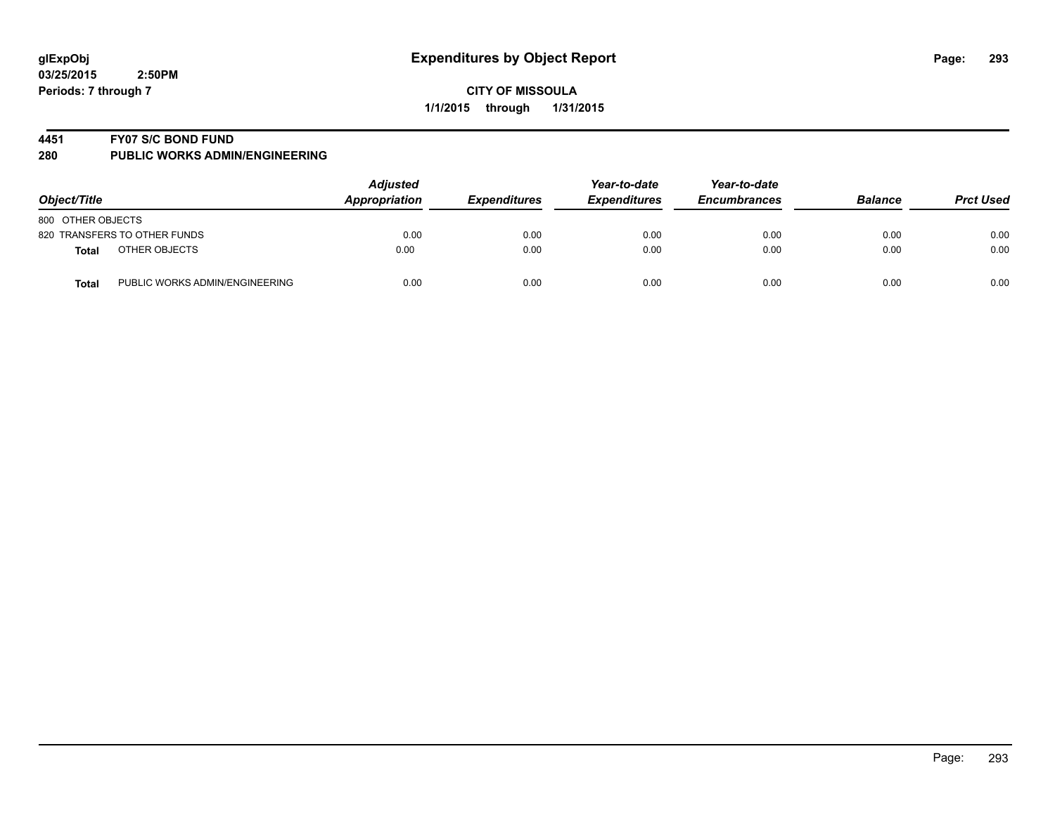#### **4451 FY07 S/C BOND FUND**

| Object/Title                           | <b>Adjusted</b><br>Appropriation | <b>Expenditures</b> | Year-to-date<br><b>Expenditures</b> | Year-to-date<br><b>Encumbrances</b> | <b>Balance</b> | <b>Prct Used</b> |
|----------------------------------------|----------------------------------|---------------------|-------------------------------------|-------------------------------------|----------------|------------------|
| 800 OTHER OBJECTS                      |                                  |                     |                                     |                                     |                |                  |
| 820 TRANSFERS TO OTHER FUNDS           | 0.00                             | 0.00                | 0.00                                | 0.00                                | 0.00           | 0.00             |
| OTHER OBJECTS<br>Total                 | 0.00                             | 0.00                | 0.00                                | 0.00                                | 0.00           | 0.00             |
| PUBLIC WORKS ADMIN/ENGINEERING<br>Tota | 0.00                             | 0.00                | 0.00                                | 0.00                                | 0.00           | 0.00             |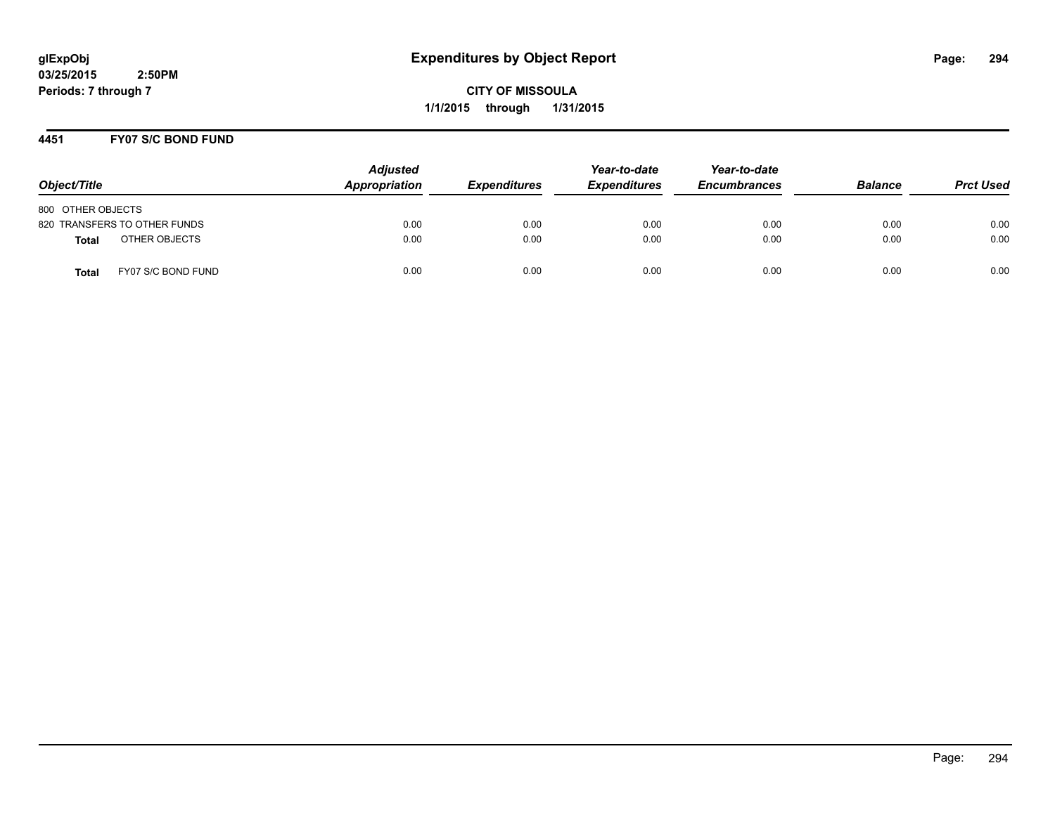**CITY OF MISSOULA 1/1/2015 through 1/31/2015**

## **4451 FY07 S/C BOND FUND**

| Object/Title                       | <b>Adjusted</b><br>Appropriation | <b>Expenditures</b> | Year-to-date<br><b>Expenditures</b> | Year-to-date<br><b>Encumbrances</b> | <b>Balance</b> | <b>Prct Used</b> |
|------------------------------------|----------------------------------|---------------------|-------------------------------------|-------------------------------------|----------------|------------------|
| 800 OTHER OBJECTS                  |                                  |                     |                                     |                                     |                |                  |
| 820 TRANSFERS TO OTHER FUNDS       | 0.00                             | 0.00                | 0.00                                | 0.00                                | 0.00           | 0.00             |
| OTHER OBJECTS<br><b>Total</b>      | 0.00                             | 0.00                | 0.00                                | 0.00                                | 0.00           | 0.00             |
| FY07 S/C BOND FUND<br><b>Total</b> | 0.00                             | 0.00                | 0.00                                | 0.00                                | 0.00           | 0.00             |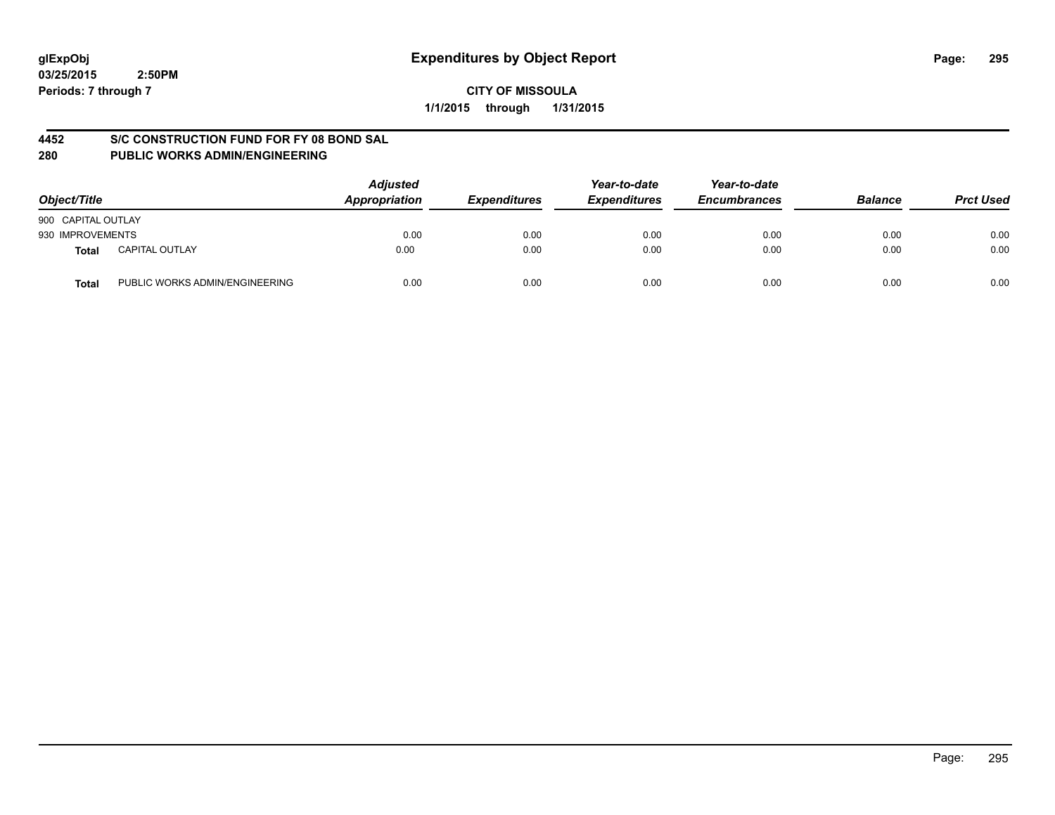## **CITY OF MISSOULA 1/1/2015 through 1/31/2015**

## **4452 S/C CONSTRUCTION FUND FOR FY 08 BOND SAL**

| Object/Title                            | <b>Adjusted</b><br>Appropriation | <b>Expenditures</b> | Year-to-date<br><b>Expenditures</b> | Year-to-date<br><b>Encumbrances</b> | <b>Balance</b> | <b>Prct Used</b> |
|-----------------------------------------|----------------------------------|---------------------|-------------------------------------|-------------------------------------|----------------|------------------|
| 900 CAPITAL OUTLAY                      |                                  |                     |                                     |                                     |                |                  |
| 930 IMPROVEMENTS                        | 0.00                             | 0.00                | 0.00                                | 0.00                                | 0.00           | 0.00             |
| <b>CAPITAL OUTLAY</b><br>Total          | 0.00                             | 0.00                | 0.00                                | 0.00                                | 0.00           | 0.00             |
| PUBLIC WORKS ADMIN/ENGINEERING<br>Total | 0.00                             | 0.00                | 0.00                                | 0.00                                | 0.00           | 0.00             |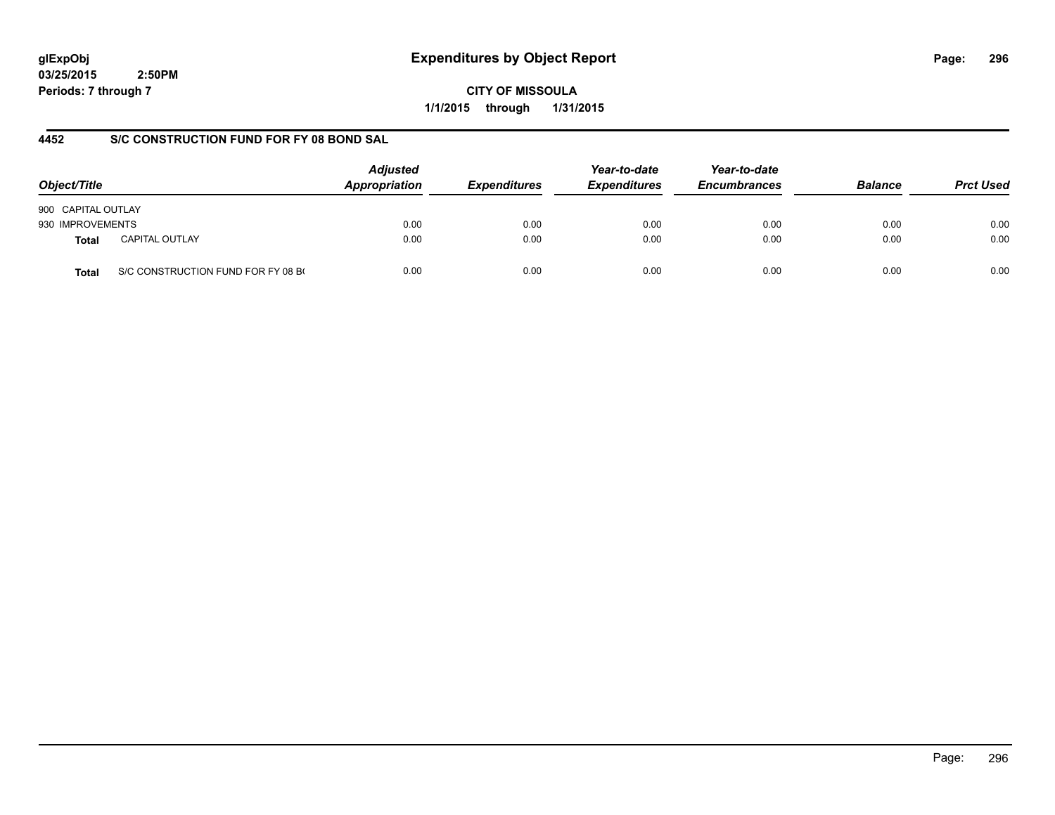# **glExpObj Expenditures by Object Report Page: 296**

**03/25/2015 2:50PM Periods: 7 through 7**

**CITY OF MISSOULA 1/1/2015 through 1/31/2015**

## **4452 S/C CONSTRUCTION FUND FOR FY 08 BOND SAL**

| Object/Title       |                                    | <b>Adjusted</b><br>Appropriation | <i><b>Expenditures</b></i> | Year-to-date<br><b>Expenditures</b> | Year-to-date<br><b>Encumbrances</b> | <b>Balance</b> | <b>Prct Used</b> |
|--------------------|------------------------------------|----------------------------------|----------------------------|-------------------------------------|-------------------------------------|----------------|------------------|
| 900 CAPITAL OUTLAY |                                    |                                  |                            |                                     |                                     |                |                  |
| 930 IMPROVEMENTS   |                                    | 0.00                             | 0.00                       | 0.00                                | 0.00                                | 0.00           | 0.00             |
| Total              | <b>CAPITAL OUTLAY</b>              | 0.00                             | 0.00                       | 0.00                                | 0.00                                | 0.00           | 0.00             |
| Total              | S/C CONSTRUCTION FUND FOR FY 08 BO | 0.00                             | 0.00                       | 0.00                                | 0.00                                | 0.00           | 0.00             |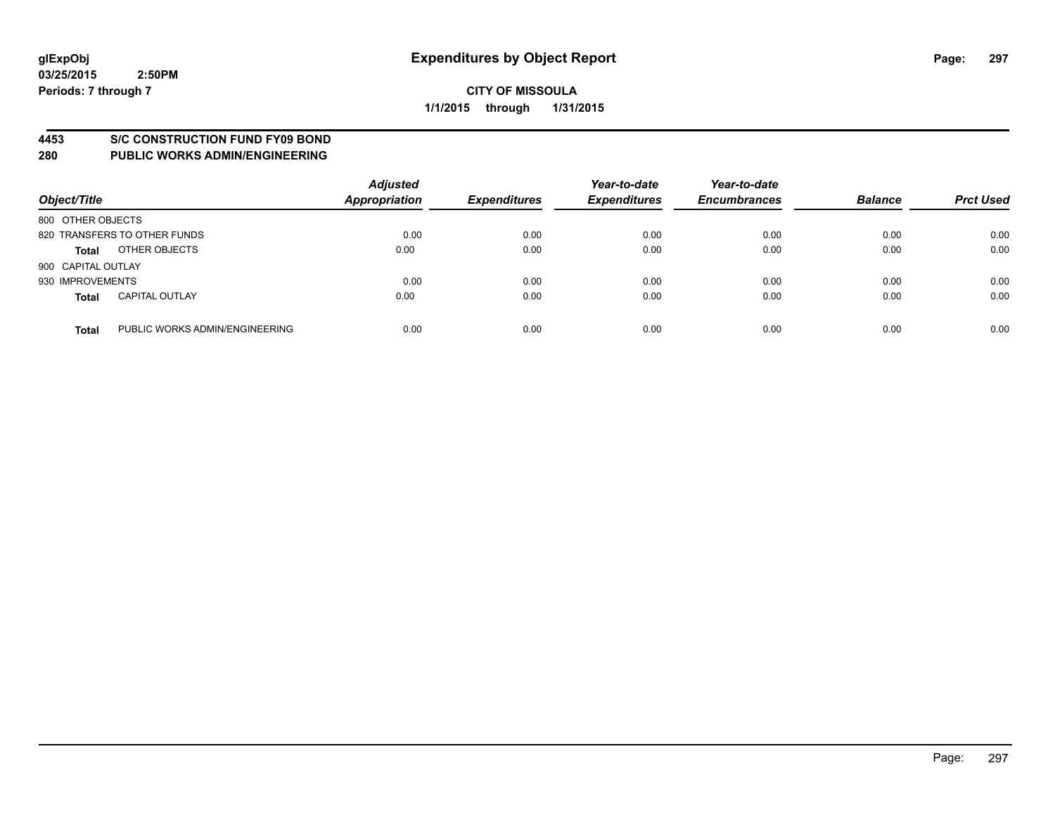#### **4453 S/C CONSTRUCTION FUND FY09 BOND**

| Object/Title       |                                | <b>Adjusted</b><br><b>Appropriation</b> | <b>Expenditures</b> | Year-to-date<br><b>Expenditures</b> | Year-to-date<br><b>Encumbrances</b> | <b>Balance</b> | <b>Prct Used</b> |
|--------------------|--------------------------------|-----------------------------------------|---------------------|-------------------------------------|-------------------------------------|----------------|------------------|
| 800 OTHER OBJECTS  |                                |                                         |                     |                                     |                                     |                |                  |
|                    | 820 TRANSFERS TO OTHER FUNDS   | 0.00                                    | 0.00                | 0.00                                | 0.00                                | 0.00           | 0.00             |
| <b>Total</b>       | OTHER OBJECTS                  | 0.00                                    | 0.00                | 0.00                                | 0.00                                | 0.00           | 0.00             |
| 900 CAPITAL OUTLAY |                                |                                         |                     |                                     |                                     |                |                  |
| 930 IMPROVEMENTS   |                                | 0.00                                    | 0.00                | 0.00                                | 0.00                                | 0.00           | 0.00             |
| <b>Total</b>       | <b>CAPITAL OUTLAY</b>          | 0.00                                    | 0.00                | 0.00                                | 0.00                                | 0.00           | 0.00             |
| <b>Total</b>       | PUBLIC WORKS ADMIN/ENGINEERING | 0.00                                    | 0.00                | 0.00                                | 0.00                                | 0.00           | 0.00             |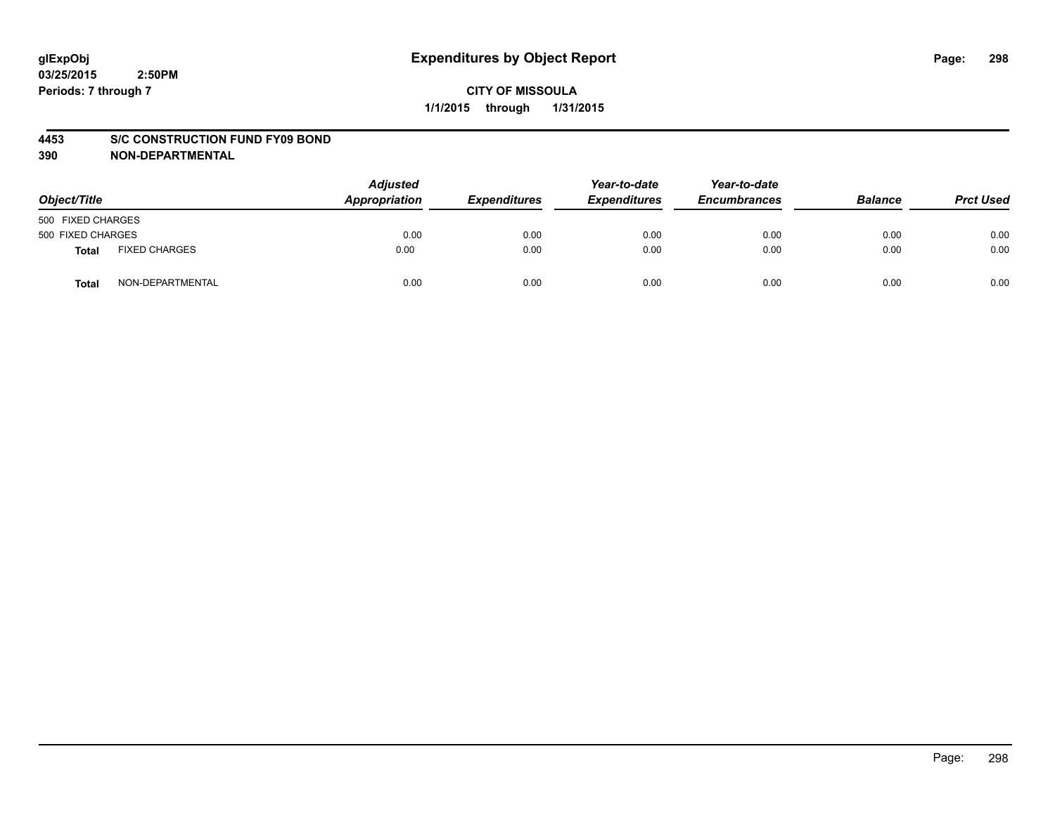#### **4453 S/C CONSTRUCTION FUND FY09 BOND**

| Object/Title      |                      | <b>Adjusted</b><br>Appropriation | <b>Expenditures</b> | Year-to-date<br><b>Expenditures</b> | Year-to-date<br><b>Encumbrances</b> | <b>Balance</b> | <b>Prct Used</b> |
|-------------------|----------------------|----------------------------------|---------------------|-------------------------------------|-------------------------------------|----------------|------------------|
| 500 FIXED CHARGES |                      |                                  |                     |                                     |                                     |                |                  |
| 500 FIXED CHARGES |                      | 0.00                             | 0.00                | 0.00                                | 0.00                                | 0.00           | 0.00             |
| <b>Total</b>      | <b>FIXED CHARGES</b> | 0.00                             | 0.00                | 0.00                                | 0.00                                | 0.00           | 0.00             |
| Total             | NON-DEPARTMENTAL     | 0.00                             | 0.00                | 0.00                                | 0.00                                | 0.00           | 0.00             |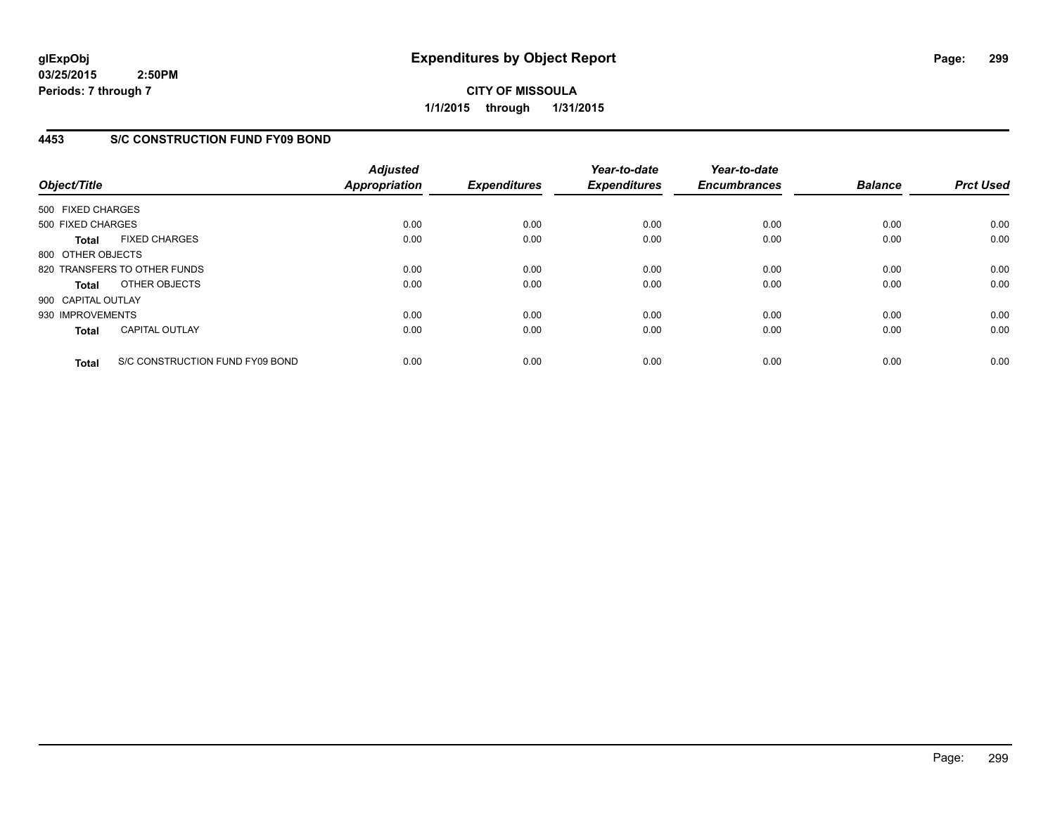**CITY OF MISSOULA 1/1/2015 through 1/31/2015**

## **4453 S/C CONSTRUCTION FUND FY09 BOND**

| Object/Title       |                                 | <b>Adjusted</b><br><b>Appropriation</b> | <b>Expenditures</b> | Year-to-date<br><b>Expenditures</b> | Year-to-date<br><b>Encumbrances</b> | <b>Balance</b> | <b>Prct Used</b> |
|--------------------|---------------------------------|-----------------------------------------|---------------------|-------------------------------------|-------------------------------------|----------------|------------------|
| 500 FIXED CHARGES  |                                 |                                         |                     |                                     |                                     |                |                  |
| 500 FIXED CHARGES  |                                 | 0.00                                    | 0.00                | 0.00                                | 0.00                                | 0.00           | 0.00             |
| <b>Total</b>       | <b>FIXED CHARGES</b>            | 0.00                                    | 0.00                | 0.00                                | 0.00                                | 0.00           | 0.00             |
| 800 OTHER OBJECTS  |                                 |                                         |                     |                                     |                                     |                |                  |
|                    | 820 TRANSFERS TO OTHER FUNDS    | 0.00                                    | 0.00                | 0.00                                | 0.00                                | 0.00           | 0.00             |
| <b>Total</b>       | OTHER OBJECTS                   | 0.00                                    | 0.00                | 0.00                                | 0.00                                | 0.00           | 0.00             |
| 900 CAPITAL OUTLAY |                                 |                                         |                     |                                     |                                     |                |                  |
| 930 IMPROVEMENTS   |                                 | 0.00                                    | 0.00                | 0.00                                | 0.00                                | 0.00           | 0.00             |
| <b>Total</b>       | <b>CAPITAL OUTLAY</b>           | 0.00                                    | 0.00                | 0.00                                | 0.00                                | 0.00           | 0.00             |
| <b>Total</b>       | S/C CONSTRUCTION FUND FY09 BOND | 0.00                                    | 0.00                | 0.00                                | 0.00                                | 0.00           | 0.00             |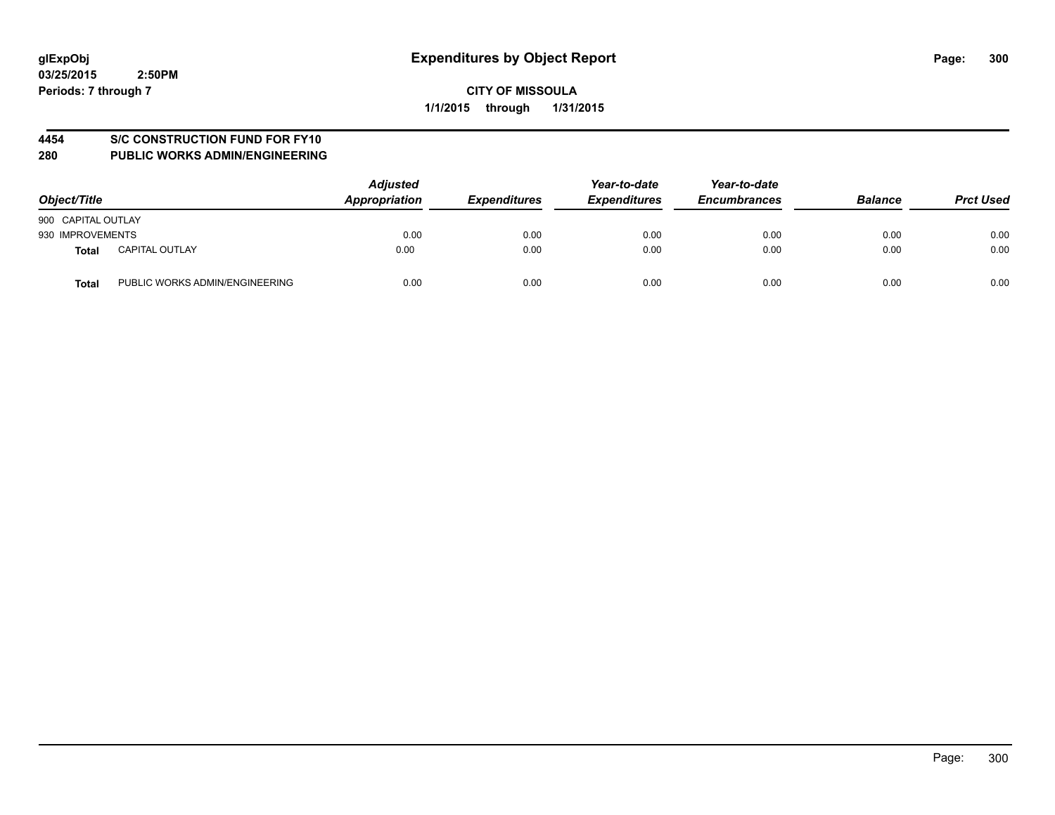## **4454 S/C CONSTRUCTION FUND FOR FY10**

| Object/Title       |                                | <b>Adjusted</b><br>Appropriation | <b>Expenditures</b> | Year-to-date<br><b>Expenditures</b> | Year-to-date<br><b>Encumbrances</b> | <b>Balance</b> | <b>Prct Used</b> |
|--------------------|--------------------------------|----------------------------------|---------------------|-------------------------------------|-------------------------------------|----------------|------------------|
| 900 CAPITAL OUTLAY |                                |                                  |                     |                                     |                                     |                |                  |
| 930 IMPROVEMENTS   |                                | 0.00                             | 0.00                | 0.00                                | 0.00                                | 0.00           | 0.00             |
| Total              | <b>CAPITAL OUTLAY</b>          | 0.00                             | 0.00                | 0.00                                | 0.00                                | 0.00           | 0.00             |
| <b>Total</b>       | PUBLIC WORKS ADMIN/ENGINEERING | 0.00                             | 0.00                | 0.00                                | 0.00                                | 0.00           | 0.00             |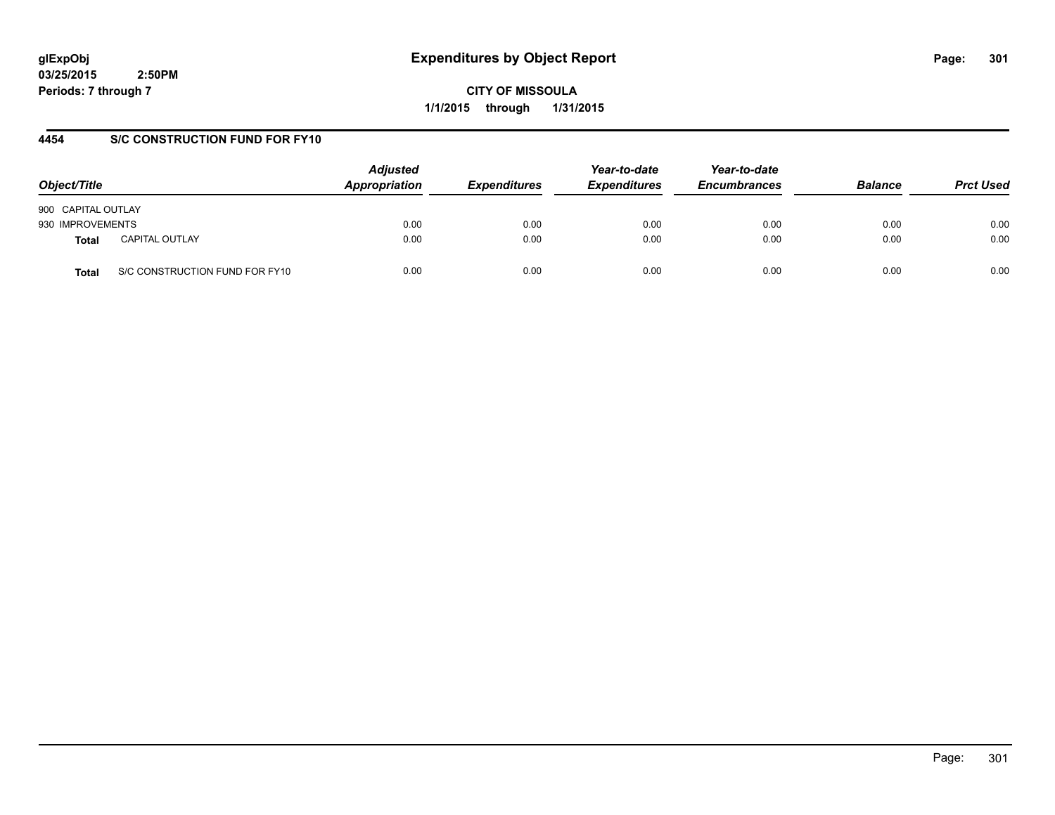**CITY OF MISSOULA 1/1/2015 through 1/31/2015**

## **4454 S/C CONSTRUCTION FUND FOR FY10**

| Object/Title       |                                | <b>Adjusted</b><br>Appropriation | <b>Expenditures</b> | Year-to-date<br><b>Expenditures</b> | Year-to-date<br><b>Encumbrances</b> | <b>Balance</b> | <b>Prct Used</b> |
|--------------------|--------------------------------|----------------------------------|---------------------|-------------------------------------|-------------------------------------|----------------|------------------|
| 900 CAPITAL OUTLAY |                                |                                  |                     |                                     |                                     |                |                  |
| 930 IMPROVEMENTS   |                                | 0.00                             | 0.00                | 0.00                                | 0.00                                | 0.00           | 0.00             |
| <b>Total</b>       | <b>CAPITAL OUTLAY</b>          | 0.00                             | 0.00                | 0.00                                | 0.00                                | 0.00           | 0.00             |
| Total              | S/C CONSTRUCTION FUND FOR FY10 | 0.00                             | 0.00                | 0.00                                | 0.00                                | 0.00           | 0.00             |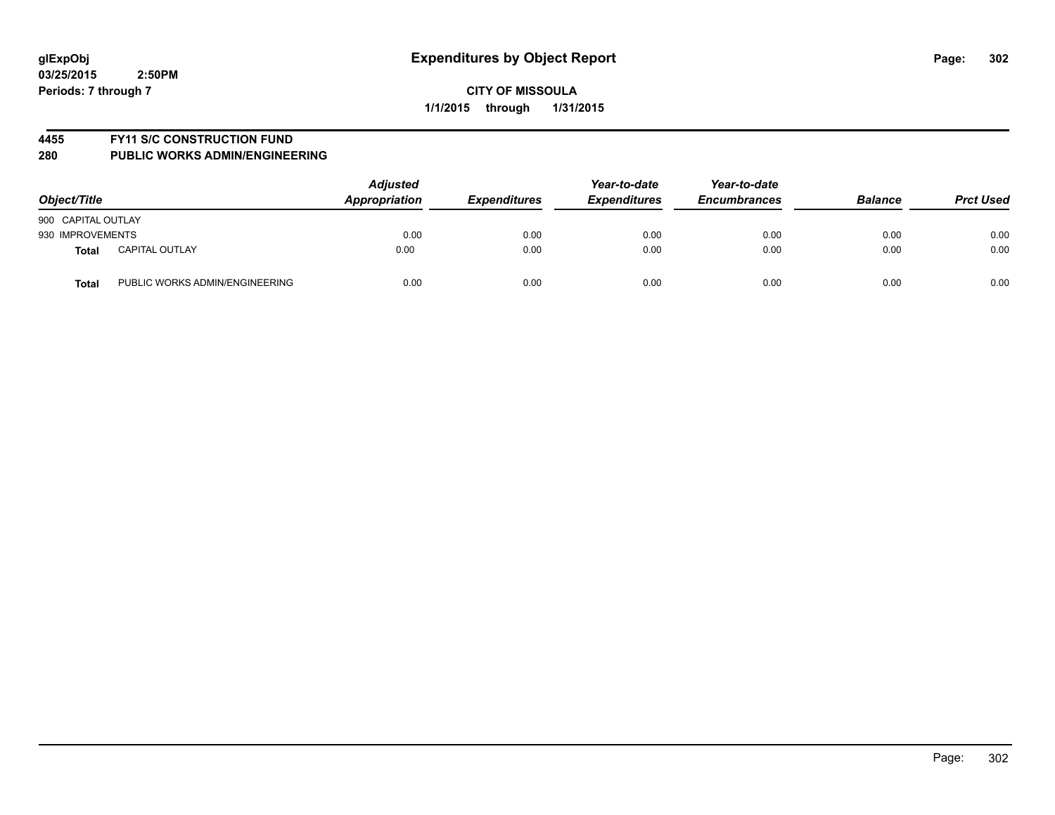#### **4455 FY11 S/C CONSTRUCTION FUND**

| Object/Title       |                                | <b>Adjusted</b><br>Appropriation | <b>Expenditures</b> | Year-to-date<br><b>Expenditures</b> | Year-to-date<br><b>Encumbrances</b> | <b>Balance</b> | <b>Prct Used</b> |
|--------------------|--------------------------------|----------------------------------|---------------------|-------------------------------------|-------------------------------------|----------------|------------------|
| 900 CAPITAL OUTLAY |                                |                                  |                     |                                     |                                     |                |                  |
| 930 IMPROVEMENTS   |                                | 0.00                             | 0.00                | 0.00                                | 0.00                                | 0.00           | 0.00             |
| <b>Total</b>       | <b>CAPITAL OUTLAY</b>          | 0.00                             | 0.00                | 0.00                                | 0.00                                | 0.00           | 0.00             |
| <b>Total</b>       | PUBLIC WORKS ADMIN/ENGINEERING | 0.00                             | 0.00                | 0.00                                | 0.00                                | 0.00           | 0.00             |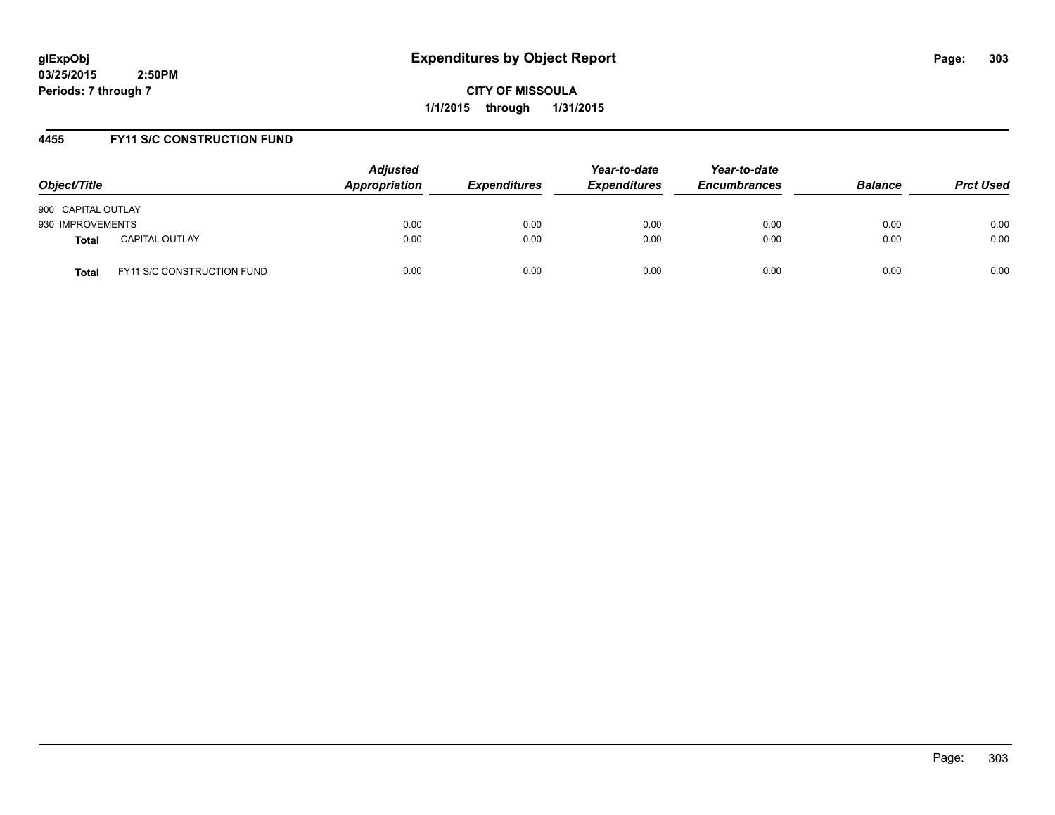**CITY OF MISSOULA 1/1/2015 through 1/31/2015**

## **4455 FY11 S/C CONSTRUCTION FUND**

| Object/Title                          | <b>Adjusted</b><br><b>Appropriation</b> | <b>Expenditures</b> | Year-to-date<br><b>Expenditures</b> | Year-to-date<br><b>Encumbrances</b> | <b>Balance</b> | <b>Prct Used</b> |
|---------------------------------------|-----------------------------------------|---------------------|-------------------------------------|-------------------------------------|----------------|------------------|
| 900 CAPITAL OUTLAY                    |                                         |                     |                                     |                                     |                |                  |
| 930 IMPROVEMENTS                      | 0.00                                    | 0.00                | 0.00                                | 0.00                                | 0.00           | 0.00             |
| <b>CAPITAL OUTLAY</b><br><b>Total</b> | 0.00                                    | 0.00                | 0.00                                | 0.00                                | 0.00           | 0.00             |
| FY11 S/C CONSTRUCTION FUND<br>Total   | 0.00                                    | 0.00                | 0.00                                | 0.00                                | 0.00           | 0.00             |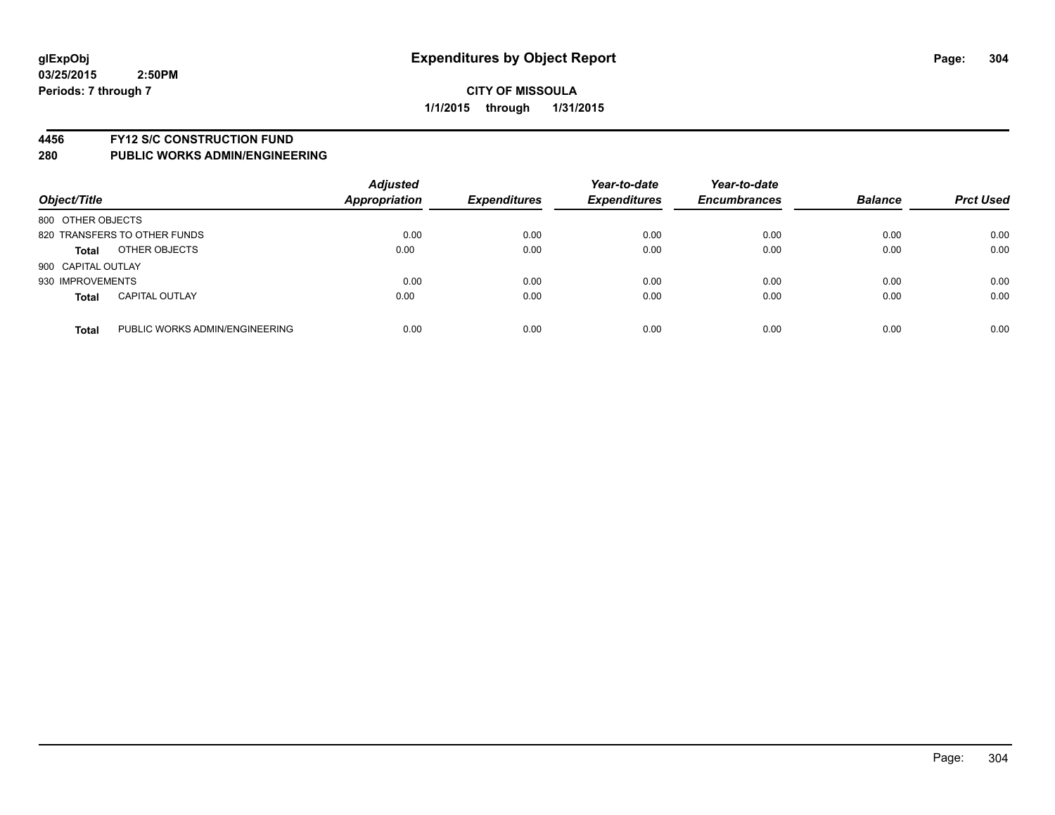#### **4456 FY12 S/C CONSTRUCTION FUND**

| Object/Title       |                                | <b>Adjusted</b><br><b>Appropriation</b> | <b>Expenditures</b> | Year-to-date<br><b>Expenditures</b> | Year-to-date<br><b>Encumbrances</b> | <b>Balance</b> | <b>Prct Used</b> |
|--------------------|--------------------------------|-----------------------------------------|---------------------|-------------------------------------|-------------------------------------|----------------|------------------|
| 800 OTHER OBJECTS  |                                |                                         |                     |                                     |                                     |                |                  |
|                    | 820 TRANSFERS TO OTHER FUNDS   | 0.00                                    | 0.00                | 0.00                                | 0.00                                | 0.00           | 0.00             |
| <b>Total</b>       | OTHER OBJECTS                  | 0.00                                    | 0.00                | 0.00                                | 0.00                                | 0.00           | 0.00             |
| 900 CAPITAL OUTLAY |                                |                                         |                     |                                     |                                     |                |                  |
| 930 IMPROVEMENTS   |                                | 0.00                                    | 0.00                | 0.00                                | 0.00                                | 0.00           | 0.00             |
| <b>Total</b>       | <b>CAPITAL OUTLAY</b>          | 0.00                                    | 0.00                | 0.00                                | 0.00                                | 0.00           | 0.00             |
| <b>Total</b>       | PUBLIC WORKS ADMIN/ENGINEERING | 0.00                                    | 0.00                | 0.00                                | 0.00                                | 0.00           | 0.00             |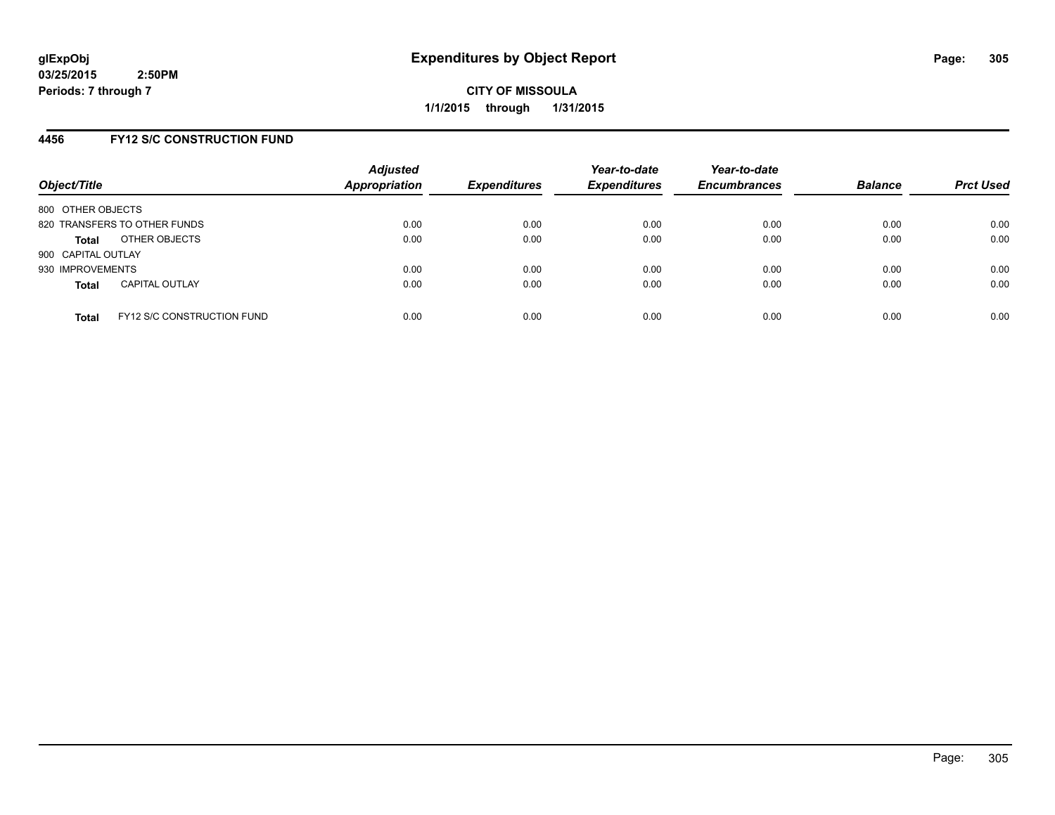**CITY OF MISSOULA 1/1/2015 through 1/31/2015**

## **4456 FY12 S/C CONSTRUCTION FUND**

| Object/Title                 |                                   | <b>Adjusted</b><br>Appropriation | <b>Expenditures</b> | Year-to-date<br><b>Expenditures</b> | Year-to-date<br><b>Encumbrances</b> | <b>Balance</b> | <b>Prct Used</b> |
|------------------------------|-----------------------------------|----------------------------------|---------------------|-------------------------------------|-------------------------------------|----------------|------------------|
| 800 OTHER OBJECTS            |                                   |                                  |                     |                                     |                                     |                |                  |
| 820 TRANSFERS TO OTHER FUNDS |                                   | 0.00                             | 0.00                | 0.00                                | 0.00                                | 0.00           | 0.00             |
| <b>Total</b>                 | OTHER OBJECTS                     | 0.00                             | 0.00                | 0.00                                | 0.00                                | 0.00           | 0.00             |
| 900 CAPITAL OUTLAY           |                                   |                                  |                     |                                     |                                     |                |                  |
| 930 IMPROVEMENTS             |                                   | 0.00                             | 0.00                | 0.00                                | 0.00                                | 0.00           | 0.00             |
| <b>Total</b>                 | <b>CAPITAL OUTLAY</b>             | 0.00                             | 0.00                | 0.00                                | 0.00                                | 0.00           | 0.00             |
| <b>Total</b>                 | <b>FY12 S/C CONSTRUCTION FUND</b> | 0.00                             | 0.00                | 0.00                                | 0.00                                | 0.00           | 0.00             |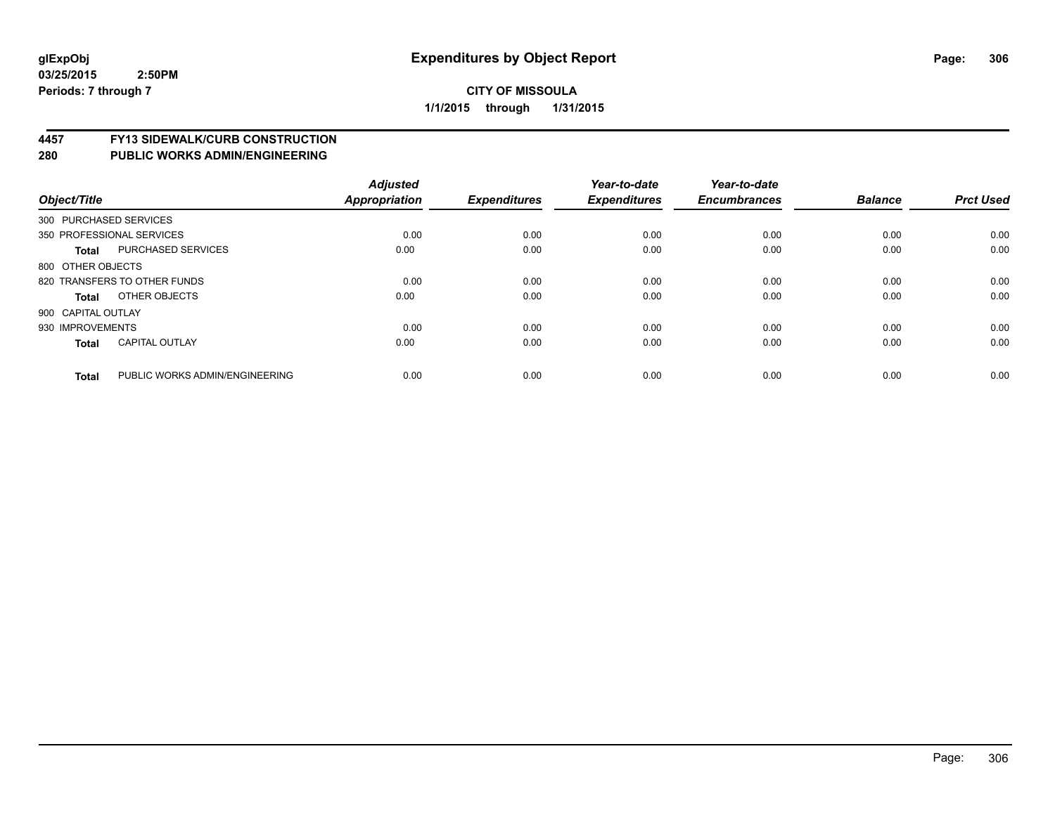# **4457 FY13 SIDEWALK/CURB CONSTRUCTION**

| Object/Title           |                                | <b>Adjusted</b><br><b>Appropriation</b> | <b>Expenditures</b> | Year-to-date<br><b>Expenditures</b> | Year-to-date<br><b>Encumbrances</b> | <b>Balance</b> | <b>Prct Used</b> |
|------------------------|--------------------------------|-----------------------------------------|---------------------|-------------------------------------|-------------------------------------|----------------|------------------|
| 300 PURCHASED SERVICES |                                |                                         |                     |                                     |                                     |                |                  |
|                        | 350 PROFESSIONAL SERVICES      | 0.00                                    | 0.00                | 0.00                                | 0.00                                | 0.00           | 0.00             |
| <b>Total</b>           | <b>PURCHASED SERVICES</b>      | 0.00                                    | 0.00                | 0.00                                | 0.00                                | 0.00           | 0.00             |
| 800 OTHER OBJECTS      |                                |                                         |                     |                                     |                                     |                |                  |
|                        | 820 TRANSFERS TO OTHER FUNDS   | 0.00                                    | 0.00                | 0.00                                | 0.00                                | 0.00           | 0.00             |
| Total                  | OTHER OBJECTS                  | 0.00                                    | 0.00                | 0.00                                | 0.00                                | 0.00           | 0.00             |
| 900 CAPITAL OUTLAY     |                                |                                         |                     |                                     |                                     |                |                  |
| 930 IMPROVEMENTS       |                                | 0.00                                    | 0.00                | 0.00                                | 0.00                                | 0.00           | 0.00             |
| Total                  | <b>CAPITAL OUTLAY</b>          | 0.00                                    | 0.00                | 0.00                                | 0.00                                | 0.00           | 0.00             |
| <b>Total</b>           | PUBLIC WORKS ADMIN/ENGINEERING | 0.00                                    | 0.00                | 0.00                                | 0.00                                | 0.00           | 0.00             |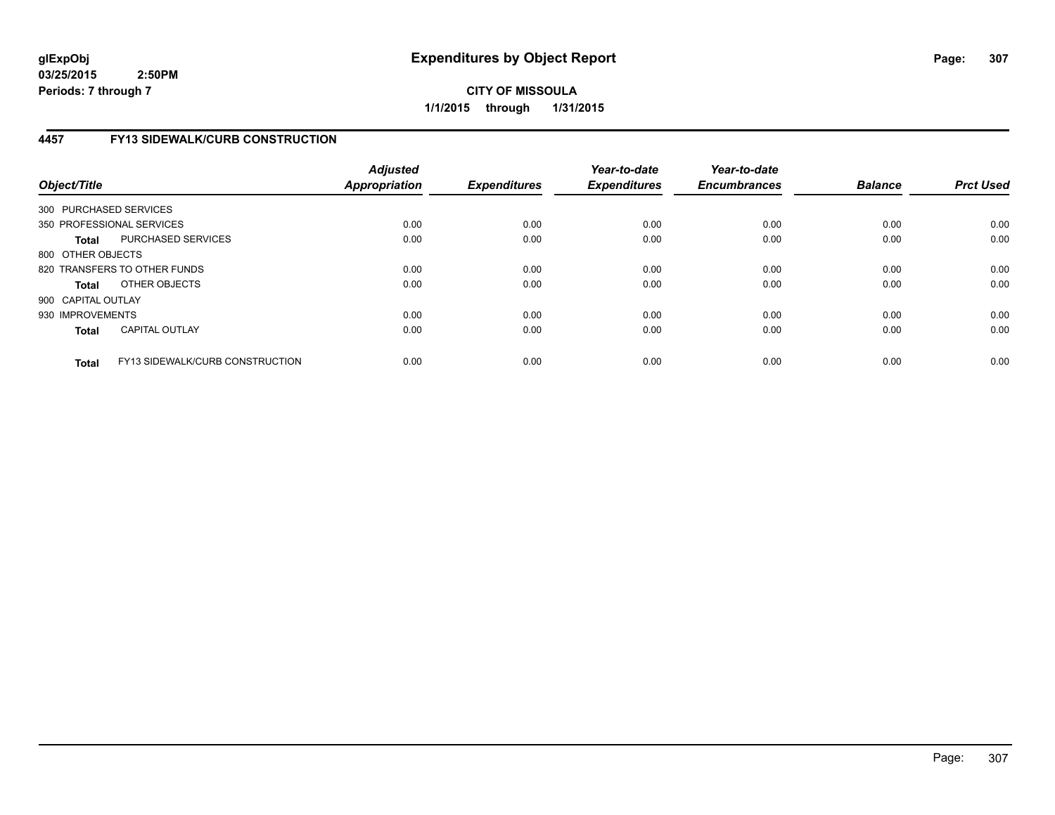## **CITY OF MISSOULA 1/1/2015 through 1/31/2015**

## **4457 FY13 SIDEWALK/CURB CONSTRUCTION**

| Object/Title           |                                        | <b>Adjusted</b><br><b>Appropriation</b> | <b>Expenditures</b> | Year-to-date<br><b>Expenditures</b> | Year-to-date<br><b>Encumbrances</b> | <b>Balance</b> | <b>Prct Used</b> |
|------------------------|----------------------------------------|-----------------------------------------|---------------------|-------------------------------------|-------------------------------------|----------------|------------------|
| 300 PURCHASED SERVICES |                                        |                                         |                     |                                     |                                     |                |                  |
|                        | 350 PROFESSIONAL SERVICES              | 0.00                                    | 0.00                | 0.00                                | 0.00                                | 0.00           | 0.00             |
| <b>Total</b>           | PURCHASED SERVICES                     | 0.00                                    | 0.00                | 0.00                                | 0.00                                | 0.00           | 0.00             |
| 800 OTHER OBJECTS      |                                        |                                         |                     |                                     |                                     |                |                  |
|                        | 820 TRANSFERS TO OTHER FUNDS           | 0.00                                    | 0.00                | 0.00                                | 0.00                                | 0.00           | 0.00             |
| <b>Total</b>           | OTHER OBJECTS                          | 0.00                                    | 0.00                | 0.00                                | 0.00                                | 0.00           | 0.00             |
| 900 CAPITAL OUTLAY     |                                        |                                         |                     |                                     |                                     |                |                  |
| 930 IMPROVEMENTS       |                                        | 0.00                                    | 0.00                | 0.00                                | 0.00                                | 0.00           | 0.00             |
| <b>Total</b>           | <b>CAPITAL OUTLAY</b>                  | 0.00                                    | 0.00                | 0.00                                | 0.00                                | 0.00           | 0.00             |
| <b>Total</b>           | <b>FY13 SIDEWALK/CURB CONSTRUCTION</b> | 0.00                                    | 0.00                | 0.00                                | 0.00                                | 0.00           | 0.00             |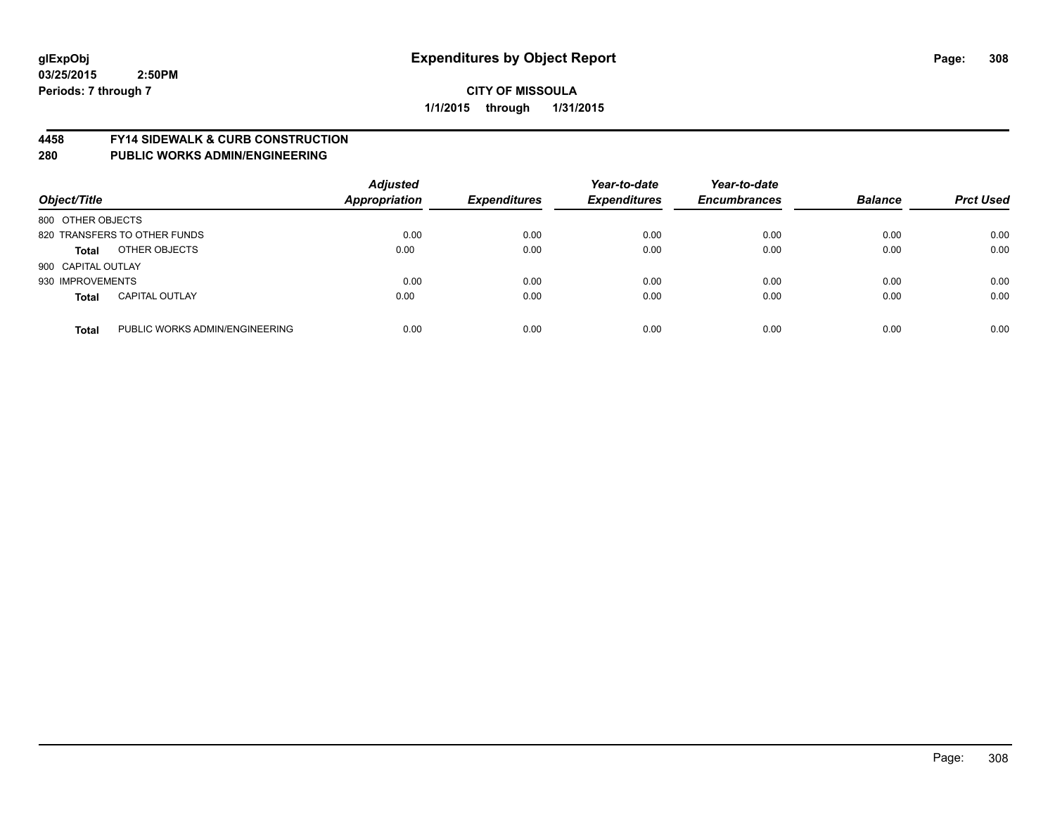#### **4458 FY14 SIDEWALK & CURB CONSTRUCTION**

| Object/Title       |                                | <b>Adjusted</b><br>Appropriation | <b>Expenditures</b> | Year-to-date<br><b>Expenditures</b> | Year-to-date<br><b>Encumbrances</b> | <b>Balance</b> | <b>Prct Used</b> |
|--------------------|--------------------------------|----------------------------------|---------------------|-------------------------------------|-------------------------------------|----------------|------------------|
| 800 OTHER OBJECTS  |                                |                                  |                     |                                     |                                     |                |                  |
|                    | 820 TRANSFERS TO OTHER FUNDS   | 0.00                             | 0.00                | 0.00                                | 0.00                                | 0.00           | 0.00             |
| <b>Total</b>       | OTHER OBJECTS                  | 0.00                             | 0.00                | 0.00                                | 0.00                                | 0.00           | 0.00             |
| 900 CAPITAL OUTLAY |                                |                                  |                     |                                     |                                     |                |                  |
| 930 IMPROVEMENTS   |                                | 0.00                             | 0.00                | 0.00                                | 0.00                                | 0.00           | 0.00             |
| <b>Total</b>       | <b>CAPITAL OUTLAY</b>          | 0.00                             | 0.00                | 0.00                                | 0.00                                | 0.00           | 0.00             |
| <b>Total</b>       | PUBLIC WORKS ADMIN/ENGINEERING | 0.00                             | 0.00                | 0.00                                | 0.00                                | 0.00           | 0.00             |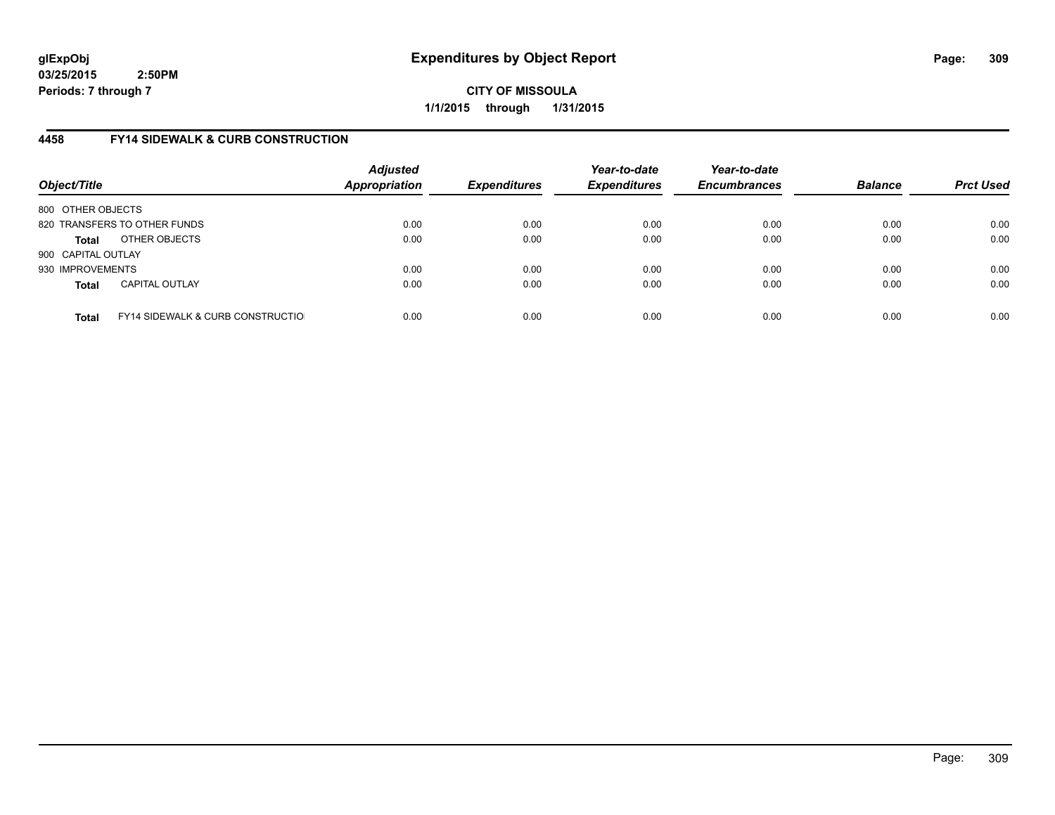**CITY OF MISSOULA 1/1/2015 through 1/31/2015**

## **4458 FY14 SIDEWALK & CURB CONSTRUCTION**

| Object/Title       |                                              | <b>Adjusted</b><br><b>Appropriation</b> | <b>Expenditures</b> | Year-to-date<br><b>Expenditures</b> | Year-to-date<br><b>Encumbrances</b> | <b>Balance</b> | <b>Prct Used</b> |
|--------------------|----------------------------------------------|-----------------------------------------|---------------------|-------------------------------------|-------------------------------------|----------------|------------------|
| 800 OTHER OBJECTS  |                                              |                                         |                     |                                     |                                     |                |                  |
|                    | 820 TRANSFERS TO OTHER FUNDS                 | 0.00                                    | 0.00                | 0.00                                | 0.00                                | 0.00           | 0.00             |
| <b>Total</b>       | OTHER OBJECTS                                | 0.00                                    | 0.00                | 0.00                                | 0.00                                | 0.00           | 0.00             |
| 900 CAPITAL OUTLAY |                                              |                                         |                     |                                     |                                     |                |                  |
| 930 IMPROVEMENTS   |                                              | 0.00                                    | 0.00                | 0.00                                | 0.00                                | 0.00           | 0.00             |
| <b>Total</b>       | <b>CAPITAL OUTLAY</b>                        | 0.00                                    | 0.00                | 0.00                                | 0.00                                | 0.00           | 0.00             |
| <b>Total</b>       | <b>FY14 SIDEWALK &amp; CURB CONSTRUCTIOL</b> | 0.00                                    | 0.00                | 0.00                                | 0.00                                | 0.00           | 0.00             |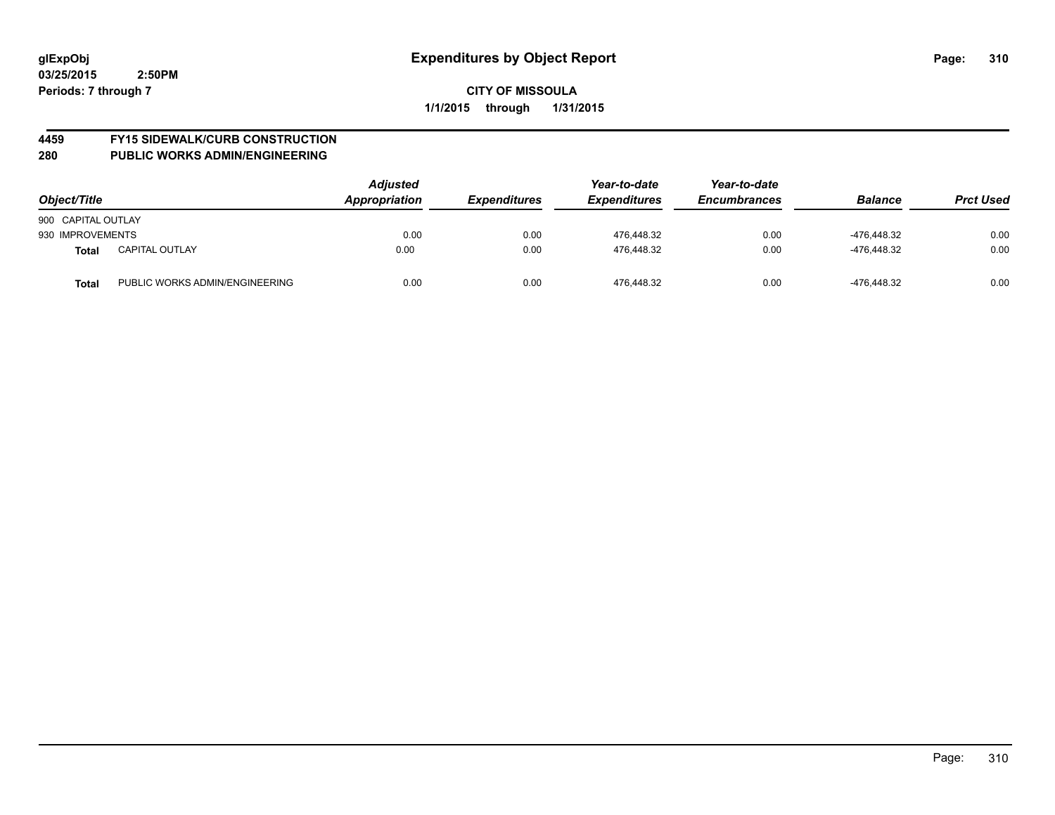# **4459 FY15 SIDEWALK/CURB CONSTRUCTION**

| Object/Title       |                                | <b>Adjusted</b><br>Appropriation | <b>Expenditures</b> | Year-to-date<br><b>Expenditures</b> | Year-to-date<br><b>Encumbrances</b> | <b>Balance</b> | <b>Prct Used</b> |
|--------------------|--------------------------------|----------------------------------|---------------------|-------------------------------------|-------------------------------------|----------------|------------------|
| 900 CAPITAL OUTLAY |                                |                                  |                     |                                     |                                     |                |                  |
| 930 IMPROVEMENTS   |                                | 0.00                             | 0.00                | 476.448.32                          | 0.00                                | -476.448.32    | 0.00             |
| <b>Total</b>       | <b>CAPITAL OUTLAY</b>          | 0.00                             | 0.00                | 476,448.32                          | 0.00                                | -476.448.32    | 0.00             |
| <b>Total</b>       | PUBLIC WORKS ADMIN/ENGINEERING | 0.00                             | 0.00                | 476.448.32                          | 0.00                                | -476.448.32    | 0.00             |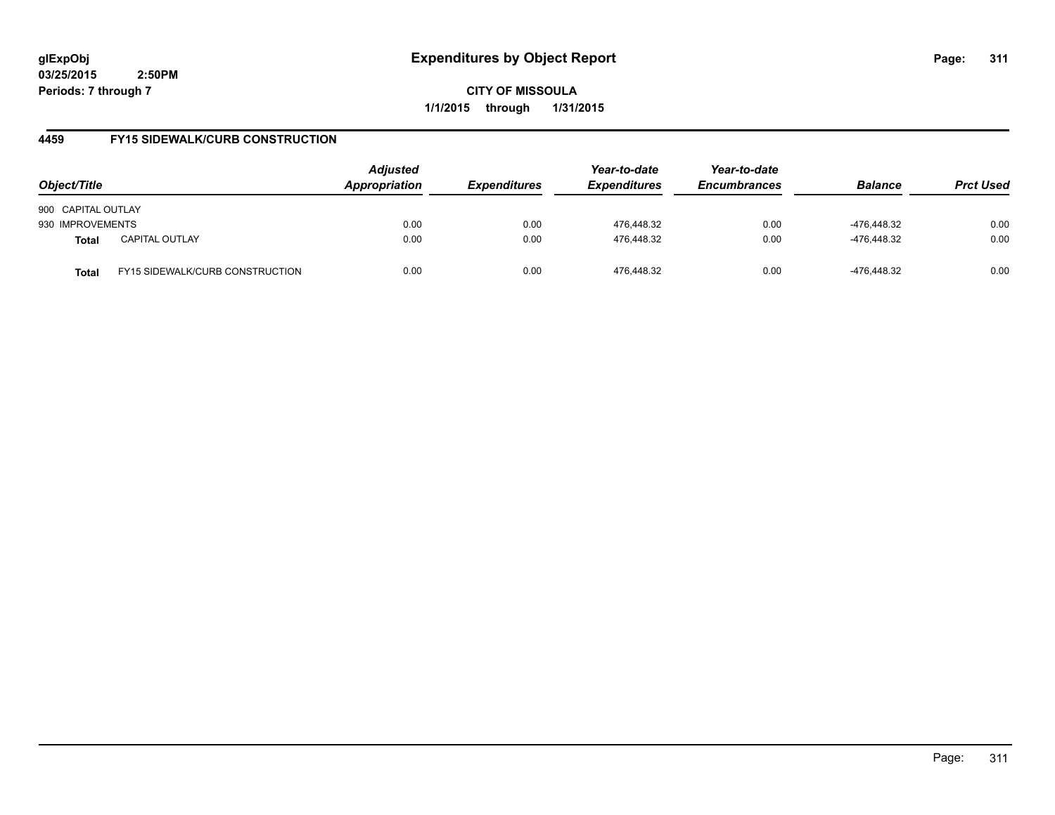**CITY OF MISSOULA 1/1/2015 through 1/31/2015**

## **4459 FY15 SIDEWALK/CURB CONSTRUCTION**

| Object/Title       |                                        | <b>Adjusted</b><br>Appropriation | <b>Expenditures</b> | Year-to-date<br><b>Expenditures</b> | Year-to-date<br><b>Encumbrances</b> | <b>Balance</b> | <b>Prct Used</b> |
|--------------------|----------------------------------------|----------------------------------|---------------------|-------------------------------------|-------------------------------------|----------------|------------------|
| 900 CAPITAL OUTLAY |                                        |                                  |                     |                                     |                                     |                |                  |
| 930 IMPROVEMENTS   |                                        | 0.00                             | 0.00                | 476,448.32                          | 0.00                                | -476,448.32    | 0.00             |
| <b>Total</b>       | <b>CAPITAL OUTLAY</b>                  | 0.00                             | 0.00                | 476.448.32                          | 0.00                                | -476.448.32    | 0.00             |
| <b>Total</b>       | <b>FY15 SIDEWALK/CURB CONSTRUCTION</b> | 0.00                             | 0.00                | 476.448.32                          | 0.00                                | -476.448.32    | 0.00             |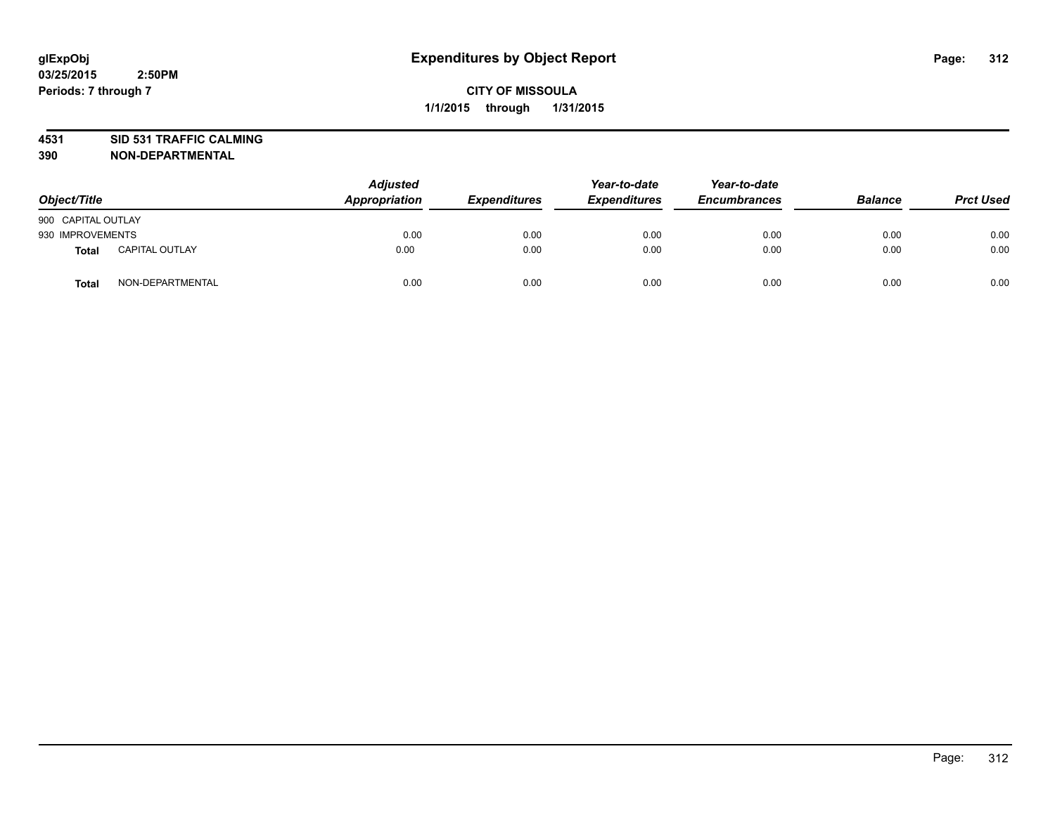# **4531 SID 531 TRAFFIC CALMING**

| Object/Title       |                       | <b>Adjusted</b><br>Appropriation | <b>Expenditures</b> | Year-to-date<br><b>Expenditures</b> | Year-to-date<br><b>Encumbrances</b> | <b>Balance</b> | <b>Prct Used</b> |
|--------------------|-----------------------|----------------------------------|---------------------|-------------------------------------|-------------------------------------|----------------|------------------|
| 900 CAPITAL OUTLAY |                       |                                  |                     |                                     |                                     |                |                  |
| 930 IMPROVEMENTS   |                       | 0.00                             | 0.00                | 0.00                                | 0.00                                | 0.00           | 0.00             |
| Total              | <b>CAPITAL OUTLAY</b> | 0.00                             | 0.00                | 0.00                                | 0.00                                | 0.00           | 0.00             |
| <b>Total</b>       | NON-DEPARTMENTAL      | 0.00                             | 0.00                | 0.00                                | 0.00                                | 0.00           | 0.00             |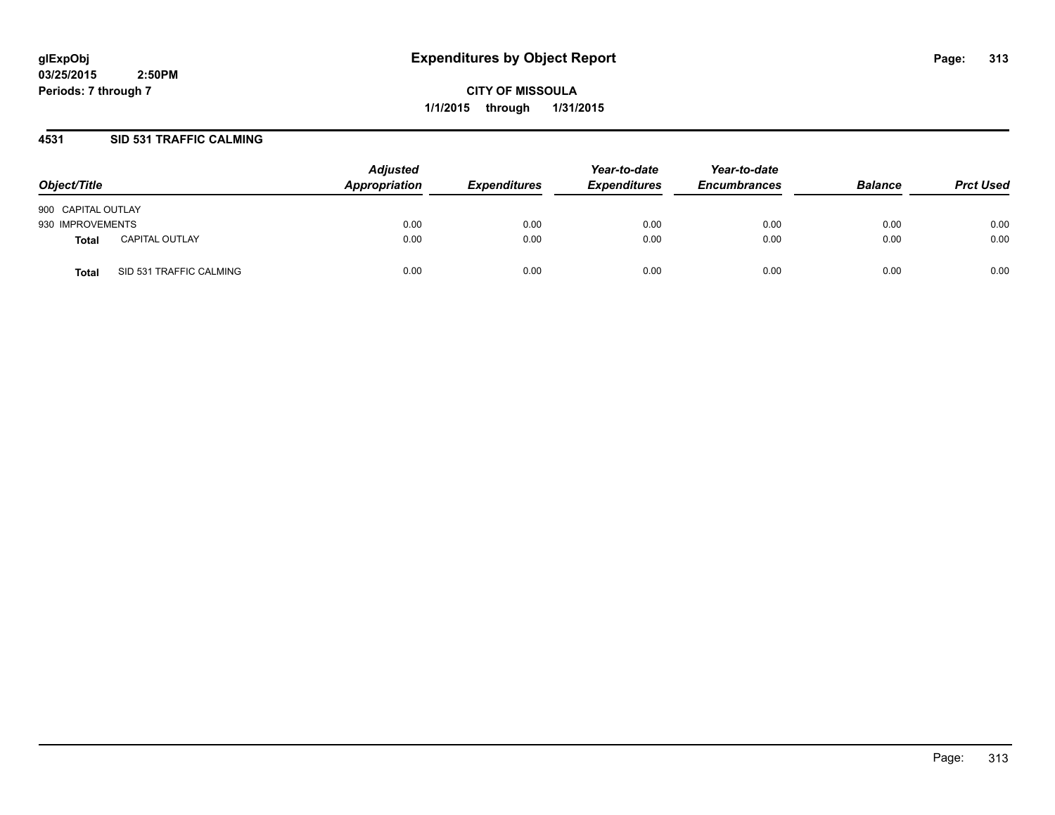**CITY OF MISSOULA 1/1/2015 through 1/31/2015**

## **4531 SID 531 TRAFFIC CALMING**

| Object/Title       |                         | <b>Adjusted</b><br>Appropriation | <b>Expenditures</b> | Year-to-date<br><b>Expenditures</b> | Year-to-date<br><b>Encumbrances</b> | <b>Balance</b> | <b>Prct Used</b> |
|--------------------|-------------------------|----------------------------------|---------------------|-------------------------------------|-------------------------------------|----------------|------------------|
| 900 CAPITAL OUTLAY |                         |                                  |                     |                                     |                                     |                |                  |
| 930 IMPROVEMENTS   |                         | 0.00                             | 0.00                | 0.00                                | 0.00                                | 0.00           | 0.00             |
| Total              | <b>CAPITAL OUTLAY</b>   | 0.00                             | 0.00                | 0.00                                | 0.00                                | 0.00           | 0.00             |
| Total              | SID 531 TRAFFIC CALMING | 0.00                             | 0.00                | 0.00                                | 0.00                                | 0.00           | 0.00             |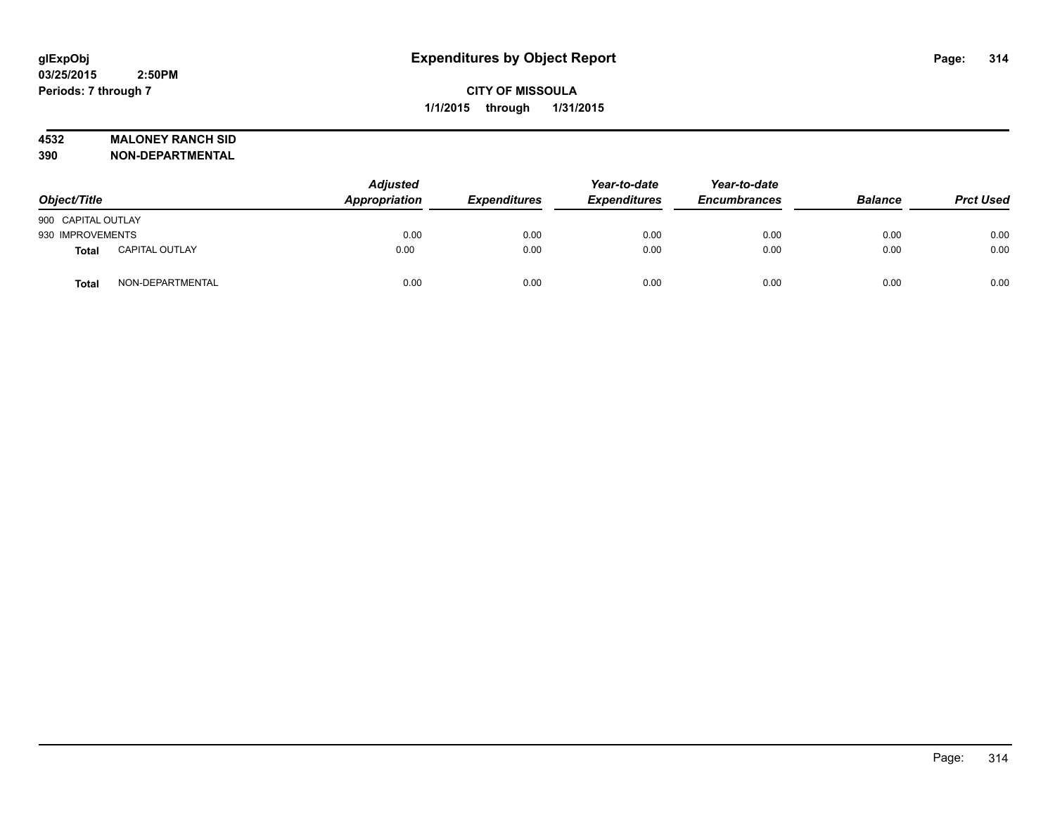## **4532 MALONEY RANCH SID**

| Object/Title       |                       | <b>Adjusted</b><br>Appropriation | <b>Expenditures</b> | Year-to-date<br><b>Expenditures</b> | Year-to-date<br><b>Encumbrances</b> | <b>Balance</b> | <b>Prct Used</b> |
|--------------------|-----------------------|----------------------------------|---------------------|-------------------------------------|-------------------------------------|----------------|------------------|
| 900 CAPITAL OUTLAY |                       |                                  |                     |                                     |                                     |                |                  |
| 930 IMPROVEMENTS   |                       | 0.00                             | 0.00                | 0.00                                | 0.00                                | 0.00           | 0.00             |
| Total              | <b>CAPITAL OUTLAY</b> | 0.00                             | 0.00                | 0.00                                | 0.00                                | 0.00           | 0.00             |
| <b>Total</b>       | NON-DEPARTMENTAL      | 0.00                             | 0.00                | 0.00                                | 0.00                                | 0.00           | 0.00             |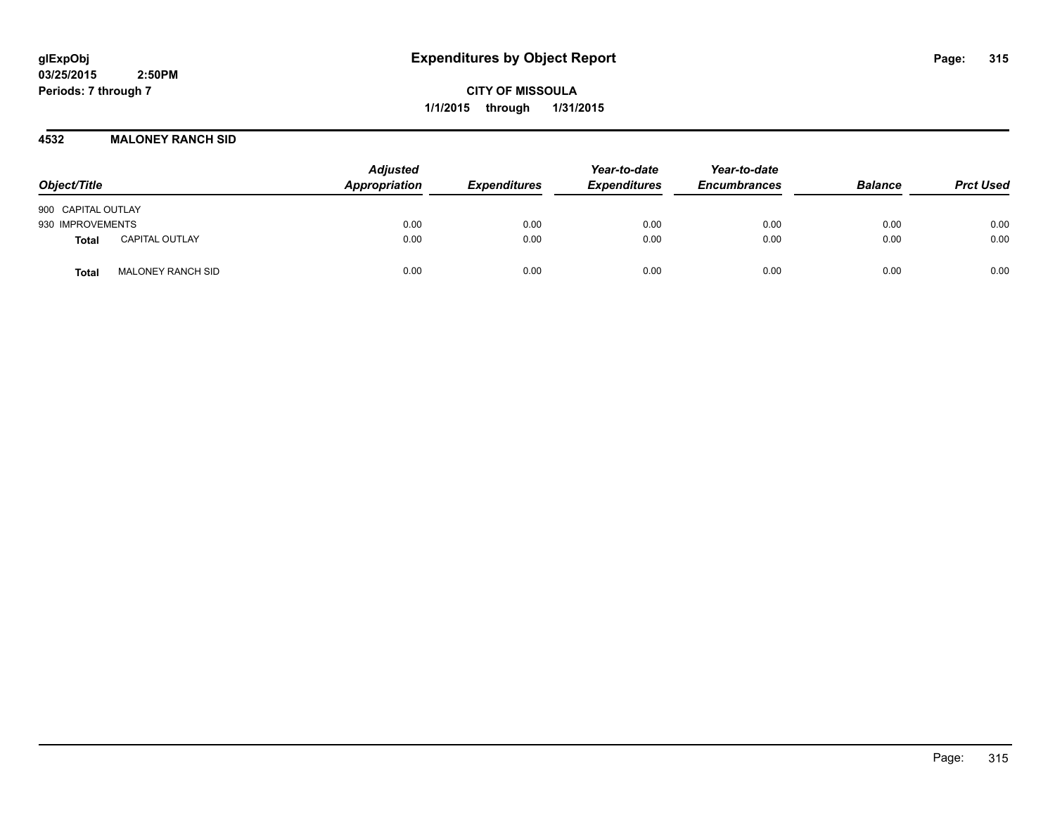**CITY OF MISSOULA 1/1/2015 through 1/31/2015**

#### **4532 MALONEY RANCH SID**

| Object/Title                             |  | <b>Adjusted</b><br>Appropriation | <b>Expenditures</b> | Year-to-date<br><b>Expenditures</b> | Year-to-date<br><b>Encumbrances</b> | <b>Balance</b> | <b>Prct Used</b> |
|------------------------------------------|--|----------------------------------|---------------------|-------------------------------------|-------------------------------------|----------------|------------------|
| 900 CAPITAL OUTLAY                       |  |                                  |                     |                                     |                                     |                |                  |
| 930 IMPROVEMENTS                         |  | 0.00                             | 0.00                | 0.00                                | 0.00                                | 0.00           | 0.00             |
| <b>CAPITAL OUTLAY</b><br><b>Total</b>    |  | 0.00                             | 0.00                | 0.00                                | 0.00                                | 0.00           | 0.00             |
| <b>MALONEY RANCH SID</b><br><b>Total</b> |  | 0.00                             | 0.00                | 0.00                                | 0.00                                | 0.00           | 0.00             |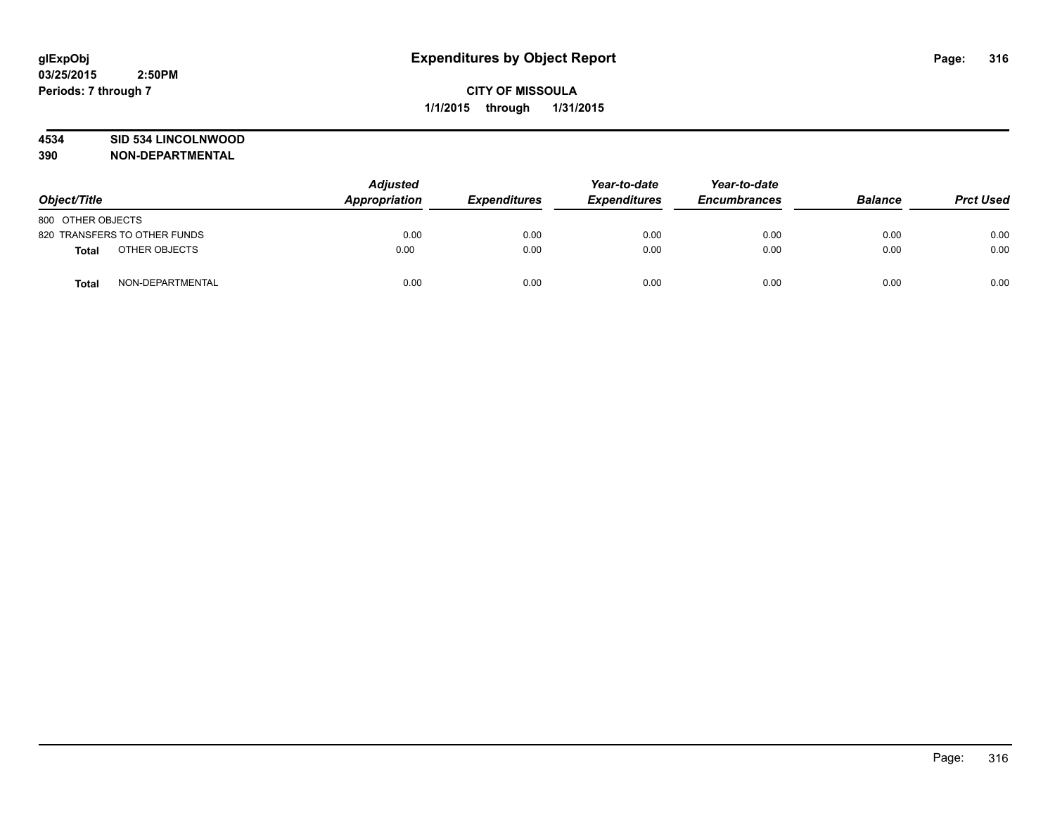## **4534 SID 534 LINCOLNWOOD**

| Object/Title                 |                  | <b>Adjusted</b><br>Appropriation | <b>Expenditures</b> | Year-to-date<br><b>Expenditures</b> | Year-to-date<br><b>Encumbrances</b> | <b>Balance</b> | <b>Prct Used</b> |
|------------------------------|------------------|----------------------------------|---------------------|-------------------------------------|-------------------------------------|----------------|------------------|
| 800 OTHER OBJECTS            |                  |                                  |                     |                                     |                                     |                |                  |
| 820 TRANSFERS TO OTHER FUNDS |                  | 0.00                             | 0.00                | 0.00                                | 0.00                                | 0.00           | 0.00             |
| <b>Total</b>                 | OTHER OBJECTS    | 0.00                             | 0.00                | 0.00                                | 0.00                                | 0.00           | 0.00             |
| <b>Total</b>                 | NON-DEPARTMENTAL | 0.00                             | 0.00                | 0.00                                | 0.00                                | 0.00           | 0.00             |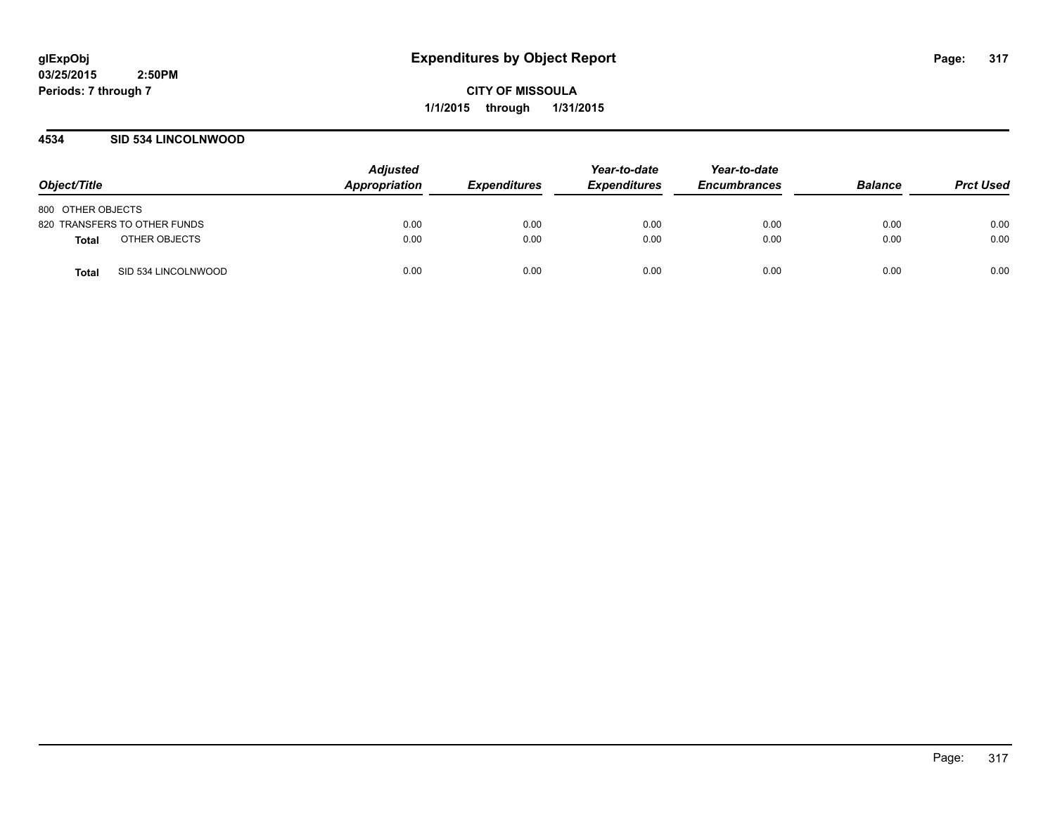**CITY OF MISSOULA 1/1/2015 through 1/31/2015**

## **4534 SID 534 LINCOLNWOOD**

| Object/Title                  | <b>Adjusted</b><br>Appropriation | <b>Expenditures</b> | Year-to-date<br><b>Expenditures</b> | Year-to-date<br><b>Encumbrances</b> | <b>Balance</b> | <b>Prct Used</b> |
|-------------------------------|----------------------------------|---------------------|-------------------------------------|-------------------------------------|----------------|------------------|
| 800 OTHER OBJECTS             |                                  |                     |                                     |                                     |                |                  |
| 820 TRANSFERS TO OTHER FUNDS  | 0.00                             | 0.00                | 0.00                                | 0.00                                | 0.00           | 0.00             |
| OTHER OBJECTS<br><b>Total</b> | 0.00                             | 0.00                | 0.00                                | 0.00                                | 0.00           | 0.00             |
| SID 534 LINCOLNWOOD<br>Total  | 0.00                             | 0.00                | 0.00                                | 0.00                                | 0.00           | 0.00             |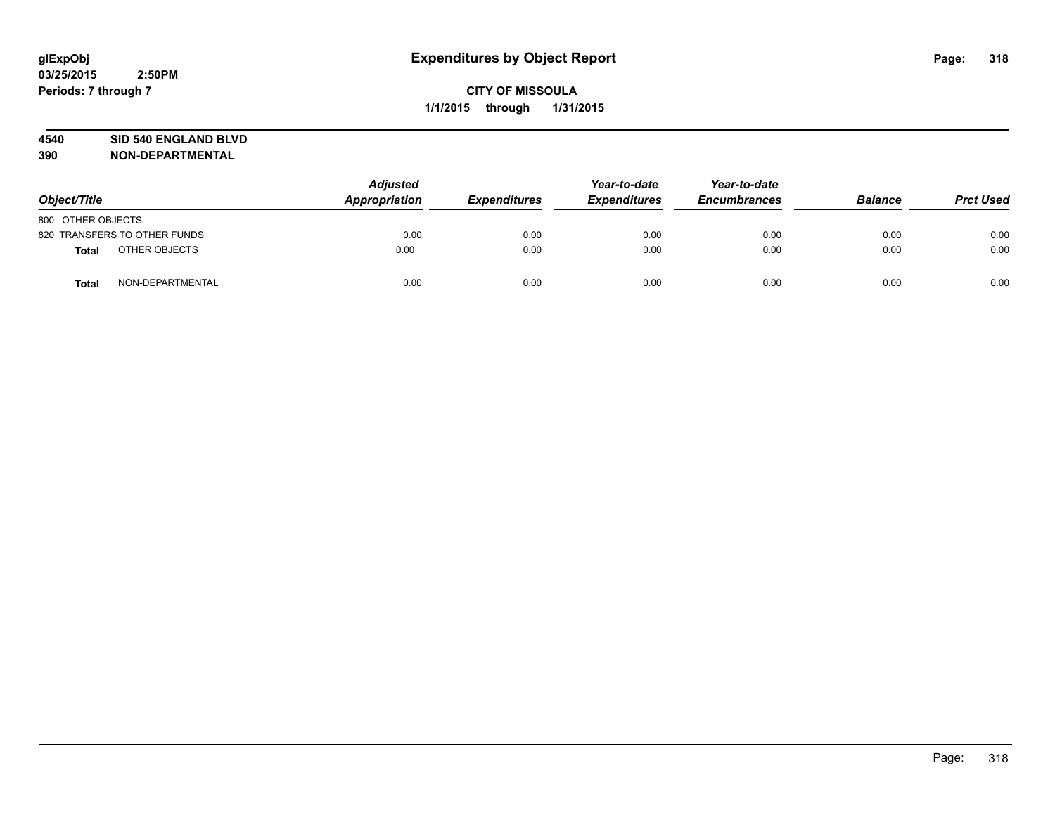#### **4540 SID 540 ENGLAND BLVD**

| Object/Title                     | <b>Adjusted</b><br>Appropriation |      | <b>Expenditures</b> | Year-to-date<br><b>Expenditures</b> | Year-to-date<br><b>Encumbrances</b> | <b>Balance</b> | <b>Prct Used</b> |
|----------------------------------|----------------------------------|------|---------------------|-------------------------------------|-------------------------------------|----------------|------------------|
| 800 OTHER OBJECTS                |                                  |      |                     |                                     |                                     |                |                  |
| 820 TRANSFERS TO OTHER FUNDS     |                                  | 0.00 | 0.00                | 0.00                                | 0.00                                | 0.00           | 0.00             |
| OTHER OBJECTS<br><b>Total</b>    |                                  | 0.00 | 0.00                | 0.00                                | 0.00                                | 0.00           | 0.00             |
| NON-DEPARTMENTAL<br><b>Total</b> |                                  | 0.00 | 0.00                | 0.00                                | 0.00                                | 0.00           | 0.00             |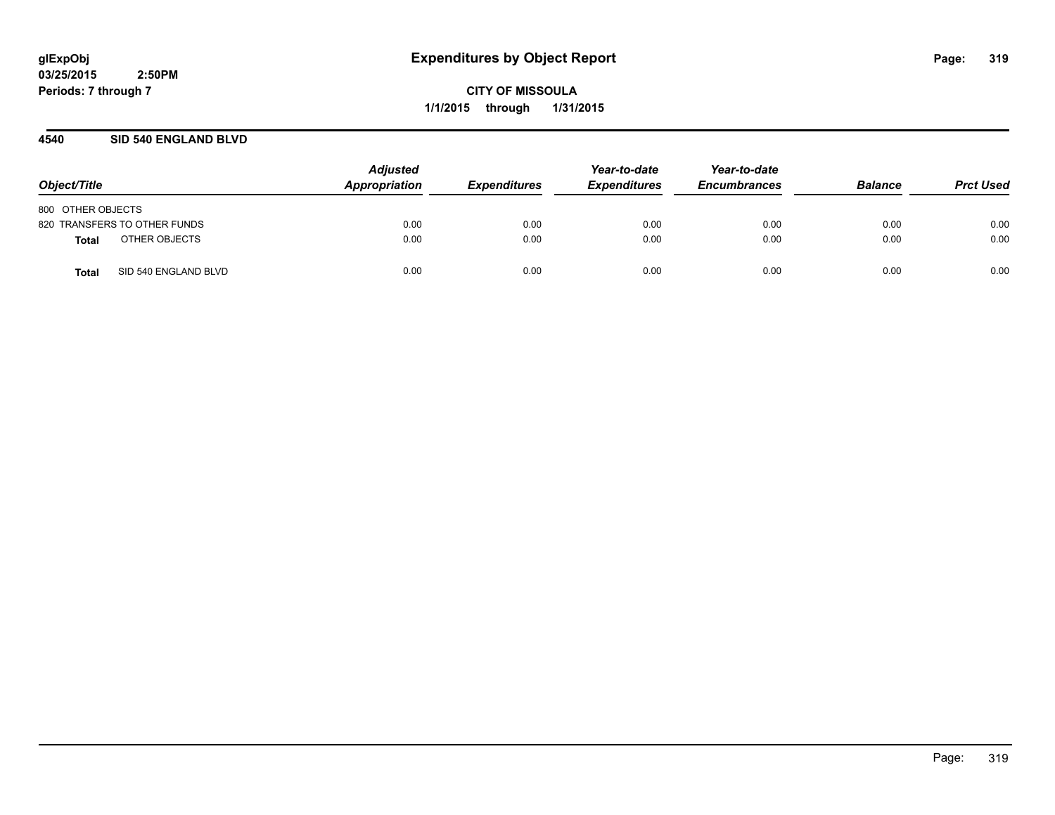**CITY OF MISSOULA 1/1/2015 through 1/31/2015**

## **4540 SID 540 ENGLAND BLVD**

| Object/Title                  | <b>Adjusted</b><br>Appropriation | <b>Expenditures</b> | Year-to-date<br><b>Expenditures</b> | Year-to-date<br><b>Encumbrances</b> | <b>Balance</b> | <b>Prct Used</b> |
|-------------------------------|----------------------------------|---------------------|-------------------------------------|-------------------------------------|----------------|------------------|
| 800 OTHER OBJECTS             |                                  |                     |                                     |                                     |                |                  |
| 820 TRANSFERS TO OTHER FUNDS  | 0.00                             | 0.00                | 0.00                                | 0.00                                | 0.00           | 0.00             |
| OTHER OBJECTS<br>Total        | 0.00                             | 0.00                | 0.00                                | 0.00                                | 0.00           | 0.00             |
| SID 540 ENGLAND BLVD<br>Total | 0.00                             | 0.00                | 0.00                                | 0.00                                | 0.00           | 0.00             |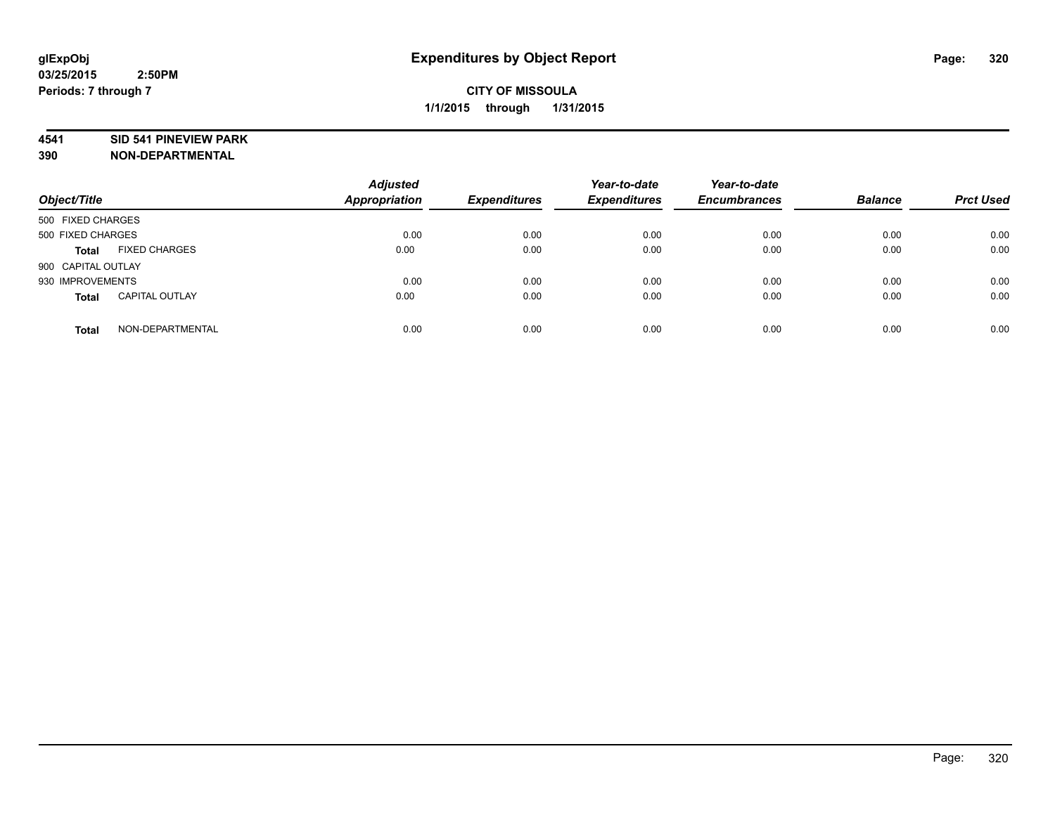#### **4541 SID 541 PINEVIEW PARK**

| Object/Title       |                       | <b>Adjusted</b><br><b>Appropriation</b> | <b>Expenditures</b> | Year-to-date<br><b>Expenditures</b> | Year-to-date<br><b>Encumbrances</b> | <b>Balance</b> | <b>Prct Used</b> |
|--------------------|-----------------------|-----------------------------------------|---------------------|-------------------------------------|-------------------------------------|----------------|------------------|
| 500 FIXED CHARGES  |                       |                                         |                     |                                     |                                     |                |                  |
| 500 FIXED CHARGES  |                       | 0.00                                    | 0.00                | 0.00                                | 0.00                                | 0.00           | 0.00             |
| <b>Total</b>       | <b>FIXED CHARGES</b>  | 0.00                                    | 0.00                | 0.00                                | 0.00                                | 0.00           | 0.00             |
| 900 CAPITAL OUTLAY |                       |                                         |                     |                                     |                                     |                |                  |
| 930 IMPROVEMENTS   |                       | 0.00                                    | 0.00                | 0.00                                | 0.00                                | 0.00           | 0.00             |
| <b>Total</b>       | <b>CAPITAL OUTLAY</b> | 0.00                                    | 0.00                | 0.00                                | 0.00                                | 0.00           | 0.00             |
| <b>Total</b>       | NON-DEPARTMENTAL      | 0.00                                    | 0.00                | 0.00                                | 0.00                                | 0.00           | 0.00             |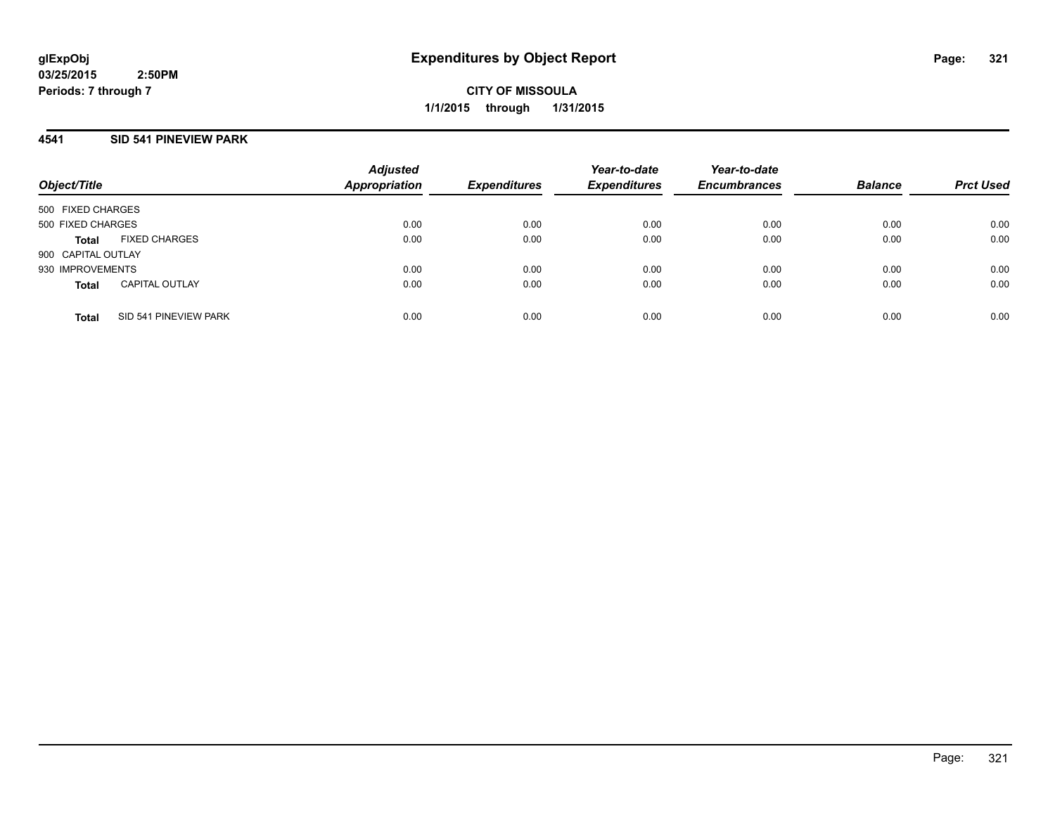**CITY OF MISSOULA 1/1/2015 through 1/31/2015**

## **4541 SID 541 PINEVIEW PARK**

| Object/Title       |                       | <b>Adjusted</b><br><b>Appropriation</b> | <b>Expenditures</b> | Year-to-date<br><b>Expenditures</b> | Year-to-date<br><b>Encumbrances</b> | <b>Balance</b> | <b>Prct Used</b> |
|--------------------|-----------------------|-----------------------------------------|---------------------|-------------------------------------|-------------------------------------|----------------|------------------|
| 500 FIXED CHARGES  |                       |                                         |                     |                                     |                                     |                |                  |
| 500 FIXED CHARGES  |                       | 0.00                                    | 0.00                | 0.00                                | 0.00                                | 0.00           | 0.00             |
| <b>Total</b>       | <b>FIXED CHARGES</b>  | 0.00                                    | 0.00                | 0.00                                | 0.00                                | 0.00           | 0.00             |
| 900 CAPITAL OUTLAY |                       |                                         |                     |                                     |                                     |                |                  |
| 930 IMPROVEMENTS   |                       | 0.00                                    | 0.00                | 0.00                                | 0.00                                | 0.00           | 0.00             |
| <b>Total</b>       | <b>CAPITAL OUTLAY</b> | 0.00                                    | 0.00                | 0.00                                | 0.00                                | 0.00           | 0.00             |
| <b>Total</b>       | SID 541 PINEVIEW PARK | 0.00                                    | 0.00                | 0.00                                | 0.00                                | 0.00           | 0.00             |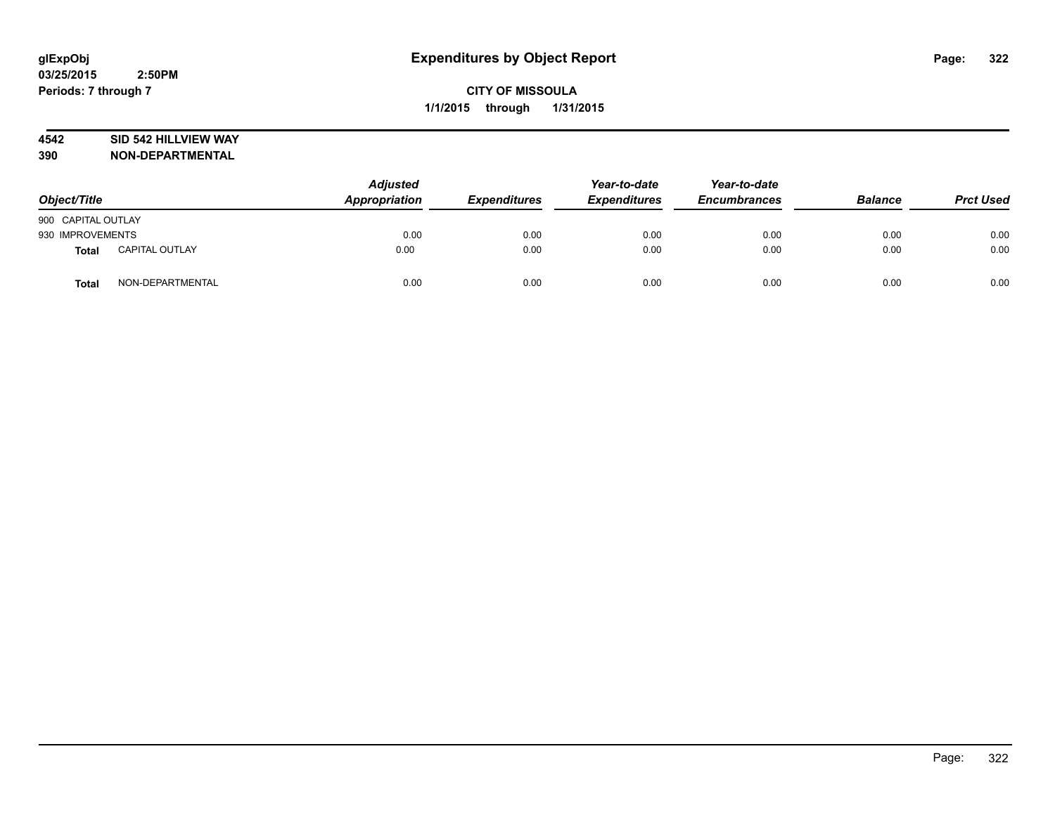## **4542 SID 542 HILLVIEW WAY**

| Object/Title       |                       | <b>Adjusted</b><br>Appropriation | <b>Expenditures</b> | Year-to-date<br><b>Expenditures</b> | Year-to-date<br><b>Encumbrances</b> | <b>Balance</b> | <b>Prct Used</b> |
|--------------------|-----------------------|----------------------------------|---------------------|-------------------------------------|-------------------------------------|----------------|------------------|
| 900 CAPITAL OUTLAY |                       |                                  |                     |                                     |                                     |                |                  |
| 930 IMPROVEMENTS   |                       | 0.00                             | 0.00                | 0.00                                | 0.00                                | 0.00           | 0.00             |
| <b>Total</b>       | <b>CAPITAL OUTLAY</b> | 0.00                             | 0.00                | 0.00                                | 0.00                                | 0.00           | 0.00             |
| <b>Total</b>       | NON-DEPARTMENTAL      | 0.00                             | 0.00                | 0.00                                | 0.00                                | 0.00           | 0.00             |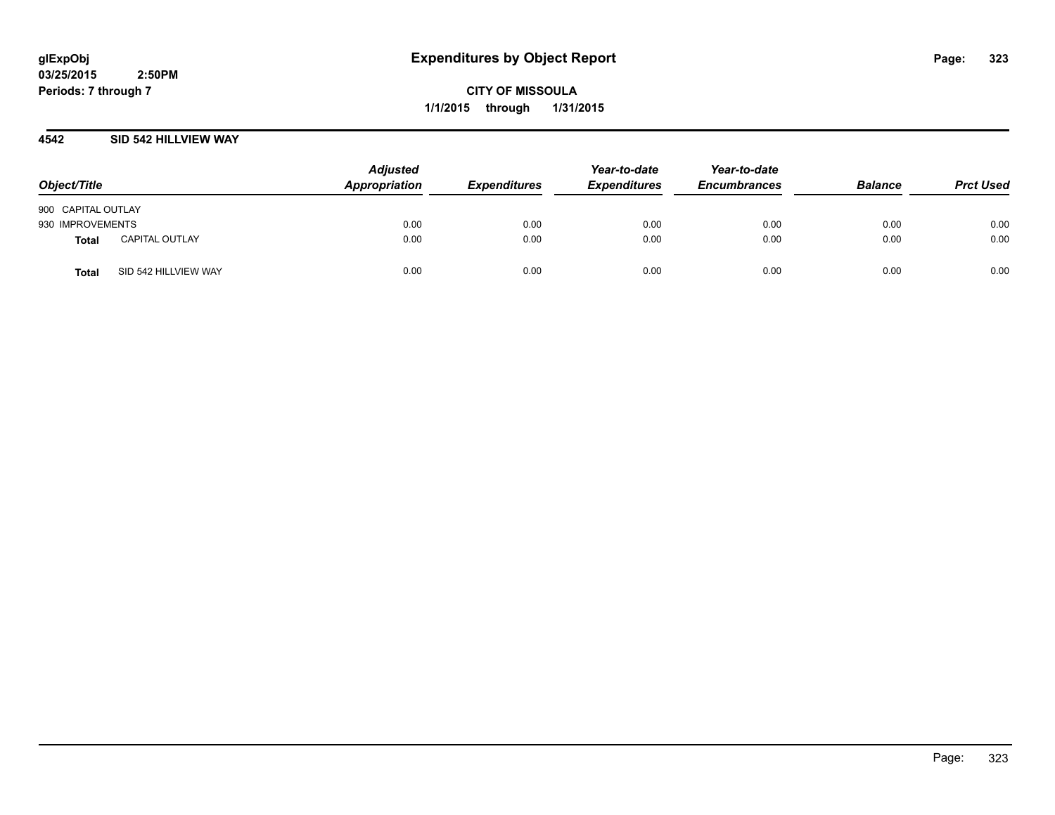**CITY OF MISSOULA 1/1/2015 through 1/31/2015**

## **4542 SID 542 HILLVIEW WAY**

| Object/Title       |                       | <b>Adjusted</b><br>Appropriation | <b>Expenditures</b> | Year-to-date<br><b>Expenditures</b> | Year-to-date<br><b>Encumbrances</b> | <b>Balance</b> | <b>Prct Used</b> |
|--------------------|-----------------------|----------------------------------|---------------------|-------------------------------------|-------------------------------------|----------------|------------------|
| 900 CAPITAL OUTLAY |                       |                                  |                     |                                     |                                     |                |                  |
| 930 IMPROVEMENTS   |                       | 0.00                             | 0.00                | 0.00                                | 0.00                                | 0.00           | 0.00             |
| <b>Total</b>       | <b>CAPITAL OUTLAY</b> | 0.00                             | 0.00                | 0.00                                | 0.00                                | 0.00           | 0.00             |
| <b>Total</b>       | SID 542 HILLVIEW WAY  | 0.00                             | 0.00                | 0.00                                | 0.00                                | 0.00           | 0.00             |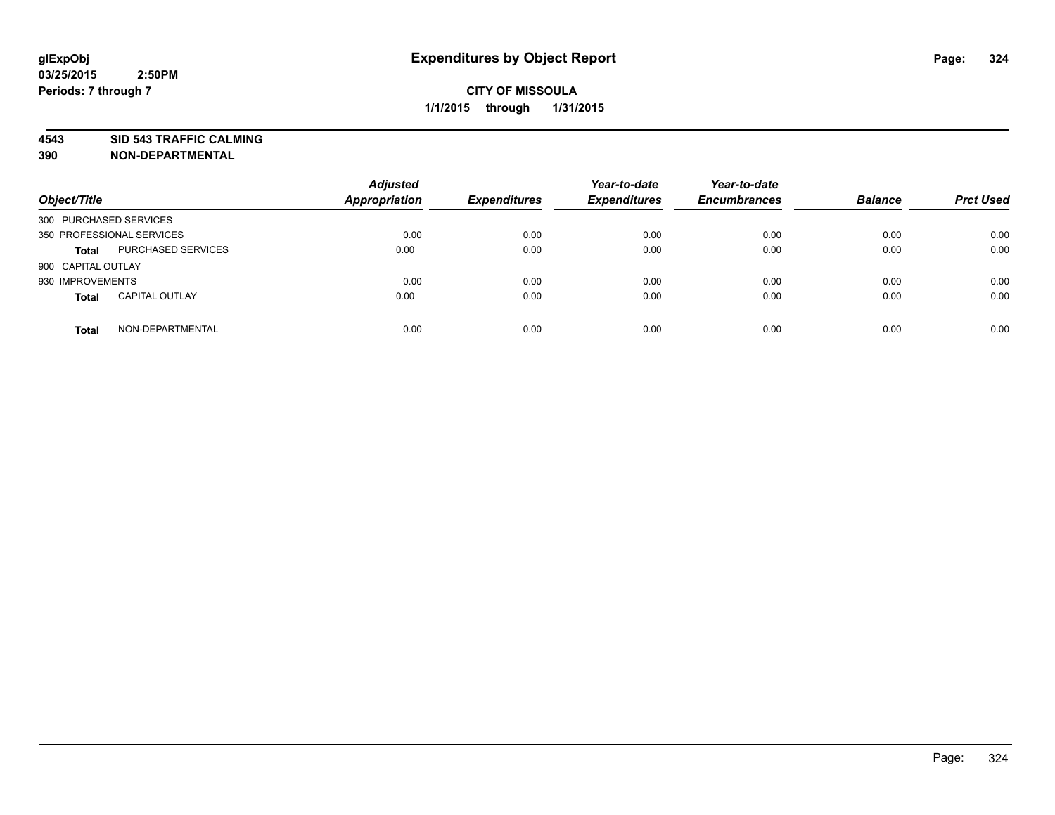**4543 SID 543 TRAFFIC CALMING**

| Object/Title           |                           | <b>Adjusted</b><br><b>Appropriation</b> | <b>Expenditures</b> | Year-to-date<br><b>Expenditures</b> | Year-to-date<br><b>Encumbrances</b> | <b>Balance</b> | <b>Prct Used</b> |
|------------------------|---------------------------|-----------------------------------------|---------------------|-------------------------------------|-------------------------------------|----------------|------------------|
| 300 PURCHASED SERVICES |                           |                                         |                     |                                     |                                     |                |                  |
|                        | 350 PROFESSIONAL SERVICES | 0.00                                    | 0.00                | 0.00                                | 0.00                                | 0.00           | 0.00             |
| <b>Total</b>           | PURCHASED SERVICES        | 0.00                                    | 0.00                | 0.00                                | 0.00                                | 0.00           | 0.00             |
| 900 CAPITAL OUTLAY     |                           |                                         |                     |                                     |                                     |                |                  |
| 930 IMPROVEMENTS       |                           | 0.00                                    | 0.00                | 0.00                                | 0.00                                | 0.00           | 0.00             |
| <b>Total</b>           | <b>CAPITAL OUTLAY</b>     | 0.00                                    | 0.00                | 0.00                                | 0.00                                | 0.00           | 0.00             |
| <b>Total</b>           | NON-DEPARTMENTAL          | 0.00                                    | 0.00                | 0.00                                | 0.00                                | 0.00           | 0.00             |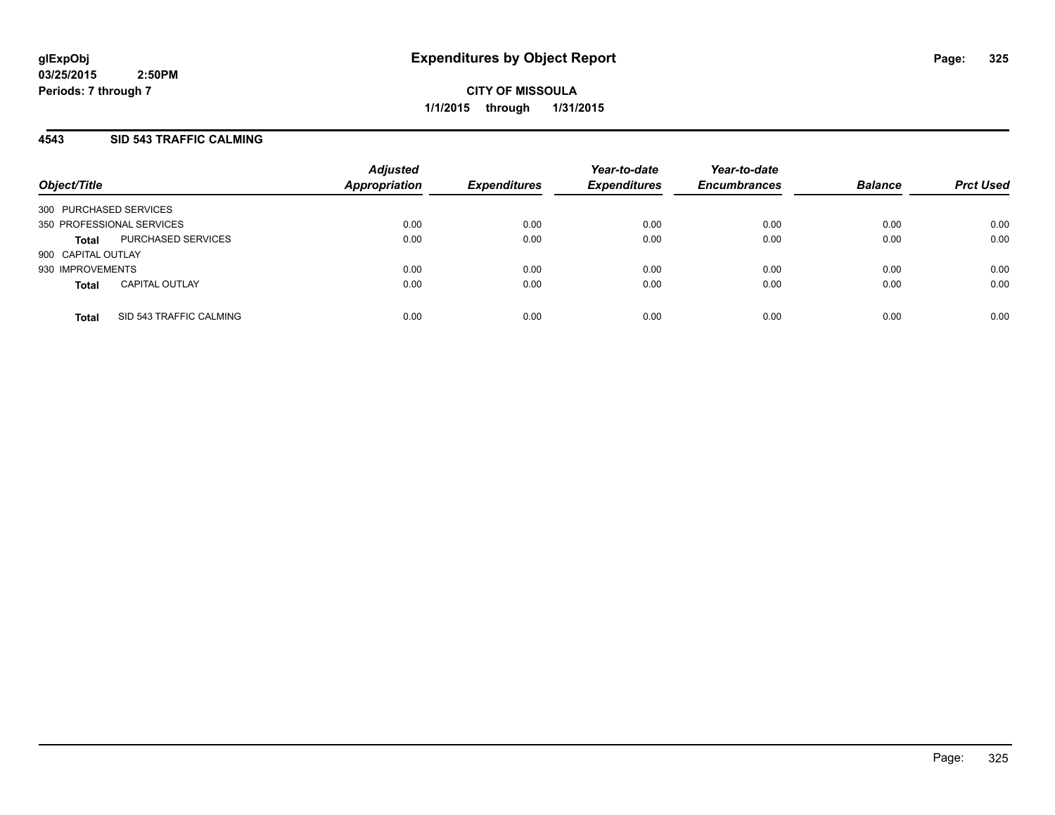**CITY OF MISSOULA 1/1/2015 through 1/31/2015**

## **4543 SID 543 TRAFFIC CALMING**

| Object/Title           |                           | <b>Adjusted</b><br><b>Appropriation</b> | <b>Expenditures</b> | Year-to-date<br><b>Expenditures</b> | Year-to-date<br><b>Encumbrances</b> | <b>Balance</b> | <b>Prct Used</b> |
|------------------------|---------------------------|-----------------------------------------|---------------------|-------------------------------------|-------------------------------------|----------------|------------------|
| 300 PURCHASED SERVICES |                           |                                         |                     |                                     |                                     |                |                  |
|                        | 350 PROFESSIONAL SERVICES | 0.00                                    | 0.00                | 0.00                                | 0.00                                | 0.00           | 0.00             |
| <b>Total</b>           | PURCHASED SERVICES        | 0.00                                    | 0.00                | 0.00                                | 0.00                                | 0.00           | 0.00             |
| 900 CAPITAL OUTLAY     |                           |                                         |                     |                                     |                                     |                |                  |
| 930 IMPROVEMENTS       |                           | 0.00                                    | 0.00                | 0.00                                | 0.00                                | 0.00           | 0.00             |
| <b>Total</b>           | <b>CAPITAL OUTLAY</b>     | 0.00                                    | 0.00                | 0.00                                | 0.00                                | 0.00           | 0.00             |
| <b>Total</b>           | SID 543 TRAFFIC CALMING   | 0.00                                    | 0.00                | 0.00                                | 0.00                                | 0.00           | 0.00             |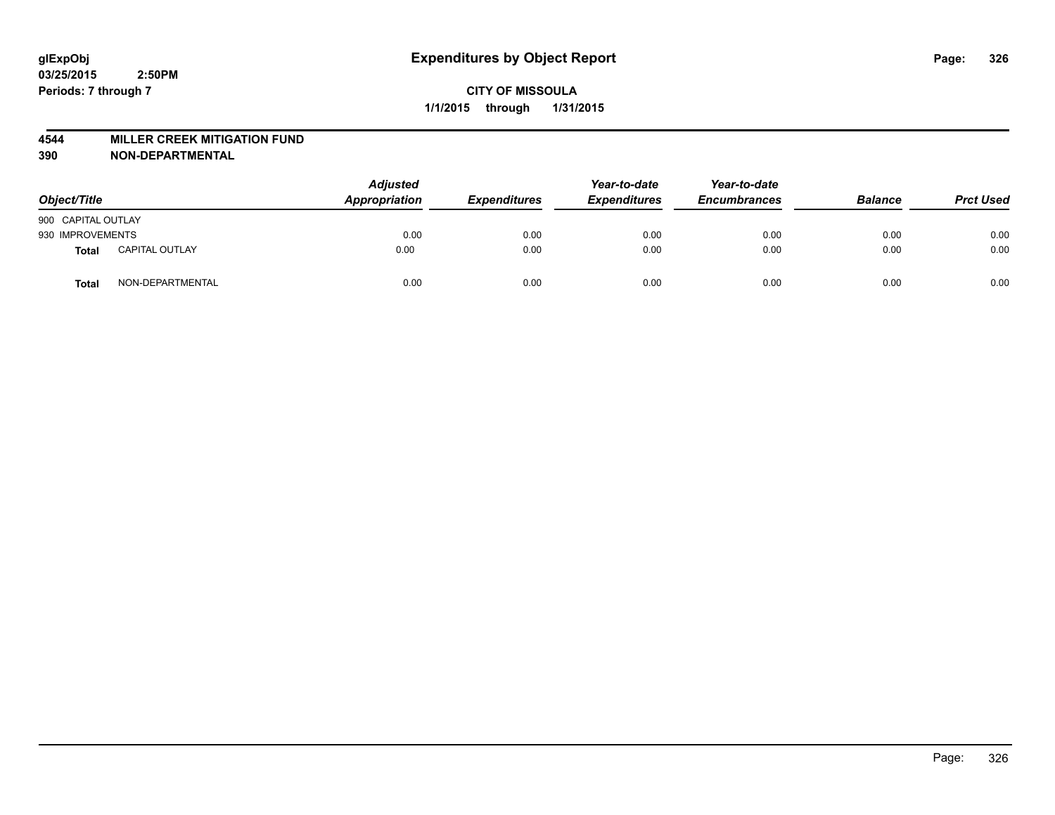#### **4544 MILLER CREEK MITIGATION FUND**

| Object/Title       |                       | <b>Adjusted</b><br>Appropriation | <b>Expenditures</b> | Year-to-date<br><b>Expenditures</b> | Year-to-date<br><b>Encumbrances</b> | <b>Balance</b> | <b>Prct Used</b> |
|--------------------|-----------------------|----------------------------------|---------------------|-------------------------------------|-------------------------------------|----------------|------------------|
| 900 CAPITAL OUTLAY |                       |                                  |                     |                                     |                                     |                |                  |
| 930 IMPROVEMENTS   |                       | 0.00                             | 0.00                | 0.00                                | 0.00                                | 0.00           | 0.00             |
| <b>Total</b>       | <b>CAPITAL OUTLAY</b> | 0.00                             | 0.00                | 0.00                                | 0.00                                | 0.00           | 0.00             |
| Total              | NON-DEPARTMENTAL      | 0.00                             | 0.00                | 0.00                                | 0.00                                | 0.00           | 0.00             |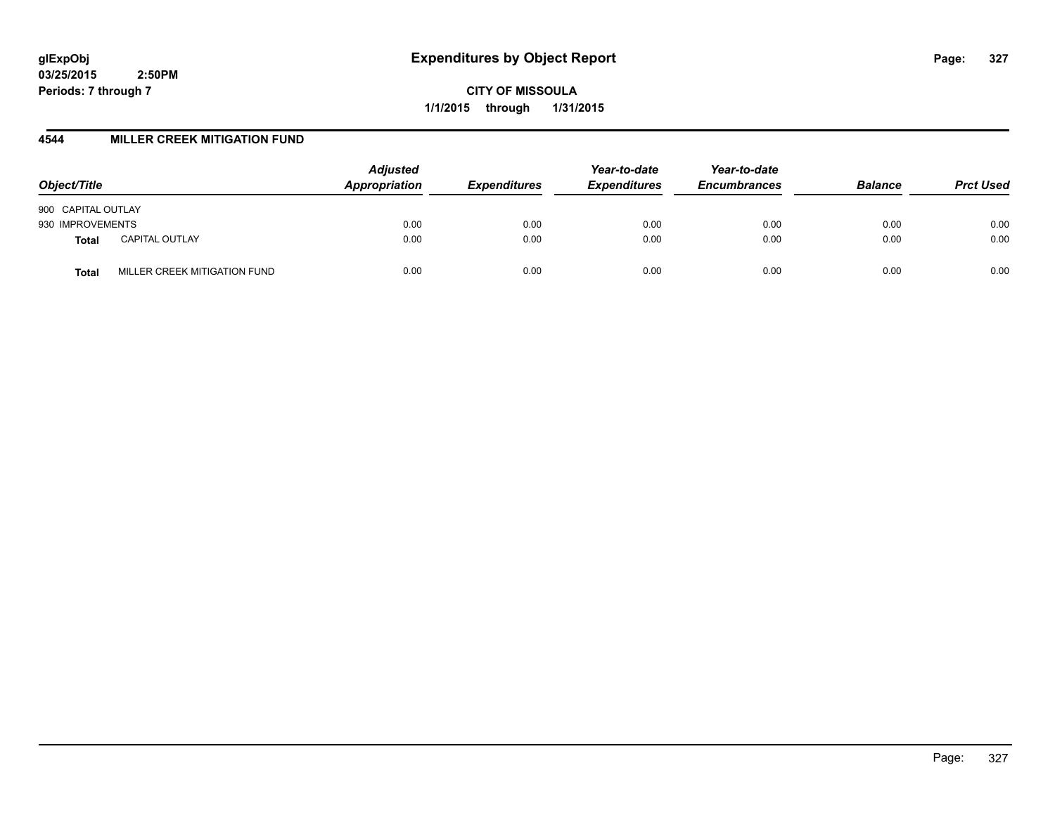**CITY OF MISSOULA 1/1/2015 through 1/31/2015**

## **4544 MILLER CREEK MITIGATION FUND**

| Object/Title       |                              | <b>Adjusted</b><br>Appropriation | <b>Expenditures</b> | Year-to-date<br><b>Expenditures</b> | Year-to-date<br><b>Encumbrances</b> | <b>Balance</b> | <b>Prct Used</b> |
|--------------------|------------------------------|----------------------------------|---------------------|-------------------------------------|-------------------------------------|----------------|------------------|
| 900 CAPITAL OUTLAY |                              |                                  |                     |                                     |                                     |                |                  |
| 930 IMPROVEMENTS   |                              | 0.00                             | 0.00                | 0.00                                | 0.00                                | 0.00           | 0.00             |
| Total              | <b>CAPITAL OUTLAY</b>        | 0.00                             | 0.00                | 0.00                                | 0.00                                | 0.00           | 0.00             |
| Total              | MILLER CREEK MITIGATION FUND | 0.00                             | 0.00                | 0.00                                | 0.00                                | 0.00           | 0.00             |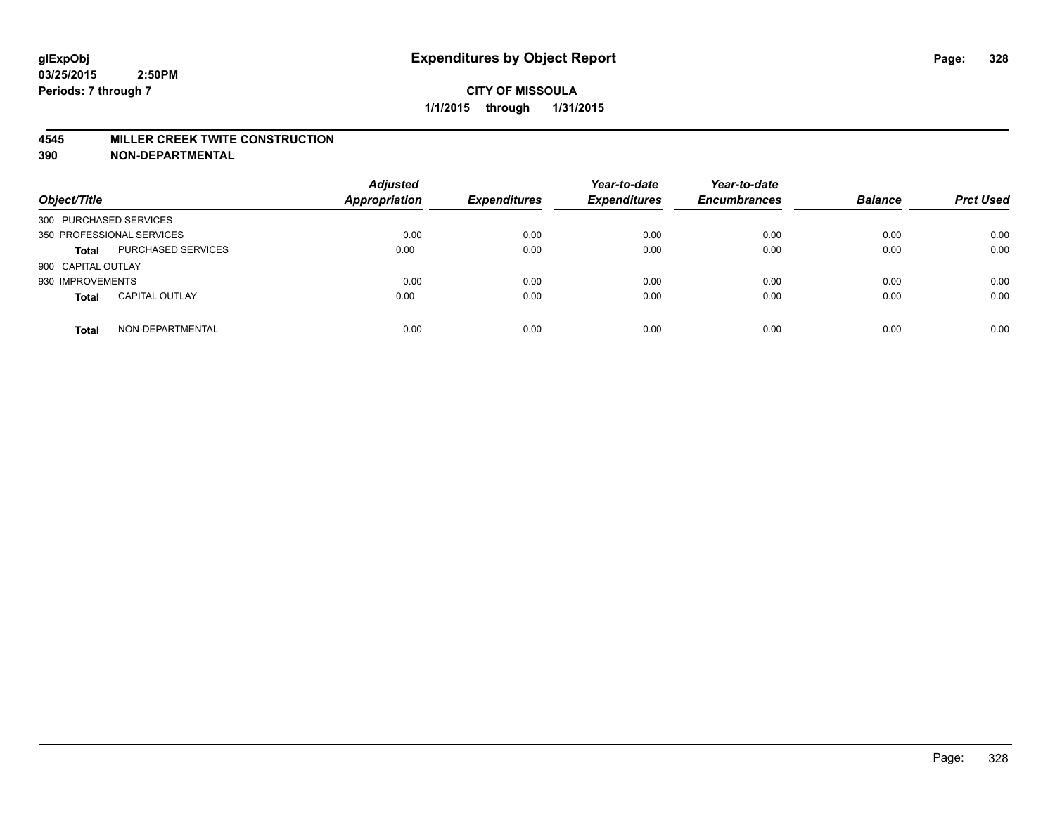#### **4545 MILLER CREEK TWITE CONSTRUCTION**

| Object/Title           |                           | <b>Adjusted</b><br><b>Appropriation</b> | <b>Expenditures</b> | Year-to-date<br><b>Expenditures</b> | Year-to-date<br><b>Encumbrances</b> | <b>Balance</b> | <b>Prct Used</b> |
|------------------------|---------------------------|-----------------------------------------|---------------------|-------------------------------------|-------------------------------------|----------------|------------------|
| 300 PURCHASED SERVICES |                           |                                         |                     |                                     |                                     |                |                  |
|                        | 350 PROFESSIONAL SERVICES | 0.00                                    | 0.00                | 0.00                                | 0.00                                | 0.00           | 0.00             |
| <b>Total</b>           | <b>PURCHASED SERVICES</b> | 0.00                                    | 0.00                | 0.00                                | 0.00                                | 0.00           | 0.00             |
| 900 CAPITAL OUTLAY     |                           |                                         |                     |                                     |                                     |                |                  |
| 930 IMPROVEMENTS       |                           | 0.00                                    | 0.00                | 0.00                                | 0.00                                | 0.00           | 0.00             |
| <b>Total</b>           | <b>CAPITAL OUTLAY</b>     | 0.00                                    | 0.00                | 0.00                                | 0.00                                | 0.00           | 0.00             |
| <b>Total</b>           | NON-DEPARTMENTAL          | 0.00                                    | 0.00                | 0.00                                | 0.00                                | 0.00           | 0.00             |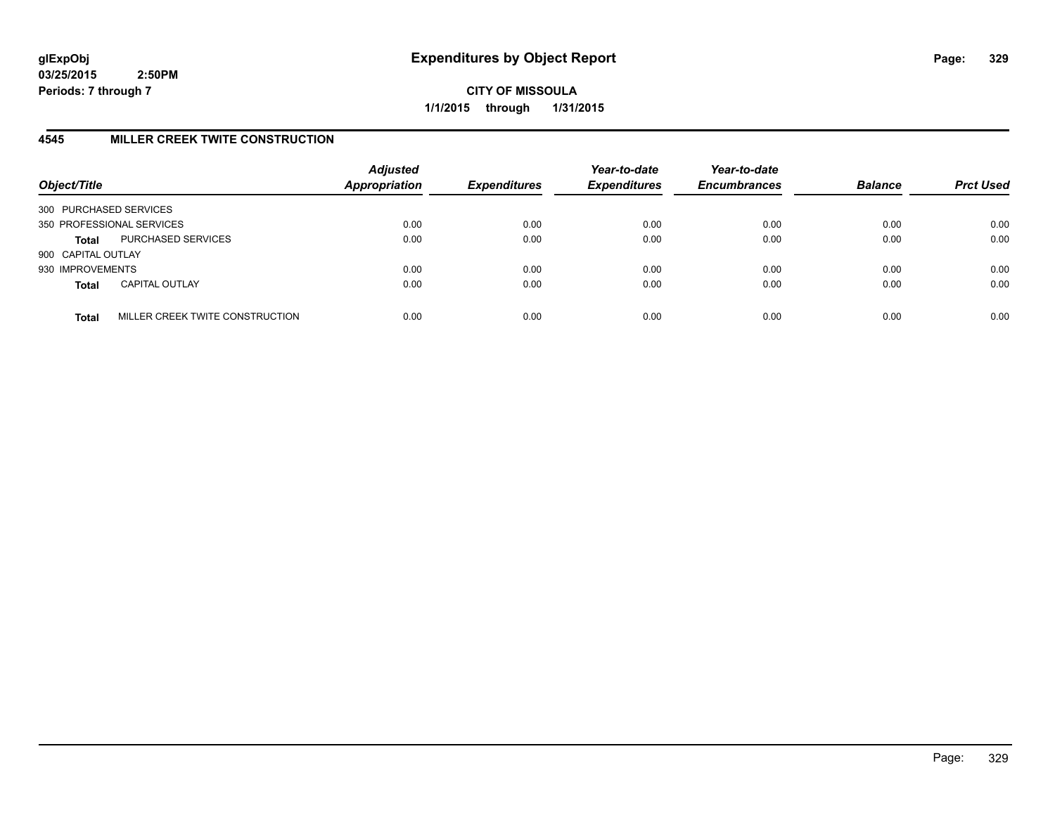**CITY OF MISSOULA 1/1/2015 through 1/31/2015**

# **4545 MILLER CREEK TWITE CONSTRUCTION**

| Object/Title           |                                 | <b>Adjusted</b><br><b>Appropriation</b> | <b>Expenditures</b> | Year-to-date<br><b>Expenditures</b> | Year-to-date<br><b>Encumbrances</b> | <b>Balance</b> | <b>Prct Used</b> |
|------------------------|---------------------------------|-----------------------------------------|---------------------|-------------------------------------|-------------------------------------|----------------|------------------|
| 300 PURCHASED SERVICES |                                 |                                         |                     |                                     |                                     |                |                  |
|                        | 350 PROFESSIONAL SERVICES       | 0.00                                    | 0.00                | 0.00                                | 0.00                                | 0.00           | 0.00             |
| <b>Total</b>           | PURCHASED SERVICES              | 0.00                                    | 0.00                | 0.00                                | 0.00                                | 0.00           | 0.00             |
| 900 CAPITAL OUTLAY     |                                 |                                         |                     |                                     |                                     |                |                  |
| 930 IMPROVEMENTS       |                                 | 0.00                                    | 0.00                | 0.00                                | 0.00                                | 0.00           | 0.00             |
| <b>Total</b>           | <b>CAPITAL OUTLAY</b>           | 0.00                                    | 0.00                | 0.00                                | 0.00                                | 0.00           | 0.00             |
| <b>Total</b>           | MILLER CREEK TWITE CONSTRUCTION | 0.00                                    | 0.00                | 0.00                                | 0.00                                | 0.00           | 0.00             |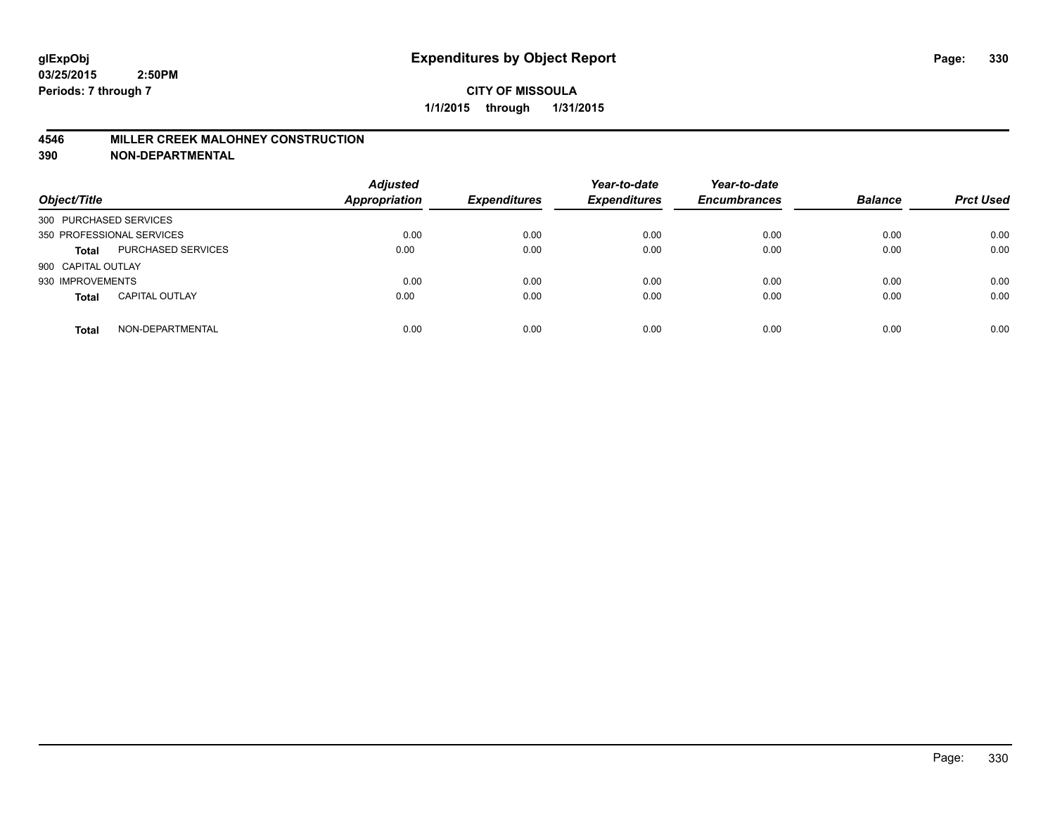## **4546 MILLER CREEK MALOHNEY CONSTRUCTION**

| Object/Title           |                           | <b>Adjusted</b><br><b>Appropriation</b> | <b>Expenditures</b> | Year-to-date<br><b>Expenditures</b> | Year-to-date<br><b>Encumbrances</b> | <b>Balance</b> | <b>Prct Used</b> |
|------------------------|---------------------------|-----------------------------------------|---------------------|-------------------------------------|-------------------------------------|----------------|------------------|
| 300 PURCHASED SERVICES |                           |                                         |                     |                                     |                                     |                |                  |
|                        | 350 PROFESSIONAL SERVICES | 0.00                                    | 0.00                | 0.00                                | 0.00                                | 0.00           | 0.00             |
| <b>Total</b>           | <b>PURCHASED SERVICES</b> | 0.00                                    | 0.00                | 0.00                                | 0.00                                | 0.00           | 0.00             |
| 900 CAPITAL OUTLAY     |                           |                                         |                     |                                     |                                     |                |                  |
| 930 IMPROVEMENTS       |                           | 0.00                                    | 0.00                | 0.00                                | 0.00                                | 0.00           | 0.00             |
| <b>Total</b>           | <b>CAPITAL OUTLAY</b>     | 0.00                                    | 0.00                | 0.00                                | 0.00                                | 0.00           | 0.00             |
| <b>Total</b>           | NON-DEPARTMENTAL          | 0.00                                    | 0.00                | 0.00                                | 0.00                                | 0.00           | 0.00             |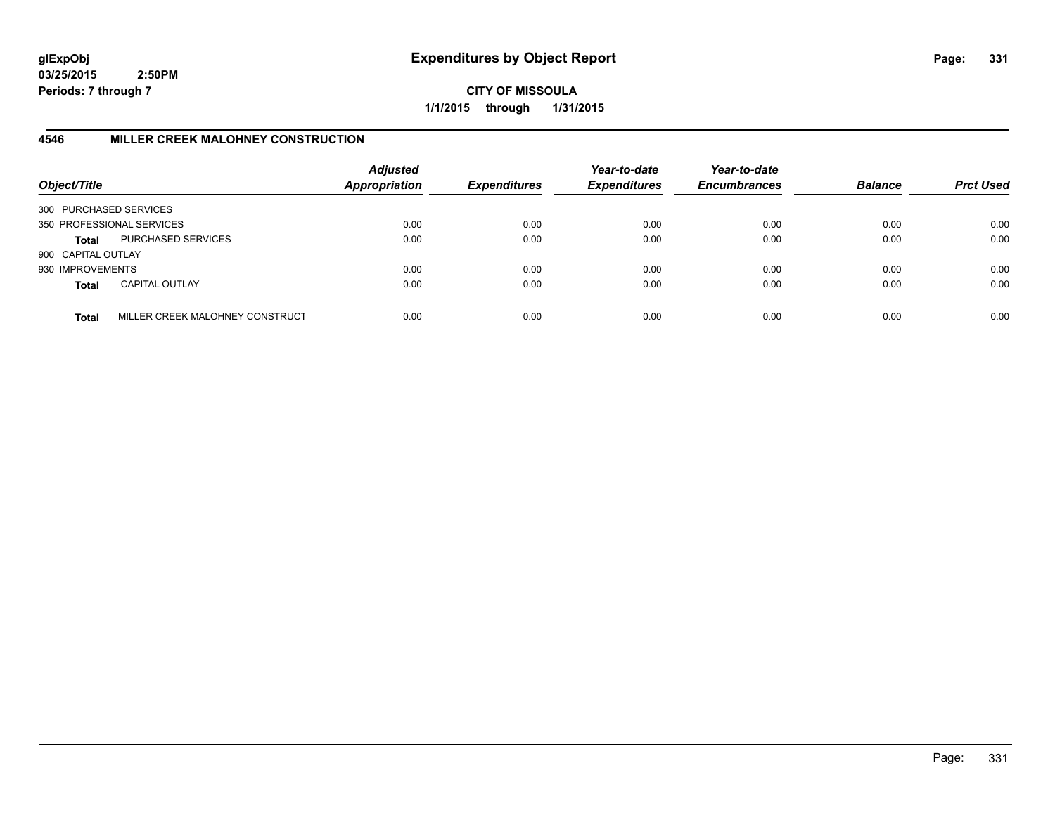**CITY OF MISSOULA 1/1/2015 through 1/31/2015**

# **4546 MILLER CREEK MALOHNEY CONSTRUCTION**

| Object/Title           |                                 | <b>Adjusted</b><br><b>Appropriation</b> | <b>Expenditures</b> | Year-to-date<br><b>Expenditures</b> | Year-to-date<br><b>Encumbrances</b> | <b>Balance</b> | <b>Prct Used</b> |
|------------------------|---------------------------------|-----------------------------------------|---------------------|-------------------------------------|-------------------------------------|----------------|------------------|
| 300 PURCHASED SERVICES |                                 |                                         |                     |                                     |                                     |                |                  |
|                        | 350 PROFESSIONAL SERVICES       | 0.00                                    | 0.00                | 0.00                                | 0.00                                | 0.00           | 0.00             |
| Total                  | PURCHASED SERVICES              | 0.00                                    | 0.00                | 0.00                                | 0.00                                | 0.00           | 0.00             |
| 900 CAPITAL OUTLAY     |                                 |                                         |                     |                                     |                                     |                |                  |
| 930 IMPROVEMENTS       |                                 | 0.00                                    | 0.00                | 0.00                                | 0.00                                | 0.00           | 0.00             |
| <b>Total</b>           | <b>CAPITAL OUTLAY</b>           | 0.00                                    | 0.00                | 0.00                                | 0.00                                | 0.00           | 0.00             |
| <b>Total</b>           | MILLER CREEK MALOHNEY CONSTRUCT | 0.00                                    | 0.00                | 0.00                                | 0.00                                | 0.00           | 0.00             |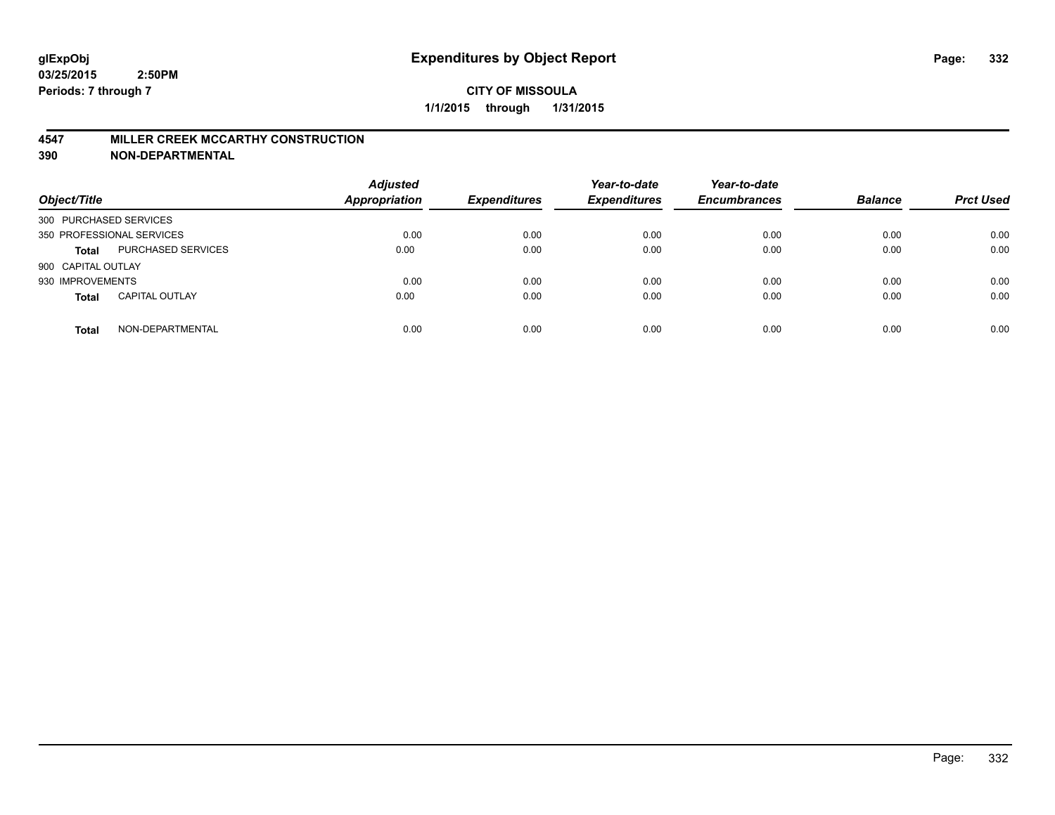#### **4547 MILLER CREEK MCCARTHY CONSTRUCTION**

| Object/Title           |                           | <b>Adjusted</b><br><b>Appropriation</b> | <b>Expenditures</b> | Year-to-date<br><b>Expenditures</b> | Year-to-date<br><b>Encumbrances</b> | <b>Balance</b> | <b>Prct Used</b> |
|------------------------|---------------------------|-----------------------------------------|---------------------|-------------------------------------|-------------------------------------|----------------|------------------|
| 300 PURCHASED SERVICES |                           |                                         |                     |                                     |                                     |                |                  |
|                        | 350 PROFESSIONAL SERVICES | 0.00                                    | 0.00                | 0.00                                | 0.00                                | 0.00           | 0.00             |
| <b>Total</b>           | <b>PURCHASED SERVICES</b> | 0.00                                    | 0.00                | 0.00                                | 0.00                                | 0.00           | 0.00             |
| 900 CAPITAL OUTLAY     |                           |                                         |                     |                                     |                                     |                |                  |
| 930 IMPROVEMENTS       |                           | 0.00                                    | 0.00                | 0.00                                | 0.00                                | 0.00           | 0.00             |
| <b>Total</b>           | <b>CAPITAL OUTLAY</b>     | 0.00                                    | 0.00                | 0.00                                | 0.00                                | 0.00           | 0.00             |
| <b>Total</b>           | NON-DEPARTMENTAL          | 0.00                                    | 0.00                | 0.00                                | 0.00                                | 0.00           | 0.00             |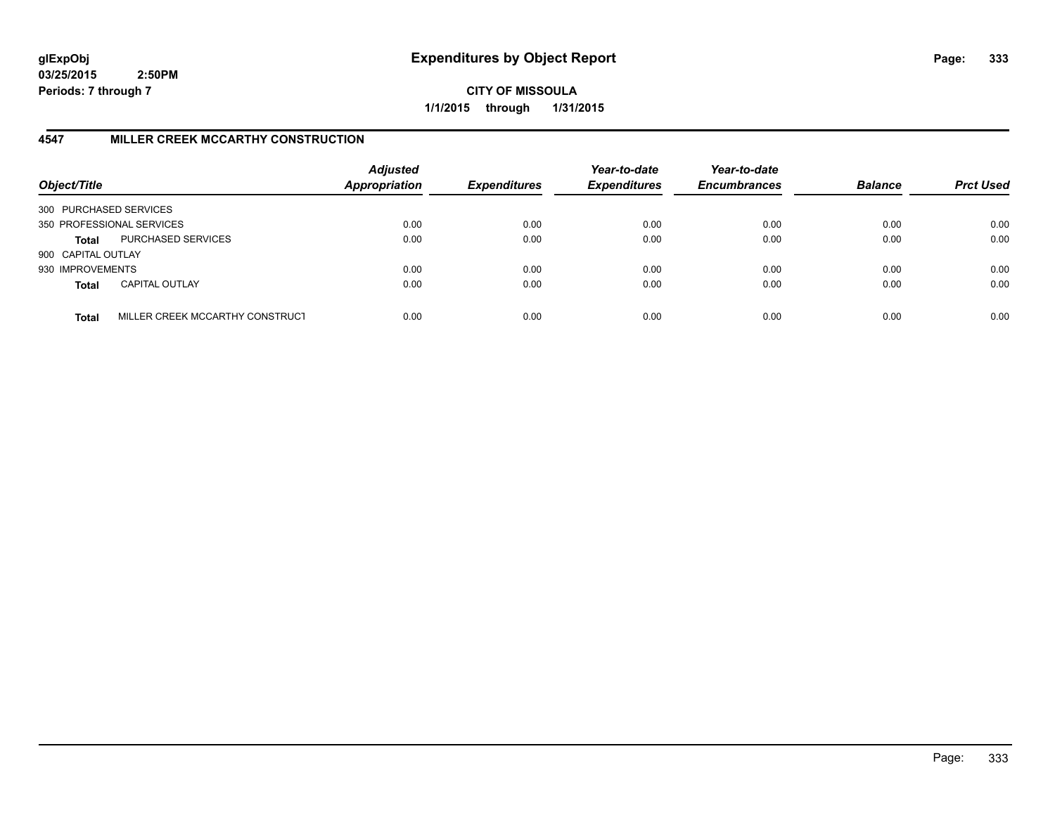**CITY OF MISSOULA 1/1/2015 through 1/31/2015**

# **4547 MILLER CREEK MCCARTHY CONSTRUCTION**

| Object/Title           |                                 | <b>Adjusted</b><br><b>Appropriation</b> | <b>Expenditures</b> | Year-to-date<br><b>Expenditures</b> | Year-to-date<br><b>Encumbrances</b> | <b>Balance</b> | <b>Prct Used</b> |
|------------------------|---------------------------------|-----------------------------------------|---------------------|-------------------------------------|-------------------------------------|----------------|------------------|
| 300 PURCHASED SERVICES |                                 |                                         |                     |                                     |                                     |                |                  |
|                        | 350 PROFESSIONAL SERVICES       | 0.00                                    | 0.00                | 0.00                                | 0.00                                | 0.00           | 0.00             |
| Total                  | PURCHASED SERVICES              | 0.00                                    | 0.00                | 0.00                                | 0.00                                | 0.00           | 0.00             |
| 900 CAPITAL OUTLAY     |                                 |                                         |                     |                                     |                                     |                |                  |
| 930 IMPROVEMENTS       |                                 | 0.00                                    | 0.00                | 0.00                                | 0.00                                | 0.00           | 0.00             |
| <b>Total</b>           | <b>CAPITAL OUTLAY</b>           | 0.00                                    | 0.00                | 0.00                                | 0.00                                | 0.00           | 0.00             |
| <b>Total</b>           | MILLER CREEK MCCARTHY CONSTRUCT | 0.00                                    | 0.00                | 0.00                                | 0.00                                | 0.00           | 0.00             |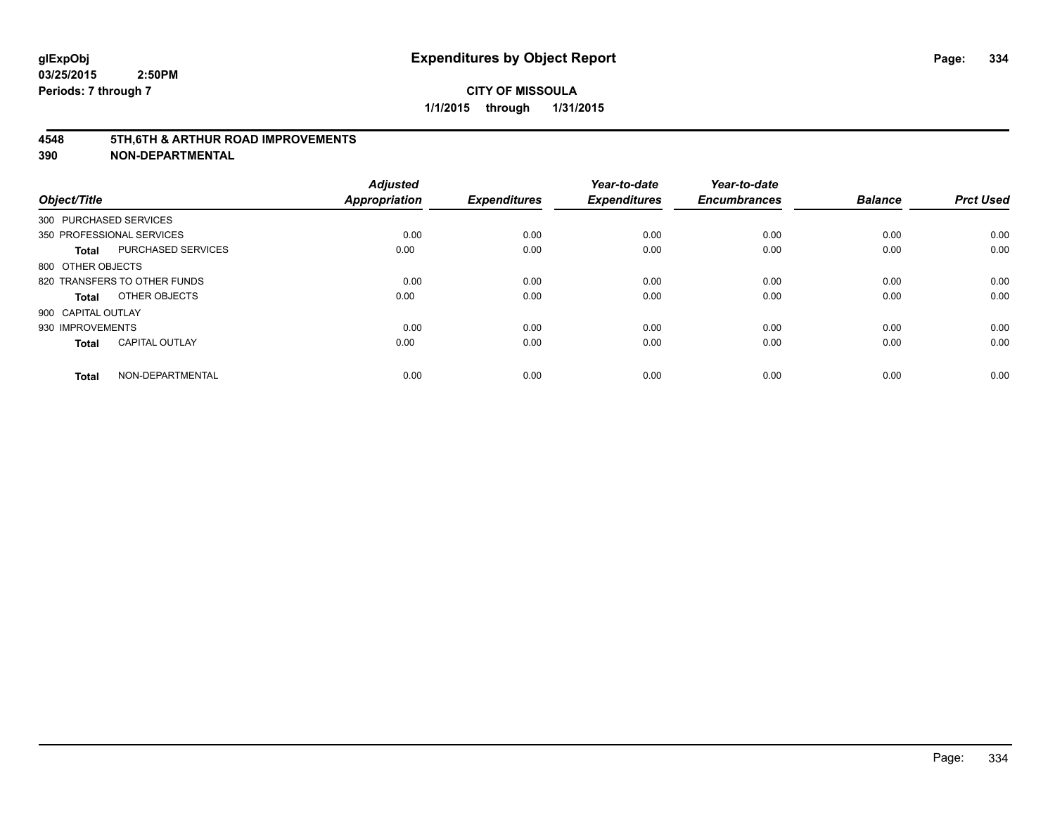#### **4548 5TH,6TH & ARTHUR ROAD IMPROVEMENTS**

| Object/Title           |                              | <b>Adjusted</b><br><b>Appropriation</b> | <b>Expenditures</b> | Year-to-date<br><b>Expenditures</b> | Year-to-date<br><b>Encumbrances</b> | <b>Balance</b> | <b>Prct Used</b> |
|------------------------|------------------------------|-----------------------------------------|---------------------|-------------------------------------|-------------------------------------|----------------|------------------|
| 300 PURCHASED SERVICES |                              |                                         |                     |                                     |                                     |                |                  |
|                        | 350 PROFESSIONAL SERVICES    | 0.00                                    | 0.00                | 0.00                                | 0.00                                | 0.00           | 0.00             |
| <b>Total</b>           | <b>PURCHASED SERVICES</b>    | 0.00                                    | 0.00                | 0.00                                | 0.00                                | 0.00           | 0.00             |
| 800 OTHER OBJECTS      |                              |                                         |                     |                                     |                                     |                |                  |
|                        | 820 TRANSFERS TO OTHER FUNDS | 0.00                                    | 0.00                | 0.00                                | 0.00                                | 0.00           | 0.00             |
| Total                  | OTHER OBJECTS                | 0.00                                    | 0.00                | 0.00                                | 0.00                                | 0.00           | 0.00             |
| 900 CAPITAL OUTLAY     |                              |                                         |                     |                                     |                                     |                |                  |
| 930 IMPROVEMENTS       |                              | 0.00                                    | 0.00                | 0.00                                | 0.00                                | 0.00           | 0.00             |
| Total                  | <b>CAPITAL OUTLAY</b>        | 0.00                                    | 0.00                | 0.00                                | 0.00                                | 0.00           | 0.00             |
| <b>Total</b>           | NON-DEPARTMENTAL             | 0.00                                    | 0.00                | 0.00                                | 0.00                                | 0.00           | 0.00             |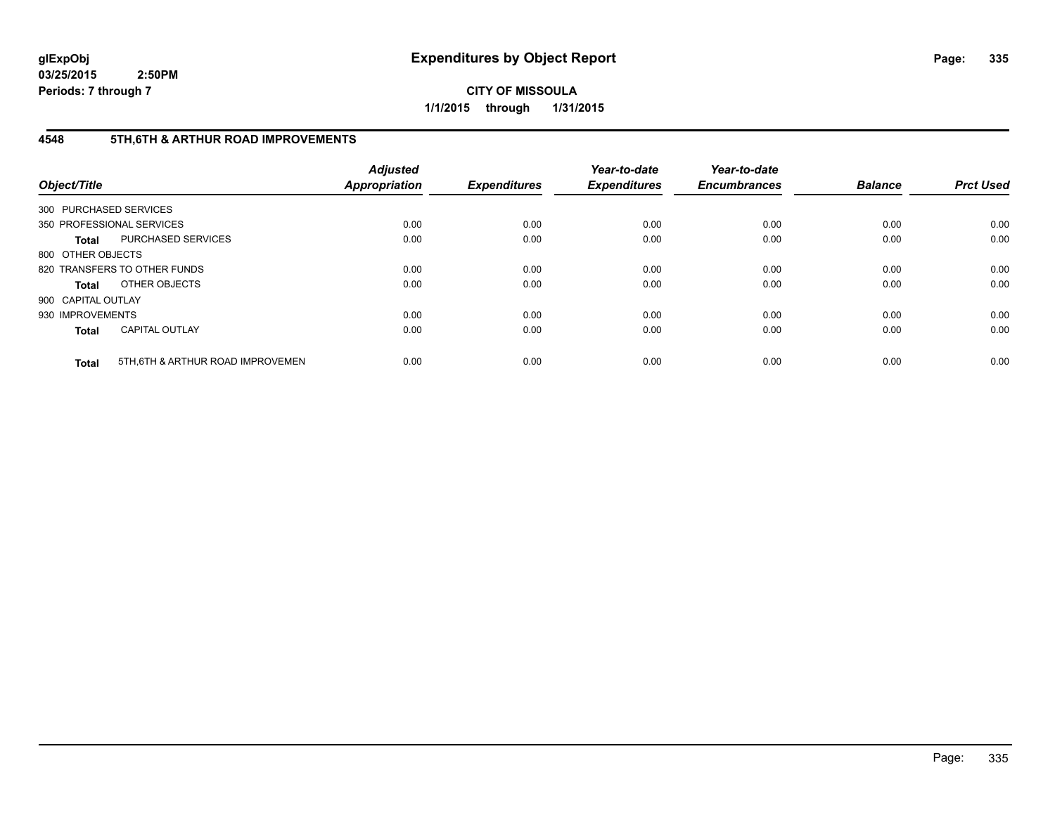**CITY OF MISSOULA 1/1/2015 through 1/31/2015**

# **4548 5TH,6TH & ARTHUR ROAD IMPROVEMENTS**

| Object/Title           |                                  | <b>Adjusted</b><br>Appropriation | <b>Expenditures</b> | Year-to-date<br><b>Expenditures</b> | Year-to-date<br><b>Encumbrances</b> | <b>Balance</b> | <b>Prct Used</b> |
|------------------------|----------------------------------|----------------------------------|---------------------|-------------------------------------|-------------------------------------|----------------|------------------|
| 300 PURCHASED SERVICES |                                  |                                  |                     |                                     |                                     |                |                  |
|                        | 350 PROFESSIONAL SERVICES        | 0.00                             | 0.00                | 0.00                                | 0.00                                | 0.00           | 0.00             |
| <b>Total</b>           | PURCHASED SERVICES               | 0.00                             | 0.00                | 0.00                                | 0.00                                | 0.00           | 0.00             |
| 800 OTHER OBJECTS      |                                  |                                  |                     |                                     |                                     |                |                  |
|                        | 820 TRANSFERS TO OTHER FUNDS     | 0.00                             | 0.00                | 0.00                                | 0.00                                | 0.00           | 0.00             |
| <b>Total</b>           | OTHER OBJECTS                    | 0.00                             | 0.00                | 0.00                                | 0.00                                | 0.00           | 0.00             |
| 900 CAPITAL OUTLAY     |                                  |                                  |                     |                                     |                                     |                |                  |
| 930 IMPROVEMENTS       |                                  | 0.00                             | 0.00                | 0.00                                | 0.00                                | 0.00           | 0.00             |
| <b>Total</b>           | <b>CAPITAL OUTLAY</b>            | 0.00                             | 0.00                | 0.00                                | 0.00                                | 0.00           | 0.00             |
| <b>Total</b>           | 5TH.6TH & ARTHUR ROAD IMPROVEMEN | 0.00                             | 0.00                | 0.00                                | 0.00                                | 0.00           | 0.00             |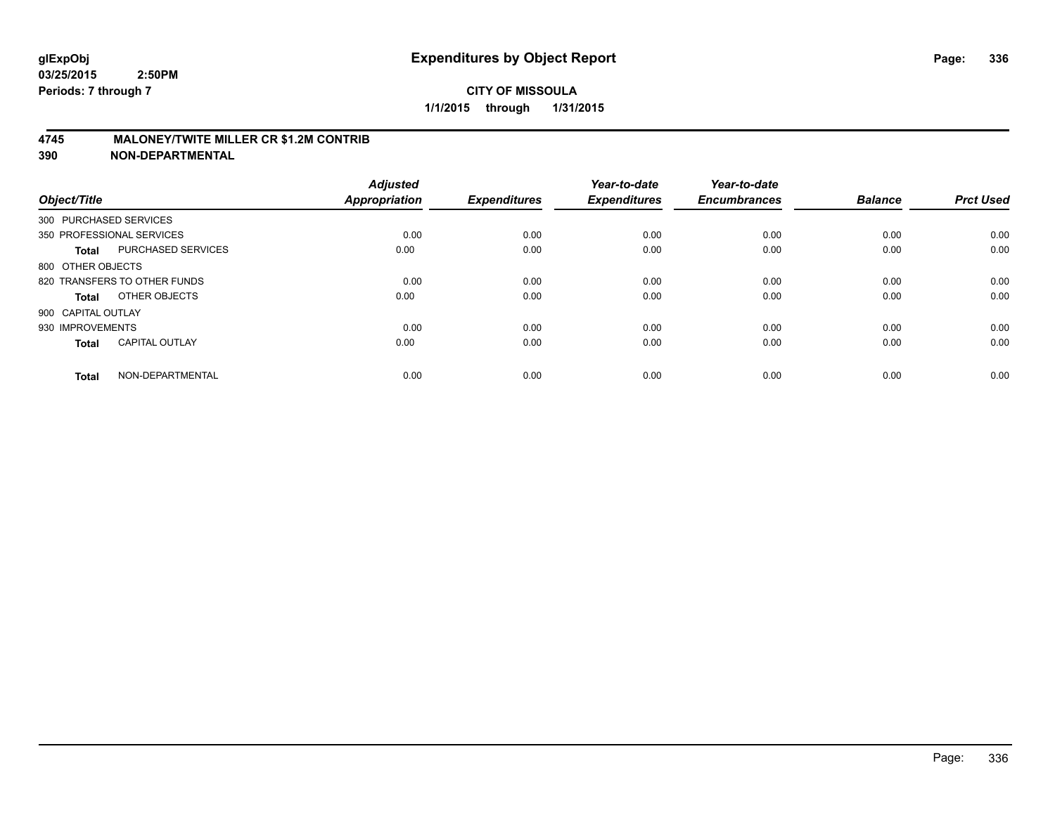## **4745 MALONEY/TWITE MILLER CR \$1.2M CONTRIB**

| Object/Title           |                              | <b>Adjusted</b><br><b>Appropriation</b> | <b>Expenditures</b> | Year-to-date<br><b>Expenditures</b> | Year-to-date<br><b>Encumbrances</b> | <b>Balance</b> | <b>Prct Used</b> |
|------------------------|------------------------------|-----------------------------------------|---------------------|-------------------------------------|-------------------------------------|----------------|------------------|
| 300 PURCHASED SERVICES |                              |                                         |                     |                                     |                                     |                |                  |
|                        | 350 PROFESSIONAL SERVICES    | 0.00                                    | 0.00                | 0.00                                | 0.00                                | 0.00           | 0.00             |
| <b>Total</b>           | <b>PURCHASED SERVICES</b>    | 0.00                                    | 0.00                | 0.00                                | 0.00                                | 0.00           | 0.00             |
| 800 OTHER OBJECTS      |                              |                                         |                     |                                     |                                     |                |                  |
|                        | 820 TRANSFERS TO OTHER FUNDS | 0.00                                    | 0.00                | 0.00                                | 0.00                                | 0.00           | 0.00             |
| Total                  | OTHER OBJECTS                | 0.00                                    | 0.00                | 0.00                                | 0.00                                | 0.00           | 0.00             |
| 900 CAPITAL OUTLAY     |                              |                                         |                     |                                     |                                     |                |                  |
| 930 IMPROVEMENTS       |                              | 0.00                                    | 0.00                | 0.00                                | 0.00                                | 0.00           | 0.00             |
| Total                  | <b>CAPITAL OUTLAY</b>        | 0.00                                    | 0.00                | 0.00                                | 0.00                                | 0.00           | 0.00             |
| <b>Total</b>           | NON-DEPARTMENTAL             | 0.00                                    | 0.00                | 0.00                                | 0.00                                | 0.00           | 0.00             |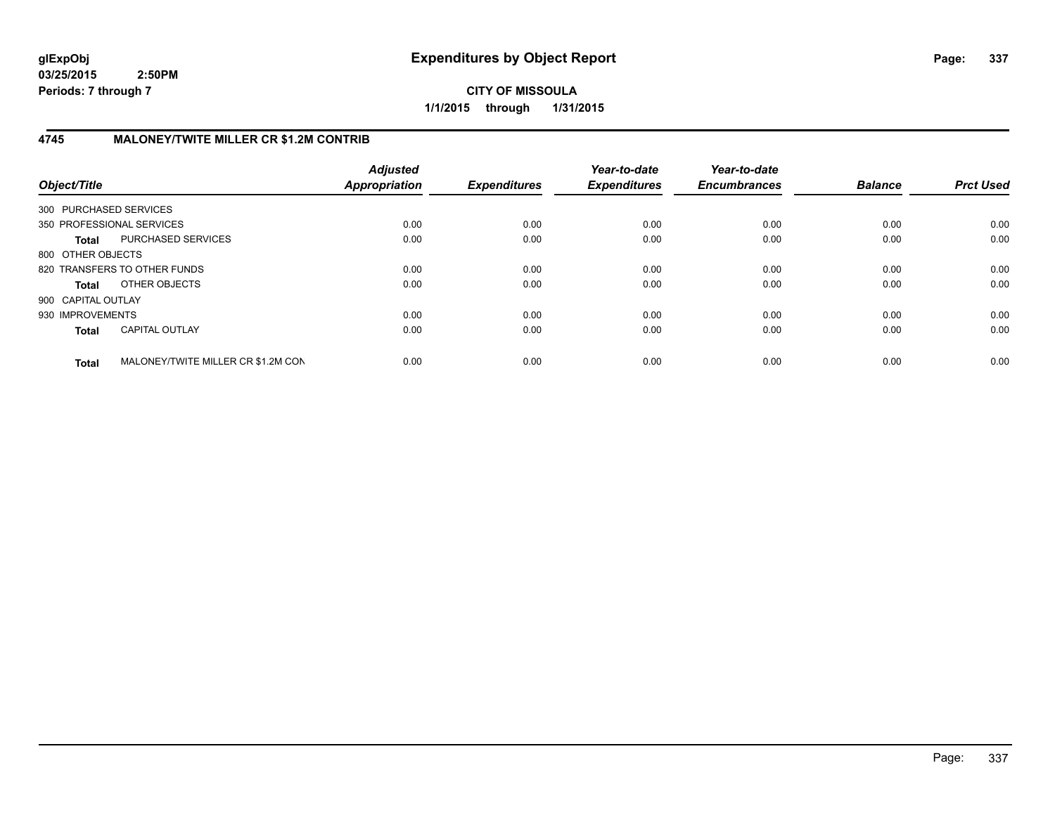**CITY OF MISSOULA 1/1/2015 through 1/31/2015**

# **4745 MALONEY/TWITE MILLER CR \$1.2M CONTRIB**

| Object/Title           |                                    | <b>Adjusted</b><br>Appropriation | <b>Expenditures</b> | Year-to-date<br><b>Expenditures</b> | Year-to-date<br><b>Encumbrances</b> | <b>Balance</b> | <b>Prct Used</b> |
|------------------------|------------------------------------|----------------------------------|---------------------|-------------------------------------|-------------------------------------|----------------|------------------|
| 300 PURCHASED SERVICES |                                    |                                  |                     |                                     |                                     |                |                  |
|                        | 350 PROFESSIONAL SERVICES          | 0.00                             | 0.00                | 0.00                                | 0.00                                | 0.00           | 0.00             |
| <b>Total</b>           | PURCHASED SERVICES                 | 0.00                             | 0.00                | 0.00                                | 0.00                                | 0.00           | 0.00             |
| 800 OTHER OBJECTS      |                                    |                                  |                     |                                     |                                     |                |                  |
|                        | 820 TRANSFERS TO OTHER FUNDS       | 0.00                             | 0.00                | 0.00                                | 0.00                                | 0.00           | 0.00             |
| Total                  | OTHER OBJECTS                      | 0.00                             | 0.00                | 0.00                                | 0.00                                | 0.00           | 0.00             |
| 900 CAPITAL OUTLAY     |                                    |                                  |                     |                                     |                                     |                |                  |
| 930 IMPROVEMENTS       |                                    | 0.00                             | 0.00                | 0.00                                | 0.00                                | 0.00           | 0.00             |
| <b>Total</b>           | <b>CAPITAL OUTLAY</b>              | 0.00                             | 0.00                | 0.00                                | 0.00                                | 0.00           | 0.00             |
| <b>Total</b>           | MALONEY/TWITE MILLER CR \$1.2M CON | 0.00                             | 0.00                | 0.00                                | 0.00                                | 0.00           | 0.00             |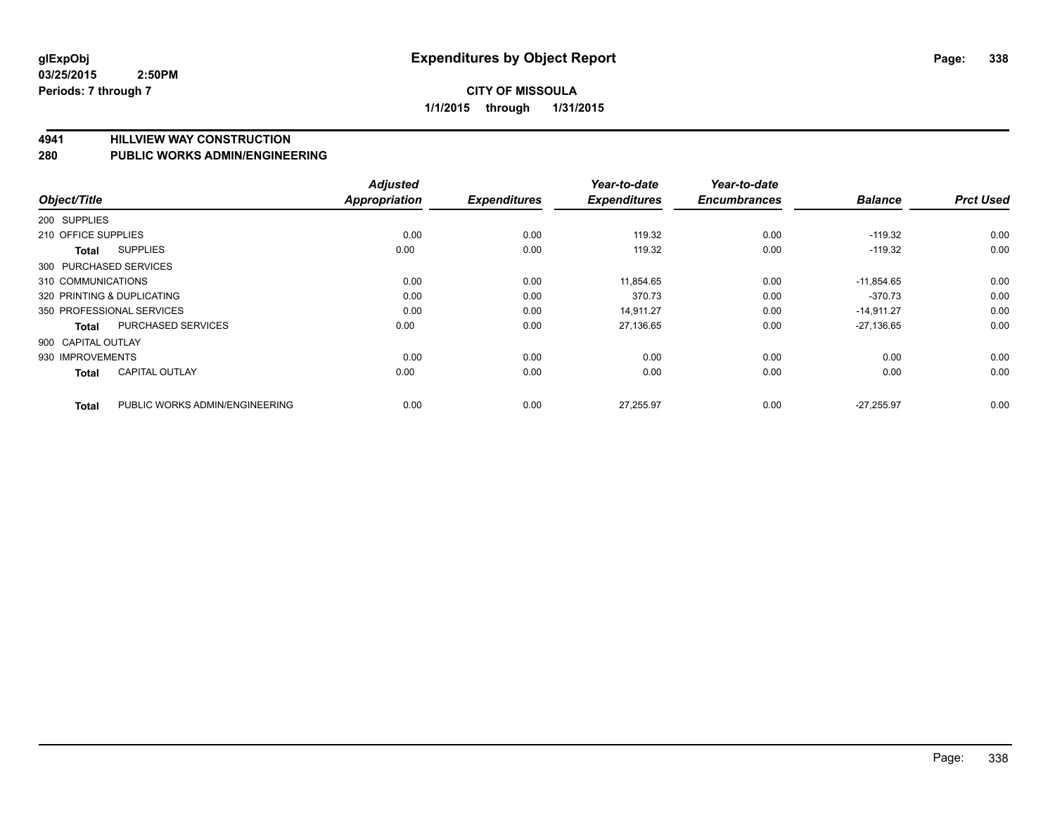## **CITY OF MISSOULA 1/1/2015 through 1/31/2015**

**4941 HILLVIEW WAY CONSTRUCTION**

**280 PUBLIC WORKS ADMIN/ENGINEERING**

| Object/Title           |                                | <b>Adjusted</b><br><b>Appropriation</b> | <b>Expenditures</b> | Year-to-date<br><b>Expenditures</b> | Year-to-date<br><b>Encumbrances</b> | <b>Balance</b> | <b>Prct Used</b> |
|------------------------|--------------------------------|-----------------------------------------|---------------------|-------------------------------------|-------------------------------------|----------------|------------------|
| 200 SUPPLIES           |                                |                                         |                     |                                     |                                     |                |                  |
| 210 OFFICE SUPPLIES    |                                | 0.00                                    | 0.00                | 119.32                              | 0.00                                | $-119.32$      | 0.00             |
| Total                  | <b>SUPPLIES</b>                | 0.00                                    | 0.00                | 119.32                              | 0.00                                | $-119.32$      | 0.00             |
| 300 PURCHASED SERVICES |                                |                                         |                     |                                     |                                     |                |                  |
| 310 COMMUNICATIONS     |                                | 0.00                                    | 0.00                | 11,854.65                           | 0.00                                | $-11,854.65$   | 0.00             |
|                        | 320 PRINTING & DUPLICATING     | 0.00                                    | 0.00                | 370.73                              | 0.00                                | $-370.73$      | 0.00             |
|                        | 350 PROFESSIONAL SERVICES      | 0.00                                    | 0.00                | 14,911.27                           | 0.00                                | $-14,911.27$   | 0.00             |
| <b>Total</b>           | PURCHASED SERVICES             | 0.00                                    | 0.00                | 27,136.65                           | 0.00                                | $-27,136.65$   | 0.00             |
| 900 CAPITAL OUTLAY     |                                |                                         |                     |                                     |                                     |                |                  |
| 930 IMPROVEMENTS       |                                | 0.00                                    | 0.00                | 0.00                                | 0.00                                | 0.00           | 0.00             |
| Total                  | <b>CAPITAL OUTLAY</b>          | 0.00                                    | 0.00                | 0.00                                | 0.00                                | 0.00           | 0.00             |
| <b>Total</b>           | PUBLIC WORKS ADMIN/ENGINEERING | 0.00                                    | 0.00                | 27,255.97                           | 0.00                                | $-27.255.97$   | 0.00             |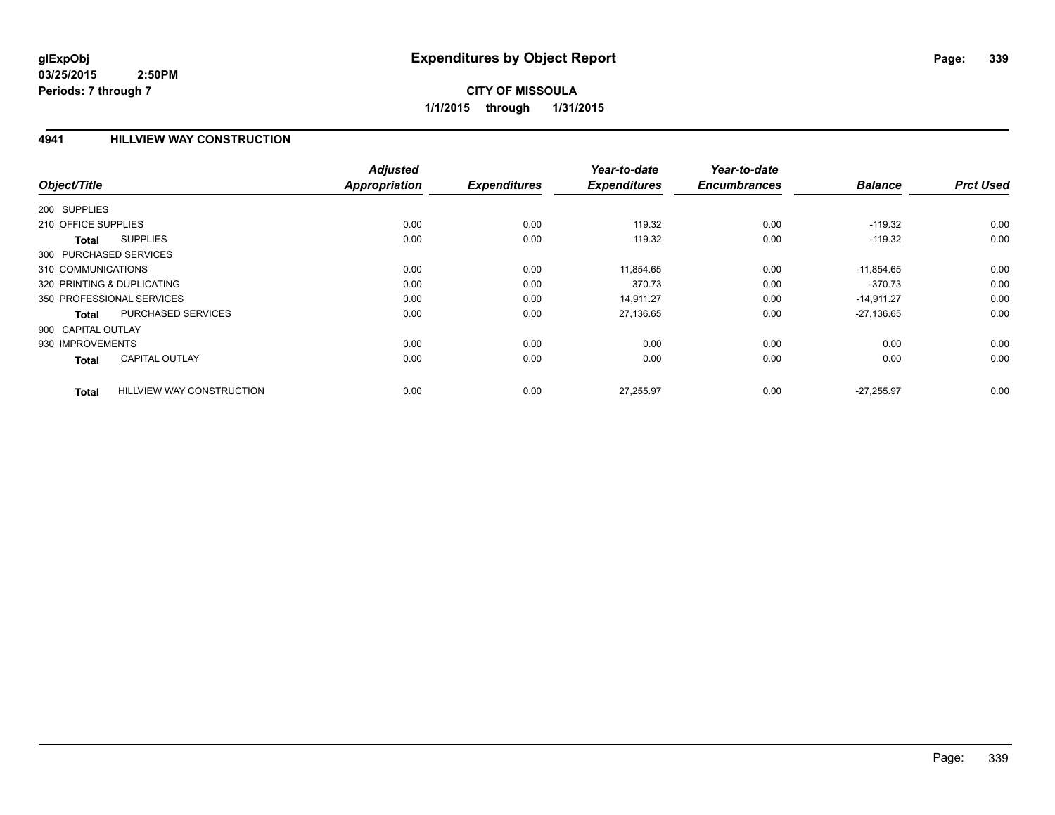## **4941 HILLVIEW WAY CONSTRUCTION**

| Object/Title                           |                                  | <b>Adjusted</b><br>Appropriation | <b>Expenditures</b> | Year-to-date<br><b>Expenditures</b> | Year-to-date<br><b>Encumbrances</b> | <b>Balance</b> | <b>Prct Used</b> |
|----------------------------------------|----------------------------------|----------------------------------|---------------------|-------------------------------------|-------------------------------------|----------------|------------------|
| 200 SUPPLIES                           |                                  |                                  |                     |                                     |                                     |                |                  |
| 210 OFFICE SUPPLIES                    |                                  | 0.00                             | 0.00                | 119.32                              | 0.00                                | $-119.32$      | 0.00             |
|                                        | <b>SUPPLIES</b>                  | 0.00                             | 0.00                | 119.32                              | 0.00                                | $-119.32$      | 0.00             |
| <b>Total</b><br>300 PURCHASED SERVICES |                                  |                                  |                     |                                     |                                     |                |                  |
| 310 COMMUNICATIONS                     |                                  | 0.00                             | 0.00                | 11,854.65                           | 0.00                                | $-11,854.65$   | 0.00             |
| 320 PRINTING & DUPLICATING             |                                  | 0.00                             | 0.00                | 370.73                              | 0.00                                | $-370.73$      | 0.00             |
| 350 PROFESSIONAL SERVICES              |                                  | 0.00                             | 0.00                | 14,911.27                           | 0.00                                | $-14,911.27$   | 0.00             |
| <b>Total</b>                           | PURCHASED SERVICES               | 0.00                             | 0.00                | 27,136.65                           | 0.00                                | $-27,136.65$   | 0.00             |
| 900 CAPITAL OUTLAY                     |                                  |                                  |                     |                                     |                                     |                |                  |
| 930 IMPROVEMENTS                       |                                  | 0.00                             | 0.00                | 0.00                                | 0.00                                | 0.00           | 0.00             |
| <b>Total</b>                           | <b>CAPITAL OUTLAY</b>            | 0.00                             | 0.00                | 0.00                                | 0.00                                | 0.00           | 0.00             |
| <b>Total</b>                           | <b>HILLVIEW WAY CONSTRUCTION</b> | 0.00                             | 0.00                | 27,255.97                           | 0.00                                | $-27.255.97$   | 0.00             |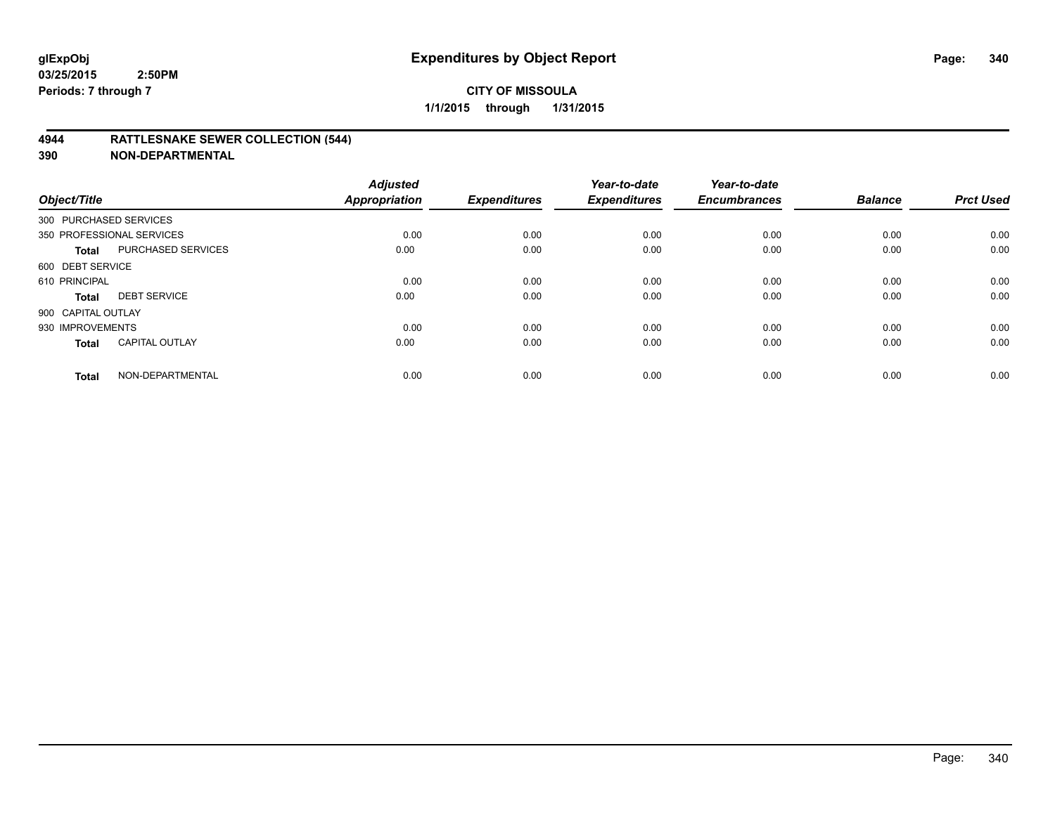## **4944 RATTLESNAKE SEWER COLLECTION (544)**

| Object/Title           |                           | <b>Adjusted</b><br><b>Appropriation</b> | <b>Expenditures</b> | Year-to-date<br><b>Expenditures</b> | Year-to-date<br><b>Encumbrances</b> | <b>Balance</b> | <b>Prct Used</b> |
|------------------------|---------------------------|-----------------------------------------|---------------------|-------------------------------------|-------------------------------------|----------------|------------------|
| 300 PURCHASED SERVICES |                           |                                         |                     |                                     |                                     |                |                  |
|                        | 350 PROFESSIONAL SERVICES | 0.00                                    | 0.00                | 0.00                                | 0.00                                | 0.00           | 0.00             |
| <b>Total</b>           | <b>PURCHASED SERVICES</b> | 0.00                                    | 0.00                | 0.00                                | 0.00                                | 0.00           | 0.00             |
| 600 DEBT SERVICE       |                           |                                         |                     |                                     |                                     |                |                  |
| 610 PRINCIPAL          |                           | 0.00                                    | 0.00                | 0.00                                | 0.00                                | 0.00           | 0.00             |
| <b>Total</b>           | <b>DEBT SERVICE</b>       | 0.00                                    | 0.00                | 0.00                                | 0.00                                | 0.00           | 0.00             |
| 900 CAPITAL OUTLAY     |                           |                                         |                     |                                     |                                     |                |                  |
| 930 IMPROVEMENTS       |                           | 0.00                                    | 0.00                | 0.00                                | 0.00                                | 0.00           | 0.00             |
| <b>Total</b>           | <b>CAPITAL OUTLAY</b>     | 0.00                                    | 0.00                | 0.00                                | 0.00                                | 0.00           | 0.00             |
| <b>Total</b>           | NON-DEPARTMENTAL          | 0.00                                    | 0.00                | 0.00                                | 0.00                                | 0.00           | 0.00             |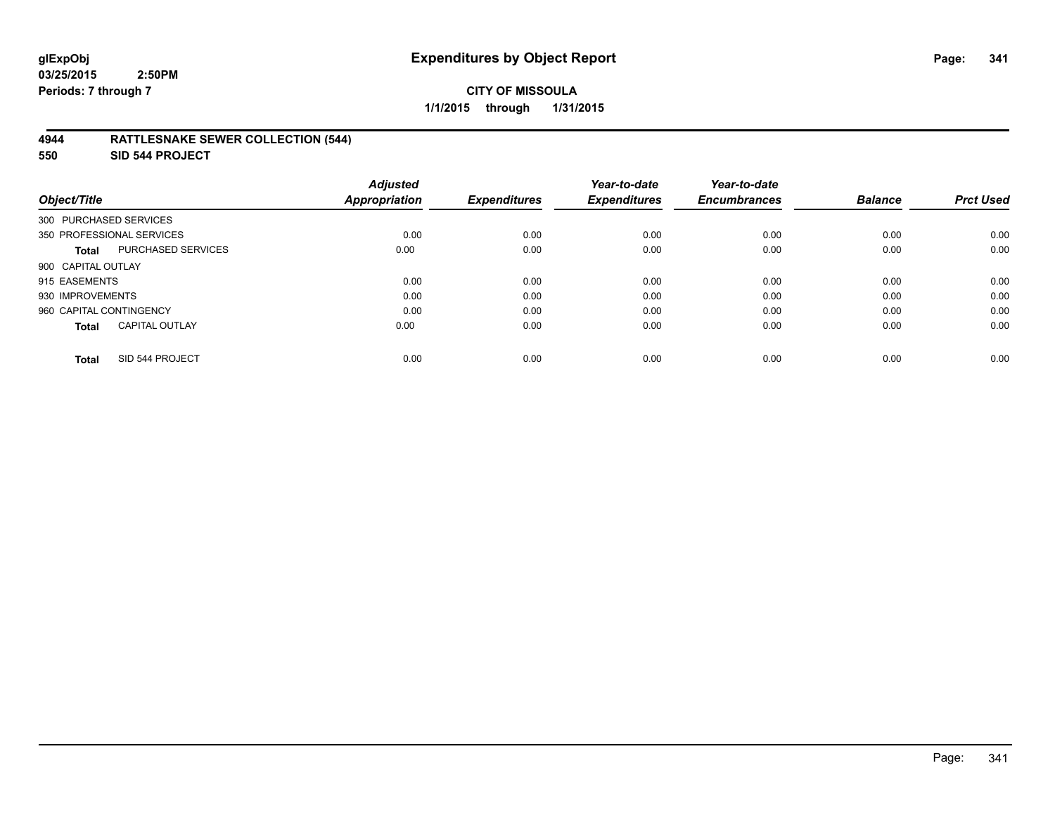## **4944 RATTLESNAKE SEWER COLLECTION (544)**

**550 SID 544 PROJECT**

| Object/Title                          | <b>Adjusted</b><br><b>Appropriation</b> | <b>Expenditures</b> | Year-to-date<br><b>Expenditures</b> | Year-to-date<br><b>Encumbrances</b> | <b>Balance</b> | <b>Prct Used</b> |
|---------------------------------------|-----------------------------------------|---------------------|-------------------------------------|-------------------------------------|----------------|------------------|
| 300 PURCHASED SERVICES                |                                         |                     |                                     |                                     |                |                  |
| 350 PROFESSIONAL SERVICES             | 0.00                                    | 0.00                | 0.00                                | 0.00                                | 0.00           | 0.00             |
| PURCHASED SERVICES<br><b>Total</b>    | 0.00                                    | 0.00                | 0.00                                | 0.00                                | 0.00           | 0.00             |
| 900 CAPITAL OUTLAY                    |                                         |                     |                                     |                                     |                |                  |
| 915 EASEMENTS                         | 0.00                                    | 0.00                | 0.00                                | 0.00                                | 0.00           | 0.00             |
| 930 IMPROVEMENTS                      | 0.00                                    | 0.00                | 0.00                                | 0.00                                | 0.00           | 0.00             |
| 960 CAPITAL CONTINGENCY               | 0.00                                    | 0.00                | 0.00                                | 0.00                                | 0.00           | 0.00             |
| <b>CAPITAL OUTLAY</b><br><b>Total</b> | 0.00                                    | 0.00                | 0.00                                | 0.00                                | 0.00           | 0.00             |
| SID 544 PROJECT<br><b>Total</b>       | 0.00                                    | 0.00                | 0.00                                | 0.00                                | 0.00           | 0.00             |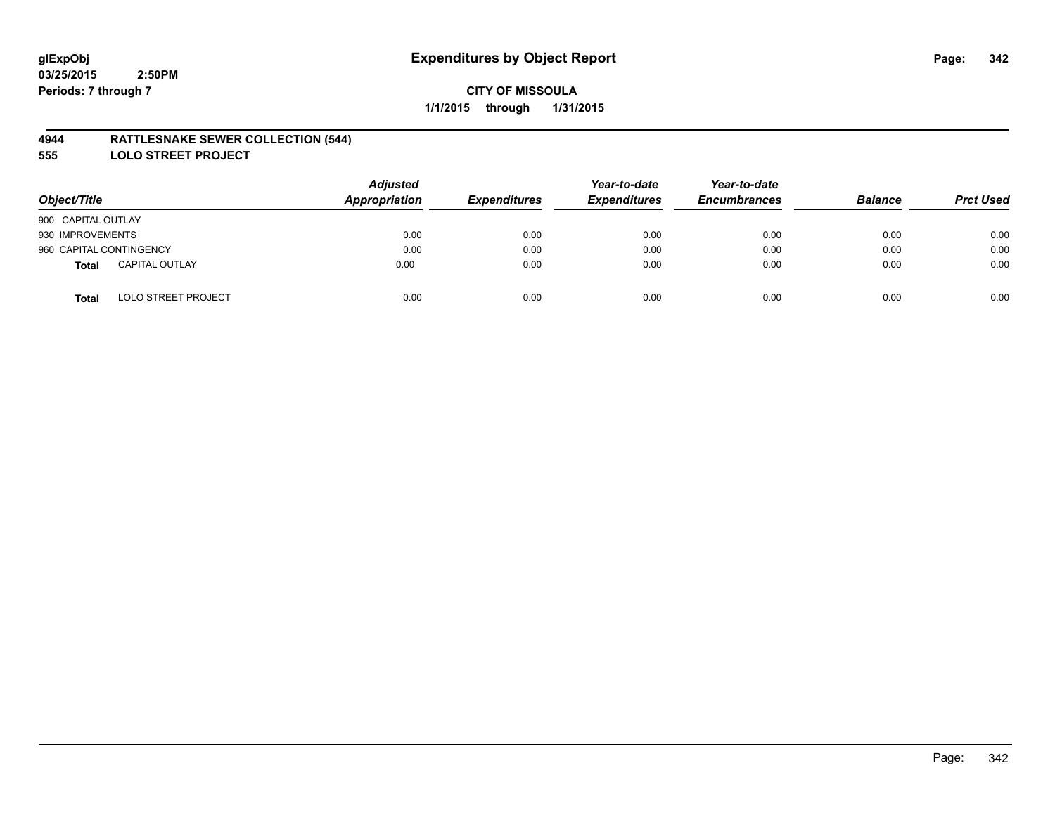## **4944 RATTLESNAKE SEWER COLLECTION (544)**

**555 LOLO STREET PROJECT**

| Object/Title                               | <b>Adjusted</b><br>Appropriation | <b>Expenditures</b> | Year-to-date<br><b>Expenditures</b> | Year-to-date<br><b>Encumbrances</b> | <b>Balance</b> | <b>Prct Used</b> |
|--------------------------------------------|----------------------------------|---------------------|-------------------------------------|-------------------------------------|----------------|------------------|
| 900 CAPITAL OUTLAY                         |                                  |                     |                                     |                                     |                |                  |
| 930 IMPROVEMENTS                           | 0.00                             | 0.00                | 0.00                                | 0.00                                | 0.00           | 0.00             |
| 960 CAPITAL CONTINGENCY                    | 0.00                             | 0.00                | 0.00                                | 0.00                                | 0.00           | 0.00             |
| <b>CAPITAL OUTLAY</b><br>Total             | 0.00                             | 0.00                | 0.00                                | 0.00                                | 0.00           | 0.00             |
| <b>LOLO STREET PROJECT</b><br><b>Total</b> | 0.00                             | 0.00                | 0.00                                | 0.00                                | 0.00           | 0.00             |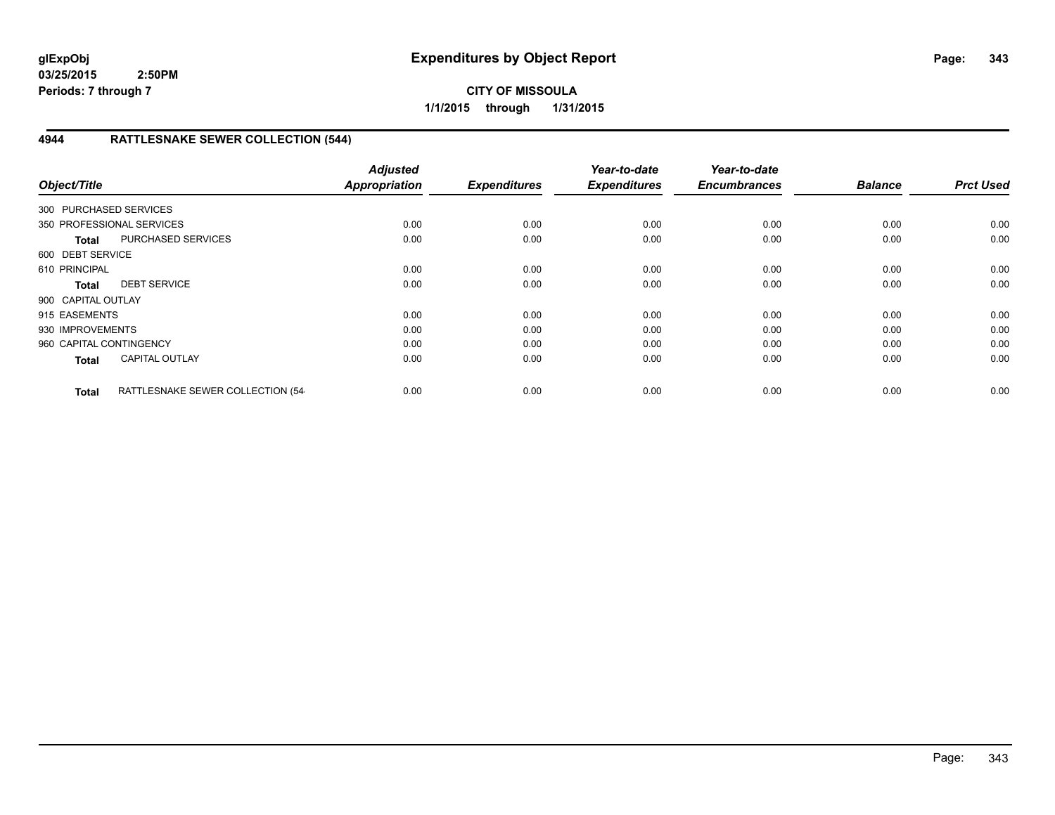**CITY OF MISSOULA 1/1/2015 through 1/31/2015**

# **4944 RATTLESNAKE SEWER COLLECTION (544)**

| Object/Title            |                                  | <b>Adjusted</b><br><b>Appropriation</b> | <b>Expenditures</b> | Year-to-date<br><b>Expenditures</b> | Year-to-date<br><b>Encumbrances</b> | <b>Balance</b> | <b>Prct Used</b> |
|-------------------------|----------------------------------|-----------------------------------------|---------------------|-------------------------------------|-------------------------------------|----------------|------------------|
| 300 PURCHASED SERVICES  |                                  |                                         |                     |                                     |                                     |                |                  |
|                         |                                  |                                         |                     |                                     |                                     |                |                  |
|                         | 350 PROFESSIONAL SERVICES        | 0.00                                    | 0.00                | 0.00                                | 0.00                                | 0.00           | 0.00             |
| <b>Total</b>            | PURCHASED SERVICES               | 0.00                                    | 0.00                | 0.00                                | 0.00                                | 0.00           | 0.00             |
| 600 DEBT SERVICE        |                                  |                                         |                     |                                     |                                     |                |                  |
| 610 PRINCIPAL           |                                  | 0.00                                    | 0.00                | 0.00                                | 0.00                                | 0.00           | 0.00             |
| <b>Total</b>            | <b>DEBT SERVICE</b>              | 0.00                                    | 0.00                | 0.00                                | 0.00                                | 0.00           | 0.00             |
| 900 CAPITAL OUTLAY      |                                  |                                         |                     |                                     |                                     |                |                  |
| 915 EASEMENTS           |                                  | 0.00                                    | 0.00                | 0.00                                | 0.00                                | 0.00           | 0.00             |
| 930 IMPROVEMENTS        |                                  | 0.00                                    | 0.00                | 0.00                                | 0.00                                | 0.00           | 0.00             |
| 960 CAPITAL CONTINGENCY |                                  | 0.00                                    | 0.00                | 0.00                                | 0.00                                | 0.00           | 0.00             |
| <b>Total</b>            | <b>CAPITAL OUTLAY</b>            | 0.00                                    | 0.00                | 0.00                                | 0.00                                | 0.00           | 0.00             |
| <b>Total</b>            | RATTLESNAKE SEWER COLLECTION (54 | 0.00                                    | 0.00                | 0.00                                | 0.00                                | 0.00           | 0.00             |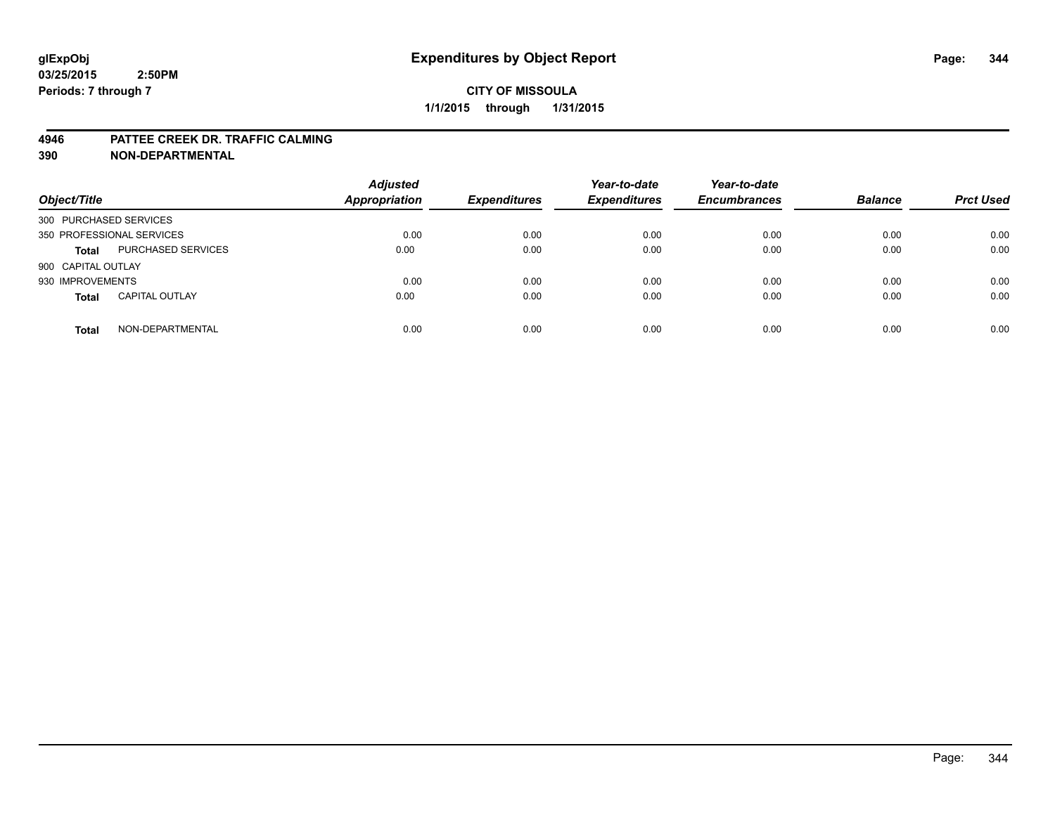#### **4946 PATTEE CREEK DR. TRAFFIC CALMING**

| Object/Title              |                       | <b>Adjusted</b><br><b>Appropriation</b> | <b>Expenditures</b> | Year-to-date<br><b>Expenditures</b> | Year-to-date<br><b>Encumbrances</b> | <b>Balance</b> | <b>Prct Used</b> |
|---------------------------|-----------------------|-----------------------------------------|---------------------|-------------------------------------|-------------------------------------|----------------|------------------|
| 300 PURCHASED SERVICES    |                       |                                         |                     |                                     |                                     |                |                  |
| 350 PROFESSIONAL SERVICES |                       | 0.00                                    | 0.00                | 0.00                                | 0.00                                | 0.00           | 0.00             |
| <b>Total</b>              | PURCHASED SERVICES    | 0.00                                    | 0.00                | 0.00                                | 0.00                                | 0.00           | 0.00             |
| 900 CAPITAL OUTLAY        |                       |                                         |                     |                                     |                                     |                |                  |
| 930 IMPROVEMENTS          |                       | 0.00                                    | 0.00                | 0.00                                | 0.00                                | 0.00           | 0.00             |
| <b>Total</b>              | <b>CAPITAL OUTLAY</b> | 0.00                                    | 0.00                | 0.00                                | 0.00                                | 0.00           | 0.00             |
| <b>Total</b>              | NON-DEPARTMENTAL      | 0.00                                    | 0.00                | 0.00                                | 0.00                                | 0.00           | 0.00             |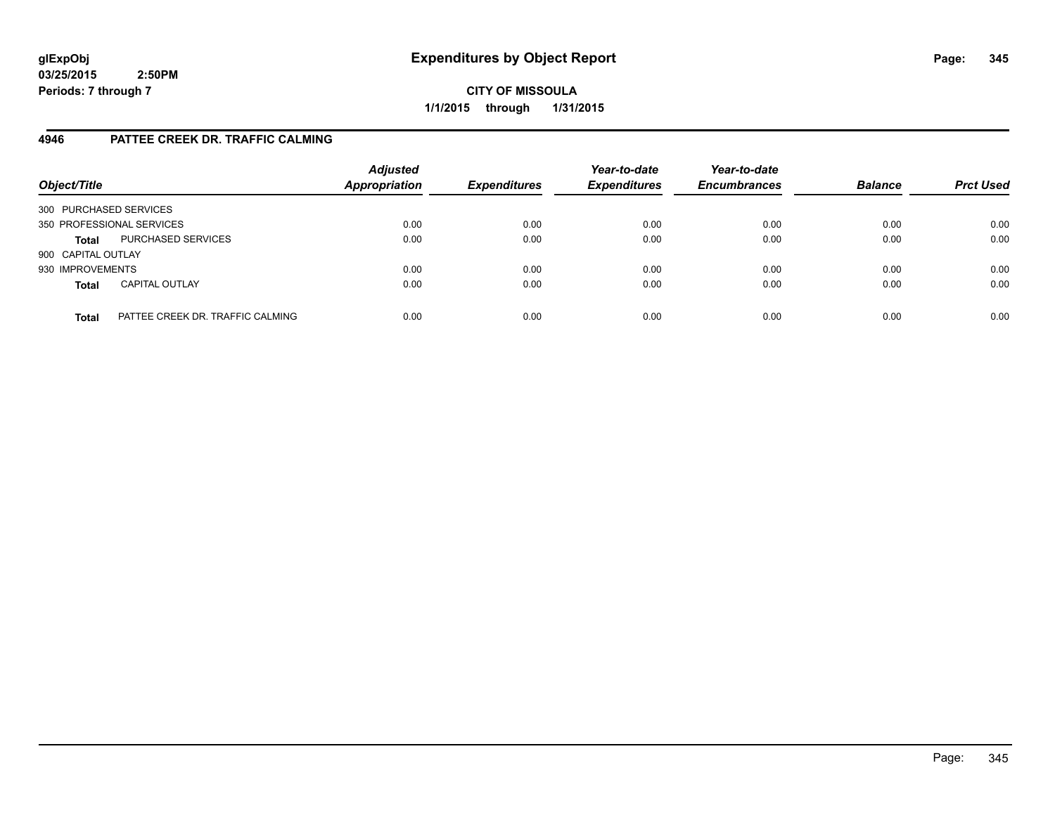**CITY OF MISSOULA 1/1/2015 through 1/31/2015**

# **4946 PATTEE CREEK DR. TRAFFIC CALMING**

| Object/Title              |                                  | <b>Adjusted</b><br><b>Appropriation</b> | <b>Expenditures</b> | Year-to-date<br><b>Expenditures</b> | Year-to-date<br><b>Encumbrances</b> | <b>Balance</b> | <b>Prct Used</b> |
|---------------------------|----------------------------------|-----------------------------------------|---------------------|-------------------------------------|-------------------------------------|----------------|------------------|
| 300 PURCHASED SERVICES    |                                  |                                         |                     |                                     |                                     |                |                  |
| 350 PROFESSIONAL SERVICES |                                  | 0.00                                    | 0.00                | 0.00                                | 0.00                                | 0.00           | 0.00             |
| <b>Total</b>              | PURCHASED SERVICES               | 0.00                                    | 0.00                | 0.00                                | 0.00                                | 0.00           | 0.00             |
| 900 CAPITAL OUTLAY        |                                  |                                         |                     |                                     |                                     |                |                  |
| 930 IMPROVEMENTS          |                                  | 0.00                                    | 0.00                | 0.00                                | 0.00                                | 0.00           | 0.00             |
| <b>Total</b>              | <b>CAPITAL OUTLAY</b>            | 0.00                                    | 0.00                | 0.00                                | 0.00                                | 0.00           | 0.00             |
| <b>Total</b>              | PATTEE CREEK DR. TRAFFIC CALMING | 0.00                                    | 0.00                | 0.00                                | 0.00                                | 0.00           | 0.00             |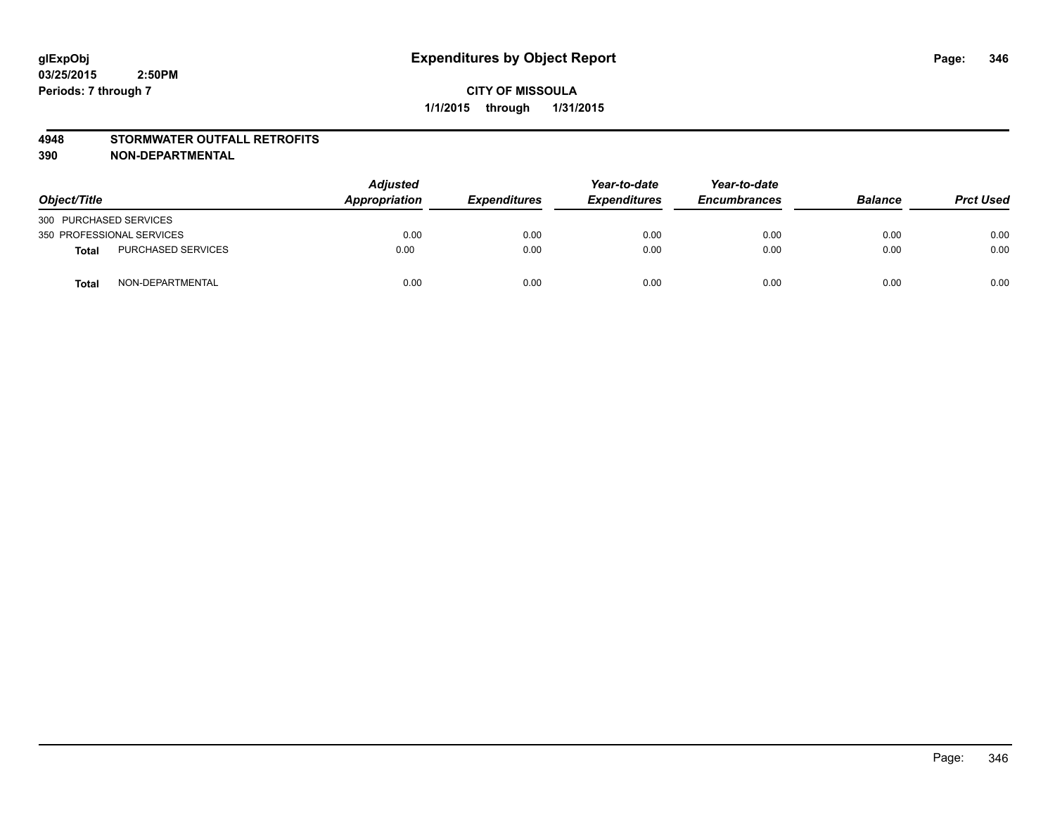## **4948 STORMWATER OUTFALL RETROFITS**

| Object/Title              |                           | Adjusted<br>Appropriation | <b>Expenditures</b> | Year-to-date<br><b>Expenditures</b> | Year-to-date<br><b>Encumbrances</b> | <b>Balance</b> | <b>Prct Used</b> |
|---------------------------|---------------------------|---------------------------|---------------------|-------------------------------------|-------------------------------------|----------------|------------------|
| 300 PURCHASED SERVICES    |                           |                           |                     |                                     |                                     |                |                  |
| 350 PROFESSIONAL SERVICES |                           | 0.00                      | 0.00                | 0.00                                | 0.00                                | 0.00           | 0.00             |
| <b>Total</b>              | <b>PURCHASED SERVICES</b> | 0.00                      | 0.00                | 0.00                                | 0.00                                | 0.00           | 0.00             |
| <b>Total</b>              | NON-DEPARTMENTAL          | 0.00                      | 0.00                | 0.00                                | 0.00                                | 0.00           | 0.00             |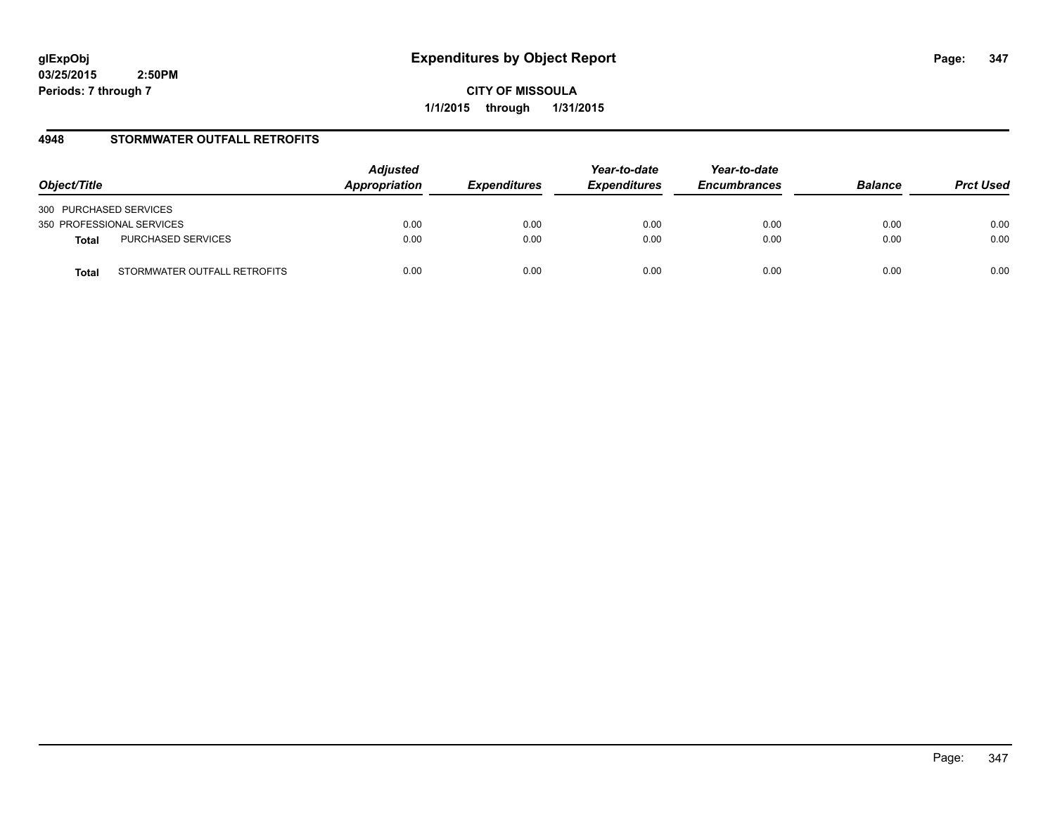**CITY OF MISSOULA 1/1/2015 through 1/31/2015**

# **4948 STORMWATER OUTFALL RETROFITS**

| Object/Title                          | <b>Adjusted</b><br>Appropriation | <b>Expenditures</b> | Year-to-date<br><b>Expenditures</b> | Year-to-date<br><b>Encumbrances</b> | <b>Balance</b> | <b>Prct Used</b> |
|---------------------------------------|----------------------------------|---------------------|-------------------------------------|-------------------------------------|----------------|------------------|
| 300 PURCHASED SERVICES                |                                  |                     |                                     |                                     |                |                  |
| 350 PROFESSIONAL SERVICES             | 0.00                             | 0.00                | 0.00                                | 0.00                                | 0.00           | 0.00             |
| PURCHASED SERVICES<br><b>Total</b>    | 0.00                             | 0.00                | 0.00                                | 0.00                                | 0.00           | 0.00             |
| STORMWATER OUTFALL RETROFITS<br>Total | 0.00                             | 0.00                | 0.00                                | 0.00                                | 0.00           | 0.00             |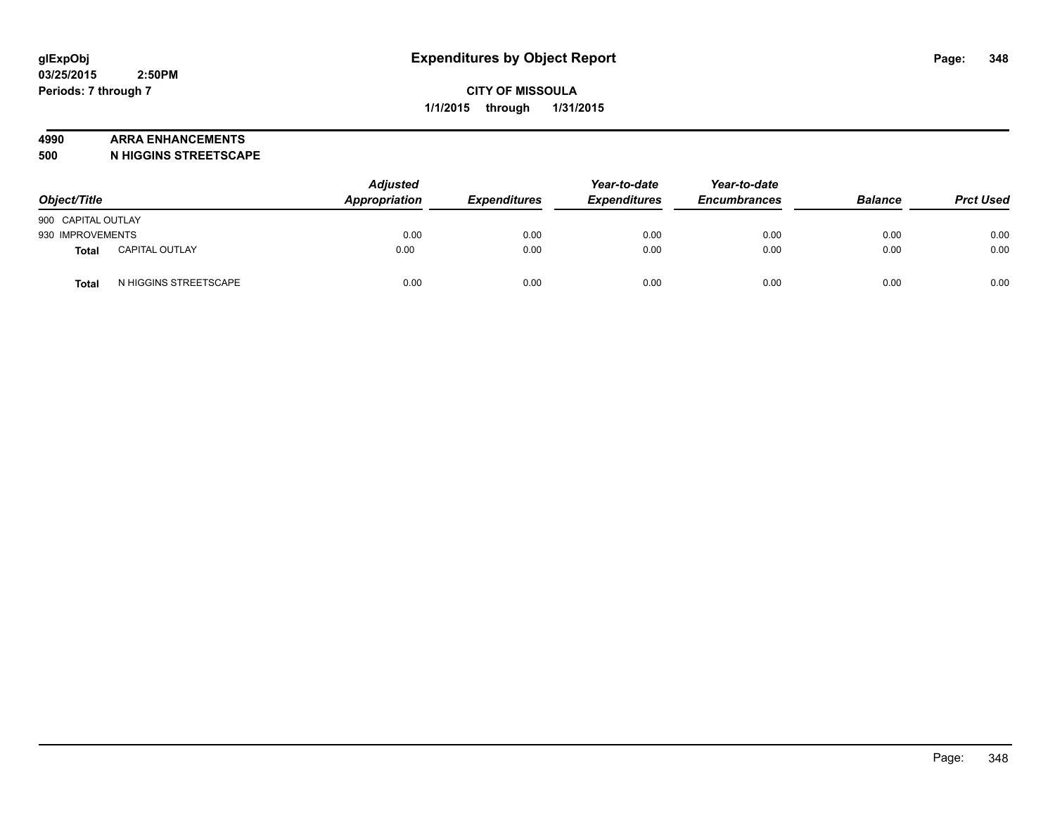#### **4990 ARRA ENHANCEMENTS**

**500 N HIGGINS STREETSCAPE**

| Object/Title       |                       | <b>Adjusted</b><br>Appropriation | <b>Expenditures</b> | Year-to-date<br><b>Expenditures</b> | Year-to-date<br><b>Encumbrances</b> | <b>Balance</b> | <b>Prct Used</b> |
|--------------------|-----------------------|----------------------------------|---------------------|-------------------------------------|-------------------------------------|----------------|------------------|
| 900 CAPITAL OUTLAY |                       |                                  |                     |                                     |                                     |                |                  |
| 930 IMPROVEMENTS   |                       | 0.00                             | 0.00                | 0.00                                | 0.00                                | 0.00           | 0.00             |
| Total              | <b>CAPITAL OUTLAY</b> | 0.00                             | 0.00                | 0.00                                | 0.00                                | 0.00           | 0.00             |
| Total              | N HIGGINS STREETSCAPE | 0.00                             | 0.00                | 0.00                                | 0.00                                | 0.00           | 0.00             |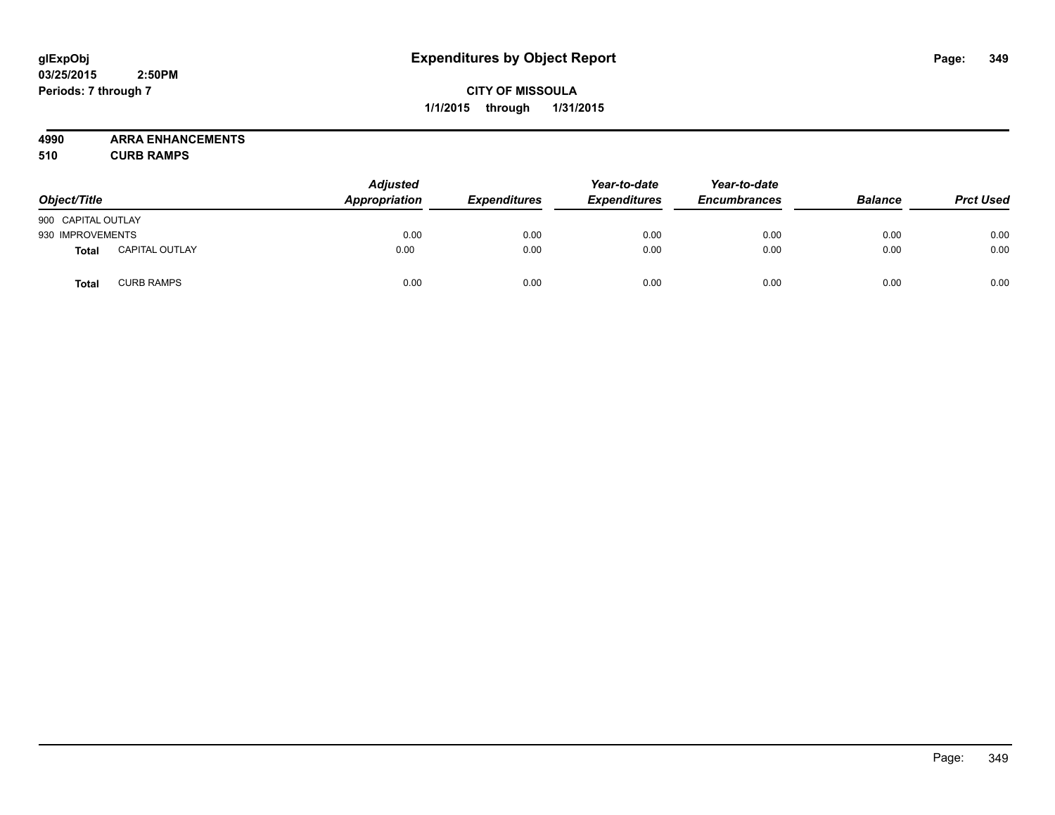# **CITY OF MISSOULA 1/1/2015 through 1/31/2015**

**4990 ARRA ENHANCEMENTS**

**510 CURB RAMPS**

| Object/Title       |                       | <b>Adjusted</b><br>Appropriation | <b>Expenditures</b> | Year-to-date<br><b>Expenditures</b> | Year-to-date<br><b>Encumbrances</b> | <b>Balance</b> | <b>Prct Used</b> |
|--------------------|-----------------------|----------------------------------|---------------------|-------------------------------------|-------------------------------------|----------------|------------------|
| 900 CAPITAL OUTLAY |                       |                                  |                     |                                     |                                     |                |                  |
| 930 IMPROVEMENTS   |                       | 0.00                             | 0.00                | 0.00                                | 0.00                                | 0.00           | 0.00             |
| <b>Total</b>       | <b>CAPITAL OUTLAY</b> | 0.00                             | 0.00                | 0.00                                | 0.00                                | 0.00           | 0.00             |
| Total              | <b>CURB RAMPS</b>     | 0.00                             | 0.00                | 0.00                                | 0.00                                | 0.00           | 0.00             |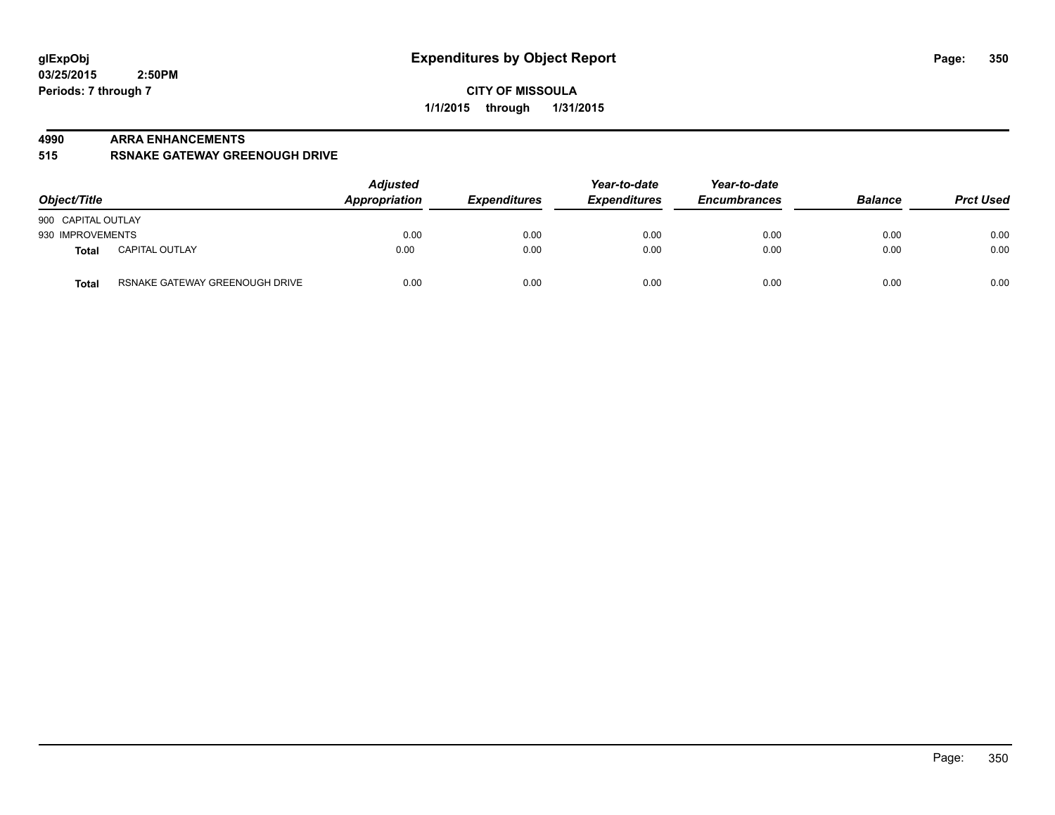#### **4990 ARRA ENHANCEMENTS**

**515 RSNAKE GATEWAY GREENOUGH DRIVE**

| Object/Title       |                                | <b>Adjusted</b><br>Appropriation | <b>Expenditures</b> | Year-to-date<br><b>Expenditures</b> | Year-to-date<br><b>Encumbrances</b> | <b>Balance</b> | <b>Prct Used</b> |
|--------------------|--------------------------------|----------------------------------|---------------------|-------------------------------------|-------------------------------------|----------------|------------------|
| 900 CAPITAL OUTLAY |                                |                                  |                     |                                     |                                     |                |                  |
| 930 IMPROVEMENTS   |                                | 0.00                             | 0.00                | 0.00                                | 0.00                                | 0.00           | 0.00             |
| Total              | <b>CAPITAL OUTLAY</b>          | 0.00                             | 0.00                | 0.00                                | 0.00                                | 0.00           | 0.00             |
| <b>Total</b>       | RSNAKE GATEWAY GREENOUGH DRIVE | 0.00                             | 0.00                | 0.00                                | 0.00                                | 0.00           | 0.00             |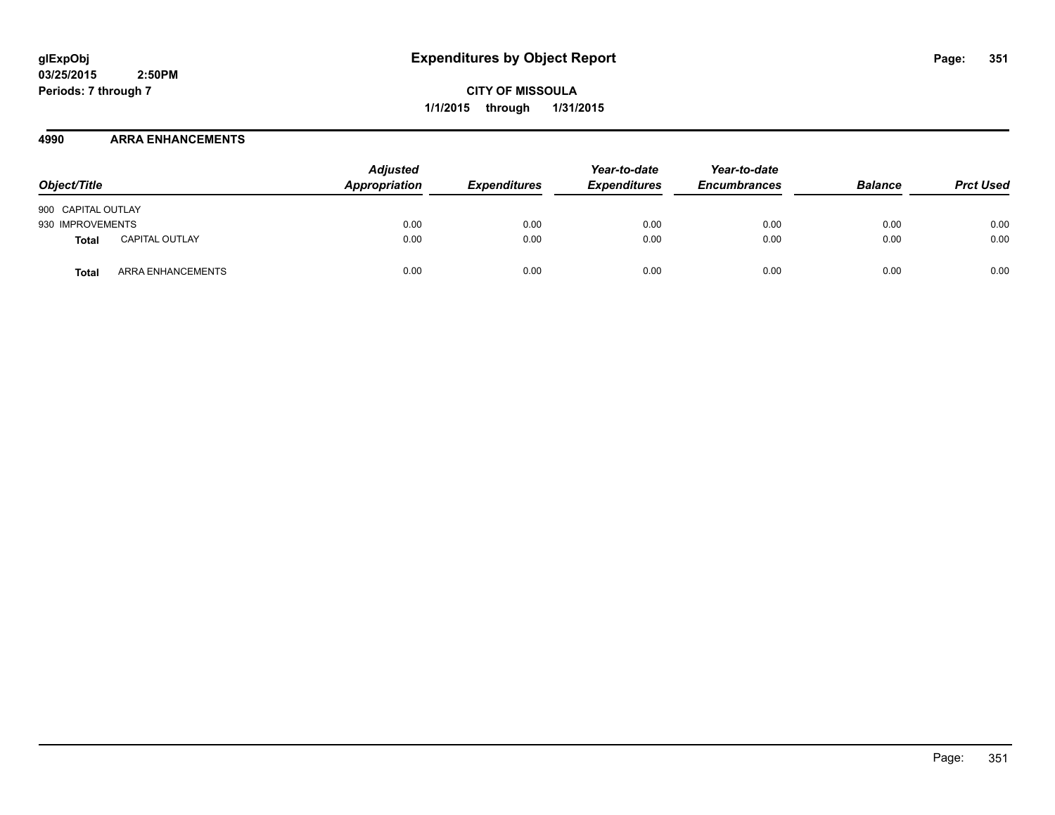**CITY OF MISSOULA 1/1/2015 through 1/31/2015**

## **4990 ARRA ENHANCEMENTS**

| Object/Title       |                       | <b>Adjusted</b><br>Appropriation | <b>Expenditures</b> | Year-to-date<br><b>Expenditures</b> | Year-to-date<br><b>Encumbrances</b> | <b>Balance</b> | <b>Prct Used</b> |
|--------------------|-----------------------|----------------------------------|---------------------|-------------------------------------|-------------------------------------|----------------|------------------|
| 900 CAPITAL OUTLAY |                       |                                  |                     |                                     |                                     |                |                  |
| 930 IMPROVEMENTS   |                       | 0.00                             | 0.00                | 0.00                                | 0.00                                | 0.00           | 0.00             |
| Total              | <b>CAPITAL OUTLAY</b> | 0.00                             | 0.00                | 0.00                                | 0.00                                | 0.00           | 0.00             |
| Total              | ARRA ENHANCEMENTS     | 0.00                             | 0.00                | 0.00                                | 0.00                                | 0.00           | 0.00             |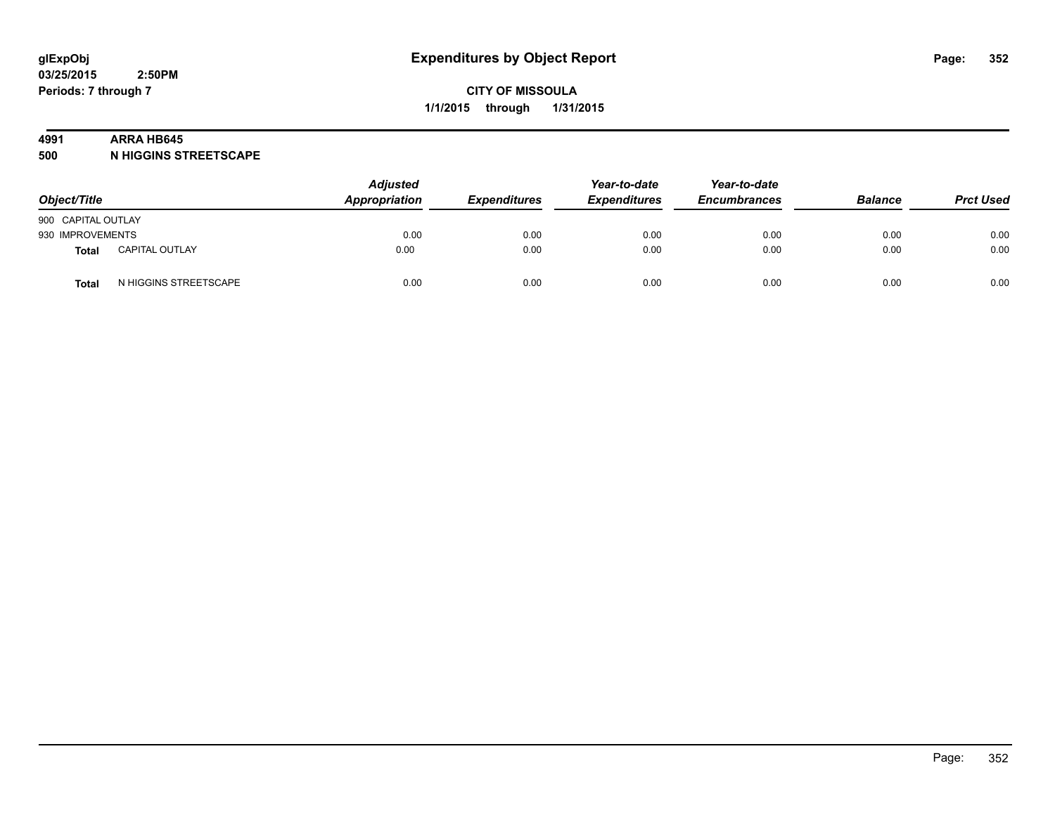#### **4991 ARRA HB645**

**500 N HIGGINS STREETSCAPE**

| Object/Title       |                       | <b>Adjusted</b><br>Appropriation | <b>Expenditures</b> | Year-to-date<br><b>Expenditures</b> | Year-to-date<br><b>Encumbrances</b> | <b>Balance</b> | <b>Prct Used</b> |
|--------------------|-----------------------|----------------------------------|---------------------|-------------------------------------|-------------------------------------|----------------|------------------|
| 900 CAPITAL OUTLAY |                       |                                  |                     |                                     |                                     |                |                  |
| 930 IMPROVEMENTS   |                       | 0.00                             | 0.00                | 0.00                                | 0.00                                | 0.00           | 0.00             |
| <b>Total</b>       | <b>CAPITAL OUTLAY</b> | 0.00                             | 0.00                | 0.00                                | 0.00                                | 0.00           | 0.00             |
| Total              | N HIGGINS STREETSCAPE | 0.00                             | 0.00                | 0.00                                | 0.00                                | 0.00           | 0.00             |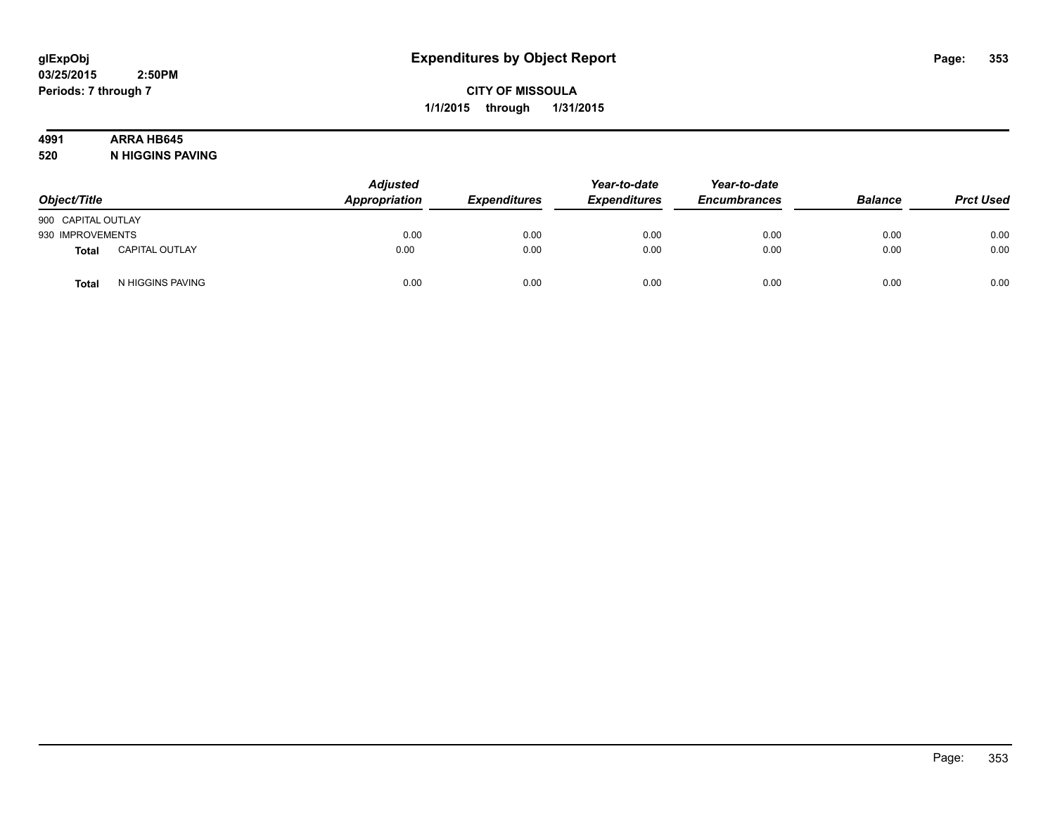# **4991 ARRA HB645**

**520 N HIGGINS PAVING**

| Object/Title       |                       | <b>Adjusted</b><br>Appropriation | <b>Expenditures</b> | Year-to-date<br><b>Expenditures</b> | Year-to-date<br><b>Encumbrances</b> | <b>Balance</b> | <b>Prct Used</b> |
|--------------------|-----------------------|----------------------------------|---------------------|-------------------------------------|-------------------------------------|----------------|------------------|
| 900 CAPITAL OUTLAY |                       |                                  |                     |                                     |                                     |                |                  |
| 930 IMPROVEMENTS   |                       | 0.00                             | 0.00                | 0.00                                | 0.00                                | 0.00           | 0.00             |
| <b>Total</b>       | <b>CAPITAL OUTLAY</b> | 0.00                             | 0.00                | 0.00                                | 0.00                                | 0.00           | 0.00             |
| Total              | N HIGGINS PAVING      | 0.00                             | 0.00                | 0.00                                | 0.00                                | 0.00           | 0.00             |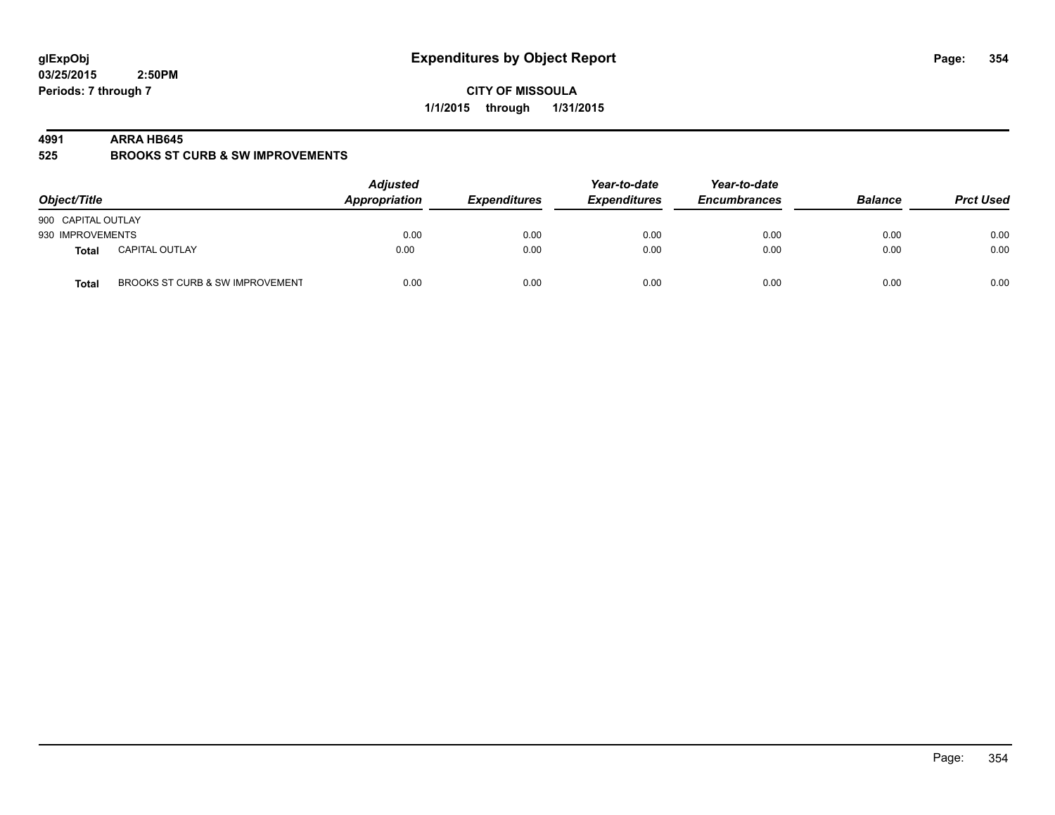**CITY OF MISSOULA 1/1/2015 through 1/31/2015**

#### **4991 ARRA HB645**

**525 BROOKS ST CURB & SW IMPROVEMENTS**

| Object/Title       |                                 | <b>Adjusted</b><br>Appropriation | <b>Expenditures</b> | Year-to-date<br><b>Expenditures</b> | Year-to-date<br><b>Encumbrances</b> | <b>Balance</b> | <b>Prct Used</b> |
|--------------------|---------------------------------|----------------------------------|---------------------|-------------------------------------|-------------------------------------|----------------|------------------|
| 900 CAPITAL OUTLAY |                                 |                                  |                     |                                     |                                     |                |                  |
| 930 IMPROVEMENTS   |                                 | 0.00                             | 0.00                | 0.00                                | 0.00                                | 0.00           | 0.00             |
| Total              | <b>CAPITAL OUTLAY</b>           | 0.00                             | 0.00                | 0.00                                | 0.00                                | 0.00           | 0.00             |
| <b>Total</b>       | BROOKS ST CURB & SW IMPROVEMENT | 0.00                             | 0.00                | 0.00                                | 0.00                                | 0.00           | 0.00             |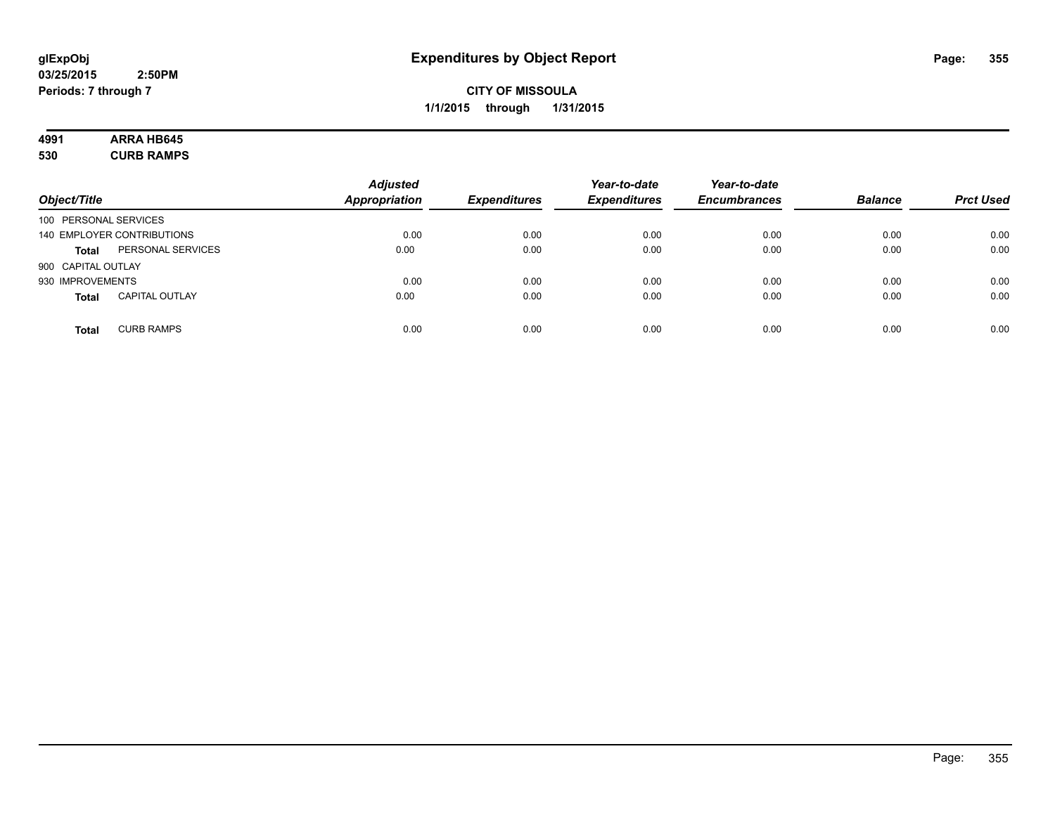# **4991 ARRA HB645**

**530 CURB RAMPS**

| Object/Title          |                            | <b>Adjusted</b><br><b>Appropriation</b> | <b>Expenditures</b> | Year-to-date<br><b>Expenditures</b> | Year-to-date<br><b>Encumbrances</b> | <b>Balance</b> | <b>Prct Used</b> |
|-----------------------|----------------------------|-----------------------------------------|---------------------|-------------------------------------|-------------------------------------|----------------|------------------|
| 100 PERSONAL SERVICES |                            |                                         |                     |                                     |                                     |                |                  |
|                       | 140 EMPLOYER CONTRIBUTIONS | 0.00                                    | 0.00                | 0.00                                | 0.00                                | 0.00           | 0.00             |
| <b>Total</b>          | PERSONAL SERVICES          | 0.00                                    | 0.00                | 0.00                                | 0.00                                | 0.00           | 0.00             |
| 900 CAPITAL OUTLAY    |                            |                                         |                     |                                     |                                     |                |                  |
| 930 IMPROVEMENTS      |                            | 0.00                                    | 0.00                | 0.00                                | 0.00                                | 0.00           | 0.00             |
| <b>Total</b>          | <b>CAPITAL OUTLAY</b>      | 0.00                                    | 0.00                | 0.00                                | 0.00                                | 0.00           | 0.00             |
| <b>Total</b>          | <b>CURB RAMPS</b>          | 0.00                                    | 0.00                | 0.00                                | 0.00                                | 0.00           | 0.00             |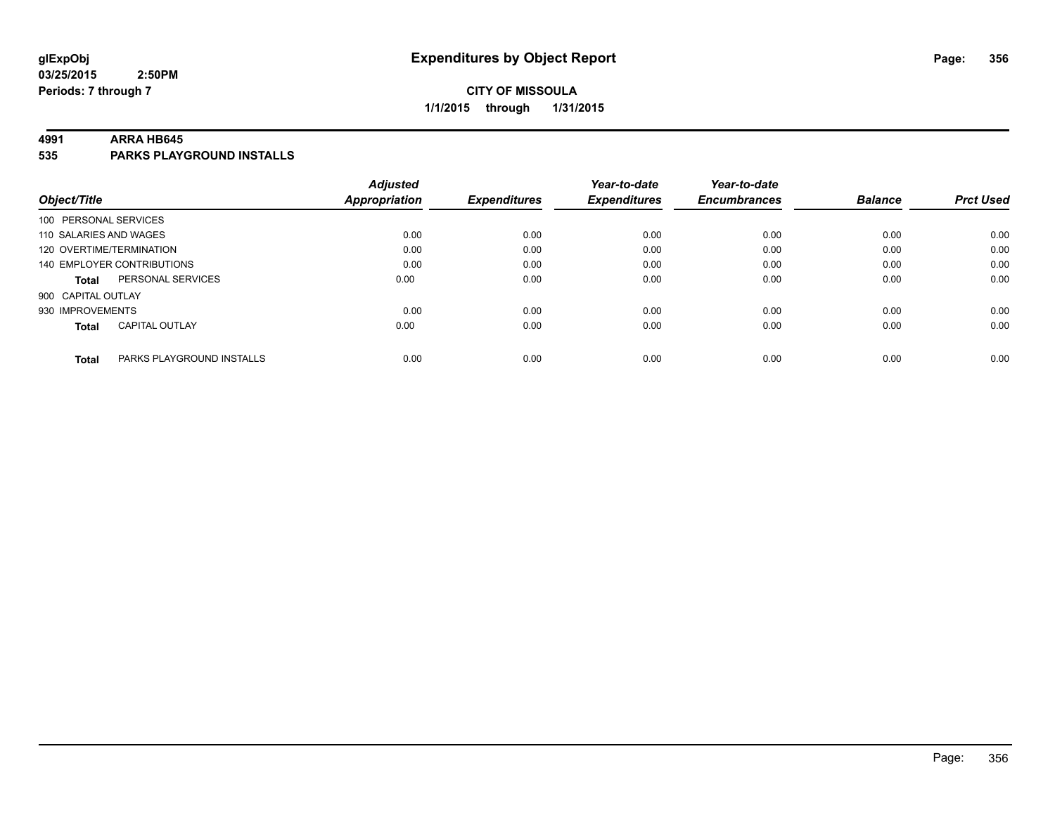## **CITY OF MISSOULA 1/1/2015 through 1/31/2015**

#### **4991 ARRA HB645**

**535 PARKS PLAYGROUND INSTALLS**

|                          |                            | <b>Adjusted</b>      |                     | Year-to-date        | Year-to-date        |                |                  |
|--------------------------|----------------------------|----------------------|---------------------|---------------------|---------------------|----------------|------------------|
| Object/Title             |                            | <b>Appropriation</b> | <b>Expenditures</b> | <b>Expenditures</b> | <b>Encumbrances</b> | <b>Balance</b> | <b>Prct Used</b> |
| 100 PERSONAL SERVICES    |                            |                      |                     |                     |                     |                |                  |
| 110 SALARIES AND WAGES   |                            | 0.00                 | 0.00                | 0.00                | 0.00                | 0.00           | 0.00             |
| 120 OVERTIME/TERMINATION |                            | 0.00                 | 0.00                | 0.00                | 0.00                | 0.00           | 0.00             |
|                          | 140 EMPLOYER CONTRIBUTIONS | 0.00                 | 0.00                | 0.00                | 0.00                | 0.00           | 0.00             |
| Total                    | PERSONAL SERVICES          | 0.00                 | 0.00                | 0.00                | 0.00                | 0.00           | 0.00             |
| 900 CAPITAL OUTLAY       |                            |                      |                     |                     |                     |                |                  |
| 930 IMPROVEMENTS         |                            | 0.00                 | 0.00                | 0.00                | 0.00                | 0.00           | 0.00             |
| <b>Total</b>             | <b>CAPITAL OUTLAY</b>      | 0.00                 | 0.00                | 0.00                | 0.00                | 0.00           | 0.00             |
| <b>Total</b>             | PARKS PLAYGROUND INSTALLS  | 0.00                 | 0.00                | 0.00                | 0.00                | 0.00           | 0.00             |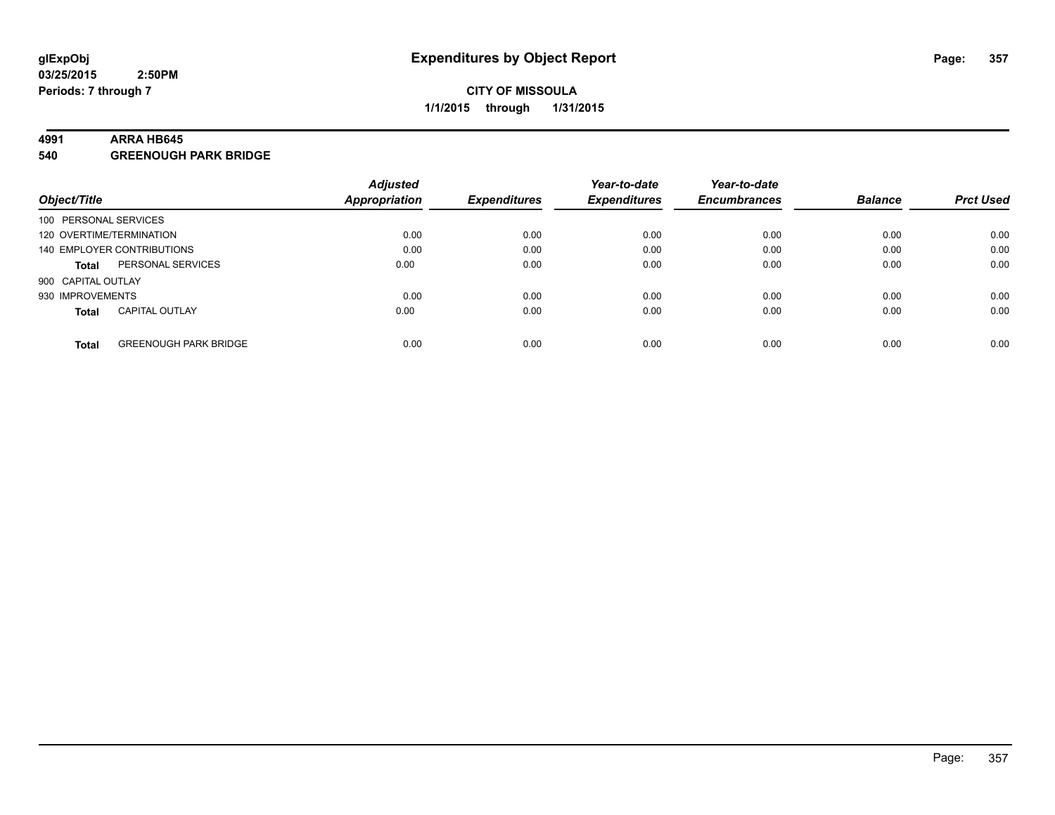#### **4991 ARRA HB645**

**540 GREENOUGH PARK BRIDGE**

|                          |                              | <b>Adjusted</b> |                     | Year-to-date        | Year-to-date        |                |                  |
|--------------------------|------------------------------|-----------------|---------------------|---------------------|---------------------|----------------|------------------|
| Object/Title             |                              | Appropriation   | <b>Expenditures</b> | <b>Expenditures</b> | <b>Encumbrances</b> | <b>Balance</b> | <b>Prct Used</b> |
| 100 PERSONAL SERVICES    |                              |                 |                     |                     |                     |                |                  |
| 120 OVERTIME/TERMINATION |                              | 0.00            | 0.00                | 0.00                | 0.00                | 0.00           | 0.00             |
|                          | 140 EMPLOYER CONTRIBUTIONS   | 0.00            | 0.00                | 0.00                | 0.00                | 0.00           | 0.00             |
| <b>Total</b>             | PERSONAL SERVICES            | 0.00            | 0.00                | 0.00                | 0.00                | 0.00           | 0.00             |
| 900 CAPITAL OUTLAY       |                              |                 |                     |                     |                     |                |                  |
| 930 IMPROVEMENTS         |                              | 0.00            | 0.00                | 0.00                | 0.00                | 0.00           | 0.00             |
| <b>Total</b>             | <b>CAPITAL OUTLAY</b>        | 0.00            | 0.00                | 0.00                | 0.00                | 0.00           | 0.00             |
| <b>Total</b>             | <b>GREENOUGH PARK BRIDGE</b> | 0.00            | 0.00                | 0.00                | 0.00                | 0.00           | 0.00             |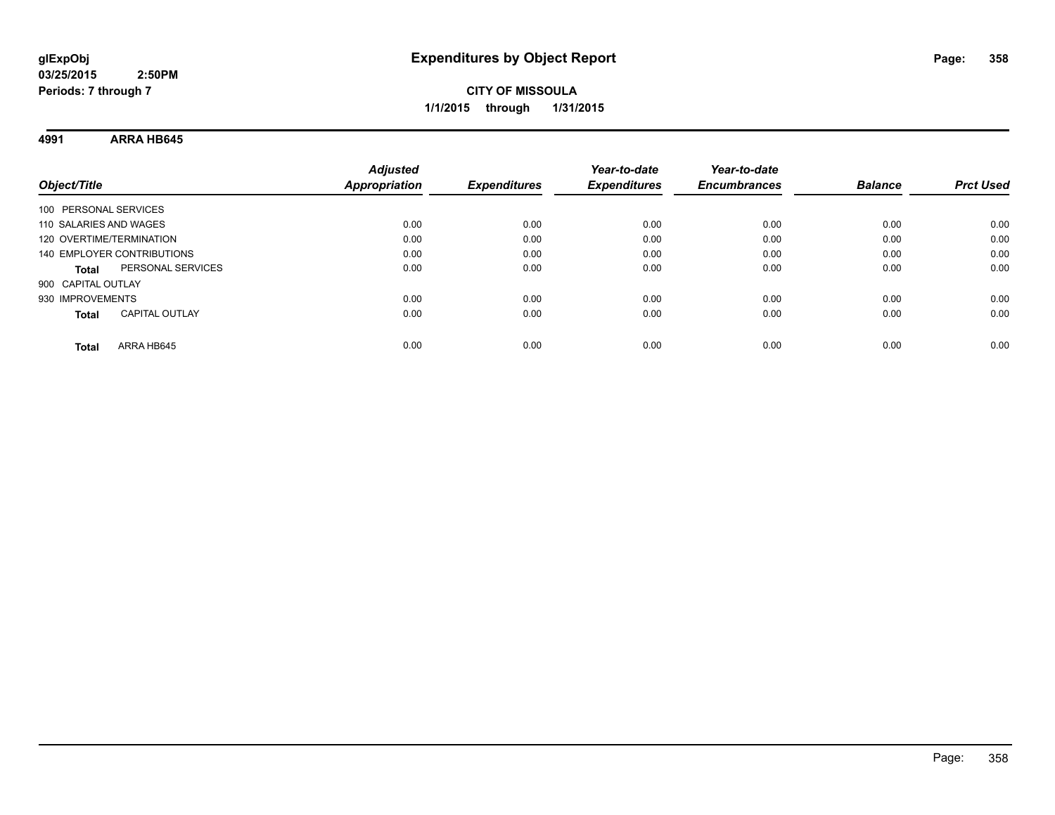**4991 ARRA HB645**

| Object/Title               |                       | <b>Adjusted</b><br><b>Appropriation</b> | <b>Expenditures</b> | Year-to-date<br><b>Expenditures</b> | Year-to-date<br><b>Encumbrances</b> | <b>Balance</b> | <b>Prct Used</b> |
|----------------------------|-----------------------|-----------------------------------------|---------------------|-------------------------------------|-------------------------------------|----------------|------------------|
| 100 PERSONAL SERVICES      |                       |                                         |                     |                                     |                                     |                |                  |
| 110 SALARIES AND WAGES     |                       | 0.00                                    | 0.00                | 0.00                                | 0.00                                | 0.00           | 0.00             |
| 120 OVERTIME/TERMINATION   |                       | 0.00                                    | 0.00                | 0.00                                | 0.00                                | 0.00           | 0.00             |
| 140 EMPLOYER CONTRIBUTIONS |                       | 0.00                                    | 0.00                | 0.00                                | 0.00                                | 0.00           | 0.00             |
| <b>Total</b>               | PERSONAL SERVICES     | 0.00                                    | 0.00                | 0.00                                | 0.00                                | 0.00           | 0.00             |
| 900 CAPITAL OUTLAY         |                       |                                         |                     |                                     |                                     |                |                  |
| 930 IMPROVEMENTS           |                       | 0.00                                    | 0.00                | 0.00                                | 0.00                                | 0.00           | 0.00             |
| <b>Total</b>               | <b>CAPITAL OUTLAY</b> | 0.00                                    | 0.00                | 0.00                                | 0.00                                | 0.00           | 0.00             |
| Total                      | ARRA HB645            | 0.00                                    | 0.00                | 0.00                                | 0.00                                | 0.00           | 0.00             |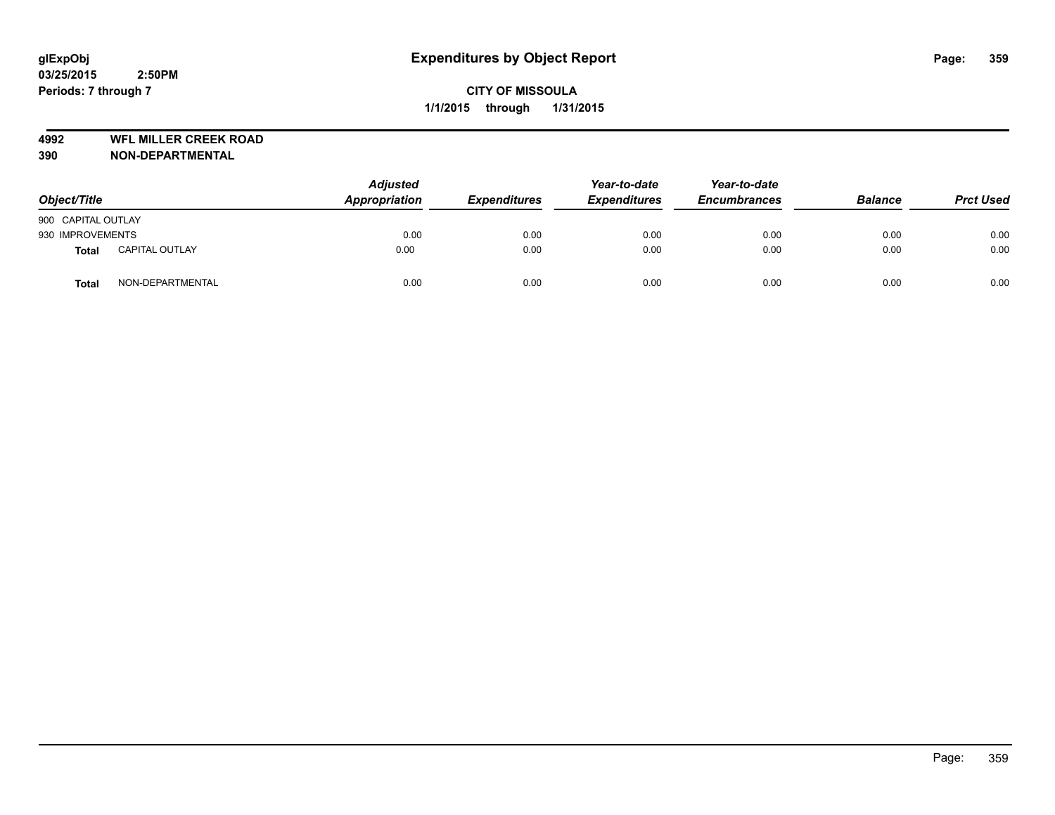**4992 WFL MILLER CREEK ROAD**

| Object/Title       |                       | <b>Adjusted</b><br>Appropriation | <b>Expenditures</b> | Year-to-date<br><b>Expenditures</b> | Year-to-date<br><b>Encumbrances</b> | <b>Balance</b> | <b>Prct Used</b> |
|--------------------|-----------------------|----------------------------------|---------------------|-------------------------------------|-------------------------------------|----------------|------------------|
| 900 CAPITAL OUTLAY |                       |                                  |                     |                                     |                                     |                |                  |
| 930 IMPROVEMENTS   |                       | 0.00                             | 0.00                | 0.00                                | 0.00                                | 0.00           | 0.00             |
| <b>Total</b>       | <b>CAPITAL OUTLAY</b> | 0.00                             | 0.00                | 0.00                                | 0.00                                | 0.00           | 0.00             |
| <b>Total</b>       | NON-DEPARTMENTAL      | 0.00                             | 0.00                | 0.00                                | 0.00                                | 0.00           | 0.00             |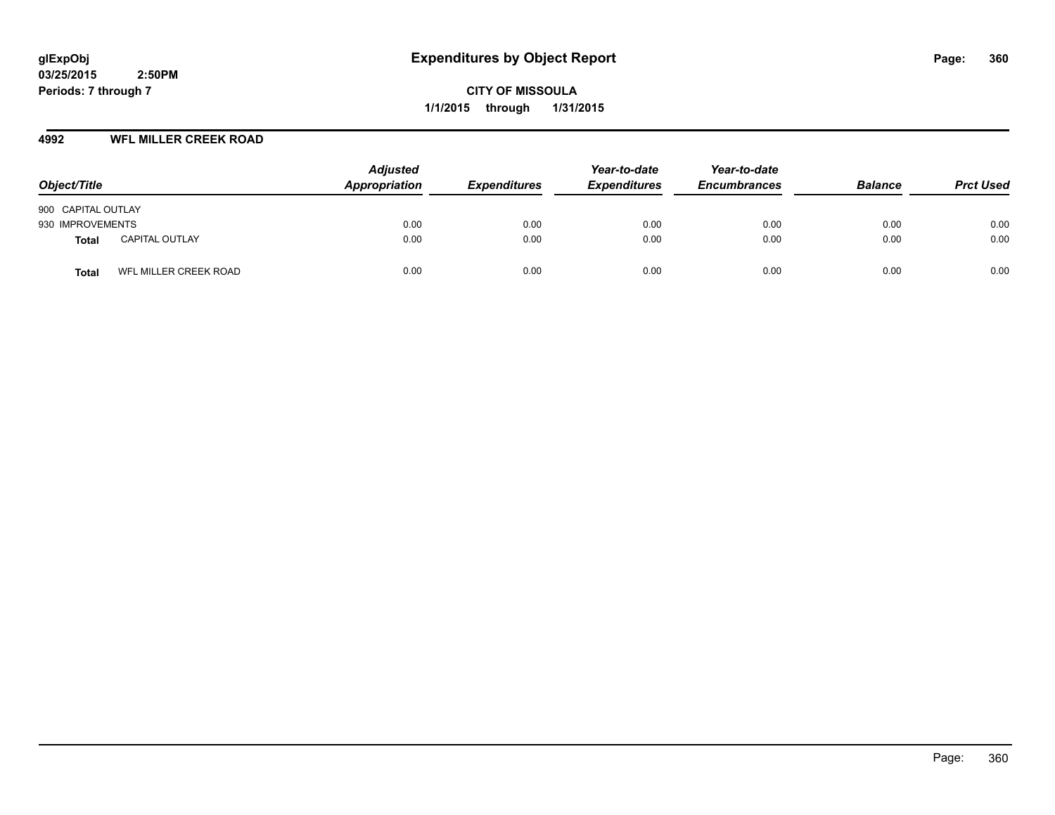**CITY OF MISSOULA 1/1/2015 through 1/31/2015**

## **4992 WFL MILLER CREEK ROAD**

| Object/Title                          | <b>Adjusted</b><br>Appropriation | <b>Expenditures</b> | Year-to-date<br><b>Expenditures</b> | Year-to-date<br><b>Encumbrances</b> | <b>Balance</b> | <b>Prct Used</b> |
|---------------------------------------|----------------------------------|---------------------|-------------------------------------|-------------------------------------|----------------|------------------|
| 900 CAPITAL OUTLAY                    |                                  |                     |                                     |                                     |                |                  |
| 930 IMPROVEMENTS                      | 0.00                             | 0.00                | 0.00                                | 0.00                                | 0.00           | 0.00             |
| <b>CAPITAL OUTLAY</b><br><b>Total</b> | 0.00                             | 0.00                | 0.00                                | 0.00                                | 0.00           | 0.00             |
| WFL MILLER CREEK ROAD<br><b>Total</b> | 0.00                             | 0.00                | 0.00                                | 0.00                                | 0.00           | 0.00             |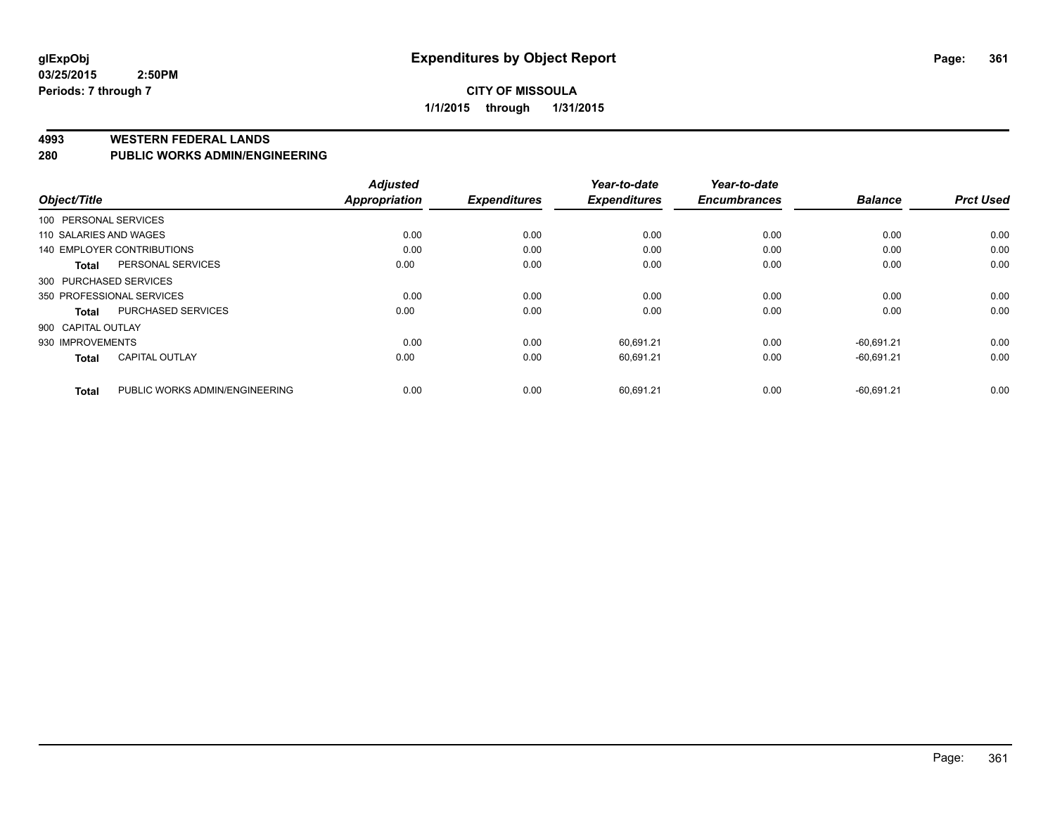#### **4993 WESTERN FEDERAL LANDS**

#### **280 PUBLIC WORKS ADMIN/ENGINEERING**

| Object/Title                              | <b>Adjusted</b><br><b>Appropriation</b> | <b>Expenditures</b> | Year-to-date<br><b>Expenditures</b> | Year-to-date<br><b>Encumbrances</b> | <b>Balance</b> | <b>Prct Used</b> |
|-------------------------------------------|-----------------------------------------|---------------------|-------------------------------------|-------------------------------------|----------------|------------------|
|                                           |                                         |                     |                                     |                                     |                |                  |
| 100 PERSONAL SERVICES                     |                                         |                     |                                     |                                     |                |                  |
| 110 SALARIES AND WAGES                    | 0.00                                    | 0.00                | 0.00                                | 0.00                                | 0.00           | 0.00             |
| 140 EMPLOYER CONTRIBUTIONS                | 0.00                                    | 0.00                | 0.00                                | 0.00                                | 0.00           | 0.00             |
| PERSONAL SERVICES<br><b>Total</b>         | 0.00                                    | 0.00                | 0.00                                | 0.00                                | 0.00           | 0.00             |
| 300 PURCHASED SERVICES                    |                                         |                     |                                     |                                     |                |                  |
| 350 PROFESSIONAL SERVICES                 | 0.00                                    | 0.00                | 0.00                                | 0.00                                | 0.00           | 0.00             |
| <b>PURCHASED SERVICES</b><br><b>Total</b> | 0.00                                    | 0.00                | 0.00                                | 0.00                                | 0.00           | 0.00             |
| 900 CAPITAL OUTLAY                        |                                         |                     |                                     |                                     |                |                  |
| 930 IMPROVEMENTS                          | 0.00                                    | 0.00                | 60,691.21                           | 0.00                                | $-60.691.21$   | 0.00             |
| <b>CAPITAL OUTLAY</b><br><b>Total</b>     | 0.00                                    | 0.00                | 60,691.21                           | 0.00                                | $-60,691.21$   | 0.00             |
| PUBLIC WORKS ADMIN/ENGINEERING            | 0.00                                    | 0.00                | 60,691.21                           | 0.00                                | $-60,691.21$   | 0.00             |
| <b>Total</b>                              |                                         |                     |                                     |                                     |                |                  |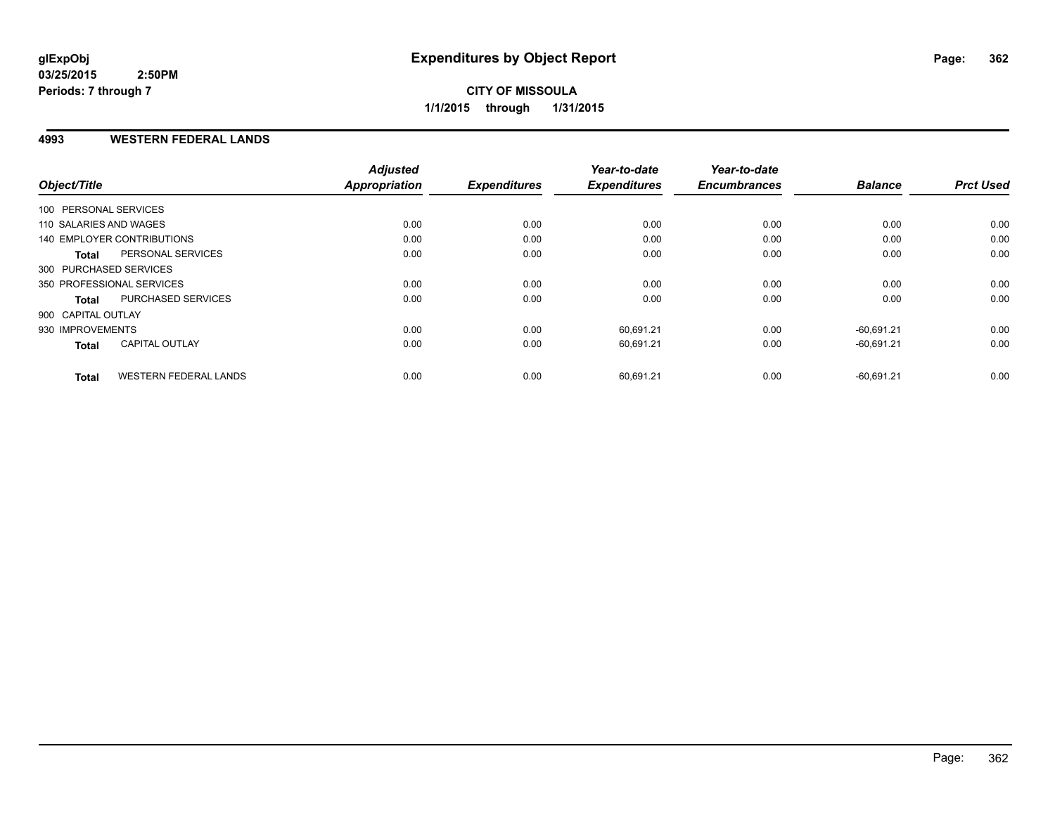# **CITY OF MISSOULA 1/1/2015 through 1/31/2015**

### **4993 WESTERN FEDERAL LANDS**

| Object/Title               |                              | <b>Adjusted</b><br><b>Appropriation</b> | <b>Expenditures</b> | Year-to-date<br><b>Expenditures</b> | Year-to-date<br><b>Encumbrances</b> | <b>Balance</b> | <b>Prct Used</b> |
|----------------------------|------------------------------|-----------------------------------------|---------------------|-------------------------------------|-------------------------------------|----------------|------------------|
| 100 PERSONAL SERVICES      |                              |                                         |                     |                                     |                                     |                |                  |
| 110 SALARIES AND WAGES     |                              | 0.00                                    | 0.00                | 0.00                                | 0.00                                | 0.00           | 0.00             |
|                            |                              |                                         |                     |                                     |                                     |                |                  |
| 140 EMPLOYER CONTRIBUTIONS |                              | 0.00                                    | 0.00                | 0.00                                | 0.00                                | 0.00           | 0.00             |
| <b>Total</b>               | PERSONAL SERVICES            | 0.00                                    | 0.00                | 0.00                                | 0.00                                | 0.00           | 0.00             |
| 300 PURCHASED SERVICES     |                              |                                         |                     |                                     |                                     |                |                  |
| 350 PROFESSIONAL SERVICES  |                              | 0.00                                    | 0.00                | 0.00                                | 0.00                                | 0.00           | 0.00             |
| <b>Total</b>               | PURCHASED SERVICES           | 0.00                                    | 0.00                | 0.00                                | 0.00                                | 0.00           | 0.00             |
| 900 CAPITAL OUTLAY         |                              |                                         |                     |                                     |                                     |                |                  |
| 930 IMPROVEMENTS           |                              | 0.00                                    | 0.00                | 60,691.21                           | 0.00                                | $-60.691.21$   | 0.00             |
| <b>Total</b>               | <b>CAPITAL OUTLAY</b>        | 0.00                                    | 0.00                | 60,691.21                           | 0.00                                | $-60,691.21$   | 0.00             |
| <b>Total</b>               | <b>WESTERN FEDERAL LANDS</b> | 0.00                                    | 0.00                | 60,691.21                           | 0.00                                | $-60,691.21$   | 0.00             |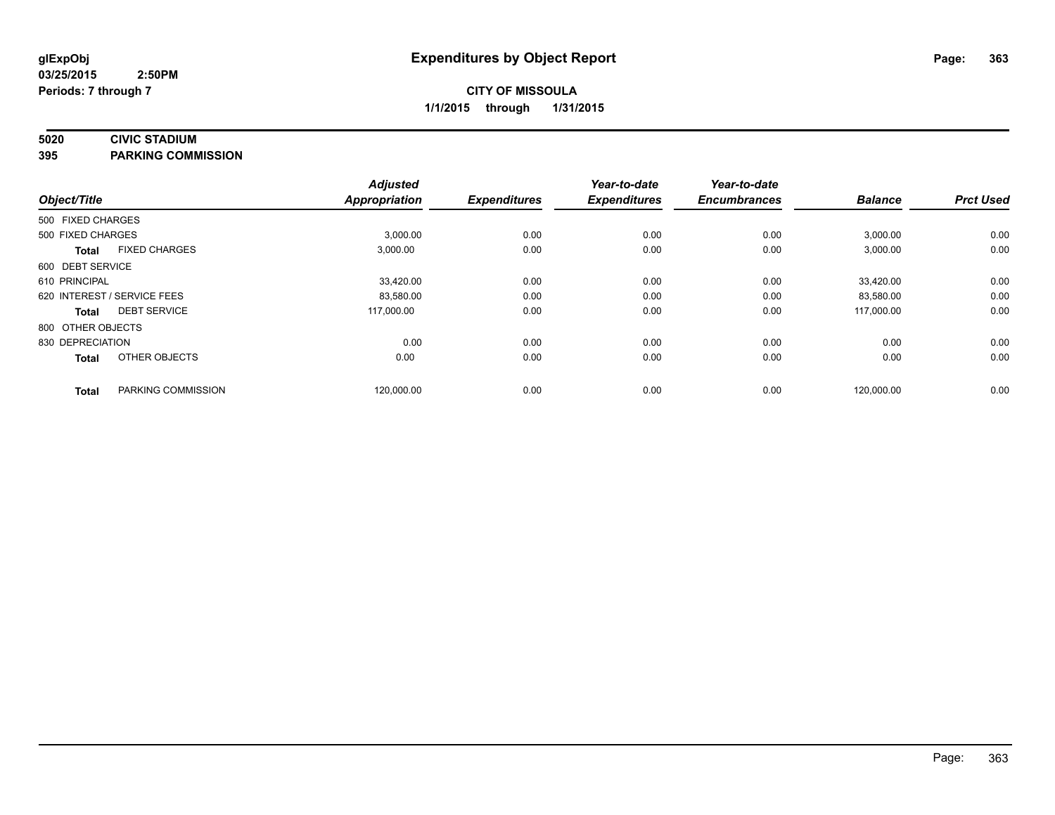## **5020 CIVIC STADIUM**

**395 PARKING COMMISSION**

| Object/Title      |                             | <b>Adjusted</b><br><b>Appropriation</b> | <b>Expenditures</b> | Year-to-date<br><b>Expenditures</b> | Year-to-date<br><b>Encumbrances</b> | <b>Balance</b> | <b>Prct Used</b> |
|-------------------|-----------------------------|-----------------------------------------|---------------------|-------------------------------------|-------------------------------------|----------------|------------------|
| 500 FIXED CHARGES |                             |                                         |                     |                                     |                                     |                |                  |
| 500 FIXED CHARGES |                             | 3,000.00                                | 0.00                | 0.00                                | 0.00                                | 3,000.00       | 0.00             |
| <b>Total</b>      | <b>FIXED CHARGES</b>        | 3,000.00                                | 0.00                | 0.00                                | 0.00                                | 3,000.00       | 0.00             |
| 600 DEBT SERVICE  |                             |                                         |                     |                                     |                                     |                |                  |
| 610 PRINCIPAL     |                             | 33,420.00                               | 0.00                | 0.00                                | 0.00                                | 33,420.00      | 0.00             |
|                   | 620 INTEREST / SERVICE FEES | 83,580.00                               | 0.00                | 0.00                                | 0.00                                | 83,580.00      | 0.00             |
| <b>Total</b>      | <b>DEBT SERVICE</b>         | 117.000.00                              | 0.00                | 0.00                                | 0.00                                | 117.000.00     | 0.00             |
| 800 OTHER OBJECTS |                             |                                         |                     |                                     |                                     |                |                  |
| 830 DEPRECIATION  |                             | 0.00                                    | 0.00                | 0.00                                | 0.00                                | 0.00           | 0.00             |
| <b>Total</b>      | OTHER OBJECTS               | 0.00                                    | 0.00                | 0.00                                | 0.00                                | 0.00           | 0.00             |
| <b>Total</b>      | PARKING COMMISSION          | 120,000.00                              | 0.00                | 0.00                                | 0.00                                | 120,000.00     | 0.00             |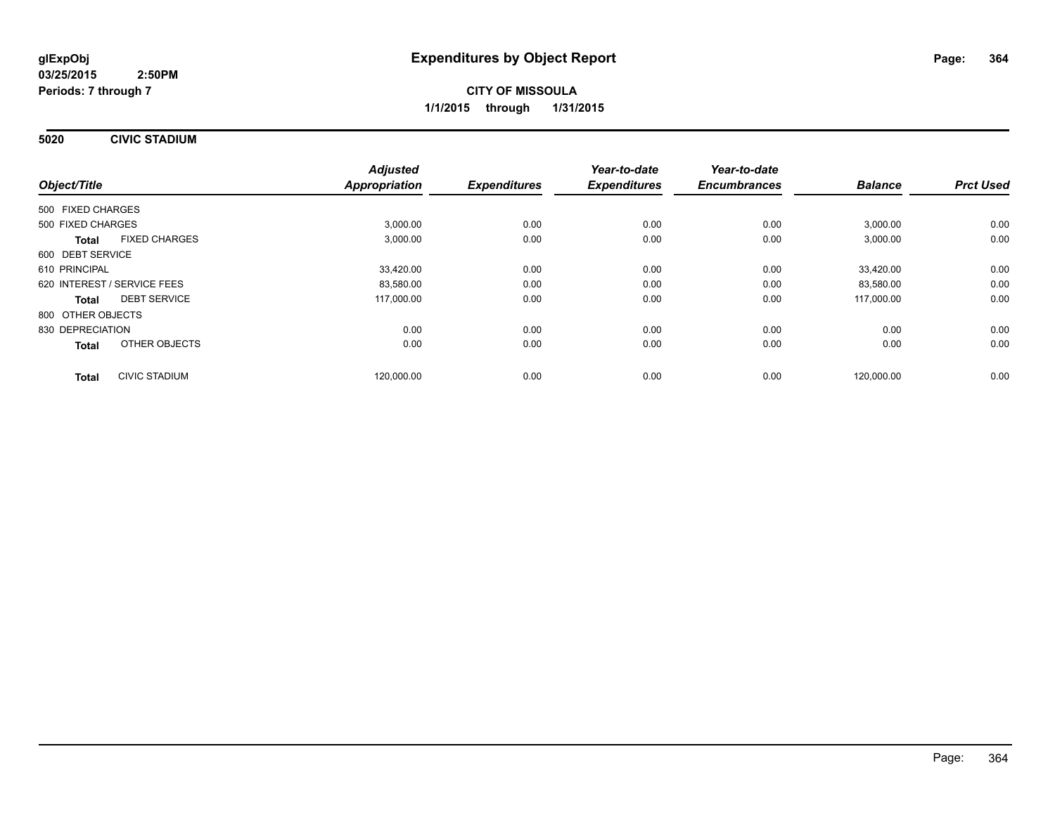**5020 CIVIC STADIUM**

|                             |                      | <b>Adjusted</b>      |                     | Year-to-date        | Year-to-date        |                |                  |
|-----------------------------|----------------------|----------------------|---------------------|---------------------|---------------------|----------------|------------------|
| Object/Title                |                      | <b>Appropriation</b> | <b>Expenditures</b> | <b>Expenditures</b> | <b>Encumbrances</b> | <b>Balance</b> | <b>Prct Used</b> |
| 500 FIXED CHARGES           |                      |                      |                     |                     |                     |                |                  |
| 500 FIXED CHARGES           |                      | 3,000.00             | 0.00                | 0.00                | 0.00                | 3,000.00       | 0.00             |
| <b>Total</b>                | <b>FIXED CHARGES</b> | 3,000.00             | 0.00                | 0.00                | 0.00                | 3,000.00       | 0.00             |
| 600 DEBT SERVICE            |                      |                      |                     |                     |                     |                |                  |
| 610 PRINCIPAL               |                      | 33,420.00            | 0.00                | 0.00                | 0.00                | 33,420.00      | 0.00             |
| 620 INTEREST / SERVICE FEES |                      | 83,580.00            | 0.00                | 0.00                | 0.00                | 83,580.00      | 0.00             |
| <b>Total</b>                | <b>DEBT SERVICE</b>  | 117,000.00           | 0.00                | 0.00                | 0.00                | 117,000.00     | 0.00             |
| 800 OTHER OBJECTS           |                      |                      |                     |                     |                     |                |                  |
| 830 DEPRECIATION            |                      | 0.00                 | 0.00                | 0.00                | 0.00                | 0.00           | 0.00             |
| Total                       | OTHER OBJECTS        | 0.00                 | 0.00                | 0.00                | 0.00                | 0.00           | 0.00             |
| <b>Total</b>                | <b>CIVIC STADIUM</b> | 120.000.00           | 0.00                | 0.00                | 0.00                | 120.000.00     | 0.00             |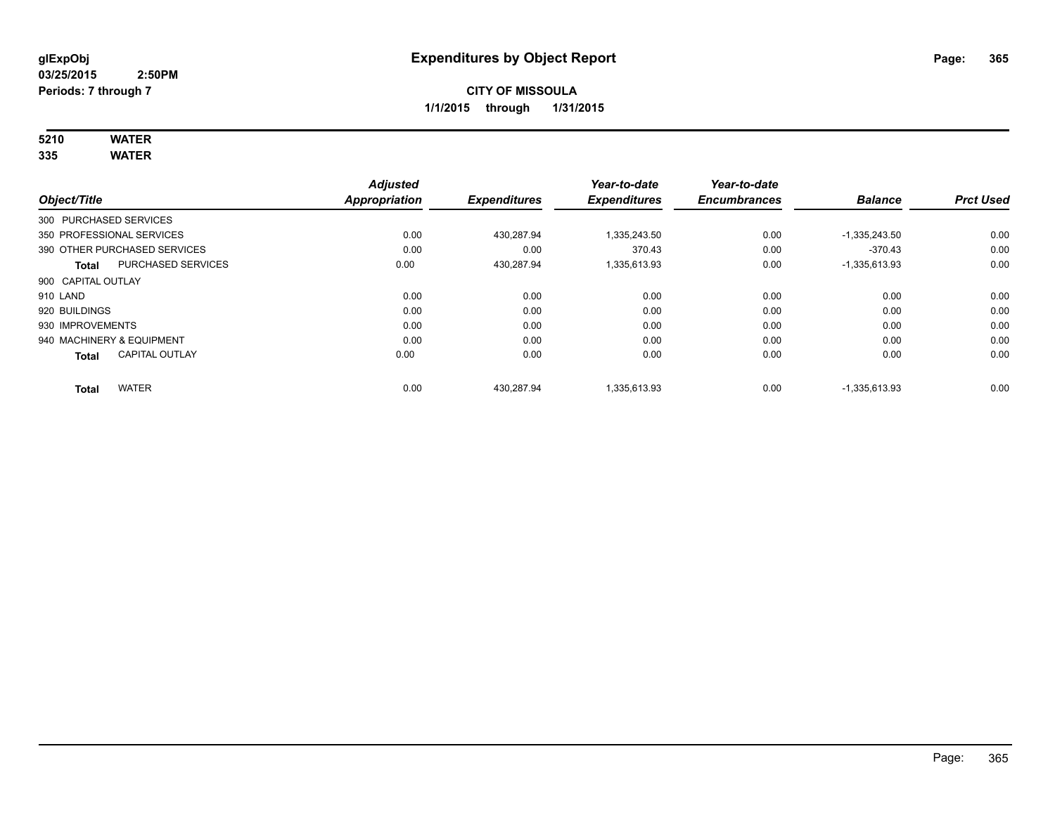# **5210 WATER**

**335 WATER**

|                           |                              | <b>Adjusted</b> |                     | Year-to-date        | Year-to-date        |                 |                  |
|---------------------------|------------------------------|-----------------|---------------------|---------------------|---------------------|-----------------|------------------|
| Object/Title              |                              | Appropriation   | <b>Expenditures</b> | <b>Expenditures</b> | <b>Encumbrances</b> | <b>Balance</b>  | <b>Prct Used</b> |
| 300 PURCHASED SERVICES    |                              |                 |                     |                     |                     |                 |                  |
| 350 PROFESSIONAL SERVICES |                              | 0.00            | 430.287.94          | 1,335,243.50        | 0.00                | $-1,335,243.50$ | 0.00             |
|                           | 390 OTHER PURCHASED SERVICES | 0.00            | 0.00                | 370.43              | 0.00                | $-370.43$       | 0.00             |
| <b>Total</b>              | <b>PURCHASED SERVICES</b>    | 0.00            | 430,287.94          | 1,335,613.93        | 0.00                | $-1,335,613.93$ | 0.00             |
| 900 CAPITAL OUTLAY        |                              |                 |                     |                     |                     |                 |                  |
| 910 LAND                  |                              | 0.00            | 0.00                | 0.00                | 0.00                | 0.00            | 0.00             |
| 920 BUILDINGS             |                              | 0.00            | 0.00                | 0.00                | 0.00                | 0.00            | 0.00             |
| 930 IMPROVEMENTS          |                              | 0.00            | 0.00                | 0.00                | 0.00                | 0.00            | 0.00             |
| 940 MACHINERY & EQUIPMENT |                              | 0.00            | 0.00                | 0.00                | 0.00                | 0.00            | 0.00             |
| <b>Total</b>              | <b>CAPITAL OUTLAY</b>        | 0.00            | 0.00                | 0.00                | 0.00                | 0.00            | 0.00             |
| <b>Total</b>              | <b>WATER</b>                 | 0.00            | 430.287.94          | 1.335.613.93        | 0.00                | $-1.335.613.93$ | 0.00             |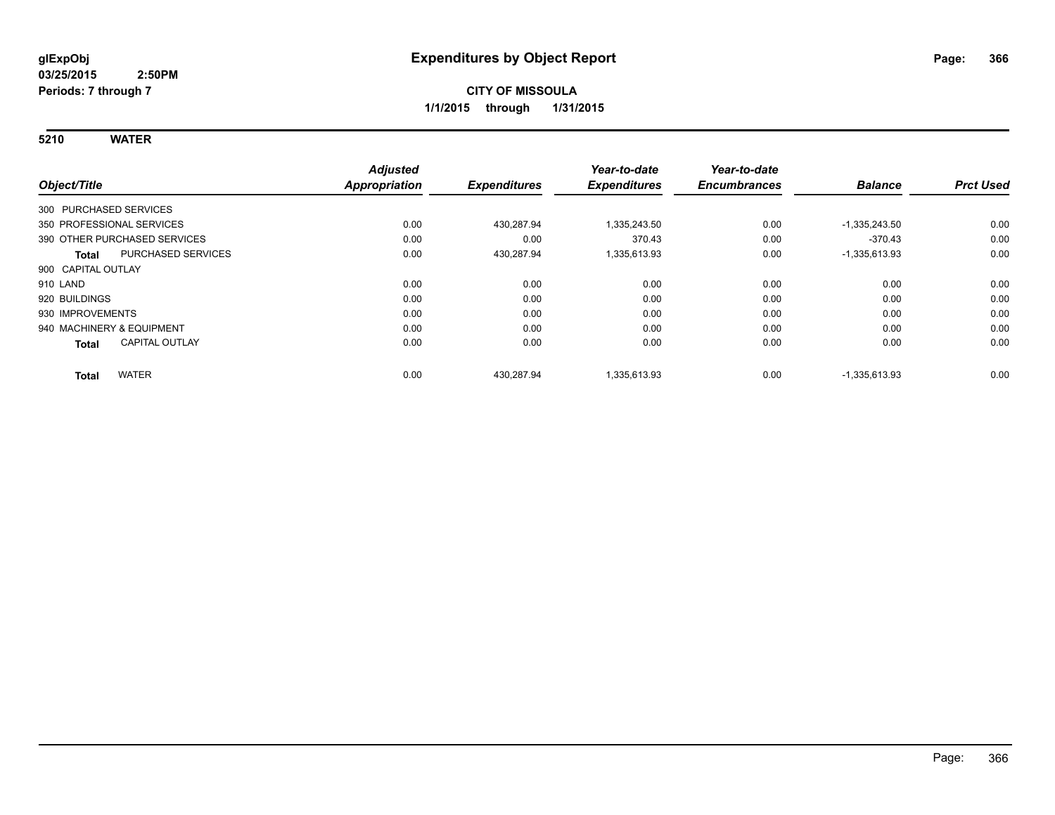**5210 WATER**

|                                           | <b>Adjusted</b>      |                     | Year-to-date        | Year-to-date        |                 |                  |
|-------------------------------------------|----------------------|---------------------|---------------------|---------------------|-----------------|------------------|
| Object/Title                              | <b>Appropriation</b> | <b>Expenditures</b> | <b>Expenditures</b> | <b>Encumbrances</b> | <b>Balance</b>  | <b>Prct Used</b> |
| 300 PURCHASED SERVICES                    |                      |                     |                     |                     |                 |                  |
| 350 PROFESSIONAL SERVICES                 | 0.00                 | 430.287.94          | 1,335,243.50        | 0.00                | $-1,335,243.50$ | 0.00             |
| 390 OTHER PURCHASED SERVICES              | 0.00                 | 0.00                | 370.43              | 0.00                | $-370.43$       | 0.00             |
| <b>PURCHASED SERVICES</b><br><b>Total</b> | 0.00                 | 430,287.94          | 1,335,613.93        | 0.00                | $-1,335,613.93$ | 0.00             |
| 900 CAPITAL OUTLAY                        |                      |                     |                     |                     |                 |                  |
| 910 LAND                                  | 0.00                 | 0.00                | 0.00                | 0.00                | 0.00            | 0.00             |
| 920 BUILDINGS                             | 0.00                 | 0.00                | 0.00                | 0.00                | 0.00            | 0.00             |
| 930 IMPROVEMENTS                          | 0.00                 | 0.00                | 0.00                | 0.00                | 0.00            | 0.00             |
| 940 MACHINERY & EQUIPMENT                 | 0.00                 | 0.00                | 0.00                | 0.00                | 0.00            | 0.00             |
| <b>CAPITAL OUTLAY</b><br><b>Total</b>     | 0.00                 | 0.00                | 0.00                | 0.00                | 0.00            | 0.00             |
| <b>WATER</b><br><b>Total</b>              | 0.00                 | 430.287.94          | 1.335.613.93        | 0.00                | $-1,335,613.93$ | 0.00             |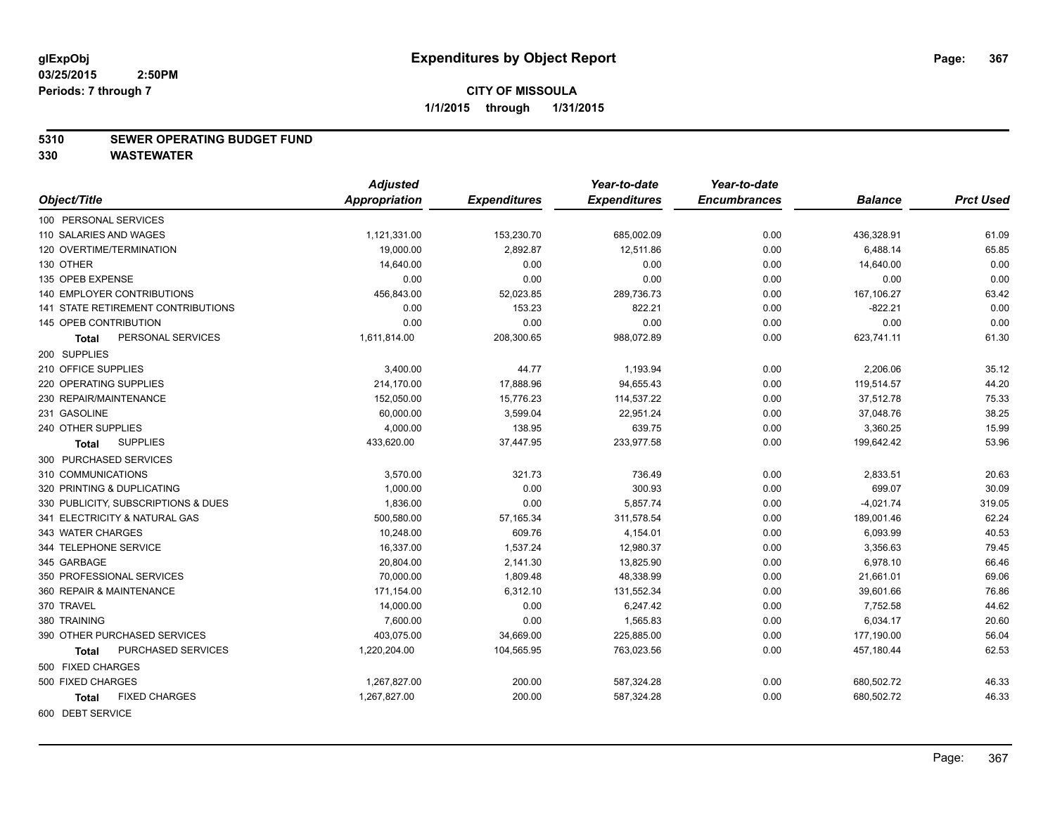#### **5310 SEWER OPERATING BUDGET FUND**

|                                           | <b>Adjusted</b> |                     | Year-to-date        | Year-to-date        |                |                  |
|-------------------------------------------|-----------------|---------------------|---------------------|---------------------|----------------|------------------|
| Object/Title                              | Appropriation   | <b>Expenditures</b> | <b>Expenditures</b> | <b>Encumbrances</b> | <b>Balance</b> | <b>Prct Used</b> |
| 100 PERSONAL SERVICES                     |                 |                     |                     |                     |                |                  |
| 110 SALARIES AND WAGES                    | 1,121,331.00    | 153,230.70          | 685,002.09          | 0.00                | 436,328.91     | 61.09            |
| 120 OVERTIME/TERMINATION                  | 19,000.00       | 2,892.87            | 12,511.86           | 0.00                | 6,488.14       | 65.85            |
| 130 OTHER                                 | 14,640.00       | 0.00                | 0.00                | 0.00                | 14,640.00      | 0.00             |
| 135 OPEB EXPENSE                          | 0.00            | 0.00                | 0.00                | 0.00                | 0.00           | 0.00             |
| 140 EMPLOYER CONTRIBUTIONS                | 456,843.00      | 52,023.85           | 289,736.73          | 0.00                | 167,106.27     | 63.42            |
| <b>141 STATE RETIREMENT CONTRIBUTIONS</b> | 0.00            | 153.23              | 822.21              | 0.00                | $-822.21$      | 0.00             |
| 145 OPEB CONTRIBUTION                     | 0.00            | 0.00                | 0.00                | 0.00                | 0.00           | 0.00             |
| PERSONAL SERVICES<br>Total                | 1,611,814.00    | 208,300.65          | 988,072.89          | 0.00                | 623,741.11     | 61.30            |
| 200 SUPPLIES                              |                 |                     |                     |                     |                |                  |
| 210 OFFICE SUPPLIES                       | 3,400.00        | 44.77               | 1,193.94            | 0.00                | 2,206.06       | 35.12            |
| 220 OPERATING SUPPLIES                    | 214,170.00      | 17,888.96           | 94,655.43           | 0.00                | 119,514.57     | 44.20            |
| 230 REPAIR/MAINTENANCE                    | 152,050.00      | 15,776.23           | 114,537.22          | 0.00                | 37,512.78      | 75.33            |
| 231 GASOLINE                              | 60,000.00       | 3,599.04            | 22,951.24           | 0.00                | 37,048.76      | 38.25            |
| 240 OTHER SUPPLIES                        | 4,000.00        | 138.95              | 639.75              | 0.00                | 3,360.25       | 15.99            |
| <b>SUPPLIES</b><br>Total                  | 433,620.00      | 37,447.95           | 233,977.58          | 0.00                | 199,642.42     | 53.96            |
| 300 PURCHASED SERVICES                    |                 |                     |                     |                     |                |                  |
| 310 COMMUNICATIONS                        | 3,570.00        | 321.73              | 736.49              | 0.00                | 2,833.51       | 20.63            |
| 320 PRINTING & DUPLICATING                | 1,000.00        | 0.00                | 300.93              | 0.00                | 699.07         | 30.09            |
| 330 PUBLICITY, SUBSCRIPTIONS & DUES       | 1,836.00        | 0.00                | 5,857.74            | 0.00                | $-4,021.74$    | 319.05           |
| 341 ELECTRICITY & NATURAL GAS             | 500,580.00      | 57,165.34           | 311,578.54          | 0.00                | 189,001.46     | 62.24            |
| 343 WATER CHARGES                         | 10,248.00       | 609.76              | 4,154.01            | 0.00                | 6,093.99       | 40.53            |
| 344 TELEPHONE SERVICE                     | 16,337.00       | 1,537.24            | 12,980.37           | 0.00                | 3,356.63       | 79.45            |
| 345 GARBAGE                               | 20,804.00       | 2,141.30            | 13,825.90           | 0.00                | 6,978.10       | 66.46            |
| 350 PROFESSIONAL SERVICES                 | 70,000.00       | 1,809.48            | 48,338.99           | 0.00                | 21,661.01      | 69.06            |
| 360 REPAIR & MAINTENANCE                  | 171,154.00      | 6,312.10            | 131,552.34          | 0.00                | 39,601.66      | 76.86            |
| 370 TRAVEL                                | 14,000.00       | 0.00                | 6,247.42            | 0.00                | 7,752.58       | 44.62            |
| 380 TRAINING                              | 7,600.00        | 0.00                | 1,565.83            | 0.00                | 6,034.17       | 20.60            |
| 390 OTHER PURCHASED SERVICES              | 403,075.00      | 34,669.00           | 225,885.00          | 0.00                | 177,190.00     | 56.04            |
| PURCHASED SERVICES<br><b>Total</b>        | 1,220,204.00    | 104,565.95          | 763,023.56          | 0.00                | 457,180.44     | 62.53            |
| 500 FIXED CHARGES                         |                 |                     |                     |                     |                |                  |
| 500 FIXED CHARGES                         | 1,267,827.00    | 200.00              | 587,324.28          | 0.00                | 680,502.72     | 46.33            |
| <b>FIXED CHARGES</b><br><b>Total</b>      | 1,267,827.00    | 200.00              | 587,324.28          | 0.00                | 680,502.72     | 46.33            |
| 600 DEBT SERVICE                          |                 |                     |                     |                     |                |                  |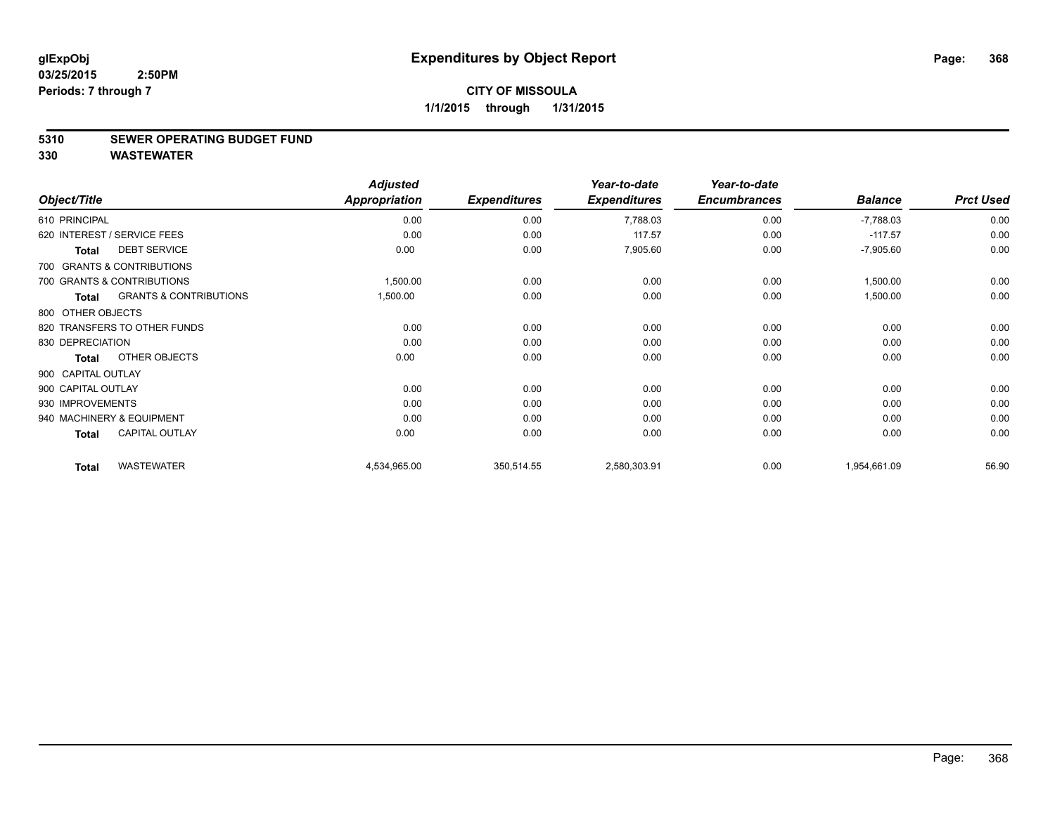#### **5310 SEWER OPERATING BUDGET FUND**

|                    |                                   | <b>Adjusted</b> |                     | Year-to-date        | Year-to-date        |                |                  |
|--------------------|-----------------------------------|-----------------|---------------------|---------------------|---------------------|----------------|------------------|
| Object/Title       |                                   | Appropriation   | <b>Expenditures</b> | <b>Expenditures</b> | <b>Encumbrances</b> | <b>Balance</b> | <b>Prct Used</b> |
| 610 PRINCIPAL      |                                   | 0.00            | 0.00                | 7,788.03            | 0.00                | $-7,788.03$    | 0.00             |
|                    | 620 INTEREST / SERVICE FEES       | 0.00            | 0.00                | 117.57              | 0.00                | $-117.57$      | 0.00             |
| <b>Total</b>       | <b>DEBT SERVICE</b>               | 0.00            | 0.00                | 7,905.60            | 0.00                | $-7,905.60$    | 0.00             |
|                    | 700 GRANTS & CONTRIBUTIONS        |                 |                     |                     |                     |                |                  |
|                    | 700 GRANTS & CONTRIBUTIONS        | 1,500.00        | 0.00                | 0.00                | 0.00                | 1,500.00       | 0.00             |
| Total              | <b>GRANTS &amp; CONTRIBUTIONS</b> | 1,500.00        | 0.00                | 0.00                | 0.00                | 1,500.00       | 0.00             |
| 800 OTHER OBJECTS  |                                   |                 |                     |                     |                     |                |                  |
|                    | 820 TRANSFERS TO OTHER FUNDS      | 0.00            | 0.00                | 0.00                | 0.00                | 0.00           | 0.00             |
| 830 DEPRECIATION   |                                   | 0.00            | 0.00                | 0.00                | 0.00                | 0.00           | 0.00             |
| <b>Total</b>       | OTHER OBJECTS                     | 0.00            | 0.00                | 0.00                | 0.00                | 0.00           | 0.00             |
| 900 CAPITAL OUTLAY |                                   |                 |                     |                     |                     |                |                  |
| 900 CAPITAL OUTLAY |                                   | 0.00            | 0.00                | 0.00                | 0.00                | 0.00           | 0.00             |
| 930 IMPROVEMENTS   |                                   | 0.00            | 0.00                | 0.00                | 0.00                | 0.00           | 0.00             |
|                    | 940 MACHINERY & EQUIPMENT         | 0.00            | 0.00                | 0.00                | 0.00                | 0.00           | 0.00             |
| <b>Total</b>       | <b>CAPITAL OUTLAY</b>             | 0.00            | 0.00                | 0.00                | 0.00                | 0.00           | 0.00             |
| <b>Total</b>       | <b>WASTEWATER</b>                 | 4,534,965.00    | 350,514.55          | 2,580,303.91        | 0.00                | 1,954,661.09   | 56.90            |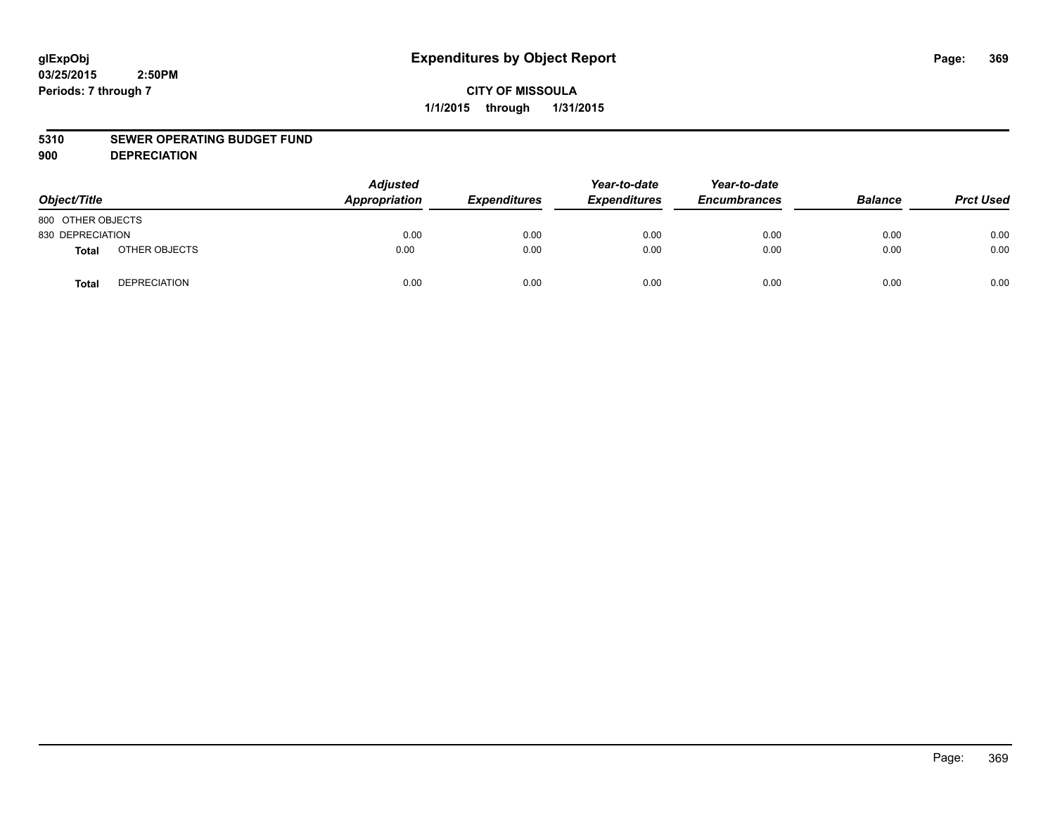#### **5310 SEWER OPERATING BUDGET FUND**

**900 DEPRECIATION**

| Object/Title      |                     | <b>Adjusted</b><br>Appropriation | <b>Expenditures</b> | Year-to-date<br><b>Expenditures</b> | Year-to-date<br><b>Encumbrances</b> | <b>Balance</b> | <b>Prct Used</b> |
|-------------------|---------------------|----------------------------------|---------------------|-------------------------------------|-------------------------------------|----------------|------------------|
| 800 OTHER OBJECTS |                     |                                  |                     |                                     |                                     |                |                  |
| 830 DEPRECIATION  |                     | 0.00                             | 0.00                | 0.00                                | 0.00                                | 0.00           | 0.00             |
| <b>Total</b>      | OTHER OBJECTS       | 0.00                             | 0.00                | 0.00                                | 0.00                                | 0.00           | 0.00             |
| <b>Total</b>      | <b>DEPRECIATION</b> | 0.00                             | 0.00                | 0.00                                | 0.00                                | 0.00           | 0.00             |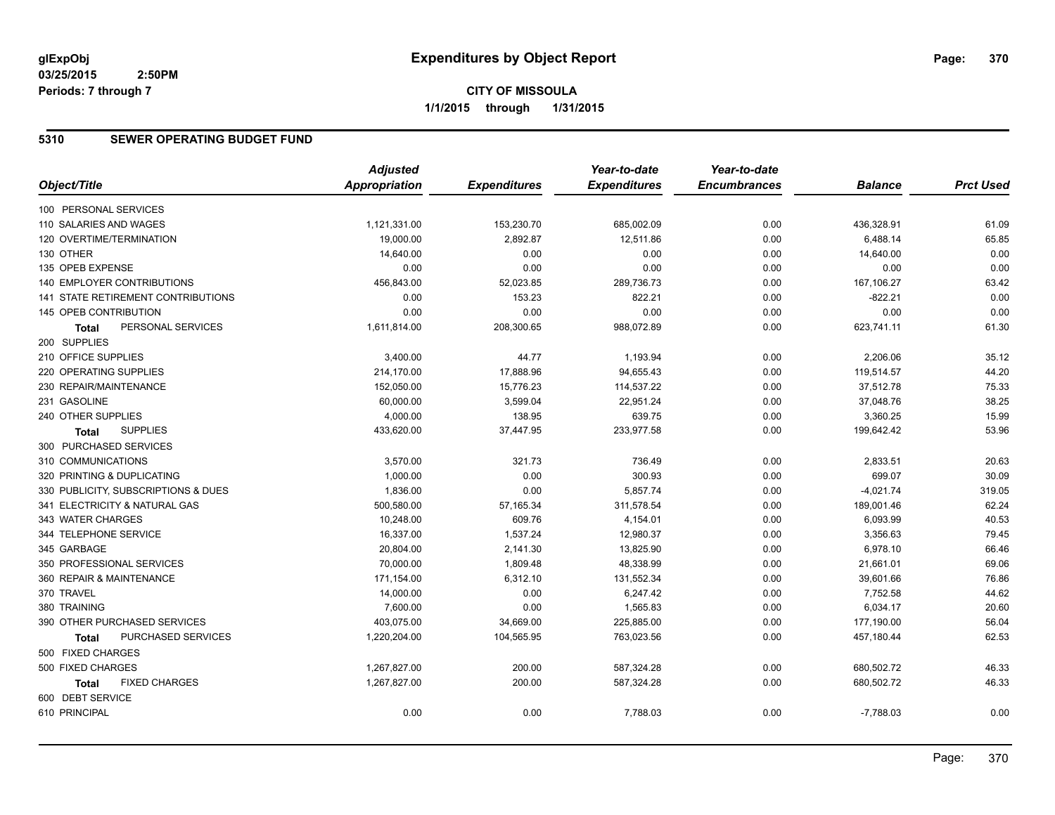# **CITY OF MISSOULA 1/1/2015 through 1/31/2015**

### **5310 SEWER OPERATING BUDGET FUND**

|                                      | <b>Adjusted</b> |                     | Year-to-date        | Year-to-date        |                |                  |
|--------------------------------------|-----------------|---------------------|---------------------|---------------------|----------------|------------------|
| Object/Title                         | Appropriation   | <b>Expenditures</b> | <b>Expenditures</b> | <b>Encumbrances</b> | <b>Balance</b> | <b>Prct Used</b> |
| 100 PERSONAL SERVICES                |                 |                     |                     |                     |                |                  |
| 110 SALARIES AND WAGES               | 1,121,331.00    | 153,230.70          | 685,002.09          | 0.00                | 436,328.91     | 61.09            |
| 120 OVERTIME/TERMINATION             | 19,000.00       | 2,892.87            | 12,511.86           | 0.00                | 6,488.14       | 65.85            |
| 130 OTHER                            | 14,640.00       | 0.00                | 0.00                | 0.00                | 14,640.00      | 0.00             |
| 135 OPEB EXPENSE                     | 0.00            | 0.00                | 0.00                | 0.00                | 0.00           | 0.00             |
| 140 EMPLOYER CONTRIBUTIONS           | 456,843.00      | 52,023.85           | 289,736.73          | 0.00                | 167,106.27     | 63.42            |
| 141 STATE RETIREMENT CONTRIBUTIONS   | 0.00            | 153.23              | 822.21              | 0.00                | $-822.21$      | 0.00             |
| 145 OPEB CONTRIBUTION                | 0.00            | 0.00                | 0.00                | 0.00                | 0.00           | 0.00             |
| PERSONAL SERVICES<br><b>Total</b>    | 1,611,814.00    | 208,300.65          | 988,072.89          | 0.00                | 623,741.11     | 61.30            |
| 200 SUPPLIES                         |                 |                     |                     |                     |                |                  |
| 210 OFFICE SUPPLIES                  | 3,400.00        | 44.77               | 1,193.94            | 0.00                | 2,206.06       | 35.12            |
| 220 OPERATING SUPPLIES               | 214,170.00      | 17,888.96           | 94,655.43           | 0.00                | 119,514.57     | 44.20            |
| 230 REPAIR/MAINTENANCE               | 152,050.00      | 15,776.23           | 114,537.22          | 0.00                | 37,512.78      | 75.33            |
| 231 GASOLINE                         | 60,000.00       | 3,599.04            | 22,951.24           | 0.00                | 37,048.76      | 38.25            |
| 240 OTHER SUPPLIES                   | 4,000.00        | 138.95              | 639.75              | 0.00                | 3,360.25       | 15.99            |
| <b>SUPPLIES</b><br><b>Total</b>      | 433,620.00      | 37,447.95           | 233,977.58          | 0.00                | 199,642.42     | 53.96            |
| 300 PURCHASED SERVICES               |                 |                     |                     |                     |                |                  |
| 310 COMMUNICATIONS                   | 3,570.00        | 321.73              | 736.49              | 0.00                | 2,833.51       | 20.63            |
| 320 PRINTING & DUPLICATING           | 1,000.00        | 0.00                | 300.93              | 0.00                | 699.07         | 30.09            |
| 330 PUBLICITY, SUBSCRIPTIONS & DUES  | 1,836.00        | 0.00                | 5,857.74            | 0.00                | $-4,021.74$    | 319.05           |
| 341 ELECTRICITY & NATURAL GAS        | 500,580.00      | 57,165.34           | 311,578.54          | 0.00                | 189,001.46     | 62.24            |
| 343 WATER CHARGES                    | 10,248.00       | 609.76              | 4,154.01            | 0.00                | 6,093.99       | 40.53            |
| 344 TELEPHONE SERVICE                | 16,337.00       | 1,537.24            | 12,980.37           | 0.00                | 3,356.63       | 79.45            |
| 345 GARBAGE                          | 20,804.00       | 2,141.30            | 13,825.90           | 0.00                | 6,978.10       | 66.46            |
| 350 PROFESSIONAL SERVICES            | 70,000.00       | 1,809.48            | 48,338.99           | 0.00                | 21,661.01      | 69.06            |
| 360 REPAIR & MAINTENANCE             | 171,154.00      | 6,312.10            | 131,552.34          | 0.00                | 39,601.66      | 76.86            |
| 370 TRAVEL                           | 14,000.00       | 0.00                | 6,247.42            | 0.00                | 7,752.58       | 44.62            |
| 380 TRAINING                         | 7,600.00        | 0.00                | 1,565.83            | 0.00                | 6,034.17       | 20.60            |
| 390 OTHER PURCHASED SERVICES         | 403,075.00      | 34,669.00           | 225,885.00          | 0.00                | 177,190.00     | 56.04            |
| PURCHASED SERVICES<br><b>Total</b>   | 1,220,204.00    | 104,565.95          | 763,023.56          | 0.00                | 457,180.44     | 62.53            |
| 500 FIXED CHARGES                    |                 |                     |                     |                     |                |                  |
| 500 FIXED CHARGES                    | 1,267,827.00    | 200.00              | 587,324.28          | 0.00                | 680,502.72     | 46.33            |
| <b>FIXED CHARGES</b><br><b>Total</b> | 1,267,827.00    | 200.00              | 587,324.28          | 0.00                | 680,502.72     | 46.33            |
| 600 DEBT SERVICE                     |                 |                     |                     |                     |                |                  |
| 610 PRINCIPAL                        | 0.00            | 0.00                | 7,788.03            | 0.00                | $-7,788.03$    | 0.00             |
|                                      |                 |                     |                     |                     |                |                  |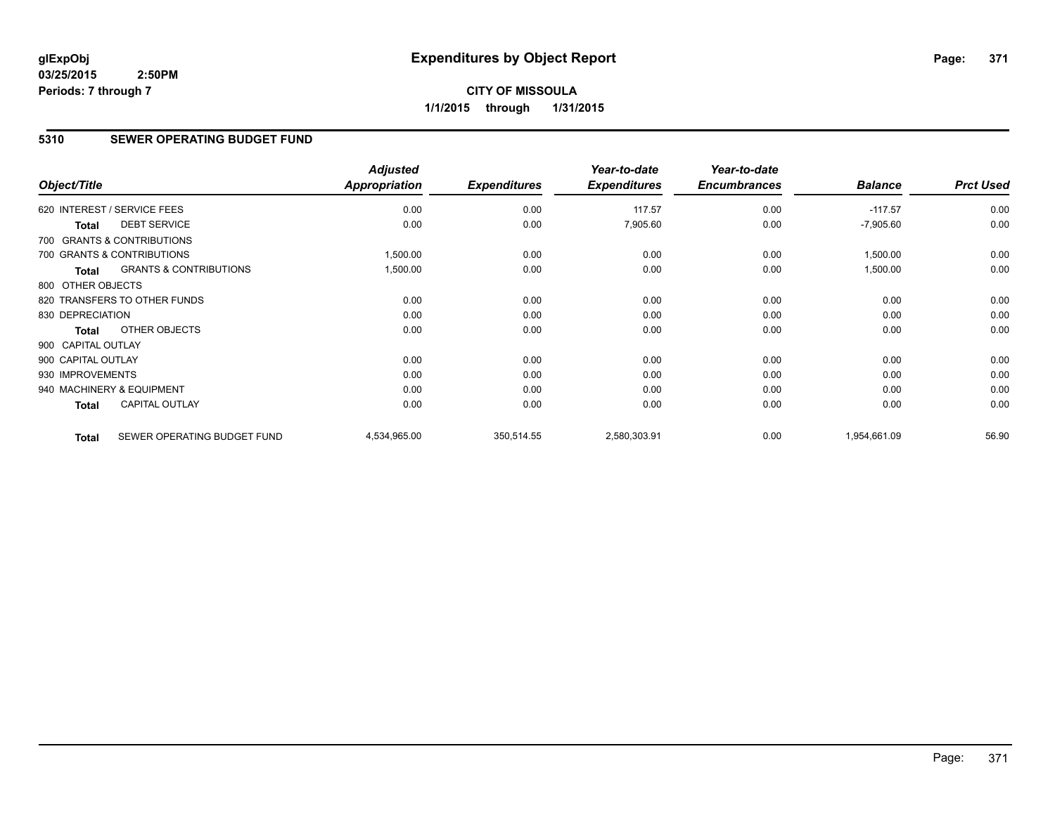# **CITY OF MISSOULA 1/1/2015 through 1/31/2015**

# **5310 SEWER OPERATING BUDGET FUND**

| Object/Title       |                                   | <b>Adjusted</b><br>Appropriation | <b>Expenditures</b> | Year-to-date<br><b>Expenditures</b> | Year-to-date<br><b>Encumbrances</b> | <b>Balance</b> | <b>Prct Used</b> |
|--------------------|-----------------------------------|----------------------------------|---------------------|-------------------------------------|-------------------------------------|----------------|------------------|
|                    | 620 INTEREST / SERVICE FEES       | 0.00                             | 0.00                | 117.57                              | 0.00                                | $-117.57$      | 0.00             |
| <b>Total</b>       | <b>DEBT SERVICE</b>               | 0.00                             | 0.00                | 7,905.60                            | 0.00                                | $-7,905.60$    | 0.00             |
|                    | 700 GRANTS & CONTRIBUTIONS        |                                  |                     |                                     |                                     |                |                  |
|                    | 700 GRANTS & CONTRIBUTIONS        | 1,500.00                         | 0.00                | 0.00                                | 0.00                                | 1,500.00       | 0.00             |
| <b>Total</b>       | <b>GRANTS &amp; CONTRIBUTIONS</b> | 1,500.00                         | 0.00                | 0.00                                | 0.00                                | 1,500.00       | 0.00             |
| 800 OTHER OBJECTS  |                                   |                                  |                     |                                     |                                     |                |                  |
|                    | 820 TRANSFERS TO OTHER FUNDS      | 0.00                             | 0.00                | 0.00                                | 0.00                                | 0.00           | 0.00             |
| 830 DEPRECIATION   |                                   | 0.00                             | 0.00                | 0.00                                | 0.00                                | 0.00           | 0.00             |
| <b>Total</b>       | OTHER OBJECTS                     | 0.00                             | 0.00                | 0.00                                | 0.00                                | 0.00           | 0.00             |
| 900 CAPITAL OUTLAY |                                   |                                  |                     |                                     |                                     |                |                  |
| 900 CAPITAL OUTLAY |                                   | 0.00                             | 0.00                | 0.00                                | 0.00                                | 0.00           | 0.00             |
| 930 IMPROVEMENTS   |                                   | 0.00                             | 0.00                | 0.00                                | 0.00                                | 0.00           | 0.00             |
|                    | 940 MACHINERY & EQUIPMENT         | 0.00                             | 0.00                | 0.00                                | 0.00                                | 0.00           | 0.00             |
| <b>Total</b>       | <b>CAPITAL OUTLAY</b>             | 0.00                             | 0.00                | 0.00                                | 0.00                                | 0.00           | 0.00             |
| <b>Total</b>       | SEWER OPERATING BUDGET FUND       | 4,534,965.00                     | 350,514.55          | 2,580,303.91                        | 0.00                                | 1,954,661.09   | 56.90            |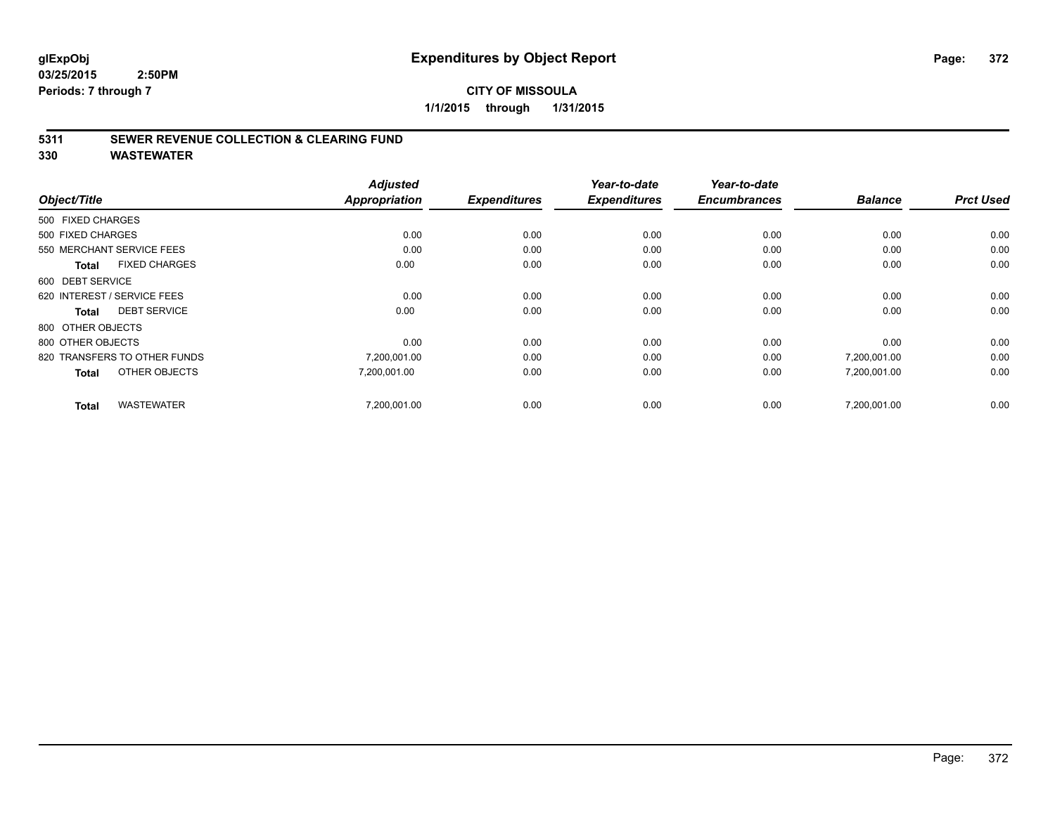## **5311 SEWER REVENUE COLLECTION & CLEARING FUND**

| Object/Title                         | <b>Adjusted</b><br><b>Appropriation</b> | <b>Expenditures</b> | Year-to-date<br><b>Expenditures</b> | Year-to-date<br><b>Encumbrances</b> | <b>Balance</b> | <b>Prct Used</b> |
|--------------------------------------|-----------------------------------------|---------------------|-------------------------------------|-------------------------------------|----------------|------------------|
|                                      |                                         |                     |                                     |                                     |                |                  |
| 500 FIXED CHARGES                    |                                         |                     |                                     |                                     |                |                  |
| 500 FIXED CHARGES                    | 0.00                                    | 0.00                | 0.00                                | 0.00                                | 0.00           | 0.00             |
| 550 MERCHANT SERVICE FEES            | 0.00                                    | 0.00                | 0.00                                | 0.00                                | 0.00           | 0.00             |
| <b>FIXED CHARGES</b><br><b>Total</b> | 0.00                                    | 0.00                | 0.00                                | 0.00                                | 0.00           | 0.00             |
| 600 DEBT SERVICE                     |                                         |                     |                                     |                                     |                |                  |
| 620 INTEREST / SERVICE FEES          | 0.00                                    | 0.00                | 0.00                                | 0.00                                | 0.00           | 0.00             |
| <b>DEBT SERVICE</b><br><b>Total</b>  | 0.00                                    | 0.00                | 0.00                                | 0.00                                | 0.00           | 0.00             |
| 800 OTHER OBJECTS                    |                                         |                     |                                     |                                     |                |                  |
| 800 OTHER OBJECTS                    | 0.00                                    | 0.00                | 0.00                                | 0.00                                | 0.00           | 0.00             |
| 820 TRANSFERS TO OTHER FUNDS         | 7,200,001.00                            | 0.00                | 0.00                                | 0.00                                | 7,200,001.00   | 0.00             |
| OTHER OBJECTS<br><b>Total</b>        | 7,200,001.00                            | 0.00                | 0.00                                | 0.00                                | 7,200,001.00   | 0.00             |
| <b>WASTEWATER</b><br><b>Total</b>    | 7.200.001.00                            | 0.00                | 0.00                                | 0.00                                | 7.200.001.00   | 0.00             |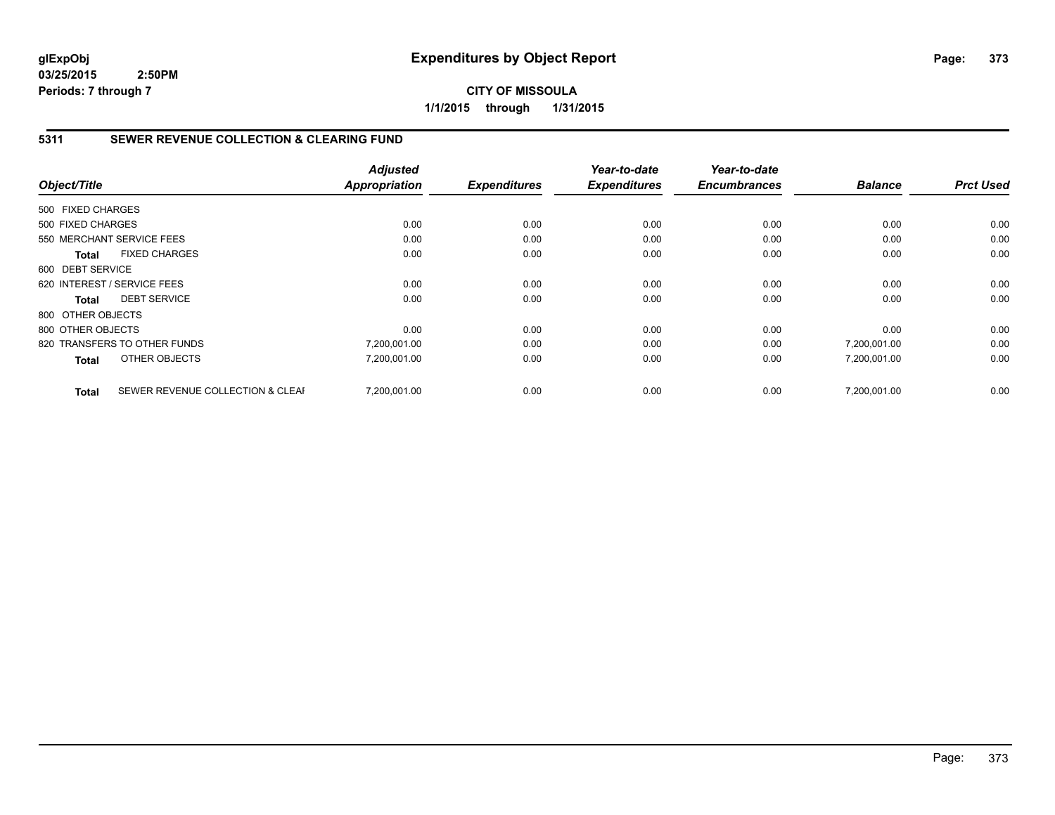# **CITY OF MISSOULA 1/1/2015 through 1/31/2015**

## **5311 SEWER REVENUE COLLECTION & CLEARING FUND**

|                   |                                  | <b>Adjusted</b>      |                     | Year-to-date        | Year-to-date<br><b>Encumbrances</b> | <b>Balance</b> | <b>Prct Used</b> |
|-------------------|----------------------------------|----------------------|---------------------|---------------------|-------------------------------------|----------------|------------------|
| Object/Title      |                                  | <b>Appropriation</b> | <b>Expenditures</b> | <b>Expenditures</b> |                                     |                |                  |
| 500 FIXED CHARGES |                                  |                      |                     |                     |                                     |                |                  |
| 500 FIXED CHARGES |                                  | 0.00                 | 0.00                | 0.00                | 0.00                                | 0.00           | 0.00             |
|                   | 550 MERCHANT SERVICE FEES        | 0.00                 | 0.00                | 0.00                | 0.00                                | 0.00           | 0.00             |
| <b>Total</b>      | <b>FIXED CHARGES</b>             | 0.00                 | 0.00                | 0.00                | 0.00                                | 0.00           | 0.00             |
| 600 DEBT SERVICE  |                                  |                      |                     |                     |                                     |                |                  |
|                   | 620 INTEREST / SERVICE FEES      | 0.00                 | 0.00                | 0.00                | 0.00                                | 0.00           | 0.00             |
| Total             | <b>DEBT SERVICE</b>              | 0.00                 | 0.00                | 0.00                | 0.00                                | 0.00           | 0.00             |
| 800 OTHER OBJECTS |                                  |                      |                     |                     |                                     |                |                  |
| 800 OTHER OBJECTS |                                  | 0.00                 | 0.00                | 0.00                | 0.00                                | 0.00           | 0.00             |
|                   | 820 TRANSFERS TO OTHER FUNDS     | 7,200,001.00         | 0.00                | 0.00                | 0.00                                | 7,200,001.00   | 0.00             |
| <b>Total</b>      | OTHER OBJECTS                    | 7,200,001.00         | 0.00                | 0.00                | 0.00                                | 7,200,001.00   | 0.00             |
| <b>Total</b>      | SEWER REVENUE COLLECTION & CLEAF | 7,200,001.00         | 0.00                | 0.00                | 0.00                                | 7,200,001.00   | 0.00             |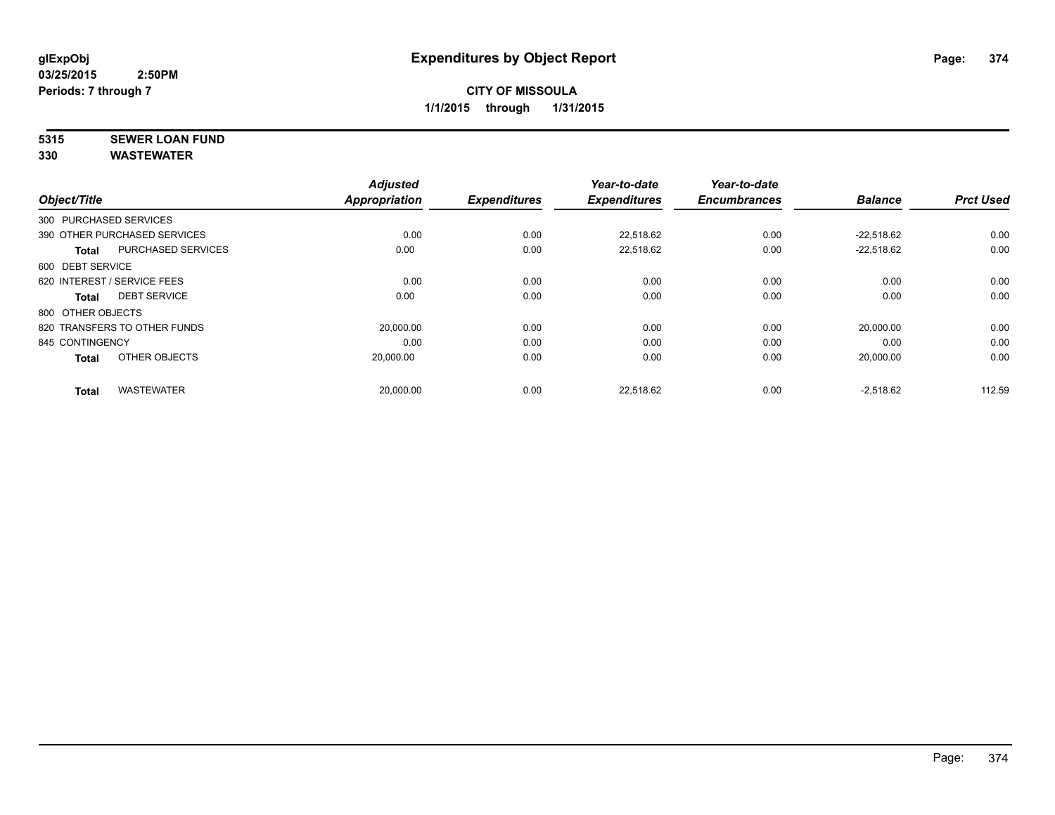# **5315 SEWER LOAN FUND**

| Object/Title                |                              | <b>Adjusted</b><br><b>Appropriation</b> | <b>Expenditures</b> | Year-to-date<br><b>Expenditures</b> | Year-to-date<br><b>Encumbrances</b> | <b>Balance</b> | <b>Prct Used</b> |
|-----------------------------|------------------------------|-----------------------------------------|---------------------|-------------------------------------|-------------------------------------|----------------|------------------|
| 300 PURCHASED SERVICES      |                              |                                         |                     |                                     |                                     |                |                  |
|                             | 390 OTHER PURCHASED SERVICES | 0.00                                    | 0.00                | 22.518.62                           | 0.00                                | $-22.518.62$   | 0.00             |
| <b>Total</b>                | <b>PURCHASED SERVICES</b>    | 0.00                                    | 0.00                | 22,518.62                           | 0.00                                | $-22,518.62$   | 0.00             |
| 600 DEBT SERVICE            |                              |                                         |                     |                                     |                                     |                |                  |
| 620 INTEREST / SERVICE FEES |                              | 0.00                                    | 0.00                | 0.00                                | 0.00                                | 0.00           | 0.00             |
| <b>Total</b>                | <b>DEBT SERVICE</b>          | 0.00                                    | 0.00                | 0.00                                | 0.00                                | 0.00           | 0.00             |
| 800 OTHER OBJECTS           |                              |                                         |                     |                                     |                                     |                |                  |
|                             | 820 TRANSFERS TO OTHER FUNDS | 20,000.00                               | 0.00                | 0.00                                | 0.00                                | 20,000.00      | 0.00             |
| 845 CONTINGENCY             |                              | 0.00                                    | 0.00                | 0.00                                | 0.00                                | 0.00           | 0.00             |
| <b>Total</b>                | OTHER OBJECTS                | 20.000.00                               | 0.00                | 0.00                                | 0.00                                | 20,000.00      | 0.00             |
| <b>Total</b>                | <b>WASTEWATER</b>            | 20,000.00                               | 0.00                | 22,518.62                           | 0.00                                | $-2,518.62$    | 112.59           |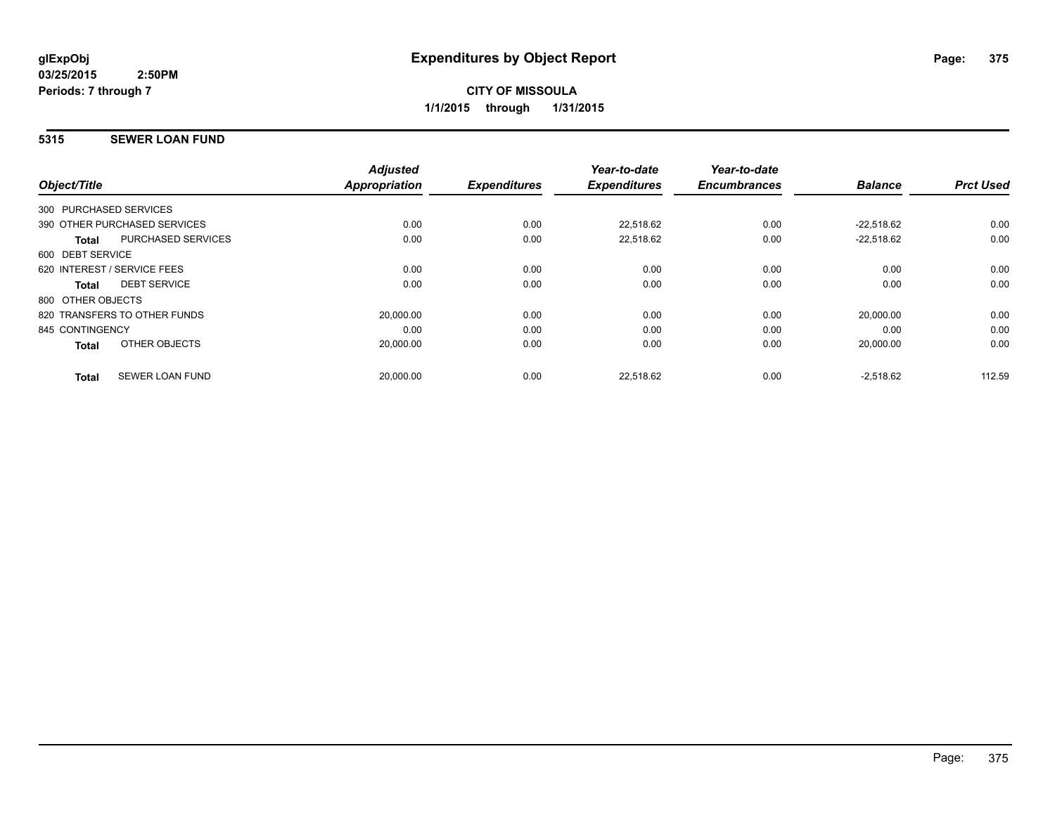## **5315 SEWER LOAN FUND**

| Object/Title           |                              | <b>Adjusted</b><br><b>Appropriation</b> | <b>Expenditures</b> | Year-to-date<br><b>Expenditures</b> | Year-to-date<br><b>Encumbrances</b> | <b>Balance</b> | <b>Prct Used</b> |
|------------------------|------------------------------|-----------------------------------------|---------------------|-------------------------------------|-------------------------------------|----------------|------------------|
| 300 PURCHASED SERVICES |                              |                                         |                     |                                     |                                     |                |                  |
|                        | 390 OTHER PURCHASED SERVICES | 0.00                                    | 0.00                | 22,518.62                           | 0.00                                | $-22.518.62$   | 0.00             |
| <b>Total</b>           | <b>PURCHASED SERVICES</b>    | 0.00                                    | 0.00                | 22,518.62                           | 0.00                                | $-22.518.62$   | 0.00             |
| 600 DEBT SERVICE       |                              |                                         |                     |                                     |                                     |                |                  |
|                        | 620 INTEREST / SERVICE FEES  | 0.00                                    | 0.00                | 0.00                                | 0.00                                | 0.00           | 0.00             |
| Total                  | <b>DEBT SERVICE</b>          | 0.00                                    | 0.00                | 0.00                                | 0.00                                | 0.00           | 0.00             |
| 800 OTHER OBJECTS      |                              |                                         |                     |                                     |                                     |                |                  |
|                        | 820 TRANSFERS TO OTHER FUNDS | 20,000.00                               | 0.00                | 0.00                                | 0.00                                | 20,000.00      | 0.00             |
| 845 CONTINGENCY        |                              | 0.00                                    | 0.00                | 0.00                                | 0.00                                | 0.00           | 0.00             |
| <b>Total</b>           | OTHER OBJECTS                | 20,000.00                               | 0.00                | 0.00                                | 0.00                                | 20,000.00      | 0.00             |
| <b>Total</b>           | <b>SEWER LOAN FUND</b>       | 20,000.00                               | 0.00                | 22.518.62                           | 0.00                                | $-2,518.62$    | 112.59           |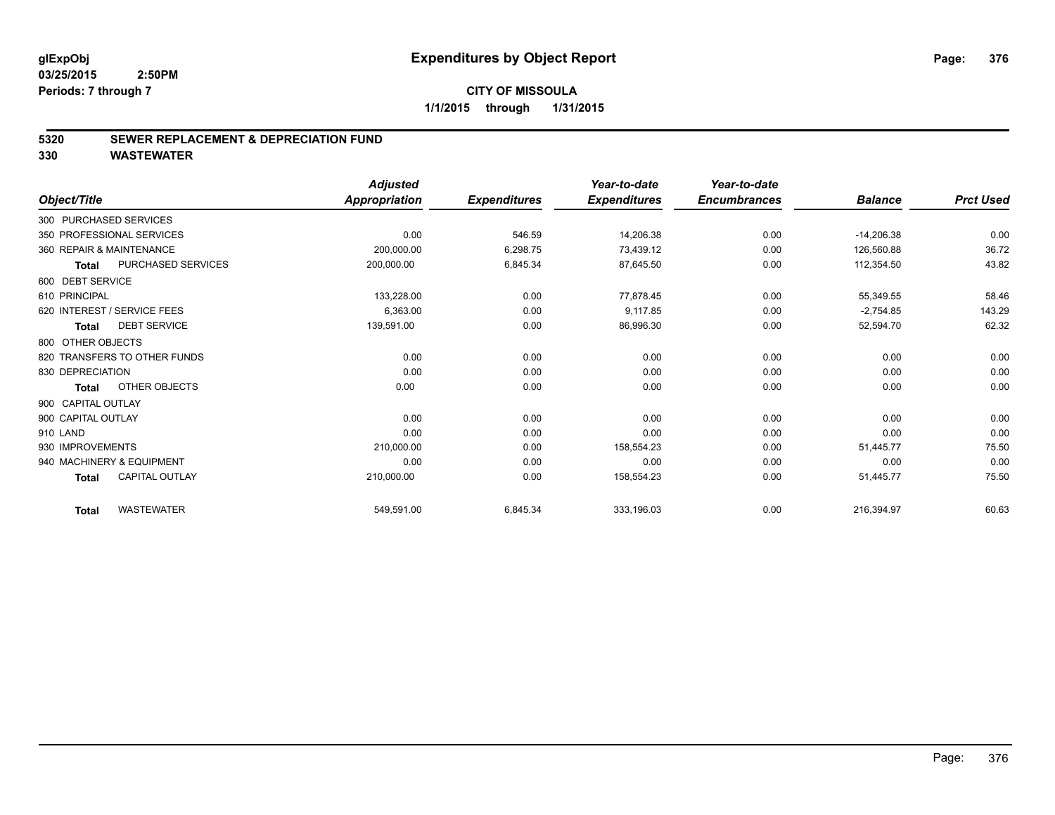#### **5320 SEWER REPLACEMENT & DEPRECIATION FUND**

|                                       | <b>Adjusted</b>      |                     | Year-to-date        | Year-to-date        |                |                  |
|---------------------------------------|----------------------|---------------------|---------------------|---------------------|----------------|------------------|
| Object/Title                          | <b>Appropriation</b> | <b>Expenditures</b> | <b>Expenditures</b> | <b>Encumbrances</b> | <b>Balance</b> | <b>Prct Used</b> |
| 300 PURCHASED SERVICES                |                      |                     |                     |                     |                |                  |
| 350 PROFESSIONAL SERVICES             | 0.00                 | 546.59              | 14,206.38           | 0.00                | $-14,206.38$   | 0.00             |
| 360 REPAIR & MAINTENANCE              | 200,000.00           | 6,298.75            | 73,439.12           | 0.00                | 126,560.88     | 36.72            |
| PURCHASED SERVICES<br><b>Total</b>    | 200,000.00           | 6,845.34            | 87,645.50           | 0.00                | 112,354.50     | 43.82            |
| 600 DEBT SERVICE                      |                      |                     |                     |                     |                |                  |
| 610 PRINCIPAL                         | 133,228.00           | 0.00                | 77,878.45           | 0.00                | 55,349.55      | 58.46            |
| 620 INTEREST / SERVICE FEES           | 6,363.00             | 0.00                | 9,117.85            | 0.00                | $-2,754.85$    | 143.29           |
| <b>DEBT SERVICE</b><br><b>Total</b>   | 139,591.00           | 0.00                | 86,996.30           | 0.00                | 52,594.70      | 62.32            |
| 800 OTHER OBJECTS                     |                      |                     |                     |                     |                |                  |
| 820 TRANSFERS TO OTHER FUNDS          | 0.00                 | 0.00                | 0.00                | 0.00                | 0.00           | 0.00             |
| 830 DEPRECIATION                      | 0.00                 | 0.00                | 0.00                | 0.00                | 0.00           | 0.00             |
| OTHER OBJECTS<br><b>Total</b>         | 0.00                 | 0.00                | 0.00                | 0.00                | 0.00           | 0.00             |
| 900 CAPITAL OUTLAY                    |                      |                     |                     |                     |                |                  |
| 900 CAPITAL OUTLAY                    | 0.00                 | 0.00                | 0.00                | 0.00                | 0.00           | 0.00             |
| 910 LAND                              | 0.00                 | 0.00                | 0.00                | 0.00                | 0.00           | 0.00             |
| 930 IMPROVEMENTS                      | 210,000.00           | 0.00                | 158,554.23          | 0.00                | 51,445.77      | 75.50            |
| 940 MACHINERY & EQUIPMENT             | 0.00                 | 0.00                | 0.00                | 0.00                | 0.00           | 0.00             |
| <b>CAPITAL OUTLAY</b><br><b>Total</b> | 210,000.00           | 0.00                | 158,554.23          | 0.00                | 51,445.77      | 75.50            |
| <b>WASTEWATER</b><br><b>Total</b>     | 549,591.00           | 6,845.34            | 333,196.03          | 0.00                | 216,394.97     | 60.63            |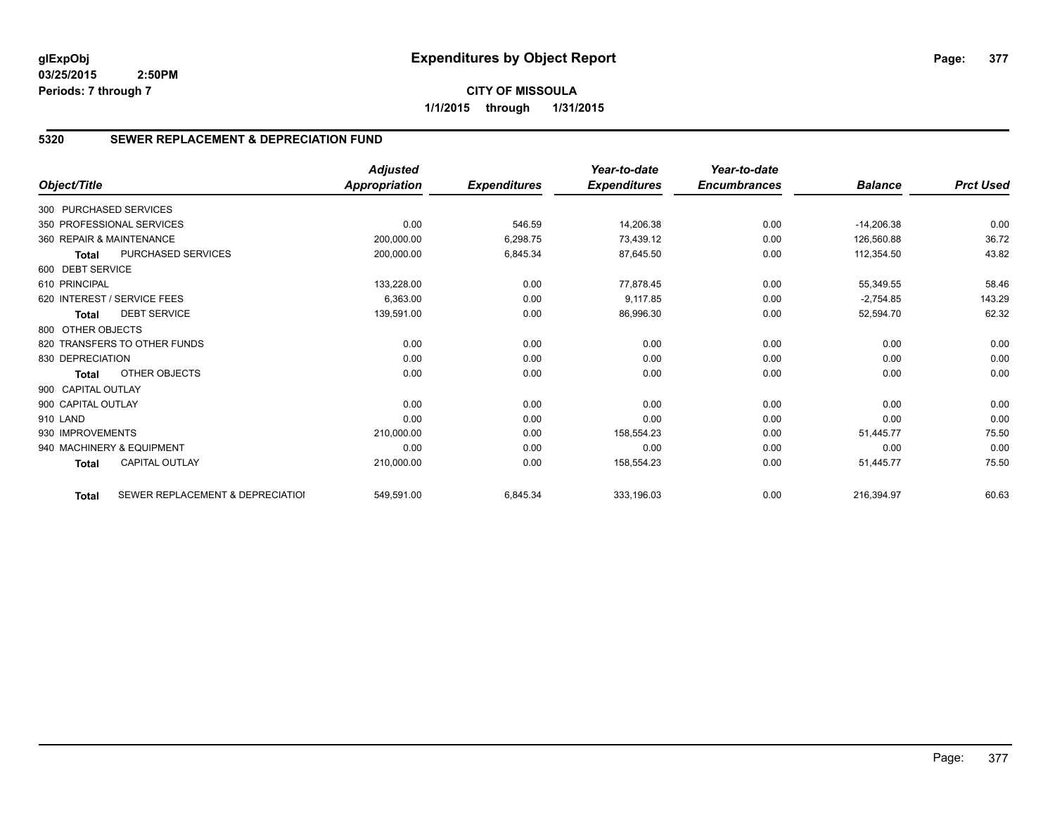## **5320 SEWER REPLACEMENT & DEPRECIATION FUND**

|                        |                                  | <b>Adjusted</b>      |                     | Year-to-date        | Year-to-date        |                |                  |
|------------------------|----------------------------------|----------------------|---------------------|---------------------|---------------------|----------------|------------------|
| Object/Title           |                                  | <b>Appropriation</b> | <b>Expenditures</b> | <b>Expenditures</b> | <b>Encumbrances</b> | <b>Balance</b> | <b>Prct Used</b> |
| 300 PURCHASED SERVICES |                                  |                      |                     |                     |                     |                |                  |
|                        | 350 PROFESSIONAL SERVICES        | 0.00                 | 546.59              | 14,206.38           | 0.00                | $-14,206.38$   | 0.00             |
|                        | 360 REPAIR & MAINTENANCE         | 200,000.00           | 6,298.75            | 73,439.12           | 0.00                | 126,560.88     | 36.72            |
| <b>Total</b>           | PURCHASED SERVICES               | 200,000.00           | 6,845.34            | 87,645.50           | 0.00                | 112,354.50     | 43.82            |
| 600 DEBT SERVICE       |                                  |                      |                     |                     |                     |                |                  |
| 610 PRINCIPAL          |                                  | 133,228.00           | 0.00                | 77,878.45           | 0.00                | 55,349.55      | 58.46            |
|                        | 620 INTEREST / SERVICE FEES      | 6,363.00             | 0.00                | 9,117.85            | 0.00                | $-2,754.85$    | 143.29           |
| <b>Total</b>           | <b>DEBT SERVICE</b>              | 139,591.00           | 0.00                | 86,996.30           | 0.00                | 52,594.70      | 62.32            |
| 800 OTHER OBJECTS      |                                  |                      |                     |                     |                     |                |                  |
|                        | 820 TRANSFERS TO OTHER FUNDS     | 0.00                 | 0.00                | 0.00                | 0.00                | 0.00           | 0.00             |
| 830 DEPRECIATION       |                                  | 0.00                 | 0.00                | 0.00                | 0.00                | 0.00           | 0.00             |
| Total                  | OTHER OBJECTS                    | 0.00                 | 0.00                | 0.00                | 0.00                | 0.00           | 0.00             |
| 900 CAPITAL OUTLAY     |                                  |                      |                     |                     |                     |                |                  |
| 900 CAPITAL OUTLAY     |                                  | 0.00                 | 0.00                | 0.00                | 0.00                | 0.00           | 0.00             |
| 910 LAND               |                                  | 0.00                 | 0.00                | 0.00                | 0.00                | 0.00           | 0.00             |
| 930 IMPROVEMENTS       |                                  | 210,000.00           | 0.00                | 158,554.23          | 0.00                | 51,445.77      | 75.50            |
|                        | 940 MACHINERY & EQUIPMENT        | 0.00                 | 0.00                | 0.00                | 0.00                | 0.00           | 0.00             |
| <b>Total</b>           | <b>CAPITAL OUTLAY</b>            | 210,000.00           | 0.00                | 158,554.23          | 0.00                | 51,445.77      | 75.50            |
| <b>Total</b>           | SEWER REPLACEMENT & DEPRECIATION | 549,591.00           | 6,845.34            | 333,196.03          | 0.00                | 216,394.97     | 60.63            |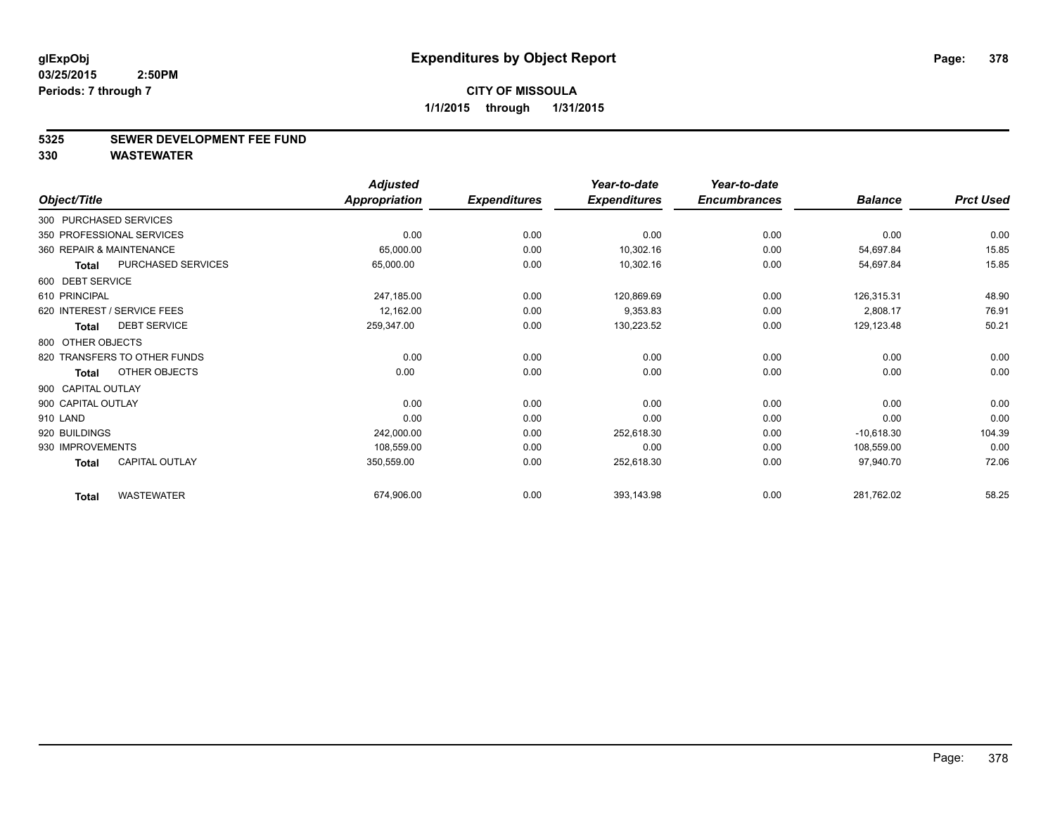#### **5325 SEWER DEVELOPMENT FEE FUND**

|                              |                       | <b>Adjusted</b>      |                     | Year-to-date        | Year-to-date        |                |                  |
|------------------------------|-----------------------|----------------------|---------------------|---------------------|---------------------|----------------|------------------|
| Object/Title                 |                       | <b>Appropriation</b> | <b>Expenditures</b> | <b>Expenditures</b> | <b>Encumbrances</b> | <b>Balance</b> | <b>Prct Used</b> |
| 300 PURCHASED SERVICES       |                       |                      |                     |                     |                     |                |                  |
| 350 PROFESSIONAL SERVICES    |                       | 0.00                 | 0.00                | 0.00                | 0.00                | 0.00           | 0.00             |
| 360 REPAIR & MAINTENANCE     |                       | 65,000.00            | 0.00                | 10,302.16           | 0.00                | 54,697.84      | 15.85            |
| <b>Total</b>                 | PURCHASED SERVICES    | 65,000.00            | 0.00                | 10,302.16           | 0.00                | 54,697.84      | 15.85            |
| 600 DEBT SERVICE             |                       |                      |                     |                     |                     |                |                  |
| 610 PRINCIPAL                |                       | 247,185.00           | 0.00                | 120,869.69          | 0.00                | 126,315.31     | 48.90            |
| 620 INTEREST / SERVICE FEES  |                       | 12,162.00            | 0.00                | 9,353.83            | 0.00                | 2,808.17       | 76.91            |
| <b>Total</b>                 | <b>DEBT SERVICE</b>   | 259,347.00           | 0.00                | 130,223.52          | 0.00                | 129,123.48     | 50.21            |
| 800 OTHER OBJECTS            |                       |                      |                     |                     |                     |                |                  |
| 820 TRANSFERS TO OTHER FUNDS |                       | 0.00                 | 0.00                | 0.00                | 0.00                | 0.00           | 0.00             |
| <b>Total</b>                 | OTHER OBJECTS         | 0.00                 | 0.00                | 0.00                | 0.00                | 0.00           | 0.00             |
| 900 CAPITAL OUTLAY           |                       |                      |                     |                     |                     |                |                  |
| 900 CAPITAL OUTLAY           |                       | 0.00                 | 0.00                | 0.00                | 0.00                | 0.00           | 0.00             |
| 910 LAND                     |                       | 0.00                 | 0.00                | 0.00                | 0.00                | 0.00           | 0.00             |
| 920 BUILDINGS                |                       | 242,000.00           | 0.00                | 252,618.30          | 0.00                | $-10,618.30$   | 104.39           |
| 930 IMPROVEMENTS             |                       | 108,559.00           | 0.00                | 0.00                | 0.00                | 108,559.00     | 0.00             |
| <b>Total</b>                 | <b>CAPITAL OUTLAY</b> | 350,559.00           | 0.00                | 252,618.30          | 0.00                | 97,940.70      | 72.06            |
| <b>Total</b>                 | <b>WASTEWATER</b>     | 674,906.00           | 0.00                | 393,143.98          | 0.00                | 281,762.02     | 58.25            |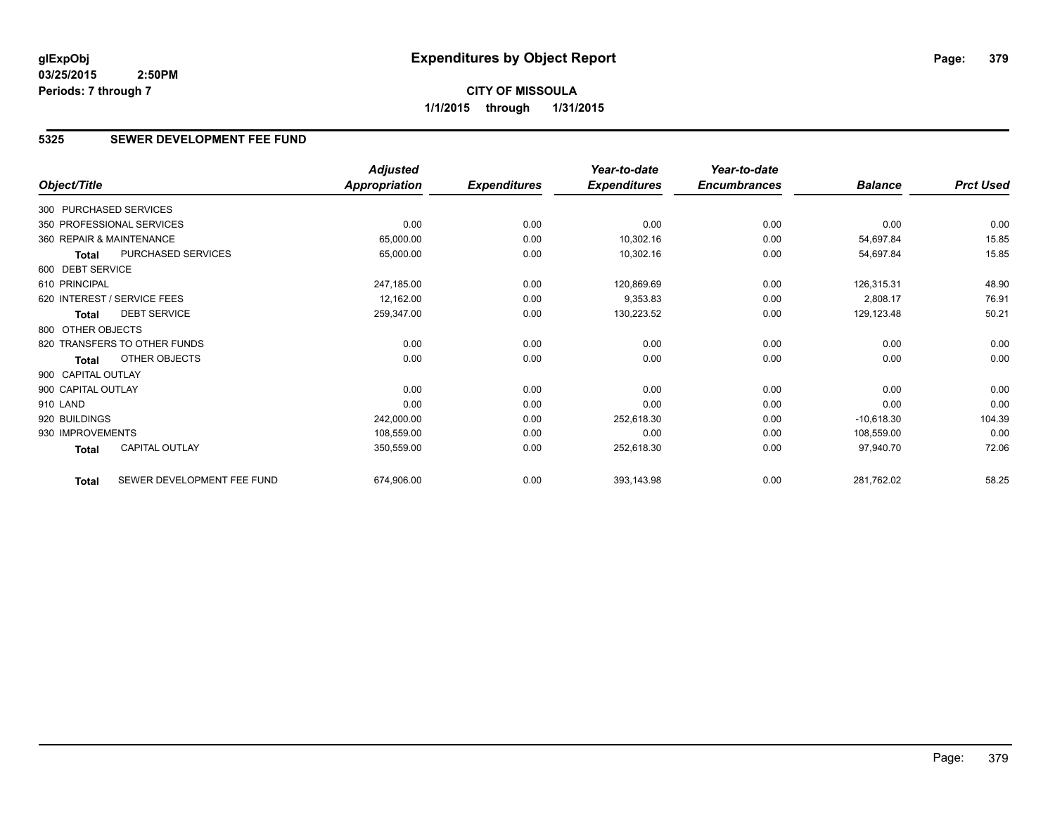## **5325 SEWER DEVELOPMENT FEE FUND**

|                          |                              | <b>Adjusted</b>      |                     | Year-to-date        | Year-to-date        |                |                  |
|--------------------------|------------------------------|----------------------|---------------------|---------------------|---------------------|----------------|------------------|
| Object/Title             |                              | <b>Appropriation</b> | <b>Expenditures</b> | <b>Expenditures</b> | <b>Encumbrances</b> | <b>Balance</b> | <b>Prct Used</b> |
| 300 PURCHASED SERVICES   |                              |                      |                     |                     |                     |                |                  |
|                          | 350 PROFESSIONAL SERVICES    | 0.00                 | 0.00                | 0.00                | 0.00                | 0.00           | 0.00             |
| 360 REPAIR & MAINTENANCE |                              | 65,000.00            | 0.00                | 10,302.16           | 0.00                | 54,697.84      | 15.85            |
| Total                    | PURCHASED SERVICES           | 65,000.00            | 0.00                | 10,302.16           | 0.00                | 54,697.84      | 15.85            |
| 600 DEBT SERVICE         |                              |                      |                     |                     |                     |                |                  |
| 610 PRINCIPAL            |                              | 247,185.00           | 0.00                | 120,869.69          | 0.00                | 126,315.31     | 48.90            |
|                          | 620 INTEREST / SERVICE FEES  | 12,162.00            | 0.00                | 9,353.83            | 0.00                | 2,808.17       | 76.91            |
| <b>Total</b>             | <b>DEBT SERVICE</b>          | 259,347.00           | 0.00                | 130,223.52          | 0.00                | 129,123.48     | 50.21            |
| 800 OTHER OBJECTS        |                              |                      |                     |                     |                     |                |                  |
|                          | 820 TRANSFERS TO OTHER FUNDS | 0.00                 | 0.00                | 0.00                | 0.00                | 0.00           | 0.00             |
| Total                    | OTHER OBJECTS                | 0.00                 | 0.00                | 0.00                | 0.00                | 0.00           | 0.00             |
| 900 CAPITAL OUTLAY       |                              |                      |                     |                     |                     |                |                  |
| 900 CAPITAL OUTLAY       |                              | 0.00                 | 0.00                | 0.00                | 0.00                | 0.00           | 0.00             |
| 910 LAND                 |                              | 0.00                 | 0.00                | 0.00                | 0.00                | 0.00           | 0.00             |
| 920 BUILDINGS            |                              | 242,000.00           | 0.00                | 252,618.30          | 0.00                | $-10,618.30$   | 104.39           |
| 930 IMPROVEMENTS         |                              | 108,559.00           | 0.00                | 0.00                | 0.00                | 108,559.00     | 0.00             |
| Total                    | <b>CAPITAL OUTLAY</b>        | 350,559.00           | 0.00                | 252,618.30          | 0.00                | 97,940.70      | 72.06            |
| <b>Total</b>             | SEWER DEVELOPMENT FEE FUND   | 674,906.00           | 0.00                | 393,143.98          | 0.00                | 281,762.02     | 58.25            |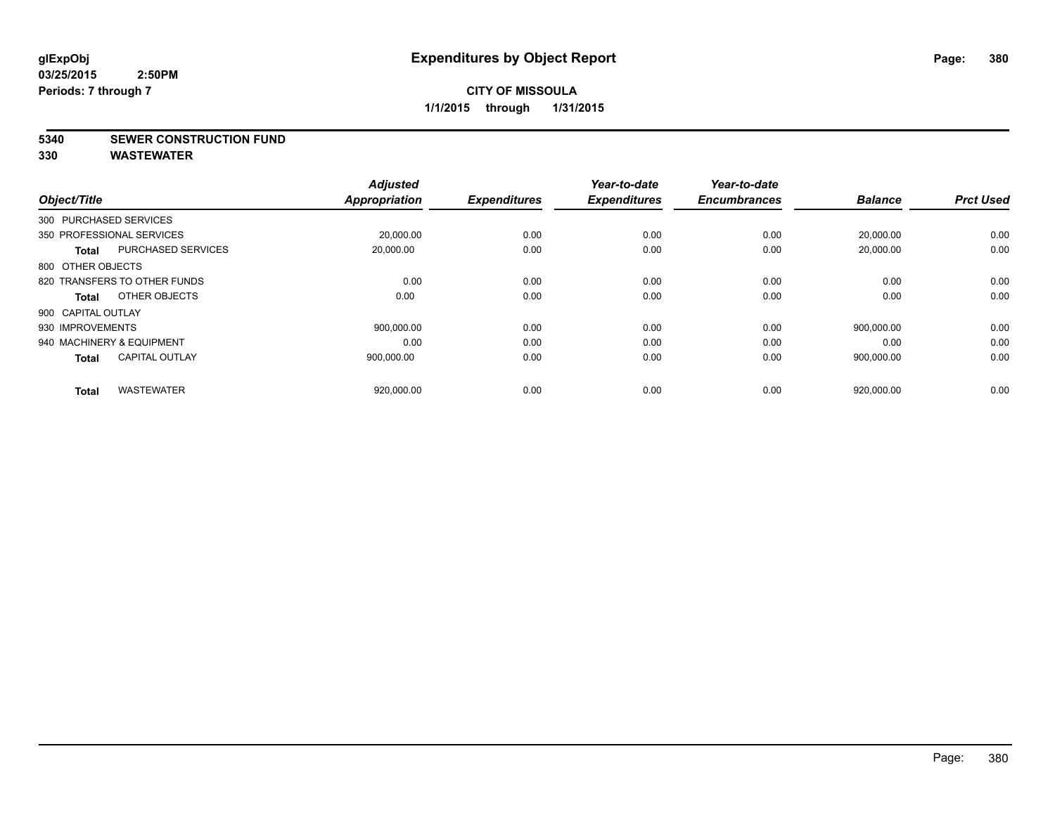#### **5340 SEWER CONSTRUCTION FUND**

| Object/Title                          | <b>Adjusted</b><br><b>Appropriation</b> | <b>Expenditures</b> | Year-to-date<br><b>Expenditures</b> | Year-to-date<br><b>Encumbrances</b> | <b>Balance</b> | <b>Prct Used</b> |
|---------------------------------------|-----------------------------------------|---------------------|-------------------------------------|-------------------------------------|----------------|------------------|
| 300 PURCHASED SERVICES                |                                         |                     |                                     |                                     |                |                  |
| 350 PROFESSIONAL SERVICES             | 20,000.00                               | 0.00                | 0.00                                | 0.00                                | 20,000.00      | 0.00             |
| PURCHASED SERVICES<br><b>Total</b>    | 20,000.00                               | 0.00                | 0.00                                | 0.00                                | 20,000.00      | 0.00             |
| 800 OTHER OBJECTS                     |                                         |                     |                                     |                                     |                |                  |
| 820 TRANSFERS TO OTHER FUNDS          | 0.00                                    | 0.00                | 0.00                                | 0.00                                | 0.00           | 0.00             |
| OTHER OBJECTS<br>Total                | 0.00                                    | 0.00                | 0.00                                | 0.00                                | 0.00           | 0.00             |
| 900 CAPITAL OUTLAY                    |                                         |                     |                                     |                                     |                |                  |
| 930 IMPROVEMENTS                      | 900.000.00                              | 0.00                | 0.00                                | 0.00                                | 900.000.00     | 0.00             |
| 940 MACHINERY & EQUIPMENT             | 0.00                                    | 0.00                | 0.00                                | 0.00                                | 0.00           | 0.00             |
| <b>CAPITAL OUTLAY</b><br><b>Total</b> | 900,000.00                              | 0.00                | 0.00                                | 0.00                                | 900,000.00     | 0.00             |
|                                       |                                         |                     |                                     |                                     |                |                  |
| <b>WASTEWATER</b><br><b>Total</b>     | 920,000.00                              | 0.00                | 0.00                                | 0.00                                | 920,000.00     | 0.00             |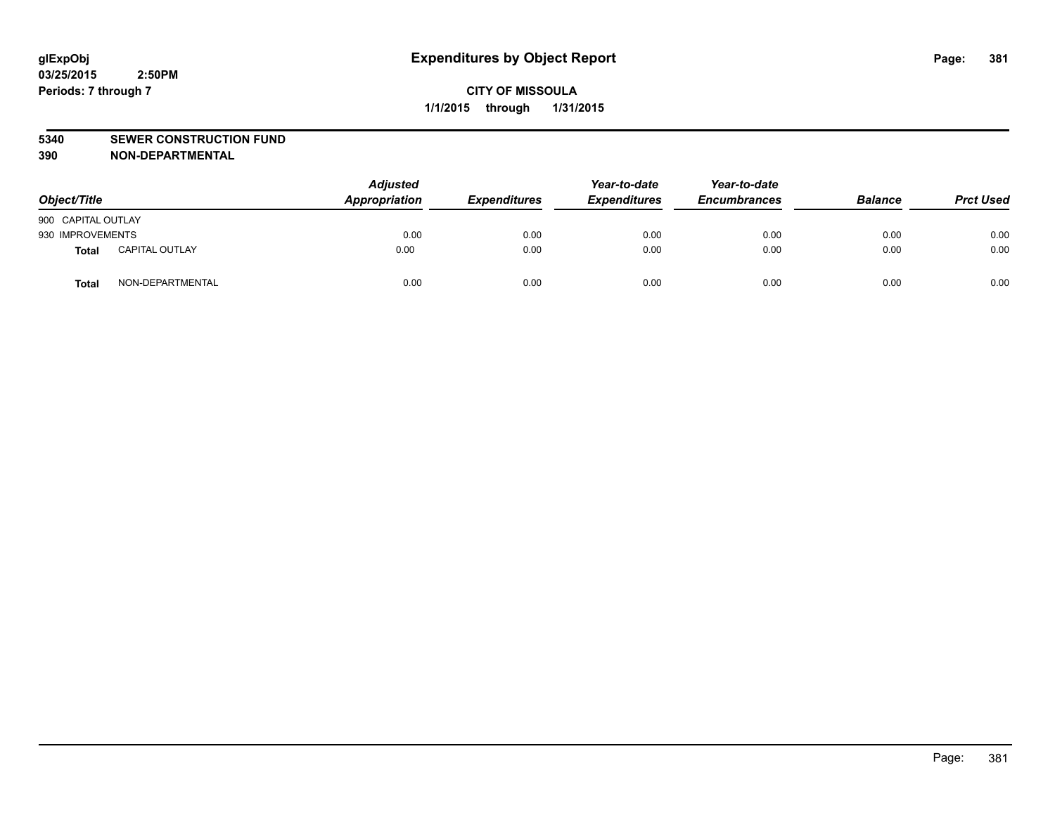#### **5340 SEWER CONSTRUCTION FUND**

**390 NON-DEPARTMENTAL**

| Object/Title       |                       | <b>Adjusted</b><br>Appropriation | <b>Expenditures</b> | Year-to-date<br><b>Expenditures</b> | Year-to-date<br><b>Encumbrances</b> | <b>Balance</b> | <b>Prct Used</b> |
|--------------------|-----------------------|----------------------------------|---------------------|-------------------------------------|-------------------------------------|----------------|------------------|
| 900 CAPITAL OUTLAY |                       |                                  |                     |                                     |                                     |                |                  |
| 930 IMPROVEMENTS   |                       | 0.00                             | 0.00                | 0.00                                | 0.00                                | 0.00           | 0.00             |
| <b>Total</b>       | <b>CAPITAL OUTLAY</b> | 0.00                             | 0.00                | 0.00                                | 0.00                                | 0.00           | 0.00             |
| <b>Total</b>       | NON-DEPARTMENTAL      | 0.00                             | 0.00                | 0.00                                | 0.00                                | 0.00           | 0.00             |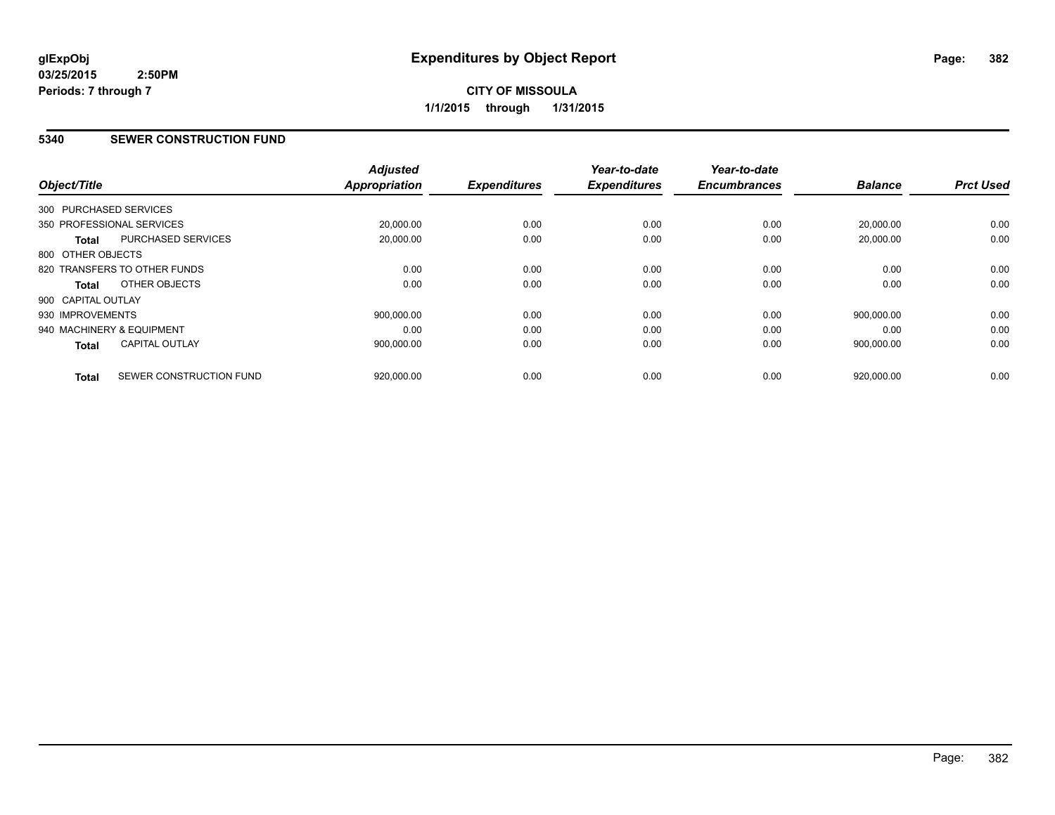### **5340 SEWER CONSTRUCTION FUND**

| Object/Title           |                              | <b>Adjusted</b><br><b>Appropriation</b> | <b>Expenditures</b> | Year-to-date<br><b>Expenditures</b> | Year-to-date<br><b>Encumbrances</b> | <b>Balance</b> | <b>Prct Used</b> |
|------------------------|------------------------------|-----------------------------------------|---------------------|-------------------------------------|-------------------------------------|----------------|------------------|
| 300 PURCHASED SERVICES |                              |                                         |                     |                                     |                                     |                |                  |
|                        | 350 PROFESSIONAL SERVICES    | 20,000.00                               | 0.00                | 0.00                                | 0.00                                | 20,000.00      | 0.00             |
| <b>Total</b>           | PURCHASED SERVICES           | 20.000.00                               | 0.00                | 0.00                                | 0.00                                | 20.000.00      | 0.00             |
| 800 OTHER OBJECTS      |                              |                                         |                     |                                     |                                     |                |                  |
|                        | 820 TRANSFERS TO OTHER FUNDS | 0.00                                    | 0.00                | 0.00                                | 0.00                                | 0.00           | 0.00             |
| Total                  | OTHER OBJECTS                | 0.00                                    | 0.00                | 0.00                                | 0.00                                | 0.00           | 0.00             |
| 900 CAPITAL OUTLAY     |                              |                                         |                     |                                     |                                     |                |                  |
| 930 IMPROVEMENTS       |                              | 900.000.00                              | 0.00                | 0.00                                | 0.00                                | 900.000.00     | 0.00             |
|                        | 940 MACHINERY & EQUIPMENT    | 0.00                                    | 0.00                | 0.00                                | 0.00                                | 0.00           | 0.00             |
| Total                  | <b>CAPITAL OUTLAY</b>        | 900,000.00                              | 0.00                | 0.00                                | 0.00                                | 900,000.00     | 0.00             |
| <b>Total</b>           | SEWER CONSTRUCTION FUND      | 920,000.00                              | 0.00                | 0.00                                | 0.00                                | 920,000.00     | 0.00             |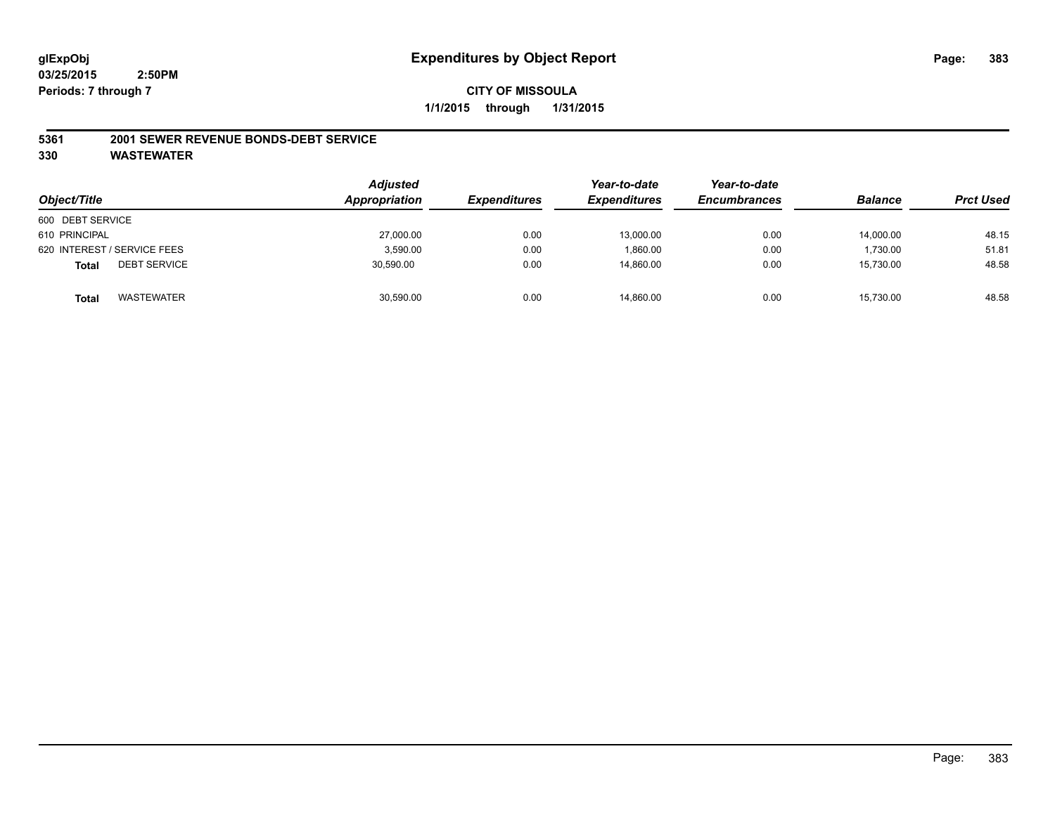#### **5361 2001 SEWER REVENUE BONDS-DEBT SERVICE**

| Object/Title                        | <b>Adjusted</b><br>Appropriation | <b>Expenditures</b> | Year-to-date<br><b>Expenditures</b> | Year-to-date<br><b>Encumbrances</b> | <b>Balance</b> | <b>Prct Used</b> |
|-------------------------------------|----------------------------------|---------------------|-------------------------------------|-------------------------------------|----------------|------------------|
| 600 DEBT SERVICE                    |                                  |                     |                                     |                                     |                |                  |
| 610 PRINCIPAL                       | 27,000.00                        | 0.00                | 13,000.00                           | 0.00                                | 14,000.00      | 48.15            |
| 620 INTEREST / SERVICE FEES         | 3,590.00                         | 0.00                | 1.860.00                            | 0.00                                | 1,730.00       | 51.81            |
| <b>DEBT SERVICE</b><br><b>Total</b> | 30.590.00                        | 0.00                | 14.860.00                           | 0.00                                | 15.730.00      | 48.58            |
| WASTEWATER<br><b>Total</b>          | 30,590.00                        | 0.00                | 14,860.00                           | 0.00                                | 15,730.00      | 48.58            |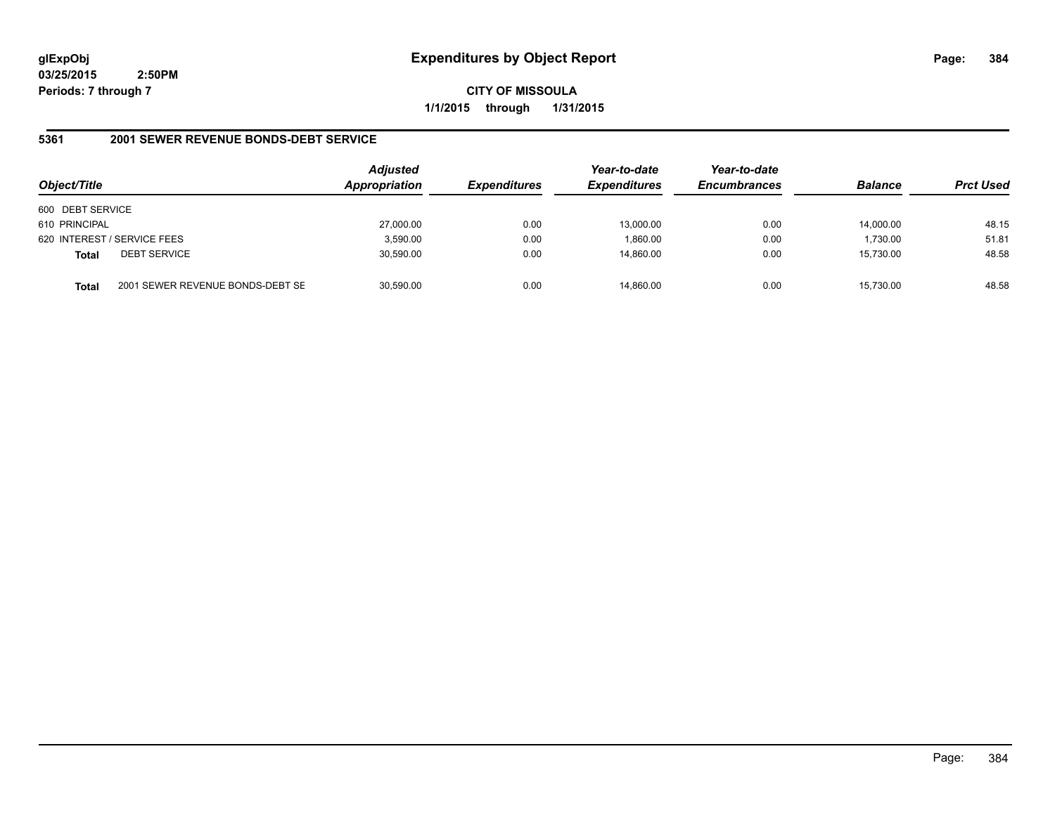**CITY OF MISSOULA 1/1/2015 through 1/31/2015**

## **5361 2001 SEWER REVENUE BONDS-DEBT SERVICE**

| Object/Title     |                                  | <b>Adjusted</b><br>Appropriation | <b>Expenditures</b> | Year-to-date<br><b>Expenditures</b> | Year-to-date<br><b>Encumbrances</b> | <b>Balance</b> | <b>Prct Used</b> |
|------------------|----------------------------------|----------------------------------|---------------------|-------------------------------------|-------------------------------------|----------------|------------------|
| 600 DEBT SERVICE |                                  |                                  |                     |                                     |                                     |                |                  |
| 610 PRINCIPAL    |                                  | 27,000.00                        | 0.00                | 13,000.00                           | 0.00                                | 14.000.00      | 48.15            |
|                  | 620 INTEREST / SERVICE FEES      | 3,590.00                         | 0.00                | 1.860.00                            | 0.00                                | 1,730.00       | 51.81            |
| <b>Total</b>     | <b>DEBT SERVICE</b>              | 30,590.00                        | 0.00                | 14.860.00                           | 0.00                                | 15,730.00      | 48.58            |
| Total            | 2001 SEWER REVENUE BONDS-DEBT SE | 30,590.00                        | 0.00                | 14.860.00                           | 0.00                                | 15,730.00      | 48.58            |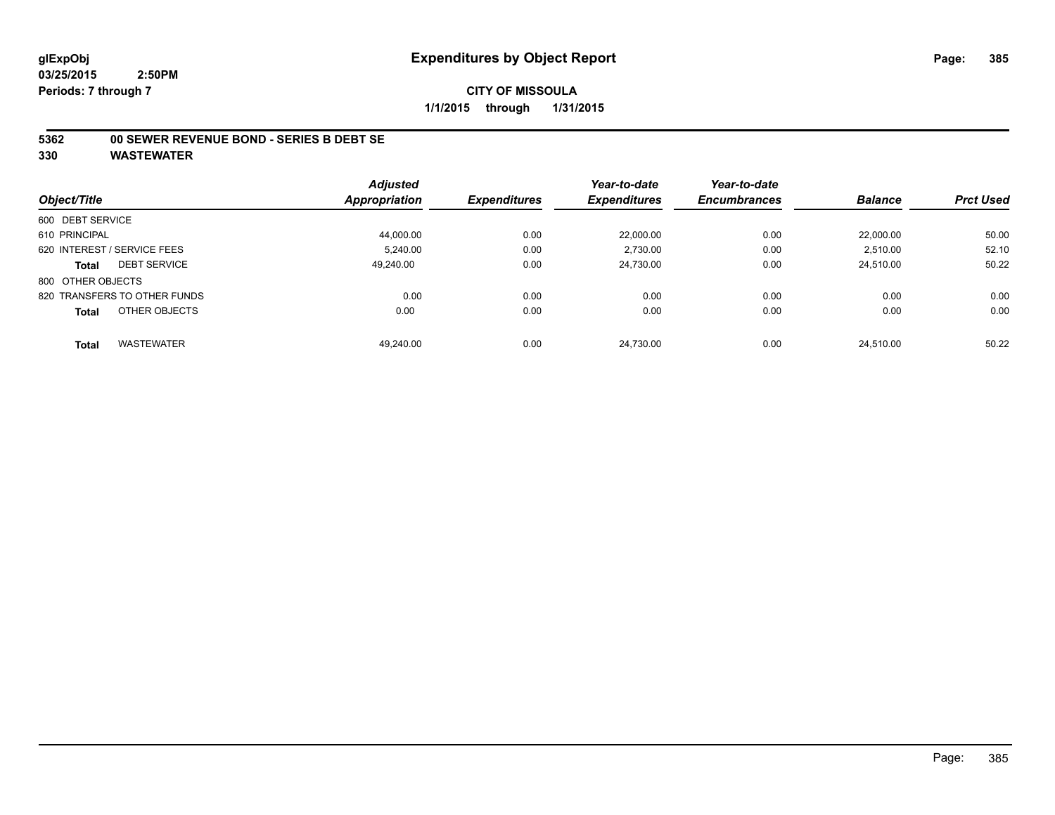#### **5362 00 SEWER REVENUE BOND - SERIES B DEBT SE**

|                                   | <b>Adjusted</b> |                     | Year-to-date        | Year-to-date        |                |                  |
|-----------------------------------|-----------------|---------------------|---------------------|---------------------|----------------|------------------|
| Object/Title                      | Appropriation   | <b>Expenditures</b> | <b>Expenditures</b> | <b>Encumbrances</b> | <b>Balance</b> | <b>Prct Used</b> |
| 600 DEBT SERVICE                  |                 |                     |                     |                     |                |                  |
| 610 PRINCIPAL                     | 44.000.00       | 0.00                | 22.000.00           | 0.00                | 22.000.00      | 50.00            |
| 620 INTEREST / SERVICE FEES       | 5.240.00        | 0.00                | 2,730.00            | 0.00                | 2,510.00       | 52.10            |
| <b>DEBT SERVICE</b><br>Total      | 49.240.00       | 0.00                | 24,730.00           | 0.00                | 24.510.00      | 50.22            |
| 800 OTHER OBJECTS                 |                 |                     |                     |                     |                |                  |
| 820 TRANSFERS TO OTHER FUNDS      | 0.00            | 0.00                | 0.00                | 0.00                | 0.00           | 0.00             |
| OTHER OBJECTS<br><b>Total</b>     | 0.00            | 0.00                | 0.00                | 0.00                | 0.00           | 0.00             |
| <b>WASTEWATER</b><br><b>Total</b> | 49.240.00       | 0.00                | 24.730.00           | 0.00                | 24.510.00      | 50.22            |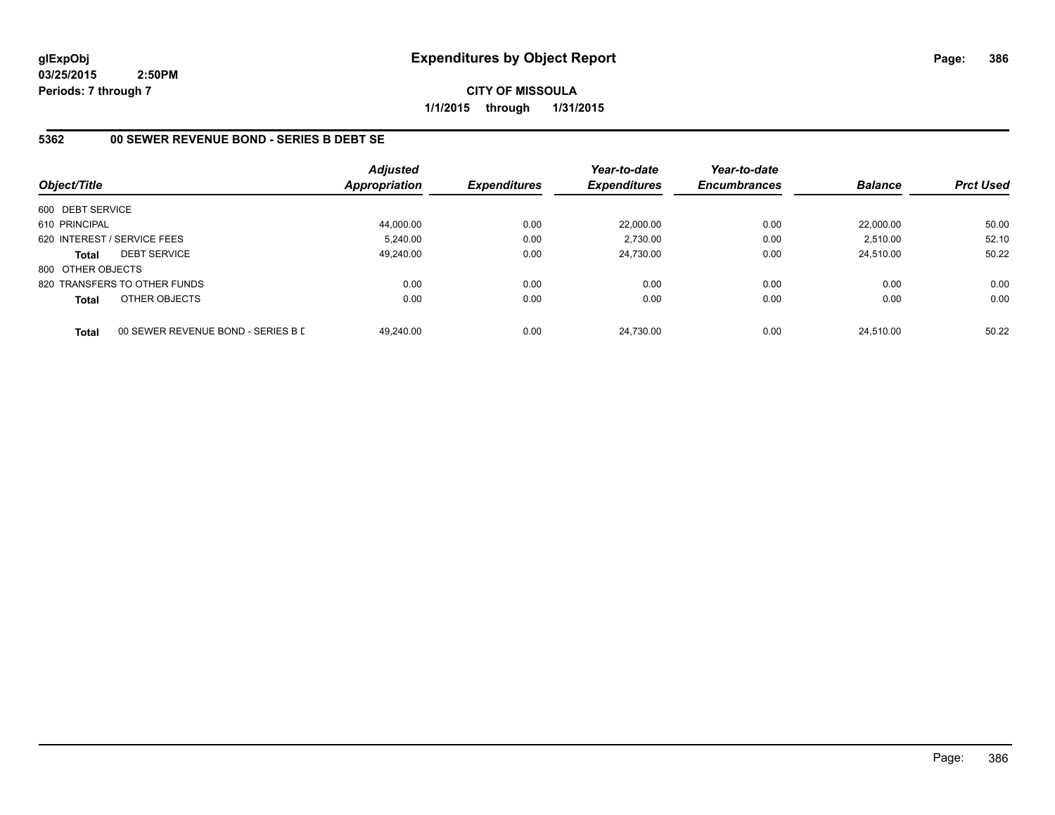**CITY OF MISSOULA 1/1/2015 through 1/31/2015**

## **5362 00 SEWER REVENUE BOND - SERIES B DEBT SE**

| Object/Title      |                                    | <b>Adjusted</b><br><b>Appropriation</b> | <b>Expenditures</b> | Year-to-date<br><b>Expenditures</b> | Year-to-date<br><b>Encumbrances</b> | <b>Balance</b> | <b>Prct Used</b> |
|-------------------|------------------------------------|-----------------------------------------|---------------------|-------------------------------------|-------------------------------------|----------------|------------------|
| 600 DEBT SERVICE  |                                    |                                         |                     |                                     |                                     |                |                  |
| 610 PRINCIPAL     |                                    | 44,000.00                               | 0.00                | 22,000.00                           | 0.00                                | 22.000.00      | 50.00            |
|                   | 620 INTEREST / SERVICE FEES        | 5.240.00                                | 0.00                | 2.730.00                            | 0.00                                | 2,510.00       | 52.10            |
| <b>Total</b>      | <b>DEBT SERVICE</b>                | 49.240.00                               | 0.00                | 24.730.00                           | 0.00                                | 24.510.00      | 50.22            |
| 800 OTHER OBJECTS |                                    |                                         |                     |                                     |                                     |                |                  |
|                   | 820 TRANSFERS TO OTHER FUNDS       | 0.00                                    | 0.00                | 0.00                                | 0.00                                | 0.00           | 0.00             |
| <b>Total</b>      | OTHER OBJECTS                      | 0.00                                    | 0.00                | 0.00                                | 0.00                                | 0.00           | 0.00             |
| <b>Total</b>      | 00 SEWER REVENUE BOND - SERIES B D | 49.240.00                               | 0.00                | 24.730.00                           | 0.00                                | 24.510.00      | 50.22            |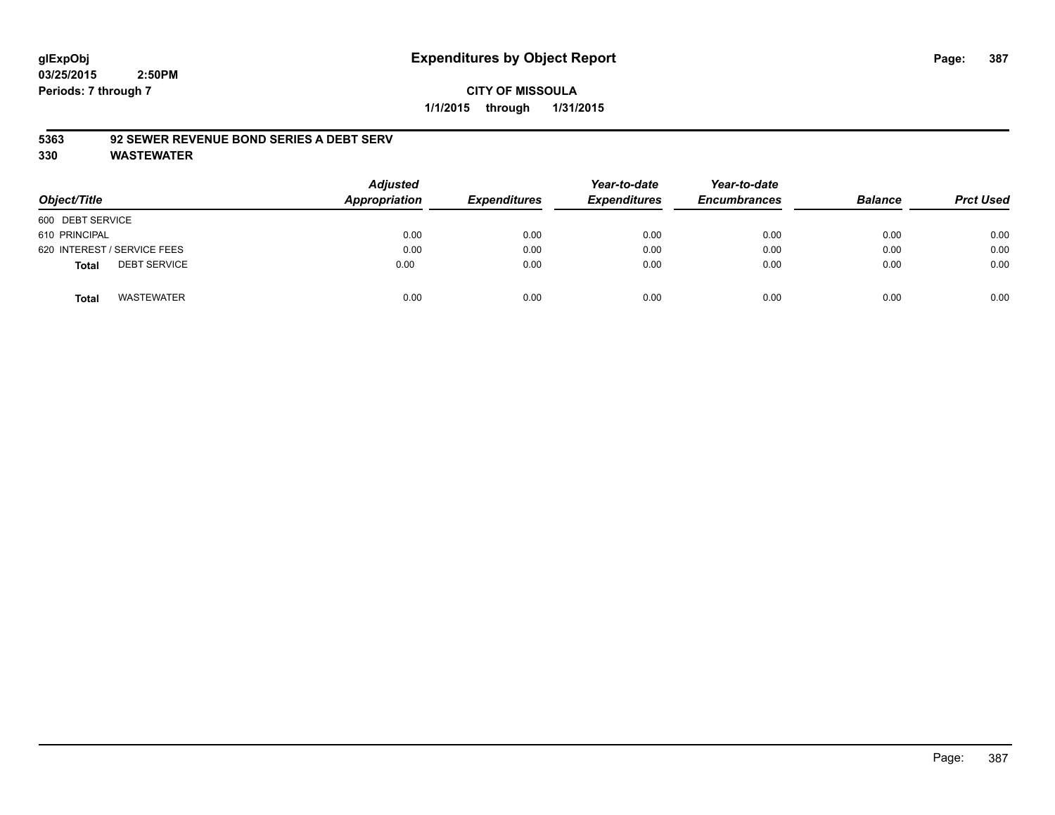## **CITY OF MISSOULA 1/1/2015 through 1/31/2015**

### **5363 92 SEWER REVENUE BOND SERIES A DEBT SERV**

| Object/Title                        | <b>Adjusted</b><br>Appropriation | <b>Expenditures</b> | Year-to-date<br><b>Expenditures</b> | Year-to-date<br><b>Encumbrances</b> | <b>Balance</b> | <b>Prct Used</b> |
|-------------------------------------|----------------------------------|---------------------|-------------------------------------|-------------------------------------|----------------|------------------|
| 600 DEBT SERVICE                    |                                  |                     |                                     |                                     |                |                  |
| 610 PRINCIPAL                       | 0.00                             | 0.00                | 0.00                                | 0.00                                | 0.00           | 0.00             |
| 620 INTEREST / SERVICE FEES         | 0.00                             | 0.00                | 0.00                                | 0.00                                | 0.00           | 0.00             |
| <b>DEBT SERVICE</b><br><b>Total</b> | 0.00                             | 0.00                | 0.00                                | 0.00                                | 0.00           | 0.00             |
| <b>WASTEWATER</b><br><b>Total</b>   | 0.00                             | 0.00                | 0.00                                | 0.00                                | 0.00           | 0.00             |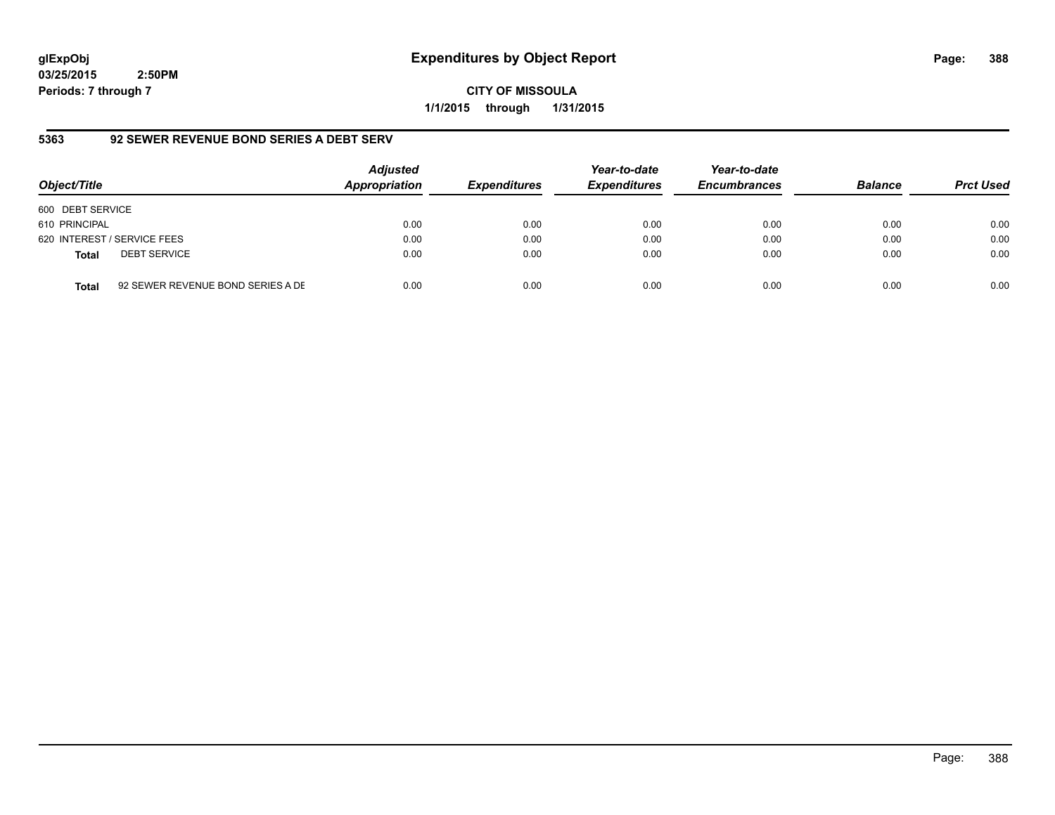# **glExpObj Expenditures by Object Report Page: 388**

**03/25/2015 2:50PM Periods: 7 through 7**

**CITY OF MISSOULA 1/1/2015 through 1/31/2015**

## **5363 92 SEWER REVENUE BOND SERIES A DEBT SERV**

| Object/Title     |                                   | <b>Adjusted</b><br>Appropriation | <b>Expenditures</b> | Year-to-date<br><b>Expenditures</b> | Year-to-date<br><b>Encumbrances</b> | <b>Balance</b> | <b>Prct Used</b> |
|------------------|-----------------------------------|----------------------------------|---------------------|-------------------------------------|-------------------------------------|----------------|------------------|
| 600 DEBT SERVICE |                                   |                                  |                     |                                     |                                     |                |                  |
| 610 PRINCIPAL    |                                   | 0.00                             | 0.00                | 0.00                                | 0.00                                | 0.00           | 0.00             |
|                  | 620 INTEREST / SERVICE FEES       | 0.00                             | 0.00                | 0.00                                | 0.00                                | 0.00           | 0.00             |
| <b>Total</b>     | <b>DEBT SERVICE</b>               | 0.00                             | 0.00                | 0.00                                | 0.00                                | 0.00           | 0.00             |
| <b>Total</b>     | 92 SEWER REVENUE BOND SERIES A DE | 0.00                             | 0.00                | 0.00                                | 0.00                                | 0.00           | 0.00             |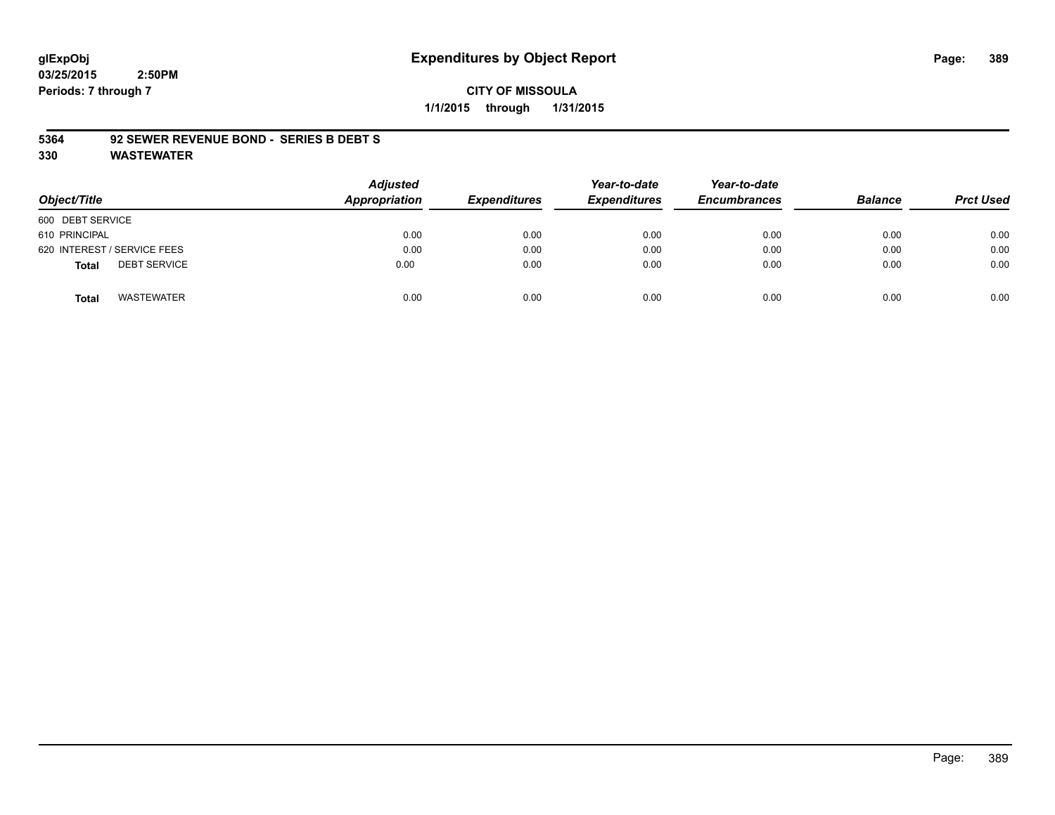#### **CITY OF MISSOULA 1/1/2015 through 1/31/2015**

#### **5364 92 SEWER REVENUE BOND - SERIES B DEBT S**

| Object/Title                        | <b>Adjusted</b><br>Appropriation | <b>Expenditures</b> | Year-to-date<br><b>Expenditures</b> | Year-to-date<br><b>Encumbrances</b> | <b>Balance</b> | <b>Prct Used</b> |
|-------------------------------------|----------------------------------|---------------------|-------------------------------------|-------------------------------------|----------------|------------------|
|                                     |                                  |                     |                                     |                                     |                |                  |
| 600 DEBT SERVICE                    |                                  |                     |                                     |                                     |                |                  |
| 610 PRINCIPAL                       | 0.00                             | 0.00                | 0.00                                | 0.00                                | 0.00           | 0.00             |
| 620 INTEREST / SERVICE FEES         | 0.00                             | 0.00                | 0.00                                | 0.00                                | 0.00           | 0.00             |
| <b>DEBT SERVICE</b><br><b>Total</b> | 0.00                             | 0.00                | 0.00                                | 0.00                                | 0.00           | 0.00             |
| WASTEWATER<br><b>Total</b>          | 0.00                             | 0.00                | 0.00                                | 0.00                                | 0.00           | 0.00             |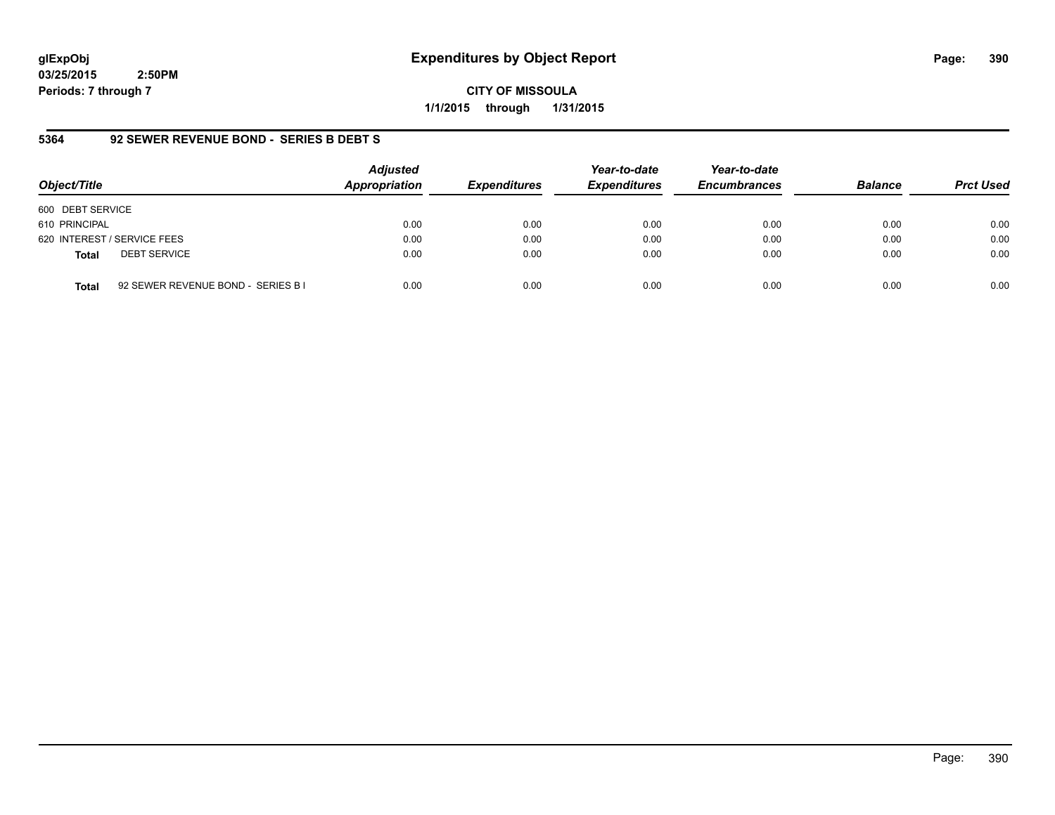# **glExpObj Expenditures by Object Report Page: 390**

**03/25/2015 2:50PM Periods: 7 through 7**

**CITY OF MISSOULA 1/1/2015 through 1/31/2015**

## **5364 92 SEWER REVENUE BOND - SERIES B DEBT S**

| Object/Title                        | <b>Adjusted</b><br>Appropriation           | <b>Expenditures</b> | Year-to-date<br><b>Expenditures</b> | Year-to-date<br><b>Encumbrances</b> | <b>Balance</b> | <b>Prct Used</b> |
|-------------------------------------|--------------------------------------------|---------------------|-------------------------------------|-------------------------------------|----------------|------------------|
| 600 DEBT SERVICE                    |                                            |                     |                                     |                                     |                |                  |
| 610 PRINCIPAL                       | 0.00                                       | 0.00                | 0.00                                | 0.00                                | 0.00           | 0.00             |
| 620 INTEREST / SERVICE FEES         | 0.00                                       | 0.00                | 0.00                                | 0.00                                | 0.00           | 0.00             |
| <b>DEBT SERVICE</b><br><b>Total</b> | 0.00                                       | 0.00                | 0.00                                | 0.00                                | 0.00           | 0.00             |
| <b>Total</b>                        | 0.00<br>92 SEWER REVENUE BOND - SERIES B I | 0.00                | 0.00                                | 0.00                                | 0.00           | 0.00             |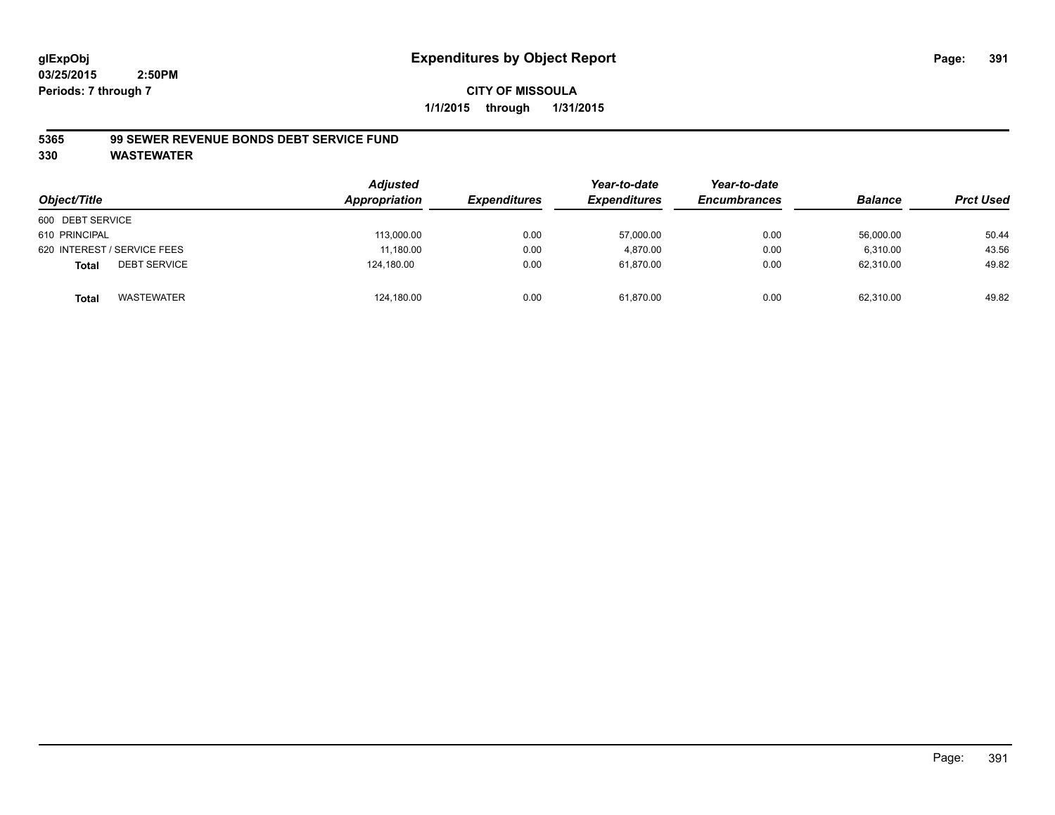#### **5365 99 SEWER REVENUE BONDS DEBT SERVICE FUND**

| Object/Title                        | <b>Adjusted</b><br>Appropriation | <b>Expenditures</b> | Year-to-date<br><b>Expenditures</b> | Year-to-date<br><b>Encumbrances</b> | <b>Balance</b> | <b>Prct Used</b> |
|-------------------------------------|----------------------------------|---------------------|-------------------------------------|-------------------------------------|----------------|------------------|
| 600 DEBT SERVICE                    |                                  |                     |                                     |                                     |                |                  |
| 610 PRINCIPAL                       | 113,000.00                       | 0.00                | 57,000.00                           | 0.00                                | 56,000.00      | 50.44            |
| 620 INTEREST / SERVICE FEES         | 11,180.00                        | 0.00                | 4.870.00                            | 0.00                                | 6.310.00       | 43.56            |
| <b>DEBT SERVICE</b><br><b>Total</b> | 124,180.00                       | 0.00                | 61,870.00                           | 0.00                                | 62,310.00      | 49.82            |
| WASTEWATER<br>Total                 | 124,180.00                       | 0.00                | 61,870.00                           | 0.00                                | 62.310.00      | 49.82            |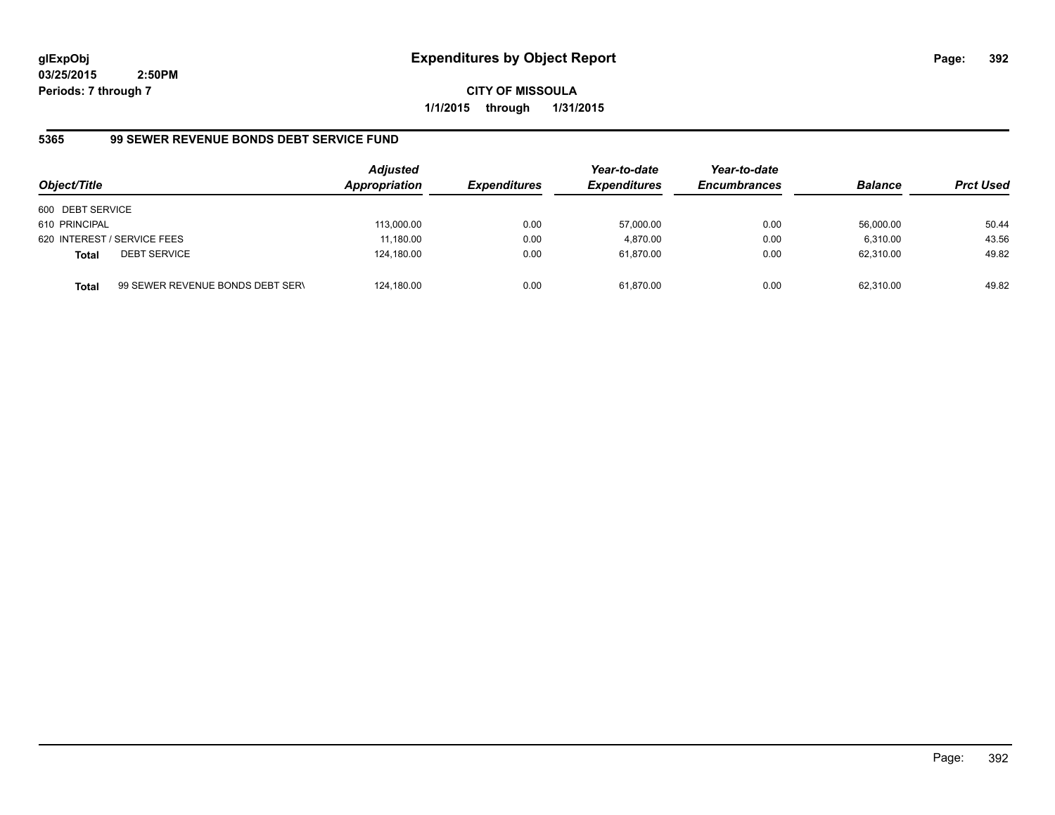**CITY OF MISSOULA 1/1/2015 through 1/31/2015**

# **5365 99 SEWER REVENUE BONDS DEBT SERVICE FUND**

| Object/Title     |                                  | <b>Adjusted</b><br>Appropriation | <b>Expenditures</b> | Year-to-date<br><b>Expenditures</b> | Year-to-date<br><b>Encumbrances</b> | <b>Balance</b> | <b>Prct Used</b> |
|------------------|----------------------------------|----------------------------------|---------------------|-------------------------------------|-------------------------------------|----------------|------------------|
| 600 DEBT SERVICE |                                  |                                  |                     |                                     |                                     |                |                  |
| 610 PRINCIPAL    |                                  | 113,000.00                       | 0.00                | 57,000.00                           | 0.00                                | 56.000.00      | 50.44            |
|                  | 620 INTEREST / SERVICE FEES      | 11,180.00                        | 0.00                | 4.870.00                            | 0.00                                | 6.310.00       | 43.56            |
| <b>Total</b>     | <b>DEBT SERVICE</b>              | 124,180.00                       | 0.00                | 61.870.00                           | 0.00                                | 62.310.00      | 49.82            |
| Total            | 99 SEWER REVENUE BONDS DEBT SERN | 124,180.00                       | 0.00                | 61.870.00                           | 0.00                                | 62.310.00      | 49.82            |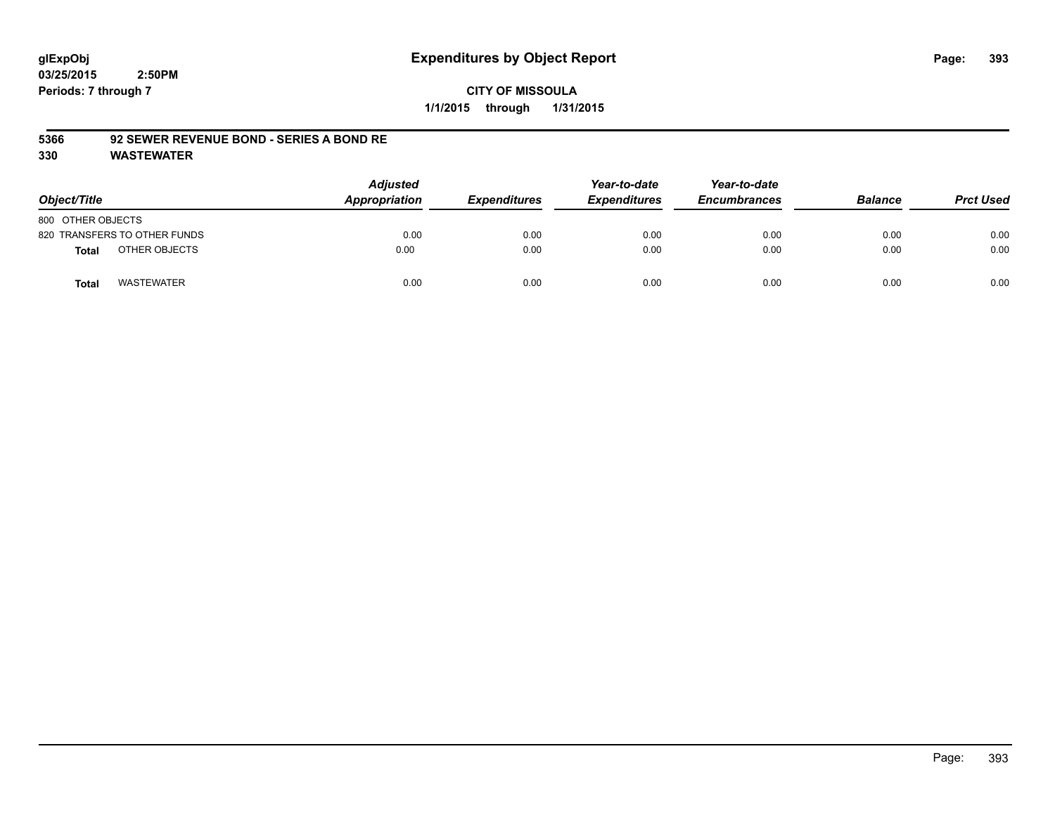## **CITY OF MISSOULA 1/1/2015 through 1/31/2015**

#### **5366 92 SEWER REVENUE BOND - SERIES A BOND RE**

| Object/Title                      | <b>Adjusted</b><br>Appropriation | <b>Expenditures</b> | Year-to-date<br><b>Expenditures</b> | Year-to-date<br><b>Encumbrances</b> | <b>Balance</b> | <b>Prct Used</b> |
|-----------------------------------|----------------------------------|---------------------|-------------------------------------|-------------------------------------|----------------|------------------|
| 800 OTHER OBJECTS                 |                                  |                     |                                     |                                     |                |                  |
| 820 TRANSFERS TO OTHER FUNDS      | 0.00                             | 0.00                | 0.00                                | 0.00                                | 0.00           | 0.00             |
| OTHER OBJECTS<br>Total            | 0.00                             | 0.00                | 0.00                                | 0.00                                | 0.00           | 0.00             |
| <b>WASTEWATER</b><br><b>Total</b> | 0.00                             | 0.00                | 0.00                                | 0.00                                | 0.00           | 0.00             |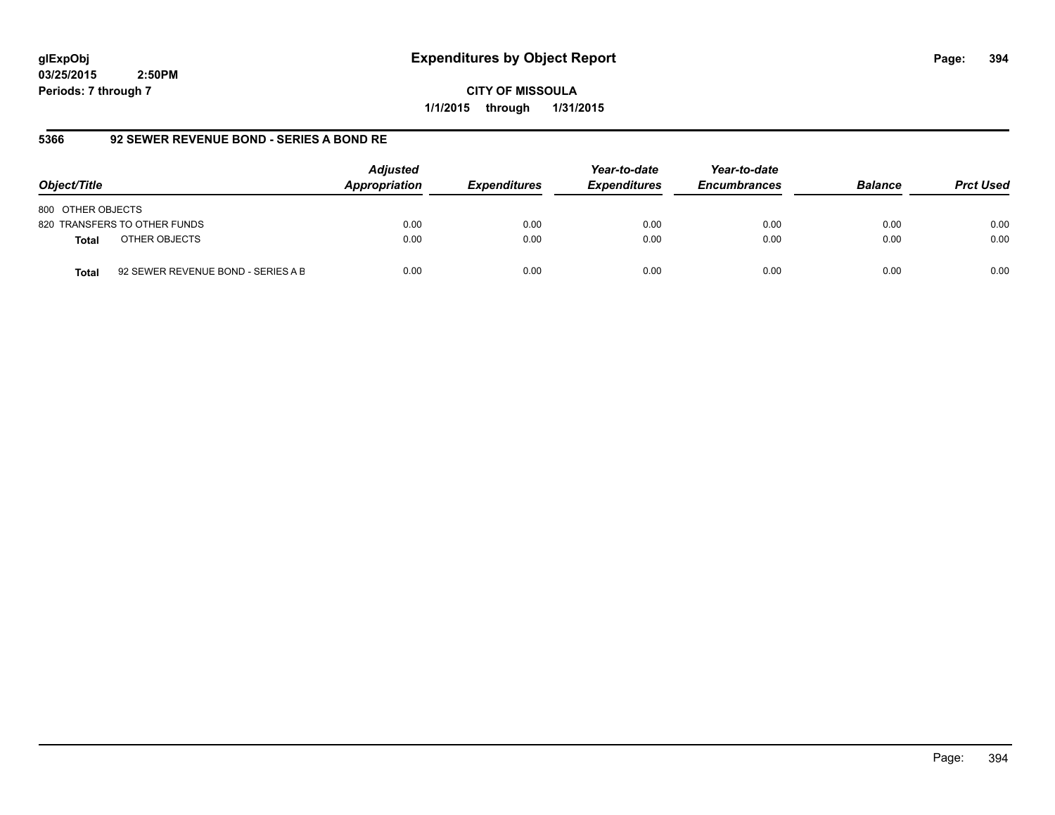**CITY OF MISSOULA 1/1/2015 through 1/31/2015**

#### **5366 92 SEWER REVENUE BOND - SERIES A BOND RE**

| Object/Title                                       | <b>Adjusted</b><br>Appropriation | <b>Expenditures</b> | Year-to-date<br><b>Expenditures</b> | Year-to-date<br><b>Encumbrances</b> | <b>Balance</b> | <b>Prct Used</b> |
|----------------------------------------------------|----------------------------------|---------------------|-------------------------------------|-------------------------------------|----------------|------------------|
| 800 OTHER OBJECTS                                  |                                  |                     |                                     |                                     |                |                  |
| 820 TRANSFERS TO OTHER FUNDS                       | 0.00                             | 0.00                | 0.00                                | 0.00                                | 0.00           | 0.00             |
| OTHER OBJECTS<br><b>Total</b>                      | 0.00                             | 0.00                | 0.00                                | 0.00                                | 0.00           | 0.00             |
| 92 SEWER REVENUE BOND - SERIES A B<br><b>Total</b> | 0.00                             | 0.00                | 0.00                                | 0.00                                | 0.00           | 0.00             |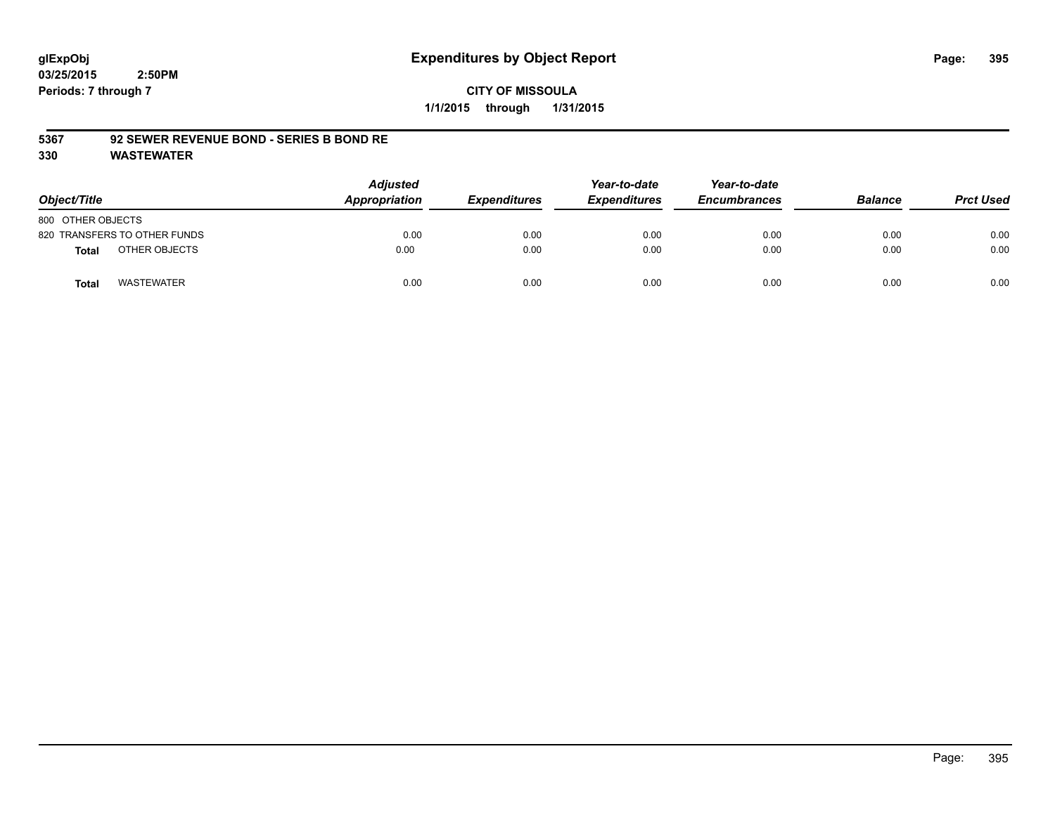## **CITY OF MISSOULA 1/1/2015 through 1/31/2015**

#### **5367 92 SEWER REVENUE BOND - SERIES B BOND RE**

| Object/Title                 | <b>Adjusted</b><br>Appropriation | <b>Expenditures</b> | Year-to-date<br><b>Expenditures</b> | Year-to-date<br><b>Encumbrances</b> | <b>Balance</b> | <b>Prct Used</b> |
|------------------------------|----------------------------------|---------------------|-------------------------------------|-------------------------------------|----------------|------------------|
| 800 OTHER OBJECTS            |                                  |                     |                                     |                                     |                |                  |
| 820 TRANSFERS TO OTHER FUNDS | 0.00                             | 0.00                | 0.00                                | 0.00                                | 0.00           | 0.00             |
| OTHER OBJECTS<br>Total       | 0.00                             | 0.00                | 0.00                                | 0.00                                | 0.00           | 0.00             |
| <b>WASTEWATER</b><br>Total   | 0.00                             | 0.00                | 0.00                                | 0.00                                | 0.00           | 0.00             |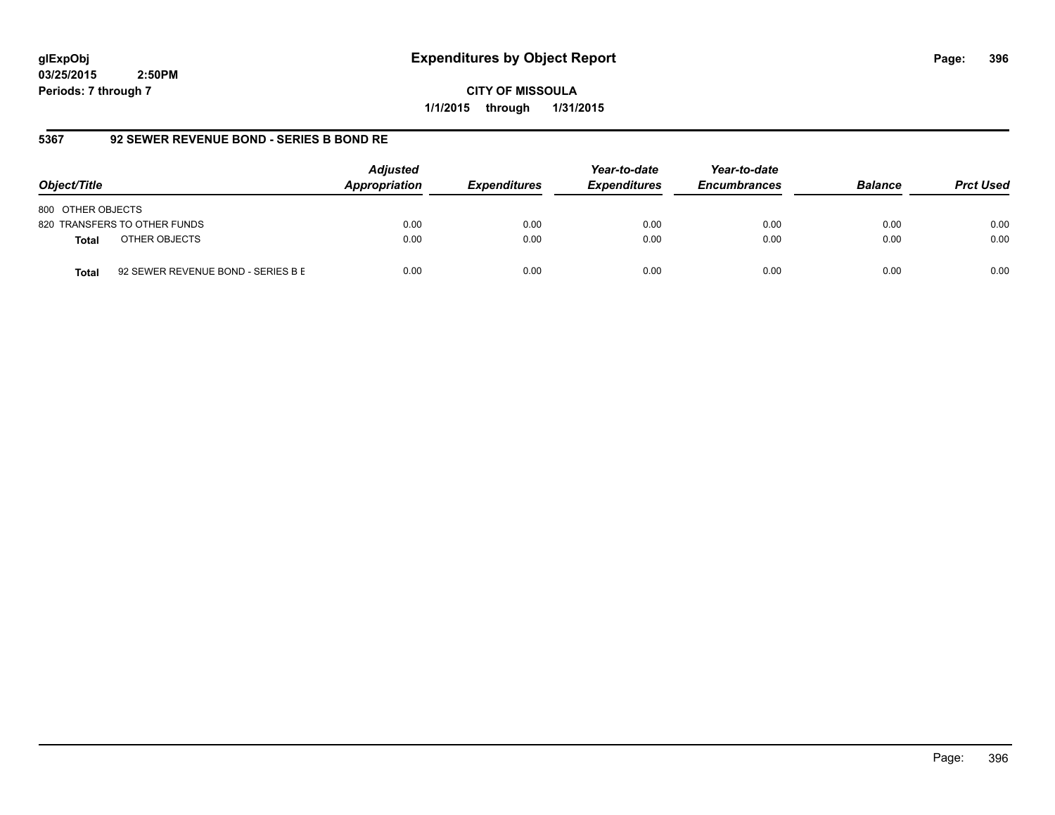**CITY OF MISSOULA 1/1/2015 through 1/31/2015**

## **5367 92 SEWER REVENUE BOND - SERIES B BOND RE**

| Object/Title                                       | <b>Adjusted</b><br>Appropriation | <b>Expenditures</b> | Year-to-date<br><b>Expenditures</b> | Year-to-date<br><b>Encumbrances</b> | <b>Balance</b> | <b>Prct Used</b> |
|----------------------------------------------------|----------------------------------|---------------------|-------------------------------------|-------------------------------------|----------------|------------------|
| 800 OTHER OBJECTS                                  |                                  |                     |                                     |                                     |                |                  |
| 820 TRANSFERS TO OTHER FUNDS                       | 0.00                             | 0.00                | 0.00                                | 0.00                                | 0.00           | 0.00             |
| OTHER OBJECTS<br><b>Total</b>                      | 0.00                             | 0.00                | 0.00                                | 0.00                                | 0.00           | 0.00             |
| 92 SEWER REVENUE BOND - SERIES B E<br><b>Total</b> | 0.00                             | 0.00                | 0.00                                | 0.00                                | 0.00           | 0.00             |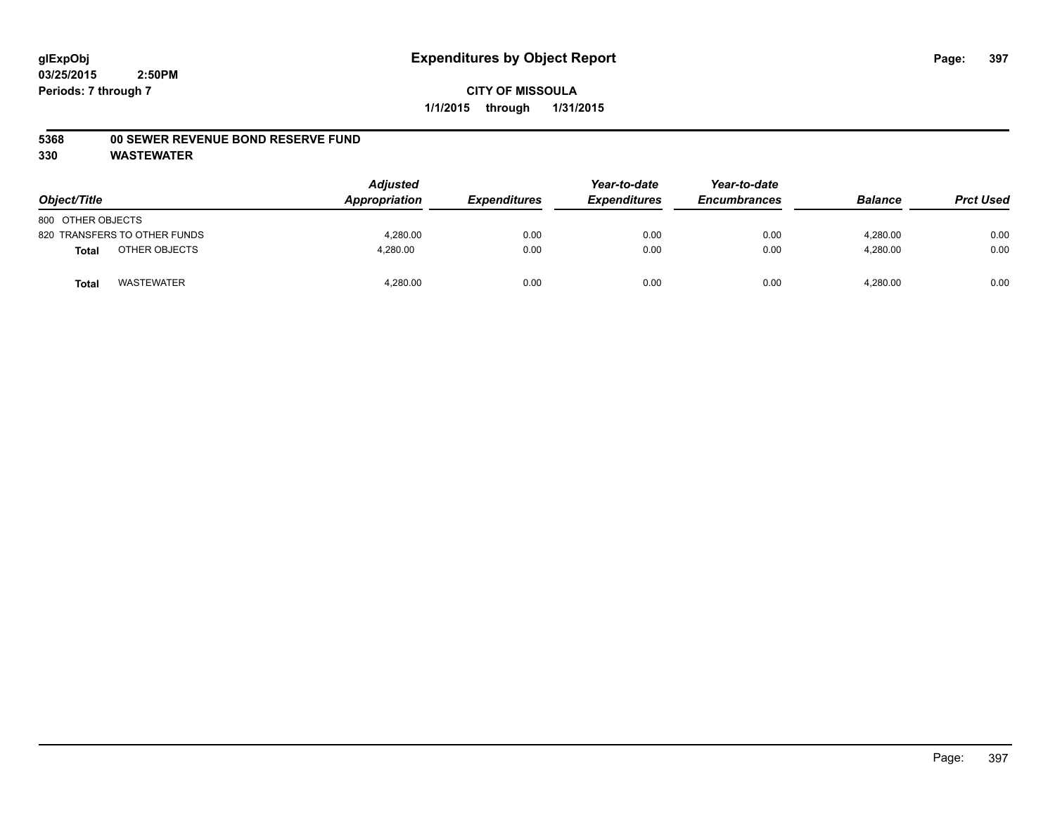## **5368 00 SEWER REVENUE BOND RESERVE FUND**

| Object/Title      |                              | Adjusted<br>Appropriation | <b>Expenditures</b> | Year-to-date<br><b>Expenditures</b> | Year-to-date<br><b>Encumbrances</b> | <b>Balance</b> | <b>Prct Used</b> |
|-------------------|------------------------------|---------------------------|---------------------|-------------------------------------|-------------------------------------|----------------|------------------|
| 800 OTHER OBJECTS |                              |                           |                     |                                     |                                     |                |                  |
|                   | 820 TRANSFERS TO OTHER FUNDS | 4,280.00                  | 0.00                | 0.00                                | 0.00                                | 4,280.00       | 0.00             |
| <b>Total</b>      | OTHER OBJECTS                | 4,280.00                  | 0.00                | 0.00                                | 0.00                                | 4,280.00       | 0.00             |
| <b>Total</b>      | <b>WASTEWATER</b>            | 4,280.00                  | 0.00                | 0.00                                | 0.00                                | 4,280.00       | 0.00             |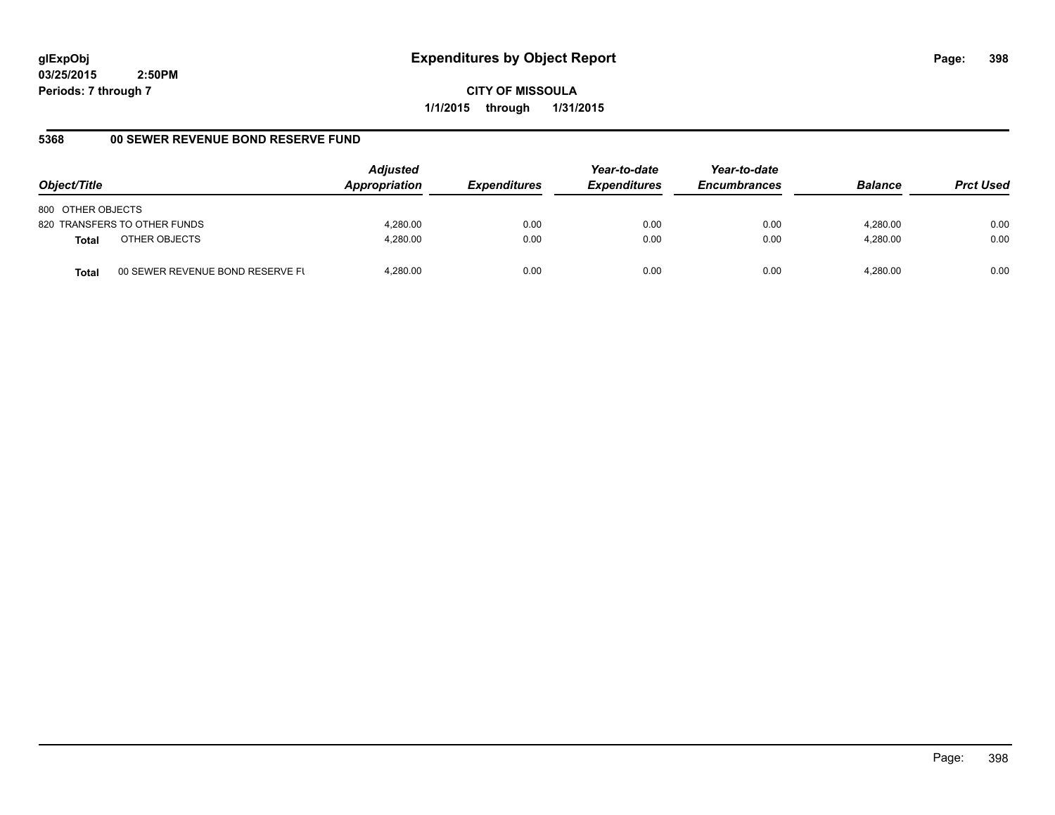**CITY OF MISSOULA 1/1/2015 through 1/31/2015**

## **5368 00 SEWER REVENUE BOND RESERVE FUND**

| Object/Title                                     | <b>Adjusted</b><br>Appropriation | <b>Expenditures</b> | Year-to-date<br><b>Expenditures</b> | Year-to-date<br><b>Encumbrances</b> | <b>Balance</b> | <b>Prct Used</b> |
|--------------------------------------------------|----------------------------------|---------------------|-------------------------------------|-------------------------------------|----------------|------------------|
| 800 OTHER OBJECTS                                |                                  |                     |                                     |                                     |                |                  |
| 820 TRANSFERS TO OTHER FUNDS                     | 4.280.00                         | 0.00                | 0.00                                | 0.00                                | 4.280.00       | 0.00             |
| OTHER OBJECTS<br>Total                           | 4.280.00                         | 0.00                | 0.00                                | 0.00                                | 4.280.00       | 0.00             |
| 00 SEWER REVENUE BOND RESERVE FL<br><b>Total</b> | 4.280.00                         | 0.00                | 0.00                                | 0.00                                | 4.280.00       | 0.00             |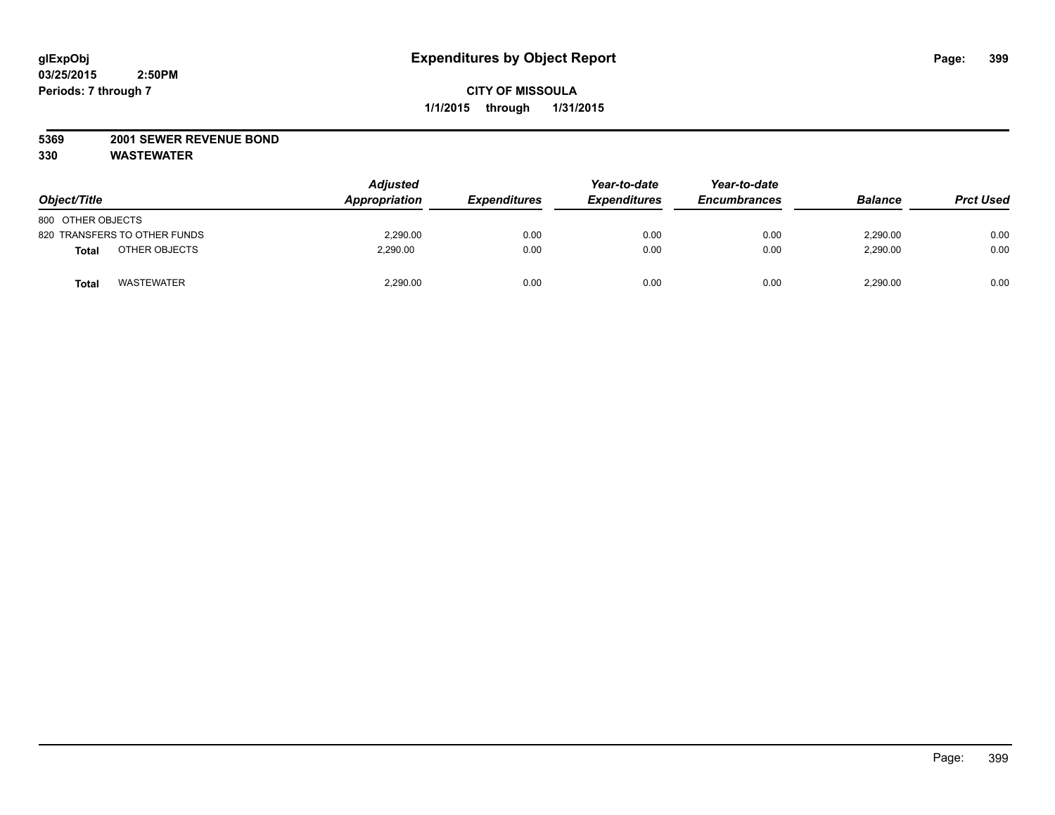## **5369 2001 SEWER REVENUE BOND**

| Object/Title                  | <b>Adjusted</b><br>Appropriation | <b>Expenditures</b> | Year-to-date<br><b>Expenditures</b> | Year-to-date<br><b>Encumbrances</b> | <b>Balance</b> | <b>Prct Used</b> |
|-------------------------------|----------------------------------|---------------------|-------------------------------------|-------------------------------------|----------------|------------------|
| 800 OTHER OBJECTS             |                                  |                     |                                     |                                     |                |                  |
| 820 TRANSFERS TO OTHER FUNDS  | 2.290.00                         | 0.00                | 0.00                                | 0.00                                | 2.290.00       | 0.00             |
| OTHER OBJECTS<br><b>Total</b> | 2.290.00                         | 0.00                | 0.00                                | 0.00                                | 2,290.00       | 0.00             |
| <b>WASTEWATER</b><br>Total    | 2,290.00                         | 0.00                | 0.00                                | 0.00                                | 2,290.00       | 0.00             |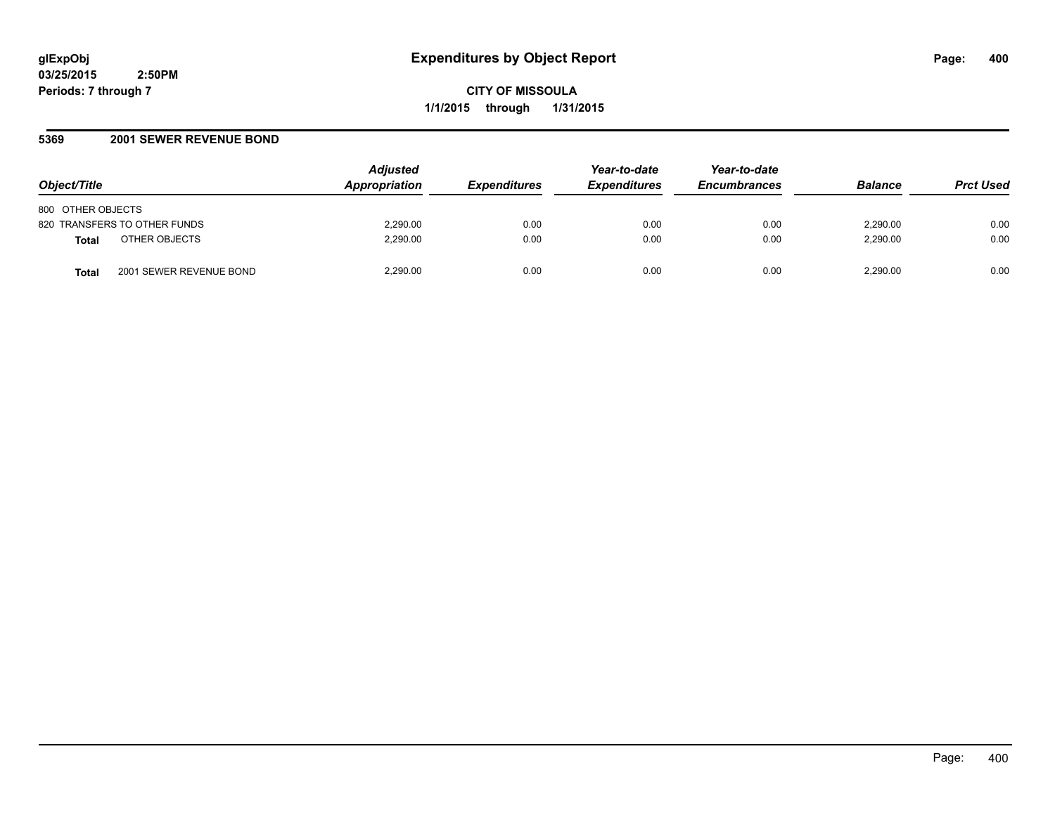**CITY OF MISSOULA 1/1/2015 through 1/31/2015**

## **5369 2001 SEWER REVENUE BOND**

| Object/Title                                 | <b>Adjusted</b><br><b>Appropriation</b> | <i><b>Expenditures</b></i> | Year-to-date<br><b>Expenditures</b> | Year-to-date<br><b>Encumbrances</b> | <b>Balance</b> | <b>Prct Used</b> |
|----------------------------------------------|-----------------------------------------|----------------------------|-------------------------------------|-------------------------------------|----------------|------------------|
| 800 OTHER OBJECTS                            |                                         |                            |                                     |                                     |                |                  |
| 820 TRANSFERS TO OTHER FUNDS                 | 2,290.00                                | 0.00                       | 0.00                                | 0.00                                | 2.290.00       | 0.00             |
| OTHER OBJECTS<br><b>Total</b>                | 2.290.00                                | 0.00                       | 0.00                                | 0.00                                | 2.290.00       | 0.00             |
| 2001 SEWER REVENUE BOND<br>Tota <sub>i</sub> | 2.290.00                                | 0.00                       | 0.00                                | 0.00                                | 2,290.00       | 0.00             |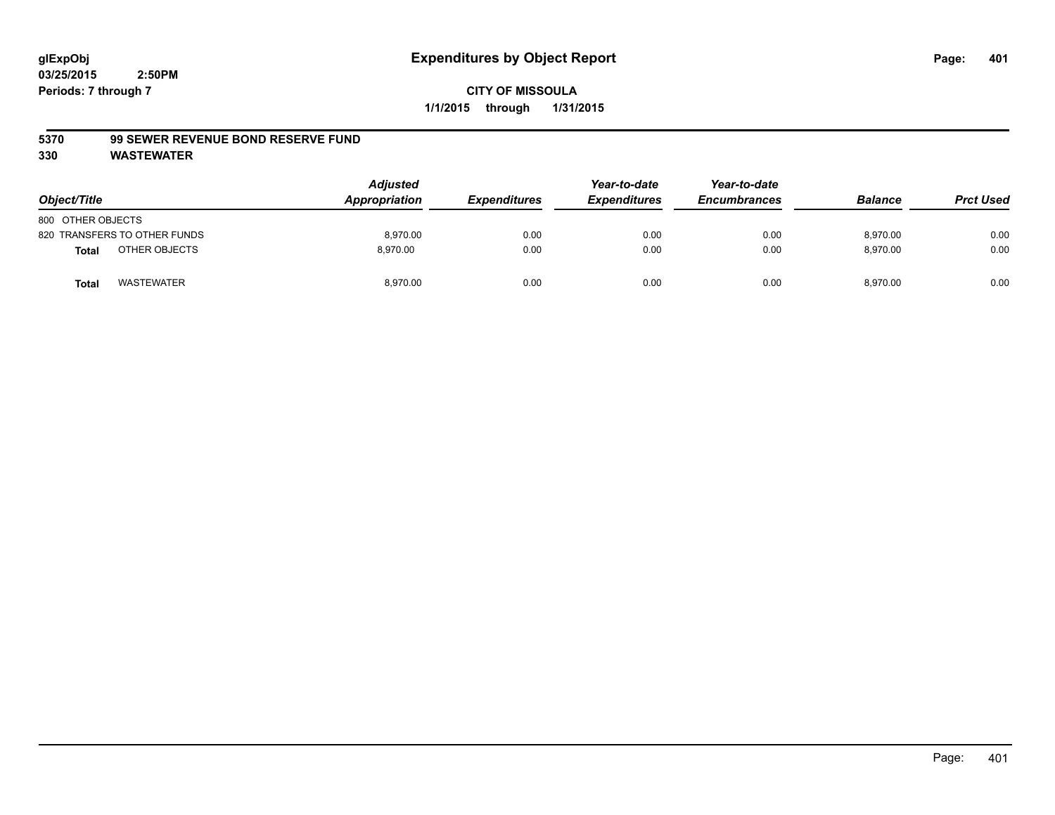#### **5370 99 SEWER REVENUE BOND RESERVE FUND**

| Object/Title      |                              | <b>Adjusted</b><br>Appropriation | <b>Expenditures</b> | Year-to-date<br><b>Expenditures</b> | Year-to-date<br><b>Encumbrances</b> | <b>Balance</b> | <b>Prct Used</b> |
|-------------------|------------------------------|----------------------------------|---------------------|-------------------------------------|-------------------------------------|----------------|------------------|
| 800 OTHER OBJECTS |                              |                                  |                     |                                     |                                     |                |                  |
|                   | 820 TRANSFERS TO OTHER FUNDS | 8,970.00                         | 0.00                | 0.00                                | 0.00                                | 8,970.00       | 0.00             |
| <b>Total</b>      | OTHER OBJECTS                | 8.970.00                         | 0.00                | 0.00                                | 0.00                                | 8,970.00       | 0.00             |
| <b>Total</b>      | <b>WASTEWATER</b>            | 8,970.00                         | 0.00                | 0.00                                | 0.00                                | 8,970.00       | 0.00             |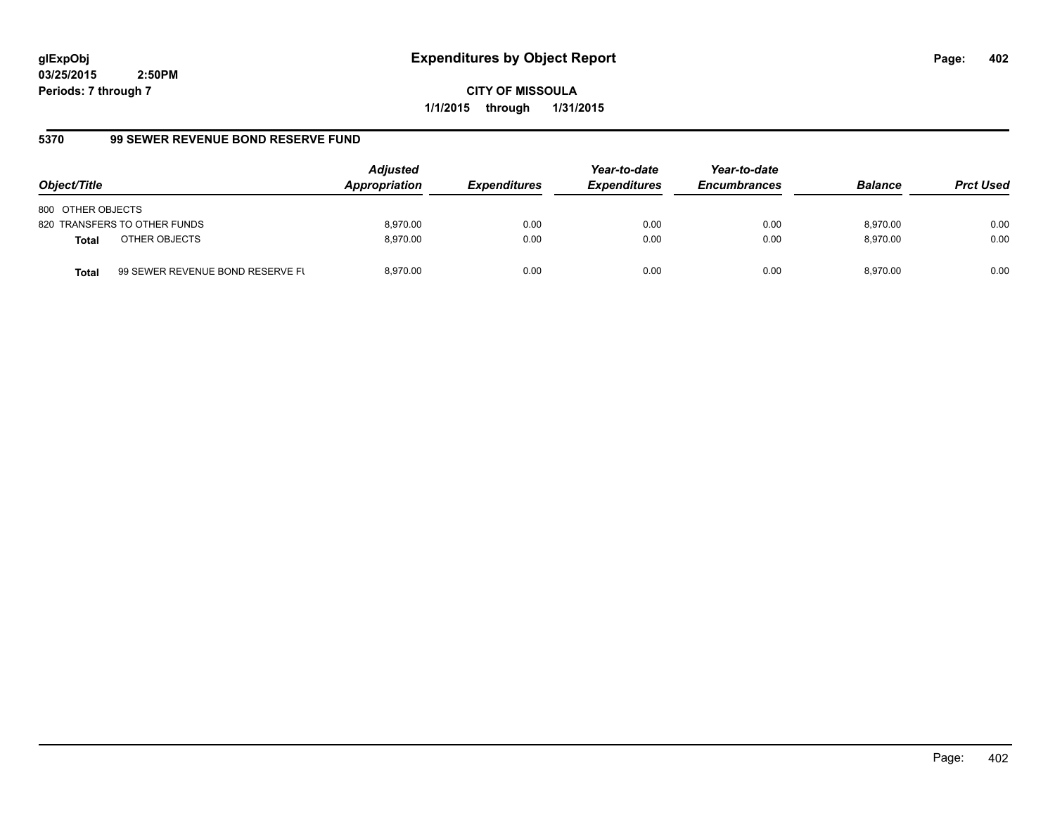**CITY OF MISSOULA 1/1/2015 through 1/31/2015**

# **5370 99 SEWER REVENUE BOND RESERVE FUND**

| Object/Title                  |                                  | <b>Adjusted</b><br>Appropriation | <b>Expenditures</b> | Year-to-date<br><b>Expenditures</b> | Year-to-date<br><b>Encumbrances</b> | <b>Balance</b> | <b>Prct Used</b> |
|-------------------------------|----------------------------------|----------------------------------|---------------------|-------------------------------------|-------------------------------------|----------------|------------------|
| 800 OTHER OBJECTS             |                                  |                                  |                     |                                     |                                     |                |                  |
| 820 TRANSFERS TO OTHER FUNDS  |                                  | 8.970.00                         | 0.00                | 0.00                                | 0.00                                | 8.970.00       | 0.00             |
| OTHER OBJECTS<br><b>Total</b> |                                  | 8.970.00                         | 0.00                | 0.00                                | 0.00                                | 8.970.00       | 0.00             |
| <b>Total</b>                  | 99 SEWER REVENUE BOND RESERVE FL | 8.970.00                         | 0.00                | 0.00                                | 0.00                                | 8.970.00       | 0.00             |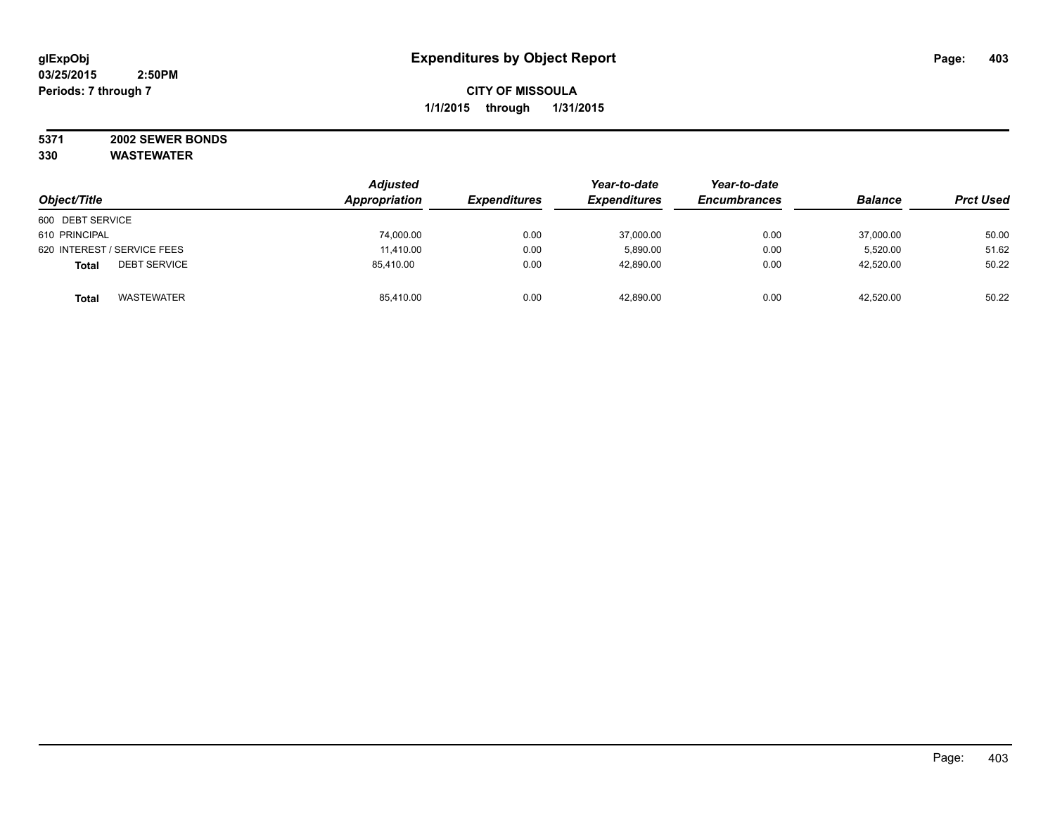#### **5371 2002 SEWER BONDS 330 WASTEWATER**

| Object/Title                        | <b>Adjusted</b><br>Appropriation | <b>Expenditures</b> | Year-to-date<br><b>Expenditures</b> | Year-to-date<br><b>Encumbrances</b> | <b>Balance</b> | <b>Prct Used</b> |
|-------------------------------------|----------------------------------|---------------------|-------------------------------------|-------------------------------------|----------------|------------------|
| 600 DEBT SERVICE                    |                                  |                     |                                     |                                     |                |                  |
| 610 PRINCIPAL                       | 74,000.00                        | 0.00                | 37,000.00                           | 0.00                                | 37,000.00      | 50.00            |
| 620 INTEREST / SERVICE FEES         | 11.410.00                        | 0.00                | 5.890.00                            | 0.00                                | 5.520.00       | 51.62            |
| <b>DEBT SERVICE</b><br><b>Total</b> | 85.410.00                        | 0.00                | 42,890.00                           | 0.00                                | 42,520.00      | 50.22            |
| <b>WASTEWATER</b><br><b>Total</b>   | 85,410.00                        | 0.00                | 42,890.00                           | 0.00                                | 42,520.00      | 50.22            |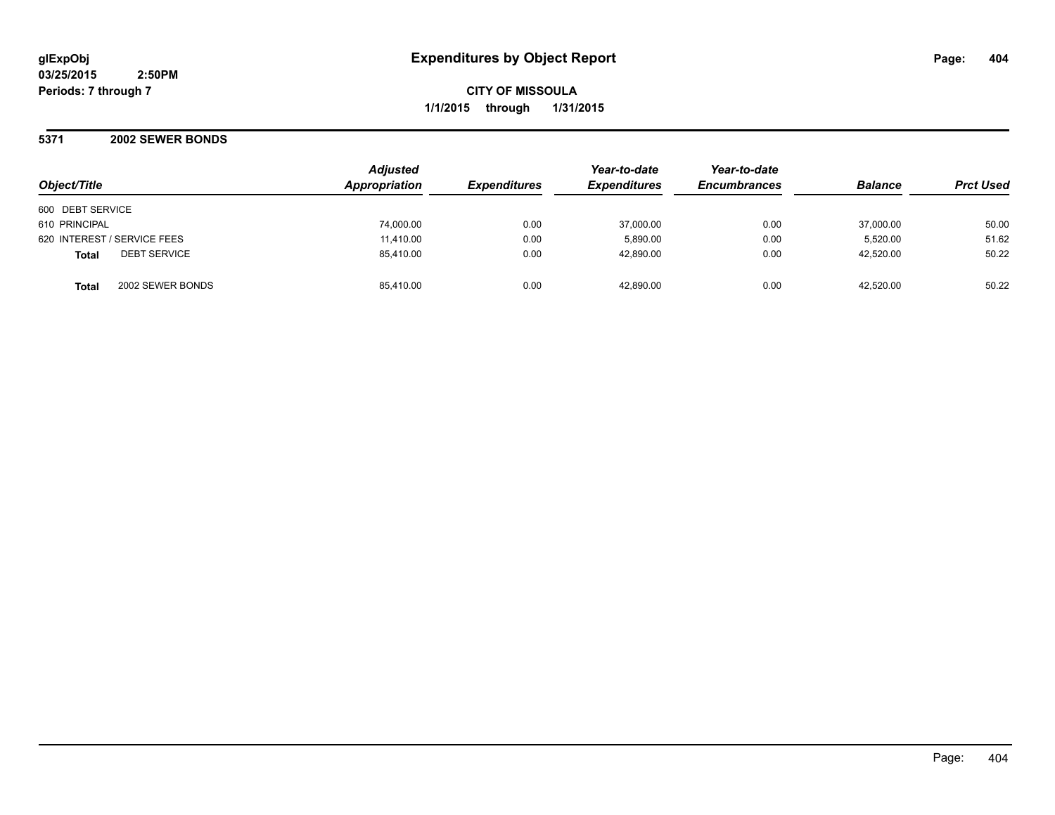## **5371 2002 SEWER BONDS**

| Object/Title                        | <b>Adjusted</b><br><b>Appropriation</b> | <b>Expenditures</b> | Year-to-date<br><b>Expenditures</b> | Year-to-date<br><b>Encumbrances</b> | <b>Balance</b> | <b>Prct Used</b> |
|-------------------------------------|-----------------------------------------|---------------------|-------------------------------------|-------------------------------------|----------------|------------------|
| 600 DEBT SERVICE                    |                                         |                     |                                     |                                     |                |                  |
| 610 PRINCIPAL                       | 74,000.00                               | 0.00                | 37,000.00                           | 0.00                                | 37,000.00      | 50.00            |
| 620 INTEREST / SERVICE FEES         | 11,410.00                               | 0.00                | 5,890.00                            | 0.00                                | 5,520.00       | 51.62            |
| <b>DEBT SERVICE</b><br><b>Total</b> | 85.410.00                               | 0.00                | 42,890.00                           | 0.00                                | 42,520.00      | 50.22            |
| 2002 SEWER BONDS<br><b>Total</b>    | 85.410.00                               | 0.00                | 42.890.00                           | 0.00                                | 42.520.00      | 50.22            |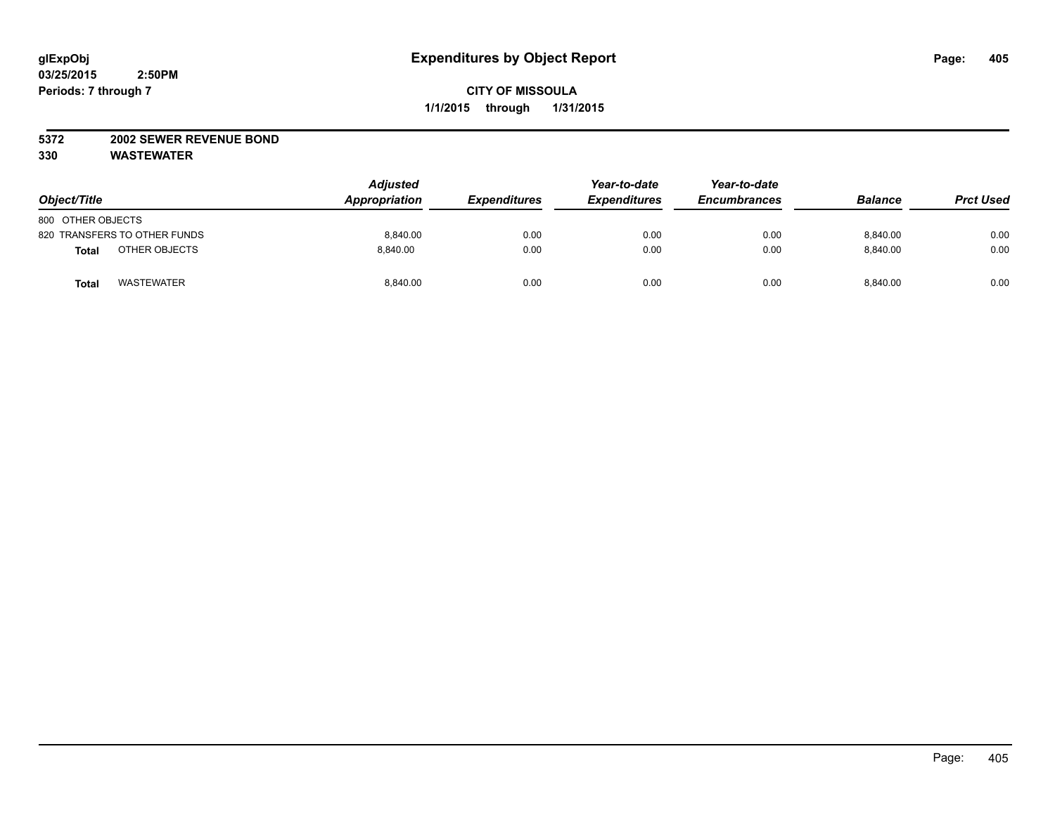## **5372 2002 SEWER REVENUE BOND**

| Object/Title                      | <b>Adjusted</b><br>Appropriation | <b>Expenditures</b> | Year-to-date<br><b>Expenditures</b> | Year-to-date<br><b>Encumbrances</b> | <b>Balance</b> | <b>Prct Used</b> |
|-----------------------------------|----------------------------------|---------------------|-------------------------------------|-------------------------------------|----------------|------------------|
| 800 OTHER OBJECTS                 |                                  |                     |                                     |                                     |                |                  |
| 820 TRANSFERS TO OTHER FUNDS      | 8,840.00                         | 0.00                | 0.00                                | 0.00                                | 8,840.00       | 0.00             |
| OTHER OBJECTS<br><b>Total</b>     | 8.840.00                         | 0.00                | 0.00                                | 0.00                                | 8.840.00       | 0.00             |
| <b>WASTEWATER</b><br><b>Total</b> | 8,840.00                         | 0.00                | 0.00                                | 0.00                                | 8,840.00       | 0.00             |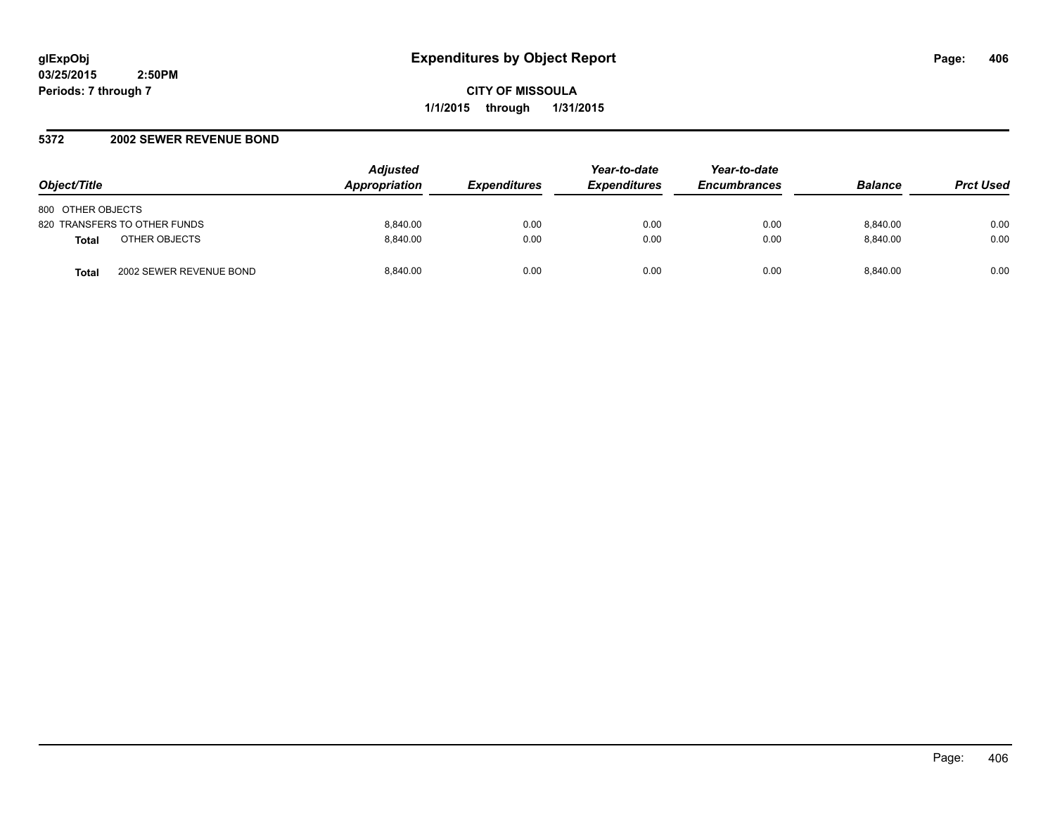**CITY OF MISSOULA 1/1/2015 through 1/31/2015**

## **5372 2002 SEWER REVENUE BOND**

| Object/Title                            | <b>Adjusted</b><br><b>Appropriation</b> | <i><b>Expenditures</b></i> | Year-to-date<br><b>Expenditures</b> | Year-to-date<br><b>Encumbrances</b> | <b>Balance</b> | <b>Prct Used</b> |
|-----------------------------------------|-----------------------------------------|----------------------------|-------------------------------------|-------------------------------------|----------------|------------------|
| 800 OTHER OBJECTS                       |                                         |                            |                                     |                                     |                |                  |
| 820 TRANSFERS TO OTHER FUNDS            | 8.840.00                                | 0.00                       | 0.00                                | 0.00                                | 8.840.00       | 0.00             |
| OTHER OBJECTS<br><b>Total</b>           | 8.840.00                                | 0.00                       | 0.00                                | 0.00                                | 8.840.00       | 0.00             |
| 2002 SEWER REVENUE BOND<br><b>Total</b> | 8.840.00                                | 0.00                       | 0.00                                | 0.00                                | 8.840.00       | 0.00             |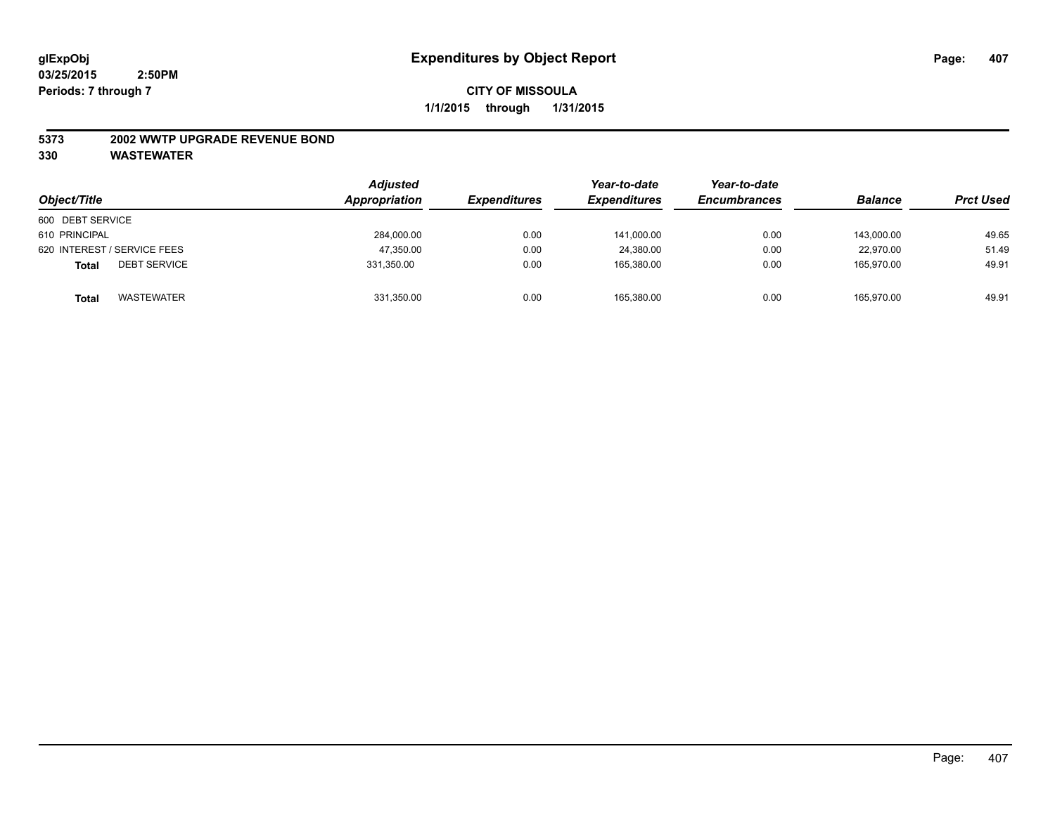#### **5373 2002 WWTP UPGRADE REVENUE BOND**

| Object/Title                        | <b>Adjusted</b><br>Appropriation | <i><b>Expenditures</b></i> | Year-to-date<br><b>Expenditures</b> | Year-to-date<br><b>Encumbrances</b> | <b>Balance</b> | <b>Prct Used</b> |
|-------------------------------------|----------------------------------|----------------------------|-------------------------------------|-------------------------------------|----------------|------------------|
| 600 DEBT SERVICE                    |                                  |                            |                                     |                                     |                |                  |
| 610 PRINCIPAL                       | 284,000.00                       | 0.00                       | 141,000.00                          | 0.00                                | 143.000.00     | 49.65            |
| 620 INTEREST / SERVICE FEES         | 47,350.00                        | 0.00                       | 24.380.00                           | 0.00                                | 22.970.00      | 51.49            |
| <b>DEBT SERVICE</b><br><b>Total</b> | 331,350.00                       | 0.00                       | 165.380.00                          | 0.00                                | 165.970.00     | 49.91            |
| <b>WASTEWATER</b><br><b>Total</b>   | 331,350.00                       | 0.00                       | 165,380.00                          | 0.00                                | 165,970.00     | 49.91            |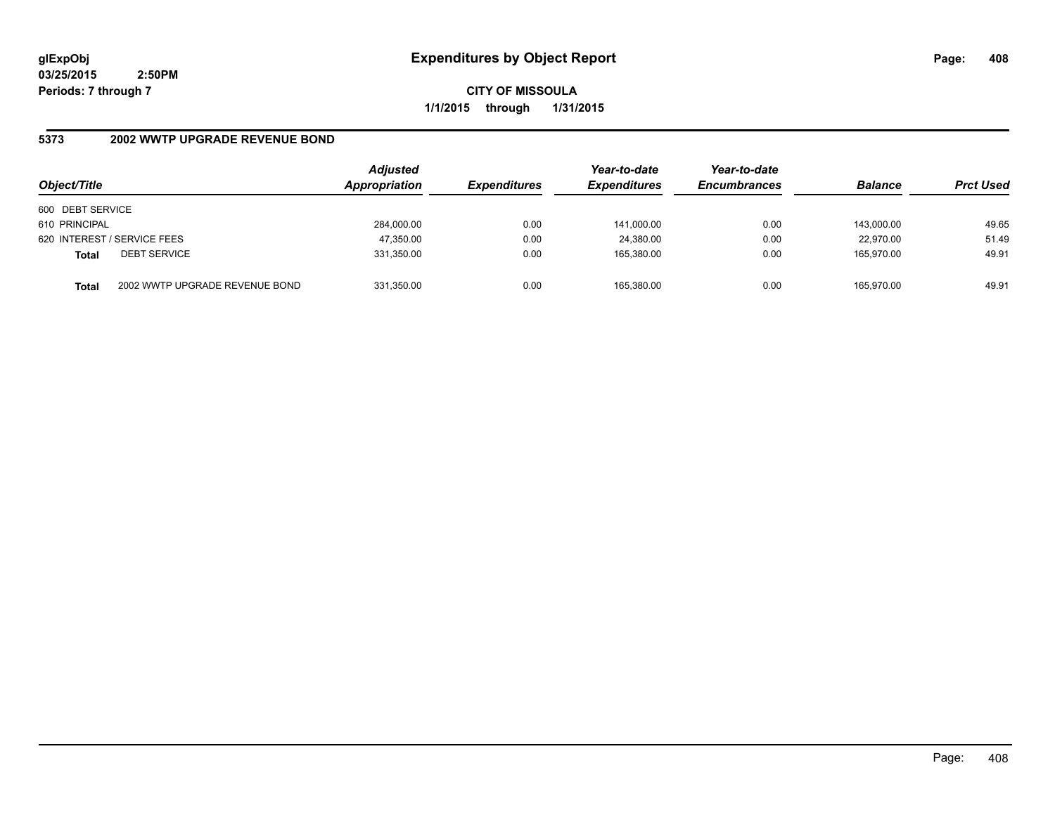**CITY OF MISSOULA 1/1/2015 through 1/31/2015**

# **5373 2002 WWTP UPGRADE REVENUE BOND**

| Object/Title                |                                | <b>Adjusted</b><br>Appropriation | <b>Expenditures</b> | Year-to-date<br><b>Expenditures</b> | Year-to-date<br><b>Encumbrances</b> | <b>Balance</b> | <b>Prct Used</b> |
|-----------------------------|--------------------------------|----------------------------------|---------------------|-------------------------------------|-------------------------------------|----------------|------------------|
| 600 DEBT SERVICE            |                                |                                  |                     |                                     |                                     |                |                  |
| 610 PRINCIPAL               |                                | 284.000.00                       | 0.00                | 141.000.00                          | 0.00                                | 143.000.00     | 49.65            |
| 620 INTEREST / SERVICE FEES |                                | 47,350.00                        | 0.00                | 24,380.00                           | 0.00                                | 22.970.00      | 51.49            |
| <b>Total</b>                | <b>DEBT SERVICE</b>            | 331,350.00                       | 0.00                | 165.380.00                          | 0.00                                | 165.970.00     | 49.91            |
| <b>Total</b>                | 2002 WWTP UPGRADE REVENUE BOND | 331,350.00                       | 0.00                | 165,380.00                          | 0.00                                | 165.970.00     | 49.91            |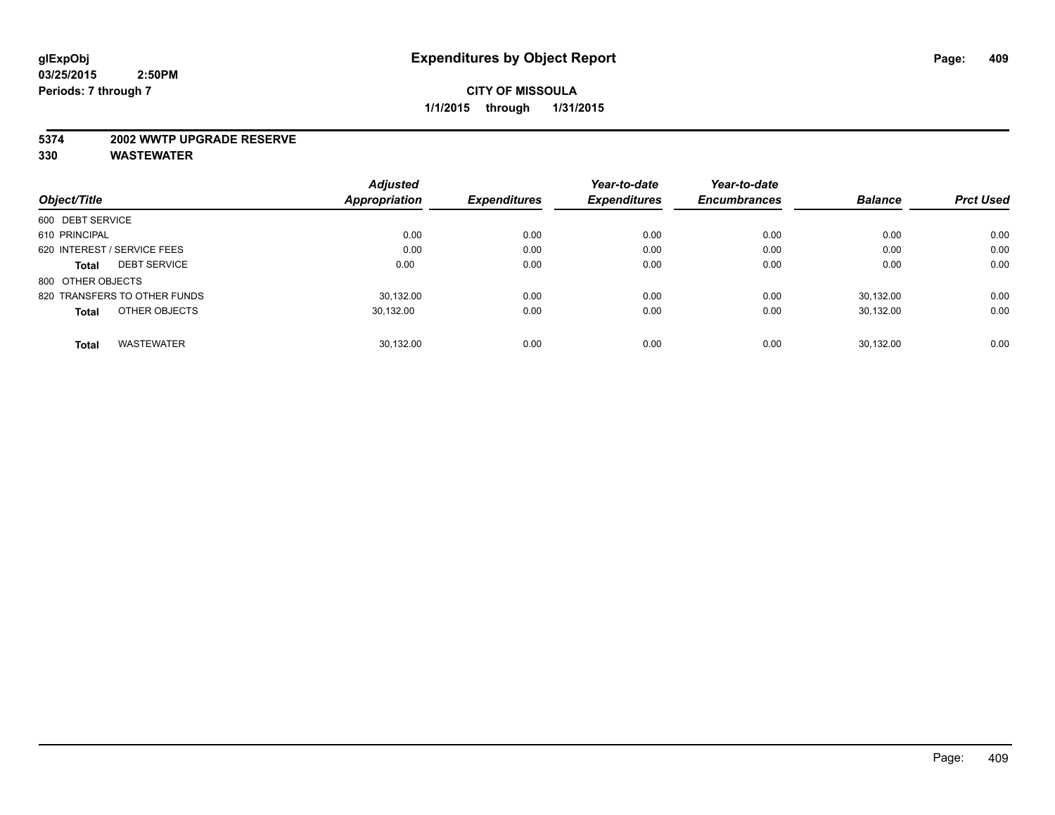#### **5374 2002 WWTP UPGRADE RESERVE**

|                                     | <b>Adjusted</b>      |                     | Year-to-date        | Year-to-date        |                |                  |
|-------------------------------------|----------------------|---------------------|---------------------|---------------------|----------------|------------------|
| Object/Title                        | <b>Appropriation</b> | <b>Expenditures</b> | <b>Expenditures</b> | <b>Encumbrances</b> | <b>Balance</b> | <b>Prct Used</b> |
| 600 DEBT SERVICE                    |                      |                     |                     |                     |                |                  |
| 610 PRINCIPAL                       | 0.00                 | 0.00                | 0.00                | 0.00                | 0.00           | 0.00             |
| 620 INTEREST / SERVICE FEES         | 0.00                 | 0.00                | 0.00                | 0.00                | 0.00           | 0.00             |
| <b>DEBT SERVICE</b><br><b>Total</b> | 0.00                 | 0.00                | 0.00                | 0.00                | 0.00           | 0.00             |
| 800 OTHER OBJECTS                   |                      |                     |                     |                     |                |                  |
| 820 TRANSFERS TO OTHER FUNDS        | 30.132.00            | 0.00                | 0.00                | 0.00                | 30.132.00      | 0.00             |
| OTHER OBJECTS<br><b>Total</b>       | 30,132.00            | 0.00                | 0.00                | 0.00                | 30.132.00      | 0.00             |
| <b>WASTEWATER</b><br><b>Total</b>   | 30.132.00            | 0.00                | 0.00                | 0.00                | 30.132.00      | 0.00             |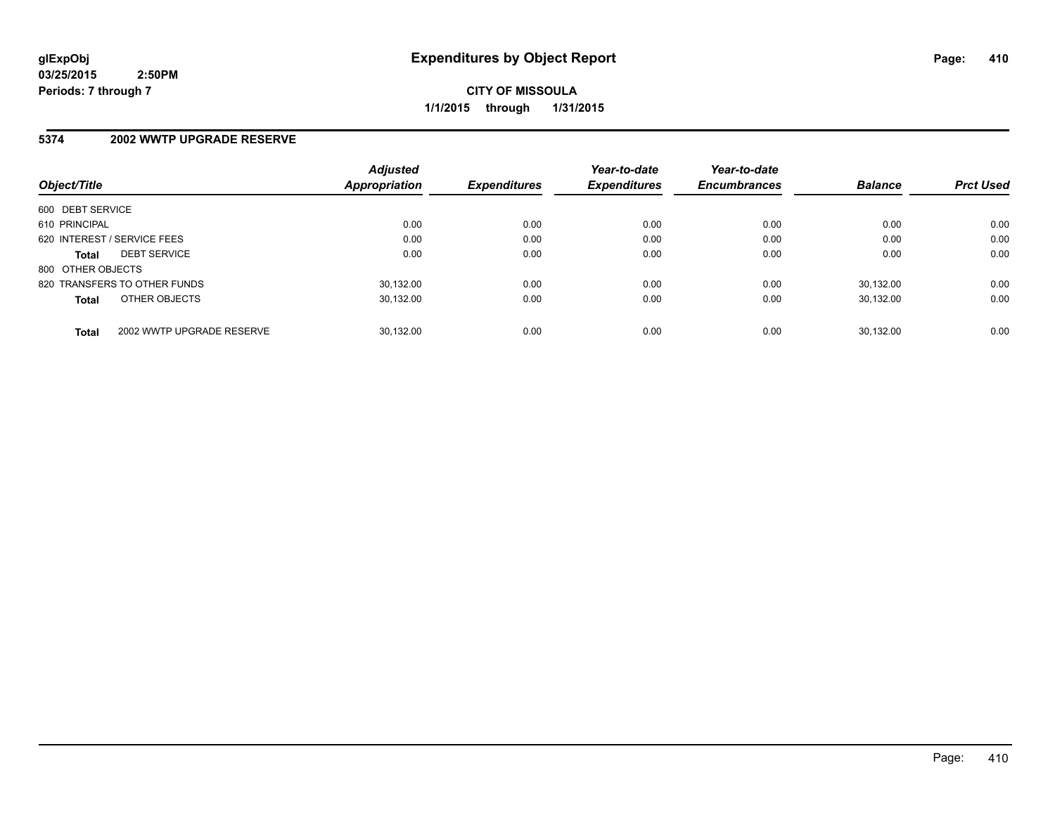**CITY OF MISSOULA 1/1/2015 through 1/31/2015**

#### **5374 2002 WWTP UPGRADE RESERVE**

| Object/Title      |                              | <b>Adjusted</b><br><b>Appropriation</b> | <b>Expenditures</b> | Year-to-date<br><b>Expenditures</b> | Year-to-date<br><b>Encumbrances</b> | <b>Balance</b> | <b>Prct Used</b> |
|-------------------|------------------------------|-----------------------------------------|---------------------|-------------------------------------|-------------------------------------|----------------|------------------|
|                   |                              |                                         |                     |                                     |                                     |                |                  |
| 600 DEBT SERVICE  |                              |                                         |                     |                                     |                                     |                |                  |
| 610 PRINCIPAL     |                              | 0.00                                    | 0.00                | 0.00                                | 0.00                                | 0.00           | 0.00             |
|                   | 620 INTEREST / SERVICE FEES  | 0.00                                    | 0.00                | 0.00                                | 0.00                                | 0.00           | 0.00             |
| <b>Total</b>      | <b>DEBT SERVICE</b>          | 0.00                                    | 0.00                | 0.00                                | 0.00                                | 0.00           | 0.00             |
| 800 OTHER OBJECTS |                              |                                         |                     |                                     |                                     |                |                  |
|                   | 820 TRANSFERS TO OTHER FUNDS | 30.132.00                               | 0.00                | 0.00                                | 0.00                                | 30.132.00      | 0.00             |
| <b>Total</b>      | OTHER OBJECTS                | 30.132.00                               | 0.00                | 0.00                                | 0.00                                | 30.132.00      | 0.00             |
| <b>Total</b>      | 2002 WWTP UPGRADE RESERVE    | 30.132.00                               | 0.00                | 0.00                                | 0.00                                | 30.132.00      | 0.00             |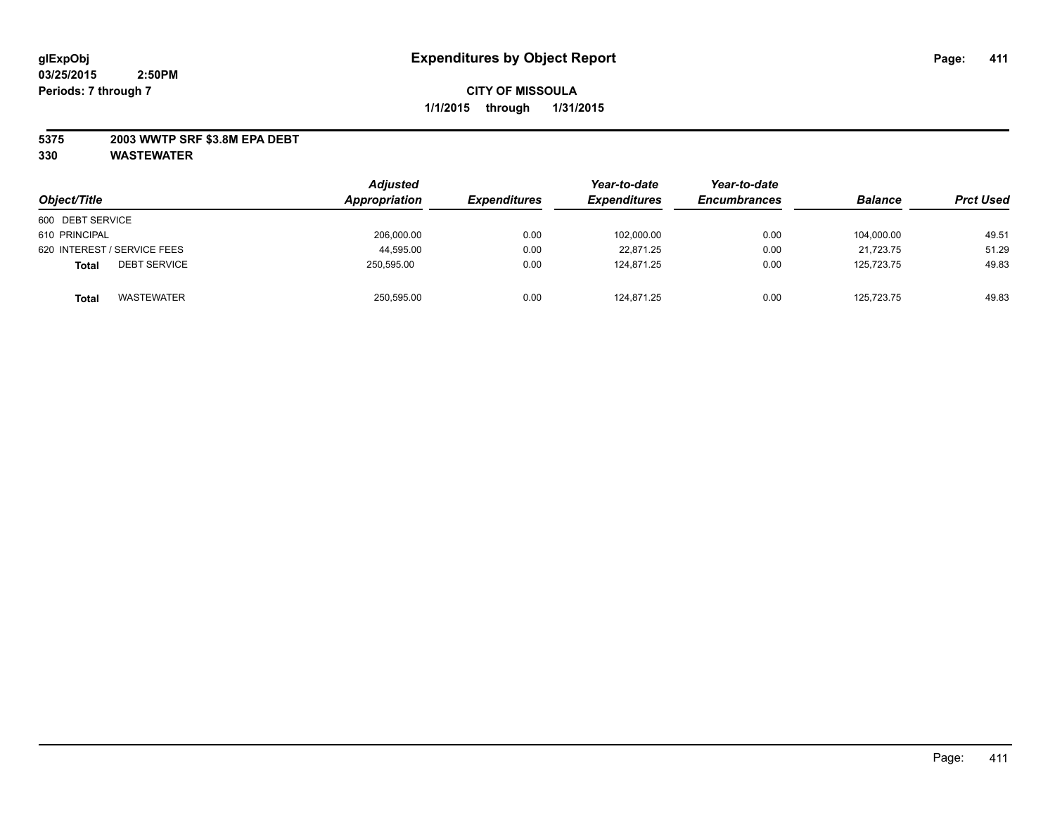## **5375 2003 WWTP SRF \$3.8M EPA DEBT**

| Object/Title                      | <b>Adjusted</b><br>Appropriation | <b>Expenditures</b> | Year-to-date<br><b>Expenditures</b> | Year-to-date<br><b>Encumbrances</b> | <b>Balance</b> | <b>Prct Used</b> |
|-----------------------------------|----------------------------------|---------------------|-------------------------------------|-------------------------------------|----------------|------------------|
| 600 DEBT SERVICE                  |                                  |                     |                                     |                                     |                |                  |
| 610 PRINCIPAL                     | 206,000.00                       | 0.00                | 102,000.00                          | 0.00                                | 104.000.00     | 49.51            |
| 620 INTEREST / SERVICE FEES       | 44,595.00                        | 0.00                | 22.871.25                           | 0.00                                | 21.723.75      | 51.29            |
| <b>DEBT SERVICE</b><br>Total      | 250,595.00                       | 0.00                | 124.871.25                          | 0.00                                | 125.723.75     | 49.83            |
| <b>WASTEWATER</b><br><b>Total</b> | 250,595.00                       | 0.00                | 124,871.25                          | 0.00                                | 125,723.75     | 49.83            |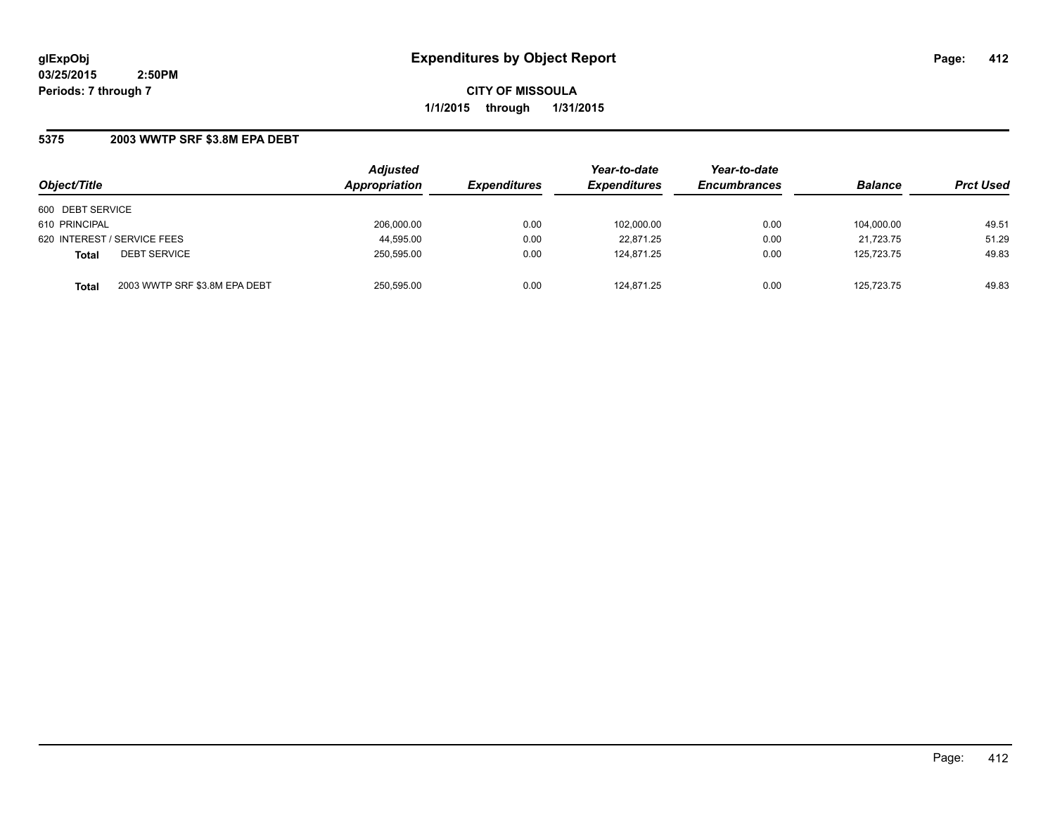**CITY OF MISSOULA 1/1/2015 through 1/31/2015**

## **5375 2003 WWTP SRF \$3.8M EPA DEBT**

| Object/Title                |                               | <b>Adjusted</b><br>Appropriation | <b>Expenditures</b> | Year-to-date<br><b>Expenditures</b> | Year-to-date<br><b>Encumbrances</b> | <b>Balance</b> | <b>Prct Used</b> |
|-----------------------------|-------------------------------|----------------------------------|---------------------|-------------------------------------|-------------------------------------|----------------|------------------|
| 600 DEBT SERVICE            |                               |                                  |                     |                                     |                                     |                |                  |
| 610 PRINCIPAL               |                               | 206.000.00                       | 0.00                | 102,000.00                          | 0.00                                | 104.000.00     | 49.51            |
| 620 INTEREST / SERVICE FEES |                               | 44,595.00                        | 0.00                | 22,871.25                           | 0.00                                | 21,723.75      | 51.29            |
| <b>Total</b>                | <b>DEBT SERVICE</b>           | 250,595.00                       | 0.00                | 124,871.25                          | 0.00                                | 125.723.75     | 49.83            |
| <b>Total</b>                | 2003 WWTP SRF \$3.8M EPA DEBT | 250,595.00                       | 0.00                | 124.871.25                          | 0.00                                | 125.723.75     | 49.83            |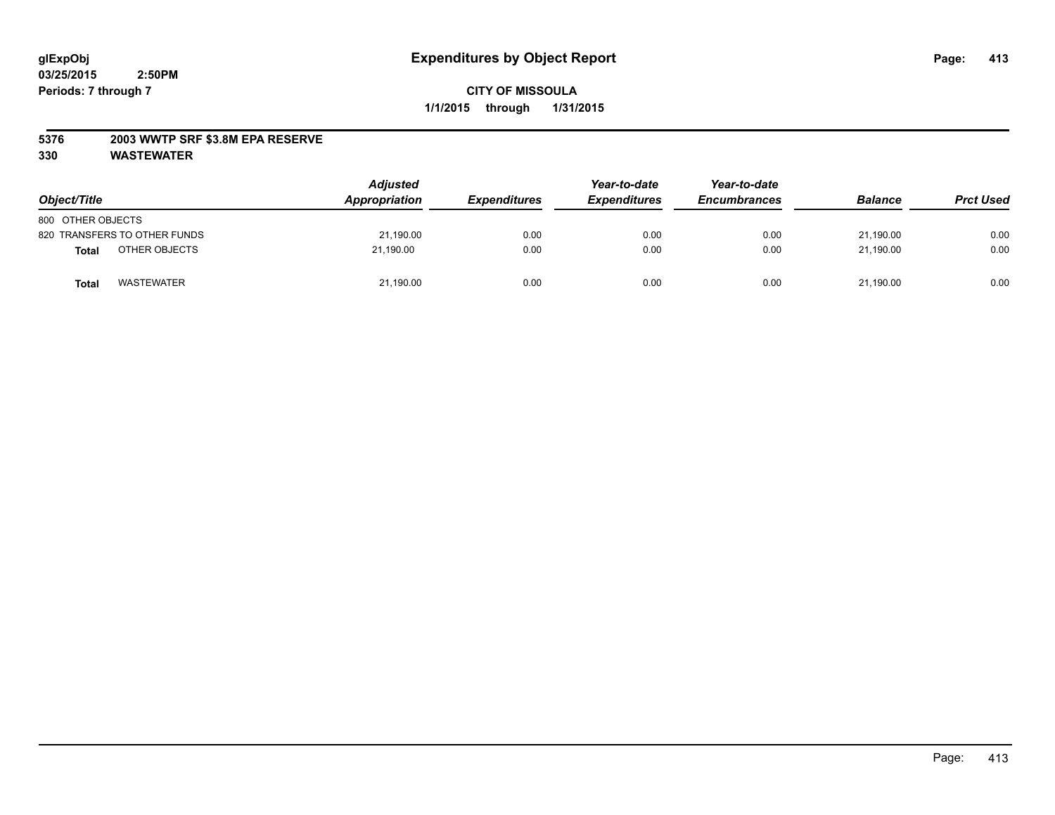## **5376 2003 WWTP SRF \$3.8M EPA RESERVE**

| Object/Title                      | <b>Adjusted</b><br>Appropriation | <b>Expenditures</b> | Year-to-date<br><b>Expenditures</b> | Year-to-date<br><b>Encumbrances</b> | <b>Balance</b> | <b>Prct Used</b> |
|-----------------------------------|----------------------------------|---------------------|-------------------------------------|-------------------------------------|----------------|------------------|
| 800 OTHER OBJECTS                 |                                  |                     |                                     |                                     |                |                  |
| 820 TRANSFERS TO OTHER FUNDS      | 21,190.00                        | 0.00                | 0.00                                | 0.00                                | 21.190.00      | 0.00             |
| OTHER OBJECTS<br><b>Total</b>     | 21.190.00                        | 0.00                | 0.00                                | 0.00                                | 21.190.00      | 0.00             |
| <b>WASTEWATER</b><br><b>Total</b> | 21,190.00                        | 0.00                | 0.00                                | 0.00                                | 21,190.00      | 0.00             |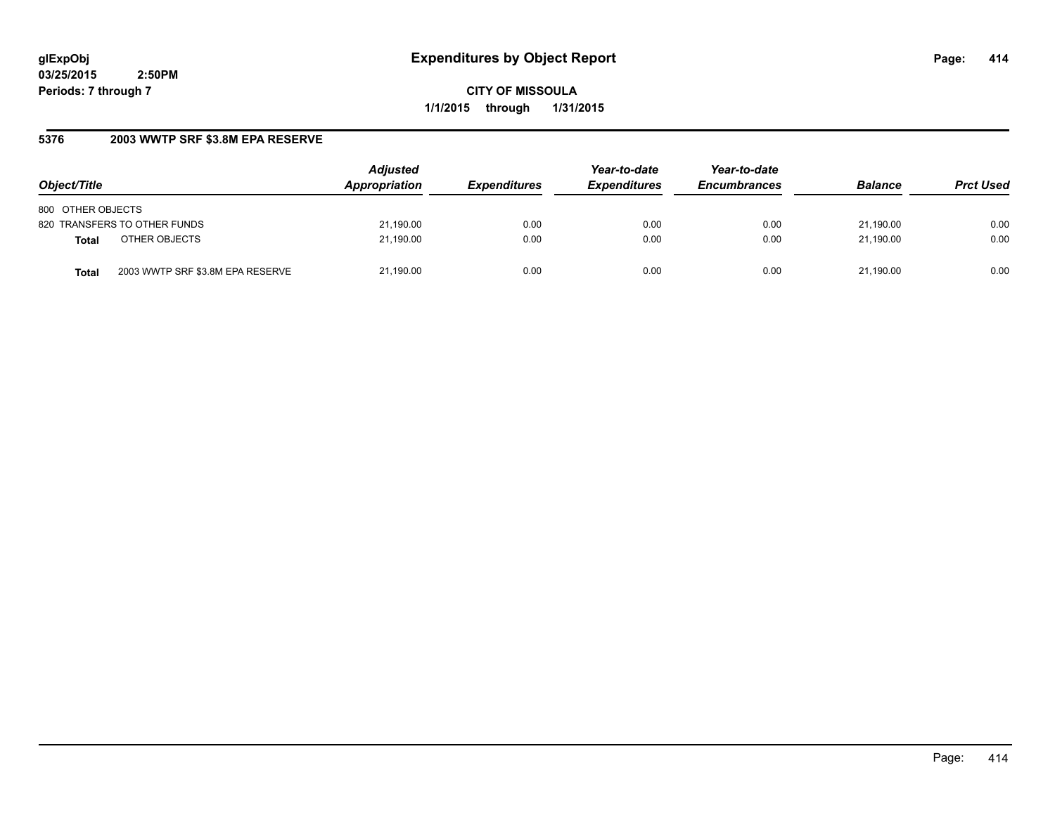**CITY OF MISSOULA 1/1/2015 through 1/31/2015**

# **5376 2003 WWTP SRF \$3.8M EPA RESERVE**

| Object/Title                              | <b>Adjusted</b><br>Appropriation | <b>Expenditures</b> | Year-to-date<br><b>Expenditures</b> | Year-to-date<br><b>Encumbrances</b> | <b>Balance</b> | <b>Prct Used</b> |
|-------------------------------------------|----------------------------------|---------------------|-------------------------------------|-------------------------------------|----------------|------------------|
| 800 OTHER OBJECTS                         |                                  |                     |                                     |                                     |                |                  |
| 820 TRANSFERS TO OTHER FUNDS              | 21,190.00                        | 0.00                | 0.00                                | 0.00                                | 21.190.00      | 0.00             |
| OTHER OBJECTS<br><b>Total</b>             | 21,190.00                        | 0.00                | 0.00                                | 0.00                                | 21.190.00      | 0.00             |
| 2003 WWTP SRF \$3.8M EPA RESERVE<br>Total | 21,190.00                        | 0.00                | 0.00                                | 0.00                                | 21.190.00      | 0.00             |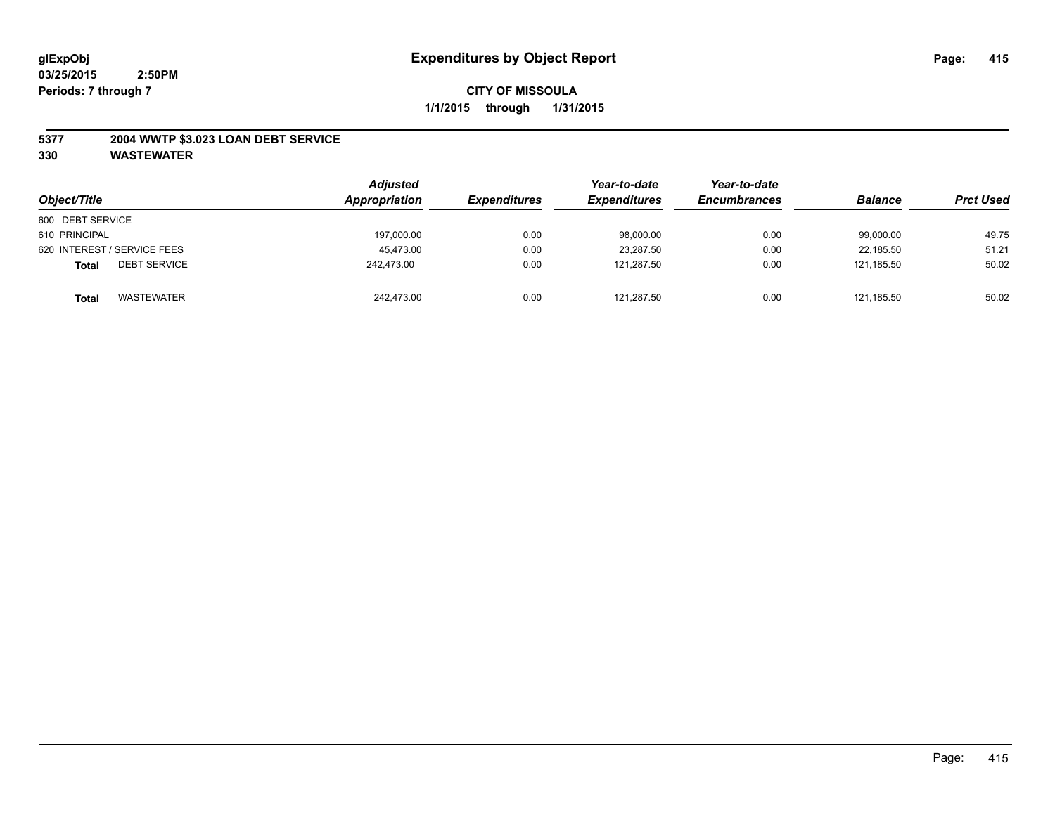## **5377 2004 WWTP \$3.023 LOAN DEBT SERVICE**

| Object/Title                        | <b>Adjusted</b><br>Appropriation | <b>Expenditures</b> | Year-to-date<br><b>Expenditures</b> | Year-to-date<br><b>Encumbrances</b> | <b>Balance</b> | <b>Prct Used</b> |
|-------------------------------------|----------------------------------|---------------------|-------------------------------------|-------------------------------------|----------------|------------------|
| 600 DEBT SERVICE                    |                                  |                     |                                     |                                     |                |                  |
| 610 PRINCIPAL                       | 197,000.00                       | 0.00                | 98,000.00                           | 0.00                                | 99,000.00      | 49.75            |
| 620 INTEREST / SERVICE FEES         | 45.473.00                        | 0.00                | 23.287.50                           | 0.00                                | 22.185.50      | 51.21            |
| <b>DEBT SERVICE</b><br><b>Total</b> | 242.473.00                       | 0.00                | 121.287.50                          | 0.00                                | 121.185.50     | 50.02            |
| <b>WASTEWATER</b><br><b>Total</b>   | 242,473.00                       | 0.00                | 121,287.50                          | 0.00                                | 121.185.50     | 50.02            |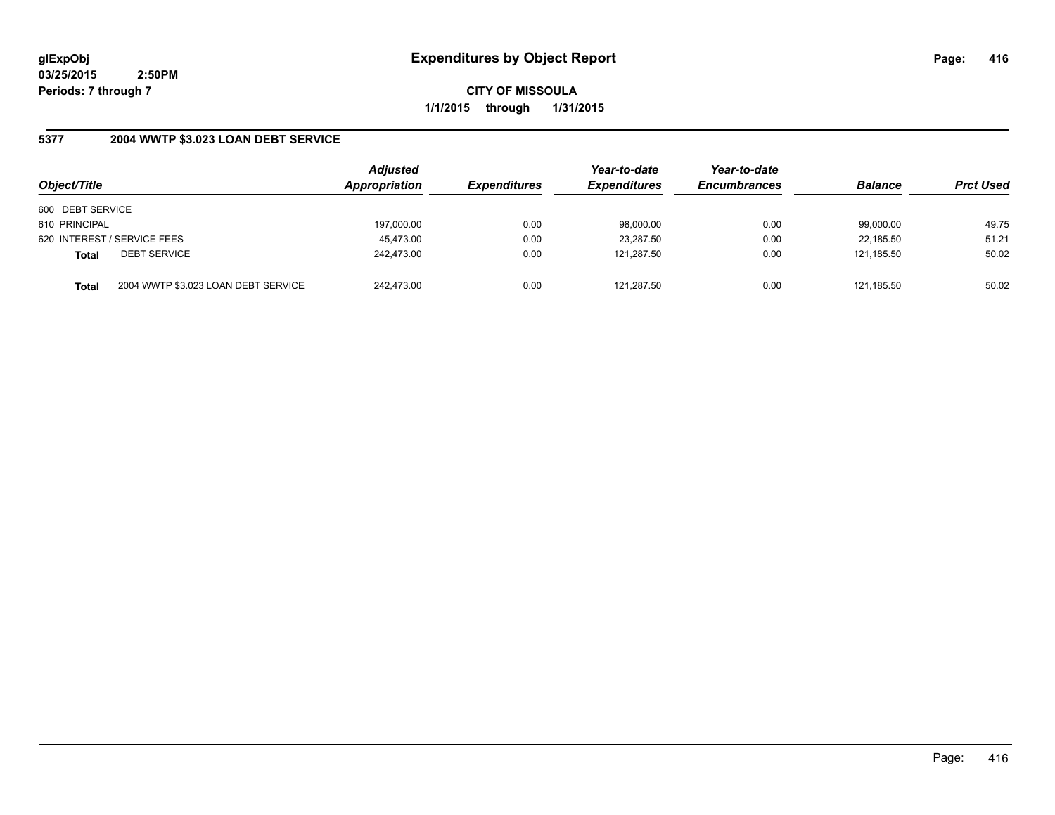**CITY OF MISSOULA 1/1/2015 through 1/31/2015**

# **5377 2004 WWTP \$3.023 LOAN DEBT SERVICE**

| Object/Title     |                                     | <b>Adjusted</b><br>Appropriation | <b>Expenditures</b> | Year-to-date<br><b>Expenditures</b> | Year-to-date<br><b>Encumbrances</b> | <b>Balance</b> | <b>Prct Used</b> |
|------------------|-------------------------------------|----------------------------------|---------------------|-------------------------------------|-------------------------------------|----------------|------------------|
| 600 DEBT SERVICE |                                     |                                  |                     |                                     |                                     |                |                  |
| 610 PRINCIPAL    |                                     | 197,000.00                       | 0.00                | 98,000.00                           | 0.00                                | 99,000.00      | 49.75            |
|                  | 620 INTEREST / SERVICE FEES         | 45,473.00                        | 0.00                | 23,287.50                           | 0.00                                | 22,185.50      | 51.21            |
| <b>Total</b>     | <b>DEBT SERVICE</b>                 | 242.473.00                       | 0.00                | 121.287.50                          | 0.00                                | 121.185.50     | 50.02            |
| <b>Total</b>     | 2004 WWTP \$3.023 LOAN DEBT SERVICE | 242.473.00                       | 0.00                | 121.287.50                          | 0.00                                | 121.185.50     | 50.02            |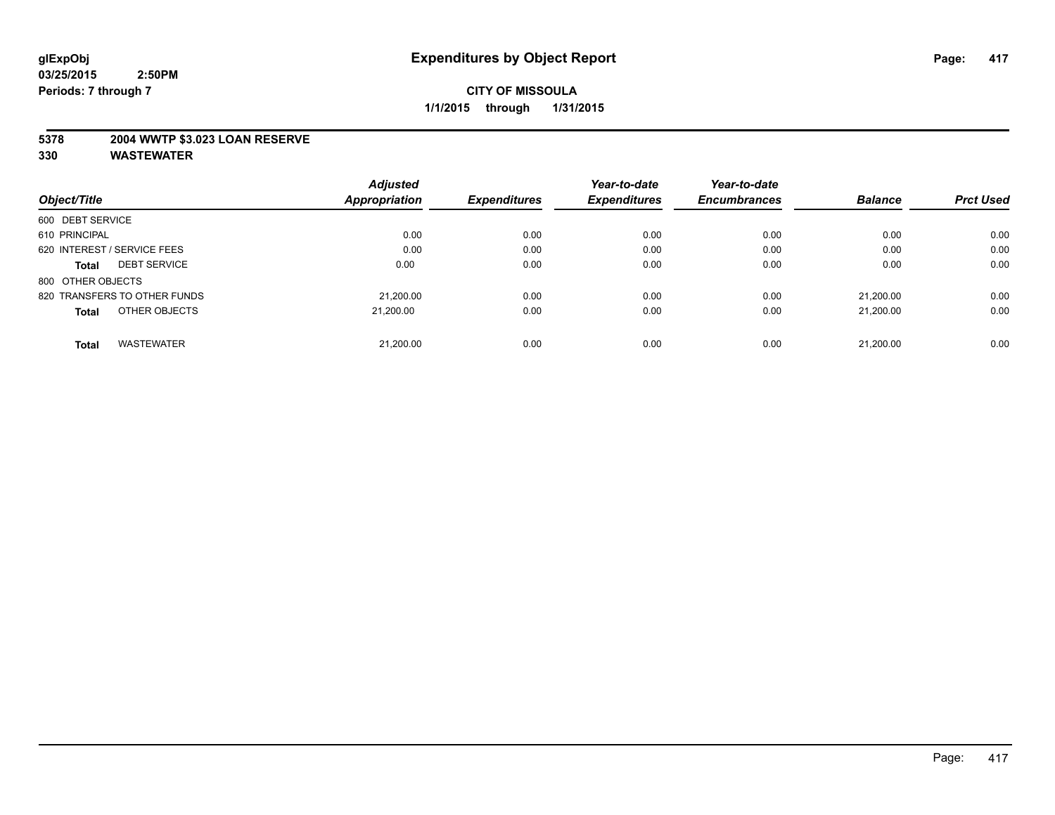## **5378 2004 WWTP \$3.023 LOAN RESERVE**

|                                     | <b>Adjusted</b>      |                     | Year-to-date        | Year-to-date        |                |                  |
|-------------------------------------|----------------------|---------------------|---------------------|---------------------|----------------|------------------|
| Object/Title                        | <b>Appropriation</b> | <b>Expenditures</b> | <b>Expenditures</b> | <b>Encumbrances</b> | <b>Balance</b> | <b>Prct Used</b> |
| 600 DEBT SERVICE                    |                      |                     |                     |                     |                |                  |
| 610 PRINCIPAL                       | 0.00                 | 0.00                | 0.00                | 0.00                | 0.00           | 0.00             |
| 620 INTEREST / SERVICE FEES         | 0.00                 | 0.00                | 0.00                | 0.00                | 0.00           | 0.00             |
| <b>DEBT SERVICE</b><br><b>Total</b> | 0.00                 | 0.00                | 0.00                | 0.00                | 0.00           | 0.00             |
| 800 OTHER OBJECTS                   |                      |                     |                     |                     |                |                  |
| 820 TRANSFERS TO OTHER FUNDS        | 21,200.00            | 0.00                | 0.00                | 0.00                | 21.200.00      | 0.00             |
| OTHER OBJECTS<br><b>Total</b>       | 21.200.00            | 0.00                | 0.00                | 0.00                | 21.200.00      | 0.00             |
| <b>WASTEWATER</b><br><b>Total</b>   | 21,200.00            | 0.00                | 0.00                | 0.00                | 21.200.00      | 0.00             |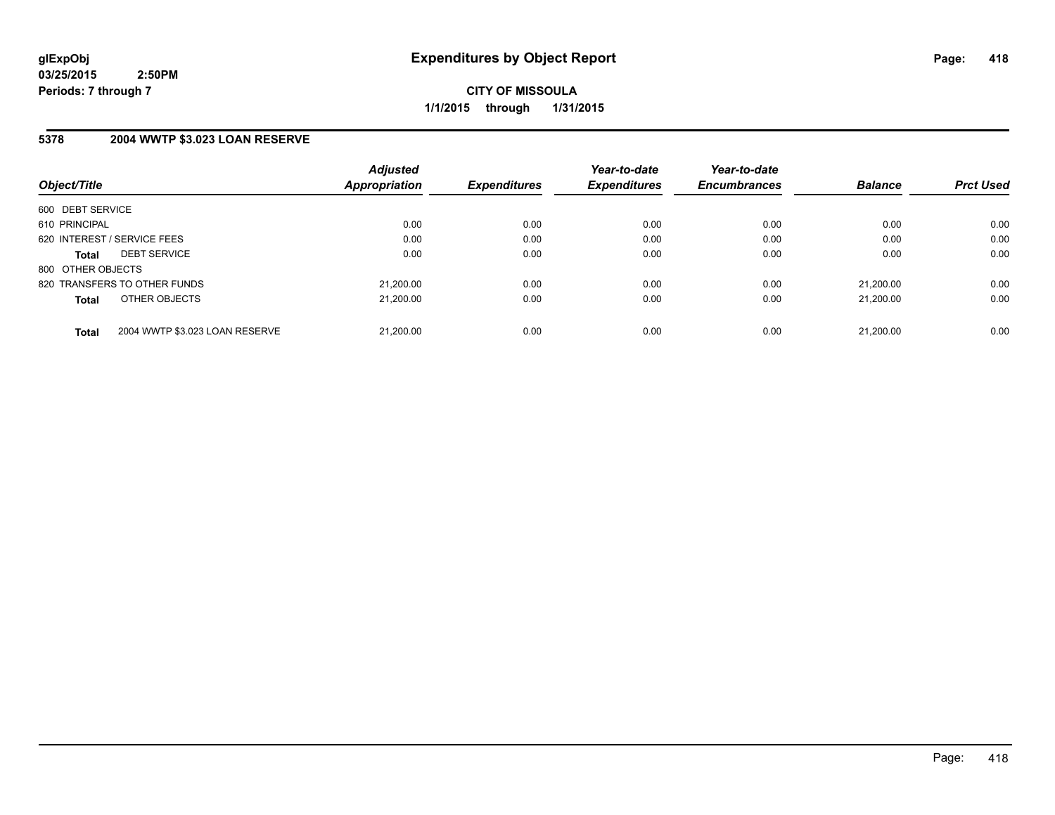**CITY OF MISSOULA 1/1/2015 through 1/31/2015**

## **5378 2004 WWTP \$3.023 LOAN RESERVE**

|                   |                                | <b>Adjusted</b>      |                     | Year-to-date        | Year-to-date        |                |                  |
|-------------------|--------------------------------|----------------------|---------------------|---------------------|---------------------|----------------|------------------|
| Object/Title      |                                | <b>Appropriation</b> | <b>Expenditures</b> | <b>Expenditures</b> | <b>Encumbrances</b> | <b>Balance</b> | <b>Prct Used</b> |
| 600 DEBT SERVICE  |                                |                      |                     |                     |                     |                |                  |
| 610 PRINCIPAL     |                                | 0.00                 | 0.00                | 0.00                | 0.00                | 0.00           | 0.00             |
|                   | 620 INTEREST / SERVICE FEES    | 0.00                 | 0.00                | 0.00                | 0.00                | 0.00           | 0.00             |
| <b>Total</b>      | <b>DEBT SERVICE</b>            | 0.00                 | 0.00                | 0.00                | 0.00                | 0.00           | 0.00             |
| 800 OTHER OBJECTS |                                |                      |                     |                     |                     |                |                  |
|                   | 820 TRANSFERS TO OTHER FUNDS   | 21.200.00            | 0.00                | 0.00                | 0.00                | 21.200.00      | 0.00             |
| <b>Total</b>      | OTHER OBJECTS                  | 21.200.00            | 0.00                | 0.00                | 0.00                | 21.200.00      | 0.00             |
| <b>Total</b>      | 2004 WWTP \$3.023 LOAN RESERVE | 21.200.00            | 0.00                | 0.00                | 0.00                | 21.200.00      | 0.00             |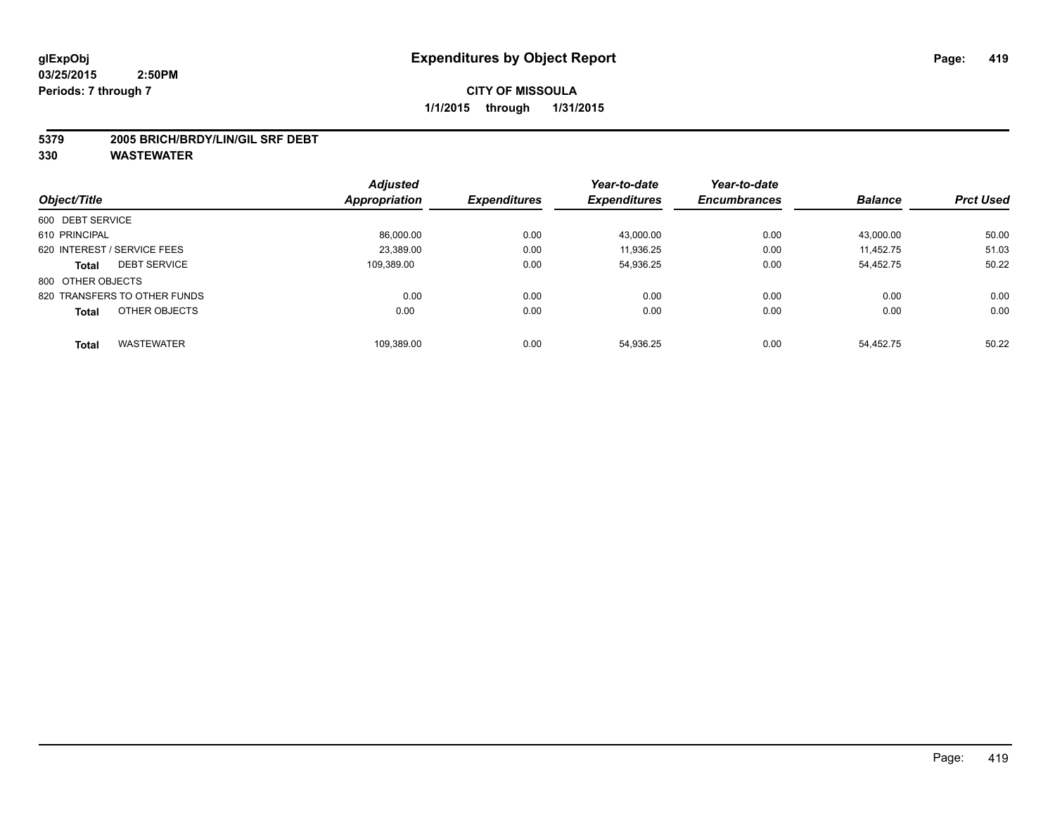#### **5379 2005 BRICH/BRDY/LIN/GIL SRF DEBT**

|                                     | <b>Adjusted</b>      |                     | Year-to-date        | Year-to-date        |                |                  |
|-------------------------------------|----------------------|---------------------|---------------------|---------------------|----------------|------------------|
| Object/Title                        | <b>Appropriation</b> | <b>Expenditures</b> | <b>Expenditures</b> | <b>Encumbrances</b> | <b>Balance</b> | <b>Prct Used</b> |
| 600 DEBT SERVICE                    |                      |                     |                     |                     |                |                  |
| 610 PRINCIPAL                       | 86,000.00            | 0.00                | 43,000.00           | 0.00                | 43,000.00      | 50.00            |
| 620 INTEREST / SERVICE FEES         | 23,389.00            | 0.00                | 11,936.25           | 0.00                | 11.452.75      | 51.03            |
| <b>DEBT SERVICE</b><br><b>Total</b> | 109.389.00           | 0.00                | 54,936.25           | 0.00                | 54.452.75      | 50.22            |
| 800 OTHER OBJECTS                   |                      |                     |                     |                     |                |                  |
| 820 TRANSFERS TO OTHER FUNDS        | 0.00                 | 0.00                | 0.00                | 0.00                | 0.00           | 0.00             |
| OTHER OBJECTS<br><b>Total</b>       | 0.00                 | 0.00                | 0.00                | 0.00                | 0.00           | 0.00             |
| <b>WASTEWATER</b><br><b>Total</b>   | 109.389.00           | 0.00                | 54.936.25           | 0.00                | 54.452.75      | 50.22            |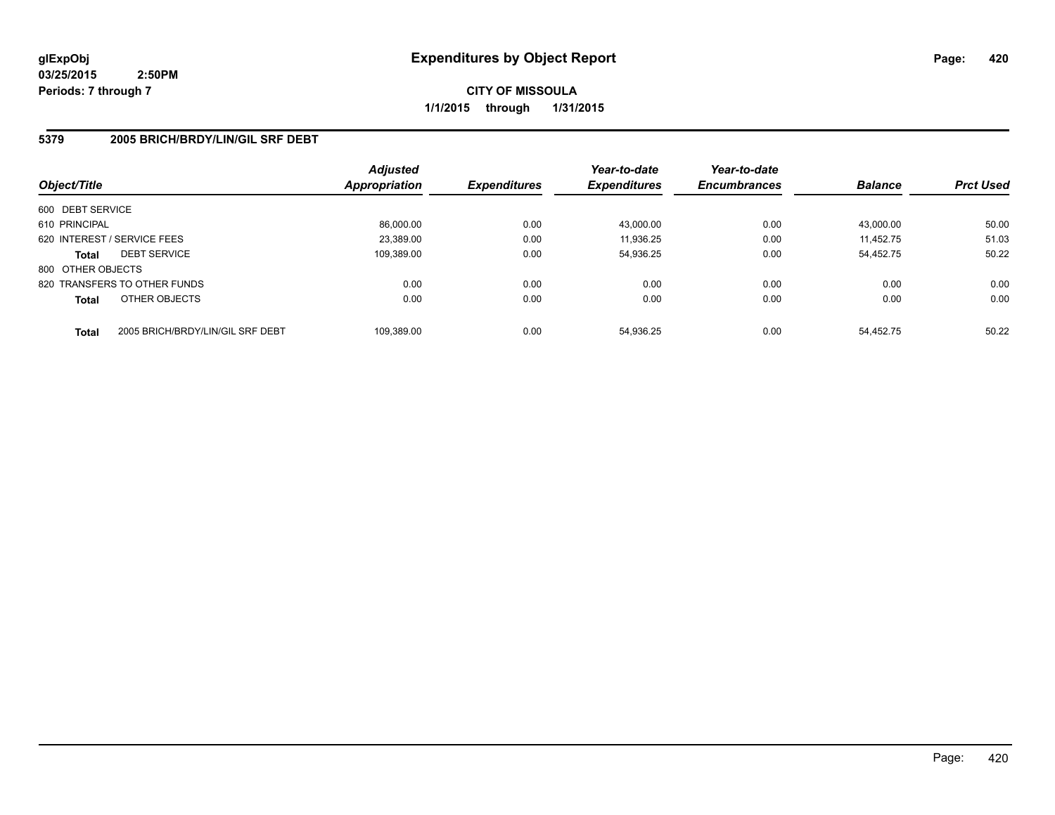**CITY OF MISSOULA 1/1/2015 through 1/31/2015**

## **5379 2005 BRICH/BRDY/LIN/GIL SRF DEBT**

| Object/Title      |                                  | <b>Adjusted</b><br><b>Appropriation</b> | <b>Expenditures</b> | Year-to-date<br><b>Expenditures</b> | Year-to-date<br><b>Encumbrances</b> | <b>Balance</b> | <b>Prct Used</b> |
|-------------------|----------------------------------|-----------------------------------------|---------------------|-------------------------------------|-------------------------------------|----------------|------------------|
| 600 DEBT SERVICE  |                                  |                                         |                     |                                     |                                     |                |                  |
| 610 PRINCIPAL     |                                  | 86.000.00                               | 0.00                | 43.000.00                           | 0.00                                | 43.000.00      | 50.00            |
|                   | 620 INTEREST / SERVICE FEES      | 23.389.00                               | 0.00                | 11.936.25                           | 0.00                                | 11.452.75      | 51.03            |
| <b>Total</b>      | <b>DEBT SERVICE</b>              | 109,389.00                              | 0.00                | 54.936.25                           | 0.00                                | 54.452.75      | 50.22            |
| 800 OTHER OBJECTS |                                  |                                         |                     |                                     |                                     |                |                  |
|                   | 820 TRANSFERS TO OTHER FUNDS     | 0.00                                    | 0.00                | 0.00                                | 0.00                                | 0.00           | 0.00             |
| <b>Total</b>      | OTHER OBJECTS                    | 0.00                                    | 0.00                | 0.00                                | 0.00                                | 0.00           | 0.00             |
| <b>Total</b>      | 2005 BRICH/BRDY/LIN/GIL SRF DEBT | 109.389.00                              | 0.00                | 54.936.25                           | 0.00                                | 54.452.75      | 50.22            |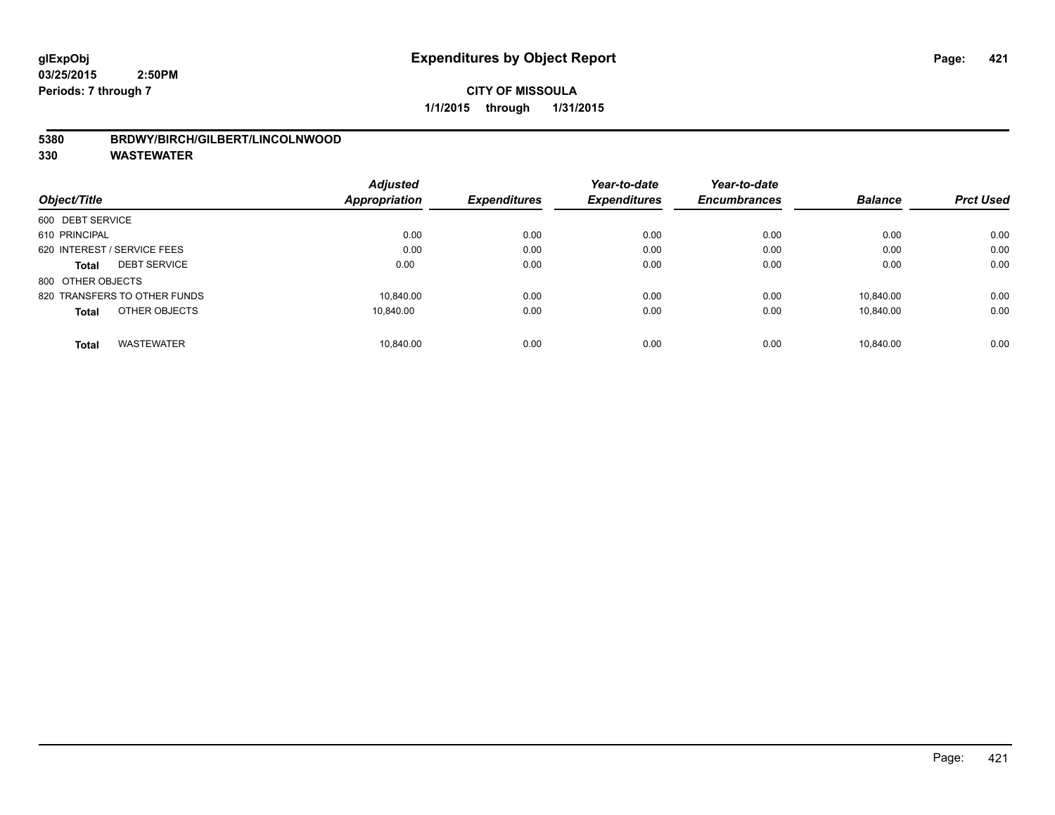## **5380 BRDWY/BIRCH/GILBERT/LINCOLNWOOD**

|                                   | <b>Adjusted</b>      |                     | Year-to-date        | Year-to-date        |                |                  |
|-----------------------------------|----------------------|---------------------|---------------------|---------------------|----------------|------------------|
| Object/Title                      | <b>Appropriation</b> | <b>Expenditures</b> | <b>Expenditures</b> | <b>Encumbrances</b> | <b>Balance</b> | <b>Prct Used</b> |
| 600 DEBT SERVICE                  |                      |                     |                     |                     |                |                  |
| 610 PRINCIPAL                     | 0.00                 | 0.00                | 0.00                | 0.00                | 0.00           | 0.00             |
| 620 INTEREST / SERVICE FEES       | 0.00                 | 0.00                | 0.00                | 0.00                | 0.00           | 0.00             |
| <b>DEBT SERVICE</b><br>Total      | 0.00                 | 0.00                | 0.00                | 0.00                | 0.00           | 0.00             |
| 800 OTHER OBJECTS                 |                      |                     |                     |                     |                |                  |
| 820 TRANSFERS TO OTHER FUNDS      | 10.840.00            | 0.00                | 0.00                | 0.00                | 10.840.00      | 0.00             |
| OTHER OBJECTS<br><b>Total</b>     | 10.840.00            | 0.00                | 0.00                | 0.00                | 10.840.00      | 0.00             |
| <b>WASTEWATER</b><br><b>Total</b> | 10.840.00            | 0.00                | 0.00                | 0.00                | 10.840.00      | 0.00             |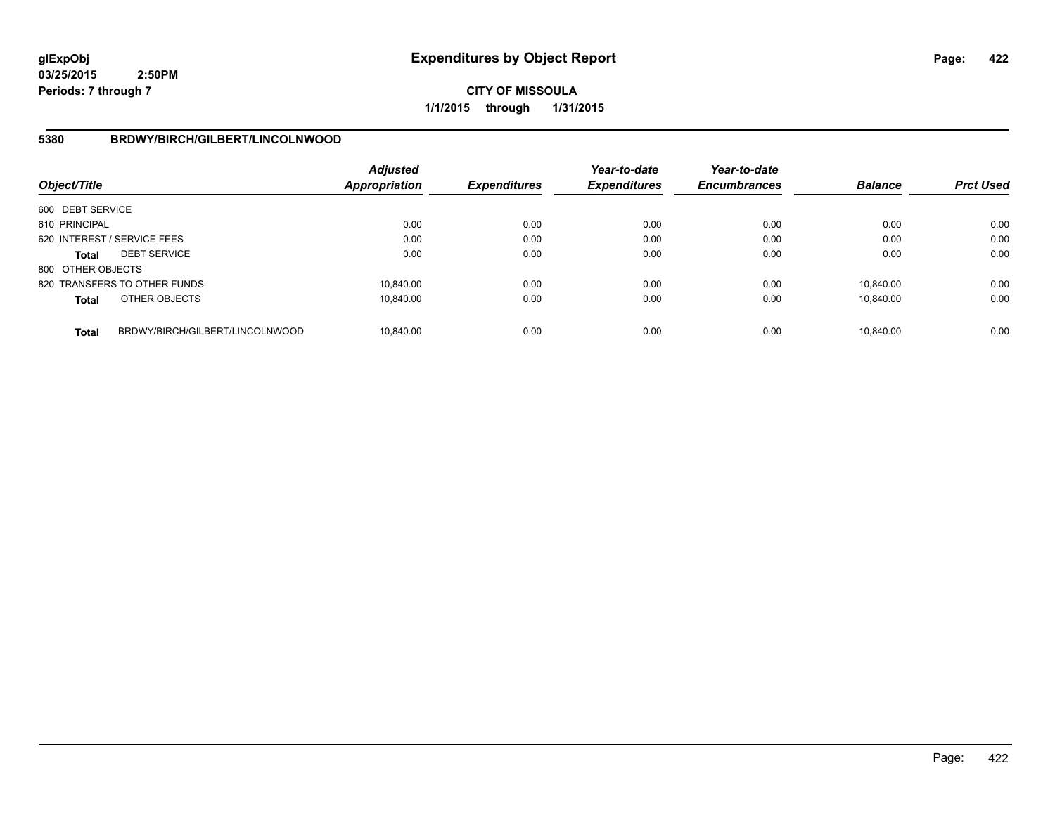**CITY OF MISSOULA 1/1/2015 through 1/31/2015**

## **5380 BRDWY/BIRCH/GILBERT/LINCOLNWOOD**

| Object/Title      |                                 | Adjusted<br><b>Appropriation</b> | <b>Expenditures</b> | Year-to-date<br><b>Expenditures</b> | Year-to-date<br><b>Encumbrances</b> | <b>Balance</b> | <b>Prct Used</b> |
|-------------------|---------------------------------|----------------------------------|---------------------|-------------------------------------|-------------------------------------|----------------|------------------|
| 600 DEBT SERVICE  |                                 |                                  |                     |                                     |                                     |                |                  |
| 610 PRINCIPAL     |                                 | 0.00                             | 0.00                | 0.00                                | 0.00                                | 0.00           | 0.00             |
|                   | 620 INTEREST / SERVICE FEES     | 0.00                             | 0.00                | 0.00                                | 0.00                                | 0.00           | 0.00             |
| <b>Total</b>      | <b>DEBT SERVICE</b>             | 0.00                             | 0.00                | 0.00                                | 0.00                                | 0.00           | 0.00             |
| 800 OTHER OBJECTS |                                 |                                  |                     |                                     |                                     |                |                  |
|                   | 820 TRANSFERS TO OTHER FUNDS    | 10.840.00                        | 0.00                | 0.00                                | 0.00                                | 10.840.00      | 0.00             |
| <b>Total</b>      | OTHER OBJECTS                   | 10.840.00                        | 0.00                | 0.00                                | 0.00                                | 10.840.00      | 0.00             |
| <b>Total</b>      | BRDWY/BIRCH/GILBERT/LINCOLNWOOD | 10.840.00                        | 0.00                | 0.00                                | 0.00                                | 10.840.00      | 0.00             |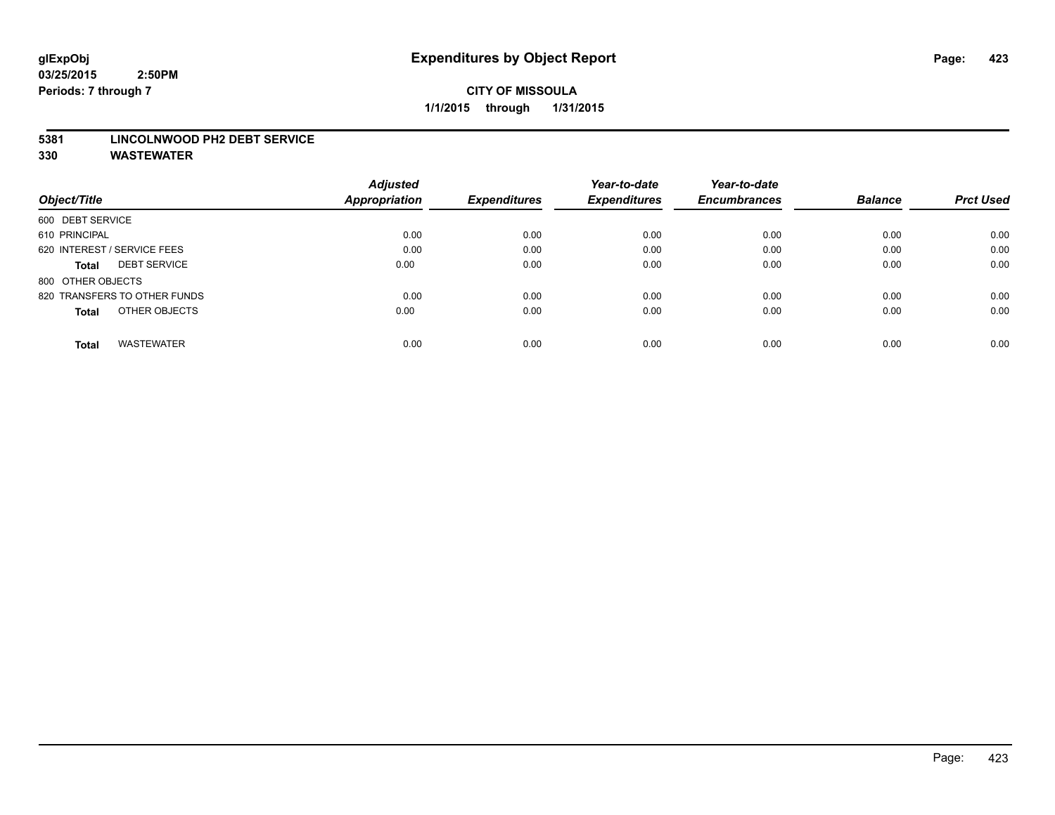#### **5381 LINCOLNWOOD PH2 DEBT SERVICE**

|                                     | <b>Adjusted</b>      |                     | Year-to-date        | Year-to-date        |                |                  |
|-------------------------------------|----------------------|---------------------|---------------------|---------------------|----------------|------------------|
| Object/Title                        | <b>Appropriation</b> | <b>Expenditures</b> | <b>Expenditures</b> | <b>Encumbrances</b> | <b>Balance</b> | <b>Prct Used</b> |
| 600 DEBT SERVICE                    |                      |                     |                     |                     |                |                  |
| 610 PRINCIPAL                       | 0.00                 | 0.00                | 0.00                | 0.00                | 0.00           | 0.00             |
| 620 INTEREST / SERVICE FEES         | 0.00                 | 0.00                | 0.00                | 0.00                | 0.00           | 0.00             |
| <b>DEBT SERVICE</b><br><b>Total</b> | 0.00                 | 0.00                | 0.00                | 0.00                | 0.00           | 0.00             |
| 800 OTHER OBJECTS                   |                      |                     |                     |                     |                |                  |
| 820 TRANSFERS TO OTHER FUNDS        | 0.00                 | 0.00                | 0.00                | 0.00                | 0.00           | 0.00             |
| OTHER OBJECTS<br><b>Total</b>       | 0.00                 | 0.00                | 0.00                | 0.00                | 0.00           | 0.00             |
| <b>WASTEWATER</b><br>Total          | 0.00                 | 0.00                | 0.00                | 0.00                | 0.00           | 0.00             |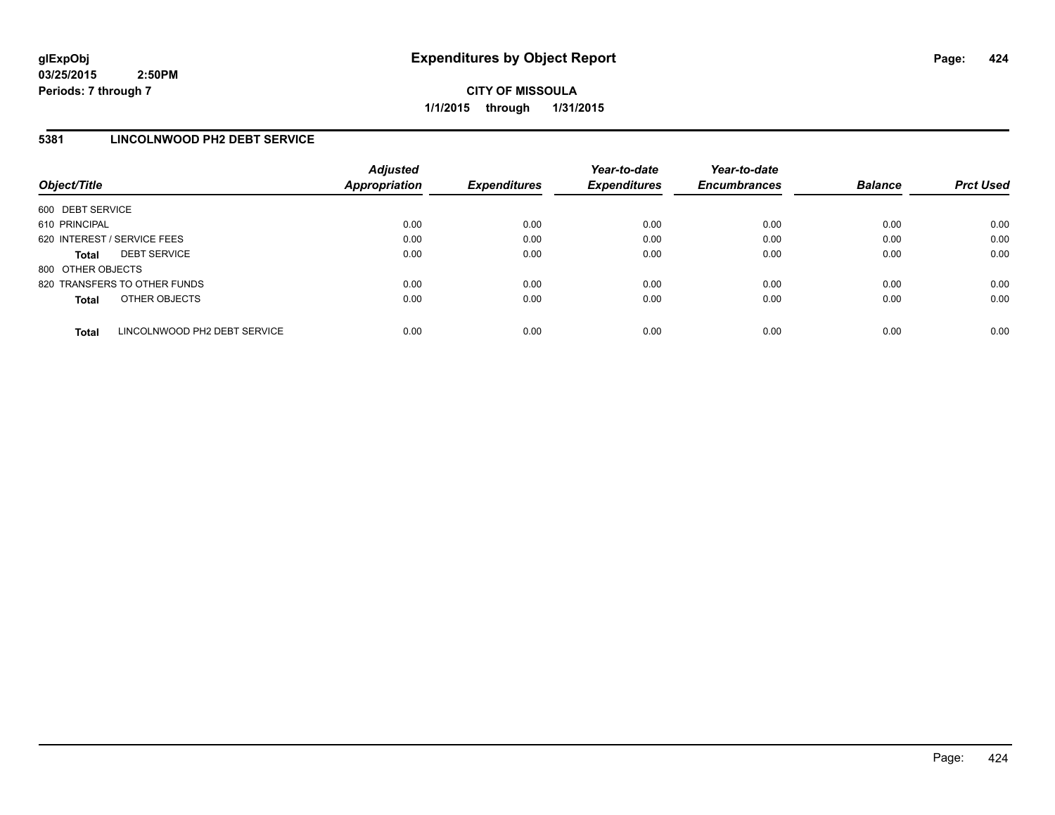**CITY OF MISSOULA 1/1/2015 through 1/31/2015**

## **5381 LINCOLNWOOD PH2 DEBT SERVICE**

| Object/Title                |                              | <b>Adjusted</b><br><b>Appropriation</b> | <b>Expenditures</b> | Year-to-date<br><b>Expenditures</b> | Year-to-date<br><b>Encumbrances</b> | <b>Balance</b> | <b>Prct Used</b> |
|-----------------------------|------------------------------|-----------------------------------------|---------------------|-------------------------------------|-------------------------------------|----------------|------------------|
| 600 DEBT SERVICE            |                              |                                         |                     |                                     |                                     |                |                  |
| 610 PRINCIPAL               |                              | 0.00                                    | 0.00                | 0.00                                | 0.00                                | 0.00           | 0.00             |
| 620 INTEREST / SERVICE FEES |                              | 0.00                                    | 0.00                | 0.00                                | 0.00                                | 0.00           | 0.00             |
| <b>Total</b>                | <b>DEBT SERVICE</b>          | 0.00                                    | 0.00                | 0.00                                | 0.00                                | 0.00           | 0.00             |
| 800 OTHER OBJECTS           |                              |                                         |                     |                                     |                                     |                |                  |
|                             | 820 TRANSFERS TO OTHER FUNDS | 0.00                                    | 0.00                | 0.00                                | 0.00                                | 0.00           | 0.00             |
| <b>Total</b>                | OTHER OBJECTS                | 0.00                                    | 0.00                | 0.00                                | 0.00                                | 0.00           | 0.00             |
| <b>Total</b>                | LINCOLNWOOD PH2 DEBT SERVICE | 0.00                                    | 0.00                | 0.00                                | 0.00                                | 0.00           | 0.00             |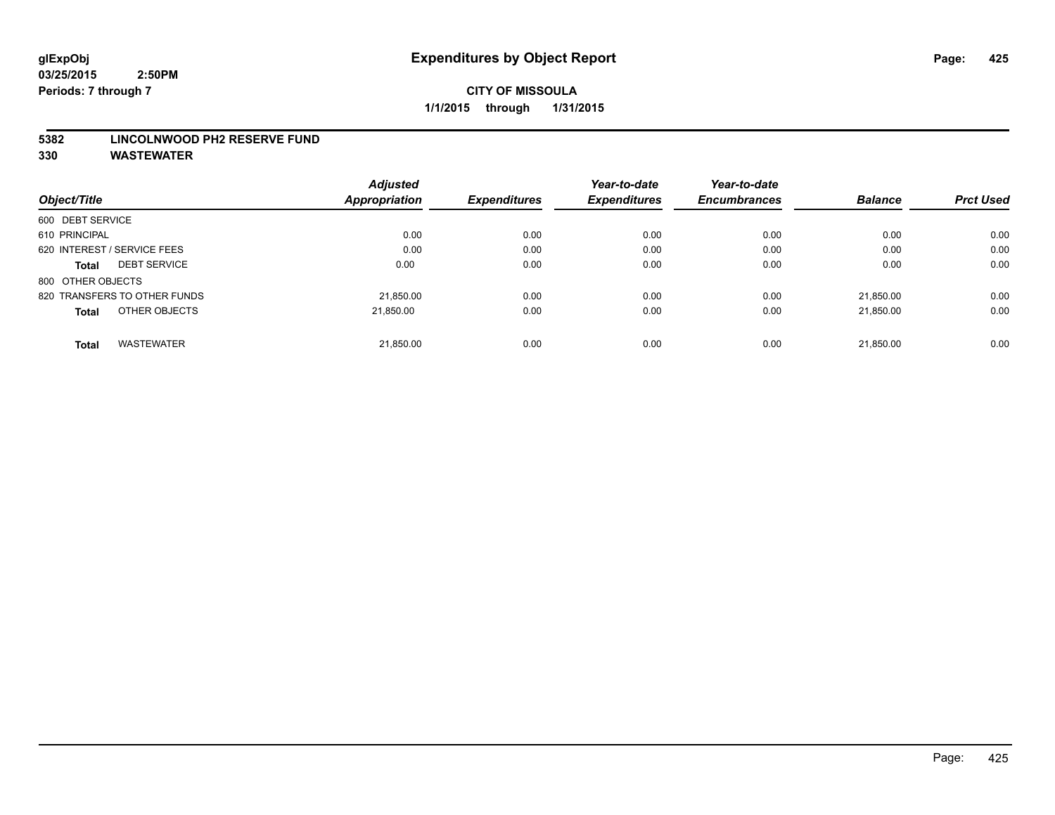#### **5382 LINCOLNWOOD PH2 RESERVE FUND**

|                                     | <b>Adjusted</b>      |                     | Year-to-date        | Year-to-date        |                |                  |
|-------------------------------------|----------------------|---------------------|---------------------|---------------------|----------------|------------------|
| Object/Title                        | <b>Appropriation</b> | <b>Expenditures</b> | <b>Expenditures</b> | <b>Encumbrances</b> | <b>Balance</b> | <b>Prct Used</b> |
| 600 DEBT SERVICE                    |                      |                     |                     |                     |                |                  |
| 610 PRINCIPAL                       | 0.00                 | 0.00                | 0.00                | 0.00                | 0.00           | 0.00             |
| 620 INTEREST / SERVICE FEES         | 0.00                 | 0.00                | 0.00                | 0.00                | 0.00           | 0.00             |
| <b>DEBT SERVICE</b><br><b>Total</b> | 0.00                 | 0.00                | 0.00                | 0.00                | 0.00           | 0.00             |
| 800 OTHER OBJECTS                   |                      |                     |                     |                     |                |                  |
| 820 TRANSFERS TO OTHER FUNDS        | 21,850.00            | 0.00                | 0.00                | 0.00                | 21.850.00      | 0.00             |
| OTHER OBJECTS<br><b>Total</b>       | 21.850.00            | 0.00                | 0.00                | 0.00                | 21.850.00      | 0.00             |
| <b>WASTEWATER</b><br><b>Total</b>   | 21,850.00            | 0.00                | 0.00                | 0.00                | 21.850.00      | 0.00             |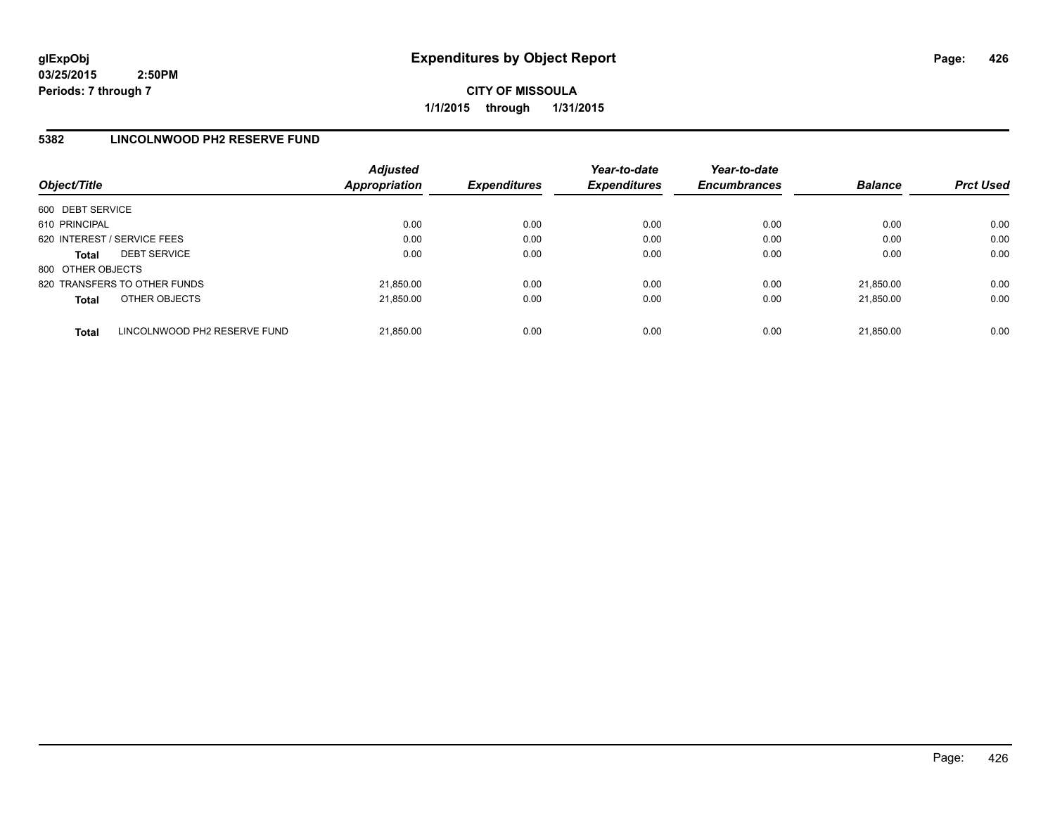**CITY OF MISSOULA 1/1/2015 through 1/31/2015**

## **5382 LINCOLNWOOD PH2 RESERVE FUND**

| Object/Title                |                              | <b>Adjusted</b><br><b>Appropriation</b> | <b>Expenditures</b> | Year-to-date<br><b>Expenditures</b> | Year-to-date<br><b>Encumbrances</b> | <b>Balance</b> | <b>Prct Used</b> |
|-----------------------------|------------------------------|-----------------------------------------|---------------------|-------------------------------------|-------------------------------------|----------------|------------------|
| 600 DEBT SERVICE            |                              |                                         |                     |                                     |                                     |                |                  |
| 610 PRINCIPAL               |                              | 0.00                                    | 0.00                | 0.00                                | 0.00                                | 0.00           | 0.00             |
| 620 INTEREST / SERVICE FEES |                              | 0.00                                    | 0.00                | 0.00                                | 0.00                                | 0.00           | 0.00             |
| <b>Total</b>                | <b>DEBT SERVICE</b>          | 0.00                                    | 0.00                | 0.00                                | 0.00                                | 0.00           | 0.00             |
| 800 OTHER OBJECTS           |                              |                                         |                     |                                     |                                     |                |                  |
|                             | 820 TRANSFERS TO OTHER FUNDS | 21,850.00                               | 0.00                | 0.00                                | 0.00                                | 21.850.00      | 0.00             |
| <b>Total</b>                | OTHER OBJECTS                | 21.850.00                               | 0.00                | 0.00                                | 0.00                                | 21.850.00      | 0.00             |
| <b>Total</b>                | LINCOLNWOOD PH2 RESERVE FUND | 21.850.00                               | 0.00                | 0.00                                | 0.00                                | 21.850.00      | 0.00             |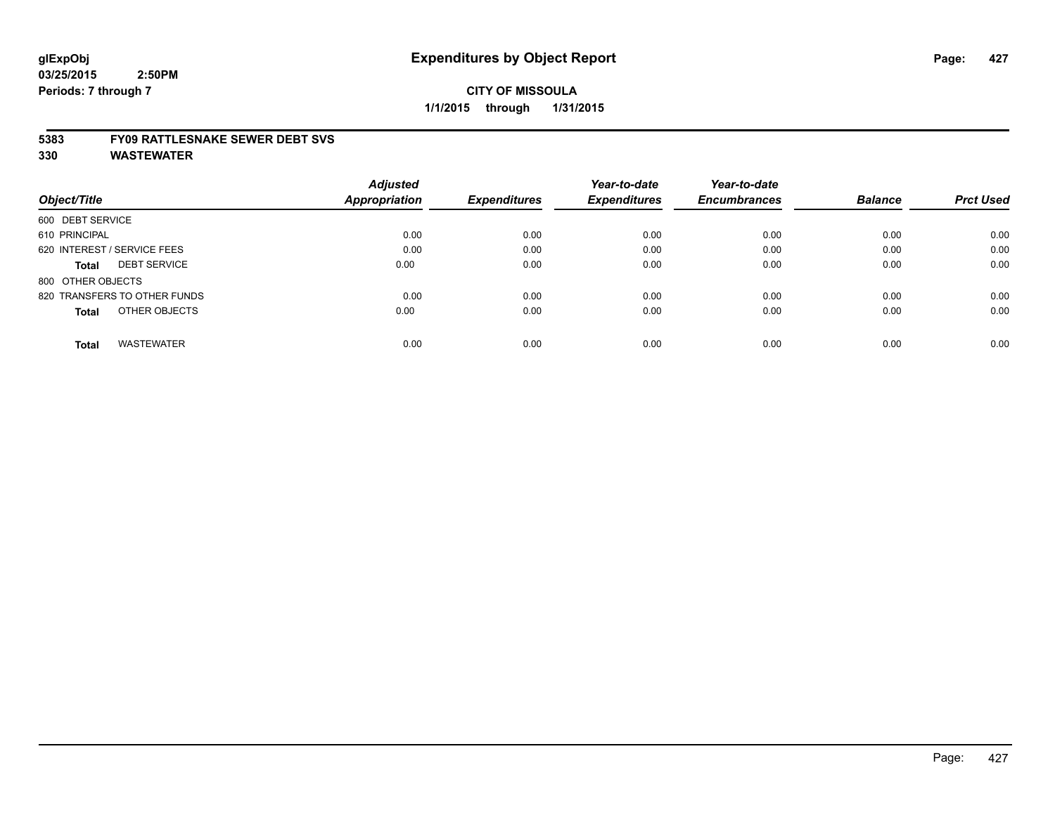#### **5383 FY09 RATTLESNAKE SEWER DEBT SVS**

|                                     | <b>Adjusted</b> |                     | Year-to-date        | Year-to-date        |                |                  |
|-------------------------------------|-----------------|---------------------|---------------------|---------------------|----------------|------------------|
| Object/Title                        | Appropriation   | <b>Expenditures</b> | <b>Expenditures</b> | <b>Encumbrances</b> | <b>Balance</b> | <b>Prct Used</b> |
| 600 DEBT SERVICE                    |                 |                     |                     |                     |                |                  |
| 610 PRINCIPAL                       | 0.00            | 0.00                | 0.00                | 0.00                | 0.00           | 0.00             |
| 620 INTEREST / SERVICE FEES         | 0.00            | 0.00                | 0.00                | 0.00                | 0.00           | 0.00             |
| <b>DEBT SERVICE</b><br><b>Total</b> | 0.00            | 0.00                | 0.00                | 0.00                | 0.00           | 0.00             |
| 800 OTHER OBJECTS                   |                 |                     |                     |                     |                |                  |
| 820 TRANSFERS TO OTHER FUNDS        | 0.00            | 0.00                | 0.00                | 0.00                | 0.00           | 0.00             |
| OTHER OBJECTS<br><b>Total</b>       | 0.00            | 0.00                | 0.00                | 0.00                | 0.00           | 0.00             |
| <b>WASTEWATER</b><br><b>Total</b>   | 0.00            | 0.00                | 0.00                | 0.00                | 0.00           | 0.00             |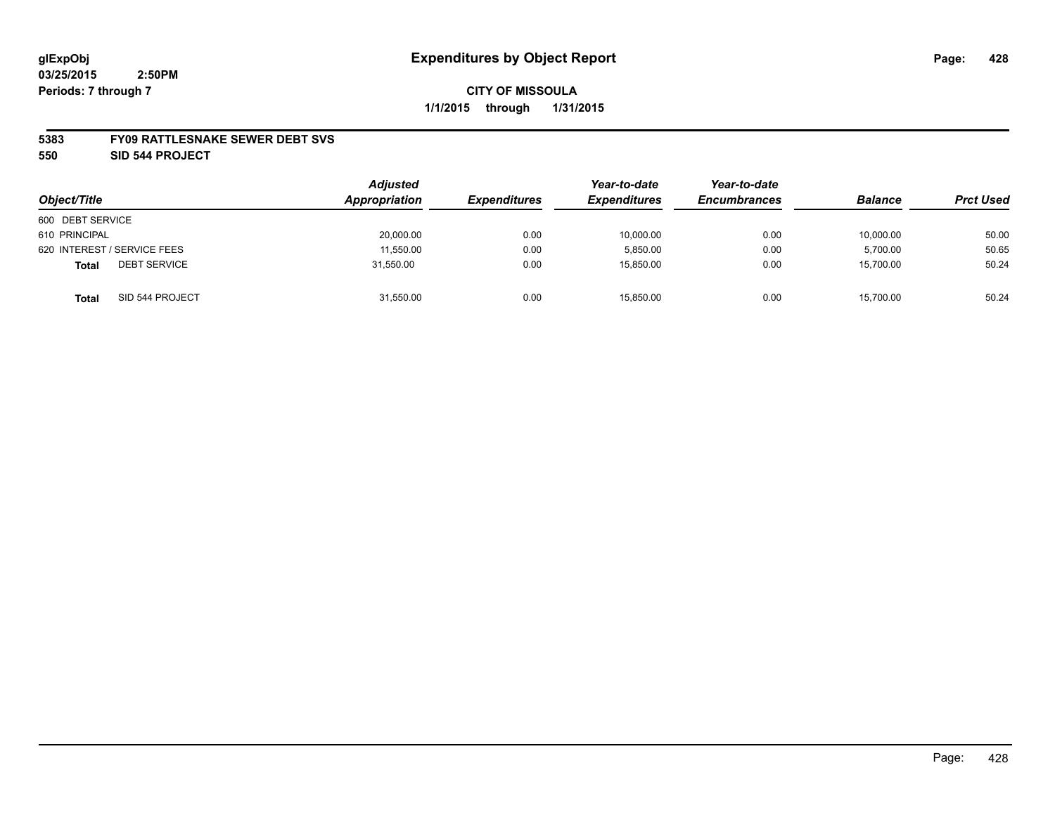#### **5383 FY09 RATTLESNAKE SEWER DEBT SVS**

**550 SID 544 PROJECT**

|                              | <b>Adjusted</b> |                     | Year-to-date        | Year-to-date        |                |                  |
|------------------------------|-----------------|---------------------|---------------------|---------------------|----------------|------------------|
| Object/Title                 | Appropriation   | <b>Expenditures</b> | <b>Expenditures</b> | <b>Encumbrances</b> | <b>Balance</b> | <b>Prct Used</b> |
| 600 DEBT SERVICE             |                 |                     |                     |                     |                |                  |
| 610 PRINCIPAL                | 20,000.00       | 0.00                | 10,000.00           | 0.00                | 10,000.00      | 50.00            |
| 620 INTEREST / SERVICE FEES  | 11,550.00       | 0.00                | 5.850.00            | 0.00                | 5,700.00       | 50.65            |
| <b>DEBT SERVICE</b><br>Total | 31,550.00       | 0.00                | 15,850.00           | 0.00                | 15,700.00      | 50.24            |
| SID 544 PROJECT<br>Total     | 31,550.00       | 0.00                | 15.850.00           | 0.00                | 15,700.00      | 50.24            |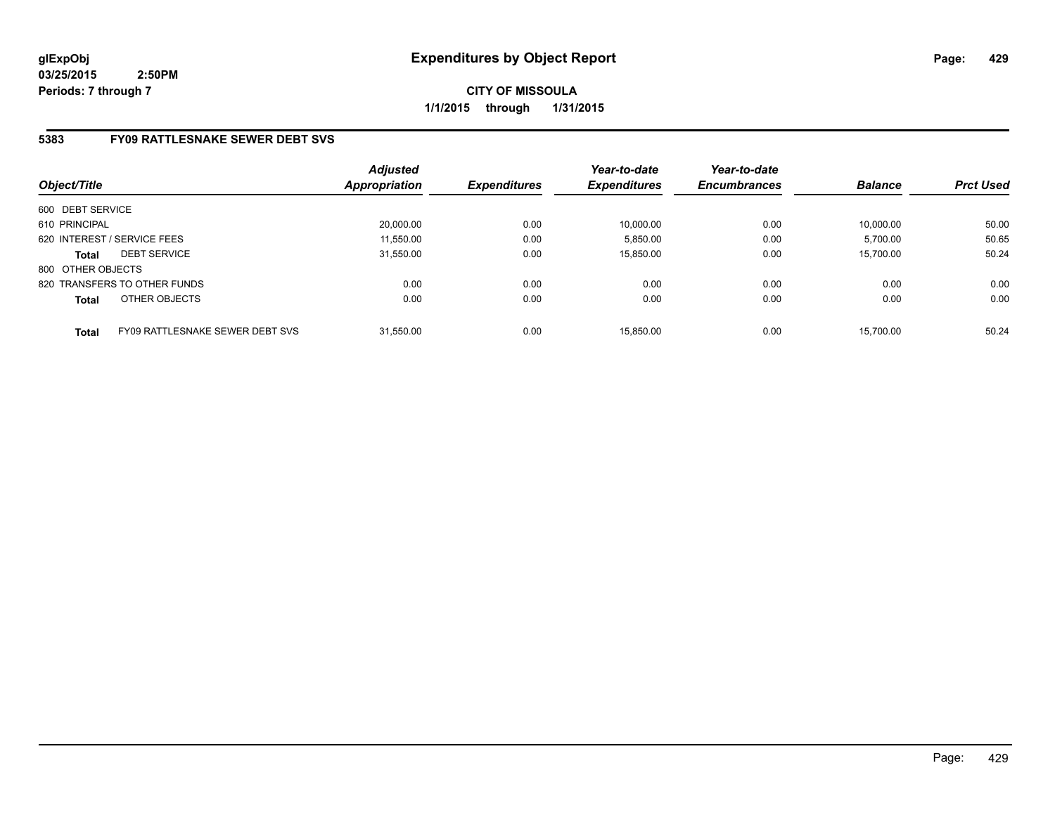**CITY OF MISSOULA 1/1/2015 through 1/31/2015**

# **5383 FY09 RATTLESNAKE SEWER DEBT SVS**

| Object/Title      |                                 | <b>Adjusted</b><br><b>Appropriation</b> | <b>Expenditures</b> | Year-to-date<br><b>Expenditures</b> | Year-to-date<br><b>Encumbrances</b> | <b>Balance</b> | <b>Prct Used</b> |
|-------------------|---------------------------------|-----------------------------------------|---------------------|-------------------------------------|-------------------------------------|----------------|------------------|
| 600 DEBT SERVICE  |                                 |                                         |                     |                                     |                                     |                |                  |
| 610 PRINCIPAL     |                                 | 20,000.00                               | 0.00                | 10,000.00                           | 0.00                                | 10.000.00      | 50.00            |
|                   | 620 INTEREST / SERVICE FEES     | 11,550.00                               | 0.00                | 5,850.00                            | 0.00                                | 5,700.00       | 50.65            |
| <b>Total</b>      | <b>DEBT SERVICE</b>             | 31.550.00                               | 0.00                | 15.850.00                           | 0.00                                | 15.700.00      | 50.24            |
| 800 OTHER OBJECTS |                                 |                                         |                     |                                     |                                     |                |                  |
|                   | 820 TRANSFERS TO OTHER FUNDS    | 0.00                                    | 0.00                | 0.00                                | 0.00                                | 0.00           | 0.00             |
| <b>Total</b>      | OTHER OBJECTS                   | 0.00                                    | 0.00                | 0.00                                | 0.00                                | 0.00           | 0.00             |
| <b>Total</b>      | FY09 RATTLESNAKE SEWER DEBT SVS | 31.550.00                               | 0.00                | 15.850.00                           | 0.00                                | 15.700.00      | 50.24            |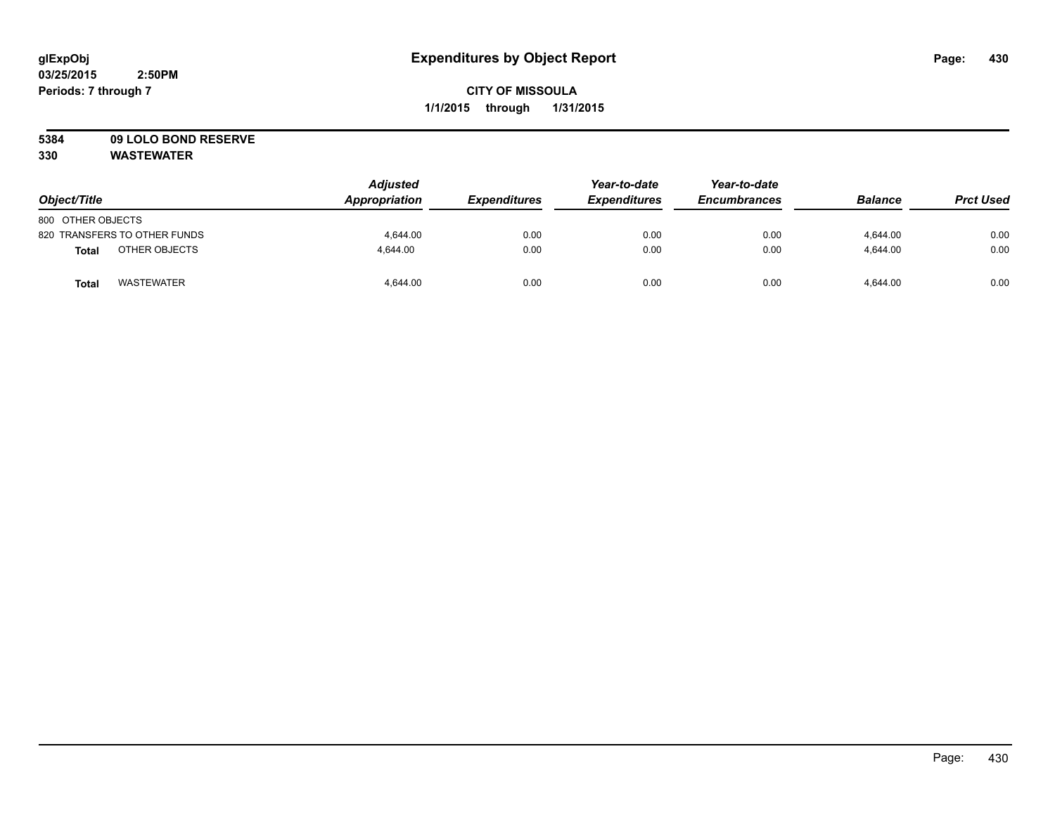# **5384 09 LOLO BOND RESERVE**

| Object/Title                      | <b>Adjusted</b><br>Appropriation | <b>Expenditures</b> | Year-to-date<br><b>Expenditures</b> | Year-to-date<br><b>Encumbrances</b> | <b>Balance</b> | <b>Prct Used</b> |
|-----------------------------------|----------------------------------|---------------------|-------------------------------------|-------------------------------------|----------------|------------------|
| 800 OTHER OBJECTS                 |                                  |                     |                                     |                                     |                |                  |
| 820 TRANSFERS TO OTHER FUNDS      | 4.644.00                         | 0.00                | 0.00                                | 0.00                                | 4,644.00       | 0.00             |
| OTHER OBJECTS<br><b>Total</b>     | 4.644.00                         | 0.00                | 0.00                                | 0.00                                | 4.644.00       | 0.00             |
| <b>WASTEWATER</b><br><b>Total</b> | 4,644.00                         | 0.00                | 0.00                                | 0.00                                | 4,644.00       | 0.00             |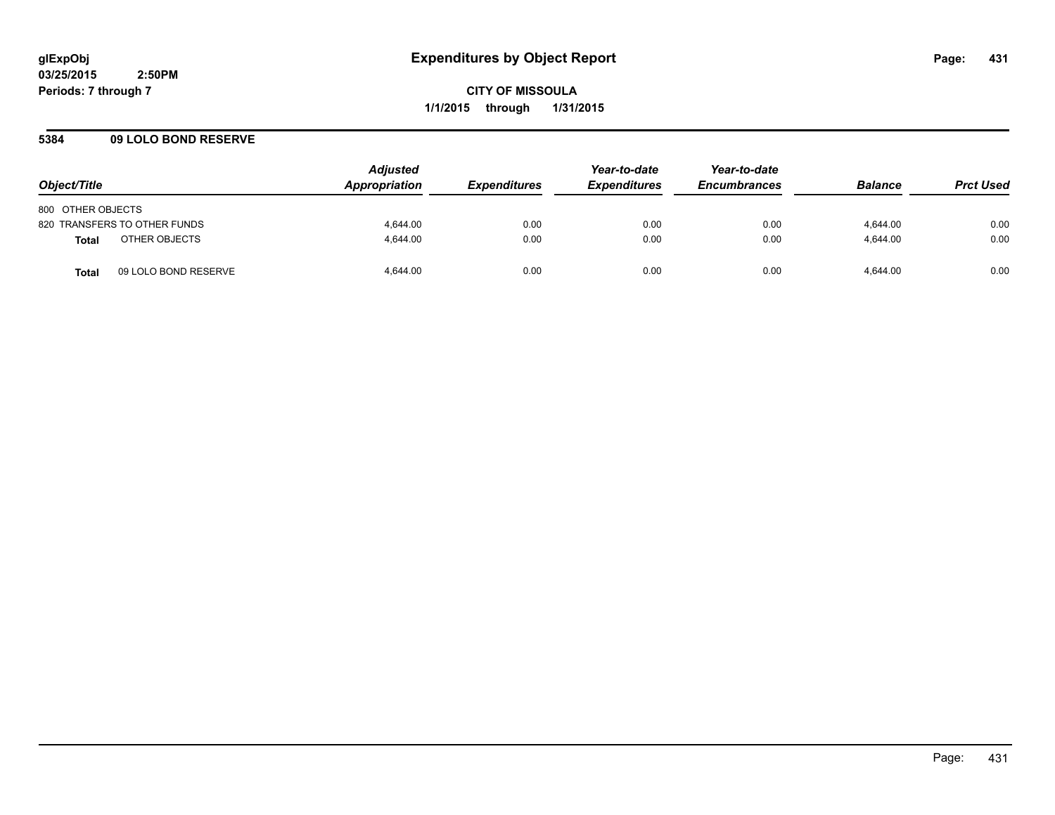**CITY OF MISSOULA 1/1/2015 through 1/31/2015**

## **5384 09 LOLO BOND RESERVE**

| Object/Title                         | <b>Adjusted</b><br>Appropriation | <b>Expenditures</b> | Year-to-date<br><b>Expenditures</b> | Year-to-date<br><b>Encumbrances</b> | <b>Balance</b> | <b>Prct Used</b> |
|--------------------------------------|----------------------------------|---------------------|-------------------------------------|-------------------------------------|----------------|------------------|
| 800 OTHER OBJECTS                    |                                  |                     |                                     |                                     |                |                  |
| 820 TRANSFERS TO OTHER FUNDS         | 4.644.00                         | 0.00                | 0.00                                | 0.00                                | 4.644.00       | 0.00             |
| OTHER OBJECTS<br><b>Total</b>        | 4.644.00                         | 0.00                | 0.00                                | 0.00                                | 4.644.00       | 0.00             |
| 09 LOLO BOND RESERVE<br><b>Total</b> | 4.644.00                         | 0.00                | 0.00                                | 0.00                                | 4.644.00       | 0.00             |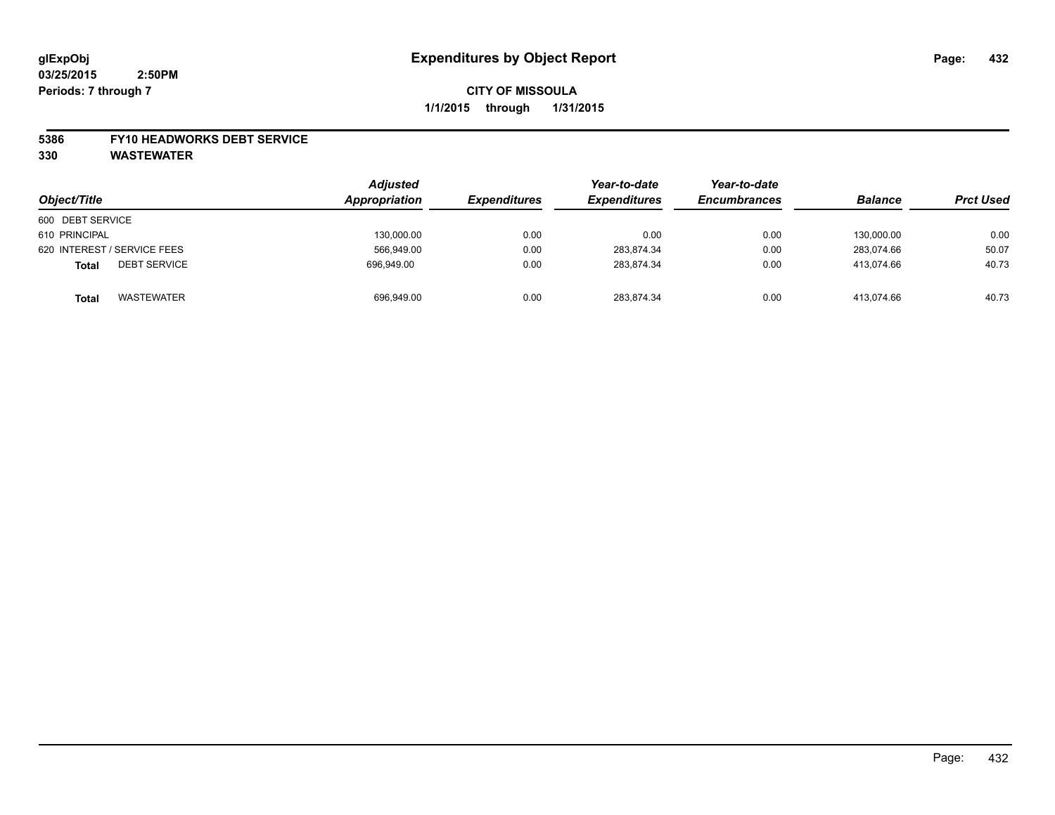#### **5386 FY10 HEADWORKS DEBT SERVICE**

| Object/Title                        | <b>Adjusted</b><br>Appropriation | <b>Expenditures</b> | Year-to-date<br><b>Expenditures</b> | Year-to-date<br><b>Encumbrances</b> | <b>Balance</b> | <b>Prct Used</b> |
|-------------------------------------|----------------------------------|---------------------|-------------------------------------|-------------------------------------|----------------|------------------|
| 600 DEBT SERVICE                    |                                  |                     |                                     |                                     |                |                  |
| 610 PRINCIPAL                       | 130,000.00                       | 0.00                | 0.00                                | 0.00                                | 130.000.00     | 0.00             |
| 620 INTEREST / SERVICE FEES         | 566.949.00                       | 0.00                | 283.874.34                          | 0.00                                | 283.074.66     | 50.07            |
| <b>DEBT SERVICE</b><br><b>Total</b> | 696,949.00                       | 0.00                | 283.874.34                          | 0.00                                | 413.074.66     | 40.73            |
| <b>WASTEWATER</b><br><b>Total</b>   | 696,949.00                       | 0.00                | 283.874.34                          | 0.00                                | 413.074.66     | 40.73            |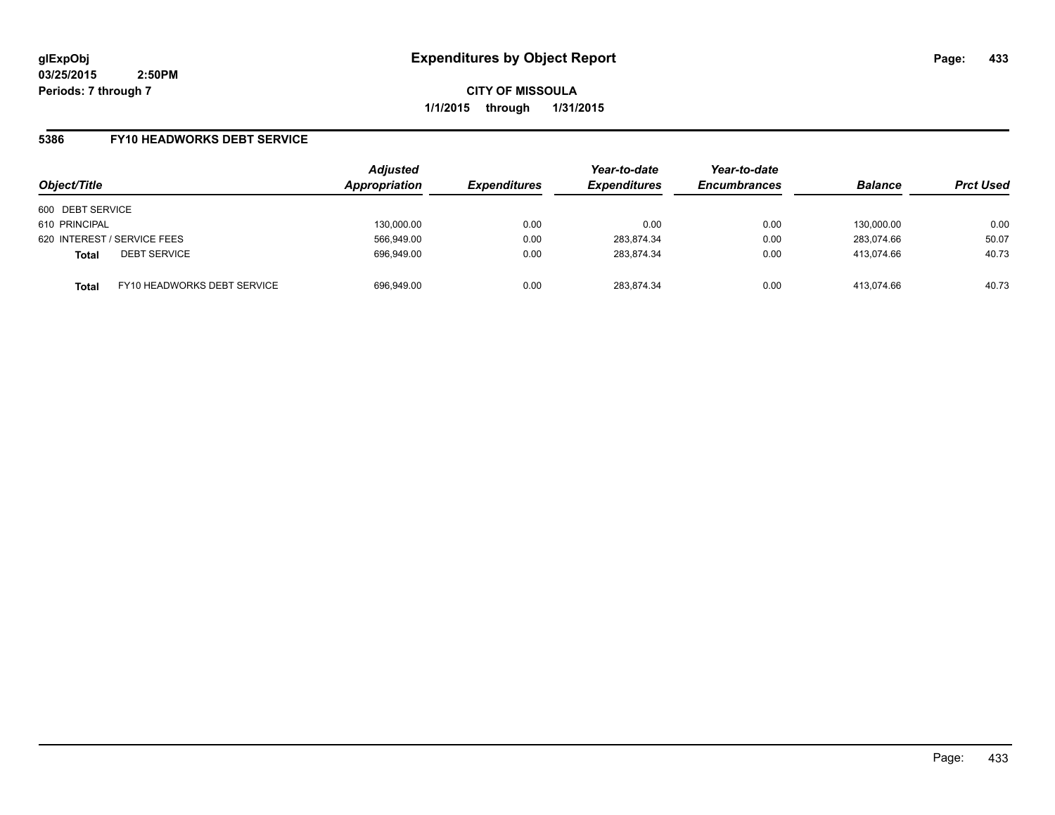**CITY OF MISSOULA 1/1/2015 through 1/31/2015**

## **5386 FY10 HEADWORKS DEBT SERVICE**

| Object/Title     |                             | <b>Adjusted</b><br>Appropriation | <b>Expenditures</b> | Year-to-date<br><b>Expenditures</b> | Year-to-date<br><b>Encumbrances</b> | <b>Balance</b> | <b>Prct Used</b> |
|------------------|-----------------------------|----------------------------------|---------------------|-------------------------------------|-------------------------------------|----------------|------------------|
| 600 DEBT SERVICE |                             |                                  |                     |                                     |                                     |                |                  |
| 610 PRINCIPAL    |                             | 130.000.00                       | 0.00                | 0.00                                | 0.00                                | 130.000.00     | 0.00             |
|                  | 620 INTEREST / SERVICE FEES | 566,949.00                       | 0.00                | 283,874.34                          | 0.00                                | 283,074.66     | 50.07            |
| <b>Total</b>     | <b>DEBT SERVICE</b>         | 696,949.00                       | 0.00                | 283,874.34                          | 0.00                                | 413.074.66     | 40.73            |
| <b>Total</b>     | FY10 HEADWORKS DEBT SERVICE | 696.949.00                       | 0.00                | 283.874.34                          | 0.00                                | 413.074.66     | 40.73            |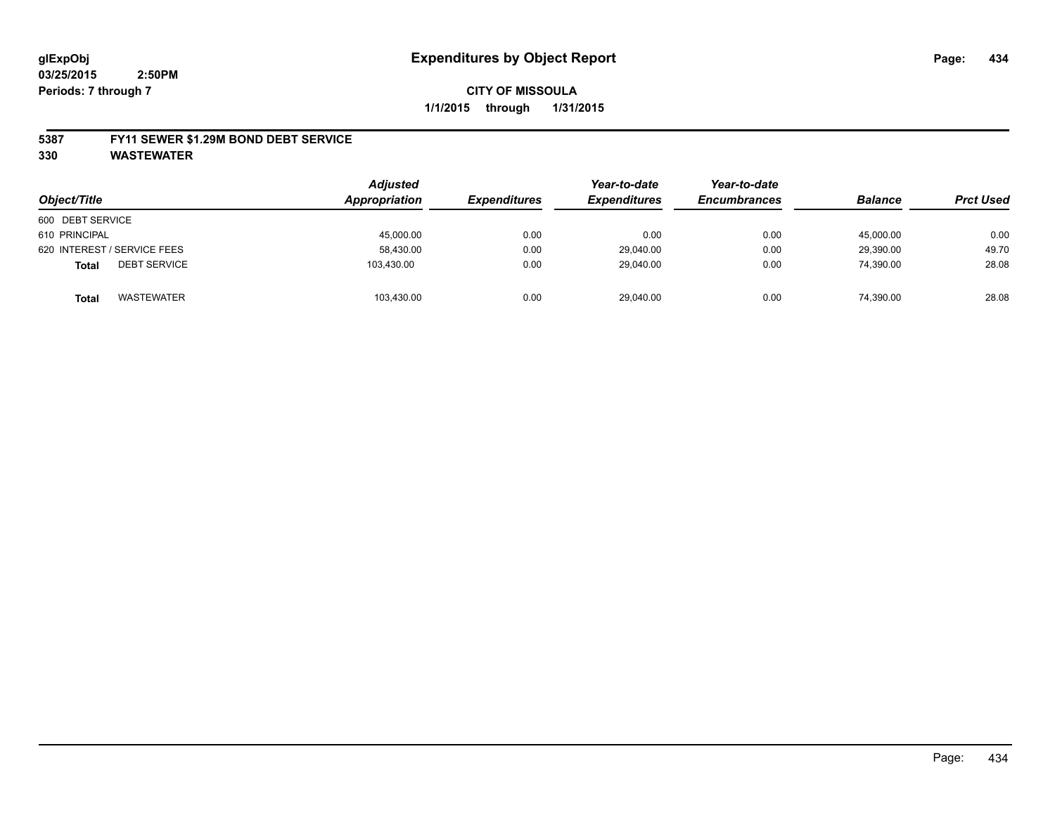#### **5387 FY11 SEWER \$1.29M BOND DEBT SERVICE**

**330 WASTEWATER**

|                                     | <b>Adjusted</b> |                     | Year-to-date        | Year-to-date        |                |                  |
|-------------------------------------|-----------------|---------------------|---------------------|---------------------|----------------|------------------|
| Object/Title                        | Appropriation   | <b>Expenditures</b> | <b>Expenditures</b> | <b>Encumbrances</b> | <b>Balance</b> | <b>Prct Used</b> |
| 600 DEBT SERVICE                    |                 |                     |                     |                     |                |                  |
| 610 PRINCIPAL                       | 45,000.00       | 0.00                | 0.00                | 0.00                | 45.000.00      | 0.00             |
| 620 INTEREST / SERVICE FEES         | 58,430.00       | 0.00                | 29,040.00           | 0.00                | 29,390.00      | 49.70            |
| <b>DEBT SERVICE</b><br><b>Total</b> | 103.430.00      | 0.00                | 29,040.00           | 0.00                | 74,390.00      | 28.08            |
| WASTEWATER<br><b>Total</b>          | 103,430.00      | 0.00                | 29,040.00           | 0.00                | 74,390.00      | 28.08            |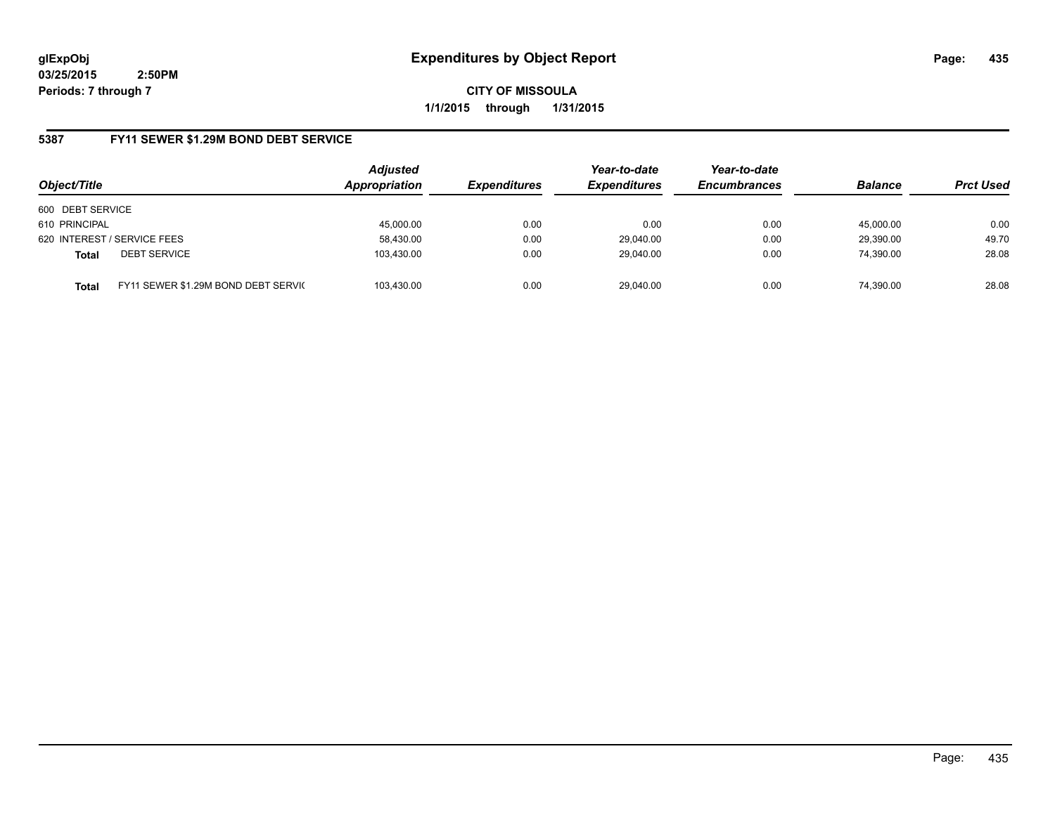**CITY OF MISSOULA 1/1/2015 through 1/31/2015**

# **5387 FY11 SEWER \$1.29M BOND DEBT SERVICE**

| Object/Title                                        | <b>Adjusted</b><br>Appropriation | <b>Expenditures</b> | Year-to-date<br><b>Expenditures</b> | Year-to-date<br><b>Encumbrances</b> | <b>Balance</b> | <b>Prct Used</b> |
|-----------------------------------------------------|----------------------------------|---------------------|-------------------------------------|-------------------------------------|----------------|------------------|
| 600 DEBT SERVICE                                    |                                  |                     |                                     |                                     |                |                  |
| 610 PRINCIPAL                                       | 45,000.00                        | 0.00                | 0.00                                | 0.00                                | 45,000.00      | 0.00             |
| 620 INTEREST / SERVICE FEES                         | 58,430.00                        | 0.00                | 29,040.00                           | 0.00                                | 29,390.00      | 49.70            |
| <b>DEBT SERVICE</b><br><b>Total</b>                 | 103.430.00                       | 0.00                | 29.040.00                           | 0.00                                | 74.390.00      | 28.08            |
| FY11 SEWER \$1.29M BOND DEBT SERVIC<br><b>Total</b> | 103.430.00                       | 0.00                | 29.040.00                           | 0.00                                | 74.390.00      | 28.08            |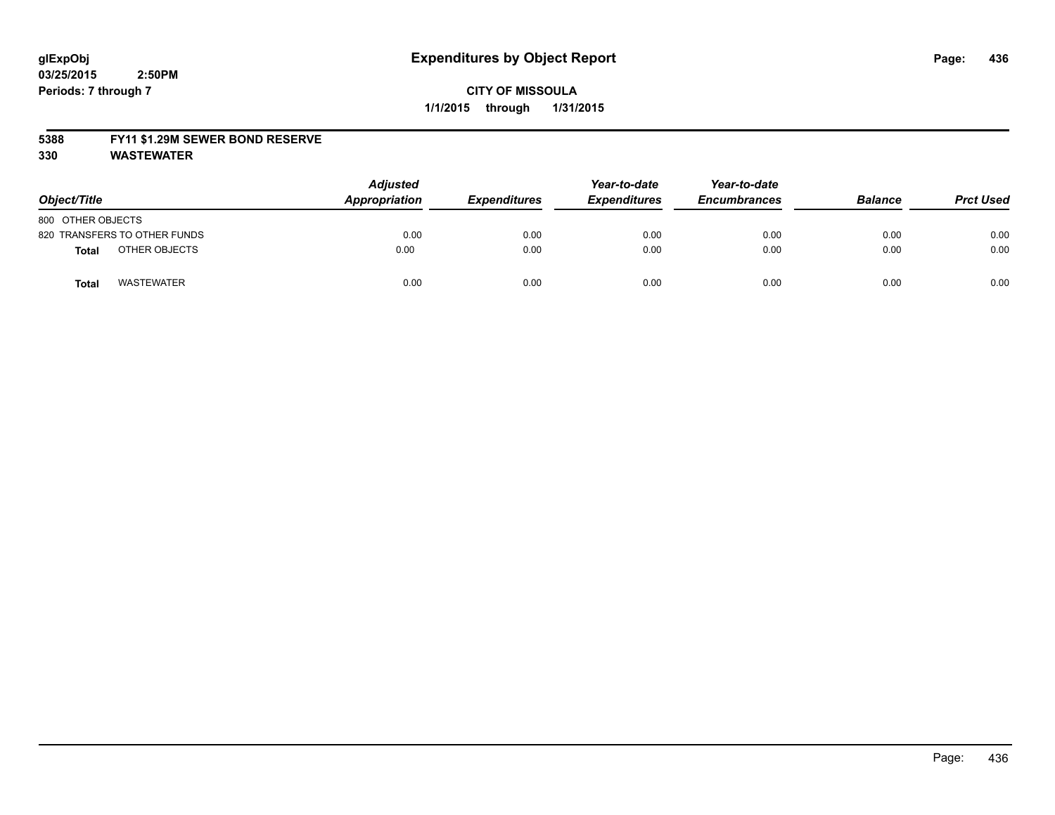#### **5388 FY11 \$1.29M SEWER BOND RESERVE**

**330 WASTEWATER**

| Object/Title                  | <b>Adjusted</b><br>Appropriation | <b>Expenditures</b> | Year-to-date<br><b>Expenditures</b> | Year-to-date<br><b>Encumbrances</b> | <b>Balance</b> | <b>Prct Used</b> |
|-------------------------------|----------------------------------|---------------------|-------------------------------------|-------------------------------------|----------------|------------------|
| 800 OTHER OBJECTS             |                                  |                     |                                     |                                     |                |                  |
| 820 TRANSFERS TO OTHER FUNDS  | 0.00                             | 0.00                | 0.00                                | 0.00                                | 0.00           | 0.00             |
| OTHER OBJECTS<br><b>Total</b> | 0.00                             | 0.00                | 0.00                                | 0.00                                | 0.00           | 0.00             |
| <b>WASTEWATER</b><br>Tota     | 0.00                             | 0.00                | 0.00                                | 0.00                                | 0.00           | 0.00             |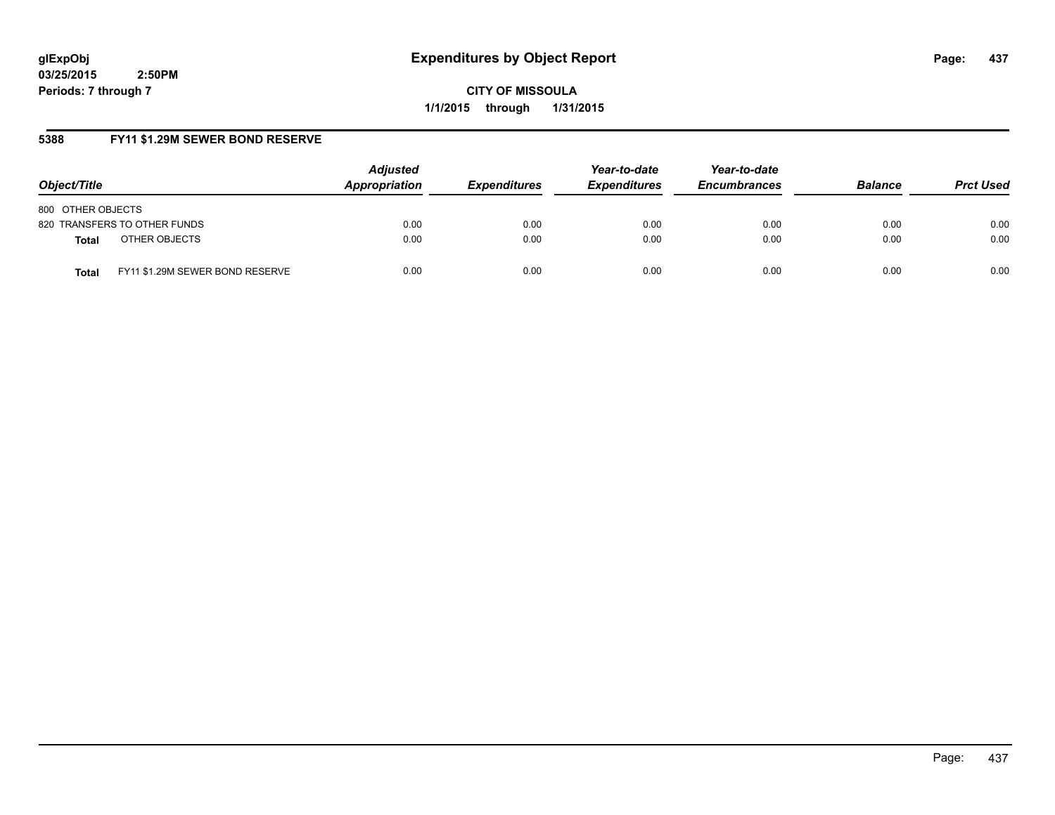**CITY OF MISSOULA 1/1/2015 through 1/31/2015**

# **5388 FY11 \$1.29M SEWER BOND RESERVE**

| Object/Title                                    | <b>Adjusted</b><br>Appropriation | <b>Expenditures</b> | Year-to-date<br><b>Expenditures</b> | Year-to-date<br><b>Encumbrances</b> | <b>Balance</b> | <b>Prct Used</b> |
|-------------------------------------------------|----------------------------------|---------------------|-------------------------------------|-------------------------------------|----------------|------------------|
| 800 OTHER OBJECTS                               |                                  |                     |                                     |                                     |                |                  |
| 820 TRANSFERS TO OTHER FUNDS                    | 0.00                             | 0.00                | 0.00                                | 0.00                                | 0.00           | 0.00             |
| OTHER OBJECTS<br><b>Total</b>                   | 0.00                             | 0.00                | 0.00                                | 0.00                                | 0.00           | 0.00             |
| FY11 \$1.29M SEWER BOND RESERVE<br><b>Total</b> | 0.00                             | 0.00                | 0.00                                | 0.00                                | 0.00           | 0.00             |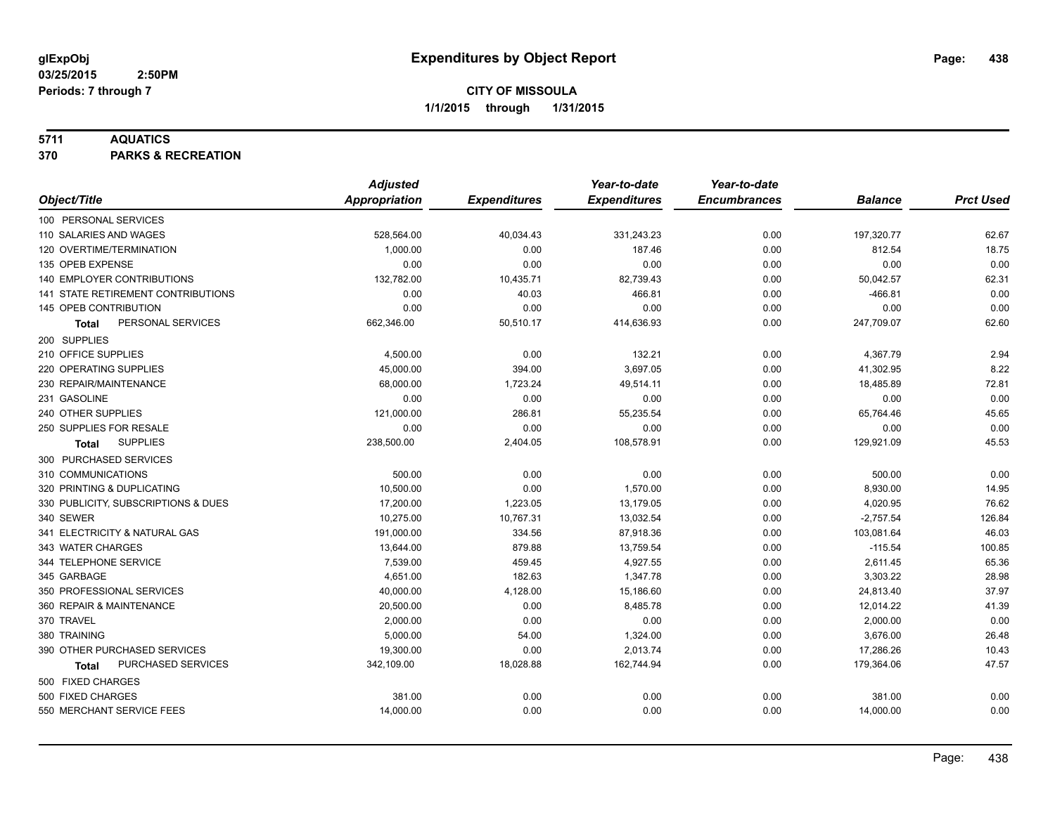## **5711 AQUATICS**

**370 PARKS & RECREATION**

|                                     | <b>Adjusted</b>      |                     | Year-to-date        | Year-to-date        |                |                  |
|-------------------------------------|----------------------|---------------------|---------------------|---------------------|----------------|------------------|
| Object/Title                        | <b>Appropriation</b> | <b>Expenditures</b> | <b>Expenditures</b> | <b>Encumbrances</b> | <b>Balance</b> | <b>Prct Used</b> |
| 100 PERSONAL SERVICES               |                      |                     |                     |                     |                |                  |
| 110 SALARIES AND WAGES              | 528,564.00           | 40,034.43           | 331,243.23          | 0.00                | 197,320.77     | 62.67            |
| 120 OVERTIME/TERMINATION            | 1,000.00             | 0.00                | 187.46              | 0.00                | 812.54         | 18.75            |
| 135 OPEB EXPENSE                    | 0.00                 | 0.00                | 0.00                | 0.00                | 0.00           | 0.00             |
| 140 EMPLOYER CONTRIBUTIONS          | 132,782.00           | 10,435.71           | 82,739.43           | 0.00                | 50,042.57      | 62.31            |
| 141 STATE RETIREMENT CONTRIBUTIONS  | 0.00                 | 40.03               | 466.81              | 0.00                | $-466.81$      | 0.00             |
| 145 OPEB CONTRIBUTION               | 0.00                 | 0.00                | 0.00                | 0.00                | 0.00           | 0.00             |
| PERSONAL SERVICES<br><b>Total</b>   | 662,346.00           | 50,510.17           | 414,636.93          | 0.00                | 247,709.07     | 62.60            |
| 200 SUPPLIES                        |                      |                     |                     |                     |                |                  |
| 210 OFFICE SUPPLIES                 | 4,500.00             | 0.00                | 132.21              | 0.00                | 4,367.79       | 2.94             |
| 220 OPERATING SUPPLIES              | 45,000.00            | 394.00              | 3,697.05            | 0.00                | 41,302.95      | 8.22             |
| 230 REPAIR/MAINTENANCE              | 68,000.00            | 1,723.24            | 49,514.11           | 0.00                | 18,485.89      | 72.81            |
| 231 GASOLINE                        | 0.00                 | 0.00                | 0.00                | 0.00                | 0.00           | 0.00             |
| 240 OTHER SUPPLIES                  | 121,000.00           | 286.81              | 55,235.54           | 0.00                | 65,764.46      | 45.65            |
| 250 SUPPLIES FOR RESALE             | 0.00                 | 0.00                | 0.00                | 0.00                | 0.00           | 0.00             |
| <b>SUPPLIES</b><br>Total            | 238,500.00           | 2,404.05            | 108,578.91          | 0.00                | 129,921.09     | 45.53            |
| 300 PURCHASED SERVICES              |                      |                     |                     |                     |                |                  |
| 310 COMMUNICATIONS                  | 500.00               | 0.00                | 0.00                | 0.00                | 500.00         | 0.00             |
| 320 PRINTING & DUPLICATING          | 10,500.00            | 0.00                | 1,570.00            | 0.00                | 8,930.00       | 14.95            |
| 330 PUBLICITY, SUBSCRIPTIONS & DUES | 17,200.00            | 1,223.05            | 13.179.05           | 0.00                | 4,020.95       | 76.62            |
| 340 SEWER                           | 10,275.00            | 10,767.31           | 13,032.54           | 0.00                | $-2,757.54$    | 126.84           |
| 341 ELECTRICITY & NATURAL GAS       | 191,000.00           | 334.56              | 87,918.36           | 0.00                | 103,081.64     | 46.03            |
| 343 WATER CHARGES                   | 13,644.00            | 879.88              | 13,759.54           | 0.00                | $-115.54$      | 100.85           |
| 344 TELEPHONE SERVICE               | 7,539.00             | 459.45              | 4,927.55            | 0.00                | 2,611.45       | 65.36            |
| 345 GARBAGE                         | 4.651.00             | 182.63              | 1,347.78            | 0.00                | 3,303.22       | 28.98            |
| 350 PROFESSIONAL SERVICES           | 40,000.00            | 4,128.00            | 15,186.60           | 0.00                | 24,813.40      | 37.97            |
| 360 REPAIR & MAINTENANCE            | 20,500.00            | 0.00                | 8,485.78            | 0.00                | 12,014.22      | 41.39            |
| 370 TRAVEL                          | 2,000.00             | 0.00                | 0.00                | 0.00                | 2,000.00       | 0.00             |
| 380 TRAINING                        | 5,000.00             | 54.00               | 1,324.00            | 0.00                | 3,676.00       | 26.48            |
| 390 OTHER PURCHASED SERVICES        | 19,300.00            | 0.00                | 2,013.74            | 0.00                | 17,286.26      | 10.43            |
| PURCHASED SERVICES<br><b>Total</b>  | 342,109.00           | 18,028.88           | 162,744.94          | 0.00                | 179,364.06     | 47.57            |
| 500 FIXED CHARGES                   |                      |                     |                     |                     |                |                  |
| 500 FIXED CHARGES                   | 381.00               | 0.00                | 0.00                | 0.00                | 381.00         | 0.00             |
| 550 MERCHANT SERVICE FEES           | 14,000.00            | 0.00                | 0.00                | 0.00                | 14,000.00      | 0.00             |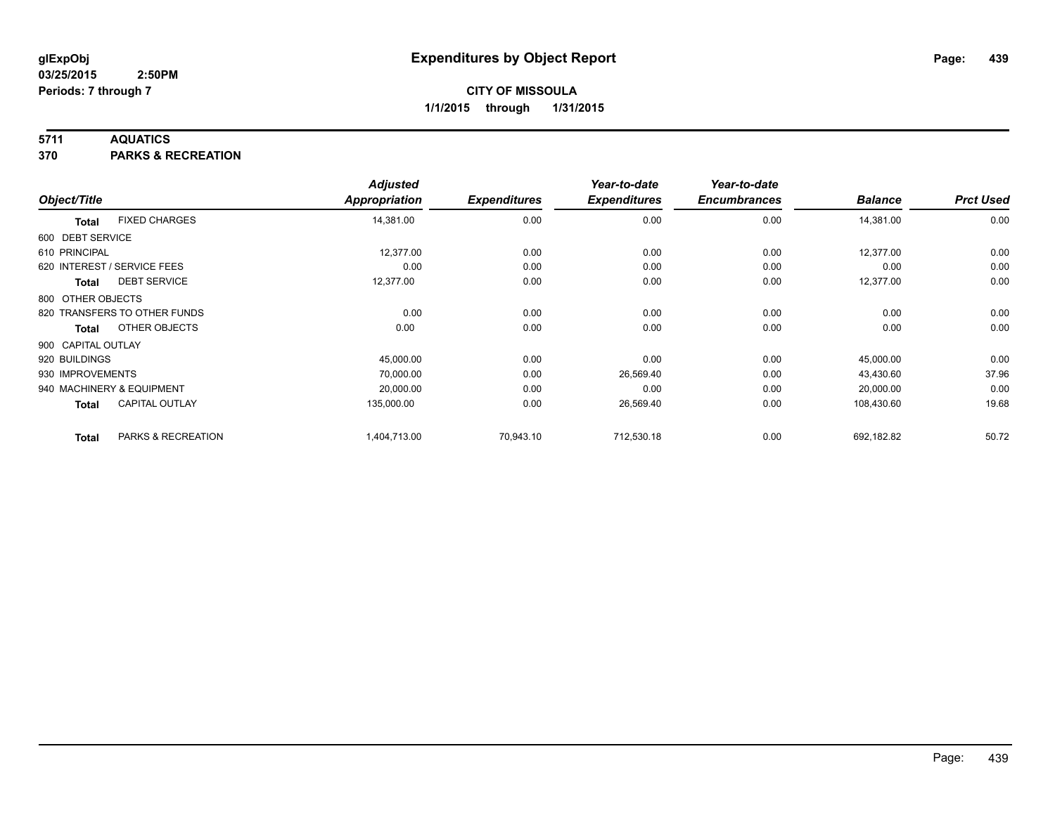## **5711 AQUATICS**

**370 PARKS & RECREATION**

|                    |                              | <b>Adjusted</b>      |                     | Year-to-date        | Year-to-date        |                |                  |
|--------------------|------------------------------|----------------------|---------------------|---------------------|---------------------|----------------|------------------|
| Object/Title       |                              | <b>Appropriation</b> | <b>Expenditures</b> | <b>Expenditures</b> | <b>Encumbrances</b> | <b>Balance</b> | <b>Prct Used</b> |
| <b>Total</b>       | <b>FIXED CHARGES</b>         | 14,381.00            | 0.00                | 0.00                | 0.00                | 14,381.00      | 0.00             |
| 600 DEBT SERVICE   |                              |                      |                     |                     |                     |                |                  |
| 610 PRINCIPAL      |                              | 12,377.00            | 0.00                | 0.00                | 0.00                | 12,377.00      | 0.00             |
|                    | 620 INTEREST / SERVICE FEES  | 0.00                 | 0.00                | 0.00                | 0.00                | 0.00           | 0.00             |
| Total              | <b>DEBT SERVICE</b>          | 12,377.00            | 0.00                | 0.00                | 0.00                | 12,377.00      | 0.00             |
| 800 OTHER OBJECTS  |                              |                      |                     |                     |                     |                |                  |
|                    | 820 TRANSFERS TO OTHER FUNDS | 0.00                 | 0.00                | 0.00                | 0.00                | 0.00           | 0.00             |
| <b>Total</b>       | OTHER OBJECTS                | 0.00                 | 0.00                | 0.00                | 0.00                | 0.00           | 0.00             |
| 900 CAPITAL OUTLAY |                              |                      |                     |                     |                     |                |                  |
| 920 BUILDINGS      |                              | 45,000.00            | 0.00                | 0.00                | 0.00                | 45,000.00      | 0.00             |
| 930 IMPROVEMENTS   |                              | 70,000.00            | 0.00                | 26,569.40           | 0.00                | 43,430.60      | 37.96            |
|                    | 940 MACHINERY & EQUIPMENT    | 20,000.00            | 0.00                | 0.00                | 0.00                | 20,000.00      | 0.00             |
| <b>Total</b>       | <b>CAPITAL OUTLAY</b>        | 135,000.00           | 0.00                | 26,569.40           | 0.00                | 108,430.60     | 19.68            |
| <b>Total</b>       | PARKS & RECREATION           | 1,404,713.00         | 70,943.10           | 712,530.18          | 0.00                | 692,182.82     | 50.72            |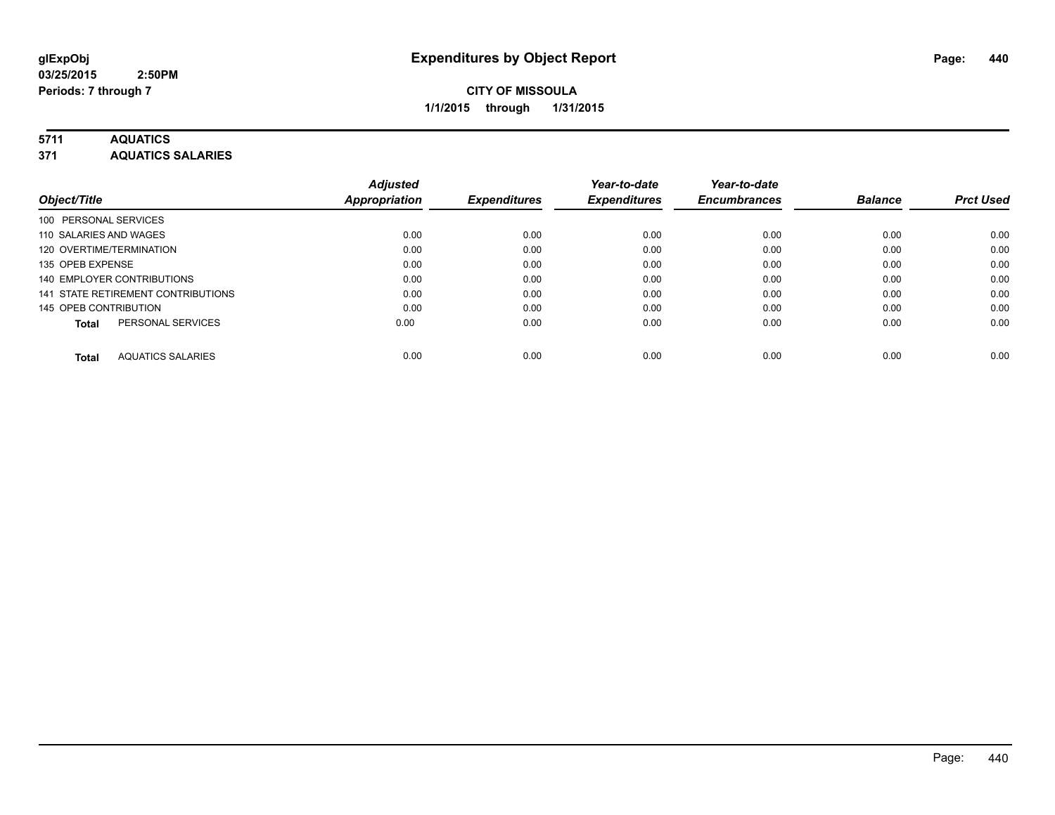## **5711 AQUATICS**

**371 AQUATICS SALARIES**

| Object/Title                             | <b>Adjusted</b><br>Appropriation | <b>Expenditures</b> | Year-to-date<br><b>Expenditures</b> | Year-to-date<br><b>Encumbrances</b> | <b>Balance</b> | <b>Prct Used</b> |
|------------------------------------------|----------------------------------|---------------------|-------------------------------------|-------------------------------------|----------------|------------------|
|                                          |                                  |                     |                                     |                                     |                |                  |
| 100 PERSONAL SERVICES                    |                                  |                     |                                     |                                     |                |                  |
| 110 SALARIES AND WAGES                   | 0.00                             | 0.00                | 0.00                                | 0.00                                | 0.00           | 0.00             |
| 120 OVERTIME/TERMINATION                 | 0.00                             | 0.00                | 0.00                                | 0.00                                | 0.00           | 0.00             |
| 135 OPEB EXPENSE                         | 0.00                             | 0.00                | 0.00                                | 0.00                                | 0.00           | 0.00             |
| 140 EMPLOYER CONTRIBUTIONS               | 0.00                             | 0.00                | 0.00                                | 0.00                                | 0.00           | 0.00             |
| 141 STATE RETIREMENT CONTRIBUTIONS       | 0.00                             | 0.00                | 0.00                                | 0.00                                | 0.00           | 0.00             |
| 145 OPEB CONTRIBUTION                    | 0.00                             | 0.00                | 0.00                                | 0.00                                | 0.00           | 0.00             |
| PERSONAL SERVICES<br><b>Total</b>        | 0.00                             | 0.00                | 0.00                                | 0.00                                | 0.00           | 0.00             |
| <b>AQUATICS SALARIES</b><br><b>Total</b> | 0.00                             | 0.00                | 0.00                                | 0.00                                | 0.00           | 0.00             |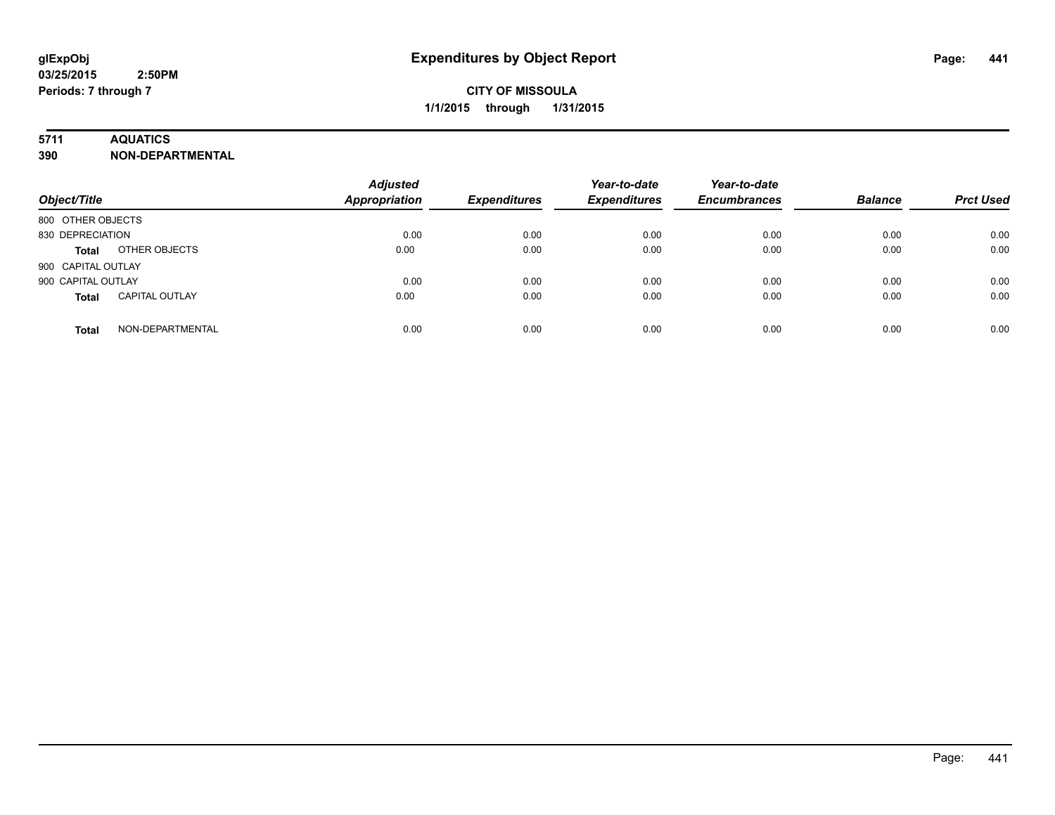## **5711 AQUATICS**

**390 NON-DEPARTMENTAL**

| Object/Title                          | <b>Adjusted</b><br><b>Appropriation</b> | <b>Expenditures</b> | Year-to-date<br><b>Expenditures</b> | Year-to-date<br><b>Encumbrances</b> | <b>Balance</b> | <b>Prct Used</b> |
|---------------------------------------|-----------------------------------------|---------------------|-------------------------------------|-------------------------------------|----------------|------------------|
| 800 OTHER OBJECTS                     |                                         |                     |                                     |                                     |                |                  |
| 830 DEPRECIATION                      | 0.00                                    | 0.00                | 0.00                                | 0.00                                | 0.00           | 0.00             |
| OTHER OBJECTS<br><b>Total</b>         | 0.00                                    | 0.00                | 0.00                                | 0.00                                | 0.00           | 0.00             |
| 900 CAPITAL OUTLAY                    |                                         |                     |                                     |                                     |                |                  |
| 900 CAPITAL OUTLAY                    | 0.00                                    | 0.00                | 0.00                                | 0.00                                | 0.00           | 0.00             |
| <b>CAPITAL OUTLAY</b><br><b>Total</b> | 0.00                                    | 0.00                | 0.00                                | 0.00                                | 0.00           | 0.00             |
| NON-DEPARTMENTAL<br><b>Total</b>      | 0.00                                    | 0.00                | 0.00                                | 0.00                                | 0.00           | 0.00             |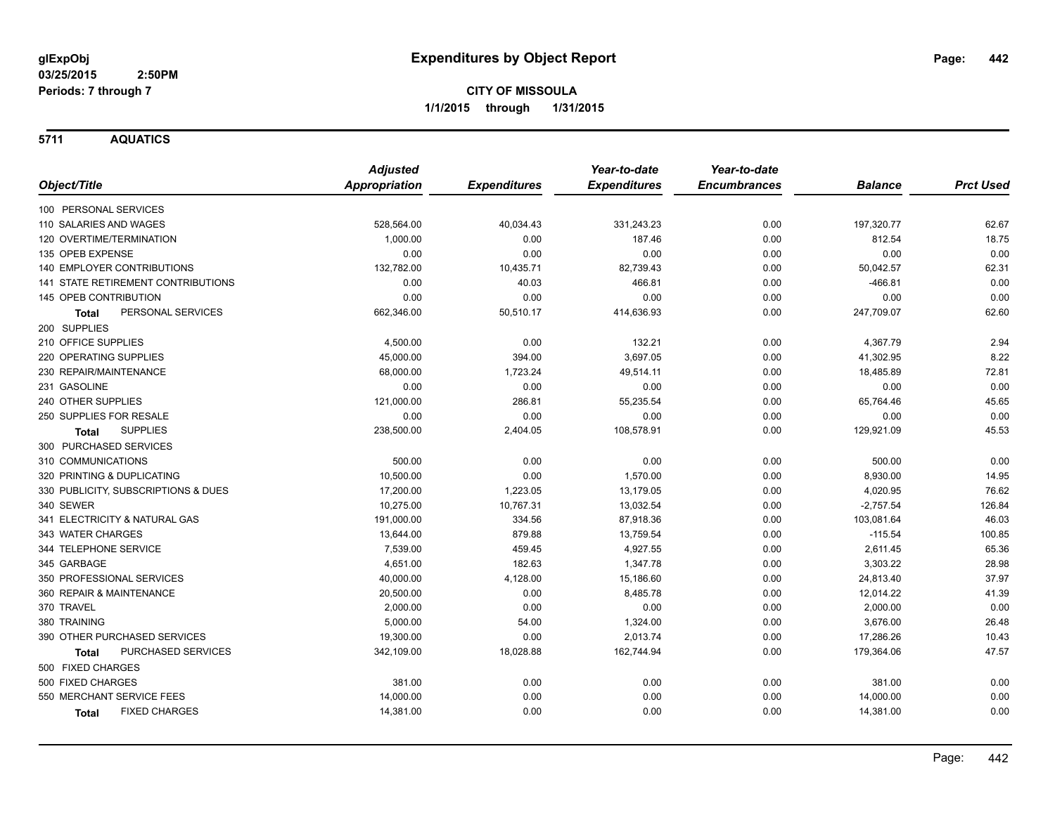**5711 AQUATICS**

|                                     | <b>Adjusted</b> |                     | Year-to-date        | Year-to-date        |                |                  |
|-------------------------------------|-----------------|---------------------|---------------------|---------------------|----------------|------------------|
| Object/Title                        | Appropriation   | <b>Expenditures</b> | <b>Expenditures</b> | <b>Encumbrances</b> | <b>Balance</b> | <b>Prct Used</b> |
| 100 PERSONAL SERVICES               |                 |                     |                     |                     |                |                  |
| 110 SALARIES AND WAGES              | 528,564.00      | 40,034.43           | 331,243.23          | 0.00                | 197,320.77     | 62.67            |
| 120 OVERTIME/TERMINATION            | 1,000.00        | 0.00                | 187.46              | 0.00                | 812.54         | 18.75            |
| 135 OPEB EXPENSE                    | 0.00            | 0.00                | 0.00                | 0.00                | 0.00           | 0.00             |
| 140 EMPLOYER CONTRIBUTIONS          | 132,782.00      | 10,435.71           | 82,739.43           | 0.00                | 50,042.57      | 62.31            |
| 141 STATE RETIREMENT CONTRIBUTIONS  | 0.00            | 40.03               | 466.81              | 0.00                | $-466.81$      | 0.00             |
| 145 OPEB CONTRIBUTION               | 0.00            | 0.00                | 0.00                | 0.00                | 0.00           | 0.00             |
| PERSONAL SERVICES<br>Total          | 662,346.00      | 50,510.17           | 414,636.93          | 0.00                | 247,709.07     | 62.60            |
| 200 SUPPLIES                        |                 |                     |                     |                     |                |                  |
| 210 OFFICE SUPPLIES                 | 4,500.00        | 0.00                | 132.21              | 0.00                | 4,367.79       | 2.94             |
| 220 OPERATING SUPPLIES              | 45,000.00       | 394.00              | 3,697.05            | 0.00                | 41,302.95      | 8.22             |
| 230 REPAIR/MAINTENANCE              | 68,000.00       | 1,723.24            | 49,514.11           | 0.00                | 18,485.89      | 72.81            |
| 231 GASOLINE                        | 0.00            | 0.00                | 0.00                | 0.00                | 0.00           | 0.00             |
| 240 OTHER SUPPLIES                  | 121,000.00      | 286.81              | 55,235.54           | 0.00                | 65,764.46      | 45.65            |
| 250 SUPPLIES FOR RESALE             | 0.00            | 0.00                | 0.00                | 0.00                | 0.00           | 0.00             |
| <b>SUPPLIES</b><br><b>Total</b>     | 238,500.00      | 2,404.05            | 108,578.91          | 0.00                | 129,921.09     | 45.53            |
| 300 PURCHASED SERVICES              |                 |                     |                     |                     |                |                  |
| 310 COMMUNICATIONS                  | 500.00          | 0.00                | 0.00                | 0.00                | 500.00         | 0.00             |
| 320 PRINTING & DUPLICATING          | 10,500.00       | 0.00                | 1,570.00            | 0.00                | 8,930.00       | 14.95            |
| 330 PUBLICITY, SUBSCRIPTIONS & DUES | 17,200.00       | 1,223.05            | 13,179.05           | 0.00                | 4,020.95       | 76.62            |
| 340 SEWER                           | 10,275.00       | 10,767.31           | 13,032.54           | 0.00                | $-2,757.54$    | 126.84           |
| 341 ELECTRICITY & NATURAL GAS       | 191,000.00      | 334.56              | 87,918.36           | 0.00                | 103,081.64     | 46.03            |
| 343 WATER CHARGES                   | 13,644.00       | 879.88              | 13,759.54           | 0.00                | $-115.54$      | 100.85           |
| 344 TELEPHONE SERVICE               | 7,539.00        | 459.45              | 4,927.55            | 0.00                | 2,611.45       | 65.36            |
| 345 GARBAGE                         | 4,651.00        | 182.63              | 1,347.78            | 0.00                | 3,303.22       | 28.98            |
| 350 PROFESSIONAL SERVICES           | 40,000.00       | 4,128.00            | 15,186.60           | 0.00                | 24,813.40      | 37.97            |
| 360 REPAIR & MAINTENANCE            | 20,500.00       | 0.00                | 8,485.78            | 0.00                | 12,014.22      | 41.39            |
| 370 TRAVEL                          | 2,000.00        | 0.00                | 0.00                | 0.00                | 2,000.00       | 0.00             |
| 380 TRAINING                        | 5,000.00        | 54.00               | 1,324.00            | 0.00                | 3,676.00       | 26.48            |
| 390 OTHER PURCHASED SERVICES        | 19,300.00       | 0.00                | 2,013.74            | 0.00                | 17,286.26      | 10.43            |
| PURCHASED SERVICES<br>Total         | 342,109.00      | 18,028.88           | 162,744.94          | 0.00                | 179,364.06     | 47.57            |
| 500 FIXED CHARGES                   |                 |                     |                     |                     |                |                  |
| 500 FIXED CHARGES                   | 381.00          | 0.00                | 0.00                | 0.00                | 381.00         | 0.00             |
| 550 MERCHANT SERVICE FEES           | 14,000.00       | 0.00                | 0.00                | 0.00                | 14,000.00      | 0.00             |
| <b>FIXED CHARGES</b><br>Total       | 14,381.00       | 0.00                | 0.00                | 0.00                | 14,381.00      | 0.00             |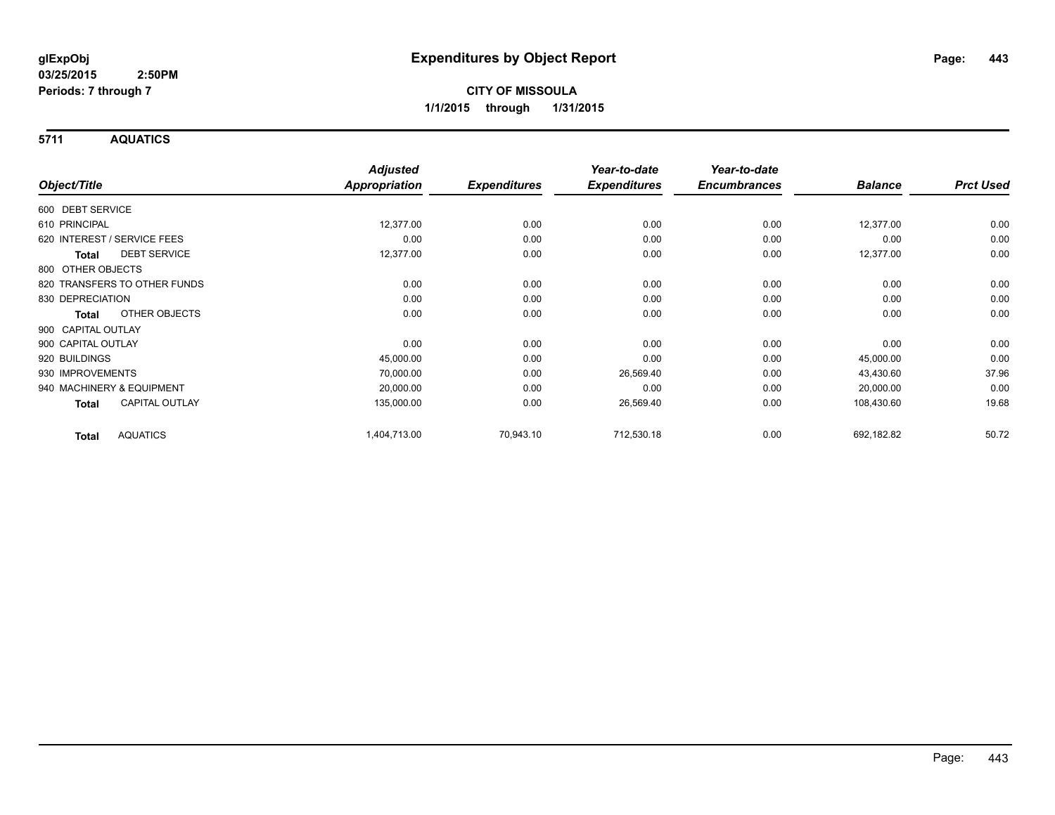**5711 AQUATICS**

|                                     | <b>Adjusted</b>      |                     | Year-to-date        | Year-to-date        |                |                  |
|-------------------------------------|----------------------|---------------------|---------------------|---------------------|----------------|------------------|
| Object/Title                        | <b>Appropriation</b> | <b>Expenditures</b> | <b>Expenditures</b> | <b>Encumbrances</b> | <b>Balance</b> | <b>Prct Used</b> |
| 600 DEBT SERVICE                    |                      |                     |                     |                     |                |                  |
| 610 PRINCIPAL                       | 12,377.00            | 0.00                | 0.00                | 0.00                | 12,377.00      | 0.00             |
| 620 INTEREST / SERVICE FEES         | 0.00                 | 0.00                | 0.00                | 0.00                | 0.00           | 0.00             |
| <b>DEBT SERVICE</b><br><b>Total</b> | 12,377.00            | 0.00                | 0.00                | 0.00                | 12,377.00      | 0.00             |
| 800 OTHER OBJECTS                   |                      |                     |                     |                     |                |                  |
| 820 TRANSFERS TO OTHER FUNDS        | 0.00                 | 0.00                | 0.00                | 0.00                | 0.00           | 0.00             |
| 830 DEPRECIATION                    | 0.00                 | 0.00                | 0.00                | 0.00                | 0.00           | 0.00             |
| OTHER OBJECTS<br>Total              | 0.00                 | 0.00                | 0.00                | 0.00                | 0.00           | 0.00             |
| 900 CAPITAL OUTLAY                  |                      |                     |                     |                     |                |                  |
| 900 CAPITAL OUTLAY                  | 0.00                 | 0.00                | 0.00                | 0.00                | 0.00           | 0.00             |
| 920 BUILDINGS                       | 45,000.00            | 0.00                | 0.00                | 0.00                | 45,000.00      | 0.00             |
| 930 IMPROVEMENTS                    | 70,000.00            | 0.00                | 26,569.40           | 0.00                | 43,430.60      | 37.96            |
| 940 MACHINERY & EQUIPMENT           | 20,000.00            | 0.00                | 0.00                | 0.00                | 20,000.00      | 0.00             |
| <b>CAPITAL OUTLAY</b><br>Total      | 135,000.00           | 0.00                | 26,569.40           | 0.00                | 108,430.60     | 19.68            |
| <b>AQUATICS</b><br><b>Total</b>     | 1,404,713.00         | 70,943.10           | 712,530.18          | 0.00                | 692,182.82     | 50.72            |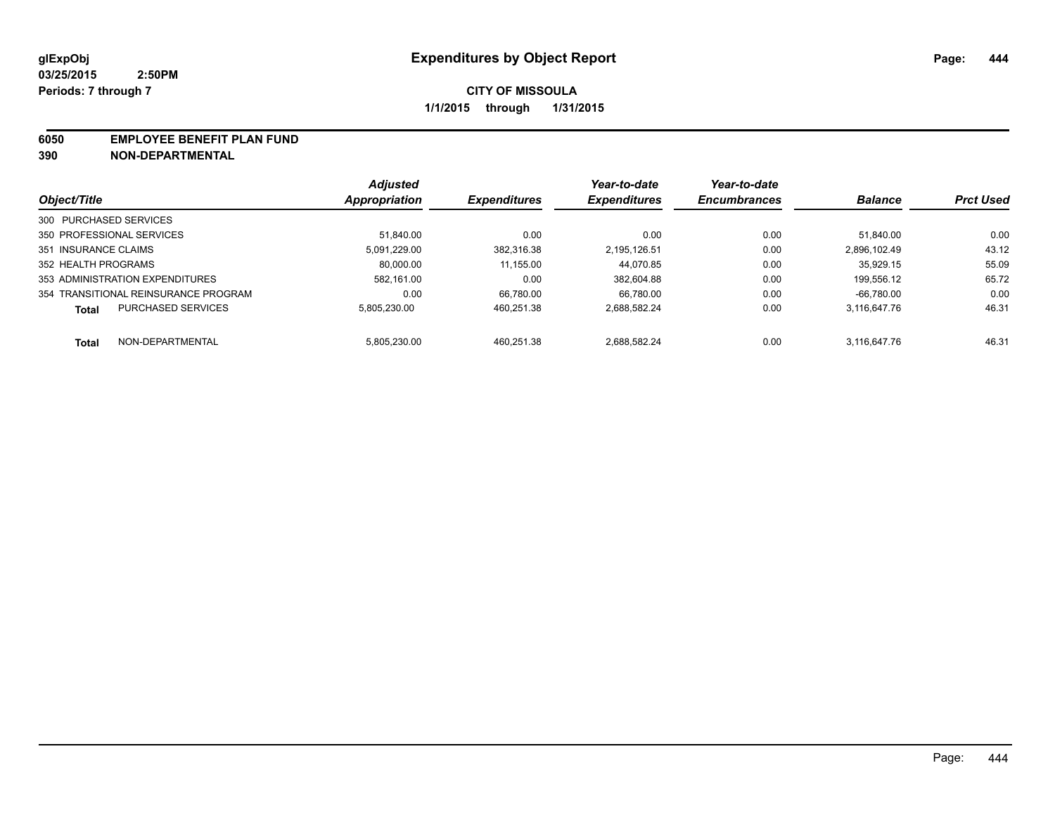#### **6050 EMPLOYEE BENEFIT PLAN FUND**

**390 NON-DEPARTMENTAL**

|                                           | <b>Adjusted</b> | <b>Expenditures</b> | Year-to-date<br><b>Expenditures</b> | Year-to-date<br><b>Encumbrances</b> | <b>Balance</b> | <b>Prct Used</b> |
|-------------------------------------------|-----------------|---------------------|-------------------------------------|-------------------------------------|----------------|------------------|
| Object/Title                              | Appropriation   |                     |                                     |                                     |                |                  |
| 300 PURCHASED SERVICES                    |                 |                     |                                     |                                     |                |                  |
| 350 PROFESSIONAL SERVICES                 | 51.840.00       | 0.00                | 0.00                                | 0.00                                | 51.840.00      | 0.00             |
| 351 INSURANCE CLAIMS                      | 5.091.229.00    | 382.316.38          | 2.195.126.51                        | 0.00                                | 2.896.102.49   | 43.12            |
| 352 HEALTH PROGRAMS                       | 80.000.00       | 11,155.00           | 44.070.85                           | 0.00                                | 35.929.15      | 55.09            |
| 353 ADMINISTRATION EXPENDITURES           | 582.161.00      | 0.00                | 382.604.88                          | 0.00                                | 199.556.12     | 65.72            |
| 354 TRANSITIONAL REINSURANCE PROGRAM      | 0.00            | 66.780.00           | 66.780.00                           | 0.00                                | $-66.780.00$   | 0.00             |
| <b>PURCHASED SERVICES</b><br><b>Total</b> | 5.805.230.00    | 460.251.38          | 2.688.582.24                        | 0.00                                | 3.116.647.76   | 46.31            |
| NON-DEPARTMENTAL<br><b>Total</b>          | 5.805.230.00    | 460.251.38          | 2.688.582.24                        | 0.00                                | 3.116.647.76   | 46.31            |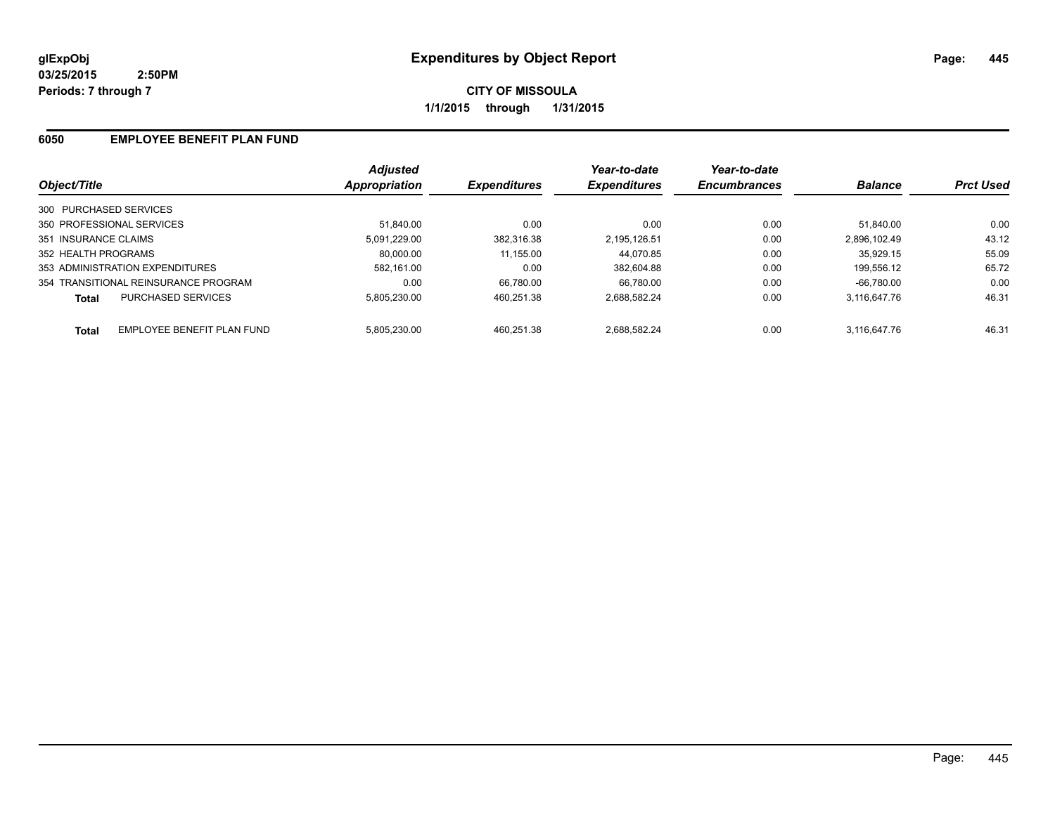**CITY OF MISSOULA 1/1/2015 through 1/31/2015**

## **6050 EMPLOYEE BENEFIT PLAN FUND**

|                                            | <b>Adjusted</b> |                     | Year-to-date        | Year-to-date        |                |                  |
|--------------------------------------------|-----------------|---------------------|---------------------|---------------------|----------------|------------------|
| Object/Title                               | Appropriation   | <b>Expenditures</b> | <b>Expenditures</b> | <b>Encumbrances</b> | <b>Balance</b> | <b>Prct Used</b> |
| 300 PURCHASED SERVICES                     |                 |                     |                     |                     |                |                  |
| 350 PROFESSIONAL SERVICES                  | 51.840.00       | 0.00                | 0.00                | 0.00                | 51.840.00      | 0.00             |
| 351 INSURANCE CLAIMS                       | 5.091.229.00    | 382.316.38          | 2.195.126.51        | 0.00                | 2.896.102.49   | 43.12            |
| 352 HEALTH PROGRAMS                        | 80.000.00       | 11,155.00           | 44.070.85           | 0.00                | 35.929.15      | 55.09            |
| 353 ADMINISTRATION EXPENDITURES            | 582.161.00      | 0.00                | 382.604.88          | 0.00                | 199.556.12     | 65.72            |
| 354 TRANSITIONAL REINSURANCE PROGRAM       | 0.00            | 66.780.00           | 66.780.00           | 0.00                | $-66.780.00$   | 0.00             |
| PURCHASED SERVICES<br><b>Total</b>         | 5.805.230.00    | 460.251.38          | 2.688.582.24        | 0.00                | 3.116.647.76   | 46.31            |
| EMPLOYEE BENEFIT PLAN FUND<br><b>Total</b> | 5.805.230.00    | 460.251.38          | 2.688.582.24        | 0.00                | 3.116.647.76   | 46.31            |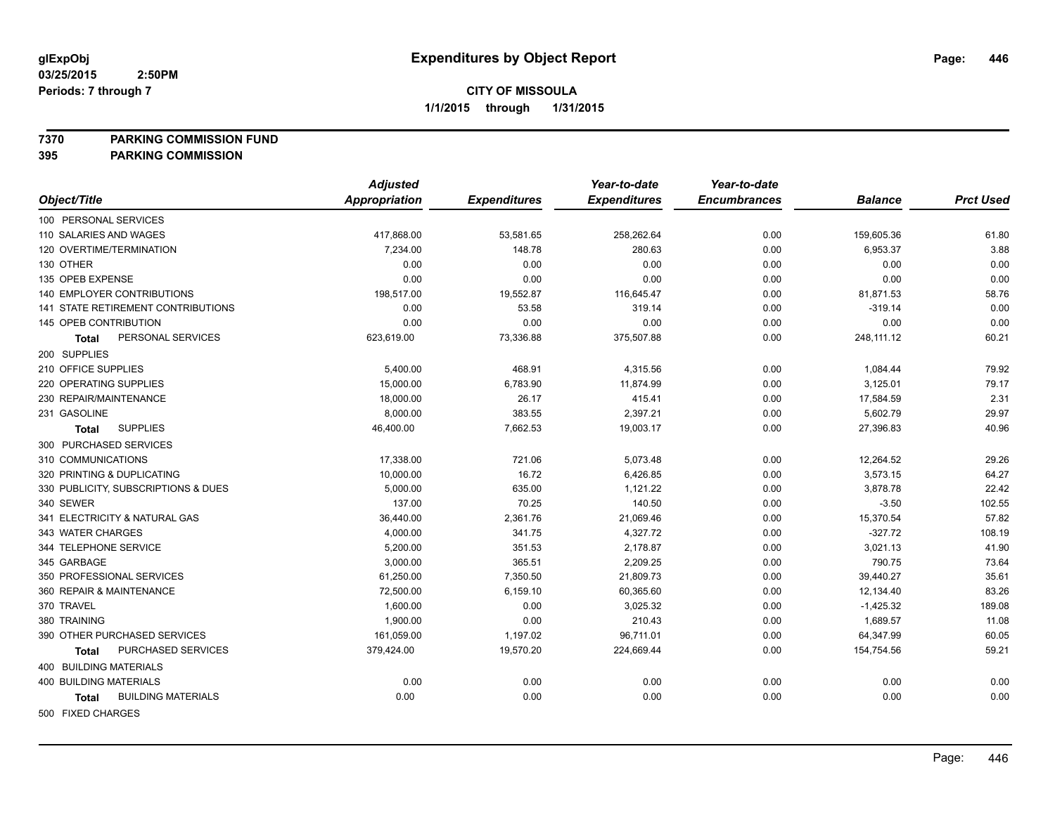#### **7370 PARKING COMMISSION FUND**

|                                           | <b>Adjusted</b>      |                     | Year-to-date        | Year-to-date        |                |                  |
|-------------------------------------------|----------------------|---------------------|---------------------|---------------------|----------------|------------------|
| Object/Title                              | <b>Appropriation</b> | <b>Expenditures</b> | <b>Expenditures</b> | <b>Encumbrances</b> | <b>Balance</b> | <b>Prct Used</b> |
| 100 PERSONAL SERVICES                     |                      |                     |                     |                     |                |                  |
| 110 SALARIES AND WAGES                    | 417,868.00           | 53,581.65           | 258,262.64          | 0.00                | 159,605.36     | 61.80            |
| 120 OVERTIME/TERMINATION                  | 7,234.00             | 148.78              | 280.63              | 0.00                | 6,953.37       | 3.88             |
| 130 OTHER                                 | 0.00                 | 0.00                | 0.00                | 0.00                | 0.00           | 0.00             |
| 135 OPEB EXPENSE                          | 0.00                 | 0.00                | 0.00                | 0.00                | 0.00           | 0.00             |
| 140 EMPLOYER CONTRIBUTIONS                | 198,517.00           | 19,552.87           | 116,645.47          | 0.00                | 81,871.53      | 58.76            |
| 141 STATE RETIREMENT CONTRIBUTIONS        | 0.00                 | 53.58               | 319.14              | 0.00                | $-319.14$      | 0.00             |
| 145 OPEB CONTRIBUTION                     | 0.00                 | 0.00                | 0.00                | 0.00                | 0.00           | 0.00             |
| PERSONAL SERVICES<br>Total                | 623,619.00           | 73,336.88           | 375,507.88          | 0.00                | 248,111.12     | 60.21            |
| 200 SUPPLIES                              |                      |                     |                     |                     |                |                  |
| 210 OFFICE SUPPLIES                       | 5,400.00             | 468.91              | 4,315.56            | 0.00                | 1,084.44       | 79.92            |
| 220 OPERATING SUPPLIES                    | 15,000.00            | 6,783.90            | 11,874.99           | 0.00                | 3,125.01       | 79.17            |
| 230 REPAIR/MAINTENANCE                    | 18,000.00            | 26.17               | 415.41              | 0.00                | 17,584.59      | 2.31             |
| 231 GASOLINE                              | 8,000.00             | 383.55              | 2,397.21            | 0.00                | 5,602.79       | 29.97            |
| <b>SUPPLIES</b><br>Total                  | 46,400.00            | 7,662.53            | 19,003.17           | 0.00                | 27,396.83      | 40.96            |
| 300 PURCHASED SERVICES                    |                      |                     |                     |                     |                |                  |
| 310 COMMUNICATIONS                        | 17,338.00            | 721.06              | 5,073.48            | 0.00                | 12,264.52      | 29.26            |
| 320 PRINTING & DUPLICATING                | 10,000.00            | 16.72               | 6,426.85            | 0.00                | 3,573.15       | 64.27            |
| 330 PUBLICITY, SUBSCRIPTIONS & DUES       | 5,000.00             | 635.00              | 1,121.22            | 0.00                | 3,878.78       | 22.42            |
| 340 SEWER                                 | 137.00               | 70.25               | 140.50              | 0.00                | $-3.50$        | 102.55           |
| 341 ELECTRICITY & NATURAL GAS             | 36,440.00            | 2,361.76            | 21,069.46           | 0.00                | 15,370.54      | 57.82            |
| 343 WATER CHARGES                         | 4,000.00             | 341.75              | 4,327.72            | 0.00                | $-327.72$      | 108.19           |
| 344 TELEPHONE SERVICE                     | 5,200.00             | 351.53              | 2,178.87            | 0.00                | 3,021.13       | 41.90            |
| 345 GARBAGE                               | 3,000.00             | 365.51              | 2,209.25            | 0.00                | 790.75         | 73.64            |
| 350 PROFESSIONAL SERVICES                 | 61,250.00            | 7,350.50            | 21,809.73           | 0.00                | 39,440.27      | 35.61            |
| 360 REPAIR & MAINTENANCE                  | 72,500.00            | 6,159.10            | 60,365.60           | 0.00                | 12,134.40      | 83.26            |
| 370 TRAVEL                                | 1,600.00             | 0.00                | 3,025.32            | 0.00                | $-1,425.32$    | 189.08           |
| 380 TRAINING                              | 1,900.00             | 0.00                | 210.43              | 0.00                | 1,689.57       | 11.08            |
| 390 OTHER PURCHASED SERVICES              | 161,059.00           | 1,197.02            | 96,711.01           | 0.00                | 64,347.99      | 60.05            |
| PURCHASED SERVICES<br><b>Total</b>        | 379,424.00           | 19,570.20           | 224,669.44          | 0.00                | 154,754.56     | 59.21            |
| 400 BUILDING MATERIALS                    |                      |                     |                     |                     |                |                  |
| <b>400 BUILDING MATERIALS</b>             | 0.00                 | 0.00                | 0.00                | 0.00                | 0.00           | 0.00             |
| <b>BUILDING MATERIALS</b><br><b>Total</b> | 0.00                 | 0.00                | 0.00                | 0.00                | 0.00           | 0.00             |
| 500 FIXED CHARGES                         |                      |                     |                     |                     |                |                  |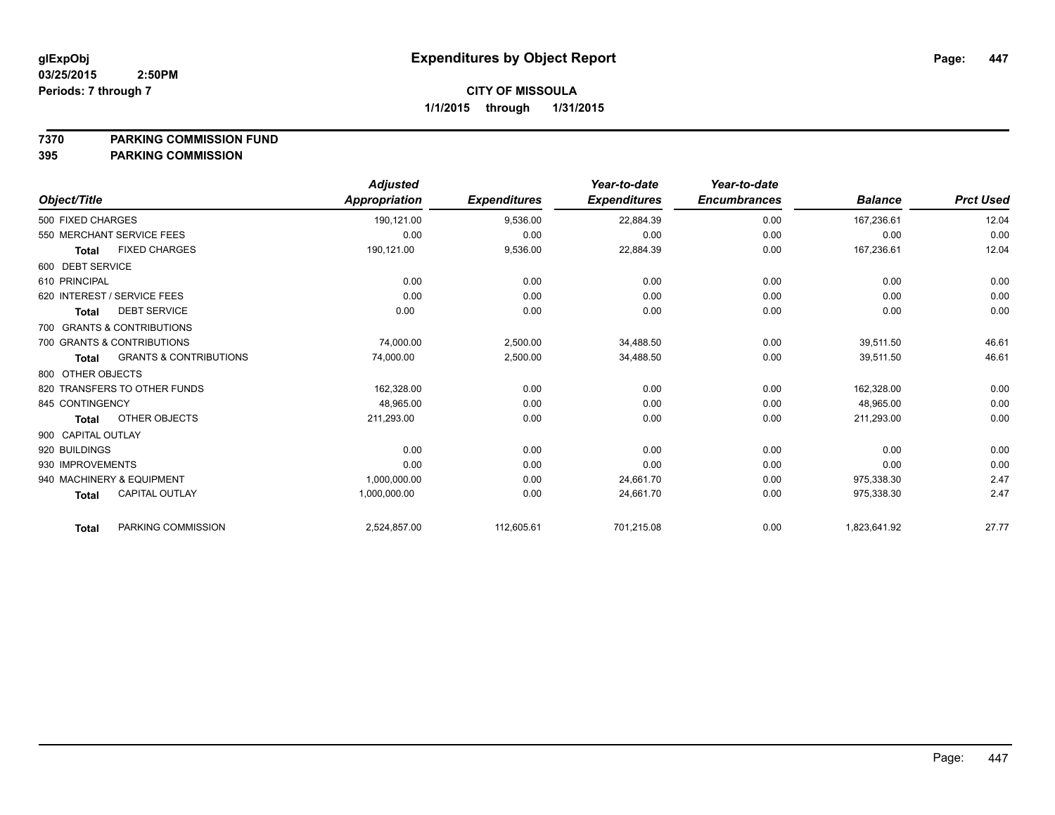#### **7370 PARKING COMMISSION FUND**

|                              |                                   | <b>Adjusted</b> |                     | Year-to-date        | Year-to-date        |                |                  |
|------------------------------|-----------------------------------|-----------------|---------------------|---------------------|---------------------|----------------|------------------|
| Object/Title                 |                                   | Appropriation   | <b>Expenditures</b> | <b>Expenditures</b> | <b>Encumbrances</b> | <b>Balance</b> | <b>Prct Used</b> |
| 500 FIXED CHARGES            |                                   | 190,121.00      | 9,536.00            | 22,884.39           | 0.00                | 167,236.61     | 12.04            |
| 550 MERCHANT SERVICE FEES    |                                   | 0.00            | 0.00                | 0.00                | 0.00                | 0.00           | 0.00             |
| <b>Total</b>                 | <b>FIXED CHARGES</b>              | 190,121.00      | 9,536.00            | 22,884.39           | 0.00                | 167,236.61     | 12.04            |
| 600 DEBT SERVICE             |                                   |                 |                     |                     |                     |                |                  |
| 610 PRINCIPAL                |                                   | 0.00            | 0.00                | 0.00                | 0.00                | 0.00           | 0.00             |
| 620 INTEREST / SERVICE FEES  |                                   | 0.00            | 0.00                | 0.00                | 0.00                | 0.00           | 0.00             |
| <b>Total</b>                 | <b>DEBT SERVICE</b>               | 0.00            | 0.00                | 0.00                | 0.00                | 0.00           | 0.00             |
| 700 GRANTS & CONTRIBUTIONS   |                                   |                 |                     |                     |                     |                |                  |
| 700 GRANTS & CONTRIBUTIONS   |                                   | 74,000.00       | 2,500.00            | 34,488.50           | 0.00                | 39,511.50      | 46.61            |
| <b>Total</b>                 | <b>GRANTS &amp; CONTRIBUTIONS</b> | 74,000.00       | 2,500.00            | 34,488.50           | 0.00                | 39,511.50      | 46.61            |
| 800 OTHER OBJECTS            |                                   |                 |                     |                     |                     |                |                  |
| 820 TRANSFERS TO OTHER FUNDS |                                   | 162,328.00      | 0.00                | 0.00                | 0.00                | 162,328.00     | 0.00             |
| 845 CONTINGENCY              |                                   | 48,965.00       | 0.00                | 0.00                | 0.00                | 48,965.00      | 0.00             |
| <b>Total</b>                 | OTHER OBJECTS                     | 211,293.00      | 0.00                | 0.00                | 0.00                | 211,293.00     | 0.00             |
| 900 CAPITAL OUTLAY           |                                   |                 |                     |                     |                     |                |                  |
| 920 BUILDINGS                |                                   | 0.00            | 0.00                | 0.00                | 0.00                | 0.00           | 0.00             |
| 930 IMPROVEMENTS             |                                   | 0.00            | 0.00                | 0.00                | 0.00                | 0.00           | 0.00             |
| 940 MACHINERY & EQUIPMENT    |                                   | 1,000,000.00    | 0.00                | 24,661.70           | 0.00                | 975,338.30     | 2.47             |
| <b>Total</b>                 | <b>CAPITAL OUTLAY</b>             | 1,000,000.00    | 0.00                | 24,661.70           | 0.00                | 975,338.30     | 2.47             |
| <b>Total</b>                 | PARKING COMMISSION                | 2,524,857.00    | 112,605.61          | 701,215.08          | 0.00                | 1,823,641.92   | 27.77            |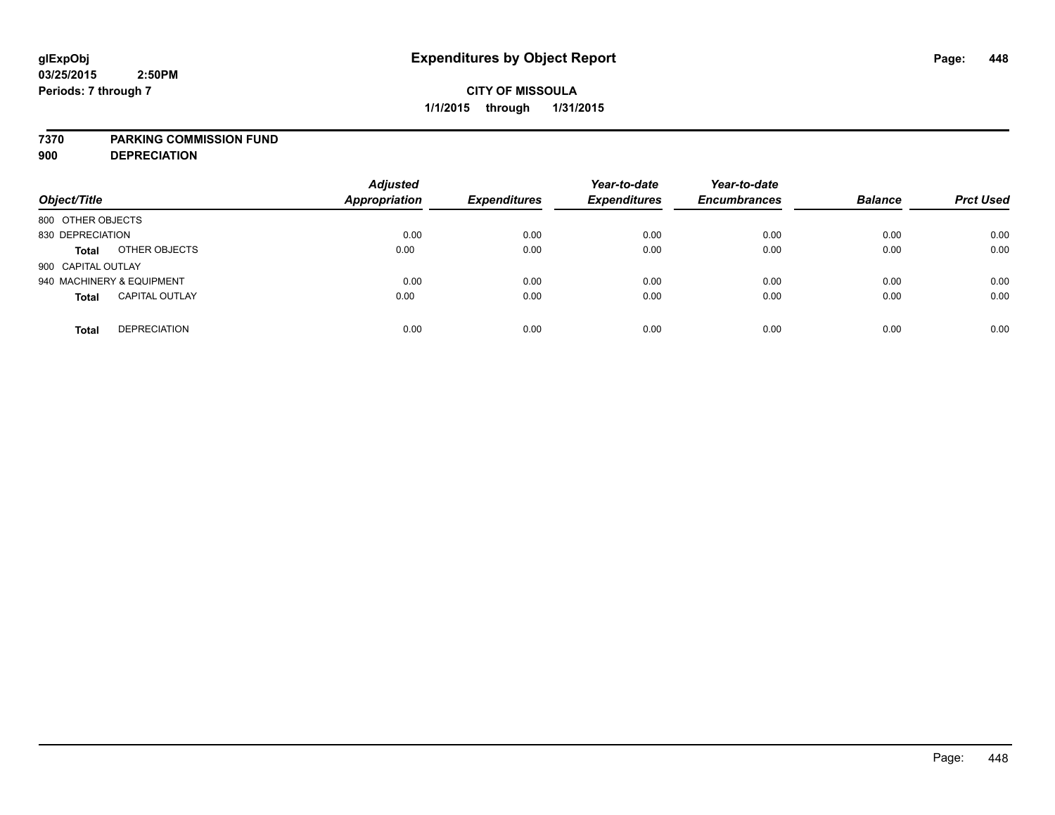#### **7370 PARKING COMMISSION FUND**

**900 DEPRECIATION**

| Object/Title                          | <b>Adjusted</b><br><b>Appropriation</b> | <b>Expenditures</b> | Year-to-date<br><b>Expenditures</b> | Year-to-date<br><b>Encumbrances</b> | <b>Balance</b> | <b>Prct Used</b> |
|---------------------------------------|-----------------------------------------|---------------------|-------------------------------------|-------------------------------------|----------------|------------------|
| 800 OTHER OBJECTS                     |                                         |                     |                                     |                                     |                |                  |
| 830 DEPRECIATION                      | 0.00                                    | 0.00                | 0.00                                | 0.00                                | 0.00           | 0.00             |
| OTHER OBJECTS<br><b>Total</b>         | 0.00                                    | 0.00                | 0.00                                | 0.00                                | 0.00           | 0.00             |
| 900 CAPITAL OUTLAY                    |                                         |                     |                                     |                                     |                |                  |
| 940 MACHINERY & EQUIPMENT             | 0.00                                    | 0.00                | 0.00                                | 0.00                                | 0.00           | 0.00             |
| <b>CAPITAL OUTLAY</b><br><b>Total</b> | 0.00                                    | 0.00                | 0.00                                | 0.00                                | 0.00           | 0.00             |
| <b>DEPRECIATION</b><br><b>Total</b>   | 0.00                                    | 0.00                | 0.00                                | 0.00                                | 0.00           | 0.00             |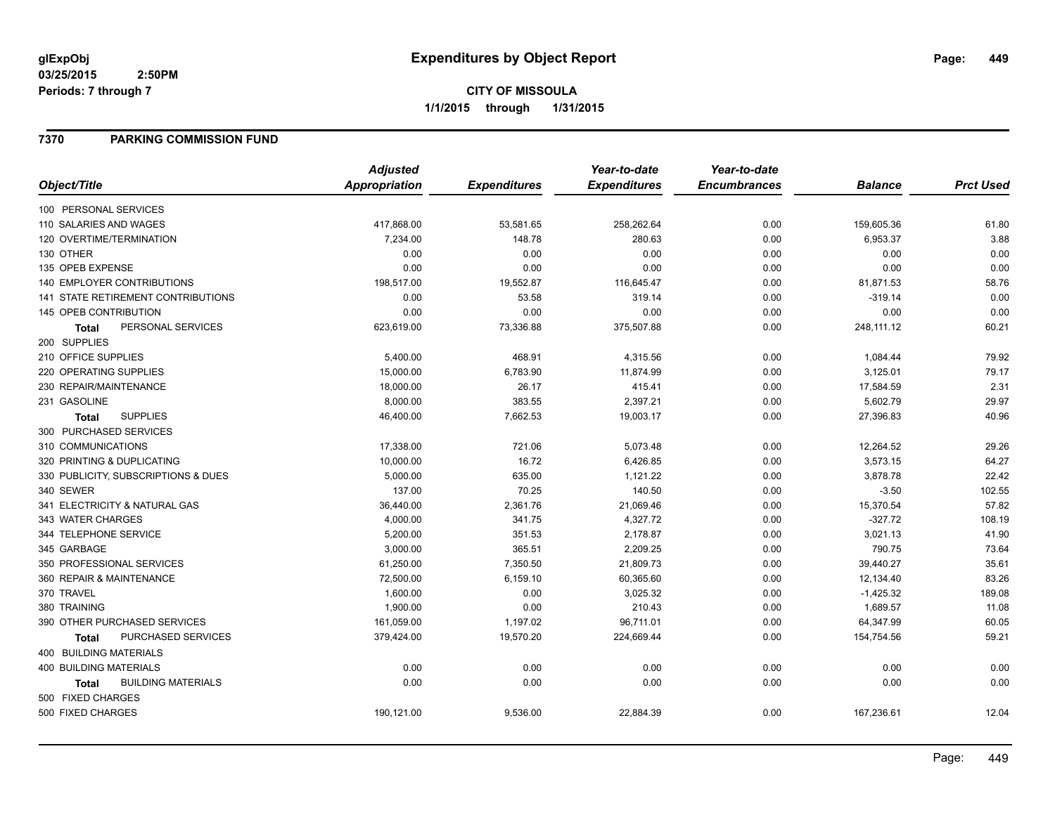## **7370 PARKING COMMISSION FUND**

|                                           | <b>Adjusted</b>      |                     | Year-to-date        | Year-to-date        |                |                  |
|-------------------------------------------|----------------------|---------------------|---------------------|---------------------|----------------|------------------|
| Object/Title                              | <b>Appropriation</b> | <b>Expenditures</b> | <b>Expenditures</b> | <b>Encumbrances</b> | <b>Balance</b> | <b>Prct Used</b> |
| 100 PERSONAL SERVICES                     |                      |                     |                     |                     |                |                  |
| 110 SALARIES AND WAGES                    | 417,868.00           | 53,581.65           | 258,262.64          | 0.00                | 159,605.36     | 61.80            |
| 120 OVERTIME/TERMINATION                  | 7,234.00             | 148.78              | 280.63              | 0.00                | 6,953.37       | 3.88             |
| 130 OTHER                                 | 0.00                 | 0.00                | 0.00                | 0.00                | 0.00           | 0.00             |
| 135 OPEB EXPENSE                          | 0.00                 | 0.00                | 0.00                | 0.00                | 0.00           | 0.00             |
| <b>140 EMPLOYER CONTRIBUTIONS</b>         | 198,517.00           | 19,552.87           | 116,645.47          | 0.00                | 81,871.53      | 58.76            |
| <b>141 STATE RETIREMENT CONTRIBUTIONS</b> | 0.00                 | 53.58               | 319.14              | 0.00                | $-319.14$      | 0.00             |
| 145 OPEB CONTRIBUTION                     | 0.00                 | 0.00                | 0.00                | 0.00                | 0.00           | 0.00             |
| PERSONAL SERVICES<br>Total                | 623,619.00           | 73,336.88           | 375,507.88          | 0.00                | 248,111.12     | 60.21            |
| 200 SUPPLIES                              |                      |                     |                     |                     |                |                  |
| 210 OFFICE SUPPLIES                       | 5,400.00             | 468.91              | 4,315.56            | 0.00                | 1,084.44       | 79.92            |
| 220 OPERATING SUPPLIES                    | 15,000.00            | 6,783.90            | 11,874.99           | 0.00                | 3,125.01       | 79.17            |
| 230 REPAIR/MAINTENANCE                    | 18,000.00            | 26.17               | 415.41              | 0.00                | 17,584.59      | 2.31             |
| 231 GASOLINE                              | 8,000.00             | 383.55              | 2,397.21            | 0.00                | 5,602.79       | 29.97            |
| <b>SUPPLIES</b><br>Total                  | 46,400.00            | 7,662.53            | 19,003.17           | 0.00                | 27,396.83      | 40.96            |
| 300 PURCHASED SERVICES                    |                      |                     |                     |                     |                |                  |
| 310 COMMUNICATIONS                        | 17,338.00            | 721.06              | 5,073.48            | 0.00                | 12,264.52      | 29.26            |
| 320 PRINTING & DUPLICATING                | 10,000.00            | 16.72               | 6,426.85            | 0.00                | 3,573.15       | 64.27            |
| 330 PUBLICITY, SUBSCRIPTIONS & DUES       | 5,000.00             | 635.00              | 1,121.22            | 0.00                | 3,878.78       | 22.42            |
| 340 SEWER                                 | 137.00               | 70.25               | 140.50              | 0.00                | $-3.50$        | 102.55           |
| 341 ELECTRICITY & NATURAL GAS             | 36,440.00            | 2,361.76            | 21,069.46           | 0.00                | 15,370.54      | 57.82            |
| 343 WATER CHARGES                         | 4,000.00             | 341.75              | 4,327.72            | 0.00                | $-327.72$      | 108.19           |
| 344 TELEPHONE SERVICE                     | 5,200.00             | 351.53              | 2,178.87            | 0.00                | 3,021.13       | 41.90            |
| 345 GARBAGE                               | 3,000.00             | 365.51              | 2,209.25            | 0.00                | 790.75         | 73.64            |
| 350 PROFESSIONAL SERVICES                 | 61,250.00            | 7,350.50            | 21,809.73           | 0.00                | 39,440.27      | 35.61            |
| 360 REPAIR & MAINTENANCE                  | 72,500.00            | 6,159.10            | 60,365.60           | 0.00                | 12,134.40      | 83.26            |
| 370 TRAVEL                                | 1,600.00             | 0.00                | 3,025.32            | 0.00                | $-1,425.32$    | 189.08           |
| 380 TRAINING                              | 1,900.00             | 0.00                | 210.43              | 0.00                | 1,689.57       | 11.08            |
| 390 OTHER PURCHASED SERVICES              | 161,059.00           | 1,197.02            | 96,711.01           | 0.00                | 64,347.99      | 60.05            |
| <b>PURCHASED SERVICES</b><br><b>Total</b> | 379,424.00           | 19,570.20           | 224,669.44          | 0.00                | 154,754.56     | 59.21            |
| 400 BUILDING MATERIALS                    |                      |                     |                     |                     |                |                  |
| <b>400 BUILDING MATERIALS</b>             | 0.00                 | 0.00                | 0.00                | 0.00                | 0.00           | 0.00             |
| <b>BUILDING MATERIALS</b><br><b>Total</b> | 0.00                 | 0.00                | 0.00                | 0.00                | 0.00           | 0.00             |
| 500 FIXED CHARGES                         |                      |                     |                     |                     |                |                  |
| 500 FIXED CHARGES                         | 190,121.00           | 9,536.00            | 22,884.39           | 0.00                | 167,236.61     | 12.04            |
|                                           |                      |                     |                     |                     |                |                  |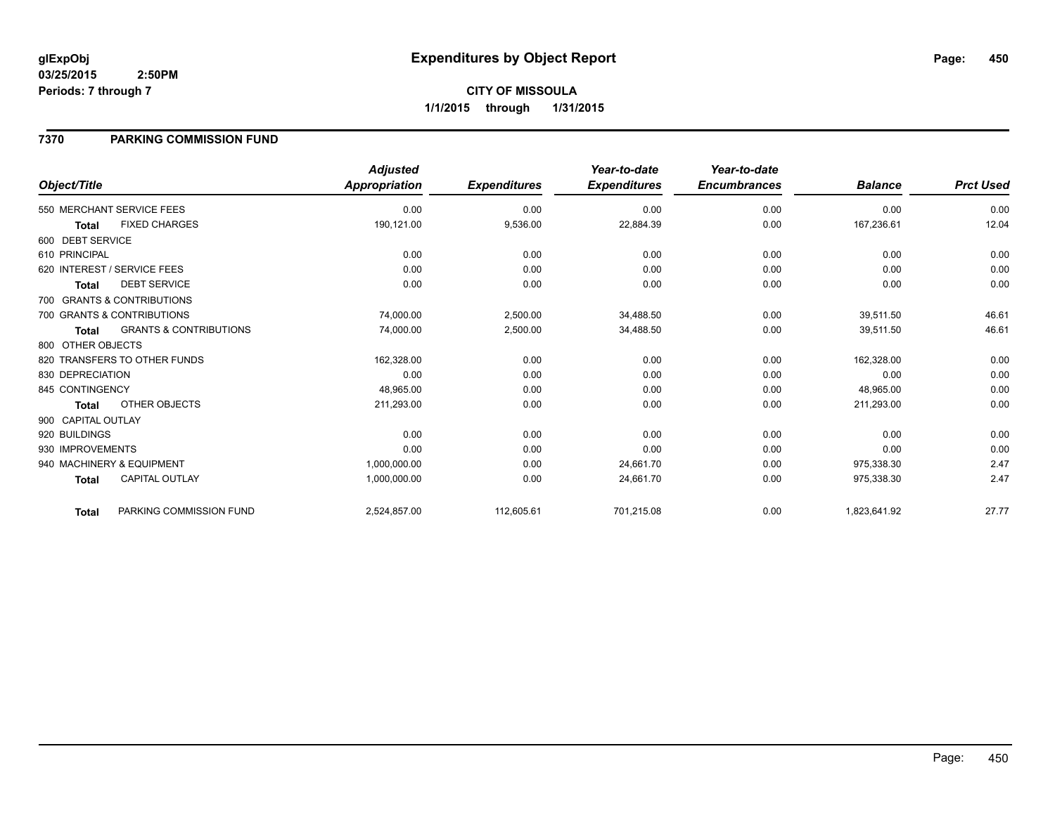## **7370 PARKING COMMISSION FUND**

|                    |                                   | <b>Adjusted</b> |                     | Year-to-date        | Year-to-date        |                |                  |
|--------------------|-----------------------------------|-----------------|---------------------|---------------------|---------------------|----------------|------------------|
| Object/Title       |                                   | Appropriation   | <b>Expenditures</b> | <b>Expenditures</b> | <b>Encumbrances</b> | <b>Balance</b> | <b>Prct Used</b> |
|                    | 550 MERCHANT SERVICE FEES         | 0.00            | 0.00                | 0.00                | 0.00                | 0.00           | 0.00             |
| <b>Total</b>       | <b>FIXED CHARGES</b>              | 190,121.00      | 9,536.00            | 22,884.39           | 0.00                | 167,236.61     | 12.04            |
| 600 DEBT SERVICE   |                                   |                 |                     |                     |                     |                |                  |
| 610 PRINCIPAL      |                                   | 0.00            | 0.00                | 0.00                | 0.00                | 0.00           | 0.00             |
|                    | 620 INTEREST / SERVICE FEES       | 0.00            | 0.00                | 0.00                | 0.00                | 0.00           | 0.00             |
| <b>Total</b>       | <b>DEBT SERVICE</b>               | 0.00            | 0.00                | 0.00                | 0.00                | 0.00           | 0.00             |
|                    | 700 GRANTS & CONTRIBUTIONS        |                 |                     |                     |                     |                |                  |
|                    | 700 GRANTS & CONTRIBUTIONS        | 74,000.00       | 2,500.00            | 34,488.50           | 0.00                | 39,511.50      | 46.61            |
| <b>Total</b>       | <b>GRANTS &amp; CONTRIBUTIONS</b> | 74,000.00       | 2,500.00            | 34,488.50           | 0.00                | 39,511.50      | 46.61            |
| 800 OTHER OBJECTS  |                                   |                 |                     |                     |                     |                |                  |
|                    | 820 TRANSFERS TO OTHER FUNDS      | 162,328.00      | 0.00                | 0.00                | 0.00                | 162,328.00     | 0.00             |
| 830 DEPRECIATION   |                                   | 0.00            | 0.00                | 0.00                | 0.00                | 0.00           | 0.00             |
| 845 CONTINGENCY    |                                   | 48,965.00       | 0.00                | 0.00                | 0.00                | 48,965.00      | 0.00             |
| <b>Total</b>       | OTHER OBJECTS                     | 211,293.00      | 0.00                | 0.00                | 0.00                | 211,293.00     | 0.00             |
| 900 CAPITAL OUTLAY |                                   |                 |                     |                     |                     |                |                  |
| 920 BUILDINGS      |                                   | 0.00            | 0.00                | 0.00                | 0.00                | 0.00           | 0.00             |
| 930 IMPROVEMENTS   |                                   | 0.00            | 0.00                | 0.00                | 0.00                | 0.00           | 0.00             |
|                    | 940 MACHINERY & EQUIPMENT         | 1,000,000.00    | 0.00                | 24,661.70           | 0.00                | 975,338.30     | 2.47             |
| <b>Total</b>       | <b>CAPITAL OUTLAY</b>             | 1,000,000.00    | 0.00                | 24,661.70           | 0.00                | 975,338.30     | 2.47             |
| <b>Total</b>       | PARKING COMMISSION FUND           | 2,524,857.00    | 112,605.61          | 701,215.08          | 0.00                | 1,823,641.92   | 27.77            |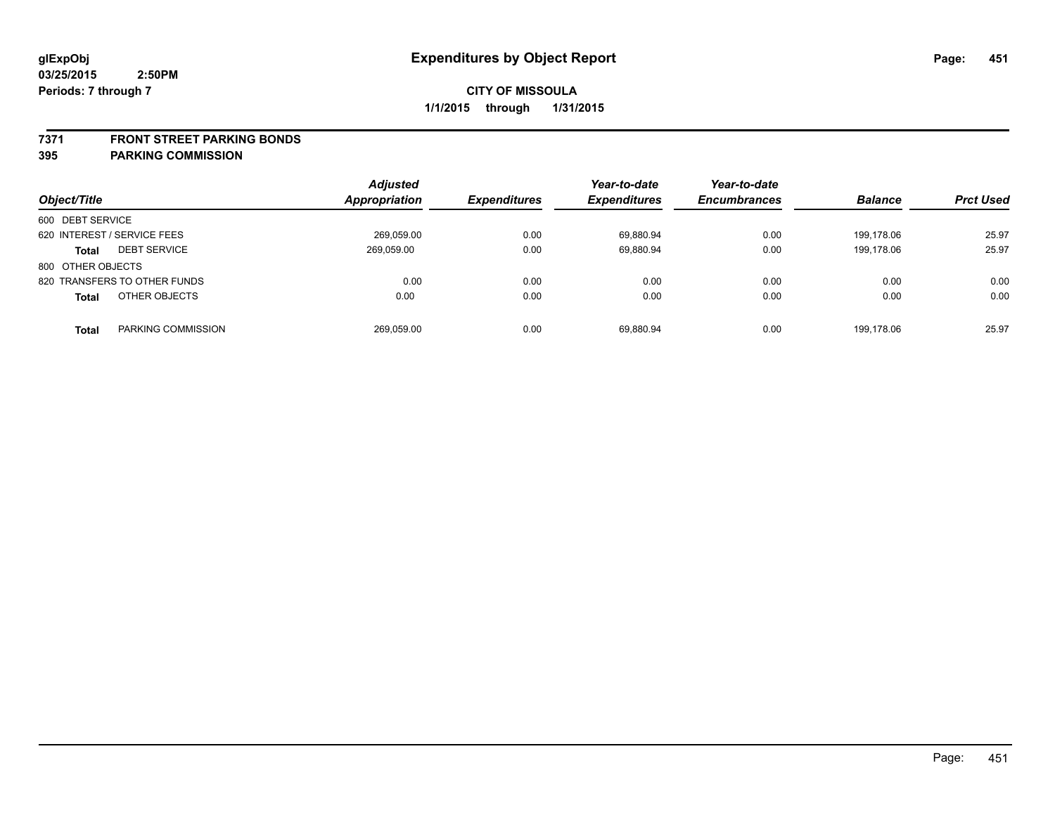#### **7371 FRONT STREET PARKING BONDS**

| Object/Title                        | <b>Adjusted</b><br>Appropriation | <b>Expenditures</b> | Year-to-date<br><b>Expenditures</b> | Year-to-date<br><b>Encumbrances</b> | <b>Balance</b> | <b>Prct Used</b> |
|-------------------------------------|----------------------------------|---------------------|-------------------------------------|-------------------------------------|----------------|------------------|
| 600 DEBT SERVICE                    |                                  |                     |                                     |                                     |                |                  |
| 620 INTEREST / SERVICE FEES         | 269,059.00                       | 0.00                | 69,880.94                           | 0.00                                | 199.178.06     | 25.97            |
| <b>DEBT SERVICE</b><br><b>Total</b> | 269.059.00                       | 0.00                | 69.880.94                           | 0.00                                | 199.178.06     | 25.97            |
| 800 OTHER OBJECTS                   |                                  |                     |                                     |                                     |                |                  |
| 820 TRANSFERS TO OTHER FUNDS        | 0.00                             | 0.00                | 0.00                                | 0.00                                | 0.00           | 0.00             |
| OTHER OBJECTS<br><b>Total</b>       | 0.00                             | 0.00                | 0.00                                | 0.00                                | 0.00           | 0.00             |
| PARKING COMMISSION<br>Total         | 269,059.00                       | 0.00                | 69.880.94                           | 0.00                                | 199.178.06     | 25.97            |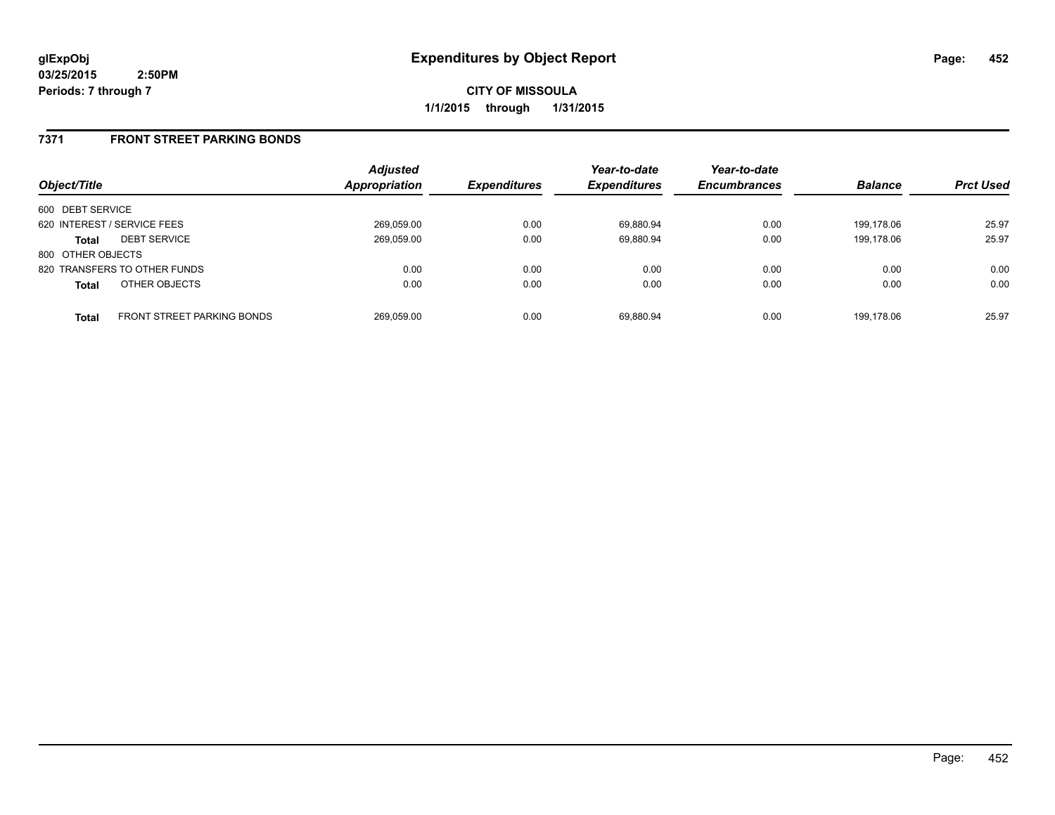**CITY OF MISSOULA 1/1/2015 through 1/31/2015**

## **7371 FRONT STREET PARKING BONDS**

| Object/Title                |                                   | <b>Adjusted</b><br><b>Appropriation</b> | <b>Expenditures</b> | Year-to-date<br><b>Expenditures</b> | Year-to-date<br><b>Encumbrances</b> | <b>Balance</b> | <b>Prct Used</b> |
|-----------------------------|-----------------------------------|-----------------------------------------|---------------------|-------------------------------------|-------------------------------------|----------------|------------------|
| 600 DEBT SERVICE            |                                   |                                         |                     |                                     |                                     |                |                  |
| 620 INTEREST / SERVICE FEES |                                   | 269,059.00                              | 0.00                | 69.880.94                           | 0.00                                | 199.178.06     | 25.97            |
| <b>Total</b>                | <b>DEBT SERVICE</b>               | 269,059.00                              | 0.00                | 69.880.94                           | 0.00                                | 199.178.06     | 25.97            |
| 800 OTHER OBJECTS           |                                   |                                         |                     |                                     |                                     |                |                  |
|                             | 820 TRANSFERS TO OTHER FUNDS      | 0.00                                    | 0.00                | 0.00                                | 0.00                                | 0.00           | 0.00             |
| <b>Total</b>                | OTHER OBJECTS                     | 0.00                                    | 0.00                | 0.00                                | 0.00                                | 0.00           | 0.00             |
| <b>Total</b>                | <b>FRONT STREET PARKING BONDS</b> | 269.059.00                              | 0.00                | 69.880.94                           | 0.00                                | 199.178.06     | 25.97            |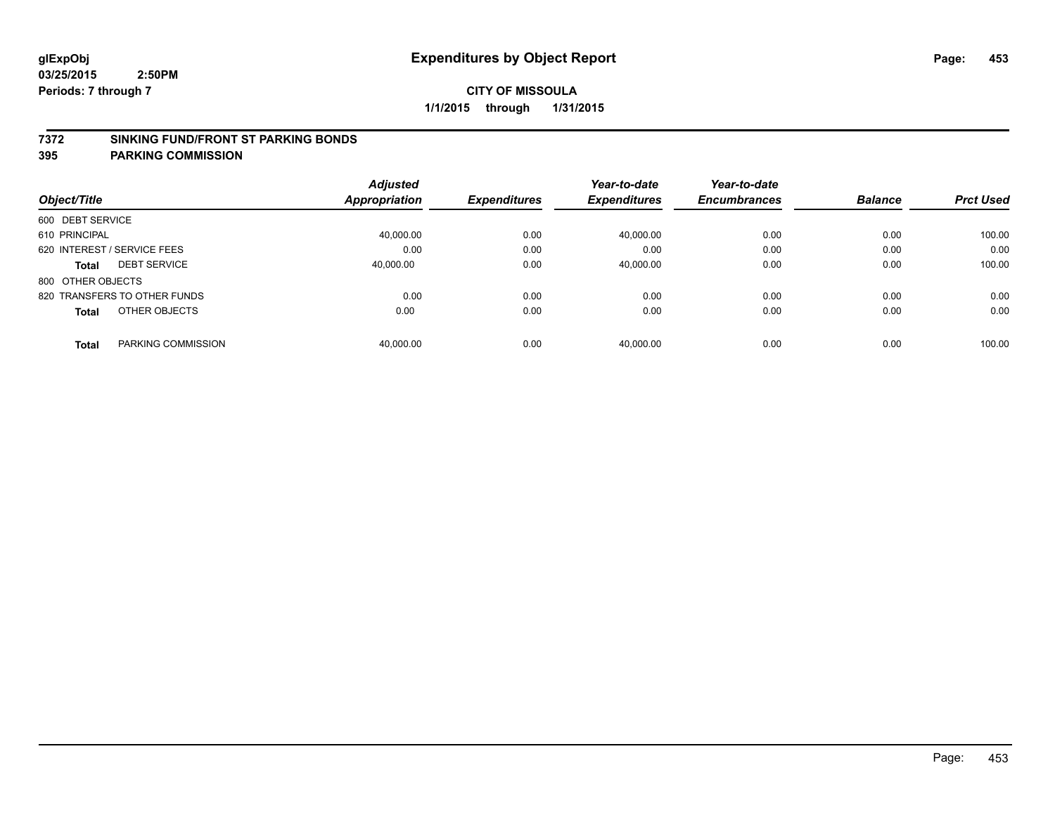#### **7372 SINKING FUND/FRONT ST PARKING BONDS**

|                                    | <b>Adjusted</b> |                     | Year-to-date        | Year-to-date        |                |                  |
|------------------------------------|-----------------|---------------------|---------------------|---------------------|----------------|------------------|
| Object/Title                       | Appropriation   | <b>Expenditures</b> | <b>Expenditures</b> | <b>Encumbrances</b> | <b>Balance</b> | <b>Prct Used</b> |
| 600 DEBT SERVICE                   |                 |                     |                     |                     |                |                  |
| 610 PRINCIPAL                      | 40.000.00       | 0.00                | 40.000.00           | 0.00                | 0.00           | 100.00           |
| 620 INTEREST / SERVICE FEES        | 0.00            | 0.00                | 0.00                | 0.00                | 0.00           | 0.00             |
| <b>DEBT SERVICE</b><br>Total       | 40.000.00       | 0.00                | 40,000.00           | 0.00                | 0.00           | 100.00           |
| 800 OTHER OBJECTS                  |                 |                     |                     |                     |                |                  |
| 820 TRANSFERS TO OTHER FUNDS       | 0.00            | 0.00                | 0.00                | 0.00                | 0.00           | 0.00             |
| OTHER OBJECTS<br><b>Total</b>      | 0.00            | 0.00                | 0.00                | 0.00                | 0.00           | 0.00             |
| PARKING COMMISSION<br><b>Total</b> | 40.000.00       | 0.00                | 40.000.00           | 0.00                | 0.00           | 100.00           |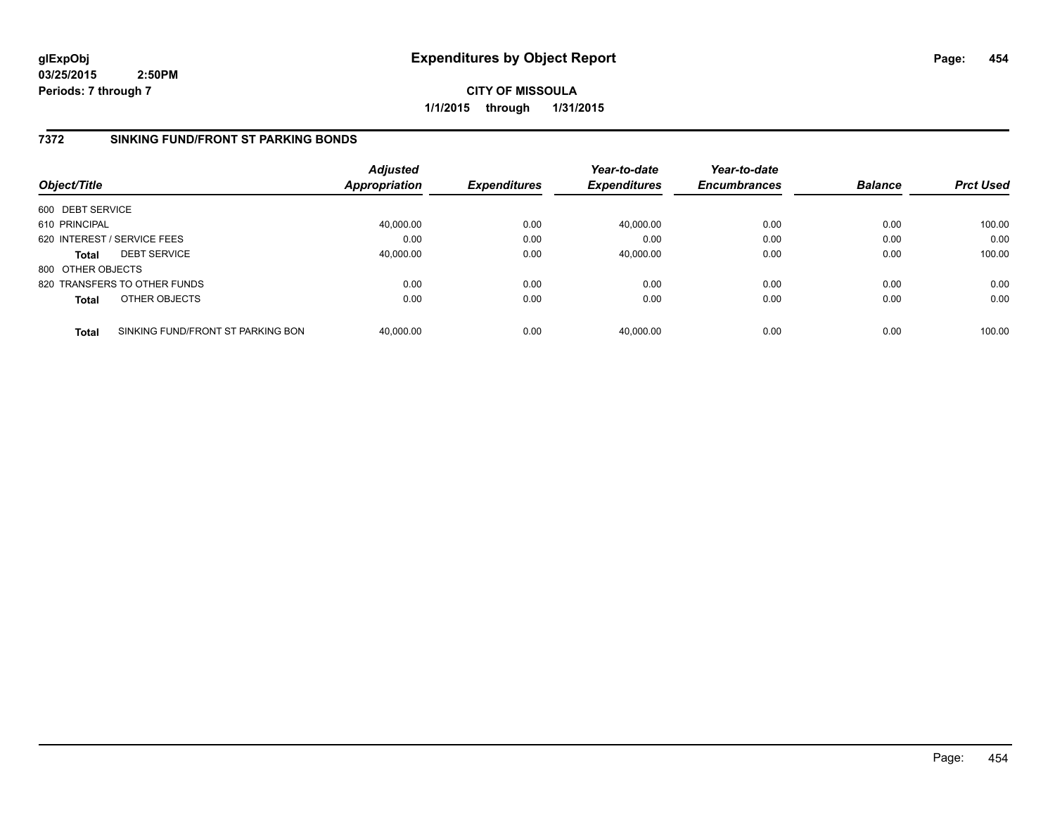**CITY OF MISSOULA 1/1/2015 through 1/31/2015**

## **7372 SINKING FUND/FRONT ST PARKING BONDS**

| Object/Title      |                                   | <b>Adjusted</b><br><b>Appropriation</b> | <b>Expenditures</b> | Year-to-date<br><b>Expenditures</b> | Year-to-date<br><b>Encumbrances</b> | <b>Balance</b> | <b>Prct Used</b> |
|-------------------|-----------------------------------|-----------------------------------------|---------------------|-------------------------------------|-------------------------------------|----------------|------------------|
| 600 DEBT SERVICE  |                                   |                                         |                     |                                     |                                     |                |                  |
| 610 PRINCIPAL     |                                   | 40,000.00                               | 0.00                | 40,000.00                           | 0.00                                | 0.00           | 100.00           |
|                   | 620 INTEREST / SERVICE FEES       | 0.00                                    | 0.00                | 0.00                                | 0.00                                | 0.00           | 0.00             |
| <b>Total</b>      | <b>DEBT SERVICE</b>               | 40,000.00                               | 0.00                | 40,000.00                           | 0.00                                | 0.00           | 100.00           |
| 800 OTHER OBJECTS |                                   |                                         |                     |                                     |                                     |                |                  |
|                   | 820 TRANSFERS TO OTHER FUNDS      | 0.00                                    | 0.00                | 0.00                                | 0.00                                | 0.00           | 0.00             |
| <b>Total</b>      | OTHER OBJECTS                     | 0.00                                    | 0.00                | 0.00                                | 0.00                                | 0.00           | 0.00             |
| <b>Total</b>      | SINKING FUND/FRONT ST PARKING BON | 40.000.00                               | 0.00                | 40.000.00                           | 0.00                                | 0.00           | 100.00           |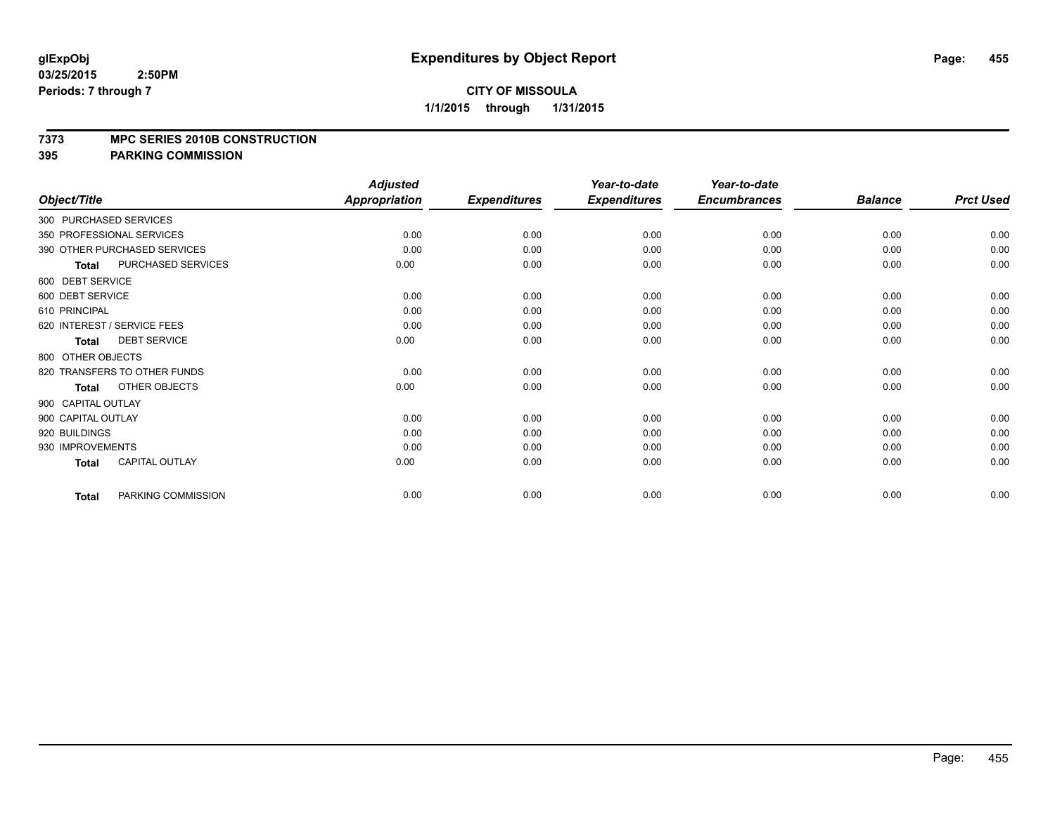#### **7373 MPC SERIES 2010B CONSTRUCTION**

|                        |                              | <b>Adjusted</b>      |                     | Year-to-date        | Year-to-date        |                |                  |
|------------------------|------------------------------|----------------------|---------------------|---------------------|---------------------|----------------|------------------|
| Object/Title           |                              | <b>Appropriation</b> | <b>Expenditures</b> | <b>Expenditures</b> | <b>Encumbrances</b> | <b>Balance</b> | <b>Prct Used</b> |
| 300 PURCHASED SERVICES |                              |                      |                     |                     |                     |                |                  |
|                        | 350 PROFESSIONAL SERVICES    | 0.00                 | 0.00                | 0.00                | 0.00                | 0.00           | 0.00             |
|                        | 390 OTHER PURCHASED SERVICES | 0.00                 | 0.00                | 0.00                | 0.00                | 0.00           | 0.00             |
| <b>Total</b>           | PURCHASED SERVICES           | 0.00                 | 0.00                | 0.00                | 0.00                | 0.00           | 0.00             |
| 600 DEBT SERVICE       |                              |                      |                     |                     |                     |                |                  |
| 600 DEBT SERVICE       |                              | 0.00                 | 0.00                | 0.00                | 0.00                | 0.00           | 0.00             |
| 610 PRINCIPAL          |                              | 0.00                 | 0.00                | 0.00                | 0.00                | 0.00           | 0.00             |
|                        | 620 INTEREST / SERVICE FEES  | 0.00                 | 0.00                | 0.00                | 0.00                | 0.00           | 0.00             |
| <b>Total</b>           | <b>DEBT SERVICE</b>          | 0.00                 | 0.00                | 0.00                | 0.00                | 0.00           | 0.00             |
| 800 OTHER OBJECTS      |                              |                      |                     |                     |                     |                |                  |
|                        | 820 TRANSFERS TO OTHER FUNDS | 0.00                 | 0.00                | 0.00                | 0.00                | 0.00           | 0.00             |
| <b>Total</b>           | OTHER OBJECTS                | 0.00                 | 0.00                | 0.00                | 0.00                | 0.00           | 0.00             |
| 900 CAPITAL OUTLAY     |                              |                      |                     |                     |                     |                |                  |
| 900 CAPITAL OUTLAY     |                              | 0.00                 | 0.00                | 0.00                | 0.00                | 0.00           | 0.00             |
| 920 BUILDINGS          |                              | 0.00                 | 0.00                | 0.00                | 0.00                | 0.00           | 0.00             |
| 930 IMPROVEMENTS       |                              | 0.00                 | 0.00                | 0.00                | 0.00                | 0.00           | 0.00             |
| Total                  | <b>CAPITAL OUTLAY</b>        | 0.00                 | 0.00                | 0.00                | 0.00                | 0.00           | 0.00             |
| <b>Total</b>           | PARKING COMMISSION           | 0.00                 | 0.00                | 0.00                | 0.00                | 0.00           | 0.00             |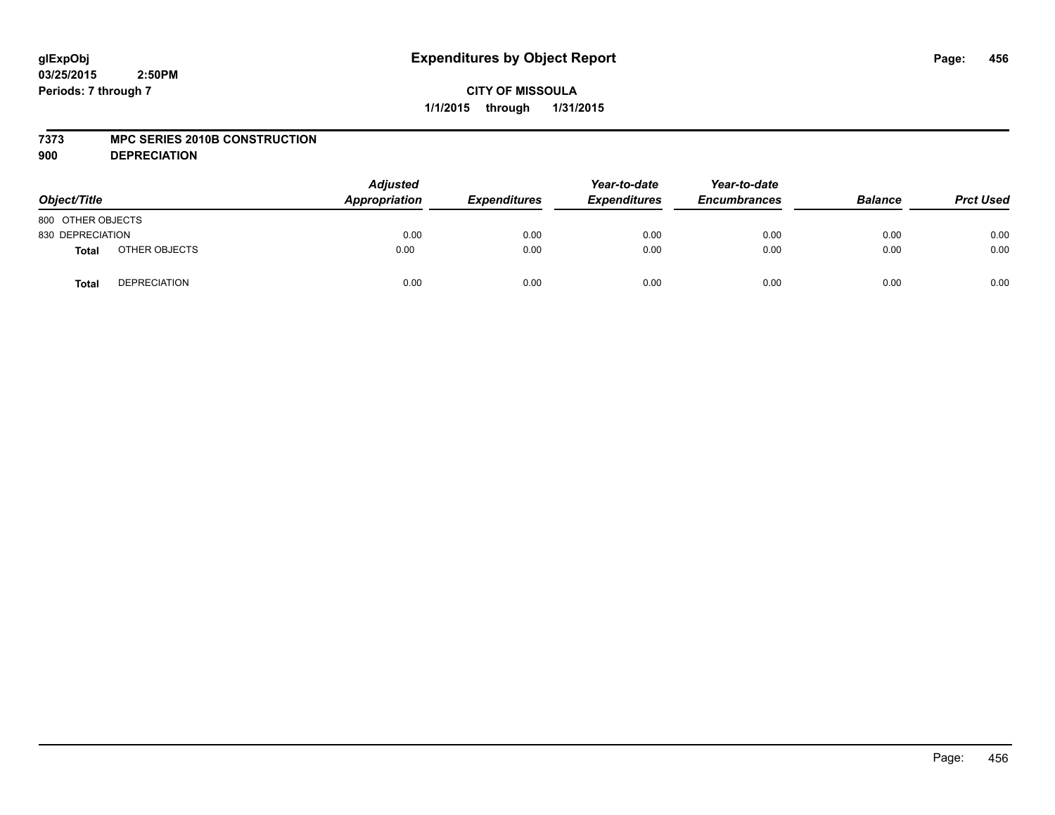#### **7373 MPC SERIES 2010B CONSTRUCTION**

**900 DEPRECIATION**

| Object/Title      |                     | <b>Adjusted</b><br>Appropriation | <b>Expenditures</b> | Year-to-date<br><b>Expenditures</b> | Year-to-date<br><b>Encumbrances</b> | <b>Balance</b> | <b>Prct Used</b> |
|-------------------|---------------------|----------------------------------|---------------------|-------------------------------------|-------------------------------------|----------------|------------------|
| 800 OTHER OBJECTS |                     |                                  |                     |                                     |                                     |                |                  |
| 830 DEPRECIATION  |                     | 0.00                             | 0.00                | 0.00                                | 0.00                                | 0.00           | 0.00             |
| <b>Total</b>      | OTHER OBJECTS       | 0.00                             | 0.00                | 0.00                                | 0.00                                | 0.00           | 0.00             |
| <b>Total</b>      | <b>DEPRECIATION</b> | 0.00                             | 0.00                | 0.00                                | 0.00                                | 0.00           | 0.00             |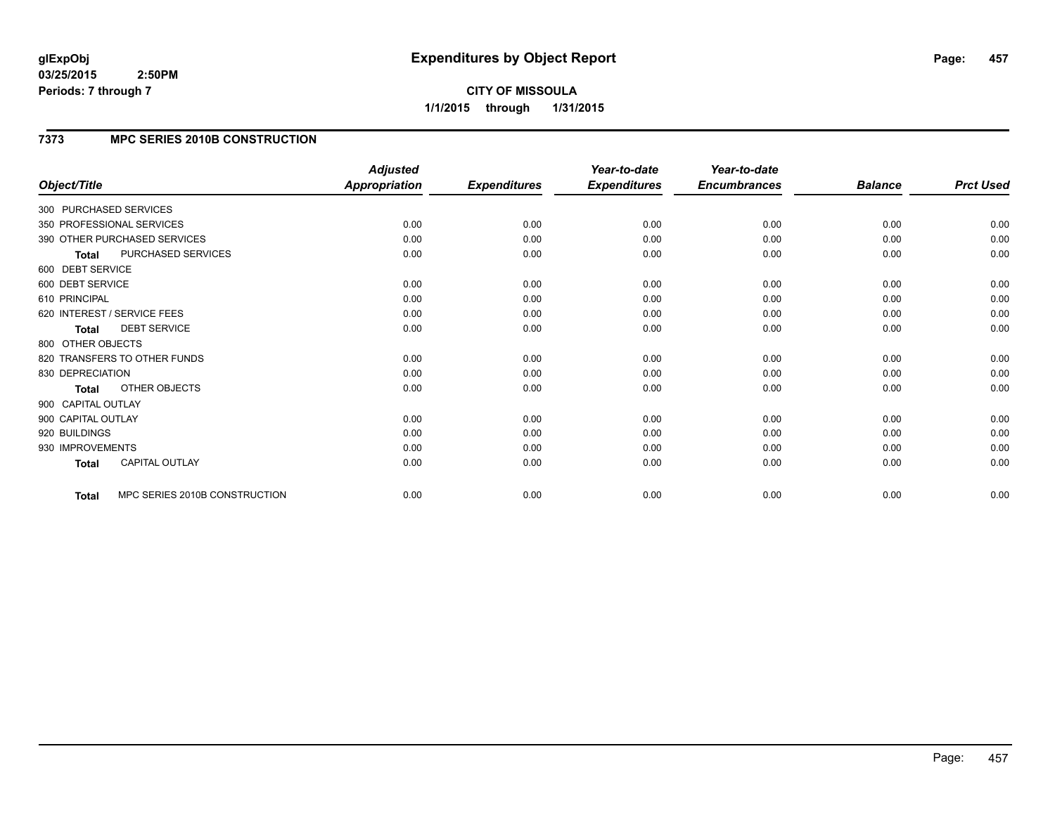# **7373 MPC SERIES 2010B CONSTRUCTION**

| Object/Title           |                               | <b>Adjusted</b>      |                     | Year-to-date        | Year-to-date<br><b>Encumbrances</b> |                | <b>Prct Used</b> |
|------------------------|-------------------------------|----------------------|---------------------|---------------------|-------------------------------------|----------------|------------------|
|                        |                               | <b>Appropriation</b> | <b>Expenditures</b> | <b>Expenditures</b> |                                     | <b>Balance</b> |                  |
| 300 PURCHASED SERVICES |                               |                      |                     |                     |                                     |                |                  |
|                        | 350 PROFESSIONAL SERVICES     | 0.00                 | 0.00                | 0.00                | 0.00                                | 0.00           | 0.00             |
|                        | 390 OTHER PURCHASED SERVICES  | 0.00                 | 0.00                | 0.00                | 0.00                                | 0.00           | 0.00             |
| <b>Total</b>           | PURCHASED SERVICES            | 0.00                 | 0.00                | 0.00                | 0.00                                | 0.00           | 0.00             |
| 600 DEBT SERVICE       |                               |                      |                     |                     |                                     |                |                  |
| 600 DEBT SERVICE       |                               | 0.00                 | 0.00                | 0.00                | 0.00                                | 0.00           | 0.00             |
| 610 PRINCIPAL          |                               | 0.00                 | 0.00                | 0.00                | 0.00                                | 0.00           | 0.00             |
|                        | 620 INTEREST / SERVICE FEES   | 0.00                 | 0.00                | 0.00                | 0.00                                | 0.00           | 0.00             |
| <b>Total</b>           | <b>DEBT SERVICE</b>           | 0.00                 | 0.00                | 0.00                | 0.00                                | 0.00           | 0.00             |
| 800 OTHER OBJECTS      |                               |                      |                     |                     |                                     |                |                  |
|                        | 820 TRANSFERS TO OTHER FUNDS  | 0.00                 | 0.00                | 0.00                | 0.00                                | 0.00           | 0.00             |
| 830 DEPRECIATION       |                               | 0.00                 | 0.00                | 0.00                | 0.00                                | 0.00           | 0.00             |
| <b>Total</b>           | OTHER OBJECTS                 | 0.00                 | 0.00                | 0.00                | 0.00                                | 0.00           | 0.00             |
| 900 CAPITAL OUTLAY     |                               |                      |                     |                     |                                     |                |                  |
| 900 CAPITAL OUTLAY     |                               | 0.00                 | 0.00                | 0.00                | 0.00                                | 0.00           | 0.00             |
| 920 BUILDINGS          |                               | 0.00                 | 0.00                | 0.00                | 0.00                                | 0.00           | 0.00             |
| 930 IMPROVEMENTS       |                               | 0.00                 | 0.00                | 0.00                | 0.00                                | 0.00           | 0.00             |
| <b>Total</b>           | <b>CAPITAL OUTLAY</b>         | 0.00                 | 0.00                | 0.00                | 0.00                                | 0.00           | 0.00             |
| <b>Total</b>           | MPC SERIES 2010B CONSTRUCTION | 0.00                 | 0.00                | 0.00                | 0.00                                | 0.00           | 0.00             |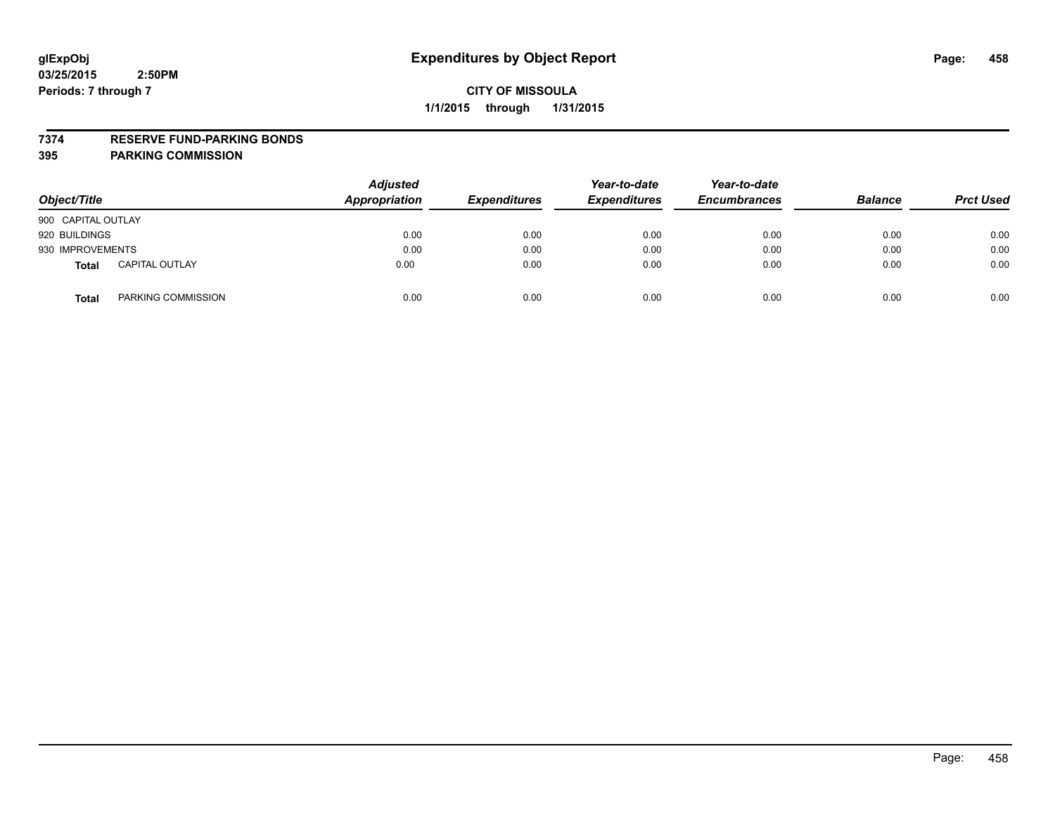#### **7374 RESERVE FUND-PARKING BONDS**

| Object/Title       |                       | <b>Adjusted</b><br><b>Appropriation</b> | <b>Expenditures</b> | Year-to-date<br><b>Expenditures</b> | Year-to-date<br><b>Encumbrances</b> | <b>Balance</b> | <b>Prct Used</b> |
|--------------------|-----------------------|-----------------------------------------|---------------------|-------------------------------------|-------------------------------------|----------------|------------------|
| 900 CAPITAL OUTLAY |                       |                                         |                     |                                     |                                     |                |                  |
| 920 BUILDINGS      |                       | 0.00                                    | 0.00                | 0.00                                | 0.00                                | 0.00           | 0.00             |
| 930 IMPROVEMENTS   |                       | 0.00                                    | 0.00                | 0.00                                | 0.00                                | 0.00           | 0.00             |
| <b>Total</b>       | <b>CAPITAL OUTLAY</b> | 0.00                                    | 0.00                | 0.00                                | 0.00                                | 0.00           | 0.00             |
| <b>Total</b>       | PARKING COMMISSION    | 0.00                                    | 0.00                | 0.00                                | 0.00                                | 0.00           | 0.00             |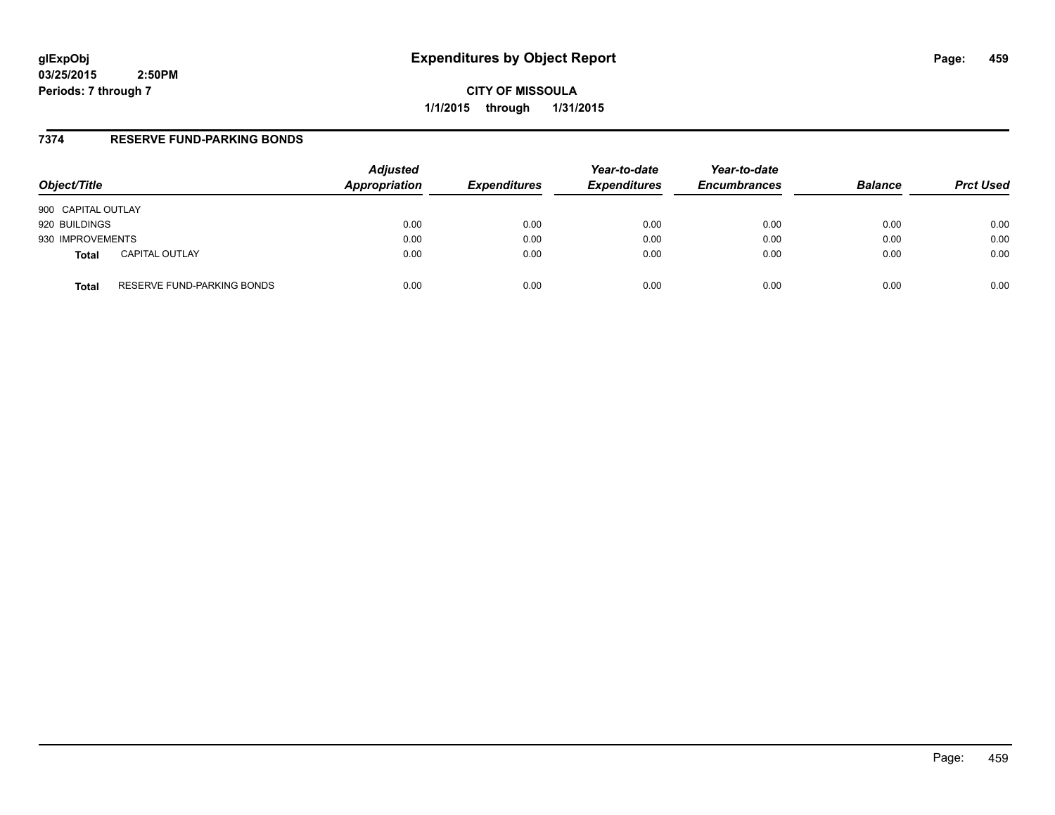**CITY OF MISSOULA 1/1/2015 through 1/31/2015**

## **7374 RESERVE FUND-PARKING BONDS**

| Object/Title       |                            | <b>Adjusted</b><br>Appropriation | <b>Expenditures</b> | Year-to-date<br><b>Expenditures</b> | Year-to-date<br><b>Encumbrances</b> | <b>Balance</b> | <b>Prct Used</b> |
|--------------------|----------------------------|----------------------------------|---------------------|-------------------------------------|-------------------------------------|----------------|------------------|
| 900 CAPITAL OUTLAY |                            |                                  |                     |                                     |                                     |                |                  |
| 920 BUILDINGS      |                            | 0.00                             | 0.00                | 0.00                                | 0.00                                | 0.00           | 0.00             |
| 930 IMPROVEMENTS   |                            | 0.00                             | 0.00                | 0.00                                | 0.00                                | 0.00           | 0.00             |
| <b>Total</b>       | <b>CAPITAL OUTLAY</b>      | 0.00                             | 0.00                | 0.00                                | 0.00                                | 0.00           | 0.00             |
| Total              | RESERVE FUND-PARKING BONDS | 0.00                             | 0.00                | 0.00                                | 0.00                                | 0.00           | 0.00             |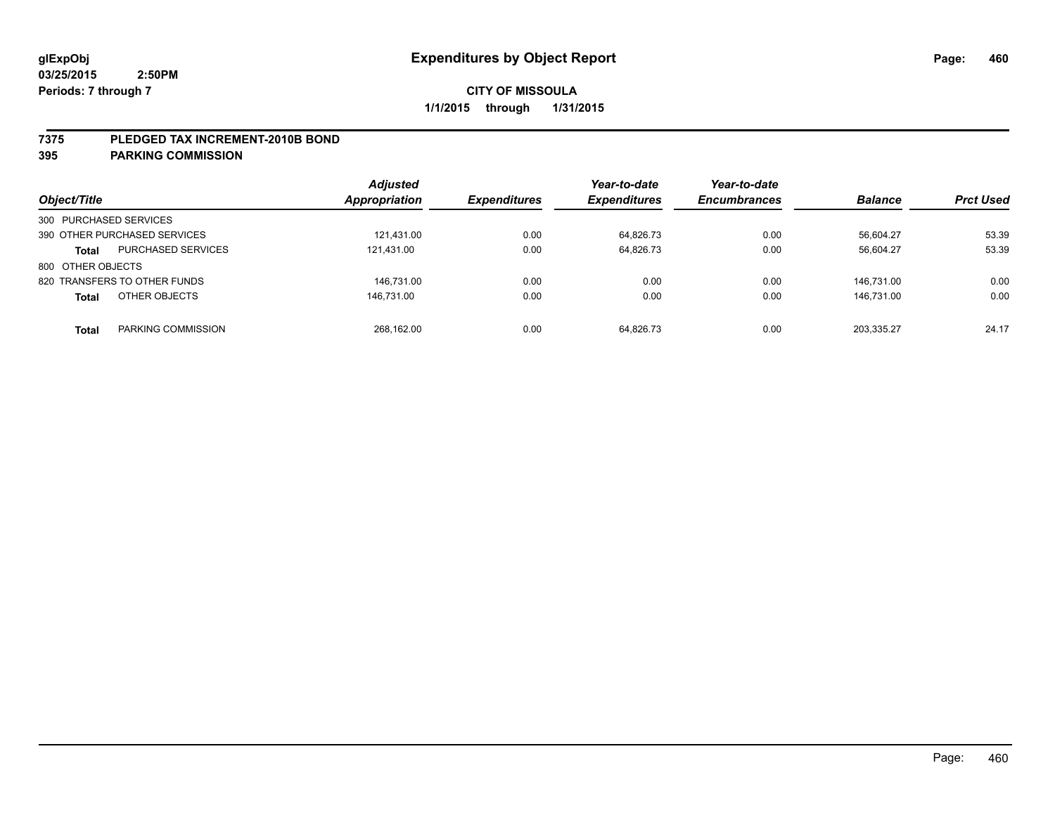#### **7375 PLEDGED TAX INCREMENT-2010B BOND**

| Object/Title                              | <b>Adjusted</b><br><b>Appropriation</b> | <b>Expenditures</b> | Year-to-date<br><b>Expenditures</b> | Year-to-date<br><b>Encumbrances</b> | <b>Balance</b> | <b>Prct Used</b> |
|-------------------------------------------|-----------------------------------------|---------------------|-------------------------------------|-------------------------------------|----------------|------------------|
| 300 PURCHASED SERVICES                    |                                         |                     |                                     |                                     |                |                  |
| 390 OTHER PURCHASED SERVICES              | 121.431.00                              | 0.00                | 64.826.73                           | 0.00                                | 56.604.27      | 53.39            |
| <b>PURCHASED SERVICES</b><br><b>Total</b> | 121,431.00                              | 0.00                | 64,826.73                           | 0.00                                | 56,604.27      | 53.39            |
| 800 OTHER OBJECTS                         |                                         |                     |                                     |                                     |                |                  |
| 820 TRANSFERS TO OTHER FUNDS              | 146.731.00                              | 0.00                | 0.00                                | 0.00                                | 146.731.00     | 0.00             |
| OTHER OBJECTS<br><b>Total</b>             | 146.731.00                              | 0.00                | 0.00                                | 0.00                                | 146.731.00     | 0.00             |
| PARKING COMMISSION<br><b>Total</b>        | 268.162.00                              | 0.00                | 64.826.73                           | 0.00                                | 203.335.27     | 24.17            |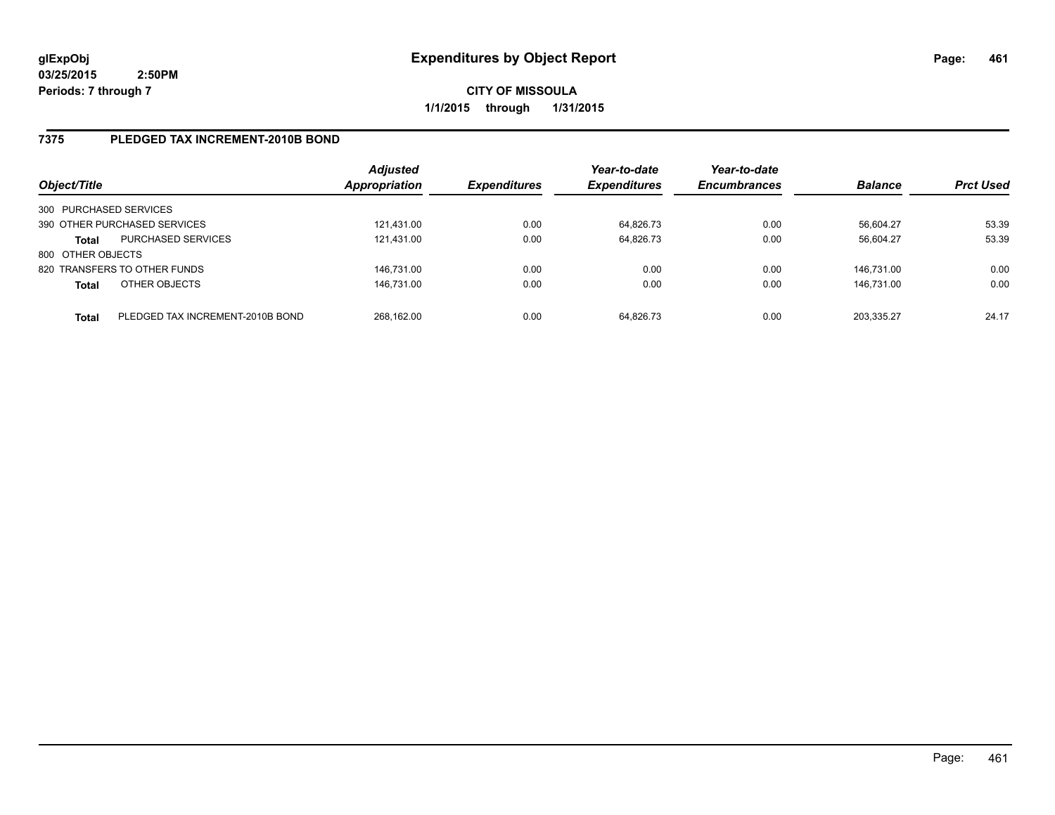**CITY OF MISSOULA 1/1/2015 through 1/31/2015**

# **7375 PLEDGED TAX INCREMENT-2010B BOND**

| Object/Title           |                                  | <b>Adjusted</b><br><b>Appropriation</b> | <b>Expenditures</b> | Year-to-date<br><b>Expenditures</b> | Year-to-date<br><b>Encumbrances</b> | <b>Balance</b> | <b>Prct Used</b> |
|------------------------|----------------------------------|-----------------------------------------|---------------------|-------------------------------------|-------------------------------------|----------------|------------------|
| 300 PURCHASED SERVICES |                                  |                                         |                     |                                     |                                     |                |                  |
|                        | 390 OTHER PURCHASED SERVICES     | 121.431.00                              | 0.00                | 64.826.73                           | 0.00                                | 56.604.27      | 53.39            |
| <b>Total</b>           | <b>PURCHASED SERVICES</b>        | 121,431.00                              | 0.00                | 64.826.73                           | 0.00                                | 56.604.27      | 53.39            |
| 800 OTHER OBJECTS      |                                  |                                         |                     |                                     |                                     |                |                  |
|                        | 820 TRANSFERS TO OTHER FUNDS     | 146.731.00                              | 0.00                | 0.00                                | 0.00                                | 146.731.00     | 0.00             |
| <b>Total</b>           | OTHER OBJECTS                    | 146,731.00                              | 0.00                | 0.00                                | 0.00                                | 146.731.00     | 0.00             |
| <b>Total</b>           | PLEDGED TAX INCREMENT-2010B BOND | 268.162.00                              | 0.00                | 64.826.73                           | 0.00                                | 203.335.27     | 24.17            |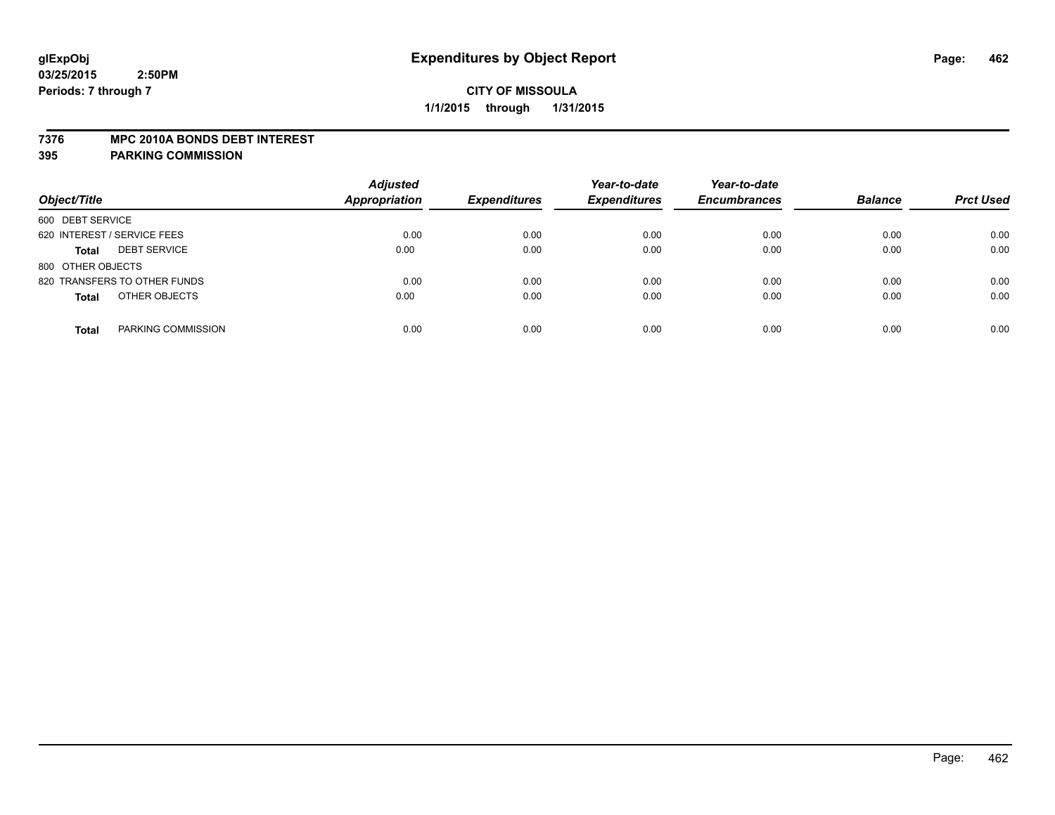#### **7376 MPC 2010A BONDS DEBT INTEREST**

| Object/Title                        | <b>Adjusted</b><br><b>Appropriation</b> | <b>Expenditures</b> | Year-to-date<br><b>Expenditures</b> | Year-to-date<br><b>Encumbrances</b> | <b>Balance</b> | <b>Prct Used</b> |
|-------------------------------------|-----------------------------------------|---------------------|-------------------------------------|-------------------------------------|----------------|------------------|
| 600 DEBT SERVICE                    |                                         |                     |                                     |                                     |                |                  |
| 620 INTEREST / SERVICE FEES         | 0.00                                    | 0.00                | 0.00                                | 0.00                                | 0.00           | 0.00             |
| <b>DEBT SERVICE</b><br><b>Total</b> | 0.00                                    | 0.00                | 0.00                                | 0.00                                | 0.00           | 0.00             |
| 800 OTHER OBJECTS                   |                                         |                     |                                     |                                     |                |                  |
| 820 TRANSFERS TO OTHER FUNDS        | 0.00                                    | 0.00                | 0.00                                | 0.00                                | 0.00           | 0.00             |
| OTHER OBJECTS<br><b>Total</b>       | 0.00                                    | 0.00                | 0.00                                | 0.00                                | 0.00           | 0.00             |
| PARKING COMMISSION<br><b>Total</b>  | 0.00                                    | 0.00                | 0.00                                | 0.00                                | 0.00           | 0.00             |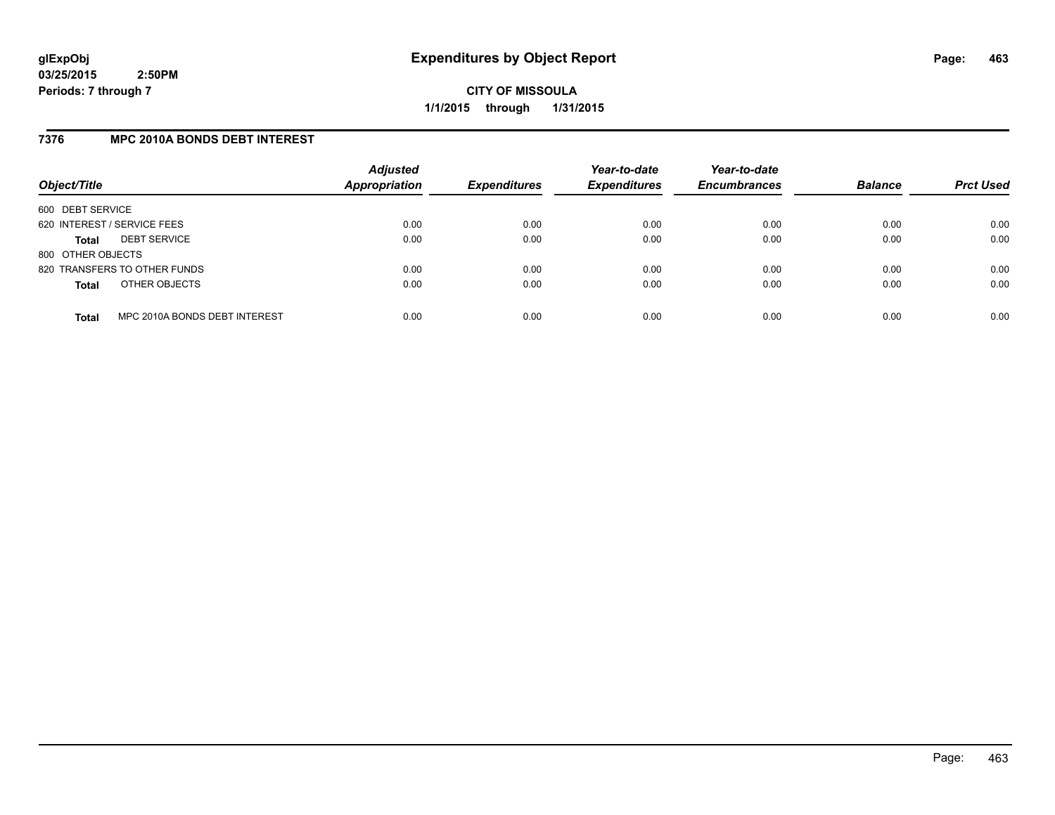**CITY OF MISSOULA 1/1/2015 through 1/31/2015**

## **7376 MPC 2010A BONDS DEBT INTEREST**

| Object/Title                |                               | <b>Adjusted</b><br><b>Appropriation</b> | <b>Expenditures</b> | Year-to-date<br><b>Expenditures</b> | Year-to-date<br><b>Encumbrances</b> | <b>Balance</b> | <b>Prct Used</b> |
|-----------------------------|-------------------------------|-----------------------------------------|---------------------|-------------------------------------|-------------------------------------|----------------|------------------|
| 600 DEBT SERVICE            |                               |                                         |                     |                                     |                                     |                |                  |
| 620 INTEREST / SERVICE FEES |                               | 0.00                                    | 0.00                | 0.00                                | 0.00                                | 0.00           | 0.00             |
| <b>Total</b>                | <b>DEBT SERVICE</b>           | 0.00                                    | 0.00                | 0.00                                | 0.00                                | 0.00           | 0.00             |
| 800 OTHER OBJECTS           |                               |                                         |                     |                                     |                                     |                |                  |
|                             | 820 TRANSFERS TO OTHER FUNDS  | 0.00                                    | 0.00                | 0.00                                | 0.00                                | 0.00           | 0.00             |
| <b>Total</b>                | OTHER OBJECTS                 | 0.00                                    | 0.00                | 0.00                                | 0.00                                | 0.00           | 0.00             |
| <b>Total</b>                | MPC 2010A BONDS DEBT INTEREST | 0.00                                    | 0.00                | 0.00                                | 0.00                                | 0.00           | 0.00             |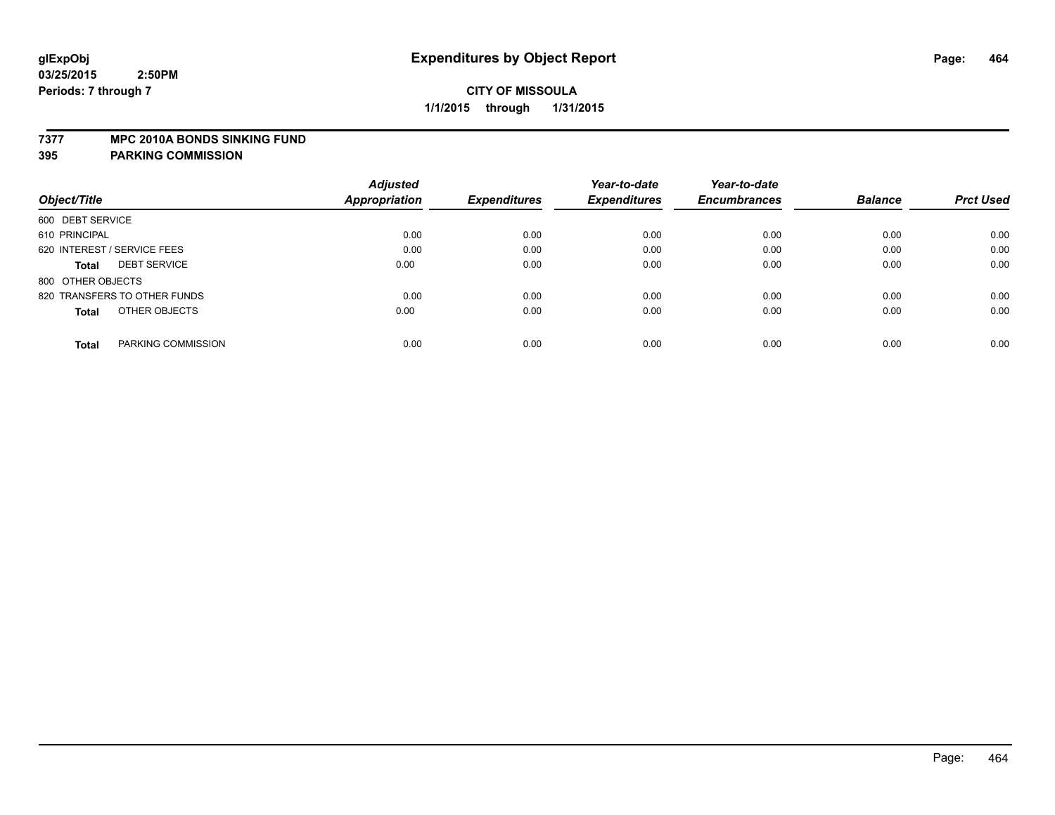#### **7377 MPC 2010A BONDS SINKING FUND**

|                                     | <b>Adjusted</b> |                     | Year-to-date        | Year-to-date        |                |                  |
|-------------------------------------|-----------------|---------------------|---------------------|---------------------|----------------|------------------|
| Object/Title                        | Appropriation   | <b>Expenditures</b> | <b>Expenditures</b> | <b>Encumbrances</b> | <b>Balance</b> | <b>Prct Used</b> |
| 600 DEBT SERVICE                    |                 |                     |                     |                     |                |                  |
| 610 PRINCIPAL                       | 0.00            | 0.00                | 0.00                | 0.00                | 0.00           | 0.00             |
| 620 INTEREST / SERVICE FEES         | 0.00            | 0.00                | 0.00                | 0.00                | 0.00           | 0.00             |
| <b>DEBT SERVICE</b><br><b>Total</b> | 0.00            | 0.00                | 0.00                | 0.00                | 0.00           | 0.00             |
| 800 OTHER OBJECTS                   |                 |                     |                     |                     |                |                  |
| 820 TRANSFERS TO OTHER FUNDS        | 0.00            | 0.00                | 0.00                | 0.00                | 0.00           | 0.00             |
| OTHER OBJECTS<br><b>Total</b>       | 0.00            | 0.00                | 0.00                | 0.00                | 0.00           | 0.00             |
| PARKING COMMISSION<br><b>Total</b>  | 0.00            | 0.00                | 0.00                | 0.00                | 0.00           | 0.00             |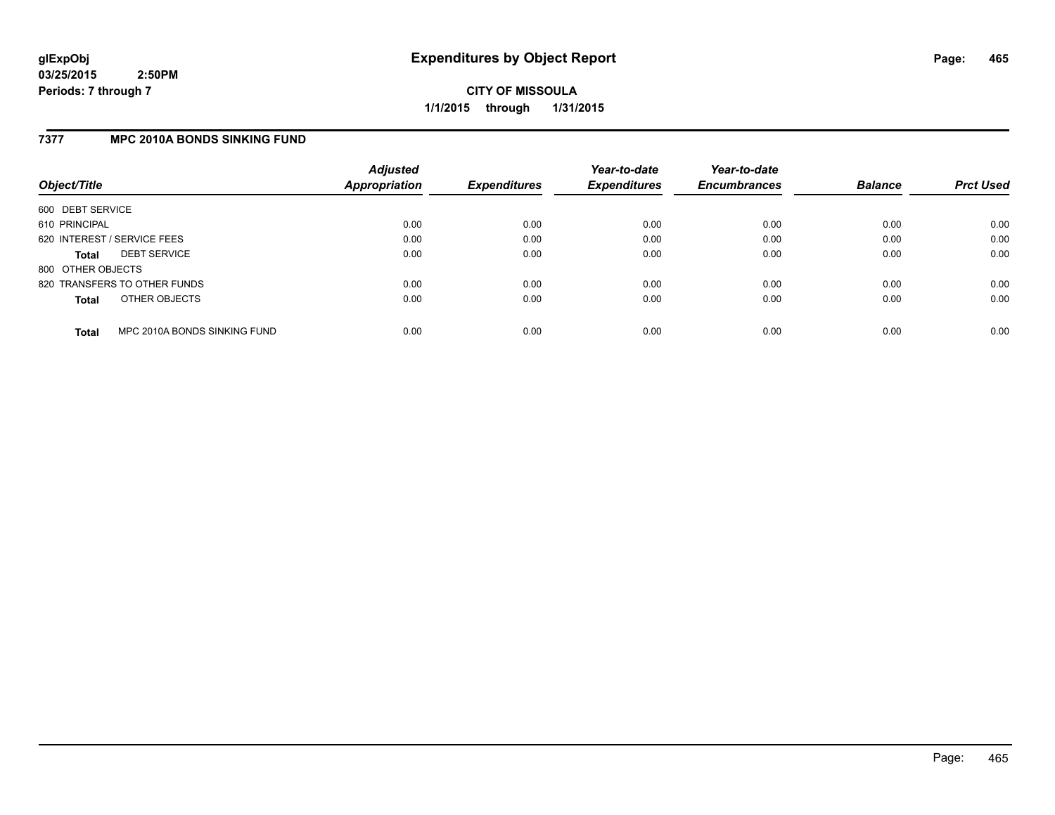**CITY OF MISSOULA 1/1/2015 through 1/31/2015**

## **7377 MPC 2010A BONDS SINKING FUND**

| Object/Title      |                              | <b>Adjusted</b><br><b>Appropriation</b> | <b>Expenditures</b> | Year-to-date<br><b>Expenditures</b> | Year-to-date<br><b>Encumbrances</b> | <b>Balance</b> | <b>Prct Used</b> |
|-------------------|------------------------------|-----------------------------------------|---------------------|-------------------------------------|-------------------------------------|----------------|------------------|
| 600 DEBT SERVICE  |                              |                                         |                     |                                     |                                     |                |                  |
| 610 PRINCIPAL     |                              | 0.00                                    | 0.00                | 0.00                                | 0.00                                | 0.00           | 0.00             |
|                   | 620 INTEREST / SERVICE FEES  | 0.00                                    | 0.00                | 0.00                                | 0.00                                | 0.00           | 0.00             |
| <b>Total</b>      | <b>DEBT SERVICE</b>          | 0.00                                    | 0.00                | 0.00                                | 0.00                                | 0.00           | 0.00             |
| 800 OTHER OBJECTS |                              |                                         |                     |                                     |                                     |                |                  |
|                   | 820 TRANSFERS TO OTHER FUNDS | 0.00                                    | 0.00                | 0.00                                | 0.00                                | 0.00           | 0.00             |
| <b>Total</b>      | OTHER OBJECTS                | 0.00                                    | 0.00                | 0.00                                | 0.00                                | 0.00           | 0.00             |
| <b>Total</b>      | MPC 2010A BONDS SINKING FUND | 0.00                                    | 0.00                | 0.00                                | 0.00                                | 0.00           | 0.00             |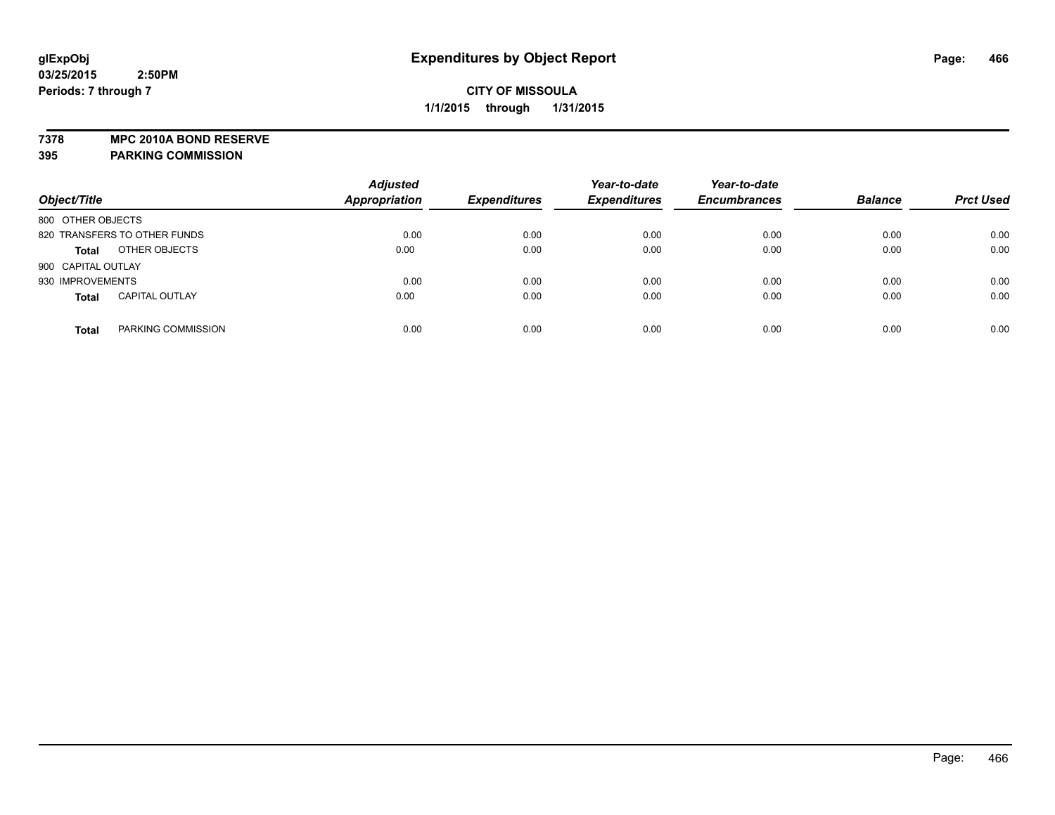**7378 MPC 2010A BOND RESERVE**

| Object/Title                 |                       | <b>Adjusted</b><br><b>Appropriation</b> | <b>Expenditures</b> | Year-to-date<br><b>Expenditures</b> | Year-to-date<br><b>Encumbrances</b> | <b>Balance</b> | <b>Prct Used</b> |
|------------------------------|-----------------------|-----------------------------------------|---------------------|-------------------------------------|-------------------------------------|----------------|------------------|
| 800 OTHER OBJECTS            |                       |                                         |                     |                                     |                                     |                |                  |
| 820 TRANSFERS TO OTHER FUNDS |                       | 0.00                                    | 0.00                | 0.00                                | 0.00                                | 0.00           | 0.00             |
| <b>Total</b>                 | OTHER OBJECTS         | 0.00                                    | 0.00                | 0.00                                | 0.00                                | 0.00           | 0.00             |
| 900 CAPITAL OUTLAY           |                       |                                         |                     |                                     |                                     |                |                  |
| 930 IMPROVEMENTS             |                       | 0.00                                    | 0.00                | 0.00                                | 0.00                                | 0.00           | 0.00             |
| <b>Total</b>                 | <b>CAPITAL OUTLAY</b> | 0.00                                    | 0.00                | 0.00                                | 0.00                                | 0.00           | 0.00             |
| <b>Total</b>                 | PARKING COMMISSION    | 0.00                                    | 0.00                | 0.00                                | 0.00                                | 0.00           | 0.00             |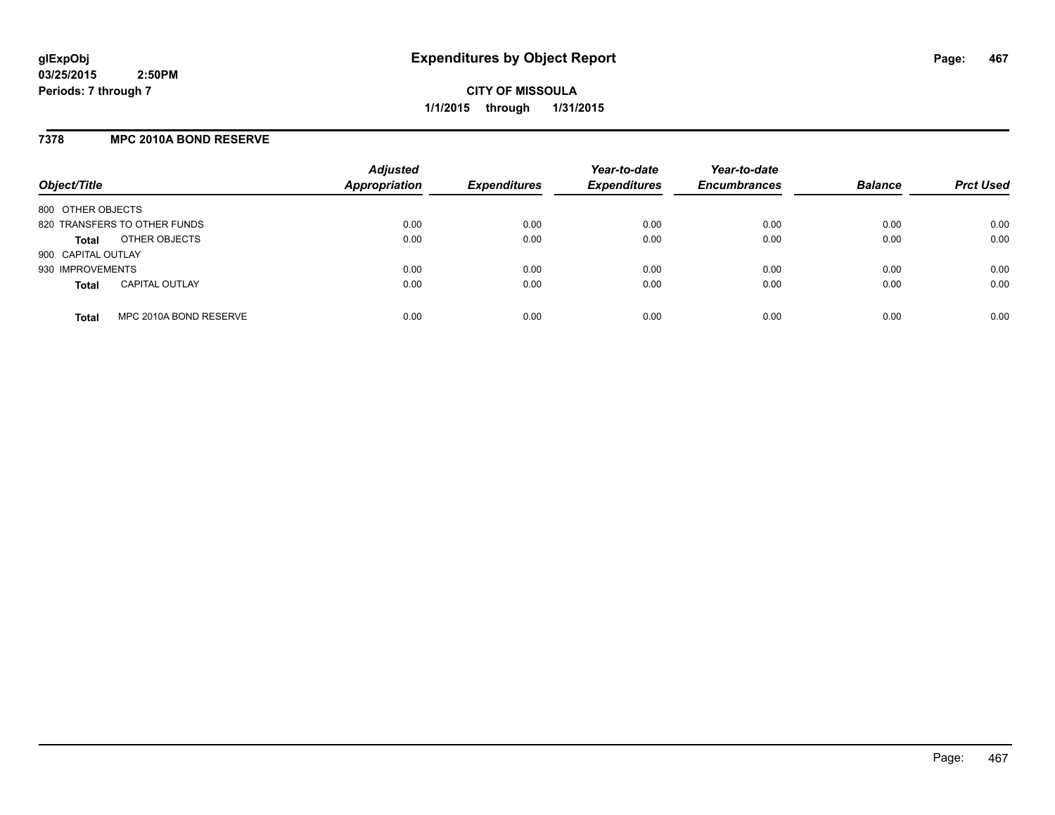## **7378 MPC 2010A BOND RESERVE**

| Object/Title       |                              | <b>Adjusted</b><br><b>Appropriation</b> | <b>Expenditures</b> | Year-to-date<br><b>Expenditures</b> | Year-to-date<br><b>Encumbrances</b> | <b>Balance</b> | <b>Prct Used</b> |
|--------------------|------------------------------|-----------------------------------------|---------------------|-------------------------------------|-------------------------------------|----------------|------------------|
| 800 OTHER OBJECTS  |                              |                                         |                     |                                     |                                     |                |                  |
|                    | 820 TRANSFERS TO OTHER FUNDS | 0.00                                    | 0.00                | 0.00                                | 0.00                                | 0.00           | 0.00             |
| <b>Total</b>       | OTHER OBJECTS                | 0.00                                    | 0.00                | 0.00                                | 0.00                                | 0.00           | 0.00             |
| 900 CAPITAL OUTLAY |                              |                                         |                     |                                     |                                     |                |                  |
| 930 IMPROVEMENTS   |                              | 0.00                                    | 0.00                | 0.00                                | 0.00                                | 0.00           | 0.00             |
| <b>Total</b>       | <b>CAPITAL OUTLAY</b>        | 0.00                                    | 0.00                | 0.00                                | 0.00                                | 0.00           | 0.00             |
| <b>Total</b>       | MPC 2010A BOND RESERVE       | 0.00                                    | 0.00                | 0.00                                | 0.00                                | 0.00           | 0.00             |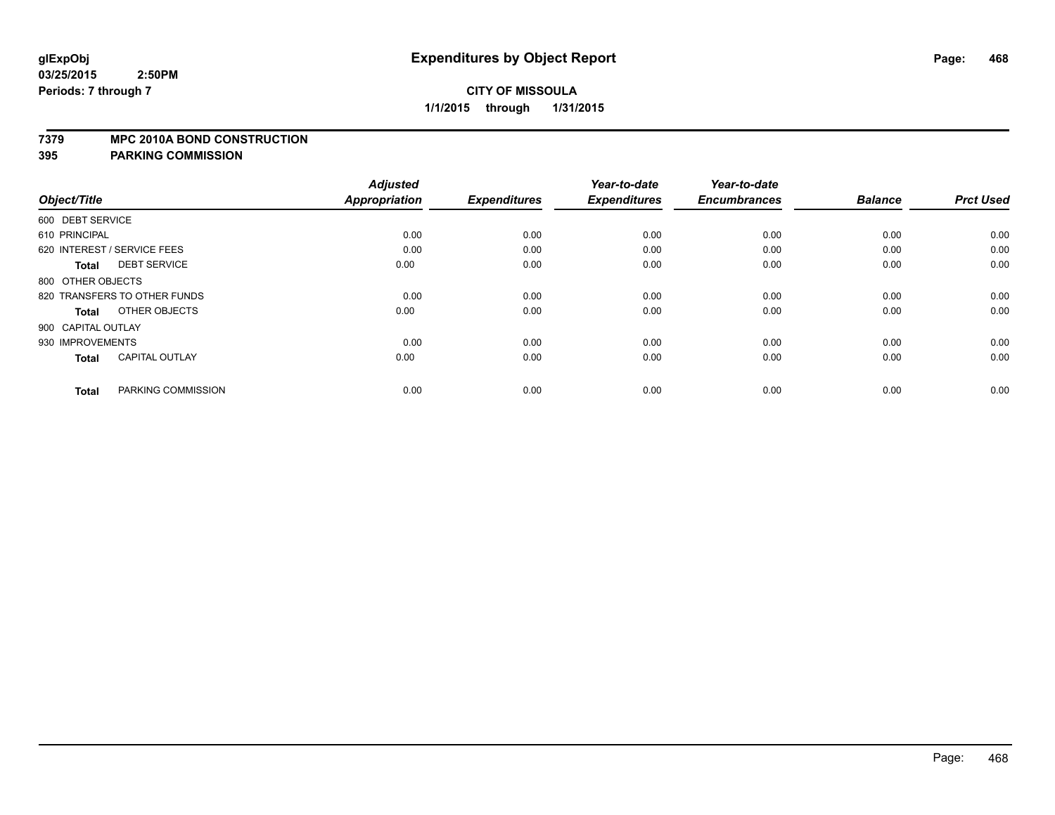#### **7379 MPC 2010A BOND CONSTRUCTION**

| Object/Title       |                              | <b>Adjusted</b><br><b>Appropriation</b> | <b>Expenditures</b> | Year-to-date<br><b>Expenditures</b> | Year-to-date<br><b>Encumbrances</b> | <b>Balance</b> | <b>Prct Used</b> |
|--------------------|------------------------------|-----------------------------------------|---------------------|-------------------------------------|-------------------------------------|----------------|------------------|
| 600 DEBT SERVICE   |                              |                                         |                     |                                     |                                     |                |                  |
| 610 PRINCIPAL      |                              | 0.00                                    | 0.00                | 0.00                                | 0.00                                | 0.00           | 0.00             |
|                    | 620 INTEREST / SERVICE FEES  | 0.00                                    | 0.00                | 0.00                                | 0.00                                | 0.00           | 0.00             |
| <b>Total</b>       | <b>DEBT SERVICE</b>          | 0.00                                    | 0.00                | 0.00                                | 0.00                                | 0.00           | 0.00             |
| 800 OTHER OBJECTS  |                              |                                         |                     |                                     |                                     |                |                  |
|                    | 820 TRANSFERS TO OTHER FUNDS | 0.00                                    | 0.00                | 0.00                                | 0.00                                | 0.00           | 0.00             |
| <b>Total</b>       | OTHER OBJECTS                | 0.00                                    | 0.00                | 0.00                                | 0.00                                | 0.00           | 0.00             |
| 900 CAPITAL OUTLAY |                              |                                         |                     |                                     |                                     |                |                  |
| 930 IMPROVEMENTS   |                              | 0.00                                    | 0.00                | 0.00                                | 0.00                                | 0.00           | 0.00             |
| <b>Total</b>       | <b>CAPITAL OUTLAY</b>        | 0.00                                    | 0.00                | 0.00                                | 0.00                                | 0.00           | 0.00             |
| <b>Total</b>       | PARKING COMMISSION           | 0.00                                    | 0.00                | 0.00                                | 0.00                                | 0.00           | 0.00             |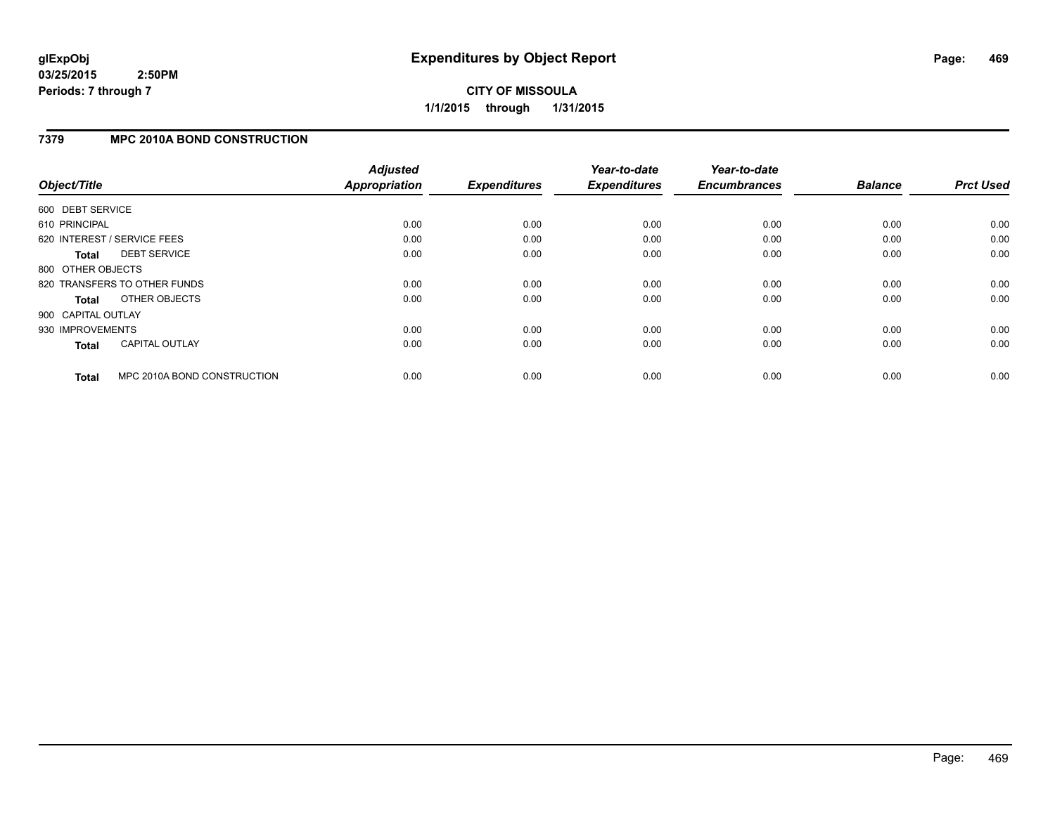**CITY OF MISSOULA 1/1/2015 through 1/31/2015**

### **7379 MPC 2010A BOND CONSTRUCTION**

|                    |                              | <b>Adjusted</b>      |                     | Year-to-date        | Year-to-date        |                |                  |
|--------------------|------------------------------|----------------------|---------------------|---------------------|---------------------|----------------|------------------|
| Object/Title       |                              | <b>Appropriation</b> | <b>Expenditures</b> | <b>Expenditures</b> | <b>Encumbrances</b> | <b>Balance</b> | <b>Prct Used</b> |
| 600 DEBT SERVICE   |                              |                      |                     |                     |                     |                |                  |
| 610 PRINCIPAL      |                              | 0.00                 | 0.00                | 0.00                | 0.00                | 0.00           | 0.00             |
|                    | 620 INTEREST / SERVICE FEES  | 0.00                 | 0.00                | 0.00                | 0.00                | 0.00           | 0.00             |
| <b>Total</b>       | <b>DEBT SERVICE</b>          | 0.00                 | 0.00                | 0.00                | 0.00                | 0.00           | 0.00             |
| 800 OTHER OBJECTS  |                              |                      |                     |                     |                     |                |                  |
|                    | 820 TRANSFERS TO OTHER FUNDS | 0.00                 | 0.00                | 0.00                | 0.00                | 0.00           | 0.00             |
| Total              | OTHER OBJECTS                | 0.00                 | 0.00                | 0.00                | 0.00                | 0.00           | 0.00             |
| 900 CAPITAL OUTLAY |                              |                      |                     |                     |                     |                |                  |
| 930 IMPROVEMENTS   |                              | 0.00                 | 0.00                | 0.00                | 0.00                | 0.00           | 0.00             |
| <b>Total</b>       | <b>CAPITAL OUTLAY</b>        | 0.00                 | 0.00                | 0.00                | 0.00                | 0.00           | 0.00             |
| <b>Total</b>       | MPC 2010A BOND CONSTRUCTION  | 0.00                 | 0.00                | 0.00                | 0.00                | 0.00           | 0.00             |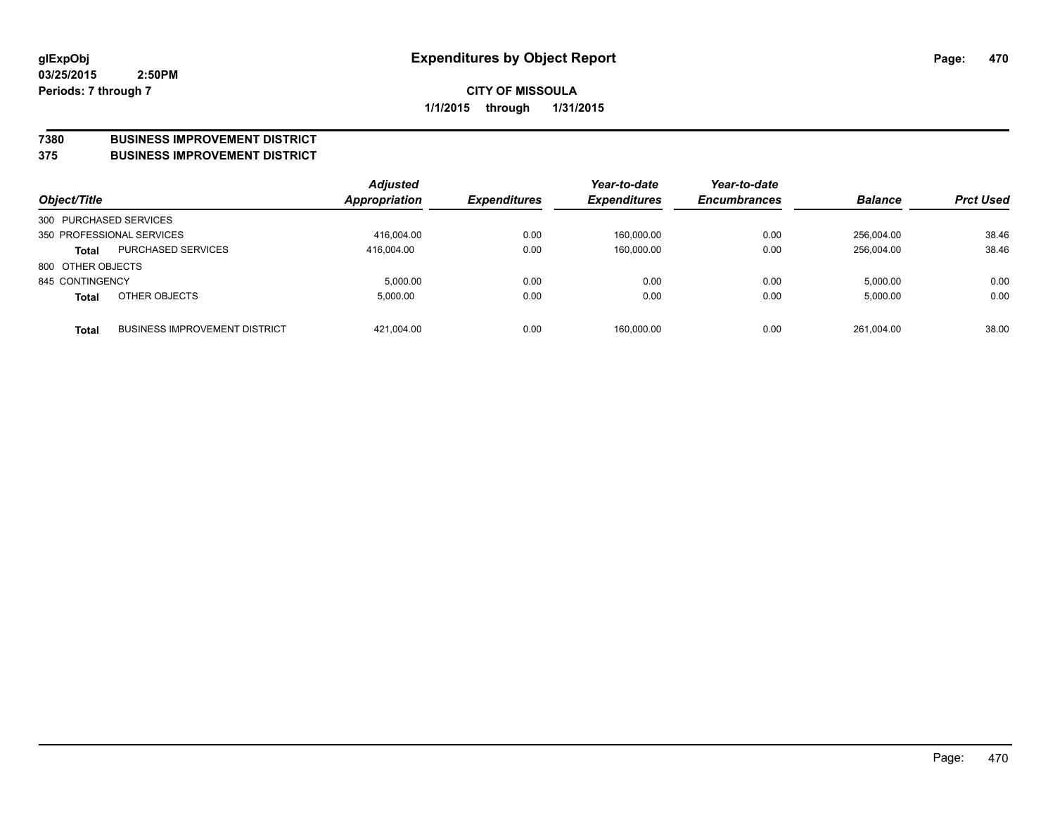#### **7380 BUSINESS IMPROVEMENT DISTRICT**

**375 BUSINESS IMPROVEMENT DISTRICT**

| Object/Title           |                                      | <b>Adjusted</b><br>Appropriation | <b>Expenditures</b> | Year-to-date<br><b>Expenditures</b> | Year-to-date<br><b>Encumbrances</b> | <b>Balance</b> | <b>Prct Used</b> |
|------------------------|--------------------------------------|----------------------------------|---------------------|-------------------------------------|-------------------------------------|----------------|------------------|
| 300 PURCHASED SERVICES |                                      |                                  |                     |                                     |                                     |                |                  |
|                        | 350 PROFESSIONAL SERVICES            | 416,004.00                       | 0.00                | 160,000.00                          | 0.00                                | 256.004.00     | 38.46            |
| <b>Total</b>           | <b>PURCHASED SERVICES</b>            | 416.004.00                       | 0.00                | 160,000.00                          | 0.00                                | 256.004.00     | 38.46            |
| 800 OTHER OBJECTS      |                                      |                                  |                     |                                     |                                     |                |                  |
| 845 CONTINGENCY        |                                      | 5.000.00                         | 0.00                | 0.00                                | 0.00                                | 5,000.00       | 0.00             |
| <b>Total</b>           | OTHER OBJECTS                        | 5.000.00                         | 0.00                | 0.00                                | 0.00                                | 5,000.00       | 0.00             |
| <b>Total</b>           | <b>BUSINESS IMPROVEMENT DISTRICT</b> | 421.004.00                       | 0.00                | 160.000.00                          | 0.00                                | 261.004.00     | 38.00            |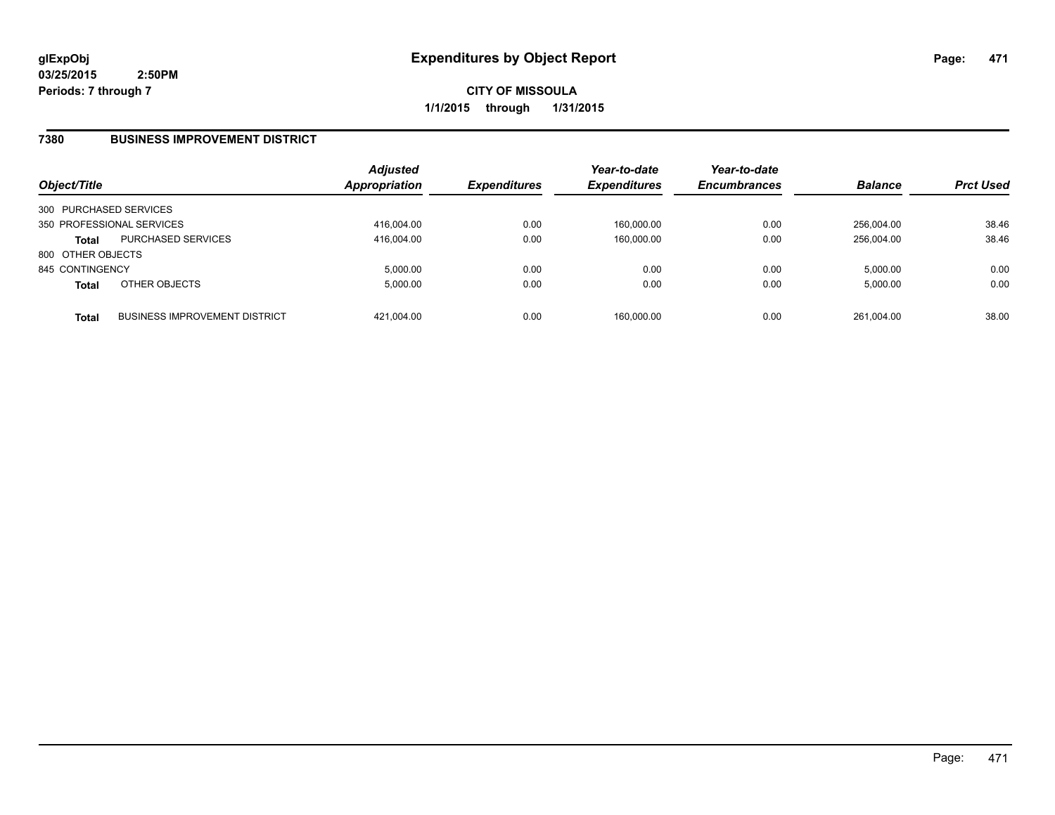**CITY OF MISSOULA 1/1/2015 through 1/31/2015**

#### **7380 BUSINESS IMPROVEMENT DISTRICT**

| Object/Title           |                                      | <b>Adjusted</b><br><b>Appropriation</b> | <b>Expenditures</b> | Year-to-date<br><b>Expenditures</b> | Year-to-date<br><b>Encumbrances</b> | <b>Balance</b> | <b>Prct Used</b> |
|------------------------|--------------------------------------|-----------------------------------------|---------------------|-------------------------------------|-------------------------------------|----------------|------------------|
| 300 PURCHASED SERVICES |                                      |                                         |                     |                                     |                                     |                |                  |
|                        | 350 PROFESSIONAL SERVICES            | 416,004.00                              | 0.00                | 160,000.00                          | 0.00                                | 256.004.00     | 38.46            |
| <b>Total</b>           | <b>PURCHASED SERVICES</b>            | 416.004.00                              | 0.00                | 160.000.00                          | 0.00                                | 256.004.00     | 38.46            |
| 800 OTHER OBJECTS      |                                      |                                         |                     |                                     |                                     |                |                  |
| 845 CONTINGENCY        |                                      | 5.000.00                                | 0.00                | 0.00                                | 0.00                                | 5.000.00       | 0.00             |
| <b>Total</b>           | OTHER OBJECTS                        | 5.000.00                                | 0.00                | 0.00                                | 0.00                                | 5,000.00       | 0.00             |
| <b>Total</b>           | <b>BUSINESS IMPROVEMENT DISTRICT</b> | 421.004.00                              | 0.00                | 160.000.00                          | 0.00                                | 261.004.00     | 38.00            |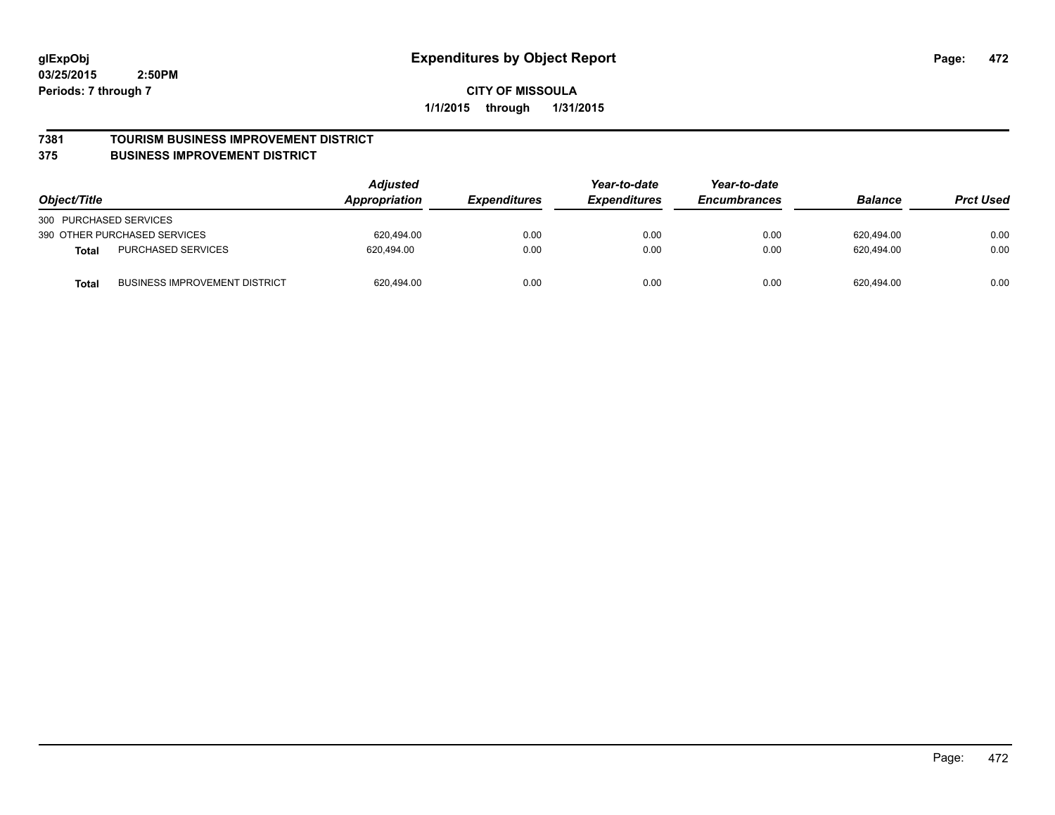#### **7381 TOURISM BUSINESS IMPROVEMENT DISTRICT**

#### **375 BUSINESS IMPROVEMENT DISTRICT**

| Object/Title                                         | Adjusted<br>Year-to-date<br>Appropriation<br><b>Expenditures</b><br><i><b>Expenditures</b></i> | Year-to-date<br><b>Encumbrances</b> | <b>Balance</b> | <b>Prct Used</b> |            |      |
|------------------------------------------------------|------------------------------------------------------------------------------------------------|-------------------------------------|----------------|------------------|------------|------|
| 300 PURCHASED SERVICES                               |                                                                                                |                                     |                |                  |            |      |
| 390 OTHER PURCHASED SERVICES                         | 620.494.00                                                                                     | 0.00                                | 0.00           | 0.00             | 620.494.00 | 0.00 |
| <b>PURCHASED SERVICES</b><br><b>Total</b>            | 620.494.00                                                                                     | 0.00                                | 0.00           | 0.00             | 620.494.00 | 0.00 |
| <b>BUSINESS IMPROVEMENT DISTRICT</b><br><b>Total</b> | 620,494.00                                                                                     | 0.00                                | 0.00           | 0.00             | 620,494.00 | 0.00 |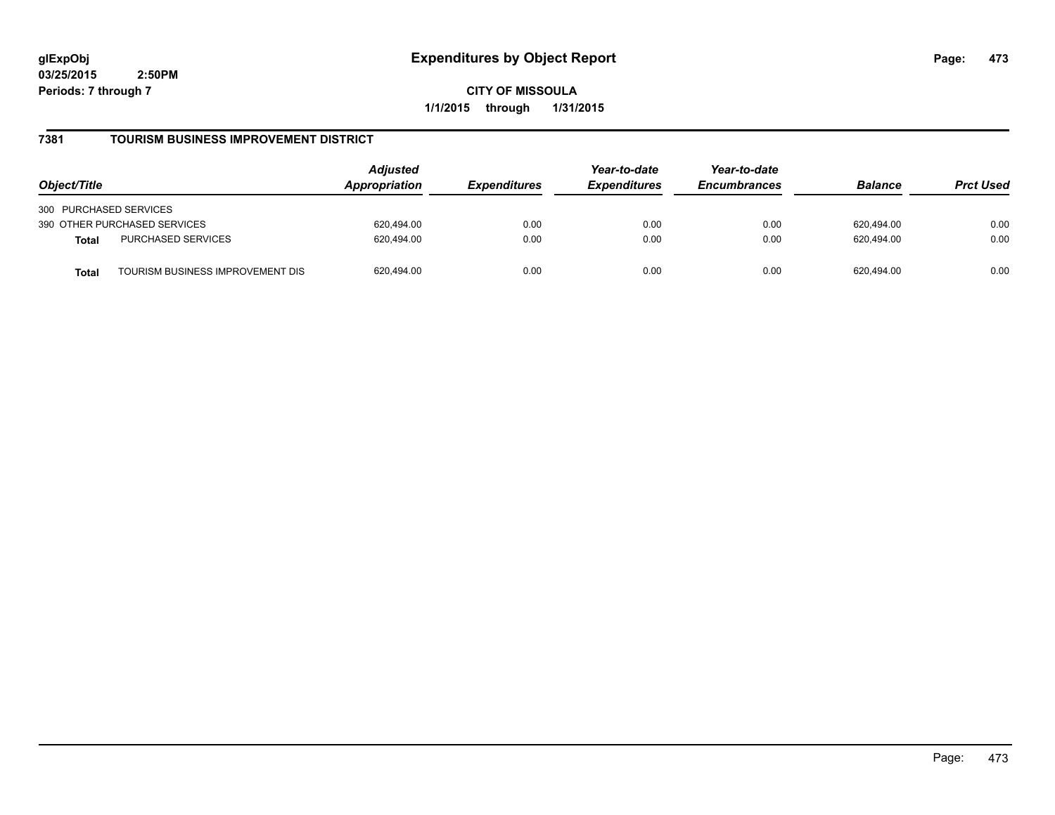**CITY OF MISSOULA 1/1/2015 through 1/31/2015**

## **7381 TOURISM BUSINESS IMPROVEMENT DISTRICT**

| Object/Title                                     | <b>Adjusted</b><br>Appropriation | <i><b>Expenditures</b></i> | Year-to-date<br><b>Expenditures</b> | Year-to-date<br><b>Encumbrances</b> | <b>Balance</b> | <b>Prct Used</b> |
|--------------------------------------------------|----------------------------------|----------------------------|-------------------------------------|-------------------------------------|----------------|------------------|
| 300 PURCHASED SERVICES                           |                                  |                            |                                     |                                     |                |                  |
| 390 OTHER PURCHASED SERVICES                     | 620.494.00                       | 0.00                       | 0.00                                | 0.00                                | 620.494.00     | 0.00             |
| PURCHASED SERVICES<br><b>Total</b>               | 620.494.00                       | 0.00                       | 0.00                                | 0.00                                | 620.494.00     | 0.00             |
| TOURISM BUSINESS IMPROVEMENT DIS<br><b>Total</b> | 620,494.00                       | 0.00                       | 0.00                                | 0.00                                | 620.494.00     | 0.00             |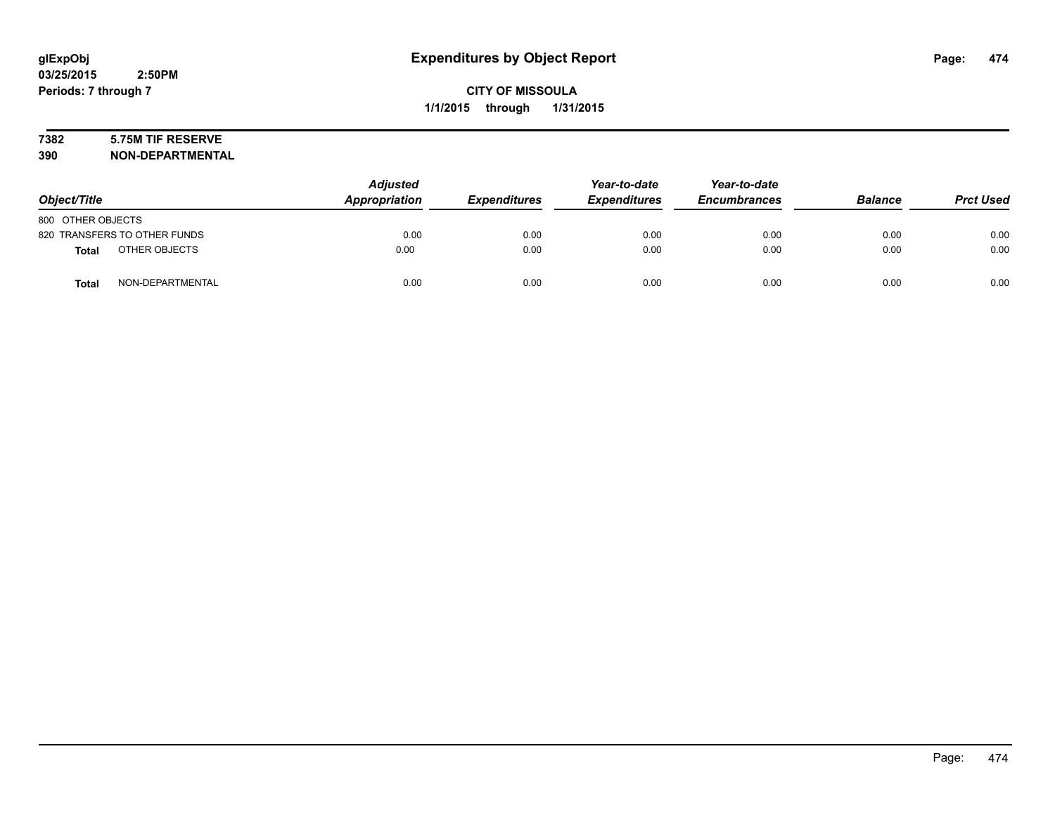# **7382 5.75M TIF RESERVE**

**390 NON-DEPARTMENTAL**

| Object/Title      |                              | <b>Adjusted</b><br>Appropriation | <b>Expenditures</b> | Year-to-date<br><b>Expenditures</b> | Year-to-date<br><b>Encumbrances</b> | <b>Balance</b> | <b>Prct Used</b> |
|-------------------|------------------------------|----------------------------------|---------------------|-------------------------------------|-------------------------------------|----------------|------------------|
| 800 OTHER OBJECTS |                              |                                  |                     |                                     |                                     |                |                  |
|                   | 820 TRANSFERS TO OTHER FUNDS | 0.00                             | 0.00                | 0.00                                | 0.00                                | 0.00           | 0.00             |
| <b>Total</b>      | OTHER OBJECTS                | 0.00                             | 0.00                | 0.00                                | 0.00                                | 0.00           | 0.00             |
| <b>Total</b>      | NON-DEPARTMENTAL             | 0.00                             | 0.00                | 0.00                                | 0.00                                | 0.00           | 0.00             |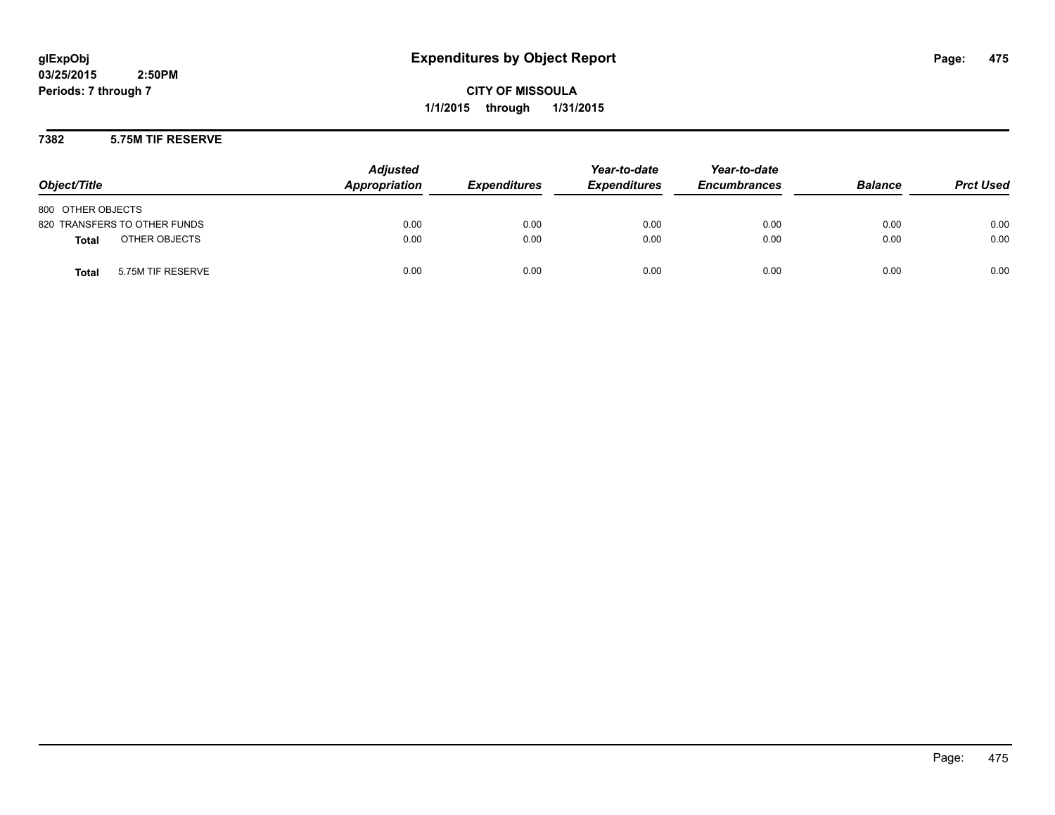**CITY OF MISSOULA 1/1/2015 through 1/31/2015**

### **7382 5.75M TIF RESERVE**

| Object/Title                      | <b>Adjusted</b><br>Appropriation | <b>Expenditures</b> | Year-to-date<br><b>Expenditures</b> | Year-to-date<br><b>Encumbrances</b> | <b>Balance</b> | <b>Prct Used</b> |
|-----------------------------------|----------------------------------|---------------------|-------------------------------------|-------------------------------------|----------------|------------------|
| 800 OTHER OBJECTS                 |                                  |                     |                                     |                                     |                |                  |
| 820 TRANSFERS TO OTHER FUNDS      | 0.00                             | 0.00                | 0.00                                | 0.00                                | 0.00           | 0.00             |
| OTHER OBJECTS<br><b>Total</b>     | 0.00                             | 0.00                | 0.00                                | 0.00                                | 0.00           | 0.00             |
| 5.75M TIF RESERVE<br><b>Total</b> | 0.00                             | 0.00                | 0.00                                | 0.00                                | 0.00           | 0.00             |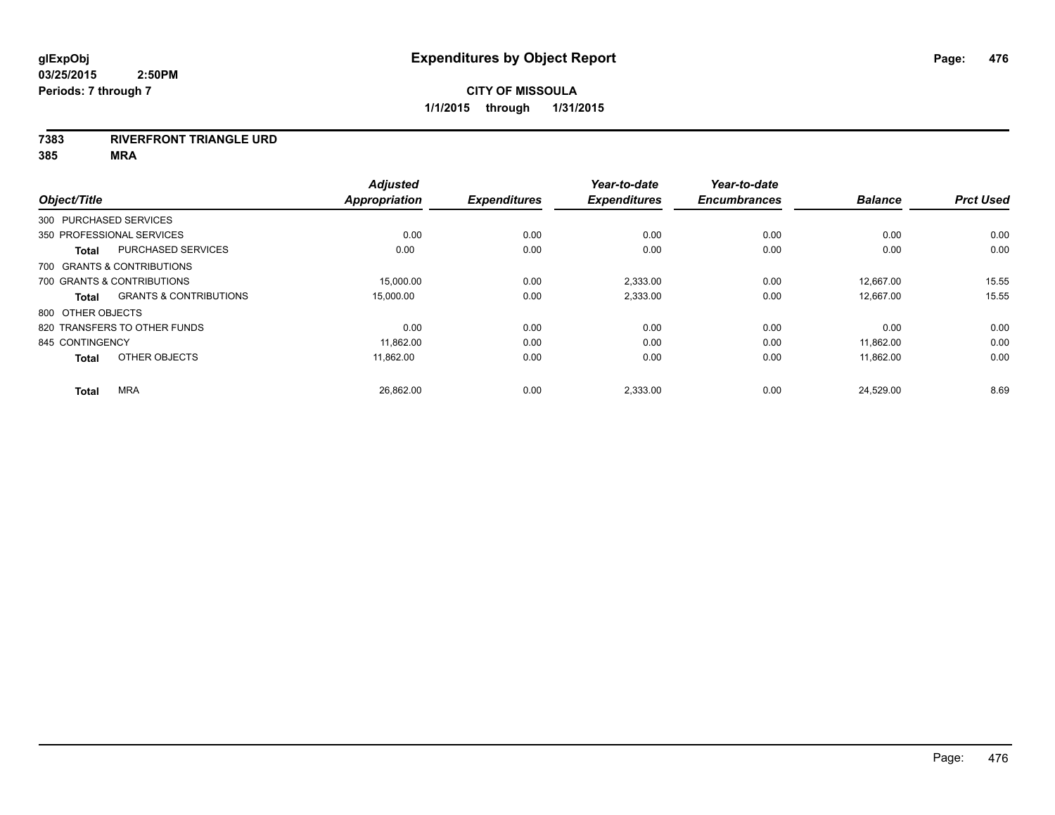### **7383 RIVERFRONT TRIANGLE URD**

| Object/Title              |                                   | <b>Adjusted</b><br><b>Appropriation</b> | <b>Expenditures</b> | Year-to-date<br><b>Expenditures</b> | Year-to-date<br><b>Encumbrances</b> | <b>Balance</b> | <b>Prct Used</b> |
|---------------------------|-----------------------------------|-----------------------------------------|---------------------|-------------------------------------|-------------------------------------|----------------|------------------|
| 300 PURCHASED SERVICES    |                                   |                                         |                     |                                     |                                     |                |                  |
| 350 PROFESSIONAL SERVICES |                                   | 0.00                                    | 0.00                | 0.00                                | 0.00                                | 0.00           | 0.00             |
| <b>Total</b>              | <b>PURCHASED SERVICES</b>         | 0.00                                    | 0.00                | 0.00                                | 0.00                                | 0.00           | 0.00             |
|                           | 700 GRANTS & CONTRIBUTIONS        |                                         |                     |                                     |                                     |                |                  |
|                           | 700 GRANTS & CONTRIBUTIONS        | 15,000.00                               | 0.00                | 2,333.00                            | 0.00                                | 12,667.00      | 15.55            |
| <b>Total</b>              | <b>GRANTS &amp; CONTRIBUTIONS</b> | 15,000.00                               | 0.00                | 2,333.00                            | 0.00                                | 12,667.00      | 15.55            |
| 800 OTHER OBJECTS         |                                   |                                         |                     |                                     |                                     |                |                  |
|                           | 820 TRANSFERS TO OTHER FUNDS      | 0.00                                    | 0.00                | 0.00                                | 0.00                                | 0.00           | 0.00             |
| 845 CONTINGENCY           |                                   | 11,862.00                               | 0.00                | 0.00                                | 0.00                                | 11,862.00      | 0.00             |
| <b>Total</b>              | OTHER OBJECTS                     | 11,862.00                               | 0.00                | 0.00                                | 0.00                                | 11,862.00      | 0.00             |
| <b>Total</b>              | <b>MRA</b>                        | 26,862.00                               | 0.00                | 2,333.00                            | 0.00                                | 24,529.00      | 8.69             |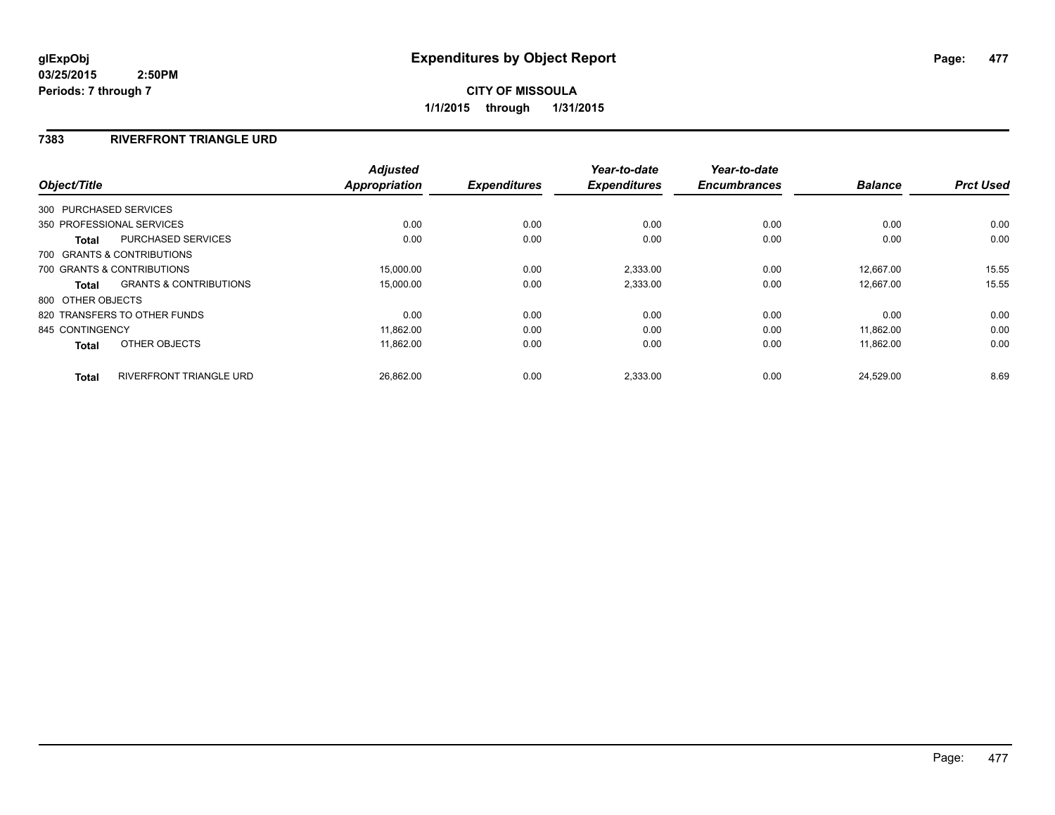# **7383 RIVERFRONT TRIANGLE URD**

|                   |                                   | <b>Adjusted</b>      |                     | Year-to-date        | Year-to-date        |                |                  |
|-------------------|-----------------------------------|----------------------|---------------------|---------------------|---------------------|----------------|------------------|
| Object/Title      |                                   | <b>Appropriation</b> | <b>Expenditures</b> | <b>Expenditures</b> | <b>Encumbrances</b> | <b>Balance</b> | <b>Prct Used</b> |
|                   | 300 PURCHASED SERVICES            |                      |                     |                     |                     |                |                  |
|                   | 350 PROFESSIONAL SERVICES         | 0.00                 | 0.00                | 0.00                | 0.00                | 0.00           | 0.00             |
| Total             | PURCHASED SERVICES                | 0.00                 | 0.00                | 0.00                | 0.00                | 0.00           | 0.00             |
|                   | 700 GRANTS & CONTRIBUTIONS        |                      |                     |                     |                     |                |                  |
|                   | 700 GRANTS & CONTRIBUTIONS        | 15,000.00            | 0.00                | 2,333.00            | 0.00                | 12.667.00      | 15.55            |
| Total             | <b>GRANTS &amp; CONTRIBUTIONS</b> | 15,000.00            | 0.00                | 2,333.00            | 0.00                | 12.667.00      | 15.55            |
| 800 OTHER OBJECTS |                                   |                      |                     |                     |                     |                |                  |
|                   | 820 TRANSFERS TO OTHER FUNDS      | 0.00                 | 0.00                | 0.00                | 0.00                | 0.00           | 0.00             |
| 845 CONTINGENCY   |                                   | 11,862.00            | 0.00                | 0.00                | 0.00                | 11.862.00      | 0.00             |
| <b>Total</b>      | OTHER OBJECTS                     | 11,862.00            | 0.00                | 0.00                | 0.00                | 11,862.00      | 0.00             |
| <b>Total</b>      | <b>RIVERFRONT TRIANGLE URD</b>    | 26,862.00            | 0.00                | 2,333.00            | 0.00                | 24,529.00      | 8.69             |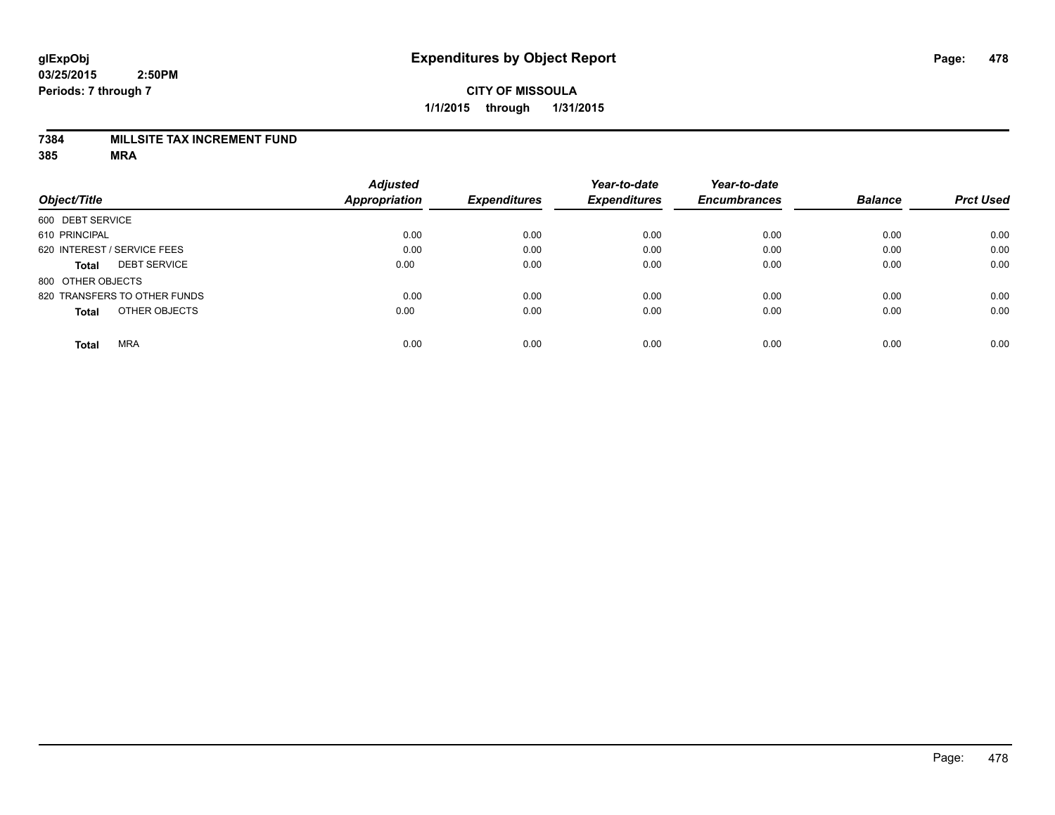#### **7384 MILLSITE TAX INCREMENT FUND**

|                                     | <b>Adjusted</b>      |                     | Year-to-date        | Year-to-date        |                |                  |
|-------------------------------------|----------------------|---------------------|---------------------|---------------------|----------------|------------------|
| Object/Title                        | <b>Appropriation</b> | <b>Expenditures</b> | <b>Expenditures</b> | <b>Encumbrances</b> | <b>Balance</b> | <b>Prct Used</b> |
| 600 DEBT SERVICE                    |                      |                     |                     |                     |                |                  |
| 610 PRINCIPAL                       | 0.00                 | 0.00                | 0.00                | 0.00                | 0.00           | 0.00             |
| 620 INTEREST / SERVICE FEES         | 0.00                 | 0.00                | 0.00                | 0.00                | 0.00           | 0.00             |
| <b>DEBT SERVICE</b><br><b>Total</b> | 0.00                 | 0.00                | 0.00                | 0.00                | 0.00           | 0.00             |
| 800 OTHER OBJECTS                   |                      |                     |                     |                     |                |                  |
| 820 TRANSFERS TO OTHER FUNDS        | 0.00                 | 0.00                | 0.00                | 0.00                | 0.00           | 0.00             |
| OTHER OBJECTS<br><b>Total</b>       | 0.00                 | 0.00                | 0.00                | 0.00                | 0.00           | 0.00             |
| <b>MRA</b><br><b>Total</b>          | 0.00                 | 0.00                | 0.00                | 0.00                | 0.00           | 0.00             |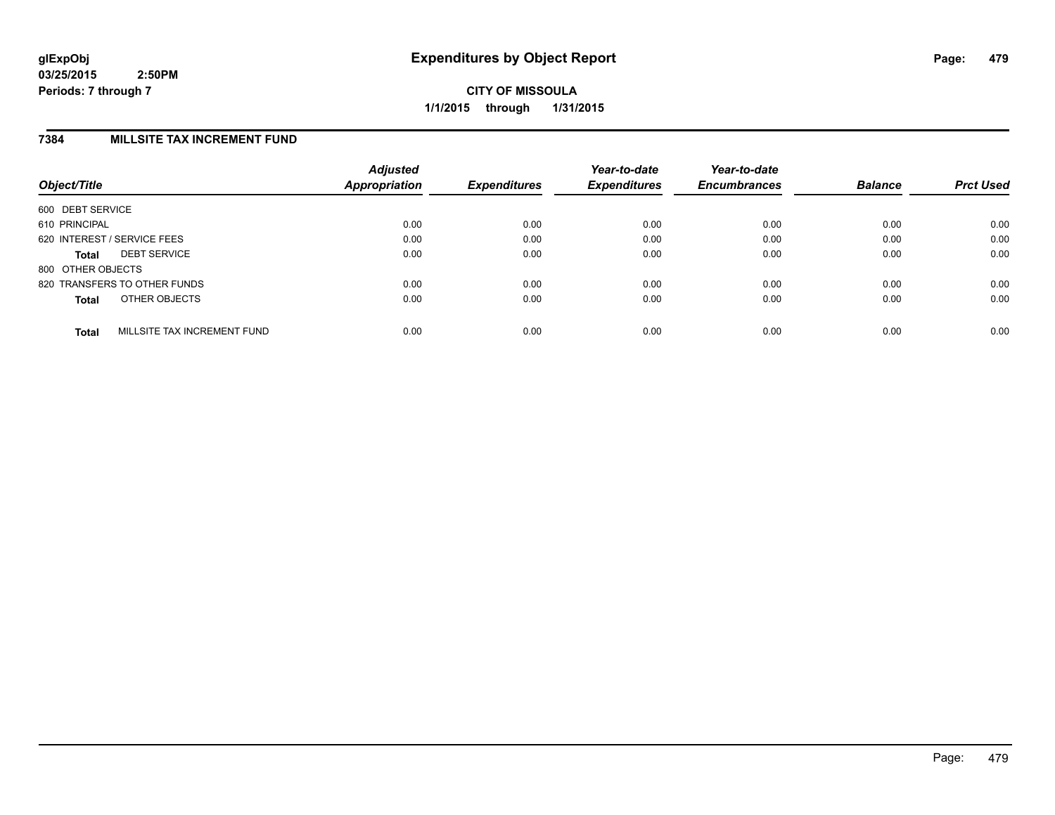**CITY OF MISSOULA 1/1/2015 through 1/31/2015**

### **7384 MILLSITE TAX INCREMENT FUND**

| Object/Title      |                              | <b>Adjusted</b><br>Appropriation | <b>Expenditures</b> | Year-to-date<br><b>Expenditures</b> | Year-to-date<br><b>Encumbrances</b> | <b>Balance</b> | <b>Prct Used</b> |
|-------------------|------------------------------|----------------------------------|---------------------|-------------------------------------|-------------------------------------|----------------|------------------|
| 600 DEBT SERVICE  |                              |                                  |                     |                                     |                                     |                |                  |
| 610 PRINCIPAL     |                              | 0.00                             | 0.00                | 0.00                                | 0.00                                | 0.00           | 0.00             |
|                   | 620 INTEREST / SERVICE FEES  | 0.00                             | 0.00                | 0.00                                | 0.00                                | 0.00           | 0.00             |
| Total             | <b>DEBT SERVICE</b>          | 0.00                             | 0.00                | 0.00                                | 0.00                                | 0.00           | 0.00             |
| 800 OTHER OBJECTS |                              |                                  |                     |                                     |                                     |                |                  |
|                   | 820 TRANSFERS TO OTHER FUNDS | 0.00                             | 0.00                | 0.00                                | 0.00                                | 0.00           | 0.00             |
| <b>Total</b>      | OTHER OBJECTS                | 0.00                             | 0.00                | 0.00                                | 0.00                                | 0.00           | 0.00             |
| <b>Total</b>      | MILLSITE TAX INCREMENT FUND  | 0.00                             | 0.00                | 0.00                                | 0.00                                | 0.00           | 0.00             |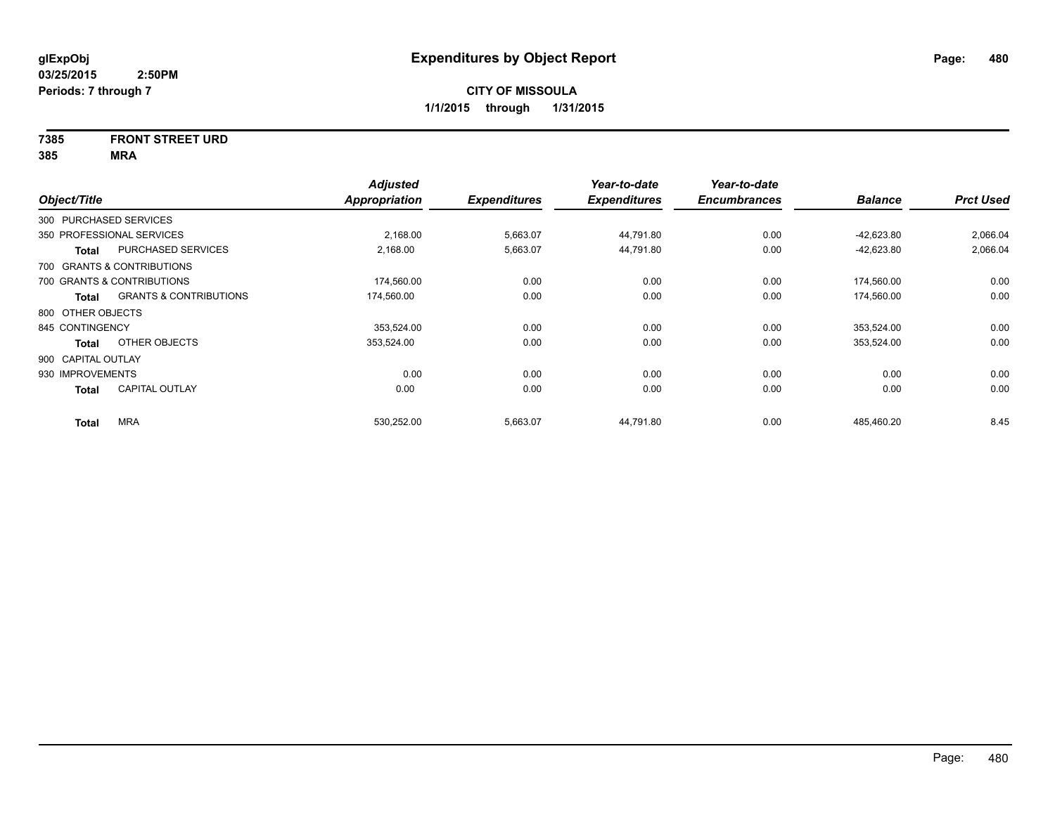# **7385 FRONT STREET URD**

| Object/Title           |                                   | <b>Adjusted</b><br>Appropriation | <b>Expenditures</b> | Year-to-date<br><b>Expenditures</b> | Year-to-date<br><b>Encumbrances</b> | <b>Balance</b> | <b>Prct Used</b> |
|------------------------|-----------------------------------|----------------------------------|---------------------|-------------------------------------|-------------------------------------|----------------|------------------|
| 300 PURCHASED SERVICES |                                   |                                  |                     |                                     |                                     |                |                  |
|                        | 350 PROFESSIONAL SERVICES         | 2,168.00                         | 5,663.07            | 44,791.80                           | 0.00                                | $-42,623.80$   | 2,066.04         |
| <b>Total</b>           | PURCHASED SERVICES                | 2,168.00                         | 5,663.07            | 44,791.80                           | 0.00                                | $-42,623.80$   | 2,066.04         |
|                        | 700 GRANTS & CONTRIBUTIONS        |                                  |                     |                                     |                                     |                |                  |
|                        | 700 GRANTS & CONTRIBUTIONS        | 174,560.00                       | 0.00                | 0.00                                | 0.00                                | 174,560.00     | 0.00             |
| <b>Total</b>           | <b>GRANTS &amp; CONTRIBUTIONS</b> | 174,560.00                       | 0.00                | 0.00                                | 0.00                                | 174,560.00     | 0.00             |
| 800 OTHER OBJECTS      |                                   |                                  |                     |                                     |                                     |                |                  |
| 845 CONTINGENCY        |                                   | 353.524.00                       | 0.00                | 0.00                                | 0.00                                | 353,524.00     | 0.00             |
| <b>Total</b>           | OTHER OBJECTS                     | 353,524.00                       | 0.00                | 0.00                                | 0.00                                | 353,524.00     | 0.00             |
| 900 CAPITAL OUTLAY     |                                   |                                  |                     |                                     |                                     |                |                  |
| 930 IMPROVEMENTS       |                                   | 0.00                             | 0.00                | 0.00                                | 0.00                                | 0.00           | 0.00             |
| <b>Total</b>           | <b>CAPITAL OUTLAY</b>             | 0.00                             | 0.00                | 0.00                                | 0.00                                | 0.00           | 0.00             |
| <b>Total</b>           | <b>MRA</b>                        | 530.252.00                       | 5,663.07            | 44.791.80                           | 0.00                                | 485.460.20     | 8.45             |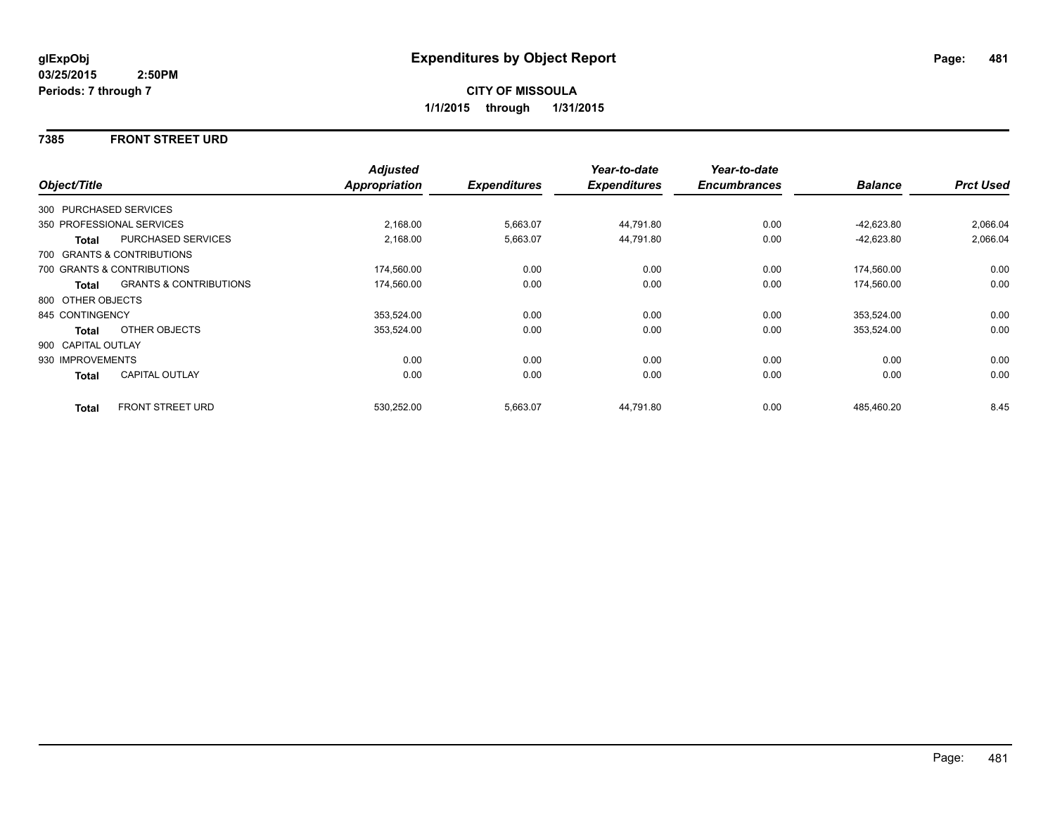### **7385 FRONT STREET URD**

|                    |                                   | <b>Adjusted</b> |                     | Year-to-date        | Year-to-date        |                |                  |
|--------------------|-----------------------------------|-----------------|---------------------|---------------------|---------------------|----------------|------------------|
| Object/Title       |                                   | Appropriation   | <b>Expenditures</b> | <b>Expenditures</b> | <b>Encumbrances</b> | <b>Balance</b> | <b>Prct Used</b> |
|                    | 300 PURCHASED SERVICES            |                 |                     |                     |                     |                |                  |
|                    | 350 PROFESSIONAL SERVICES         | 2,168.00        | 5,663.07            | 44,791.80           | 0.00                | $-42,623.80$   | 2,066.04         |
| Total              | <b>PURCHASED SERVICES</b>         | 2,168.00        | 5,663.07            | 44,791.80           | 0.00                | $-42,623.80$   | 2,066.04         |
|                    | 700 GRANTS & CONTRIBUTIONS        |                 |                     |                     |                     |                |                  |
|                    | 700 GRANTS & CONTRIBUTIONS        | 174,560.00      | 0.00                | 0.00                | 0.00                | 174,560.00     | 0.00             |
| Total              | <b>GRANTS &amp; CONTRIBUTIONS</b> | 174,560.00      | 0.00                | 0.00                | 0.00                | 174,560.00     | 0.00             |
| 800 OTHER OBJECTS  |                                   |                 |                     |                     |                     |                |                  |
| 845 CONTINGENCY    |                                   | 353,524.00      | 0.00                | 0.00                | 0.00                | 353,524.00     | 0.00             |
| Total              | OTHER OBJECTS                     | 353,524.00      | 0.00                | 0.00                | 0.00                | 353,524.00     | 0.00             |
| 900 CAPITAL OUTLAY |                                   |                 |                     |                     |                     |                |                  |
| 930 IMPROVEMENTS   |                                   | 0.00            | 0.00                | 0.00                | 0.00                | 0.00           | 0.00             |
| Total              | <b>CAPITAL OUTLAY</b>             | 0.00            | 0.00                | 0.00                | 0.00                | 0.00           | 0.00             |
| <b>Total</b>       | <b>FRONT STREET URD</b>           | 530,252.00      | 5,663.07            | 44,791.80           | 0.00                | 485,460.20     | 8.45             |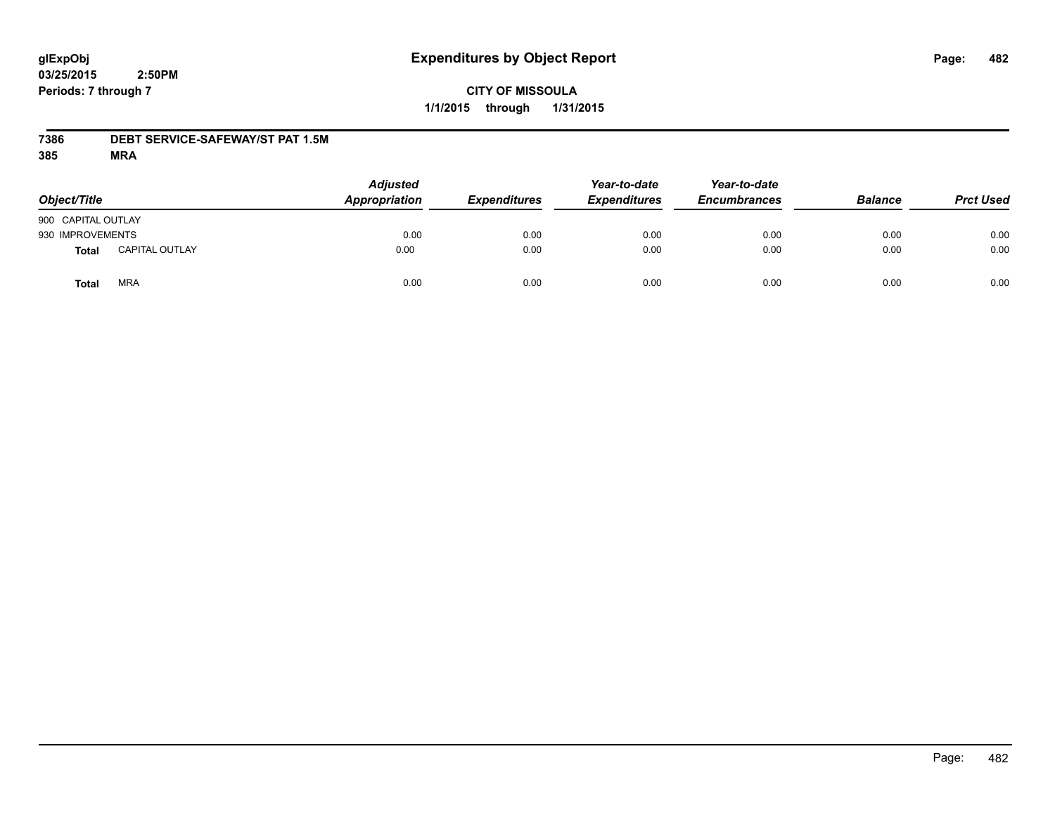# **CITY OF MISSOULA 1/1/2015 through 1/31/2015**

## **7386 DEBT SERVICE-SAFEWAY/ST PAT 1.5M**

| Object/Title       |                       | <b>Adjusted</b><br>Appropriation | <b>Expenditures</b> | Year-to-date<br><b>Expenditures</b> | Year-to-date<br><b>Encumbrances</b> | <b>Balance</b> | <b>Prct Used</b> |
|--------------------|-----------------------|----------------------------------|---------------------|-------------------------------------|-------------------------------------|----------------|------------------|
| 900 CAPITAL OUTLAY |                       |                                  |                     |                                     |                                     |                |                  |
| 930 IMPROVEMENTS   |                       | 0.00                             | 0.00                | 0.00                                | 0.00                                | 0.00           | 0.00             |
| Total              | <b>CAPITAL OUTLAY</b> | 0.00                             | 0.00                | 0.00                                | 0.00                                | 0.00           | 0.00             |
| Total              | <b>MRA</b>            | 0.00                             | 0.00                | 0.00                                | 0.00                                | 0.00           | 0.00             |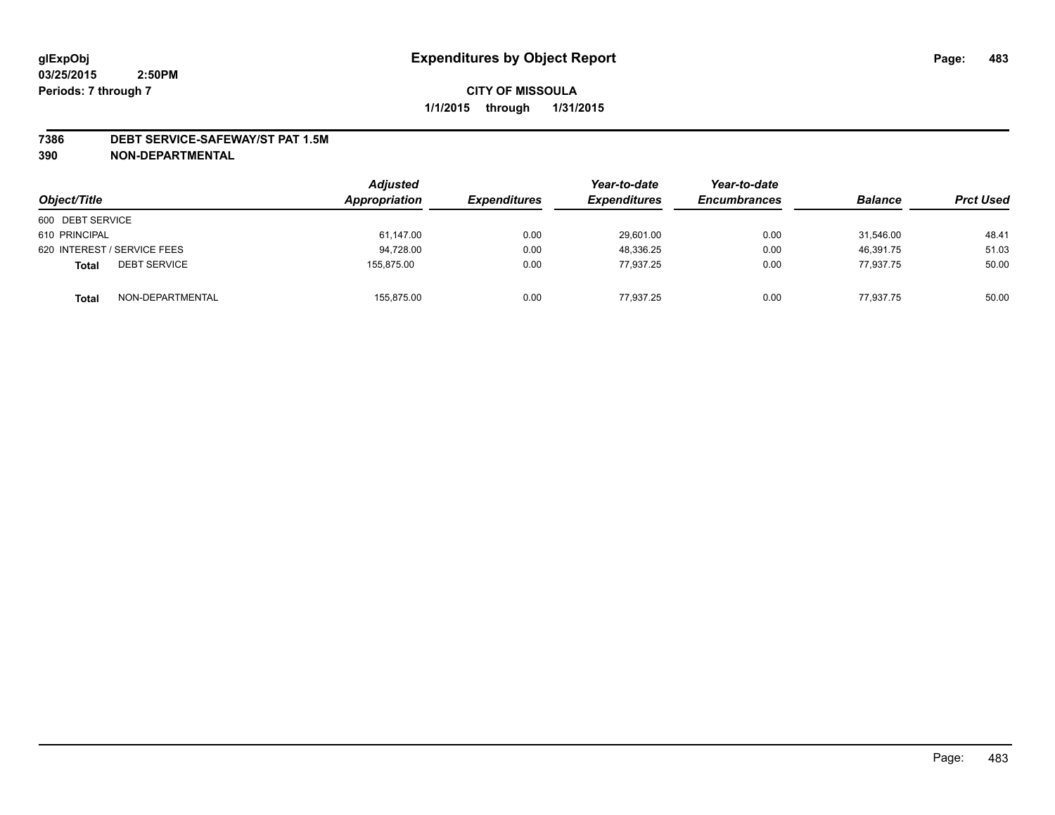#### **7386 DEBT SERVICE-SAFEWAY/ST PAT 1.5M**

**390 NON-DEPARTMENTAL**

| Object/Title                        | <b>Adjusted</b><br>Appropriation | <b>Expenditures</b> | Year-to-date<br><b>Expenditures</b> | Year-to-date<br><b>Encumbrances</b> | <b>Balance</b> | <b>Prct Used</b> |
|-------------------------------------|----------------------------------|---------------------|-------------------------------------|-------------------------------------|----------------|------------------|
| 600 DEBT SERVICE                    |                                  |                     |                                     |                                     |                |                  |
| 610 PRINCIPAL                       | 61,147.00                        | 0.00                | 29,601.00                           | 0.00                                | 31.546.00      | 48.41            |
| 620 INTEREST / SERVICE FEES         | 94.728.00                        | 0.00                | 48.336.25                           | 0.00                                | 46.391.75      | 51.03            |
| <b>DEBT SERVICE</b><br><b>Total</b> | 155.875.00                       | 0.00                | 77.937.25                           | 0.00                                | 77,937.75      | 50.00            |
| NON-DEPARTMENTAL<br><b>Total</b>    | 155,875.00                       | 0.00                | 77.937.25                           | 0.00                                | 77.937.75      | 50.00            |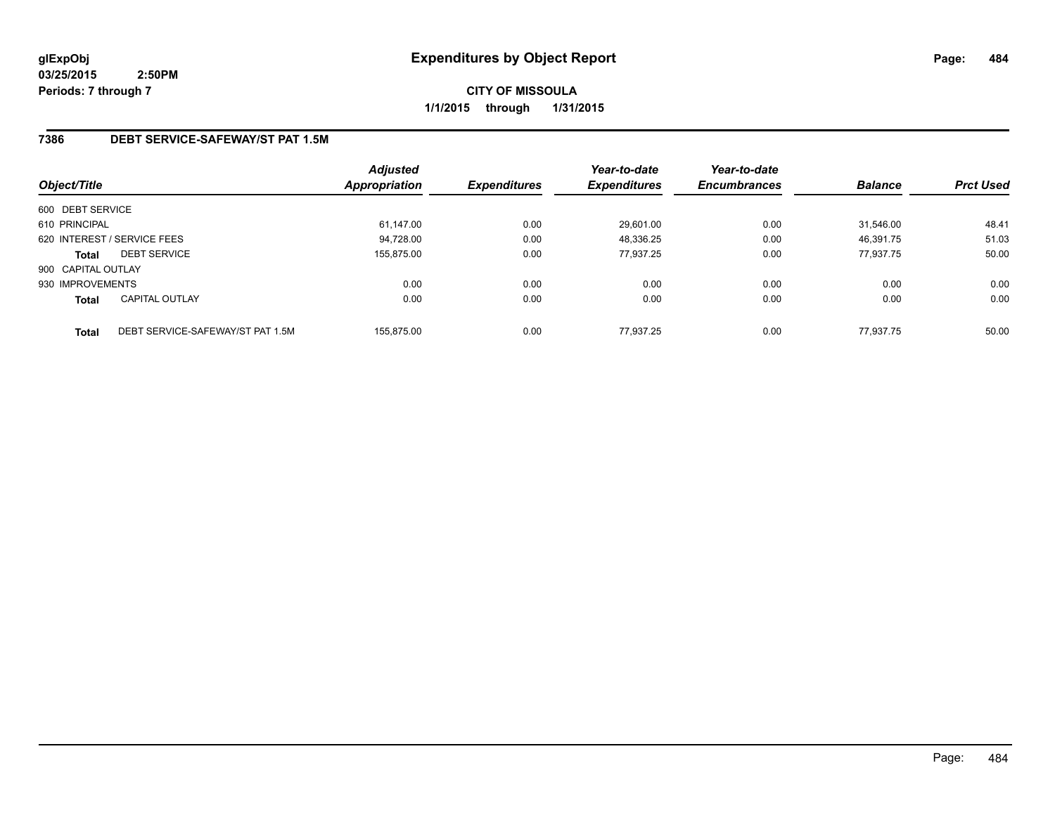**CITY OF MISSOULA 1/1/2015 through 1/31/2015**

# **7386 DEBT SERVICE-SAFEWAY/ST PAT 1.5M**

| Object/Title       |                                  | <b>Adjusted</b><br>Appropriation | <b>Expenditures</b> | Year-to-date<br><b>Expenditures</b> | Year-to-date<br><b>Encumbrances</b> | <b>Balance</b> | <b>Prct Used</b> |
|--------------------|----------------------------------|----------------------------------|---------------------|-------------------------------------|-------------------------------------|----------------|------------------|
| 600 DEBT SERVICE   |                                  |                                  |                     |                                     |                                     |                |                  |
| 610 PRINCIPAL      |                                  | 61,147.00                        | 0.00                | 29,601.00                           | 0.00                                | 31.546.00      | 48.41            |
|                    | 620 INTEREST / SERVICE FEES      | 94,728.00                        | 0.00                | 48,336.25                           | 0.00                                | 46,391.75      | 51.03            |
| <b>Total</b>       | <b>DEBT SERVICE</b>              | 155.875.00                       | 0.00                | 77.937.25                           | 0.00                                | 77.937.75      | 50.00            |
| 900 CAPITAL OUTLAY |                                  |                                  |                     |                                     |                                     |                |                  |
| 930 IMPROVEMENTS   |                                  | 0.00                             | 0.00                | 0.00                                | 0.00                                | 0.00           | 0.00             |
| <b>Total</b>       | <b>CAPITAL OUTLAY</b>            | 0.00                             | 0.00                | 0.00                                | 0.00                                | 0.00           | 0.00             |
| <b>Total</b>       | DEBT SERVICE-SAFEWAY/ST PAT 1.5M | 155.875.00                       | 0.00                | 77.937.25                           | 0.00                                | 77.937.75      | 50.00            |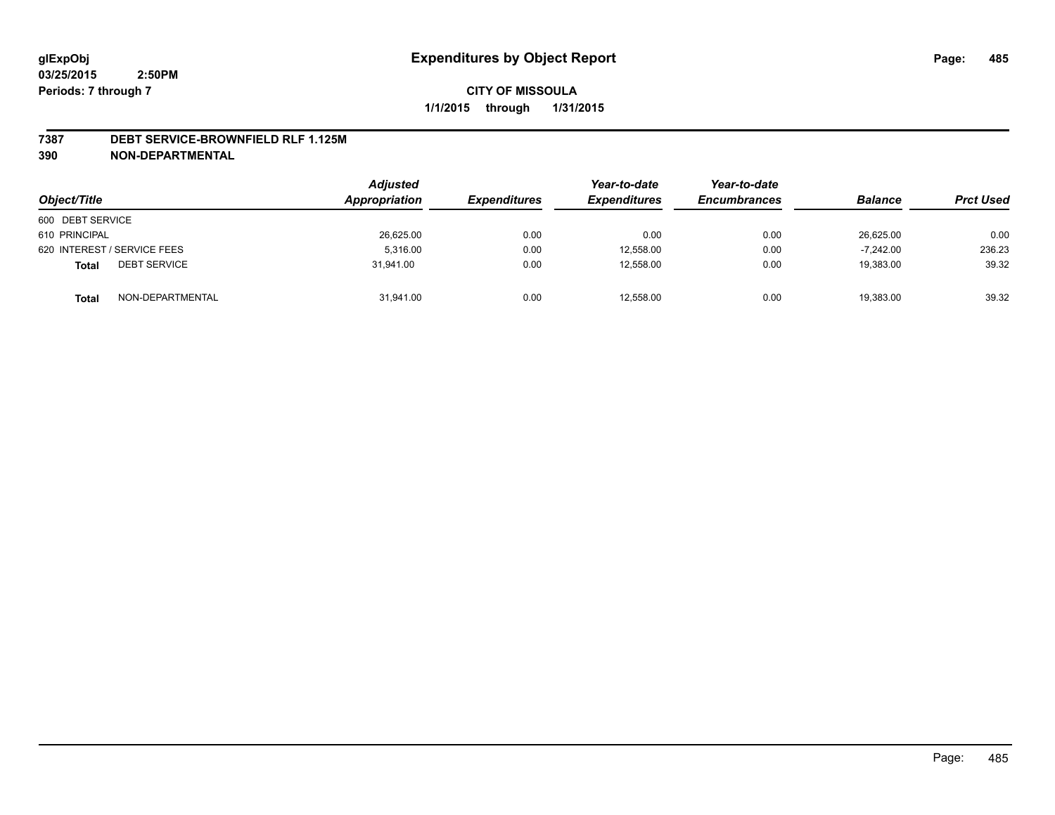#### **7387 DEBT SERVICE-BROWNFIELD RLF 1.125M**

**390 NON-DEPARTMENTAL**

| Object/Title                        | <b>Adjusted</b><br>Appropriation | <i><b>Expenditures</b></i> | Year-to-date<br><b>Expenditures</b> | Year-to-date<br><b>Encumbrances</b> | <b>Balance</b> | <b>Prct Used</b> |
|-------------------------------------|----------------------------------|----------------------------|-------------------------------------|-------------------------------------|----------------|------------------|
| 600 DEBT SERVICE                    |                                  |                            |                                     |                                     |                |                  |
| 610 PRINCIPAL                       | 26,625.00                        | 0.00                       | 0.00                                | 0.00                                | 26.625.00      | 0.00             |
| 620 INTEREST / SERVICE FEES         | 5.316.00                         | 0.00                       | 12,558.00                           | 0.00                                | $-7.242.00$    | 236.23           |
| <b>DEBT SERVICE</b><br><b>Total</b> | 31.941.00                        | 0.00                       | 12.558.00                           | 0.00                                | 19,383.00      | 39.32            |
| NON-DEPARTMENTAL<br><b>Total</b>    | 31,941.00                        | 0.00                       | 12,558.00                           | 0.00                                | 19,383.00      | 39.32            |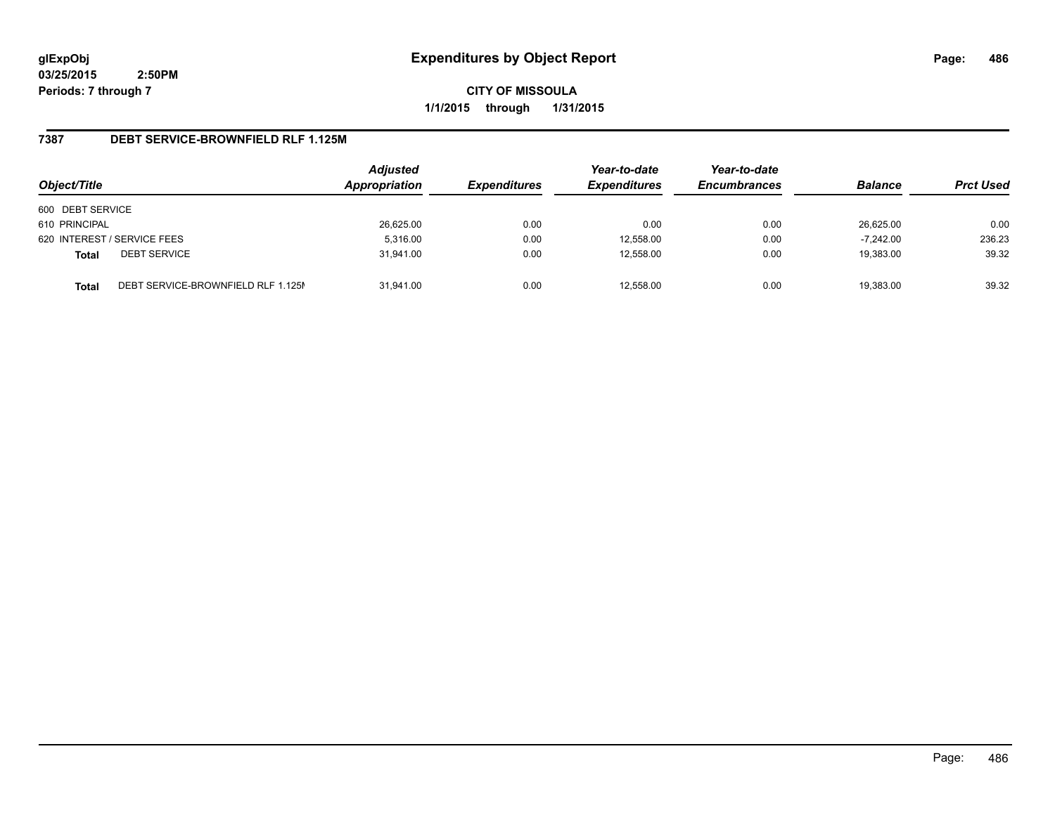**CITY OF MISSOULA 1/1/2015 through 1/31/2015**

# **7387 DEBT SERVICE-BROWNFIELD RLF 1.125M**

| Object/Title                                       | <b>Adjusted</b><br>Appropriation | <b>Expenditures</b> | Year-to-date<br><b>Expenditures</b> | Year-to-date<br><b>Encumbrances</b> | <b>Balance</b> | <b>Prct Used</b> |
|----------------------------------------------------|----------------------------------|---------------------|-------------------------------------|-------------------------------------|----------------|------------------|
| 600 DEBT SERVICE                                   |                                  |                     |                                     |                                     |                |                  |
| 610 PRINCIPAL                                      | 26,625.00                        | 0.00                | 0.00                                | 0.00                                | 26,625.00      | 0.00             |
| 620 INTEREST / SERVICE FEES                        | 5,316.00                         | 0.00                | 12,558.00                           | 0.00                                | $-7.242.00$    | 236.23           |
| <b>DEBT SERVICE</b><br><b>Total</b>                | 31.941.00                        | 0.00                | 12.558.00                           | 0.00                                | 19,383.00      | 39.32            |
| DEBT SERVICE-BROWNFIELD RLF 1.125M<br><b>Total</b> | 31.941.00                        | 0.00                | 12.558.00                           | 0.00                                | 19.383.00      | 39.32            |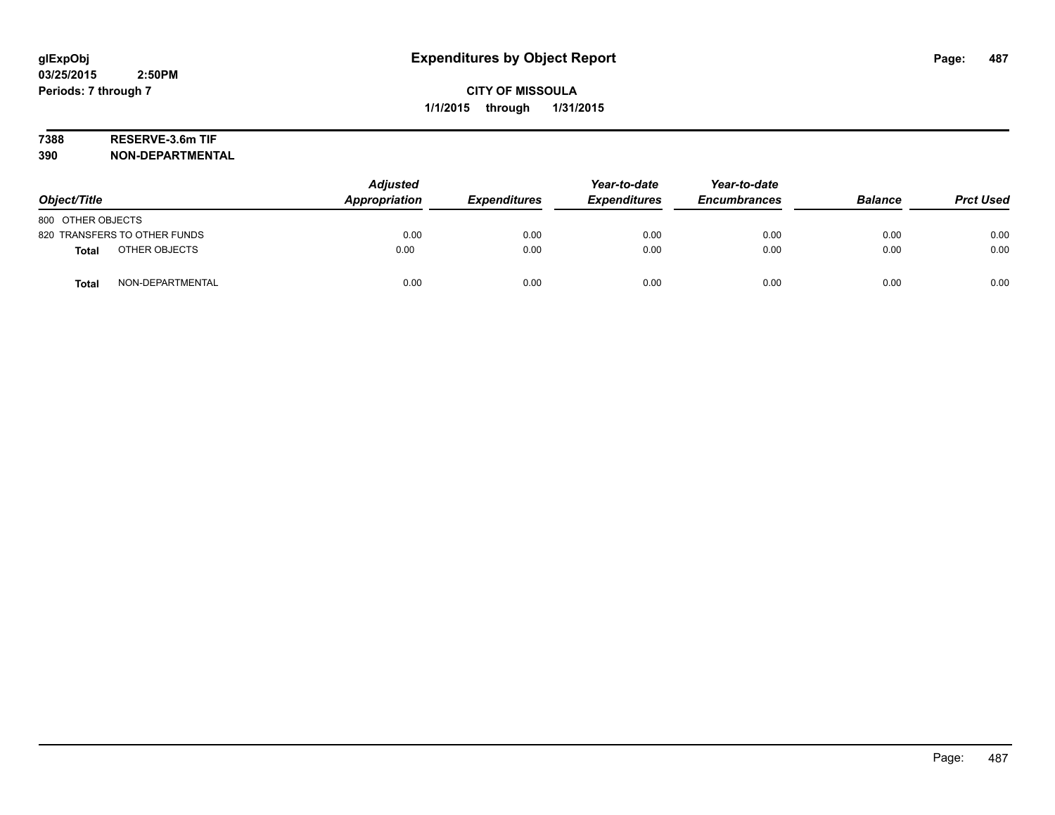# **7388 RESERVE-3.6m TIF**

**390 NON-DEPARTMENTAL**

| Object/Title                     | <b>Adjusted</b><br>Appropriation | <b>Expenditures</b> | Year-to-date<br><b>Expenditures</b> | Year-to-date<br><b>Encumbrances</b> | <b>Balance</b> | <b>Prct Used</b> |
|----------------------------------|----------------------------------|---------------------|-------------------------------------|-------------------------------------|----------------|------------------|
| 800 OTHER OBJECTS                |                                  |                     |                                     |                                     |                |                  |
| 820 TRANSFERS TO OTHER FUNDS     | 0.00                             | 0.00                | 0.00                                | 0.00                                | 0.00           | 0.00             |
| OTHER OBJECTS<br><b>Total</b>    | 0.00                             | 0.00                | 0.00                                | 0.00                                | 0.00           | 0.00             |
| NON-DEPARTMENTAL<br><b>Total</b> | 0.00                             | 0.00                | 0.00                                | 0.00                                | 0.00           | 0.00             |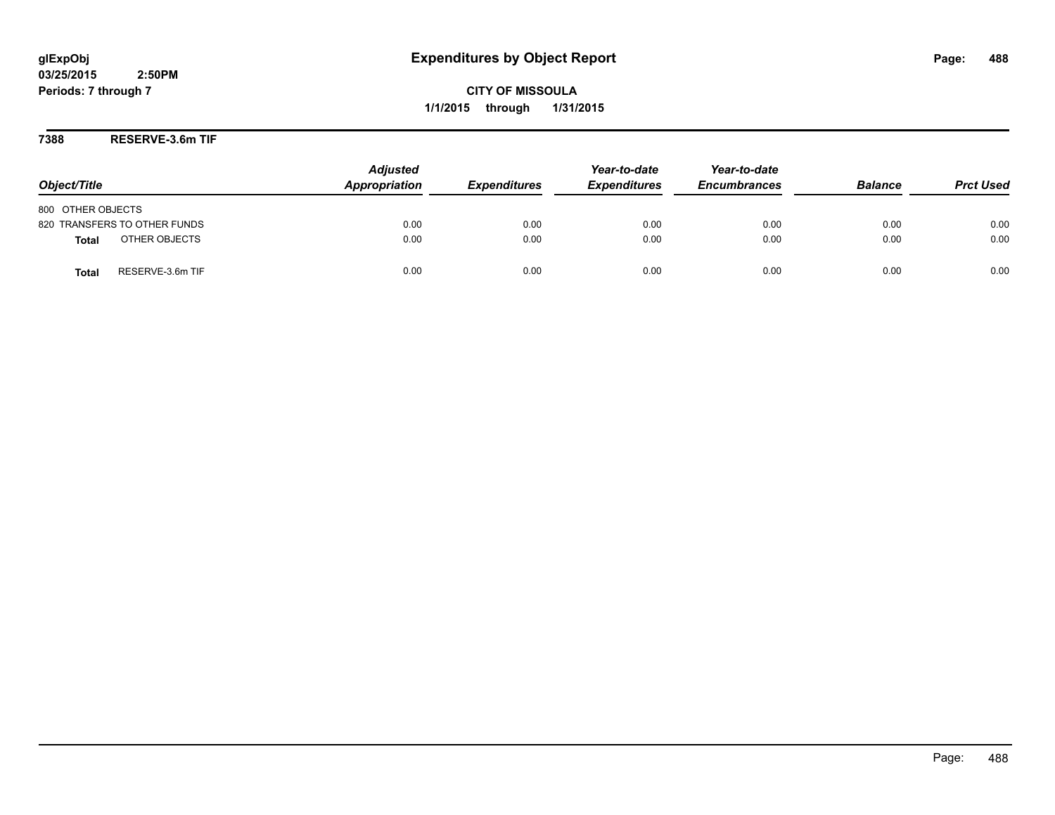**CITY OF MISSOULA 1/1/2015 through 1/31/2015**

**7388 RESERVE-3.6m TIF**

| Object/Title                     | <b>Adjusted</b><br>Appropriation | <b>Expenditures</b> | Year-to-date<br><b>Expenditures</b> | Year-to-date<br><b>Encumbrances</b> | <b>Balance</b> | <b>Prct Used</b> |
|----------------------------------|----------------------------------|---------------------|-------------------------------------|-------------------------------------|----------------|------------------|
| 800 OTHER OBJECTS                |                                  |                     |                                     |                                     |                |                  |
| 820 TRANSFERS TO OTHER FUNDS     | 0.00                             | 0.00                | 0.00                                | 0.00                                | 0.00           | 0.00             |
| OTHER OBJECTS<br><b>Total</b>    | 0.00                             | 0.00                | 0.00                                | 0.00                                | 0.00           | 0.00             |
| RESERVE-3.6m TIF<br><b>Total</b> | 0.00                             | 0.00                | 0.00                                | 0.00                                | 0.00           | 0.00             |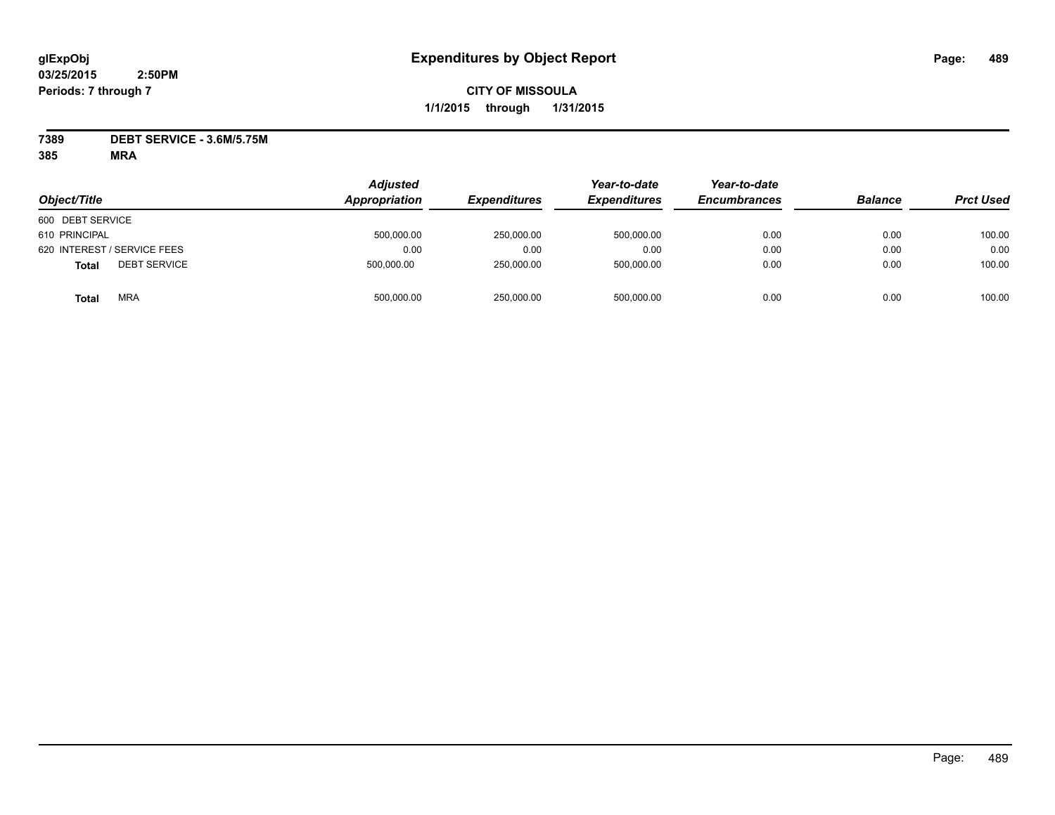# **CITY OF MISSOULA 1/1/2015 through 1/31/2015**

**7389 DEBT SERVICE - 3.6M/5.75M**

| Object/Title                 | <b>Adjusted</b><br>Appropriation | <b>Expenditures</b> | Year-to-date<br><b>Expenditures</b> | Year-to-date<br><b>Encumbrances</b> | <b>Balance</b> | <b>Prct Used</b> |
|------------------------------|----------------------------------|---------------------|-------------------------------------|-------------------------------------|----------------|------------------|
| 600 DEBT SERVICE             |                                  |                     |                                     |                                     |                |                  |
| 610 PRINCIPAL                | 500,000.00                       | 250,000.00          | 500,000.00                          | 0.00                                | 0.00           | 100.00           |
| 620 INTEREST / SERVICE FEES  | 0.00                             | 0.00                | 0.00                                | 0.00                                | 0.00           | 0.00             |
| <b>DEBT SERVICE</b><br>Total | 500.000.00                       | 250,000.00          | 500,000.00                          | 0.00                                | 0.00           | 100.00           |
| <b>MRA</b><br><b>Total</b>   | 500,000.00                       | 250,000.00          | 500.000.00                          | 0.00                                | 0.00           | 100.00           |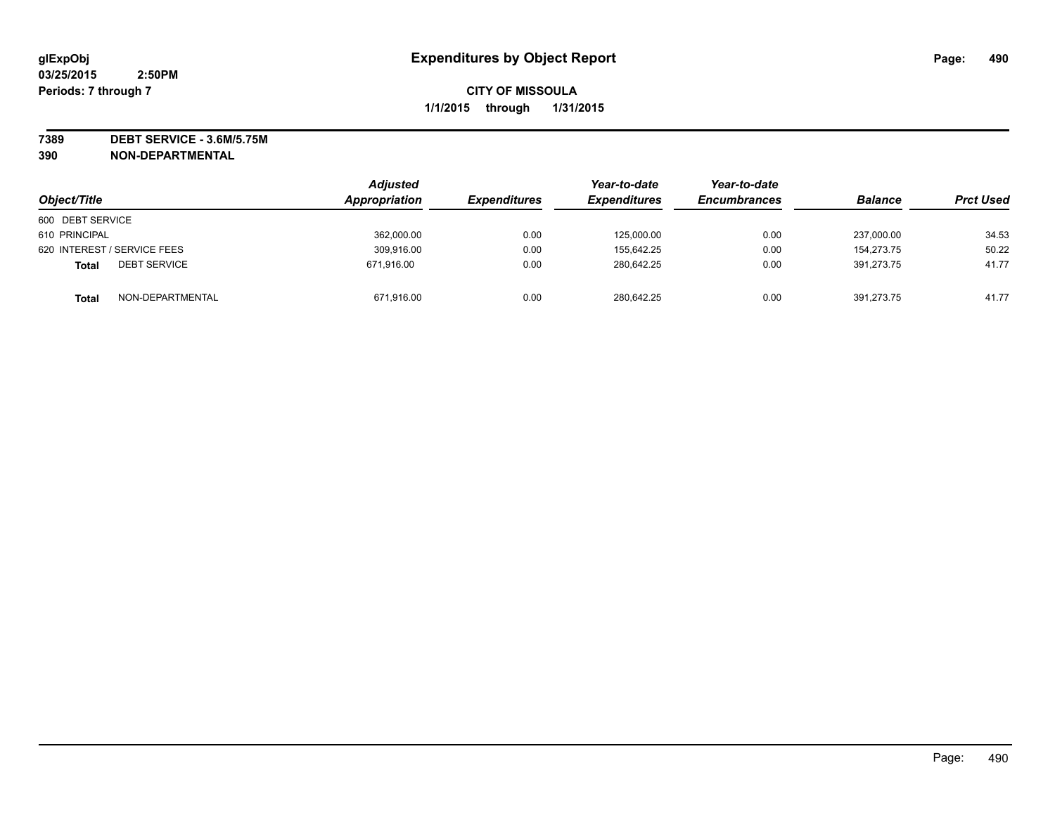**7389 DEBT SERVICE - 3.6M/5.75M 390 NON-DEPARTMENTAL**

| Object/Title                        | <b>Adjusted</b><br>Appropriation | <b>Expenditures</b> | Year-to-date<br><b>Expenditures</b> | Year-to-date<br><b>Encumbrances</b> | <b>Balance</b> | <b>Prct Used</b> |
|-------------------------------------|----------------------------------|---------------------|-------------------------------------|-------------------------------------|----------------|------------------|
| 600 DEBT SERVICE                    |                                  |                     |                                     |                                     |                |                  |
| 610 PRINCIPAL                       | 362,000.00                       | 0.00                | 125,000.00                          | 0.00                                | 237,000.00     | 34.53            |
| 620 INTEREST / SERVICE FEES         | 309,916.00                       | 0.00                | 155.642.25                          | 0.00                                | 154.273.75     | 50.22            |
| <b>DEBT SERVICE</b><br><b>Total</b> | 671,916.00                       | 0.00                | 280.642.25                          | 0.00                                | 391.273.75     | 41.77            |
| NON-DEPARTMENTAL<br><b>Total</b>    | 671,916.00                       | 0.00                | 280,642.25                          | 0.00                                | 391,273.75     | 41.77            |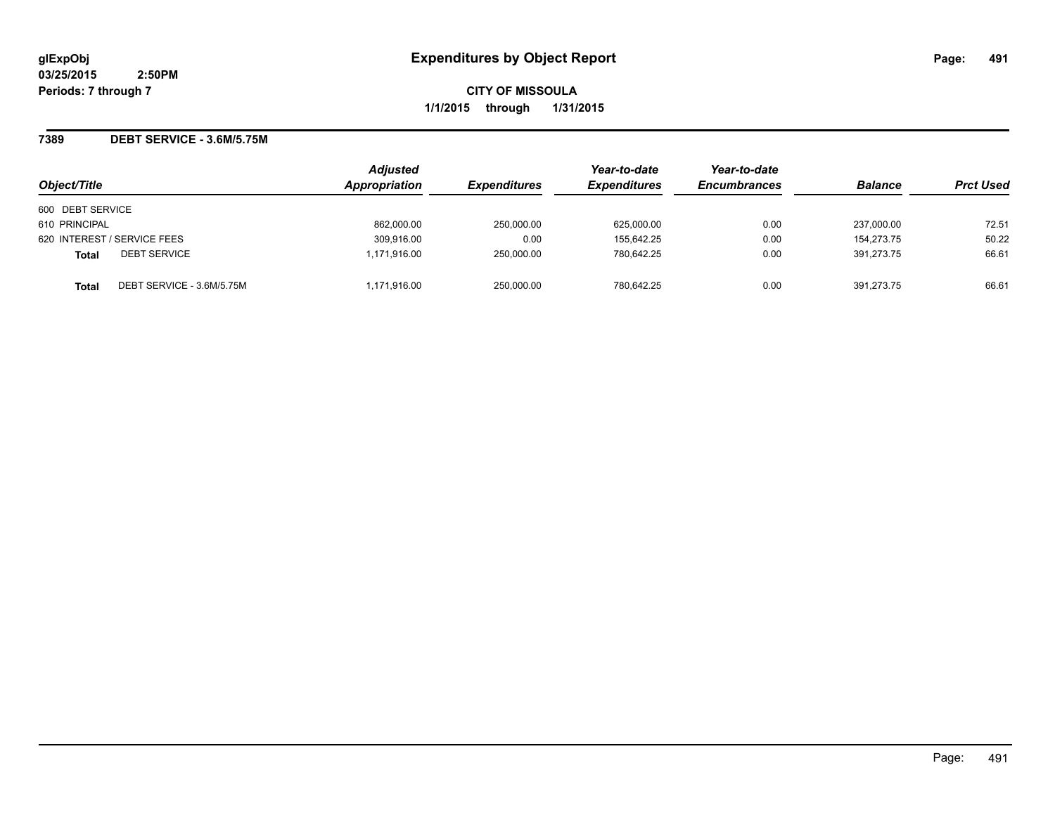### **7389 DEBT SERVICE - 3.6M/5.75M**

| Object/Title                              | <b>Adjusted</b><br>Appropriation | <b>Expenditures</b> | Year-to-date<br><b>Expenditures</b> | Year-to-date<br><b>Encumbrances</b> | <b>Balance</b> | <b>Prct Used</b> |
|-------------------------------------------|----------------------------------|---------------------|-------------------------------------|-------------------------------------|----------------|------------------|
|                                           |                                  |                     |                                     |                                     |                |                  |
| 600 DEBT SERVICE                          |                                  |                     |                                     |                                     |                |                  |
| 610 PRINCIPAL                             | 862,000.00                       | 250,000.00          | 625,000.00                          | 0.00                                | 237,000.00     | 72.51            |
| 620 INTEREST / SERVICE FEES               | 309.916.00                       | 0.00                | 155.642.25                          | 0.00                                | 154.273.75     | 50.22            |
| <b>DEBT SERVICE</b><br><b>Total</b>       | 1.171.916.00                     | 250.000.00          | 780.642.25                          | 0.00                                | 391.273.75     | 66.61            |
| DEBT SERVICE - 3.6M/5.75M<br><b>Total</b> | 1,171,916.00                     | 250,000.00          | 780,642.25                          | 0.00                                | 391.273.75     | 66.61            |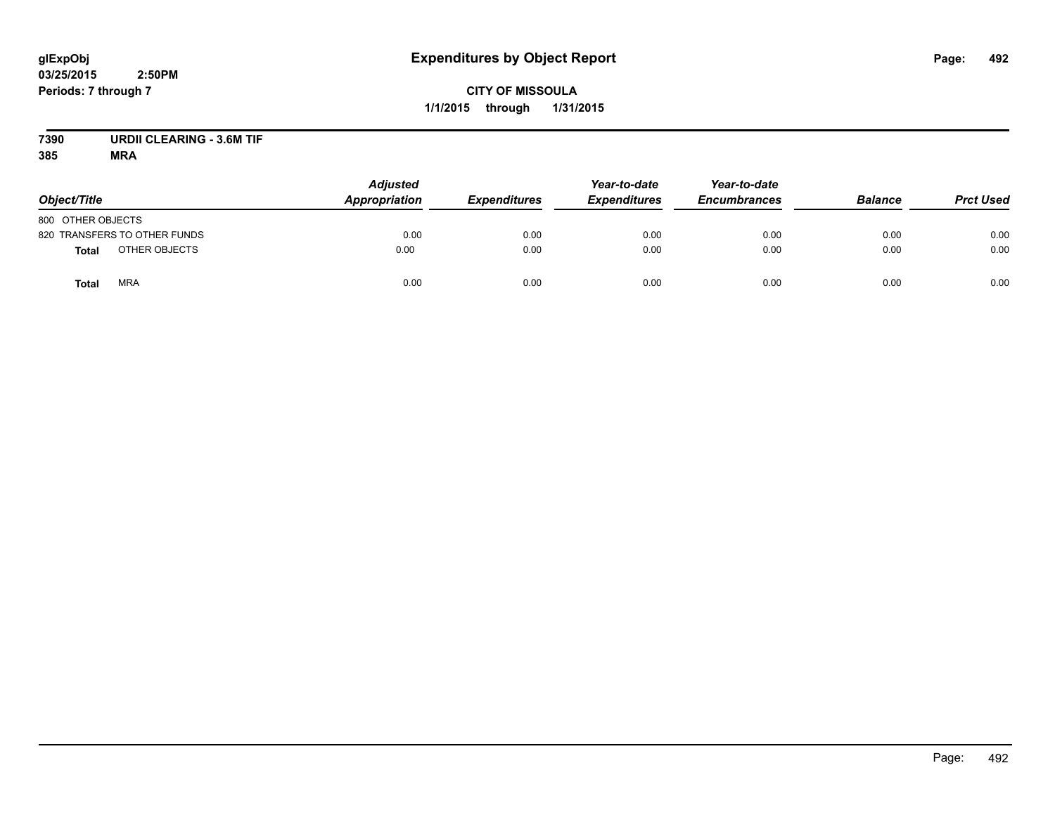# **CITY OF MISSOULA 1/1/2015 through 1/31/2015**

# **7390 URDII CLEARING - 3.6M TIF**

| Object/Title                  | <b>Adjusted</b><br><b>Appropriation</b> | <b>Expenditures</b> | Year-to-date<br><b>Expenditures</b> | Year-to-date<br><b>Encumbrances</b> | <b>Balance</b> | <b>Prct Used</b> |
|-------------------------------|-----------------------------------------|---------------------|-------------------------------------|-------------------------------------|----------------|------------------|
| 800 OTHER OBJECTS             |                                         |                     |                                     |                                     |                |                  |
| 820 TRANSFERS TO OTHER FUNDS  | 0.00                                    | 0.00                | 0.00                                | 0.00                                | 0.00           | 0.00             |
| OTHER OBJECTS<br><b>Total</b> | 0.00                                    | 0.00                | 0.00                                | 0.00                                | 0.00           | 0.00             |
| <b>MRA</b><br><b>Total</b>    | 0.00                                    | 0.00                | 0.00                                | 0.00                                | 0.00           | 0.00             |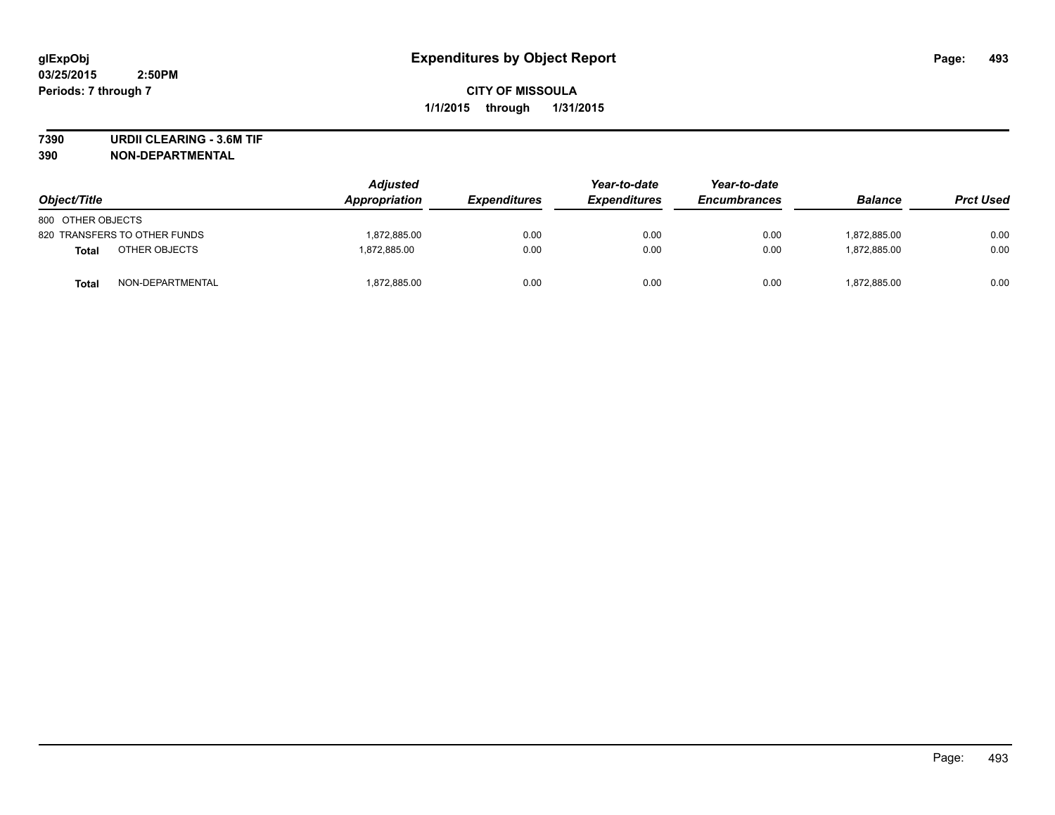**7390 URDII CLEARING - 3.6M TIF**

**390 NON-DEPARTMENTAL**

| Object/Title                 | <b>Adjusted</b><br><b>Appropriation</b> | <b>Expenditures</b> | Year-to-date<br><b>Expenditures</b> | Year-to-date<br><b>Encumbrances</b> | <b>Balance</b> | <b>Prct Used</b> |
|------------------------------|-----------------------------------------|---------------------|-------------------------------------|-------------------------------------|----------------|------------------|
| 800 OTHER OBJECTS            |                                         |                     |                                     |                                     |                |                  |
| 820 TRANSFERS TO OTHER FUNDS | 1,872,885.00                            | 0.00                | 0.00                                | 0.00                                | 1,872,885.00   | 0.00             |
| OTHER OBJECTS<br>Total       | 1.872.885.00                            | 0.00                | 0.00                                | 0.00                                | 1.872.885.00   | 0.00             |
| NON-DEPARTMENTAL<br>Total    | 1,872,885.00                            | 0.00                | 0.00                                | 0.00                                | 1,872,885.00   | 0.00             |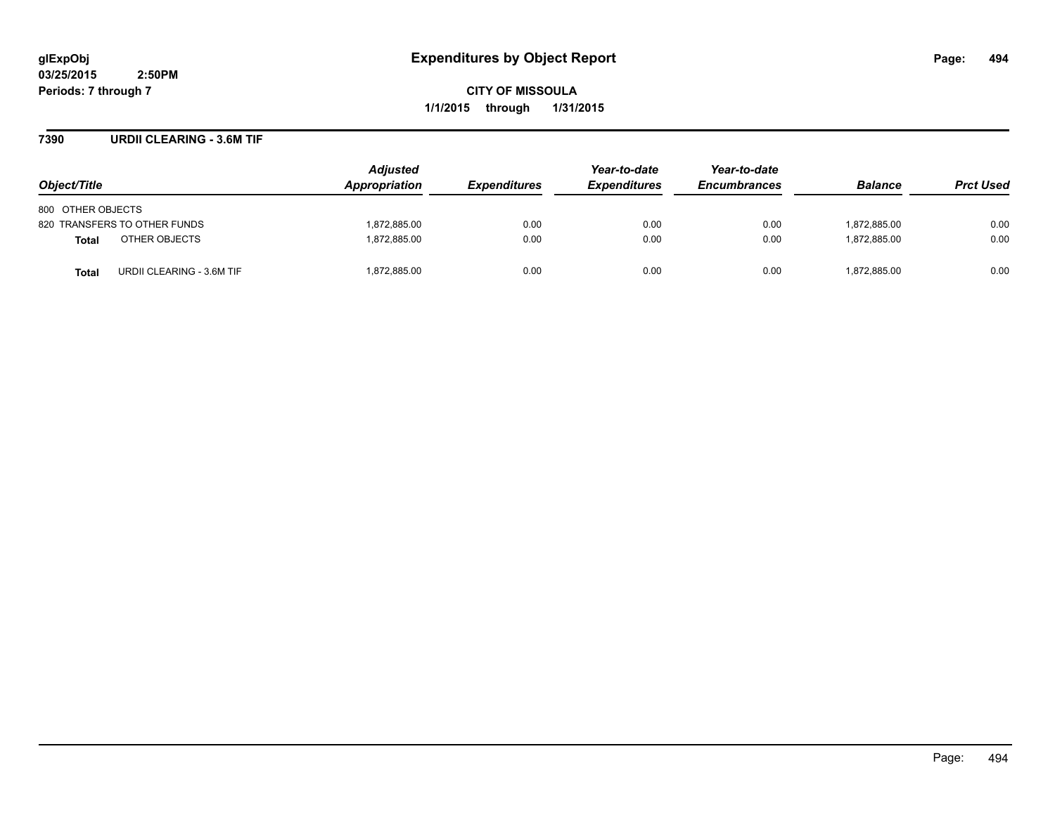**CITY OF MISSOULA 1/1/2015 through 1/31/2015**

### **7390 URDII CLEARING - 3.6M TIF**

| Object/Title                              | <b>Adjusted</b><br>Appropriation | <b>Expenditures</b> | Year-to-date<br><b>Expenditures</b> | Year-to-date<br><b>Encumbrances</b> | <b>Balance</b> | <b>Prct Used</b> |
|-------------------------------------------|----------------------------------|---------------------|-------------------------------------|-------------------------------------|----------------|------------------|
| 800 OTHER OBJECTS                         |                                  |                     |                                     |                                     |                |                  |
| 820 TRANSFERS TO OTHER FUNDS              | 1,872,885.00                     | 0.00                | 0.00                                | 0.00                                | 1,872,885.00   | 0.00             |
| OTHER OBJECTS<br><b>Total</b>             | 1,872,885.00                     | 0.00                | 0.00                                | 0.00                                | 1.872.885.00   | 0.00             |
| URDII CLEARING - 3.6M TIF<br><b>Total</b> | 1,872,885.00                     | 0.00                | 0.00                                | 0.00                                | 1,872,885.00   | 0.00             |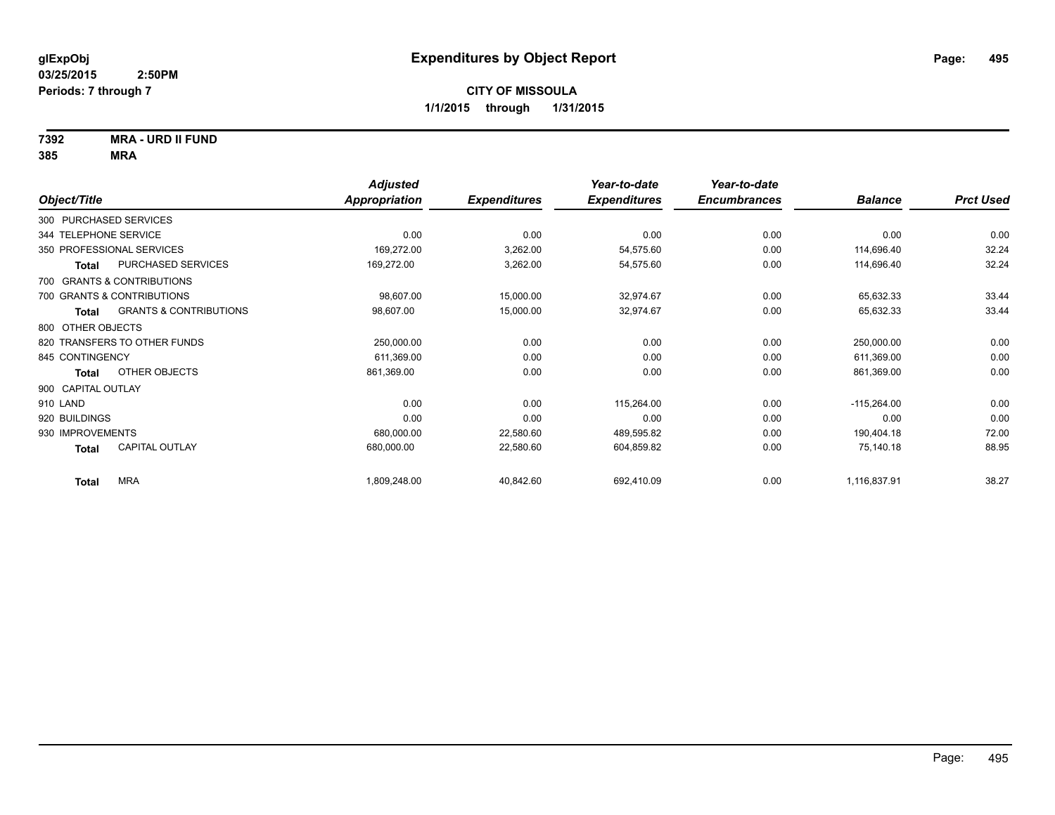**7392 MRA - URD II FUND**

|                           |                                   | <b>Adjusted</b>      |                     | Year-to-date        | Year-to-date        |                |                  |
|---------------------------|-----------------------------------|----------------------|---------------------|---------------------|---------------------|----------------|------------------|
| Object/Title              |                                   | <b>Appropriation</b> | <b>Expenditures</b> | <b>Expenditures</b> | <b>Encumbrances</b> | <b>Balance</b> | <b>Prct Used</b> |
| 300 PURCHASED SERVICES    |                                   |                      |                     |                     |                     |                |                  |
| 344 TELEPHONE SERVICE     |                                   | 0.00                 | 0.00                | 0.00                | 0.00                | 0.00           | 0.00             |
| 350 PROFESSIONAL SERVICES |                                   | 169,272.00           | 3,262.00            | 54,575.60           | 0.00                | 114,696.40     | 32.24            |
| <b>Total</b>              | PURCHASED SERVICES                | 169,272.00           | 3,262.00            | 54,575.60           | 0.00                | 114,696.40     | 32.24            |
|                           | 700 GRANTS & CONTRIBUTIONS        |                      |                     |                     |                     |                |                  |
|                           | 700 GRANTS & CONTRIBUTIONS        | 98,607.00            | 15,000.00           | 32,974.67           | 0.00                | 65,632.33      | 33.44            |
| Total                     | <b>GRANTS &amp; CONTRIBUTIONS</b> | 98,607.00            | 15,000.00           | 32,974.67           | 0.00                | 65,632.33      | 33.44            |
| 800 OTHER OBJECTS         |                                   |                      |                     |                     |                     |                |                  |
|                           | 820 TRANSFERS TO OTHER FUNDS      | 250,000.00           | 0.00                | 0.00                | 0.00                | 250,000.00     | 0.00             |
| 845 CONTINGENCY           |                                   | 611,369.00           | 0.00                | 0.00                | 0.00                | 611,369.00     | 0.00             |
| <b>Total</b>              | OTHER OBJECTS                     | 861,369.00           | 0.00                | 0.00                | 0.00                | 861,369.00     | 0.00             |
| 900 CAPITAL OUTLAY        |                                   |                      |                     |                     |                     |                |                  |
| 910 LAND                  |                                   | 0.00                 | 0.00                | 115,264.00          | 0.00                | $-115,264.00$  | 0.00             |
| 920 BUILDINGS             |                                   | 0.00                 | 0.00                | 0.00                | 0.00                | 0.00           | 0.00             |
| 930 IMPROVEMENTS          |                                   | 680,000.00           | 22,580.60           | 489,595.82          | 0.00                | 190,404.18     | 72.00            |
| <b>Total</b>              | CAPITAL OUTLAY                    | 680,000.00           | 22,580.60           | 604,859.82          | 0.00                | 75,140.18      | 88.95            |
| <b>Total</b>              | <b>MRA</b>                        | 1,809,248.00         | 40,842.60           | 692,410.09          | 0.00                | 1,116,837.91   | 38.27            |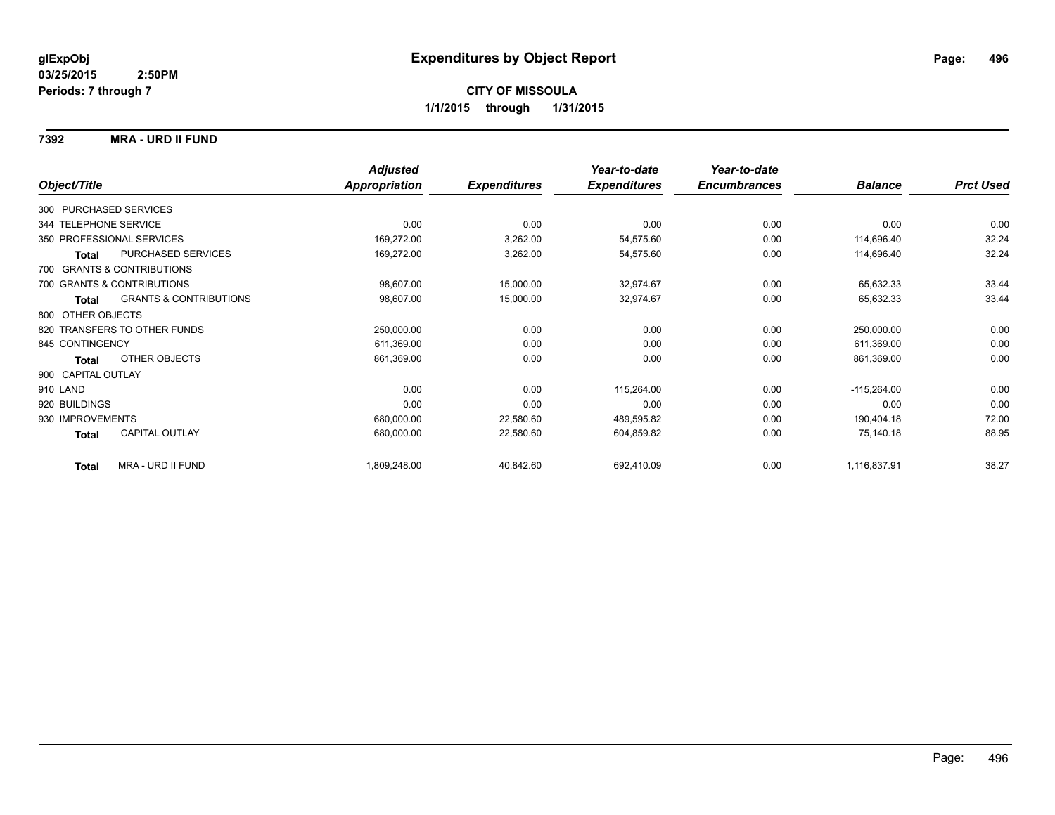### **7392 MRA - URD II FUND**

|                                                   | <b>Adjusted</b>      |                     | Year-to-date        | Year-to-date        |                |                  |
|---------------------------------------------------|----------------------|---------------------|---------------------|---------------------|----------------|------------------|
| Object/Title                                      | <b>Appropriation</b> | <b>Expenditures</b> | <b>Expenditures</b> | <b>Encumbrances</b> | <b>Balance</b> | <b>Prct Used</b> |
| 300 PURCHASED SERVICES                            |                      |                     |                     |                     |                |                  |
| 344 TELEPHONE SERVICE                             | 0.00                 | 0.00                | 0.00                | 0.00                | 0.00           | 0.00             |
| 350 PROFESSIONAL SERVICES                         | 169,272.00           | 3,262.00            | 54,575.60           | 0.00                | 114,696.40     | 32.24            |
| <b>PURCHASED SERVICES</b><br><b>Total</b>         | 169,272.00           | 3,262.00            | 54,575.60           | 0.00                | 114,696.40     | 32.24            |
| 700 GRANTS & CONTRIBUTIONS                        |                      |                     |                     |                     |                |                  |
| 700 GRANTS & CONTRIBUTIONS                        | 98,607.00            | 15,000.00           | 32,974.67           | 0.00                | 65,632.33      | 33.44            |
| <b>GRANTS &amp; CONTRIBUTIONS</b><br><b>Total</b> | 98,607.00            | 15,000.00           | 32,974.67           | 0.00                | 65,632.33      | 33.44            |
| 800 OTHER OBJECTS                                 |                      |                     |                     |                     |                |                  |
| 820 TRANSFERS TO OTHER FUNDS                      | 250,000.00           | 0.00                | 0.00                | 0.00                | 250,000.00     | 0.00             |
| 845 CONTINGENCY                                   | 611,369.00           | 0.00                | 0.00                | 0.00                | 611,369.00     | 0.00             |
| OTHER OBJECTS<br>Total                            | 861,369.00           | 0.00                | 0.00                | 0.00                | 861,369.00     | 0.00             |
| 900 CAPITAL OUTLAY                                |                      |                     |                     |                     |                |                  |
| 910 LAND                                          | 0.00                 | 0.00                | 115,264.00          | 0.00                | $-115,264.00$  | 0.00             |
| 920 BUILDINGS                                     | 0.00                 | 0.00                | 0.00                | 0.00                | 0.00           | 0.00             |
| 930 IMPROVEMENTS                                  | 680,000.00           | 22,580.60           | 489,595.82          | 0.00                | 190,404.18     | 72.00            |
| <b>CAPITAL OUTLAY</b><br>Total                    | 680,000.00           | 22,580.60           | 604,859.82          | 0.00                | 75,140.18      | 88.95            |
| <b>MRA - URD II FUND</b><br><b>Total</b>          | 1,809,248.00         | 40,842.60           | 692,410.09          | 0.00                | 1,116,837.91   | 38.27            |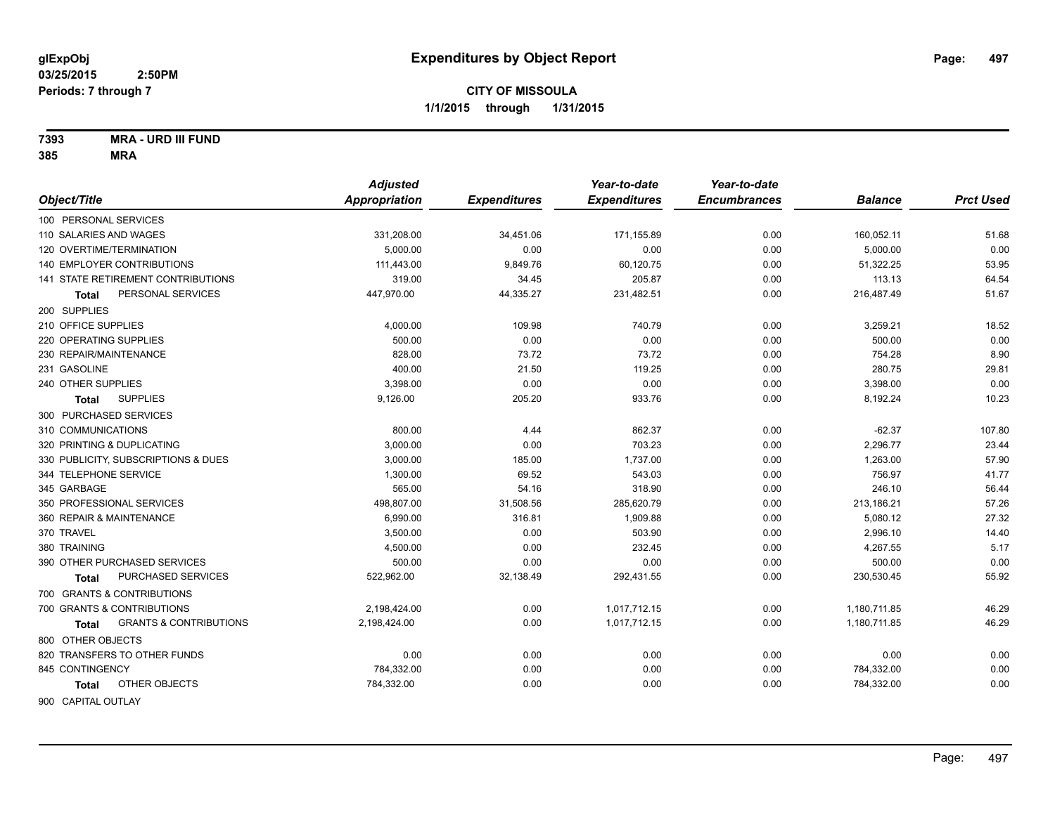**7393 MRA - URD III FUND**

|                                                   | <b>Adjusted</b>      |                     | Year-to-date        | Year-to-date        |                |                  |
|---------------------------------------------------|----------------------|---------------------|---------------------|---------------------|----------------|------------------|
| Object/Title                                      | <b>Appropriation</b> | <b>Expenditures</b> | <b>Expenditures</b> | <b>Encumbrances</b> | <b>Balance</b> | <b>Prct Used</b> |
| 100 PERSONAL SERVICES                             |                      |                     |                     |                     |                |                  |
| 110 SALARIES AND WAGES                            | 331,208.00           | 34,451.06           | 171,155.89          | 0.00                | 160,052.11     | 51.68            |
| 120 OVERTIME/TERMINATION                          | 5.000.00             | 0.00                | 0.00                | 0.00                | 5,000.00       | 0.00             |
| <b>140 EMPLOYER CONTRIBUTIONS</b>                 | 111,443.00           | 9,849.76            | 60,120.75           | 0.00                | 51,322.25      | 53.95            |
| 141 STATE RETIREMENT CONTRIBUTIONS                | 319.00               | 34.45               | 205.87              | 0.00                | 113.13         | 64.54            |
| PERSONAL SERVICES<br>Total                        | 447,970.00           | 44,335.27           | 231,482.51          | 0.00                | 216,487.49     | 51.67            |
| 200 SUPPLIES                                      |                      |                     |                     |                     |                |                  |
| 210 OFFICE SUPPLIES                               | 4,000.00             | 109.98              | 740.79              | 0.00                | 3,259.21       | 18.52            |
| 220 OPERATING SUPPLIES                            | 500.00               | 0.00                | 0.00                | 0.00                | 500.00         | 0.00             |
| 230 REPAIR/MAINTENANCE                            | 828.00               | 73.72               | 73.72               | 0.00                | 754.28         | 8.90             |
| 231 GASOLINE                                      | 400.00               | 21.50               | 119.25              | 0.00                | 280.75         | 29.81            |
| 240 OTHER SUPPLIES                                | 3,398.00             | 0.00                | 0.00                | 0.00                | 3,398.00       | 0.00             |
| <b>SUPPLIES</b><br><b>Total</b>                   | 9,126.00             | 205.20              | 933.76              | 0.00                | 8,192.24       | 10.23            |
| 300 PURCHASED SERVICES                            |                      |                     |                     |                     |                |                  |
| 310 COMMUNICATIONS                                | 800.00               | 4.44                | 862.37              | 0.00                | $-62.37$       | 107.80           |
| 320 PRINTING & DUPLICATING                        | 3,000.00             | 0.00                | 703.23              | 0.00                | 2,296.77       | 23.44            |
| 330 PUBLICITY, SUBSCRIPTIONS & DUES               | 3,000.00             | 185.00              | 1,737.00            | 0.00                | 1,263.00       | 57.90            |
| 344 TELEPHONE SERVICE                             | 1,300.00             | 69.52               | 543.03              | 0.00                | 756.97         | 41.77            |
| 345 GARBAGE                                       | 565.00               | 54.16               | 318.90              | 0.00                | 246.10         | 56.44            |
| 350 PROFESSIONAL SERVICES                         | 498,807.00           | 31,508.56           | 285,620.79          | 0.00                | 213,186.21     | 57.26            |
| 360 REPAIR & MAINTENANCE                          | 6,990.00             | 316.81              | 1,909.88            | 0.00                | 5,080.12       | 27.32            |
| 370 TRAVEL                                        | 3,500.00             | 0.00                | 503.90              | 0.00                | 2,996.10       | 14.40            |
| 380 TRAINING                                      | 4,500.00             | 0.00                | 232.45              | 0.00                | 4,267.55       | 5.17             |
| 390 OTHER PURCHASED SERVICES                      | 500.00               | 0.00                | 0.00                | 0.00                | 500.00         | 0.00             |
| PURCHASED SERVICES<br>Total                       | 522,962.00           | 32,138.49           | 292,431.55          | 0.00                | 230,530.45     | 55.92            |
| 700 GRANTS & CONTRIBUTIONS                        |                      |                     |                     |                     |                |                  |
| 700 GRANTS & CONTRIBUTIONS                        | 2,198,424.00         | 0.00                | 1,017,712.15        | 0.00                | 1,180,711.85   | 46.29            |
| <b>GRANTS &amp; CONTRIBUTIONS</b><br><b>Total</b> | 2,198,424.00         | 0.00                | 1,017,712.15        | 0.00                | 1,180,711.85   | 46.29            |
| 800 OTHER OBJECTS                                 |                      |                     |                     |                     |                |                  |
| 820 TRANSFERS TO OTHER FUNDS                      | 0.00                 | 0.00                | 0.00                | 0.00                | 0.00           | 0.00             |
| 845 CONTINGENCY                                   | 784,332.00           | 0.00                | 0.00                | 0.00                | 784,332.00     | 0.00             |
| OTHER OBJECTS<br>Total                            | 784,332.00           | 0.00                | 0.00                | 0.00                | 784,332.00     | 0.00             |
|                                                   |                      |                     |                     |                     |                |                  |
| 900 CAPITAL OUTLAY                                |                      |                     |                     |                     |                |                  |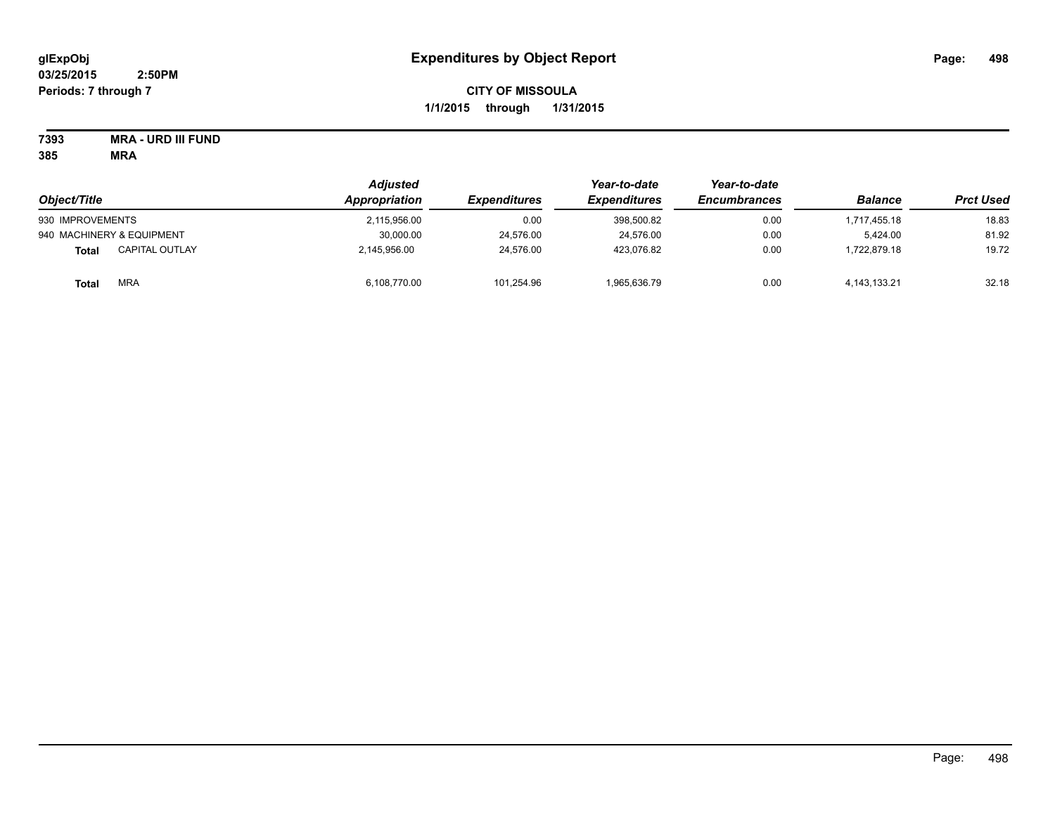# **CITY OF MISSOULA 1/1/2015 through 1/31/2015**

# **7393 MRA - URD III FUND**

|                                | <b>Adjusted</b> |                            | Year-to-date<br><b>Expenditures</b> | Year-to-date<br><b>Encumbrances</b> | <b>Balance</b>  | <b>Prct Used</b> |
|--------------------------------|-----------------|----------------------------|-------------------------------------|-------------------------------------|-----------------|------------------|
| Object/Title                   | Appropriation   | <i><b>Expenditures</b></i> |                                     |                                     |                 |                  |
| 930 IMPROVEMENTS               | 2,115,956.00    | 0.00                       | 398,500.82                          | 0.00                                | 1.717.455.18    | 18.83            |
| 940 MACHINERY & EQUIPMENT      | 30,000.00       | 24,576.00                  | 24,576.00                           | 0.00                                | 5.424.00        | 81.92            |
| <b>CAPITAL OUTLAY</b><br>Total | 2,145,956.00    | 24.576.00                  | 423.076.82                          | 0.00                                | .722.879.18     | 19.72            |
| <b>MRA</b><br><b>Total</b>     | 6,108,770.00    | 101,254.96                 | 1,965,636.79                        | 0.00                                | 4, 143, 133. 21 | 32.18            |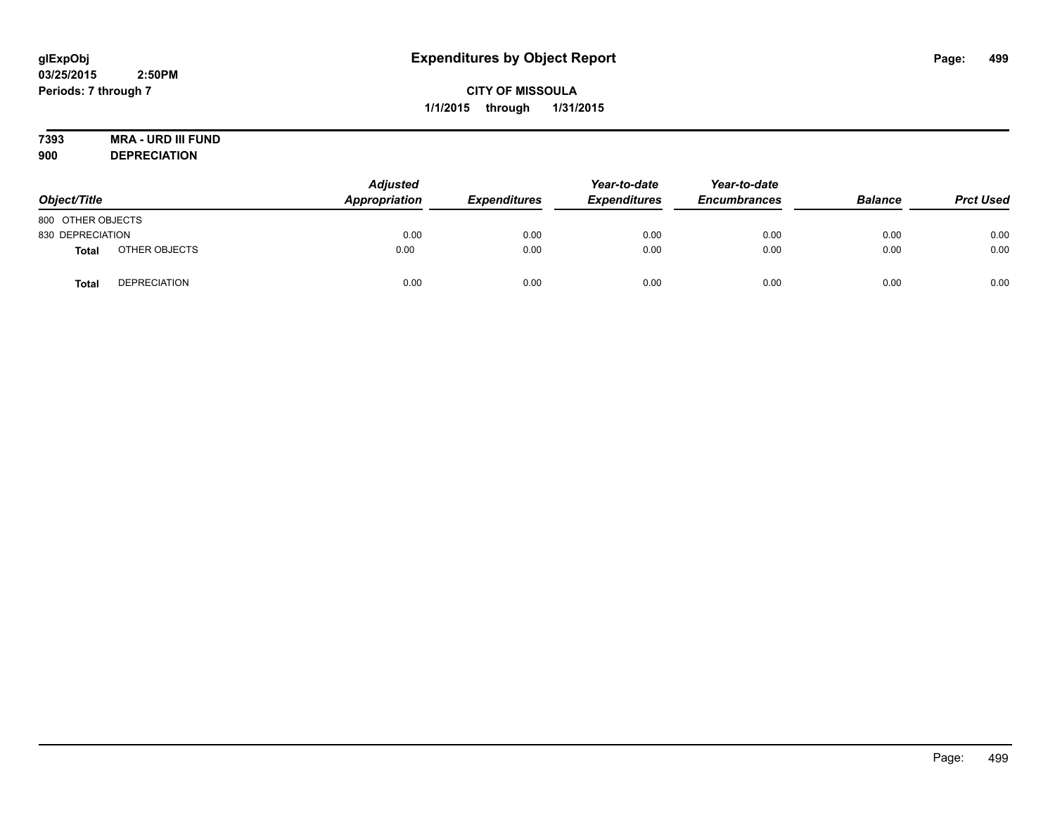# **7393 MRA - URD III FUND**

**900 DEPRECIATION**

| Object/Title      |                     | <b>Adjusted</b><br>Appropriation | <b>Expenditures</b> | Year-to-date<br><b>Expenditures</b> | Year-to-date<br><b>Encumbrances</b> | <b>Balance</b> | <b>Prct Used</b> |
|-------------------|---------------------|----------------------------------|---------------------|-------------------------------------|-------------------------------------|----------------|------------------|
| 800 OTHER OBJECTS |                     |                                  |                     |                                     |                                     |                |                  |
| 830 DEPRECIATION  |                     | 0.00                             | 0.00                | 0.00                                | 0.00                                | 0.00           | 0.00             |
| <b>Total</b>      | OTHER OBJECTS       | 0.00                             | 0.00                | 0.00                                | 0.00                                | 0.00           | 0.00             |
| Tota              | <b>DEPRECIATION</b> | 0.00                             | 0.00                | 0.00                                | 0.00                                | 0.00           | 0.00             |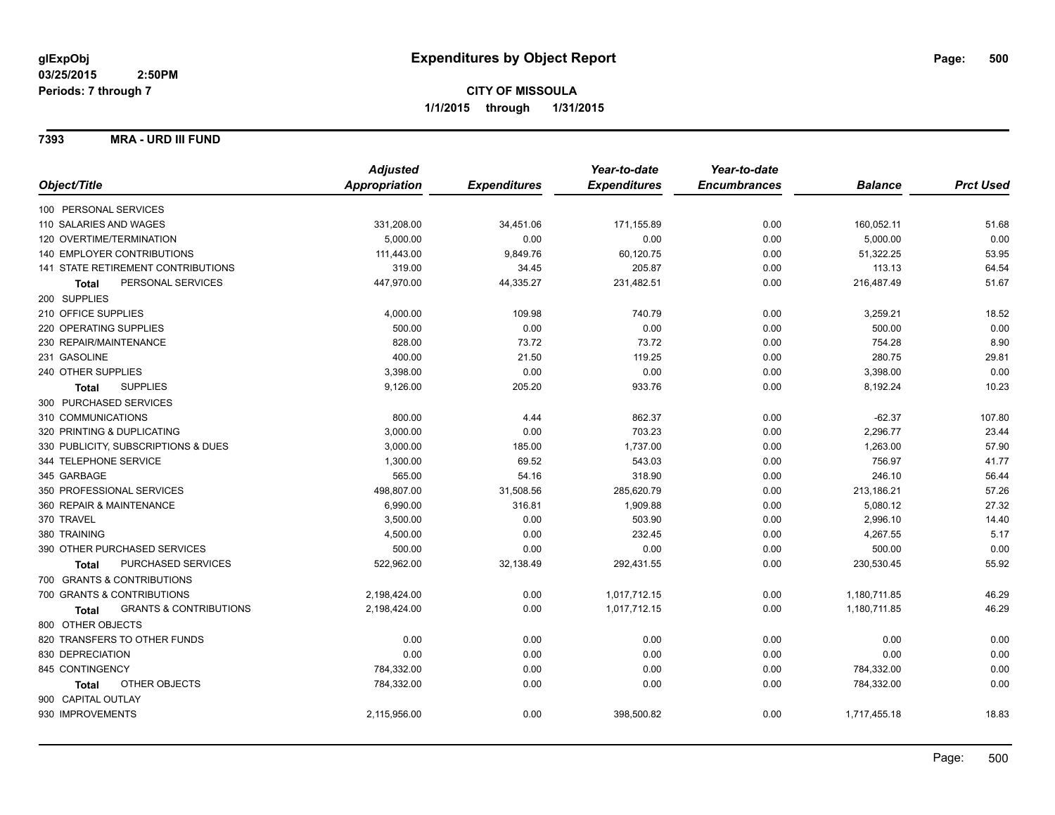**7393 MRA - URD III FUND**

|                                            | <b>Adjusted</b> |                     | Year-to-date        | Year-to-date        |                |                  |
|--------------------------------------------|-----------------|---------------------|---------------------|---------------------|----------------|------------------|
| Object/Title                               | Appropriation   | <b>Expenditures</b> | <b>Expenditures</b> | <b>Encumbrances</b> | <b>Balance</b> | <b>Prct Used</b> |
| 100 PERSONAL SERVICES                      |                 |                     |                     |                     |                |                  |
| 110 SALARIES AND WAGES                     | 331,208.00      | 34,451.06           | 171,155.89          | 0.00                | 160,052.11     | 51.68            |
| 120 OVERTIME/TERMINATION                   | 5,000.00        | 0.00                | 0.00                | 0.00                | 5,000.00       | 0.00             |
| 140 EMPLOYER CONTRIBUTIONS                 | 111,443.00      | 9,849.76            | 60,120.75           | 0.00                | 51,322.25      | 53.95            |
| 141 STATE RETIREMENT CONTRIBUTIONS         | 319.00          | 34.45               | 205.87              | 0.00                | 113.13         | 64.54            |
| PERSONAL SERVICES<br>Total                 | 447,970.00      | 44,335.27           | 231,482.51          | 0.00                | 216,487.49     | 51.67            |
| 200 SUPPLIES                               |                 |                     |                     |                     |                |                  |
| 210 OFFICE SUPPLIES                        | 4,000.00        | 109.98              | 740.79              | 0.00                | 3,259.21       | 18.52            |
| 220 OPERATING SUPPLIES                     | 500.00          | 0.00                | 0.00                | 0.00                | 500.00         | 0.00             |
| 230 REPAIR/MAINTENANCE                     | 828.00          | 73.72               | 73.72               | 0.00                | 754.28         | 8.90             |
| 231 GASOLINE                               | 400.00          | 21.50               | 119.25              | 0.00                | 280.75         | 29.81            |
| 240 OTHER SUPPLIES                         | 3,398.00        | 0.00                | 0.00                | 0.00                | 3,398.00       | 0.00             |
| <b>SUPPLIES</b><br><b>Total</b>            | 9,126.00        | 205.20              | 933.76              | 0.00                | 8,192.24       | 10.23            |
| 300 PURCHASED SERVICES                     |                 |                     |                     |                     |                |                  |
| 310 COMMUNICATIONS                         | 800.00          | 4.44                | 862.37              | 0.00                | $-62.37$       | 107.80           |
| 320 PRINTING & DUPLICATING                 | 3,000.00        | 0.00                | 703.23              | 0.00                | 2,296.77       | 23.44            |
| 330 PUBLICITY, SUBSCRIPTIONS & DUES        | 3,000.00        | 185.00              | 1,737.00            | 0.00                | 1,263.00       | 57.90            |
| 344 TELEPHONE SERVICE                      | 1,300.00        | 69.52               | 543.03              | 0.00                | 756.97         | 41.77            |
| 345 GARBAGE                                | 565.00          | 54.16               | 318.90              | 0.00                | 246.10         | 56.44            |
| 350 PROFESSIONAL SERVICES                  | 498,807.00      | 31,508.56           | 285,620.79          | 0.00                | 213,186.21     | 57.26            |
| 360 REPAIR & MAINTENANCE                   | 6,990.00        | 316.81              | 1,909.88            | 0.00                | 5,080.12       | 27.32            |
| 370 TRAVEL                                 | 3,500.00        | 0.00                | 503.90              | 0.00                | 2,996.10       | 14.40            |
| 380 TRAINING                               | 4,500.00        | 0.00                | 232.45              | 0.00                | 4,267.55       | 5.17             |
| 390 OTHER PURCHASED SERVICES               | 500.00          | 0.00                | 0.00                | 0.00                | 500.00         | 0.00             |
| PURCHASED SERVICES<br><b>Total</b>         | 522,962.00      | 32,138.49           | 292,431.55          | 0.00                | 230,530.45     | 55.92            |
| 700 GRANTS & CONTRIBUTIONS                 |                 |                     |                     |                     |                |                  |
| 700 GRANTS & CONTRIBUTIONS                 | 2,198,424.00    | 0.00                | 1,017,712.15        | 0.00                | 1,180,711.85   | 46.29            |
| <b>GRANTS &amp; CONTRIBUTIONS</b><br>Total | 2,198,424.00    | 0.00                | 1,017,712.15        | 0.00                | 1,180,711.85   | 46.29            |
| 800 OTHER OBJECTS                          |                 |                     |                     |                     |                |                  |
| 820 TRANSFERS TO OTHER FUNDS               | 0.00            | 0.00                | 0.00                | 0.00                | 0.00           | 0.00             |
| 830 DEPRECIATION                           | 0.00            | 0.00                | 0.00                | 0.00                | 0.00           | 0.00             |
| 845 CONTINGENCY                            | 784,332.00      | 0.00                | 0.00                | 0.00                | 784,332.00     | 0.00             |
| OTHER OBJECTS<br>Total                     | 784,332.00      | 0.00                | 0.00                | 0.00                | 784,332.00     | 0.00             |
| 900 CAPITAL OUTLAY                         |                 |                     |                     |                     |                |                  |
| 930 IMPROVEMENTS                           | 2,115,956.00    | 0.00                | 398,500.82          | 0.00                | 1,717,455.18   | 18.83            |
|                                            |                 |                     |                     |                     |                |                  |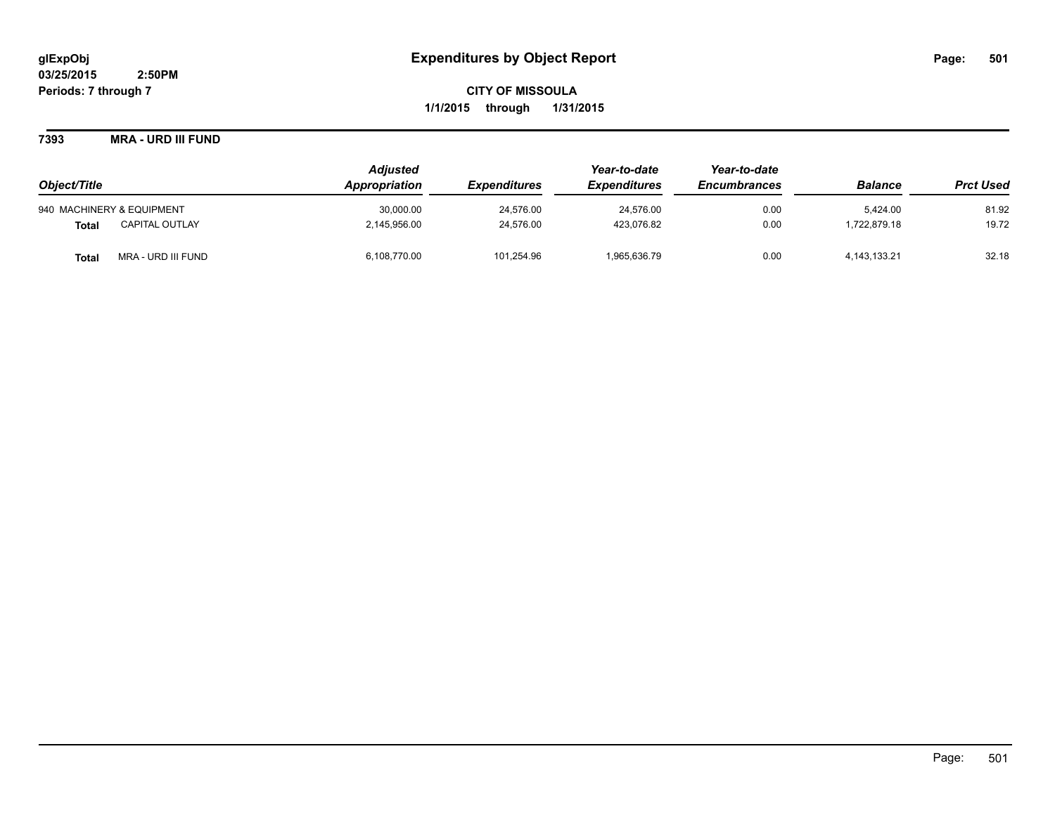### **7393 MRA - URD III FUND**

|                                       | <b>Adjusted</b> |                            | Year-to-date               | Year-to-date        |                 |                  |
|---------------------------------------|-----------------|----------------------------|----------------------------|---------------------|-----------------|------------------|
| Object/Title                          | Appropriation   | <i><b>Expenditures</b></i> | <i><b>Expenditures</b></i> | <b>Encumbrances</b> | <b>Balance</b>  | <b>Prct Used</b> |
| 940 MACHINERY & EQUIPMENT             | 30,000.00       | 24,576.00                  | 24,576.00                  | 0.00                | 5.424.00        | 81.92            |
| <b>CAPITAL OUTLAY</b><br><b>Total</b> | 2,145,956.00    | 24,576.00                  | 423,076.82                 | 0.00                | .722.879.18     | 19.72            |
| MRA - URD III FUND<br><b>Total</b>    | 6,108,770.00    | 101.254.96                 | 1,965,636.79               | 0.00                | 4, 143, 133. 21 | 32.18            |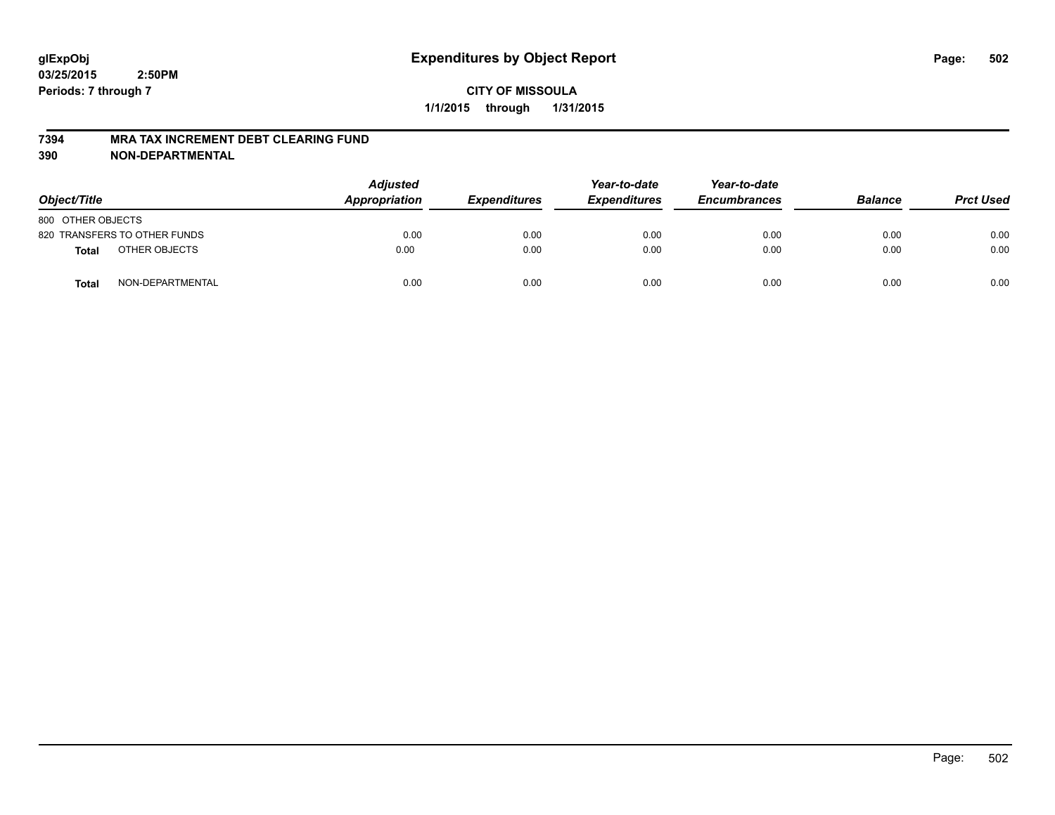#### **7394 MRA TAX INCREMENT DEBT CLEARING FUND**

**390 NON-DEPARTMENTAL**

| Object/Title      |                              | <b>Adjusted</b><br>Appropriation | <b>Expenditures</b> | Year-to-date<br><b>Expenditures</b> | Year-to-date<br><b>Encumbrances</b> | <b>Balance</b> | <b>Prct Used</b> |
|-------------------|------------------------------|----------------------------------|---------------------|-------------------------------------|-------------------------------------|----------------|------------------|
| 800 OTHER OBJECTS |                              |                                  |                     |                                     |                                     |                |                  |
|                   | 820 TRANSFERS TO OTHER FUNDS | 0.00                             | 0.00                | 0.00                                | 0.00                                | 0.00           | 0.00             |
| <b>Total</b>      | OTHER OBJECTS                | 0.00                             | 0.00                | 0.00                                | 0.00                                | 0.00           | 0.00             |
| <b>Total</b>      | NON-DEPARTMENTAL             | 0.00                             | 0.00                | 0.00                                | 0.00                                | 0.00           | 0.00             |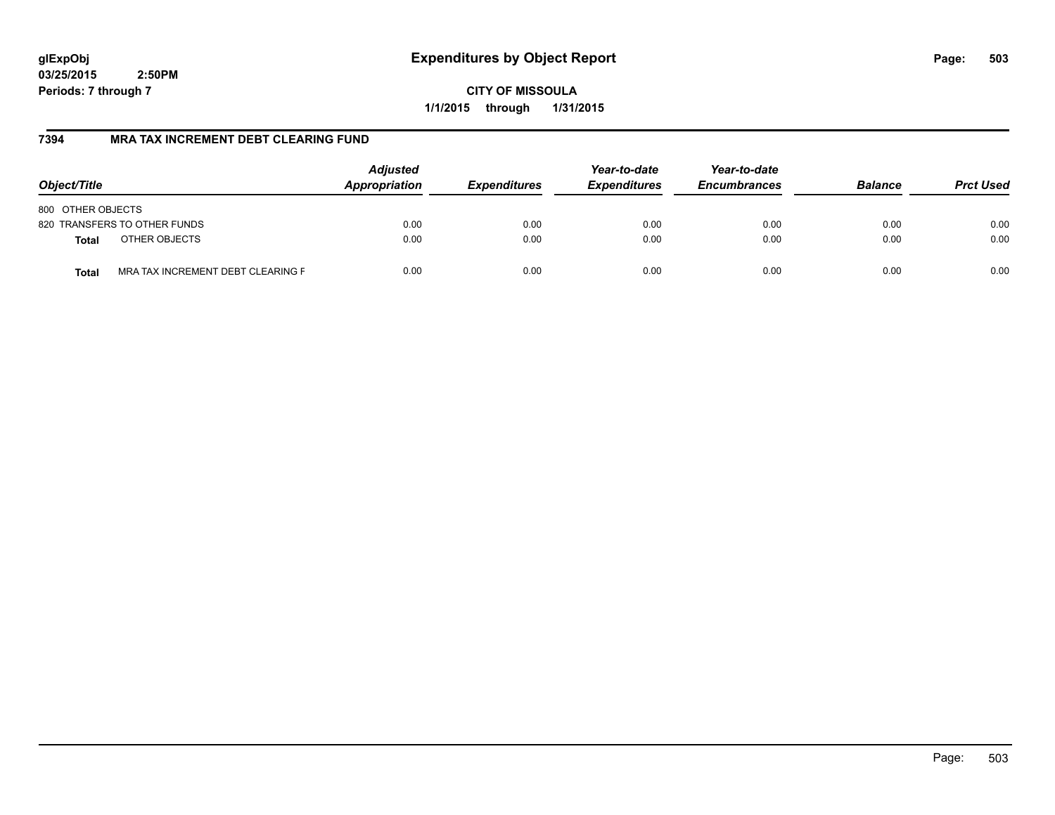**CITY OF MISSOULA 1/1/2015 through 1/31/2015**

# **7394 MRA TAX INCREMENT DEBT CLEARING FUND**

| Object/Title                               | <b>Adjusted</b><br>Appropriation | <b>Expenditures</b> | Year-to-date<br><b>Expenditures</b> | Year-to-date<br><b>Encumbrances</b> | <b>Balance</b> | <b>Prct Used</b> |
|--------------------------------------------|----------------------------------|---------------------|-------------------------------------|-------------------------------------|----------------|------------------|
| 800 OTHER OBJECTS                          |                                  |                     |                                     |                                     |                |                  |
| 820 TRANSFERS TO OTHER FUNDS               | 0.00                             | 0.00                | 0.00                                | 0.00                                | 0.00           | 0.00             |
| OTHER OBJECTS<br><b>Total</b>              | 0.00                             | 0.00                | 0.00                                | 0.00                                | 0.00           | 0.00             |
| MRA TAX INCREMENT DEBT CLEARING F<br>Total | 0.00                             | 0.00                | 0.00                                | 0.00                                | 0.00           | 0.00             |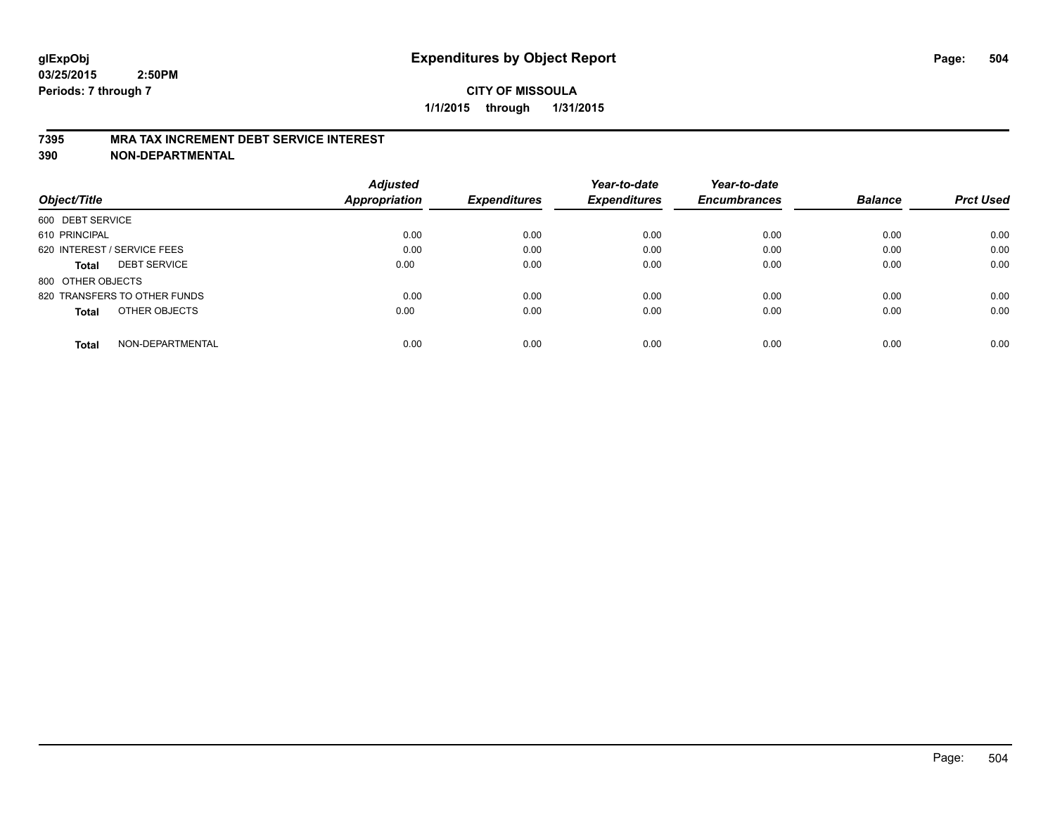#### **7395 MRA TAX INCREMENT DEBT SERVICE INTEREST**

**390 NON-DEPARTMENTAL**

| Object/Title                        | <b>Adjusted</b><br><b>Appropriation</b> | <b>Expenditures</b> | Year-to-date<br><b>Expenditures</b> | Year-to-date<br><b>Encumbrances</b> | <b>Balance</b> | <b>Prct Used</b> |
|-------------------------------------|-----------------------------------------|---------------------|-------------------------------------|-------------------------------------|----------------|------------------|
|                                     |                                         |                     |                                     |                                     |                |                  |
| 600 DEBT SERVICE                    |                                         |                     |                                     |                                     |                |                  |
| 610 PRINCIPAL                       | 0.00                                    | 0.00                | 0.00                                | 0.00                                | 0.00           | 0.00             |
| 620 INTEREST / SERVICE FEES         | 0.00                                    | 0.00                | 0.00                                | 0.00                                | 0.00           | 0.00             |
| <b>DEBT SERVICE</b><br><b>Total</b> | 0.00                                    | 0.00                | 0.00                                | 0.00                                | 0.00           | 0.00             |
| 800 OTHER OBJECTS                   |                                         |                     |                                     |                                     |                |                  |
| 820 TRANSFERS TO OTHER FUNDS        | 0.00                                    | 0.00                | 0.00                                | 0.00                                | 0.00           | 0.00             |
| OTHER OBJECTS<br><b>Total</b>       | 0.00                                    | 0.00                | 0.00                                | 0.00                                | 0.00           | 0.00             |
| NON-DEPARTMENTAL<br>Total           | 0.00                                    | 0.00                | 0.00                                | 0.00                                | 0.00           | 0.00             |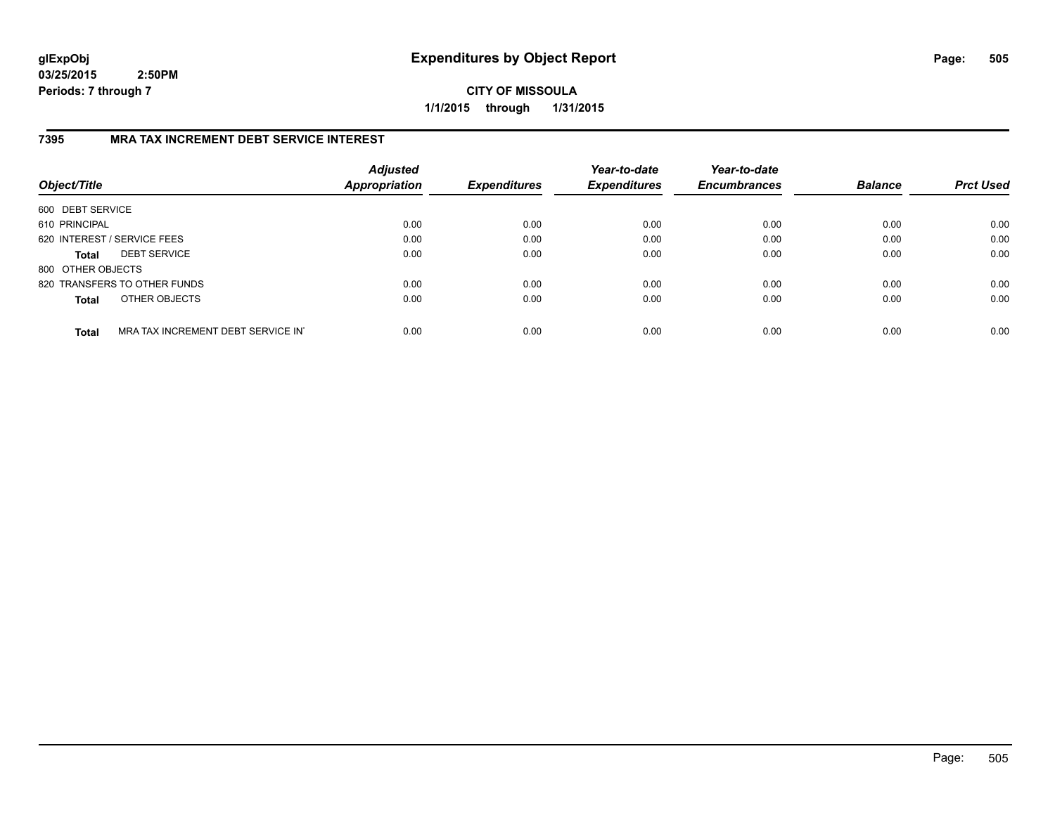**CITY OF MISSOULA 1/1/2015 through 1/31/2015**

## **7395 MRA TAX INCREMENT DEBT SERVICE INTEREST**

| Object/Title                |                                   | <b>Adjusted</b><br><b>Appropriation</b> | <b>Expenditures</b> | Year-to-date<br><b>Expenditures</b> | Year-to-date<br><b>Encumbrances</b> | <b>Balance</b> | <b>Prct Used</b> |
|-----------------------------|-----------------------------------|-----------------------------------------|---------------------|-------------------------------------|-------------------------------------|----------------|------------------|
| 600 DEBT SERVICE            |                                   |                                         |                     |                                     |                                     |                |                  |
| 610 PRINCIPAL               |                                   | 0.00                                    | 0.00                | 0.00                                | 0.00                                | 0.00           | 0.00             |
| 620 INTEREST / SERVICE FEES |                                   | 0.00                                    | 0.00                | 0.00                                | 0.00                                | 0.00           | 0.00             |
| <b>Total</b>                | <b>DEBT SERVICE</b>               | 0.00                                    | 0.00                | 0.00                                | 0.00                                | 0.00           | 0.00             |
| 800 OTHER OBJECTS           |                                   |                                         |                     |                                     |                                     |                |                  |
|                             | 820 TRANSFERS TO OTHER FUNDS      | 0.00                                    | 0.00                | 0.00                                | 0.00                                | 0.00           | 0.00             |
| <b>Total</b>                | OTHER OBJECTS                     | 0.00                                    | 0.00                | 0.00                                | 0.00                                | 0.00           | 0.00             |
| <b>Total</b>                | MRA TAX INCREMENT DEBT SERVICE IN | 0.00                                    | 0.00                | 0.00                                | 0.00                                | 0.00           | 0.00             |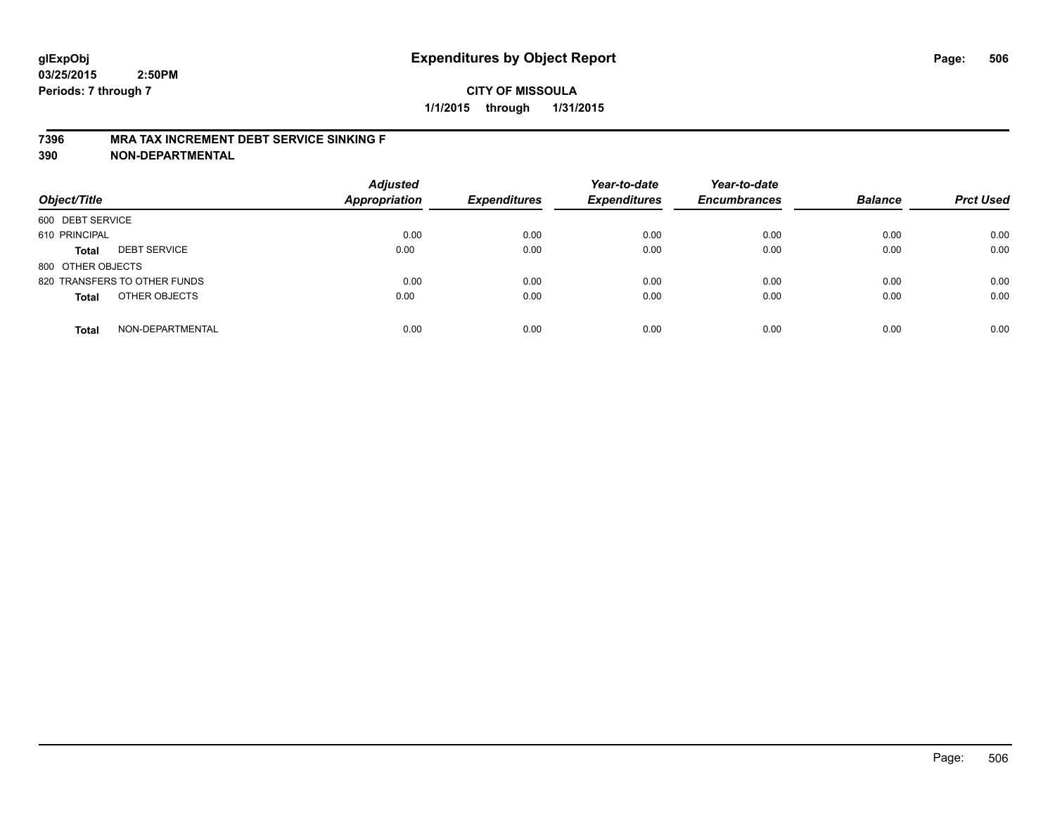## **CITY OF MISSOULA 1/1/2015 through 1/31/2015**

#### **7396 MRA TAX INCREMENT DEBT SERVICE SINKING F**

**390 NON-DEPARTMENTAL**

| Object/Title      |                              | <b>Adjusted</b><br><b>Appropriation</b> | <b>Expenditures</b> | Year-to-date<br><b>Expenditures</b> | Year-to-date<br><b>Encumbrances</b> | <b>Balance</b> | <b>Prct Used</b> |
|-------------------|------------------------------|-----------------------------------------|---------------------|-------------------------------------|-------------------------------------|----------------|------------------|
| 600 DEBT SERVICE  |                              |                                         |                     |                                     |                                     |                |                  |
| 610 PRINCIPAL     |                              | 0.00                                    | 0.00                | 0.00                                | 0.00                                | 0.00           | 0.00             |
| <b>Total</b>      | <b>DEBT SERVICE</b>          | 0.00                                    | 0.00                | 0.00                                | 0.00                                | 0.00           | 0.00             |
| 800 OTHER OBJECTS |                              |                                         |                     |                                     |                                     |                |                  |
|                   | 820 TRANSFERS TO OTHER FUNDS | 0.00                                    | 0.00                | 0.00                                | 0.00                                | 0.00           | 0.00             |
| <b>Total</b>      | OTHER OBJECTS                | 0.00                                    | 0.00                | 0.00                                | 0.00                                | 0.00           | 0.00             |
| <b>Total</b>      | NON-DEPARTMENTAL             | 0.00                                    | 0.00                | 0.00                                | 0.00                                | 0.00           | 0.00             |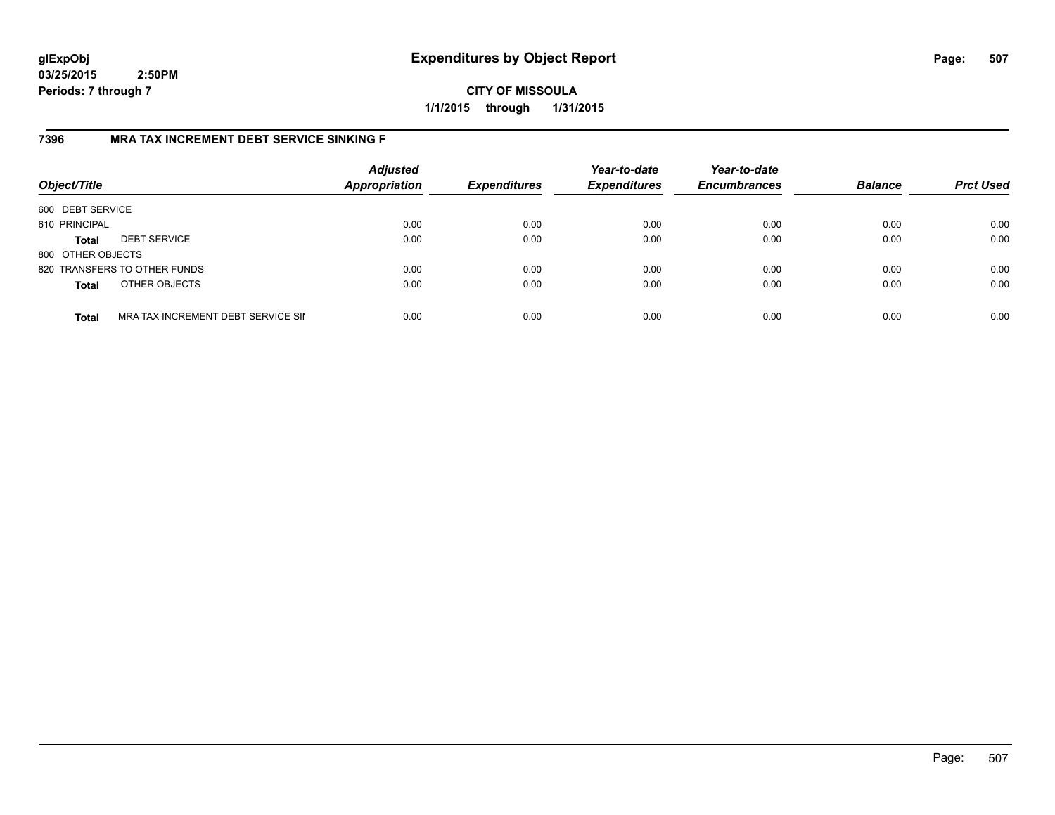**CITY OF MISSOULA 1/1/2015 through 1/31/2015**

## **7396 MRA TAX INCREMENT DEBT SERVICE SINKING F**

| Object/Title      |                                    | <b>Adjusted</b><br><b>Appropriation</b> | <b>Expenditures</b> | Year-to-date<br><b>Expenditures</b> | Year-to-date<br><b>Encumbrances</b> | <b>Balance</b> | <b>Prct Used</b> |
|-------------------|------------------------------------|-----------------------------------------|---------------------|-------------------------------------|-------------------------------------|----------------|------------------|
| 600 DEBT SERVICE  |                                    |                                         |                     |                                     |                                     |                |                  |
| 610 PRINCIPAL     |                                    | 0.00                                    | 0.00                | 0.00                                | 0.00                                | 0.00           | 0.00             |
| <b>Total</b>      | <b>DEBT SERVICE</b>                | 0.00                                    | 0.00                | 0.00                                | 0.00                                | 0.00           | 0.00             |
| 800 OTHER OBJECTS |                                    |                                         |                     |                                     |                                     |                |                  |
|                   | 820 TRANSFERS TO OTHER FUNDS       | 0.00                                    | 0.00                | 0.00                                | 0.00                                | 0.00           | 0.00             |
| <b>Total</b>      | OTHER OBJECTS                      | 0.00                                    | 0.00                | 0.00                                | 0.00                                | 0.00           | 0.00             |
| <b>Total</b>      | MRA TAX INCREMENT DEBT SERVICE SII | 0.00                                    | 0.00                | 0.00                                | 0.00                                | 0.00           | 0.00             |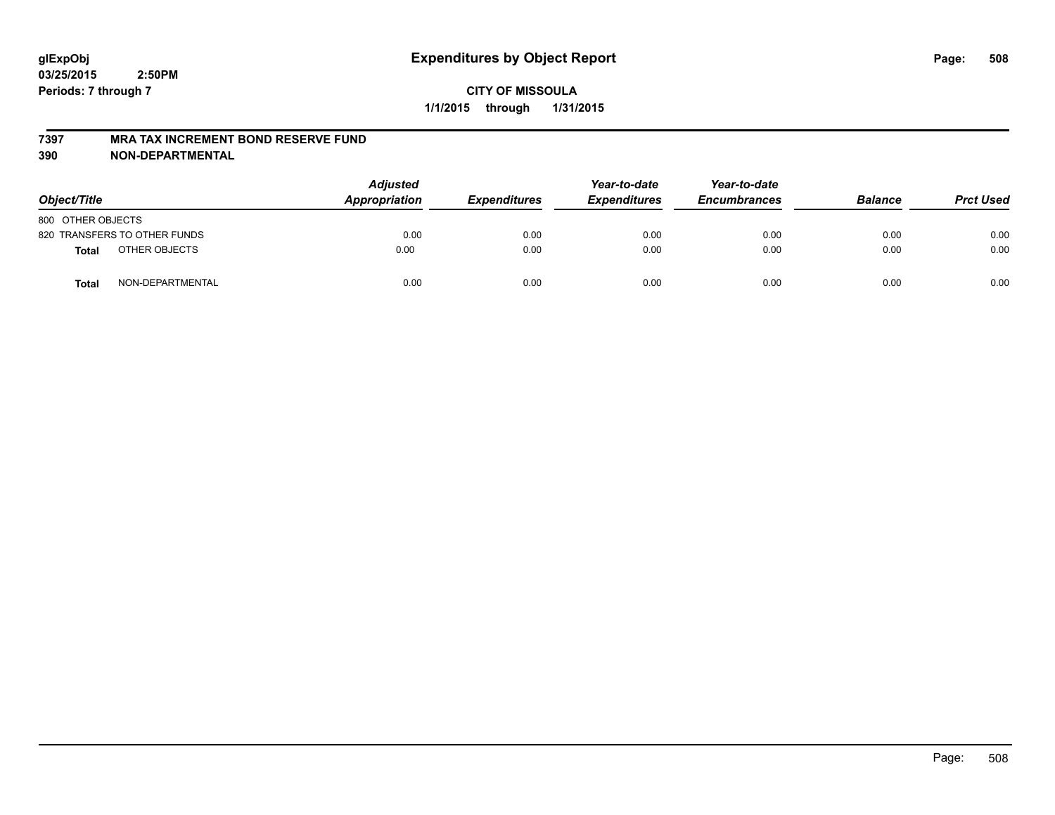#### **7397 MRA TAX INCREMENT BOND RESERVE FUND**

**390 NON-DEPARTMENTAL**

| Object/Title      |                              | <b>Adjusted</b><br>Appropriation | <b>Expenditures</b> | Year-to-date<br><b>Expenditures</b> | Year-to-date<br><b>Encumbrances</b> | <b>Balance</b> | <b>Prct Used</b> |
|-------------------|------------------------------|----------------------------------|---------------------|-------------------------------------|-------------------------------------|----------------|------------------|
| 800 OTHER OBJECTS |                              |                                  |                     |                                     |                                     |                |                  |
|                   | 820 TRANSFERS TO OTHER FUNDS | 0.00                             | 0.00                | 0.00                                | 0.00                                | 0.00           | 0.00             |
| <b>Total</b>      | OTHER OBJECTS                | 0.00                             | 0.00                | 0.00                                | 0.00                                | 0.00           | 0.00             |
| <b>Total</b>      | NON-DEPARTMENTAL             | 0.00                             | 0.00                | 0.00                                | 0.00                                | 0.00           | 0.00             |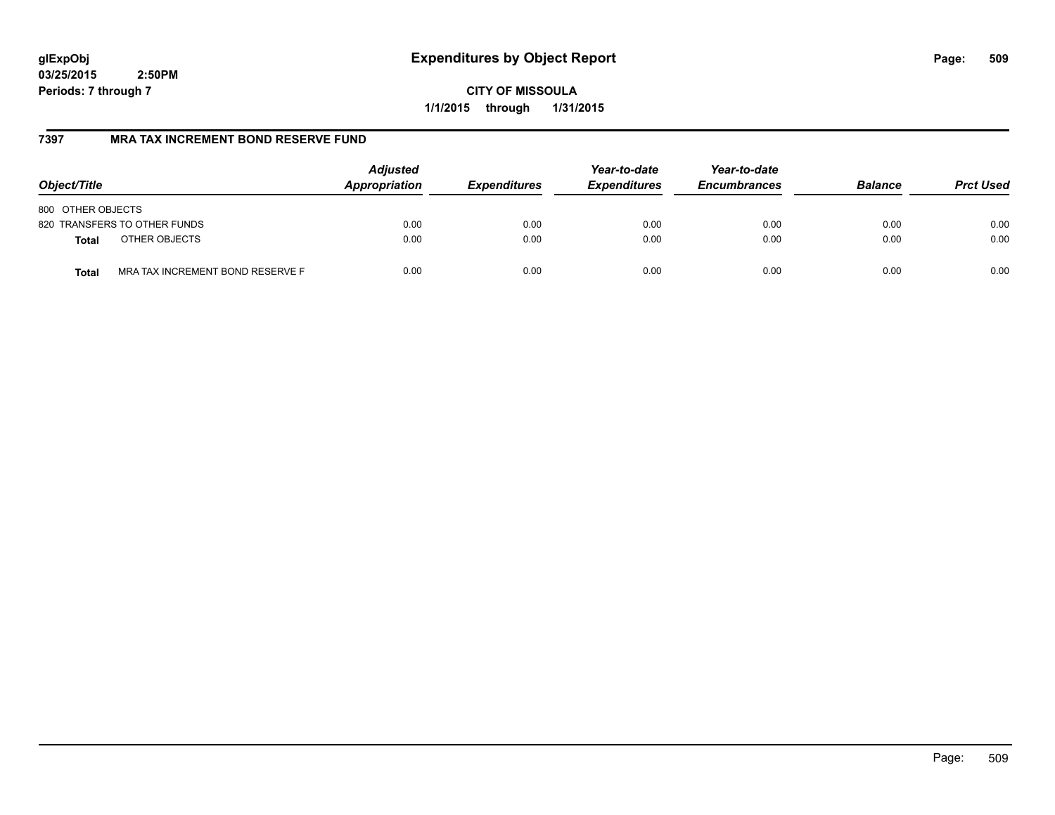**CITY OF MISSOULA 1/1/2015 through 1/31/2015**

## **7397 MRA TAX INCREMENT BOND RESERVE FUND**

| Object/Title                                     | <b>Adjusted</b><br>Appropriation | <b>Expenditures</b> | Year-to-date<br><b>Expenditures</b> | Year-to-date<br><b>Encumbrances</b> | <b>Balance</b> | <b>Prct Used</b> |
|--------------------------------------------------|----------------------------------|---------------------|-------------------------------------|-------------------------------------|----------------|------------------|
| 800 OTHER OBJECTS                                |                                  |                     |                                     |                                     |                |                  |
| 820 TRANSFERS TO OTHER FUNDS                     | 0.00                             | 0.00                | 0.00                                | 0.00                                | 0.00           | 0.00             |
| OTHER OBJECTS<br><b>Total</b>                    | 0.00                             | 0.00                | 0.00                                | 0.00                                | 0.00           | 0.00             |
| MRA TAX INCREMENT BOND RESERVE F<br><b>Total</b> | 0.00                             | 0.00                | 0.00                                | 0.00                                | 0.00           | 0.00             |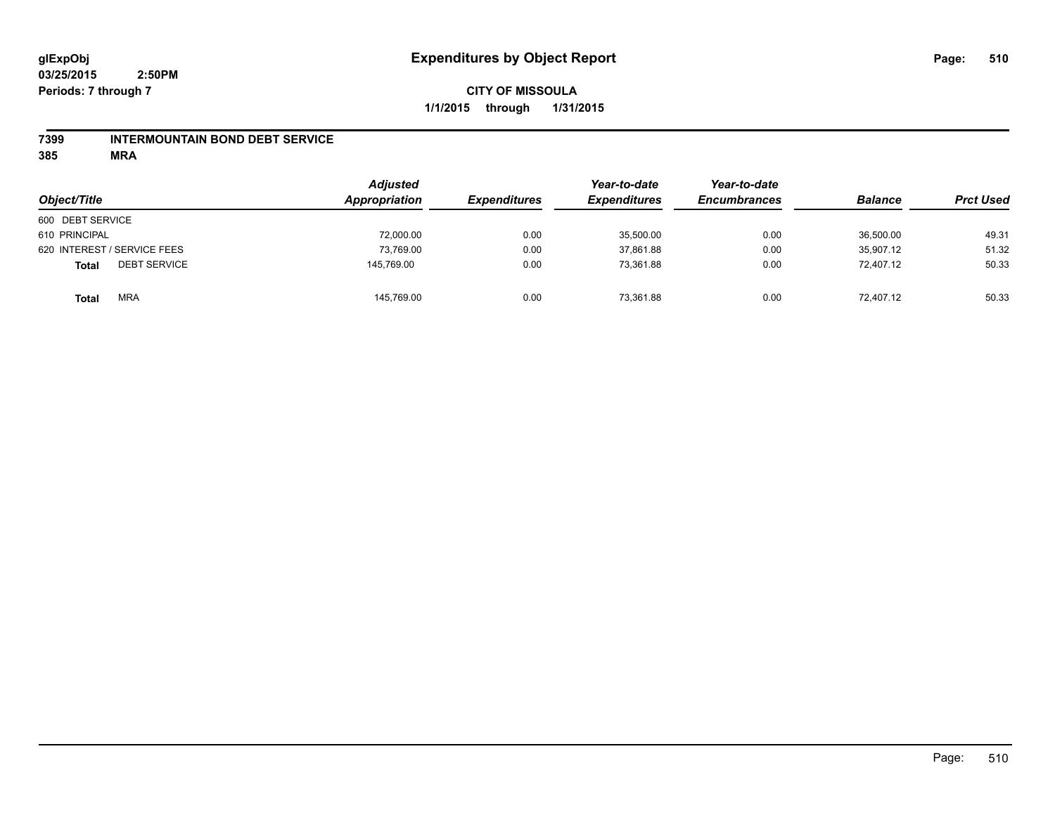## **7399 INTERMOUNTAIN BOND DEBT SERVICE**

**385 MRA**

| Object/Title                        | <b>Adjusted</b><br>Appropriation | <b>Expenditures</b> | Year-to-date<br><b>Expenditures</b> | Year-to-date<br><b>Encumbrances</b> | <b>Balance</b> | <b>Prct Used</b> |
|-------------------------------------|----------------------------------|---------------------|-------------------------------------|-------------------------------------|----------------|------------------|
| 600 DEBT SERVICE                    |                                  |                     |                                     |                                     |                |                  |
| 610 PRINCIPAL                       | 72,000.00                        | 0.00                | 35,500.00                           | 0.00                                | 36,500.00      | 49.31            |
| 620 INTEREST / SERVICE FEES         | 73,769.00                        | 0.00                | 37,861.88                           | 0.00                                | 35,907.12      | 51.32            |
| <b>DEBT SERVICE</b><br><b>Total</b> | 145,769.00                       | 0.00                | 73.361.88                           | 0.00                                | 72.407.12      | 50.33            |
| <b>MRA</b><br><b>Total</b>          | 145,769.00                       | 0.00                | 73,361.88                           | 0.00                                | 72,407.12      | 50.33            |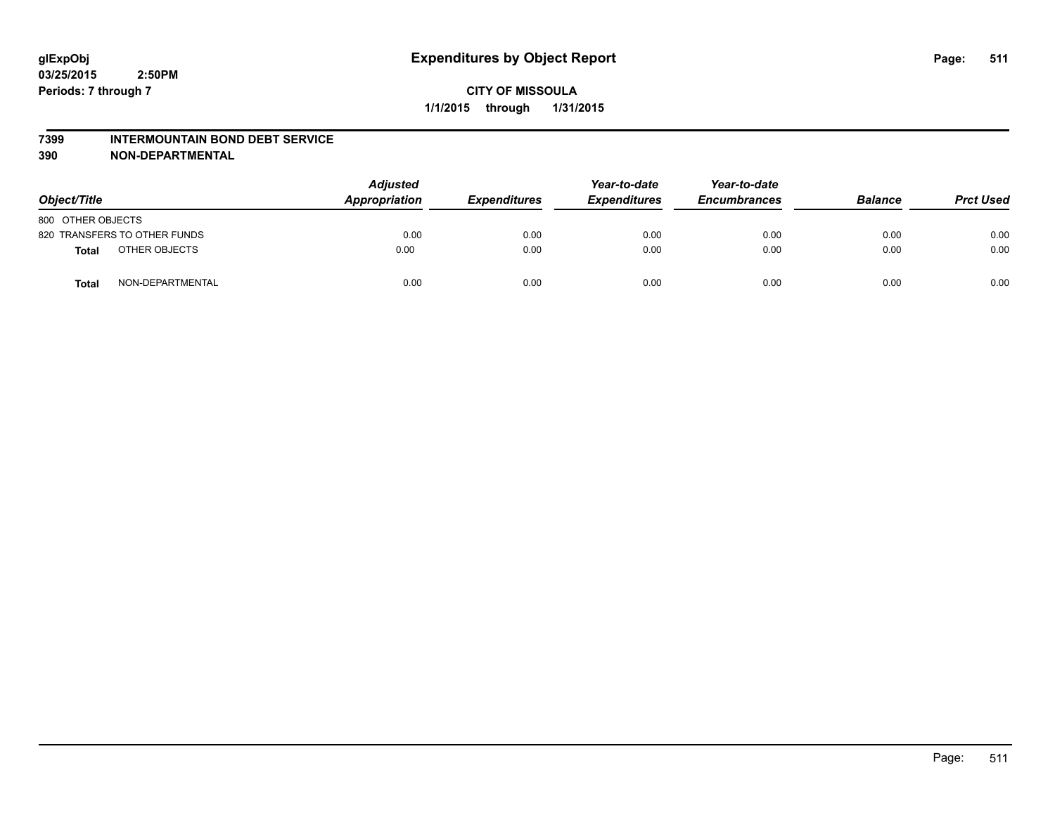#### **7399 INTERMOUNTAIN BOND DEBT SERVICE**

**390 NON-DEPARTMENTAL**

| Object/Title      |                              | <b>Adjusted</b><br>Appropriation | <b>Expenditures</b> | Year-to-date<br><b>Expenditures</b> | Year-to-date<br><b>Encumbrances</b> | <b>Balance</b> | <b>Prct Used</b> |
|-------------------|------------------------------|----------------------------------|---------------------|-------------------------------------|-------------------------------------|----------------|------------------|
| 800 OTHER OBJECTS |                              |                                  |                     |                                     |                                     |                |                  |
|                   | 820 TRANSFERS TO OTHER FUNDS | 0.00                             | 0.00                | 0.00                                | 0.00                                | 0.00           | 0.00             |
| <b>Total</b>      | OTHER OBJECTS                | 0.00                             | 0.00                | 0.00                                | 0.00                                | 0.00           | 0.00             |
| <b>Total</b>      | NON-DEPARTMENTAL             | 0.00                             | 0.00                | 0.00                                | 0.00                                | 0.00           | 0.00             |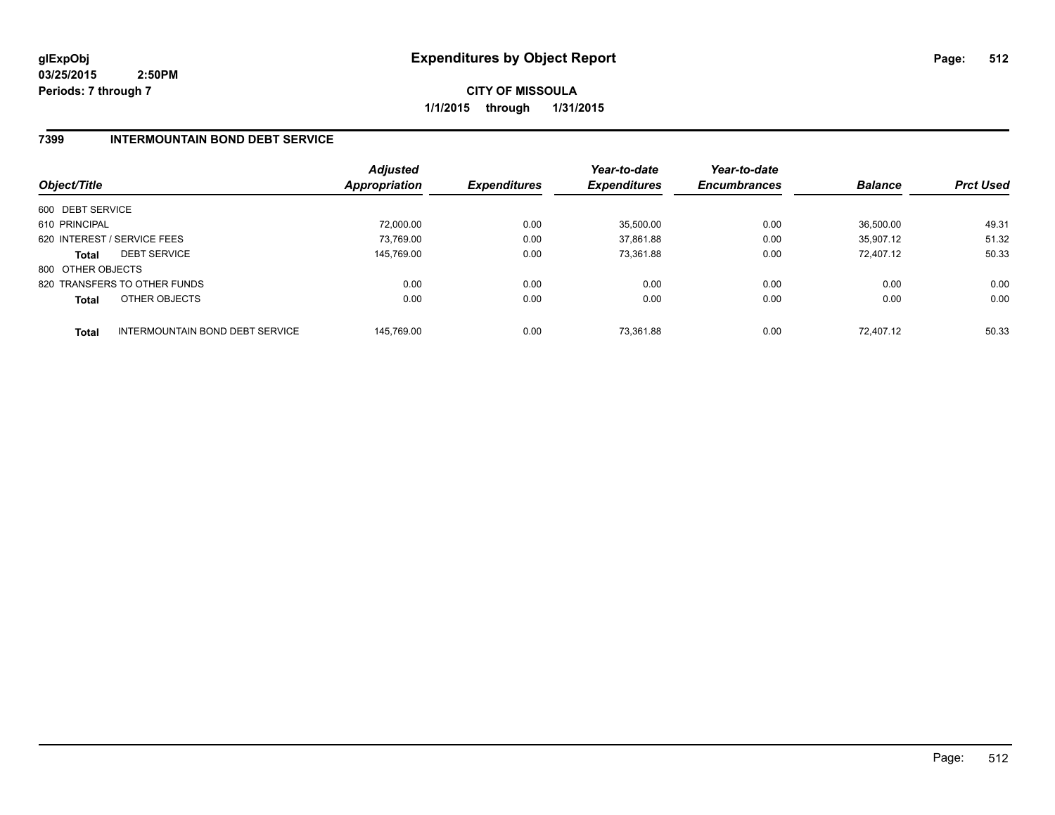**CITY OF MISSOULA 1/1/2015 through 1/31/2015**

## **7399 INTERMOUNTAIN BOND DEBT SERVICE**

| Object/Title      |                                 | <b>Adjusted</b><br>Appropriation | <b>Expenditures</b> | Year-to-date<br><b>Expenditures</b> | Year-to-date<br><b>Encumbrances</b> | <b>Balance</b> | <b>Prct Used</b> |
|-------------------|---------------------------------|----------------------------------|---------------------|-------------------------------------|-------------------------------------|----------------|------------------|
| 600 DEBT SERVICE  |                                 |                                  |                     |                                     |                                     |                |                  |
| 610 PRINCIPAL     |                                 | 72.000.00                        | 0.00                | 35,500.00                           | 0.00                                | 36.500.00      | 49.31            |
|                   | 620 INTEREST / SERVICE FEES     | 73.769.00                        | 0.00                | 37,861.88                           | 0.00                                | 35.907.12      | 51.32            |
| <b>Total</b>      | <b>DEBT SERVICE</b>             | 145,769.00                       | 0.00                | 73,361.88                           | 0.00                                | 72.407.12      | 50.33            |
| 800 OTHER OBJECTS |                                 |                                  |                     |                                     |                                     |                |                  |
|                   | 820 TRANSFERS TO OTHER FUNDS    | 0.00                             | 0.00                | 0.00                                | 0.00                                | 0.00           | 0.00             |
| <b>Total</b>      | OTHER OBJECTS                   | 0.00                             | 0.00                | 0.00                                | 0.00                                | 0.00           | 0.00             |
| <b>Total</b>      | INTERMOUNTAIN BOND DEBT SERVICE | 145.769.00                       | 0.00                | 73.361.88                           | 0.00                                | 72.407.12      | 50.33            |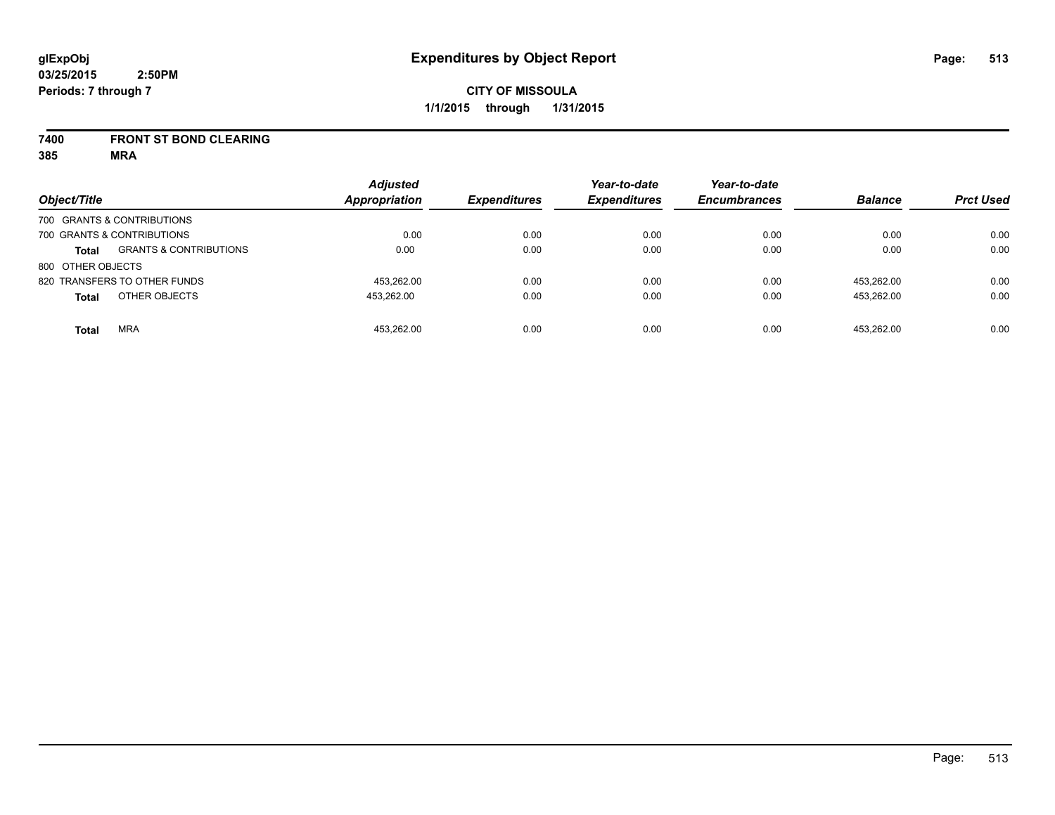### **7400 FRONT ST BOND CLEARING**

**385 MRA**

| Object/Title      |                                   | <b>Adjusted</b><br><b>Appropriation</b> | <b>Expenditures</b> | Year-to-date<br><b>Expenditures</b> | Year-to-date<br><b>Encumbrances</b> | <b>Balance</b> | <b>Prct Used</b> |
|-------------------|-----------------------------------|-----------------------------------------|---------------------|-------------------------------------|-------------------------------------|----------------|------------------|
|                   | 700 GRANTS & CONTRIBUTIONS        |                                         |                     |                                     |                                     |                |                  |
|                   | 700 GRANTS & CONTRIBUTIONS        | 0.00                                    | 0.00                | 0.00                                | 0.00                                | 0.00           | 0.00             |
| <b>Total</b>      | <b>GRANTS &amp; CONTRIBUTIONS</b> | 0.00                                    | 0.00                | 0.00                                | 0.00                                | 0.00           | 0.00             |
| 800 OTHER OBJECTS |                                   |                                         |                     |                                     |                                     |                |                  |
|                   | 820 TRANSFERS TO OTHER FUNDS      | 453.262.00                              | 0.00                | 0.00                                | 0.00                                | 453.262.00     | 0.00             |
| <b>Total</b>      | OTHER OBJECTS                     | 453.262.00                              | 0.00                | 0.00                                | 0.00                                | 453.262.00     | 0.00             |
| <b>Total</b>      | <b>MRA</b>                        | 453.262.00                              | 0.00                | 0.00                                | 0.00                                | 453.262.00     | 0.00             |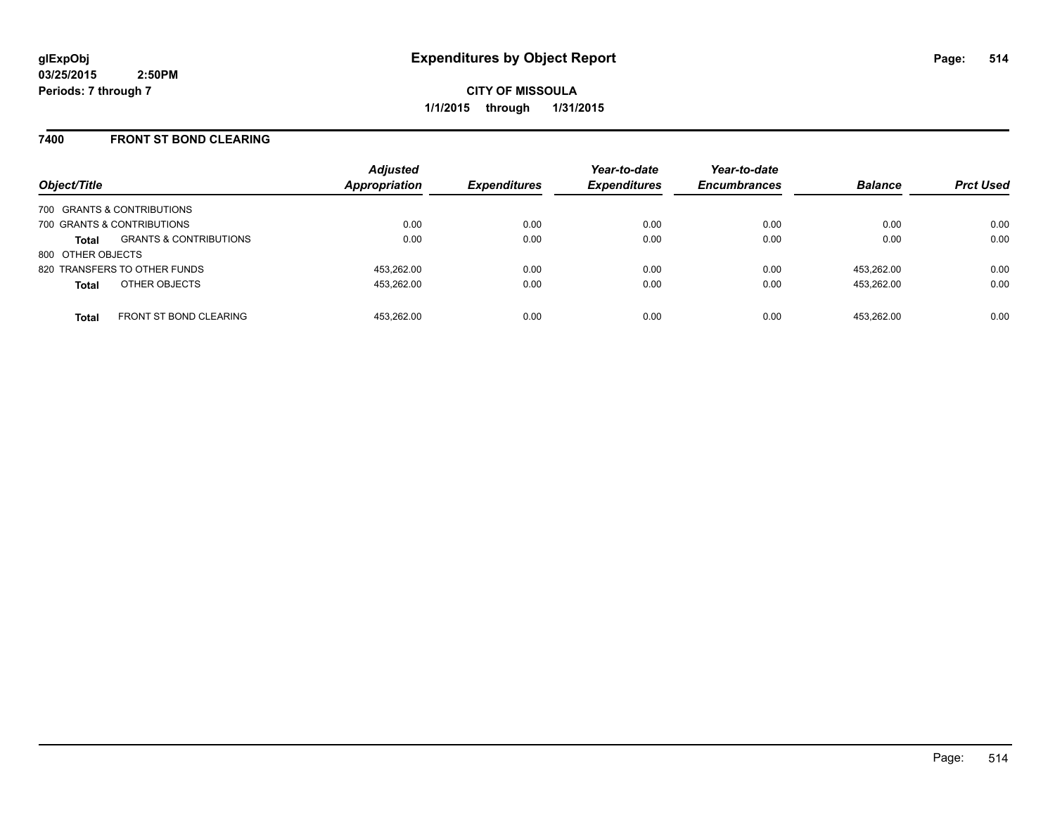**CITY OF MISSOULA 1/1/2015 through 1/31/2015**

### **7400 FRONT ST BOND CLEARING**

| Object/Title                  |                                   | <b>Adjusted</b><br>Appropriation | <b>Expenditures</b> | Year-to-date<br><b>Expenditures</b> | Year-to-date<br><b>Encumbrances</b> | <b>Balance</b> | <b>Prct Used</b> |
|-------------------------------|-----------------------------------|----------------------------------|---------------------|-------------------------------------|-------------------------------------|----------------|------------------|
| 700 GRANTS & CONTRIBUTIONS    |                                   |                                  |                     |                                     |                                     |                |                  |
| 700 GRANTS & CONTRIBUTIONS    |                                   | 0.00                             | 0.00                | 0.00                                | 0.00                                | 0.00           | 0.00             |
| <b>Total</b>                  | <b>GRANTS &amp; CONTRIBUTIONS</b> | 0.00                             | 0.00                | 0.00                                | 0.00                                | 0.00           | 0.00             |
| 800 OTHER OBJECTS             |                                   |                                  |                     |                                     |                                     |                |                  |
| 820 TRANSFERS TO OTHER FUNDS  |                                   | 453.262.00                       | 0.00                | 0.00                                | 0.00                                | 453.262.00     | 0.00             |
| OTHER OBJECTS<br><b>Total</b> |                                   | 453,262.00                       | 0.00                | 0.00                                | 0.00                                | 453.262.00     | 0.00             |
| <b>Total</b>                  | <b>FRONT ST BOND CLEARING</b>     | 453.262.00                       | 0.00                | 0.00                                | 0.00                                | 453.262.00     | 0.00             |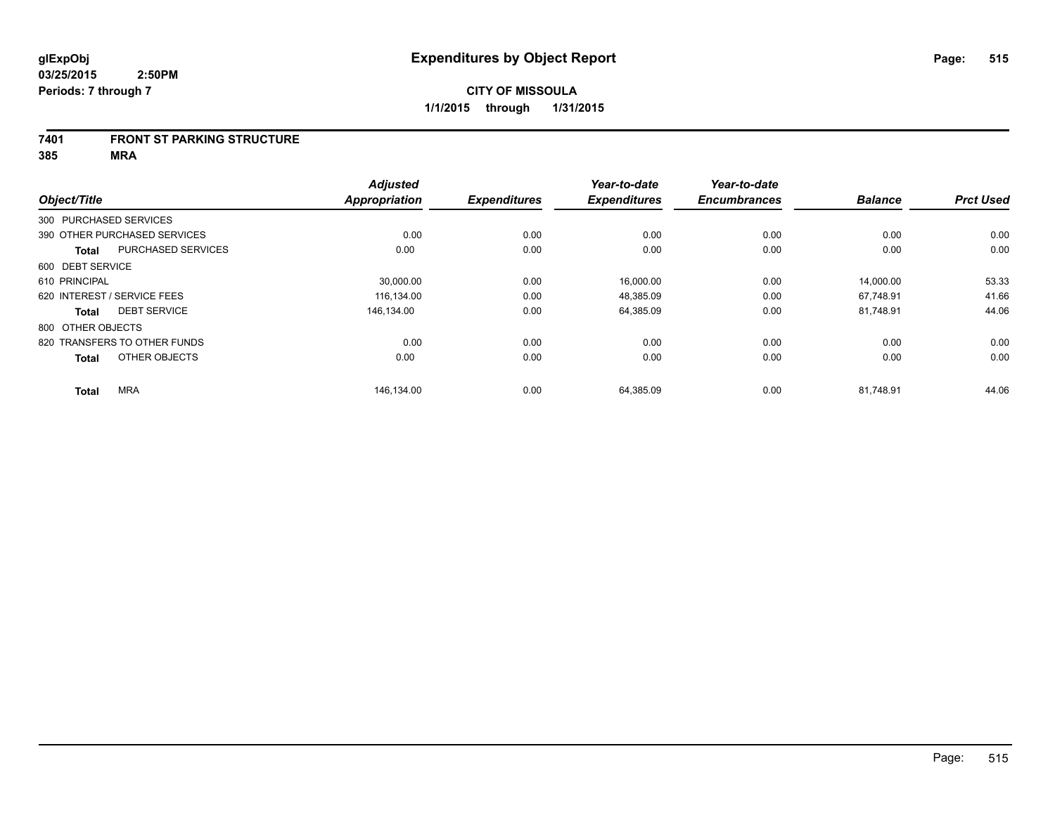#### **7401 FRONT ST PARKING STRUCTURE**

**385 MRA**

| Object/Title      |                              | <b>Adjusted</b><br><b>Appropriation</b> | <b>Expenditures</b> | Year-to-date<br><b>Expenditures</b> | Year-to-date<br><b>Encumbrances</b> | <b>Balance</b> | <b>Prct Used</b> |
|-------------------|------------------------------|-----------------------------------------|---------------------|-------------------------------------|-------------------------------------|----------------|------------------|
|                   |                              |                                         |                     |                                     |                                     |                |                  |
|                   | 300 PURCHASED SERVICES       |                                         |                     |                                     |                                     |                |                  |
|                   | 390 OTHER PURCHASED SERVICES | 0.00                                    | 0.00                | 0.00                                | 0.00                                | 0.00           | 0.00             |
| <b>Total</b>      | <b>PURCHASED SERVICES</b>    | 0.00                                    | 0.00                | 0.00                                | 0.00                                | 0.00           | 0.00             |
| 600 DEBT SERVICE  |                              |                                         |                     |                                     |                                     |                |                  |
| 610 PRINCIPAL     |                              | 30,000.00                               | 0.00                | 16,000.00                           | 0.00                                | 14,000.00      | 53.33            |
|                   | 620 INTEREST / SERVICE FEES  | 116.134.00                              | 0.00                | 48.385.09                           | 0.00                                | 67.748.91      | 41.66            |
| <b>Total</b>      | <b>DEBT SERVICE</b>          | 146.134.00                              | 0.00                | 64,385.09                           | 0.00                                | 81,748.91      | 44.06            |
| 800 OTHER OBJECTS |                              |                                         |                     |                                     |                                     |                |                  |
|                   | 820 TRANSFERS TO OTHER FUNDS | 0.00                                    | 0.00                | 0.00                                | 0.00                                | 0.00           | 0.00             |
| <b>Total</b>      | OTHER OBJECTS                | 0.00                                    | 0.00                | 0.00                                | 0.00                                | 0.00           | 0.00             |
| <b>Total</b>      | <b>MRA</b>                   | 146,134.00                              | 0.00                | 64,385.09                           | 0.00                                | 81,748.91      | 44.06            |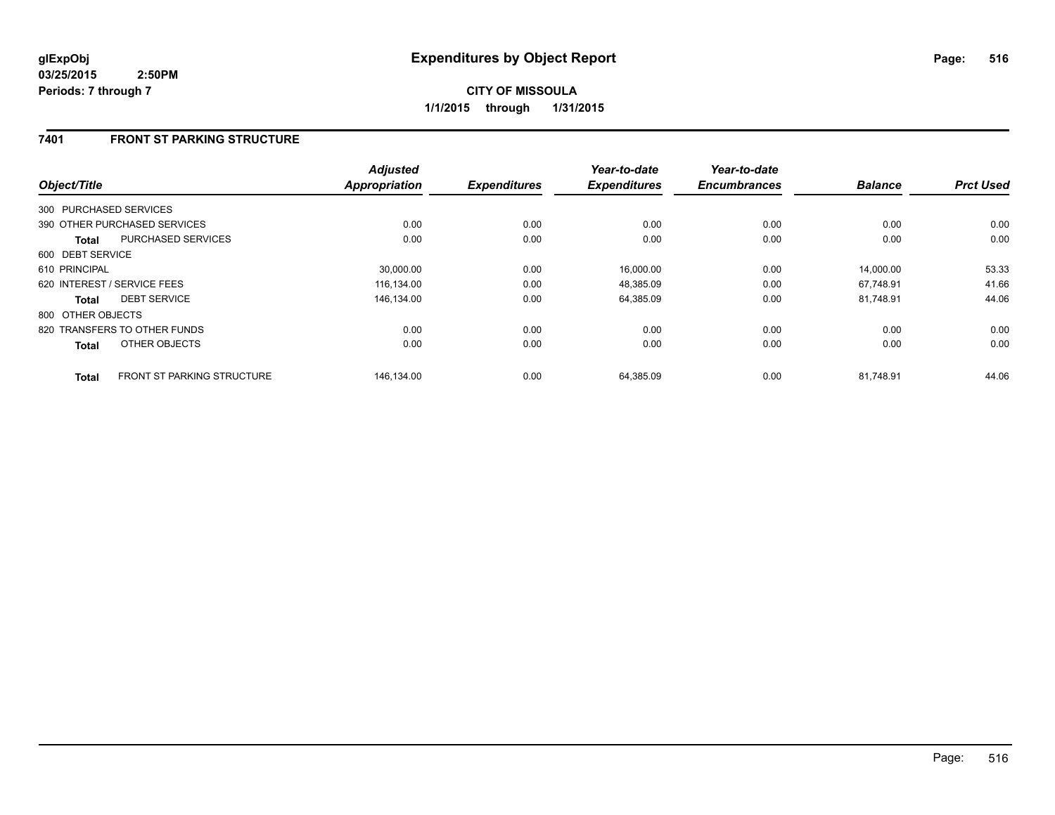## **CITY OF MISSOULA 1/1/2015 through 1/31/2015**

## **7401 FRONT ST PARKING STRUCTURE**

| Object/Title           |                                   | <b>Adjusted</b><br><b>Appropriation</b> | <b>Expenditures</b> | Year-to-date<br><b>Expenditures</b> | Year-to-date<br><b>Encumbrances</b> | <b>Balance</b> | <b>Prct Used</b> |
|------------------------|-----------------------------------|-----------------------------------------|---------------------|-------------------------------------|-------------------------------------|----------------|------------------|
| 300 PURCHASED SERVICES |                                   |                                         |                     |                                     |                                     |                |                  |
|                        |                                   |                                         |                     |                                     |                                     |                |                  |
|                        | 390 OTHER PURCHASED SERVICES      | 0.00                                    | 0.00                | 0.00                                | 0.00                                | 0.00           | 0.00             |
| <b>Total</b>           | <b>PURCHASED SERVICES</b>         | 0.00                                    | 0.00                | 0.00                                | 0.00                                | 0.00           | 0.00             |
| 600 DEBT SERVICE       |                                   |                                         |                     |                                     |                                     |                |                  |
| 610 PRINCIPAL          |                                   | 30.000.00                               | 0.00                | 16,000.00                           | 0.00                                | 14.000.00      | 53.33            |
|                        | 620 INTEREST / SERVICE FEES       | 116,134.00                              | 0.00                | 48,385.09                           | 0.00                                | 67,748.91      | 41.66            |
| <b>Total</b>           | <b>DEBT SERVICE</b>               | 146,134.00                              | 0.00                | 64,385.09                           | 0.00                                | 81.748.91      | 44.06            |
| 800 OTHER OBJECTS      |                                   |                                         |                     |                                     |                                     |                |                  |
|                        | 820 TRANSFERS TO OTHER FUNDS      | 0.00                                    | 0.00                | 0.00                                | 0.00                                | 0.00           | 0.00             |
| <b>Total</b>           | OTHER OBJECTS                     | 0.00                                    | 0.00                | 0.00                                | 0.00                                | 0.00           | 0.00             |
| <b>Total</b>           | <b>FRONT ST PARKING STRUCTURE</b> | 146.134.00                              | 0.00                | 64,385.09                           | 0.00                                | 81.748.91      | 44.06            |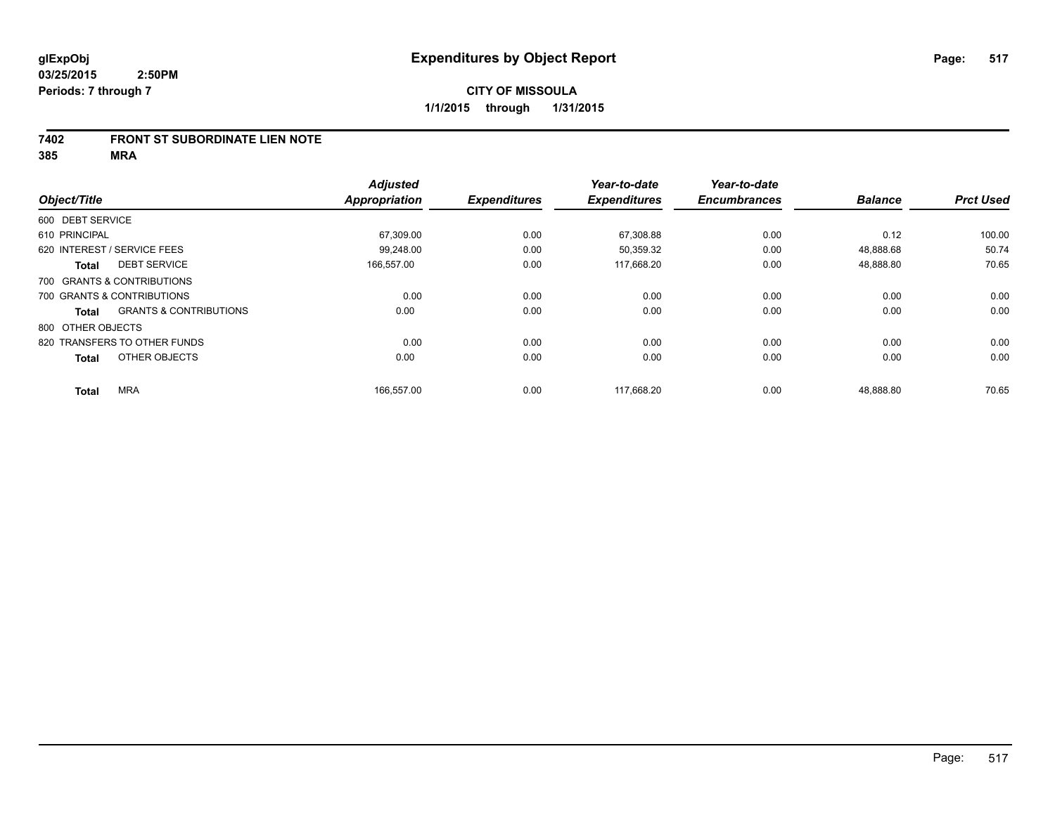### **7402 FRONT ST SUBORDINATE LIEN NOTE**

**385 MRA**

|                                     |                                   | <b>Adjusted</b>      |                     | Year-to-date        | Year-to-date        |                |                  |
|-------------------------------------|-----------------------------------|----------------------|---------------------|---------------------|---------------------|----------------|------------------|
| Object/Title                        |                                   | <b>Appropriation</b> | <b>Expenditures</b> | <b>Expenditures</b> | <b>Encumbrances</b> | <b>Balance</b> | <b>Prct Used</b> |
| 600 DEBT SERVICE                    |                                   |                      |                     |                     |                     |                |                  |
| 610 PRINCIPAL                       |                                   | 67,309.00            | 0.00                | 67,308.88           | 0.00                | 0.12           | 100.00           |
| 620 INTEREST / SERVICE FEES         |                                   | 99.248.00            | 0.00                | 50,359.32           | 0.00                | 48,888.68      | 50.74            |
| <b>DEBT SERVICE</b><br><b>Total</b> |                                   | 166,557.00           | 0.00                | 117,668.20          | 0.00                | 48,888.80      | 70.65            |
| 700 GRANTS & CONTRIBUTIONS          |                                   |                      |                     |                     |                     |                |                  |
| 700 GRANTS & CONTRIBUTIONS          |                                   | 0.00                 | 0.00                | 0.00                | 0.00                | 0.00           | 0.00             |
| <b>Total</b>                        | <b>GRANTS &amp; CONTRIBUTIONS</b> | 0.00                 | 0.00                | 0.00                | 0.00                | 0.00           | 0.00             |
| 800 OTHER OBJECTS                   |                                   |                      |                     |                     |                     |                |                  |
| 820 TRANSFERS TO OTHER FUNDS        |                                   | 0.00                 | 0.00                | 0.00                | 0.00                | 0.00           | 0.00             |
| OTHER OBJECTS<br><b>Total</b>       |                                   | 0.00                 | 0.00                | 0.00                | 0.00                | 0.00           | 0.00             |
| <b>MRA</b><br><b>Total</b>          |                                   | 166,557.00           | 0.00                | 117,668.20          | 0.00                | 48,888.80      | 70.65            |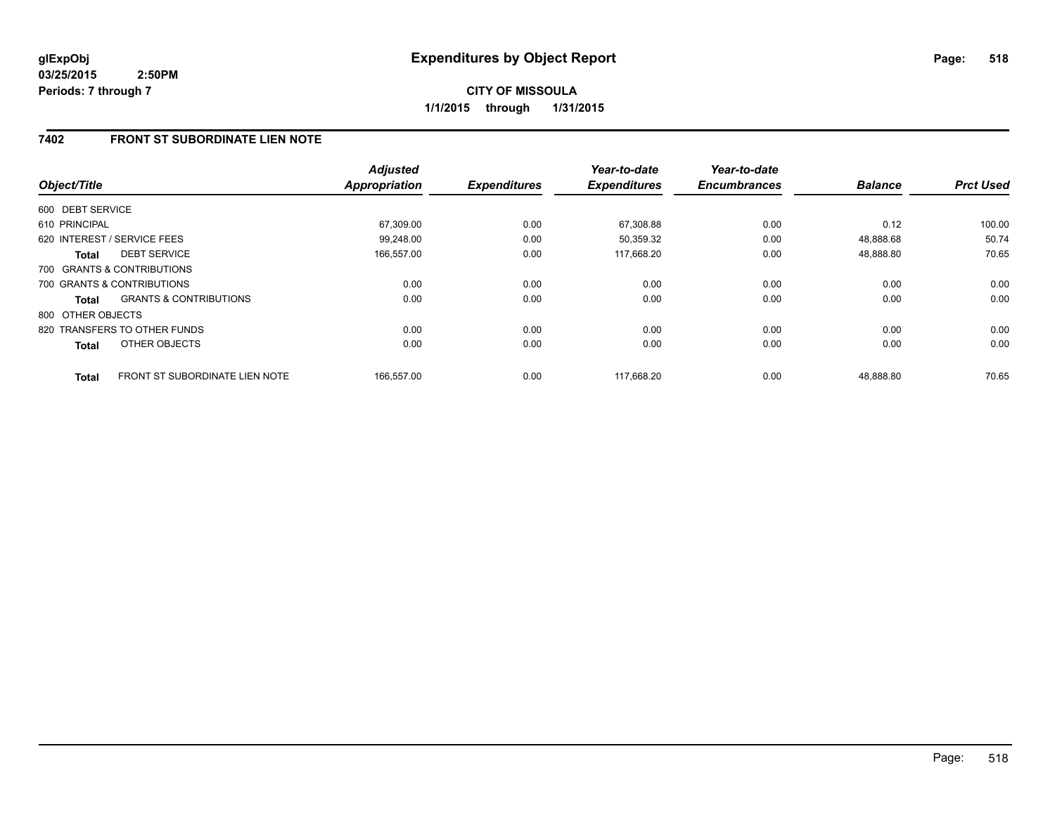## **7402 FRONT ST SUBORDINATE LIEN NOTE**

| Object/Title      |                                       | <b>Adjusted</b><br><b>Appropriation</b> | <b>Expenditures</b> | Year-to-date<br><b>Expenditures</b> | Year-to-date<br><b>Encumbrances</b> | <b>Balance</b> | <b>Prct Used</b> |
|-------------------|---------------------------------------|-----------------------------------------|---------------------|-------------------------------------|-------------------------------------|----------------|------------------|
|                   |                                       |                                         |                     |                                     |                                     |                |                  |
| 600 DEBT SERVICE  |                                       |                                         |                     |                                     |                                     |                |                  |
| 610 PRINCIPAL     |                                       | 67.309.00                               | 0.00                | 67,308.88                           | 0.00                                | 0.12           | 100.00           |
|                   | 620 INTEREST / SERVICE FEES           | 99.248.00                               | 0.00                | 50.359.32                           | 0.00                                | 48.888.68      | 50.74            |
| <b>Total</b>      | <b>DEBT SERVICE</b>                   | 166,557.00                              | 0.00                | 117,668.20                          | 0.00                                | 48,888.80      | 70.65            |
|                   | 700 GRANTS & CONTRIBUTIONS            |                                         |                     |                                     |                                     |                |                  |
|                   | 700 GRANTS & CONTRIBUTIONS            | 0.00                                    | 0.00                | 0.00                                | 0.00                                | 0.00           | 0.00             |
| Total             | <b>GRANTS &amp; CONTRIBUTIONS</b>     | 0.00                                    | 0.00                | 0.00                                | 0.00                                | 0.00           | 0.00             |
| 800 OTHER OBJECTS |                                       |                                         |                     |                                     |                                     |                |                  |
|                   | 820 TRANSFERS TO OTHER FUNDS          | 0.00                                    | 0.00                | 0.00                                | 0.00                                | 0.00           | 0.00             |
| Total             | OTHER OBJECTS                         | 0.00                                    | 0.00                | 0.00                                | 0.00                                | 0.00           | 0.00             |
| <b>Total</b>      | <b>FRONT ST SUBORDINATE LIEN NOTE</b> | 166.557.00                              | 0.00                | 117.668.20                          | 0.00                                | 48.888.80      | 70.65            |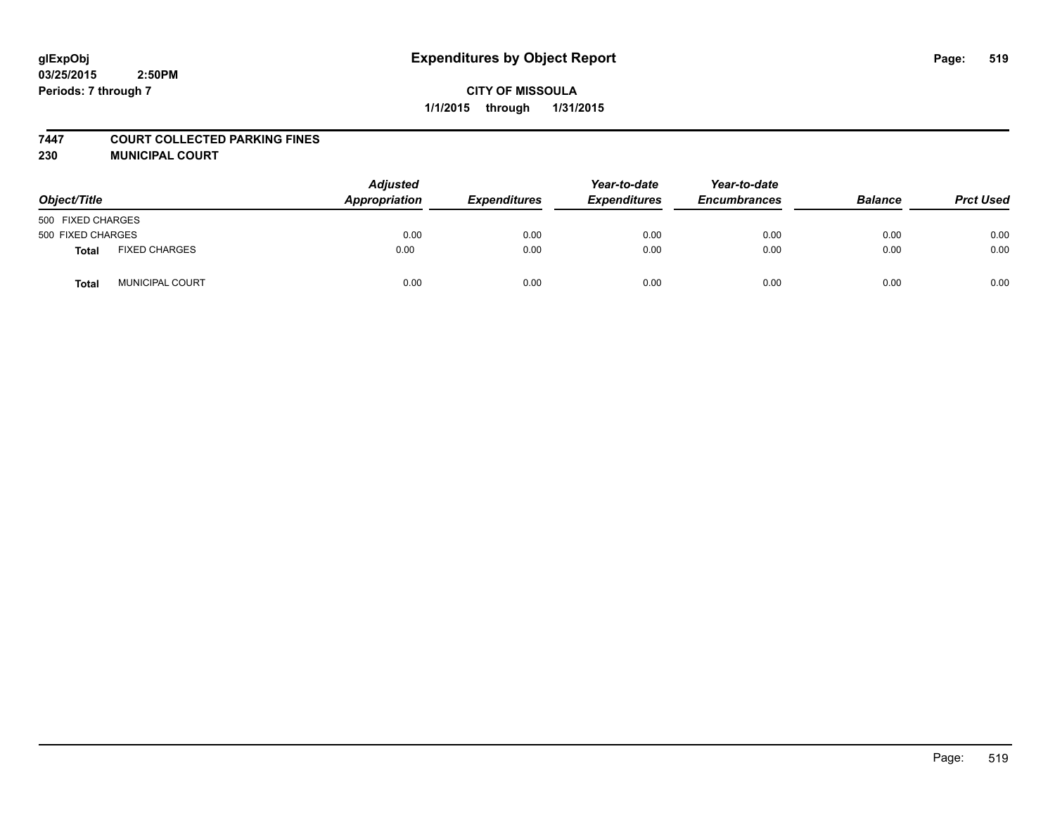### **7447 COURT COLLECTED PARKING FINES**

**230 MUNICIPAL COURT**

| Object/Title      |                        | <b>Adjusted</b><br>Appropriation | <b>Expenditures</b> | Year-to-date<br><b>Expenditures</b> | Year-to-date<br><b>Encumbrances</b> | <b>Balance</b> | <b>Prct Used</b> |
|-------------------|------------------------|----------------------------------|---------------------|-------------------------------------|-------------------------------------|----------------|------------------|
| 500 FIXED CHARGES |                        |                                  |                     |                                     |                                     |                |                  |
| 500 FIXED CHARGES |                        | 0.00                             | 0.00                | 0.00                                | 0.00                                | 0.00           | 0.00             |
| Total             | <b>FIXED CHARGES</b>   | 0.00                             | 0.00                | 0.00                                | 0.00                                | 0.00           | 0.00             |
| <b>Total</b>      | <b>MUNICIPAL COURT</b> | 0.00                             | 0.00                | 0.00                                | 0.00                                | 0.00           | 0.00             |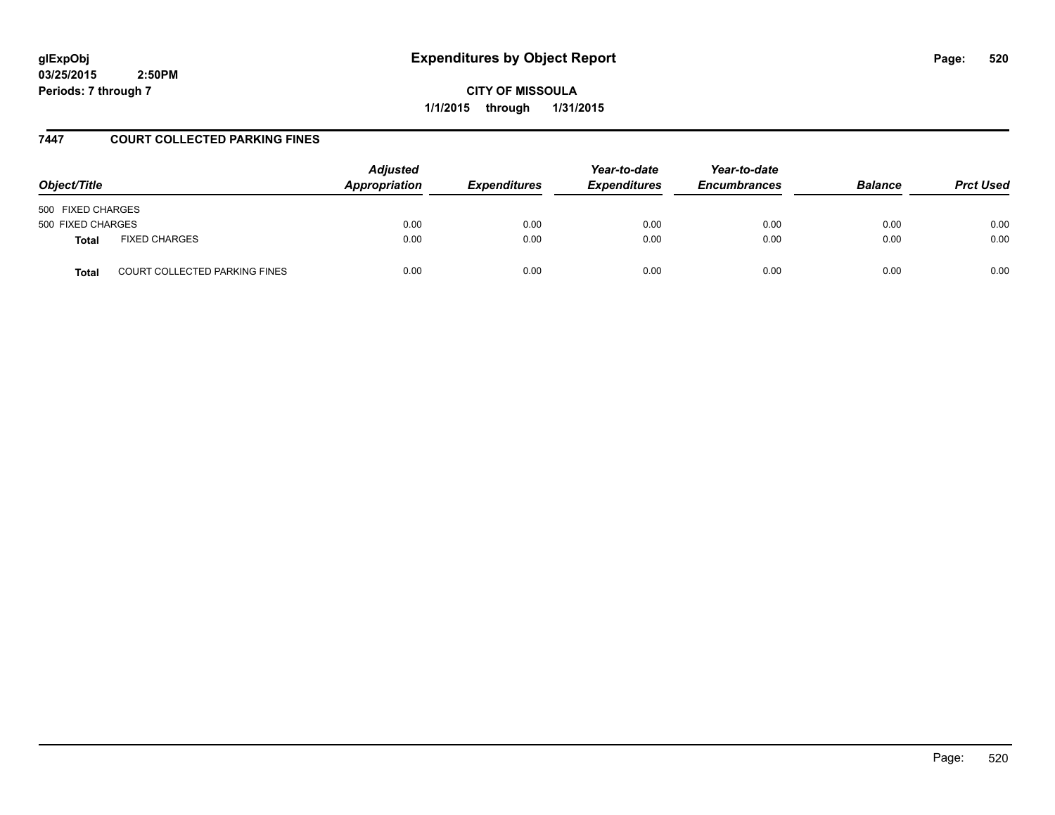# **glExpObj Expenditures by Object Report Page: 520**

**03/25/2015 2:50PM Periods: 7 through 7**

**CITY OF MISSOULA 1/1/2015 through 1/31/2015**

## **7447 COURT COLLECTED PARKING FINES**

| Object/Title      |                                      | <b>Adjusted</b><br>Appropriation | <i><b>Expenditures</b></i> | Year-to-date<br><b>Expenditures</b> | Year-to-date<br><b>Encumbrances</b> | <b>Balance</b> | <b>Prct Used</b> |
|-------------------|--------------------------------------|----------------------------------|----------------------------|-------------------------------------|-------------------------------------|----------------|------------------|
| 500 FIXED CHARGES |                                      |                                  |                            |                                     |                                     |                |                  |
| 500 FIXED CHARGES |                                      | 0.00                             | 0.00                       | 0.00                                | 0.00                                | 0.00           | 0.00             |
| <b>Total</b>      | <b>FIXED CHARGES</b>                 | 0.00                             | 0.00                       | 0.00                                | 0.00                                | 0.00           | 0.00             |
| <b>Total</b>      | <b>COURT COLLECTED PARKING FINES</b> | 0.00                             | 0.00                       | 0.00                                | 0.00                                | 0.00           | 0.00             |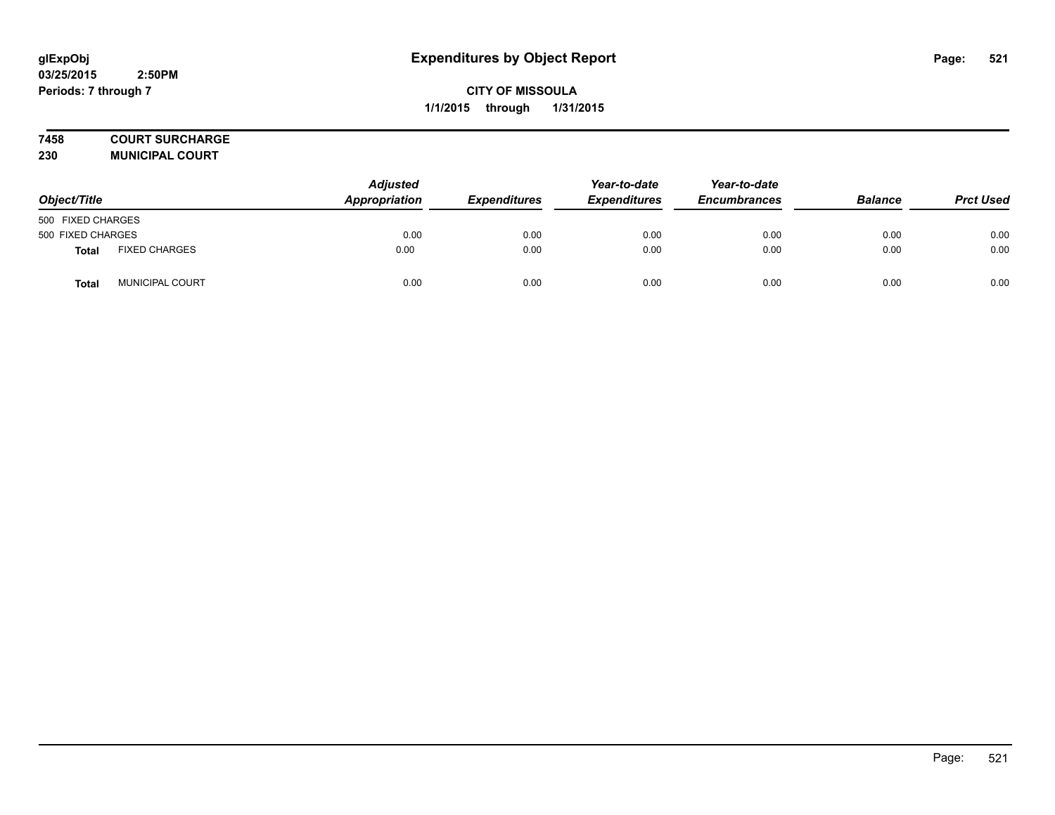## **7458 COURT SURCHARGE**

**230 MUNICIPAL COURT**

| Object/Title      |                      | Adjusted<br>Appropriation | <b>Expenditures</b> | Year-to-date<br><b>Expenditures</b> | Year-to-date<br><b>Encumbrances</b> | <b>Balance</b> | <b>Prct Used</b> |
|-------------------|----------------------|---------------------------|---------------------|-------------------------------------|-------------------------------------|----------------|------------------|
| 500 FIXED CHARGES |                      |                           |                     |                                     |                                     |                |                  |
| 500 FIXED CHARGES |                      | 0.00                      | 0.00                | 0.00                                | 0.00                                | 0.00           | 0.00             |
| <b>Total</b>      | <b>FIXED CHARGES</b> | 0.00                      | 0.00                | 0.00                                | 0.00                                | 0.00           | 0.00             |
| Total             | MUNICIPAL COURT      | 0.00                      | 0.00                | 0.00                                | 0.00                                | 0.00           | 0.00             |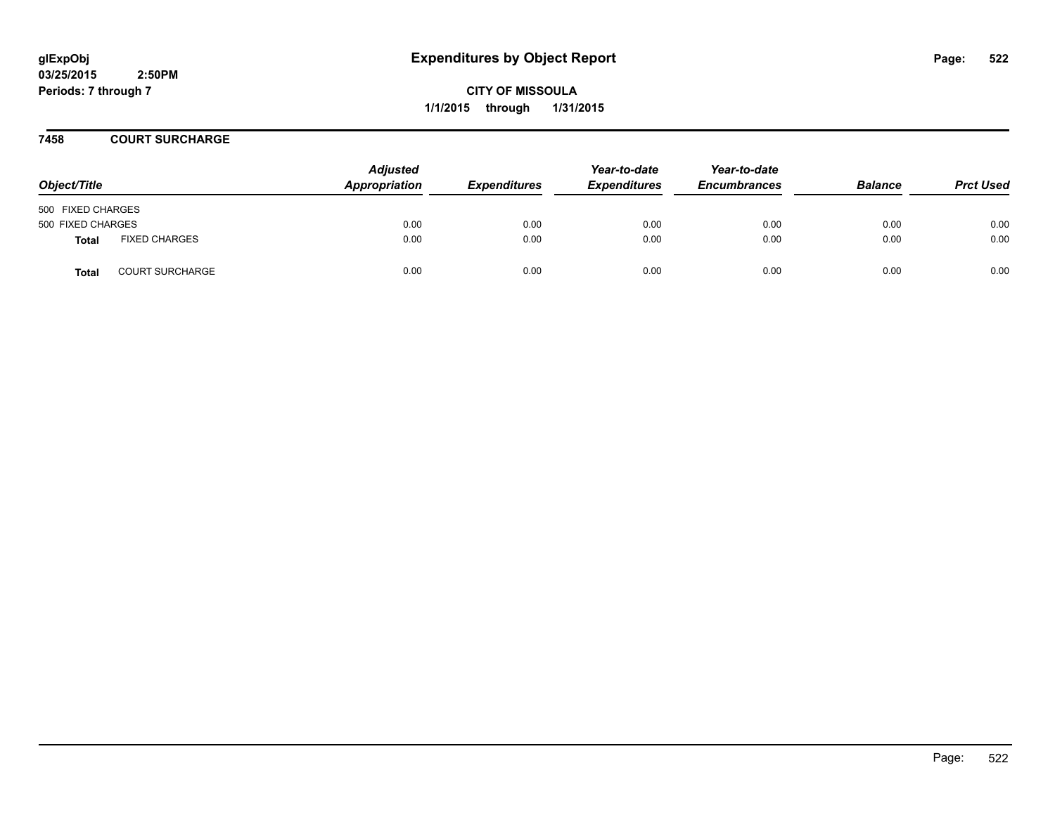**CITY OF MISSOULA 1/1/2015 through 1/31/2015**

### **7458 COURT SURCHARGE**

| Object/Title      |                        | <b>Adjusted</b><br>Appropriation | <b>Expenditures</b> | Year-to-date<br><b>Expenditures</b> | Year-to-date<br><b>Encumbrances</b> | <b>Balance</b> | <b>Prct Used</b> |
|-------------------|------------------------|----------------------------------|---------------------|-------------------------------------|-------------------------------------|----------------|------------------|
| 500 FIXED CHARGES |                        |                                  |                     |                                     |                                     |                |                  |
| 500 FIXED CHARGES |                        | 0.00                             | 0.00                | 0.00                                | 0.00                                | 0.00           | 0.00             |
| <b>Total</b>      | <b>FIXED CHARGES</b>   | 0.00                             | 0.00                | 0.00                                | 0.00                                | 0.00           | 0.00             |
| <b>Total</b>      | <b>COURT SURCHARGE</b> | 0.00                             | 0.00                | 0.00                                | 0.00                                | 0.00           | 0.00             |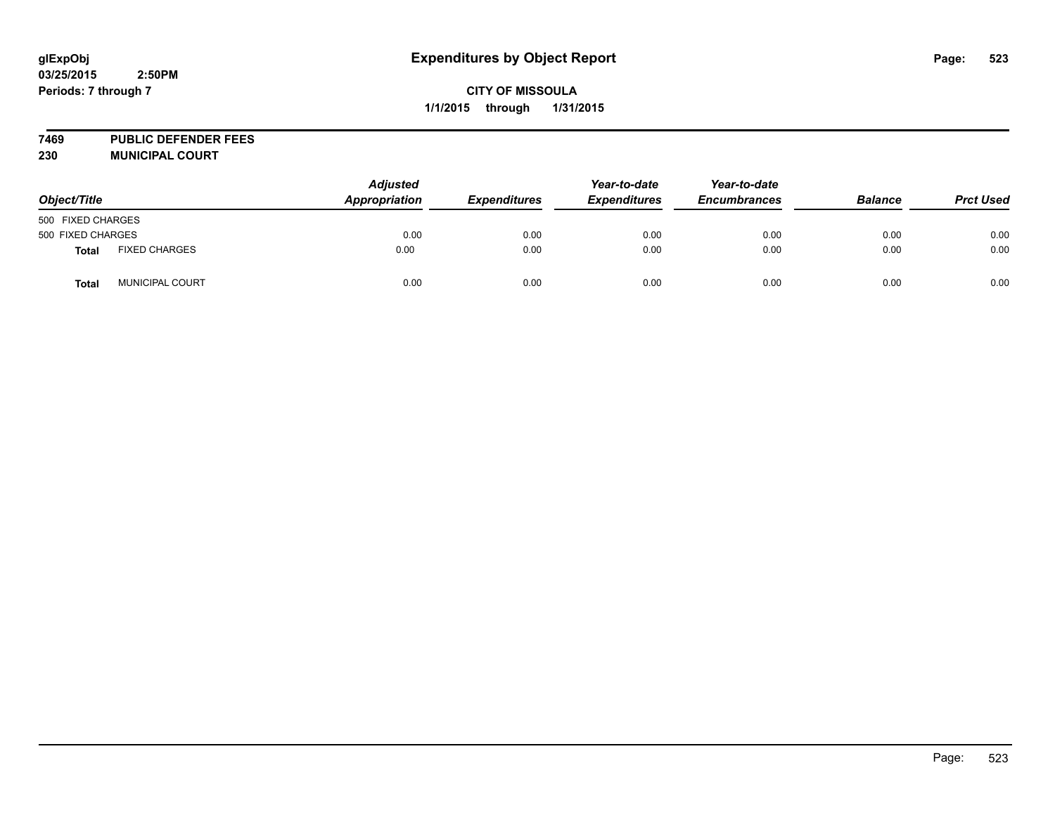**7469 PUBLIC DEFENDER FEES 230 MUNICIPAL COURT**

| Object/Title      |                      | <b>Adjusted</b><br>Appropriation | <b>Expenditures</b> | Year-to-date<br><b>Expenditures</b> | Year-to-date<br><b>Encumbrances</b> | <b>Balance</b> | <b>Prct Used</b> |
|-------------------|----------------------|----------------------------------|---------------------|-------------------------------------|-------------------------------------|----------------|------------------|
| 500 FIXED CHARGES |                      |                                  |                     |                                     |                                     |                |                  |
| 500 FIXED CHARGES |                      | 0.00                             | 0.00                | 0.00                                | 0.00                                | 0.00           | 0.00             |
| <b>Total</b>      | <b>FIXED CHARGES</b> | 0.00                             | 0.00                | 0.00                                | 0.00                                | 0.00           | 0.00             |
| Total             | MUNICIPAL COURT      | 0.00                             | 0.00                | 0.00                                | 0.00                                | 0.00           | 0.00             |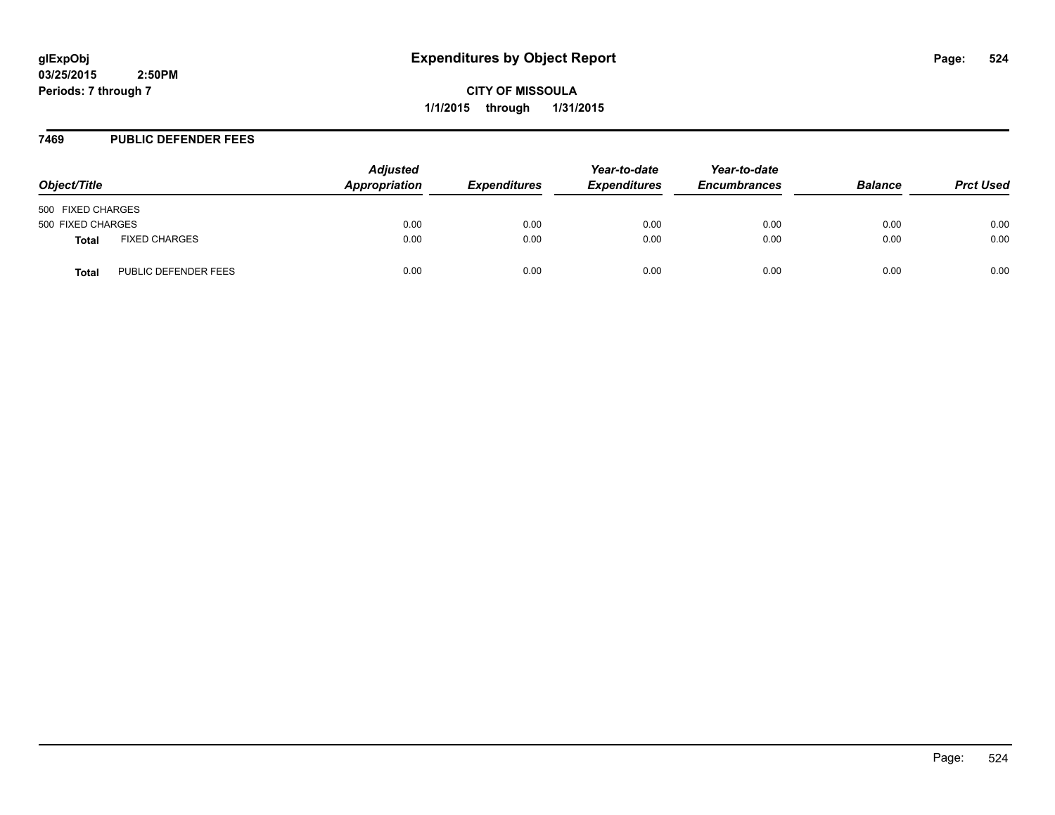**CITY OF MISSOULA 1/1/2015 through 1/31/2015**

#### **7469 PUBLIC DEFENDER FEES**

| Object/Title      |                      | <b>Adjusted</b><br>Appropriation | <b>Expenditures</b> | Year-to-date<br><b>Expenditures</b> | Year-to-date<br><b>Encumbrances</b> | <b>Balance</b> | <b>Prct Used</b> |
|-------------------|----------------------|----------------------------------|---------------------|-------------------------------------|-------------------------------------|----------------|------------------|
| 500 FIXED CHARGES |                      |                                  |                     |                                     |                                     |                |                  |
| 500 FIXED CHARGES |                      | 0.00                             | 0.00                | 0.00                                | 0.00                                | 0.00           | 0.00             |
| Total             | <b>FIXED CHARGES</b> | 0.00                             | 0.00                | 0.00                                | 0.00                                | 0.00           | 0.00             |
| Total             | PUBLIC DEFENDER FEES | 0.00                             | 0.00                | 0.00                                | 0.00                                | 0.00           | 0.00             |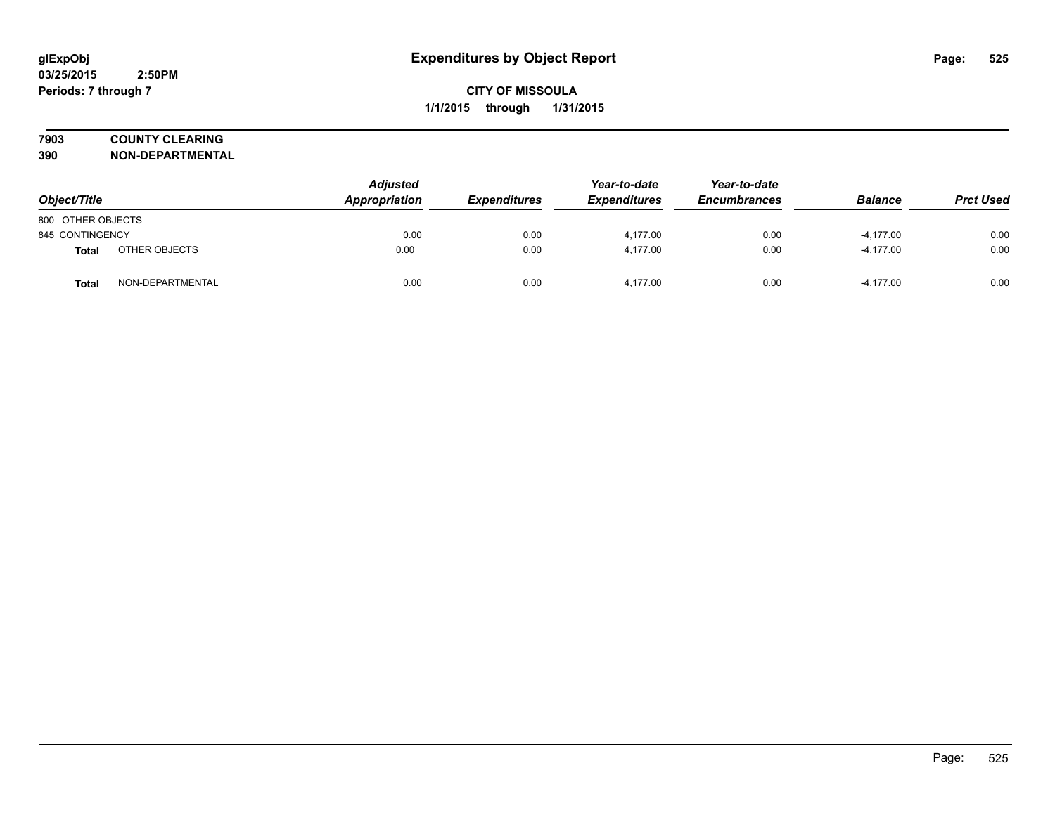## **7903 COUNTY CLEARING**

**390 NON-DEPARTMENTAL**

| Object/Title      |                  | <b>Adjusted</b><br>Appropriation | <b>Expenditures</b> | Year-to-date<br><b>Expenditures</b> | Year-to-date<br><b>Encumbrances</b> | <b>Balance</b> | <b>Prct Used</b> |
|-------------------|------------------|----------------------------------|---------------------|-------------------------------------|-------------------------------------|----------------|------------------|
| 800 OTHER OBJECTS |                  |                                  |                     |                                     |                                     |                |                  |
| 845 CONTINGENCY   |                  | 0.00                             | 0.00                | 4,177.00                            | 0.00                                | $-4,177.00$    | 0.00             |
| Total             | OTHER OBJECTS    | 0.00                             | 0.00                | 4,177.00                            | 0.00                                | $-4,177.00$    | 0.00             |
| <b>Total</b>      | NON-DEPARTMENTAL | 0.00                             | 0.00                | 4.177.00                            | 0.00                                | $-4,177.00$    | 0.00             |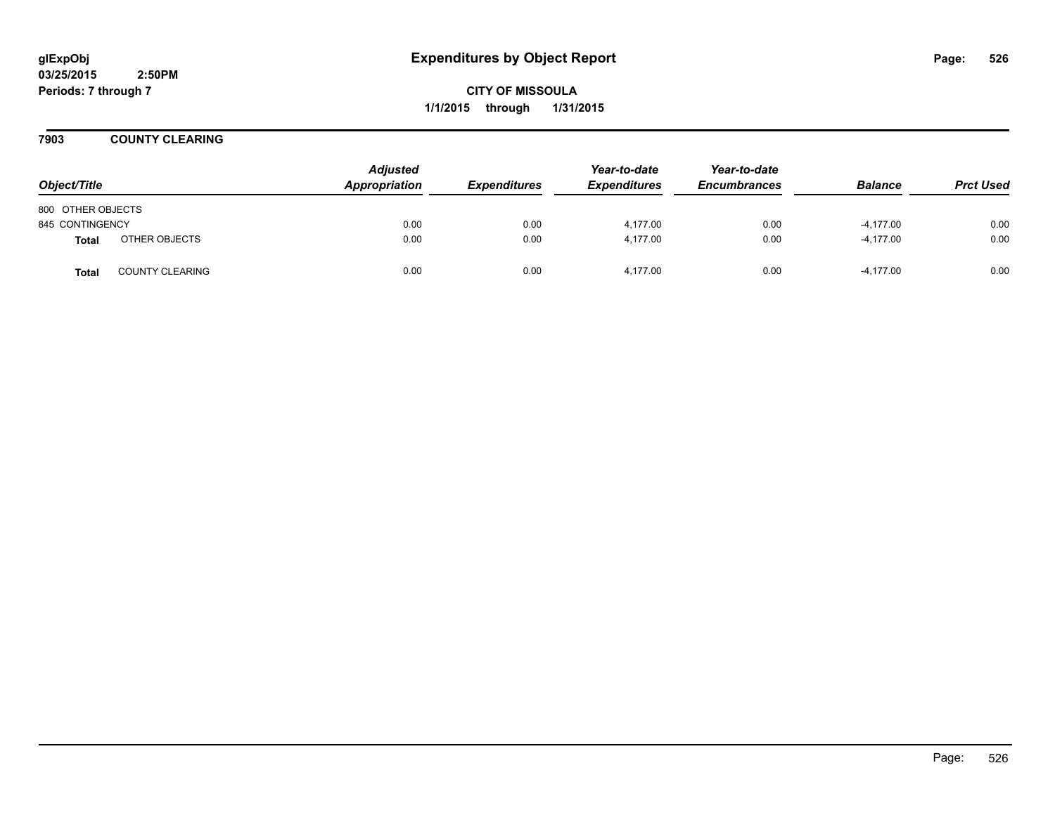**CITY OF MISSOULA 1/1/2015 through 1/31/2015**

**7903 COUNTY CLEARING**

| Object/Title      |                        | <b>Adjusted</b><br>Appropriation | <b>Expenditures</b> | Year-to-date<br><b>Expenditures</b> | Year-to-date<br><b>Encumbrances</b> | <b>Balance</b> | <b>Prct Used</b> |
|-------------------|------------------------|----------------------------------|---------------------|-------------------------------------|-------------------------------------|----------------|------------------|
| 800 OTHER OBJECTS |                        |                                  |                     |                                     |                                     |                |                  |
| 845 CONTINGENCY   |                        | 0.00                             | 0.00                | 4,177.00                            | 0.00                                | $-4,177.00$    | 0.00             |
| <b>Total</b>      | OTHER OBJECTS          | 0.00                             | 0.00                | 4.177.00                            | 0.00                                | $-4.177.00$    | 0.00             |
| <b>Total</b>      | <b>COUNTY CLEARING</b> | 0.00                             | 0.00                | 4.177.00                            | 0.00                                | $-4.177.00$    | 0.00             |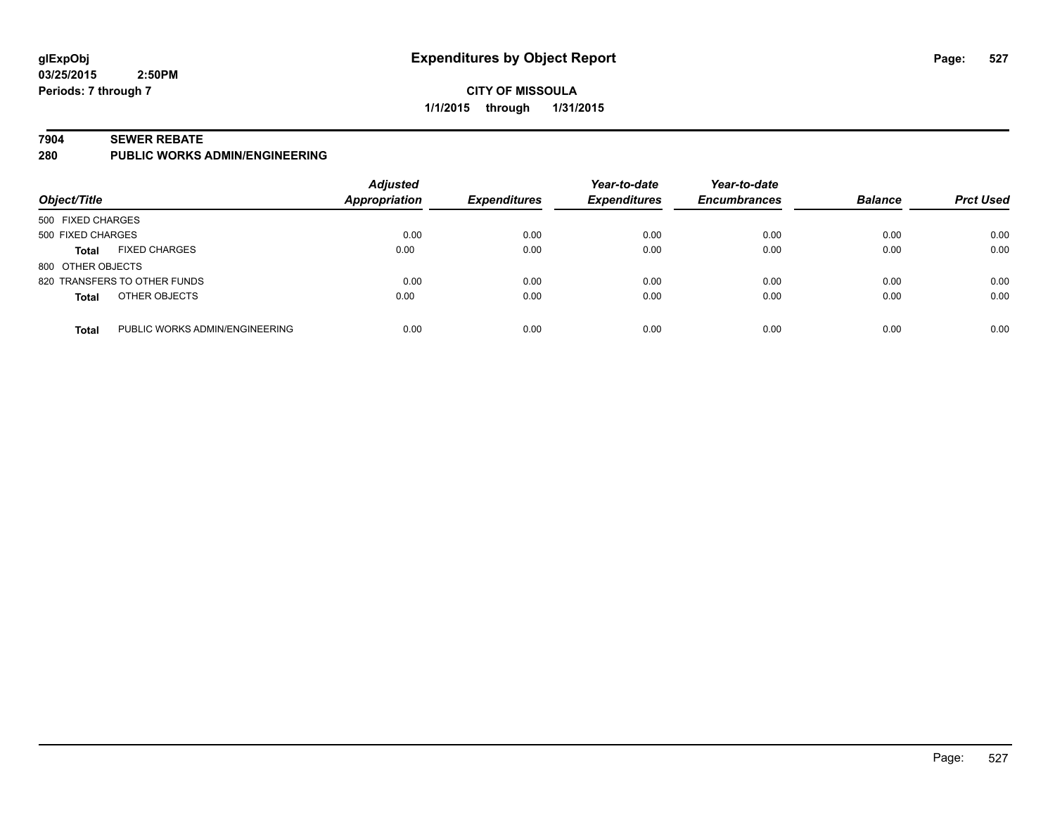## **CITY OF MISSOULA 1/1/2015 through 1/31/2015**

#### **7904 SEWER REBATE**

**280 PUBLIC WORKS ADMIN/ENGINEERING**

| Object/Title      |                                | <b>Adjusted</b><br>Appropriation | <b>Expenditures</b> | Year-to-date<br><b>Expenditures</b> | Year-to-date<br><b>Encumbrances</b> | <b>Balance</b> | <b>Prct Used</b> |
|-------------------|--------------------------------|----------------------------------|---------------------|-------------------------------------|-------------------------------------|----------------|------------------|
| 500 FIXED CHARGES |                                |                                  |                     |                                     |                                     |                |                  |
| 500 FIXED CHARGES |                                | 0.00                             | 0.00                | 0.00                                | 0.00                                | 0.00           | 0.00             |
| <b>Total</b>      | <b>FIXED CHARGES</b>           | 0.00                             | 0.00                | 0.00                                | 0.00                                | 0.00           | 0.00             |
| 800 OTHER OBJECTS |                                |                                  |                     |                                     |                                     |                |                  |
|                   | 820 TRANSFERS TO OTHER FUNDS   | 0.00                             | 0.00                | 0.00                                | 0.00                                | 0.00           | 0.00             |
| <b>Total</b>      | OTHER OBJECTS                  | 0.00                             | 0.00                | 0.00                                | 0.00                                | 0.00           | 0.00             |
| <b>Total</b>      | PUBLIC WORKS ADMIN/ENGINEERING | 0.00                             | 0.00                | 0.00                                | 0.00                                | 0.00           | 0.00             |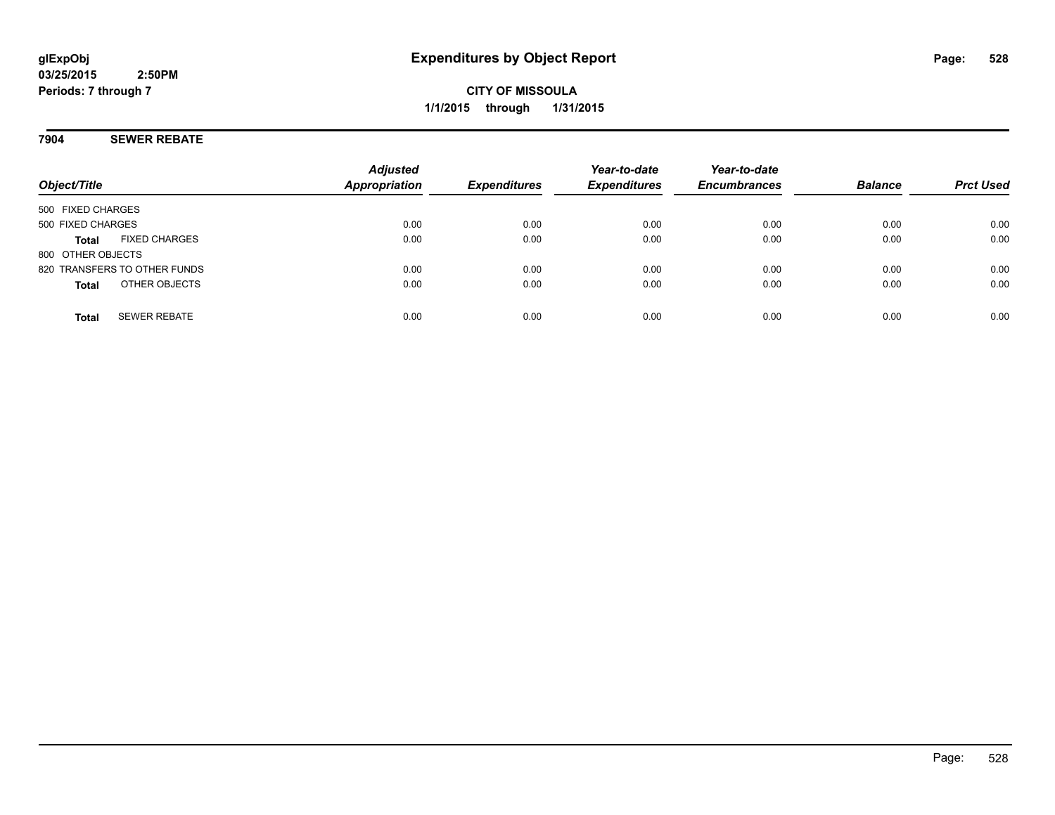## **7904 SEWER REBATE**

| Object/Title      |                              | <b>Adjusted</b><br><b>Appropriation</b> | <b>Expenditures</b> | Year-to-date<br><b>Expenditures</b> | Year-to-date<br><b>Encumbrances</b> | <b>Balance</b> | <b>Prct Used</b> |
|-------------------|------------------------------|-----------------------------------------|---------------------|-------------------------------------|-------------------------------------|----------------|------------------|
| 500 FIXED CHARGES |                              |                                         |                     |                                     |                                     |                |                  |
| 500 FIXED CHARGES |                              | 0.00                                    | 0.00                | 0.00                                | 0.00                                | 0.00           | 0.00             |
| <b>Total</b>      | <b>FIXED CHARGES</b>         | 0.00                                    | 0.00                | 0.00                                | 0.00                                | 0.00           | 0.00             |
| 800 OTHER OBJECTS |                              |                                         |                     |                                     |                                     |                |                  |
|                   | 820 TRANSFERS TO OTHER FUNDS | 0.00                                    | 0.00                | 0.00                                | 0.00                                | 0.00           | 0.00             |
| <b>Total</b>      | OTHER OBJECTS                | 0.00                                    | 0.00                | 0.00                                | 0.00                                | 0.00           | 0.00             |
| <b>Total</b>      | <b>SEWER REBATE</b>          | 0.00                                    | 0.00                | 0.00                                | 0.00                                | 0.00           | 0.00             |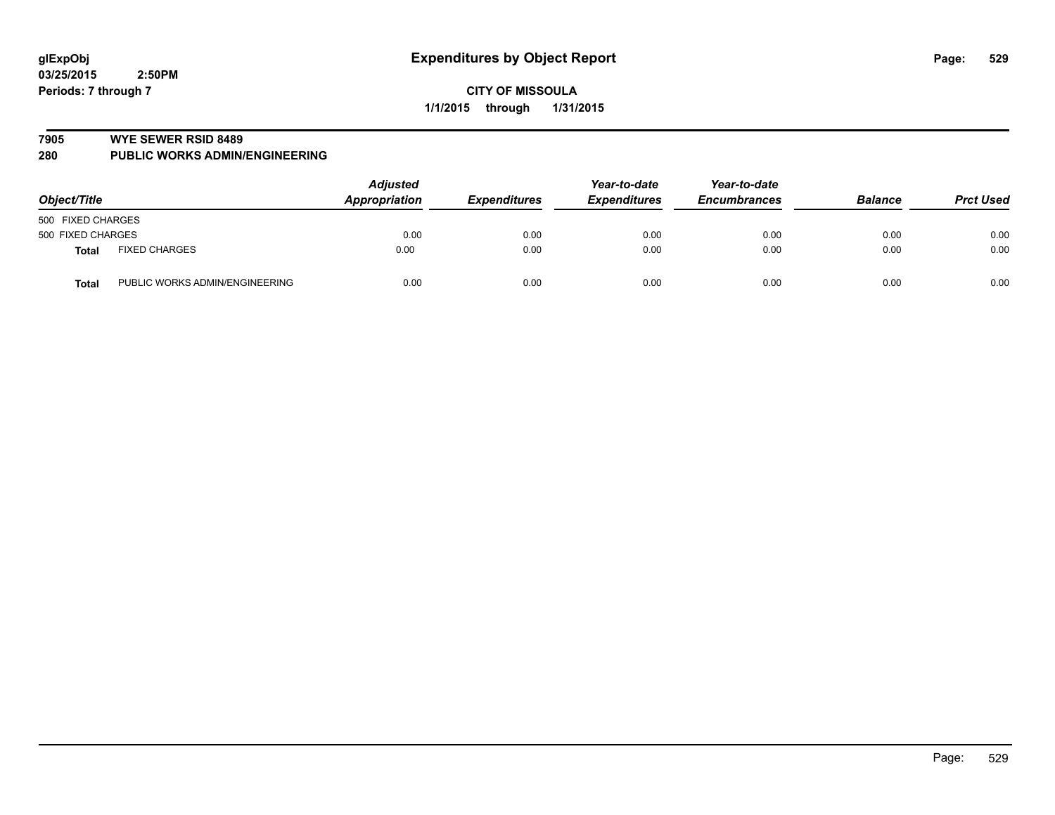#### **7905 WYE SEWER RSID 8489**

**280 PUBLIC WORKS ADMIN/ENGINEERING**

| Object/Title                                   | <b>Adjusted</b><br><b>Appropriation</b> | <b>Expenditures</b> | Year-to-date<br><b>Expenditures</b> | Year-to-date<br><b>Encumbrances</b> | <b>Balance</b> | <b>Prct Used</b> |
|------------------------------------------------|-----------------------------------------|---------------------|-------------------------------------|-------------------------------------|----------------|------------------|
| 500 FIXED CHARGES                              |                                         |                     |                                     |                                     |                |                  |
| 500 FIXED CHARGES                              | 0.00                                    | 0.00                | 0.00                                | 0.00                                | 0.00           | 0.00             |
| <b>FIXED CHARGES</b><br>Total                  | 0.00                                    | 0.00                | 0.00                                | 0.00                                | 0.00           | 0.00             |
| PUBLIC WORKS ADMIN/ENGINEERING<br><b>Total</b> | 0.00                                    | 0.00                | 0.00                                | 0.00                                | 0.00           | 0.00             |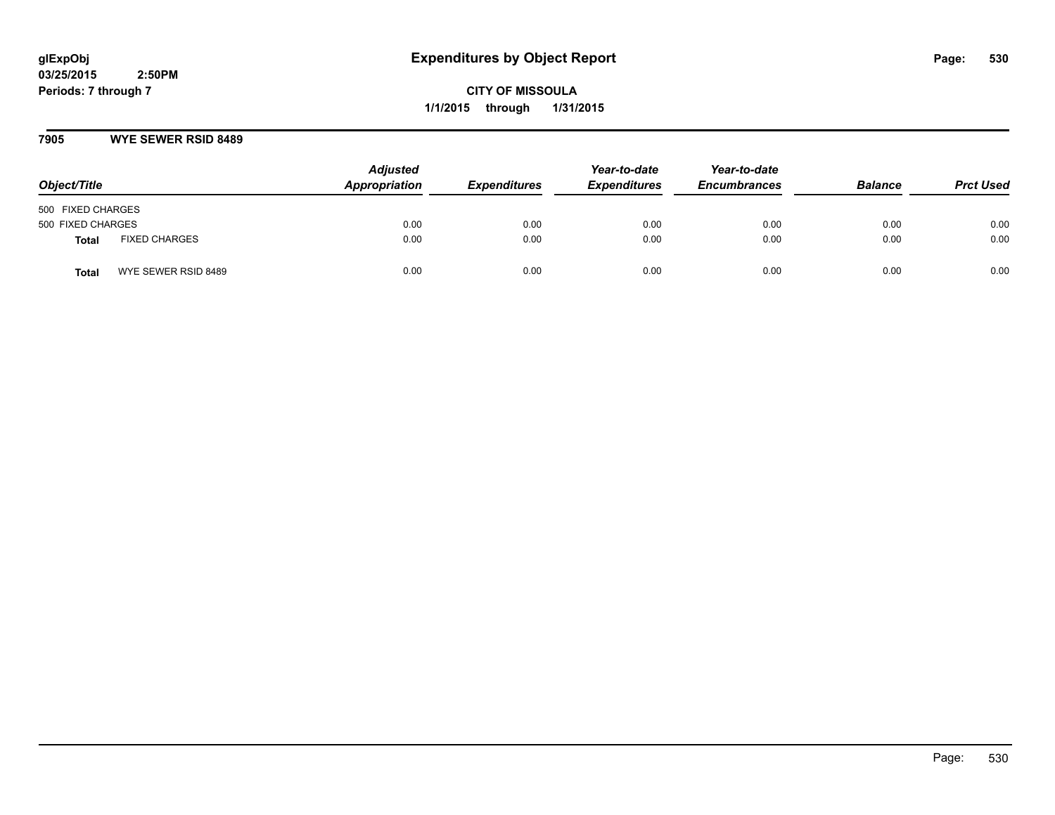**CITY OF MISSOULA 1/1/2015 through 1/31/2015**

### **7905 WYE SEWER RSID 8489**

| Object/Title                        | <b>Adjusted</b><br>Appropriation | <b>Expenditures</b> | Year-to-date<br><b>Expenditures</b> | Year-to-date<br><b>Encumbrances</b> | <b>Balance</b> | <b>Prct Used</b> |
|-------------------------------------|----------------------------------|---------------------|-------------------------------------|-------------------------------------|----------------|------------------|
| 500 FIXED CHARGES                   |                                  |                     |                                     |                                     |                |                  |
| 500 FIXED CHARGES                   | 0.00                             | 0.00                | 0.00                                | 0.00                                | 0.00           | 0.00             |
| <b>FIXED CHARGES</b><br>Total       | 0.00                             | 0.00                | 0.00                                | 0.00                                | 0.00           | 0.00             |
| WYE SEWER RSID 8489<br><b>Total</b> | 0.00                             | 0.00                | 0.00                                | 0.00                                | 0.00           | 0.00             |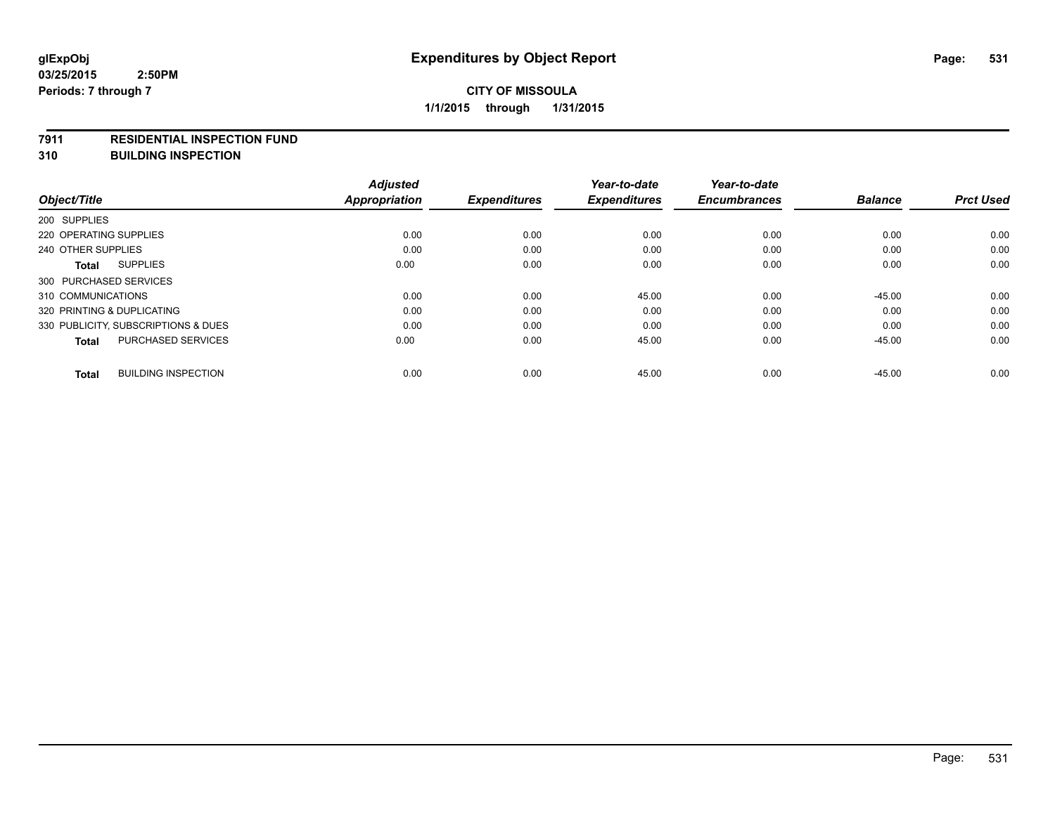#### **7911 RESIDENTIAL INSPECTION FUND**

**310 BUILDING INSPECTION**

|                                            | <b>Adjusted</b>      |                     | Year-to-date        | Year-to-date        |                |                  |
|--------------------------------------------|----------------------|---------------------|---------------------|---------------------|----------------|------------------|
| Object/Title                               | <b>Appropriation</b> | <b>Expenditures</b> | <b>Expenditures</b> | <b>Encumbrances</b> | <b>Balance</b> | <b>Prct Used</b> |
| 200 SUPPLIES                               |                      |                     |                     |                     |                |                  |
| 220 OPERATING SUPPLIES                     | 0.00                 | 0.00                | 0.00                | 0.00                | 0.00           | 0.00             |
| 240 OTHER SUPPLIES                         | 0.00                 | 0.00                | 0.00                | 0.00                | 0.00           | 0.00             |
| <b>SUPPLIES</b><br>Total                   | 0.00                 | 0.00                | 0.00                | 0.00                | 0.00           | 0.00             |
| 300 PURCHASED SERVICES                     |                      |                     |                     |                     |                |                  |
| 310 COMMUNICATIONS                         | 0.00                 | 0.00                | 45.00               | 0.00                | $-45.00$       | 0.00             |
| 320 PRINTING & DUPLICATING                 | 0.00                 | 0.00                | 0.00                | 0.00                | 0.00           | 0.00             |
| 330 PUBLICITY, SUBSCRIPTIONS & DUES        | 0.00                 | 0.00                | 0.00                | 0.00                | 0.00           | 0.00             |
| <b>PURCHASED SERVICES</b><br><b>Total</b>  | 0.00                 | 0.00                | 45.00               | 0.00                | $-45.00$       | 0.00             |
| <b>BUILDING INSPECTION</b><br><b>Total</b> | 0.00                 | 0.00                | 45.00               | 0.00                | $-45.00$       | 0.00             |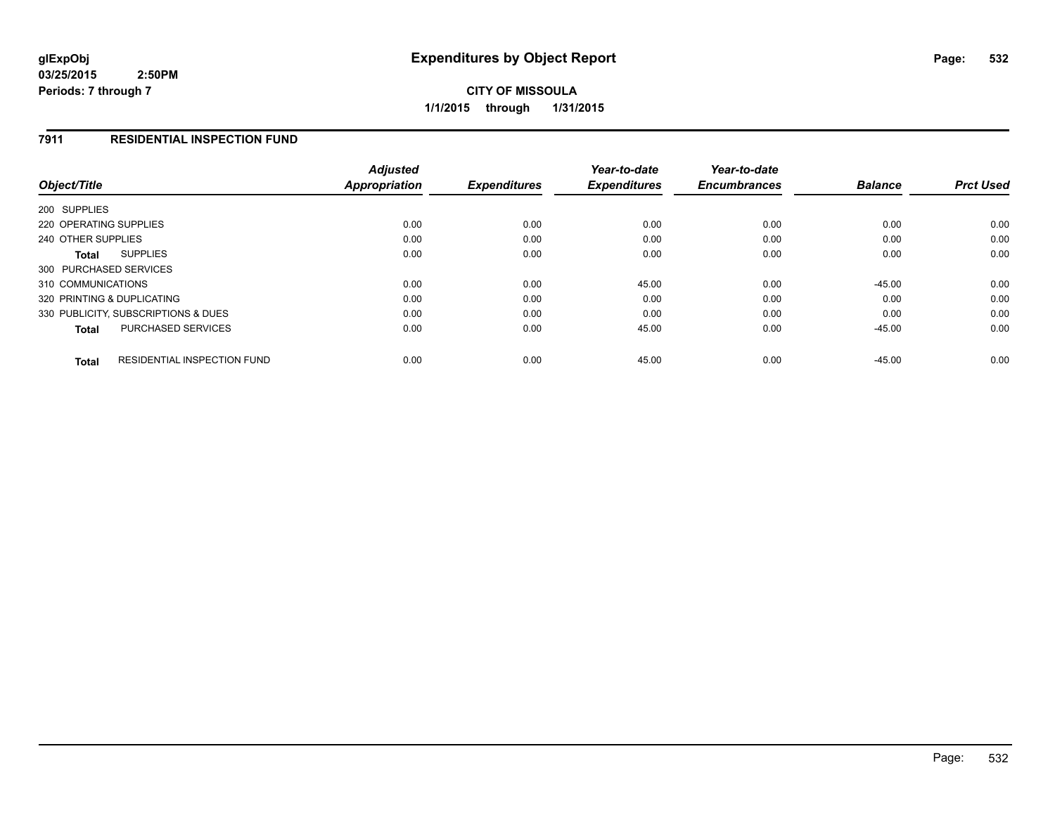**CITY OF MISSOULA 1/1/2015 through 1/31/2015**

### **7911 RESIDENTIAL INSPECTION FUND**

| Object/Title                                       | <b>Adjusted</b><br>Appropriation | <b>Expenditures</b> | Year-to-date<br><b>Expenditures</b> | Year-to-date<br><b>Encumbrances</b> | <b>Balance</b> | <b>Prct Used</b> |
|----------------------------------------------------|----------------------------------|---------------------|-------------------------------------|-------------------------------------|----------------|------------------|
| 200 SUPPLIES                                       |                                  |                     |                                     |                                     |                |                  |
| 220 OPERATING SUPPLIES                             | 0.00                             | 0.00                | 0.00                                | 0.00                                | 0.00           | 0.00             |
| 240 OTHER SUPPLIES                                 | 0.00                             | 0.00                | 0.00                                | 0.00                                | 0.00           | 0.00             |
| <b>SUPPLIES</b><br>Total                           | 0.00                             | 0.00                | 0.00                                | 0.00                                | 0.00           | 0.00             |
| 300 PURCHASED SERVICES                             |                                  |                     |                                     |                                     |                |                  |
| 310 COMMUNICATIONS                                 | 0.00                             | 0.00                | 45.00                               | 0.00                                | $-45.00$       | 0.00             |
| 320 PRINTING & DUPLICATING                         | 0.00                             | 0.00                | 0.00                                | 0.00                                | 0.00           | 0.00             |
| 330 PUBLICITY, SUBSCRIPTIONS & DUES                | 0.00                             | 0.00                | 0.00                                | 0.00                                | 0.00           | 0.00             |
| PURCHASED SERVICES<br><b>Total</b>                 | 0.00                             | 0.00                | 45.00                               | 0.00                                | $-45.00$       | 0.00             |
| <b>RESIDENTIAL INSPECTION FUND</b><br><b>Total</b> | 0.00                             | 0.00                | 45.00                               | 0.00                                | $-45.00$       | 0.00             |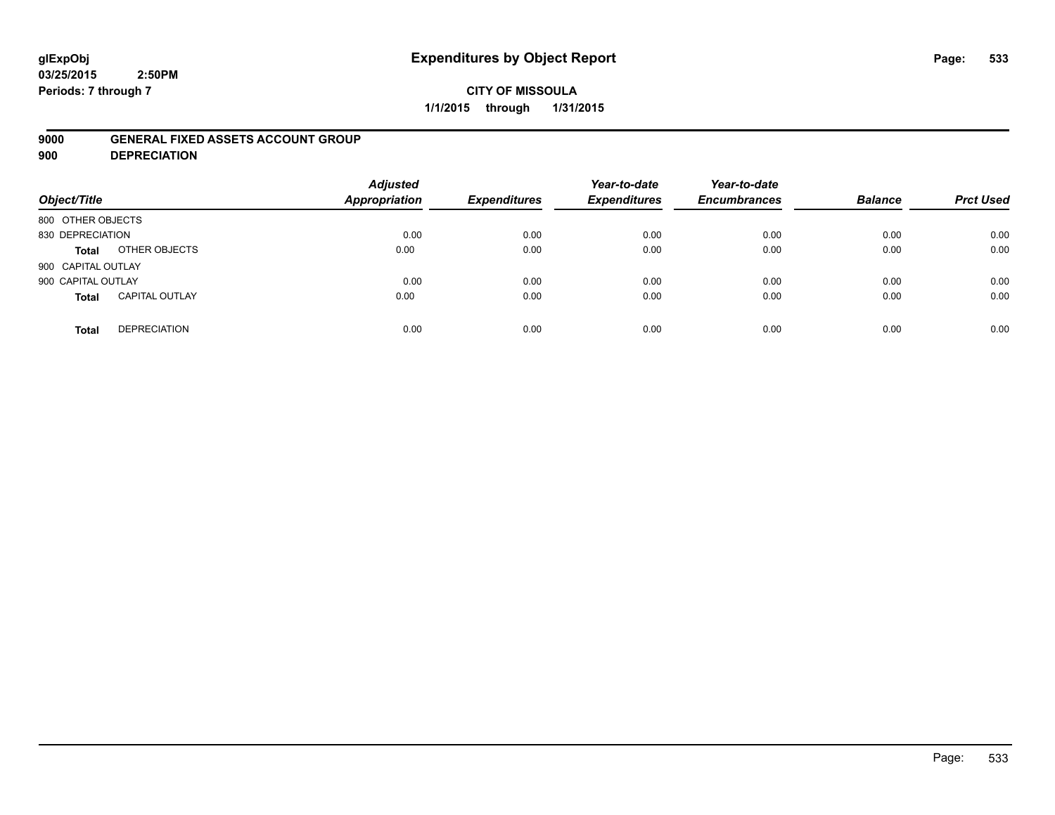## **CITY OF MISSOULA 1/1/2015 through 1/31/2015**

### **9000 GENERAL FIXED ASSETS ACCOUNT GROUP**

**900 DEPRECIATION**

| Object/Title                          | <b>Adjusted</b><br><b>Appropriation</b> | <b>Expenditures</b> | Year-to-date<br><b>Expenditures</b> | Year-to-date<br><b>Encumbrances</b> | <b>Balance</b> | <b>Prct Used</b> |
|---------------------------------------|-----------------------------------------|---------------------|-------------------------------------|-------------------------------------|----------------|------------------|
| 800 OTHER OBJECTS                     |                                         |                     |                                     |                                     |                |                  |
| 830 DEPRECIATION                      | 0.00                                    | 0.00                | 0.00                                | 0.00                                | 0.00           | 0.00             |
| OTHER OBJECTS<br>Total                | 0.00                                    | 0.00                | 0.00                                | 0.00                                | 0.00           | 0.00             |
| 900 CAPITAL OUTLAY                    |                                         |                     |                                     |                                     |                |                  |
| 900 CAPITAL OUTLAY                    | 0.00                                    | 0.00                | 0.00                                | 0.00                                | 0.00           | 0.00             |
| <b>CAPITAL OUTLAY</b><br><b>Total</b> | 0.00                                    | 0.00                | 0.00                                | 0.00                                | 0.00           | 0.00             |
| <b>DEPRECIATION</b><br><b>Total</b>   | 0.00                                    | 0.00                | 0.00                                | 0.00                                | 0.00           | 0.00             |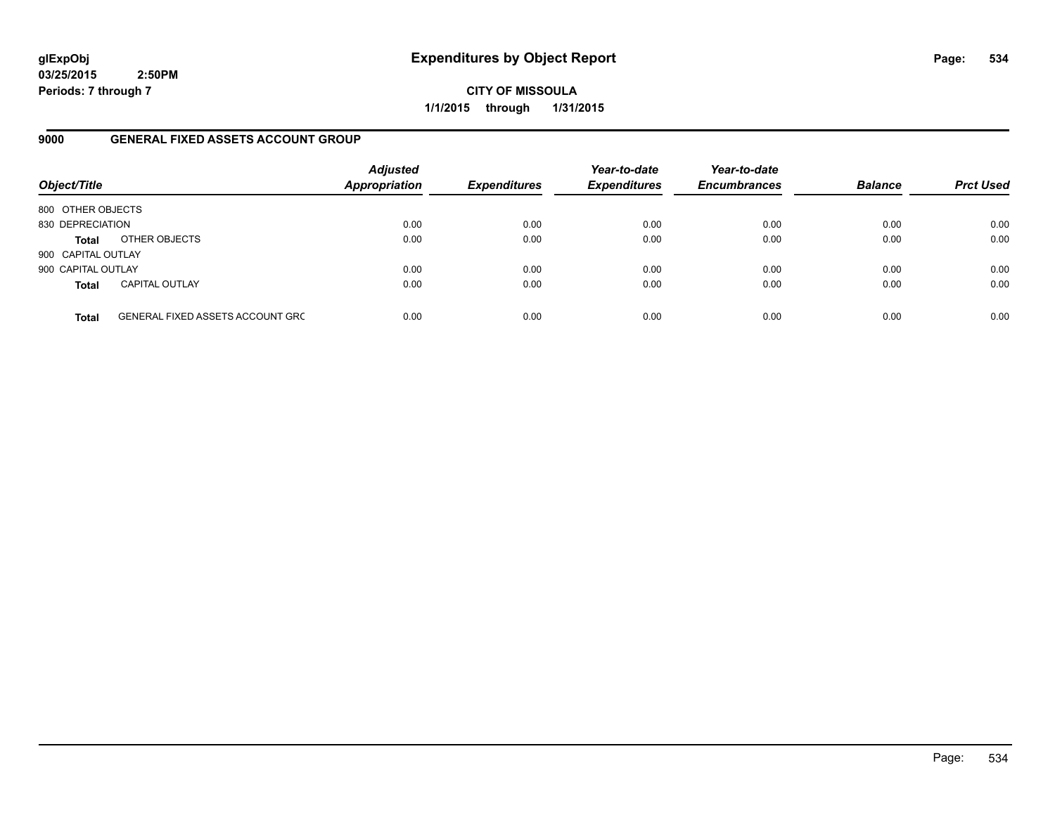**CITY OF MISSOULA 1/1/2015 through 1/31/2015**

### **9000 GENERAL FIXED ASSETS ACCOUNT GROUP**

| Object/Title       |                                         | <b>Adjusted</b><br><b>Appropriation</b> | <b>Expenditures</b> | Year-to-date<br><b>Expenditures</b> | Year-to-date<br><b>Encumbrances</b> | <b>Balance</b> | <b>Prct Used</b> |
|--------------------|-----------------------------------------|-----------------------------------------|---------------------|-------------------------------------|-------------------------------------|----------------|------------------|
| 800 OTHER OBJECTS  |                                         |                                         |                     |                                     |                                     |                |                  |
| 830 DEPRECIATION   |                                         | 0.00                                    | 0.00                | 0.00                                | 0.00                                | 0.00           | 0.00             |
| <b>Total</b>       | OTHER OBJECTS                           | 0.00                                    | 0.00                | 0.00                                | 0.00                                | 0.00           | 0.00             |
| 900 CAPITAL OUTLAY |                                         |                                         |                     |                                     |                                     |                |                  |
| 900 CAPITAL OUTLAY |                                         | 0.00                                    | 0.00                | 0.00                                | 0.00                                | 0.00           | 0.00             |
| <b>Total</b>       | <b>CAPITAL OUTLAY</b>                   | 0.00                                    | 0.00                | 0.00                                | 0.00                                | 0.00           | 0.00             |
| <b>Total</b>       | <b>GENERAL FIXED ASSETS ACCOUNT GRC</b> | 0.00                                    | 0.00                | 0.00                                | 0.00                                | 0.00           | 0.00             |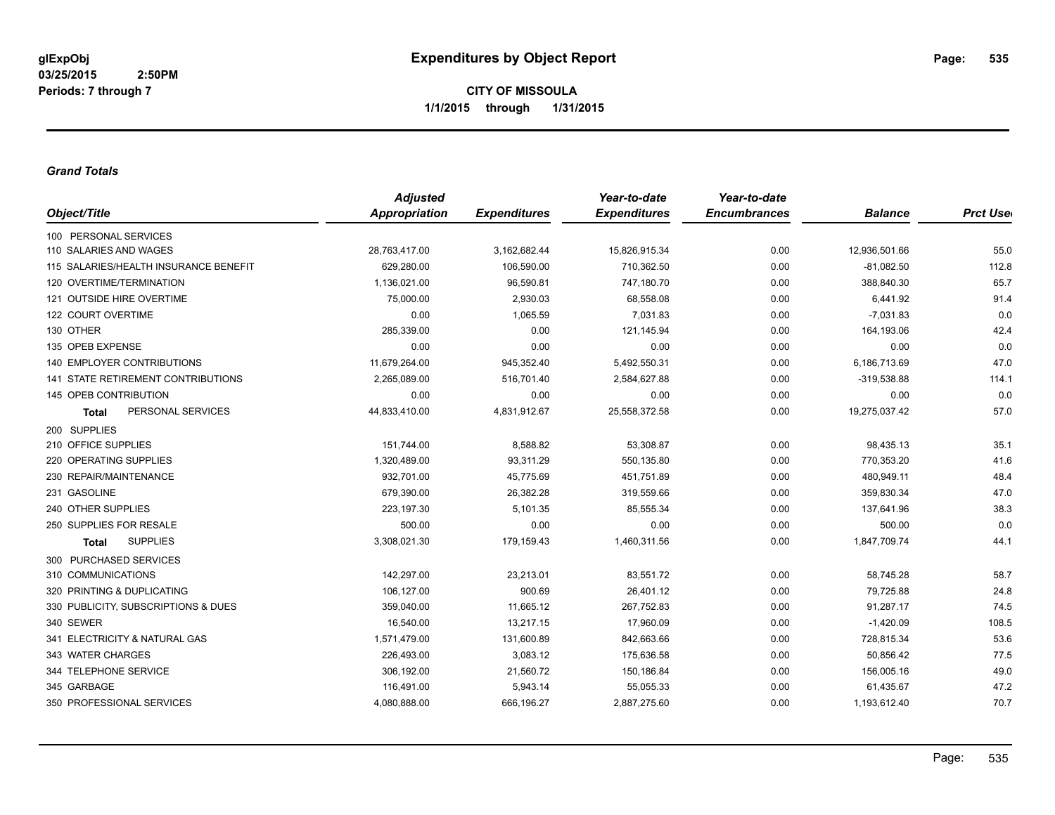### *Grand Totals*

|                                       | <b>Adjusted</b>      |                     | Year-to-date        | Year-to-date        |                |                  |
|---------------------------------------|----------------------|---------------------|---------------------|---------------------|----------------|------------------|
| Object/Title                          | <b>Appropriation</b> | <b>Expenditures</b> | <b>Expenditures</b> | <b>Encumbrances</b> | <b>Balance</b> | <b>Prct User</b> |
| 100 PERSONAL SERVICES                 |                      |                     |                     |                     |                |                  |
| 110 SALARIES AND WAGES                | 28,763,417.00        | 3,162,682.44        | 15,826,915.34       | 0.00                | 12,936,501.66  | 55.0             |
| 115 SALARIES/HEALTH INSURANCE BENEFIT | 629,280.00           | 106,590.00          | 710,362.50          | 0.00                | $-81,082.50$   | 112.8            |
| 120 OVERTIME/TERMINATION              | 1,136,021.00         | 96,590.81           | 747,180.70          | 0.00                | 388,840.30     | 65.7             |
| 121 OUTSIDE HIRE OVERTIME             | 75,000.00            | 2,930.03            | 68,558.08           | 0.00                | 6,441.92       | 91.4             |
| 122 COURT OVERTIME                    | 0.00                 | 1.065.59            | 7.031.83            | 0.00                | $-7,031.83$    | 0.0              |
| 130 OTHER                             | 285,339.00           | 0.00                | 121,145.94          | 0.00                | 164,193.06     | 42.4             |
| 135 OPEB EXPENSE                      | 0.00                 | 0.00                | 0.00                | 0.00                | 0.00           | 0.0              |
| 140 EMPLOYER CONTRIBUTIONS            | 11,679,264.00        | 945,352.40          | 5,492,550.31        | 0.00                | 6,186,713.69   | 47.0             |
| 141 STATE RETIREMENT CONTRIBUTIONS    | 2,265,089.00         | 516,701.40          | 2,584,627.88        | 0.00                | $-319,538.88$  | 114.1            |
| 145 OPEB CONTRIBUTION                 | 0.00                 | 0.00                | 0.00                | 0.00                | 0.00           | 0.0              |
| PERSONAL SERVICES<br><b>Total</b>     | 44,833,410.00        | 4,831,912.67        | 25,558,372.58       | 0.00                | 19,275,037.42  | 57.0             |
| 200 SUPPLIES                          |                      |                     |                     |                     |                |                  |
| 210 OFFICE SUPPLIES                   | 151,744.00           | 8,588.82            | 53,308.87           | 0.00                | 98,435.13      | 35.1             |
| 220 OPERATING SUPPLIES                | 1,320,489.00         | 93,311.29           | 550,135.80          | 0.00                | 770,353.20     | 41.6             |
| 230 REPAIR/MAINTENANCE                | 932,701.00           | 45,775.69           | 451,751.89          | 0.00                | 480,949.11     | 48.4             |
| 231 GASOLINE                          | 679,390.00           | 26,382.28           | 319,559.66          | 0.00                | 359,830.34     | 47.0             |
| 240 OTHER SUPPLIES                    | 223,197.30           | 5,101.35            | 85,555.34           | 0.00                | 137,641.96     | 38.3             |
| 250 SUPPLIES FOR RESALE               | 500.00               | 0.00                | 0.00                | 0.00                | 500.00         | 0.0              |
| <b>SUPPLIES</b><br><b>Total</b>       | 3,308,021.30         | 179,159.43          | 1,460,311.56        | 0.00                | 1,847,709.74   | 44.1             |
| 300 PURCHASED SERVICES                |                      |                     |                     |                     |                |                  |
| 310 COMMUNICATIONS                    | 142,297.00           | 23,213.01           | 83,551.72           | 0.00                | 58,745.28      | 58.7             |
| 320 PRINTING & DUPLICATING            | 106,127.00           | 900.69              | 26,401.12           | 0.00                | 79,725.88      | 24.8             |
| 330 PUBLICITY, SUBSCRIPTIONS & DUES   | 359,040.00           | 11,665.12           | 267,752.83          | 0.00                | 91,287.17      | 74.5             |
| 340 SEWER                             | 16,540.00            | 13,217.15           | 17,960.09           | 0.00                | $-1,420.09$    | 108.5            |
| 341 ELECTRICITY & NATURAL GAS         | 1,571,479.00         | 131,600.89          | 842,663.66          | 0.00                | 728,815.34     | 53.6             |
| 343 WATER CHARGES                     | 226,493.00           | 3,083.12            | 175,636.58          | 0.00                | 50,856.42      | 77.5             |
| 344 TELEPHONE SERVICE                 | 306,192.00           | 21,560.72           | 150,186.84          | 0.00                | 156,005.16     | 49.0             |
| 345 GARBAGE                           | 116,491.00           | 5,943.14            | 55,055.33           | 0.00                | 61,435.67      | 47.2             |
| 350 PROFESSIONAL SERVICES             | 4,080,888.00         | 666,196.27          | 2,887,275.60        | 0.00                | 1,193,612.40   | 70.7             |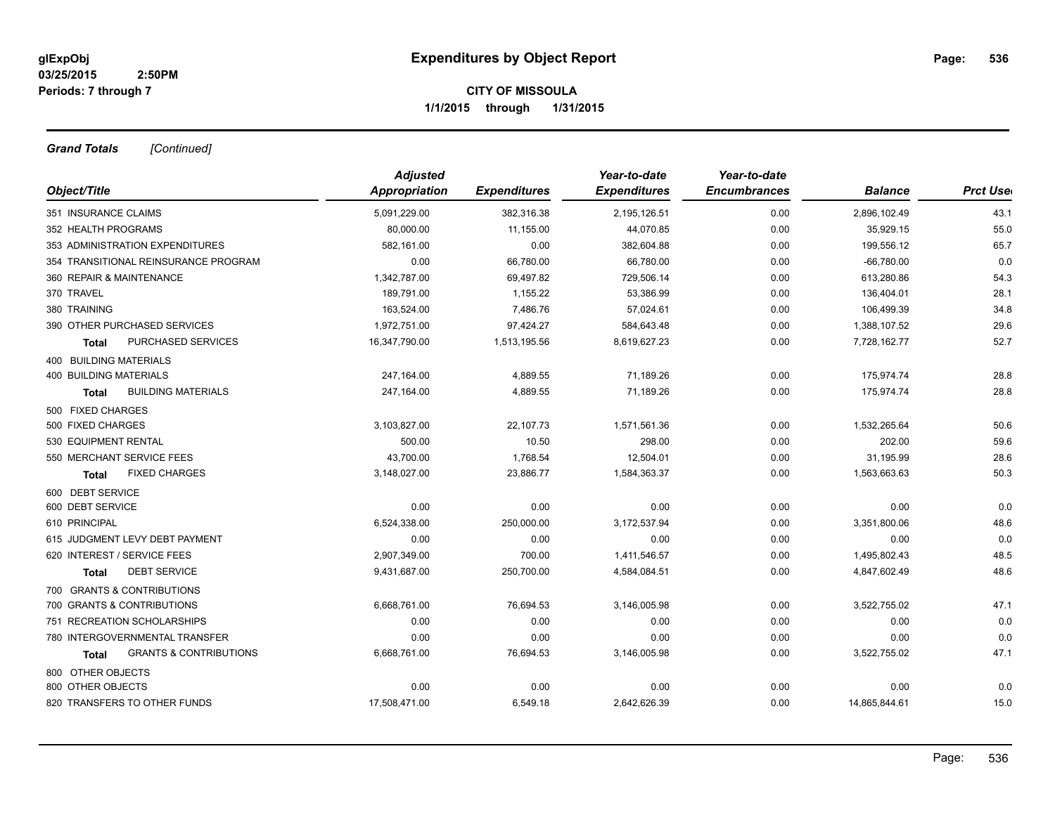*Grand Totals [Continued]*

|                      |                     |                     | Year-to-date        |                |                 |
|----------------------|---------------------|---------------------|---------------------|----------------|-----------------|
| <b>Appropriation</b> | <b>Expenditures</b> | <b>Expenditures</b> | <b>Encumbrances</b> | <b>Balance</b> | <b>Prct Use</b> |
| 5,091,229.00         | 382,316.38          | 2,195,126.51        | 0.00                | 2,896,102.49   | 43.1            |
| 80,000.00            | 11,155.00           | 44,070.85           | 0.00                | 35,929.15      | 55.0            |
| 582,161.00           | 0.00                | 382,604.88          | 0.00                | 199,556.12     | 65.7            |
| 0.00                 | 66,780.00           | 66,780.00           | 0.00                | $-66,780.00$   | 0.0             |
| 1,342,787.00         | 69,497.82           | 729,506.14          | 0.00                | 613,280.86     | 54.3            |
| 189,791.00           | 1,155.22            | 53,386.99           | 0.00                | 136,404.01     | 28.1            |
| 163,524.00           | 7,486.76            | 57,024.61           | 0.00                | 106,499.39     | 34.8            |
| 1,972,751.00         | 97,424.27           | 584,643.48          | 0.00                | 1,388,107.52   | 29.6            |
| 16,347,790.00        | 1,513,195.56        | 8,619,627.23        | 0.00                | 7,728,162.77   | 52.7            |
|                      |                     |                     |                     |                |                 |
| 247,164.00           | 4,889.55            | 71,189.26           | 0.00                | 175,974.74     | 28.8            |
| 247,164.00           | 4,889.55            | 71,189.26           | 0.00                | 175,974.74     | 28.8            |
|                      |                     |                     |                     |                |                 |
| 3,103,827.00         | 22,107.73           | 1,571,561.36        | 0.00                | 1,532,265.64   | 50.6            |
| 500.00               | 10.50               | 298.00              | 0.00                | 202.00         | 59.6            |
| 43,700.00            | 1,768.54            | 12,504.01           | 0.00                | 31,195.99      | 28.6            |
| 3,148,027.00         | 23,886.77           | 1,584,363.37        | 0.00                | 1,563,663.63   | 50.3            |
|                      |                     |                     |                     |                |                 |
| 0.00                 | 0.00                | 0.00                | 0.00                | 0.00           | 0.0             |
| 6,524,338.00         | 250,000.00          | 3,172,537.94        | 0.00                | 3,351,800.06   | 48.6            |
| 0.00                 | 0.00                | 0.00                | 0.00                | 0.00           | 0.0             |
| 2,907,349.00         | 700.00              | 1,411,546.57        | 0.00                | 1,495,802.43   | 48.5            |
| 9,431,687.00         | 250,700.00          | 4,584,084.51        | 0.00                | 4,847,602.49   | 48.6            |
|                      |                     |                     |                     |                |                 |
| 6,668,761.00         | 76,694.53           | 3,146,005.98        | 0.00                | 3,522,755.02   | 47.1            |
| 0.00                 | 0.00                | 0.00                | 0.00                | 0.00           | 0.0             |
| 0.00                 | 0.00                | 0.00                | 0.00                | 0.00           | 0.0             |
| 6,668,761.00         | 76,694.53           | 3,146,005.98        | 0.00                | 3,522,755.02   | 47.1            |
|                      |                     |                     |                     |                |                 |
| 0.00                 | 0.00                | 0.00                | 0.00                | 0.00           | 0.0             |
| 17,508,471.00        | 6,549.18            | 2,642,626.39        | 0.00                | 14,865,844.61  | 15.0            |
|                      | <b>Adjusted</b>     |                     | Year-to-date        |                |                 |